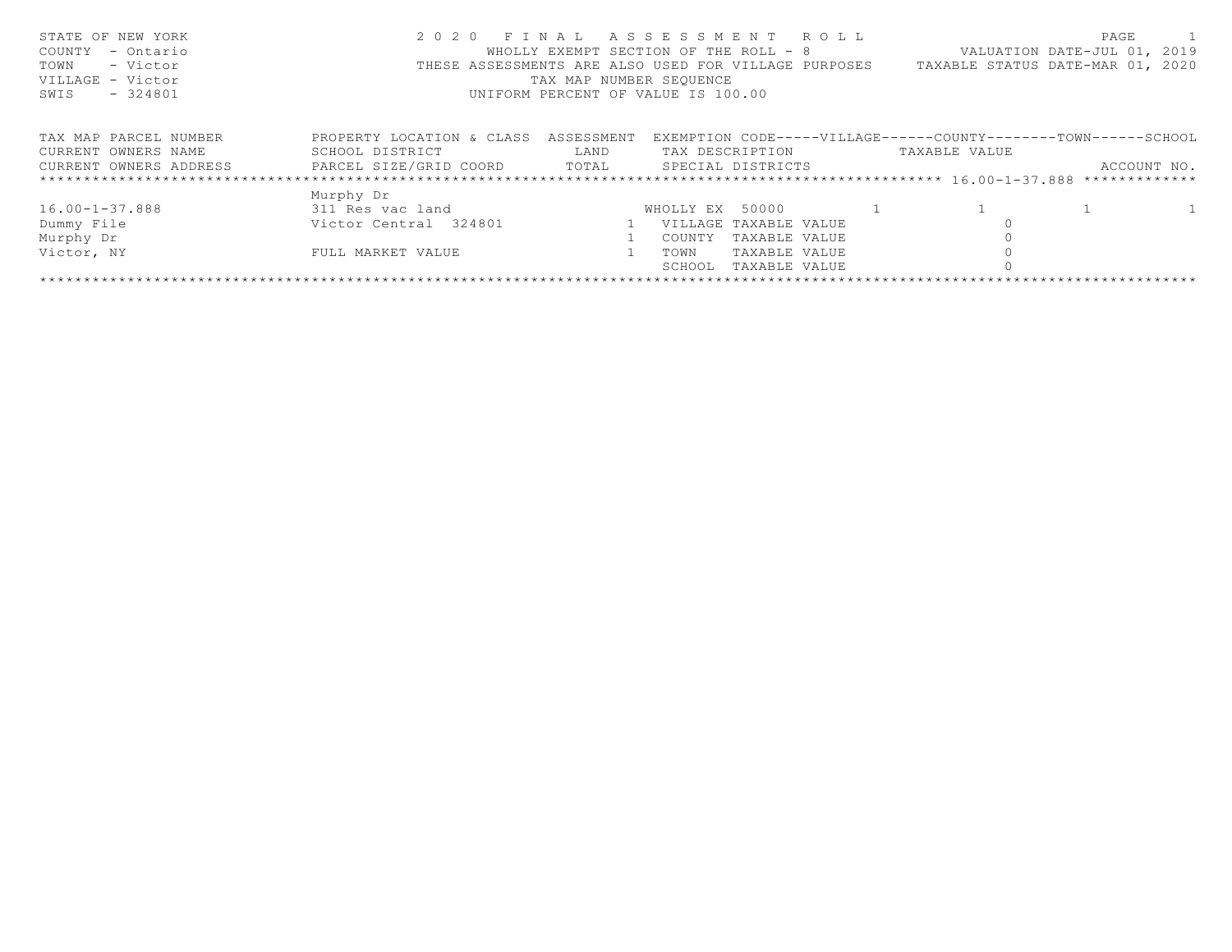| STATE OF NEW YORK<br>COUNTY<br>- Ontario<br>- Victor<br>TOWN<br>VILLAGE - Victor<br>$-324801$<br>SWIS | 2020 FINAL ASSESSMENT ROLL                              | WHOLLY EXEMPT SECTION OF THE ROLL - 8<br>TAX MAP NUMBER SEOUENCE<br>UNIFORM PERCENT OF VALUE IS 100.00 |                 |                       | VALUATION DATE-JUL 01, 2019<br>THESE ASSESSMENTS ARE ALSO USED FOR VILLAGE PURPOSES TAXABLE STATUS DATE-MAR 01, 2020 | PAGE        |  |
|-------------------------------------------------------------------------------------------------------|---------------------------------------------------------|--------------------------------------------------------------------------------------------------------|-----------------|-----------------------|----------------------------------------------------------------------------------------------------------------------|-------------|--|
| TAX MAP PARCEL NUMBER<br>CURRENT OWNERS NAME                                                          | PROPERTY LOCATION & CLASS ASSESSMENT<br>SCHOOL DISTRICT | <b>LAND</b>                                                                                            | TAX DESCRIPTION |                       | EXEMPTION CODE-----VILLAGE------COUNTY-------TOWN------SCHOOL<br>TAXABLE VALUE                                       |             |  |
| CURRENT OWNERS ADDRESS             PARCEL SIZE/GRID COORD         TOTAL       SPECIAL DISTRICTS       |                                                         |                                                                                                        |                 |                       |                                                                                                                      | ACCOUNT NO. |  |
|                                                                                                       | Murphy Dr                                               |                                                                                                        |                 |                       |                                                                                                                      |             |  |
| $16.00 - 1 - 37.888$                                                                                  |                                                         |                                                                                                        |                 |                       |                                                                                                                      |             |  |
| Dummy File                                                                                            | Victor Central 324801 1                                 |                                                                                                        |                 | VILLAGE TAXABLE VALUE |                                                                                                                      |             |  |
| Murphy Dr                                                                                             |                                                         |                                                                                                        | COUNTY          | TAXABLE VALUE         |                                                                                                                      |             |  |
| Victor, NY                                                                                            | FULL MARKET VALUE                                       |                                                                                                        | TOWN            | TAXABLE VALUE         |                                                                                                                      |             |  |
|                                                                                                       |                                                         |                                                                                                        | SCHOOL          | TAXABLE VALUE         |                                                                                                                      |             |  |
|                                                                                                       |                                                         |                                                                                                        |                 |                       |                                                                                                                      |             |  |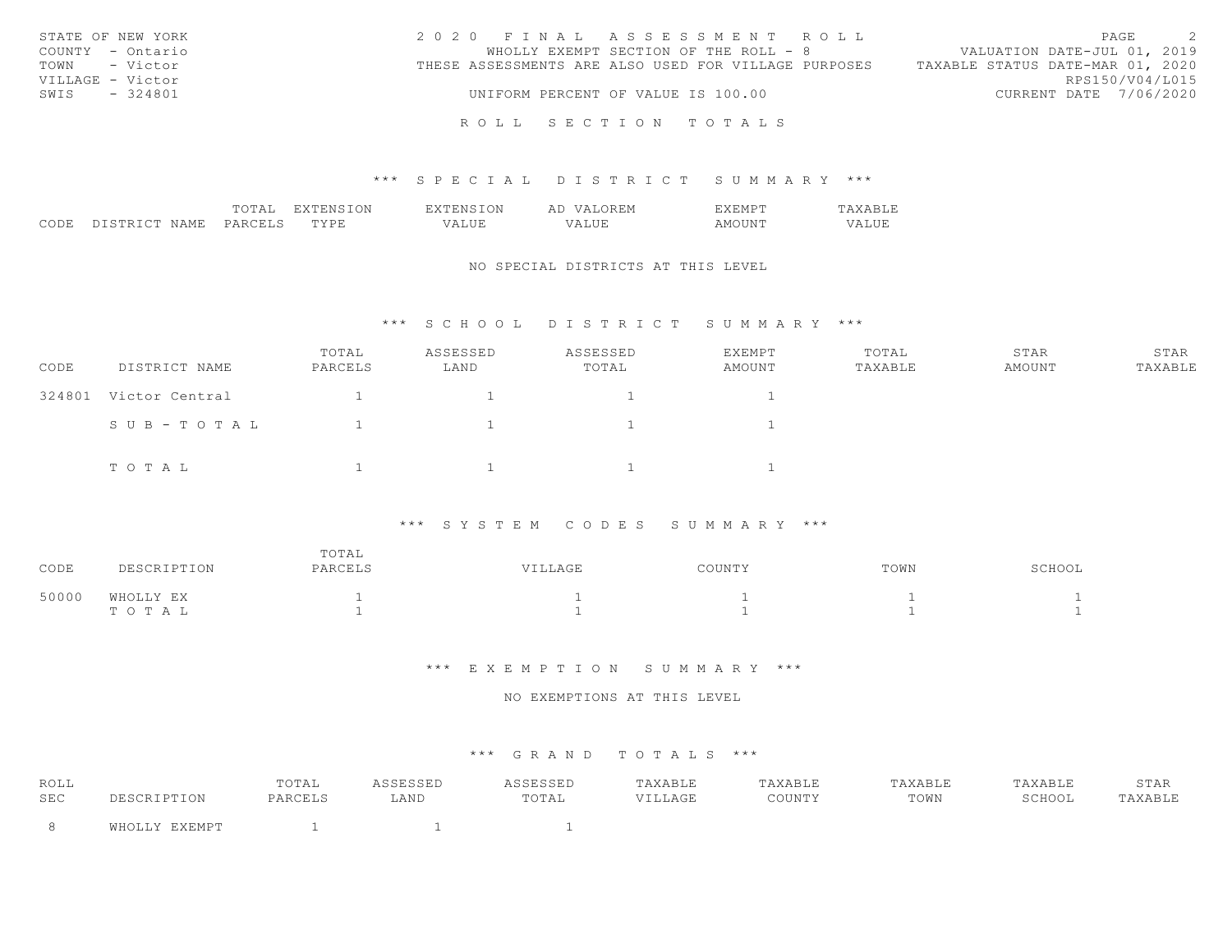| STATE OF NEW YORK | 2020 FINAL ASSESSMENT ROLL                           | $\overline{2}$<br>PAGE           |
|-------------------|------------------------------------------------------|----------------------------------|
| COUNTY - Ontario  | WHOLLY EXEMPT SECTION OF THE ROLL - 8                | VALUATION DATE-JUL 01, 2019      |
| TOWN - Victor     | THESE ASSESSMENTS ARE ALSO USED FOR VILLAGE PURPOSES | TAXABLE STATUS DATE-MAR 01, 2020 |
| VILLAGE - Victor  |                                                      | RPS150/V04/L015                  |
| SWIS - 324801     | UNIFORM PERCENT OF VALUE IS 100.00                   | CURRENT DATE 7/06/2020           |
|                   |                                                      |                                  |

# R O L L S E C T I O N T O T A L S

## \*\*\* S P E C I A L D I S T R I C T S U M M A R Y \*\*\*

|                    | TOTAL   | EXTENSION | EXTENSION | VALOREM<br>AD | EXEMPT | <b>TAXABLE</b> |
|--------------------|---------|-----------|-----------|---------------|--------|----------------|
| CODE DISTRICT NAME | PARCELS | TYPE      | VALUE     | VALUE         | AMOUNT | VALUE          |

#### NO SPECIAL DISTRICTS AT THIS LEVEL

# \*\*\* S C H O O L D I S T R I C T S U M M A R Y \*\*\*

| CODE   | DISTRICT NAME  | TOTAL<br>PARCELS | ASSESSED<br>LAND | ASSESSED<br>TOTAL | EXEMPT<br>AMOUNT | TOTAL<br>TAXABLE | STAR<br>AMOUNT | STAR<br>TAXABLE |
|--------|----------------|------------------|------------------|-------------------|------------------|------------------|----------------|-----------------|
| 324801 | Victor Central |                  |                  |                   |                  |                  |                |                 |
|        | SUB-TOTAL      |                  | $\mathbf{1}$     |                   |                  |                  |                |                 |
|        | TOTAL          |                  |                  |                   |                  |                  |                |                 |

## \*\*\* S Y S T E M C O D E S S U M M A R Y \*\*\*

| CODE  | $^{\texttt{\tiny T-PTION}}$<br>ロロ こし | TOTAL<br>PARCELS | <b>LLAGE</b> | COUNTY | TOWN | SCHOOL |
|-------|--------------------------------------|------------------|--------------|--------|------|--------|
| 50000 | WHOLLY EX<br>TO TAL                  |                  |              |        |      |        |

## \*\*\* E X E M P T I O N S U M M A R Y \*\*\*

# NO EXEMPTIONS AT THIS LEVEL

## \*\*\* G R A N D T O T A L S \*\*\*

| ROLL<br>SEC | DESCRIPTION   | TOTAL<br>PARCELS | <i><b>NSSESSED</b></i><br>" AND | <i><b>ISSESSED</b></i><br>TOTAL | TAXABLE<br>VILLAGE | TAXABLE<br>COUNTY | TAXABLE<br>TOWN | TAXABLE<br>SCHOOL | STAR<br>'AXABLE |
|-------------|---------------|------------------|---------------------------------|---------------------------------|--------------------|-------------------|-----------------|-------------------|-----------------|
|             | WHOLLY EXEMPT |                  |                                 |                                 |                    |                   |                 |                   |                 |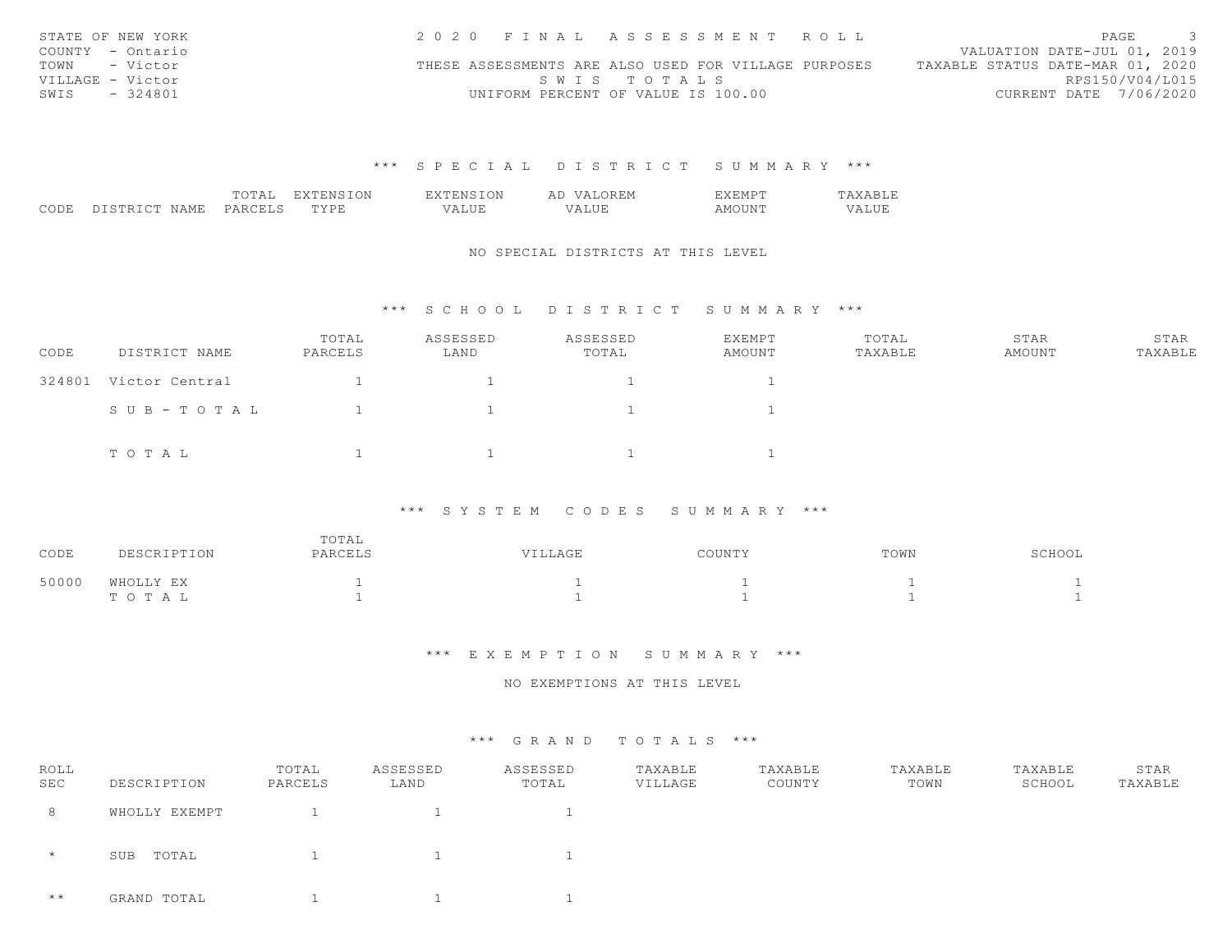| STATE OF NEW YORK | 2020 FINAL ASSESSMENT ROLL                           | PAGE                             |  |
|-------------------|------------------------------------------------------|----------------------------------|--|
| COUNTY - Ontario  |                                                      | VALUATION DATE-JUL 01, 2019      |  |
| TOWN - Victor     | THESE ASSESSMENTS ARE ALSO USED FOR VILLAGE PURPOSES | TAXABLE STATUS DATE-MAR 01, 2020 |  |
| VILLAGE - Victor  | SWIS TOTALS                                          | RPS150/V04/L015                  |  |
| $-324801$<br>SWIS | UNIFORM PERCENT OF VALUE IS 100.00                   | CURRENT DATE 7/06/2020           |  |

# \*\*\* S P E C I A L D I S T R I C T S U M M A R Y \*\*\*

|                                       |                                                                                                                                         | $\blacksquare$ | $\overline{\phantom{a}}$ | ⊇N             | $\cdots$<br>$\overline{\phantom{a}}$<br><b><i><u>LAI</u></i></b> | $\sim$ 1 V |                |
|---------------------------------------|-----------------------------------------------------------------------------------------------------------------------------------------|----------------|--------------------------|----------------|------------------------------------------------------------------|------------|----------------|
| $\cap$ $\cap$ $\cap$ $\Gamma$<br>シンレヒ | .<br>. IVI F<br>∖≀ ∆<br>the contract of the contract of the contract of the contract of the contract of the contract of the contract of | ΡΔ             | $\overline{\phantom{a}}$ | $\overline{ }$ |                                                                  |            | --- - ---<br>. |

# NO SPECIAL DISTRICTS AT THIS LEVEL

# \*\*\* S C H O O L D I S T R I C T S U M M A R Y \*\*\*

| CODE | DISTRICT NAME         | TOTAL<br>PARCELS | ASSESSED<br>LAND | ASSESSED<br>TOTAL | EXEMPT<br>AMOUNT | TOTAL<br>TAXABLE | STAR<br>AMOUNT | STAR<br>TAXABLE |
|------|-----------------------|------------------|------------------|-------------------|------------------|------------------|----------------|-----------------|
|      | 324801 Victor Central |                  |                  |                   |                  |                  |                |                 |
|      | SUB-TOTAL             |                  |                  |                   |                  |                  |                |                 |
|      | TOTAL                 |                  |                  |                   |                  |                  |                |                 |

## \*\*\* S Y S T E M C O D E S S U M M A R Y \*\*\*

| CODE  | DESCRIPTION        | TOTAL<br>PARCELS | VILLAGE | COUNTY | TOWN | SCHOOL |
|-------|--------------------|------------------|---------|--------|------|--------|
| 50000 | WHOLLY EX<br>TOTAL |                  |         |        |      |        |

## \*\*\* E X E M P T I O N S U M M A R Y \*\*\*

# NO EXEMPTIONS AT THIS LEVEL

## \*\*\* G R A N D T O T A L S \*\*\*

| ROLL<br><b>SEC</b> | DESCRIPTION   | TOTAL<br>PARCELS | ASSESSED<br>LAND | ASSESSED<br>TOTAL | TAXABLE<br>VILLAGE | TAXABLE<br>COUNTY | TAXABLE<br>TOWN | TAXABLE<br>SCHOOL | STAR<br>TAXABLE |
|--------------------|---------------|------------------|------------------|-------------------|--------------------|-------------------|-----------------|-------------------|-----------------|
| 8                  | WHOLLY EXEMPT |                  |                  |                   |                    |                   |                 |                   |                 |
| $\star$            | TOTAL<br>SUB  |                  |                  |                   |                    |                   |                 |                   |                 |
| $+ +$              | GRAND TOTAL   |                  |                  |                   |                    |                   |                 |                   |                 |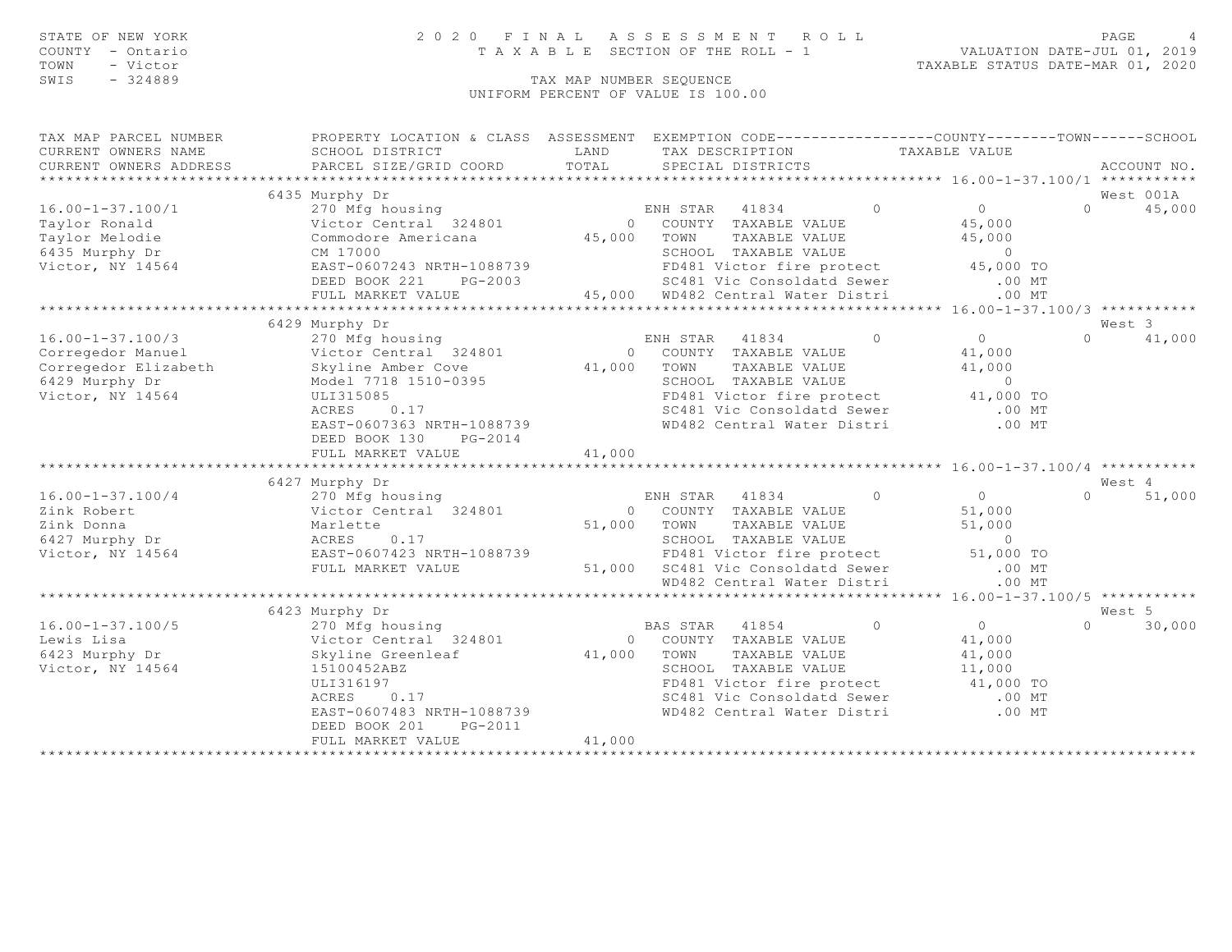| SWIS<br>$-324889$<br>TAX MAP NUMBER SEQUENCE<br>UNIFORM PERCENT OF VALUE IS 100.00<br>PROPERTY LOCATION & CLASS ASSESSMENT EXEMPTION CODE----------------COUNTY-------TOWN------SCHOOL<br>TAX MAP PARCEL NUMBER<br>TAXABLE VALUE<br>CURRENT OWNERS NAME<br>SCHOOL DISTRICT LAND<br>TAX DESCRIPTION<br>TOTAL<br>PARCEL SIZE/GRID COORD<br>SPECIAL DISTRICTS<br>CURRENT OWNERS ADDRESS<br>ACCOUNT NO.<br>6435 Murphy Dr<br>West 001A<br>16.00-1-37.100/1 $\begin{array}{ccccccccc}\n & 6433 & \text{mPiny D1} & & \text{ENH STAR} & 41834 & 0 & 0 \\  & & 270 & \text{Mg how a 200} & & \text{Victor Central} & 324801 & & 0 & 0 \\ \hline\n\end{array}$ Taylor Ronald Victor Central 324801 0 COUNTY TAXABLE VALUE 45,000<br>Taylor Melodie Commodore Americ<br>45,000<br>$\Omega$<br>6429 Murphy Dr<br>West 3<br>$\overline{0}$<br>16.00-1-37.100/3<br>Corregedor Manuel Victor Central 324801<br>Corregedor Elizabeth Skyline Amber Cove<br>6429 Murphy Dr Model 7718 1510-0395<br>Victor, NY 14564 ULI315085<br>ACRES 0.17<br>$\overline{0}$<br>41,000<br>ENH STAR 41834<br>$\cap$<br>ENH STAR 41834<br>0 COUNTY TAXABLE VALUE 41,000<br>SCHOOL TAXABLE VALUE 41,000<br>SCHOOL TAXABLE VALUE 0<br>FD481 Victor fire protect 41,000 TO<br>SC481 Vic Consoldatd Sewer .00 MT<br>WD482 Central Water Distri .00 MT<br>EAST-0607363 NRTH-1088739<br>DEED BOOK 130 PG-2014<br>41,000<br>FULL MARKET VALUE<br>West 4<br>$0 \t 51,000$<br>$\begin{tabular}{lcccc} $16.00-1$-37.100/4$ & $6427~\mathrm{Murphy Dr}$ & & ENIS TAR & 41834 & 0 & 0 \\ $210~\mathrm{Mg}~\mathrm{hours} & 324801 & 0 & 000\mathrm{NTY} & TAXABLE\ \mathrm{VALU}E & 51,000 \\ $210~\mathrm{K~Rohen} & 51,000 & 000\mathrm{N}W & TAXABLE\ \mathrm{VALU}E & 51,000 \\ $427~\mathrm{Murphy Dr}$ & & & & & & & & & & & & & & & & & & & & & & & & & & & & & & & &$<br>6423 Murphy Dr<br>West 5<br>6423 Murphy Dr<br>270 Mfg housing<br>Victor Central 324801 0 COUNTY TAXABLE VALUE<br>Skyline Greenleaf 41,000 TOWN TAXABLE VALUE 41,000<br>15100452ABZ<br>ULI316197 FD481 Victor fire protect 41,000 TO<br>ACRES 0.17 SC481 Victor fire pr<br>$16.00 - 1 - 37.100 / 5$<br>$\Omega$<br>30,000<br>Lewis Lisa<br>6423 Murphy Dr<br>Victor, NY 14564<br>DEED BOOK 201<br>PG-2011<br>41,000<br>FULL MARKET VALUE | STATE OF NEW YORK<br>COUNTY - Ontario<br>TOWN<br>- Victor | 2020 FINAL ASSESSMENT ROLL | PAGE<br>T A X A B L E SECTION OF THE ROLL - 1 VALUATION DATE-JUL 01, 2019<br>TAXABLE STATUS DATE-MAR 01, 2020 |  |  |
|------------------------------------------------------------------------------------------------------------------------------------------------------------------------------------------------------------------------------------------------------------------------------------------------------------------------------------------------------------------------------------------------------------------------------------------------------------------------------------------------------------------------------------------------------------------------------------------------------------------------------------------------------------------------------------------------------------------------------------------------------------------------------------------------------------------------------------------------------------------------------------------------------------------------------------------------------------------------------------------------------------------------------------------------------------------------------------------------------------------------------------------------------------------------------------------------------------------------------------------------------------------------------------------------------------------------------------------------------------------------------------------------------------------------------------------------------------------------------------------------------------------------------------------------------------------------------------------------------------------------------------------------------------------------------------------------------------------------------------------------------------------------------------------------------------------------------------------------------------------------------------------------------------------------------------------------------------------------------------------------------------------------------------------------------------------------------------------------------------------------------------------------------------------------------------------------------------------------------------------------------------------------------|-----------------------------------------------------------|----------------------------|---------------------------------------------------------------------------------------------------------------|--|--|
|                                                                                                                                                                                                                                                                                                                                                                                                                                                                                                                                                                                                                                                                                                                                                                                                                                                                                                                                                                                                                                                                                                                                                                                                                                                                                                                                                                                                                                                                                                                                                                                                                                                                                                                                                                                                                                                                                                                                                                                                                                                                                                                                                                                                                                                                              |                                                           |                            |                                                                                                               |  |  |
|                                                                                                                                                                                                                                                                                                                                                                                                                                                                                                                                                                                                                                                                                                                                                                                                                                                                                                                                                                                                                                                                                                                                                                                                                                                                                                                                                                                                                                                                                                                                                                                                                                                                                                                                                                                                                                                                                                                                                                                                                                                                                                                                                                                                                                                                              |                                                           |                            |                                                                                                               |  |  |
|                                                                                                                                                                                                                                                                                                                                                                                                                                                                                                                                                                                                                                                                                                                                                                                                                                                                                                                                                                                                                                                                                                                                                                                                                                                                                                                                                                                                                                                                                                                                                                                                                                                                                                                                                                                                                                                                                                                                                                                                                                                                                                                                                                                                                                                                              |                                                           |                            |                                                                                                               |  |  |
|                                                                                                                                                                                                                                                                                                                                                                                                                                                                                                                                                                                                                                                                                                                                                                                                                                                                                                                                                                                                                                                                                                                                                                                                                                                                                                                                                                                                                                                                                                                                                                                                                                                                                                                                                                                                                                                                                                                                                                                                                                                                                                                                                                                                                                                                              |                                                           |                            |                                                                                                               |  |  |
|                                                                                                                                                                                                                                                                                                                                                                                                                                                                                                                                                                                                                                                                                                                                                                                                                                                                                                                                                                                                                                                                                                                                                                                                                                                                                                                                                                                                                                                                                                                                                                                                                                                                                                                                                                                                                                                                                                                                                                                                                                                                                                                                                                                                                                                                              |                                                           |                            |                                                                                                               |  |  |
|                                                                                                                                                                                                                                                                                                                                                                                                                                                                                                                                                                                                                                                                                                                                                                                                                                                                                                                                                                                                                                                                                                                                                                                                                                                                                                                                                                                                                                                                                                                                                                                                                                                                                                                                                                                                                                                                                                                                                                                                                                                                                                                                                                                                                                                                              |                                                           |                            |                                                                                                               |  |  |
|                                                                                                                                                                                                                                                                                                                                                                                                                                                                                                                                                                                                                                                                                                                                                                                                                                                                                                                                                                                                                                                                                                                                                                                                                                                                                                                                                                                                                                                                                                                                                                                                                                                                                                                                                                                                                                                                                                                                                                                                                                                                                                                                                                                                                                                                              |                                                           |                            |                                                                                                               |  |  |
|                                                                                                                                                                                                                                                                                                                                                                                                                                                                                                                                                                                                                                                                                                                                                                                                                                                                                                                                                                                                                                                                                                                                                                                                                                                                                                                                                                                                                                                                                                                                                                                                                                                                                                                                                                                                                                                                                                                                                                                                                                                                                                                                                                                                                                                                              |                                                           |                            |                                                                                                               |  |  |
|                                                                                                                                                                                                                                                                                                                                                                                                                                                                                                                                                                                                                                                                                                                                                                                                                                                                                                                                                                                                                                                                                                                                                                                                                                                                                                                                                                                                                                                                                                                                                                                                                                                                                                                                                                                                                                                                                                                                                                                                                                                                                                                                                                                                                                                                              |                                                           |                            |                                                                                                               |  |  |
|                                                                                                                                                                                                                                                                                                                                                                                                                                                                                                                                                                                                                                                                                                                                                                                                                                                                                                                                                                                                                                                                                                                                                                                                                                                                                                                                                                                                                                                                                                                                                                                                                                                                                                                                                                                                                                                                                                                                                                                                                                                                                                                                                                                                                                                                              |                                                           |                            |                                                                                                               |  |  |
|                                                                                                                                                                                                                                                                                                                                                                                                                                                                                                                                                                                                                                                                                                                                                                                                                                                                                                                                                                                                                                                                                                                                                                                                                                                                                                                                                                                                                                                                                                                                                                                                                                                                                                                                                                                                                                                                                                                                                                                                                                                                                                                                                                                                                                                                              |                                                           |                            |                                                                                                               |  |  |
|                                                                                                                                                                                                                                                                                                                                                                                                                                                                                                                                                                                                                                                                                                                                                                                                                                                                                                                                                                                                                                                                                                                                                                                                                                                                                                                                                                                                                                                                                                                                                                                                                                                                                                                                                                                                                                                                                                                                                                                                                                                                                                                                                                                                                                                                              |                                                           |                            |                                                                                                               |  |  |
|                                                                                                                                                                                                                                                                                                                                                                                                                                                                                                                                                                                                                                                                                                                                                                                                                                                                                                                                                                                                                                                                                                                                                                                                                                                                                                                                                                                                                                                                                                                                                                                                                                                                                                                                                                                                                                                                                                                                                                                                                                                                                                                                                                                                                                                                              |                                                           |                            |                                                                                                               |  |  |
|                                                                                                                                                                                                                                                                                                                                                                                                                                                                                                                                                                                                                                                                                                                                                                                                                                                                                                                                                                                                                                                                                                                                                                                                                                                                                                                                                                                                                                                                                                                                                                                                                                                                                                                                                                                                                                                                                                                                                                                                                                                                                                                                                                                                                                                                              |                                                           |                            |                                                                                                               |  |  |
|                                                                                                                                                                                                                                                                                                                                                                                                                                                                                                                                                                                                                                                                                                                                                                                                                                                                                                                                                                                                                                                                                                                                                                                                                                                                                                                                                                                                                                                                                                                                                                                                                                                                                                                                                                                                                                                                                                                                                                                                                                                                                                                                                                                                                                                                              |                                                           |                            |                                                                                                               |  |  |
|                                                                                                                                                                                                                                                                                                                                                                                                                                                                                                                                                                                                                                                                                                                                                                                                                                                                                                                                                                                                                                                                                                                                                                                                                                                                                                                                                                                                                                                                                                                                                                                                                                                                                                                                                                                                                                                                                                                                                                                                                                                                                                                                                                                                                                                                              |                                                           |                            |                                                                                                               |  |  |
|                                                                                                                                                                                                                                                                                                                                                                                                                                                                                                                                                                                                                                                                                                                                                                                                                                                                                                                                                                                                                                                                                                                                                                                                                                                                                                                                                                                                                                                                                                                                                                                                                                                                                                                                                                                                                                                                                                                                                                                                                                                                                                                                                                                                                                                                              |                                                           |                            |                                                                                                               |  |  |
|                                                                                                                                                                                                                                                                                                                                                                                                                                                                                                                                                                                                                                                                                                                                                                                                                                                                                                                                                                                                                                                                                                                                                                                                                                                                                                                                                                                                                                                                                                                                                                                                                                                                                                                                                                                                                                                                                                                                                                                                                                                                                                                                                                                                                                                                              |                                                           |                            |                                                                                                               |  |  |
|                                                                                                                                                                                                                                                                                                                                                                                                                                                                                                                                                                                                                                                                                                                                                                                                                                                                                                                                                                                                                                                                                                                                                                                                                                                                                                                                                                                                                                                                                                                                                                                                                                                                                                                                                                                                                                                                                                                                                                                                                                                                                                                                                                                                                                                                              |                                                           |                            |                                                                                                               |  |  |
|                                                                                                                                                                                                                                                                                                                                                                                                                                                                                                                                                                                                                                                                                                                                                                                                                                                                                                                                                                                                                                                                                                                                                                                                                                                                                                                                                                                                                                                                                                                                                                                                                                                                                                                                                                                                                                                                                                                                                                                                                                                                                                                                                                                                                                                                              |                                                           |                            |                                                                                                               |  |  |
|                                                                                                                                                                                                                                                                                                                                                                                                                                                                                                                                                                                                                                                                                                                                                                                                                                                                                                                                                                                                                                                                                                                                                                                                                                                                                                                                                                                                                                                                                                                                                                                                                                                                                                                                                                                                                                                                                                                                                                                                                                                                                                                                                                                                                                                                              |                                                           |                            |                                                                                                               |  |  |
|                                                                                                                                                                                                                                                                                                                                                                                                                                                                                                                                                                                                                                                                                                                                                                                                                                                                                                                                                                                                                                                                                                                                                                                                                                                                                                                                                                                                                                                                                                                                                                                                                                                                                                                                                                                                                                                                                                                                                                                                                                                                                                                                                                                                                                                                              |                                                           |                            |                                                                                                               |  |  |
|                                                                                                                                                                                                                                                                                                                                                                                                                                                                                                                                                                                                                                                                                                                                                                                                                                                                                                                                                                                                                                                                                                                                                                                                                                                                                                                                                                                                                                                                                                                                                                                                                                                                                                                                                                                                                                                                                                                                                                                                                                                                                                                                                                                                                                                                              |                                                           |                            |                                                                                                               |  |  |
|                                                                                                                                                                                                                                                                                                                                                                                                                                                                                                                                                                                                                                                                                                                                                                                                                                                                                                                                                                                                                                                                                                                                                                                                                                                                                                                                                                                                                                                                                                                                                                                                                                                                                                                                                                                                                                                                                                                                                                                                                                                                                                                                                                                                                                                                              |                                                           |                            |                                                                                                               |  |  |
|                                                                                                                                                                                                                                                                                                                                                                                                                                                                                                                                                                                                                                                                                                                                                                                                                                                                                                                                                                                                                                                                                                                                                                                                                                                                                                                                                                                                                                                                                                                                                                                                                                                                                                                                                                                                                                                                                                                                                                                                                                                                                                                                                                                                                                                                              |                                                           |                            |                                                                                                               |  |  |
|                                                                                                                                                                                                                                                                                                                                                                                                                                                                                                                                                                                                                                                                                                                                                                                                                                                                                                                                                                                                                                                                                                                                                                                                                                                                                                                                                                                                                                                                                                                                                                                                                                                                                                                                                                                                                                                                                                                                                                                                                                                                                                                                                                                                                                                                              |                                                           |                            |                                                                                                               |  |  |
|                                                                                                                                                                                                                                                                                                                                                                                                                                                                                                                                                                                                                                                                                                                                                                                                                                                                                                                                                                                                                                                                                                                                                                                                                                                                                                                                                                                                                                                                                                                                                                                                                                                                                                                                                                                                                                                                                                                                                                                                                                                                                                                                                                                                                                                                              |                                                           |                            |                                                                                                               |  |  |
|                                                                                                                                                                                                                                                                                                                                                                                                                                                                                                                                                                                                                                                                                                                                                                                                                                                                                                                                                                                                                                                                                                                                                                                                                                                                                                                                                                                                                                                                                                                                                                                                                                                                                                                                                                                                                                                                                                                                                                                                                                                                                                                                                                                                                                                                              |                                                           |                            |                                                                                                               |  |  |
|                                                                                                                                                                                                                                                                                                                                                                                                                                                                                                                                                                                                                                                                                                                                                                                                                                                                                                                                                                                                                                                                                                                                                                                                                                                                                                                                                                                                                                                                                                                                                                                                                                                                                                                                                                                                                                                                                                                                                                                                                                                                                                                                                                                                                                                                              |                                                           |                            |                                                                                                               |  |  |
|                                                                                                                                                                                                                                                                                                                                                                                                                                                                                                                                                                                                                                                                                                                                                                                                                                                                                                                                                                                                                                                                                                                                                                                                                                                                                                                                                                                                                                                                                                                                                                                                                                                                                                                                                                                                                                                                                                                                                                                                                                                                                                                                                                                                                                                                              |                                                           |                            |                                                                                                               |  |  |
|                                                                                                                                                                                                                                                                                                                                                                                                                                                                                                                                                                                                                                                                                                                                                                                                                                                                                                                                                                                                                                                                                                                                                                                                                                                                                                                                                                                                                                                                                                                                                                                                                                                                                                                                                                                                                                                                                                                                                                                                                                                                                                                                                                                                                                                                              |                                                           |                            |                                                                                                               |  |  |
|                                                                                                                                                                                                                                                                                                                                                                                                                                                                                                                                                                                                                                                                                                                                                                                                                                                                                                                                                                                                                                                                                                                                                                                                                                                                                                                                                                                                                                                                                                                                                                                                                                                                                                                                                                                                                                                                                                                                                                                                                                                                                                                                                                                                                                                                              |                                                           |                            |                                                                                                               |  |  |
|                                                                                                                                                                                                                                                                                                                                                                                                                                                                                                                                                                                                                                                                                                                                                                                                                                                                                                                                                                                                                                                                                                                                                                                                                                                                                                                                                                                                                                                                                                                                                                                                                                                                                                                                                                                                                                                                                                                                                                                                                                                                                                                                                                                                                                                                              |                                                           |                            |                                                                                                               |  |  |
|                                                                                                                                                                                                                                                                                                                                                                                                                                                                                                                                                                                                                                                                                                                                                                                                                                                                                                                                                                                                                                                                                                                                                                                                                                                                                                                                                                                                                                                                                                                                                                                                                                                                                                                                                                                                                                                                                                                                                                                                                                                                                                                                                                                                                                                                              |                                                           |                            |                                                                                                               |  |  |
|                                                                                                                                                                                                                                                                                                                                                                                                                                                                                                                                                                                                                                                                                                                                                                                                                                                                                                                                                                                                                                                                                                                                                                                                                                                                                                                                                                                                                                                                                                                                                                                                                                                                                                                                                                                                                                                                                                                                                                                                                                                                                                                                                                                                                                                                              |                                                           |                            |                                                                                                               |  |  |
|                                                                                                                                                                                                                                                                                                                                                                                                                                                                                                                                                                                                                                                                                                                                                                                                                                                                                                                                                                                                                                                                                                                                                                                                                                                                                                                                                                                                                                                                                                                                                                                                                                                                                                                                                                                                                                                                                                                                                                                                                                                                                                                                                                                                                                                                              |                                                           |                            |                                                                                                               |  |  |
|                                                                                                                                                                                                                                                                                                                                                                                                                                                                                                                                                                                                                                                                                                                                                                                                                                                                                                                                                                                                                                                                                                                                                                                                                                                                                                                                                                                                                                                                                                                                                                                                                                                                                                                                                                                                                                                                                                                                                                                                                                                                                                                                                                                                                                                                              |                                                           |                            |                                                                                                               |  |  |
|                                                                                                                                                                                                                                                                                                                                                                                                                                                                                                                                                                                                                                                                                                                                                                                                                                                                                                                                                                                                                                                                                                                                                                                                                                                                                                                                                                                                                                                                                                                                                                                                                                                                                                                                                                                                                                                                                                                                                                                                                                                                                                                                                                                                                                                                              |                                                           |                            |                                                                                                               |  |  |
|                                                                                                                                                                                                                                                                                                                                                                                                                                                                                                                                                                                                                                                                                                                                                                                                                                                                                                                                                                                                                                                                                                                                                                                                                                                                                                                                                                                                                                                                                                                                                                                                                                                                                                                                                                                                                                                                                                                                                                                                                                                                                                                                                                                                                                                                              |                                                           |                            |                                                                                                               |  |  |
|                                                                                                                                                                                                                                                                                                                                                                                                                                                                                                                                                                                                                                                                                                                                                                                                                                                                                                                                                                                                                                                                                                                                                                                                                                                                                                                                                                                                                                                                                                                                                                                                                                                                                                                                                                                                                                                                                                                                                                                                                                                                                                                                                                                                                                                                              |                                                           |                            |                                                                                                               |  |  |
|                                                                                                                                                                                                                                                                                                                                                                                                                                                                                                                                                                                                                                                                                                                                                                                                                                                                                                                                                                                                                                                                                                                                                                                                                                                                                                                                                                                                                                                                                                                                                                                                                                                                                                                                                                                                                                                                                                                                                                                                                                                                                                                                                                                                                                                                              |                                                           |                            |                                                                                                               |  |  |
|                                                                                                                                                                                                                                                                                                                                                                                                                                                                                                                                                                                                                                                                                                                                                                                                                                                                                                                                                                                                                                                                                                                                                                                                                                                                                                                                                                                                                                                                                                                                                                                                                                                                                                                                                                                                                                                                                                                                                                                                                                                                                                                                                                                                                                                                              |                                                           |                            |                                                                                                               |  |  |
|                                                                                                                                                                                                                                                                                                                                                                                                                                                                                                                                                                                                                                                                                                                                                                                                                                                                                                                                                                                                                                                                                                                                                                                                                                                                                                                                                                                                                                                                                                                                                                                                                                                                                                                                                                                                                                                                                                                                                                                                                                                                                                                                                                                                                                                                              |                                                           |                            |                                                                                                               |  |  |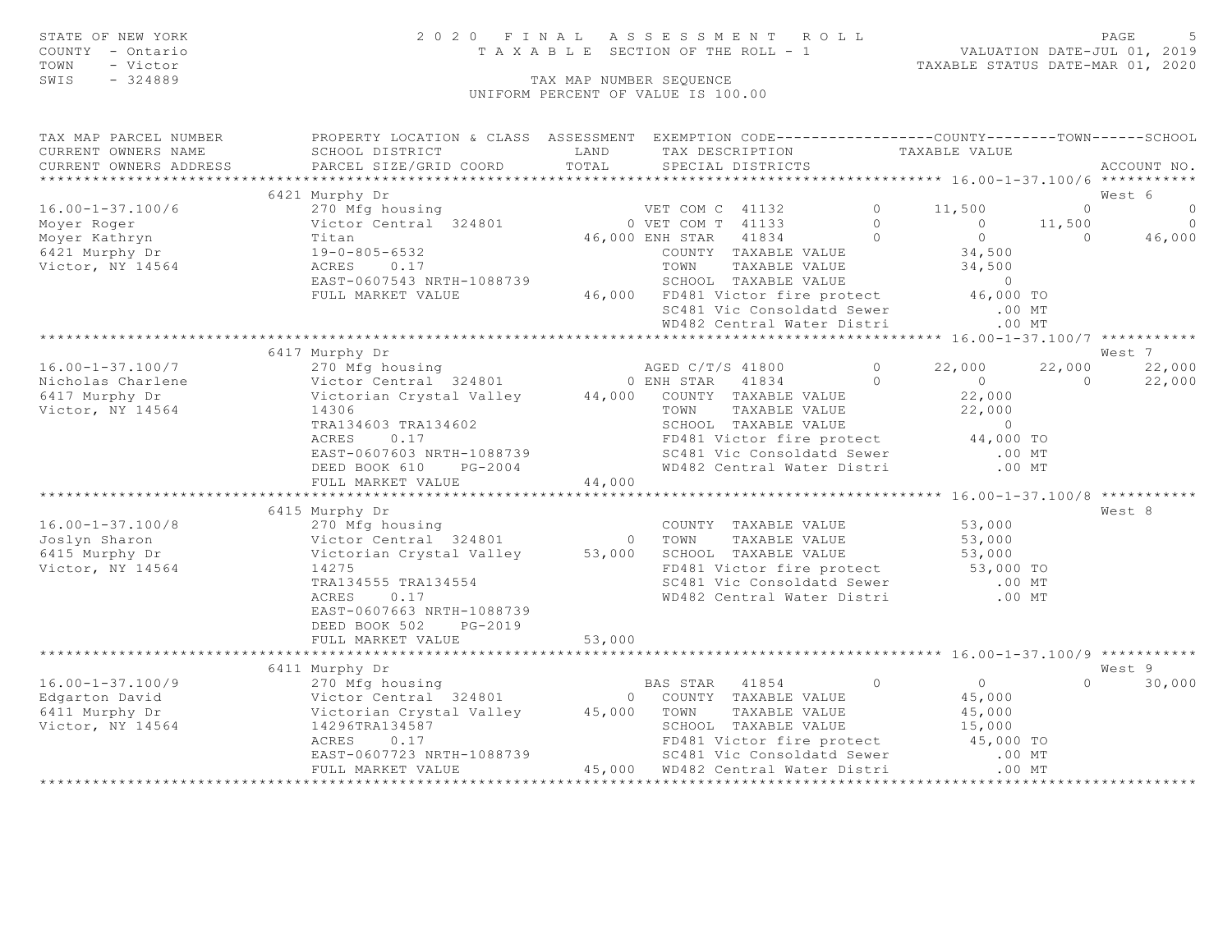| TOWN                                                                               | STATE OF NEW YORK<br>COUNTY - Ontario<br>- Victor |                                                         |      | 2020 FINAL ASSESSMENT ROLL<br>T A X A B L E SECTION OF THE ROLL - 1 |                                                                               | PAGE<br>VALUATION DATE-JUL 01, 2019<br>TAXABLE STATUS DATE-MAR 01, 2020 | 5 |  |  |
|------------------------------------------------------------------------------------|---------------------------------------------------|---------------------------------------------------------|------|---------------------------------------------------------------------|-------------------------------------------------------------------------------|-------------------------------------------------------------------------|---|--|--|
| SWIS<br>$-324889$<br>TAX MAP NUMBER SEQUENCE<br>UNIFORM PERCENT OF VALUE IS 100.00 |                                                   |                                                         |      |                                                                     |                                                                               |                                                                         |   |  |  |
|                                                                                    |                                                   |                                                         |      |                                                                     |                                                                               |                                                                         |   |  |  |
|                                                                                    | TAX MAP PARCEL NUMBER<br>CURRENT OWNERS NAME      | PROPERTY LOCATION & CLASS ASSESSMENT<br>SCHOOL DISTRICT | LAND | TAX DESCRIPTION                                                     | EXEMPTION CODE-----------------COUNTY-------TOWN------SCHOOL<br>TAXABLE VALUE |                                                                         |   |  |  |

| CURRENT OWNERS ADDRESS             | PARCEL SIZE/GRID COORD                                        | TOTAL          | SPECIAL DISTRICTS                    |                                   | ACCOUNT NO.       |
|------------------------------------|---------------------------------------------------------------|----------------|--------------------------------------|-----------------------------------|-------------------|
|                                    |                                                               |                |                                      | **************** 16.00-1-37.100/6 |                   |
| $16.00 - 1 - 37.100/6$             | 6421 Murphy Dr<br>270 Mfg housing                             |                | $\circ$<br>VET COM C 41132           | 11,500<br>$\circ$                 | West 6<br>$\circ$ |
| Moyer Roger                        | Victor Central 324801                                         |                | $\Omega$<br>0 VET COM T 41133        | $\overline{0}$<br>11,500          | $\Omega$          |
| Moyer Kathryn                      | Titan                                                         |                | 46,000 ENH STAR<br>41834<br>$\Omega$ | $\Omega$<br>$\Omega$              | 46,000            |
| 6421 Murphy Dr                     | $19 - 0 - 805 - 6532$                                         |                | COUNTY TAXABLE VALUE                 | 34,500                            |                   |
| Victor, NY 14564                   | 0.17<br>ACRES                                                 |                | TAXABLE VALUE<br>TOWN                | 34,500                            |                   |
|                                    | EAST-0607543 NRTH-1088739                                     |                | SCHOOL TAXABLE VALUE                 | $\circ$                           |                   |
|                                    | FULL MARKET VALUE                                             |                | 46,000 FD481 Victor fire protect     | 46,000 TO                         |                   |
|                                    |                                                               |                | SC481 Vic Consoldatd Sewer           | $.00$ MT                          |                   |
|                                    |                                                               |                | WD482 Central Water Distri           | .00MT                             |                   |
|                                    |                                                               |                |                                      |                                   |                   |
|                                    | 6417 Murphy Dr                                                |                |                                      |                                   | West 7            |
| $16.00 - 1 - 37.100 / 7$           | 270 Mfg housing                                               |                | AGED C/T/S 41800<br>$\bigcirc$       | 22,000<br>22,000                  | 22,000            |
| Nicholas Charlene                  | Victor Central 324801                                         |                | 0 ENH STAR<br>41834<br>$\Omega$      | $\Omega$<br>$\cap$<br>22,000      | 22,000            |
| 6417 Murphy Dr<br>Victor, NY 14564 | Victorian Crystal Valley 44,000 COUNTY TAXABLE VALUE<br>14306 |                | TAXABLE VALUE<br>TOWN                | 22,000                            |                   |
|                                    | TRA134603 TRA134602                                           |                | SCHOOL TAXABLE VALUE                 | $\bigcirc$                        |                   |
|                                    | ACRES<br>0.17                                                 |                | FD481 Victor fire protect            | 44,000 TO                         |                   |
|                                    | EAST-0607603 NRTH-1088739                                     |                | SC481 Vic Consoldatd Sewer           | $.00$ MT                          |                   |
|                                    | DEED BOOK 610<br>PG-2004                                      |                | WD482 Central Water Distri           | .00MT                             |                   |
|                                    | FULL MARKET VALUE                                             | 44,000         |                                      |                                   |                   |
|                                    | ****************************                                  |                |                                      |                                   |                   |
|                                    | 6415 Murphy Dr                                                |                |                                      |                                   | West 8            |
| $16.00 - 1 - 37.100/8$             | 270 Mfg housing                                               |                | COUNTY TAXABLE VALUE                 | 53,000                            |                   |
| Joslyn Sharon                      | Victor Central 324801                                         | $\overline{0}$ | TAXABLE VALUE<br>TOWN                | 53,000                            |                   |
| 6415 Murphy Dr                     | Victorian Crystal Valley 53,000 SCHOOL TAXABLE VALUE          |                |                                      | 53,000                            |                   |
| Victor, NY 14564                   | 14275                                                         |                | FD481 Victor fire protect            | 53,000 TO                         |                   |
|                                    | TRA134555 TRA134554                                           |                | SC481 Vic Consoldatd Sewer           | .00 MT                            |                   |
|                                    | ACRES<br>0.17                                                 |                | WD482 Central Water Distri           | .00MT                             |                   |
|                                    | EAST-0607663 NRTH-1088739                                     |                |                                      |                                   |                   |
|                                    | DEED BOOK 502<br>PG-2019                                      | 53,000         |                                      |                                   |                   |
|                                    | FULL MARKET VALUE                                             |                |                                      |                                   |                   |
|                                    | 6411 Murphy Dr                                                |                |                                      |                                   | West 9            |
| $16.00 - 1 - 37.100/9$             | 270 Mfg housing                                               |                | BAS STAR 41854<br>$\circ$            | $\circ$<br>$\Omega$               | 30,000            |
| Edgarton David                     | Victor Central 324801                                         |                | 0 COUNTY TAXABLE VALUE               | 45,000                            |                   |
| 6411 Murphy Dr                     | Victorian Crystal Valley 45,000 TOWN                          |                | TAXABLE VALUE                        | 45,000                            |                   |
| Victor, NY 14564                   | 14296TRA134587                                                |                | SCHOOL TAXABLE VALUE                 | 15,000                            |                   |
|                                    | 0.17<br>ACRES                                                 |                | FD481 Victor fire protect            | 45,000 TO                         |                   |
|                                    | EAST-0607723 NRTH-1088739                                     |                | SC481 Vic Consoldatd Sewer           | .00 MT                            |                   |
|                                    | FULL MARKET VALUE                                             |                | 45,000 WD482 Central Water Distri    | $.00$ MT                          |                   |
|                                    |                                                               |                |                                      |                                   |                   |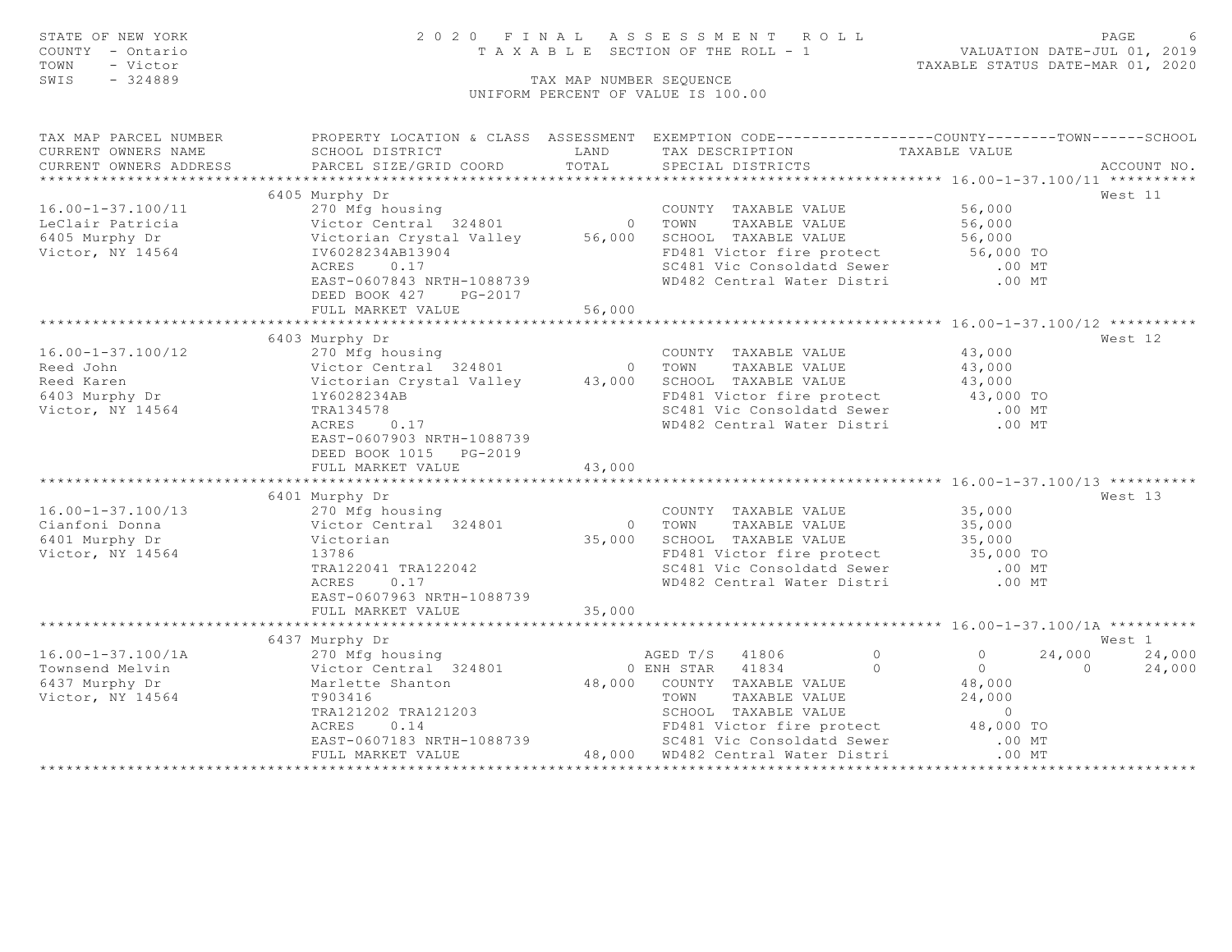| STATE OF NEW YORK<br>COUNTY - Ontario<br>TOWN<br>- Victor<br>$-324889$<br>SWIS             |                                                                                                                                                                                                                                                                                                    | TAX MAP NUMBER SEOUENCE | FINAL ASSESSMENT ROLL (PAGE 6)<br>TAXABLE SECTION OF THE ROLL - 1 VALUATION DATE-JUL 01, 2019<br>TAXABLE STATUS DATE-MAR 01, 2020<br>2020 FINAL ASSESSMENT ROLL                                                                                      |               |                                                        |
|--------------------------------------------------------------------------------------------|----------------------------------------------------------------------------------------------------------------------------------------------------------------------------------------------------------------------------------------------------------------------------------------------------|-------------------------|------------------------------------------------------------------------------------------------------------------------------------------------------------------------------------------------------------------------------------------------------|---------------|--------------------------------------------------------|
|                                                                                            |                                                                                                                                                                                                                                                                                                    |                         | UNIFORM PERCENT OF VALUE IS 100.00                                                                                                                                                                                                                   |               |                                                        |
| TAX MAP PARCEL NUMBER<br>CURRENT OWNERS NAME<br>CURRENT OWNERS ADDRESS                     | PROPERTY LOCATION & CLASS ASSESSMENT EXEMPTION CODE----------------COUNTY-------TOWN-----SCHOOL<br>SCHOOL DISTRICT<br>PARCEL SIZE/GRID COORD                                                                                                                                                       |                         | LAND TAX DESCRIPTION<br>TOTAL SPECIAL DISTRICTS                                                                                                                                                                                                      | TAXABLE VALUE | ACCOUNT NO.                                            |
|                                                                                            | FULL MARKET VALUE                                                                                                                                                                                                                                                                                  | 56,000                  |                                                                                                                                                                                                                                                      |               | West 11                                                |
| $16.00 - 1 - 37.100 / 12$<br>Reed John<br>Reed Karen<br>6403 Murphy Dr<br>Victor, NY 14564 | %6403 Murphy Dr<br>270 Mfg housing<br>Victor Central 324801 0 TOWN TAXABLE VALUE 43,000<br>Victorian Crystal Valley 43,000 SCHOOL TAXABLE VALUE 43,000<br>186028234AB 196028234AB FD481 Victor fire protect 43,000 TO<br>TRA134578 SC481<br>EAST-0607903 NRTH-1088739<br>DEED BOOK 1015    PG-2019 |                         |                                                                                                                                                                                                                                                      |               | West 12                                                |
|                                                                                            | FULL MARKET VALUE                                                                                                                                                                                                                                                                                  | 43,000                  |                                                                                                                                                                                                                                                      |               |                                                        |
| $16.00 - 1 - 37.100 / 13$<br>Cianfoni Donna<br>6401 Murphy Dr<br>Victor, NY 14564          |                                                                                                                                                                                                                                                                                                    |                         |                                                                                                                                                                                                                                                      |               | West 13                                                |
|                                                                                            |                                                                                                                                                                                                                                                                                                    |                         |                                                                                                                                                                                                                                                      |               |                                                        |
|                                                                                            | TRA121202 TRA121203<br>ACRES 0.14                                                                                                                                                                                                                                                                  |                         | EXAMPLE VALUE<br>ACRES 0.14<br>EAST-0607183 NRTH-1088739<br>FULL MARKET VALUE<br>FULL MARKET VALUE<br>FULL MARKET VALUE<br>FULL MARKET VALUE<br>FULL MARKET VALUE<br>FULL MARKET VALUE<br>FULL MARKET VALUE<br>FULL MARKET VALUE<br>FULL MARKET VALU |               | West 1<br>24,000<br>24,000<br>$\overline{0}$<br>24,000 |
|                                                                                            |                                                                                                                                                                                                                                                                                                    |                         |                                                                                                                                                                                                                                                      |               |                                                        |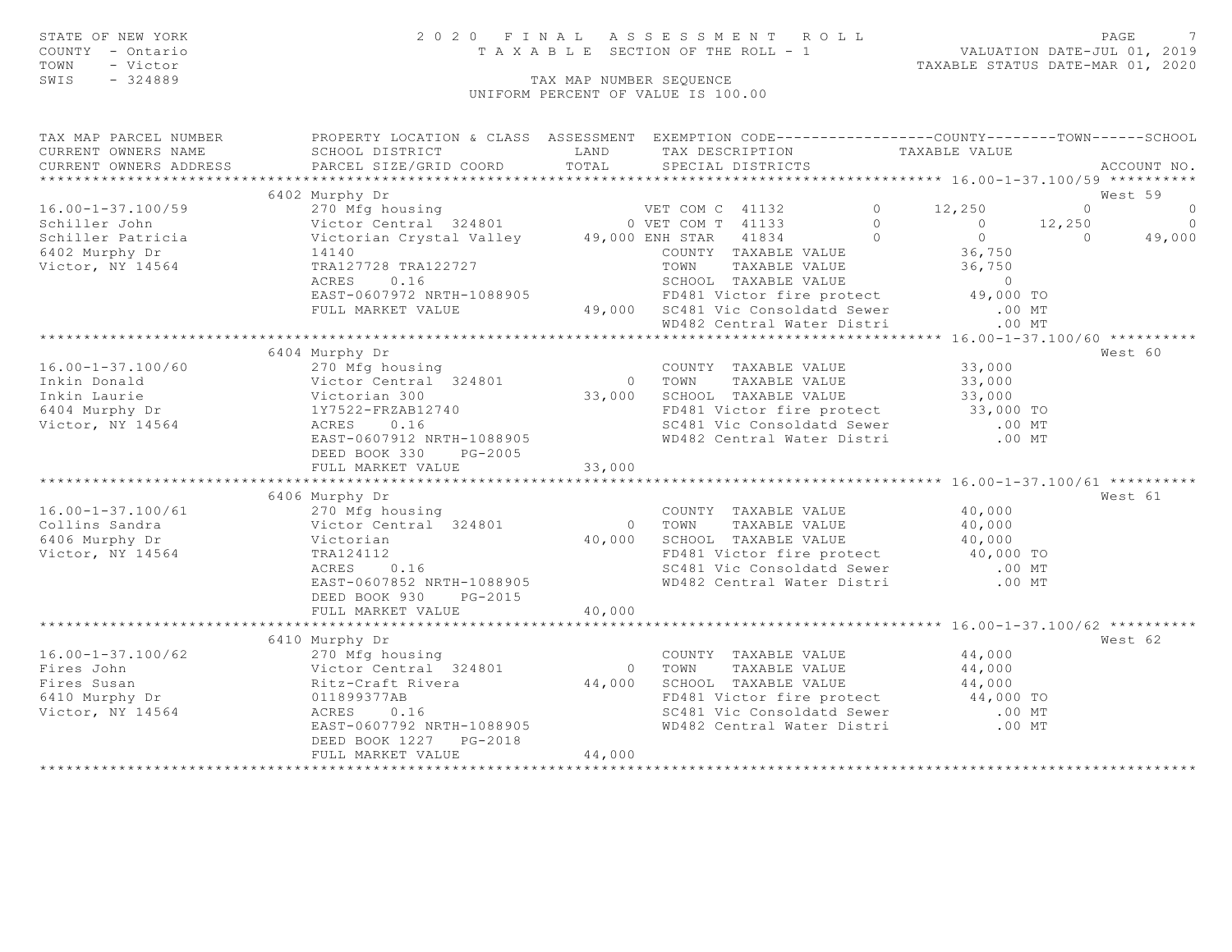| STATE OF NEW YORK<br>COUNTY - Ontario<br>TOWN<br>- Victor<br>SWIS<br>$-324889$                        | 2 0 2 0                                                                                                                                                                                                                                                                                                     | FINAL<br>TAX MAP NUMBER SEQUENCE | ASSESSMENT ROLL<br>UNIFORM PERCENT OF VALUE IS 100.00                                                                                                                                                                                                                                                           |                                                                                    | PAGE        |
|-------------------------------------------------------------------------------------------------------|-------------------------------------------------------------------------------------------------------------------------------------------------------------------------------------------------------------------------------------------------------------------------------------------------------------|----------------------------------|-----------------------------------------------------------------------------------------------------------------------------------------------------------------------------------------------------------------------------------------------------------------------------------------------------------------|------------------------------------------------------------------------------------|-------------|
|                                                                                                       |                                                                                                                                                                                                                                                                                                             |                                  |                                                                                                                                                                                                                                                                                                                 |                                                                                    |             |
| CURRENT OWNERS NAME<br>CURRENT OWNERS ADDRESS                                                         | TAX MAP PARCEL NUMBER <a> PROPERTY LOCATION &amp; CLASS ASSESSMENT EXEMPTION CODE--------------COUNTY-------TOWN------SCHOOL</a>                                                                                                                                                                            |                                  |                                                                                                                                                                                                                                                                                                                 | TAXABLE VALUE                                                                      | ACCOUNT NO. |
|                                                                                                       |                                                                                                                                                                                                                                                                                                             |                                  |                                                                                                                                                                                                                                                                                                                 |                                                                                    |             |
| $16.00 - 1 - 37.100 / 59$<br>Schiller John<br>Schiller Patricia<br>6402 Murphy Dr<br>Victor, NY 14564 | 270 Mfg housing<br>VET COM C 41132 0 12,250 0 0<br>Victor Central 324801 0 VET COM T 41133 0 0 12,250 0<br>Victorian Crystal Valley 49,000 ENH STAR 41834 0 0 12,250 0<br>149,000 ENH STAR 41834 0 0 0 49,000<br>TRYABLE VALUE 36.750 36<br>TRA127728 TRA122727<br>ACRES 0.16<br>TAGE 111<br>6404 Murphy Dr |                                  | TRA127728 TRA122727<br>TRA127728 TRA122727<br>ACRES 0.16<br>EAST-0607972 NRTH-1088905<br>FULL MARKET VALUE 49,000 SC481 Victor fire protect 49,000 TO<br>FULL MARKET VALUE 49,000 SC481 Victor Schipping of the constant of the constant<br>WD482 Central Water Distri<br>COUNTY TAXABLE VALUE<br>TAXABLE VALUE | $0$<br>36,750<br>36,750<br>$.00$ MT<br>33,000<br>33,000                            | West 60     |
|                                                                                                       | 16.00-1-37.100/60<br>Inkin Donald<br>Inkin Laurie (1990)<br>17522-FRZAB12740<br>Victor, NY 14564<br>Victor, NY 14564<br>CRES 0.16<br>EAST-0607912 NRTH-1088905<br>DEED BOOK 330 PG-2005<br>FULL MARKET VALUE                                                                                                | 33,000                           | 0 TOWN TAXABLE VALUE<br>33,000 SCHOOL TAXABLE VALUE<br>FD481 Victor fire prot<br>5C481 Vic Consoldatd :<br>FD481 Victor fire protect 33,000 TO<br>SC481 Vic Consoldatd Sewer .00 MT<br>WD482 Central Water Distri .00 MT                                                                                        | 33,000                                                                             |             |
|                                                                                                       | 6406 Murphy Dr                                                                                                                                                                                                                                                                                              |                                  |                                                                                                                                                                                                                                                                                                                 | *********************** 16.00-1-37.100/61 **********                               | West 61     |
| $16.00 - 1 - 37.100/61$<br>Collins Sandra<br>6406 Murphy Dr<br>Victor, NY 14564                       | 270 Mfg housing<br>Victor Central 324801<br>Victorian<br>TRA124112<br>0.16<br>ACRES<br>EAST-0607852 NRTH-1088905<br>DEED BOOK 930 PG-2015                                                                                                                                                                   |                                  | COUNTY TAXABLE VALUE 40,000<br>0 TOWN TAXABLE VALUE<br>40,000 SCHOOL TAXABLE VALUE<br>FD481 Victor fire protect 40,000 TO<br>SC481 Vic Consoldatd Sewer .00 MT<br>WD482 Central Water Distri                                                                                                                    | $40,000$<br>$40,000$<br>$.00$ MT                                                   |             |
|                                                                                                       | FULL MARKET VALUE                                                                                                                                                                                                                                                                                           | 40,000                           |                                                                                                                                                                                                                                                                                                                 |                                                                                    |             |
|                                                                                                       | Fires John<br>Fires Susan<br>Fires Susan<br>Fires Susan<br>Fires Susan<br>Fires Susan<br>Fires Susan<br>Ritz-Craft Rivera<br>Ritz-Craft Rivera<br>Murphy Dr. 011899377AB<br>Victor, NY 14564<br>The CRES<br>COLORES<br>COLORES<br>COLORES<br>EAST-0607792 NRTH-1088905<br>DEED BOOK 1227    PG-2018         | $0$ TOWN                         | COUNTY TAXABLE VALUE<br>TAXABLE VALUE<br>44,000 SCHOOL TAXABLE VALUE 44,000<br>FD481 Victor fire protect 44,000 TO<br>SC481 Vic Consoldatd Sewer .00 MT<br>WD482 Central Water Distri .00 MT                                                                                                                    | *****************************16.00-1-37.100/62 ***********<br>$44,000$<br>$44,000$ | West 62     |
|                                                                                                       | FULL MARKET VALUE                                                                                                                                                                                                                                                                                           | 44,000                           |                                                                                                                                                                                                                                                                                                                 |                                                                                    |             |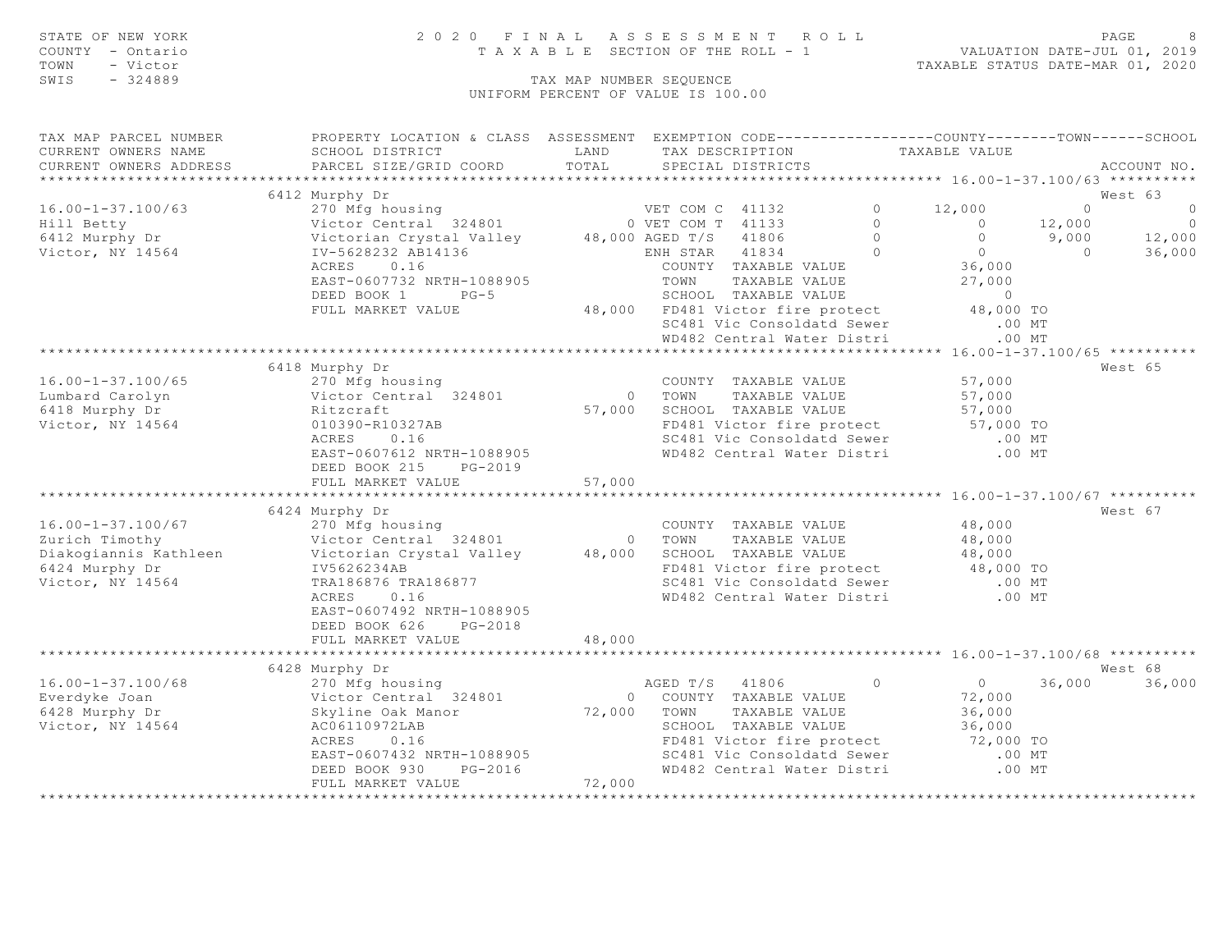| STATE OF NEW YORK<br>COUNTY - Ontario<br>TOWN<br>- Victor<br>SWIS - 324889 |                                                                                                                                                                                                                                                                                |        | 2020 FINAL ASSESSMENT ROLL<br>T A X A B L E SECTION OF THE ROLL - 1 VALUATION DATE-JUL 01, 2019<br>TAXABLE STATUS DATE-MAR 01, 2020<br>TAX MAP NUMBER SEQUENCE<br>UNIFORM PERCENT OF VALUE IS 100.00                                                          |                  | PAGE |             |
|----------------------------------------------------------------------------|--------------------------------------------------------------------------------------------------------------------------------------------------------------------------------------------------------------------------------------------------------------------------------|--------|---------------------------------------------------------------------------------------------------------------------------------------------------------------------------------------------------------------------------------------------------------------|------------------|------|-------------|
| TAX MAP PARCEL NUMBER<br>CURRENT OWNERS NAME<br>CURRENT OWNERS ADDRESS     | PROPERTY LOCATION & CLASS ASSESSMENT EXEMPTION CODE-----------------COUNTY-------TOWN------SCHOOL<br>SCHOOL DISTRICT                     LAND       TAX DESCRIPTION                 TAXABLE VALUE<br>PARCEL SIZE/GRID COORD TOTAL                                              |        | SPECIAL DISTRICTS                                                                                                                                                                                                                                             |                  |      | ACCOUNT NO. |
|                                                                            |                                                                                                                                                                                                                                                                                |        |                                                                                                                                                                                                                                                               |                  |      |             |
|                                                                            | 6412 Murphy Dr                                                                                                                                                                                                                                                                 |        |                                                                                                                                                                                                                                                               |                  |      | West 63     |
|                                                                            |                                                                                                                                                                                                                                                                                |        |                                                                                                                                                                                                                                                               |                  |      |             |
|                                                                            |                                                                                                                                                                                                                                                                                |        |                                                                                                                                                                                                                                                               |                  |      |             |
|                                                                            | EAST-0607612 NRTH-1088905<br>DEED BOOK 215 PG-2019<br>FULL MARKET VALUE                                                                                                                                                                                                        | 57,000 | COUNTY TAXABLE VALUE<br>COUNTY TAAABLE VALUE<br>0 TOWN TAXABLE VALUE 57,000<br>SCHOOL TAXABLE VALUE 57,000<br>FD481 Victor fire protect 57,000 TO<br>SC481 Victor fire protect 57,000 TO<br>SC481 Victor schooldad Sewer .00 MT<br>WD482 Central Water Distri | 57,000<br>.00 MT |      | West 65     |
|                                                                            | 6424 Murphy Dr                                                                                                                                                                                                                                                                 |        |                                                                                                                                                                                                                                                               |                  |      | West 67     |
|                                                                            | EAST-0607492 NRTH-1088905<br>DEED BOOK 626 PG-2018                                                                                                                                                                                                                             |        |                                                                                                                                                                                                                                                               |                  |      |             |
|                                                                            | FULL MARKET VALUE                                                                                                                                                                                                                                                              | 48,000 |                                                                                                                                                                                                                                                               |                  |      |             |
|                                                                            | 6428 Murphy Dr<br>16.00-1-37.100/68<br>Everdyke Joan (1992) 270 Mfg housing<br>Everdyke Joan (1992) 270 Mfg housing<br>Skyline Oak Manor (1992) 21,000 TOWN TAXABLE VALUE 72,000<br>Victor, NY 14564 ACO6110972LAB (1992) 2016<br>Victor, NY 14564 ACO611<br>FULL MARKET VALUE | 72,000 |                                                                                                                                                                                                                                                               |                  |      | West 68     |
|                                                                            |                                                                                                                                                                                                                                                                                |        |                                                                                                                                                                                                                                                               |                  |      |             |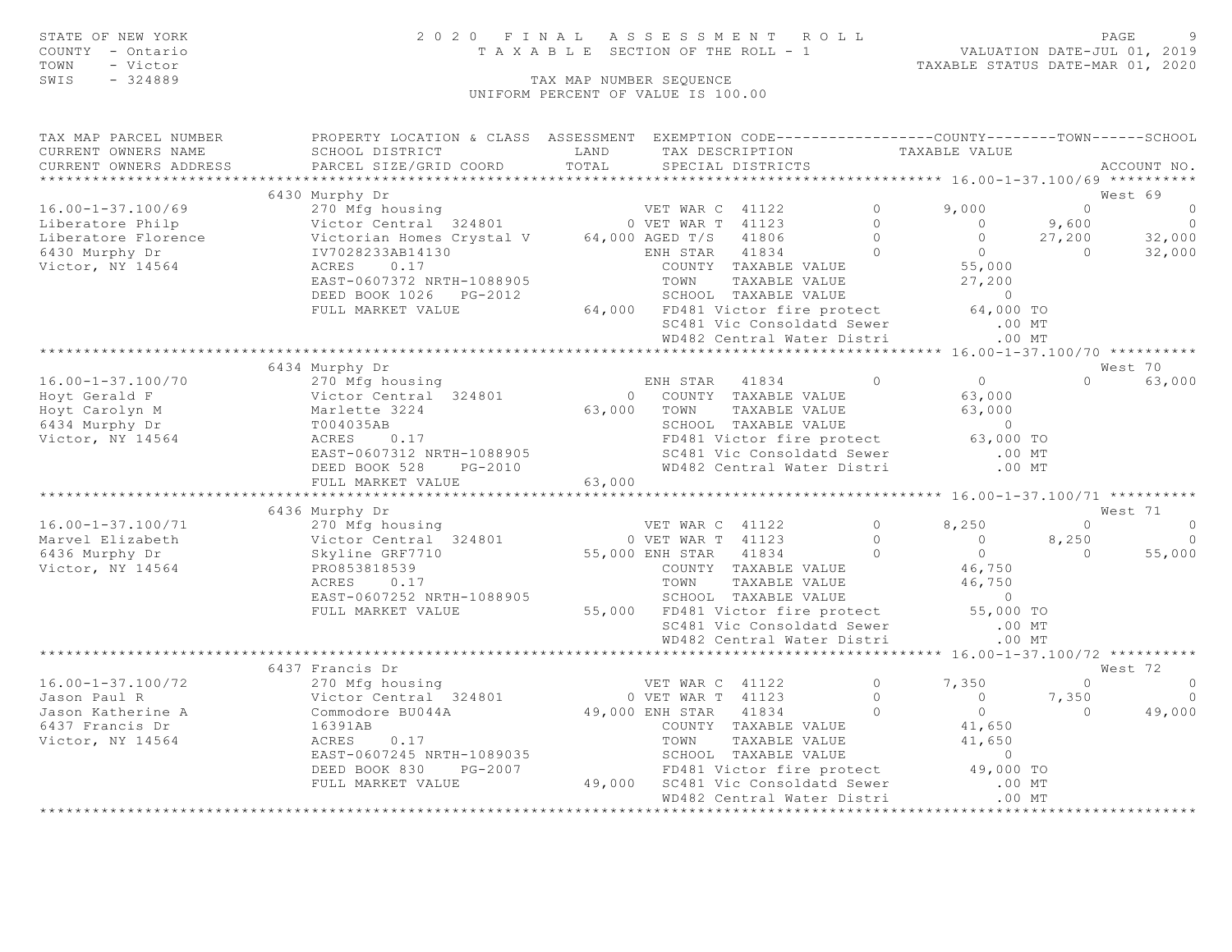| TAX MAP PARCEL NUMBER PROPERTY LOCATION & CLASS ASSESSMENT EXEMPTION CODE---------------COUNTY--------TOWN------SCHOOL<br>SCHOOL DISTRICT                      LAND       TAX DESCRIPTION                TAXABLE VALUE<br>CURRENT OWNERS NAME<br>PARCEL SIZE/GRID COORD TOTAL<br>SPECIAL DISTRICTS<br>CURRENT OWNERS ADDRESS<br>ACCOUNT NO.<br>6430 Murphy Dr<br>West 69<br>West 70<br>0 63,000<br>6436 Murphy Dr<br>West 71<br>.00 MT<br>.00 MT<br>WD482 Central Water Distri<br>.00MT<br>6437 Francis Dr<br>West 72<br>$\begin{array}{cccccccc} 16.00-1-37.100/72 & 6437 & \text{Francis Dr} & \text{West 72} & 0 & 7,350 & 0 & 7,350 \\ Jason Paul R & 270 Mg & \text{housing} & 0 & 0 & 7,350 & 0 \\ Jason Katherine A & Commodore BU044A & 49,000 EN RST R14834 & 0 & 0 & 7,350 & 0 \\ Jason Katherine A & Commodore BU044A & 49,000 EN RST R14834 & 0 & 0 & 7,350 & 0 \\ 6437 Fracis Dr & 16391AB$<br>$\circ$<br>$\overline{0}$<br>$\circ$<br>49,000 | STATE OF NEW YORK<br>COUNTY - Ontario<br>TOWN - Victor<br>SWIS - 324889 |  | 0 FINAL ASSESSMENT ROLL<br>TAXABLE SECTION OF THE ROLL - 1 VALUATION DATE-JUL 01, 2019<br>TAXABLE STATUS DATE-MAR 01, 2020<br>2020 FINAL ASSESSMENT ROLL<br>TAX MAP NUMBER SEQUENCE<br>UNIFORM PERCENT OF VALUE IS 100.00 |  |  |
|------------------------------------------------------------------------------------------------------------------------------------------------------------------------------------------------------------------------------------------------------------------------------------------------------------------------------------------------------------------------------------------------------------------------------------------------------------------------------------------------------------------------------------------------------------------------------------------------------------------------------------------------------------------------------------------------------------------------------------------------------------------------------------------------------------------------------------------------------------------------------------------------------------------------------------------------------------|-------------------------------------------------------------------------|--|---------------------------------------------------------------------------------------------------------------------------------------------------------------------------------------------------------------------------|--|--|
|                                                                                                                                                                                                                                                                                                                                                                                                                                                                                                                                                                                                                                                                                                                                                                                                                                                                                                                                                            |                                                                         |  |                                                                                                                                                                                                                           |  |  |
|                                                                                                                                                                                                                                                                                                                                                                                                                                                                                                                                                                                                                                                                                                                                                                                                                                                                                                                                                            |                                                                         |  |                                                                                                                                                                                                                           |  |  |
|                                                                                                                                                                                                                                                                                                                                                                                                                                                                                                                                                                                                                                                                                                                                                                                                                                                                                                                                                            |                                                                         |  |                                                                                                                                                                                                                           |  |  |
|                                                                                                                                                                                                                                                                                                                                                                                                                                                                                                                                                                                                                                                                                                                                                                                                                                                                                                                                                            |                                                                         |  |                                                                                                                                                                                                                           |  |  |
|                                                                                                                                                                                                                                                                                                                                                                                                                                                                                                                                                                                                                                                                                                                                                                                                                                                                                                                                                            |                                                                         |  |                                                                                                                                                                                                                           |  |  |
|                                                                                                                                                                                                                                                                                                                                                                                                                                                                                                                                                                                                                                                                                                                                                                                                                                                                                                                                                            |                                                                         |  |                                                                                                                                                                                                                           |  |  |
|                                                                                                                                                                                                                                                                                                                                                                                                                                                                                                                                                                                                                                                                                                                                                                                                                                                                                                                                                            |                                                                         |  |                                                                                                                                                                                                                           |  |  |
|                                                                                                                                                                                                                                                                                                                                                                                                                                                                                                                                                                                                                                                                                                                                                                                                                                                                                                                                                            |                                                                         |  |                                                                                                                                                                                                                           |  |  |
|                                                                                                                                                                                                                                                                                                                                                                                                                                                                                                                                                                                                                                                                                                                                                                                                                                                                                                                                                            |                                                                         |  |                                                                                                                                                                                                                           |  |  |
|                                                                                                                                                                                                                                                                                                                                                                                                                                                                                                                                                                                                                                                                                                                                                                                                                                                                                                                                                            |                                                                         |  |                                                                                                                                                                                                                           |  |  |
|                                                                                                                                                                                                                                                                                                                                                                                                                                                                                                                                                                                                                                                                                                                                                                                                                                                                                                                                                            |                                                                         |  |                                                                                                                                                                                                                           |  |  |
|                                                                                                                                                                                                                                                                                                                                                                                                                                                                                                                                                                                                                                                                                                                                                                                                                                                                                                                                                            |                                                                         |  |                                                                                                                                                                                                                           |  |  |
|                                                                                                                                                                                                                                                                                                                                                                                                                                                                                                                                                                                                                                                                                                                                                                                                                                                                                                                                                            |                                                                         |  |                                                                                                                                                                                                                           |  |  |
|                                                                                                                                                                                                                                                                                                                                                                                                                                                                                                                                                                                                                                                                                                                                                                                                                                                                                                                                                            |                                                                         |  |                                                                                                                                                                                                                           |  |  |
|                                                                                                                                                                                                                                                                                                                                                                                                                                                                                                                                                                                                                                                                                                                                                                                                                                                                                                                                                            |                                                                         |  |                                                                                                                                                                                                                           |  |  |
|                                                                                                                                                                                                                                                                                                                                                                                                                                                                                                                                                                                                                                                                                                                                                                                                                                                                                                                                                            |                                                                         |  |                                                                                                                                                                                                                           |  |  |
|                                                                                                                                                                                                                                                                                                                                                                                                                                                                                                                                                                                                                                                                                                                                                                                                                                                                                                                                                            |                                                                         |  |                                                                                                                                                                                                                           |  |  |
|                                                                                                                                                                                                                                                                                                                                                                                                                                                                                                                                                                                                                                                                                                                                                                                                                                                                                                                                                            |                                                                         |  |                                                                                                                                                                                                                           |  |  |
|                                                                                                                                                                                                                                                                                                                                                                                                                                                                                                                                                                                                                                                                                                                                                                                                                                                                                                                                                            |                                                                         |  |                                                                                                                                                                                                                           |  |  |
|                                                                                                                                                                                                                                                                                                                                                                                                                                                                                                                                                                                                                                                                                                                                                                                                                                                                                                                                                            |                                                                         |  |                                                                                                                                                                                                                           |  |  |
|                                                                                                                                                                                                                                                                                                                                                                                                                                                                                                                                                                                                                                                                                                                                                                                                                                                                                                                                                            |                                                                         |  |                                                                                                                                                                                                                           |  |  |
|                                                                                                                                                                                                                                                                                                                                                                                                                                                                                                                                                                                                                                                                                                                                                                                                                                                                                                                                                            |                                                                         |  |                                                                                                                                                                                                                           |  |  |
|                                                                                                                                                                                                                                                                                                                                                                                                                                                                                                                                                                                                                                                                                                                                                                                                                                                                                                                                                            |                                                                         |  |                                                                                                                                                                                                                           |  |  |
|                                                                                                                                                                                                                                                                                                                                                                                                                                                                                                                                                                                                                                                                                                                                                                                                                                                                                                                                                            |                                                                         |  |                                                                                                                                                                                                                           |  |  |
|                                                                                                                                                                                                                                                                                                                                                                                                                                                                                                                                                                                                                                                                                                                                                                                                                                                                                                                                                            |                                                                         |  |                                                                                                                                                                                                                           |  |  |
|                                                                                                                                                                                                                                                                                                                                                                                                                                                                                                                                                                                                                                                                                                                                                                                                                                                                                                                                                            |                                                                         |  |                                                                                                                                                                                                                           |  |  |
|                                                                                                                                                                                                                                                                                                                                                                                                                                                                                                                                                                                                                                                                                                                                                                                                                                                                                                                                                            |                                                                         |  |                                                                                                                                                                                                                           |  |  |
|                                                                                                                                                                                                                                                                                                                                                                                                                                                                                                                                                                                                                                                                                                                                                                                                                                                                                                                                                            |                                                                         |  |                                                                                                                                                                                                                           |  |  |
|                                                                                                                                                                                                                                                                                                                                                                                                                                                                                                                                                                                                                                                                                                                                                                                                                                                                                                                                                            |                                                                         |  |                                                                                                                                                                                                                           |  |  |
|                                                                                                                                                                                                                                                                                                                                                                                                                                                                                                                                                                                                                                                                                                                                                                                                                                                                                                                                                            |                                                                         |  |                                                                                                                                                                                                                           |  |  |
|                                                                                                                                                                                                                                                                                                                                                                                                                                                                                                                                                                                                                                                                                                                                                                                                                                                                                                                                                            |                                                                         |  |                                                                                                                                                                                                                           |  |  |
|                                                                                                                                                                                                                                                                                                                                                                                                                                                                                                                                                                                                                                                                                                                                                                                                                                                                                                                                                            |                                                                         |  |                                                                                                                                                                                                                           |  |  |
|                                                                                                                                                                                                                                                                                                                                                                                                                                                                                                                                                                                                                                                                                                                                                                                                                                                                                                                                                            |                                                                         |  |                                                                                                                                                                                                                           |  |  |
|                                                                                                                                                                                                                                                                                                                                                                                                                                                                                                                                                                                                                                                                                                                                                                                                                                                                                                                                                            |                                                                         |  |                                                                                                                                                                                                                           |  |  |
|                                                                                                                                                                                                                                                                                                                                                                                                                                                                                                                                                                                                                                                                                                                                                                                                                                                                                                                                                            |                                                                         |  |                                                                                                                                                                                                                           |  |  |
|                                                                                                                                                                                                                                                                                                                                                                                                                                                                                                                                                                                                                                                                                                                                                                                                                                                                                                                                                            |                                                                         |  |                                                                                                                                                                                                                           |  |  |
|                                                                                                                                                                                                                                                                                                                                                                                                                                                                                                                                                                                                                                                                                                                                                                                                                                                                                                                                                            |                                                                         |  |                                                                                                                                                                                                                           |  |  |
|                                                                                                                                                                                                                                                                                                                                                                                                                                                                                                                                                                                                                                                                                                                                                                                                                                                                                                                                                            |                                                                         |  |                                                                                                                                                                                                                           |  |  |
|                                                                                                                                                                                                                                                                                                                                                                                                                                                                                                                                                                                                                                                                                                                                                                                                                                                                                                                                                            |                                                                         |  |                                                                                                                                                                                                                           |  |  |
|                                                                                                                                                                                                                                                                                                                                                                                                                                                                                                                                                                                                                                                                                                                                                                                                                                                                                                                                                            |                                                                         |  |                                                                                                                                                                                                                           |  |  |
|                                                                                                                                                                                                                                                                                                                                                                                                                                                                                                                                                                                                                                                                                                                                                                                                                                                                                                                                                            |                                                                         |  |                                                                                                                                                                                                                           |  |  |
|                                                                                                                                                                                                                                                                                                                                                                                                                                                                                                                                                                                                                                                                                                                                                                                                                                                                                                                                                            |                                                                         |  |                                                                                                                                                                                                                           |  |  |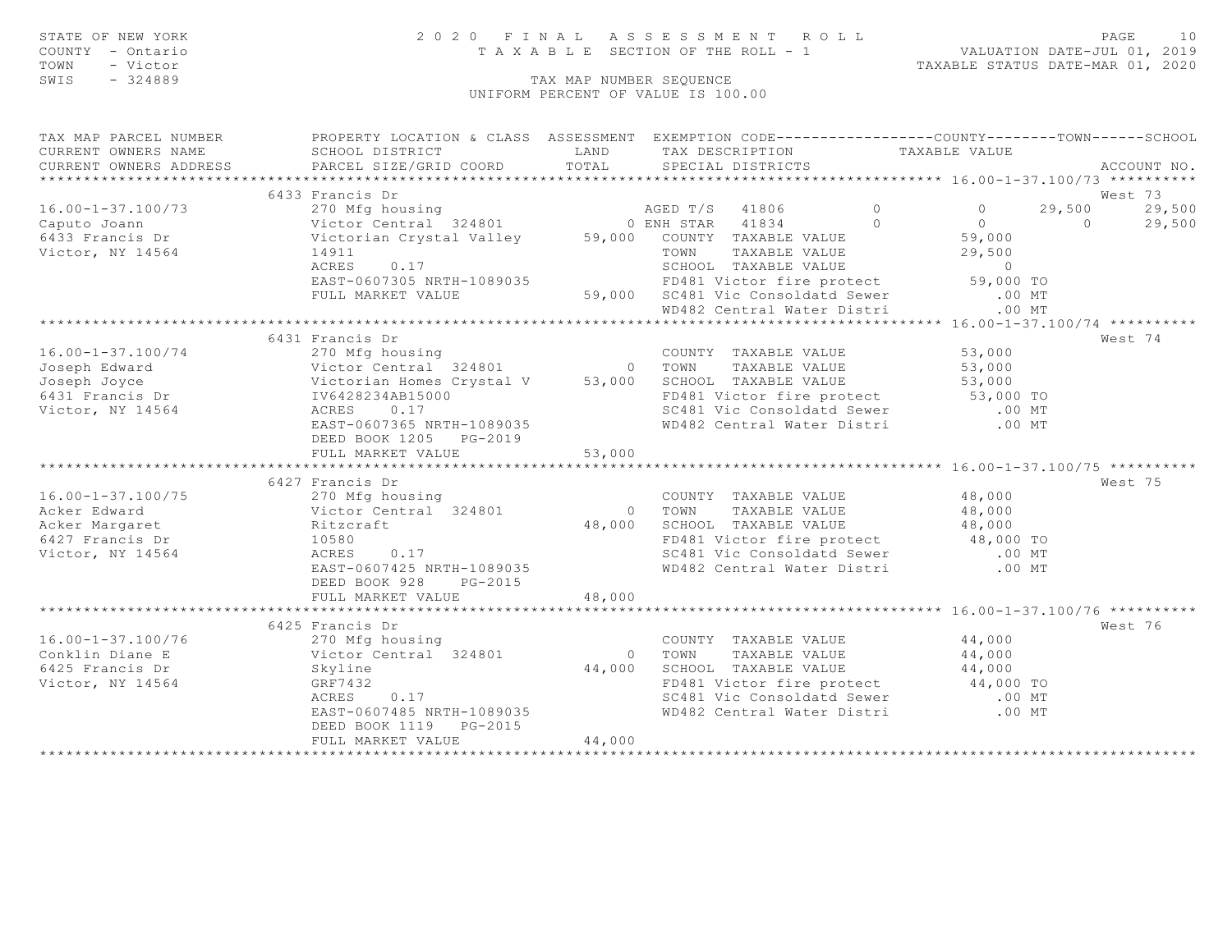| STATE OF NEW YORK<br>COUNTY - Ontario |                                                                                                                                                                                                                                                        |                                  | PAGE 10<br>TAXABLE SECTION OF THE ROLL - 1 VALUATION DATE-JUL 01, 2019<br>2020 FINAL ASSESSMENT                                                                       |                                                                |             |
|---------------------------------------|--------------------------------------------------------------------------------------------------------------------------------------------------------------------------------------------------------------------------------------------------------|----------------------------------|-----------------------------------------------------------------------------------------------------------------------------------------------------------------------|----------------------------------------------------------------|-------------|
| TOWN<br>- Victor                      |                                                                                                                                                                                                                                                        | TAXABLE STATUS DATE-MAR 01, 2020 |                                                                                                                                                                       |                                                                |             |
| SWIS<br>$-324889$                     | TAX MAP NUMBER SEQUENCE                                                                                                                                                                                                                                |                                  |                                                                                                                                                                       |                                                                |             |
|                                       |                                                                                                                                                                                                                                                        |                                  | UNIFORM PERCENT OF VALUE IS 100.00                                                                                                                                    |                                                                |             |
|                                       |                                                                                                                                                                                                                                                        |                                  |                                                                                                                                                                       |                                                                |             |
|                                       | TAX MAP PARCEL NUMBER THE PROPERTY LOCATION & CLASS ASSESSMENT EXEMPTION CODE--------------COUNTY-------TOWN------SCHOOL                                                                                                                               |                                  |                                                                                                                                                                       |                                                                |             |
| CURRENT OWNERS NAME                   | SCHOOL DISTRICT                                                                                                                                                                                                                                        |                                  | LAND TAX DESCRIPTION                                                                                                                                                  | TAXABLE VALUE                                                  |             |
| CURRENT OWNERS ADDRESS                | PARCEL SIZE/GRID COORD                                                                                                                                                                                                                                 | TOTAL                            | SPECIAL DISTRICTS                                                                                                                                                     |                                                                | ACCOUNT NO. |
|                                       |                                                                                                                                                                                                                                                        |                                  |                                                                                                                                                                       |                                                                |             |
|                                       | 6433 Francis Dr                                                                                                                                                                                                                                        |                                  |                                                                                                                                                                       |                                                                | West 73     |
| $16.00 - 1 - 37.100 / 73$             | 270 Mfg housing<br>270 Mfg housing<br>Victor Central 324801 0 ENH STAR 41834 0 0 0<br>Victorian Crystal Valley 59,000 COUNTY TAXABLE VALUE 59,000<br>TOWNTY TAXABLE VALUE 59,000 59,000                                                                |                                  |                                                                                                                                                                       | 29,500                                                         | 29,500      |
| Caputo Joann                          |                                                                                                                                                                                                                                                        |                                  |                                                                                                                                                                       | $\overline{0}$                                                 | 29,500      |
| 6433 Francis Dr                       |                                                                                                                                                                                                                                                        |                                  |                                                                                                                                                                       |                                                                |             |
| Victor, NY 14564                      | 14911                                                                                                                                                                                                                                                  |                                  | TAXABLE VALUE<br>TOWN                                                                                                                                                 | 29,500                                                         |             |
|                                       | 0.17                                                                                                                                                                                                                                                   |                                  | SCHOOL TAXABLE VALUE                                                                                                                                                  | $\overline{0}$                                                 |             |
|                                       |                                                                                                                                                                                                                                                        |                                  | EAST-0607305 NRTH-1089035<br>EAST-0607305 NRTH-1089035<br>FULL MARKET VALUE 59,000 SC481 Vic Consoldatd Sewer<br>WD482 Central Water Distri                           | 59,000 TO                                                      |             |
|                                       |                                                                                                                                                                                                                                                        |                                  |                                                                                                                                                                       | .00 MT                                                         |             |
|                                       |                                                                                                                                                                                                                                                        |                                  |                                                                                                                                                                       | $.00$ MT                                                       |             |
|                                       |                                                                                                                                                                                                                                                        |                                  |                                                                                                                                                                       |                                                                |             |
|                                       |                                                                                                                                                                                                                                                        |                                  |                                                                                                                                                                       |                                                                | West 74     |
|                                       |                                                                                                                                                                                                                                                        |                                  |                                                                                                                                                                       |                                                                |             |
|                                       |                                                                                                                                                                                                                                                        |                                  |                                                                                                                                                                       |                                                                |             |
|                                       |                                                                                                                                                                                                                                                        |                                  |                                                                                                                                                                       |                                                                |             |
|                                       |                                                                                                                                                                                                                                                        |                                  |                                                                                                                                                                       |                                                                |             |
|                                       |                                                                                                                                                                                                                                                        |                                  |                                                                                                                                                                       |                                                                |             |
|                                       |                                                                                                                                                                                                                                                        |                                  |                                                                                                                                                                       |                                                                |             |
|                                       | DEED BOOK 1205 PG-2019                                                                                                                                                                                                                                 |                                  |                                                                                                                                                                       |                                                                |             |
|                                       | FULL MARKET VALUE                                                                                                                                                                                                                                      | 53,000                           |                                                                                                                                                                       |                                                                |             |
|                                       |                                                                                                                                                                                                                                                        |                                  |                                                                                                                                                                       |                                                                |             |
|                                       | 6427 Francis Dr                                                                                                                                                                                                                                        |                                  |                                                                                                                                                                       |                                                                | West 75     |
|                                       | 16.00-1-37.100/75<br>Acker Edward<br>Acker Edward<br>Acker Margaret<br>6427 Francis Dr. 10580<br>Victor, NY 14564<br>270 Mfg housing<br>270 Mfg housing<br>270 Mfg housing<br>270 Mfg housing<br>270 Mfg housing<br>270 Mfg housing<br>270 Mfg housing |                                  | COUNTY TAXABLE VALUE                                                                                                                                                  | 48,000                                                         |             |
|                                       |                                                                                                                                                                                                                                                        | $0$ TOWN                         | TAXABLE VALUE                                                                                                                                                         | 48,000<br>48,000                                               |             |
|                                       |                                                                                                                                                                                                                                                        |                                  | 48,000 SCHOOL TAXABLE VALUE                                                                                                                                           |                                                                |             |
|                                       |                                                                                                                                                                                                                                                        |                                  |                                                                                                                                                                       |                                                                |             |
|                                       |                                                                                                                                                                                                                                                        |                                  | FD481 Victor fire protect 48,000 TO<br>SC481 Vic Consoldatd Sewer .00 MT                                                                                              |                                                                |             |
|                                       | EAST-0607425 NRTH-1089035                                                                                                                                                                                                                              |                                  | WD482 Central Water Distri                                                                                                                                            | .00 MT                                                         |             |
|                                       | DEED BOOK 928<br>PG-2015                                                                                                                                                                                                                               |                                  |                                                                                                                                                                       |                                                                |             |
|                                       | FULL MARKET VALUE                                                                                                                                                                                                                                      | 48,000                           |                                                                                                                                                                       |                                                                |             |
|                                       | *************************                                                                                                                                                                                                                              |                                  |                                                                                                                                                                       | *********************************16.00-1-37.100/76 *********** |             |
|                                       | 6425 Francis Dr                                                                                                                                                                                                                                        |                                  |                                                                                                                                                                       |                                                                | West 76     |
| $16.00 - 1 - 37.100 / 76$             | 270 Mfg housing                                                                                                                                                                                                                                        |                                  | COUNTY TAXABLE VALUE 44,000                                                                                                                                           |                                                                |             |
| Conklin Diane E                       | Victor Central 324801                                                                                                                                                                                                                                  |                                  | 0 TOWN TAXABLE VALUE<br>0 TOWN TAXABLE VALUE 14,000<br>44,000 SCHOOL TAXABLE VALUE 44,000<br>FD481 Victor fire protect 44,000 TO<br>SC481 Vic Consoldatd Sewer .00 MT |                                                                |             |
| 6425 Francis Dr                       | skyline                                                                                                                                                                                                                                                |                                  |                                                                                                                                                                       |                                                                |             |
| Victor, NY 14564                      | GRF7432                                                                                                                                                                                                                                                |                                  |                                                                                                                                                                       |                                                                |             |
|                                       | 0.17<br>ACRES                                                                                                                                                                                                                                          |                                  |                                                                                                                                                                       |                                                                |             |
|                                       | EAST-0607485 NRTH-1089035                                                                                                                                                                                                                              |                                  | WD482 Central Water Distri                                                                                                                                            | $.00$ MT                                                       |             |
|                                       | DEED BOOK 1119    PG-2015                                                                                                                                                                                                                              |                                  |                                                                                                                                                                       |                                                                |             |
|                                       | FULL MARKET VALUE                                                                                                                                                                                                                                      | 44,000                           |                                                                                                                                                                       |                                                                |             |
|                                       |                                                                                                                                                                                                                                                        |                                  |                                                                                                                                                                       |                                                                |             |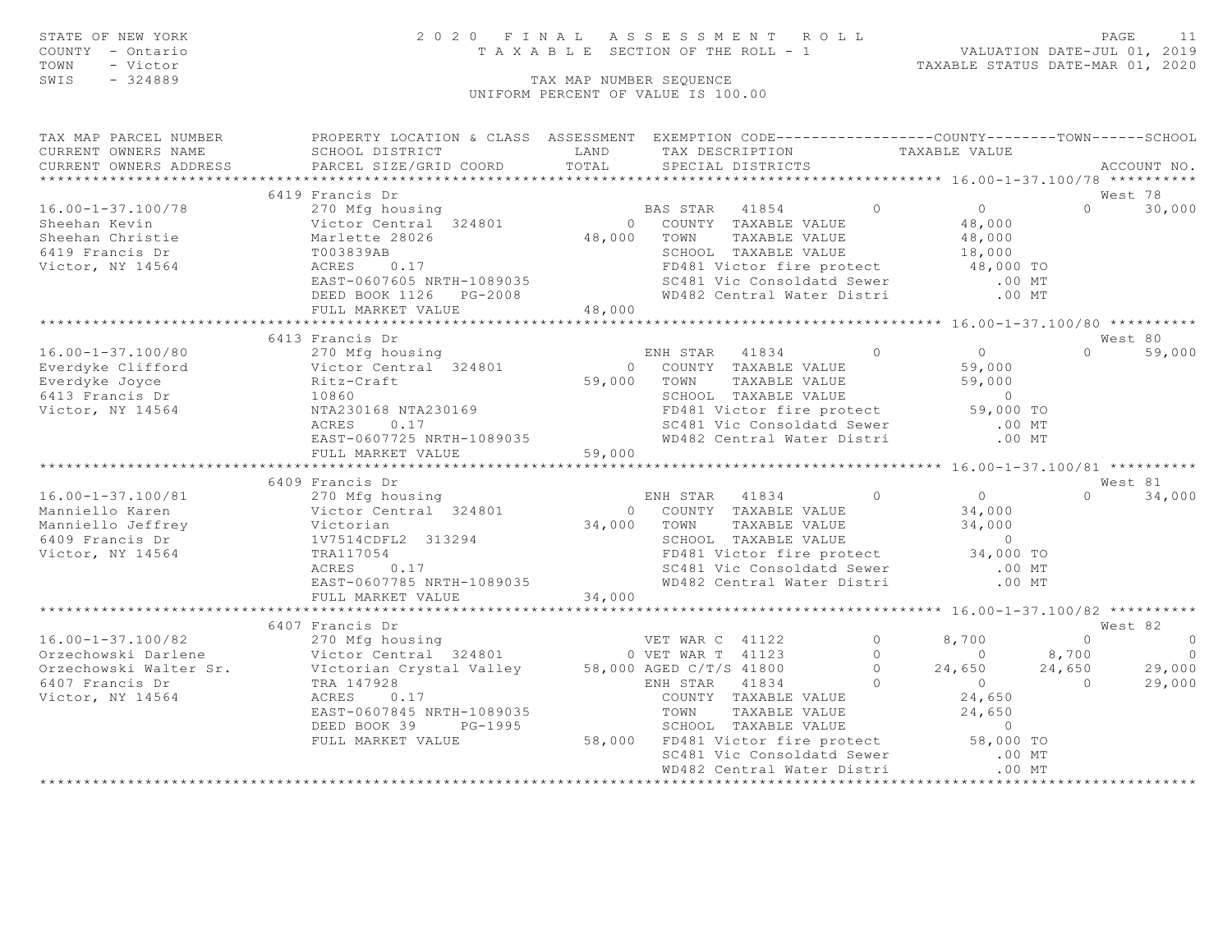| STATE OF NEW YORK |          | 2020 FINAL ASSESSMENT ROLL      |                                  | PAGE                        |  |
|-------------------|----------|---------------------------------|----------------------------------|-----------------------------|--|
| COUNTY - Ontario  |          | TAXABLE SECTION OF THE ROLL - 1 |                                  | VALUATION DATE-JUL 01, 2019 |  |
| TOWN              | - Victor |                                 | TAXABLE STATUS DATE-MAR 01, 2020 |                             |  |
| SWIS              | - 324889 | TAX MAP NUMBER SEOUENCE         |                                  |                             |  |

| 6419 Francis Dr<br>West 78<br>BAS STAR 41854 0 0<br>0 COUNTY TAXABLE VALUE 48,000<br>$\cap$<br>30,000<br>48,000<br>TAXABLE VALUE<br>T003839AB<br>ACRES<br>SCHOOL TAXABLE VALUE 18,000<br>FD481 Victor fire protect 48,000 TO<br>SC481 Vic Consoldatd Sewer .00 MT<br>6419 Francis Dr<br>Victor, NY 14564<br>0.17<br>EAST-0607605 NRTH-1089035<br>WD482 Central Water Distri .00 MT<br>$008$ 48,000<br>FULL MARKET VALUE<br>6413 Francis Dr<br>West 80<br>ENH STAR 41834 0<br>$\overline{0}$<br>59,000<br>$16.00 - 1 - 37.100/80$<br>$\Omega$<br>270 Mfg housing<br>Everdyke Clifford<br>Everdyke Joyce (Nictor Central 324801)<br>Everdyke Joyce (Nictor Central 324801)<br>6413 Francis Dr (10860)<br>Victor, NY 14564 (NTA230168 NTA230169)<br>ACRES 0.17<br>0 COUNTY TAXABLE VALUE<br>59,000<br>59,000<br>TAXABLE VALUE<br>SC481 Vic Consoldatd Sewer .00 MT<br>WD482 Central Water Distri .00 MT<br>EAST-0607725 NRTH-1089035<br>FULL MARKET VALUE 59,000<br>6409 Francis Dr<br>West 81<br>manniello Karen<br>Manniello Jeffrey<br>Manniello Jeffrey<br>6409 Francis Dr. 107514CDFL2 313294<br>7ictor, NY 14564<br>718117054<br>72514CDFL2 313294<br>ENH STAR 41834 0<br>$\overline{0}$<br>$\Omega$<br>34,000<br>0 COUNTY TAXABLE VALUE<br>34,000 TOWN TAXABLE VALUE<br>34,000<br>34,000<br>SCHOOL TAXABLE VALUE<br>FD481 Victor fire protect 34,000 TO<br>SC481 Vic Consoldatd Sewer .00 MT<br>WD482 Central Water Distri .00 MT<br>EAST-0607785 NRTH-1089035<br>FULL MARKET VALUE 34,000<br>*********************** 16.00-1-37.100/82 **********<br>6407 Francis Dr<br>West 82<br>16.00-1-37.100/82 270 Mfg housing ver ver all 22<br>Orzechowski Darlene victor Central 324801 0 VET WAR T 41123<br>Orzechowski Walter Sr. VIctorian Crystal Valley 58,000 AGED C/T/S 41800<br>6407 Francis Dr TRA 147928 ENH STAR 41834<br>$\Omega$<br>8,700<br>$\overline{0}$<br>$\Omega$<br>$\Omega$<br>$0 \t 8,700$<br>$\circ$<br>$\Omega$<br>24,650 24,650<br>29,000<br>$\bigcirc$<br>$\overline{a}$<br>29,000<br>$24,650$<br>$24$<br>Victor, NY 14564<br><b>ACRES</b><br>0.17<br>COUNTY TAXABLE VALUE | TAX MAP PARCEL NUMBER |  | PROPERTY LOCATION & CLASS ASSESSMENT EXEMPTION CODE----------------COUNTY-------TOWN------SCHOOL |  |
|----------------------------------------------------------------------------------------------------------------------------------------------------------------------------------------------------------------------------------------------------------------------------------------------------------------------------------------------------------------------------------------------------------------------------------------------------------------------------------------------------------------------------------------------------------------------------------------------------------------------------------------------------------------------------------------------------------------------------------------------------------------------------------------------------------------------------------------------------------------------------------------------------------------------------------------------------------------------------------------------------------------------------------------------------------------------------------------------------------------------------------------------------------------------------------------------------------------------------------------------------------------------------------------------------------------------------------------------------------------------------------------------------------------------------------------------------------------------------------------------------------------------------------------------------------------------------------------------------------------------------------------------------------------------------------------------------------------------------------------------------------------------------------------------------------------------------------------------------------------------------------------------------------------------------------------------------------------------------------------------------------------------------------------------------------------------------------------------------|-----------------------|--|--------------------------------------------------------------------------------------------------|--|
|                                                                                                                                                                                                                                                                                                                                                                                                                                                                                                                                                                                                                                                                                                                                                                                                                                                                                                                                                                                                                                                                                                                                                                                                                                                                                                                                                                                                                                                                                                                                                                                                                                                                                                                                                                                                                                                                                                                                                                                                                                                                                                    |                       |  |                                                                                                  |  |
|                                                                                                                                                                                                                                                                                                                                                                                                                                                                                                                                                                                                                                                                                                                                                                                                                                                                                                                                                                                                                                                                                                                                                                                                                                                                                                                                                                                                                                                                                                                                                                                                                                                                                                                                                                                                                                                                                                                                                                                                                                                                                                    |                       |  |                                                                                                  |  |
|                                                                                                                                                                                                                                                                                                                                                                                                                                                                                                                                                                                                                                                                                                                                                                                                                                                                                                                                                                                                                                                                                                                                                                                                                                                                                                                                                                                                                                                                                                                                                                                                                                                                                                                                                                                                                                                                                                                                                                                                                                                                                                    |                       |  |                                                                                                  |  |
|                                                                                                                                                                                                                                                                                                                                                                                                                                                                                                                                                                                                                                                                                                                                                                                                                                                                                                                                                                                                                                                                                                                                                                                                                                                                                                                                                                                                                                                                                                                                                                                                                                                                                                                                                                                                                                                                                                                                                                                                                                                                                                    |                       |  |                                                                                                  |  |
|                                                                                                                                                                                                                                                                                                                                                                                                                                                                                                                                                                                                                                                                                                                                                                                                                                                                                                                                                                                                                                                                                                                                                                                                                                                                                                                                                                                                                                                                                                                                                                                                                                                                                                                                                                                                                                                                                                                                                                                                                                                                                                    |                       |  |                                                                                                  |  |
|                                                                                                                                                                                                                                                                                                                                                                                                                                                                                                                                                                                                                                                                                                                                                                                                                                                                                                                                                                                                                                                                                                                                                                                                                                                                                                                                                                                                                                                                                                                                                                                                                                                                                                                                                                                                                                                                                                                                                                                                                                                                                                    |                       |  |                                                                                                  |  |
|                                                                                                                                                                                                                                                                                                                                                                                                                                                                                                                                                                                                                                                                                                                                                                                                                                                                                                                                                                                                                                                                                                                                                                                                                                                                                                                                                                                                                                                                                                                                                                                                                                                                                                                                                                                                                                                                                                                                                                                                                                                                                                    |                       |  |                                                                                                  |  |
|                                                                                                                                                                                                                                                                                                                                                                                                                                                                                                                                                                                                                                                                                                                                                                                                                                                                                                                                                                                                                                                                                                                                                                                                                                                                                                                                                                                                                                                                                                                                                                                                                                                                                                                                                                                                                                                                                                                                                                                                                                                                                                    |                       |  |                                                                                                  |  |
|                                                                                                                                                                                                                                                                                                                                                                                                                                                                                                                                                                                                                                                                                                                                                                                                                                                                                                                                                                                                                                                                                                                                                                                                                                                                                                                                                                                                                                                                                                                                                                                                                                                                                                                                                                                                                                                                                                                                                                                                                                                                                                    |                       |  |                                                                                                  |  |
|                                                                                                                                                                                                                                                                                                                                                                                                                                                                                                                                                                                                                                                                                                                                                                                                                                                                                                                                                                                                                                                                                                                                                                                                                                                                                                                                                                                                                                                                                                                                                                                                                                                                                                                                                                                                                                                                                                                                                                                                                                                                                                    |                       |  |                                                                                                  |  |
|                                                                                                                                                                                                                                                                                                                                                                                                                                                                                                                                                                                                                                                                                                                                                                                                                                                                                                                                                                                                                                                                                                                                                                                                                                                                                                                                                                                                                                                                                                                                                                                                                                                                                                                                                                                                                                                                                                                                                                                                                                                                                                    |                       |  |                                                                                                  |  |
|                                                                                                                                                                                                                                                                                                                                                                                                                                                                                                                                                                                                                                                                                                                                                                                                                                                                                                                                                                                                                                                                                                                                                                                                                                                                                                                                                                                                                                                                                                                                                                                                                                                                                                                                                                                                                                                                                                                                                                                                                                                                                                    |                       |  |                                                                                                  |  |
|                                                                                                                                                                                                                                                                                                                                                                                                                                                                                                                                                                                                                                                                                                                                                                                                                                                                                                                                                                                                                                                                                                                                                                                                                                                                                                                                                                                                                                                                                                                                                                                                                                                                                                                                                                                                                                                                                                                                                                                                                                                                                                    |                       |  |                                                                                                  |  |
|                                                                                                                                                                                                                                                                                                                                                                                                                                                                                                                                                                                                                                                                                                                                                                                                                                                                                                                                                                                                                                                                                                                                                                                                                                                                                                                                                                                                                                                                                                                                                                                                                                                                                                                                                                                                                                                                                                                                                                                                                                                                                                    |                       |  |                                                                                                  |  |
|                                                                                                                                                                                                                                                                                                                                                                                                                                                                                                                                                                                                                                                                                                                                                                                                                                                                                                                                                                                                                                                                                                                                                                                                                                                                                                                                                                                                                                                                                                                                                                                                                                                                                                                                                                                                                                                                                                                                                                                                                                                                                                    |                       |  |                                                                                                  |  |
|                                                                                                                                                                                                                                                                                                                                                                                                                                                                                                                                                                                                                                                                                                                                                                                                                                                                                                                                                                                                                                                                                                                                                                                                                                                                                                                                                                                                                                                                                                                                                                                                                                                                                                                                                                                                                                                                                                                                                                                                                                                                                                    |                       |  |                                                                                                  |  |
|                                                                                                                                                                                                                                                                                                                                                                                                                                                                                                                                                                                                                                                                                                                                                                                                                                                                                                                                                                                                                                                                                                                                                                                                                                                                                                                                                                                                                                                                                                                                                                                                                                                                                                                                                                                                                                                                                                                                                                                                                                                                                                    |                       |  |                                                                                                  |  |
|                                                                                                                                                                                                                                                                                                                                                                                                                                                                                                                                                                                                                                                                                                                                                                                                                                                                                                                                                                                                                                                                                                                                                                                                                                                                                                                                                                                                                                                                                                                                                                                                                                                                                                                                                                                                                                                                                                                                                                                                                                                                                                    |                       |  |                                                                                                  |  |
|                                                                                                                                                                                                                                                                                                                                                                                                                                                                                                                                                                                                                                                                                                                                                                                                                                                                                                                                                                                                                                                                                                                                                                                                                                                                                                                                                                                                                                                                                                                                                                                                                                                                                                                                                                                                                                                                                                                                                                                                                                                                                                    |                       |  |                                                                                                  |  |
|                                                                                                                                                                                                                                                                                                                                                                                                                                                                                                                                                                                                                                                                                                                                                                                                                                                                                                                                                                                                                                                                                                                                                                                                                                                                                                                                                                                                                                                                                                                                                                                                                                                                                                                                                                                                                                                                                                                                                                                                                                                                                                    |                       |  |                                                                                                  |  |
|                                                                                                                                                                                                                                                                                                                                                                                                                                                                                                                                                                                                                                                                                                                                                                                                                                                                                                                                                                                                                                                                                                                                                                                                                                                                                                                                                                                                                                                                                                                                                                                                                                                                                                                                                                                                                                                                                                                                                                                                                                                                                                    |                       |  |                                                                                                  |  |
|                                                                                                                                                                                                                                                                                                                                                                                                                                                                                                                                                                                                                                                                                                                                                                                                                                                                                                                                                                                                                                                                                                                                                                                                                                                                                                                                                                                                                                                                                                                                                                                                                                                                                                                                                                                                                                                                                                                                                                                                                                                                                                    |                       |  |                                                                                                  |  |
|                                                                                                                                                                                                                                                                                                                                                                                                                                                                                                                                                                                                                                                                                                                                                                                                                                                                                                                                                                                                                                                                                                                                                                                                                                                                                                                                                                                                                                                                                                                                                                                                                                                                                                                                                                                                                                                                                                                                                                                                                                                                                                    |                       |  |                                                                                                  |  |
|                                                                                                                                                                                                                                                                                                                                                                                                                                                                                                                                                                                                                                                                                                                                                                                                                                                                                                                                                                                                                                                                                                                                                                                                                                                                                                                                                                                                                                                                                                                                                                                                                                                                                                                                                                                                                                                                                                                                                                                                                                                                                                    |                       |  |                                                                                                  |  |
|                                                                                                                                                                                                                                                                                                                                                                                                                                                                                                                                                                                                                                                                                                                                                                                                                                                                                                                                                                                                                                                                                                                                                                                                                                                                                                                                                                                                                                                                                                                                                                                                                                                                                                                                                                                                                                                                                                                                                                                                                                                                                                    |                       |  |                                                                                                  |  |
|                                                                                                                                                                                                                                                                                                                                                                                                                                                                                                                                                                                                                                                                                                                                                                                                                                                                                                                                                                                                                                                                                                                                                                                                                                                                                                                                                                                                                                                                                                                                                                                                                                                                                                                                                                                                                                                                                                                                                                                                                                                                                                    |                       |  |                                                                                                  |  |
|                                                                                                                                                                                                                                                                                                                                                                                                                                                                                                                                                                                                                                                                                                                                                                                                                                                                                                                                                                                                                                                                                                                                                                                                                                                                                                                                                                                                                                                                                                                                                                                                                                                                                                                                                                                                                                                                                                                                                                                                                                                                                                    |                       |  |                                                                                                  |  |
|                                                                                                                                                                                                                                                                                                                                                                                                                                                                                                                                                                                                                                                                                                                                                                                                                                                                                                                                                                                                                                                                                                                                                                                                                                                                                                                                                                                                                                                                                                                                                                                                                                                                                                                                                                                                                                                                                                                                                                                                                                                                                                    |                       |  |                                                                                                  |  |
|                                                                                                                                                                                                                                                                                                                                                                                                                                                                                                                                                                                                                                                                                                                                                                                                                                                                                                                                                                                                                                                                                                                                                                                                                                                                                                                                                                                                                                                                                                                                                                                                                                                                                                                                                                                                                                                                                                                                                                                                                                                                                                    |                       |  |                                                                                                  |  |
|                                                                                                                                                                                                                                                                                                                                                                                                                                                                                                                                                                                                                                                                                                                                                                                                                                                                                                                                                                                                                                                                                                                                                                                                                                                                                                                                                                                                                                                                                                                                                                                                                                                                                                                                                                                                                                                                                                                                                                                                                                                                                                    |                       |  |                                                                                                  |  |
|                                                                                                                                                                                                                                                                                                                                                                                                                                                                                                                                                                                                                                                                                                                                                                                                                                                                                                                                                                                                                                                                                                                                                                                                                                                                                                                                                                                                                                                                                                                                                                                                                                                                                                                                                                                                                                                                                                                                                                                                                                                                                                    |                       |  |                                                                                                  |  |
|                                                                                                                                                                                                                                                                                                                                                                                                                                                                                                                                                                                                                                                                                                                                                                                                                                                                                                                                                                                                                                                                                                                                                                                                                                                                                                                                                                                                                                                                                                                                                                                                                                                                                                                                                                                                                                                                                                                                                                                                                                                                                                    |                       |  |                                                                                                  |  |
|                                                                                                                                                                                                                                                                                                                                                                                                                                                                                                                                                                                                                                                                                                                                                                                                                                                                                                                                                                                                                                                                                                                                                                                                                                                                                                                                                                                                                                                                                                                                                                                                                                                                                                                                                                                                                                                                                                                                                                                                                                                                                                    |                       |  |                                                                                                  |  |
|                                                                                                                                                                                                                                                                                                                                                                                                                                                                                                                                                                                                                                                                                                                                                                                                                                                                                                                                                                                                                                                                                                                                                                                                                                                                                                                                                                                                                                                                                                                                                                                                                                                                                                                                                                                                                                                                                                                                                                                                                                                                                                    |                       |  |                                                                                                  |  |
|                                                                                                                                                                                                                                                                                                                                                                                                                                                                                                                                                                                                                                                                                                                                                                                                                                                                                                                                                                                                                                                                                                                                                                                                                                                                                                                                                                                                                                                                                                                                                                                                                                                                                                                                                                                                                                                                                                                                                                                                                                                                                                    |                       |  |                                                                                                  |  |
|                                                                                                                                                                                                                                                                                                                                                                                                                                                                                                                                                                                                                                                                                                                                                                                                                                                                                                                                                                                                                                                                                                                                                                                                                                                                                                                                                                                                                                                                                                                                                                                                                                                                                                                                                                                                                                                                                                                                                                                                                                                                                                    |                       |  |                                                                                                  |  |
| TOWN                                                                                                                                                                                                                                                                                                                                                                                                                                                                                                                                                                                                                                                                                                                                                                                                                                                                                                                                                                                                                                                                                                                                                                                                                                                                                                                                                                                                                                                                                                                                                                                                                                                                                                                                                                                                                                                                                                                                                                                                                                                                                               |                       |  |                                                                                                  |  |
| EAST-0607845 NRTH-1089035<br>DEED BOOK 20<br>TAXABLE VALUE<br>TAXABLE VALUE<br>TILLE VALUE<br>PG-1995<br>DEED BOOK 39<br>SCHOOL TAXABLE VALUE<br>$\sim$ 0                                                                                                                                                                                                                                                                                                                                                                                                                                                                                                                                                                                                                                                                                                                                                                                                                                                                                                                                                                                                                                                                                                                                                                                                                                                                                                                                                                                                                                                                                                                                                                                                                                                                                                                                                                                                                                                                                                                                          |                       |  |                                                                                                  |  |
| FULL MARKET VALUE                                                                                                                                                                                                                                                                                                                                                                                                                                                                                                                                                                                                                                                                                                                                                                                                                                                                                                                                                                                                                                                                                                                                                                                                                                                                                                                                                                                                                                                                                                                                                                                                                                                                                                                                                                                                                                                                                                                                                                                                                                                                                  |                       |  |                                                                                                  |  |
| 58,000 FD481 Victor fire protect 58,000 TO<br>SC481 Vic Consoldatd Sewer .00 MT                                                                                                                                                                                                                                                                                                                                                                                                                                                                                                                                                                                                                                                                                                                                                                                                                                                                                                                                                                                                                                                                                                                                                                                                                                                                                                                                                                                                                                                                                                                                                                                                                                                                                                                                                                                                                                                                                                                                                                                                                    |                       |  |                                                                                                  |  |
| WD482 Central Water Distri<br>.00MT                                                                                                                                                                                                                                                                                                                                                                                                                                                                                                                                                                                                                                                                                                                                                                                                                                                                                                                                                                                                                                                                                                                                                                                                                                                                                                                                                                                                                                                                                                                                                                                                                                                                                                                                                                                                                                                                                                                                                                                                                                                                |                       |  |                                                                                                  |  |
|                                                                                                                                                                                                                                                                                                                                                                                                                                                                                                                                                                                                                                                                                                                                                                                                                                                                                                                                                                                                                                                                                                                                                                                                                                                                                                                                                                                                                                                                                                                                                                                                                                                                                                                                                                                                                                                                                                                                                                                                                                                                                                    |                       |  |                                                                                                  |  |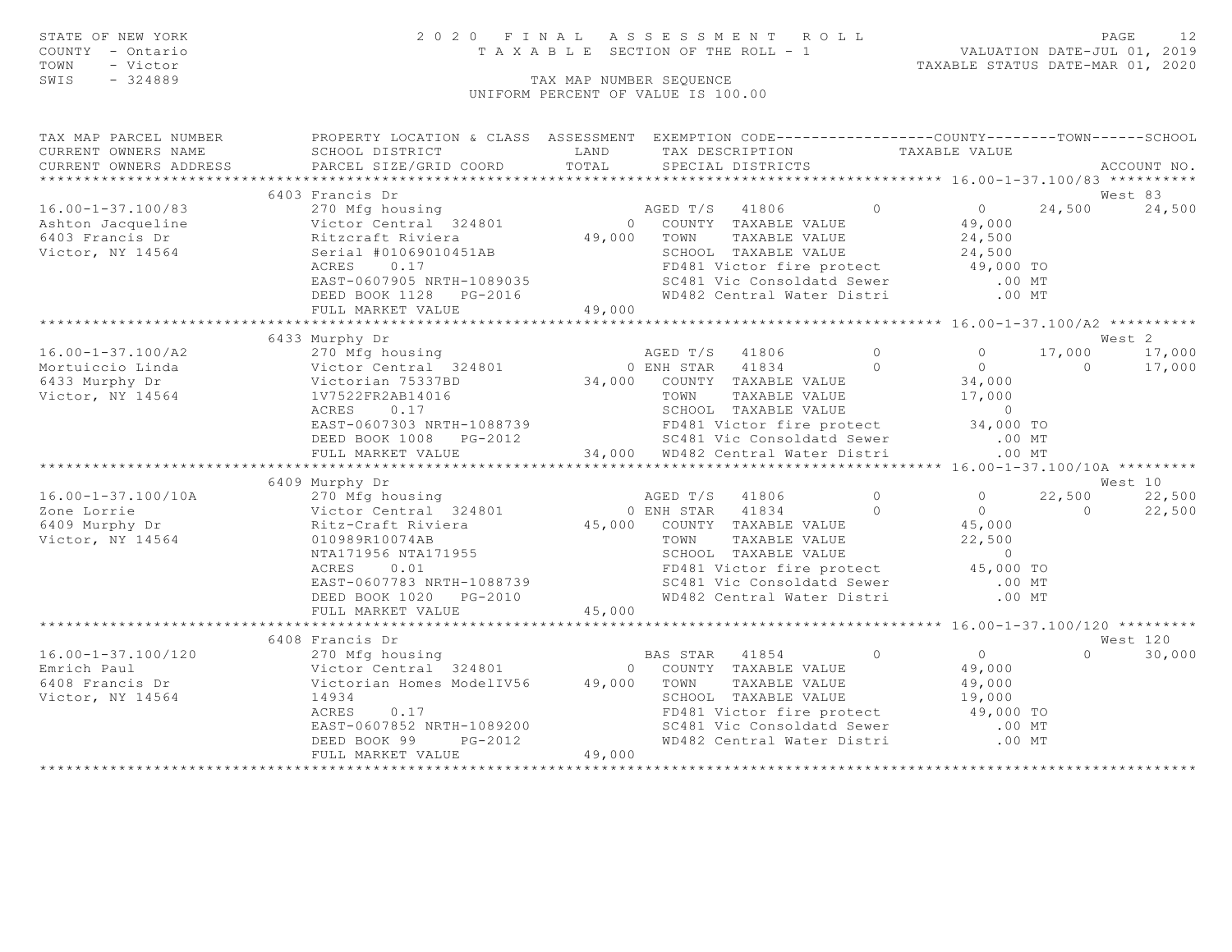| STATE OF NEW YORK | 2020 FINAL ASSESSMENT ROLL            |                                  | PAGE                        | 12 |
|-------------------|---------------------------------------|----------------------------------|-----------------------------|----|
| COUNTY - Ontario  | T A X A B L E SECTION OF THE ROLL - 1 |                                  | VALUATION DATE-JUL 01, 2019 |    |
| TOWN<br>- Victor  |                                       | TAXABLE STATUS DATE-MAR 01, 2020 |                             |    |
| SWIS<br>$-324889$ | TAX MAP NUMBER SEOUENCE               |                                  |                             |    |

| UNIFORM PERCENT OF VALUE IS 100.00 |  |  |  |
|------------------------------------|--|--|--|
|                                    |  |  |  |

| TAX MAP PARCEL NUMBER<br>CURRENT OWNERS NAME<br>CURRENT OWNERS ADDRESS | PROPERTY LOCATION & CLASS ASSESSMENT<br>SCHOOL DISTRICT<br>PARCEL SIZE/GRID COORD                                                                                                                             | LAND<br>TOTAL | EXEMPTION CODE-----------------COUNTY-------TOWN-----SCHOOL<br>TAX DESCRIPTION TAXABLE VALUE<br>SPECIAL DISTRICTS |                                 |                   | ACCOUNT NO.        |
|------------------------------------------------------------------------|---------------------------------------------------------------------------------------------------------------------------------------------------------------------------------------------------------------|---------------|-------------------------------------------------------------------------------------------------------------------|---------------------------------|-------------------|--------------------|
|                                                                        | 6403 Francis Dr                                                                                                                                                                                               |               |                                                                                                                   |                                 |                   | West 83            |
| $16.00 - 1 - 37.100/83$                                                | 270 Mfg housing                                                                                                                                                                                               |               | AGED T/S 41806                                                                                                    | $\begin{matrix}0&0\end{matrix}$ |                   | 24,500<br>24,500   |
|                                                                        |                                                                                                                                                                                                               |               |                                                                                                                   |                                 | 49,000            |                    |
|                                                                        |                                                                                                                                                                                                               |               | TAXABLE VALUE                                                                                                     |                                 | 24,500            |                    |
|                                                                        |                                                                                                                                                                                                               |               | SCHOOL TAXABLE VALUE                                                                                              |                                 | 24,500            |                    |
|                                                                        | ACRES<br>0.17                                                                                                                                                                                                 |               |                                                                                                                   |                                 |                   |                    |
|                                                                        | EAST-0607905 NRTH-1089035                                                                                                                                                                                     |               |                                                                                                                   |                                 |                   |                    |
|                                                                        | $PG-2016$<br>DEED BOOK 1128                                                                                                                                                                                   |               | FD481 Victor fire protect 49,000 TO<br>SC481 Vic Consoldatd Sewer .00 MT<br>WD482 Central Water Distri .00 MT     |                                 |                   |                    |
|                                                                        | FULL MARKET VALUE                                                                                                                                                                                             | 49,000        |                                                                                                                   |                                 |                   |                    |
|                                                                        |                                                                                                                                                                                                               |               |                                                                                                                   |                                 |                   |                    |
|                                                                        | 6433 Murphy Dr                                                                                                                                                                                                |               |                                                                                                                   |                                 |                   | West 2             |
| $16.00 - 1 - 37.100/A2$                                                | A2 $270 \text{ Mfg}$ housing<br>a Victor Central 324801 0 ENH STAR 41834<br>Victorian 75337BD 34,000 COUNTY TAXABLE V<br>1V7522FR2AB14016 10WN TAXABLE V                                                      |               | AGED T/S 41806                                                                                                    | $\overline{0}$                  | 17,000<br>$\circ$ | 17,000             |
| Mortuiccio Linda                                                       |                                                                                                                                                                                                               |               | $\overline{0}$                                                                                                    | $0$ 0<br>34,000                 |                   | $\Omega$<br>17,000 |
| 6433 Murphy Dr                                                         |                                                                                                                                                                                                               |               | 34,000 COUNTY TAXABLE VALUE                                                                                       |                                 |                   |                    |
| Victor, NY 14564                                                       |                                                                                                                                                                                                               |               | -<br>TAXABLE VALUE<br>TAXARLE VALUE                                                                               |                                 | 17,000            |                    |
|                                                                        | 0.17<br>ACRES                                                                                                                                                                                                 |               | SCHOOL TAXABLE VALUE                                                                                              |                                 |                   |                    |
|                                                                        | EAST-0607303 NRTH-1088739                                                                                                                                                                                     |               | FD481 Victor fire protect 34,000 TO                                                                               |                                 |                   |                    |
|                                                                        |                                                                                                                                                                                                               |               | SC481 Vic Consoldatd Sewer<br>34,000 WD482 Central Water Distri                                                   |                                 | $.00$ MT          |                    |
|                                                                        | FULL MARKET VALUE                                                                                                                                                                                             |               |                                                                                                                   |                                 | .00MT             |                    |
|                                                                        | ************************                                                                                                                                                                                      |               |                                                                                                                   |                                 |                   |                    |
|                                                                        | 6409 Murphy Dr                                                                                                                                                                                                |               |                                                                                                                   |                                 |                   | West 10            |
| $16.00 - 1 - 37.100 / 10A$                                             |                                                                                                                                                                                                               |               |                                                                                                                   | $\overline{0}$                  | 22,500<br>$\circ$ | 22,500             |
| Zone Lorrie                                                            |                                                                                                                                                                                                               |               |                                                                                                                   | $\Omega$                        | $0$<br>45,000     | $\Omega$<br>22,500 |
| 6409 Murphy Dr                                                         | 10/10A 1270 Mfg housing<br>270 Mfg housing<br>Victor Central 324801 0 10989R10074AB 1564 11838 10<br>270 Mfg housing<br>270 Mfg housing<br>324801 245,000 COUNTY TAXABLE VALUE<br>45,000 COUNTY TAXABLE VALUE |               |                                                                                                                   |                                 |                   |                    |
| Victor, NY 14564                                                       |                                                                                                                                                                                                               |               | TAXABLE VALUE<br>SCHOOL TAXABLE VALUE                                                                             |                                 | 22,500            |                    |
|                                                                        |                                                                                                                                                                                                               |               | FD481 Victor fire protect 45,000 TO                                                                               |                                 | $\overline{0}$    |                    |
|                                                                        | EAST-0607783 NRTH-1088739                                                                                                                                                                                     |               | SC481 Vic Consoldatd Sewer .00 MT                                                                                 |                                 |                   |                    |
|                                                                        | DEED BOOK 1020 PG-2010                                                                                                                                                                                        |               | WD482 Central Water Distri                                                                                        |                                 | $.00$ MT          |                    |
|                                                                        | FULL MARKET VALUE                                                                                                                                                                                             | 45,000        |                                                                                                                   |                                 |                   |                    |
|                                                                        |                                                                                                                                                                                                               |               |                                                                                                                   |                                 |                   |                    |
|                                                                        | 6408 Francis Dr                                                                                                                                                                                               |               |                                                                                                                   |                                 |                   | West 120           |
| $16.00 - 1 - 37.100 / 120$                                             | 270 Mfg housing                                                                                                                                                                                               |               | $\sim$ 0<br>BAS STAR 41854                                                                                        |                                 | $\overline{0}$    | $\Omega$<br>30,000 |
|                                                                        |                                                                                                                                                                                                               |               |                                                                                                                   |                                 | 49,000            |                    |
|                                                                        |                                                                                                                                                                                                               |               |                                                                                                                   |                                 |                   |                    |
|                                                                        |                                                                                                                                                                                                               |               | TOWN TAXABLE VALUE 49,000<br>SCHOOL TAXABLE VALUE 19,000                                                          |                                 |                   |                    |
|                                                                        | 0.17<br>ACRES                                                                                                                                                                                                 |               |                                                                                                                   |                                 |                   |                    |
|                                                                        | EAST-0607852 NRTH-1089200                                                                                                                                                                                     |               | FD481 Victor fire protect 49,000 TO<br>SC481 Vic Consoldatd Sewer .00 MT<br>WD482 Central Water Distri .00 MT     |                                 |                   |                    |
|                                                                        | DEED BOOK 99<br>$PG-2012$                                                                                                                                                                                     |               |                                                                                                                   |                                 |                   |                    |
|                                                                        | FULL MARKET VALUE                                                                                                                                                                                             | 49,000        |                                                                                                                   |                                 |                   |                    |
|                                                                        |                                                                                                                                                                                                               |               |                                                                                                                   |                                 |                   |                    |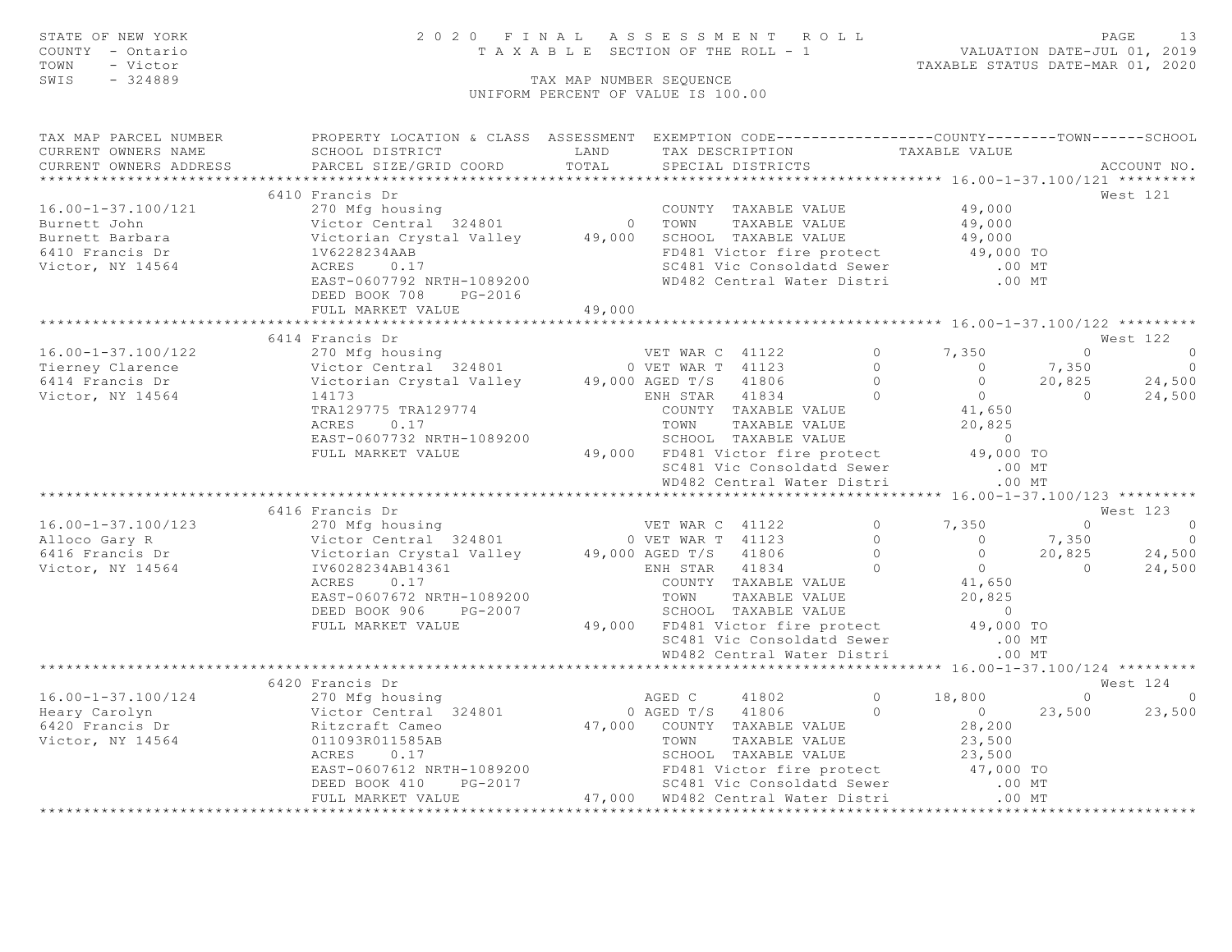| STATE OF NEW YORK<br>COUNTY - Ontario<br>TOWN<br>- Victor<br>$-324889$<br>SWIS                                                                                                                                                       |                                                                                                                                                                                                                                                                                                                                                                                                                                                                                |        | FINAL ASSESSMENT ROLL (PALUATION DATE-JUL 01, 2019)<br>TAXABLE SECTION OF THE ROLL - 1 VALUATION DATE-JUL 01, 2019<br>2020 FINAL ASSESSMENT ROLL<br>TAX MAP NUMBER SEQUENCE                                                                                                                                                                         |                |                                                 |                       |                                                        |                |
|--------------------------------------------------------------------------------------------------------------------------------------------------------------------------------------------------------------------------------------|--------------------------------------------------------------------------------------------------------------------------------------------------------------------------------------------------------------------------------------------------------------------------------------------------------------------------------------------------------------------------------------------------------------------------------------------------------------------------------|--------|-----------------------------------------------------------------------------------------------------------------------------------------------------------------------------------------------------------------------------------------------------------------------------------------------------------------------------------------------------|----------------|-------------------------------------------------|-----------------------|--------------------------------------------------------|----------------|
|                                                                                                                                                                                                                                      |                                                                                                                                                                                                                                                                                                                                                                                                                                                                                |        | UNIFORM PERCENT OF VALUE IS 100.00                                                                                                                                                                                                                                                                                                                  |                |                                                 |                       |                                                        |                |
| TAX MAP PARCEL NUMBER <a> PROPERTY LOCATION &amp; CLASS ASSESSMENT EXEMPTION CODE--------------COUNTY-------TOWN------SCHOOL<br/>CURRENT OWNERS NAME<br/>CURRENT OWNERS ADDRESS</a>                                                  | SCHOOL DISTRICT<br>PARCEL SIZE/GRID COORD                                                                                                                                                                                                                                                                                                                                                                                                                                      | TOTAL  | LAND TAX DESCRIPTION<br>SPECIAL DISTRICTS                                                                                                                                                                                                                                                                                                           |                | TAXABLE VALUE                                   |                       | ACCOUNT NO.                                            |                |
|                                                                                                                                                                                                                                      |                                                                                                                                                                                                                                                                                                                                                                                                                                                                                |        |                                                                                                                                                                                                                                                                                                                                                     |                |                                                 |                       |                                                        |                |
| 16.00-1-37.100/121 270 Mfg housing<br>Burnett John Victor Central 324801 0 TOWN TAXABLE VALUE<br>Burnett Barbara Victorian Crystal Valley 49,000 SCHOOL TAXABLE VALUE<br>6410 Francis Dr 1V6228234AAB 1V6228234AAB FD481 Victor fire | 6410 Francis Dr                                                                                                                                                                                                                                                                                                                                                                                                                                                                |        | COUNTY TAXABLE VALUE 49,000<br>TOWN     TAXABLE VALUE 49,000<br>SCHOOL   TAXABLE VALUE 49,000<br>FD481 Victor fire protect 49,000 TO<br>SC481 Vic Consoldatd Sewer<br>WD482 Central Water Distri                                                                                                                                                    |                | .00 MT                                          |                       | West 121                                               |                |
|                                                                                                                                                                                                                                      | EAST-0607792 NRTH-1089200<br>DEED BOOK 708 PG-2016                                                                                                                                                                                                                                                                                                                                                                                                                             |        |                                                                                                                                                                                                                                                                                                                                                     |                | .00 MT                                          |                       |                                                        |                |
|                                                                                                                                                                                                                                      | FULL MARKET VALUE                                                                                                                                                                                                                                                                                                                                                                                                                                                              | 49,000 |                                                                                                                                                                                                                                                                                                                                                     |                |                                                 |                       |                                                        |                |
|                                                                                                                                                                                                                                      |                                                                                                                                                                                                                                                                                                                                                                                                                                                                                |        |                                                                                                                                                                                                                                                                                                                                                     | $\overline{0}$ |                                                 |                       | West 122<br>$\begin{array}{ccc} 0 & & & 0 \end{array}$ |                |
|                                                                                                                                                                                                                                      |                                                                                                                                                                                                                                                                                                                                                                                                                                                                                |        |                                                                                                                                                                                                                                                                                                                                                     |                | 7,350                                           |                       |                                                        | $\overline{0}$ |
|                                                                                                                                                                                                                                      |                                                                                                                                                                                                                                                                                                                                                                                                                                                                                |        |                                                                                                                                                                                                                                                                                                                                                     |                |                                                 |                       |                                                        | 24,500         |
| 16.00-1-37.100/122<br>Tierney Clarence 270 Mfg housing<br>Tierney Clarence Victor Central 324801 0 VET WAR T 41123<br>6414 Francis Dr Victorian Crystal Valley 49,000 AGED T/S 41806<br>Victor, NY 14564 14173                       | TRA129775 TRA129774<br>ACRES 0.17                                                                                                                                                                                                                                                                                                                                                                                                                                              |        | 9,000 AGED T/S 41806<br>ENH STAR 41834 0 0 20,825<br>ENH STAR 41834 0 0 20,825<br>COUNTY TAXABLE VALUE<br>TOWN TAXABLE VALUE<br>SCHOOL TAXABLE VALUE<br>20,825<br>SCHOOL TAXABLE VALUE<br>20,825<br>20,825<br>20,825<br>20,825<br>20,825                                                                                                            |                |                                                 |                       |                                                        | 24,500         |
|                                                                                                                                                                                                                                      | EAST-0607732 NRTH-1089200<br>EASI-0007732 NAIR 1003200<br>FULL MARKET VALUE 49,000 FD481 Victor fire protect 49,000 TO                                                                                                                                                                                                                                                                                                                                                         |        | SC481 Vic Consoldatd Sewer                                                                                                                                                                                                                                                                                                                          |                | .00 MT                                          |                       |                                                        |                |
|                                                                                                                                                                                                                                      |                                                                                                                                                                                                                                                                                                                                                                                                                                                                                |        | WD482 Central Water Distri                                                                                                                                                                                                                                                                                                                          |                | $.00$ MT                                        |                       |                                                        |                |
|                                                                                                                                                                                                                                      |                                                                                                                                                                                                                                                                                                                                                                                                                                                                                |        |                                                                                                                                                                                                                                                                                                                                                     |                | ****************** 16.00-1-37.100/123 ********* |                       | West 123                                               |                |
| $16.00 - 1 - 37.100 / 123$                                                                                                                                                                                                           |                                                                                                                                                                                                                                                                                                                                                                                                                                                                                |        |                                                                                                                                                                                                                                                                                                                                                     |                | $0 \t 7,350$                                    | $\Omega$ and $\Omega$ |                                                        |                |
| Alloco Gary R                                                                                                                                                                                                                        |                                                                                                                                                                                                                                                                                                                                                                                                                                                                                |        |                                                                                                                                                                                                                                                                                                                                                     |                |                                                 |                       |                                                        |                |
| 6416 Francis Dr                                                                                                                                                                                                                      |                                                                                                                                                                                                                                                                                                                                                                                                                                                                                |        |                                                                                                                                                                                                                                                                                                                                                     |                |                                                 |                       |                                                        |                |
| Victor, NY 14564                                                                                                                                                                                                                     | EAST-0607672 NRTH-1089200<br>DEED BOOK 906 PG-2007<br>FULL MARKET VALUE                                                                                                                                                                                                                                                                                                                                                                                                        |        | VET WAR C 41122 0 0 7, 350 0<br>0 VET WAR T 41123 0 0 7, 350 0<br>0 0 7, 350 0<br>ENH STAR 41834 0 0 0 20, 825 24, 500<br>COUNTY TAXABLE VALUE 41, 650 0 24, 500<br>TOWN TAXABLE VALUE 41, 650<br>SCHOOL TAXABLE VALUE 0<br>20, 825<br>TOWN TAXABLE VALUE<br>SCHOOL TAXABLE VALUE<br>49,000 FD481 Victor fire protect<br>SC481 Vic Consoldatd Sewer |                | 49,000 TO<br>$.00$ MT                           |                       |                                                        |                |
|                                                                                                                                                                                                                                      |                                                                                                                                                                                                                                                                                                                                                                                                                                                                                |        | WD482 Central Water Distri .00 MT                                                                                                                                                                                                                                                                                                                   |                |                                                 |                       |                                                        |                |
|                                                                                                                                                                                                                                      | *************************************                                                                                                                                                                                                                                                                                                                                                                                                                                          |        |                                                                                                                                                                                                                                                                                                                                                     |                |                                                 |                       |                                                        |                |
|                                                                                                                                                                                                                                      | 6420 Francis Dr                                                                                                                                                                                                                                                                                                                                                                                                                                                                |        |                                                                                                                                                                                                                                                                                                                                                     |                |                                                 |                       | West 124                                               | $\overline{0}$ |
|                                                                                                                                                                                                                                      | $\begin{tabular}{ccccc} & $\mathsf{A}\cup\mathsf{A}$ & $\mathsf{A}\cup\mathsf{B}$ & $\mathsf{A}\cup\mathsf{B}$ & $\mathsf{A}\cup\mathsf{B}$ & $\mathsf{A}\cup\mathsf{B}$ & $\mathsf{A}\cup\mathsf{B}$ & $\mathsf{A}\cup\mathsf{B}$ & $\mathsf{A}\cup\mathsf{B}$ & $\mathsf{A}\cup\mathsf{B}$ & $\mathsf{A}\cup\mathsf{B}$ & $\mathsf{A}\cup\mathsf{B}$ & $\mathsf{A}\cap\mathsf{B}$ & $\mathsf{A}\cap\mathsf{B}$ & $\mathsf{A}\cap\mathsf{B}\cap\mathsf{B}$ \\ & & $\mathsf{A$ |        |                                                                                                                                                                                                                                                                                                                                                     |                |                                                 |                       |                                                        | 23,500         |
|                                                                                                                                                                                                                                      |                                                                                                                                                                                                                                                                                                                                                                                                                                                                                |        |                                                                                                                                                                                                                                                                                                                                                     |                |                                                 |                       |                                                        |                |
|                                                                                                                                                                                                                                      |                                                                                                                                                                                                                                                                                                                                                                                                                                                                                |        |                                                                                                                                                                                                                                                                                                                                                     |                |                                                 |                       |                                                        |                |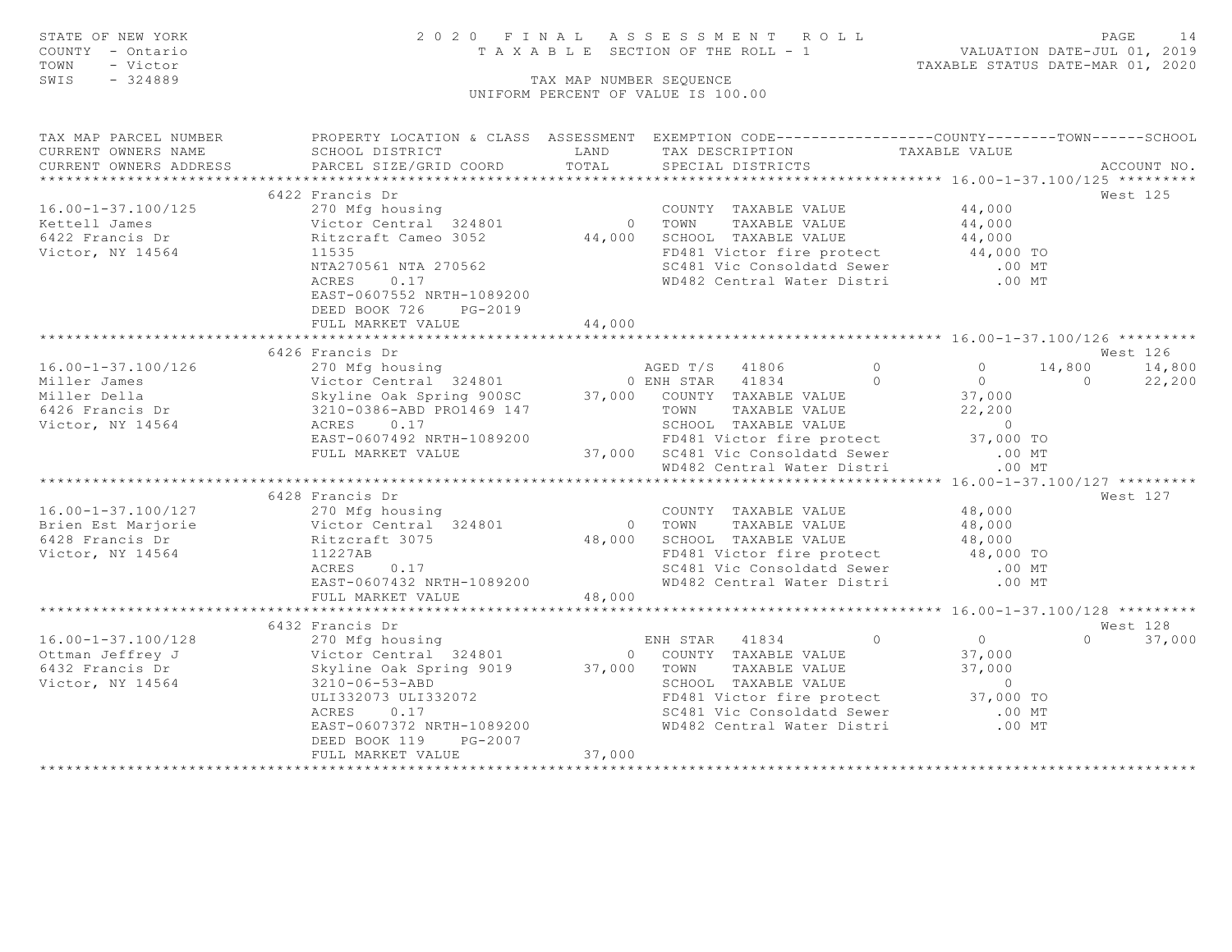| STATE OF NEW YORK<br>COUNTY - Ontario<br>TOWN - Victor                                                                                                                                                                               |                                      |                         | 2020 FINAL ASSESSMENT ROLL<br>TAXABLE SECTION OF THE ROLL - 1 VALUATION DATE-JUL 01, 2019                                                                                                                                                                  | TAXABLE STATUS DATE-MAR 01, 2020 | PAGE<br>14          |
|--------------------------------------------------------------------------------------------------------------------------------------------------------------------------------------------------------------------------------------|--------------------------------------|-------------------------|------------------------------------------------------------------------------------------------------------------------------------------------------------------------------------------------------------------------------------------------------------|----------------------------------|---------------------|
| SWIS - 324889                                                                                                                                                                                                                        |                                      | TAX MAP NUMBER SEQUENCE | UNIFORM PERCENT OF VALUE IS 100.00                                                                                                                                                                                                                         |                                  |                     |
|                                                                                                                                                                                                                                      |                                      |                         |                                                                                                                                                                                                                                                            |                                  |                     |
| TAX MAP PARCEL NUMBER <b>The PROPERTY LOCATION &amp; CLASS</b> ASSESSMENT EXEMPTION CODE--------------COUNTY-------TOWN------SCHOOL                                                                                                  |                                      |                         |                                                                                                                                                                                                                                                            |                                  |                     |
| CURRENT OWNERS NAME                                                                                                                                                                                                                  | SCHOOL DISTRICT TAND TAX DESCRIPTION |                         |                                                                                                                                                                                                                                                            | TAXABLE VALUE                    |                     |
| CURRENT OWNERS ADDRESS<br>***********************                                                                                                                                                                                    | PARCEL SIZE/GRID COORD               | TOTAL                   | SPECIAL DISTRICTS                                                                                                                                                                                                                                          |                                  | ACCOUNT NO.         |
|                                                                                                                                                                                                                                      | 6422 Francis Dr                      |                         |                                                                                                                                                                                                                                                            |                                  | West 125            |
| $16.00 - 1 - 37.100 / 125$                                                                                                                                                                                                           |                                      |                         | 270 Mfg housing<br>270 Mfg housing<br>270 Mfg housing<br>270 Mfg housing<br>28801 0 TOWN TAXABLE VALUE<br>244,000<br>29820 2017<br>270561 NTA 270562<br>22 TAXABLE VALUE<br>244,000<br>2010<br>244,000<br>2981 Victor fire protect<br>244,000<br>2981 Vict |                                  |                     |
| Kettell James                                                                                                                                                                                                                        |                                      |                         |                                                                                                                                                                                                                                                            |                                  |                     |
| 6422 Francis Dr                                                                                                                                                                                                                      |                                      |                         |                                                                                                                                                                                                                                                            |                                  |                     |
| Victor, NY 14564                                                                                                                                                                                                                     |                                      |                         |                                                                                                                                                                                                                                                            |                                  |                     |
|                                                                                                                                                                                                                                      |                                      |                         |                                                                                                                                                                                                                                                            |                                  |                     |
|                                                                                                                                                                                                                                      |                                      |                         |                                                                                                                                                                                                                                                            |                                  |                     |
|                                                                                                                                                                                                                                      | EAST-0607552 NRTH-1089200            |                         |                                                                                                                                                                                                                                                            |                                  |                     |
|                                                                                                                                                                                                                                      | DEED BOOK 726 PG-2019                |                         |                                                                                                                                                                                                                                                            |                                  |                     |
|                                                                                                                                                                                                                                      | FULL MARKET VALUE                    | 44,000                  |                                                                                                                                                                                                                                                            |                                  |                     |
|                                                                                                                                                                                                                                      |                                      | **********              |                                                                                                                                                                                                                                                            |                                  |                     |
|                                                                                                                                                                                                                                      | 6426 Francis Dr                      |                         |                                                                                                                                                                                                                                                            |                                  | West 126            |
|                                                                                                                                                                                                                                      |                                      |                         |                                                                                                                                                                                                                                                            |                                  | 0 $14,800$ $14,800$ |
|                                                                                                                                                                                                                                      |                                      |                         |                                                                                                                                                                                                                                                            |                                  | 22,200              |
|                                                                                                                                                                                                                                      |                                      |                         |                                                                                                                                                                                                                                                            |                                  |                     |
|                                                                                                                                                                                                                                      |                                      |                         |                                                                                                                                                                                                                                                            |                                  |                     |
|                                                                                                                                                                                                                                      |                                      |                         |                                                                                                                                                                                                                                                            |                                  |                     |
|                                                                                                                                                                                                                                      |                                      |                         |                                                                                                                                                                                                                                                            |                                  |                     |
| 16.00-1-37.100/126 270 Mfg housing<br>Miller James Victor Central 324801 0 ENH STAR 41834 0 0 14,800<br>Miller Della Skyline Oak Spring 900SC 37,000 COUNTY TAXABLE VALUE 32,200<br>6426 Francis Dr 3210-0386-ABD PRO1469 147 TOWN T |                                      |                         |                                                                                                                                                                                                                                                            |                                  |                     |
|                                                                                                                                                                                                                                      |                                      |                         | WD482 Central Water Distri                                                                                                                                                                                                                                 | $.00$ MT                         |                     |
|                                                                                                                                                                                                                                      |                                      |                         |                                                                                                                                                                                                                                                            |                                  |                     |
| $16.00 - 1 - 37.100 / 127$                                                                                                                                                                                                           | 6428 Francis Dr                      |                         | 270 Mfg housing<br>270 Mfg housing<br>Victor Central 324801 0 TOWN TAXABLE VALUE<br>Ritzcraft 3075 48,000 SCHOOL TAXABLE VALUE<br>1227AB 1227AB FD481 Victor fire protect 48,000 TO<br>ACRES 0.17 SC481 Vic Consoldatd Sewer .00 MT<br>EAS                 |                                  | West 127            |
|                                                                                                                                                                                                                                      |                                      |                         |                                                                                                                                                                                                                                                            |                                  |                     |
| Brien Est Marjorie<br>6428 Francis Dr                                                                                                                                                                                                |                                      |                         |                                                                                                                                                                                                                                                            |                                  |                     |
| Victor, NY 14564                                                                                                                                                                                                                     |                                      |                         |                                                                                                                                                                                                                                                            |                                  |                     |
|                                                                                                                                                                                                                                      |                                      |                         |                                                                                                                                                                                                                                                            |                                  |                     |
|                                                                                                                                                                                                                                      |                                      |                         |                                                                                                                                                                                                                                                            |                                  |                     |
|                                                                                                                                                                                                                                      | FULL MARKET VALUE                    | 48,000                  |                                                                                                                                                                                                                                                            |                                  |                     |
|                                                                                                                                                                                                                                      |                                      |                         |                                                                                                                                                                                                                                                            |                                  |                     |
|                                                                                                                                                                                                                                      | 6432 Francis Dr                      |                         |                                                                                                                                                                                                                                                            |                                  | West 128            |
|                                                                                                                                                                                                                                      |                                      |                         |                                                                                                                                                                                                                                                            |                                  | $\Omega$<br>37,000  |
|                                                                                                                                                                                                                                      |                                      |                         |                                                                                                                                                                                                                                                            |                                  |                     |
|                                                                                                                                                                                                                                      |                                      |                         |                                                                                                                                                                                                                                                            |                                  |                     |
|                                                                                                                                                                                                                                      |                                      |                         |                                                                                                                                                                                                                                                            |                                  |                     |
|                                                                                                                                                                                                                                      |                                      |                         |                                                                                                                                                                                                                                                            |                                  |                     |
|                                                                                                                                                                                                                                      |                                      |                         |                                                                                                                                                                                                                                                            |                                  |                     |
|                                                                                                                                                                                                                                      |                                      |                         |                                                                                                                                                                                                                                                            |                                  |                     |
|                                                                                                                                                                                                                                      | DEED BOOK 119<br>PG-2007             |                         |                                                                                                                                                                                                                                                            |                                  |                     |
|                                                                                                                                                                                                                                      | FULL MARKET VALUE                    | 37,000                  |                                                                                                                                                                                                                                                            |                                  |                     |
|                                                                                                                                                                                                                                      |                                      |                         |                                                                                                                                                                                                                                                            |                                  |                     |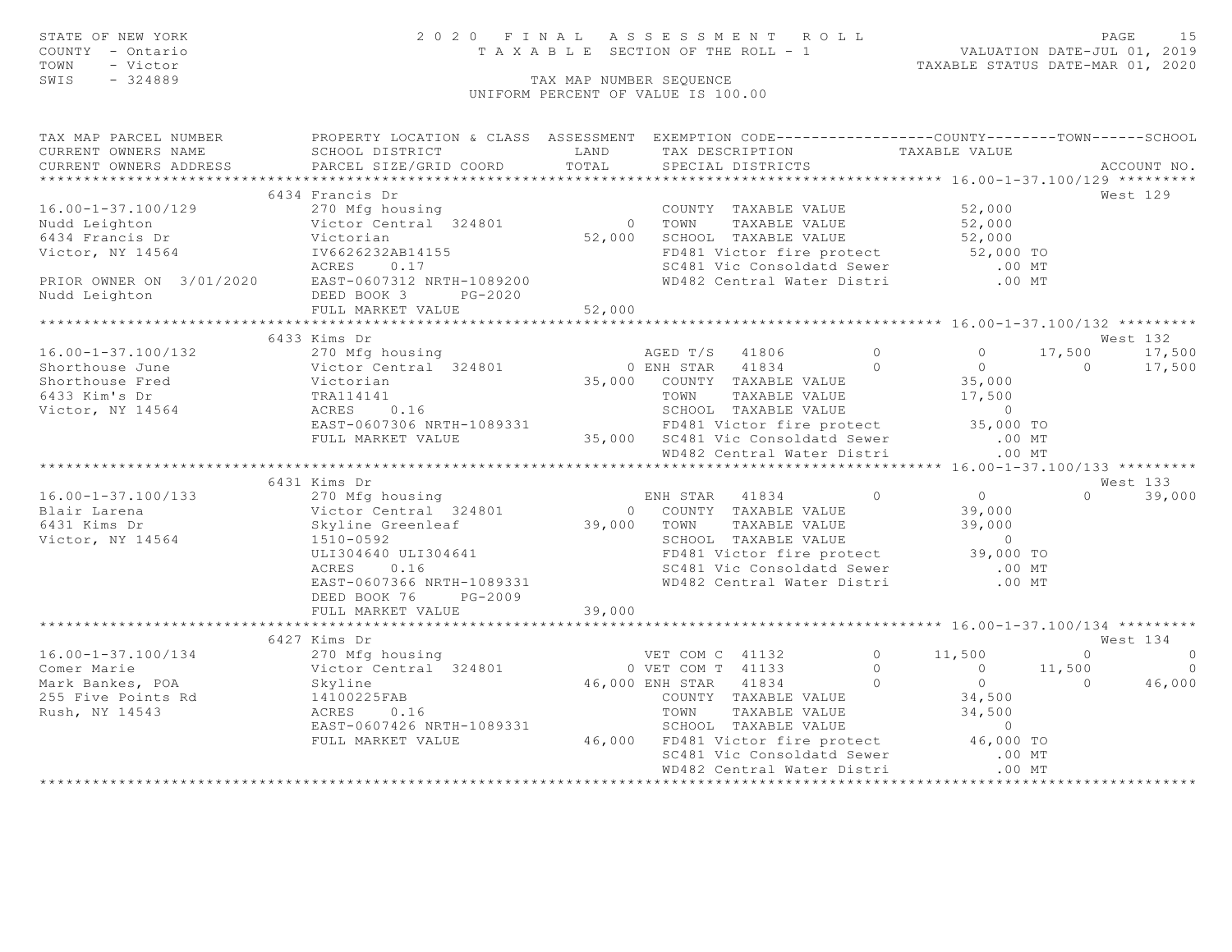| STATE OF NEW YORK<br>COUNTY - Ontario<br>TOWN - Victor                                                                                                                                                                                                  |                                                                                                                                                                                                                                                                          |                           |                                                                                                                                                                                                                                                                                             |                                                      |                                            |
|---------------------------------------------------------------------------------------------------------------------------------------------------------------------------------------------------------------------------------------------------------|--------------------------------------------------------------------------------------------------------------------------------------------------------------------------------------------------------------------------------------------------------------------------|---------------------------|---------------------------------------------------------------------------------------------------------------------------------------------------------------------------------------------------------------------------------------------------------------------------------------------|------------------------------------------------------|--------------------------------------------|
| SWIS - 324889                                                                                                                                                                                                                                           |                                                                                                                                                                                                                                                                          |                           | TAX MAP NUMBER SEQUENCE<br>UNIFORM PERCENT OF VALUE IS 100.00                                                                                                                                                                                                                               |                                                      |                                            |
| TAX MAP PARCEL NUMBER FROPERTY LOCATION & CLASS ASSESSMENT EXEMPTION CODE--------------COUNTY-------TOWN------SCHOOL<br>TAX FIAT INSURE<br>CURRENT OWNERS NAME<br>CURRENT OWNERS ADDRESS                                                                |                                                                                                                                                                                                                                                                          |                           |                                                                                                                                                                                                                                                                                             |                                                      | ACCOUNT NO.                                |
|                                                                                                                                                                                                                                                         |                                                                                                                                                                                                                                                                          |                           |                                                                                                                                                                                                                                                                                             |                                                      |                                            |
| 16.00-1-37.100/129<br>Nudd Leighton<br>6434 Francis Dr<br>6434 Francis Dr<br>Victor Central 324801<br>Victorian<br>Victorian<br>16.00-1-37.100/129<br>27.000<br>Victor Central 324801<br>Victorian<br>16.434 Francis Dr<br>Victor Central 324801<br>Vic | 6434 Francis Dr                                                                                                                                                                                                                                                          | 52,000                    | COUNTY TAXABLE VALUE 52,000<br>0 TOWN TAXABLE VALUE<br>52,000 SCHOOL TAXABLE VALUE<br>TAXABLE VALUE 52,000<br>L TAXABLE VALUE 52,000<br>52,000 SCHOOL TAXABLE VALUE 52,000<br>FD481 Victor fire protect 52,000 TO<br>SC481 Vic Consoldatd Sewer .00 MT<br>WD482 Central Water Distri .00 MT |                                                      | West 129                                   |
|                                                                                                                                                                                                                                                         |                                                                                                                                                                                                                                                                          | * * * * * * * * * * * * * |                                                                                                                                                                                                                                                                                             | ******************* 16.00-1-37.100/132 *********     |                                            |
| 16.00-1-37.100/132<br>Shorthouse June<br>Shorthouse Fred<br>6433 Kim's Dr. TRA114141<br>Victor, NY 14564<br>CRES 1.16<br>TRA114141<br>RCRES 1.16<br>16.00-1-37.100/133<br>Blair Larena<br>6431 Kims Dr<br>Victor, NY 14564                              | 6433 Kims Dr<br>6431 Kims Dr<br>6431 Kims Dr<br>270 Mfg housing<br>Victor Central 324801 0 COUNTY TAXABLE VALUE<br>Skyline Greenleaf 39,000 TOWN TAXABLE VALUE 39,000<br>1510-0592 5CHOOL TAXABLE VALUE 39,000<br>ULI304640 ULI304641 FD481 Victor fire protect 39,000 T |                           | AGED T/S 41806 0 0 17,500<br>0 ENH STAR 41834 0 0 0 17,500<br>35,000 COUNTY TAXABLE VALUE 35,000<br>TOWN TAXABLE VALUE 35,000<br>SCHOOL TAXABLE VALUE 17,500<br>WD482 Central Water Distri                                                                                                  | .00MT                                                | West 132<br>West 133<br>$\Omega$<br>39,000 |
|                                                                                                                                                                                                                                                         | EAST-0607366 NRTH-1089331<br>DEED BOOK 76 PG-2009<br>FULL MARKET VALUE<br>**************************                                                                                                                                                                     | 39,000                    | WD482 Central Water Distri                                                                                                                                                                                                                                                                  | .00 MT                                               |                                            |
|                                                                                                                                                                                                                                                         | 6427 Kims Dr                                                                                                                                                                                                                                                             |                           |                                                                                                                                                                                                                                                                                             | *********************** 16.00-1-37.100/134 ********* | West 134                                   |
| 16.00-1-37.100/134<br>Comer Marie (270 Mfg housing<br>Mark Bankes, POA (255 Five Points Rd 14100225FAB<br>Rush, NY 14543 (275 FRE)<br>255 Five Points Rd 14100225FAB<br>Rush, NY 14543 (276 FC 116                                                      | ACRES 0.16<br>ACRES 0.16<br>EAST-0607426 NRTH-1089331 46,000 FD481 Victor fire protect 0<br>FULL MARKET VALUE 46,000 FD481 Victor fire protect 46,000 TO<br>SC481 Vic Consoldatd Sewer 00 MT<br>WD482 Central Water Distri<br>EAST-0607426 NRTH-1089331                  |                           | VET COM C 41132 0 11,500 0<br>0 VET COM T 41133 0 0 11,500<br>46,000 ENH STAR 41834 0 0 0 0<br>COUNTY TAXABLE VALUE 34,500<br>TOWN TAXABLE VALUE 34,500                                                                                                                                     |                                                      | $\circ$<br>$\circ$<br>46,000               |
|                                                                                                                                                                                                                                                         |                                                                                                                                                                                                                                                                          |                           |                                                                                                                                                                                                                                                                                             |                                                      |                                            |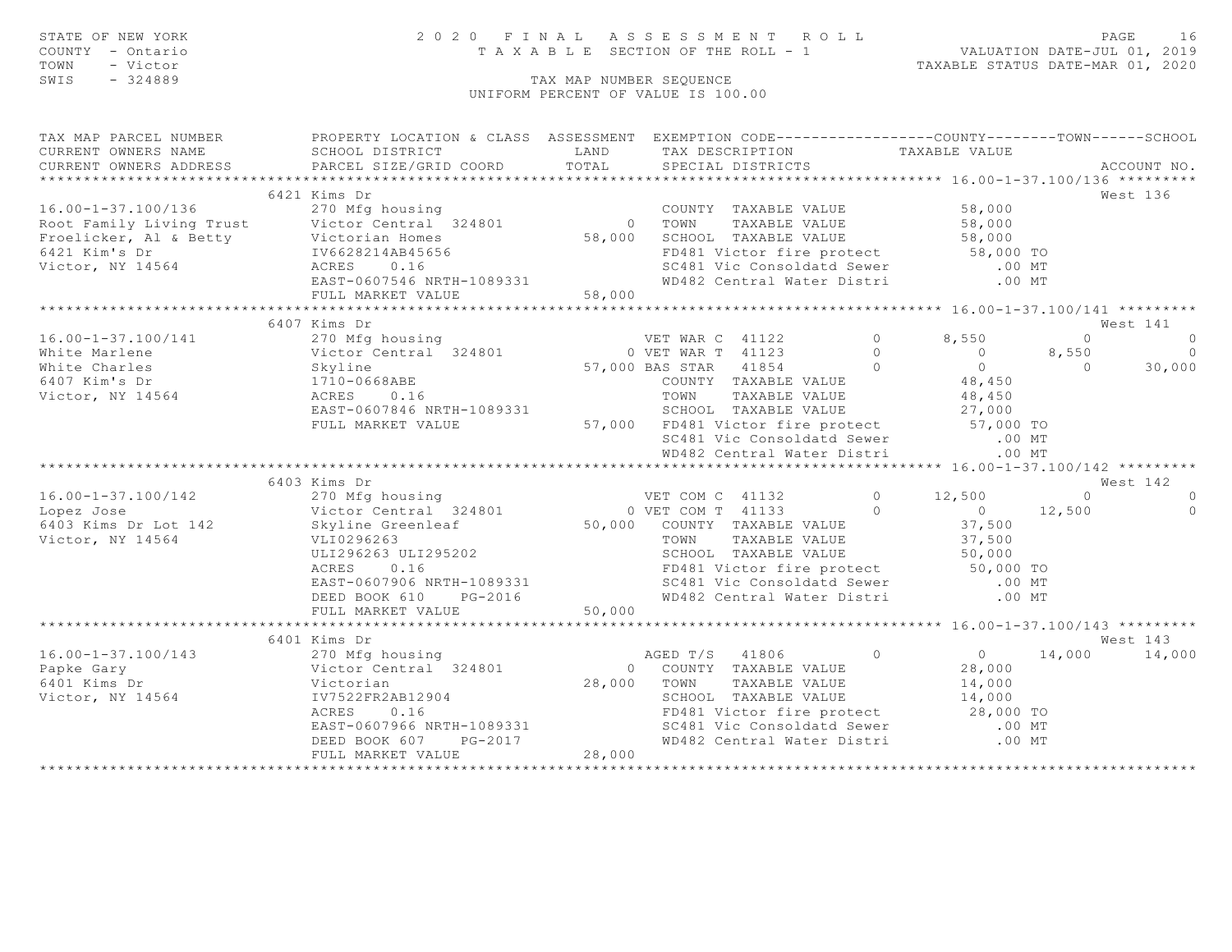| SWIS<br>$-324889$<br>TAX MAP NUMBER SEOUENCE<br>UNIFORM PERCENT OF VALUE IS 100.00<br>TAX MAP PARCEL NUMBER <a> PROPERTY LOCATION &amp; CLASS ASSESSMENT EXEMPTION CODE--------------COUNTY-------TOWN------SCHOOL<br/>CURRENT OWNERS NAME<br/>SCHOOL DISTRICT<br/>LAND TAX DESCRIPTION<br/>TAXABLE VALUE<br/>TOTAL<br/>PARCEL SIZE/GRID COORD<br/>CURRENT OWNERS ADDRESS<br/>SPECIAL DISTRICTS<br/>ACCOUNT NO.<br/>*****************************<br/>***********************<br/>6421 Kims Dr<br/>West 136<br/>16.00-1-37.100/136 <br/> Root Family Living Trust Unit 270 Mfg housing<br/> Froelicker, Al &amp; Betty Unitor Central 324801 <br/> Froelicker, Al &amp; Betty Unitorian Homes 58,000 SCHOOL TAXABLE VALUE 58,000<br/> Froelicker, Al &amp; Betty Unit Unit<br/>*************************<br/>6407 Kims Dr<br/>West 141<br/><math>\begin{matrix} 0 &amp; 0 \\ 0 &amp; 0 \end{matrix}</math><br/><math>\overline{0}</math><br/>30,000<br/><math>\bigcap</math><br/><math>\Omega</math><br/>50,000<br/>FULL MARKET VALUE<br/>6401 Kims Dr<br/>West 143<br/>6401 Kims Dr<br/> 270 Mfg housing<br/> Papke Gary<br/> 6401 Kims Dr<br/> Victor Central 324801<br/> Victor Central 324801<br/> 28,000 TOWN TAXABLE VALUE<br/> 28,000 TOWN TAXABLE VALUE<br/> 14,000<br/> Victor, NY 14564<br/> Victor, NY 14564<br/> 28,000 TOWN TAXABLE V<br/>14,000<br/>SCHOOL TAXABLE VALUE 14,000<br/>FD481 Victor fire protect 28,000 TO<br/>SC481 Vic Consoldatd Sewer .00 MT<br/>WD482 Central Water Distri .00 MT<br/>28,000 CONT<br/>EAST-0607966 NRTH-1089331<br/>DEED BOOK 607 PG-2017<br/>28,000<br/>FULL MARKET VALUE</a> | STATE OF NEW YORK<br>COUNTY - Ontario<br>TOWN<br>- Victor |  | FINAL ASSESSMENT ROLL PAGE 16<br>TAXABLE SECTION OF THE ROLL - 1 VALUATION DATE-JUL 01, 2019<br>TAXABLE STATUS DATE-MAR 01, 2020<br>2020 FINAL ASSESSMENT ROLL |  |
|--------------------------------------------------------------------------------------------------------------------------------------------------------------------------------------------------------------------------------------------------------------------------------------------------------------------------------------------------------------------------------------------------------------------------------------------------------------------------------------------------------------------------------------------------------------------------------------------------------------------------------------------------------------------------------------------------------------------------------------------------------------------------------------------------------------------------------------------------------------------------------------------------------------------------------------------------------------------------------------------------------------------------------------------------------------------------------------------------------------------------------------------------------------------------------------------------------------------------------------------------------------------------------------------------------------------------------------------------------------------------------------------------------------------------------------------------------------------------------------------------------------------------------------------------------------------------------------------------------------------------------|-----------------------------------------------------------|--|----------------------------------------------------------------------------------------------------------------------------------------------------------------|--|
|                                                                                                                                                                                                                                                                                                                                                                                                                                                                                                                                                                                                                                                                                                                                                                                                                                                                                                                                                                                                                                                                                                                                                                                                                                                                                                                                                                                                                                                                                                                                                                                                                                |                                                           |  |                                                                                                                                                                |  |
|                                                                                                                                                                                                                                                                                                                                                                                                                                                                                                                                                                                                                                                                                                                                                                                                                                                                                                                                                                                                                                                                                                                                                                                                                                                                                                                                                                                                                                                                                                                                                                                                                                |                                                           |  |                                                                                                                                                                |  |
|                                                                                                                                                                                                                                                                                                                                                                                                                                                                                                                                                                                                                                                                                                                                                                                                                                                                                                                                                                                                                                                                                                                                                                                                                                                                                                                                                                                                                                                                                                                                                                                                                                |                                                           |  |                                                                                                                                                                |  |
|                                                                                                                                                                                                                                                                                                                                                                                                                                                                                                                                                                                                                                                                                                                                                                                                                                                                                                                                                                                                                                                                                                                                                                                                                                                                                                                                                                                                                                                                                                                                                                                                                                |                                                           |  |                                                                                                                                                                |  |
|                                                                                                                                                                                                                                                                                                                                                                                                                                                                                                                                                                                                                                                                                                                                                                                                                                                                                                                                                                                                                                                                                                                                                                                                                                                                                                                                                                                                                                                                                                                                                                                                                                |                                                           |  |                                                                                                                                                                |  |
|                                                                                                                                                                                                                                                                                                                                                                                                                                                                                                                                                                                                                                                                                                                                                                                                                                                                                                                                                                                                                                                                                                                                                                                                                                                                                                                                                                                                                                                                                                                                                                                                                                |                                                           |  |                                                                                                                                                                |  |
|                                                                                                                                                                                                                                                                                                                                                                                                                                                                                                                                                                                                                                                                                                                                                                                                                                                                                                                                                                                                                                                                                                                                                                                                                                                                                                                                                                                                                                                                                                                                                                                                                                |                                                           |  |                                                                                                                                                                |  |
|                                                                                                                                                                                                                                                                                                                                                                                                                                                                                                                                                                                                                                                                                                                                                                                                                                                                                                                                                                                                                                                                                                                                                                                                                                                                                                                                                                                                                                                                                                                                                                                                                                |                                                           |  |                                                                                                                                                                |  |
|                                                                                                                                                                                                                                                                                                                                                                                                                                                                                                                                                                                                                                                                                                                                                                                                                                                                                                                                                                                                                                                                                                                                                                                                                                                                                                                                                                                                                                                                                                                                                                                                                                |                                                           |  |                                                                                                                                                                |  |
|                                                                                                                                                                                                                                                                                                                                                                                                                                                                                                                                                                                                                                                                                                                                                                                                                                                                                                                                                                                                                                                                                                                                                                                                                                                                                                                                                                                                                                                                                                                                                                                                                                |                                                           |  |                                                                                                                                                                |  |
|                                                                                                                                                                                                                                                                                                                                                                                                                                                                                                                                                                                                                                                                                                                                                                                                                                                                                                                                                                                                                                                                                                                                                                                                                                                                                                                                                                                                                                                                                                                                                                                                                                |                                                           |  |                                                                                                                                                                |  |
|                                                                                                                                                                                                                                                                                                                                                                                                                                                                                                                                                                                                                                                                                                                                                                                                                                                                                                                                                                                                                                                                                                                                                                                                                                                                                                                                                                                                                                                                                                                                                                                                                                |                                                           |  |                                                                                                                                                                |  |
|                                                                                                                                                                                                                                                                                                                                                                                                                                                                                                                                                                                                                                                                                                                                                                                                                                                                                                                                                                                                                                                                                                                                                                                                                                                                                                                                                                                                                                                                                                                                                                                                                                |                                                           |  |                                                                                                                                                                |  |
|                                                                                                                                                                                                                                                                                                                                                                                                                                                                                                                                                                                                                                                                                                                                                                                                                                                                                                                                                                                                                                                                                                                                                                                                                                                                                                                                                                                                                                                                                                                                                                                                                                |                                                           |  |                                                                                                                                                                |  |
|                                                                                                                                                                                                                                                                                                                                                                                                                                                                                                                                                                                                                                                                                                                                                                                                                                                                                                                                                                                                                                                                                                                                                                                                                                                                                                                                                                                                                                                                                                                                                                                                                                |                                                           |  |                                                                                                                                                                |  |
|                                                                                                                                                                                                                                                                                                                                                                                                                                                                                                                                                                                                                                                                                                                                                                                                                                                                                                                                                                                                                                                                                                                                                                                                                                                                                                                                                                                                                                                                                                                                                                                                                                |                                                           |  |                                                                                                                                                                |  |
|                                                                                                                                                                                                                                                                                                                                                                                                                                                                                                                                                                                                                                                                                                                                                                                                                                                                                                                                                                                                                                                                                                                                                                                                                                                                                                                                                                                                                                                                                                                                                                                                                                |                                                           |  |                                                                                                                                                                |  |
|                                                                                                                                                                                                                                                                                                                                                                                                                                                                                                                                                                                                                                                                                                                                                                                                                                                                                                                                                                                                                                                                                                                                                                                                                                                                                                                                                                                                                                                                                                                                                                                                                                |                                                           |  |                                                                                                                                                                |  |
|                                                                                                                                                                                                                                                                                                                                                                                                                                                                                                                                                                                                                                                                                                                                                                                                                                                                                                                                                                                                                                                                                                                                                                                                                                                                                                                                                                                                                                                                                                                                                                                                                                |                                                           |  |                                                                                                                                                                |  |
|                                                                                                                                                                                                                                                                                                                                                                                                                                                                                                                                                                                                                                                                                                                                                                                                                                                                                                                                                                                                                                                                                                                                                                                                                                                                                                                                                                                                                                                                                                                                                                                                                                |                                                           |  |                                                                                                                                                                |  |
|                                                                                                                                                                                                                                                                                                                                                                                                                                                                                                                                                                                                                                                                                                                                                                                                                                                                                                                                                                                                                                                                                                                                                                                                                                                                                                                                                                                                                                                                                                                                                                                                                                |                                                           |  |                                                                                                                                                                |  |
|                                                                                                                                                                                                                                                                                                                                                                                                                                                                                                                                                                                                                                                                                                                                                                                                                                                                                                                                                                                                                                                                                                                                                                                                                                                                                                                                                                                                                                                                                                                                                                                                                                |                                                           |  |                                                                                                                                                                |  |
|                                                                                                                                                                                                                                                                                                                                                                                                                                                                                                                                                                                                                                                                                                                                                                                                                                                                                                                                                                                                                                                                                                                                                                                                                                                                                                                                                                                                                                                                                                                                                                                                                                |                                                           |  |                                                                                                                                                                |  |
|                                                                                                                                                                                                                                                                                                                                                                                                                                                                                                                                                                                                                                                                                                                                                                                                                                                                                                                                                                                                                                                                                                                                                                                                                                                                                                                                                                                                                                                                                                                                                                                                                                |                                                           |  |                                                                                                                                                                |  |
|                                                                                                                                                                                                                                                                                                                                                                                                                                                                                                                                                                                                                                                                                                                                                                                                                                                                                                                                                                                                                                                                                                                                                                                                                                                                                                                                                                                                                                                                                                                                                                                                                                |                                                           |  |                                                                                                                                                                |  |
|                                                                                                                                                                                                                                                                                                                                                                                                                                                                                                                                                                                                                                                                                                                                                                                                                                                                                                                                                                                                                                                                                                                                                                                                                                                                                                                                                                                                                                                                                                                                                                                                                                |                                                           |  |                                                                                                                                                                |  |
|                                                                                                                                                                                                                                                                                                                                                                                                                                                                                                                                                                                                                                                                                                                                                                                                                                                                                                                                                                                                                                                                                                                                                                                                                                                                                                                                                                                                                                                                                                                                                                                                                                |                                                           |  |                                                                                                                                                                |  |
|                                                                                                                                                                                                                                                                                                                                                                                                                                                                                                                                                                                                                                                                                                                                                                                                                                                                                                                                                                                                                                                                                                                                                                                                                                                                                                                                                                                                                                                                                                                                                                                                                                |                                                           |  |                                                                                                                                                                |  |
|                                                                                                                                                                                                                                                                                                                                                                                                                                                                                                                                                                                                                                                                                                                                                                                                                                                                                                                                                                                                                                                                                                                                                                                                                                                                                                                                                                                                                                                                                                                                                                                                                                |                                                           |  |                                                                                                                                                                |  |
|                                                                                                                                                                                                                                                                                                                                                                                                                                                                                                                                                                                                                                                                                                                                                                                                                                                                                                                                                                                                                                                                                                                                                                                                                                                                                                                                                                                                                                                                                                                                                                                                                                |                                                           |  |                                                                                                                                                                |  |
|                                                                                                                                                                                                                                                                                                                                                                                                                                                                                                                                                                                                                                                                                                                                                                                                                                                                                                                                                                                                                                                                                                                                                                                                                                                                                                                                                                                                                                                                                                                                                                                                                                |                                                           |  |                                                                                                                                                                |  |
|                                                                                                                                                                                                                                                                                                                                                                                                                                                                                                                                                                                                                                                                                                                                                                                                                                                                                                                                                                                                                                                                                                                                                                                                                                                                                                                                                                                                                                                                                                                                                                                                                                |                                                           |  |                                                                                                                                                                |  |
|                                                                                                                                                                                                                                                                                                                                                                                                                                                                                                                                                                                                                                                                                                                                                                                                                                                                                                                                                                                                                                                                                                                                                                                                                                                                                                                                                                                                                                                                                                                                                                                                                                |                                                           |  |                                                                                                                                                                |  |
|                                                                                                                                                                                                                                                                                                                                                                                                                                                                                                                                                                                                                                                                                                                                                                                                                                                                                                                                                                                                                                                                                                                                                                                                                                                                                                                                                                                                                                                                                                                                                                                                                                |                                                           |  |                                                                                                                                                                |  |
|                                                                                                                                                                                                                                                                                                                                                                                                                                                                                                                                                                                                                                                                                                                                                                                                                                                                                                                                                                                                                                                                                                                                                                                                                                                                                                                                                                                                                                                                                                                                                                                                                                |                                                           |  |                                                                                                                                                                |  |
|                                                                                                                                                                                                                                                                                                                                                                                                                                                                                                                                                                                                                                                                                                                                                                                                                                                                                                                                                                                                                                                                                                                                                                                                                                                                                                                                                                                                                                                                                                                                                                                                                                |                                                           |  |                                                                                                                                                                |  |
|                                                                                                                                                                                                                                                                                                                                                                                                                                                                                                                                                                                                                                                                                                                                                                                                                                                                                                                                                                                                                                                                                                                                                                                                                                                                                                                                                                                                                                                                                                                                                                                                                                |                                                           |  |                                                                                                                                                                |  |
|                                                                                                                                                                                                                                                                                                                                                                                                                                                                                                                                                                                                                                                                                                                                                                                                                                                                                                                                                                                                                                                                                                                                                                                                                                                                                                                                                                                                                                                                                                                                                                                                                                |                                                           |  |                                                                                                                                                                |  |
|                                                                                                                                                                                                                                                                                                                                                                                                                                                                                                                                                                                                                                                                                                                                                                                                                                                                                                                                                                                                                                                                                                                                                                                                                                                                                                                                                                                                                                                                                                                                                                                                                                |                                                           |  |                                                                                                                                                                |  |
|                                                                                                                                                                                                                                                                                                                                                                                                                                                                                                                                                                                                                                                                                                                                                                                                                                                                                                                                                                                                                                                                                                                                                                                                                                                                                                                                                                                                                                                                                                                                                                                                                                |                                                           |  |                                                                                                                                                                |  |
|                                                                                                                                                                                                                                                                                                                                                                                                                                                                                                                                                                                                                                                                                                                                                                                                                                                                                                                                                                                                                                                                                                                                                                                                                                                                                                                                                                                                                                                                                                                                                                                                                                |                                                           |  |                                                                                                                                                                |  |
|                                                                                                                                                                                                                                                                                                                                                                                                                                                                                                                                                                                                                                                                                                                                                                                                                                                                                                                                                                                                                                                                                                                                                                                                                                                                                                                                                                                                                                                                                                                                                                                                                                |                                                           |  |                                                                                                                                                                |  |
|                                                                                                                                                                                                                                                                                                                                                                                                                                                                                                                                                                                                                                                                                                                                                                                                                                                                                                                                                                                                                                                                                                                                                                                                                                                                                                                                                                                                                                                                                                                                                                                                                                |                                                           |  |                                                                                                                                                                |  |
|                                                                                                                                                                                                                                                                                                                                                                                                                                                                                                                                                                                                                                                                                                                                                                                                                                                                                                                                                                                                                                                                                                                                                                                                                                                                                                                                                                                                                                                                                                                                                                                                                                |                                                           |  |                                                                                                                                                                |  |
|                                                                                                                                                                                                                                                                                                                                                                                                                                                                                                                                                                                                                                                                                                                                                                                                                                                                                                                                                                                                                                                                                                                                                                                                                                                                                                                                                                                                                                                                                                                                                                                                                                |                                                           |  |                                                                                                                                                                |  |
|                                                                                                                                                                                                                                                                                                                                                                                                                                                                                                                                                                                                                                                                                                                                                                                                                                                                                                                                                                                                                                                                                                                                                                                                                                                                                                                                                                                                                                                                                                                                                                                                                                |                                                           |  |                                                                                                                                                                |  |
|                                                                                                                                                                                                                                                                                                                                                                                                                                                                                                                                                                                                                                                                                                                                                                                                                                                                                                                                                                                                                                                                                                                                                                                                                                                                                                                                                                                                                                                                                                                                                                                                                                |                                                           |  |                                                                                                                                                                |  |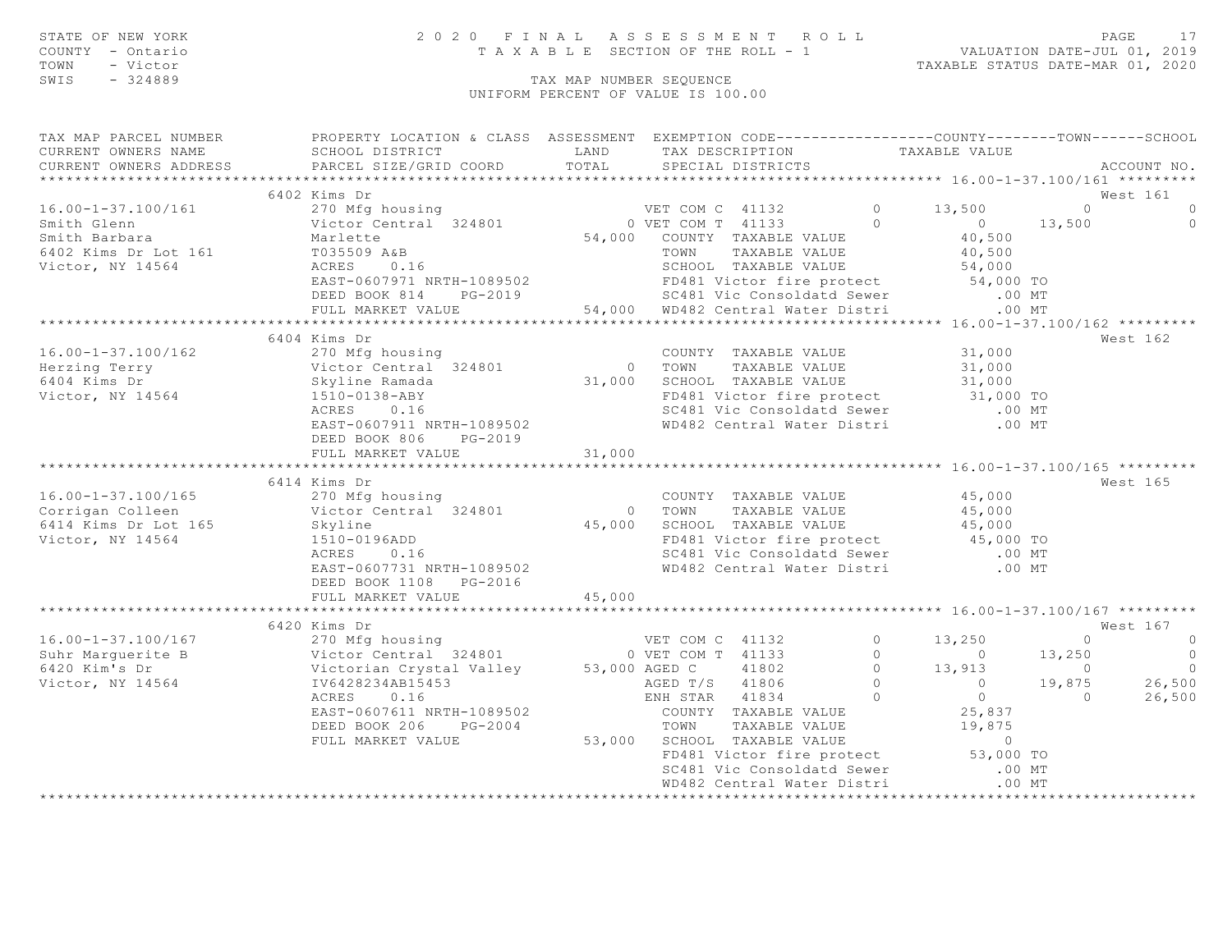| STATE OF NEW YORK | 2020 FINAL ASSESSMENT ROLL      | PAGE                             |  |
|-------------------|---------------------------------|----------------------------------|--|
| COUNTY - Ontario  | TAXABLE SECTION OF THE ROLL - 1 | VALUATION DATE-JUL 01, 2019      |  |
| TOWN<br>- Victor  |                                 | TAXABLE STATUS DATE-MAR 01, 2020 |  |
| SWIS<br>- 324889  | TAX MAP NUMBER SEQUENCE         |                                  |  |

| TAX MAP PARCEL NUMBER<br>CURRENT OWNERS NAME<br>CURRENT OWNERS ADDRESS | PROPERTY LOCATION & CLASS ASSESSMENT EXEMPTION CODE----------------COUNTY-------TOWN------SCHOOL<br>SCHOOL DISTRICT<br>PARCEL SIZE/GRID COORD                                                                                                         | LAND<br>TOTAL | TAX DESCRIPTION TAXABLE VALUE<br>SPECIAL DISTRICTS                                                                                                 |         |                                                          |                | ACCOUNT NO.    |
|------------------------------------------------------------------------|-------------------------------------------------------------------------------------------------------------------------------------------------------------------------------------------------------------------------------------------------------|---------------|----------------------------------------------------------------------------------------------------------------------------------------------------|---------|----------------------------------------------------------|----------------|----------------|
|                                                                        |                                                                                                                                                                                                                                                       |               |                                                                                                                                                    |         |                                                          |                |                |
|                                                                        | 6402 Kims Dr                                                                                                                                                                                                                                          |               |                                                                                                                                                    |         |                                                          |                | West 161       |
|                                                                        | 16.00-1-37.100/161 270 Mfg housing WET COM C 41132 0<br>Smith Glenn Victor Central 324801 0 VET COM T 41133 0<br>Smith Barbara Marlette 54,000 COUNTY TAXABLE VALUE                                                                                   |               | VET COM C 41132 0 13,500                                                                                                                           |         |                                                          | $\Omega$       | $\Omega$       |
|                                                                        |                                                                                                                                                                                                                                                       |               |                                                                                                                                                    |         | $\begin{array}{c}0\\40,500\end{array}$                   | 13,500         | $\Omega$       |
|                                                                        |                                                                                                                                                                                                                                                       |               |                                                                                                                                                    |         |                                                          |                |                |
|                                                                        |                                                                                                                                                                                                                                                       |               |                                                                                                                                                    |         |                                                          |                |                |
|                                                                        |                                                                                                                                                                                                                                                       |               |                                                                                                                                                    |         |                                                          |                |                |
|                                                                        |                                                                                                                                                                                                                                                       |               |                                                                                                                                                    |         |                                                          |                |                |
|                                                                        |                                                                                                                                                                                                                                                       |               |                                                                                                                                                    |         |                                                          |                |                |
|                                                                        | TOWN TAXABLE VALUE<br>ACRES 0.16<br>EAST-0607971 NRTH-1089502<br>DEED BOOK 814 PG-2019<br>FULL MARKET VALUE<br>FULL MARKET VALUE<br>FULL MARKET VALUE<br>FULL MARKET VALUE<br>FULL MARKET VALUE<br>THE SA,000 WD482 Central Water Distri<br>00 MT<br> |               |                                                                                                                                                    |         |                                                          |                |                |
|                                                                        |                                                                                                                                                                                                                                                       |               |                                                                                                                                                    |         |                                                          |                |                |
|                                                                        | 6404 Kims Dr                                                                                                                                                                                                                                          |               |                                                                                                                                                    |         |                                                          |                | West 162       |
|                                                                        |                                                                                                                                                                                                                                                       |               |                                                                                                                                                    |         |                                                          |                |                |
|                                                                        |                                                                                                                                                                                                                                                       |               |                                                                                                                                                    |         |                                                          |                |                |
|                                                                        |                                                                                                                                                                                                                                                       |               |                                                                                                                                                    |         |                                                          |                |                |
|                                                                        | 0.16<br>ACRES                                                                                                                                                                                                                                         |               | SCHOOL TAXABLE VALUE<br>SCHOOL TAXABLE VALUE 31,000<br>FD481 Victor fire protect 31,000 TO<br>SC481 Vic Consoldatd Sewer 00 MT                     |         |                                                          |                |                |
|                                                                        | EAST-0607911 NRTH-1089502                                                                                                                                                                                                                             |               | WD482 Central Water Distri .00 MT                                                                                                                  |         |                                                          |                |                |
|                                                                        | DEED BOOK 806<br>PG-2019                                                                                                                                                                                                                              |               |                                                                                                                                                    |         |                                                          |                |                |
|                                                                        | FULL MARKET VALUE                                                                                                                                                                                                                                     | 31,000        |                                                                                                                                                    |         |                                                          |                |                |
|                                                                        |                                                                                                                                                                                                                                                       |               |                                                                                                                                                    |         | **************** 16.00-1-37.100/165 *********            |                |                |
|                                                                        | 6414 Kims Dr                                                                                                                                                                                                                                          |               |                                                                                                                                                    |         |                                                          |                | West 165       |
|                                                                        |                                                                                                                                                                                                                                                       |               | COUNTY TAXABLE VALUE 45,000                                                                                                                        |         |                                                          |                |                |
|                                                                        | 16.00-1-37.100/165 270 Mfg housing COUNT<br>Corrigan Colleen Corrigan Unit Corrigan County Victor Central 324801 0 TOWN                                                                                                                               |               | TAXABLE VALUE 45,000                                                                                                                               |         |                                                          |                |                |
| 6414 Kims Dr Lot 165                                                   |                                                                                                                                                                                                                                                       |               |                                                                                                                                                    |         |                                                          |                |                |
| Victor, NY 14564                                                       | Skyline 45,00<br>1510-0196ADD<br>ACRES 0.16                                                                                                                                                                                                           |               |                                                                                                                                                    |         |                                                          |                |                |
|                                                                        |                                                                                                                                                                                                                                                       |               | 45,000 SCHOOL TAXABLE VALUE 45,000 PD481 Victor fire protect 45,000 TO<br>SC481 Victor fire protect 45,000 TO<br>WD482 Central Water Distri .00 MT |         |                                                          |                |                |
|                                                                        | EAST-0607731 NRTH-1089502                                                                                                                                                                                                                             |               |                                                                                                                                                    |         |                                                          |                |                |
|                                                                        | DEED BOOK 1108    PG-2016                                                                                                                                                                                                                             |               |                                                                                                                                                    |         |                                                          |                |                |
|                                                                        | FULL MARKET VALUE                                                                                                                                                                                                                                     | 45,000        |                                                                                                                                                    |         |                                                          |                |                |
|                                                                        | **********<br>****************                                                                                                                                                                                                                        |               |                                                                                                                                                    |         |                                                          |                |                |
|                                                                        | 6420 Kims Dr                                                                                                                                                                                                                                          |               |                                                                                                                                                    |         |                                                          |                | West 167       |
| 16.00-1-37.100/167                                                     | $270$ Mfg housing $VET COM C 41132 0 13,250$                                                                                                                                                                                                          |               |                                                                                                                                                    |         |                                                          | $\Omega$       | $\overline{0}$ |
|                                                                        | Suhr Marguerite B<br>Suhr Marguerite B<br>6420 Kim's Dr. (1992)<br>Victorian Crystal Valley (1993,000 AGED C 41802<br>Victor, NY 14564<br>Victor, NY 14564<br>Nictor, NY 14564<br>COMES 0.16<br>ACRES 0.16<br>ENH STAR 41834                          |               |                                                                                                                                                    | $\circ$ | $\begin{smallmatrix}&&&0\13,913\\0&&&0\end{smallmatrix}$ | 13,250         | $\overline{0}$ |
|                                                                        |                                                                                                                                                                                                                                                       |               | 0 100 AGED C 41802<br>AGED T/S 41806                                                                                                               |         |                                                          | $\overline{0}$ | $\circ$        |
|                                                                        |                                                                                                                                                                                                                                                       |               |                                                                                                                                                    |         | 19,875                                                   |                | 26,500         |
|                                                                        |                                                                                                                                                                                                                                                       |               |                                                                                                                                                    |         |                                                          | $\overline{0}$ | 26,500         |
|                                                                        |                                                                                                                                                                                                                                                       |               |                                                                                                                                                    |         |                                                          |                |                |
|                                                                        |                                                                                                                                                                                                                                                       |               |                                                                                                                                                    |         |                                                          |                |                |
|                                                                        | 196428234AB15453<br>ACRES 0.16<br>EAST-0607611 NRTH-1089502<br>DEED BOOK 206 PG-2004<br>FULL MARKET VALUE 53,000 SCHOOL TAXABLE VALUE 19,875<br>FULL MARKET VALUE 53,000 SCHOOL TAXABLE VALUE 0<br>FOR TOWN TAXABLE VALUE 19,875<br>FULL MAR          |               |                                                                                                                                                    |         |                                                          |                |                |
|                                                                        |                                                                                                                                                                                                                                                       |               |                                                                                                                                                    |         |                                                          |                |                |
|                                                                        |                                                                                                                                                                                                                                                       |               | SC481 Vic Consoldatd Sewer<br>WD482 Central Water Distri                                                                                           |         | $.00$ MT<br>.00MT                                        |                |                |
|                                                                        |                                                                                                                                                                                                                                                       |               |                                                                                                                                                    |         |                                                          |                |                |
|                                                                        |                                                                                                                                                                                                                                                       |               |                                                                                                                                                    |         |                                                          |                |                |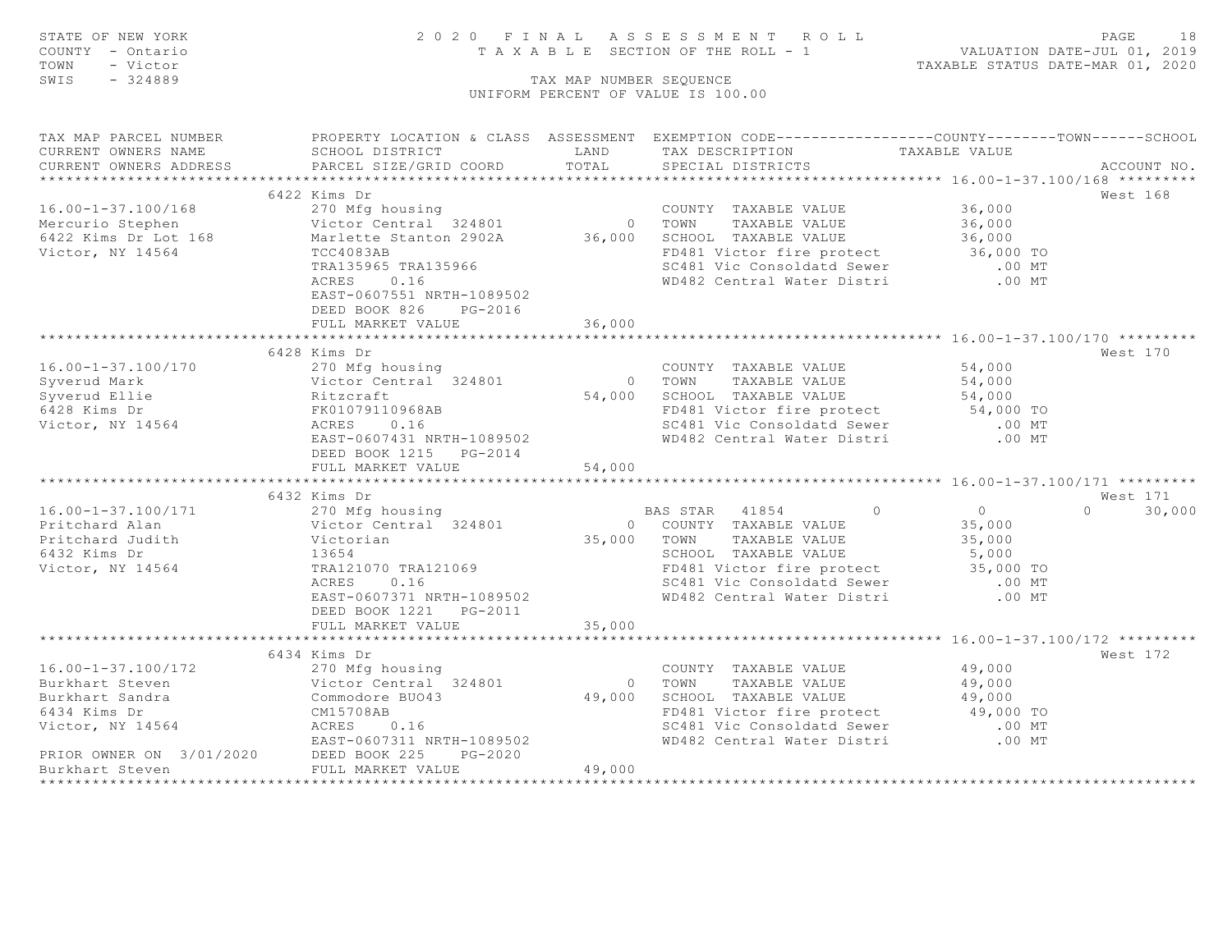| STATE OF NEW YORK<br>COUNTY - Ontario<br>TOWN<br>- Victor<br>SWIS<br>$-324889$               |                                                                                                                                                                                                                                                                                                                                                                  | TAX MAP NUMBER SEOUENCE | 2020 FINAL ASSESSMENT ROLL<br>T A X A B L E SECTION OF THE ROLL - 1<br>UNIFORM PERCENT OF VALUE IS 100.00                                                                                                            | VALUATION DATE-JUL 01, 2019<br>TAXABLE STATUS DATE-MAR 01, 2020 | PAGE<br>18         |
|----------------------------------------------------------------------------------------------|------------------------------------------------------------------------------------------------------------------------------------------------------------------------------------------------------------------------------------------------------------------------------------------------------------------------------------------------------------------|-------------------------|----------------------------------------------------------------------------------------------------------------------------------------------------------------------------------------------------------------------|-----------------------------------------------------------------|--------------------|
| CURRENT OWNERS NAME<br>CURRENT OWNERS ADDRESS                                                | TAX MAP PARCEL NUMBER THE PROPERTY LOCATION & CLASS ASSESSMENT EXEMPTION CODE--------------COUNTY-------TOWN------SCHOOL<br>SCHOOL DISTRICT<br>PARCEL SIZE/GRID COORD                                                                                                                                                                                            | TOTAL                   | LAND TAX DESCRIPTION<br>SPECIAL DISTRICTS                                                                                                                                                                            | TAXABLE VALUE                                                   | ACCOUNT NO.        |
| $16.00 - 1 - 37.100 / 168$                                                                   | 6422 Kims Dr<br>270 Mfg housing<br>Nercurio Stephen (270 Mily 10081119)<br>Mercurio Stephen (168 Marlette Stanton 2902A 16422 Kims Dr Lot 168 Marlette Stanton 2902A 36,000 SCHOOL TAXABLE VALUE<br>Victor, NY 14564 TCC4083AB TCC4083AB FD481 Victor fire protect<br>TRA135965 TRA135966<br>ACRES 0.16<br>EAST-0607551 NRTH-1089502<br>DEED BOOK 826    PG-2016 |                         | COUNTY TAXABLE VALUE<br>TAXABLE VALUE<br>FD481 Victor fire protect<br>SC481 Vic Consoldatd Sewer .00 MT<br>WD482 Central Water Distri .00 MT                                                                         | 36,000<br>36,000<br>36,000                                      | West 168           |
|                                                                                              | FULL MARKET VALUE                                                                                                                                                                                                                                                                                                                                                | 36,000                  |                                                                                                                                                                                                                      |                                                                 |                    |
|                                                                                              | 6428 Kims Dr<br>270 Mfg housing<br>16.00-1-3/.100/170 270 Mfg housing<br>Syverud Mark Victor Central 324801<br>Syverud Ellie Ritzcraft<br>6428 Kims Dr FK01079110968AB<br>Victor, NY 14564 ACRES 0.16<br>EAST-0607431 NRTH-1089502<br>DEED BOOK 1215 PG-2014<br>FULL MARKET VALUE                                                                                | 54,000                  | COUNTY TAXABLE VALUE<br>0 TOWN TAXABLE VALUE<br>54,000 SCHOOL TAXABLE VALUE<br>FD481 Victor fire protect<br>SC481 Vic Consoldatd Sewer<br>WD482 Central Water Distri                                                 | 54,000<br>54,000<br>54,000<br>54,000 TO<br>.00 MT<br>.00 MT     | West 170           |
|                                                                                              | 6432 Kims Dr                                                                                                                                                                                                                                                                                                                                                     |                         |                                                                                                                                                                                                                      |                                                                 | West 171           |
| 16.00-1-37.100/171<br>Pritchard Alan<br>Pritchard Judith<br>6432 Kims Dr<br>Victor, NY 14564 | 270 Mfg housing<br>Victor Central 324801<br>Victorian<br>13654<br>TRA121070 TRA121069<br>ACRES 0.16<br>EAST-0607371 NRTH-1089502<br>DEED BOOK 1221   PG-2011                                                                                                                                                                                                     |                         | BAS STAR 41854<br>$\bigcap$<br>0 COUNTY TAXABLE VALUE<br>35,000 TOWN TAXABLE VALUE<br>SCHOOL TAXABLE VALUE<br>FD481 Victor fire protect 35,000 TO<br>SC481 Vic Consoldatd Sewer .00 MT<br>WD482 Central Water Distri | $0$<br>35,000<br>35,000<br>5,000<br>.00 MT<br>$.00$ MT          | $\Omega$<br>30,000 |
|                                                                                              | FULL MARKET VALUE<br>**************                                                                                                                                                                                                                                                                                                                              | 35,000                  |                                                                                                                                                                                                                      |                                                                 |                    |
| 16.00-1-37.100/172<br>Burkhart Steven                                                        | 6434 Kims Dr<br>270 Mfg housing<br>16.00-1-37.100/172 270 Mfg housing<br>Burkhart Steven Victor Central 324801<br>Burkhart Sandra Commodore BUO43<br>6434 Kims Dr CM15708AB<br>Victor, NY 14564 ACRES 0.16<br>EAST-0607311 NRTH-1089502<br>PRIOR OWNER ON 3/01/2020 DEED BOOK<br>EAST-0607311 NRTH-1089502<br>FULL MARKET VALUE                                  | 49,000                  | COUNTY TAXABLE VALUE<br>0 TOWN TAXABLE VALUE<br>49,000 SCHOOL TAXABLE VALUE<br>TAXABLE VALUE<br>FD481 Victor fire protect 49,000 TO<br>SC481 Vic Consoldatd Sewer<br>WD482 Central Water Distri                      | 49,000<br>49,000<br>49,000<br>.00 MT<br>$.00$ MT                | West 172           |
|                                                                                              |                                                                                                                                                                                                                                                                                                                                                                  |                         |                                                                                                                                                                                                                      |                                                                 |                    |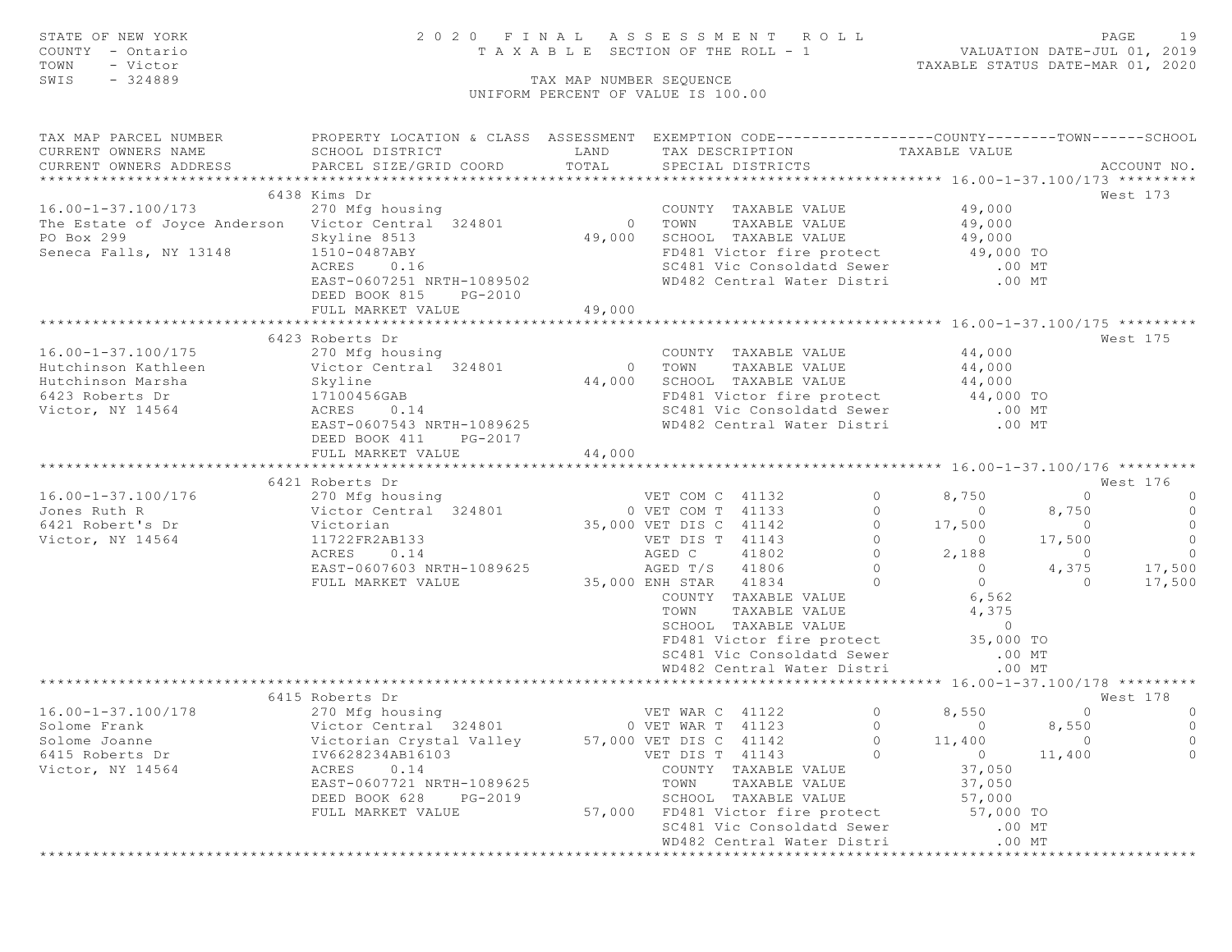| STATE OF NEW YORK<br>COUNTY - Ontario<br>TOWN<br>- Victor<br>SWIS<br>$-324889$                      |                                                       | TAX MAP NUMBER SEQUENCE | 2020 FINAL ASSESSMENT ROLL<br>T A X A B L E SECTION OF THE ROLL - 1<br>UNIFORM PERCENT OF VALUE IS 100.00                               | VALUATION DATE-JUL 01, 2019<br>TAXABLE STATUS DATE-MAR 01, 2020 | 19<br>PAGE                |
|-----------------------------------------------------------------------------------------------------|-------------------------------------------------------|-------------------------|-----------------------------------------------------------------------------------------------------------------------------------------|-----------------------------------------------------------------|---------------------------|
| TAX MAP PARCEL NUMBER<br>CURRENT OWNERS NAME<br>CURRENT OWNERS ADDRESS<br>************************* | SCHOOL DISTRICT<br>PARCEL SIZE/GRID COORD             | LAND<br>TOTAL           | PROPERTY LOCATION & CLASS ASSESSMENT EXEMPTION CODE---------------COUNTY-------TOWN------SCHOOL<br>TAX DESCRIPTION<br>SPECIAL DISTRICTS | TAXABLE VALUE                                                   | ACCOUNT NO.               |
|                                                                                                     | 6438 Kims Dr                                          |                         |                                                                                                                                         |                                                                 | West 173                  |
| $16.00 - 1 - 37.100 / 173$                                                                          | 270 Mfg housing                                       |                         | COUNTY TAXABLE VALUE 49,000                                                                                                             |                                                                 |                           |
| The Estate of Joyce Anderson Victor Central 324801                                                  |                                                       |                         | 0 TOWN<br>TAXABLE VALUE                                                                                                                 | 49,000                                                          |                           |
| PO Box 299                                                                                          | Skyline 8513                                          |                         | 49,000 SCHOOL TAXABLE VALUE                                                                                                             | 49,000                                                          |                           |
| Seneca Falls, NY 13148                                                                              | 87ABY<br>0.16<br>1510-0487ABY                         |                         | FD481 Victor fire protect 49,000 TO                                                                                                     |                                                                 |                           |
|                                                                                                     | ACRES                                                 |                         | SC481 Vic Consoldatd Sewer                                                                                                              | .00 MT                                                          |                           |
|                                                                                                     | EAST-0607251 NRTH-1089502<br>DEED BOOK 815 PG-2010    |                         | WD482 Central Water Distri .00 MT                                                                                                       |                                                                 |                           |
|                                                                                                     | FULL MARKET VALUE<br>*****************************    | 49,000                  |                                                                                                                                         |                                                                 |                           |
|                                                                                                     | 6423 Roberts Dr                                       |                         |                                                                                                                                         |                                                                 | West 175                  |
| $16.00 - 1 - 37.100 / 175$                                                                          | 270 Mfg housing                                       |                         | COUNTY TAXABLE VALUE                                                                                                                    | 44,000                                                          |                           |
| Hutchinson Kathleen                                                                                 | Victor Central 324801                                 |                         | 0 TOWN<br>TAXABLE VALUE                                                                                                                 | 44,000                                                          |                           |
| Hutchinson Marsha<br>6423 Boborts Dr                                                                | Skyline<br>17100456GAB                                |                         | 44,000 SCHOOL TAXABLE VALUE                                                                                                             | 44,000                                                          |                           |
| 6423 Roberts Dr                                                                                     |                                                       |                         | FD481 Victor fire protect 44,000 TO                                                                                                     |                                                                 |                           |
| Victor, NY 14564                                                                                    | ACRES<br>0.14                                         |                         | SC481 Vic Consoldatd Sewer<br>WD482 Central Water Distri                                                                                | .00 MT<br>.00 MT                                                |                           |
|                                                                                                     | EAST-0607543 NRTH-1089625<br>DEED BOOK 411<br>PG-2017 |                         |                                                                                                                                         |                                                                 |                           |
|                                                                                                     | FULL MARKET VALUE<br>*************************        | 44,000<br>***********   |                                                                                                                                         | ************************ 16.00-1-37.100/176 *********           |                           |
|                                                                                                     | 6421 Roberts Dr                                       |                         |                                                                                                                                         |                                                                 | West 176                  |
| 16.00-1-37.100/176                                                                                  | 270 Mfg housing                                       |                         | VET COM C 41132<br>$\circ$                                                                                                              | 8,750                                                           | $\circ$<br>$\Omega$       |
| Jones Ruth R                                                                                        | 270 Mfg housing<br>Victor Central 324801              |                         | 0 VET COM T 41133<br>$\circ$                                                                                                            | $\sim$ 0                                                        | $\circ$<br>8,750          |
| Victorian<br>6421 Robert's Dr                                                                       |                                                       |                         | 0 VET COM T 41133<br>35,000 VET DIS C 41142<br>$\circ$                                                                                  | 17,500                                                          | $\circ$<br>$\overline{0}$ |
| Victor, NY 14564                                                                                    | 11722FR2AB133                                         |                         | VET DIS T 41143<br>$\Omega$                                                                                                             | $\overline{0}$<br>17,500                                        | $\Omega$                  |
|                                                                                                     | 0.14<br>ACRES                                         |                         | 41802<br>$\bigcirc$<br>AGED C                                                                                                           | 2,188<br>$\overline{0}$                                         | $\circ$                   |
|                                                                                                     | EAST-0607603 NRTH-1089625                             |                         | $\circ$<br>AGED T/S 41806                                                                                                               | $\overline{0}$                                                  | 4,375<br>17,500           |
|                                                                                                     | FULL MARKET VALUE                                     |                         | $\overline{a}$<br>35,000 ENH STAR 41834                                                                                                 | $\overline{0}$                                                  | $\Omega$<br>17,500        |
|                                                                                                     |                                                       |                         | COUNTY TAXABLE VALUE                                                                                                                    | 6,562                                                           |                           |
|                                                                                                     |                                                       |                         | TAXABLE VALUE<br>TOWN                                                                                                                   | 4,375<br>$\overline{0}$                                         |                           |
|                                                                                                     |                                                       |                         | SCHOOL TAXABLE VALUE<br>FD481 Victor fire protect                                                                                       | 35,000 TO                                                       |                           |
|                                                                                                     |                                                       |                         | SC481 Vic Consoldatd Sewer                                                                                                              | $.00$ MT                                                        |                           |
|                                                                                                     |                                                       |                         | WD482 Central Water Distri                                                                                                              | $.00$ MT                                                        |                           |
|                                                                                                     | *******************************                       |                         |                                                                                                                                         | ****************** 16.00-1-37.100/178 *********                 |                           |
|                                                                                                     | 6415 Roberts Dr                                       |                         |                                                                                                                                         |                                                                 | West 178                  |
| $16.00 - 1 - 37.100 / 178$                                                                          | 270 Mfg housing                                       |                         | VET WAR C 41122<br>$\Omega$                                                                                                             | 8,550                                                           | $\circ$<br>$\Omega$       |
| Solome Frank                                                                                        | Victor Central 324801                                 |                         | 0 VET WAR T 41123<br>$\overline{0}$                                                                                                     | $\overline{0}$                                                  | 8,550<br>$\circ$          |
| Solome Joanne                                                                                       | Victorian Crystal Valley                              |                         | 57,000 VET DIS C 41142<br>$\circ$                                                                                                       | 11,400                                                          | $\circ$<br>$\circ$        |
| 6415 Roberts Dr                                                                                     | IV6628234AB16103                                      |                         | $\circ$<br>VET DIS T 41143                                                                                                              | $\circ$<br>11,400                                               | $\circ$                   |
| Victor, NY 14564                                                                                    | 0.14<br>ACRES<br>EAST-0607721 NRTH-1089625            |                         | COUNTY TAXABLE VALUE<br>TAXABLE VALUE<br>TOWN                                                                                           | 37,050<br>37,050                                                |                           |
|                                                                                                     | DEED BOOK 628<br>PG-2019                              |                         | SCHOOL TAXABLE VALUE                                                                                                                    | 57,000                                                          |                           |
|                                                                                                     | FULL MARKET VALUE                                     | 57,000                  | FD481 Victor fire protect                                                                                                               | 57,000 TO                                                       |                           |
|                                                                                                     |                                                       |                         | SC481 Vic Consoldatd Sewer                                                                                                              | $.00$ MT                                                        |                           |
|                                                                                                     |                                                       |                         | WD482 Central Water Distri                                                                                                              | $.00$ MT                                                        |                           |
|                                                                                                     |                                                       |                         |                                                                                                                                         |                                                                 |                           |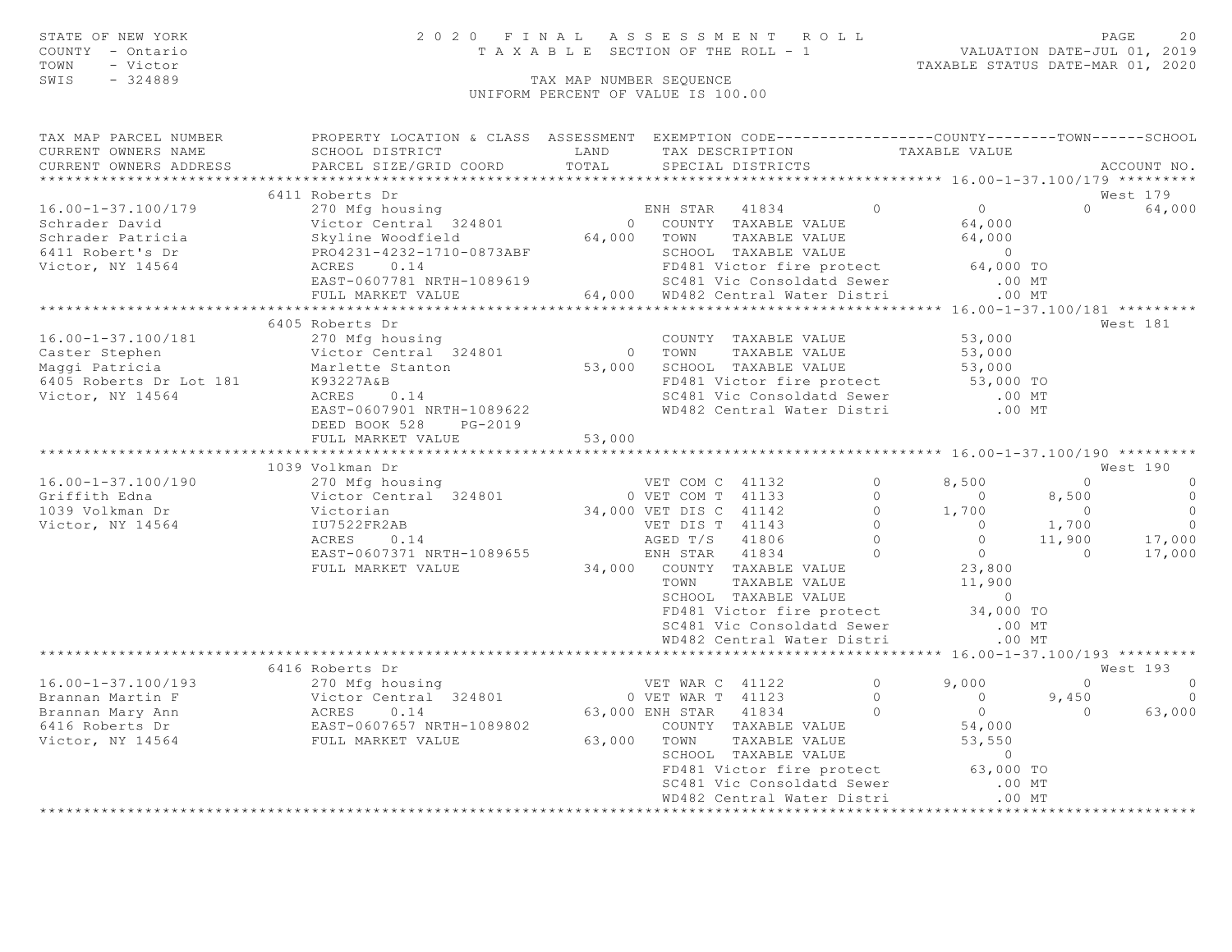| UNIFORM PERCENT OF VALUE IS 100.00<br>TAX MAP PARCEL NUMBER <a> PROPERTY LOCATION &amp; CLASS ASSESSMENT EXEMPTION CODE--------------COUNTY-------TOWN------SCHOOL<br/>SCHOOL DISTRICT                      LAND        TAX DESCRIPTION                TAXABLE VALUE<br/>CURRENT OWNERS NAME<br/>CURRENT OWNERS ADDRESS<br/>PARCEL SIZE/GRID COORD TOTAL<br/>SPECIAL DISTRICTS<br/>ACCOUNT NO.<br/>West 179<br/>ENH STAR 41834 0 0 0<br/>64,000<br/><math>0 \qquad \qquad</math><br/>64,000<br/>64,000<br/>A CHANGE VALUE CHANGE VALUE CHANGE VALUE CHANGE OF TAXABLE VALUE CHANGE OF SCHOOL TAXABLE VALUE CHANGE OF SCHOOL TAXABLE VALUE CHANGE OF SCHOOL TAXABLE VALUE CHANGE OF SCHOOL TAXABLE VALUE CONSOLUME CHANGE OF SCART CHANGE<br/>6405 Roberts Dr<br/>West 181<br/>16.00-1-37.100/181 <br/> Caster Stephen Victor Central 324801 <br/> Maggi Patricia Marlette Stanton 53,000 SCHOOL TAXABLE VALUE 53,000<br/> Maggi Patricia Marlette Stanton 53,000 SCHOOL TAXABLE VALUE 53,000<br/> Maggi Patricia Marlette St<br/>DEED BOOK 528 PG-2019<br/>53,000<br/>FULL MARKET VALUE<br/>West 190<br/>16.00-1-37.100/190 270 Mfg housing<br/> Griffith Edna Victor Central 324801 VET COM C 41132 0 8,500<br/> 1039 Volkman Dr Victorian Victorian 324801 34,000 VET DIS C 41142 0 1,700<br/> 1039 Volkman Dr Victorian IV7522FR2AB VET DIS T 41<br/><math>\overline{0}</math><br/><math>\bigcap</math><br/>270 Mig Housing<br/> Victor Central 324801<br/> Victor Central 324801<br/> Victorian 34,000 VET DIS C 41142 0 1,700 0 0<br/> VET DIS C 41142 0 1,700 0 0<br/> VET DIS C 41143 0 1,700 0<br/> VET DIS C 41143 0 0 1,700<br/> ACRES 0.14<br/> ACRES 0.14<br/> EAST-0<br/>ACRES 0.14<br/>SCHOOL TAXABLE VALUE<br/><math>\sim</math> 0<br/>FD481 Victor fire protect<br/>34,000 TO<br/>SC481 Vic Consoldatd Sewer<br/>.00 MT<br/>WD482 Central Water Distri<br/><math>.00</math> MT<br/>6416 Roberts Dr<br/>West 193<br/>16.00-1-37.100/193 0410 NODELLS DI<br/> Brannan Martin F Victor Central 324801 0 VET WAR T 41123<br/> Brannan Mary Ann ACRES 0.14 63,000 ENH STAR 41834<br/> 6416 Roberts Dr EAST-0607657 NRTH-1089802 COUNTY TAXABLE<br/> Victor, NY 14564 FU<br/>ET WAR C 41122 0 9,000 0<br/> ET WAR T 41123 0 0 9,450<br/> NH STAR 41834 0 0 0 9,450<br/> COUNTY TAXABLE VALUE 54,000<br/> TOWN TAXABLE VALUE 53,550<br/> COUNTY TAXABLE VALUE 53,550<br/><math>\circ</math><br/><math>\overline{0}</math><br/><math>\circ</math><br/>63,000<br/>63,000 TOWN TAXABLE VALUE<br/>SCHOOL TAXABLE VALUE<br/><math>\overline{0}</math><br/>63,000 TO<br/>FD481 Victor fire protect 63,000 TO<br/>SC481 Vic Consoldatd Sewer .00 MT</a> | STATE OF NEW YORK<br>COUNTY - Ontario<br>TOWN<br>- Victor<br>SWIS - 324889 |  | 2020 FINAL ASSESSMENT ROLL (PAGE 20<br>TAXABLE SECTION OF THE ROLL - 1 VALUATION DATE-JUL 01, 2019<br>TAXABLE STATUS DATE-MAR 01, 2020<br>TAX MAP NUMBER SEQUENCE |  |  |
|-----------------------------------------------------------------------------------------------------------------------------------------------------------------------------------------------------------------------------------------------------------------------------------------------------------------------------------------------------------------------------------------------------------------------------------------------------------------------------------------------------------------------------------------------------------------------------------------------------------------------------------------------------------------------------------------------------------------------------------------------------------------------------------------------------------------------------------------------------------------------------------------------------------------------------------------------------------------------------------------------------------------------------------------------------------------------------------------------------------------------------------------------------------------------------------------------------------------------------------------------------------------------------------------------------------------------------------------------------------------------------------------------------------------------------------------------------------------------------------------------------------------------------------------------------------------------------------------------------------------------------------------------------------------------------------------------------------------------------------------------------------------------------------------------------------------------------------------------------------------------------------------------------------------------------------------------------------------------------------------------------------------------------------------------------------------------------------------------------------------------------------------------------------------------------------------------------------------------------------------------------------------------------------------------------------------------------------------------------------------------------------------------------------------------------------------------------------------------------------------------------------------------------------------------------------------------------------------------------------------------------------------------------------|----------------------------------------------------------------------------|--|-------------------------------------------------------------------------------------------------------------------------------------------------------------------|--|--|
|                                                                                                                                                                                                                                                                                                                                                                                                                                                                                                                                                                                                                                                                                                                                                                                                                                                                                                                                                                                                                                                                                                                                                                                                                                                                                                                                                                                                                                                                                                                                                                                                                                                                                                                                                                                                                                                                                                                                                                                                                                                                                                                                                                                                                                                                                                                                                                                                                                                                                                                                                                                                                                                           |                                                                            |  |                                                                                                                                                                   |  |  |
|                                                                                                                                                                                                                                                                                                                                                                                                                                                                                                                                                                                                                                                                                                                                                                                                                                                                                                                                                                                                                                                                                                                                                                                                                                                                                                                                                                                                                                                                                                                                                                                                                                                                                                                                                                                                                                                                                                                                                                                                                                                                                                                                                                                                                                                                                                                                                                                                                                                                                                                                                                                                                                                           |                                                                            |  |                                                                                                                                                                   |  |  |
|                                                                                                                                                                                                                                                                                                                                                                                                                                                                                                                                                                                                                                                                                                                                                                                                                                                                                                                                                                                                                                                                                                                                                                                                                                                                                                                                                                                                                                                                                                                                                                                                                                                                                                                                                                                                                                                                                                                                                                                                                                                                                                                                                                                                                                                                                                                                                                                                                                                                                                                                                                                                                                                           |                                                                            |  |                                                                                                                                                                   |  |  |
|                                                                                                                                                                                                                                                                                                                                                                                                                                                                                                                                                                                                                                                                                                                                                                                                                                                                                                                                                                                                                                                                                                                                                                                                                                                                                                                                                                                                                                                                                                                                                                                                                                                                                                                                                                                                                                                                                                                                                                                                                                                                                                                                                                                                                                                                                                                                                                                                                                                                                                                                                                                                                                                           |                                                                            |  |                                                                                                                                                                   |  |  |
|                                                                                                                                                                                                                                                                                                                                                                                                                                                                                                                                                                                                                                                                                                                                                                                                                                                                                                                                                                                                                                                                                                                                                                                                                                                                                                                                                                                                                                                                                                                                                                                                                                                                                                                                                                                                                                                                                                                                                                                                                                                                                                                                                                                                                                                                                                                                                                                                                                                                                                                                                                                                                                                           |                                                                            |  |                                                                                                                                                                   |  |  |
|                                                                                                                                                                                                                                                                                                                                                                                                                                                                                                                                                                                                                                                                                                                                                                                                                                                                                                                                                                                                                                                                                                                                                                                                                                                                                                                                                                                                                                                                                                                                                                                                                                                                                                                                                                                                                                                                                                                                                                                                                                                                                                                                                                                                                                                                                                                                                                                                                                                                                                                                                                                                                                                           |                                                                            |  |                                                                                                                                                                   |  |  |
|                                                                                                                                                                                                                                                                                                                                                                                                                                                                                                                                                                                                                                                                                                                                                                                                                                                                                                                                                                                                                                                                                                                                                                                                                                                                                                                                                                                                                                                                                                                                                                                                                                                                                                                                                                                                                                                                                                                                                                                                                                                                                                                                                                                                                                                                                                                                                                                                                                                                                                                                                                                                                                                           |                                                                            |  |                                                                                                                                                                   |  |  |
|                                                                                                                                                                                                                                                                                                                                                                                                                                                                                                                                                                                                                                                                                                                                                                                                                                                                                                                                                                                                                                                                                                                                                                                                                                                                                                                                                                                                                                                                                                                                                                                                                                                                                                                                                                                                                                                                                                                                                                                                                                                                                                                                                                                                                                                                                                                                                                                                                                                                                                                                                                                                                                                           |                                                                            |  |                                                                                                                                                                   |  |  |
|                                                                                                                                                                                                                                                                                                                                                                                                                                                                                                                                                                                                                                                                                                                                                                                                                                                                                                                                                                                                                                                                                                                                                                                                                                                                                                                                                                                                                                                                                                                                                                                                                                                                                                                                                                                                                                                                                                                                                                                                                                                                                                                                                                                                                                                                                                                                                                                                                                                                                                                                                                                                                                                           |                                                                            |  |                                                                                                                                                                   |  |  |
|                                                                                                                                                                                                                                                                                                                                                                                                                                                                                                                                                                                                                                                                                                                                                                                                                                                                                                                                                                                                                                                                                                                                                                                                                                                                                                                                                                                                                                                                                                                                                                                                                                                                                                                                                                                                                                                                                                                                                                                                                                                                                                                                                                                                                                                                                                                                                                                                                                                                                                                                                                                                                                                           |                                                                            |  |                                                                                                                                                                   |  |  |
|                                                                                                                                                                                                                                                                                                                                                                                                                                                                                                                                                                                                                                                                                                                                                                                                                                                                                                                                                                                                                                                                                                                                                                                                                                                                                                                                                                                                                                                                                                                                                                                                                                                                                                                                                                                                                                                                                                                                                                                                                                                                                                                                                                                                                                                                                                                                                                                                                                                                                                                                                                                                                                                           |                                                                            |  |                                                                                                                                                                   |  |  |
|                                                                                                                                                                                                                                                                                                                                                                                                                                                                                                                                                                                                                                                                                                                                                                                                                                                                                                                                                                                                                                                                                                                                                                                                                                                                                                                                                                                                                                                                                                                                                                                                                                                                                                                                                                                                                                                                                                                                                                                                                                                                                                                                                                                                                                                                                                                                                                                                                                                                                                                                                                                                                                                           |                                                                            |  |                                                                                                                                                                   |  |  |
|                                                                                                                                                                                                                                                                                                                                                                                                                                                                                                                                                                                                                                                                                                                                                                                                                                                                                                                                                                                                                                                                                                                                                                                                                                                                                                                                                                                                                                                                                                                                                                                                                                                                                                                                                                                                                                                                                                                                                                                                                                                                                                                                                                                                                                                                                                                                                                                                                                                                                                                                                                                                                                                           |                                                                            |  |                                                                                                                                                                   |  |  |
|                                                                                                                                                                                                                                                                                                                                                                                                                                                                                                                                                                                                                                                                                                                                                                                                                                                                                                                                                                                                                                                                                                                                                                                                                                                                                                                                                                                                                                                                                                                                                                                                                                                                                                                                                                                                                                                                                                                                                                                                                                                                                                                                                                                                                                                                                                                                                                                                                                                                                                                                                                                                                                                           |                                                                            |  |                                                                                                                                                                   |  |  |
|                                                                                                                                                                                                                                                                                                                                                                                                                                                                                                                                                                                                                                                                                                                                                                                                                                                                                                                                                                                                                                                                                                                                                                                                                                                                                                                                                                                                                                                                                                                                                                                                                                                                                                                                                                                                                                                                                                                                                                                                                                                                                                                                                                                                                                                                                                                                                                                                                                                                                                                                                                                                                                                           |                                                                            |  |                                                                                                                                                                   |  |  |
|                                                                                                                                                                                                                                                                                                                                                                                                                                                                                                                                                                                                                                                                                                                                                                                                                                                                                                                                                                                                                                                                                                                                                                                                                                                                                                                                                                                                                                                                                                                                                                                                                                                                                                                                                                                                                                                                                                                                                                                                                                                                                                                                                                                                                                                                                                                                                                                                                                                                                                                                                                                                                                                           |                                                                            |  |                                                                                                                                                                   |  |  |
|                                                                                                                                                                                                                                                                                                                                                                                                                                                                                                                                                                                                                                                                                                                                                                                                                                                                                                                                                                                                                                                                                                                                                                                                                                                                                                                                                                                                                                                                                                                                                                                                                                                                                                                                                                                                                                                                                                                                                                                                                                                                                                                                                                                                                                                                                                                                                                                                                                                                                                                                                                                                                                                           |                                                                            |  |                                                                                                                                                                   |  |  |
|                                                                                                                                                                                                                                                                                                                                                                                                                                                                                                                                                                                                                                                                                                                                                                                                                                                                                                                                                                                                                                                                                                                                                                                                                                                                                                                                                                                                                                                                                                                                                                                                                                                                                                                                                                                                                                                                                                                                                                                                                                                                                                                                                                                                                                                                                                                                                                                                                                                                                                                                                                                                                                                           |                                                                            |  |                                                                                                                                                                   |  |  |
|                                                                                                                                                                                                                                                                                                                                                                                                                                                                                                                                                                                                                                                                                                                                                                                                                                                                                                                                                                                                                                                                                                                                                                                                                                                                                                                                                                                                                                                                                                                                                                                                                                                                                                                                                                                                                                                                                                                                                                                                                                                                                                                                                                                                                                                                                                                                                                                                                                                                                                                                                                                                                                                           |                                                                            |  |                                                                                                                                                                   |  |  |
|                                                                                                                                                                                                                                                                                                                                                                                                                                                                                                                                                                                                                                                                                                                                                                                                                                                                                                                                                                                                                                                                                                                                                                                                                                                                                                                                                                                                                                                                                                                                                                                                                                                                                                                                                                                                                                                                                                                                                                                                                                                                                                                                                                                                                                                                                                                                                                                                                                                                                                                                                                                                                                                           |                                                                            |  |                                                                                                                                                                   |  |  |
|                                                                                                                                                                                                                                                                                                                                                                                                                                                                                                                                                                                                                                                                                                                                                                                                                                                                                                                                                                                                                                                                                                                                                                                                                                                                                                                                                                                                                                                                                                                                                                                                                                                                                                                                                                                                                                                                                                                                                                                                                                                                                                                                                                                                                                                                                                                                                                                                                                                                                                                                                                                                                                                           |                                                                            |  |                                                                                                                                                                   |  |  |
|                                                                                                                                                                                                                                                                                                                                                                                                                                                                                                                                                                                                                                                                                                                                                                                                                                                                                                                                                                                                                                                                                                                                                                                                                                                                                                                                                                                                                                                                                                                                                                                                                                                                                                                                                                                                                                                                                                                                                                                                                                                                                                                                                                                                                                                                                                                                                                                                                                                                                                                                                                                                                                                           |                                                                            |  |                                                                                                                                                                   |  |  |
|                                                                                                                                                                                                                                                                                                                                                                                                                                                                                                                                                                                                                                                                                                                                                                                                                                                                                                                                                                                                                                                                                                                                                                                                                                                                                                                                                                                                                                                                                                                                                                                                                                                                                                                                                                                                                                                                                                                                                                                                                                                                                                                                                                                                                                                                                                                                                                                                                                                                                                                                                                                                                                                           |                                                                            |  |                                                                                                                                                                   |  |  |
|                                                                                                                                                                                                                                                                                                                                                                                                                                                                                                                                                                                                                                                                                                                                                                                                                                                                                                                                                                                                                                                                                                                                                                                                                                                                                                                                                                                                                                                                                                                                                                                                                                                                                                                                                                                                                                                                                                                                                                                                                                                                                                                                                                                                                                                                                                                                                                                                                                                                                                                                                                                                                                                           |                                                                            |  |                                                                                                                                                                   |  |  |
|                                                                                                                                                                                                                                                                                                                                                                                                                                                                                                                                                                                                                                                                                                                                                                                                                                                                                                                                                                                                                                                                                                                                                                                                                                                                                                                                                                                                                                                                                                                                                                                                                                                                                                                                                                                                                                                                                                                                                                                                                                                                                                                                                                                                                                                                                                                                                                                                                                                                                                                                                                                                                                                           |                                                                            |  |                                                                                                                                                                   |  |  |
|                                                                                                                                                                                                                                                                                                                                                                                                                                                                                                                                                                                                                                                                                                                                                                                                                                                                                                                                                                                                                                                                                                                                                                                                                                                                                                                                                                                                                                                                                                                                                                                                                                                                                                                                                                                                                                                                                                                                                                                                                                                                                                                                                                                                                                                                                                                                                                                                                                                                                                                                                                                                                                                           |                                                                            |  |                                                                                                                                                                   |  |  |
|                                                                                                                                                                                                                                                                                                                                                                                                                                                                                                                                                                                                                                                                                                                                                                                                                                                                                                                                                                                                                                                                                                                                                                                                                                                                                                                                                                                                                                                                                                                                                                                                                                                                                                                                                                                                                                                                                                                                                                                                                                                                                                                                                                                                                                                                                                                                                                                                                                                                                                                                                                                                                                                           |                                                                            |  |                                                                                                                                                                   |  |  |
|                                                                                                                                                                                                                                                                                                                                                                                                                                                                                                                                                                                                                                                                                                                                                                                                                                                                                                                                                                                                                                                                                                                                                                                                                                                                                                                                                                                                                                                                                                                                                                                                                                                                                                                                                                                                                                                                                                                                                                                                                                                                                                                                                                                                                                                                                                                                                                                                                                                                                                                                                                                                                                                           |                                                                            |  |                                                                                                                                                                   |  |  |
|                                                                                                                                                                                                                                                                                                                                                                                                                                                                                                                                                                                                                                                                                                                                                                                                                                                                                                                                                                                                                                                                                                                                                                                                                                                                                                                                                                                                                                                                                                                                                                                                                                                                                                                                                                                                                                                                                                                                                                                                                                                                                                                                                                                                                                                                                                                                                                                                                                                                                                                                                                                                                                                           |                                                                            |  |                                                                                                                                                                   |  |  |
|                                                                                                                                                                                                                                                                                                                                                                                                                                                                                                                                                                                                                                                                                                                                                                                                                                                                                                                                                                                                                                                                                                                                                                                                                                                                                                                                                                                                                                                                                                                                                                                                                                                                                                                                                                                                                                                                                                                                                                                                                                                                                                                                                                                                                                                                                                                                                                                                                                                                                                                                                                                                                                                           |                                                                            |  |                                                                                                                                                                   |  |  |
|                                                                                                                                                                                                                                                                                                                                                                                                                                                                                                                                                                                                                                                                                                                                                                                                                                                                                                                                                                                                                                                                                                                                                                                                                                                                                                                                                                                                                                                                                                                                                                                                                                                                                                                                                                                                                                                                                                                                                                                                                                                                                                                                                                                                                                                                                                                                                                                                                                                                                                                                                                                                                                                           |                                                                            |  |                                                                                                                                                                   |  |  |
|                                                                                                                                                                                                                                                                                                                                                                                                                                                                                                                                                                                                                                                                                                                                                                                                                                                                                                                                                                                                                                                                                                                                                                                                                                                                                                                                                                                                                                                                                                                                                                                                                                                                                                                                                                                                                                                                                                                                                                                                                                                                                                                                                                                                                                                                                                                                                                                                                                                                                                                                                                                                                                                           |                                                                            |  |                                                                                                                                                                   |  |  |
|                                                                                                                                                                                                                                                                                                                                                                                                                                                                                                                                                                                                                                                                                                                                                                                                                                                                                                                                                                                                                                                                                                                                                                                                                                                                                                                                                                                                                                                                                                                                                                                                                                                                                                                                                                                                                                                                                                                                                                                                                                                                                                                                                                                                                                                                                                                                                                                                                                                                                                                                                                                                                                                           |                                                                            |  |                                                                                                                                                                   |  |  |
|                                                                                                                                                                                                                                                                                                                                                                                                                                                                                                                                                                                                                                                                                                                                                                                                                                                                                                                                                                                                                                                                                                                                                                                                                                                                                                                                                                                                                                                                                                                                                                                                                                                                                                                                                                                                                                                                                                                                                                                                                                                                                                                                                                                                                                                                                                                                                                                                                                                                                                                                                                                                                                                           |                                                                            |  |                                                                                                                                                                   |  |  |

WD482 Central Water Distri .00 MT \*\*\*\*\*\*\*\*\*\*\*\*\*\*\*\*\*\*\*\*\*\*\*\*\*\*\*\*\*\*\*\*\*\*\*\*\*\*\*\*\*\*\*\*\*\*\*\*\*\*\*\*\*\*\*\*\*\*\*\*\*\*\*\*\*\*\*\*\*\*\*\*\*\*\*\*\*\*\*\*\*\*\*\*\*\*\*\*\*\*\*\*\*\*\*\*\*\*\*\*\*\*\*\*\*\*\*\*\*\*\*\*\*\*\*\*\*\*\*\*\*\*\*\*\*\*\*\*\*\*\*\*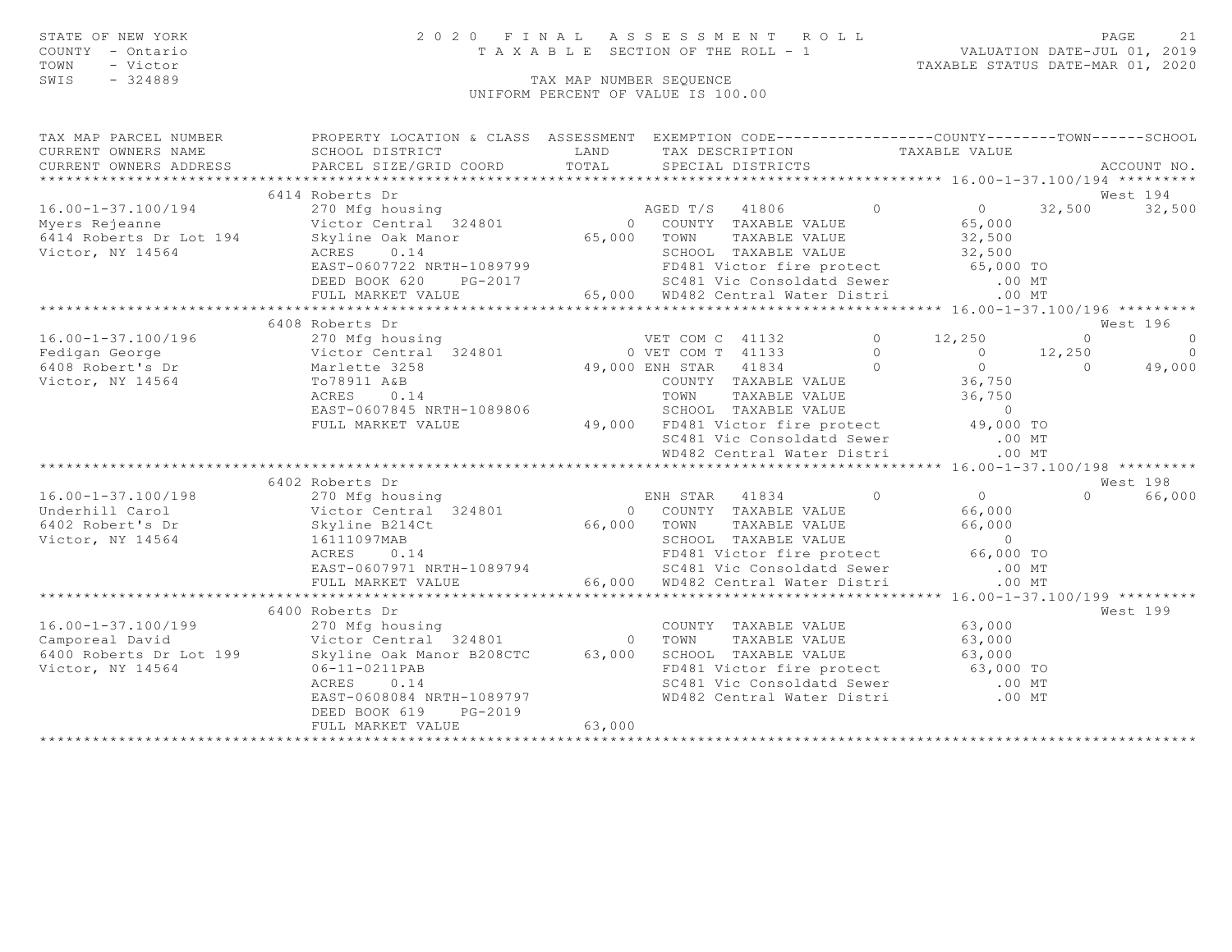| STATE OF NEW YORK      |                                                                                                                                                                                                                                         |        | 2020 FINAL ASSESSMENT ROLL                                             |                                  |          |                |
|------------------------|-----------------------------------------------------------------------------------------------------------------------------------------------------------------------------------------------------------------------------------------|--------|------------------------------------------------------------------------|----------------------------------|----------|----------------|
| COUNTY - Ontario       |                                                                                                                                                                                                                                         |        | PAGE 21<br>TAXABLE SECTION OF THE ROLL - 1 VALUATION DATE-JUL 01, 2019 |                                  |          |                |
| TOWN<br>- Victor       |                                                                                                                                                                                                                                         |        |                                                                        | TAXABLE STATUS DATE-MAR 01, 2020 |          |                |
| SWIS<br>$-324889$      |                                                                                                                                                                                                                                         |        | TAX MAP NUMBER SEQUENCE                                                |                                  |          |                |
|                        |                                                                                                                                                                                                                                         |        | UNIFORM PERCENT OF VALUE IS 100.00                                     |                                  |          |                |
|                        |                                                                                                                                                                                                                                         |        |                                                                        |                                  |          |                |
|                        |                                                                                                                                                                                                                                         |        |                                                                        |                                  |          |                |
|                        | TAX MAP PARCEL NUMBER PROPERTY LOCATION & CLASS ASSESSMENT EXEMPTION CODE--------------COUNTY-------TOWN------SCHOOL                                                                                                                    |        |                                                                        |                                  |          |                |
| CURRENT OWNERS NAME    | SCHOOL DISTRICT THE TRANSPORT TO THE TRANSPORT TRANSPORT TRANSPORT TRANSPORT TRANSPORT TRANSPORT TRANSPORT TRANSPORT TRANSPORT TRANSPORT TRANSPORT TRANSPORT TRANSPORT TRANSPORT TRANSPORT TRANSPORT TRANSPORT TRANSPORT TRANS          |        |                                                                        |                                  |          |                |
| CURRENT OWNERS ADDRESS |                                                                                                                                                                                                                                         |        |                                                                        |                                  |          | ACCOUNT NO.    |
|                        |                                                                                                                                                                                                                                         |        |                                                                        |                                  |          |                |
|                        | 6414 Roberts Dr                                                                                                                                                                                                                         |        |                                                                        |                                  |          | West 194       |
|                        |                                                                                                                                                                                                                                         |        |                                                                        |                                  |          |                |
|                        |                                                                                                                                                                                                                                         |        |                                                                        |                                  |          |                |
|                        |                                                                                                                                                                                                                                         |        |                                                                        |                                  |          |                |
|                        |                                                                                                                                                                                                                                         |        |                                                                        |                                  |          |                |
|                        |                                                                                                                                                                                                                                         |        |                                                                        |                                  |          |                |
|                        |                                                                                                                                                                                                                                         |        |                                                                        |                                  |          |                |
|                        | 6414 Roberts Dr. (4414 Roberts Dr. 100/194 270 Myers Rejeanne Victor Central 324801 200 Myers Rejeanne Wictor Central 324801 65,000 TOWN TAXABLE VALUE 65,000 32,500 32,500 32,500 32,500 32,500 32,500 6414 Roberts Dr Lot 19          |        |                                                                        |                                  |          |                |
|                        |                                                                                                                                                                                                                                         |        |                                                                        |                                  |          |                |
|                        | 6408 Roberts Dr                                                                                                                                                                                                                         |        |                                                                        |                                  |          | West 196       |
|                        | 16.00-1-37.100/196 b408 Roberts Dr<br>Fedigan George 270 Mfg housing VET COM C 41132 0 12,250 0<br>6408 Robert's Dr<br>Victor, NY 14564 To78911 A&B 2013<br>Victor, NY 14564 To78911 A&B 2014 TOWN TAXABLE VALUE 36,750<br>EAST-0607845 |        |                                                                        |                                  |          | $\circ$        |
|                        |                                                                                                                                                                                                                                         |        |                                                                        |                                  |          | $\overline{0}$ |
|                        |                                                                                                                                                                                                                                         |        |                                                                        |                                  |          | 49,000         |
|                        |                                                                                                                                                                                                                                         |        |                                                                        |                                  |          |                |
|                        |                                                                                                                                                                                                                                         |        |                                                                        |                                  |          |                |
|                        |                                                                                                                                                                                                                                         |        |                                                                        |                                  |          |                |
|                        |                                                                                                                                                                                                                                         |        |                                                                        |                                  |          |                |
|                        |                                                                                                                                                                                                                                         |        | SC481 Vic Consoldatd Sewer                                             | .00MT                            |          |                |
|                        |                                                                                                                                                                                                                                         |        | WD482 Central Water Distri                                             |                                  | $.00$ MT |                |
|                        |                                                                                                                                                                                                                                         |        |                                                                        |                                  |          |                |
|                        | 6402 Roberts Dr                                                                                                                                                                                                                         |        |                                                                        |                                  |          | West 198       |
|                        |                                                                                                                                                                                                                                         |        |                                                                        |                                  | $\Omega$ | 66,000         |
|                        |                                                                                                                                                                                                                                         |        |                                                                        |                                  |          |                |
|                        |                                                                                                                                                                                                                                         |        |                                                                        |                                  |          |                |
|                        |                                                                                                                                                                                                                                         |        |                                                                        |                                  |          |                |
|                        |                                                                                                                                                                                                                                         |        |                                                                        |                                  |          |                |
|                        |                                                                                                                                                                                                                                         |        |                                                                        |                                  |          |                |
|                        |                                                                                                                                                                                                                                         |        |                                                                        |                                  |          |                |
|                        |                                                                                                                                                                                                                                         |        |                                                                        |                                  |          |                |
|                        |                                                                                                                                                                                                                                         |        |                                                                        |                                  |          | West 199       |
|                        |                                                                                                                                                                                                                                         |        |                                                                        |                                  |          |                |
|                        |                                                                                                                                                                                                                                         |        |                                                                        |                                  |          |                |
|                        |                                                                                                                                                                                                                                         |        |                                                                        |                                  |          |                |
|                        |                                                                                                                                                                                                                                         |        |                                                                        |                                  |          |                |
|                        |                                                                                                                                                                                                                                         |        |                                                                        |                                  |          |                |
|                        |                                                                                                                                                                                                                                         |        |                                                                        |                                  |          |                |
|                        |                                                                                                                                                                                                                                         |        |                                                                        |                                  |          |                |
|                        |                                                                                                                                                                                                                                         | 63,000 |                                                                        |                                  |          |                |
|                        |                                                                                                                                                                                                                                         |        |                                                                        |                                  |          |                |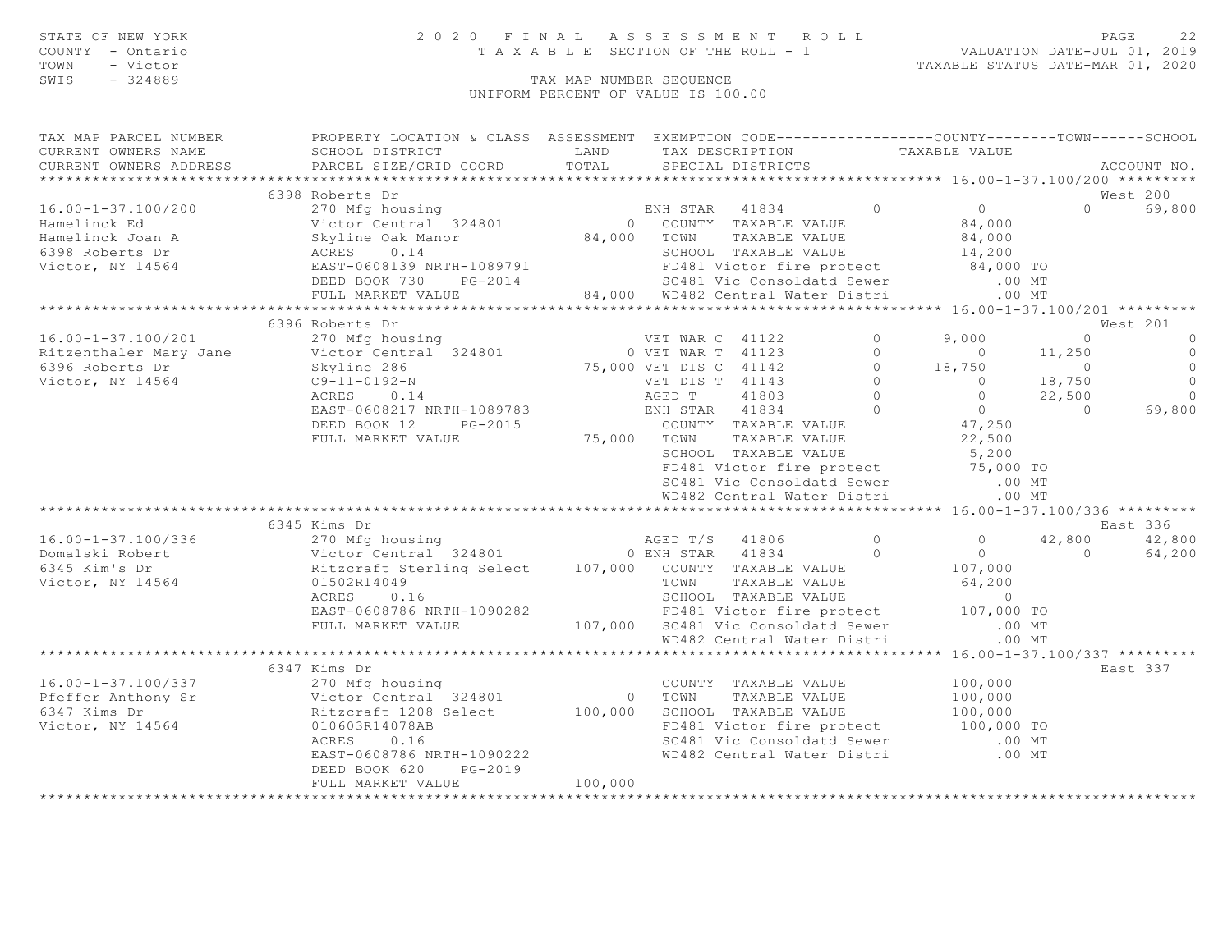| STATE OF NEW YORK<br>COUNTY - Ontario<br>TOWN - Victor<br>SWIS - 324889 |                                                                                                                                                                                                                                                                                                                                                                                              |         | 0 FINAL ASSESSMENT ROLL (PAGE 22<br>TAXABLE SECTION OF THE ROLL - 1 VALUATION DATE-JUL 01, 2019<br>TAXABLE STATUS DATE-MAR 01, 2020<br>2020 FINAL ASSESSMENT ROLL<br>TAX MAP NUMBER SEQUENCE<br>UNIFORM PERCENT OF VALUE IS 100.00 |                                                 |          |                             |
|-------------------------------------------------------------------------|----------------------------------------------------------------------------------------------------------------------------------------------------------------------------------------------------------------------------------------------------------------------------------------------------------------------------------------------------------------------------------------------|---------|------------------------------------------------------------------------------------------------------------------------------------------------------------------------------------------------------------------------------------|-------------------------------------------------|----------|-----------------------------|
|                                                                         | TAX MAP PARCEL NUMBER THE PROPERTY LOCATION & CLASS ASSESSMENT EXEMPTION CODE--------------COUNTY-------TOWN------SCHOOL                                                                                                                                                                                                                                                                     |         |                                                                                                                                                                                                                                    |                                                 |          |                             |
| CURRENT OWNERS NAME                                                     | SCHOOL DISTRICT                    LAND        TAX DESCRIPTION                TAXABLE VALUE                                                                                                                                                                                                                                                                                                  |         |                                                                                                                                                                                                                                    |                                                 |          |                             |
| CURRENT OWNERS ADDRESS                                                  | PARCEL SIZE/GRID COORD                                                                                                                                                                                                                                                                                                                                                                       | TOTAL   | SPECIAL DISTRICTS                                                                                                                                                                                                                  |                                                 |          | ACCOUNT NO.                 |
|                                                                         | 6398 Roberts Dr                                                                                                                                                                                                                                                                                                                                                                              |         |                                                                                                                                                                                                                                    |                                                 |          | West 200                    |
|                                                                         |                                                                                                                                                                                                                                                                                                                                                                                              |         |                                                                                                                                                                                                                                    |                                                 |          | 69,800<br>$0 \qquad \qquad$ |
|                                                                         |                                                                                                                                                                                                                                                                                                                                                                                              |         |                                                                                                                                                                                                                                    |                                                 |          |                             |
|                                                                         |                                                                                                                                                                                                                                                                                                                                                                                              |         |                                                                                                                                                                                                                                    |                                                 |          |                             |
|                                                                         |                                                                                                                                                                                                                                                                                                                                                                                              |         |                                                                                                                                                                                                                                    |                                                 |          |                             |
|                                                                         |                                                                                                                                                                                                                                                                                                                                                                                              |         |                                                                                                                                                                                                                                    |                                                 |          |                             |
|                                                                         | ***************************                                                                                                                                                                                                                                                                                                                                                                  |         |                                                                                                                                                                                                                                    |                                                 |          |                             |
|                                                                         | 6396 Roberts Dr                                                                                                                                                                                                                                                                                                                                                                              |         |                                                                                                                                                                                                                                    |                                                 |          | West 201                    |
|                                                                         |                                                                                                                                                                                                                                                                                                                                                                                              |         |                                                                                                                                                                                                                                    |                                                 |          |                             |
|                                                                         |                                                                                                                                                                                                                                                                                                                                                                                              |         |                                                                                                                                                                                                                                    |                                                 |          |                             |
|                                                                         |                                                                                                                                                                                                                                                                                                                                                                                              |         |                                                                                                                                                                                                                                    |                                                 |          |                             |
|                                                                         |                                                                                                                                                                                                                                                                                                                                                                                              |         |                                                                                                                                                                                                                                    |                                                 |          |                             |
|                                                                         |                                                                                                                                                                                                                                                                                                                                                                                              |         |                                                                                                                                                                                                                                    |                                                 |          |                             |
|                                                                         | $\begin{array}{cccccccc} 16.00-1-37.100/201 & 6396 \text{ Roberts} & \text{Dr} & 6396 & \text{Roberts} & \text{Dr} & 6396 & \text{Roberts} & \text{Dr} & 6396 & \text{Roberts} & \text{Dr} & 6396 & \text{Roberts} & \text{Dr} & 6396 & \text{Po} & 6396 & \text{Po} & 6396 & \text{Po} & 6396 & \text{Po} & 6396 & \text{Po} & 6396 & \text{Po} & 6396 & \text{Po} & 6396 & \text{Po} & 63$ |         |                                                                                                                                                                                                                                    |                                                 |          |                             |
|                                                                         |                                                                                                                                                                                                                                                                                                                                                                                              |         |                                                                                                                                                                                                                                    |                                                 |          |                             |
|                                                                         |                                                                                                                                                                                                                                                                                                                                                                                              |         |                                                                                                                                                                                                                                    |                                                 |          |                             |
|                                                                         |                                                                                                                                                                                                                                                                                                                                                                                              |         | SC481 Vic Consoldatd Sewer .00 MT<br>WD482 Central Water Distri .00 MT                                                                                                                                                             | .00 MT                                          |          |                             |
|                                                                         |                                                                                                                                                                                                                                                                                                                                                                                              |         |                                                                                                                                                                                                                                    | ****************** 16.00-1-37.100/336 ********* |          |                             |
|                                                                         | 6345 Kims Dr                                                                                                                                                                                                                                                                                                                                                                                 |         |                                                                                                                                                                                                                                    |                                                 |          | East 336                    |
| 16.00-1-37.100/336                                                      |                                                                                                                                                                                                                                                                                                                                                                                              |         |                                                                                                                                                                                                                                    |                                                 |          | 42,800 42,800               |
|                                                                         |                                                                                                                                                                                                                                                                                                                                                                                              |         |                                                                                                                                                                                                                                    |                                                 | $\sim$ 0 | 64,200                      |
| Domalski Robert<br>6345 Kim's Dr<br>Victor, NY 14564                    | 6345 Kims Dr<br>270 Mfg housing<br>270 Mfg housing<br>Victor Central 324801 0 ENH STAR 41834 0 0<br>Ritzcraft Sterling Select 107,000 COUNTY TAXABLE VALUE<br>01502R14049 TOWN TAXABLE VALUE 107,000<br>ACRES 0.16 SCHOOL TAXABLE VALUE 6                                                                                                                                                    |         |                                                                                                                                                                                                                                    |                                                 |          |                             |
|                                                                         |                                                                                                                                                                                                                                                                                                                                                                                              |         |                                                                                                                                                                                                                                    |                                                 |          |                             |
|                                                                         |                                                                                                                                                                                                                                                                                                                                                                                              |         |                                                                                                                                                                                                                                    |                                                 |          |                             |
|                                                                         |                                                                                                                                                                                                                                                                                                                                                                                              |         |                                                                                                                                                                                                                                    |                                                 |          |                             |
|                                                                         |                                                                                                                                                                                                                                                                                                                                                                                              |         |                                                                                                                                                                                                                                    |                                                 |          |                             |
|                                                                         | 6347 Kims Dr                                                                                                                                                                                                                                                                                                                                                                                 |         |                                                                                                                                                                                                                                    |                                                 |          | East 337                    |
|                                                                         |                                                                                                                                                                                                                                                                                                                                                                                              |         |                                                                                                                                                                                                                                    |                                                 |          |                             |
|                                                                         |                                                                                                                                                                                                                                                                                                                                                                                              |         |                                                                                                                                                                                                                                    |                                                 |          |                             |
|                                                                         |                                                                                                                                                                                                                                                                                                                                                                                              |         |                                                                                                                                                                                                                                    |                                                 |          |                             |
|                                                                         |                                                                                                                                                                                                                                                                                                                                                                                              |         |                                                                                                                                                                                                                                    |                                                 |          |                             |
|                                                                         | ACKES 0.10<br>EAST-0608786 NRTH-1090222                                                                                                                                                                                                                                                                                                                                                      |         | FD481 Victor fire protect<br>SC481 Victor fire protect<br>WD482 Central Water Distri .00 MT                                                                                                                                        |                                                 |          |                             |
|                                                                         | DEED BOOK 620 PG-2019                                                                                                                                                                                                                                                                                                                                                                        |         |                                                                                                                                                                                                                                    |                                                 |          |                             |
|                                                                         | FULL MARKET VALUE                                                                                                                                                                                                                                                                                                                                                                            | 100,000 |                                                                                                                                                                                                                                    |                                                 |          |                             |
|                                                                         |                                                                                                                                                                                                                                                                                                                                                                                              |         |                                                                                                                                                                                                                                    |                                                 |          |                             |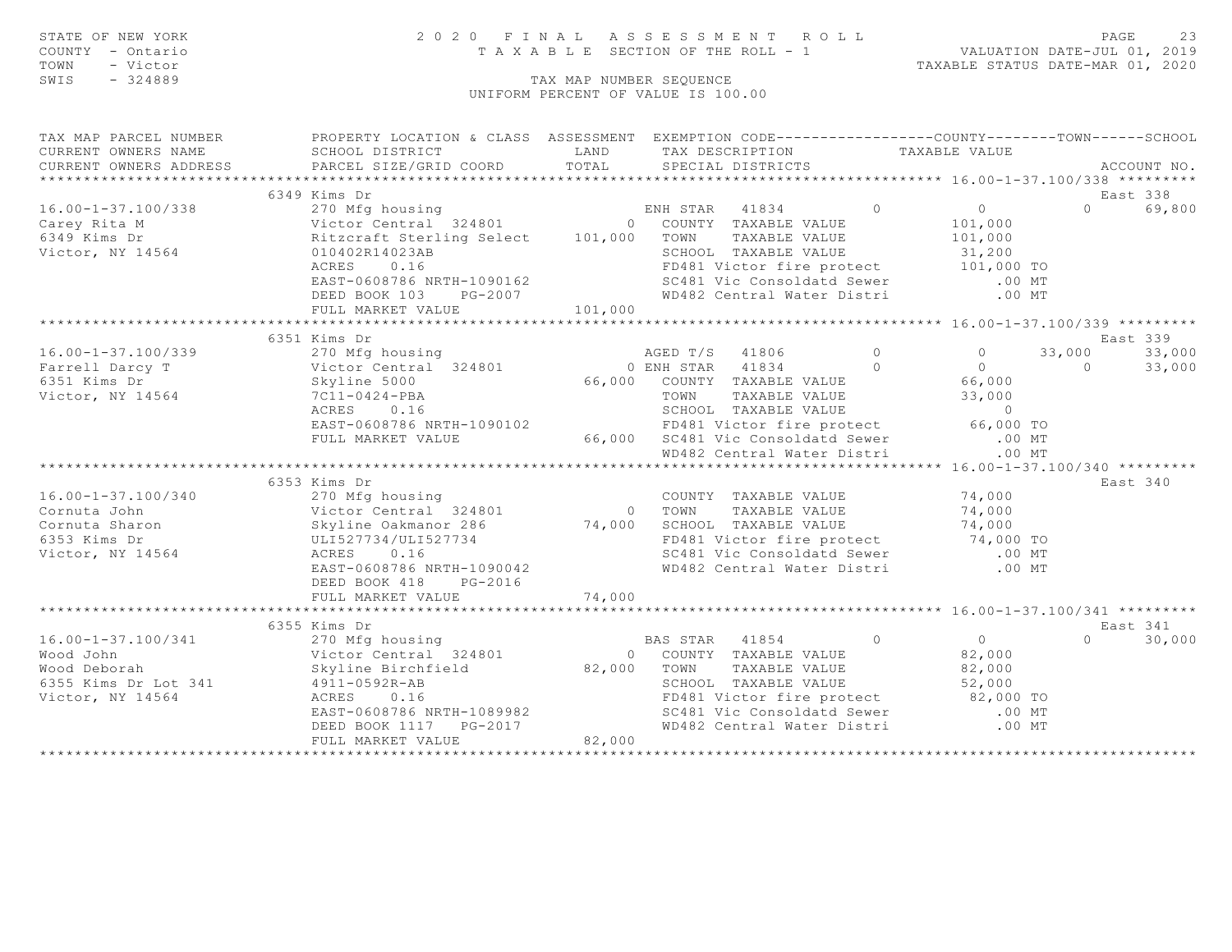| STATE OF NEW YORK<br>COUNTY - Ontario<br>TOWN<br>- Victor<br>$-324889$<br>SWIS |                                                                                                                                                                    | TAX MAP NUMBER SEQUENCE | 2020 FINAL ASSESSMENT ROLL<br>T A X A B L E SECTION OF THE ROLL - 1 WALUATION DATE-JUL 01, 2019<br>TAXABLE STATUS DATE-MAR 01, 2020            |                                              | PAGE<br>23                   |
|--------------------------------------------------------------------------------|--------------------------------------------------------------------------------------------------------------------------------------------------------------------|-------------------------|------------------------------------------------------------------------------------------------------------------------------------------------|----------------------------------------------|------------------------------|
|                                                                                |                                                                                                                                                                    |                         | UNIFORM PERCENT OF VALUE IS 100.00                                                                                                             |                                              |                              |
|                                                                                |                                                                                                                                                                    |                         |                                                                                                                                                |                                              |                              |
| CURRENT OWNERS NAME                                                            | TAX MAP PARCEL NUMBER THE PROPERTY LOCATION & CLASS ASSESSMENT EXEMPTION CODE---------------COUNTY-------TOWN------SCHOOL<br>SCHOOL DISTRICT                       |                         | LAND TAX DESCRIPTION                                                                                                                           | TAXABLE VALUE                                |                              |
| CURRENT OWNERS ADDRESS<br>************************                             | PARCEL SIZE/GRID COORD                                                                                                                                             | TOTAL                   | SPECIAL DISTRICTS                                                                                                                              |                                              | ACCOUNT NO.                  |
|                                                                                | 6349 Kims Dr                                                                                                                                                       |                         |                                                                                                                                                |                                              | East 338                     |
| $16.00 - 1 - 37.100 / 338$                                                     |                                                                                                                                                                    |                         |                                                                                                                                                | $\overline{0}$                               | $\bigcap$<br>69,800          |
| Carey Rita M                                                                   |                                                                                                                                                                    |                         |                                                                                                                                                | 101,000                                      |                              |
| 6349 Kims Dr                                                                   |                                                                                                                                                                    |                         |                                                                                                                                                | 101,000<br>31,200                            |                              |
| Victor, NY 14564                                                               |                                                                                                                                                                    |                         |                                                                                                                                                |                                              |                              |
|                                                                                | 0.16<br>ACRES                                                                                                                                                      |                         | FD481 Victor fire protect 101,000 TO<br>SC481 Vic Consoldatd Sewer .00 MT                                                                      |                                              |                              |
|                                                                                | EAST-0608786 NRTH-1090162                                                                                                                                          |                         |                                                                                                                                                |                                              |                              |
|                                                                                | DEED BOOK 103 PG-2007                                                                                                                                              |                         | WD482 Central Water Distri .00 MT                                                                                                              |                                              |                              |
|                                                                                | FULL MARKET VALUE                                                                                                                                                  | 101,000                 |                                                                                                                                                |                                              |                              |
|                                                                                | *************************                                                                                                                                          |                         |                                                                                                                                                |                                              |                              |
|                                                                                | 6351 Kims Dr                                                                                                                                                       |                         | $\overline{0}$<br>AGED T/S 41806                                                                                                               | $\Omega$                                     | East 339<br>33,000<br>33,000 |
|                                                                                |                                                                                                                                                                    |                         |                                                                                                                                                |                                              | $\Omega$<br>33,000           |
|                                                                                |                                                                                                                                                                    |                         |                                                                                                                                                |                                              |                              |
|                                                                                | 16.00-1-37.100/339<br>Farrell Darcy T<br>6351 Kims Dr<br>Victor, NY 14564<br>Victor, NY 14564<br>COLL-0424-PBA<br>ACRES<br>COLL-0424-PBA<br>ACRES<br>COLL-0424-PBA |                         | TAXABLE VALUE<br>TOWN                                                                                                                          |                                              |                              |
|                                                                                |                                                                                                                                                                    |                         | SCHOOL TAXABLE VALUE                                                                                                                           | 33,000                                       |                              |
|                                                                                |                                                                                                                                                                    |                         |                                                                                                                                                |                                              |                              |
|                                                                                |                                                                                                                                                                    |                         | EAST-0608786 NRTH-1090102<br>EAST-0608786 NRTH-1090102<br>FD481 Victor fire protect 66,000 TO<br>COMP 66,000 SC481 Vic Consoldatd Sewer .00 MT | .00 MT                                       |                              |
|                                                                                |                                                                                                                                                                    |                         | 66,000 SC481 Vic Consoldatd Sewer<br>WD482 Central Water Distri                                                                                | $.00$ MT                                     |                              |
|                                                                                | **********************************                                                                                                                                 |                         |                                                                                                                                                | *************** 16.00-1-37.100/340 ********* |                              |
|                                                                                | 6353 Kims Dr                                                                                                                                                       |                         |                                                                                                                                                |                                              | East 340                     |
| $16.00 - 1 - 37.100 / 340$                                                     | 270 Mfg housing                                                                                                                                                    |                         | COUNTY TAXABLE VALUE                                                                                                                           | 74,000                                       |                              |
|                                                                                |                                                                                                                                                                    |                         | 0 TOWN TAXABLE VALUE<br>74,000 SCHOOL TAXABLE VALUE                                                                                            | 74,000                                       |                              |
|                                                                                |                                                                                                                                                                    |                         |                                                                                                                                                | 74,000                                       |                              |
|                                                                                | Cornuta John Victor Central 324801<br>Cornuta Sharon Skyline Oakmanor 286<br>6353 Kims Dr ULI527734/ULI527734<br>Victor, NY 14564 ACRES 0.16                       |                         | FD481 Victor fire protect 74,000 TO<br>SC481 Vic Consoldatd Sewer .00 MT                                                                       |                                              |                              |
|                                                                                |                                                                                                                                                                    |                         |                                                                                                                                                |                                              |                              |
|                                                                                | EAST-0608786 NRTH-1090042                                                                                                                                          |                         | WD482 Central Water Distri                                                                                                                     | .00 MT                                       |                              |
|                                                                                | DEED BOOK 418    PG-2016                                                                                                                                           |                         |                                                                                                                                                |                                              |                              |
|                                                                                | FULL MARKET VALUE                                                                                                                                                  | 74,000                  |                                                                                                                                                |                                              |                              |
|                                                                                | **************************                                                                                                                                         |                         |                                                                                                                                                |                                              |                              |
|                                                                                | 6355 Kims Dr<br>270 Mfg housing                                                                                                                                    |                         |                                                                                                                                                |                                              | East 341<br>$\cap$           |
| 16.00-1-37.100/341                                                             |                                                                                                                                                                    |                         | BAS STAR 41854 0                                                                                                                               | $\overline{0}$                               | 30,000                       |
| Wood John                                                                      | Victor Central 324801                                                                                                                                              |                         | 0 COUNTY TAXABLE VALUE                                                                                                                         | 82,000                                       |                              |
| Wood Deborah<br>6355 Kims Dr Lot 341                                           | 4911-0592R-AB                                                                                                                                                      |                         | TAXABLE VALUE<br>SCHOOL TAXABLE VALUE                                                                                                          | 82,000<br>52,000                             |                              |
| Victor, NY 14564                                                               | ACRES<br>0.16                                                                                                                                                      |                         |                                                                                                                                                |                                              |                              |
|                                                                                | EAST-0608786 NRTH-1089982                                                                                                                                          |                         | FD481 Victor fire protect 82,000 TO                                                                                                            | .00 MT                                       |                              |
|                                                                                |                                                                                                                                                                    |                         | FD461 VICCO1 1110 FILION<br>SC481 Vic Consoldatd Sewer<br>WD482 Central Water Distri                                                           | .00MT                                        |                              |
|                                                                                | FULL MARKET VALUE                                                                                                                                                  | 82,000                  |                                                                                                                                                |                                              |                              |
|                                                                                |                                                                                                                                                                    |                         |                                                                                                                                                |                                              |                              |
|                                                                                |                                                                                                                                                                    |                         |                                                                                                                                                |                                              |                              |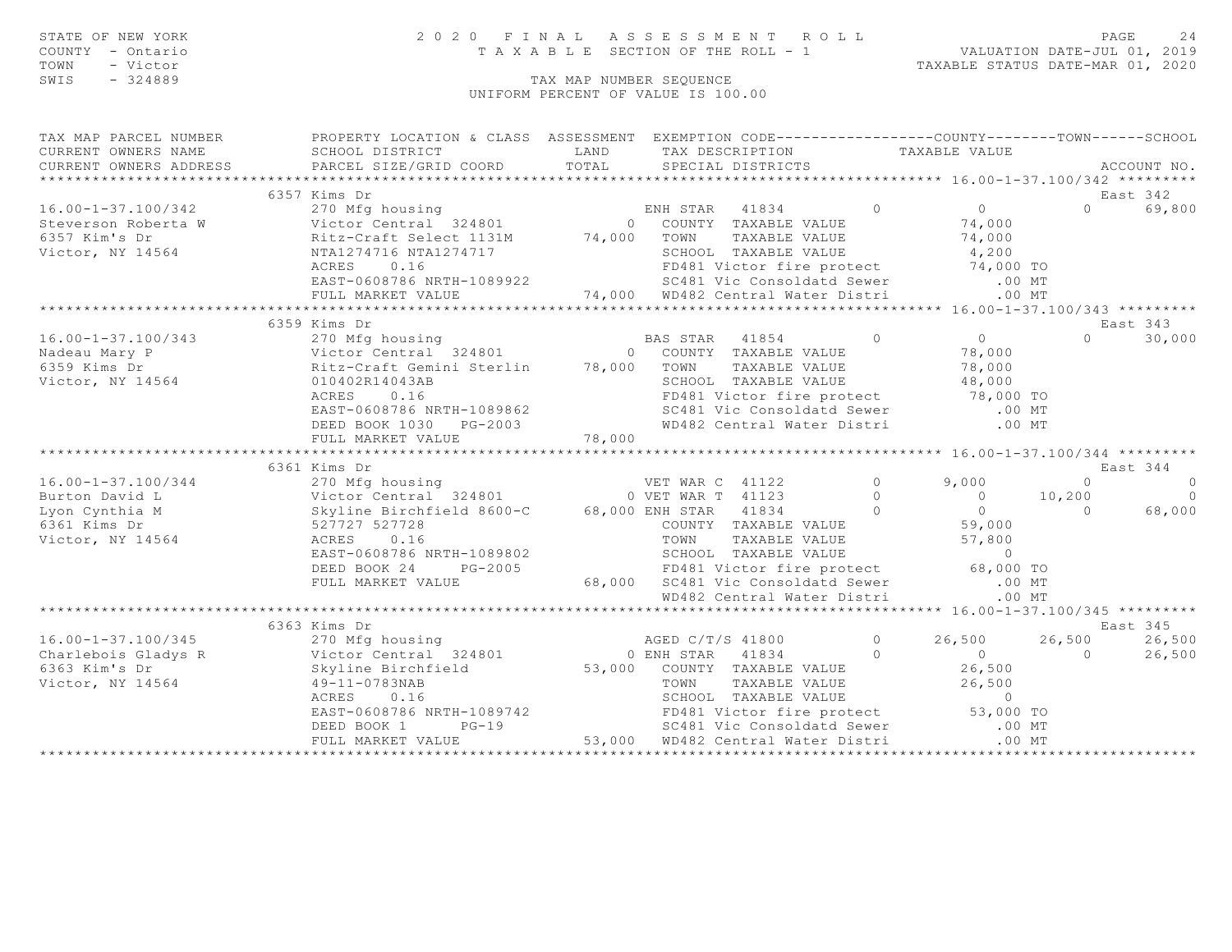| STATE OF NEW YORK<br>COUNTY - Ontario<br>TOWN<br>- Victor                                                                                                                                                                                    |                                                                                                                                                                                                                                                                                              | 2020 FINAL ASSESSMENT ROLL<br>TAXABLE SECTION OF THE ROLL - 1 VALUATION DATE-JUL 01, 2019 | TAXABLE STATUS DATE-MAR 01, 2020 | PAGE                     | 24          |
|----------------------------------------------------------------------------------------------------------------------------------------------------------------------------------------------------------------------------------------------|----------------------------------------------------------------------------------------------------------------------------------------------------------------------------------------------------------------------------------------------------------------------------------------------|-------------------------------------------------------------------------------------------|----------------------------------|--------------------------|-------------|
| SWIS<br>$-324889$                                                                                                                                                                                                                            |                                                                                                                                                                                                                                                                                              | TAX MAP NUMBER SEQUENCE                                                                   |                                  |                          |             |
|                                                                                                                                                                                                                                              |                                                                                                                                                                                                                                                                                              | UNIFORM PERCENT OF VALUE IS 100.00                                                        |                                  |                          |             |
|                                                                                                                                                                                                                                              |                                                                                                                                                                                                                                                                                              |                                                                                           |                                  |                          |             |
| TAX MAP PARCEL NUMBER PROPERTY LOCATION & CLASS ASSESSMENT EXEMPTION CODE---------------COUNTY--------TOWN------SCHOOL                                                                                                                       |                                                                                                                                                                                                                                                                                              |                                                                                           |                                  |                          |             |
| CURRENT OWNERS NAME                                                                                                                                                                                                                          | SCHOOL DISTRICT LAND                                                                                                                                                                                                                                                                         | TAX DESCRIPTION TAXABLE VALUE<br>SPECIAL DISTRICTS<br>TAX DESCRIPTION                     |                                  |                          |             |
| CURRENT OWNERS ADDRESS                                                                                                                                                                                                                       | PARCEL SIZE/GRID COORD TOTAL                                                                                                                                                                                                                                                                 |                                                                                           |                                  |                          | ACCOUNT NO. |
|                                                                                                                                                                                                                                              |                                                                                                                                                                                                                                                                                              |                                                                                           |                                  |                          |             |
|                                                                                                                                                                                                                                              | 6357 Kims Dr                                                                                                                                                                                                                                                                                 |                                                                                           |                                  |                          | East 342    |
| $16.00 - 1 - 37.100 / 342$                                                                                                                                                                                                                   |                                                                                                                                                                                                                                                                                              |                                                                                           |                                  | $\Omega$                 | 69,800      |
| Steverson Roberta W<br>6357 Kim's Dr                                                                                                                                                                                                         |                                                                                                                                                                                                                                                                                              |                                                                                           |                                  |                          |             |
| Victor, NY 14564                                                                                                                                                                                                                             |                                                                                                                                                                                                                                                                                              |                                                                                           |                                  |                          |             |
|                                                                                                                                                                                                                                              |                                                                                                                                                                                                                                                                                              |                                                                                           |                                  |                          |             |
|                                                                                                                                                                                                                                              |                                                                                                                                                                                                                                                                                              |                                                                                           |                                  |                          |             |
|                                                                                                                                                                                                                                              | $564$<br>$564$<br>$565$<br>$566$<br>$567$<br>$567$<br>$568$<br>$569$<br>$569$<br>$569$<br>$569$<br>$569$<br>$569$<br>$560$<br>$561$<br>$561$<br>$562$<br>$569$<br>$569$<br>$561$<br>$569$<br>$561$<br>$569$<br>$561$<br>$561$<br>$562$<br>$563$<br>$564$<br>$565$<br>$567$<br>$569$<br>$569$ |                                                                                           |                                  |                          |             |
|                                                                                                                                                                                                                                              | ***********************************                                                                                                                                                                                                                                                          |                                                                                           |                                  |                          |             |
|                                                                                                                                                                                                                                              | 6359 Kims Dr                                                                                                                                                                                                                                                                                 |                                                                                           |                                  |                          | East 343    |
|                                                                                                                                                                                                                                              |                                                                                                                                                                                                                                                                                              |                                                                                           |                                  | $\cap$                   | 30,000      |
|                                                                                                                                                                                                                                              |                                                                                                                                                                                                                                                                                              |                                                                                           |                                  |                          |             |
|                                                                                                                                                                                                                                              |                                                                                                                                                                                                                                                                                              |                                                                                           |                                  |                          |             |
|                                                                                                                                                                                                                                              |                                                                                                                                                                                                                                                                                              |                                                                                           |                                  |                          |             |
|                                                                                                                                                                                                                                              |                                                                                                                                                                                                                                                                                              |                                                                                           |                                  |                          |             |
|                                                                                                                                                                                                                                              |                                                                                                                                                                                                                                                                                              |                                                                                           |                                  |                          |             |
|                                                                                                                                                                                                                                              |                                                                                                                                                                                                                                                                                              |                                                                                           |                                  |                          |             |
|                                                                                                                                                                                                                                              | ***************************                                                                                                                                                                                                                                                                  |                                                                                           |                                  |                          |             |
|                                                                                                                                                                                                                                              | 6361 Kims Dr                                                                                                                                                                                                                                                                                 |                                                                                           |                                  |                          | East 344    |
|                                                                                                                                                                                                                                              |                                                                                                                                                                                                                                                                                              |                                                                                           |                                  |                          | $\circ$     |
|                                                                                                                                                                                                                                              |                                                                                                                                                                                                                                                                                              |                                                                                           |                                  |                          | $\bigcirc$  |
|                                                                                                                                                                                                                                              |                                                                                                                                                                                                                                                                                              |                                                                                           |                                  |                          | 68,000      |
|                                                                                                                                                                                                                                              |                                                                                                                                                                                                                                                                                              |                                                                                           |                                  |                          |             |
|                                                                                                                                                                                                                                              |                                                                                                                                                                                                                                                                                              |                                                                                           |                                  |                          |             |
|                                                                                                                                                                                                                                              |                                                                                                                                                                                                                                                                                              |                                                                                           |                                  |                          |             |
|                                                                                                                                                                                                                                              |                                                                                                                                                                                                                                                                                              |                                                                                           |                                  |                          |             |
|                                                                                                                                                                                                                                              |                                                                                                                                                                                                                                                                                              |                                                                                           |                                  |                          |             |
|                                                                                                                                                                                                                                              |                                                                                                                                                                                                                                                                                              | WD482 Central Water Distri                                                                | .00MT                            |                          |             |
|                                                                                                                                                                                                                                              |                                                                                                                                                                                                                                                                                              |                                                                                           |                                  |                          |             |
|                                                                                                                                                                                                                                              |                                                                                                                                                                                                                                                                                              |                                                                                           |                                  |                          | East 345    |
|                                                                                                                                                                                                                                              |                                                                                                                                                                                                                                                                                              |                                                                                           | $0 \t 26,500$                    | 26,500<br>$\overline{0}$ | 26,500      |
|                                                                                                                                                                                                                                              |                                                                                                                                                                                                                                                                                              |                                                                                           |                                  |                          | 26,500      |
|                                                                                                                                                                                                                                              |                                                                                                                                                                                                                                                                                              |                                                                                           |                                  |                          |             |
| 16.00-1-37.100/345<br>Charlebois Gladys R (17/8 41800 )<br>Charlebois Gladys R (17/8 41800 )<br>Charlebois Gladys R (1891 )<br>Skyline Birchfield<br>Victor, NY 14564 49-11-0783NAB<br>TOWN TAXABLE VALUE 26,500<br>TOWN TAXABLE VALUE 26,50 | 49-11-0783NAB<br>ACRES 0.16<br>EAST-0608786 NRTH-1089742<br>DEED BOOK 1 PG-19<br>FULL MARKET VALUE 53,000 WD482 Central Water Distri .00 MT<br>FULL MARKET VALUE 53,000 WD482 Central Water Distri .00 MT                                                                                    |                                                                                           |                                  |                          |             |
|                                                                                                                                                                                                                                              |                                                                                                                                                                                                                                                                                              |                                                                                           |                                  |                          |             |
|                                                                                                                                                                                                                                              |                                                                                                                                                                                                                                                                                              |                                                                                           |                                  |                          |             |
|                                                                                                                                                                                                                                              |                                                                                                                                                                                                                                                                                              |                                                                                           |                                  |                          |             |
|                                                                                                                                                                                                                                              |                                                                                                                                                                                                                                                                                              |                                                                                           |                                  |                          |             |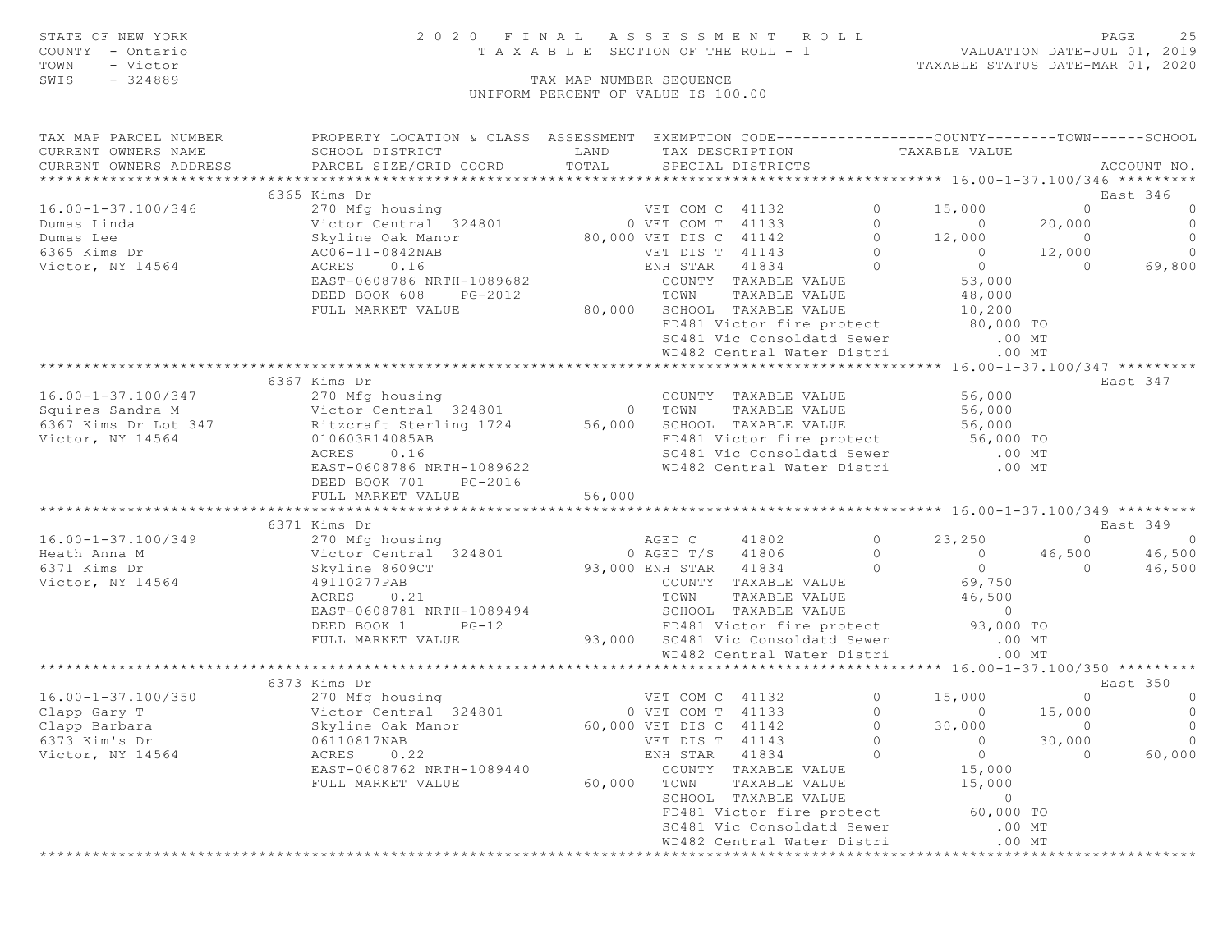| STATE OF NEW YORK | 2020 FINAL ASSESSMENT ROLL            | <b>PAGE</b>                      | 25 |
|-------------------|---------------------------------------|----------------------------------|----|
| COUNTY - Ontario  | T A X A B L E SECTION OF THE ROLL - 1 | VALUATION DATE-JUL 01, 2019      |    |
| TOWN<br>- Victor  |                                       | TAXABLE STATUS DATE-MAR 01, 2020 |    |
| - 324889<br>SWIS  | TAX MAP NUMBER SEOUENCE               |                                  |    |

| TAX MAP PARCEL NUMBER<br>CURRENT OWNERS NAME | PROPERTY LOCATION & CLASS ASSESSMENT EXEMPTION CODE----------------COUNTY-------TOWN------SCHOOL<br>SCHOOL DISTRICT                     LAND        TAX DESCRIPTION                  TAXABLE VALUE                                                      |        |  |  |                |
|----------------------------------------------|---------------------------------------------------------------------------------------------------------------------------------------------------------------------------------------------------------------------------------------------------------|--------|--|--|----------------|
|                                              | .CURRENT OWNERS ADDRESS PARCEL SIZE/GRID COORD TOTAL SPECIAL DISTRICTS ACCOUNT NO ACCOUNT NO ACCOUNT NO ACCOUNT                                                                                                                                         |        |  |  |                |
|                                              | 6365 Kims Dr                                                                                                                                                                                                                                            |        |  |  | East 346       |
|                                              |                                                                                                                                                                                                                                                         |        |  |  | $\overline{0}$ |
|                                              |                                                                                                                                                                                                                                                         |        |  |  | $\overline{0}$ |
|                                              |                                                                                                                                                                                                                                                         |        |  |  | $\bigcirc$     |
|                                              |                                                                                                                                                                                                                                                         |        |  |  | 69,800         |
|                                              |                                                                                                                                                                                                                                                         |        |  |  |                |
|                                              |                                                                                                                                                                                                                                                         |        |  |  |                |
|                                              |                                                                                                                                                                                                                                                         |        |  |  |                |
|                                              |                                                                                                                                                                                                                                                         |        |  |  |                |
|                                              |                                                                                                                                                                                                                                                         |        |  |  |                |
|                                              |                                                                                                                                                                                                                                                         |        |  |  |                |
|                                              |                                                                                                                                                                                                                                                         |        |  |  |                |
|                                              |                                                                                                                                                                                                                                                         |        |  |  |                |
|                                              | 6367 Kims Dr<br>Squires Sandra M<br>Squires Sandra M<br>Squires Sandra M<br>Strangen in the COUNTY TAXABLE VALUE<br>S6,000<br>Strangen in the COUNTY TAXABLE VALUE<br>S6,000<br>TD481 Victor TAXABLE VALUE<br>S6,000<br>S6,000<br>TD481 Victor fire     |        |  |  | East 347       |
|                                              |                                                                                                                                                                                                                                                         |        |  |  |                |
|                                              |                                                                                                                                                                                                                                                         |        |  |  |                |
|                                              |                                                                                                                                                                                                                                                         |        |  |  |                |
|                                              |                                                                                                                                                                                                                                                         |        |  |  |                |
|                                              |                                                                                                                                                                                                                                                         |        |  |  |                |
|                                              |                                                                                                                                                                                                                                                         |        |  |  |                |
|                                              |                                                                                                                                                                                                                                                         |        |  |  |                |
|                                              | FULL MARKET VALUE                                                                                                                                                                                                                                       | 56,000 |  |  |                |
|                                              |                                                                                                                                                                                                                                                         |        |  |  |                |
|                                              | 6371 Kims Dr                                                                                                                                                                                                                                            |        |  |  | East 349       |
|                                              |                                                                                                                                                                                                                                                         |        |  |  |                |
|                                              |                                                                                                                                                                                                                                                         |        |  |  |                |
|                                              |                                                                                                                                                                                                                                                         |        |  |  |                |
|                                              |                                                                                                                                                                                                                                                         |        |  |  |                |
|                                              |                                                                                                                                                                                                                                                         |        |  |  |                |
|                                              | 16.00-1-37.100/349 6371 Kims Dr<br>Heath Anna M<br>East 349<br>Heath Anna M<br>Sayline 8609CT<br>Sayline 8609CT<br>Sayline 8609CT<br>Sayline 8609CT<br>Sayline 8609CT<br>Sayline 8609CT<br>Sayline 8609CT<br>Sayline 8609CT<br>Sayline 8609CT<br>Saylin |        |  |  |                |
|                                              |                                                                                                                                                                                                                                                         |        |  |  |                |
|                                              |                                                                                                                                                                                                                                                         |        |  |  |                |
|                                              |                                                                                                                                                                                                                                                         |        |  |  |                |
|                                              |                                                                                                                                                                                                                                                         |        |  |  |                |
|                                              |                                                                                                                                                                                                                                                         |        |  |  | East 350       |
|                                              |                                                                                                                                                                                                                                                         |        |  |  | $\overline{a}$ |
|                                              |                                                                                                                                                                                                                                                         |        |  |  | $\circ$        |
|                                              |                                                                                                                                                                                                                                                         |        |  |  | $\cap$         |
|                                              |                                                                                                                                                                                                                                                         |        |  |  | $\cap$         |
|                                              |                                                                                                                                                                                                                                                         |        |  |  | 60,000         |
|                                              |                                                                                                                                                                                                                                                         |        |  |  |                |
|                                              |                                                                                                                                                                                                                                                         |        |  |  |                |
|                                              |                                                                                                                                                                                                                                                         |        |  |  |                |
|                                              |                                                                                                                                                                                                                                                         |        |  |  |                |
|                                              |                                                                                                                                                                                                                                                         |        |  |  |                |
|                                              |                                                                                                                                                                                                                                                         |        |  |  |                |
|                                              |                                                                                                                                                                                                                                                         |        |  |  |                |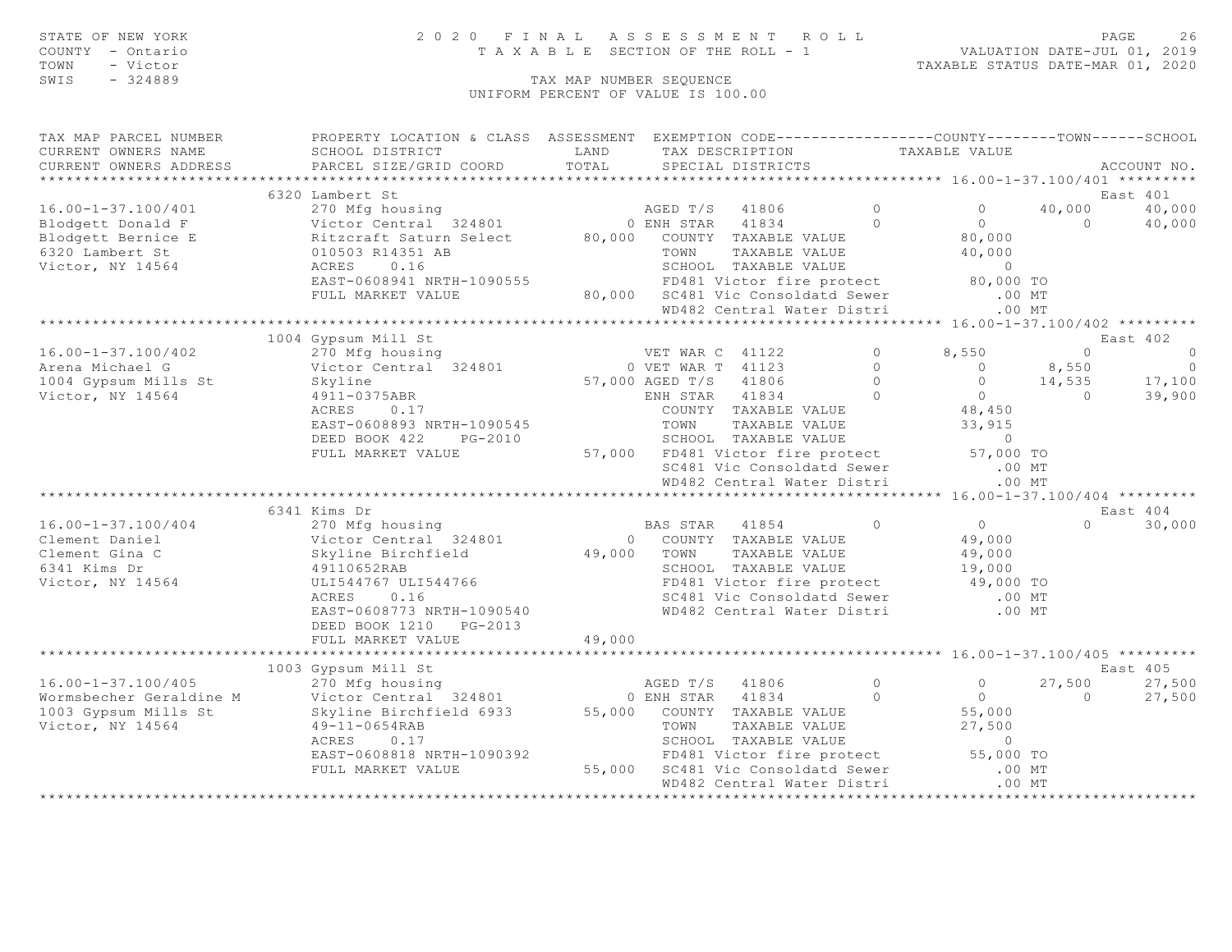| STATE OF NEW YORK<br>COUNTY - Ontario<br>- Victor<br>TOWN<br>SWIS - 324889 |                                                                                                                                                                                                                                                      |        | 2020 FINAL ASSESSMENT ROLL PAGE 26<br>TAXABLE SECTION OF THE ROLL - 1 VALUATION DATE-JUL 01, 2019<br>TAXABLE STATUS DATE-MAR 01, 2020<br>TAX MAP NUMBER SEQUENCE |                |                                                               |                  |             |
|----------------------------------------------------------------------------|------------------------------------------------------------------------------------------------------------------------------------------------------------------------------------------------------------------------------------------------------|--------|------------------------------------------------------------------------------------------------------------------------------------------------------------------|----------------|---------------------------------------------------------------|------------------|-------------|
|                                                                            |                                                                                                                                                                                                                                                      |        | UNIFORM PERCENT OF VALUE IS 100.00                                                                                                                               |                |                                                               |                  |             |
|                                                                            |                                                                                                                                                                                                                                                      |        |                                                                                                                                                                  |                |                                                               |                  |             |
| TAX MAP PARCEL NUMBER<br>CURRENT OWNERS NAME                               | PROPERTY LOCATION & CLASS ASSESSMENT EXEMPTION CODE-----------------COUNTY--------TOWN------SCHOOL<br>SCHOOL DISTRICT                      LAND        TAX DESCRIPTION                   TAXABLE VALUE                                               |        |                                                                                                                                                                  |                |                                                               |                  |             |
| CURRENT OWNERS ADDRESS<br>************************                         | PARCEL SIZE/GRID COORD                                                                                                                                                                                                                               | TOTAL  | SPECIAL DISTRICTS                                                                                                                                                |                |                                                               |                  | ACCOUNT NO. |
|                                                                            | 6320 Lambert St                                                                                                                                                                                                                                      |        |                                                                                                                                                                  |                |                                                               |                  | East 401    |
|                                                                            |                                                                                                                                                                                                                                                      |        |                                                                                                                                                                  |                |                                                               | 40,000           | 40,000      |
|                                                                            |                                                                                                                                                                                                                                                      |        |                                                                                                                                                                  |                |                                                               | $\overline{0}$ 0 | 40,000      |
|                                                                            |                                                                                                                                                                                                                                                      |        |                                                                                                                                                                  |                |                                                               |                  |             |
|                                                                            |                                                                                                                                                                                                                                                      |        |                                                                                                                                                                  |                |                                                               |                  |             |
|                                                                            |                                                                                                                                                                                                                                                      |        |                                                                                                                                                                  |                |                                                               |                  |             |
|                                                                            |                                                                                                                                                                                                                                                      |        |                                                                                                                                                                  |                |                                                               |                  |             |
|                                                                            |                                                                                                                                                                                                                                                      |        |                                                                                                                                                                  |                |                                                               |                  |             |
|                                                                            |                                                                                                                                                                                                                                                      |        |                                                                                                                                                                  |                | ******************************* 16.00-1-37.100/402 ********** |                  |             |
|                                                                            | 1004 Gypsum Mill St                                                                                                                                                                                                                                  |        |                                                                                                                                                                  |                |                                                               |                  | East 402    |
|                                                                            |                                                                                                                                                                                                                                                      |        |                                                                                                                                                                  |                |                                                               |                  |             |
|                                                                            |                                                                                                                                                                                                                                                      |        |                                                                                                                                                                  |                |                                                               |                  |             |
|                                                                            |                                                                                                                                                                                                                                                      |        |                                                                                                                                                                  |                |                                                               |                  |             |
|                                                                            |                                                                                                                                                                                                                                                      |        |                                                                                                                                                                  |                |                                                               |                  |             |
|                                                                            |                                                                                                                                                                                                                                                      |        |                                                                                                                                                                  |                |                                                               |                  |             |
|                                                                            |                                                                                                                                                                                                                                                      |        |                                                                                                                                                                  |                |                                                               |                  |             |
|                                                                            |                                                                                                                                                                                                                                                      |        |                                                                                                                                                                  |                |                                                               |                  |             |
|                                                                            |                                                                                                                                                                                                                                                      |        |                                                                                                                                                                  |                |                                                               |                  |             |
|                                                                            |                                                                                                                                                                                                                                                      |        | WD482 Central Water Distri                                                                                                                                       |                |                                                               |                  |             |
|                                                                            |                                                                                                                                                                                                                                                      |        |                                                                                                                                                                  |                |                                                               |                  |             |
|                                                                            | 6341 Kims Dr                                                                                                                                                                                                                                         |        |                                                                                                                                                                  |                |                                                               |                  | East 404    |
| 16.00-1-37.100/404                                                         | 270 Mfg housing                                                                                                                                                                                                                                      |        | BAS STAR 41854                                                                                                                                                   | $\overline{0}$ | $\overline{O}$                                                | $\cap$           | 30,000      |
|                                                                            |                                                                                                                                                                                                                                                      |        |                                                                                                                                                                  |                |                                                               |                  |             |
|                                                                            |                                                                                                                                                                                                                                                      |        |                                                                                                                                                                  |                |                                                               |                  |             |
|                                                                            |                                                                                                                                                                                                                                                      |        |                                                                                                                                                                  |                |                                                               |                  |             |
|                                                                            |                                                                                                                                                                                                                                                      |        |                                                                                                                                                                  |                |                                                               |                  |             |
|                                                                            | Clement Daniel<br>Clement Sina C<br>Clement Gina C<br>Clement Gina C<br>Clement Gina C<br>Skyline Birchfield<br>Skyline Birchfield<br>Skyline Birchfield<br>49,000 TOWN TAXABLE VALUE<br>49,000 TOWN TAXABLE VALUE<br>SCHOOL TAXABLE VALUE<br>SCHOOL |        |                                                                                                                                                                  |                |                                                               |                  |             |
|                                                                            | DEED BOOK 1210 PG-2013                                                                                                                                                                                                                               |        |                                                                                                                                                                  |                |                                                               |                  |             |
|                                                                            | FULL MARKET VALUE                                                                                                                                                                                                                                    | 49,000 |                                                                                                                                                                  |                |                                                               |                  |             |
|                                                                            |                                                                                                                                                                                                                                                      |        |                                                                                                                                                                  |                |                                                               |                  |             |
|                                                                            |                                                                                                                                                                                                                                                      |        |                                                                                                                                                                  |                |                                                               |                  | East 405    |
|                                                                            |                                                                                                                                                                                                                                                      |        |                                                                                                                                                                  |                |                                                               | 27,500           | 27,500      |
|                                                                            |                                                                                                                                                                                                                                                      |        |                                                                                                                                                                  |                |                                                               |                  | 27,500      |
|                                                                            |                                                                                                                                                                                                                                                      |        |                                                                                                                                                                  |                |                                                               |                  |             |
|                                                                            | 16.00-1-37.100/405<br>Wormsbecher Geraldine M Victor Central 324801 0 ENH STAR 41834 0 0 27,500<br>1003 Gypsum Mills St Skyline Birchfield 6933 55,000 COUNTY TAXABLE VALUE 55,000<br>1003 Gypsum Mills St Skyline Birchfield 6933                   |        |                                                                                                                                                                  |                |                                                               |                  |             |
|                                                                            |                                                                                                                                                                                                                                                      |        |                                                                                                                                                                  |                |                                                               |                  |             |
|                                                                            |                                                                                                                                                                                                                                                      |        |                                                                                                                                                                  |                |                                                               |                  |             |
|                                                                            |                                                                                                                                                                                                                                                      |        | WD482 Central Water Distri                                                                                                                                       |                | $.00$ MT                                                      |                  |             |
|                                                                            |                                                                                                                                                                                                                                                      |        |                                                                                                                                                                  |                |                                                               |                  |             |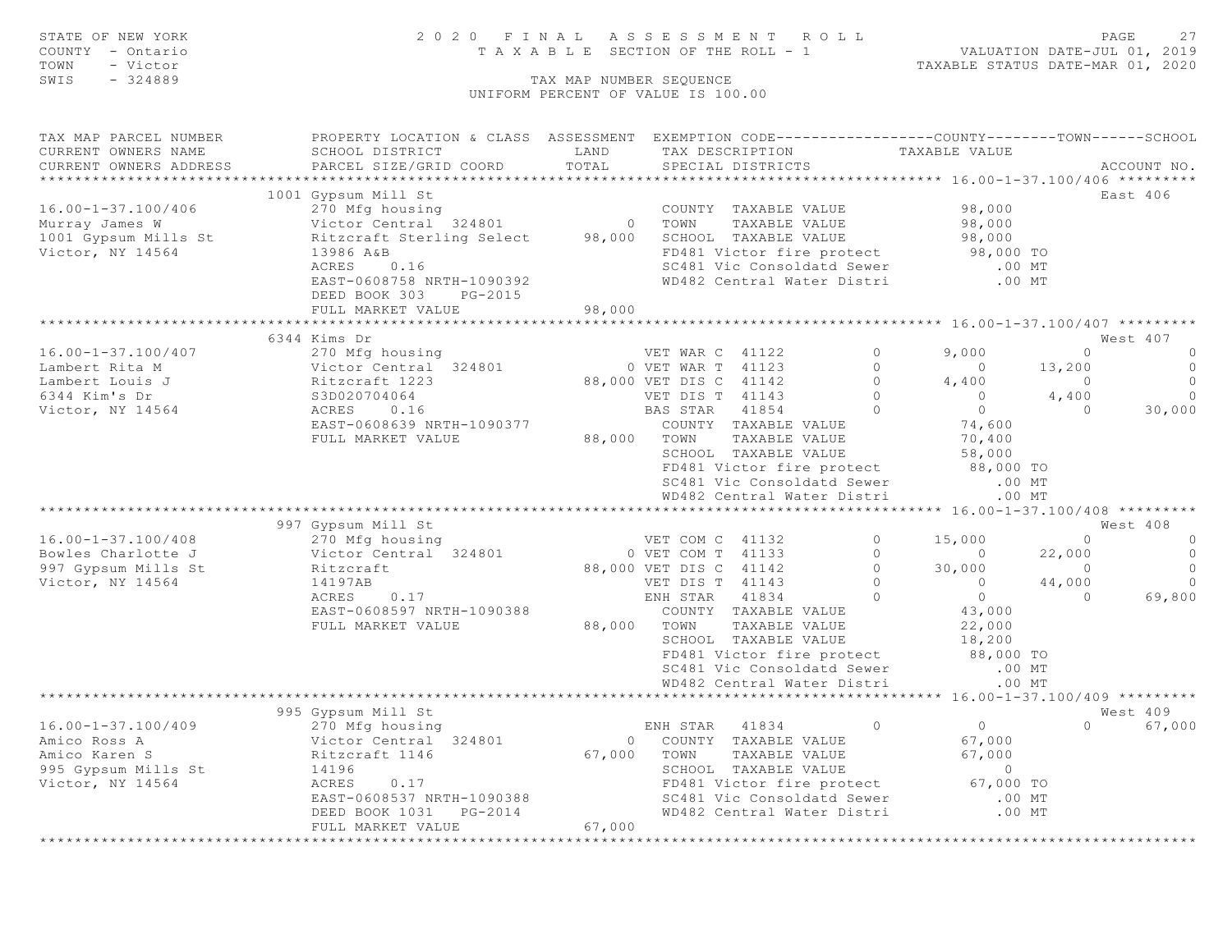| STATE OF NEW YORK<br>COUNTY - Ontario<br>TOWN<br>- Victor<br>$-324889$<br>SWIS                      |                                                                                                                                               | TAX MAP NUMBER SEQUENCE | 2020 FINAL ASSESSMENT ROLL<br>T A X A B L E SECTION OF THE ROLL - 1<br>UNIFORM PERCENT OF VALUE IS 100.00 |          | VALUATION DATE-JUL 01, 2019<br>TAXABLE STATUS DATE-MAR 01, 2020        |                | PAGE        | 27             |
|-----------------------------------------------------------------------------------------------------|-----------------------------------------------------------------------------------------------------------------------------------------------|-------------------------|-----------------------------------------------------------------------------------------------------------|----------|------------------------------------------------------------------------|----------------|-------------|----------------|
| TAX MAP PARCEL NUMBER<br>CURRENT OWNERS NAME<br>CURRENT OWNERS ADDRESS<br>************************* | PROPERTY LOCATION & CLASS ASSESSMENT EXEMPTION CODE----------------COUNTY-------TOWN------SCHOOL<br>SCHOOL DISTRICT<br>PARCEL SIZE/GRID COORD | LAND<br>TOTAL           | TAX DESCRIPTION<br>SPECIAL DISTRICTS                                                                      |          | TAXABLE VALUE                                                          |                | ACCOUNT NO. |                |
|                                                                                                     | 1001 Gypsum Mill St                                                                                                                           |                         |                                                                                                           |          |                                                                        |                | East 406    |                |
| $16.00 - 1 - 37.100 / 406$                                                                          | 270 Mfg housing                                                                                                                               |                         | COUNTY TAXABLE VALUE                                                                                      |          | 98,000                                                                 |                |             |                |
| Murray James W                                                                                      |                                                                                                                                               | $\overline{0}$          | TAXABLE VALUE<br>TOWN                                                                                     |          | 98,000                                                                 |                |             |                |
| 1001 Gypsum Mills St                                                                                | Victor Central 324801<br>Ritzcraft Sterling Select                                                                                            |                         | 98,000 SCHOOL TAXABLE VALUE                                                                               |          | 98,000                                                                 |                |             |                |
| Victor, NY 14564                                                                                    | 13986 A&B                                                                                                                                     |                         |                                                                                                           |          | FD481 Victor fire protect 98,000 TO                                    |                |             |                |
|                                                                                                     | ACRES<br>0.16                                                                                                                                 |                         |                                                                                                           |          |                                                                        |                |             |                |
|                                                                                                     | EAST-0608758 NRTH-1090392<br>DEED BOOK 303 PG-2015                                                                                            |                         |                                                                                                           |          | SC481 Vic Consoldatd Sewer .00 MT<br>WD482 Central Water Distri .00 MT |                |             |                |
|                                                                                                     | FULL MARKET VALUE                                                                                                                             | 98,000                  |                                                                                                           |          |                                                                        |                |             |                |
|                                                                                                     |                                                                                                                                               |                         |                                                                                                           |          |                                                                        |                |             |                |
|                                                                                                     | 6344 Kims Dr                                                                                                                                  |                         |                                                                                                           |          |                                                                        |                | West 407    |                |
| $16.00 - 1 - 37.100 / 407$                                                                          | 270 Mfg housing<br>Victor Central 324801                                                                                                      |                         | VET WAR C 41122                                                                                           | $\circ$  | 9,000                                                                  | $\Omega$       |             | $\circ$        |
| Lambert Rita M                                                                                      |                                                                                                                                               |                         | 0 VET WAR T 41123                                                                                         | $\circ$  | $\overline{0}$                                                         | 13,200         |             | $\overline{0}$ |
| Lambert Louis J                                                                                     | Ritzcraft 1223                                                                                                                                |                         | 88,000 VET DIS C 41142                                                                                    | $\circ$  | 4,400                                                                  | $\overline{0}$ |             | $\circ$        |
| 6344 Kim's Dr                                                                                       | S3D020704064                                                                                                                                  |                         | VET DIS T 41143                                                                                           | $\Omega$ | $\overline{0}$                                                         | 4,400          |             | $\circ$        |
| Victor, NY 14564                                                                                    | ACRES<br>0.16                                                                                                                                 |                         | 41854<br>BAS STAR                                                                                         | $\Omega$ |                                                                        | $\Omega$       |             | 30,000         |
|                                                                                                     | EAST-0608639 NRTH-1090377<br>FULL MARKET VALUE                                                                                                |                         | COUNTY TAXABLE VALUE<br>88,000 TOWN<br>TAXABLE VALUE                                                      |          | $74,600$<br>70,400                                                     |                |             |                |
|                                                                                                     |                                                                                                                                               |                         | SCHOOL TAXABLE VALUE                                                                                      |          | 58,000                                                                 |                |             |                |
|                                                                                                     |                                                                                                                                               |                         | FD481 Victor fire protect                                                                                 |          | 88,000 TO                                                              |                |             |                |
|                                                                                                     |                                                                                                                                               |                         | SC481 Vic Consoldatd Sewer                                                                                |          | $.00$ MT                                                               |                |             |                |
|                                                                                                     |                                                                                                                                               |                         | WD482 Central Water Distri                                                                                |          | $.00$ MT                                                               |                |             |                |
|                                                                                                     |                                                                                                                                               |                         |                                                                                                           |          |                                                                        |                |             |                |
|                                                                                                     | 997 Gypsum Mill St                                                                                                                            |                         |                                                                                                           |          |                                                                        |                | West 408    |                |
| $16.00 - 1 - 37.100 / 408$                                                                          | 270 Mfg housing                                                                                                                               |                         | VET COM C 41132                                                                                           | $\circ$  | 15,000                                                                 | $\Omega$       |             | $\overline{0}$ |
| Bowles Charlotte J                                                                                  | Victor Central <sup>324801</sup>                                                                                                              |                         | 0 VET COM T 41133                                                                                         | $\circ$  | $\overline{0}$                                                         | 22,000         |             | $\overline{0}$ |
| 997 Gypsum Mills St                                                                                 | Ritzcraft                                                                                                                                     |                         | 88,000 VET DIS C 41142                                                                                    | $\circ$  | 30,000                                                                 | $\circ$        |             | $\circ$        |
| Victor, NY 14564                                                                                    | 14197AB                                                                                                                                       |                         | VET DIS T 41143                                                                                           | $\circ$  | $\overline{0}$                                                         | 44,000         |             | $\circ$        |
|                                                                                                     | ACRES<br>0.17                                                                                                                                 |                         | 41834<br>ENH STAR                                                                                         | $\Omega$ | $\frac{0}{43,000}$                                                     | $\Omega$       |             | 69,800         |
|                                                                                                     | EAST-0608597 NRTH-1090388                                                                                                                     |                         | COUNTY TAXABLE VALUE                                                                                      |          |                                                                        |                |             |                |
|                                                                                                     | FULL MARKET VALUE                                                                                                                             |                         | 88,000 TOWN<br>TAXABLE VALUE                                                                              |          | 22,000                                                                 |                |             |                |
|                                                                                                     |                                                                                                                                               |                         | SCHOOL TAXABLE VALUE                                                                                      |          | 18,200                                                                 |                |             |                |
|                                                                                                     |                                                                                                                                               |                         | FD481 Victor fire protect<br>SC481 Vic Consoldatd Sewer                                                   |          | 88,000 TO<br>$.00$ MT                                                  |                |             |                |
|                                                                                                     |                                                                                                                                               |                         | WD482 Central Water Distri                                                                                |          | $.00$ MT                                                               |                |             |                |
|                                                                                                     |                                                                                                                                               |                         |                                                                                                           |          |                                                                        |                |             |                |
|                                                                                                     | 995 Gypsum Mill St                                                                                                                            |                         |                                                                                                           |          |                                                                        |                | West 409    |                |
| $16.00 - 1 - 37.100 / 409$                                                                          | 270 Mfg housing                                                                                                                               |                         | ENH STAR<br>41834                                                                                         |          | $\overline{0}$                                                         |                |             | 67,000         |
| Amico Ross A                                                                                        | Victor Central 324801                                                                                                                         | $\circ$                 | COUNTY TAXABLE VALUE                                                                                      |          | 67,000                                                                 |                |             |                |
| Amico Karen S                                                                                       | Ritzcraft 1146                                                                                                                                | 67,000                  | TOWN<br>TAXABLE VALUE                                                                                     |          | 67,000                                                                 |                |             |                |
| 995 Gypsum Mills St                                                                                 | 14196                                                                                                                                         |                         | SCHOOL TAXABLE VALUE                                                                                      |          | $\circ$                                                                |                |             |                |
| Victor, NY 14564                                                                                    | ACRES<br>0.17                                                                                                                                 |                         | FD481 Victor fire protect                                                                                 |          | 67,000 TO                                                              |                |             |                |
|                                                                                                     | EAST-0608537 NRTH-1090388                                                                                                                     |                         | SC481 Vic Consoldatd Sewer                                                                                |          | $.00$ MT                                                               |                |             |                |
|                                                                                                     | DEED BOOK 1031<br>PG-2014                                                                                                                     |                         | WD482 Central Water Distri                                                                                |          | .00MT                                                                  |                |             |                |
|                                                                                                     | FULL MARKET VALUE                                                                                                                             | 67,000                  |                                                                                                           |          |                                                                        |                |             |                |
|                                                                                                     |                                                                                                                                               |                         |                                                                                                           |          |                                                                        |                |             |                |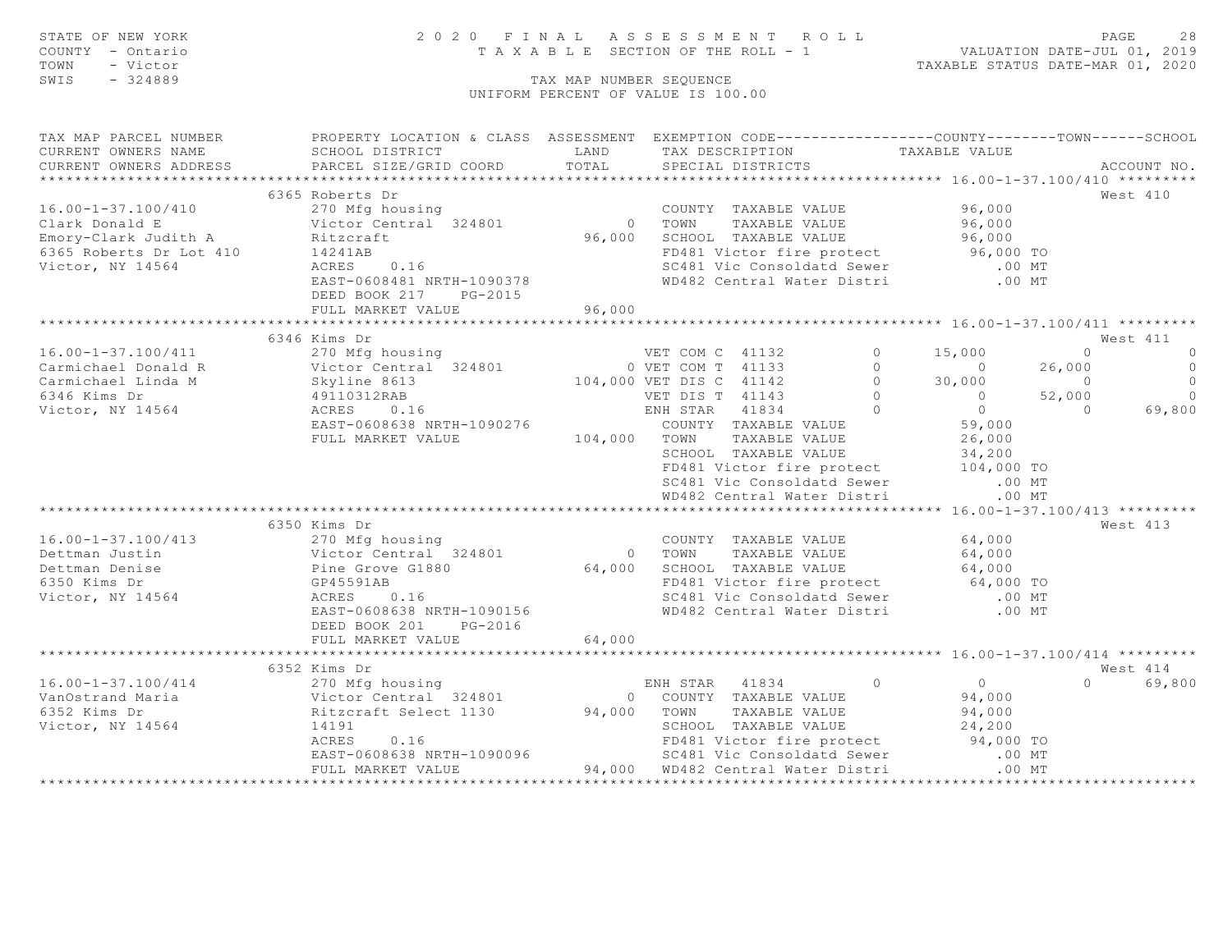| STATE OF NEW YORK<br>COUNTY - Ontario<br>TOWN<br>- Victor<br>SWIS<br>$-324889$                                                                                                                                    | 2020 FINAL<br>A S S E S S M E N T<br>ROLL<br>T A X A B L E SECTION OF THE ROLL - 1<br>TAX MAP NUMBER SEQUENCE<br>UNIFORM PERCENT OF VALUE IS 100.00                                                                                                                                                   |                          |                                                                                                                                                                                                                                                                                                                                                                                                                                           |                                                                                                                                                                                                                                                              | PAGE<br>28<br>VALUATION DATE-JUL 01, 2019<br>TAXABLE STATUS DATE-MAR 01, 2020                                           |
|-------------------------------------------------------------------------------------------------------------------------------------------------------------------------------------------------------------------|-------------------------------------------------------------------------------------------------------------------------------------------------------------------------------------------------------------------------------------------------------------------------------------------------------|--------------------------|-------------------------------------------------------------------------------------------------------------------------------------------------------------------------------------------------------------------------------------------------------------------------------------------------------------------------------------------------------------------------------------------------------------------------------------------|--------------------------------------------------------------------------------------------------------------------------------------------------------------------------------------------------------------------------------------------------------------|-------------------------------------------------------------------------------------------------------------------------|
|                                                                                                                                                                                                                   |                                                                                                                                                                                                                                                                                                       |                          |                                                                                                                                                                                                                                                                                                                                                                                                                                           |                                                                                                                                                                                                                                                              |                                                                                                                         |
| TAX MAP PARCEL NUMBER<br>CURRENT OWNERS NAME<br>CURRENT OWNERS ADDRESS                                                                                                                                            | PROPERTY LOCATION & CLASS ASSESSMENT EXEMPTION CODE----------------COUNTY-------TOWN------SCHOOL<br>SCHOOL DISTRICT<br>PARCEL SIZE/GRID COORD                                                                                                                                                         | LAND<br>TOTAL            | TAX DESCRIPTION<br>SPECIAL DISTRICTS                                                                                                                                                                                                                                                                                                                                                                                                      | TAXABLE VALUE                                                                                                                                                                                                                                                | ACCOUNT NO.                                                                                                             |
|                                                                                                                                                                                                                   | 6365 Roberts Dr                                                                                                                                                                                                                                                                                       |                          |                                                                                                                                                                                                                                                                                                                                                                                                                                           |                                                                                                                                                                                                                                                              | West 410                                                                                                                |
| $16.00 - 1 - 37.100 / 410$<br>Clark Donald E<br>Emory-Clark Judith A<br>6365 Roberts Dr Lot 410<br>Victor, NY 14564                                                                                               | 270 Mfg housing<br>Victor Central 324801<br>Ritzcraft<br>14241AB<br>ACRES<br>0.16<br>EAST-0608481 NRTH-1090378<br>DEED BOOK 217<br>PG-2015                                                                                                                                                            |                          | COUNTY TAXABLE VALUE<br>TAXABLE VALUE<br>$\overline{0}$<br>TOWN<br>96,000 SCHOOL TAXABLE VALUE<br>FD481 Victor fire protect<br>SC481 Vic Consoldatd Sewer<br>WD482 Central Water Distri                                                                                                                                                                                                                                                   | 96,000<br>96,000<br>96,000<br>96,000 TO<br>.00 MT<br>$.00$ MT                                                                                                                                                                                                |                                                                                                                         |
|                                                                                                                                                                                                                   | FULL MARKET VALUE<br>************************                                                                                                                                                                                                                                                         | 96,000                   |                                                                                                                                                                                                                                                                                                                                                                                                                                           |                                                                                                                                                                                                                                                              |                                                                                                                         |
|                                                                                                                                                                                                                   | 6346 Kims Dr                                                                                                                                                                                                                                                                                          |                          |                                                                                                                                                                                                                                                                                                                                                                                                                                           |                                                                                                                                                                                                                                                              | West 411                                                                                                                |
| $16.00 - 1 - 37.100 / 411$<br>Carmichael Donald R<br>Carmichael Linda M<br>6346 Kims Dr<br>Victor, NY 14564<br>$16.00 - 1 - 37.100 / 413$<br>Dettman Justin<br>Dettman Denise<br>6350 Kims Dr<br>Victor, NY 14564 | 270 Mfg housing<br>Victor Central 324801<br>Skyline 8613<br>10110310PAP<br>49110312RAB<br>ACRES 0.1<br>0.16<br>EAST-0608638 NRTH-1090276<br>FULL MARKET VALUE<br>6350 Kims Dr<br>270 Mfg housing<br>Victor Central 324801<br>Pine Grove G1880<br>GP45591AB<br>ACRES 0.16<br>EAST-0608638 NRTH-1090156 | 104,000 TOWN             | VET COM C 41132<br>0 VET COM T 41133<br>104,000 VET DIS C 41142<br>VET DIS T 41143<br>ENH STAR 41834<br>COUNTY TAXABLE VALUE<br>TAXABLE VALUE<br>SCHOOL TAXABLE VALUE<br>FD481 Victor fire protect<br>SC481 Vic Consoldatd Sewer<br>WD482 Central Water Distri<br>COUNTY TAXABLE VALUE<br>0 TOWN<br>TAXABLE VALUE<br>64,000 SCHOOL TAXABLE VALUE<br>FD481 Victor fire protect<br>SC481 Vic Consoldatd Sewer<br>WD482 Central Water Distri | $\Omega$<br>15,000<br>$\Omega$<br>$\overline{0}$<br>$\Omega$<br>30,000<br>$\Omega$<br>$\bigcirc$<br>$\Omega$<br>$\Omega$<br>59,000<br>26,000<br>34,200<br>104,000 TO<br>$.00$ MT<br>.00MT<br>64,000<br>64,000<br>64,000<br>64,000 TO<br>$.00$ MT<br>$.00$ MT | $\Omega$<br>$\Omega$<br>26,000<br>$\circ$<br>$\circ$<br>$\circ$<br>52,000<br>$\Omega$<br>$\Omega$<br>69,800<br>West 413 |
|                                                                                                                                                                                                                   | DEED BOOK 201 PG-2016<br>FULL MARKET VALUE<br>*************************                                                                                                                                                                                                                               | 64,000                   |                                                                                                                                                                                                                                                                                                                                                                                                                                           |                                                                                                                                                                                                                                                              |                                                                                                                         |
|                                                                                                                                                                                                                   | 6352 Kims Dr                                                                                                                                                                                                                                                                                          |                          |                                                                                                                                                                                                                                                                                                                                                                                                                                           |                                                                                                                                                                                                                                                              | West 414                                                                                                                |
| $16.00 - 1 - 37.100 / 414$<br>VanOstrand Maria<br>6352 Kims Dr<br>Victor, NY 14564                                                                                                                                | 270 Mfg housing<br>Victor Central 324801<br>Ritzcraft Select 1130<br>14191<br>ACRES<br>0.16<br>EAST-0608638 NRTH-1090096<br>FULL MARKET VALUE                                                                                                                                                         | $\overline{0}$<br>94,000 | ENH STAR 41834<br>COUNTY TAXABLE VALUE<br>TAXABLE VALUE<br>TOWN<br>SCHOOL TAXABLE VALUE<br>FD481 Victor fire protect<br>SC481 Vic Consoldatd Sewer<br>94,000 WD482 Central Water Distri                                                                                                                                                                                                                                                   | $\Omega$<br>$\overline{0}$<br>94,000<br>94,000<br>24,200<br>94,000 TO<br>$.00$ MT<br>$.00$ MT                                                                                                                                                                | 69,800<br>$\Omega$                                                                                                      |
|                                                                                                                                                                                                                   |                                                                                                                                                                                                                                                                                                       |                          |                                                                                                                                                                                                                                                                                                                                                                                                                                           |                                                                                                                                                                                                                                                              |                                                                                                                         |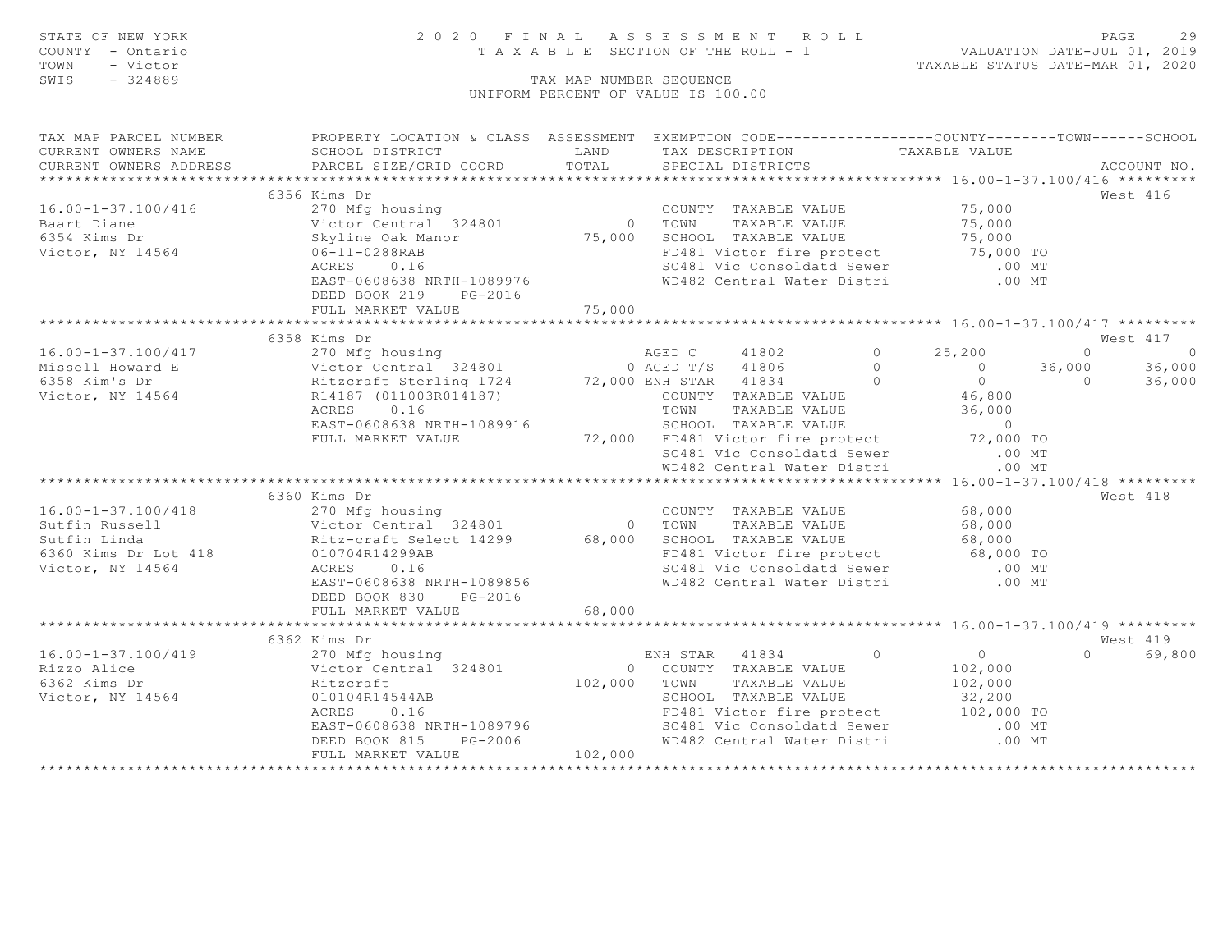| STATE OF NEW YORK<br>COUNTY - Ontario<br>TOWN<br>- Victor                                                                                                                                                                             |                                                                                                                                                                                                                                                                                                                              | FINAL ASSESSMENT ROLL PAGE 29<br>TAXABLE SECTION OF THE ROLL - 1 VALUATION DATE-JUL 01, 2019<br>2020 FINAL ASSESSMENT ROLL |  |                                                                                                    | TAXABLE STATUS DATE-MAR 01, 2020                                                                                                                                                                                            |                    |             |                              |
|---------------------------------------------------------------------------------------------------------------------------------------------------------------------------------------------------------------------------------------|------------------------------------------------------------------------------------------------------------------------------------------------------------------------------------------------------------------------------------------------------------------------------------------------------------------------------|----------------------------------------------------------------------------------------------------------------------------|--|----------------------------------------------------------------------------------------------------|-----------------------------------------------------------------------------------------------------------------------------------------------------------------------------------------------------------------------------|--------------------|-------------|------------------------------|
| SWIS<br>$-324889$                                                                                                                                                                                                                     |                                                                                                                                                                                                                                                                                                                              | TAX MAP NUMBER SEOUENCE<br>UNIFORM PERCENT OF VALUE IS 100.00                                                              |  |                                                                                                    |                                                                                                                                                                                                                             |                    |             |                              |
| TAX MAP PARCEL NUMBER THE PROPERTY LOCATION & CLASS ASSESSMENT EXEMPTION CODE--------------COUNTY-------TOWN-----SCHOOL<br>CURRENT OWNERS NAME<br>CURRENT OWNERS ADDRESS<br>**********************                                    | SCHOOL DISTRICT<br>PARCEL SIZE/GRID COORD                                                                                                                                                                                                                                                                                    | TOTAL.                                                                                                                     |  | LAND TAX DESCRIPTION<br>SPECIAL DISTRICTS                                                          | TAXABLE VALUE                                                                                                                                                                                                               |                    | ACCOUNT NO. |                              |
| $16.00 - 1 - 37.100 / 416$<br>Baart Diane<br>6354 Kims Dr<br>Victor, NY 14564                                                                                                                                                         | 6356 Kims Dr<br>270 Mfg housing<br>Victor Central 324801 0 TOWN TAXABLE VALUE 75,000<br>Skyline Oak Manor 75,000 SCHOOL TAXABLE VALUE 75,000<br>06-11-0288RAB 75,000 FD481 Victor fire protect 75,000 TO<br>200 TO SCHOOL TAXABLE VALUE 75,000 70<br>200<br>ACRES 0.16<br>EAST-0608638 NRTH-1089976<br>DEED BOOK 219 PG-2016 |                                                                                                                            |  |                                                                                                    | SC481 Vic Consoldatd Sewer .00 MT<br>WD482 Central Water Distri .00 MT                                                                                                                                                      |                    | West 416    |                              |
|                                                                                                                                                                                                                                       | FULL MARKET VALUE<br>6358 Kims Dr                                                                                                                                                                                                                                                                                            | 75,000                                                                                                                     |  |                                                                                                    |                                                                                                                                                                                                                             |                    | West 417    |                              |
| 16.00-1-37.100/417<br>Missell Howard E 270 Mfg housing<br>Wissell Howard E Victor Central 324801 0 AGED T/S 41806 0<br>6358 Kim's Dr Ritzcraft Sterling 1724 72,000 ENH STAR 41834 0<br>Victor, NY 14564 R14187 (011003R014187) COUNT | ACRES 0.16<br>EAST-0608638 NRTH-1089916 TOWN TAXABLE VALUE 36,000<br>FULL MARKET VALUE 72,000 FD481 Victor fire protect 72,000 TO<br>SC481 Vic Consoldatd Sewer 22,000 TO                                                                                                                                                    |                                                                                                                            |  | COUNTY TAXABLE VALUE<br>WD482 Central Water Distri                                                 | $0 \t 25, 200$<br>$0 \t36,000$<br>$0$<br>46,800<br>36,000<br>$.00$ MT                                                                                                                                                       | $\cap$<br>$\Omega$ |             | $\Omega$<br>36,000<br>36,000 |
| $16.00 - 1 - 37.100 / 418$<br>Sutfin Russell<br>Sutfin Linda<br>6360 Kims Dr Lot 418<br>Victor, NY 14564                                                                                                                              | 270 Mfg housing<br>270 Mfg housing<br>Victor Central 324801 0 TOWN TAXABLE VALUE<br>Ritz-craft Select 14299 68,000 SCHOOL TAXABLE VALUE<br>010704R14299AB 68,000 FD481 Victor fire protect 68,000 TO<br>ACRES 0.16 SC481 Vic Consoldatd<br>EAST-0608638 NRTH-1089856<br>DEED BOOK 830<br>PG-2016                             |                                                                                                                            |  |                                                                                                    | ********************************* 16.00-1-37.100/418 *********<br>FD481 Victor fire protect 68,000 TO<br>SC481 Vic Consoldatd Sewer .00 MT<br>WD482 Central Water Distri .00 MT                                             |                    | West 418    |                              |
|                                                                                                                                                                                                                                       | FULL MARKET VALUE                                                                                                                                                                                                                                                                                                            | 68,000                                                                                                                     |  |                                                                                                    |                                                                                                                                                                                                                             |                    |             |                              |
| $16.00 - 1 - 37.100 / 419$<br>Rizzo Alice<br>6362 Kims Dr<br>Victor, NY 14564                                                                                                                                                         | 6362 Kims Dr<br>Alms Dr<br>270 Mfg housing<br>270 Mfg housing<br>Victor Central 324801<br>Ritzcraft<br>010104R14544AB<br>0.16<br>ACRES<br>EAST-0608638 NRTH-1089796<br>PG-2006<br>DEED BOOK 815<br>FULL MARKET VALUE                                                                                                         | 102,000                                                                                                                    |  | ENH STAR 41834 0 0<br>0 COUNTY TAXABLE VALUE<br>102,000 TOWN TAXABLE VALUE<br>SCHOOL TAXABLE VALUE | 102,000<br>102,000<br>32,200<br>FD481 Victor fire protect 102,000 TO<br>FD481 Victor fire protect the solution of the series of the SC481 Vic Consoldatd Sewer the series of the serie<br>WD482 Central Water Distri .00 MT | $\cap$             | West 419    | 69,800                       |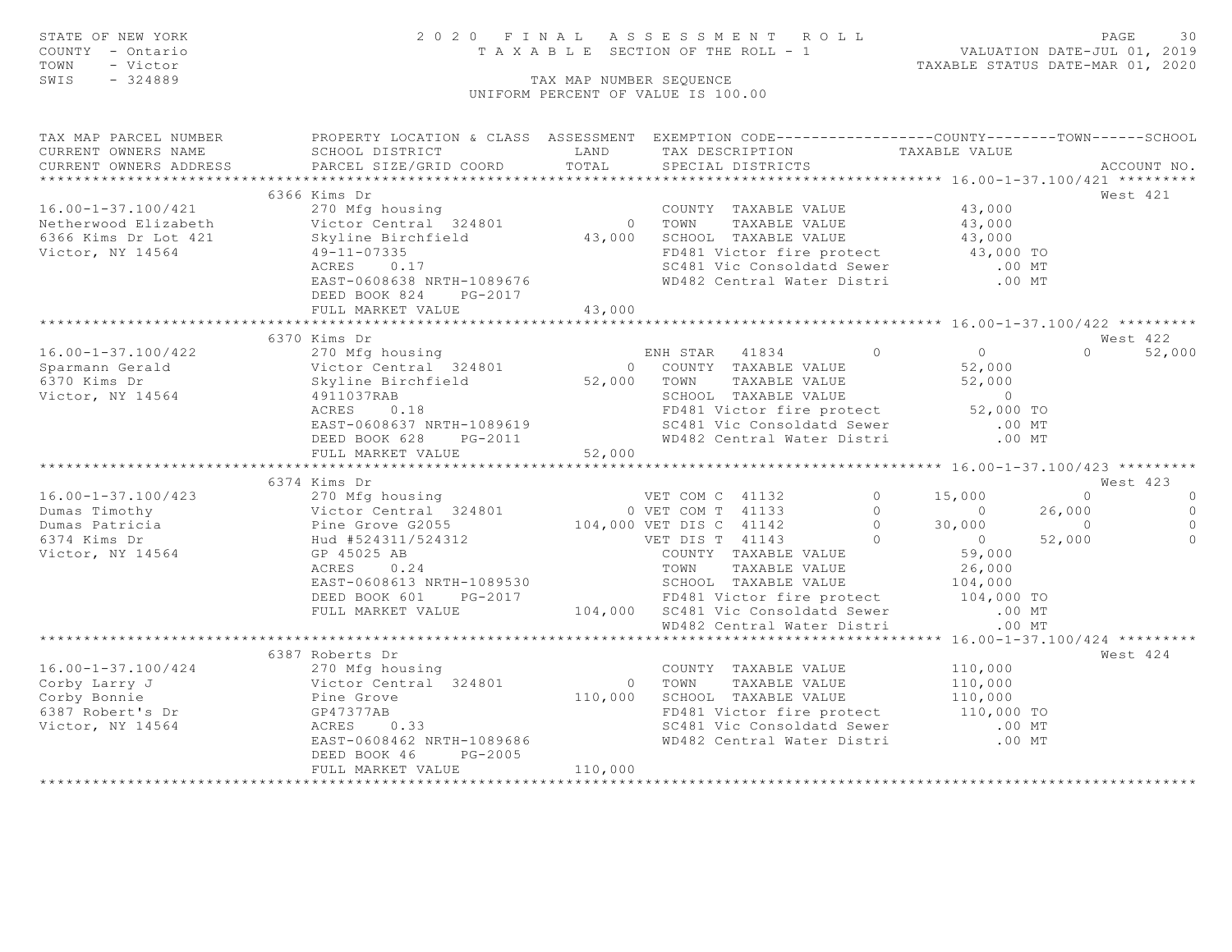| STATE OF NEW YORK<br>COUNTY - Ontario<br>TOWN - Victor                                                                                                                                                                                                                                                                                                                                  |                                                                                                                                                                                        |                         | FINAL ASSESSMENT ROLL PAGE 30<br>TAXABLE SECTION OF THE ROLL - 1 VALUATION DATE-JUL 01, 2019<br>TAXABLE STATUS DATE-MAR 01, 2020<br>2020 FINAL ASSESSMENT ROLL                                                                                                                                                                                                                                                                                                                                                                                                                                                                                                  |                                                                                                                                                                                                                                                                                                                                                                                                                                                  |                                                                                                                                         |
|-----------------------------------------------------------------------------------------------------------------------------------------------------------------------------------------------------------------------------------------------------------------------------------------------------------------------------------------------------------------------------------------|----------------------------------------------------------------------------------------------------------------------------------------------------------------------------------------|-------------------------|-----------------------------------------------------------------------------------------------------------------------------------------------------------------------------------------------------------------------------------------------------------------------------------------------------------------------------------------------------------------------------------------------------------------------------------------------------------------------------------------------------------------------------------------------------------------------------------------------------------------------------------------------------------------|--------------------------------------------------------------------------------------------------------------------------------------------------------------------------------------------------------------------------------------------------------------------------------------------------------------------------------------------------------------------------------------------------------------------------------------------------|-----------------------------------------------------------------------------------------------------------------------------------------|
| SWIS - 324889                                                                                                                                                                                                                                                                                                                                                                           |                                                                                                                                                                                        | TAX MAP NUMBER SEQUENCE | UNIFORM PERCENT OF VALUE IS 100.00                                                                                                                                                                                                                                                                                                                                                                                                                                                                                                                                                                                                                              |                                                                                                                                                                                                                                                                                                                                                                                                                                                  |                                                                                                                                         |
| CURRENT OWNERS NAME<br>CURRENT OWNERS ADDRESS                                                                                                                                                                                                                                                                                                                                           |                                                                                                                                                                                        |                         | TAX MAP PARCEL NUMBER <b>The PROPERTY LOCATION &amp; CLASS</b> ASSESSMENT EXEMPTION CODE--------------COUNTY-------TOWN-----SCHOOL                                                                                                                                                                                                                                                                                                                                                                                                                                                                                                                              | TAXABLE VALUE                                                                                                                                                                                                                                                                                                                                                                                                                                    | ACCOUNT NO.                                                                                                                             |
|                                                                                                                                                                                                                                                                                                                                                                                         |                                                                                                                                                                                        |                         |                                                                                                                                                                                                                                                                                                                                                                                                                                                                                                                                                                                                                                                                 |                                                                                                                                                                                                                                                                                                                                                                                                                                                  |                                                                                                                                         |
| $16.00 - 1 - 37.100 / 421$<br>Netherwood Elizabeth<br>6366 Kims Dr Lot 421<br>Victor, NY 14564                                                                                                                                                                                                                                                                                          | 6366 Kims Dr<br>270 Mfg housing<br>Victor Central 324801<br>Skyline Birchfield<br>49-11-07335<br>ACRES 0.17<br>EAST-0608638 NRTH-1089676<br>DEED BOOK 824 PG-2017<br>FULL MARKET VALUE | 43,000                  | COUNTY TAXABLE VALUE<br>0 TOWN TAXABLE VALUE<br>43,000 SCHOOL TAXABLE VALUE<br>93,000<br>SCHOOL TAXABLE VALUE 43,000<br>FD481 Victor fire protect 43,000 TO<br>SC481 Vic Consoldatd Sewer 43,000 TO<br>WD482 Central Water Distri<br>13.000 MT                                                                                                                                                                                                                                                                                                                                                                                                                  | 43,000                                                                                                                                                                                                                                                                                                                                                                                                                                           | West 421                                                                                                                                |
|                                                                                                                                                                                                                                                                                                                                                                                         |                                                                                                                                                                                        |                         |                                                                                                                                                                                                                                                                                                                                                                                                                                                                                                                                                                                                                                                                 |                                                                                                                                                                                                                                                                                                                                                                                                                                                  |                                                                                                                                         |
| 16.00-1-37.100/422<br>Sparmann Gerald<br>6370 Kims Dr<br>Victor, NY 14564<br>Victor, NY 14564<br>ACRES<br>270 Mfg housing<br>Skyline Birchfield<br>4911037RAB<br>ACRES<br>0.18<br>16.00-1-37.100/423<br>Dumas Timothy<br>Dumas Patricia<br>6374 Kims Dr<br>Victor, NY 14564<br>Contral 324801<br>Contral 324801<br>Pine Grove G2055<br>Hud #524311/524312<br>GP 45025 AB<br>GP 45025 AB | 6370 Kims Dr<br>************************<br>6374 Kims Dr<br>$ACRES$ 0.24                                                                                                               |                         | ENH STAR 41834 0<br>Victor Central 324801<br>Victor Central 324801<br>Styline Birchfield<br>Styline Birchfield<br>Styline Birchfield<br>Styline Birchfield<br>Styline Birchfield<br>Styline Styline Styline Styline Styline Styline Styline Styline Styline Styl<br>VET COM C 41132<br>0 VET COM T 41133<br>104,000 VET COM T 41142<br>104,000 VET DIS C 41142<br>$VET$ DIS T $41143$ 0<br>COUNTY TAXABLE VALUE<br>ACRES 0.24<br>EAST-0608613 NRTH-1089530<br>DEED BOOK 601 PG-2017 104,000 ED BOOK 601 PG-2017<br>FULL MARKET VALUE 104,000 10<br>FULL MARKET VALUE 104,000 10<br>FULL MARKET VALUE 104,000 10<br>FULL MARKET VALUE 104,000 10<br>MD482 Centra | $\overline{0}$<br>52,000 TO<br>.00 MT<br>.00MT<br>$\begin{array}{cccc} 0 & 15,000 & & 0 \\ 0 & 0 & 26,000 & & 0 \\ 0 & 30,000 & & & 0 \\ 0 & & 0 & 53,000 & & 0 \\ 0 & & 0 & 0 & 0 & 0 \\ 0 & & 0 & 0 & 0 & 0 \\ 0 & & 0 & 0 & 0 & 0 \\ 0 & & 0 & 0 & 0 & 0 \\ 0 & & 0 & 0 & 0 & 0 \\ 0 & & 0 & 0 & 0 & 0 \\ 0 & & 0 & 0 & 0 & 0 \\ 0 & & 0 & 0 & 0 & 0 \\ 0 & & 0 & 0 & 0 & 0 \\ $<br>$\begin{bmatrix} 0 & 52,000 \\ 59,000 & 52 \end{bmatrix}$ | West 422<br>$0 \t 52,000$<br>***************** 16.00-1-37.100/423 *********<br>West 423<br>$\Omega$<br>$\Omega$<br>$\Omega$<br>$\Omega$ |
|                                                                                                                                                                                                                                                                                                                                                                                         |                                                                                                                                                                                        |                         |                                                                                                                                                                                                                                                                                                                                                                                                                                                                                                                                                                                                                                                                 |                                                                                                                                                                                                                                                                                                                                                                                                                                                  |                                                                                                                                         |
| Notice 1-37.100/424<br>Corby Larry J<br>Corby Bonnie<br>6387 Robert's Dr. (GP47377AB<br>Victor, NY 14564<br>Corby Bonnie<br>Fine Grove<br>CORP (GP47377AB<br>ACRES 0.33<br>EAST-0608462 NRTH-1089686<br>RES 0.33                                                                                                                                                                        | EAST-0608462 NRTH-1089686<br>FULL MARKET VALUE                                                                                                                                         | 110,000                 | COUNTY TAXABLE VALUE 110,000<br>0 TOWN TAXABLE VALUE 110,000<br>110,000 SCHOOL TAXABLE VALUE<br>FD481 Victor fire protect<br>SC481 Vic Consoldatd Sewer .00 MT<br>WD482 Central Water Distri .00 MT                                                                                                                                                                                                                                                                                                                                                                                                                                                             |                                                                                                                                                                                                                                                                                                                                                                                                                                                  | West 424                                                                                                                                |
|                                                                                                                                                                                                                                                                                                                                                                                         |                                                                                                                                                                                        |                         |                                                                                                                                                                                                                                                                                                                                                                                                                                                                                                                                                                                                                                                                 |                                                                                                                                                                                                                                                                                                                                                                                                                                                  |                                                                                                                                         |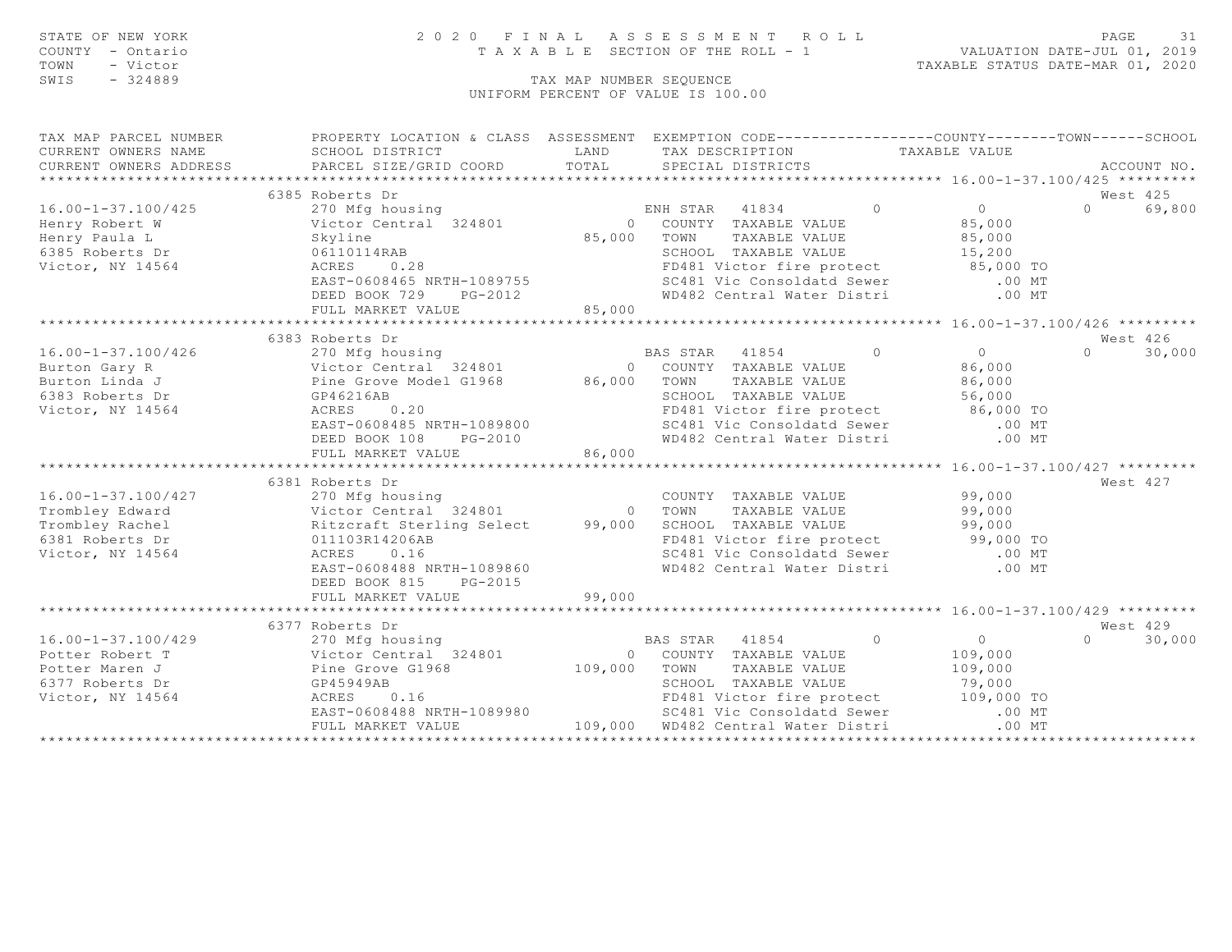| STATE OF NEW YORK | 2020 FINAL ASSESSMENT ROLL            |                                  | PAGE                        | 31 |
|-------------------|---------------------------------------|----------------------------------|-----------------------------|----|
| COUNTY - Ontario  | T A X A B L E SECTION OF THE ROLL - 1 |                                  | VALUATION DATE-JUL 01, 2019 |    |
| TOWN<br>- Victor  |                                       | TAXABLE STATUS DATE-MAR 01, 2020 |                             |    |
| SWIS<br>$-324889$ | TAX MAP NUMBER SEOUENCE               |                                  |                             |    |

| TAX MAP PARCEL NUMBER                                                                                                                                                                                                                                                  |                                                                                            |                 | PROPERTY LOCATION & CLASS ASSESSMENT EXEMPTION CODE----------------COUNTY-------TOWN------SCHOOL                                                                                                                   |                                |
|------------------------------------------------------------------------------------------------------------------------------------------------------------------------------------------------------------------------------------------------------------------------|--------------------------------------------------------------------------------------------|-----------------|--------------------------------------------------------------------------------------------------------------------------------------------------------------------------------------------------------------------|--------------------------------|
|                                                                                                                                                                                                                                                                        | 6385 Roberts Dr                                                                            |                 |                                                                                                                                                                                                                    | West 425                       |
| 16.00-1-37.100/425 6385 Roberts Dr<br>Henry Robert W Victor Central 324801 Benry Paula L Skyline 85,000 TOWN TAXABLE VALUE 85,000<br>Henry Paula L Skyline 85,000 TOWN TAXABLE VALUE 85,000<br>6385 Roberts Dr 06110114RAB 85,000 TO                                   | DEED BOOK 729 PG-2012<br>FULL MARKET VALUE 85,000                                          |                 |                                                                                                                                                                                                                    | 0 69,800                       |
|                                                                                                                                                                                                                                                                        |                                                                                            |                 |                                                                                                                                                                                                                    |                                |
|                                                                                                                                                                                                                                                                        |                                                                                            |                 |                                                                                                                                                                                                                    |                                |
| 16.00-1-37.100/426<br>16.00-1-37.100/426<br>270 Mfg housing<br>270 Mfg housing<br>270 Mfg housing<br>270 Mfg housing<br>270 Mfg housing<br>270 Mfg housing<br>270 Mfg housing<br>270 Mfg housing<br>270 Mfg housing<br>270 Mfg housing<br>270 Mfg ho                   | FULL MARKET VALUE                                                                          | $3.2010$ 86,000 | FD481 Victor fire protect 86,000 TO<br>EAST-0608485 NRTH-1089800<br>EAST-0608485 NRTH-1089800 SC481 Vic Consoldatd Sewer .00 MT<br>DEED BOOK 108 PG-2010 MD482 Central Water Distri .00 MT                         | West 426<br>30,000<br>$\Omega$ |
|                                                                                                                                                                                                                                                                        |                                                                                            |                 |                                                                                                                                                                                                                    |                                |
| 16.00-1-37.100/427<br>Trombley Edward<br>Trombley Rachel (1999)<br>Sources of the Contral 324801<br>Victor Central 324801<br>Ritzcraft Sterling Select 99,000<br>6381 Roberts Dr. 011103R14206AB<br>Victor, NY 14564<br>ACRES 0.16                                     | 6381 Roberts Dr<br>EAST-0608488 NRTH-1089860<br>DEED BOOK 815 PG-2015<br>FULL MARKET VALUE | 99,000          | COUNTY TAXABLE VALUE 99,000<br>TAXABLE VALUE 99,000<br>TOWN<br>99,000 SCHOOL TAXABLE VALUE 99,000<br>FD481 Victor fire protect 99,000 TO<br>SC481 Vic Consoldatd Sewer .00 MT<br>WD482 Central Water Distri (00 MT | West 427                       |
| 16.00-1-37.100/429<br>Potter Robert T<br>Potter Robert T<br>Potter Maren J<br>For GP45949AB<br>Victor, NY 14564<br>Victor, NY 14564<br>CHE SAND DESCRIPED AND DESCRIPED MARKET USES<br>CHE SAND DESCRIPED MARKET USES<br>CHE SAND DESCRIPED MARKET VALUE<br>CHE SAND D | 6377 Roberts Dr<br>270 Mfg housing 60 and 50 BAS STAR 41854 60 COMPUTER 1870 10            |                 |                                                                                                                                                                                                                    | West 429<br>30,000<br>$\Omega$ |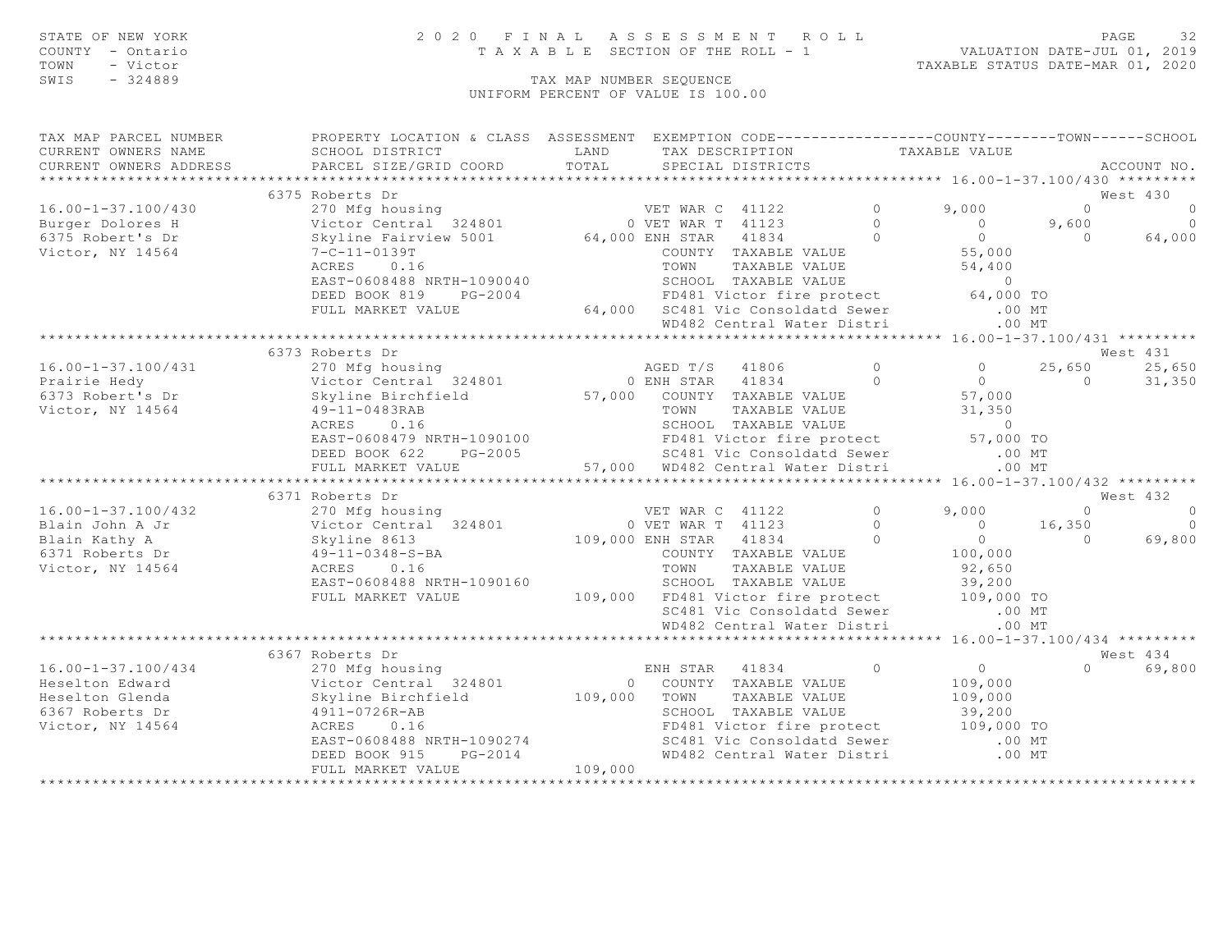| STATE OF NEW YORK |          | 2020 FINAL ASSESSMENT ROLL            |                                  | <b>PAGE</b> | 32 |
|-------------------|----------|---------------------------------------|----------------------------------|-------------|----|
| COUNTY - Ontario  |          | T A X A B L E SECTION OF THE ROLL - 1 | VALUATION DATE-JUL 01, 2019      |             |    |
| TOWN              | - Victor |                                       | TAXABLE STATUS DATE-MAR 01, 2020 |             |    |
| SWIS              | - 324889 | TAX MAP NUMBER SEOUENCE               |                                  |             |    |

| UNIFORM PERCENT OF VALUE IS 100.00 |  |  |  |
|------------------------------------|--|--|--|
|                                    |  |  |  |

| 6375 Roberts Dr<br>West 430<br>16.00-1-37.100/430<br>16.00-1-37.100/430<br>270 Michael School (1122 0 9,000<br>270 Michael School (1122 0 9,000<br>275 Robert's Dr<br>270 Skyline Fairview 5001 64,000 ENH STAR 41834 0 0<br>27-C-11-0139T COUNTY TAXABLE VALUE 55,000<br><br>9,000<br>$\Omega$<br>$\overline{0}$<br>$\circ$<br>9,600<br>64,000<br>$\overline{a}$<br>FD481 Victor fire protect 64,000 TO<br>64,000 SC481 Vic Consoldatd Sewer .00 MT<br>DEED BOOK 819 PG-2004<br>FULL MARKET VALUE<br>WD482 Central Water Distri<br>$.00$ MT<br>6373 Roberts Dr<br>West 431<br>25,650<br>25,650<br>$\overline{0}$ $\overline{0}$ $\overline{0}$<br>31,350<br>**************************<br>6371 Roberts Dr<br>West 432<br>16.00-1-37.100/432<br>Blain John A Jr<br>Blain John A Jr<br>Signed Blain School (19.00 ENR F 41123 0<br>Blain Kathy A Skyline 8613 109,000 ENR STAR 41834 0<br>Signed Blain Star (19.000 ENR STAR 41834 0<br>Signed Blain Star (19.000 ENR<br>9,000<br>$\overline{0}$<br>$\Omega$<br>$0 \t 16,350$<br>$\Omega$<br>$\overline{0}$<br>$\overline{a}$<br>69,800<br>100,000<br>92,650<br>SCHOOL TAXABLE VALUE 39,200<br>EAST-0608488 NRTH-1090160<br>109,000 FD481 Victor fire protect 109,000 TO<br>109,000 FD481 Victor fire protect 109,000 TO<br>SC481 Vic Consoldatd Sewer .00 MT<br>FULL MARKET VALUE<br>West 434<br>434<br>270 Mfg housing<br>Victor Central 324801<br>Skyline Birchfield<br>4911-0726R-AB<br>ACRES 0.16<br>FAST-060449<br>$\begin{array}{c} 0 \\ 109,000 \end{array}$<br>16.00-1-37.100/434<br>69,800<br>$\cap$<br>Heselton Edward<br>109,000<br>TAXABLE VALUE<br>Heselton Glenda<br>6367 Roberts Dr<br>Victor, NY 14564<br>SC481 Vic Consoldatd Sewer .00 MT<br>WD482 Central Water Distri .00 MT<br>EAST-0608488 NRTH-1090274<br>DEED BOOK 915 PG-2014<br>109,000<br>FULL MARKET VALUE | TAX MAP PARCEL NUMBER | PROPERTY LOCATION & CLASS ASSESSMENT EXEMPTION CODE----------------COUNTY-------TOWN------SCHOOL |  |  |  |  |
|----------------------------------------------------------------------------------------------------------------------------------------------------------------------------------------------------------------------------------------------------------------------------------------------------------------------------------------------------------------------------------------------------------------------------------------------------------------------------------------------------------------------------------------------------------------------------------------------------------------------------------------------------------------------------------------------------------------------------------------------------------------------------------------------------------------------------------------------------------------------------------------------------------------------------------------------------------------------------------------------------------------------------------------------------------------------------------------------------------------------------------------------------------------------------------------------------------------------------------------------------------------------------------------------------------------------------------------------------------------------------------------------------------------------------------------------------------------------------------------------------------------------------------------------------------------------------------------------------------------------------------------------------------------------------------------------------------------------------------------------------------------------------------------------------------------------------------------|-----------------------|--------------------------------------------------------------------------------------------------|--|--|--|--|
|                                                                                                                                                                                                                                                                                                                                                                                                                                                                                                                                                                                                                                                                                                                                                                                                                                                                                                                                                                                                                                                                                                                                                                                                                                                                                                                                                                                                                                                                                                                                                                                                                                                                                                                                                                                                                                        |                       |                                                                                                  |  |  |  |  |
|                                                                                                                                                                                                                                                                                                                                                                                                                                                                                                                                                                                                                                                                                                                                                                                                                                                                                                                                                                                                                                                                                                                                                                                                                                                                                                                                                                                                                                                                                                                                                                                                                                                                                                                                                                                                                                        |                       |                                                                                                  |  |  |  |  |
|                                                                                                                                                                                                                                                                                                                                                                                                                                                                                                                                                                                                                                                                                                                                                                                                                                                                                                                                                                                                                                                                                                                                                                                                                                                                                                                                                                                                                                                                                                                                                                                                                                                                                                                                                                                                                                        |                       |                                                                                                  |  |  |  |  |
|                                                                                                                                                                                                                                                                                                                                                                                                                                                                                                                                                                                                                                                                                                                                                                                                                                                                                                                                                                                                                                                                                                                                                                                                                                                                                                                                                                                                                                                                                                                                                                                                                                                                                                                                                                                                                                        |                       |                                                                                                  |  |  |  |  |
|                                                                                                                                                                                                                                                                                                                                                                                                                                                                                                                                                                                                                                                                                                                                                                                                                                                                                                                                                                                                                                                                                                                                                                                                                                                                                                                                                                                                                                                                                                                                                                                                                                                                                                                                                                                                                                        |                       |                                                                                                  |  |  |  |  |
|                                                                                                                                                                                                                                                                                                                                                                                                                                                                                                                                                                                                                                                                                                                                                                                                                                                                                                                                                                                                                                                                                                                                                                                                                                                                                                                                                                                                                                                                                                                                                                                                                                                                                                                                                                                                                                        |                       |                                                                                                  |  |  |  |  |
|                                                                                                                                                                                                                                                                                                                                                                                                                                                                                                                                                                                                                                                                                                                                                                                                                                                                                                                                                                                                                                                                                                                                                                                                                                                                                                                                                                                                                                                                                                                                                                                                                                                                                                                                                                                                                                        |                       |                                                                                                  |  |  |  |  |
|                                                                                                                                                                                                                                                                                                                                                                                                                                                                                                                                                                                                                                                                                                                                                                                                                                                                                                                                                                                                                                                                                                                                                                                                                                                                                                                                                                                                                                                                                                                                                                                                                                                                                                                                                                                                                                        |                       |                                                                                                  |  |  |  |  |
|                                                                                                                                                                                                                                                                                                                                                                                                                                                                                                                                                                                                                                                                                                                                                                                                                                                                                                                                                                                                                                                                                                                                                                                                                                                                                                                                                                                                                                                                                                                                                                                                                                                                                                                                                                                                                                        |                       |                                                                                                  |  |  |  |  |
|                                                                                                                                                                                                                                                                                                                                                                                                                                                                                                                                                                                                                                                                                                                                                                                                                                                                                                                                                                                                                                                                                                                                                                                                                                                                                                                                                                                                                                                                                                                                                                                                                                                                                                                                                                                                                                        |                       |                                                                                                  |  |  |  |  |
|                                                                                                                                                                                                                                                                                                                                                                                                                                                                                                                                                                                                                                                                                                                                                                                                                                                                                                                                                                                                                                                                                                                                                                                                                                                                                                                                                                                                                                                                                                                                                                                                                                                                                                                                                                                                                                        |                       |                                                                                                  |  |  |  |  |
|                                                                                                                                                                                                                                                                                                                                                                                                                                                                                                                                                                                                                                                                                                                                                                                                                                                                                                                                                                                                                                                                                                                                                                                                                                                                                                                                                                                                                                                                                                                                                                                                                                                                                                                                                                                                                                        |                       |                                                                                                  |  |  |  |  |
|                                                                                                                                                                                                                                                                                                                                                                                                                                                                                                                                                                                                                                                                                                                                                                                                                                                                                                                                                                                                                                                                                                                                                                                                                                                                                                                                                                                                                                                                                                                                                                                                                                                                                                                                                                                                                                        |                       |                                                                                                  |  |  |  |  |
|                                                                                                                                                                                                                                                                                                                                                                                                                                                                                                                                                                                                                                                                                                                                                                                                                                                                                                                                                                                                                                                                                                                                                                                                                                                                                                                                                                                                                                                                                                                                                                                                                                                                                                                                                                                                                                        |                       |                                                                                                  |  |  |  |  |
|                                                                                                                                                                                                                                                                                                                                                                                                                                                                                                                                                                                                                                                                                                                                                                                                                                                                                                                                                                                                                                                                                                                                                                                                                                                                                                                                                                                                                                                                                                                                                                                                                                                                                                                                                                                                                                        |                       |                                                                                                  |  |  |  |  |
|                                                                                                                                                                                                                                                                                                                                                                                                                                                                                                                                                                                                                                                                                                                                                                                                                                                                                                                                                                                                                                                                                                                                                                                                                                                                                                                                                                                                                                                                                                                                                                                                                                                                                                                                                                                                                                        |                       |                                                                                                  |  |  |  |  |
|                                                                                                                                                                                                                                                                                                                                                                                                                                                                                                                                                                                                                                                                                                                                                                                                                                                                                                                                                                                                                                                                                                                                                                                                                                                                                                                                                                                                                                                                                                                                                                                                                                                                                                                                                                                                                                        |                       |                                                                                                  |  |  |  |  |
|                                                                                                                                                                                                                                                                                                                                                                                                                                                                                                                                                                                                                                                                                                                                                                                                                                                                                                                                                                                                                                                                                                                                                                                                                                                                                                                                                                                                                                                                                                                                                                                                                                                                                                                                                                                                                                        |                       |                                                                                                  |  |  |  |  |
|                                                                                                                                                                                                                                                                                                                                                                                                                                                                                                                                                                                                                                                                                                                                                                                                                                                                                                                                                                                                                                                                                                                                                                                                                                                                                                                                                                                                                                                                                                                                                                                                                                                                                                                                                                                                                                        |                       |                                                                                                  |  |  |  |  |
|                                                                                                                                                                                                                                                                                                                                                                                                                                                                                                                                                                                                                                                                                                                                                                                                                                                                                                                                                                                                                                                                                                                                                                                                                                                                                                                                                                                                                                                                                                                                                                                                                                                                                                                                                                                                                                        |                       |                                                                                                  |  |  |  |  |
|                                                                                                                                                                                                                                                                                                                                                                                                                                                                                                                                                                                                                                                                                                                                                                                                                                                                                                                                                                                                                                                                                                                                                                                                                                                                                                                                                                                                                                                                                                                                                                                                                                                                                                                                                                                                                                        |                       |                                                                                                  |  |  |  |  |
|                                                                                                                                                                                                                                                                                                                                                                                                                                                                                                                                                                                                                                                                                                                                                                                                                                                                                                                                                                                                                                                                                                                                                                                                                                                                                                                                                                                                                                                                                                                                                                                                                                                                                                                                                                                                                                        |                       |                                                                                                  |  |  |  |  |
|                                                                                                                                                                                                                                                                                                                                                                                                                                                                                                                                                                                                                                                                                                                                                                                                                                                                                                                                                                                                                                                                                                                                                                                                                                                                                                                                                                                                                                                                                                                                                                                                                                                                                                                                                                                                                                        |                       |                                                                                                  |  |  |  |  |
|                                                                                                                                                                                                                                                                                                                                                                                                                                                                                                                                                                                                                                                                                                                                                                                                                                                                                                                                                                                                                                                                                                                                                                                                                                                                                                                                                                                                                                                                                                                                                                                                                                                                                                                                                                                                                                        |                       |                                                                                                  |  |  |  |  |
|                                                                                                                                                                                                                                                                                                                                                                                                                                                                                                                                                                                                                                                                                                                                                                                                                                                                                                                                                                                                                                                                                                                                                                                                                                                                                                                                                                                                                                                                                                                                                                                                                                                                                                                                                                                                                                        |                       |                                                                                                  |  |  |  |  |
|                                                                                                                                                                                                                                                                                                                                                                                                                                                                                                                                                                                                                                                                                                                                                                                                                                                                                                                                                                                                                                                                                                                                                                                                                                                                                                                                                                                                                                                                                                                                                                                                                                                                                                                                                                                                                                        |                       |                                                                                                  |  |  |  |  |
|                                                                                                                                                                                                                                                                                                                                                                                                                                                                                                                                                                                                                                                                                                                                                                                                                                                                                                                                                                                                                                                                                                                                                                                                                                                                                                                                                                                                                                                                                                                                                                                                                                                                                                                                                                                                                                        |                       |                                                                                                  |  |  |  |  |
|                                                                                                                                                                                                                                                                                                                                                                                                                                                                                                                                                                                                                                                                                                                                                                                                                                                                                                                                                                                                                                                                                                                                                                                                                                                                                                                                                                                                                                                                                                                                                                                                                                                                                                                                                                                                                                        |                       |                                                                                                  |  |  |  |  |
|                                                                                                                                                                                                                                                                                                                                                                                                                                                                                                                                                                                                                                                                                                                                                                                                                                                                                                                                                                                                                                                                                                                                                                                                                                                                                                                                                                                                                                                                                                                                                                                                                                                                                                                                                                                                                                        |                       |                                                                                                  |  |  |  |  |
|                                                                                                                                                                                                                                                                                                                                                                                                                                                                                                                                                                                                                                                                                                                                                                                                                                                                                                                                                                                                                                                                                                                                                                                                                                                                                                                                                                                                                                                                                                                                                                                                                                                                                                                                                                                                                                        |                       |                                                                                                  |  |  |  |  |
|                                                                                                                                                                                                                                                                                                                                                                                                                                                                                                                                                                                                                                                                                                                                                                                                                                                                                                                                                                                                                                                                                                                                                                                                                                                                                                                                                                                                                                                                                                                                                                                                                                                                                                                                                                                                                                        |                       |                                                                                                  |  |  |  |  |
|                                                                                                                                                                                                                                                                                                                                                                                                                                                                                                                                                                                                                                                                                                                                                                                                                                                                                                                                                                                                                                                                                                                                                                                                                                                                                                                                                                                                                                                                                                                                                                                                                                                                                                                                                                                                                                        |                       |                                                                                                  |  |  |  |  |
|                                                                                                                                                                                                                                                                                                                                                                                                                                                                                                                                                                                                                                                                                                                                                                                                                                                                                                                                                                                                                                                                                                                                                                                                                                                                                                                                                                                                                                                                                                                                                                                                                                                                                                                                                                                                                                        |                       |                                                                                                  |  |  |  |  |
|                                                                                                                                                                                                                                                                                                                                                                                                                                                                                                                                                                                                                                                                                                                                                                                                                                                                                                                                                                                                                                                                                                                                                                                                                                                                                                                                                                                                                                                                                                                                                                                                                                                                                                                                                                                                                                        |                       |                                                                                                  |  |  |  |  |
|                                                                                                                                                                                                                                                                                                                                                                                                                                                                                                                                                                                                                                                                                                                                                                                                                                                                                                                                                                                                                                                                                                                                                                                                                                                                                                                                                                                                                                                                                                                                                                                                                                                                                                                                                                                                                                        |                       |                                                                                                  |  |  |  |  |
|                                                                                                                                                                                                                                                                                                                                                                                                                                                                                                                                                                                                                                                                                                                                                                                                                                                                                                                                                                                                                                                                                                                                                                                                                                                                                                                                                                                                                                                                                                                                                                                                                                                                                                                                                                                                                                        |                       |                                                                                                  |  |  |  |  |
|                                                                                                                                                                                                                                                                                                                                                                                                                                                                                                                                                                                                                                                                                                                                                                                                                                                                                                                                                                                                                                                                                                                                                                                                                                                                                                                                                                                                                                                                                                                                                                                                                                                                                                                                                                                                                                        |                       |                                                                                                  |  |  |  |  |
|                                                                                                                                                                                                                                                                                                                                                                                                                                                                                                                                                                                                                                                                                                                                                                                                                                                                                                                                                                                                                                                                                                                                                                                                                                                                                                                                                                                                                                                                                                                                                                                                                                                                                                                                                                                                                                        |                       |                                                                                                  |  |  |  |  |
|                                                                                                                                                                                                                                                                                                                                                                                                                                                                                                                                                                                                                                                                                                                                                                                                                                                                                                                                                                                                                                                                                                                                                                                                                                                                                                                                                                                                                                                                                                                                                                                                                                                                                                                                                                                                                                        |                       |                                                                                                  |  |  |  |  |
|                                                                                                                                                                                                                                                                                                                                                                                                                                                                                                                                                                                                                                                                                                                                                                                                                                                                                                                                                                                                                                                                                                                                                                                                                                                                                                                                                                                                                                                                                                                                                                                                                                                                                                                                                                                                                                        |                       |                                                                                                  |  |  |  |  |
|                                                                                                                                                                                                                                                                                                                                                                                                                                                                                                                                                                                                                                                                                                                                                                                                                                                                                                                                                                                                                                                                                                                                                                                                                                                                                                                                                                                                                                                                                                                                                                                                                                                                                                                                                                                                                                        |                       |                                                                                                  |  |  |  |  |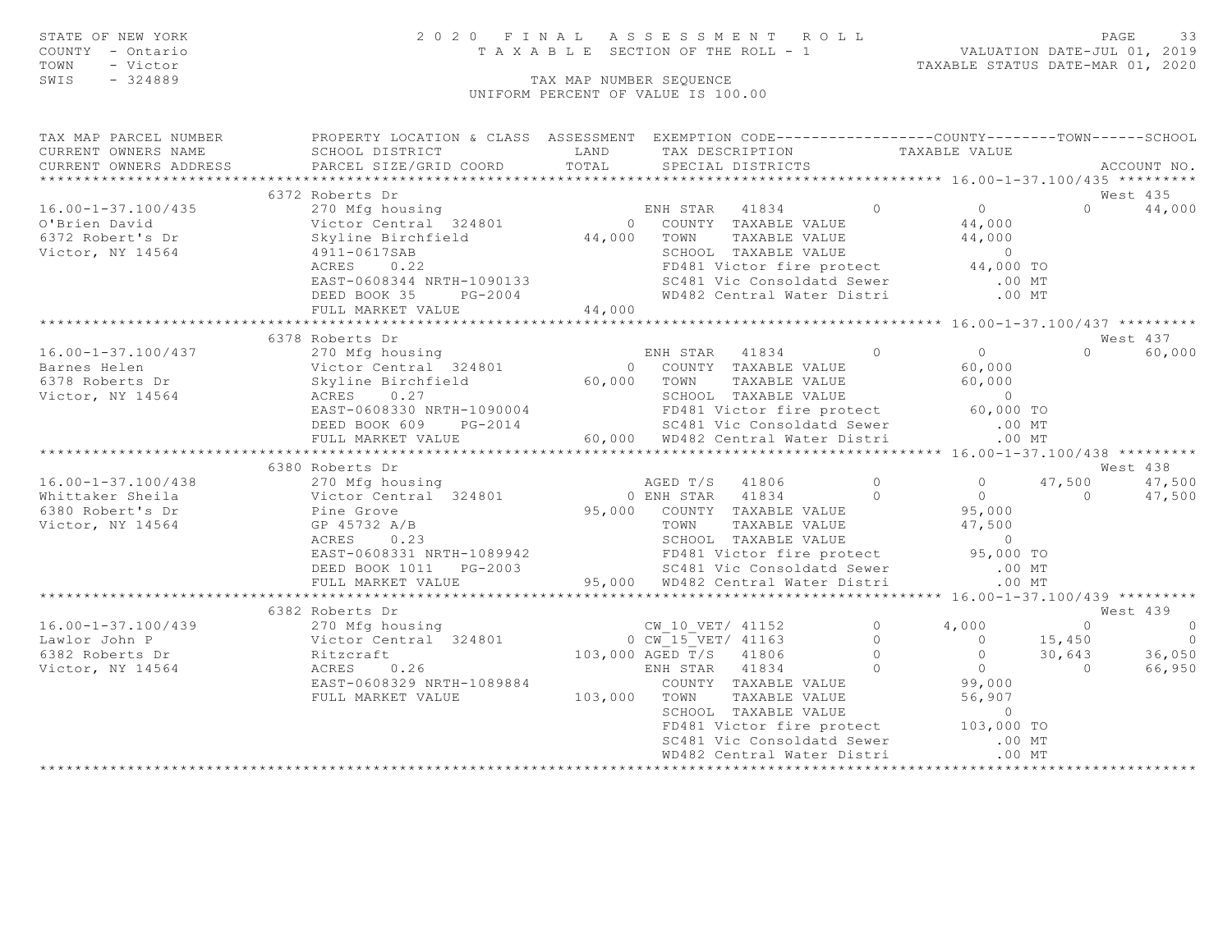|      | STATE OF NEW YORK | 2020 FINAL ASSESSMENT ROLL      |                                  | PAGE                        | 33 |
|------|-------------------|---------------------------------|----------------------------------|-----------------------------|----|
|      | COUNTY - Ontario  | TAXABLE SECTION OF THE ROLL - 1 |                                  | VALUATION DATE-JUL 01, 2019 |    |
| TOWN | - Victor          |                                 | TAXABLE STATUS DATE-MAR 01, 2020 |                             |    |
| SWIS | - 324889          | TAX MAP NUMBER SEOUENCE         |                                  |                             |    |

| TAX MAP PARCEL NUMBER | PROPERTY LOCATION & CLASS ASSESSMENT EXEMPTION CODE---------------COUNTY-------TOWN------SCHOOL                                                                                                                                        |      |                 |               |                   |               |
|-----------------------|----------------------------------------------------------------------------------------------------------------------------------------------------------------------------------------------------------------------------------------|------|-----------------|---------------|-------------------|---------------|
| CURRENT OWNERS NAME   | SCHOOL DISTRICT                                                                                                                                                                                                                        | LAND | TAX DESCRIPTION | TAXABLE VALUE |                   |               |
|                       |                                                                                                                                                                                                                                        |      |                 |               |                   |               |
|                       |                                                                                                                                                                                                                                        |      |                 |               |                   |               |
|                       | 6372 Roberts Dr                                                                                                                                                                                                                        |      |                 |               |                   | West 435      |
|                       | 16.00-1-37.100/435<br>0'Brien David 270 Mfg housing<br>0'Brien David Victor Central 324801 0 COUNTY TAXABLE VALUE 44,000<br>6372 Robert's Dr Skyline Birchfield 44,000 TOWN TAXABLE VALUE 44,000<br>Victor, NY 14564 4911-0617SAB ROR  |      |                 |               |                   | $0 \t 44,000$ |
|                       |                                                                                                                                                                                                                                        |      |                 |               |                   |               |
|                       |                                                                                                                                                                                                                                        |      |                 |               |                   |               |
|                       |                                                                                                                                                                                                                                        |      |                 |               |                   |               |
|                       |                                                                                                                                                                                                                                        |      |                 |               |                   |               |
|                       | EAST-0608344 NRTH-1090133 SC481 Vic Consoldatd Sewer .00 MT                                                                                                                                                                            |      |                 |               |                   |               |
|                       |                                                                                                                                                                                                                                        |      |                 |               |                   |               |
|                       |                                                                                                                                                                                                                                        |      |                 |               |                   |               |
|                       | DEED BOOK 35 PG-2004 WD482 Central Water Distri .00 MT<br>FULL MARKET VALUE 44,000 44,000 FULL MARKET VALUE 44,000                                                                                                                     |      |                 |               |                   |               |
|                       | 6378 Roberts Dr                                                                                                                                                                                                                        |      |                 |               |                   | West 437      |
|                       |                                                                                                                                                                                                                                        |      |                 |               | $\cap$ and $\cap$ | 60,000        |
|                       |                                                                                                                                                                                                                                        |      |                 |               |                   |               |
|                       |                                                                                                                                                                                                                                        |      |                 |               |                   |               |
|                       |                                                                                                                                                                                                                                        |      |                 |               |                   |               |
|                       |                                                                                                                                                                                                                                        |      |                 |               |                   |               |
|                       |                                                                                                                                                                                                                                        |      |                 |               |                   |               |
|                       | 16.00-1-37.100/437 b3/8 Roberts Dr<br>Barnes Helen Victor (Pentral 324801 0 COUNTY TAXABLE VALUE 60,000<br>6378 Roberts Dr<br>Victor, NY 14564 ACRES 0.27 5CHOOL TAXABLE VALUE 60,000<br>EAST-0608330 NRTH-1090004 FD481 Victor fire   |      |                 |               |                   |               |
|                       | *************************                                                                                                                                                                                                              |      |                 |               |                   |               |
|                       | 6380 Roberts Dr                                                                                                                                                                                                                        |      |                 |               |                   | West 438      |
|                       |                                                                                                                                                                                                                                        |      |                 |               |                   |               |
|                       |                                                                                                                                                                                                                                        |      |                 |               |                   |               |
|                       |                                                                                                                                                                                                                                        |      |                 |               |                   |               |
|                       |                                                                                                                                                                                                                                        |      |                 |               |                   |               |
|                       |                                                                                                                                                                                                                                        |      |                 |               |                   |               |
|                       |                                                                                                                                                                                                                                        |      |                 |               |                   |               |
|                       | 16.00-1-37.100/438 b380 Robert's Dr<br>Whittaker Sheila Victor Central 324801 0 ENH STAR 41834 0 0 0 47,500<br>6380 Robert's Dr<br>Victor, NY 14564 GP 457.32 A/B 2023<br>EAST-0608331 NRTH-1089942 FD481 Victor fire protect 95,000 T |      |                 |               |                   |               |
|                       | FULL MARKET VALUE 695,000 WD482 Central Water Distri                                                                                                                                                                                   |      |                 | $.00$ MT      |                   |               |
|                       |                                                                                                                                                                                                                                        |      |                 |               |                   |               |
|                       |                                                                                                                                                                                                                                        |      |                 |               |                   |               |
|                       |                                                                                                                                                                                                                                        |      |                 |               |                   |               |
|                       |                                                                                                                                                                                                                                        |      |                 |               |                   |               |
|                       |                                                                                                                                                                                                                                        |      |                 |               |                   |               |
|                       |                                                                                                                                                                                                                                        |      |                 |               |                   |               |
|                       |                                                                                                                                                                                                                                        |      |                 |               |                   |               |
|                       |                                                                                                                                                                                                                                        |      |                 |               |                   |               |
|                       |                                                                                                                                                                                                                                        |      |                 |               |                   |               |
|                       |                                                                                                                                                                                                                                        |      |                 |               |                   |               |
|                       |                                                                                                                                                                                                                                        |      |                 |               |                   |               |
|                       |                                                                                                                                                                                                                                        |      |                 |               |                   |               |
|                       |                                                                                                                                                                                                                                        |      |                 |               |                   |               |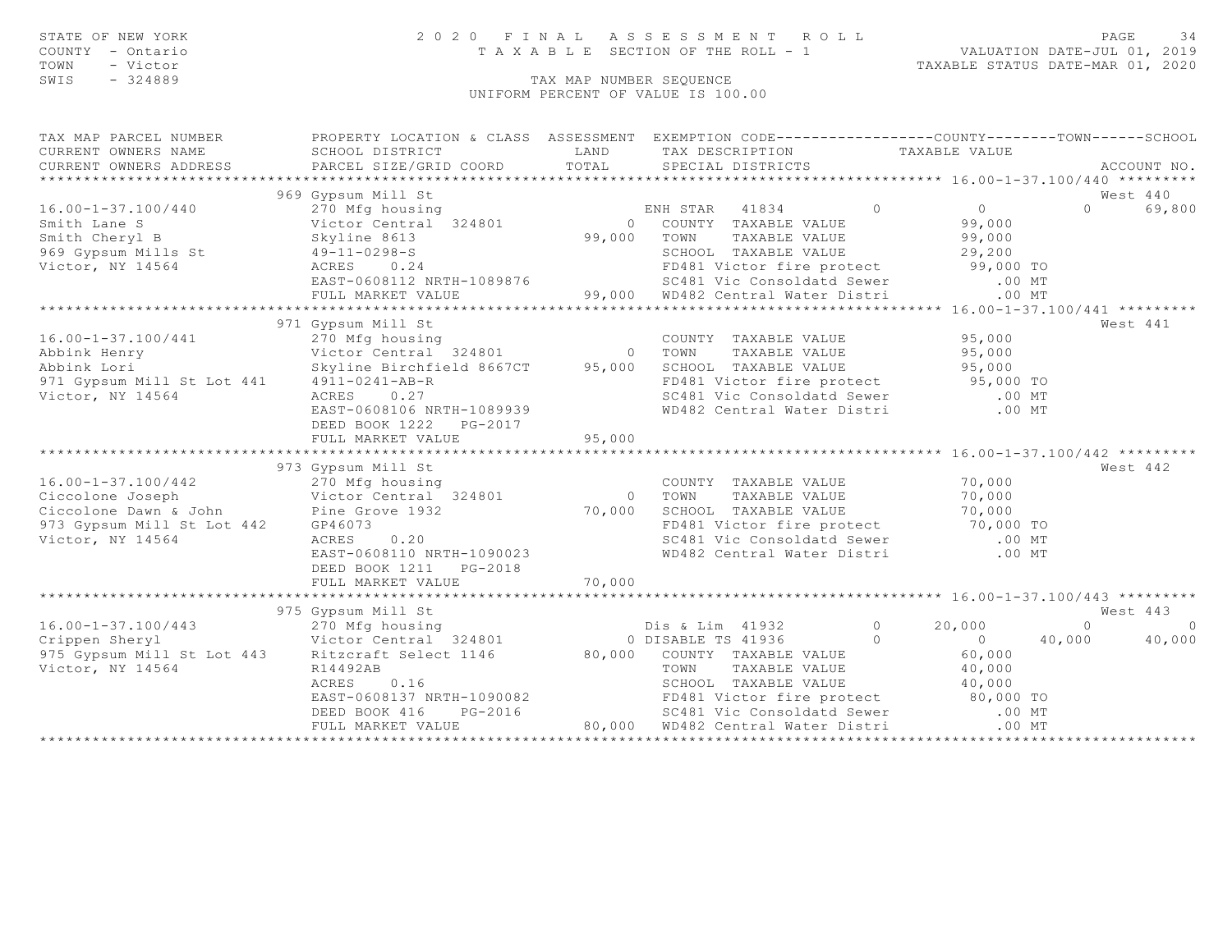| STATE OF NEW YORK | 2020 FINAL ASSESSMENT ROLL            |                                  | PAGE | - 34 |
|-------------------|---------------------------------------|----------------------------------|------|------|
| COUNTY - Ontario  | T A X A B L E SECTION OF THE ROLL - 1 | VALUATION DATE-JUL 01, 2019      |      |      |
| TOWN<br>- Victor  |                                       | TAXABLE STATUS DATE-MAR 01, 2020 |      |      |
| SWIS<br>$-324889$ | TAX MAP NUMBER SEQUENCE               |                                  |      |      |

TAX MAP PARCEL NUMBER PROPERTY LOCATION & CLASS ASSESSMENT EXEMPTION CODE-----------------COUNTY-------TOWN------SCHOOL

| CURRENT OWNERS NAME                     | SCHOOL DISTRICT                                                                                                                                                                                                                     | LAND   | TAX DESCRIPTION                                                          | TAXABLE VALUE        |          |             |
|-----------------------------------------|-------------------------------------------------------------------------------------------------------------------------------------------------------------------------------------------------------------------------------------|--------|--------------------------------------------------------------------------|----------------------|----------|-------------|
| CURRENT OWNERS ADDRESS                  | PARCEL SIZE/GRID COORD                                                                                                                                                                                                              | TOTAL  | SPECIAL DISTRICTS                                                        |                      |          | ACCOUNT NO. |
|                                         |                                                                                                                                                                                                                                     |        |                                                                          |                      |          |             |
|                                         | 969 Gypsum Mill St                                                                                                                                                                                                                  |        |                                                                          |                      |          | West 440    |
|                                         | 16.00-1-37.100/440 270 Mfg housing ENH STAR 41834 0 0<br>Smith Lane S victor Central 324801 0 COUNTY TAXABLE VALUE 99,000<br>Smith Cheryl B Skyline 8613 99,000 TOWN TAXABLE VALUE 99,000<br>Skyline 8613 99,000 TOWN TAXABLE VALUE |        |                                                                          | $\overline{0}$       | $\Omega$ | 69,800      |
|                                         |                                                                                                                                                                                                                                     |        |                                                                          |                      |          |             |
|                                         |                                                                                                                                                                                                                                     |        |                                                                          |                      |          |             |
| 969 Gypsum Mills St<br>Victor, NY 14564 | 49-11-0298-S<br>ACRES 0.24                                                                                                                                                                                                          |        | SCHOOL TAXABLE VALUE                                                     | 29,200               |          |             |
|                                         |                                                                                                                                                                                                                                     |        | FD481 Victor fire protect 99,000 TO<br>SC481 Vic Consoldatd Sewer .00 MT | $99,000$ TO          |          |             |
|                                         |                                                                                                                                                                                                                                     |        |                                                                          |                      |          |             |
|                                         | EAST-0608112 NRTH-1089876<br>EAST-0608112 NRTH-1089876 SC481 Vic Consoldatd Sewer .00 MT<br>FULL MARKET VALUE 99,000 WD482 Central Water Distri .00 MT                                                                              |        |                                                                          |                      |          |             |
|                                         |                                                                                                                                                                                                                                     |        |                                                                          |                      |          |             |
|                                         | 971 Gypsum Mill St                                                                                                                                                                                                                  |        |                                                                          |                      |          | West 441    |
| 16.00-1-37.100/441                      | 270 Mfg housing                                                                                                                                                                                                                     |        | COUNTY TAXABLE VALUE 95,000                                              |                      |          |             |
| Abbink Henry                            | Victor Central 324801 0 TOWN                                                                                                                                                                                                        |        | TAXABLE VALUE 95,000                                                     |                      |          |             |
|                                         |                                                                                                                                                                                                                                     |        |                                                                          |                      |          |             |
|                                         |                                                                                                                                                                                                                                     |        |                                                                          |                      |          |             |
|                                         |                                                                                                                                                                                                                                     |        |                                                                          |                      |          |             |
|                                         | EAST-0608106 NRTH-1089939                                                                                                                                                                                                           |        | WD482 Central Water Distri .00 MT                                        |                      |          |             |
|                                         | DEED BOOK 1222    PG-2017                                                                                                                                                                                                           |        |                                                                          |                      |          |             |
|                                         | FULL MARKET VALUE                                                                                                                                                                                                                   | 95,000 |                                                                          |                      |          |             |
|                                         |                                                                                                                                                                                                                                     |        |                                                                          |                      |          |             |
|                                         | 973 Gypsum Mill St                                                                                                                                                                                                                  |        |                                                                          |                      |          | West 442    |
|                                         |                                                                                                                                                                                                                                     |        | COUNTY TAXABLE VALUE                                                     | 70,000               |          |             |
|                                         |                                                                                                                                                                                                                                     | 0 TOWN | TAXABLE VALUE                                                            | 70,000               |          |             |
|                                         | Ciccolone Dawn & John Pine Grove 1932<br>Pine Grove 1932 70,000 SCHOOL TAXABLE VALUE<br>973 Gypsum Mill St Lot 442 GP46073                                                                                                          |        |                                                                          | 70,000               |          |             |
|                                         |                                                                                                                                                                                                                                     |        | FD481 Victor fire protect 70,000 TO                                      |                      |          |             |
| Victor, NY 14564                        | ACRES<br>0.20                                                                                                                                                                                                                       |        | SC481 Vic Consoldatd Sewer .00 MT<br>WD482 Central Water Distri .00 MT   |                      |          |             |
|                                         | EAST-0608110 NRTH-1090023                                                                                                                                                                                                           |        |                                                                          |                      |          |             |
|                                         |                                                                                                                                                                                                                                     |        |                                                                          |                      |          |             |
|                                         | FULL MARKET VALUE                                                                                                                                                                                                                   | 70,000 |                                                                          |                      |          |             |
|                                         |                                                                                                                                                                                                                                     |        |                                                                          |                      |          |             |
|                                         | 975 Gypsum Mill St                                                                                                                                                                                                                  |        |                                                                          |                      |          | West 443    |
|                                         |                                                                                                                                                                                                                                     |        |                                                                          | 20,000               | $\Omega$ | $\sim$ 0    |
|                                         |                                                                                                                                                                                                                                     |        |                                                                          | $\overline{0}$       | 40,000   | 40,000      |
|                                         | 975 Gypsum Mill St Lot 443 Ritzcraft Select 1146 80,000 COUNTY TAXABLE VALUE                                                                                                                                                        |        |                                                                          | $60,000$<br>$40,000$ |          |             |
| Victor, NY 14564                        | R14492AB                                                                                                                                                                                                                            |        | TOWN<br>TAXABLE VALUE                                                    |                      |          |             |
|                                         | 0.16<br>ACRES                                                                                                                                                                                                                       |        | SCHOOL TAXABLE VALUE 40,000                                              |                      |          |             |
|                                         |                                                                                                                                                                                                                                     |        |                                                                          |                      |          |             |
|                                         | EAST-0608137 NRTH-1090082 FD481 Victor fire protect 80,000 TO<br>DEED BOOK 416 PG-2016 SC481 Vic Consoldatd Sewer .00 MT<br>FULL MARKET VALUE 80,000 WD482 Central Water Distri .00 MT                                              |        |                                                                          |                      |          |             |
|                                         |                                                                                                                                                                                                                                     |        |                                                                          |                      |          |             |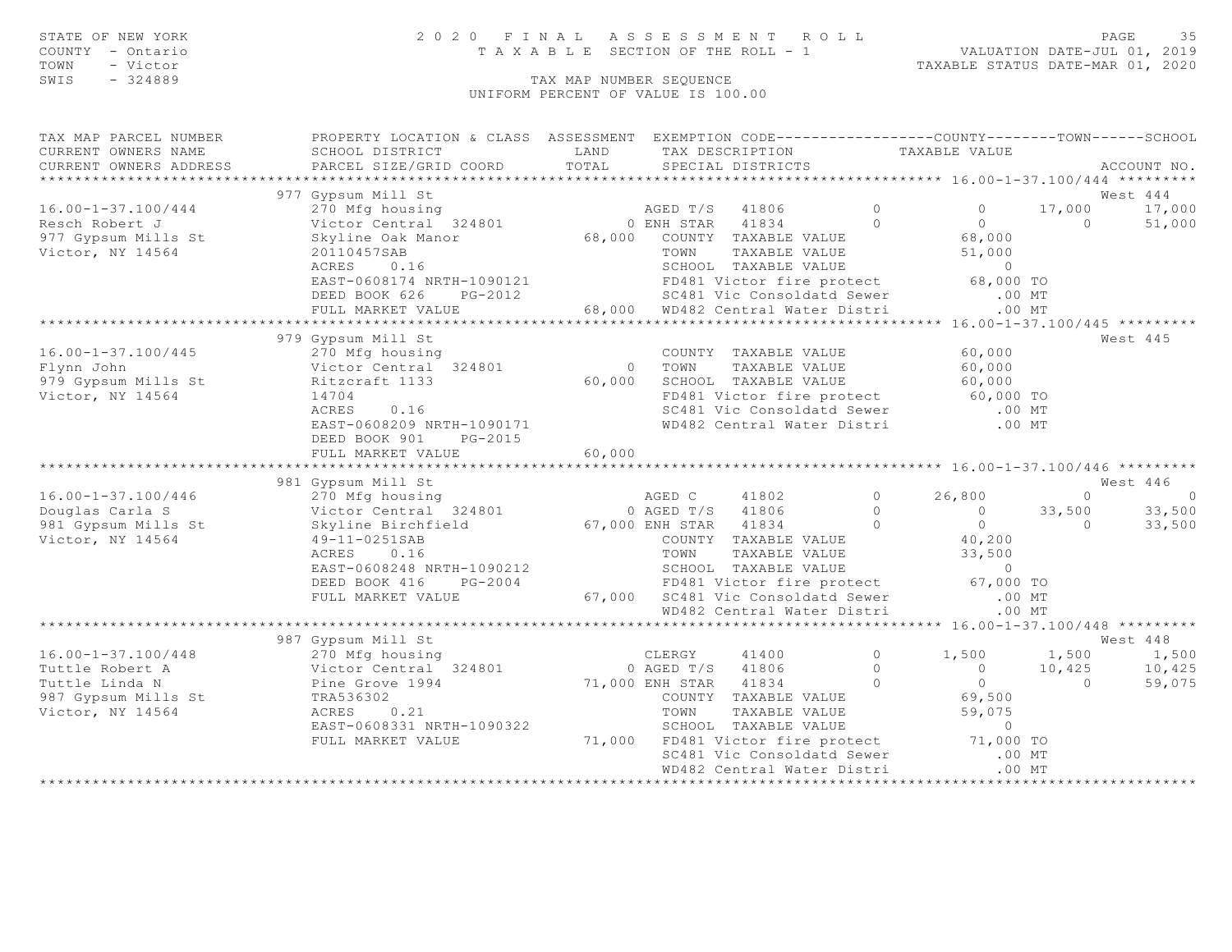| STATE OF NEW YORK | 2020 FINAL ASSESSMENT ROLL      | PAGE                             | 35 |
|-------------------|---------------------------------|----------------------------------|----|
| COUNTY - Ontario  | TAXABLE SECTION OF THE ROLL - 1 | VALUATION DATE-JUL 01, 2019      |    |
| TOWN<br>- Victor  |                                 | TAXABLE STATUS DATE-MAR 01, 2020 |    |
| SWIS<br>- 324889  | TAX MAP NUMBER SEQUENCE         |                                  |    |

TAX MAP PARCEL NUMBER PROPERTY LOCATION & CLASS ASSESSMENT EXEMPTION CODE-----------------COUNTY-------TOWN------SCHOOL

| CURRENT OWNERS NAME                                                         | SCHOOL DISTRICT                                                  | LAND           | TAX DESCRIPTION                                                 |                   | TAXABLE VALUE           |                  |                          |
|-----------------------------------------------------------------------------|------------------------------------------------------------------|----------------|-----------------------------------------------------------------|-------------------|-------------------------|------------------|--------------------------|
| CURRENT OWNERS ADDRESS                                                      | PARCEL SIZE/GRID COORD                                           | TOTAL          | SPECIAL DISTRICTS                                               |                   |                         |                  | ACCOUNT NO.              |
|                                                                             |                                                                  |                |                                                                 |                   |                         |                  |                          |
|                                                                             | 977 Gypsum Mill St                                               |                |                                                                 |                   |                         |                  | West 444                 |
| 16.00-1-37.100/444                                                          | 270 Mfg housing                                                  |                | AGED T/S 41806                                                  | $0 \qquad \qquad$ | $\circ$                 | 17,000           | 17,000                   |
| Resch Robert J                                                              | Victor Central 324801                                            |                | 41834<br>0 ENH STAR                                             | $\Omega$          | $\Omega$                | $\cap$           | 51,000                   |
| ncson nosore o<br>977 Gypsum Mills St                     Skyline Oak Manor |                                                                  | 68,000         | COUNTY TAXABLE VALUE                                            |                   | 68,000                  |                  |                          |
| Victor, NY 14564                                                            | 20110457SAB                                                      |                | TOWN<br>TAXABLE VALUE                                           |                   | 51,000                  |                  |                          |
|                                                                             | ACRES<br>0.16                                                    |                | SCHOOL TAXABLE VALUE                                            |                   | $\bigcirc$              |                  |                          |
|                                                                             | EAST-0608174 NRTH-1090121                                        |                | FD481 Victor fire protect 68,000 TO                             |                   |                         |                  |                          |
|                                                                             |                                                                  |                |                                                                 |                   | .00 MT                  |                  |                          |
|                                                                             |                                                                  |                |                                                                 |                   |                         |                  |                          |
|                                                                             |                                                                  |                |                                                                 |                   |                         |                  |                          |
|                                                                             | 979 Gypsum Mill St                                               |                |                                                                 |                   |                         |                  | West 445                 |
| 16.00-1-37.100/445                                                          | 270 Mfg housing                                                  |                | COUNTY TAXABLE VALUE                                            |                   | 60,000                  |                  |                          |
| Flynn John                                                                  | Victor Central 324801<br>Nictor Central 324801<br>Ritzcraft 1133 | $\overline{0}$ | TOWN<br>TAXABLE VALUE                                           |                   | 60,000                  |                  |                          |
| 979 Gypsum Mills St                                                         |                                                                  | 60,000         | SCHOOL TAXABLE VALUE                                            |                   | 60,000                  |                  |                          |
| Victor, NY 14564                                                            | 14704                                                            |                | FD481 Victor fire protect                                       |                   | 60,000 TO               |                  |                          |
|                                                                             | ACRES<br>0.16                                                    |                |                                                                 |                   |                         |                  |                          |
|                                                                             | EAST-0608209 NRTH-1090171                                        |                | SC481 Vic Consoldatd Sewer .00 MT<br>WD482 Central Water Distri |                   | .00MT                   |                  |                          |
|                                                                             |                                                                  |                |                                                                 |                   |                         |                  |                          |
|                                                                             | DEED BOOK 901<br>PG-2015                                         | 60,000         |                                                                 |                   |                         |                  |                          |
|                                                                             | FULL MARKET VALUE                                                |                |                                                                 |                   |                         |                  |                          |
|                                                                             | 981 Gypsum Mill St                                               |                |                                                                 |                   |                         |                  | West 446                 |
| 16.00-1-37.100/446                                                          |                                                                  |                | AGED C 41802                                                    | $\circ$           | 26,800                  | $\Omega$         |                          |
|                                                                             | 270 Mfg housing<br>Victor Central 324801                         |                | $0$ AGED T/S $41806$                                            | $\circ$           | $\overline{0}$          |                  | $\overline{0}$<br>33,500 |
| Douglas Carla S<br>981 Gypsum Mills St Skyline Birchfield                   |                                                                  |                |                                                                 | $\Omega$          | $\overline{0}$          | 33,500<br>$\cap$ |                          |
|                                                                             |                                                                  |                | 67,000 ENH STAR 41834                                           |                   |                         |                  | 33,500                   |
| Victor, NY 14564                                                            | 49-11-0251SAB                                                    |                | COUNTY TAXABLE VALUE                                            |                   | $\frac{40,200}{33,500}$ |                  |                          |
|                                                                             | ACRES 0.16                                                       |                | TOWN<br>TAXABLE VALUE                                           |                   |                         |                  |                          |
|                                                                             | EAST-0608248 NRTH-1090212                                        |                | SCHOOL TAXABLE VALUE<br>FD481 Victor fire protect 67,000 TO     |                   | $\overline{0}$          |                  |                          |
|                                                                             | DEED BOOK 416<br>$PG-2004$                                       |                |                                                                 |                   |                         |                  |                          |
|                                                                             | FULL MARKET VALUE                                                |                | 67,000 SC481 Vic Consoldatd Sewer                               |                   | .00 MT                  |                  |                          |
|                                                                             |                                                                  |                | WD482 Central Water Distri                                      |                   | .00MT                   |                  |                          |
|                                                                             |                                                                  |                |                                                                 |                   |                         |                  |                          |
|                                                                             | 987 Gypsum Mill St                                               |                |                                                                 |                   |                         |                  | West 448                 |
| 16.00-1-37.100/448                                                          | 270 Mfg housing<br>Victor Central 324801                         |                | 41400<br>CLERGY                                                 | $\circ$           | $1,500$ $1,500$         |                  | 1,500                    |
| Tuttle Robert A                                                             |                                                                  |                | $0$ AGED T/S 41806                                              | $\circ$           | $\overline{0}$          | 10,425           | 10,425                   |
| Tuttle Linda N                                                              | Pine Grove 1994                                                  |                | 71,000 ENH STAR 41834                                           | $\Omega$          | $\bigcirc$              | $\bigcap$        | 59,075                   |
| 987 Gypsum Mills St                                                         | TRA536302<br>ACRES 0.21                                          |                | COUNTY TAXABLE VALUE                                            |                   | 69,500                  |                  |                          |
| Victor, NY 14564                                                            |                                                                  |                | TOWN<br>TAXABLE VALUE                                           |                   | 59,075                  |                  |                          |
|                                                                             | EAST-0608331 NRTH-1090322                                        |                | SCHOOL TAXABLE VALUE                                            |                   | $\overline{0}$          |                  |                          |
|                                                                             | FULL MARKET VALUE                                                |                | 71,000 FD481 Victor fire protect                                |                   | 71,000 TO<br>.00 MT     |                  |                          |
|                                                                             |                                                                  |                | SC481 Vic Consoldatd Sewer                                      |                   |                         |                  |                          |
|                                                                             |                                                                  |                |                                                                 |                   |                         |                  |                          |
|                                                                             |                                                                  |                | WD482 Central Water Distri                                      |                   | $.00$ MT                |                  |                          |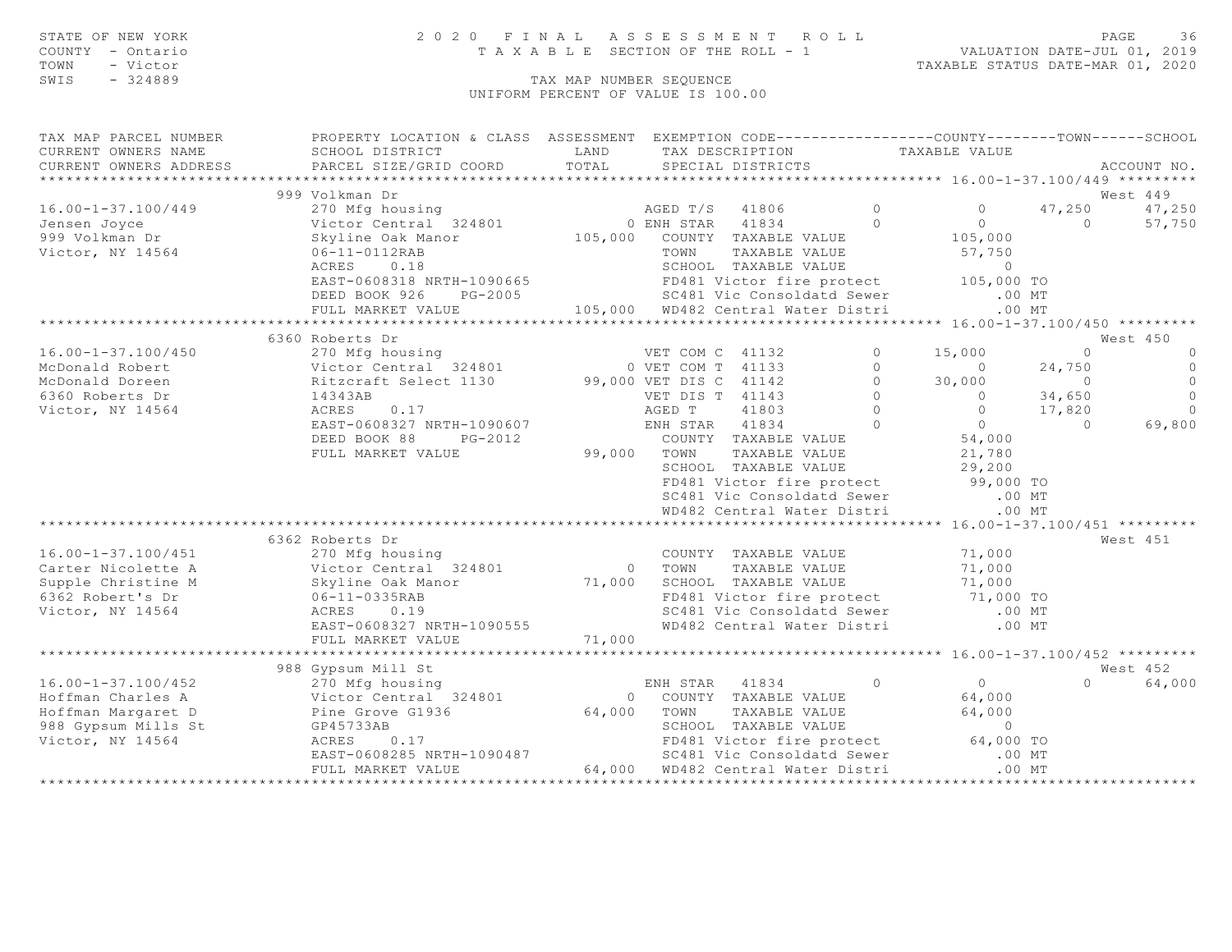|      | STATE OF NEW YORK |  | 2020 FINAL ASSESSMENT ROLL            |                                  | PAGE | 36 |
|------|-------------------|--|---------------------------------------|----------------------------------|------|----|
|      | COUNTY - Ontario  |  | T A X A B L E SECTION OF THE ROLL - 1 | VALUATION DATE-JUL 01, 2019      |      |    |
| TOWN | - Victor          |  |                                       | TAXABLE STATUS DATE-MAR 01, 2020 |      |    |
| SWIS | $-324889$         |  | TAX MAP NUMBER SEQUENCE               |                                  |      |    |

|  | UNIFORM PERCENT OF VALUE IS 100.00 |  |  |
|--|------------------------------------|--|--|

| TAX MAP PARCEL NUMBER<br>CURRENT OWNERS NAME<br>CURRENT OWNERS ADDRESS                                                                                                                                          | PROPERTY LOCATION & CLASS ASSESSMENT EXEMPTION CODE---------------COUNTY-------TOWN------SCHOOL<br>SCHOOL DISTRICT                                   | <b>LAND</b> | TAX DESCRIPTION                                                          |                | TAXABLE VALUE           |                |          |
|-----------------------------------------------------------------------------------------------------------------------------------------------------------------------------------------------------------------|------------------------------------------------------------------------------------------------------------------------------------------------------|-------------|--------------------------------------------------------------------------|----------------|-------------------------|----------------|----------|
| CONNERT OWNERS ADDRESS FARCEL SIZE/GRID COORD TOTAL SPECIAL DISTRICTS FARENT OWNERS ADDRESS FARCEL SIZE/GRID COORD TOTAL SEECIAL DISTRICTS FARENT OWNERS ADDRESS FARCEL SIZE/GRID COORD TOTAL SEECIAL DISTRICTS |                                                                                                                                                      |             |                                                                          |                |                         |                |          |
|                                                                                                                                                                                                                 | 999 Volkman Dr                                                                                                                                       |             |                                                                          |                |                         |                | West 449 |
| $16.00 - 1 - 37.100 / 449$                                                                                                                                                                                      |                                                                                                                                                      |             |                                                                          | $\overline{0}$ | $\circ$                 | 47,250         | 47,250   |
| Jensen Joyce                                                                                                                                                                                                    | 270 Mfg housing<br>Victor Central 324801 10 BNH STAR 41834                                                                                           |             | 0 ENH STAR 41834 0                                                       |                | $\Omega$                | $\Omega$       | 57,750   |
| 999 Volkman Dr                                                                                                                                                                                                  |                                                                                                                                                      |             |                                                                          |                | 105,000                 |                |          |
| Victor, NY 14564                                                                                                                                                                                                | 06-11-0112RAB                                                                                                                                        |             | TOWN                                                                     | TAXABLE VALUE  | 57,750                  |                |          |
|                                                                                                                                                                                                                 | 0.18<br>ACRES                                                                                                                                        |             | SCHOOL TAXABLE VALUE                                                     |                | $\overline{0}$          |                |          |
|                                                                                                                                                                                                                 | EAST-0608318 NRTH-1090665                                                                                                                            |             | FD481 Victor fire protect 105,000 TO                                     |                |                         |                |          |
|                                                                                                                                                                                                                 | DEED BOOK 926<br>PG-2005                                                                                                                             |             |                                                                          |                | $.00$ MT                |                |          |
|                                                                                                                                                                                                                 | FULL MARKET VALUE                                                                                                                                    |             | 005 SC481 Vic Consoldatd Sewer<br>105,000 WD482 Central Water Distri     |                | .00MT                   |                |          |
|                                                                                                                                                                                                                 |                                                                                                                                                      |             |                                                                          |                |                         |                |          |
|                                                                                                                                                                                                                 | 30 270 Mfg housing<br>VET COM C 41132<br>Victor Central 324801 0 VET COM T 41133<br>Ritzcraft Select 1130 99,000 VET DIS C 41142<br>14343AB<br>ACTE: |             |                                                                          |                |                         |                | West 450 |
| $16.00 - 1 - 37.100 / 450$                                                                                                                                                                                      |                                                                                                                                                      |             |                                                                          | $\circ$        | 15,000                  | $\Omega$       | $\circ$  |
| McDonald Robert                                                                                                                                                                                                 |                                                                                                                                                      |             |                                                                          | $\Omega$       | $\sim$ 0                | 24,750         | $\circ$  |
| McDonald Doreen                                                                                                                                                                                                 |                                                                                                                                                      |             |                                                                          | $\Omega$       | 30,000                  | $\overline{0}$ | $\circ$  |
| 6360 Roberts Dr                                                                                                                                                                                                 |                                                                                                                                                      |             |                                                                          | $\Omega$       | $\overline{a}$          | 34,650         | $\Omega$ |
| Victor, NY 14564                                                                                                                                                                                                | 0.17<br>ACRES                                                                                                                                        |             | AGED T<br>41803                                                          | $\circ$        | $\overline{0}$          | 17,820         | $\Omega$ |
|                                                                                                                                                                                                                 | EAST-0608327 NRTH-1090607                                                                                                                            |             | ENH STAR 41834                                                           | $\overline{0}$ | $0$<br>54,000<br>21,780 | $\cap$         | 69,800   |
|                                                                                                                                                                                                                 | DEED BOOK 88<br>PG-2012                                                                                                                              |             | COUNTY TAXABLE VALUE                                                     |                |                         |                |          |
|                                                                                                                                                                                                                 | FULL MARKET VALUE                                                                                                                                    | 99,000 TOWN | TAXABLE VALUE                                                            |                |                         |                |          |
|                                                                                                                                                                                                                 |                                                                                                                                                      |             | SCHOOL TAXABLE VALUE                                                     |                | 29,200                  |                |          |
|                                                                                                                                                                                                                 |                                                                                                                                                      |             | FD481 Victor fire protect 99,000 TO<br>SC481 Vic Consoldatd Sewer .00 MT |                |                         |                |          |
|                                                                                                                                                                                                                 |                                                                                                                                                      |             |                                                                          |                |                         |                |          |
|                                                                                                                                                                                                                 |                                                                                                                                                      |             | WD482 Central Water Distri                                               |                | $.00$ MT                |                |          |
|                                                                                                                                                                                                                 |                                                                                                                                                      |             |                                                                          |                |                         |                |          |
|                                                                                                                                                                                                                 | 6362 Roberts Dr                                                                                                                                      |             |                                                                          |                |                         |                | West 451 |
| 16.00-1-37.100/451                                                                                                                                                                                              | 270 Mfg housing<br>Victor Central 324801                                                                                                             |             | COUNTY TAXABLE VALUE                                                     |                | 71,000<br>71,000        |                |          |
| Carter Nicolette A                                                                                                                                                                                              |                                                                                                                                                      |             | TAXABLE VALUE                                                            |                |                         |                |          |
|                                                                                                                                                                                                                 | Skyline Oak Manor 71,000                                                                                                                             |             | SCHOOL TAXABLE VALUE 71,000                                              |                |                         |                |          |
| Supple Christine M<br>Supple Christine M<br>6362 Robert's Dr<br>Victor, NY 14564<br>Nictor, NY 14564<br>ACRES 0.19                                                                                              |                                                                                                                                                      |             | FD481 Victor fire protect 71,000 TO<br>SC481 Vic Consoldatd Sewer .00 MT |                |                         |                |          |
|                                                                                                                                                                                                                 |                                                                                                                                                      |             | WD482 Central Water Distri .00 MT                                        |                |                         |                |          |
|                                                                                                                                                                                                                 | EAST-0608327 NRTH-1090555                                                                                                                            | 71,000      |                                                                          |                |                         |                |          |
|                                                                                                                                                                                                                 | FULL MARKET VALUE                                                                                                                                    |             |                                                                          |                |                         |                |          |
|                                                                                                                                                                                                                 | 988 Gypsum Mill St                                                                                                                                   |             |                                                                          |                |                         |                | West 452 |
| $16.00 - 1 - 37.100 / 452$                                                                                                                                                                                      | 270 Mfg housing                                                                                                                                      |             | ENH STAR 41834 0                                                         |                | $\overline{0}$          | $\cap$         | 64,000   |
| Hoffman Charles A                                                                                                                                                                                               | Victor Central 324801                                                                                                                                |             | 0 COUNTY TAXABLE VALUE                                                   |                | 64,000                  |                |          |
| Hoffman Margaret D                                                                                                                                                                                              |                                                                                                                                                      |             | 64,000 TOWN                                                              |                | 64,000                  |                |          |
| 988 Gypsum Mills St                                                                                                                                                                                             | Pine Grove G1936<br>GP45733AB                                                                                                                        |             | TOWN      TAXABLE VALUE<br>SCHOOL   TAXABLE VALUE                        |                | $\overline{0}$          |                |          |
| Victor, NY 14564                                                                                                                                                                                                | 0.17<br>ACRES                                                                                                                                        |             | FD481 Victor fire protect 64,000 TO                                      |                |                         |                |          |
|                                                                                                                                                                                                                 | EAST-0608285 NRTH-1090487                                                                                                                            |             | SC481 Vic Consoldatd Sewer                                               |                | $.00$ MT                |                |          |
|                                                                                                                                                                                                                 | FULL MARKET VALUE                                                                                                                                    | 64,000      | WD482 Central Water Distri                                               |                | .00MT                   |                |          |
|                                                                                                                                                                                                                 |                                                                                                                                                      |             |                                                                          |                |                         |                |          |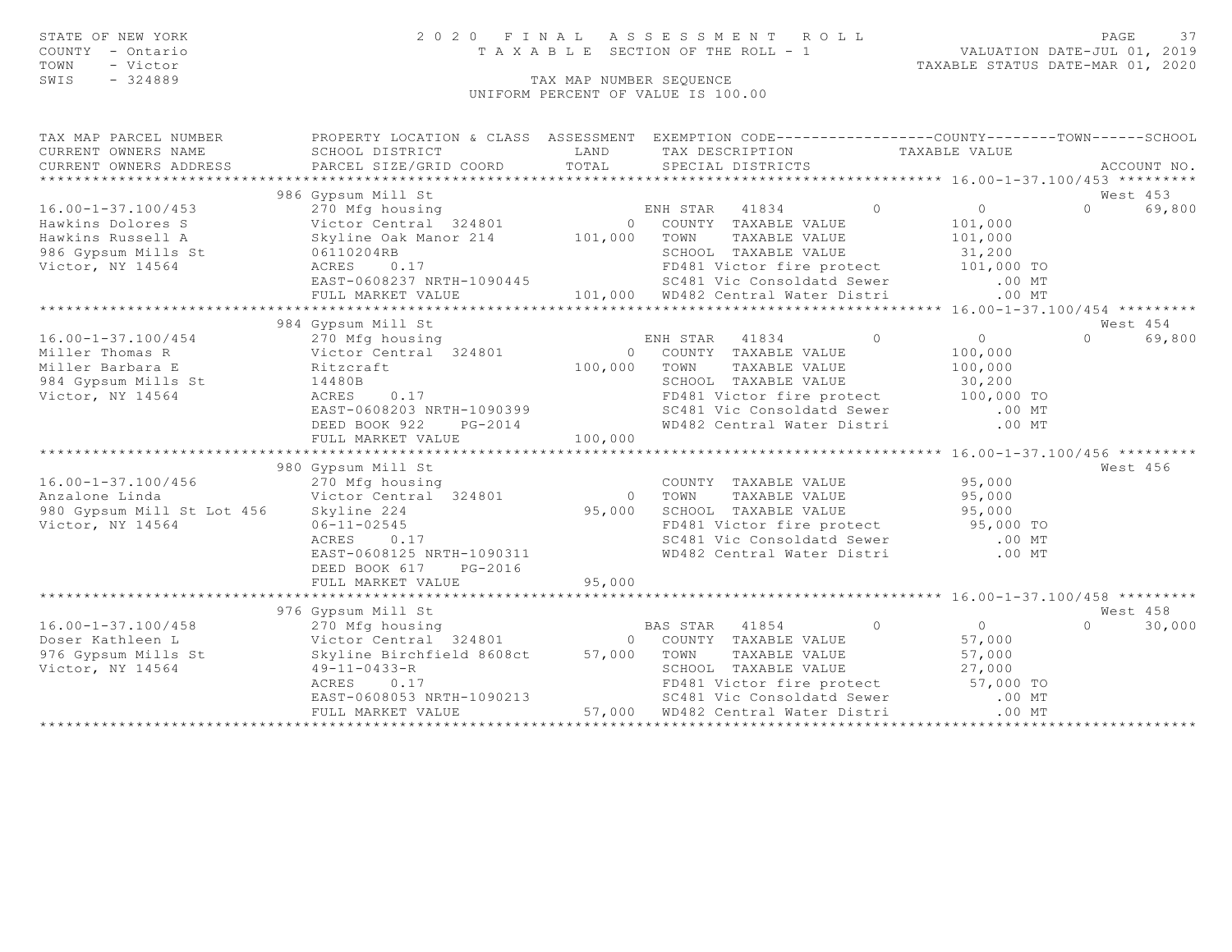| STATE OF NEW YORK<br>COUNTY<br>- Ontario<br>TOWN<br>- Victor<br>$-324889$<br>SWIS | 2020 FINAL ASSESSMENT ROLL                     | T A X A B L E SECTION OF THE ROLL - 1<br>TAX MAP NUMBER SEOUENCE<br>UNIFORM PERCENT OF VALUE IS 100.00 |          |                                                              |         | VALUATION DATE-JUL 01, 2019<br>TAXABLE STATUS DATE-MAR 01, 2020 | PAGE     | 37          |
|-----------------------------------------------------------------------------------|------------------------------------------------|--------------------------------------------------------------------------------------------------------|----------|--------------------------------------------------------------|---------|-----------------------------------------------------------------|----------|-------------|
|                                                                                   |                                                |                                                                                                        |          |                                                              |         |                                                                 |          |             |
|                                                                                   |                                                |                                                                                                        |          |                                                              |         |                                                                 |          |             |
| TAX MAP PARCEL NUMBER                                                             | PROPERTY LOCATION & CLASS                      | ASSESSMENT                                                                                             |          | EXEMPTION CODE-----------------COUNTY-------TOWN------SCHOOL |         |                                                                 |          |             |
| CURRENT OWNERS NAME                                                               | SCHOOL DISTRICT                                | LAND                                                                                                   |          | TAX DESCRIPTION                                              |         | TAXABLE VALUE                                                   |          |             |
| CURRENT OWNERS ADDRESS                                                            | PARCEL SIZE/GRID COORD TOTAL SPECIAL DISTRICTS |                                                                                                        |          |                                                              |         |                                                                 |          | ACCOUNT NO. |
|                                                                                   |                                                |                                                                                                        |          |                                                              |         |                                                                 |          |             |
|                                                                                   | 986 Gypsum Mill St                             |                                                                                                        |          |                                                              |         |                                                                 | West 453 |             |
| $16.00 - 1 - 37.100 / 453$                                                        | 270 Mfg housing                                |                                                                                                        | ENH STAR | 41834                                                        | $\circ$ | $\circ$                                                         | $\circ$  | 69,800      |
| Hawkins Dolores S                                                                 | Victor Central 324801                          | $\circ$                                                                                                | COUNTY   | TAXABLE VALUE                                                |         | 101,000                                                         |          |             |
| Hawkins Russell A                                                                 | Skyline Oak Manor 214                          | 101,000                                                                                                | TOWN     | TAXABLE VALUE                                                |         | 101,000                                                         |          |             |
| 986 Gypsum Mills St                                                               | 06110204RB                                     |                                                                                                        | SCHOOL   | TAXABLE VALUE                                                |         | 31,200                                                          |          |             |
| Victor, NY 14564                                                                  | 0.17<br>ACRES                                  |                                                                                                        |          | FD481 Victor fire protect                                    |         | 101,000 TO                                                      |          |             |

EAST-0608237 NRTH-1090445 SC481 Vic Consoldatd Sewer .00 MT

|                            | FULL MARKET VALUE         |          | 101,000 WD482 Central Water Distri                         | .00MT          |                    |
|----------------------------|---------------------------|----------|------------------------------------------------------------|----------------|--------------------|
|                            |                           |          |                                                            |                |                    |
|                            | 984 Gypsum Mill St        |          |                                                            |                | West 454           |
| 16.00-1-37.100/454         | 270 Mfg housing           |          | $\circ$<br>ENH STAR<br>41834                               | $\Omega$       | 69,800<br>$\Omega$ |
| Miller Thomas R            | Victor Central 324801     | $\Omega$ | COUNTY TAXABLE VALUE                                       | 100,000        |                    |
| Miller Barbara E           | Ritzcraft                 | 100,000  | TAXABLE VALUE<br>TOWN                                      | 100,000        |                    |
| 984 Gypsum Mills St        | 14480B                    |          | SCHOOL TAXABLE VALUE                                       | 30,200         |                    |
| Victor, NY 14564           | 0.17<br>ACRES             |          | FD481 Victor fire protect                                  | 100,000 TO     |                    |
|                            | EAST-0608203 NRTH-1090399 |          | SC481 Vic Consoldatd Sewer                                 | $.00$ MT       |                    |
|                            | DEED BOOK 922<br>PG-2014  |          | WD482 Central Water Distri                                 | $.00$ MT       |                    |
|                            | FULL MARKET VALUE         | 100,000  |                                                            |                |                    |
|                            |                           |          | ***********************    16.00-1-37.100/456    ********* |                |                    |
|                            | 980 Gypsum Mill St        |          |                                                            |                | West 456           |
| 16.00-1-37.100/456         | 270 Mfg housing           |          | COUNTY TAXABLE VALUE                                       | 95,000         |                    |
| Anzalone Linda             | Victor Central 324801     | $\Omega$ | TAXABLE VALUE<br>TOWN                                      | 95,000         |                    |
| 980 Gypsum Mill St Lot 456 | Skyline 224               | 95,000   | SCHOOL TAXABLE VALUE                                       | 95,000         |                    |
| Victor, NY 14564           | $06 - 11 - 02545$         |          | FD481 Victor fire protect                                  | 95,000 TO      |                    |
|                            | ACRES 0.17                |          | SC481 Vic Consoldatd Sewer                                 | $.00$ MT       |                    |
|                            | EAST-0608125 NRTH-1090311 |          | WD482 Central Water Distri                                 | $.00$ MT       |                    |
|                            | DEED BOOK 617<br>PG-2016  |          |                                                            |                |                    |
|                            | FULL MARKET VALUE         | 95,000   |                                                            |                |                    |
|                            |                           |          |                                                            |                |                    |
|                            | 976 Gypsum Mill St        |          |                                                            |                | West 458           |
| 16.00-1-37.100/458         | 270 Mfg housing           |          | BAS STAR 41854<br>$\circ$                                  | $\overline{0}$ | 30,000<br>$\circ$  |
| Doser Kathleen L           | Victor Central 324801     |          | 0 COUNTY<br>TAXABLE VALUE                                  | 57,000         |                    |
| 976 Gypsum Mills St        | Skyline Birchfield 8608ct | 57,000   | TOWN<br>TAXABLE VALUE                                      | 57,000         |                    |
| Victor, NY 14564           | $49 - 11 - 0433 - R$      |          | SCHOOL<br>TAXABLE VALUE                                    | 27,000         |                    |
|                            | 0.17<br>ACRES             |          | FD481 Victor fire protect 57,000 TO                        |                |                    |
|                            | EAST-0608053 NRTH-1090213 |          | SC481 Vic Consoldatd Sewer                                 | $.00$ MT       |                    |
|                            | FULL MARKET VALUE         |          | 57,000 WD482 Central Water Distri                          | $.00$ MT       |                    |
|                            |                           |          |                                                            |                |                    |
|                            |                           |          |                                                            |                |                    |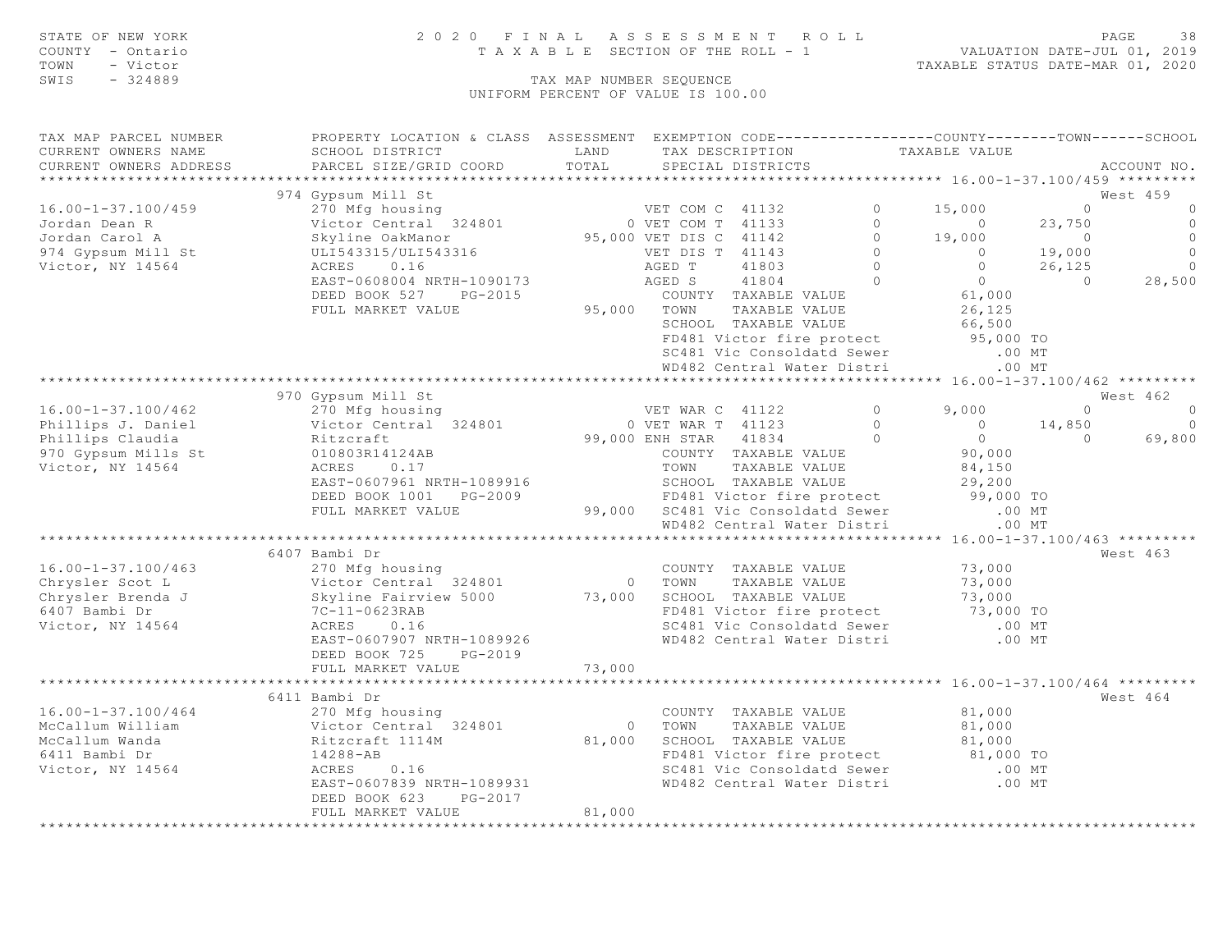| STATE OF NEW YORK | 2020 FINAL ASSESSMENT ROLL      | PAGE                             | 38 |
|-------------------|---------------------------------|----------------------------------|----|
| COUNTY - Ontario  | TAXABLE SECTION OF THE ROLL - 1 | VALUATION DATE-JUL 01, 2019      |    |
| TOWN<br>– Victor  |                                 | TAXABLE STATUS DATE-MAR 01, 2020 |    |
| SWIS<br>$-324889$ | TAX MAP NUMBER SEOUENCE         |                                  |    |

TAX MAP PARCEL NUMBER PROPERTY LOCATION & CLASS ASSESSMENT EXEMPTION CODE---------------COUNTY-------TOWN------SCHOOL

| TOTAL<br>CURRENT OWNERS ADDRESS<br>PARCEL SIZE/GRID COORD<br>SPECIAL DISTRICTS<br>ACCOUNT NO.<br>***************** 16.00-1-37.100/459 **<br>*************************<br>974 Gypsum Mill St<br>West 459<br>$0 \t 15,000$<br>$16.00 - 1 - 37.100 / 459$<br>270 Mfg housing<br>VET COM C 41132<br>$\Omega$<br>Victor Central 324801 0 VET COM T 41133<br>Skyline OakManor 324801 95,000 VET DIS C 41142<br>$\Omega$<br>Jordan Dean R<br>$0$<br>19,000<br>23,750<br>95,000 VET DIS C 41142<br>$\Omega$<br>Jordan Carol A<br>19,000<br>$\overline{0}$<br>ULI543315/ULI543316<br>VET DIS T 41143<br>$\Omega$<br>974 Gypsum Mill St<br>$\bigcirc$<br>19,000<br>$\Omega$<br>Victor, NY 14564<br>0.16<br>AGED T<br>41803<br>$\circ$<br>26,125<br>ACRES<br>$\begin{array}{c}0\\61,000\\26,125\end{array}$<br>41804<br>$\cap$<br>EAST-0608004 NRTH-1090173<br>28,500<br>AGED S<br>$\Omega$<br>DEED BOOK 527<br>PG-2015<br>COUNTY TAXABLE VALUE<br>TAXABLE VALUE<br>FULL MARKET VALUE<br>SCHOOL TAXABLE VALUE<br>66,500<br>FD481 Victor fire protect 95,000 TO<br>SC481 Vic Consoldatd Sewer .00 MT<br>WD482 Central Water Distri .00 MT<br>970 Gypsum Mill St<br>West 462<br>$\circ$<br>9,000<br>$16.00 - 1 - 37.100 / 462$<br>270 Mfg housing<br>VET WAR C 41122<br>$\overline{0}$<br>$\circ$<br>Victor Central 324801<br>Ritzcraft<br>010803R14124AB<br>ACRES 0.17<br>0 VET WAR T 41123<br>$\circ$<br>$\overline{0}$<br>Phillips J. Daniel<br>14,850<br>$\bigcirc$<br>99,000 ENH STAR 41834<br>$\begin{array}{c} 0 \\ 90,000 \end{array}$<br>Phillips Claudia<br>$\Omega$<br>$\Omega$<br>69,800<br>970 Gypsum Mills St<br>COUNTY TAXABLE VALUE<br>84,150<br>Victor, NY 14564<br>TOWN<br>TAXABLE VALUE<br>SCHOOL TAXABLE VALUE<br>EAST-0607961 NRTH-1089916<br>29,200<br>DEED BOOK 1001 PG-2009<br>PLED BOOK 1001 PG-2009 PD481 Victor fire protect 99,000 TO<br>PULL MARKET VALUE 99,000 SC481 Vic Consoldatd Sewer .00 MT<br>MD482 Central Water Distri .00 MT<br>6407 Bambi Dr<br>West 463<br>$16.00 - 1 - 37.100 / 463$<br>73,000<br>16.00-1-37.100/463 270 Mfg housing<br>Chrysler Scot L Victor Central 324801 0 TOWN TAXABLE VALUE<br>Chrysler Brenda J Skyline Fairview 5000 73,000 SCHOOL TAXABLE VALUE<br>6407 Bambi Dr 7C-11-0623RAB PO216 5C481 Victor fire prote<br>73,000<br>SCHOOL TAXABLE VALUE 73,000<br>FD481 Victor fire protect 73,000 TO<br>sc481 Vic Consoldatd Sewer .00 MT<br>WD482 Central Water Distri<br>EAST-0607907 NRTH-1089926<br>$.00$ MT<br>DEED BOOK 725<br>PG-2019<br>73,000<br>FULL MARKET VALUE<br>***********************************16.00-1-37.100/464 ********** | CURRENT OWNERS NAME | SCHOOL DISTRICT | LAND | TAX DESCRIPTION | TAXABLE VALUE |          |
|-------------------------------------------------------------------------------------------------------------------------------------------------------------------------------------------------------------------------------------------------------------------------------------------------------------------------------------------------------------------------------------------------------------------------------------------------------------------------------------------------------------------------------------------------------------------------------------------------------------------------------------------------------------------------------------------------------------------------------------------------------------------------------------------------------------------------------------------------------------------------------------------------------------------------------------------------------------------------------------------------------------------------------------------------------------------------------------------------------------------------------------------------------------------------------------------------------------------------------------------------------------------------------------------------------------------------------------------------------------------------------------------------------------------------------------------------------------------------------------------------------------------------------------------------------------------------------------------------------------------------------------------------------------------------------------------------------------------------------------------------------------------------------------------------------------------------------------------------------------------------------------------------------------------------------------------------------------------------------------------------------------------------------------------------------------------------------------------------------------------------------------------------------------------------------------------------------------------------------------------------------------------------------------------------------------------------------------------------------------------------------------------------------------------------------------------------------------------------------------------------------------------------------------------------------------------------------------------------|---------------------|-----------------|------|-----------------|---------------|----------|
|                                                                                                                                                                                                                                                                                                                                                                                                                                                                                                                                                                                                                                                                                                                                                                                                                                                                                                                                                                                                                                                                                                                                                                                                                                                                                                                                                                                                                                                                                                                                                                                                                                                                                                                                                                                                                                                                                                                                                                                                                                                                                                                                                                                                                                                                                                                                                                                                                                                                                                                                                                                                 |                     |                 |      |                 |               |          |
|                                                                                                                                                                                                                                                                                                                                                                                                                                                                                                                                                                                                                                                                                                                                                                                                                                                                                                                                                                                                                                                                                                                                                                                                                                                                                                                                                                                                                                                                                                                                                                                                                                                                                                                                                                                                                                                                                                                                                                                                                                                                                                                                                                                                                                                                                                                                                                                                                                                                                                                                                                                                 |                     |                 |      |                 |               |          |
|                                                                                                                                                                                                                                                                                                                                                                                                                                                                                                                                                                                                                                                                                                                                                                                                                                                                                                                                                                                                                                                                                                                                                                                                                                                                                                                                                                                                                                                                                                                                                                                                                                                                                                                                                                                                                                                                                                                                                                                                                                                                                                                                                                                                                                                                                                                                                                                                                                                                                                                                                                                                 |                     |                 |      |                 |               |          |
|                                                                                                                                                                                                                                                                                                                                                                                                                                                                                                                                                                                                                                                                                                                                                                                                                                                                                                                                                                                                                                                                                                                                                                                                                                                                                                                                                                                                                                                                                                                                                                                                                                                                                                                                                                                                                                                                                                                                                                                                                                                                                                                                                                                                                                                                                                                                                                                                                                                                                                                                                                                                 |                     |                 |      |                 |               | $\circ$  |
|                                                                                                                                                                                                                                                                                                                                                                                                                                                                                                                                                                                                                                                                                                                                                                                                                                                                                                                                                                                                                                                                                                                                                                                                                                                                                                                                                                                                                                                                                                                                                                                                                                                                                                                                                                                                                                                                                                                                                                                                                                                                                                                                                                                                                                                                                                                                                                                                                                                                                                                                                                                                 |                     |                 |      |                 |               | $\circ$  |
|                                                                                                                                                                                                                                                                                                                                                                                                                                                                                                                                                                                                                                                                                                                                                                                                                                                                                                                                                                                                                                                                                                                                                                                                                                                                                                                                                                                                                                                                                                                                                                                                                                                                                                                                                                                                                                                                                                                                                                                                                                                                                                                                                                                                                                                                                                                                                                                                                                                                                                                                                                                                 |                     |                 |      |                 |               | $\Omega$ |
|                                                                                                                                                                                                                                                                                                                                                                                                                                                                                                                                                                                                                                                                                                                                                                                                                                                                                                                                                                                                                                                                                                                                                                                                                                                                                                                                                                                                                                                                                                                                                                                                                                                                                                                                                                                                                                                                                                                                                                                                                                                                                                                                                                                                                                                                                                                                                                                                                                                                                                                                                                                                 |                     |                 |      |                 |               | $\Omega$ |
|                                                                                                                                                                                                                                                                                                                                                                                                                                                                                                                                                                                                                                                                                                                                                                                                                                                                                                                                                                                                                                                                                                                                                                                                                                                                                                                                                                                                                                                                                                                                                                                                                                                                                                                                                                                                                                                                                                                                                                                                                                                                                                                                                                                                                                                                                                                                                                                                                                                                                                                                                                                                 |                     |                 |      |                 |               | $\Omega$ |
|                                                                                                                                                                                                                                                                                                                                                                                                                                                                                                                                                                                                                                                                                                                                                                                                                                                                                                                                                                                                                                                                                                                                                                                                                                                                                                                                                                                                                                                                                                                                                                                                                                                                                                                                                                                                                                                                                                                                                                                                                                                                                                                                                                                                                                                                                                                                                                                                                                                                                                                                                                                                 |                     |                 |      |                 |               |          |
|                                                                                                                                                                                                                                                                                                                                                                                                                                                                                                                                                                                                                                                                                                                                                                                                                                                                                                                                                                                                                                                                                                                                                                                                                                                                                                                                                                                                                                                                                                                                                                                                                                                                                                                                                                                                                                                                                                                                                                                                                                                                                                                                                                                                                                                                                                                                                                                                                                                                                                                                                                                                 |                     |                 |      |                 |               |          |
|                                                                                                                                                                                                                                                                                                                                                                                                                                                                                                                                                                                                                                                                                                                                                                                                                                                                                                                                                                                                                                                                                                                                                                                                                                                                                                                                                                                                                                                                                                                                                                                                                                                                                                                                                                                                                                                                                                                                                                                                                                                                                                                                                                                                                                                                                                                                                                                                                                                                                                                                                                                                 |                     |                 |      |                 |               |          |
|                                                                                                                                                                                                                                                                                                                                                                                                                                                                                                                                                                                                                                                                                                                                                                                                                                                                                                                                                                                                                                                                                                                                                                                                                                                                                                                                                                                                                                                                                                                                                                                                                                                                                                                                                                                                                                                                                                                                                                                                                                                                                                                                                                                                                                                                                                                                                                                                                                                                                                                                                                                                 |                     |                 |      |                 |               |          |
|                                                                                                                                                                                                                                                                                                                                                                                                                                                                                                                                                                                                                                                                                                                                                                                                                                                                                                                                                                                                                                                                                                                                                                                                                                                                                                                                                                                                                                                                                                                                                                                                                                                                                                                                                                                                                                                                                                                                                                                                                                                                                                                                                                                                                                                                                                                                                                                                                                                                                                                                                                                                 |                     |                 |      |                 |               |          |
|                                                                                                                                                                                                                                                                                                                                                                                                                                                                                                                                                                                                                                                                                                                                                                                                                                                                                                                                                                                                                                                                                                                                                                                                                                                                                                                                                                                                                                                                                                                                                                                                                                                                                                                                                                                                                                                                                                                                                                                                                                                                                                                                                                                                                                                                                                                                                                                                                                                                                                                                                                                                 |                     |                 |      |                 |               |          |
|                                                                                                                                                                                                                                                                                                                                                                                                                                                                                                                                                                                                                                                                                                                                                                                                                                                                                                                                                                                                                                                                                                                                                                                                                                                                                                                                                                                                                                                                                                                                                                                                                                                                                                                                                                                                                                                                                                                                                                                                                                                                                                                                                                                                                                                                                                                                                                                                                                                                                                                                                                                                 |                     |                 |      |                 |               |          |
|                                                                                                                                                                                                                                                                                                                                                                                                                                                                                                                                                                                                                                                                                                                                                                                                                                                                                                                                                                                                                                                                                                                                                                                                                                                                                                                                                                                                                                                                                                                                                                                                                                                                                                                                                                                                                                                                                                                                                                                                                                                                                                                                                                                                                                                                                                                                                                                                                                                                                                                                                                                                 |                     |                 |      |                 |               |          |
|                                                                                                                                                                                                                                                                                                                                                                                                                                                                                                                                                                                                                                                                                                                                                                                                                                                                                                                                                                                                                                                                                                                                                                                                                                                                                                                                                                                                                                                                                                                                                                                                                                                                                                                                                                                                                                                                                                                                                                                                                                                                                                                                                                                                                                                                                                                                                                                                                                                                                                                                                                                                 |                     |                 |      |                 |               |          |
|                                                                                                                                                                                                                                                                                                                                                                                                                                                                                                                                                                                                                                                                                                                                                                                                                                                                                                                                                                                                                                                                                                                                                                                                                                                                                                                                                                                                                                                                                                                                                                                                                                                                                                                                                                                                                                                                                                                                                                                                                                                                                                                                                                                                                                                                                                                                                                                                                                                                                                                                                                                                 |                     |                 |      |                 |               |          |
|                                                                                                                                                                                                                                                                                                                                                                                                                                                                                                                                                                                                                                                                                                                                                                                                                                                                                                                                                                                                                                                                                                                                                                                                                                                                                                                                                                                                                                                                                                                                                                                                                                                                                                                                                                                                                                                                                                                                                                                                                                                                                                                                                                                                                                                                                                                                                                                                                                                                                                                                                                                                 |                     |                 |      |                 |               |          |
|                                                                                                                                                                                                                                                                                                                                                                                                                                                                                                                                                                                                                                                                                                                                                                                                                                                                                                                                                                                                                                                                                                                                                                                                                                                                                                                                                                                                                                                                                                                                                                                                                                                                                                                                                                                                                                                                                                                                                                                                                                                                                                                                                                                                                                                                                                                                                                                                                                                                                                                                                                                                 |                     |                 |      |                 |               |          |
|                                                                                                                                                                                                                                                                                                                                                                                                                                                                                                                                                                                                                                                                                                                                                                                                                                                                                                                                                                                                                                                                                                                                                                                                                                                                                                                                                                                                                                                                                                                                                                                                                                                                                                                                                                                                                                                                                                                                                                                                                                                                                                                                                                                                                                                                                                                                                                                                                                                                                                                                                                                                 |                     |                 |      |                 |               |          |
|                                                                                                                                                                                                                                                                                                                                                                                                                                                                                                                                                                                                                                                                                                                                                                                                                                                                                                                                                                                                                                                                                                                                                                                                                                                                                                                                                                                                                                                                                                                                                                                                                                                                                                                                                                                                                                                                                                                                                                                                                                                                                                                                                                                                                                                                                                                                                                                                                                                                                                                                                                                                 |                     |                 |      |                 |               |          |
|                                                                                                                                                                                                                                                                                                                                                                                                                                                                                                                                                                                                                                                                                                                                                                                                                                                                                                                                                                                                                                                                                                                                                                                                                                                                                                                                                                                                                                                                                                                                                                                                                                                                                                                                                                                                                                                                                                                                                                                                                                                                                                                                                                                                                                                                                                                                                                                                                                                                                                                                                                                                 |                     |                 |      |                 |               |          |
|                                                                                                                                                                                                                                                                                                                                                                                                                                                                                                                                                                                                                                                                                                                                                                                                                                                                                                                                                                                                                                                                                                                                                                                                                                                                                                                                                                                                                                                                                                                                                                                                                                                                                                                                                                                                                                                                                                                                                                                                                                                                                                                                                                                                                                                                                                                                                                                                                                                                                                                                                                                                 |                     |                 |      |                 |               |          |
|                                                                                                                                                                                                                                                                                                                                                                                                                                                                                                                                                                                                                                                                                                                                                                                                                                                                                                                                                                                                                                                                                                                                                                                                                                                                                                                                                                                                                                                                                                                                                                                                                                                                                                                                                                                                                                                                                                                                                                                                                                                                                                                                                                                                                                                                                                                                                                                                                                                                                                                                                                                                 |                     |                 |      |                 |               |          |
|                                                                                                                                                                                                                                                                                                                                                                                                                                                                                                                                                                                                                                                                                                                                                                                                                                                                                                                                                                                                                                                                                                                                                                                                                                                                                                                                                                                                                                                                                                                                                                                                                                                                                                                                                                                                                                                                                                                                                                                                                                                                                                                                                                                                                                                                                                                                                                                                                                                                                                                                                                                                 |                     |                 |      |                 |               |          |
|                                                                                                                                                                                                                                                                                                                                                                                                                                                                                                                                                                                                                                                                                                                                                                                                                                                                                                                                                                                                                                                                                                                                                                                                                                                                                                                                                                                                                                                                                                                                                                                                                                                                                                                                                                                                                                                                                                                                                                                                                                                                                                                                                                                                                                                                                                                                                                                                                                                                                                                                                                                                 |                     |                 |      |                 |               |          |
|                                                                                                                                                                                                                                                                                                                                                                                                                                                                                                                                                                                                                                                                                                                                                                                                                                                                                                                                                                                                                                                                                                                                                                                                                                                                                                                                                                                                                                                                                                                                                                                                                                                                                                                                                                                                                                                                                                                                                                                                                                                                                                                                                                                                                                                                                                                                                                                                                                                                                                                                                                                                 |                     |                 |      |                 |               |          |
|                                                                                                                                                                                                                                                                                                                                                                                                                                                                                                                                                                                                                                                                                                                                                                                                                                                                                                                                                                                                                                                                                                                                                                                                                                                                                                                                                                                                                                                                                                                                                                                                                                                                                                                                                                                                                                                                                                                                                                                                                                                                                                                                                                                                                                                                                                                                                                                                                                                                                                                                                                                                 |                     |                 |      |                 |               |          |
|                                                                                                                                                                                                                                                                                                                                                                                                                                                                                                                                                                                                                                                                                                                                                                                                                                                                                                                                                                                                                                                                                                                                                                                                                                                                                                                                                                                                                                                                                                                                                                                                                                                                                                                                                                                                                                                                                                                                                                                                                                                                                                                                                                                                                                                                                                                                                                                                                                                                                                                                                                                                 |                     |                 |      |                 |               |          |
|                                                                                                                                                                                                                                                                                                                                                                                                                                                                                                                                                                                                                                                                                                                                                                                                                                                                                                                                                                                                                                                                                                                                                                                                                                                                                                                                                                                                                                                                                                                                                                                                                                                                                                                                                                                                                                                                                                                                                                                                                                                                                                                                                                                                                                                                                                                                                                                                                                                                                                                                                                                                 |                     |                 |      |                 |               |          |
|                                                                                                                                                                                                                                                                                                                                                                                                                                                                                                                                                                                                                                                                                                                                                                                                                                                                                                                                                                                                                                                                                                                                                                                                                                                                                                                                                                                                                                                                                                                                                                                                                                                                                                                                                                                                                                                                                                                                                                                                                                                                                                                                                                                                                                                                                                                                                                                                                                                                                                                                                                                                 |                     |                 |      |                 |               |          |
|                                                                                                                                                                                                                                                                                                                                                                                                                                                                                                                                                                                                                                                                                                                                                                                                                                                                                                                                                                                                                                                                                                                                                                                                                                                                                                                                                                                                                                                                                                                                                                                                                                                                                                                                                                                                                                                                                                                                                                                                                                                                                                                                                                                                                                                                                                                                                                                                                                                                                                                                                                                                 |                     |                 |      |                 |               |          |
|                                                                                                                                                                                                                                                                                                                                                                                                                                                                                                                                                                                                                                                                                                                                                                                                                                                                                                                                                                                                                                                                                                                                                                                                                                                                                                                                                                                                                                                                                                                                                                                                                                                                                                                                                                                                                                                                                                                                                                                                                                                                                                                                                                                                                                                                                                                                                                                                                                                                                                                                                                                                 |                     |                 |      |                 |               |          |
|                                                                                                                                                                                                                                                                                                                                                                                                                                                                                                                                                                                                                                                                                                                                                                                                                                                                                                                                                                                                                                                                                                                                                                                                                                                                                                                                                                                                                                                                                                                                                                                                                                                                                                                                                                                                                                                                                                                                                                                                                                                                                                                                                                                                                                                                                                                                                                                                                                                                                                                                                                                                 |                     |                 |      |                 |               |          |
|                                                                                                                                                                                                                                                                                                                                                                                                                                                                                                                                                                                                                                                                                                                                                                                                                                                                                                                                                                                                                                                                                                                                                                                                                                                                                                                                                                                                                                                                                                                                                                                                                                                                                                                                                                                                                                                                                                                                                                                                                                                                                                                                                                                                                                                                                                                                                                                                                                                                                                                                                                                                 |                     |                 |      |                 |               |          |
|                                                                                                                                                                                                                                                                                                                                                                                                                                                                                                                                                                                                                                                                                                                                                                                                                                                                                                                                                                                                                                                                                                                                                                                                                                                                                                                                                                                                                                                                                                                                                                                                                                                                                                                                                                                                                                                                                                                                                                                                                                                                                                                                                                                                                                                                                                                                                                                                                                                                                                                                                                                                 |                     |                 |      |                 |               |          |
|                                                                                                                                                                                                                                                                                                                                                                                                                                                                                                                                                                                                                                                                                                                                                                                                                                                                                                                                                                                                                                                                                                                                                                                                                                                                                                                                                                                                                                                                                                                                                                                                                                                                                                                                                                                                                                                                                                                                                                                                                                                                                                                                                                                                                                                                                                                                                                                                                                                                                                                                                                                                 |                     |                 |      |                 |               |          |
|                                                                                                                                                                                                                                                                                                                                                                                                                                                                                                                                                                                                                                                                                                                                                                                                                                                                                                                                                                                                                                                                                                                                                                                                                                                                                                                                                                                                                                                                                                                                                                                                                                                                                                                                                                                                                                                                                                                                                                                                                                                                                                                                                                                                                                                                                                                                                                                                                                                                                                                                                                                                 |                     | 6411 Bambi Dr   |      |                 |               | West 464 |
| 270 Mfg housing<br>$16.00 - 1 - 37.100 / 464$<br>COUNTY TAXABLE VALUE<br>81,000                                                                                                                                                                                                                                                                                                                                                                                                                                                                                                                                                                                                                                                                                                                                                                                                                                                                                                                                                                                                                                                                                                                                                                                                                                                                                                                                                                                                                                                                                                                                                                                                                                                                                                                                                                                                                                                                                                                                                                                                                                                                                                                                                                                                                                                                                                                                                                                                                                                                                                                 |                     |                 |      |                 |               |          |
| 0 TOWN TAXABLE VALUE<br>McCallum William<br>81,000                                                                                                                                                                                                                                                                                                                                                                                                                                                                                                                                                                                                                                                                                                                                                                                                                                                                                                                                                                                                                                                                                                                                                                                                                                                                                                                                                                                                                                                                                                                                                                                                                                                                                                                                                                                                                                                                                                                                                                                                                                                                                                                                                                                                                                                                                                                                                                                                                                                                                                                                              |                     |                 |      |                 |               |          |
| Victor Central 324801<br>Ritzcraft 1114M<br>81,000<br>SCHOOL TAXABLE VALUE<br>McCallum Wanda<br>81,000                                                                                                                                                                                                                                                                                                                                                                                                                                                                                                                                                                                                                                                                                                                                                                                                                                                                                                                                                                                                                                                                                                                                                                                                                                                                                                                                                                                                                                                                                                                                                                                                                                                                                                                                                                                                                                                                                                                                                                                                                                                                                                                                                                                                                                                                                                                                                                                                                                                                                          |                     |                 |      |                 |               |          |
| 6411 Bambi Dr                                                                                                                                                                                                                                                                                                                                                                                                                                                                                                                                                                                                                                                                                                                                                                                                                                                                                                                                                                                                                                                                                                                                                                                                                                                                                                                                                                                                                                                                                                                                                                                                                                                                                                                                                                                                                                                                                                                                                                                                                                                                                                                                                                                                                                                                                                                                                                                                                                                                                                                                                                                   |                     |                 |      |                 |               |          |
| 14288-AB<br>ACRES<br>FD481 Victor fire protect 81,000 TO<br>SC481 Vic Consoldatd Sewer .00 MT<br>0.16<br>SC481 Vic Consoldatd Sewer<br>Victor, NY 14564                                                                                                                                                                                                                                                                                                                                                                                                                                                                                                                                                                                                                                                                                                                                                                                                                                                                                                                                                                                                                                                                                                                                                                                                                                                                                                                                                                                                                                                                                                                                                                                                                                                                                                                                                                                                                                                                                                                                                                                                                                                                                                                                                                                                                                                                                                                                                                                                                                         |                     |                 |      |                 |               |          |
| WD482 Central Water Distri .00 MT<br>EAST-0607839 NRTH-1089931                                                                                                                                                                                                                                                                                                                                                                                                                                                                                                                                                                                                                                                                                                                                                                                                                                                                                                                                                                                                                                                                                                                                                                                                                                                                                                                                                                                                                                                                                                                                                                                                                                                                                                                                                                                                                                                                                                                                                                                                                                                                                                                                                                                                                                                                                                                                                                                                                                                                                                                                  |                     |                 |      |                 |               |          |
| DEED BOOK 623<br>PG-2017                                                                                                                                                                                                                                                                                                                                                                                                                                                                                                                                                                                                                                                                                                                                                                                                                                                                                                                                                                                                                                                                                                                                                                                                                                                                                                                                                                                                                                                                                                                                                                                                                                                                                                                                                                                                                                                                                                                                                                                                                                                                                                                                                                                                                                                                                                                                                                                                                                                                                                                                                                        |                     |                 |      |                 |               |          |
| 81,000<br>FULL MARKET VALUE                                                                                                                                                                                                                                                                                                                                                                                                                                                                                                                                                                                                                                                                                                                                                                                                                                                                                                                                                                                                                                                                                                                                                                                                                                                                                                                                                                                                                                                                                                                                                                                                                                                                                                                                                                                                                                                                                                                                                                                                                                                                                                                                                                                                                                                                                                                                                                                                                                                                                                                                                                     |                     |                 |      |                 |               |          |
|                                                                                                                                                                                                                                                                                                                                                                                                                                                                                                                                                                                                                                                                                                                                                                                                                                                                                                                                                                                                                                                                                                                                                                                                                                                                                                                                                                                                                                                                                                                                                                                                                                                                                                                                                                                                                                                                                                                                                                                                                                                                                                                                                                                                                                                                                                                                                                                                                                                                                                                                                                                                 |                     |                 |      |                 |               |          |
|                                                                                                                                                                                                                                                                                                                                                                                                                                                                                                                                                                                                                                                                                                                                                                                                                                                                                                                                                                                                                                                                                                                                                                                                                                                                                                                                                                                                                                                                                                                                                                                                                                                                                                                                                                                                                                                                                                                                                                                                                                                                                                                                                                                                                                                                                                                                                                                                                                                                                                                                                                                                 |                     |                 |      |                 |               |          |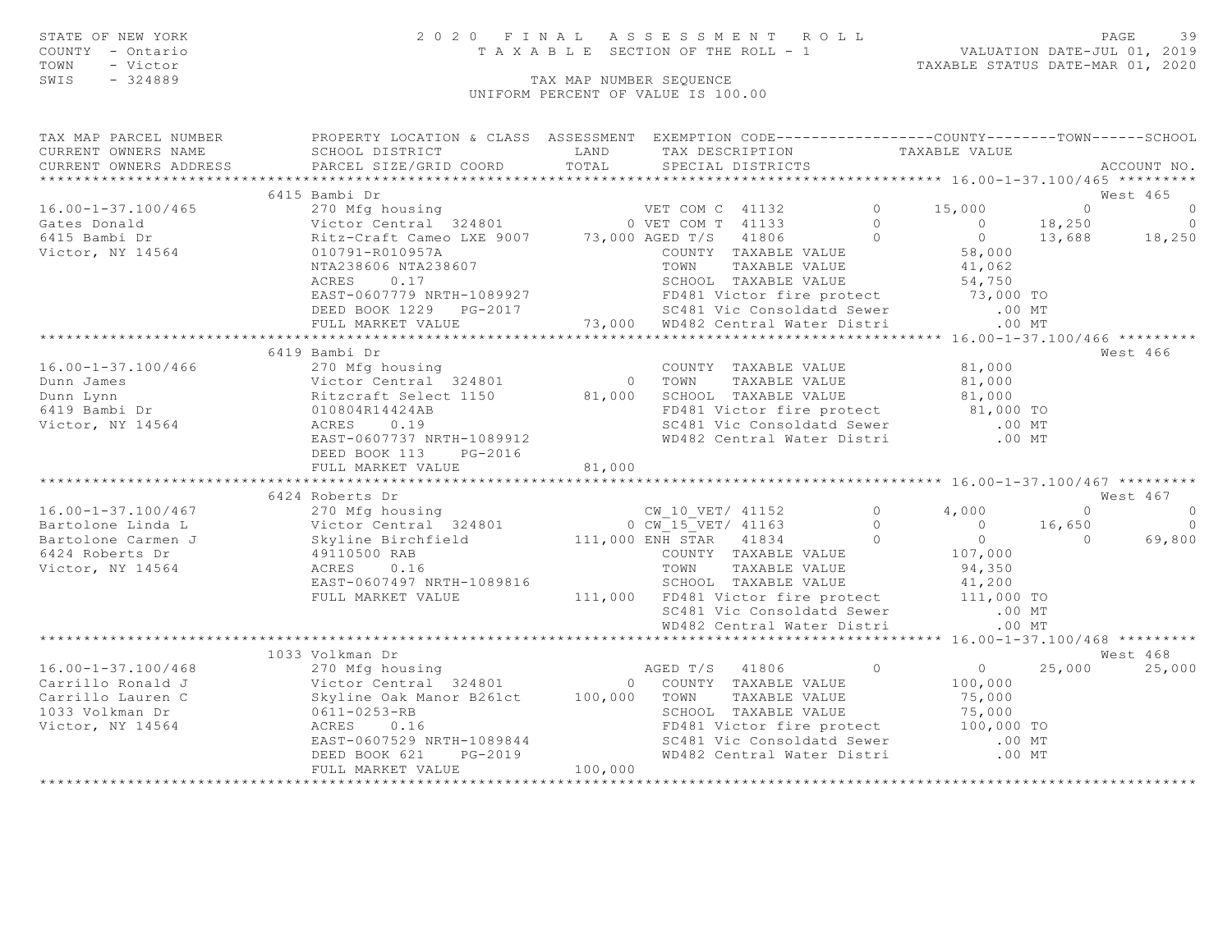| STATE OF NEW YORK | 2020 FINAL ASSESSMENT ROLL            |                                  | PAGE | 39 |
|-------------------|---------------------------------------|----------------------------------|------|----|
| COUNTY - Ontario  | T A X A B L E SECTION OF THE ROLL - 1 | VALUATION DATE-JUL 01, 2019      |      |    |
| TOWN<br>- Victor  |                                       | TAXABLE STATUS DATE-MAR 01, 2020 |      |    |
| SWIS<br>$-324889$ | TAX MAP NUMBER SEOUENCE               |                                  |      |    |

|  | UNIFORM PERCENT OF VALUE IS 100.00 |  |  |  |
|--|------------------------------------|--|--|--|

| 6415 Bambi Dr<br>West 465<br>VET COM C 41132<br>0 15,000<br>$\Omega$<br>$16.00 - 1 - 37.100 / 465$<br>270 Mfg housing<br>$\Omega$<br>16.00-1-37.100/465 270 Mighousing<br>Gates Donald Victor Central 324801 0 VET COM T 41133 0 0 0<br>6415 Bambi Dr Ritz-Craft Cameo LXE 9007 73,000 AGED T/S 41806 0 0<br>Victor, NY 14564 010791-R010957A COUNTY TAXABLE VALUE 58,000<br>18,250<br>$\overline{0}$<br>13,688 18,250<br>EAST-0607779 NRTH-1089927<br>DEED BOOK 1229 PG-2017 73,000 WD482 Central Water Distri<br>TULL MARKET VALUE 73,000 WD482 Central Water Distri .00 MT<br>6419 Bambi Dr<br>West 466<br>COUNTY TAXABLE VALUE $0.000$<br>TOWN TAXABLE VALUE 81,000<br>SCHOOL TAXABLE VALUE 81,000<br>FD481 Victor fire protect 81,000 TO<br>SC481 Vic Consoldatd Sewer .00 MT<br>WD482 Central Water Distri .00 MT<br>16.00-1-37.100/466 270 Mfg housing<br>Dunn James Victor Central 324801 0<br>Dunn Lynn Ritzcraft Select 1150 81,000<br>6419 Bambi Dr 010804R14424AB<br>Victor, NY 14564 ACRES 0.19<br>200012<br>0 TOWN<br>EAST-0607737 NRTH-1089912<br>DEED BOOK 113<br>PG-2016<br>81,000<br>FULL MARKET VALUE<br>6424 Roberts Dr<br>West 467<br>(67 - 10_ver/ 41152 0<br>270 Mfg housing<br>Victor Central 324801 0 CW_15_VET/ 41163 0<br>Skyline Birchfield 111,000 ENH STAR 41834 0<br>49110500 RAB COUNTY TAXABLE VALUE<br>ROCKES 0.16 TOWN TAXABLE VALUE<br>PROFISCE COUNTY TAXABLE VA<br>4,000<br>$\Omega$<br>$\Omega$<br>$16.00 - 1 - 37.100 / 467$<br>Bartolone Linda L<br>$0 \t 16,650$<br>$\overline{0}$<br>$\overline{0}$<br>Bartolone Carmen J<br>$\overline{0}$<br>69,800<br>107,000<br>6424 Roberts Dr<br>Victor, NY 14564<br>EAST-0607497 NRTH-1089816<br>111,000 FD481 Victor fire protect 111,000 TO<br>SC481 Vic Consoldatd Sewer .00 MT<br>FULL MARKET VALUE<br>WD482 Central Water Distri<br>$.00$ MT<br>West 468<br>10.00-1-37.100/468<br>Carrillo Ronald J<br>Carrillo Lauren C<br>Carrillo Lauren C<br>Carrillo Lauren C<br>Carrillo Lauren C<br>Skyline Oak Manor B261ct<br>Carrillo Lauren C<br>Skyline Oak Manor B261ct<br>COUNTY TAXABLE VALUE<br>SCHOOL TAXABLE<br>$0$ 25,000<br>100,000<br>$\overline{a}$<br>25,000<br>75,000<br>TAXABLE VALUE<br>SC481 Vic Consoldatd Sewer .00 MT<br>WD482 Central Water Distri .00 MT<br>DEED BOOK 621<br>PG-2019<br>100,000<br>FULL MARKET VALUE | TAX MAP PARCEL NUMBER<br>CURRENT OWNERS NAME<br>CURRENT OWNERS ADDRESS | PROPERTY LOCATION & CLASS ASSESSMENT EXEMPTION CODE---------------COUNTY-------TOWN------SCHOOL<br>SCHOOL DISTRICT<br>PARCEL SIZE/GRID COORD | LAND<br>TOTAL | TAX DESCRIPTION TAXABLE VALUE<br>SPECIAL DISTRICTS<br>SPECIAL DISTRICTS |  | ACCOUNT NO. |
|-----------------------------------------------------------------------------------------------------------------------------------------------------------------------------------------------------------------------------------------------------------------------------------------------------------------------------------------------------------------------------------------------------------------------------------------------------------------------------------------------------------------------------------------------------------------------------------------------------------------------------------------------------------------------------------------------------------------------------------------------------------------------------------------------------------------------------------------------------------------------------------------------------------------------------------------------------------------------------------------------------------------------------------------------------------------------------------------------------------------------------------------------------------------------------------------------------------------------------------------------------------------------------------------------------------------------------------------------------------------------------------------------------------------------------------------------------------------------------------------------------------------------------------------------------------------------------------------------------------------------------------------------------------------------------------------------------------------------------------------------------------------------------------------------------------------------------------------------------------------------------------------------------------------------------------------------------------------------------------------------------------------------------------------------------------------------------------------------------------------------------------------------------------------------------------------------------------------------------------------------------------------------------------------------------------------------------|------------------------------------------------------------------------|----------------------------------------------------------------------------------------------------------------------------------------------|---------------|-------------------------------------------------------------------------|--|-------------|
|                                                                                                                                                                                                                                                                                                                                                                                                                                                                                                                                                                                                                                                                                                                                                                                                                                                                                                                                                                                                                                                                                                                                                                                                                                                                                                                                                                                                                                                                                                                                                                                                                                                                                                                                                                                                                                                                                                                                                                                                                                                                                                                                                                                                                                                                                                                             |                                                                        |                                                                                                                                              |               |                                                                         |  |             |
|                                                                                                                                                                                                                                                                                                                                                                                                                                                                                                                                                                                                                                                                                                                                                                                                                                                                                                                                                                                                                                                                                                                                                                                                                                                                                                                                                                                                                                                                                                                                                                                                                                                                                                                                                                                                                                                                                                                                                                                                                                                                                                                                                                                                                                                                                                                             |                                                                        |                                                                                                                                              |               |                                                                         |  |             |
|                                                                                                                                                                                                                                                                                                                                                                                                                                                                                                                                                                                                                                                                                                                                                                                                                                                                                                                                                                                                                                                                                                                                                                                                                                                                                                                                                                                                                                                                                                                                                                                                                                                                                                                                                                                                                                                                                                                                                                                                                                                                                                                                                                                                                                                                                                                             |                                                                        |                                                                                                                                              |               |                                                                         |  |             |
|                                                                                                                                                                                                                                                                                                                                                                                                                                                                                                                                                                                                                                                                                                                                                                                                                                                                                                                                                                                                                                                                                                                                                                                                                                                                                                                                                                                                                                                                                                                                                                                                                                                                                                                                                                                                                                                                                                                                                                                                                                                                                                                                                                                                                                                                                                                             |                                                                        |                                                                                                                                              |               |                                                                         |  |             |
|                                                                                                                                                                                                                                                                                                                                                                                                                                                                                                                                                                                                                                                                                                                                                                                                                                                                                                                                                                                                                                                                                                                                                                                                                                                                                                                                                                                                                                                                                                                                                                                                                                                                                                                                                                                                                                                                                                                                                                                                                                                                                                                                                                                                                                                                                                                             |                                                                        |                                                                                                                                              |               |                                                                         |  |             |
|                                                                                                                                                                                                                                                                                                                                                                                                                                                                                                                                                                                                                                                                                                                                                                                                                                                                                                                                                                                                                                                                                                                                                                                                                                                                                                                                                                                                                                                                                                                                                                                                                                                                                                                                                                                                                                                                                                                                                                                                                                                                                                                                                                                                                                                                                                                             |                                                                        |                                                                                                                                              |               |                                                                         |  |             |
|                                                                                                                                                                                                                                                                                                                                                                                                                                                                                                                                                                                                                                                                                                                                                                                                                                                                                                                                                                                                                                                                                                                                                                                                                                                                                                                                                                                                                                                                                                                                                                                                                                                                                                                                                                                                                                                                                                                                                                                                                                                                                                                                                                                                                                                                                                                             |                                                                        |                                                                                                                                              |               |                                                                         |  |             |
|                                                                                                                                                                                                                                                                                                                                                                                                                                                                                                                                                                                                                                                                                                                                                                                                                                                                                                                                                                                                                                                                                                                                                                                                                                                                                                                                                                                                                                                                                                                                                                                                                                                                                                                                                                                                                                                                                                                                                                                                                                                                                                                                                                                                                                                                                                                             |                                                                        |                                                                                                                                              |               |                                                                         |  |             |
|                                                                                                                                                                                                                                                                                                                                                                                                                                                                                                                                                                                                                                                                                                                                                                                                                                                                                                                                                                                                                                                                                                                                                                                                                                                                                                                                                                                                                                                                                                                                                                                                                                                                                                                                                                                                                                                                                                                                                                                                                                                                                                                                                                                                                                                                                                                             |                                                                        |                                                                                                                                              |               |                                                                         |  |             |
|                                                                                                                                                                                                                                                                                                                                                                                                                                                                                                                                                                                                                                                                                                                                                                                                                                                                                                                                                                                                                                                                                                                                                                                                                                                                                                                                                                                                                                                                                                                                                                                                                                                                                                                                                                                                                                                                                                                                                                                                                                                                                                                                                                                                                                                                                                                             |                                                                        |                                                                                                                                              |               |                                                                         |  |             |
|                                                                                                                                                                                                                                                                                                                                                                                                                                                                                                                                                                                                                                                                                                                                                                                                                                                                                                                                                                                                                                                                                                                                                                                                                                                                                                                                                                                                                                                                                                                                                                                                                                                                                                                                                                                                                                                                                                                                                                                                                                                                                                                                                                                                                                                                                                                             |                                                                        |                                                                                                                                              |               |                                                                         |  |             |
|                                                                                                                                                                                                                                                                                                                                                                                                                                                                                                                                                                                                                                                                                                                                                                                                                                                                                                                                                                                                                                                                                                                                                                                                                                                                                                                                                                                                                                                                                                                                                                                                                                                                                                                                                                                                                                                                                                                                                                                                                                                                                                                                                                                                                                                                                                                             |                                                                        |                                                                                                                                              |               |                                                                         |  |             |
|                                                                                                                                                                                                                                                                                                                                                                                                                                                                                                                                                                                                                                                                                                                                                                                                                                                                                                                                                                                                                                                                                                                                                                                                                                                                                                                                                                                                                                                                                                                                                                                                                                                                                                                                                                                                                                                                                                                                                                                                                                                                                                                                                                                                                                                                                                                             |                                                                        |                                                                                                                                              |               |                                                                         |  |             |
|                                                                                                                                                                                                                                                                                                                                                                                                                                                                                                                                                                                                                                                                                                                                                                                                                                                                                                                                                                                                                                                                                                                                                                                                                                                                                                                                                                                                                                                                                                                                                                                                                                                                                                                                                                                                                                                                                                                                                                                                                                                                                                                                                                                                                                                                                                                             |                                                                        |                                                                                                                                              |               |                                                                         |  |             |
|                                                                                                                                                                                                                                                                                                                                                                                                                                                                                                                                                                                                                                                                                                                                                                                                                                                                                                                                                                                                                                                                                                                                                                                                                                                                                                                                                                                                                                                                                                                                                                                                                                                                                                                                                                                                                                                                                                                                                                                                                                                                                                                                                                                                                                                                                                                             |                                                                        |                                                                                                                                              |               |                                                                         |  |             |
|                                                                                                                                                                                                                                                                                                                                                                                                                                                                                                                                                                                                                                                                                                                                                                                                                                                                                                                                                                                                                                                                                                                                                                                                                                                                                                                                                                                                                                                                                                                                                                                                                                                                                                                                                                                                                                                                                                                                                                                                                                                                                                                                                                                                                                                                                                                             |                                                                        |                                                                                                                                              |               |                                                                         |  |             |
|                                                                                                                                                                                                                                                                                                                                                                                                                                                                                                                                                                                                                                                                                                                                                                                                                                                                                                                                                                                                                                                                                                                                                                                                                                                                                                                                                                                                                                                                                                                                                                                                                                                                                                                                                                                                                                                                                                                                                                                                                                                                                                                                                                                                                                                                                                                             |                                                                        |                                                                                                                                              |               |                                                                         |  |             |
|                                                                                                                                                                                                                                                                                                                                                                                                                                                                                                                                                                                                                                                                                                                                                                                                                                                                                                                                                                                                                                                                                                                                                                                                                                                                                                                                                                                                                                                                                                                                                                                                                                                                                                                                                                                                                                                                                                                                                                                                                                                                                                                                                                                                                                                                                                                             |                                                                        |                                                                                                                                              |               |                                                                         |  |             |
|                                                                                                                                                                                                                                                                                                                                                                                                                                                                                                                                                                                                                                                                                                                                                                                                                                                                                                                                                                                                                                                                                                                                                                                                                                                                                                                                                                                                                                                                                                                                                                                                                                                                                                                                                                                                                                                                                                                                                                                                                                                                                                                                                                                                                                                                                                                             |                                                                        |                                                                                                                                              |               |                                                                         |  |             |
|                                                                                                                                                                                                                                                                                                                                                                                                                                                                                                                                                                                                                                                                                                                                                                                                                                                                                                                                                                                                                                                                                                                                                                                                                                                                                                                                                                                                                                                                                                                                                                                                                                                                                                                                                                                                                                                                                                                                                                                                                                                                                                                                                                                                                                                                                                                             |                                                                        |                                                                                                                                              |               |                                                                         |  |             |
|                                                                                                                                                                                                                                                                                                                                                                                                                                                                                                                                                                                                                                                                                                                                                                                                                                                                                                                                                                                                                                                                                                                                                                                                                                                                                                                                                                                                                                                                                                                                                                                                                                                                                                                                                                                                                                                                                                                                                                                                                                                                                                                                                                                                                                                                                                                             |                                                                        |                                                                                                                                              |               |                                                                         |  |             |
|                                                                                                                                                                                                                                                                                                                                                                                                                                                                                                                                                                                                                                                                                                                                                                                                                                                                                                                                                                                                                                                                                                                                                                                                                                                                                                                                                                                                                                                                                                                                                                                                                                                                                                                                                                                                                                                                                                                                                                                                                                                                                                                                                                                                                                                                                                                             |                                                                        |                                                                                                                                              |               |                                                                         |  |             |
|                                                                                                                                                                                                                                                                                                                                                                                                                                                                                                                                                                                                                                                                                                                                                                                                                                                                                                                                                                                                                                                                                                                                                                                                                                                                                                                                                                                                                                                                                                                                                                                                                                                                                                                                                                                                                                                                                                                                                                                                                                                                                                                                                                                                                                                                                                                             |                                                                        |                                                                                                                                              |               |                                                                         |  |             |
|                                                                                                                                                                                                                                                                                                                                                                                                                                                                                                                                                                                                                                                                                                                                                                                                                                                                                                                                                                                                                                                                                                                                                                                                                                                                                                                                                                                                                                                                                                                                                                                                                                                                                                                                                                                                                                                                                                                                                                                                                                                                                                                                                                                                                                                                                                                             |                                                                        |                                                                                                                                              |               |                                                                         |  |             |
|                                                                                                                                                                                                                                                                                                                                                                                                                                                                                                                                                                                                                                                                                                                                                                                                                                                                                                                                                                                                                                                                                                                                                                                                                                                                                                                                                                                                                                                                                                                                                                                                                                                                                                                                                                                                                                                                                                                                                                                                                                                                                                                                                                                                                                                                                                                             |                                                                        |                                                                                                                                              |               |                                                                         |  |             |
|                                                                                                                                                                                                                                                                                                                                                                                                                                                                                                                                                                                                                                                                                                                                                                                                                                                                                                                                                                                                                                                                                                                                                                                                                                                                                                                                                                                                                                                                                                                                                                                                                                                                                                                                                                                                                                                                                                                                                                                                                                                                                                                                                                                                                                                                                                                             |                                                                        |                                                                                                                                              |               |                                                                         |  |             |
|                                                                                                                                                                                                                                                                                                                                                                                                                                                                                                                                                                                                                                                                                                                                                                                                                                                                                                                                                                                                                                                                                                                                                                                                                                                                                                                                                                                                                                                                                                                                                                                                                                                                                                                                                                                                                                                                                                                                                                                                                                                                                                                                                                                                                                                                                                                             |                                                                        |                                                                                                                                              |               |                                                                         |  |             |
|                                                                                                                                                                                                                                                                                                                                                                                                                                                                                                                                                                                                                                                                                                                                                                                                                                                                                                                                                                                                                                                                                                                                                                                                                                                                                                                                                                                                                                                                                                                                                                                                                                                                                                                                                                                                                                                                                                                                                                                                                                                                                                                                                                                                                                                                                                                             |                                                                        |                                                                                                                                              |               |                                                                         |  |             |
|                                                                                                                                                                                                                                                                                                                                                                                                                                                                                                                                                                                                                                                                                                                                                                                                                                                                                                                                                                                                                                                                                                                                                                                                                                                                                                                                                                                                                                                                                                                                                                                                                                                                                                                                                                                                                                                                                                                                                                                                                                                                                                                                                                                                                                                                                                                             |                                                                        |                                                                                                                                              |               |                                                                         |  |             |
|                                                                                                                                                                                                                                                                                                                                                                                                                                                                                                                                                                                                                                                                                                                                                                                                                                                                                                                                                                                                                                                                                                                                                                                                                                                                                                                                                                                                                                                                                                                                                                                                                                                                                                                                                                                                                                                                                                                                                                                                                                                                                                                                                                                                                                                                                                                             |                                                                        |                                                                                                                                              |               |                                                                         |  |             |
|                                                                                                                                                                                                                                                                                                                                                                                                                                                                                                                                                                                                                                                                                                                                                                                                                                                                                                                                                                                                                                                                                                                                                                                                                                                                                                                                                                                                                                                                                                                                                                                                                                                                                                                                                                                                                                                                                                                                                                                                                                                                                                                                                                                                                                                                                                                             |                                                                        |                                                                                                                                              |               |                                                                         |  |             |
|                                                                                                                                                                                                                                                                                                                                                                                                                                                                                                                                                                                                                                                                                                                                                                                                                                                                                                                                                                                                                                                                                                                                                                                                                                                                                                                                                                                                                                                                                                                                                                                                                                                                                                                                                                                                                                                                                                                                                                                                                                                                                                                                                                                                                                                                                                                             |                                                                        |                                                                                                                                              |               |                                                                         |  |             |
|                                                                                                                                                                                                                                                                                                                                                                                                                                                                                                                                                                                                                                                                                                                                                                                                                                                                                                                                                                                                                                                                                                                                                                                                                                                                                                                                                                                                                                                                                                                                                                                                                                                                                                                                                                                                                                                                                                                                                                                                                                                                                                                                                                                                                                                                                                                             |                                                                        |                                                                                                                                              |               |                                                                         |  |             |
|                                                                                                                                                                                                                                                                                                                                                                                                                                                                                                                                                                                                                                                                                                                                                                                                                                                                                                                                                                                                                                                                                                                                                                                                                                                                                                                                                                                                                                                                                                                                                                                                                                                                                                                                                                                                                                                                                                                                                                                                                                                                                                                                                                                                                                                                                                                             |                                                                        |                                                                                                                                              |               |                                                                         |  |             |
|                                                                                                                                                                                                                                                                                                                                                                                                                                                                                                                                                                                                                                                                                                                                                                                                                                                                                                                                                                                                                                                                                                                                                                                                                                                                                                                                                                                                                                                                                                                                                                                                                                                                                                                                                                                                                                                                                                                                                                                                                                                                                                                                                                                                                                                                                                                             |                                                                        |                                                                                                                                              |               |                                                                         |  |             |
|                                                                                                                                                                                                                                                                                                                                                                                                                                                                                                                                                                                                                                                                                                                                                                                                                                                                                                                                                                                                                                                                                                                                                                                                                                                                                                                                                                                                                                                                                                                                                                                                                                                                                                                                                                                                                                                                                                                                                                                                                                                                                                                                                                                                                                                                                                                             |                                                                        |                                                                                                                                              |               |                                                                         |  |             |
|                                                                                                                                                                                                                                                                                                                                                                                                                                                                                                                                                                                                                                                                                                                                                                                                                                                                                                                                                                                                                                                                                                                                                                                                                                                                                                                                                                                                                                                                                                                                                                                                                                                                                                                                                                                                                                                                                                                                                                                                                                                                                                                                                                                                                                                                                                                             |                                                                        |                                                                                                                                              |               |                                                                         |  |             |
|                                                                                                                                                                                                                                                                                                                                                                                                                                                                                                                                                                                                                                                                                                                                                                                                                                                                                                                                                                                                                                                                                                                                                                                                                                                                                                                                                                                                                                                                                                                                                                                                                                                                                                                                                                                                                                                                                                                                                                                                                                                                                                                                                                                                                                                                                                                             |                                                                        |                                                                                                                                              |               |                                                                         |  |             |
|                                                                                                                                                                                                                                                                                                                                                                                                                                                                                                                                                                                                                                                                                                                                                                                                                                                                                                                                                                                                                                                                                                                                                                                                                                                                                                                                                                                                                                                                                                                                                                                                                                                                                                                                                                                                                                                                                                                                                                                                                                                                                                                                                                                                                                                                                                                             |                                                                        |                                                                                                                                              |               |                                                                         |  |             |
|                                                                                                                                                                                                                                                                                                                                                                                                                                                                                                                                                                                                                                                                                                                                                                                                                                                                                                                                                                                                                                                                                                                                                                                                                                                                                                                                                                                                                                                                                                                                                                                                                                                                                                                                                                                                                                                                                                                                                                                                                                                                                                                                                                                                                                                                                                                             |                                                                        |                                                                                                                                              |               |                                                                         |  |             |
|                                                                                                                                                                                                                                                                                                                                                                                                                                                                                                                                                                                                                                                                                                                                                                                                                                                                                                                                                                                                                                                                                                                                                                                                                                                                                                                                                                                                                                                                                                                                                                                                                                                                                                                                                                                                                                                                                                                                                                                                                                                                                                                                                                                                                                                                                                                             |                                                                        |                                                                                                                                              |               |                                                                         |  |             |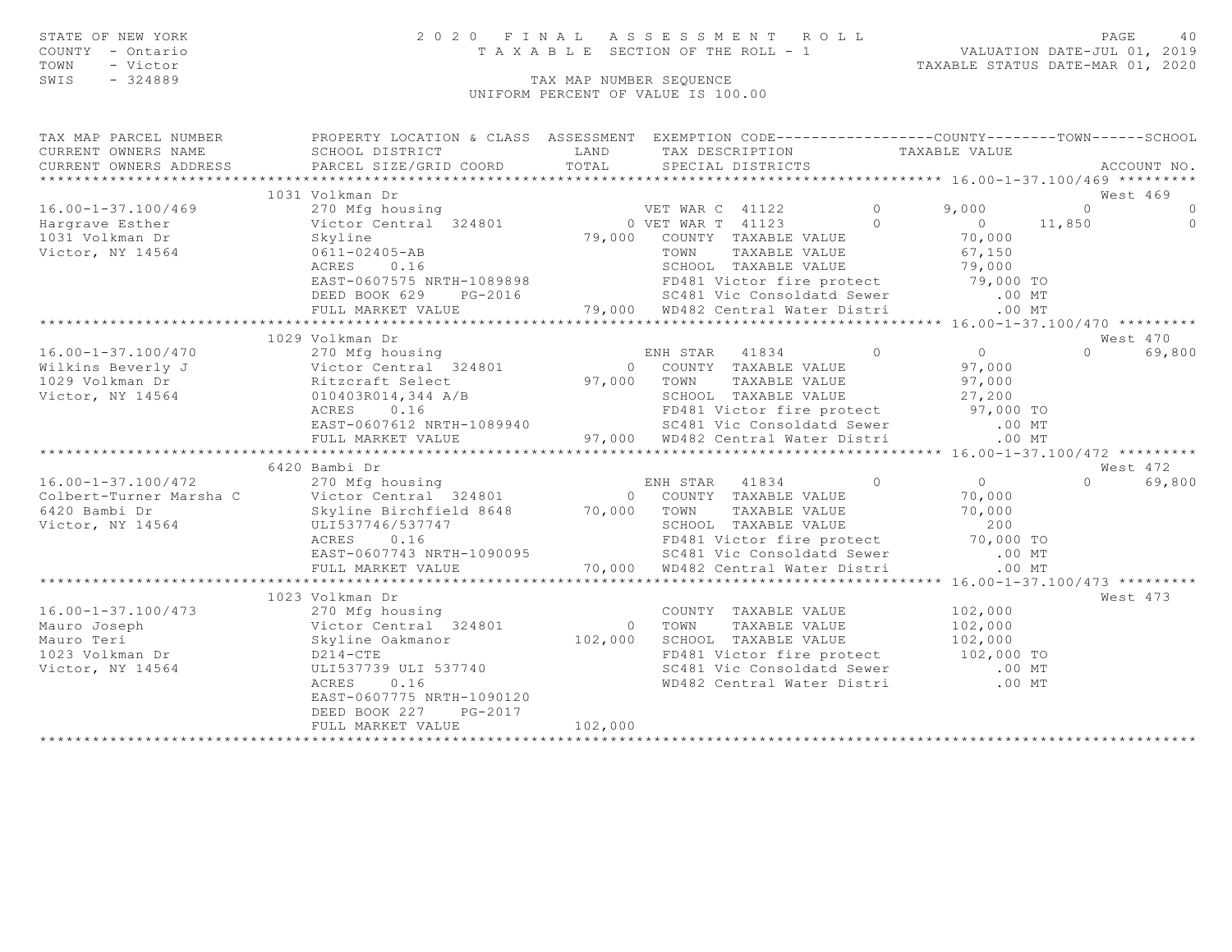| STATE OF NEW YORK | 2020 FINAL ASSESSMENT ROLL      | PAGE                             | 4 O |
|-------------------|---------------------------------|----------------------------------|-----|
| COUNTY - Ontario  | TAXABLE SECTION OF THE ROLL - 1 | VALUATION DATE-JUL 01, 2019      |     |
| TOWN<br>- Victor  |                                 | TAXABLE STATUS DATE-MAR 01, 2020 |     |
| SWIS<br>- 324889  | TAX MAP NUMBER SEOUENCE         |                                  |     |

| TAX MAP PARCEL NUMBER<br>CURRENT OWNERS NAME<br>CURRENT OWNERS ADDRESS | PROPERTY LOCATION & CLASS ASSESSMENT EXEMPTION CODE----------------COUNTY-------TOWN------SCHOOL<br>SCHOOL DISTRICT<br>PARCEL SIZE/GRID COORD | LAND<br>TOTAL             | TAX DESCRIPTION TAXABLE VALUE<br>SPECIAL DISTRICTS                                          |            |                                            |          | ACCOUNT NO. |
|------------------------------------------------------------------------|-----------------------------------------------------------------------------------------------------------------------------------------------|---------------------------|---------------------------------------------------------------------------------------------|------------|--------------------------------------------|----------|-------------|
|                                                                        | 1031 Volkman Dr                                                                                                                               |                           |                                                                                             |            |                                            |          | West 469    |
| $16.00 - 1 - 37.100 / 469$                                             | 270 Mfg housing                                                                                                                               |                           | VET WAR C 41122                                                                             | $\bigcirc$ | 9,000                                      | $\Omega$ | $\Omega$    |
| Hargrave Esther                                                        |                                                                                                                                               |                           | 0 VET WAR T 41123                                                                           | $\Omega$   |                                            | 11,850   | $\Omega$    |
| 1031 Volkman Dr                                                        | Victor Central 324801<br>Skyline                                                                                                              |                           | 79,000 COUNTY TAXABLE VALUE                                                                 |            | $\begin{array}{c} 0 \\ 70,000 \end{array}$ |          |             |
| Victor, NY 14564                                                       | $0611 - 02405 - AB$                                                                                                                           |                           | TAXABLE VALUE<br>TOWN                                                                       |            | 67,150                                     |          |             |
|                                                                        | ACRES 0.16                                                                                                                                    |                           | SCHOOL TAXABLE VALUE                                                                        |            | 79,000                                     |          |             |
|                                                                        | EAST-0607575 NRTH-1089898                                                                                                                     |                           | FD481 Victor fire protect                                                                   |            | $79,000$ TO                                |          |             |
|                                                                        | DEED BOOK 629<br>PG-2016                                                                                                                      |                           | SC481 Vic Consoldatd Sewer .00 MT                                                           |            |                                            |          |             |
|                                                                        | FULL MARKET VALUE                                                                                                                             |                           | 79,000 WD482 Central Water Distri                                                           |            | .00MT                                      |          |             |
|                                                                        | ***********************                                                                                                                       |                           |                                                                                             |            |                                            |          |             |
|                                                                        | 1029 Volkman Dr                                                                                                                               |                           |                                                                                             |            |                                            |          | West 470    |
| $16.00 - 1 - 37.100 / 470$                                             | 270 Mfg housing                                                                                                                               |                           | ENH STAR 41834                                                                              | $\bigcirc$ | $\overline{0}$                             | $\cap$   | 69,800      |
| Wilkins Beverly J                                                      | Victor Central 324801                                                                                                                         |                           | 0 COUNTY TAXABLE VALUE                                                                      |            | 97,000                                     |          |             |
| 1029 Volkman Dr                                                        | Ritzcraft Select<br>010403R014,344 A/B                                                                                                        | 97,000      TOWN<br>SCHOO | TAXABLE VALUE                                                                               |            | 97,000                                     |          |             |
| Victor, NY 14564                                                       |                                                                                                                                               |                           | SCHOOL TAXABLE VALUE                                                                        |            | 27,200                                     |          |             |
|                                                                        | 0.16<br>ACRES                                                                                                                                 |                           | FD481 Victor fire protect 97,000 TO                                                         |            |                                            |          |             |
|                                                                        | EAST-0607612 NRTH-1089940                                                                                                                     |                           | SC481 Vic Consoldatd Sewer .00 MT                                                           |            |                                            |          |             |
|                                                                        | FULL MARKET VALUE                                                                                                                             |                           | 97,000 WD482 Central Water Distri                                                           |            | $.00$ MT                                   |          |             |
|                                                                        | ********************                                                                                                                          |                           |                                                                                             |            |                                            |          |             |
|                                                                        | 6420 Bambi Dr                                                                                                                                 |                           |                                                                                             |            |                                            |          | West 472    |
| $16.00 - 1 - 37.100 / 472$                                             | 270 Mfg housing                                                                                                                               |                           | ENH STAR 41834 0                                                                            |            | $\overline{0}$                             | $\Omega$ | 69,800      |
| Colbert-Turner Marsha C                                                | Victor Central 324801                                                                                                                         |                           | 0 COUNTY TAXABLE VALUE                                                                      |            | 70,000                                     |          |             |
| 6420 Bambi Dr                                                          | Skyline Birchfield 8648 70,000 TOWN                                                                                                           |                           | TAXABLE VALUE                                                                               |            | 70,000                                     |          |             |
| Victor, NY 14564                                                       | ULI537746/537747                                                                                                                              |                           | SCHOOL TAXABLE VALUE                                                                        |            | 200                                        |          |             |
|                                                                        | ACRES 0.16                                                                                                                                    |                           | FD481 Victor fire protect<br>SC481 Victor fire protect<br>SC481 Vic Consoldatd Sewer .00 MT |            |                                            |          |             |
|                                                                        | EAST-0607743 NRTH-1090095                                                                                                                     |                           |                                                                                             |            |                                            |          |             |
|                                                                        | FULL MARKET VALUE                                                                                                                             | 70,000                    | WD482 Central Water Distri                                                                  |            | $.00$ MT                                   |          |             |
|                                                                        |                                                                                                                                               |                           |                                                                                             |            |                                            |          |             |
|                                                                        | 1023 Volkman Dr                                                                                                                               |                           |                                                                                             |            |                                            |          | West 473    |
| $16.00 - 1 - 37.100 / 473$                                             | 270 Mfg housing                                                                                                                               |                           | COUNTY TAXABLE VALUE 102,000                                                                |            |                                            |          |             |
| Mauro Joseph                                                           | Victor Central 324801<br>Skyline Oakmanor<br>D214-CTE                                                                                         | 102,000                   | 0 TOWN<br>TAXABLE VALUE 102,000                                                             |            |                                            |          |             |
| Mauro Teri                                                             |                                                                                                                                               |                           | SCHOOL TAXABLE VALUE<br>FD481 Victor fire protect 102,000 TO                                |            | 102,000                                    |          |             |
| 1023 Volkman Dr                                                        |                                                                                                                                               |                           |                                                                                             |            |                                            |          |             |
| Victor, NY 14564                                                       | ULI537739 ULI 537740<br>0.16<br>ACRES                                                                                                         |                           | SC481 Vic Consoldatd Sewer .00 MT                                                           |            |                                            |          |             |
|                                                                        | EAST-0607775 NRTH-1090120                                                                                                                     |                           | WD482 Central Water Distri .00 MT                                                           |            |                                            |          |             |
|                                                                        | DEED BOOK 227<br>PG-2017                                                                                                                      |                           |                                                                                             |            |                                            |          |             |
|                                                                        | FULL MARKET VALUE                                                                                                                             | 102,000                   |                                                                                             |            |                                            |          |             |
|                                                                        |                                                                                                                                               |                           |                                                                                             |            |                                            |          |             |
|                                                                        |                                                                                                                                               |                           |                                                                                             |            |                                            |          |             |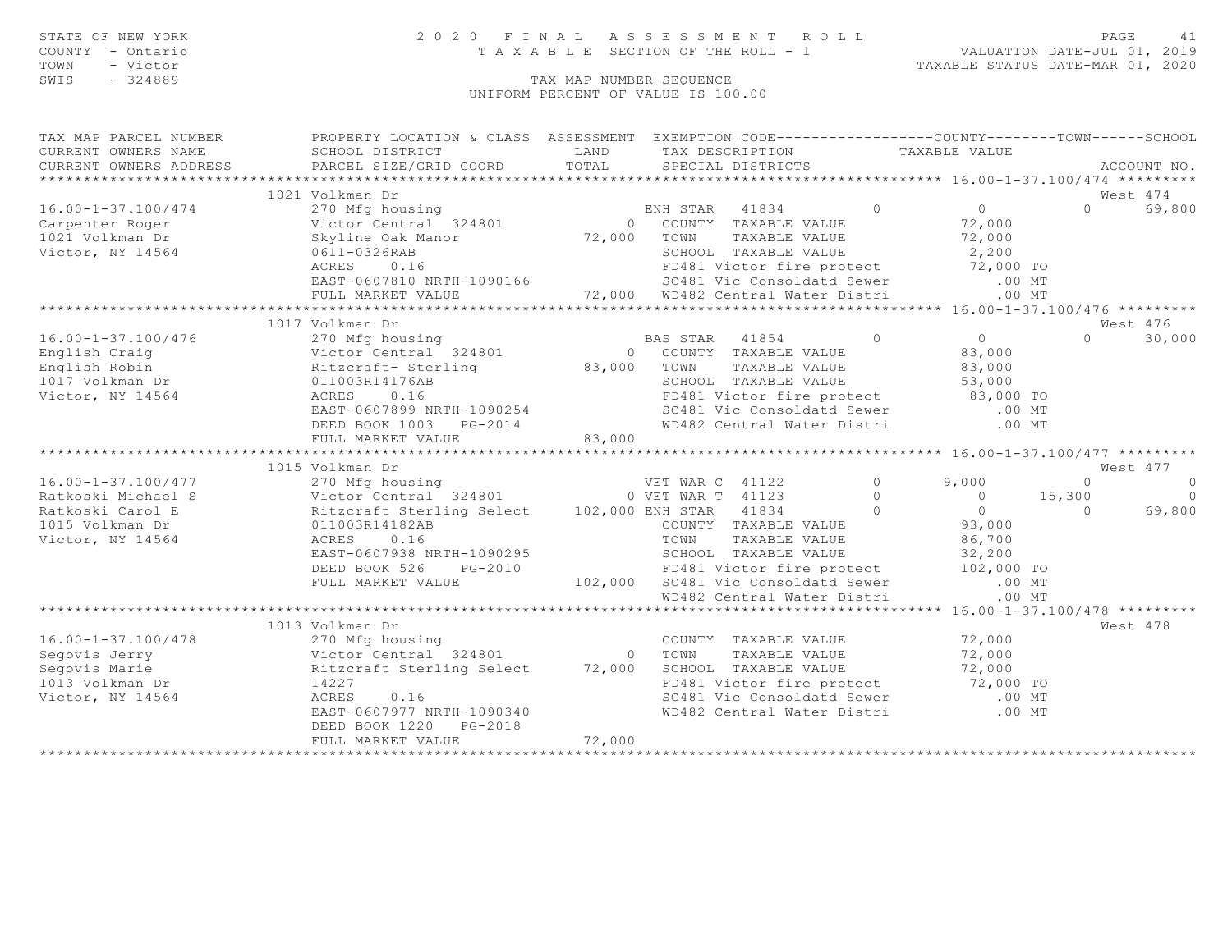| STATE OF NEW YORK<br>COUNTY - Ontario<br>TOWN<br>- Victor |                                                                                                                                                                                                                                        |                         | 2020 FINAL ASSESSMENT ROLL<br>T A X A B L E SECTION OF THE ROLL - 1 VALUATION DATE-JUL 01, 2019<br>TAXABLE STATUS DATE-MAR 01, 2020 |                                                                    | PAGE               | 41      |
|-----------------------------------------------------------|----------------------------------------------------------------------------------------------------------------------------------------------------------------------------------------------------------------------------------------|-------------------------|-------------------------------------------------------------------------------------------------------------------------------------|--------------------------------------------------------------------|--------------------|---------|
| SWIS<br>$-324889$                                         |                                                                                                                                                                                                                                        | TAX MAP NUMBER SEQUENCE |                                                                                                                                     |                                                                    |                    |         |
|                                                           |                                                                                                                                                                                                                                        |                         | UNIFORM PERCENT OF VALUE IS 100.00                                                                                                  |                                                                    |                    |         |
|                                                           |                                                                                                                                                                                                                                        |                         |                                                                                                                                     |                                                                    |                    |         |
| TAX MAP PARCEL NUMBER                                     | PROPERTY LOCATION & CLASS ASSESSMENT EXEMPTION CODE----------------COUNTY-------TOWN------SCHOOL                                                                                                                                       |                         |                                                                                                                                     |                                                                    |                    |         |
| CURRENT OWNERS NAME                                       | SCHOOL DISTRICT TAND TAX DESCRIPTION                                                                                                                                                                                                   |                         |                                                                                                                                     | TAXABLE VALUE                                                      |                    |         |
| CURRENT OWNERS ADDRESS                                    | PARCEL SIZE/GRID COORD                                                                                                                                                                                                                 | TOTAL                   | SPECIAL DISTRICTS                                                                                                                   |                                                                    | ACCOUNT NO.        |         |
| ***********************                                   |                                                                                                                                                                                                                                        |                         |                                                                                                                                     |                                                                    |                    |         |
|                                                           | 1021 Volkman Dr                                                                                                                                                                                                                        |                         |                                                                                                                                     |                                                                    | West 474           |         |
| $16.00 - 1 - 37.100 / 474$                                |                                                                                                                                                                                                                                        |                         |                                                                                                                                     | $\overline{0}$                                                     | $\cap$<br>69,800   |         |
| Carpenter Roger                                           |                                                                                                                                                                                                                                        |                         |                                                                                                                                     | 72,000                                                             |                    |         |
| 1021 Volkman Dr                                           | Skyline Oak Manor (72,000) TOWN TAXABLE VALUE                                                                                                                                                                                          |                         |                                                                                                                                     |                                                                    |                    |         |
| Victor, NY 14564                                          | 0611-0326RAB                                                                                                                                                                                                                           |                         | SCHOOL TAXABLE VALUE                                                                                                                | $\frac{72}{2}$ , 000<br>2, 200                                     |                    |         |
|                                                           | EXECUTE OF THANDLE VALUE<br>ROWLER'S 16<br>EAST-0607810 NRTH-1090166 FD481 Victor fire protect 72,000 TO<br>FULL MARKET VALUE 72,000 WD482 Central Water Distri .00 MT                                                                 |                         |                                                                                                                                     |                                                                    |                    |         |
|                                                           |                                                                                                                                                                                                                                        |                         |                                                                                                                                     |                                                                    |                    |         |
|                                                           |                                                                                                                                                                                                                                        |                         |                                                                                                                                     |                                                                    |                    |         |
|                                                           |                                                                                                                                                                                                                                        |                         |                                                                                                                                     | *************** 16.00-1-37.100/476 *********                       |                    |         |
|                                                           | 16.00-1-37.100/476 1017 Volkman Dr BAS STAR 1111<br>English Craig 270 Mg housing<br>English Robin Ritzcraft-Sterling 83,000 TOWN TAXABLE VALUE<br>English Robin Ritzcraft-Sterling 83,000 TOWN TAXABLE VALUE<br>1017 Volkman Dr 011003 |                         |                                                                                                                                     |                                                                    | West 476           |         |
|                                                           |                                                                                                                                                                                                                                        |                         |                                                                                                                                     |                                                                    | 30,000<br>$\Omega$ |         |
|                                                           |                                                                                                                                                                                                                                        |                         |                                                                                                                                     |                                                                    |                    |         |
|                                                           |                                                                                                                                                                                                                                        |                         |                                                                                                                                     |                                                                    |                    |         |
|                                                           |                                                                                                                                                                                                                                        |                         |                                                                                                                                     |                                                                    |                    |         |
|                                                           |                                                                                                                                                                                                                                        |                         |                                                                                                                                     |                                                                    |                    |         |
|                                                           |                                                                                                                                                                                                                                        |                         |                                                                                                                                     |                                                                    |                    |         |
|                                                           |                                                                                                                                                                                                                                        |                         |                                                                                                                                     |                                                                    |                    |         |
|                                                           |                                                                                                                                                                                                                                        |                         |                                                                                                                                     |                                                                    |                    |         |
|                                                           |                                                                                                                                                                                                                                        |                         |                                                                                                                                     |                                                                    |                    |         |
|                                                           | 1015 Volkman Dr                                                                                                                                                                                                                        |                         |                                                                                                                                     |                                                                    | West 477           |         |
|                                                           | 16.00-1-37.100/477 270 Mfg housing VET WAR C 41122<br>Ratkoski Michael S Victor Central 324801 0 VET WAR T 41123<br>Ratkoski Carol E Ritzcraft Sterling Select 102,000 ENH STAR 41834<br>1015 Volkman Dr. 101003R14182AB COUNTY TAXA   |                         |                                                                                                                                     | $0 \t 9,000$                                                       | $\circ$            | $\circ$ |
|                                                           |                                                                                                                                                                                                                                        |                         |                                                                                                                                     |                                                                    |                    | $\circ$ |
|                                                           |                                                                                                                                                                                                                                        |                         | $\begin{array}{c} 0 \\ 0 \end{array}$                                                                                               | $\begin{array}{ccc} 0 & 15,300 \\ 0 & 0 \\ 93,000 & & \end{array}$ | 69,800             |         |
|                                                           |                                                                                                                                                                                                                                        |                         | COUNTY TAXABLE VALUE                                                                                                                |                                                                    |                    |         |
| Victor, NY 14564                                          | ACRES 0.16                                                                                                                                                                                                                             |                         |                                                                                                                                     |                                                                    |                    |         |
|                                                           | EAST-0607938 NRTH-1090295                                                                                                                                                                                                              |                         |                                                                                                                                     | 86,700<br>32,200<br>32,200                                         |                    |         |
|                                                           | DEED BOOK 526 PG-2010                                                                                                                                                                                                                  |                         |                                                                                                                                     | 102,000 TO                                                         |                    |         |
|                                                           | FULL MARKET VALUE                                                                                                                                                                                                                      |                         |                                                                                                                                     | .00 MT                                                             |                    |         |
|                                                           |                                                                                                                                                                                                                                        |                         | WD482 Central Water Distri                                                                                                          | $.00$ MT                                                           |                    |         |
|                                                           | *******************************                                                                                                                                                                                                        |                         |                                                                                                                                     |                                                                    |                    |         |
|                                                           |                                                                                                                                                                                                                                        |                         |                                                                                                                                     |                                                                    | West 478           |         |
| $16.00 - 1 - 37.100 / 478$                                |                                                                                                                                                                                                                                        |                         |                                                                                                                                     |                                                                    |                    |         |
| Segovis Jerry                                             |                                                                                                                                                                                                                                        |                         |                                                                                                                                     | 72,000<br>72,000                                                   |                    |         |
| Segovis Marie                                             | 270 Mfg housing<br>Victor Central 324801 0 TOWN TAXABLE VALUE<br>Ritzcraft Sterling Select 72,000 SCHOOL TAXABLE VALUE<br>14227 FD481 Victor fire protect                                                                              |                         |                                                                                                                                     | 72,000                                                             |                    |         |
| 1013 Volkman Dr                                           |                                                                                                                                                                                                                                        |                         | FD481 Victor fire protect                                                                                                           | 72,000 TO                                                          |                    |         |
| Victor, NY 14564                                          | ACRES<br>0.16                                                                                                                                                                                                                          |                         | SC481 Vic Consoldatd Sewer                                                                                                          | .00 MT                                                             |                    |         |
|                                                           | EAST-0607977 NRTH-1090340                                                                                                                                                                                                              |                         | WD482 Central Water Distri                                                                                                          | $.00$ MT                                                           |                    |         |
|                                                           | DEED BOOK 1220 PG-2018                                                                                                                                                                                                                 |                         |                                                                                                                                     |                                                                    |                    |         |
|                                                           | FULL MARKET VALUE                                                                                                                                                                                                                      | 72,000                  |                                                                                                                                     |                                                                    |                    |         |
|                                                           |                                                                                                                                                                                                                                        |                         |                                                                                                                                     |                                                                    |                    |         |
|                                                           |                                                                                                                                                                                                                                        |                         |                                                                                                                                     |                                                                    |                    |         |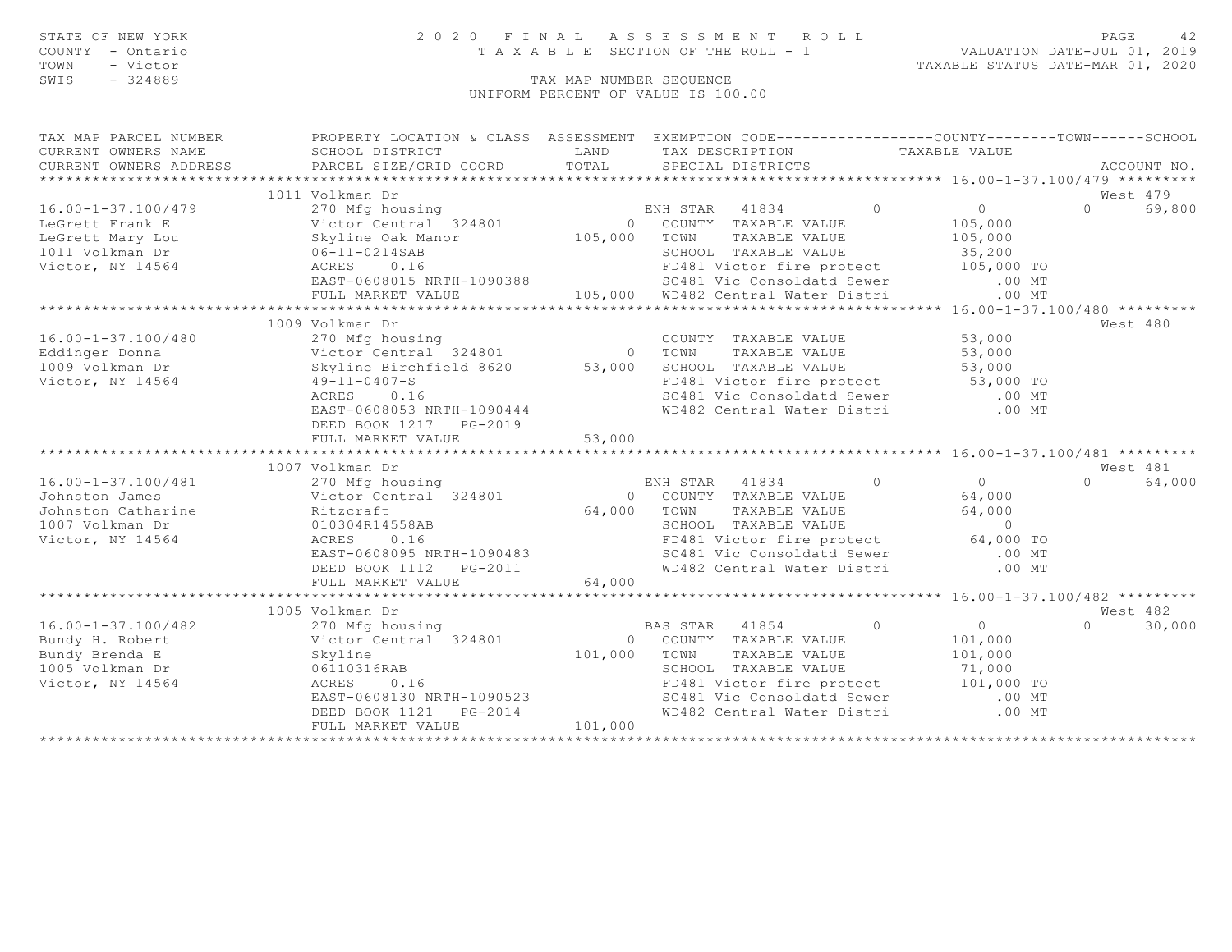| STATE OF NEW YORK                                                                                                                                                                                                                      |                                      |                         |                                                                                                                                                                                                                                                                                                                                                                                                                                                                            |                                                          |                     |
|----------------------------------------------------------------------------------------------------------------------------------------------------------------------------------------------------------------------------------------|--------------------------------------|-------------------------|----------------------------------------------------------------------------------------------------------------------------------------------------------------------------------------------------------------------------------------------------------------------------------------------------------------------------------------------------------------------------------------------------------------------------------------------------------------------------|----------------------------------------------------------|---------------------|
| COUNTY - Ontario                                                                                                                                                                                                                       |                                      |                         |                                                                                                                                                                                                                                                                                                                                                                                                                                                                            |                                                          |                     |
| TOWN<br>- Victor                                                                                                                                                                                                                       |                                      |                         |                                                                                                                                                                                                                                                                                                                                                                                                                                                                            |                                                          |                     |
| SWIS<br>$-324889$                                                                                                                                                                                                                      |                                      | TAX MAP NUMBER SEQUENCE |                                                                                                                                                                                                                                                                                                                                                                                                                                                                            |                                                          |                     |
|                                                                                                                                                                                                                                        |                                      |                         | UNIFORM PERCENT OF VALUE IS 100.00                                                                                                                                                                                                                                                                                                                                                                                                                                         |                                                          |                     |
|                                                                                                                                                                                                                                        |                                      |                         |                                                                                                                                                                                                                                                                                                                                                                                                                                                                            |                                                          |                     |
|                                                                                                                                                                                                                                        |                                      |                         |                                                                                                                                                                                                                                                                                                                                                                                                                                                                            |                                                          |                     |
| TAX MAP PARCEL NUMBER                                                                                                                                                                                                                  |                                      |                         | PROPERTY LOCATION & CLASS ASSESSMENT EXEMPTION CODE-----------------COUNTY-------TOWN------SCHOOL                                                                                                                                                                                                                                                                                                                                                                          |                                                          |                     |
| CURRENT OWNERS NAME                                                                                                                                                                                                                    | SCHOOL DISTRICT TAND TAX DESCRIPTION |                         |                                                                                                                                                                                                                                                                                                                                                                                                                                                                            | TAXABLE VALUE                                            |                     |
| CURRENT OWNERS ADDRESS                                                                                                                                                                                                                 | PARCEL SIZE/GRID COORD TOTAL         |                         | SPECIAL DISTRICTS                                                                                                                                                                                                                                                                                                                                                                                                                                                          |                                                          | ACCOUNT NO.         |
|                                                                                                                                                                                                                                        |                                      |                         |                                                                                                                                                                                                                                                                                                                                                                                                                                                                            |                                                          |                     |
|                                                                                                                                                                                                                                        | 1011 Volkman Dr                      |                         |                                                                                                                                                                                                                                                                                                                                                                                                                                                                            |                                                          | West 479            |
|                                                                                                                                                                                                                                        |                                      |                         |                                                                                                                                                                                                                                                                                                                                                                                                                                                                            |                                                          | $\Omega$<br>69,800  |
| 16.00-1-37.100/479<br>LeGrett Frank E Victor Central 324801<br>LeGrett Mary Lou Skyline Oak Manor 105,000 TOWN TAXABLE VALUE 105,000<br>1011 Volkman Dr 06-11-0214SAB<br>Victor, NY 14564 ACRES 0.16 FD481 Victor fire protect 105,000 |                                      |                         |                                                                                                                                                                                                                                                                                                                                                                                                                                                                            |                                                          |                     |
|                                                                                                                                                                                                                                        |                                      |                         |                                                                                                                                                                                                                                                                                                                                                                                                                                                                            |                                                          |                     |
|                                                                                                                                                                                                                                        |                                      |                         |                                                                                                                                                                                                                                                                                                                                                                                                                                                                            |                                                          |                     |
|                                                                                                                                                                                                                                        |                                      |                         |                                                                                                                                                                                                                                                                                                                                                                                                                                                                            |                                                          |                     |
|                                                                                                                                                                                                                                        |                                      |                         |                                                                                                                                                                                                                                                                                                                                                                                                                                                                            |                                                          |                     |
|                                                                                                                                                                                                                                        | FULL MARKET VALUE                    |                         | 06-11-0214SAB SCHOOL TAXABLE VALUE 35,200<br>ACRES 0.16 FD481 Victor fire protect 105,000 TO<br>EAST-0608015 NRTH-1090388 SC481 Vic Consoldatd Sewer .00 MT<br>FULL MARKET VALUE 105,000 WD482 Central Water Distri .00 MT                                                                                                                                                                                                                                                 |                                                          |                     |
|                                                                                                                                                                                                                                        |                                      |                         |                                                                                                                                                                                                                                                                                                                                                                                                                                                                            |                                                          |                     |
|                                                                                                                                                                                                                                        |                                      |                         |                                                                                                                                                                                                                                                                                                                                                                                                                                                                            |                                                          | West 480            |
|                                                                                                                                                                                                                                        |                                      |                         |                                                                                                                                                                                                                                                                                                                                                                                                                                                                            |                                                          |                     |
|                                                                                                                                                                                                                                        |                                      |                         |                                                                                                                                                                                                                                                                                                                                                                                                                                                                            |                                                          |                     |
|                                                                                                                                                                                                                                        |                                      |                         |                                                                                                                                                                                                                                                                                                                                                                                                                                                                            |                                                          |                     |
|                                                                                                                                                                                                                                        |                                      |                         |                                                                                                                                                                                                                                                                                                                                                                                                                                                                            |                                                          |                     |
|                                                                                                                                                                                                                                        |                                      |                         |                                                                                                                                                                                                                                                                                                                                                                                                                                                                            |                                                          |                     |
|                                                                                                                                                                                                                                        |                                      |                         |                                                                                                                                                                                                                                                                                                                                                                                                                                                                            |                                                          |                     |
|                                                                                                                                                                                                                                        |                                      |                         |                                                                                                                                                                                                                                                                                                                                                                                                                                                                            |                                                          |                     |
|                                                                                                                                                                                                                                        |                                      |                         |                                                                                                                                                                                                                                                                                                                                                                                                                                                                            |                                                          |                     |
|                                                                                                                                                                                                                                        |                                      |                         |                                                                                                                                                                                                                                                                                                                                                                                                                                                                            |                                                          |                     |
|                                                                                                                                                                                                                                        | 1007 Volkman Dr                      |                         |                                                                                                                                                                                                                                                                                                                                                                                                                                                                            |                                                          | West 481            |
|                                                                                                                                                                                                                                        |                                      |                         |                                                                                                                                                                                                                                                                                                                                                                                                                                                                            |                                                          | 64,000<br>$\Omega$  |
| 16.00-1-37.100/481 270 Mfg housing<br>Johnston James Victor Central 324801<br>Johnston Catharine Ritzcraft<br>2007 Volkman Dr. 2010304R14558AB                                                                                         |                                      |                         |                                                                                                                                                                                                                                                                                                                                                                                                                                                                            |                                                          |                     |
|                                                                                                                                                                                                                                        |                                      |                         |                                                                                                                                                                                                                                                                                                                                                                                                                                                                            |                                                          |                     |
|                                                                                                                                                                                                                                        |                                      |                         |                                                                                                                                                                                                                                                                                                                                                                                                                                                                            |                                                          |                     |
| Victor, NY 14564 ACRES 0.16                                                                                                                                                                                                            |                                      |                         |                                                                                                                                                                                                                                                                                                                                                                                                                                                                            |                                                          |                     |
|                                                                                                                                                                                                                                        |                                      |                         | VOLKMENT DRIVING THE STAR 41834 0<br>Victor Central 324801 0 COUNTY TAXABLE VALUE 64,000<br>Ritzcraft 64,000 TOWN TAXABLE VALUE 64,000<br>OLD SCHOOL TAXABLE VALUE 64,000<br>ACRES 0.16 FD481 Victor fire protect 64,000 TO<br>EAST-0608<br>NDER SERVICE SERVED ON THE RESERVED SERVED SERVED SERVED SERVED SERVED SERVED SERVED SERVED SERVED SERVED SERVED SERVED SERVED SERVED SERVED SERVED SERVED SERVED SERVED SERVED SERVED SERVED SERVED SERVED SERVED SERVED SERV |                                                          |                     |
|                                                                                                                                                                                                                                        | DEED BOOK 1112    PG-2011            |                         |                                                                                                                                                                                                                                                                                                                                                                                                                                                                            |                                                          |                     |
|                                                                                                                                                                                                                                        | FULL MARKET VALUE                    | 64,000                  |                                                                                                                                                                                                                                                                                                                                                                                                                                                                            |                                                          |                     |
|                                                                                                                                                                                                                                        | *************************            |                         |                                                                                                                                                                                                                                                                                                                                                                                                                                                                            |                                                          |                     |
|                                                                                                                                                                                                                                        | 1005 Volkman Dr                      |                         |                                                                                                                                                                                                                                                                                                                                                                                                                                                                            |                                                          | West 482            |
|                                                                                                                                                                                                                                        |                                      |                         | BAS STAR 41854 0<br>0 COUNTY TAXABLE VALUE                                                                                                                                                                                                                                                                                                                                                                                                                                 | $\begin{smallmatrix} & & 0 \\ 101,000 \end{smallmatrix}$ | $\bigcap$<br>30,000 |
|                                                                                                                                                                                                                                        |                                      |                         |                                                                                                                                                                                                                                                                                                                                                                                                                                                                            |                                                          |                     |
|                                                                                                                                                                                                                                        |                                      | 101,000 TOWN            | TAXABLE VALUE                                                                                                                                                                                                                                                                                                                                                                                                                                                              | 101,000                                                  |                     |
|                                                                                                                                                                                                                                        |                                      |                         |                                                                                                                                                                                                                                                                                                                                                                                                                                                                            |                                                          |                     |
| Victor, NY 14564                                                                                                                                                                                                                       | 0.16<br>ACRES                        |                         |                                                                                                                                                                                                                                                                                                                                                                                                                                                                            |                                                          |                     |
|                                                                                                                                                                                                                                        | EAST-0608130 NRTH-1090523            |                         |                                                                                                                                                                                                                                                                                                                                                                                                                                                                            |                                                          |                     |
|                                                                                                                                                                                                                                        | DEED BOOK 1121   PG-2014             |                         | SCHOOL TAXABLE VALUE 71,000<br>FD481 Victor fire protect 101,000 TO<br>SC481 Vic Consoldatd Sewer .00 MT<br>WD482 Central Water Distri .00 MT                                                                                                                                                                                                                                                                                                                              |                                                          |                     |
|                                                                                                                                                                                                                                        | FULL MARKET VALUE                    | 101,000                 |                                                                                                                                                                                                                                                                                                                                                                                                                                                                            |                                                          |                     |
|                                                                                                                                                                                                                                        |                                      |                         |                                                                                                                                                                                                                                                                                                                                                                                                                                                                            |                                                          |                     |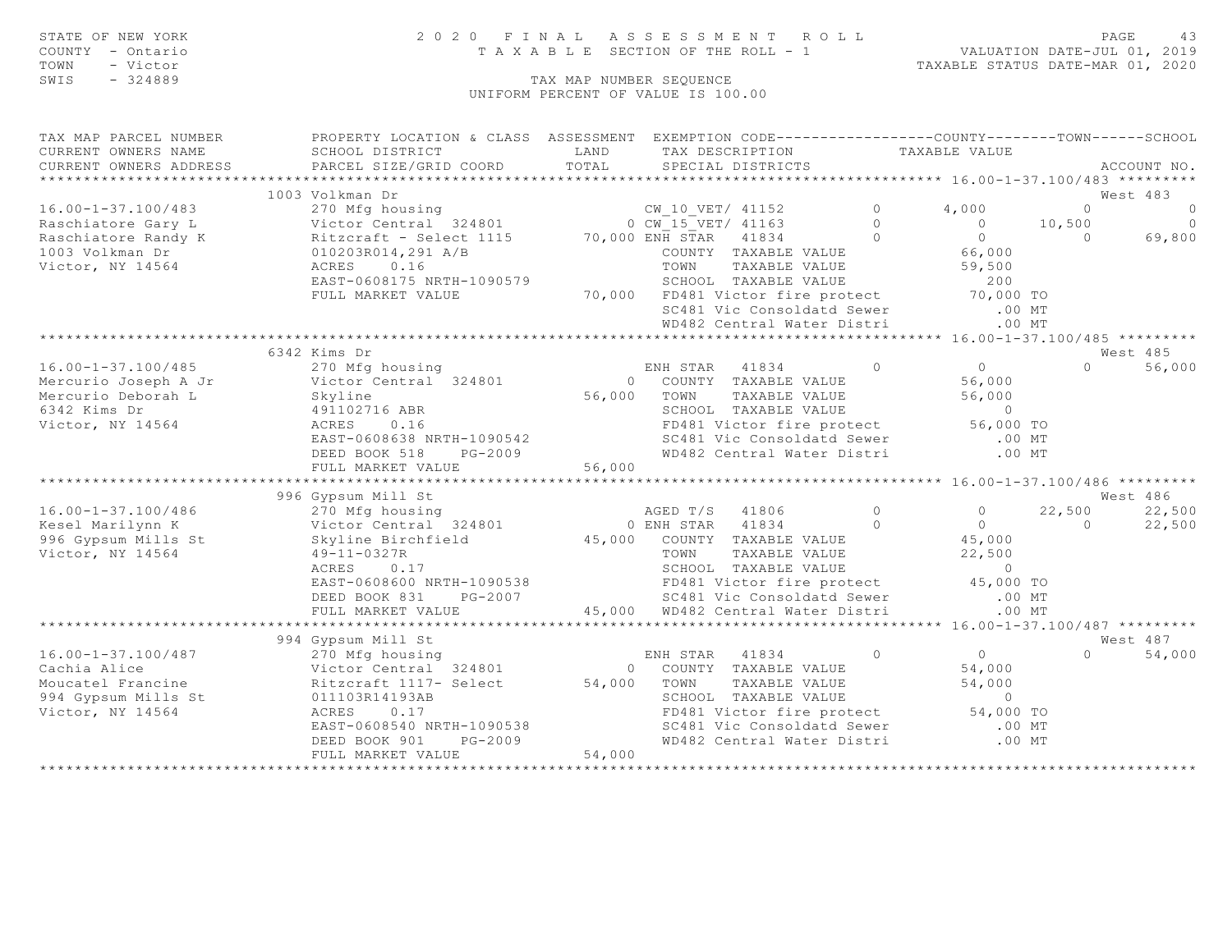|      | STATE OF NEW YORK | 2020 FINAL ASSESSMENT ROLL                                           | PAGE | 43 |
|------|-------------------|----------------------------------------------------------------------|------|----|
|      | COUNTY - Ontario  | VALUATION DATE-JUL 01, 2019<br>T A X A B L E SECTION OF THE ROLL - 1 |      |    |
| TOWN | - Victor          | TAXABLE STATUS DATE-MAR 01, 2020                                     |      |    |
| SWIS | - 324889          | TAX MAP NUMBER SEQUENCE                                              |      |    |
|      |                   | UNIFORM PERCENT OF VALUE IS 100.00                                   |      |    |

| UNIFORM PERCENT OF VALUE IS 100.00 |  |  |  |
|------------------------------------|--|--|--|

| TAX MAP PARCEL NUMBER<br>CURRENT OWNERS NAME<br>CURRENT OWNERS ADDRESS                                          | PROPERTY LOCATION & CLASS ASSESSMENT<br>SCHOOL DISTRICT<br>PARCEL SIZE/GRID COORD                                                                    | LAND<br>TOTAL | EXEMPTION CODE-----------------COUNTY-------TOWN------SCHOOL<br>TAX DESCRIPTION TAXABLE VALUE<br>SPECIAL DISTRICTS |                |                  |           | ACCOUNT NO.        |
|-----------------------------------------------------------------------------------------------------------------|------------------------------------------------------------------------------------------------------------------------------------------------------|---------------|--------------------------------------------------------------------------------------------------------------------|----------------|------------------|-----------|--------------------|
|                                                                                                                 |                                                                                                                                                      |               |                                                                                                                    |                |                  |           | West 483           |
| $16.00 - 1 - 37.100 / 483$                                                                                      |                                                                                                                                                      |               |                                                                                                                    | $\circ$        | 4,000            | $\Omega$  | $\Omega$           |
| Raschiatore Gary L                                                                                              |                                                                                                                                                      |               |                                                                                                                    | $\overline{0}$ | $\overline{0}$   | 10,500    | $\bigcirc$         |
| Raschiatore Randy K                                                                                             |                                                                                                                                                      |               |                                                                                                                    | $\Omega$       | $\Omega$         | $\bigcap$ | 69,800             |
| 1003 Volkman Dr                                                                                                 |                                                                                                                                                      |               | COUNTY TAXABLE VALUE                                                                                               |                | 66,000           |           |                    |
| Victor, NY 14564                                                                                                | 270 Mfg housing<br>Victor Central 324801 0 CW_15_VET/41152<br>K Ritzcraft - Select 1115 70,000 ENH STAR 41834<br>010203R014,291 A/B<br>ACRES<br>0.16 |               | TOWN<br>TAXABLE VALUE                                                                                              |                | 59,500           |           |                    |
|                                                                                                                 | EAST-0608175 NRTH-1090579                                                                                                                            |               | SCHOOL TAXABLE VALUE                                                                                               |                | 200              |           |                    |
|                                                                                                                 | FULL MARKET VALUE                                                                                                                                    |               | 70,000 FD481 Victor fire protect 70,000 TO                                                                         |                |                  |           |                    |
|                                                                                                                 |                                                                                                                                                      |               | SC481 Vic Consoldatd Sewer .00 MT                                                                                  |                |                  |           |                    |
|                                                                                                                 |                                                                                                                                                      |               | WD482 Central Water Distri                                                                                         |                | $.00$ MT         |           |                    |
|                                                                                                                 |                                                                                                                                                      |               |                                                                                                                    |                |                  |           |                    |
|                                                                                                                 | 6342 Kims Dr                                                                                                                                         |               |                                                                                                                    |                |                  |           | West 485           |
| $16.00 - 1 - 37.100 / 485$                                                                                      | 270 Mfg housing                                                                                                                                      |               | ENH STAR 41834                                                                                                     | $\bigcirc$     | $\overline{0}$   | $\Omega$  | 56,000             |
| Mercurio Joseph A Jr                                                                                            | Victor Central 324801                                                                                                                                |               | 0 COUNTY TAXABLE VALUE                                                                                             |                | 56,000           |           |                    |
|                                                                                                                 |                                                                                                                                                      | 56,000 TOWN   | TAXABLE VALUE                                                                                                      |                | 56,000           |           |                    |
| mercurio Deborah L<br>6342 Kims Dr<br>Victor, NY 14564<br>16 ACRES 0.16                                         |                                                                                                                                                      |               | SCHOOL TAXABLE VALUE                                                                                               |                | $\overline{0}$   |           |                    |
|                                                                                                                 |                                                                                                                                                      |               | FD481 Victor fire protect 56,000 TO                                                                                |                |                  |           |                    |
|                                                                                                                 | EAST-0608638 NRTH-1090542                                                                                                                            |               | SC481 Vic Consoldatd Sewer .00 MT<br>WD482 Central Water Distri .00 MT                                             |                |                  |           |                    |
|                                                                                                                 | $PG-2009$<br>DEED BOOK 518                                                                                                                           |               |                                                                                                                    |                |                  |           |                    |
|                                                                                                                 | FULL MARKET VALUE                                                                                                                                    | 56,000        |                                                                                                                    |                |                  |           |                    |
|                                                                                                                 |                                                                                                                                                      |               |                                                                                                                    |                |                  |           |                    |
| $16.00 - 1 - 37.100 / 486$                                                                                      | 996 Gypsum Mill St                                                                                                                                   |               |                                                                                                                    |                | $\circ$          | 22,500    | West 486<br>22,500 |
| Kesel Marilynn K                                                                                                |                                                                                                                                                      |               |                                                                                                                    |                | $\overline{0}$   | $\Omega$  | 22,500             |
| 996 Gypsum Mills St                                                                                             |                                                                                                                                                      |               |                                                                                                                    |                | 45,000           |           |                    |
| Victor, NY 14564                                                                                                | 49-11-0327R                                                                                                                                          |               | TAXABLE VALUE<br>TOWN                                                                                              |                | 22,500           |           |                    |
|                                                                                                                 | ACRES 0.17                                                                                                                                           |               | SCHOOL TAXABLE VALUE                                                                                               |                | $\sim$ 0         |           |                    |
|                                                                                                                 | EAST-0608600 NRTH-1090538                                                                                                                            |               | FD481 Victor fire protect 45,000 TO                                                                                |                |                  |           |                    |
|                                                                                                                 | DEED BOOK 831<br>PG-2007                                                                                                                             |               | SC481 Vic Consoldatd Sewer                                                                                         |                | .00 MT           |           |                    |
|                                                                                                                 | FULL MARKET VALUE                                                                                                                                    |               | 45,000 WD482 Central Water Distri                                                                                  |                | $.00$ MT         |           |                    |
|                                                                                                                 |                                                                                                                                                      |               |                                                                                                                    |                |                  |           |                    |
|                                                                                                                 | 994 Gypsum Mill St                                                                                                                                   |               |                                                                                                                    |                |                  |           | West 487           |
| $16.00 - 1 - 37.100 / 487$                                                                                      | 270 Mfg housing                                                                                                                                      |               | ENH STAR 41834                                                                                                     | $\overline{0}$ | $\overline{0}$   | $\Omega$  | 54,000             |
| Cachia Alice                                                                                                    | Victor Central 324801                                                                                                                                |               | 0 COUNTY TAXABLE VALUE                                                                                             |                | 54,000           |           |                    |
| Moucatel Francine                  Ritzcraft 1117- Select<br>994 Gypsum Mills St                 011103R14193AB |                                                                                                                                                      | 54,000 TOWN   | TAXABLE VALUE<br>TAXABLE VALUE                                                                                     |                | 54,000           |           |                    |
|                                                                                                                 |                                                                                                                                                      |               | SCHOOL TAXABLE VALUE                                                                                               |                | $\overline{0}$   |           |                    |
| Victor, NY 14564                                                                                                | ACRES<br>0.17                                                                                                                                        |               | FD481 Victor fire protect 54,000 TO                                                                                |                |                  |           |                    |
|                                                                                                                 | EAST-0608540 NRTH-1090538                                                                                                                            |               | SC481 Vic Consoldatd Sewer<br>WD482 Central Water Distri                                                           |                | .00 MT<br>.00 MT |           |                    |
|                                                                                                                 | DEED BOOK 901<br>PG-2009                                                                                                                             |               |                                                                                                                    |                |                  |           |                    |
|                                                                                                                 | FULL MARKET VALUE                                                                                                                                    | 54,000        |                                                                                                                    |                |                  |           |                    |
|                                                                                                                 |                                                                                                                                                      |               |                                                                                                                    |                |                  |           |                    |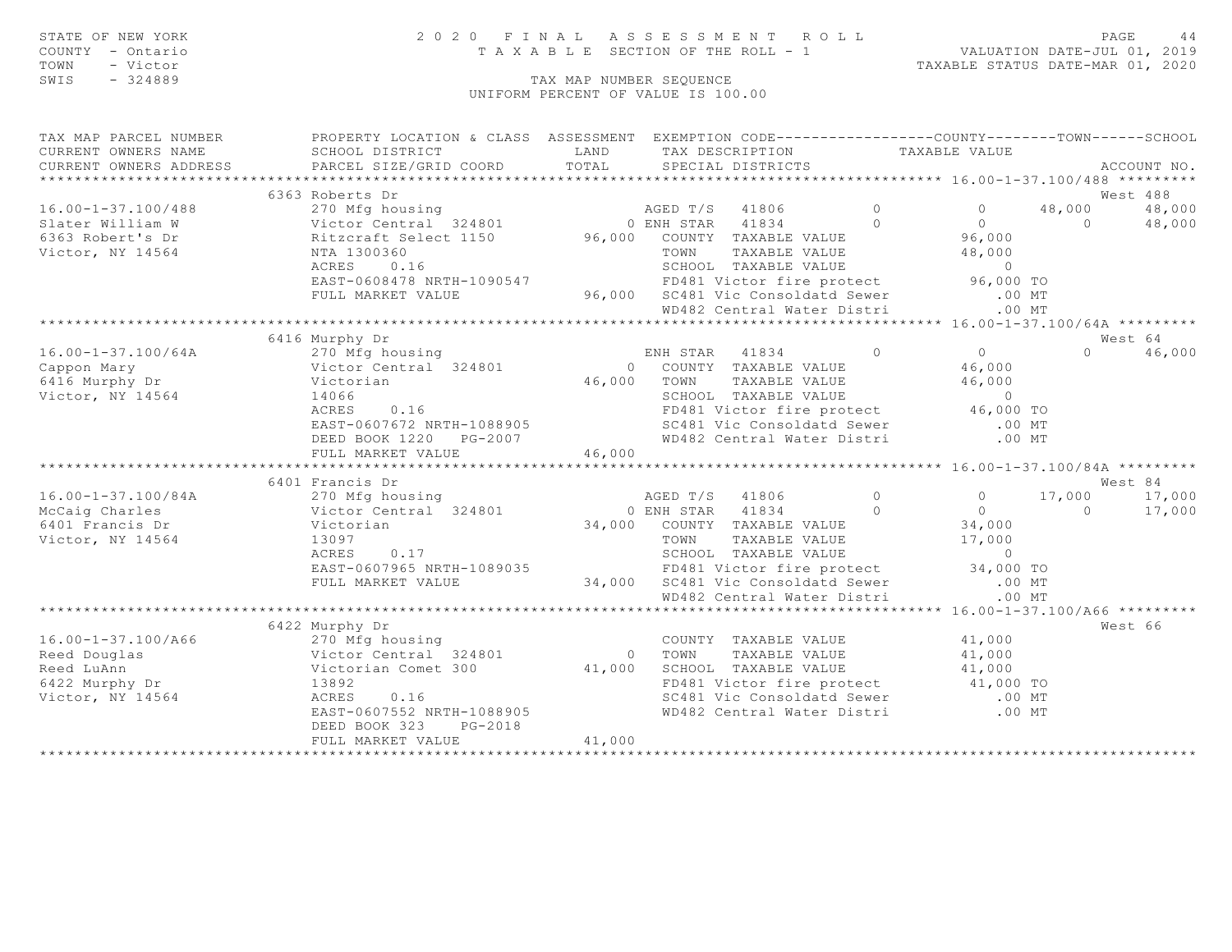| STATE OF NEW YORK | 2020 FINAL ASSESSMENT ROLL            | 44<br>PAGE                       |
|-------------------|---------------------------------------|----------------------------------|
| COUNTY - Ontario  | T A X A B L E SECTION OF THE ROLL - 1 | VALUATION DATE-JUL 01, 2019      |
| TOWN<br>- Victor  |                                       | TAXABLE STATUS DATE-MAR 01, 2020 |
| SWIS - 324889     | TAX MAP NUMBER SEOUENCE               |                                  |
|                   | UNIFORM PERCENT OF VALUE IS 100.00    |                                  |

| TAX MAP PARCEL NUMBER<br>CURRENT OWNERS NAME | PROPERTY LOCATION & CLASS ASSESSMENT EXEMPTION CODE----------------COUNTY-------TOWN------SCHOOL<br>SCHOOL DISTRICT                                                                                                                    |        | LAND TAX DESCRIPTION                                                                            | TAXABLE VALUE    |        |          |
|----------------------------------------------|----------------------------------------------------------------------------------------------------------------------------------------------------------------------------------------------------------------------------------------|--------|-------------------------------------------------------------------------------------------------|------------------|--------|----------|
| CURRENT OWNERS ADDRESS                       |                                                                                                                                                                                                                                        |        |                                                                                                 |                  |        |          |
|                                              |                                                                                                                                                                                                                                        |        |                                                                                                 |                  |        |          |
|                                              | 6363 Roberts Dr                                                                                                                                                                                                                        |        |                                                                                                 |                  |        | West 488 |
|                                              |                                                                                                                                                                                                                                        |        |                                                                                                 |                  |        |          |
|                                              |                                                                                                                                                                                                                                        |        |                                                                                                 |                  |        |          |
|                                              |                                                                                                                                                                                                                                        |        |                                                                                                 |                  |        |          |
|                                              |                                                                                                                                                                                                                                        |        |                                                                                                 |                  |        |          |
|                                              |                                                                                                                                                                                                                                        |        |                                                                                                 |                  |        |          |
|                                              |                                                                                                                                                                                                                                        |        |                                                                                                 |                  |        |          |
|                                              |                                                                                                                                                                                                                                        |        |                                                                                                 |                  |        |          |
|                                              | 16.00-1-37.100/488 b360 koberts Dr. 270 Mfg housing<br>Slater William W Victor Central 324801 0 ENH STAR 41834 0 0 0 48,000<br>Slater William W Victor Central 324801 0 ENH STAR 41834 0 0 0 48,000<br>Sing Dr. 270 Mfg housing<br>Sin |        |                                                                                                 |                  |        |          |
|                                              |                                                                                                                                                                                                                                        |        |                                                                                                 |                  |        |          |
|                                              | 6416 Murphy Dr                                                                                                                                                                                                                         |        |                                                                                                 |                  |        | West 64  |
| $16.00 - 1 - 37.100 / 64A$                   | 100/64A 270 Mfg housing<br>Victor Central 324801 0 COUNTY TAXABLE VALUE 46,000<br>Dr Victorian 14066 14066 5CHOOL TAXABLE VALUE 46,000<br>14564 14066 0                                                                                |        |                                                                                                 |                  | $\cap$ | 46,000   |
| Cappon Mary                                  |                                                                                                                                                                                                                                        |        | 0 COUNTY TAXABLE VALUE 46,000<br>46,000 TOWN TAXABLE VALUE 46,000<br>SCHOOL TAXABLE VALUE 0     |                  |        |          |
| 6416 Murphy Dr                               |                                                                                                                                                                                                                                        |        |                                                                                                 |                  |        |          |
| Victor, NY 14564                             |                                                                                                                                                                                                                                        |        |                                                                                                 |                  |        |          |
|                                              | 0.16<br>ACRES                                                                                                                                                                                                                          |        | FD481 Victor fire protect 46,000 TO                                                             |                  |        |          |
|                                              | EAST-0607672 NRTH-1088905                                                                                                                                                                                                              |        |                                                                                                 | .00 MT<br>.00 MT |        |          |
|                                              | DEED BOOK 1220 PG-2007                                                                                                                                                                                                                 |        |                                                                                                 |                  |        |          |
|                                              | FULL MARKET VALUE                                                                                                                                                                                                                      | 46,000 | SUNOUL<br>FD481 Victor fire protect<br>SC481 Vic Consoldatd Sewer<br>WD482 Central Water Distri |                  |        |          |
|                                              |                                                                                                                                                                                                                                        |        |                                                                                                 |                  |        |          |
|                                              | 6401 Francis Dr                                                                                                                                                                                                                        |        |                                                                                                 |                  |        | West 84  |
|                                              |                                                                                                                                                                                                                                        |        |                                                                                                 |                  |        |          |
|                                              |                                                                                                                                                                                                                                        |        |                                                                                                 |                  |        |          |
|                                              | 16.00-1-37.100/84A 270 Mfg housing<br>McCaig Charles 270 Mfg housing<br>6401 Francis Dr Victorian 324801 34,000 COUNTY TAXABLE VALUE 34,000<br>Victor, NY 14564 13097 12                                                               |        |                                                                                                 |                  |        |          |
|                                              |                                                                                                                                                                                                                                        |        |                                                                                                 |                  |        |          |
|                                              |                                                                                                                                                                                                                                        |        |                                                                                                 |                  |        |          |
|                                              |                                                                                                                                                                                                                                        |        |                                                                                                 |                  |        |          |
|                                              | ACRES 0.17<br>EAST-0607965 NRTH-1089035<br>FD481 Victor fire protect 34,000 TO<br>FD481 Victor fire protect 34,000 TO<br>FULL MARKET VALUE 34,000 SC481 Vic Consoldatd Sewer 0.00 MT<br>WD482 Central Water Distri 0.00 MT             |        |                                                                                                 |                  |        |          |
|                                              |                                                                                                                                                                                                                                        |        |                                                                                                 |                  |        |          |
|                                              | 6422 Murphy Dr                                                                                                                                                                                                                         |        |                                                                                                 |                  |        | West 66  |
| $16.00 - 1 - 37.100/A66$                     | 270 Mfg housing                                                                                                                                                                                                                        |        | COUNTY TAXABLE VALUE 41,000                                                                     |                  |        |          |
|                                              |                                                                                                                                                                                                                                        |        |                                                                                                 |                  |        |          |
|                                              |                                                                                                                                                                                                                                        |        |                                                                                                 |                  |        |          |
|                                              | er and the contract of the contract of the contract of the contract of the contract of the contract of the contract of the contract of the contract of the contract of the contract of the contract of the contract of the con         |        |                                                                                                 |                  |        |          |
| Victor, NY 14564                             | 0.16<br>ACRES                                                                                                                                                                                                                          |        | SC481 Vic Consoldatd Sewer .00 MT                                                               |                  |        |          |
|                                              | EAST-0607552 NRTH-1088905                                                                                                                                                                                                              |        | WD482 Central Water Distri .00 MT                                                               |                  |        |          |
|                                              | DEED BOOK 323 PG-2018                                                                                                                                                                                                                  |        |                                                                                                 |                  |        |          |
|                                              | FULL MARKET VALUE                                                                                                                                                                                                                      | 41,000 |                                                                                                 |                  |        |          |
|                                              |                                                                                                                                                                                                                                        |        |                                                                                                 |                  |        |          |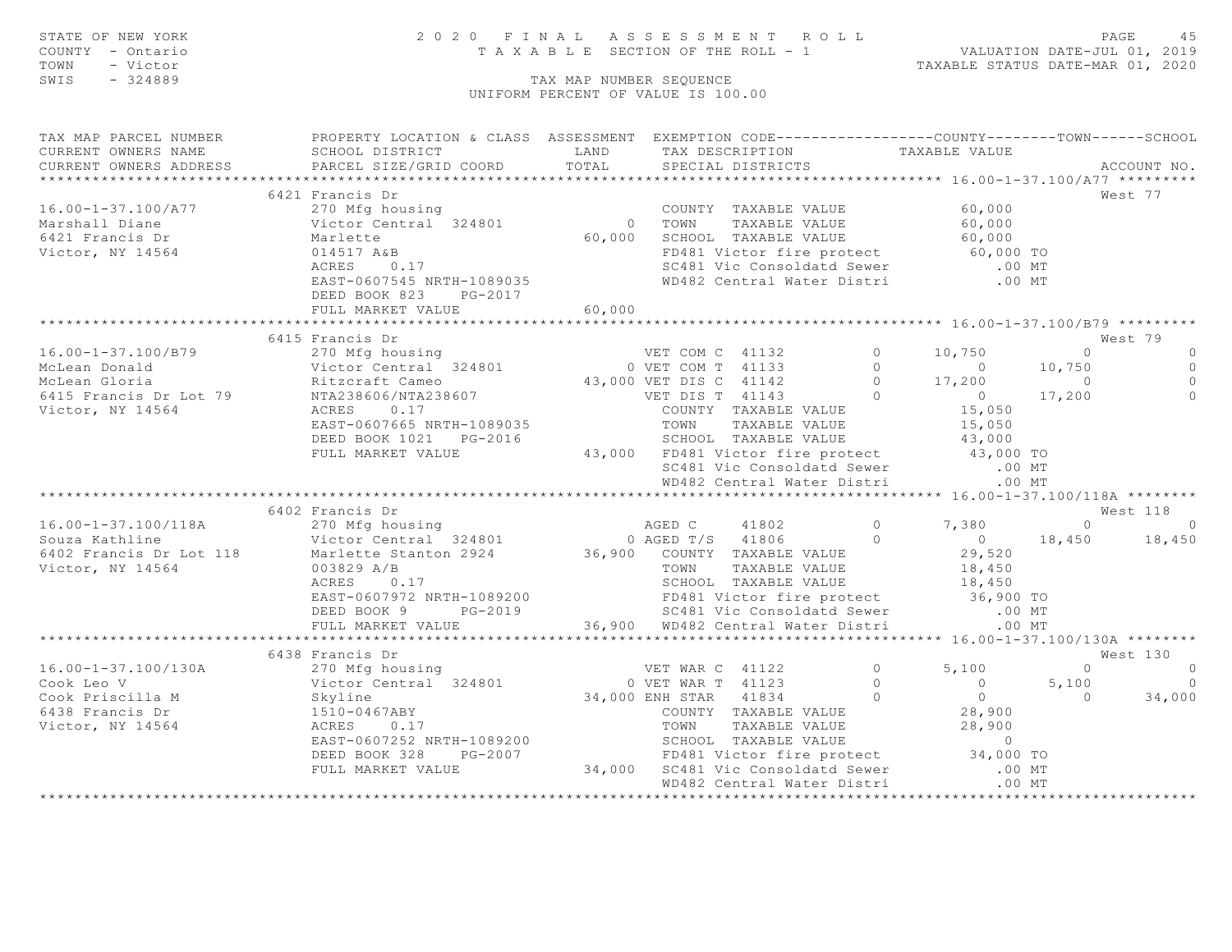| PARCEL SIZE/GRID COORD | TOTAL                                                                                                                                                | TAX DESCRIPTION<br>SPECIAL DISTRICTS                                                                                                                              |                                                                                                                                                 | ACCOUNT NO.                                                                                                                                                                                                                                                                                                                                                                                                                                                                                                                                                                                                                                                                                                                                                                                                                                                                                                                                                                                                                                                                                                                                                                                                                                                                                                                                                         |
|------------------------|------------------------------------------------------------------------------------------------------------------------------------------------------|-------------------------------------------------------------------------------------------------------------------------------------------------------------------|-------------------------------------------------------------------------------------------------------------------------------------------------|---------------------------------------------------------------------------------------------------------------------------------------------------------------------------------------------------------------------------------------------------------------------------------------------------------------------------------------------------------------------------------------------------------------------------------------------------------------------------------------------------------------------------------------------------------------------------------------------------------------------------------------------------------------------------------------------------------------------------------------------------------------------------------------------------------------------------------------------------------------------------------------------------------------------------------------------------------------------------------------------------------------------------------------------------------------------------------------------------------------------------------------------------------------------------------------------------------------------------------------------------------------------------------------------------------------------------------------------------------------------|
| 6421 Francis Dr        |                                                                                                                                                      |                                                                                                                                                                   |                                                                                                                                                 | West 77                                                                                                                                                                                                                                                                                                                                                                                                                                                                                                                                                                                                                                                                                                                                                                                                                                                                                                                                                                                                                                                                                                                                                                                                                                                                                                                                                             |
|                        |                                                                                                                                                      |                                                                                                                                                                   |                                                                                                                                                 |                                                                                                                                                                                                                                                                                                                                                                                                                                                                                                                                                                                                                                                                                                                                                                                                                                                                                                                                                                                                                                                                                                                                                                                                                                                                                                                                                                     |
| 6415 Francis Dr        |                                                                                                                                                      |                                                                                                                                                                   |                                                                                                                                                 | West 79<br>$\circ$<br>$\overline{0}$<br>$\Omega$<br>$\Omega$                                                                                                                                                                                                                                                                                                                                                                                                                                                                                                                                                                                                                                                                                                                                                                                                                                                                                                                                                                                                                                                                                                                                                                                                                                                                                                        |
|                        |                                                                                                                                                      |                                                                                                                                                                   |                                                                                                                                                 |                                                                                                                                                                                                                                                                                                                                                                                                                                                                                                                                                                                                                                                                                                                                                                                                                                                                                                                                                                                                                                                                                                                                                                                                                                                                                                                                                                     |
|                        |                                                                                                                                                      |                                                                                                                                                                   |                                                                                                                                                 | West 118                                                                                                                                                                                                                                                                                                                                                                                                                                                                                                                                                                                                                                                                                                                                                                                                                                                                                                                                                                                                                                                                                                                                                                                                                                                                                                                                                            |
|                        |                                                                                                                                                      |                                                                                                                                                                   |                                                                                                                                                 |                                                                                                                                                                                                                                                                                                                                                                                                                                                                                                                                                                                                                                                                                                                                                                                                                                                                                                                                                                                                                                                                                                                                                                                                                                                                                                                                                                     |
|                        |                                                                                                                                                      |                                                                                                                                                                   |                                                                                                                                                 | West 130<br>$\begin{array}{ccc} & 0 & 0 \\ 5 & 100 & 0 \end{array}$<br>34,000                                                                                                                                                                                                                                                                                                                                                                                                                                                                                                                                                                                                                                                                                                                                                                                                                                                                                                                                                                                                                                                                                                                                                                                                                                                                                       |
|                        | ************************<br>DEED BOOK 823 PG-2017<br>***************************<br>6402 Francis Dr<br>**************************<br>6438 Francis Dr | 16.00-1-37.100/A77<br>Marshall Diane 270 Mfg housing<br>6421 Francis Dr. Marlette<br>Victor, NY 14564 014517 A&B<br>ACRES 0.17<br>RAGE 200711 NATE 1000011 200001 | 2020 FINAL ASSESSMENT ROLL<br>TAX MAP NUMBER SEOUENCE<br>UNIFORM PERCENT OF VALUE IS 100.00<br>SCHOOL DISTRICT LAND<br>FULL MARKET VALUE 60,000 | PAGE 45 A S S E S S M E N T R O L L<br>T A X A B L E SECTION OF THE ROLL - 1 VALUATION DATE-JUL 01, 2019<br>TAXABLE STATUS DATE-MAR 01, 2020<br>TAX MAP PARCEL NUMBER <b>The PROPERTY LOCATION &amp; CLASS</b> ASSESSMENT EXEMPTION CODE---------------COUNTY-------TOWN------SCHOOL<br>TAXABLE VALUE<br>COUNTY TAXABLE VALUE 60,000<br>Victor Central 324801 0 TOWN TAXABLE VALUE 60,000<br>Marlette 60,000 SCHOOL TAXABLE VALUE 60,000<br>014517 A&B FD481 Victor fire protect 60,000 TOWN SCHOOL TAXABLE VALUE 60,000<br>ACRES 0.17 SC481 Vic Consoldatd Sewer .00 MT<br>EA<br>$\begin{tabular}{l c c c c c} \hline 16.00-1-37.100/B79 & 6415 Francis Dr \\ \hline McLean Donald & 270 M of the horizontal & 324801 & 0 VET COM C & 41132 & 0 & 10,750 & 0 \\ \hline McLean Gloria & 210 M of the horizontal & 324801 & 0 VET COM T & 41133 & 0 & 0 & 10,750 \\ \hline K1Eean Gloria & 101123 & 10 & 0 & 10,750 & 0 \\ \hline K1Erancis Dr Lot & 79 & 11423 & 43,000 VET$<br>$\begin{array}{cccccc} 16.00-1-37.100/130 {\rm A} & 6438\text{ Francis Dr} & 270\text{ Mg}\text{ [b.00-1]}\end{array} & 6438\text{ Francis Dr} & 270\text{ Mg}\text{ [b.00-1]}\end{array} \qquad \begin{array}{cccccc} 6438\text{ Francis Dr} & 0 & 5,100 & 0 \\ 200\text{A} & 270\text{A} & 324801 & 0 \\ 6438\text{ Francis Dr} & 34,000\text{ EN} & 34,000\text{ EN} & 741123 &$ |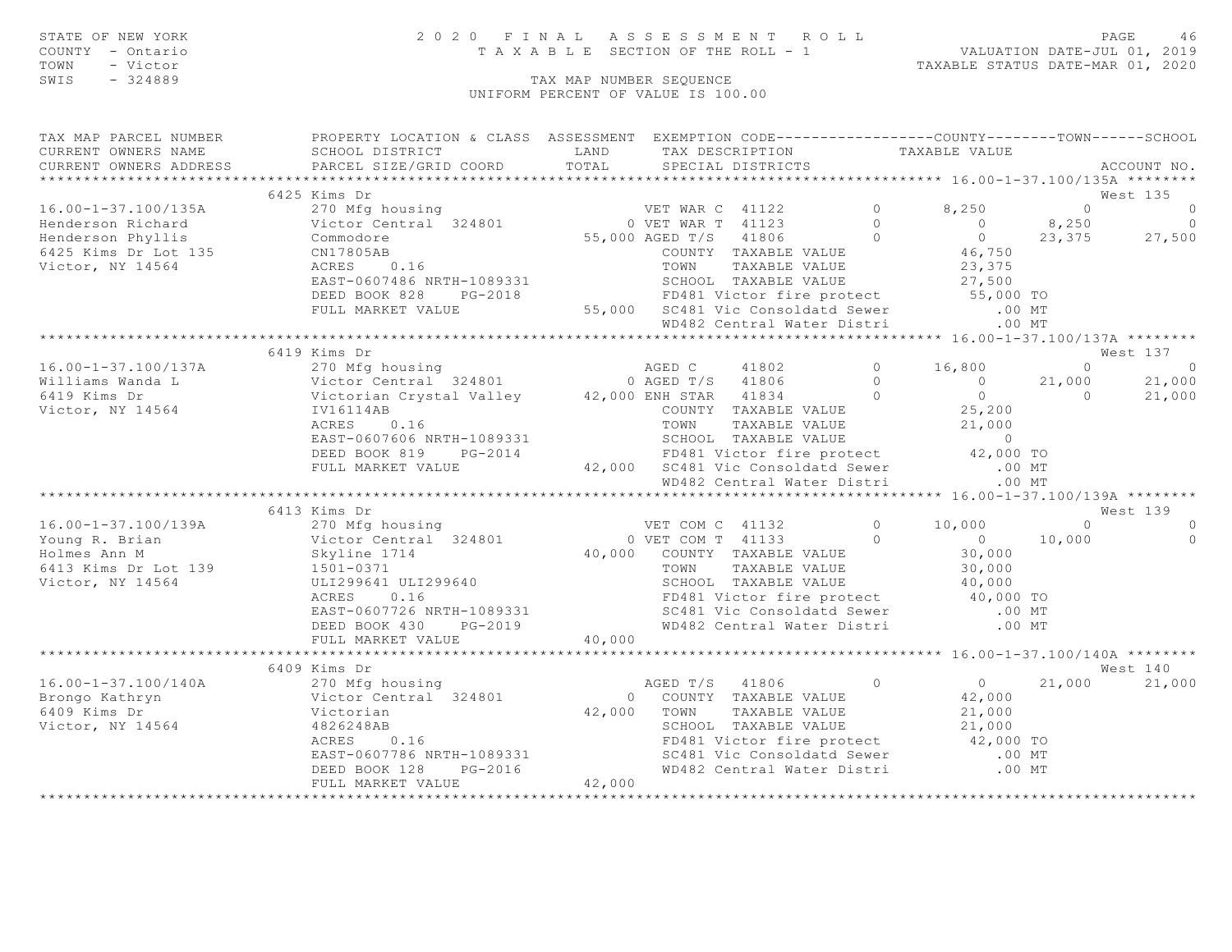|      | STATE OF NEW YORK | 2020 FINAL ASSESSMENT ROLL      |                                  | PAGE | 46 |
|------|-------------------|---------------------------------|----------------------------------|------|----|
|      | COUNTY - Ontario  | TAXABLE SECTION OF THE ROLL - 1 | VALUATION DATE-JUL 01, 2019      |      |    |
| TOWN | - Victor          |                                 | TAXABLE STATUS DATE-MAR 01, 2020 |      |    |
| SWIS | - 324889          | TAX MAP NUMBER SEOUENCE         |                                  |      |    |

|  | UNIFORM PERCENT OF VALUE IS 100.00 |  |  |
|--|------------------------------------|--|--|

| TAX MAP PARCEL NUMBER PROPERTY LOCATION & CLASS ASSESSMENT EXEMPTION CODE-----------------COUNTY--------TOWN-----SCHOOL<br>CURRENT OWNERS NAME SCHOOL DISTRICT LAND TAX DESCRIPTION TAXABLE VALUE<br>CURRENT OWNERS ADDRESS PARCEL S                         |                                   |  |        |          |
|--------------------------------------------------------------------------------------------------------------------------------------------------------------------------------------------------------------------------------------------------------------|-----------------------------------|--|--------|----------|
|                                                                                                                                                                                                                                                              |                                   |  |        |          |
| 6425 Kims Dr                                                                                                                                                                                                                                                 |                                   |  |        | West 135 |
|                                                                                                                                                                                                                                                              |                                   |  |        |          |
|                                                                                                                                                                                                                                                              |                                   |  |        |          |
|                                                                                                                                                                                                                                                              |                                   |  |        |          |
|                                                                                                                                                                                                                                                              |                                   |  |        |          |
|                                                                                                                                                                                                                                                              |                                   |  |        |          |
|                                                                                                                                                                                                                                                              |                                   |  |        |          |
|                                                                                                                                                                                                                                                              |                                   |  |        |          |
|                                                                                                                                                                                                                                                              |                                   |  |        |          |
|                                                                                                                                                                                                                                                              |                                   |  |        |          |
|                                                                                                                                                                                                                                                              |                                   |  |        |          |
| 6419 Kims Dr                                                                                                                                                                                                                                                 |                                   |  |        | West 137 |
|                                                                                                                                                                                                                                                              |                                   |  |        |          |
|                                                                                                                                                                                                                                                              |                                   |  |        |          |
|                                                                                                                                                                                                                                                              |                                   |  |        |          |
|                                                                                                                                                                                                                                                              |                                   |  |        |          |
|                                                                                                                                                                                                                                                              |                                   |  |        |          |
|                                                                                                                                                                                                                                                              |                                   |  |        |          |
|                                                                                                                                                                                                                                                              |                                   |  |        |          |
|                                                                                                                                                                                                                                                              |                                   |  |        |          |
| 16.00-1-37.100/137A $^{6419}$ Kims Dr (16.00-1-37.100/137A $^{6419}$ COVITY AGED C 41802 0 16,800 0 16,800 0 0 21,000 0<br>Williams Wanda L Victor Central 324801 0 AGED T/S 41806 0 0 21,000 21,000 0<br>Wictor, NY 14564 IV16114A                          |                                   |  |        |          |
|                                                                                                                                                                                                                                                              |                                   |  |        |          |
| 6413 Kims Dr                                                                                                                                                                                                                                                 |                                   |  |        | West 139 |
|                                                                                                                                                                                                                                                              |                                   |  |        | $\Omega$ |
|                                                                                                                                                                                                                                                              |                                   |  |        |          |
|                                                                                                                                                                                                                                                              |                                   |  |        |          |
|                                                                                                                                                                                                                                                              |                                   |  |        |          |
|                                                                                                                                                                                                                                                              |                                   |  |        |          |
|                                                                                                                                                                                                                                                              |                                   |  |        |          |
| 16.00-1-37.100/139A<br>Young R. Brian 270 Mfg housing<br>Young R. Brian 270 Mfg housing<br>Holmes Ann M<br>Skyline 1714 40,000 COUNTY TAXABLE VALUE 30,000<br>TOWN TAXABLE VALUE 30,000<br>TOWN TAXABLE VALUE 30,000<br>Yictor, NY 14564 UL<br>DEED BOOK 430 | WD482 Central Water Distri .00 MT |  |        |          |
| $PG-2019$<br>LUE $40,000$<br>FULL MARKET VALUE                                                                                                                                                                                                               |                                   |  |        |          |
|                                                                                                                                                                                                                                                              |                                   |  |        |          |
| 6409 Kims Dr                                                                                                                                                                                                                                                 |                                   |  |        | West 140 |
|                                                                                                                                                                                                                                                              |                                   |  | 21,000 | 21,000   |
|                                                                                                                                                                                                                                                              |                                   |  |        |          |
|                                                                                                                                                                                                                                                              |                                   |  |        |          |
|                                                                                                                                                                                                                                                              |                                   |  |        |          |
|                                                                                                                                                                                                                                                              |                                   |  |        |          |
|                                                                                                                                                                                                                                                              |                                   |  |        |          |
|                                                                                                                                                                                                                                                              |                                   |  |        |          |
| EAST-060786 NRTH-1089331 EAST-060786 NRTH-1089331 EAST-060786 NRTH-1089331 EAST-060786 NRTH-1089331 SC481 Victor Life process (1988) CALL MARKET VALUE 42,000 NRTH-1089331 SC481 Victor Consoldatd Sewer .00 MT<br>DEED BOOK 128                             |                                   |  |        |          |
|                                                                                                                                                                                                                                                              |                                   |  |        |          |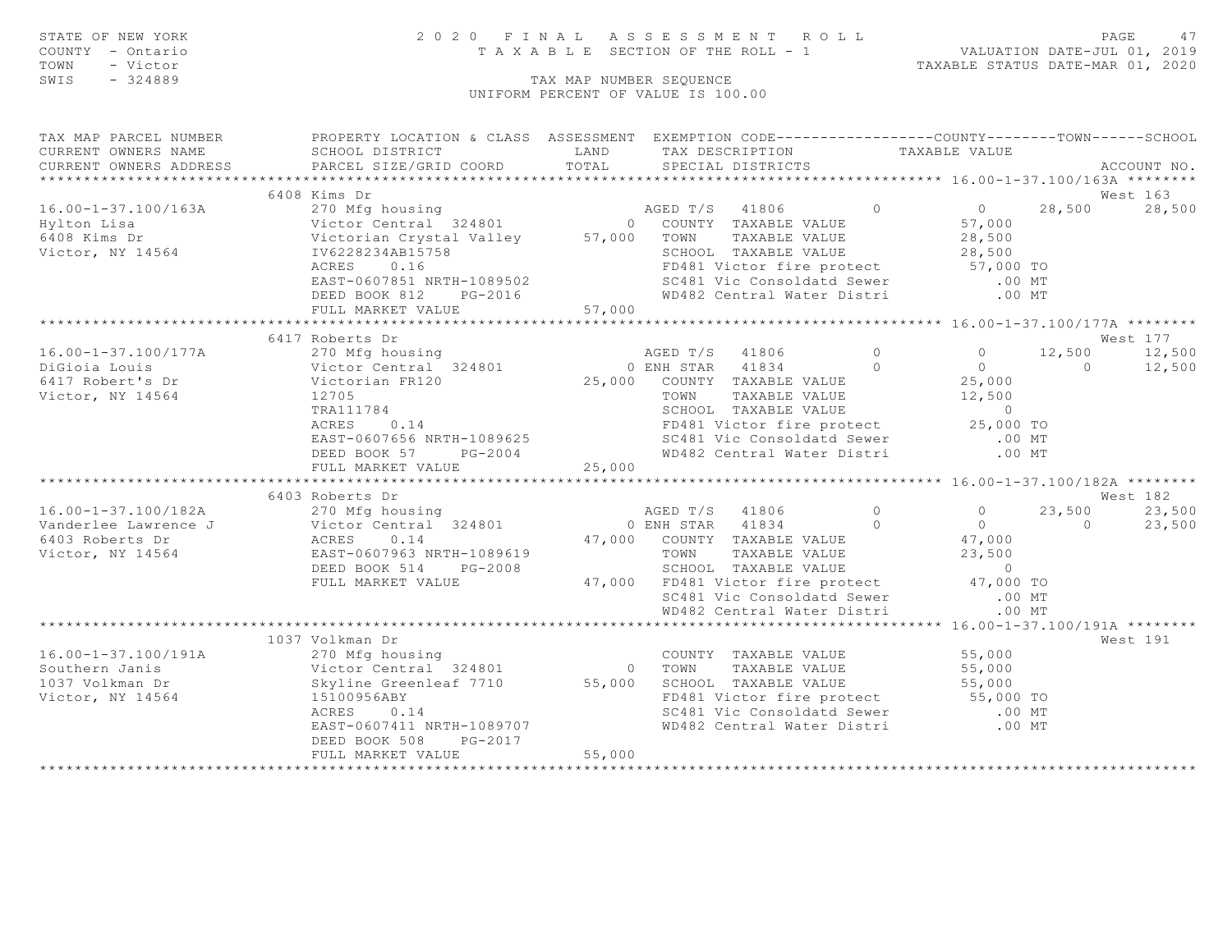| STATE OF NEW YORK<br>COUNTY - Ontario<br>TOWN - Victor<br>SWIS - 324889 |                                                                                                                                                                                                                                                                                                                                                  |        | PAGE 47 7 A X A B L E SECTION OF THE ROLL 5 7 A X A B L E SECTION OF THE ROLL 5 7 A X A B L E SECTION OF THE ROLL 5 7 A X A B L E SECTION OF THE ROLL 5 7 A X A B L E SECTION OF THE ROLL 5 1<br>TAX MAP NUMBER SEQUENCE<br>UNIFORM PERCENT OF VALUE IS 100.00 |                  |
|-------------------------------------------------------------------------|--------------------------------------------------------------------------------------------------------------------------------------------------------------------------------------------------------------------------------------------------------------------------------------------------------------------------------------------------|--------|----------------------------------------------------------------------------------------------------------------------------------------------------------------------------------------------------------------------------------------------------------------|------------------|
|                                                                         | TAX MAP PARCEL NUMBER THE PROPERTY LOCATION & CLASS ASSESSMENT EXEMPTION CODE---------------COUNTY-------TOWN------SCHOOL<br>CURRENT OWNERS NAME SCHOOL DISTRICT A LAND TAX DESCRIPTION TAXABLE VALUE                                                                                                                                            |        |                                                                                                                                                                                                                                                                |                  |
|                                                                         | 6408 Kims Dr                                                                                                                                                                                                                                                                                                                                     |        |                                                                                                                                                                                                                                                                | West 163         |
|                                                                         |                                                                                                                                                                                                                                                                                                                                                  |        |                                                                                                                                                                                                                                                                |                  |
|                                                                         |                                                                                                                                                                                                                                                                                                                                                  |        |                                                                                                                                                                                                                                                                |                  |
|                                                                         | 6417 Roberts Dr<br>$\begin{array}{cccccccc} 16.00-1-37.100/177A & 6417 Roberts Dr & 8270 Mfg hoolising & 0 & 0 & 12,500 & 12,500 \\ \hline 270 Mfg hoolising & 24801 & 0 & 0 & 12,500 & 12,500 \\ 6417 Roberts Dr & 270Mg hoolising & 25,000 & 12,500 & 0 & 12,500 \\ 6417 Roberts Dr & 12705 & 25,000 & 0 & 12,500 \\ 700 Mf & 12705 & 2705 & $ |        |                                                                                                                                                                                                                                                                | West 177         |
|                                                                         | 6403 Roberts Dr                                                                                                                                                                                                                                                                                                                                  |        |                                                                                                                                                                                                                                                                | West 182         |
|                                                                         | 16.00-1-37.100/182A<br>Vanderlee Lawrence J<br>Victor Central 324801<br>Vanderlee Lawrence J<br>Victor, NY 14564<br>Victor, NY 14564<br>EAST-0607963 NRTH-1089619<br>DEED BOOK 514<br>FG-2008<br>FULL MARKET VALUE<br>FULL MARKET VALUE<br>TOWN TAX                                                                                              |        |                                                                                                                                                                                                                                                                | 23,500<br>23,500 |
|                                                                         |                                                                                                                                                                                                                                                                                                                                                  |        |                                                                                                                                                                                                                                                                |                  |
|                                                                         | 1037 Volkman Dr<br>16.00-1-37.100/191A 100% 1918<br>Southern Janis 100% 270 Mfg housing<br>270 Mfg housing 1037 Volkman Dr Skyline Greenleaf 7710 55,000 SCHOOL TAXABLE VALUE 55,000<br>1037 Volkman Dr Skyline Greenleaf 7710 55,000 SCHOOL TAXABLE VA<br>EAST-0607411 NRTH-1089707<br>DEED BOOK 508 PG-2017<br>FULL MARKET VALUE               | 55,000 | FD481 Victor fire protect 55,000 TO<br>SC481 Vic Consoldatd Sewer .00 MT<br>WD482 Central Water Distri .00 MT                                                                                                                                                  | West 191         |

\*\*\*\*\*\*\*\*\*\*\*\*\*\*\*\*\*\*\*\*\*\*\*\*\*\*\*\*\*\*\*\*\*\*\*\*\*\*\*\*\*\*\*\*\*\*\*\*\*\*\*\*\*\*\*\*\*\*\*\*\*\*\*\*\*\*\*\*\*\*\*\*\*\*\*\*\*\*\*\*\*\*\*\*\*\*\*\*\*\*\*\*\*\*\*\*\*\*\*\*\*\*\*\*\*\*\*\*\*\*\*\*\*\*\*\*\*\*\*\*\*\*\*\*\*\*\*\*\*\*\*\*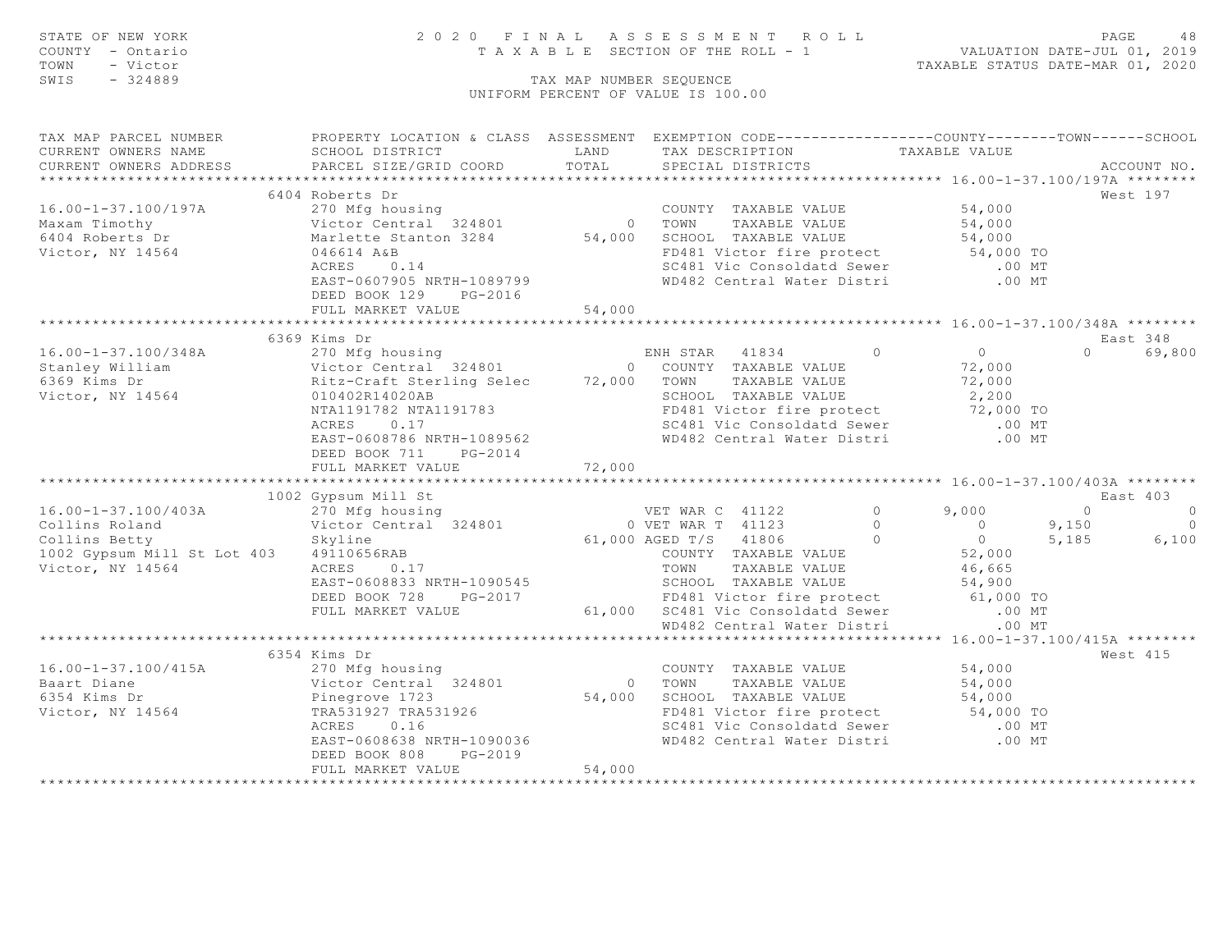| STATE OF NEW YORK<br>COUNTY - Ontario<br>TOWN<br>- Victor<br>$-324889$<br>SWIS                                                                                                                                                                         |                                                                                               | TAX MAP NUMBER SEOUENCE             | 2020 FINAL ASSESSMENT ROLL<br>T A X A B L E SECTION OF THE ROLL - 1<br>UNIFORM PERCENT OF VALUE IS 100.00                                                                                                                                            | <sup>28</sup> TAGE 48<br>VALUATION DATE-JUL 01, 2019<br>TAXABLE STATUS DATE-MAR 01, 2020 | PAGE                       | 48             |
|--------------------------------------------------------------------------------------------------------------------------------------------------------------------------------------------------------------------------------------------------------|-----------------------------------------------------------------------------------------------|-------------------------------------|------------------------------------------------------------------------------------------------------------------------------------------------------------------------------------------------------------------------------------------------------|------------------------------------------------------------------------------------------|----------------------------|----------------|
| TAX MAP PARCEL NUMBER THE PROPERTY LOCATION & CLASS ASSESSMENT EXEMPTION CODE--------------COUNTY-------TOWN------SCHOOL<br>CURRENT OWNERS NAME                                                                                                        | SCHOOL DISTRICT                                                                               |                                     | LAND TAX DESCRIPTION                                                                                                                                                                                                                                 | TAXABLE VALUE                                                                            |                            |                |
| CURRENT OWNERS ADDRESS                                                                                                                                                                                                                                 | PARCEL SIZE/GRID COORD                                                                        | TOTAL                               | SPECIAL DISTRICTS                                                                                                                                                                                                                                    |                                                                                          | ACCOUNT NO.                |                |
|                                                                                                                                                                                                                                                        | 6404 Roberts Dr                                                                               |                                     |                                                                                                                                                                                                                                                      |                                                                                          | West 197                   |                |
| 16.00-1-37.100/197A                                                                                                                                                                                                                                    |                                                                                               |                                     | COUNTY TAXABLE VALUE                                                                                                                                                                                                                                 | 54,000                                                                                   |                            |                |
| Maxam Timothy                                                                                                                                                                                                                                          | 270 Mfg housing<br>Victor Central 324801<br>Marlette Stanton 3284<br>046614 A&B<br>ACRES 0.14 |                                     | 0 TOWN TAXABLE VALUE                                                                                                                                                                                                                                 |                                                                                          |                            |                |
| 6404 Roberts Dr                                                                                                                                                                                                                                        |                                                                                               |                                     | 54,000 SCHOOL TAXABLE VALUE                                                                                                                                                                                                                          | 54,000<br>54,000                                                                         |                            |                |
| Victor, NY 14564                                                                                                                                                                                                                                       |                                                                                               |                                     | FD481 Victor fire protect 54,000 TO<br>SC481 Vic Consoldatd Sewer .00 MT                                                                                                                                                                             |                                                                                          |                            |                |
|                                                                                                                                                                                                                                                        |                                                                                               |                                     |                                                                                                                                                                                                                                                      | .00 MT                                                                                   |                            |                |
|                                                                                                                                                                                                                                                        | EAST-0607905 NRTH-1089799                                                                     |                                     | WD482 Central Water Distri                                                                                                                                                                                                                           | $.00$ MT                                                                                 |                            |                |
|                                                                                                                                                                                                                                                        | DEED BOOK 129    PG-2016                                                                      |                                     |                                                                                                                                                                                                                                                      |                                                                                          |                            |                |
|                                                                                                                                                                                                                                                        | FULL MARKET VALUE<br>******************************                                           | 54,000<br>* * * * * * * * * * * * * |                                                                                                                                                                                                                                                      |                                                                                          |                            |                |
|                                                                                                                                                                                                                                                        | 6369 Kims Dr                                                                                  |                                     |                                                                                                                                                                                                                                                      |                                                                                          | East 348                   |                |
|                                                                                                                                                                                                                                                        |                                                                                               |                                     | $\Omega$                                                                                                                                                                                                                                             | $\overline{0}$                                                                           | $\cap$<br>69,800           |                |
|                                                                                                                                                                                                                                                        |                                                                                               |                                     |                                                                                                                                                                                                                                                      |                                                                                          |                            |                |
|                                                                                                                                                                                                                                                        |                                                                                               |                                     |                                                                                                                                                                                                                                                      | 72,000<br>72,000                                                                         |                            |                |
|                                                                                                                                                                                                                                                        |                                                                                               |                                     | SCHOOL TAXABLE VALUE                                                                                                                                                                                                                                 | 2,200                                                                                    |                            |                |
| 16.00-1-37.100/348A 270 Mfg housing<br>Stanley William Victor Central 324801 0 COUNTY TAXABLE VALUE<br>6369 Kims Dr Ritz-Craft Sterling Selec 72,000 TOWN TAXABLE VALUE<br>Victor, NY 14564 010402R14020AB SCHOOL TAXABLE VALUE<br>NTA                 |                                                                                               |                                     | FD481 Victor fire protect                                                                                                                                                                                                                            | 72,000 TO                                                                                |                            |                |
|                                                                                                                                                                                                                                                        |                                                                                               |                                     | SC481 Vic Consoldatd Sewer<br>WD482 Central Water Distri                                                                                                                                                                                             | .00 MT<br>.00 MT                                                                         |                            |                |
|                                                                                                                                                                                                                                                        | EAST-0608786 NRTH-1089562                                                                     |                                     |                                                                                                                                                                                                                                                      |                                                                                          |                            |                |
|                                                                                                                                                                                                                                                        | DEED BOOK 711 PG-2014<br>FULL MARKET VALUE                                                    | 72,000                              |                                                                                                                                                                                                                                                      |                                                                                          |                            |                |
|                                                                                                                                                                                                                                                        |                                                                                               |                                     |                                                                                                                                                                                                                                                      |                                                                                          |                            |                |
|                                                                                                                                                                                                                                                        | 1002 Gypsum Mill St                                                                           |                                     |                                                                                                                                                                                                                                                      |                                                                                          | East 403                   |                |
| 16.00-1-37.100/403A<br>270 Mfg housing<br>Collins Roland<br>Collins Betty<br>1002 Gypsum Mill St Lot 403<br>Victor, NY 14564<br>ROLAGES<br>270 Mfg housing<br>270 Mfg housing<br>270 Mfg housing<br>270 Mfg housing<br>270 Mfg housing<br>270 Mfg hous |                                                                                               |                                     | VET WAR C 41122 0                                                                                                                                                                                                                                    | 9,000                                                                                    | $\overline{0}$<br>$\Omega$ |                |
|                                                                                                                                                                                                                                                        |                                                                                               |                                     | 0 VET WAR T 41123<br>$\overline{0}$                                                                                                                                                                                                                  |                                                                                          |                            | $\overline{0}$ |
|                                                                                                                                                                                                                                                        |                                                                                               |                                     | 61,000 AGED T/S 41806 0                                                                                                                                                                                                                              | $\begin{bmatrix} 0 & 9,150 \\ 0 & 5,185 \end{bmatrix}$                                   | 6,100                      |                |
|                                                                                                                                                                                                                                                        |                                                                                               |                                     | COUNTY TAXABLE VALUE                                                                                                                                                                                                                                 |                                                                                          |                            |                |
|                                                                                                                                                                                                                                                        |                                                                                               |                                     |                                                                                                                                                                                                                                                      | 46,665<br>54,900                                                                         |                            |                |
|                                                                                                                                                                                                                                                        |                                                                                               |                                     | ACRES 0.17<br>EAST-0608833 NRTH-1090545<br>DEED BOOK 728 PG-2017<br>FOULL MARKET VALUE<br>FOULL MARKET VALUE<br>FOULL MARKET VALUE<br>FOULL MARKET VALUE<br>FOULL MARKET VALUE<br>FOULL MARKET VALUE<br>FOULL MARKET VALUE<br>FOULL MARKET VALUE<br> | 61,000 TO                                                                                |                            |                |
|                                                                                                                                                                                                                                                        |                                                                                               |                                     |                                                                                                                                                                                                                                                      | .00 MT                                                                                   |                            |                |
|                                                                                                                                                                                                                                                        |                                                                                               |                                     | WD482 Central Water Distri                                                                                                                                                                                                                           | $.00$ MT                                                                                 |                            |                |
|                                                                                                                                                                                                                                                        |                                                                                               |                                     |                                                                                                                                                                                                                                                      |                                                                                          |                            |                |
|                                                                                                                                                                                                                                                        | 6354 Kims Dr                                                                                  |                                     |                                                                                                                                                                                                                                                      |                                                                                          | West 415                   |                |
|                                                                                                                                                                                                                                                        |                                                                                               |                                     | COUNTY TAXABLE VALUE<br>COUNTY<br>0 TOWN<br>54,000 COUNTY                                                                                                                                                                                            | 54,000                                                                                   |                            |                |
|                                                                                                                                                                                                                                                        |                                                                                               |                                     | TAXABLE VALUE                                                                                                                                                                                                                                        | 54,000                                                                                   |                            |                |
|                                                                                                                                                                                                                                                        |                                                                                               |                                     | 54,000 SCHOOL TAXABLE VALUE                                                                                                                                                                                                                          | 54,000                                                                                   |                            |                |
| 16.00-1-37.100/415A<br>Baart Diane<br>6354 Kims Dr<br>Victor, NY 14564<br>Pinegrove 1723<br>RAS31927 TRA531926<br>ACRES 0.16                                                                                                                           |                                                                                               |                                     | FD481 Victor fire protect 54,000 TO<br>SC481 Vic Consoldatd Sewer .00 MT                                                                                                                                                                             |                                                                                          |                            |                |
|                                                                                                                                                                                                                                                        | EAST-0608638 NRTH-1090036                                                                     |                                     | WD482 Central Water Distri                                                                                                                                                                                                                           | .00 MT                                                                                   |                            |                |
|                                                                                                                                                                                                                                                        | DEED BOOK 808<br>PG-2019                                                                      |                                     |                                                                                                                                                                                                                                                      |                                                                                          |                            |                |
|                                                                                                                                                                                                                                                        | FULL MARKET VALUE                                                                             | 54,000                              |                                                                                                                                                                                                                                                      |                                                                                          |                            |                |
|                                                                                                                                                                                                                                                        |                                                                                               |                                     |                                                                                                                                                                                                                                                      |                                                                                          |                            |                |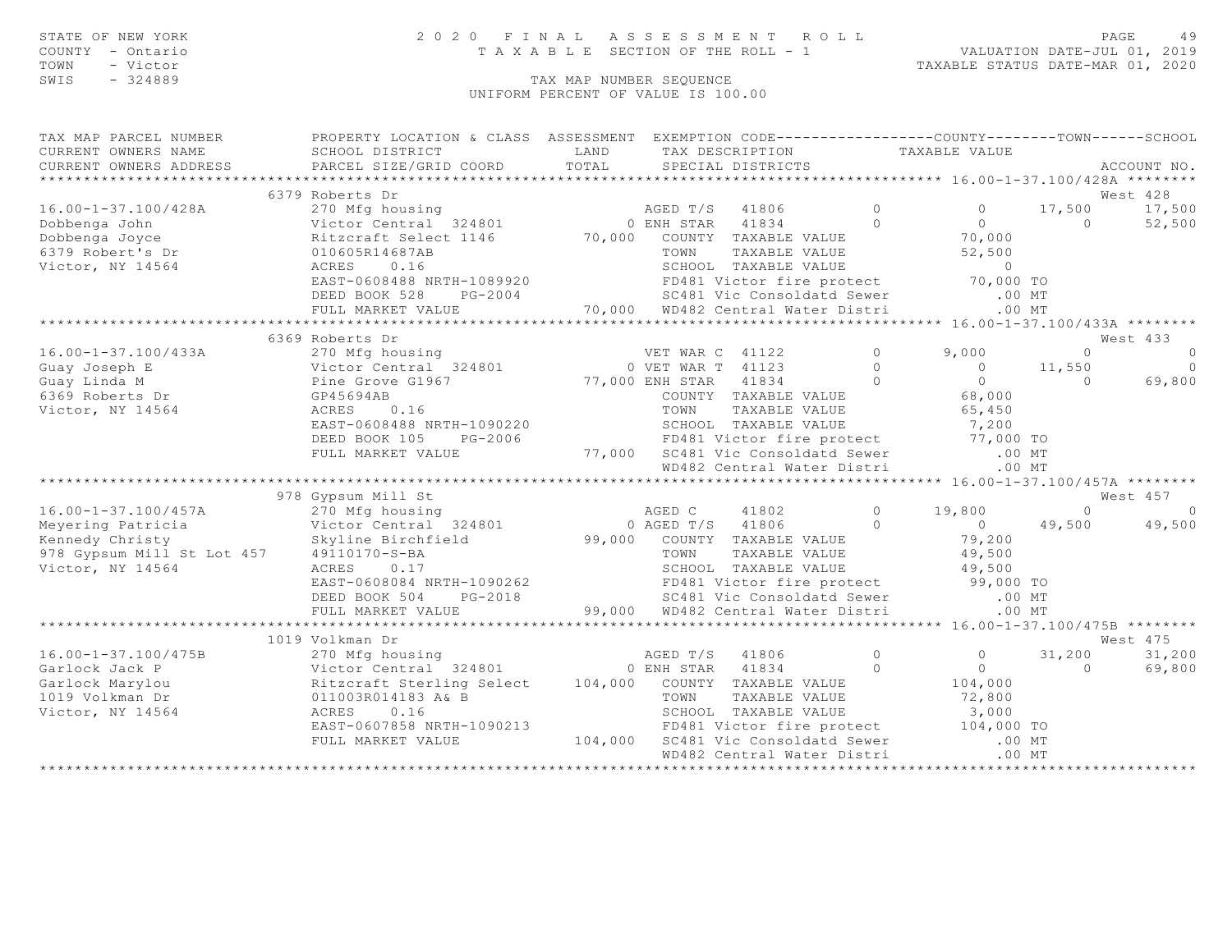| STATE OF NEW YORK | 2020 FINAL ASSESSMENT ROLL      |                                  | PAGE                        | 49 |
|-------------------|---------------------------------|----------------------------------|-----------------------------|----|
| COUNTY - Ontario  | TAXABLE SECTION OF THE ROLL - 1 |                                  | VALUATION DATE-JUL 01, 2019 |    |
| TOWN<br>- Victor  |                                 | TAXABLE STATUS DATE-MAR 01, 2020 |                             |    |
| SWIS<br>$-324889$ | TAX MAP NUMBER SEOUENCE         |                                  |                             |    |

TAX MAP PARCEL NUMBER PROPERTY LOCATION & CLASS ASSESSMENT EXEMPTION CODE-----------------COUNTY-------TOWN------SCHOOL

| CURRENT OWNERS NAME SCHOOL DISTRICT                    |                                                                                                                                                                                                                                        | LAND             | TAX DESCRIPTION                                                                                                                         | TAXABLE VALUE                                        |                |
|--------------------------------------------------------|----------------------------------------------------------------------------------------------------------------------------------------------------------------------------------------------------------------------------------------|------------------|-----------------------------------------------------------------------------------------------------------------------------------------|------------------------------------------------------|----------------|
| CURRENT OWNERS ADDRESS                                 | PARCEL SIZE/GRID COORD                                                                                                                                                                                                                 | TOTAL            | SPECIAL DISTRICTS                                                                                                                       |                                                      | ACCOUNT NO.    |
|                                                        | 6379 Roberts Dr                                                                                                                                                                                                                        |                  |                                                                                                                                         |                                                      | West 428       |
|                                                        | 16.00-1-37.100/428A 6379 Roberts Dr<br>16.00-1-37.100/428A 7020 Mfg housing Roberts of Microsoft Central 324801 70,000 CONFITAR 41834 0 0 17,500 17,500<br>17,500 70000 17,500 7000 7000 717<br>17,500 80000000000000000000000000000   |                  |                                                                                                                                         |                                                      |                |
|                                                        |                                                                                                                                                                                                                                        |                  |                                                                                                                                         |                                                      |                |
|                                                        |                                                                                                                                                                                                                                        |                  |                                                                                                                                         |                                                      |                |
|                                                        |                                                                                                                                                                                                                                        |                  |                                                                                                                                         |                                                      |                |
|                                                        |                                                                                                                                                                                                                                        |                  |                                                                                                                                         |                                                      |                |
|                                                        |                                                                                                                                                                                                                                        |                  |                                                                                                                                         |                                                      |                |
|                                                        |                                                                                                                                                                                                                                        |                  |                                                                                                                                         |                                                      |                |
|                                                        |                                                                                                                                                                                                                                        |                  |                                                                                                                                         |                                                      |                |
|                                                        |                                                                                                                                                                                                                                        |                  |                                                                                                                                         |                                                      |                |
|                                                        | 6369 Roberts Dr                                                                                                                                                                                                                        |                  |                                                                                                                                         |                                                      | West 433       |
|                                                        |                                                                                                                                                                                                                                        |                  |                                                                                                                                         |                                                      | $\overline{0}$ |
|                                                        | 16.00-1-37.100/433A 270 Mfg housing<br>Guay Joseph E Victor Central 324801 0 VET WAR T 41123 0<br>Guay Linda M Pine Grove G1967 77,000 ENH STAR 41834 0<br>Victor, NY 14564 ACRES 0.16 TOWN' TAXABLE VALUE<br>Victor, NY 14564 ACRES 0 |                  | ENH STAR 41834 0 0 11,550<br>COUNTY TAXABLE VALUE 68,000<br>TOWN TAXABLE VALUE 68,000<br>SCHOOL TAXABLE VALUE 65,450<br>FD481 Victor fi |                                                      | $\overline{0}$ |
|                                                        |                                                                                                                                                                                                                                        |                  |                                                                                                                                         |                                                      | 69,800         |
|                                                        |                                                                                                                                                                                                                                        | $\frac{1}{1000}$ |                                                                                                                                         |                                                      |                |
|                                                        |                                                                                                                                                                                                                                        |                  |                                                                                                                                         |                                                      |                |
|                                                        | EAST-0608488 NRTH-1090220<br>DEED BOOK 105 PG-2006 FD481 Victor fire protect 77,000 TO<br>FULL MARKET VALUE 77,000 SC481 Victor fire protect 77,000 TO<br>FULL MARKET VALUE 77,000 SC481 Vic Consoldatd Sewer 00 MT<br>WD482 Central W |                  |                                                                                                                                         |                                                      |                |
|                                                        |                                                                                                                                                                                                                                        |                  |                                                                                                                                         |                                                      |                |
|                                                        |                                                                                                                                                                                                                                        |                  |                                                                                                                                         |                                                      |                |
|                                                        |                                                                                                                                                                                                                                        |                  |                                                                                                                                         |                                                      |                |
|                                                        |                                                                                                                                                                                                                                        |                  |                                                                                                                                         |                                                      |                |
|                                                        |                                                                                                                                                                                                                                        |                  |                                                                                                                                         |                                                      |                |
|                                                        |                                                                                                                                                                                                                                        |                  |                                                                                                                                         |                                                      |                |
|                                                        |                                                                                                                                                                                                                                        |                  |                                                                                                                                         |                                                      |                |
|                                                        |                                                                                                                                                                                                                                        |                  |                                                                                                                                         |                                                      |                |
|                                                        |                                                                                                                                                                                                                                        |                  |                                                                                                                                         |                                                      |                |
|                                                        |                                                                                                                                                                                                                                        |                  |                                                                                                                                         |                                                      |                |
|                                                        |                                                                                                                                                                                                                                        |                  |                                                                                                                                         |                                                      |                |
|                                                        |                                                                                                                                                                                                                                        |                  |                                                                                                                                         |                                                      |                |
|                                                        |                                                                                                                                                                                                                                        |                  |                                                                                                                                         |                                                      |                |
|                                                        |                                                                                                                                                                                                                                        |                  |                                                                                                                                         |                                                      |                |
|                                                        | 1019 Volkman Dr                                                                                                                                                                                                                        |                  |                                                                                                                                         |                                                      | West 475       |
|                                                        |                                                                                                                                                                                                                                        |                  |                                                                                                                                         |                                                      |                |
|                                                        |                                                                                                                                                                                                                                        |                  |                                                                                                                                         |                                                      |                |
|                                                        |                                                                                                                                                                                                                                        |                  |                                                                                                                                         | $41806$ 0<br>$41834$ 0 0 0 31,200 31,200<br>0 69,800 |                |
|                                                        |                                                                                                                                                                                                                                        |                  |                                                                                                                                         |                                                      |                |
| 1019 Volkman Dr 011003R014183 A& B<br>Victor, NY 14564 |                                                                                                                                                                                                                                        |                  |                                                                                                                                         |                                                      |                |
|                                                        |                                                                                                                                                                                                                                        |                  |                                                                                                                                         |                                                      |                |
|                                                        | 011003R014183 A& B<br>0.16 ACRES 0.16 SCHOOL TAXABLE VALUE 72,800<br>EAST-0607858 NRTH-1090213 FD481 Victor fire protect 104,000 TO<br>FULL MARKET VALUE 104,000 SCHOOL CONSIDERT 100 MT<br>104,000 SCHOOL CONSIDERT 109.000 MT        |                  | WD482 Central Water Distri                                                                                                              | $.00$ MT                                             |                |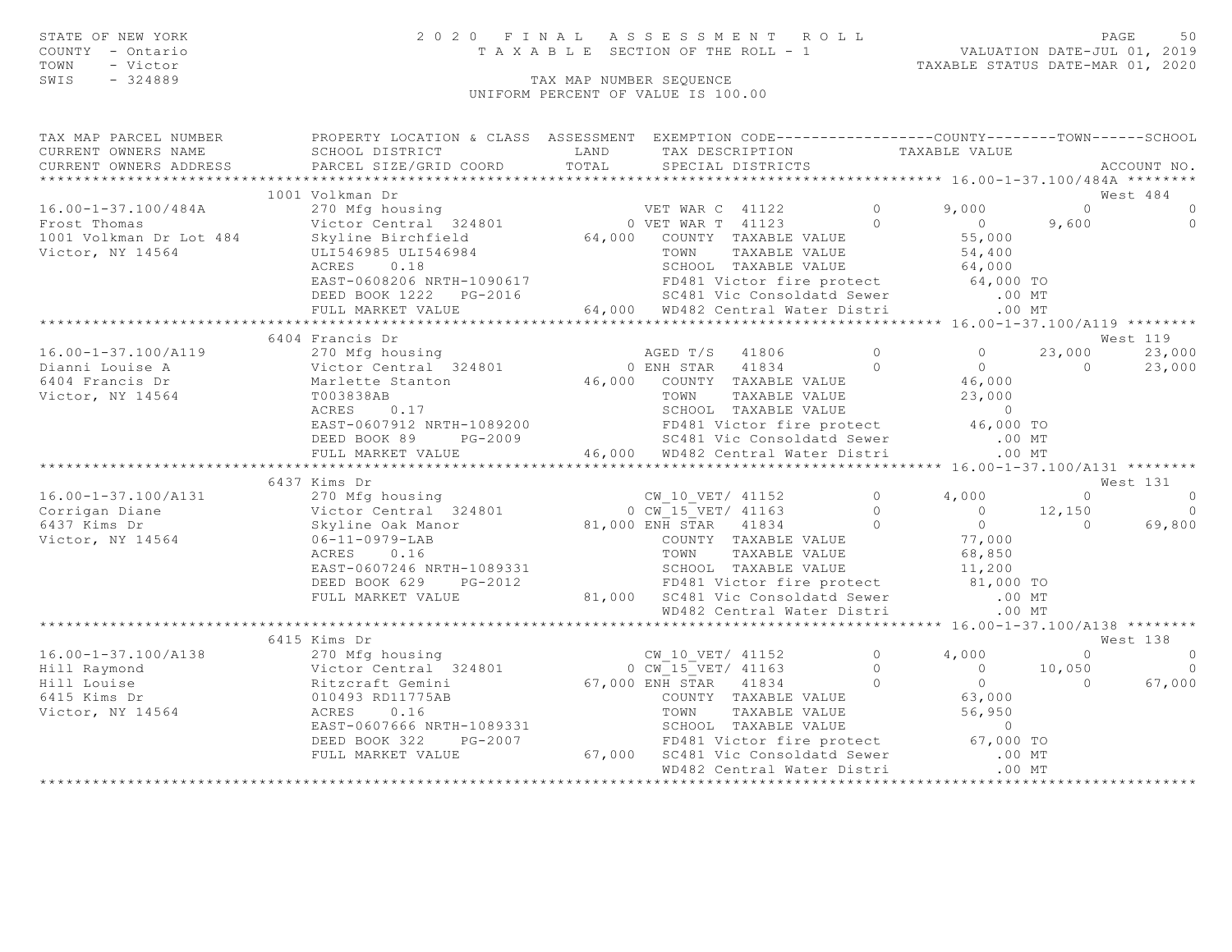| STATE OF NEW YORK | 2020 FINAL ASSESSMENT ROLL      |                                  | PAGE | 50 |
|-------------------|---------------------------------|----------------------------------|------|----|
| COUNTY - Ontario  | TAXABLE SECTION OF THE ROLL - 1 | VALUATION DATE-JUL 01, 2019      |      |    |
| TOWN<br>- Victor  |                                 | TAXABLE STATUS DATE-MAR 01, 2020 |      |    |
| SWIS<br>- 324889  | TAX MAP NUMBER SEQUENCE         |                                  |      |    |

TAX MAP PARCEL NUMBER PROPERTY LOCATION & CLASS ASSESSMENT EXEMPTION CODE-----------------COUNTY-------TOWN------SCHOOL

| CURRENT OWNERS NAME THE SCHOOL DISTRICT                                                                                                                                                                                                 |                                                                                                                                                                                                                                                | LAND  | TAX DESCRIPTION   |                                                                                              |          | TAXABLE VALUE                                                             |                |             |
|-----------------------------------------------------------------------------------------------------------------------------------------------------------------------------------------------------------------------------------------|------------------------------------------------------------------------------------------------------------------------------------------------------------------------------------------------------------------------------------------------|-------|-------------------|----------------------------------------------------------------------------------------------|----------|---------------------------------------------------------------------------|----------------|-------------|
| CURRENT OWNERS ADDRESS                                                                                                                                                                                                                  | PARCEL SIZE/GRID COORD                                                                                                                                                                                                                         | TOTAL | SPECIAL DISTRICTS |                                                                                              |          |                                                                           |                | ACCOUNT NO. |
|                                                                                                                                                                                                                                         |                                                                                                                                                                                                                                                |       |                   |                                                                                              |          |                                                                           |                |             |
|                                                                                                                                                                                                                                         | 1001 Volkman Dr                                                                                                                                                                                                                                |       |                   |                                                                                              |          |                                                                           |                | West 484    |
| 16.00-1-37.100/484A 270 Mfg housing by the MBC 41122 origins of the MET WAR C 41122 origins of the MET WAR C 4<br>1001 Volkman Dr Lot 484 Skyline Birchfield 64,000 COUNTY TAXABLE VALUE                                                |                                                                                                                                                                                                                                                |       |                   |                                                                                              |          | $\begin{array}{ccc} 0 & & 9,000 \ 0 & & & 0 \ 0 & & & 55,000 \end{array}$ | $\Omega$       | $\circ$     |
|                                                                                                                                                                                                                                         |                                                                                                                                                                                                                                                |       |                   |                                                                                              |          |                                                                           | 9,600          | $\Omega$    |
|                                                                                                                                                                                                                                         |                                                                                                                                                                                                                                                |       |                   |                                                                                              |          |                                                                           |                |             |
|                                                                                                                                                                                                                                         |                                                                                                                                                                                                                                                |       |                   | TAXABLE VALUE                                                                                |          |                                                                           |                |             |
|                                                                                                                                                                                                                                         |                                                                                                                                                                                                                                                |       |                   |                                                                                              |          | 54,400<br>64,000                                                          |                |             |
|                                                                                                                                                                                                                                         |                                                                                                                                                                                                                                                |       |                   |                                                                                              |          |                                                                           |                |             |
|                                                                                                                                                                                                                                         |                                                                                                                                                                                                                                                |       |                   |                                                                                              |          |                                                                           |                |             |
|                                                                                                                                                                                                                                         |                                                                                                                                                                                                                                                |       |                   |                                                                                              |          |                                                                           |                |             |
|                                                                                                                                                                                                                                         |                                                                                                                                                                                                                                                |       |                   |                                                                                              |          |                                                                           |                |             |
|                                                                                                                                                                                                                                         | 6404 Francis Dr                                                                                                                                                                                                                                |       |                   |                                                                                              |          |                                                                           |                | West 119    |
| 16.00-1-37.100/A119                                                                                                                                                                                                                     |                                                                                                                                                                                                                                                |       |                   | AGED T/S 41806 0                                                                             |          | $\overline{0}$                                                            | 23,000         | 23,000      |
| Dianni Louise A                                                                                                                                                                                                                         | 19 270 Mfg housing<br>Victor Central 324801<br>Marlette Stanton                                                                                                                                                                                |       |                   | 0 ENH STAR 41834 0                                                                           |          |                                                                           |                | 23,000      |
| 6404 Francis Dr                                                                                                                                                                                                                         |                                                                                                                                                                                                                                                |       |                   | 46,000 COUNTY TAXABLE VALUE                                                                  |          | $\begin{array}{ccc} & 0 & & 0 \\ 4\,6\,,\,0\,0\,0 & & & \end{array}$      |                |             |
| Victor, NY 14564 (1003838AB TOWN TAXABLE VALUE 23,000<br>EAST-0607912 NRTH-1089200 FD481 Victor fire protect 46,000 TO<br>EED BOOK 89 PG-2009 46,000 WD482 Central Water Distri .00 MT<br>FULL MARKET VALUE 46,000 WD482 Central Wat    |                                                                                                                                                                                                                                                |       |                   |                                                                                              |          |                                                                           |                |             |
|                                                                                                                                                                                                                                         |                                                                                                                                                                                                                                                |       |                   |                                                                                              |          |                                                                           |                |             |
|                                                                                                                                                                                                                                         |                                                                                                                                                                                                                                                |       |                   |                                                                                              |          |                                                                           |                |             |
|                                                                                                                                                                                                                                         |                                                                                                                                                                                                                                                |       |                   |                                                                                              |          |                                                                           |                |             |
|                                                                                                                                                                                                                                         |                                                                                                                                                                                                                                                |       |                   |                                                                                              |          |                                                                           |                |             |
|                                                                                                                                                                                                                                         |                                                                                                                                                                                                                                                |       |                   |                                                                                              |          |                                                                           |                |             |
| 6437 Kims Dr                                                                                                                                                                                                                            |                                                                                                                                                                                                                                                |       |                   |                                                                                              |          |                                                                           |                | West 131    |
|                                                                                                                                                                                                                                         |                                                                                                                                                                                                                                                |       |                   | CW 10 VET/ 41152                                                                             | $\Omega$ | 4,000                                                                     | $\bigcirc$     | $\bigcirc$  |
|                                                                                                                                                                                                                                         |                                                                                                                                                                                                                                                |       |                   |                                                                                              | $\circ$  | $\overline{0}$                                                            | 12,150         | $\Omega$    |
| 16.00-1-37.100/A131 270 Mfg housing CONTERT/ 41152<br>Corrigan Diane Victor Central 324801 0 CW_15_VET/ 41163<br>6437 Kims Dr Skyline Oak Manor 81,000 ENH STAR 41834<br>Victor, NY 14564 06-11-0979-LAB COUNTY TAXABLE VALUE           |                                                                                                                                                                                                                                                |       |                   | 81,000 ENH STAR 41834 0                                                                      |          |                                                                           |                |             |
|                                                                                                                                                                                                                                         |                                                                                                                                                                                                                                                |       |                   |                                                                                              |          |                                                                           |                |             |
|                                                                                                                                                                                                                                         |                                                                                                                                                                                                                                                |       |                   | 41834 0 0 0 0 69,800<br>TAXABLE VALUE 77,000<br>TAXABLE VALUE 68,850<br>TAXABLE VALUE 11,200 |          |                                                                           |                |             |
|                                                                                                                                                                                                                                         |                                                                                                                                                                                                                                                |       |                   |                                                                                              |          |                                                                           |                |             |
|                                                                                                                                                                                                                                         |                                                                                                                                                                                                                                                |       |                   |                                                                                              |          |                                                                           |                |             |
|                                                                                                                                                                                                                                         |                                                                                                                                                                                                                                                |       |                   |                                                                                              |          |                                                                           |                |             |
|                                                                                                                                                                                                                                         | 06-11-0979-LAB<br>ACRES 0.16<br>EAST-0607246 NRTH-1089331<br>DEED BOOK 629 PG-2012<br>FOWN TAXABLE VALUE 68,850<br>SCHOOL TAXABLE VALUE 68,850<br>FD481 Victor fire protect 81,000 TO<br>FD481 Victor fire protect 81,000 TO<br>FD481 Victor f |       |                   |                                                                                              |          |                                                                           |                |             |
|                                                                                                                                                                                                                                         |                                                                                                                                                                                                                                                |       |                   |                                                                                              |          |                                                                           |                |             |
|                                                                                                                                                                                                                                         | 6415 Kims Dr                                                                                                                                                                                                                                   |       |                   |                                                                                              |          |                                                                           |                | West 138    |
|                                                                                                                                                                                                                                         |                                                                                                                                                                                                                                                |       |                   |                                                                                              |          | 4,000                                                                     | $\Omega$       | $\bigcirc$  |
| 16.00-1-37.100/A138 270 Mfg housing CW_10_VET/ 41152 0<br>Hill Raymond Victor Central 324801 0 CW_15_VET/ 41163 0<br>Hill Louise Ritzcraft Gemini 67,000 ENH STAR 41834 0<br>67,000 ENH STAR 41834 0<br>COUNTY TAXABLE VALUE<br>Victor, |                                                                                                                                                                                                                                                |       |                   |                                                                                              |          | $\overline{0}$                                                            | 10,050         | $\Omega$    |
|                                                                                                                                                                                                                                         |                                                                                                                                                                                                                                                |       |                   |                                                                                              |          |                                                                           | $\overline{0}$ | 67,000      |
|                                                                                                                                                                                                                                         |                                                                                                                                                                                                                                                |       |                   |                                                                                              |          |                                                                           |                |             |
|                                                                                                                                                                                                                                         |                                                                                                                                                                                                                                                |       |                   |                                                                                              |          |                                                                           |                |             |
|                                                                                                                                                                                                                                         |                                                                                                                                                                                                                                                |       |                   |                                                                                              |          |                                                                           |                |             |
|                                                                                                                                                                                                                                         |                                                                                                                                                                                                                                                |       |                   |                                                                                              |          |                                                                           |                |             |
|                                                                                                                                                                                                                                         |                                                                                                                                                                                                                                                |       |                   |                                                                                              |          |                                                                           |                |             |
|                                                                                                                                                                                                                                         |                                                                                                                                                                                                                                                |       |                   |                                                                                              |          |                                                                           |                |             |
|                                                                                                                                                                                                                                         | Victor Central 324801<br>Ritzcraft Gemini 67,000 ENH STAR 41834<br>010493 RD11775AB<br>ACRES 0.16<br>ACRES 0.16<br>EAST-060766 NRTH-1089331 SCHOOL TAXABLE VALUE 56,950<br>EAST-060766 NRTH-1089331 SCHOOL TAXABLE VALUE 56,950<br>DEED BOOK   |       |                   | WD482 Central Water Distri                                                                   |          | .00MT                                                                     |                |             |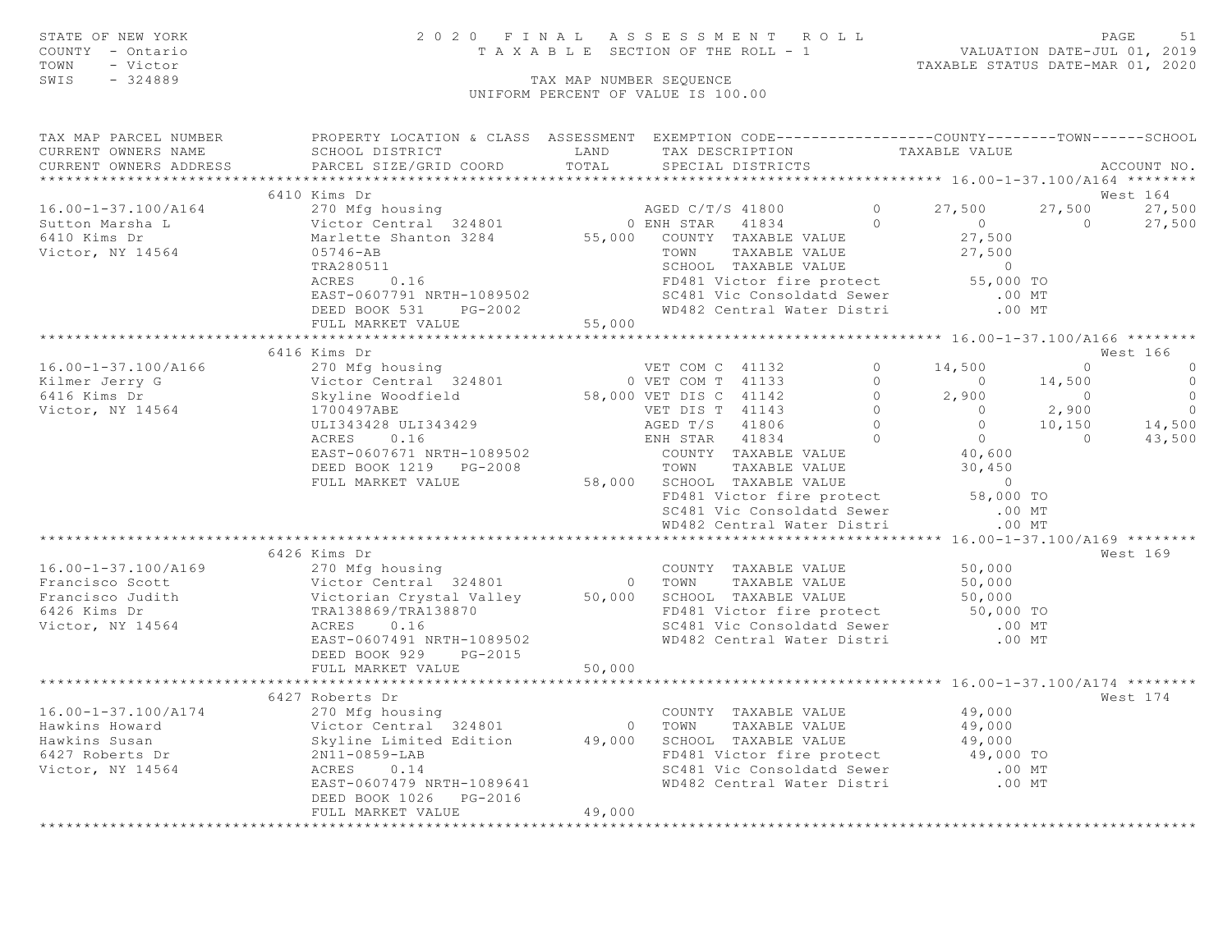| STATE OF NEW YORK<br>COUNTY - Ontario<br>TOWN - Victor<br>SWIS - 324889                                                                                                                                                                                                                                   | 2020 FINAL ASSESSMENT ROLL PAGE 51<br>TAXABLE SECTION OF THE ROLL - 1 VALUATION DATE-JUL 01, 2019<br>TAXABLE STATUS DATE-MAR 01, 2020 |        | TAX MAP NUMBER SEQUENCE<br>UNIFORM PERCENT OF VALUE IS 100.00 |                                                   |             |
|-----------------------------------------------------------------------------------------------------------------------------------------------------------------------------------------------------------------------------------------------------------------------------------------------------------|---------------------------------------------------------------------------------------------------------------------------------------|--------|---------------------------------------------------------------|---------------------------------------------------|-------------|
| TAX MAP PARCEL NUMBER           PROPERTY LOCATION & CLASS ASSESSMENT EXEMPTION CODE----------------COUNTY-------TOWN------SCHOOL CURRENT OWNERS NAME                  SCHOOL DISTRICT                 LAND        TAX DESCRIPT<br>CURRENT OWNERS ADDRESS 6 PARCEL SIZE/GRID COORD TOTAL SPECIAL DISTRICTS |                                                                                                                                       |        |                                                               | ******************** 16.00-1-37.100/A164 ******** | ACCOUNT NO. |
|                                                                                                                                                                                                                                                                                                           | 6410 Kims Dr                                                                                                                          |        |                                                               |                                                   | West 164    |
|                                                                                                                                                                                                                                                                                                           |                                                                                                                                       |        |                                                               |                                                   |             |
|                                                                                                                                                                                                                                                                                                           |                                                                                                                                       |        |                                                               |                                                   |             |
|                                                                                                                                                                                                                                                                                                           |                                                                                                                                       |        |                                                               |                                                   |             |
|                                                                                                                                                                                                                                                                                                           |                                                                                                                                       |        |                                                               |                                                   |             |
|                                                                                                                                                                                                                                                                                                           |                                                                                                                                       |        |                                                               |                                                   |             |
|                                                                                                                                                                                                                                                                                                           |                                                                                                                                       |        |                                                               |                                                   |             |
|                                                                                                                                                                                                                                                                                                           |                                                                                                                                       |        |                                                               |                                                   |             |
|                                                                                                                                                                                                                                                                                                           |                                                                                                                                       |        |                                                               |                                                   |             |
|                                                                                                                                                                                                                                                                                                           |                                                                                                                                       |        |                                                               |                                                   |             |
|                                                                                                                                                                                                                                                                                                           |                                                                                                                                       |        |                                                               |                                                   |             |
|                                                                                                                                                                                                                                                                                                           |                                                                                                                                       |        |                                                               |                                                   |             |
|                                                                                                                                                                                                                                                                                                           |                                                                                                                                       |        |                                                               |                                                   |             |
|                                                                                                                                                                                                                                                                                                           |                                                                                                                                       |        |                                                               |                                                   |             |
|                                                                                                                                                                                                                                                                                                           |                                                                                                                                       |        |                                                               |                                                   |             |
|                                                                                                                                                                                                                                                                                                           |                                                                                                                                       |        |                                                               |                                                   |             |
|                                                                                                                                                                                                                                                                                                           |                                                                                                                                       |        |                                                               |                                                   |             |
|                                                                                                                                                                                                                                                                                                           |                                                                                                                                       |        |                                                               |                                                   |             |
|                                                                                                                                                                                                                                                                                                           |                                                                                                                                       |        |                                                               |                                                   |             |
|                                                                                                                                                                                                                                                                                                           |                                                                                                                                       |        |                                                               |                                                   |             |
|                                                                                                                                                                                                                                                                                                           | 6426 Kims Dr                                                                                                                          |        |                                                               |                                                   | West 169    |
|                                                                                                                                                                                                                                                                                                           |                                                                                                                                       |        |                                                               |                                                   |             |
|                                                                                                                                                                                                                                                                                                           |                                                                                                                                       |        |                                                               |                                                   |             |
|                                                                                                                                                                                                                                                                                                           |                                                                                                                                       |        |                                                               |                                                   |             |
|                                                                                                                                                                                                                                                                                                           |                                                                                                                                       |        |                                                               |                                                   |             |
| 16.00-1-37.100/A169<br>Francisco Scott Victor (Victor Central 324801 0 TOWN TAXABLE VALUE 50,000<br>Francisco Judith Victorian Crystal Valley 50,000 SCHOOL TAXABLE VALUE 50,000<br>Francisco Judith Victorian Crystal Valley 50,00                                                                       | DEED BOOK 929 PG-2015                                                                                                                 |        |                                                               |                                                   |             |
|                                                                                                                                                                                                                                                                                                           | FULL MARKET VALUE                                                                                                                     | 50,000 |                                                               |                                                   |             |
|                                                                                                                                                                                                                                                                                                           | 6427 Roberts Dr                                                                                                                       |        |                                                               |                                                   | West 174    |
|                                                                                                                                                                                                                                                                                                           |                                                                                                                                       |        |                                                               |                                                   |             |
|                                                                                                                                                                                                                                                                                                           |                                                                                                                                       |        |                                                               |                                                   |             |
|                                                                                                                                                                                                                                                                                                           |                                                                                                                                       |        |                                                               |                                                   |             |
|                                                                                                                                                                                                                                                                                                           |                                                                                                                                       |        |                                                               |                                                   |             |
|                                                                                                                                                                                                                                                                                                           |                                                                                                                                       |        |                                                               |                                                   |             |
|                                                                                                                                                                                                                                                                                                           |                                                                                                                                       |        |                                                               |                                                   |             |
|                                                                                                                                                                                                                                                                                                           |                                                                                                                                       |        |                                                               |                                                   |             |
|                                                                                                                                                                                                                                                                                                           |                                                                                                                                       |        |                                                               |                                                   |             |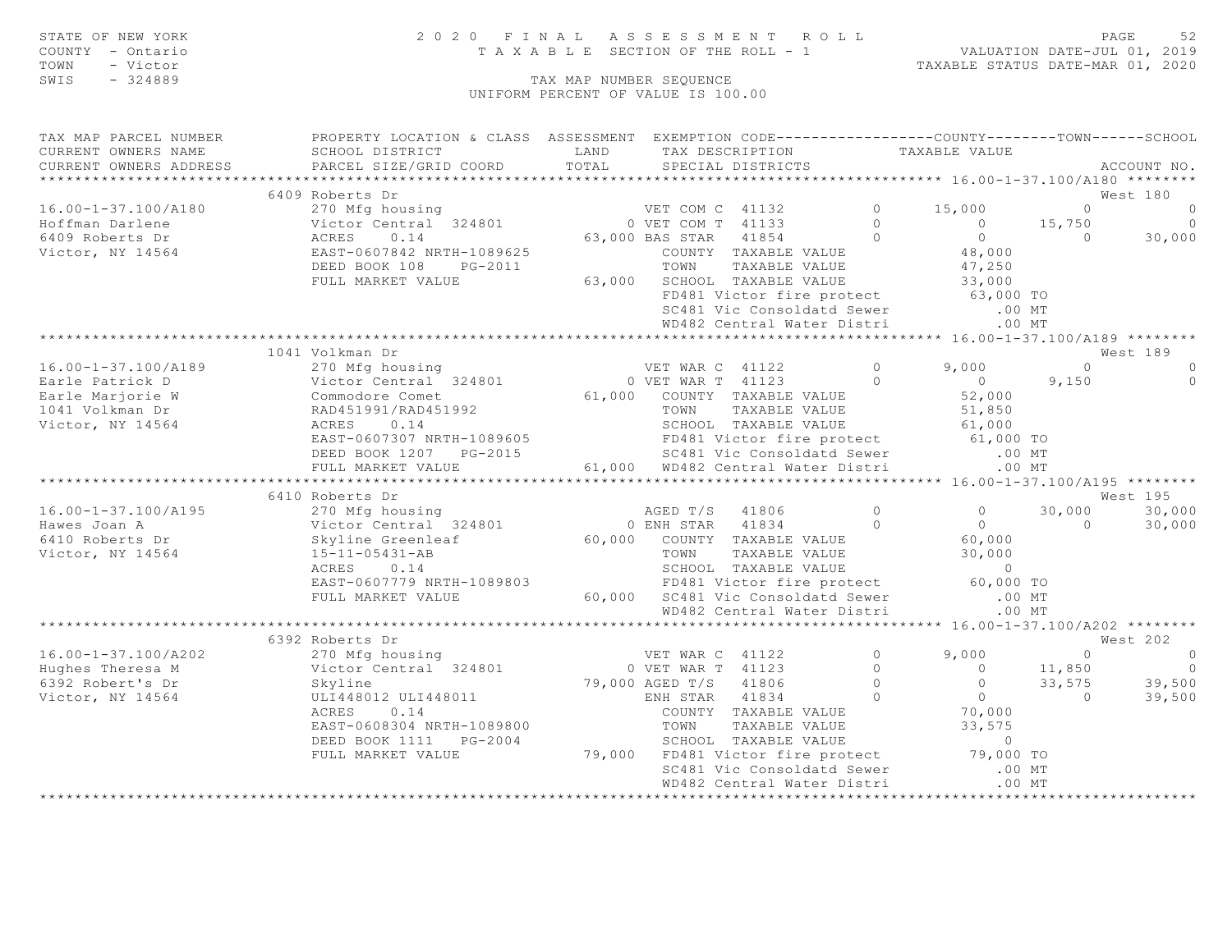| STATE OF NEW YORK<br>- Ontario<br>COUNTY<br>- Victor<br>TOWN |                                    |                         | 2020 FINAL ASSESSMENT ROLL<br>T A X A B L E SECTION OF THE ROLL - 1 |          | TAXABLE STATUS DATE-MAR 01, 2020 | VALUATION DATE-JUL 01, 2019 | 52<br>PAGE  |
|--------------------------------------------------------------|------------------------------------|-------------------------|---------------------------------------------------------------------|----------|----------------------------------|-----------------------------|-------------|
| $-324889$<br>SWIS                                            |                                    | TAX MAP NUMBER SEOUENCE |                                                                     |          |                                  |                             |             |
|                                                              | UNIFORM PERCENT OF VALUE IS 100.00 |                         |                                                                     |          |                                  |                             |             |
|                                                              |                                    |                         |                                                                     |          |                                  |                             |             |
|                                                              |                                    |                         |                                                                     |          |                                  |                             |             |
| TAX MAP PARCEL NUMBER                                        | PROPERTY LOCATION & CLASS          | ASSESSMENT              | EXEMPTION CODE-----------------COUNTY-------TOWN------SCHOOL        |          |                                  |                             |             |
| CURRENT OWNERS NAME                                          | SCHOOL DISTRICT                    | LAND                    | TAX DESCRIPTION                                                     |          | TAXABLE VALUE                    |                             |             |
| CURRENT OWNERS ADDRESS                                       | PARCEL SIZE/GRID COORD             | TOTAL                   | SPECIAL DISTRICTS                                                   |          |                                  |                             | ACCOUNT NO. |
|                                                              |                                    |                         |                                                                     |          |                                  |                             |             |
|                                                              | 6409 Roberts Dr                    |                         |                                                                     |          |                                  |                             | West 180    |
| 16.00-1-37.100/A180                                          | 270 Mfg housing                    |                         | VET COM C 41132                                                     | $\circ$  | 15,000                           |                             | $\Omega$    |
| Hoffman Darlene                                              | Victor Central 324801              |                         | 0 VET COM T 41133                                                   |          |                                  | 15,750                      | $\Omega$    |
| 6409 Roberts Dr                                              | 0.14<br>ACRES                      |                         | 41854<br>63,000 BAS STAR                                            | $\Omega$ |                                  |                             | 30,000      |
| Victor, NY 14564                                             | EAST-0607842 NRTH-1089625          |                         | COUNTY<br>TAXABLE VALUE                                             |          | 48,000                           |                             |             |

DEED BOOK 108 PG-2011 TOWN TAXABLE VALUE 47,250

|                           | FULL MARKET VALUE         | 63,000                          |                            | SCHOOL TAXABLE VALUE              |           | 33,000                                           |          |                |
|---------------------------|---------------------------|---------------------------------|----------------------------|-----------------------------------|-----------|--------------------------------------------------|----------|----------------|
|                           |                           |                                 |                            | FD481 Victor fire protect         |           | 63,000 TO                                        |          |                |
|                           |                           |                                 |                            | SC481 Vic Consoldatd Sewer        |           | $.00$ MT                                         |          |                |
|                           |                           |                                 |                            | WD482 Central Water Distri        |           | $.00$ MT                                         |          |                |
|                           |                           |                                 |                            |                                   |           |                                                  |          |                |
|                           | 1041 Volkman Dr           |                                 |                            |                                   |           |                                                  |          | West 189       |
| 16.00-1-37.100/A189       | 270 Mfg housing           |                                 | VET WAR C 41122            |                                   | $\circ$   | 9,000                                            | $\Omega$ | $\Omega$       |
| Earle Patrick D           | Victor Central 324801     |                                 | 0 VET WAR T 41123          |                                   | $\bigcap$ | $\overline{0}$                                   | 9,150    | $\cap$         |
| Earle Marjorie W          | Commodore Comet           | 61,000                          |                            | COUNTY TAXABLE VALUE              |           | 52,000                                           |          |                |
| 1041 Volkman Dr           | RAD451991/RAD451992       |                                 | TOWN                       | TAXABLE VALUE                     |           | 51,850                                           |          |                |
| Victor, NY 14564          | ACRES<br>0.14             |                                 |                            | SCHOOL TAXABLE VALUE              |           | 61,000                                           |          |                |
|                           | EAST-0607307 NRTH-1089605 |                                 |                            | FD481 Victor fire protect         |           | 61,000 TO                                        |          |                |
|                           | DEED BOOK 1207 PG-2015    |                                 |                            |                                   |           | SC481 Vic Consoldatd Sewer .00 MT                |          |                |
|                           | FULL MARKET VALUE         |                                 |                            | 61,000 WD482 Central Water Distri |           |                                                  | .00MT    |                |
|                           |                           | * * * * * * * * * * * * * * * * |                            |                                   |           | ******************* 16.00-1-37.100/A195 ******** |          |                |
|                           | 6410 Roberts Dr           |                                 |                            |                                   |           |                                                  |          | West 195       |
| $16.00 - 1 - 37.100/A195$ | 270 Mfg housing           |                                 | AGED T/S                   | 41806                             | $\circ$   | $\Omega$                                         | 30,000   | 30,000         |
| Hawes Joan A              | Victor Central 324801     |                                 | 0 ENH STAR                 | 41834                             | $\cap$    | $\Omega$                                         | $\Omega$ | 30,000         |
| 6410 Roberts Dr           | Skyline Greenleaf         | 60,000                          |                            | COUNTY TAXABLE VALUE              |           | 60,000                                           |          |                |
| Victor, NY 14564          | 15-11-05431-AB            |                                 | TOWN                       | TAXABLE VALUE                     |           | 30,000                                           |          |                |
|                           | ACRES<br>0.14             |                                 |                            | SCHOOL TAXABLE VALUE              |           | $\Omega$                                         |          |                |
|                           | EAST-0607779 NRTH-1089803 |                                 |                            | FD481 Victor fire protect         |           | 60,000 TO                                        |          |                |
|                           | FULL MARKET VALUE         | 60,000                          | SC481 Vic Consoldatd Sewer |                                   | .00 MT    |                                                  |          |                |
|                           |                           |                                 | WD482 Central Water Distri |                                   |           |                                                  | .00MT    |                |
|                           |                           |                                 |                            |                                   |           |                                                  |          |                |
|                           | 6392 Roberts Dr           |                                 |                            |                                   |           |                                                  |          | West 202       |
| 16.00-1-37.100/A202       | 270 Mfg housing           |                                 | VET WAR C 41122            |                                   | $\Omega$  | 9,000                                            | $\Omega$ | $\bigcirc$     |
| Hughes Theresa M          | Victor Central 324801     |                                 | 0 VET WAR T 41123          |                                   | $\circ$   | $\overline{0}$                                   | 11,850   | $\overline{0}$ |
| 6392 Robert's Dr          | Skyline                   |                                 | 79,000 AGED T/S 41806      |                                   | $\circ$   | $\bigcirc$                                       | 33,575   | 39,500         |
| Victor, NY 14564          | ULI448012 ULI448011       |                                 | ENH STAR 41834             |                                   | $\cap$    | $\bigcirc$                                       | $\Omega$ | 39,500         |
|                           | ACRES<br>0.14             |                                 |                            | COUNTY TAXABLE VALUE              |           | 70,000                                           |          |                |
|                           | EAST-0608304 NRTH-1089800 |                                 | TOWN                       | TAXABLE VALUE                     |           | 33,575                                           |          |                |
|                           | DEED BOOK 1111    PG-2004 |                                 |                            | SCHOOL TAXABLE VALUE              |           | $\Omega$                                         |          |                |
|                           | FULL MARKET VALUE         | 79,000                          |                            | FD481 Victor fire protect         |           | 79,000 TO                                        |          |                |
|                           |                           |                                 |                            | SC481 Vic Consoldatd Sewer        |           | $.00$ MT                                         |          |                |
|                           |                           |                                 |                            | WD482 Central Water Distri        |           |                                                  | .00MT    |                |
|                           |                           |                                 |                            |                                   |           |                                                  |          |                |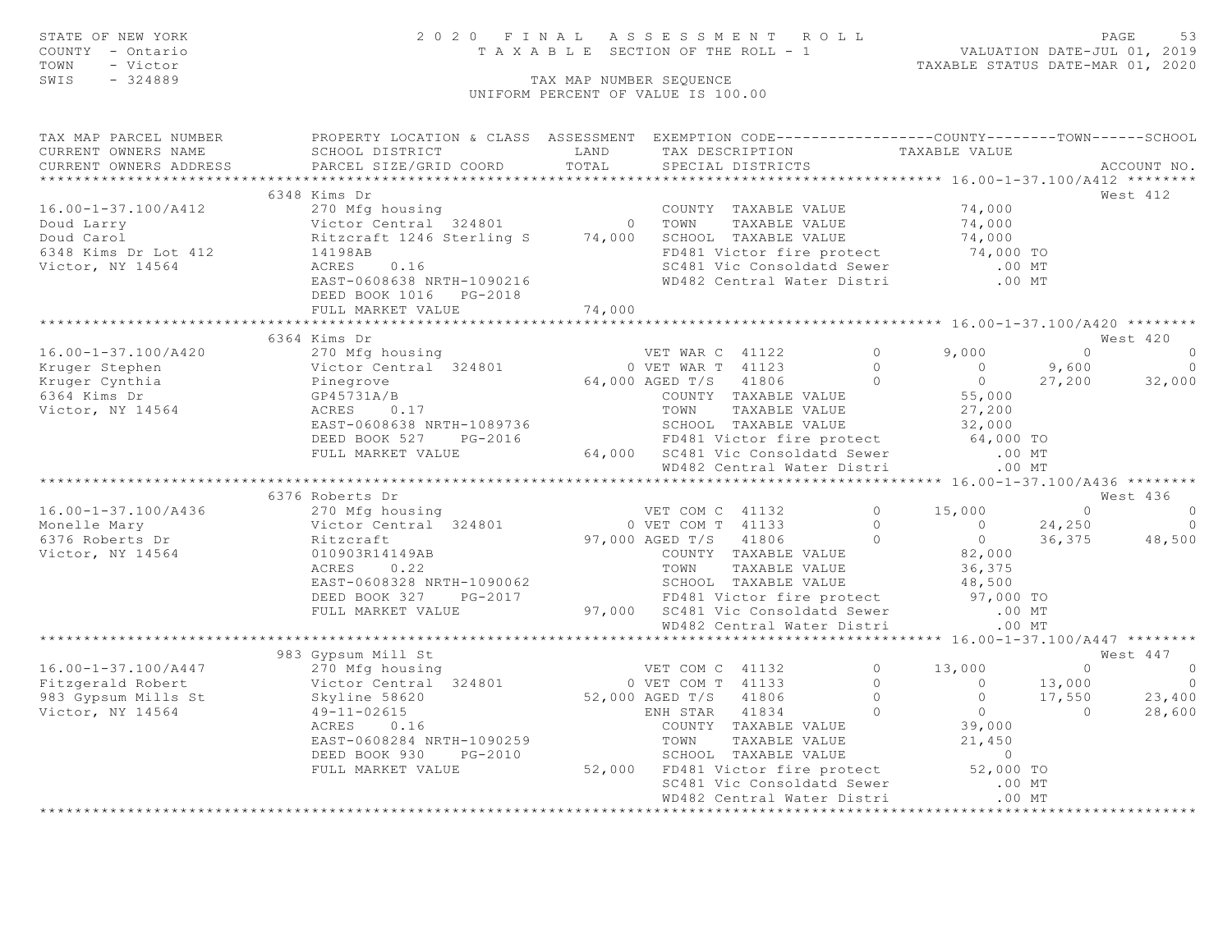| STATE OF NEW YORK                                                                                                                                                                                                                                                                                                                                                                                              |                                                                                               |       | PAGE 53<br>TAXABLE SECTION OF THE ROLL - 1 VALUATION DATE-JUL 01, 2019<br>TAXABLE STATUS DATE-MAR 01, 2020<br>2020 FINAL ASSESSMENT ROLL |                  |             |                                                          |
|----------------------------------------------------------------------------------------------------------------------------------------------------------------------------------------------------------------------------------------------------------------------------------------------------------------------------------------------------------------------------------------------------------------|-----------------------------------------------------------------------------------------------|-------|------------------------------------------------------------------------------------------------------------------------------------------|------------------|-------------|----------------------------------------------------------|
| COUNTY - Ontario                                                                                                                                                                                                                                                                                                                                                                                               |                                                                                               |       |                                                                                                                                          |                  |             |                                                          |
| TOWN<br>- Victor                                                                                                                                                                                                                                                                                                                                                                                               |                                                                                               |       |                                                                                                                                          |                  |             |                                                          |
| SWIS - 324889                                                                                                                                                                                                                                                                                                                                                                                                  |                                                                                               |       | TAX MAP NUMBER SEOUENCE<br>UNIFORM PERCENT OF VALUE IS 100.00                                                                            |                  |             |                                                          |
|                                                                                                                                                                                                                                                                                                                                                                                                                |                                                                                               |       |                                                                                                                                          |                  |             |                                                          |
|                                                                                                                                                                                                                                                                                                                                                                                                                |                                                                                               |       |                                                                                                                                          |                  |             |                                                          |
| TAX MAP PARCEL NUMBER <b>The PROPERTY LOCATION &amp; CLASS</b> ASSESSMENT EXEMPTION CODE--------------COUNTY-------TOWN------SCHOOL                                                                                                                                                                                                                                                                            |                                                                                               |       |                                                                                                                                          |                  |             |                                                          |
| CURRENT OWNERS NAME                                                                                                                                                                                                                                                                                                                                                                                            | SCHOOL DISTRICT                     LAND        TAX DESCRIPTION                 TAXABLE VALUE |       |                                                                                                                                          |                  |             |                                                          |
| CURRENT OWNERS ADDRESS<br>**********************                                                                                                                                                                                                                                                                                                                                                               | PARCEL SIZE/GRID COORD                                                                        | TOTAL | SPECIAL DISTRICTS                                                                                                                        |                  | ACCOUNT NO. |                                                          |
|                                                                                                                                                                                                                                                                                                                                                                                                                | 6348 Kims Dr                                                                                  |       |                                                                                                                                          |                  | West 412    |                                                          |
| 16.00-1-37.100/A412<br>270 Mfg housing<br>270 Mfg housing<br>Victor Central 324801 0 TOWN TAXABLE VALUE<br>270 Mfg housing<br>Victor Central 324801 0 TOWN TAXABLE VALUE<br>270 Mfg housing<br>270 Mfg housing<br>Victor Central 324801 0 TOWN                                                                                                                                                                 |                                                                                               |       |                                                                                                                                          |                  |             |                                                          |
|                                                                                                                                                                                                                                                                                                                                                                                                                |                                                                                               |       |                                                                                                                                          |                  |             |                                                          |
|                                                                                                                                                                                                                                                                                                                                                                                                                |                                                                                               |       |                                                                                                                                          |                  |             |                                                          |
|                                                                                                                                                                                                                                                                                                                                                                                                                |                                                                                               |       |                                                                                                                                          |                  |             |                                                          |
|                                                                                                                                                                                                                                                                                                                                                                                                                |                                                                                               |       |                                                                                                                                          |                  |             |                                                          |
|                                                                                                                                                                                                                                                                                                                                                                                                                |                                                                                               |       |                                                                                                                                          |                  |             |                                                          |
|                                                                                                                                                                                                                                                                                                                                                                                                                |                                                                                               |       |                                                                                                                                          |                  |             |                                                          |
|                                                                                                                                                                                                                                                                                                                                                                                                                | FULL MARKET VALUE 74,000                                                                      |       |                                                                                                                                          |                  |             |                                                          |
|                                                                                                                                                                                                                                                                                                                                                                                                                |                                                                                               |       |                                                                                                                                          |                  |             |                                                          |
| $\begin{tabular}{l c c c c c} \hline 16.00-1-37.100/A420 & 6364 Kims Dr & \text{West } 420 Mg & \text{best } 420 Mg & \text{best } 420 Mg & \text{best } 420 Mg & \text{first } 420 Mg & \text{first } 420 Mg & \text{first } 420 Mg & \text{first } 420 Mg & \text{first } 420 Mg & \text{first } 420 Mg & \text{first } 420 Mg & \text{first } 420 Mg & \text{first } 420 Mg & \text{first } 420 Mg & \text$ | 6364 Kims Dr                                                                                  |       |                                                                                                                                          |                  | West 420    |                                                          |
|                                                                                                                                                                                                                                                                                                                                                                                                                |                                                                                               |       |                                                                                                                                          |                  |             |                                                          |
|                                                                                                                                                                                                                                                                                                                                                                                                                |                                                                                               |       |                                                                                                                                          |                  |             |                                                          |
|                                                                                                                                                                                                                                                                                                                                                                                                                |                                                                                               |       |                                                                                                                                          |                  |             |                                                          |
|                                                                                                                                                                                                                                                                                                                                                                                                                |                                                                                               |       |                                                                                                                                          |                  |             |                                                          |
|                                                                                                                                                                                                                                                                                                                                                                                                                |                                                                                               |       |                                                                                                                                          |                  |             |                                                          |
|                                                                                                                                                                                                                                                                                                                                                                                                                |                                                                                               |       |                                                                                                                                          |                  |             |                                                          |
|                                                                                                                                                                                                                                                                                                                                                                                                                |                                                                                               |       |                                                                                                                                          |                  |             |                                                          |
|                                                                                                                                                                                                                                                                                                                                                                                                                |                                                                                               |       |                                                                                                                                          |                  |             |                                                          |
|                                                                                                                                                                                                                                                                                                                                                                                                                |                                                                                               |       |                                                                                                                                          |                  |             |                                                          |
|                                                                                                                                                                                                                                                                                                                                                                                                                | 6376 Roberts Dr                                                                               |       |                                                                                                                                          |                  | West 436    |                                                          |
| 16.00-1-37.100/A436 270 Mfg housing<br>Monelle Mary Victor Central 324801<br>6376 Roberts Dr Ritzcraft<br>Victor, NY 14564 010903R14149AB                                                                                                                                                                                                                                                                      |                                                                                               |       | VET COM C 41132                                                                                                                          | $0 \t 15,000$    |             | $\begin{array}{ccc} 0 & & & 0 \\ 50 & & & 0 \end{array}$ |
|                                                                                                                                                                                                                                                                                                                                                                                                                |                                                                                               |       |                                                                                                                                          |                  |             |                                                          |
|                                                                                                                                                                                                                                                                                                                                                                                                                |                                                                                               |       |                                                                                                                                          |                  |             |                                                          |
|                                                                                                                                                                                                                                                                                                                                                                                                                | ACRES 0.22                                                                                    |       |                                                                                                                                          |                  |             |                                                          |
|                                                                                                                                                                                                                                                                                                                                                                                                                |                                                                                               |       |                                                                                                                                          |                  |             |                                                          |
|                                                                                                                                                                                                                                                                                                                                                                                                                |                                                                                               |       |                                                                                                                                          |                  |             |                                                          |
|                                                                                                                                                                                                                                                                                                                                                                                                                |                                                                                               |       |                                                                                                                                          |                  |             |                                                          |
|                                                                                                                                                                                                                                                                                                                                                                                                                |                                                                                               |       |                                                                                                                                          |                  |             |                                                          |
|                                                                                                                                                                                                                                                                                                                                                                                                                |                                                                                               |       |                                                                                                                                          |                  |             |                                                          |
|                                                                                                                                                                                                                                                                                                                                                                                                                |                                                                                               |       |                                                                                                                                          |                  | West 447    |                                                          |
|                                                                                                                                                                                                                                                                                                                                                                                                                |                                                                                               |       |                                                                                                                                          |                  |             | $\begin{array}{ccc} 0 & & & 0 \\ 0 & & & 0 \end{array}$  |
|                                                                                                                                                                                                                                                                                                                                                                                                                |                                                                                               |       |                                                                                                                                          |                  |             |                                                          |
|                                                                                                                                                                                                                                                                                                                                                                                                                |                                                                                               |       |                                                                                                                                          |                  |             | 23,400                                                   |
|                                                                                                                                                                                                                                                                                                                                                                                                                |                                                                                               |       |                                                                                                                                          |                  |             | 28,600                                                   |
|                                                                                                                                                                                                                                                                                                                                                                                                                |                                                                                               |       |                                                                                                                                          |                  |             |                                                          |
|                                                                                                                                                                                                                                                                                                                                                                                                                |                                                                                               |       |                                                                                                                                          |                  |             |                                                          |
| 16.00–1–37.100/A447<br>16.00–1–37.100/A447<br>270 Mfg housing vET COM C 41132 0 13,000 0<br>983 Gypsum Mills St victor Central 324801 0 13,000 0<br>983 Gypsum Mills St victor, in the Second Second Community of the Second Communi                                                                                                                                                                           |                                                                                               |       |                                                                                                                                          |                  |             |                                                          |
|                                                                                                                                                                                                                                                                                                                                                                                                                |                                                                                               |       | SC481 Vic Consoldatd Sewer                                                                                                               |                  |             |                                                          |
|                                                                                                                                                                                                                                                                                                                                                                                                                |                                                                                               |       | WD482 Central Water Distri                                                                                                               | .00 MT<br>.00 MT |             |                                                          |
|                                                                                                                                                                                                                                                                                                                                                                                                                |                                                                                               |       |                                                                                                                                          |                  |             |                                                          |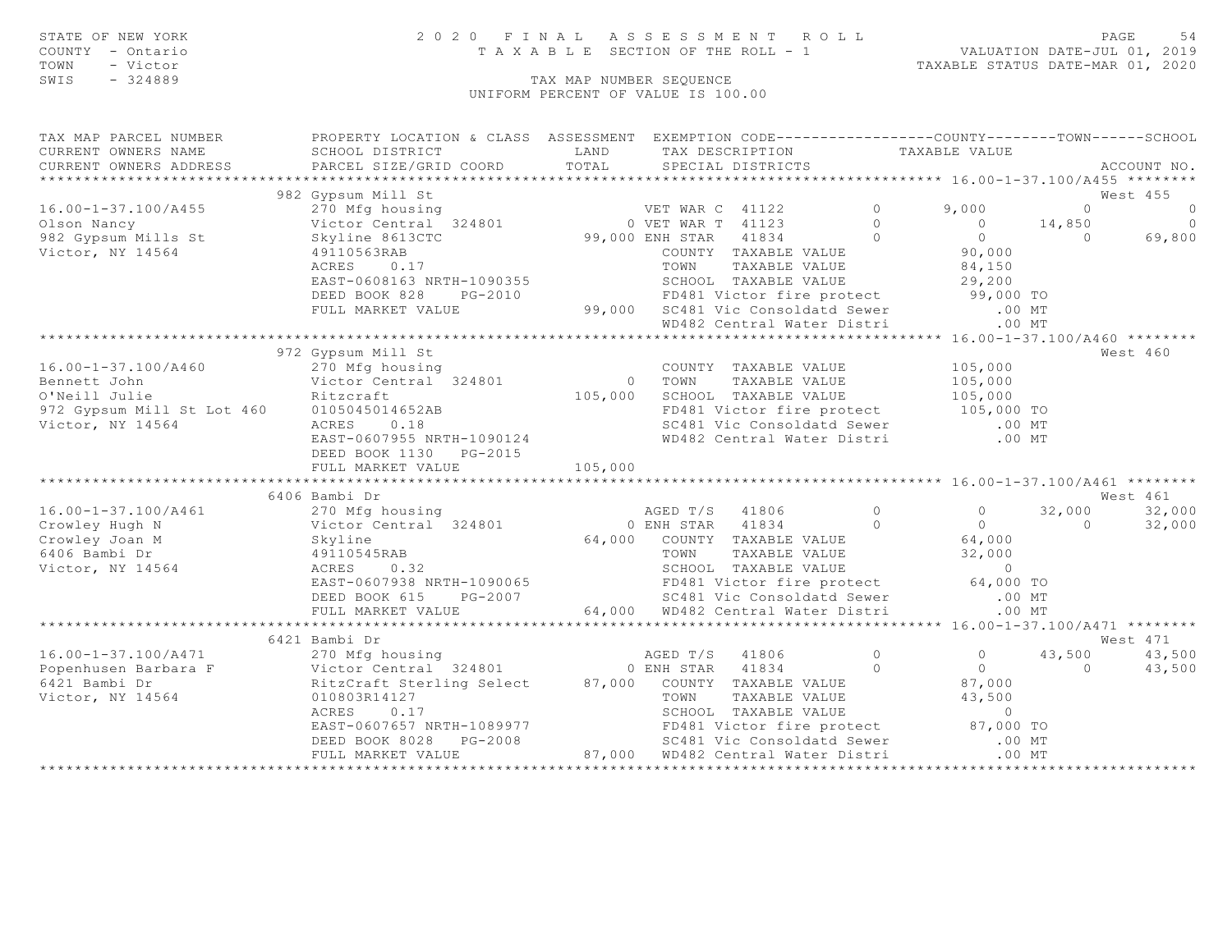| STATE OF NEW YORK | 2020 FINAL ASSESSMENT ROLL      | 54<br>PAGE                       |
|-------------------|---------------------------------|----------------------------------|
| COUNTY - Ontario  | TAXABLE SECTION OF THE ROLL - 1 | VALUATION DATE-JUL 01, 2019      |
| TOWN - Victor     |                                 | TAXABLE STATUS DATE-MAR 01, 2020 |
| SWIS<br>$-324889$ | TAX MAP NUMBER SEOUENCE         |                                  |

| TAX MAP PARCEL NUMBER<br>CURRENT OWNERS NAME                                                                                                                                                                                                           | PROPERTY LOCATION & CLASS ASSESSMENT EXEMPTION CODE---------------COUNTY-------TOWN------SCHOOL<br>SCHOOL DISTRICT                                                                                                                                    |  | LAND TAX DESCRIPTION TAXABLE VALUE |  |          |
|--------------------------------------------------------------------------------------------------------------------------------------------------------------------------------------------------------------------------------------------------------|-------------------------------------------------------------------------------------------------------------------------------------------------------------------------------------------------------------------------------------------------------|--|------------------------------------|--|----------|
|                                                                                                                                                                                                                                                        |                                                                                                                                                                                                                                                       |  |                                    |  |          |
|                                                                                                                                                                                                                                                        |                                                                                                                                                                                                                                                       |  |                                    |  |          |
|                                                                                                                                                                                                                                                        | 982 Gypsum Mill St                                                                                                                                                                                                                                    |  |                                    |  | West 455 |
|                                                                                                                                                                                                                                                        |                                                                                                                                                                                                                                                       |  |                                    |  |          |
|                                                                                                                                                                                                                                                        |                                                                                                                                                                                                                                                       |  |                                    |  |          |
| 16.00-1-37.100/A455<br>270 Mfg housing<br>270 Mfg housing<br>270 Mfg housing<br>270 Mfg housing<br>270 Mfg housing<br>270 Mfg housing<br>29,000 ENR STAR T 41123 0 0 14,850 0<br>282 Gypsum Mills St<br>29,000 ENR STAR 41834 0 0 69,800<br>282 G      |                                                                                                                                                                                                                                                       |  |                                    |  |          |
|                                                                                                                                                                                                                                                        |                                                                                                                                                                                                                                                       |  |                                    |  |          |
|                                                                                                                                                                                                                                                        |                                                                                                                                                                                                                                                       |  |                                    |  |          |
|                                                                                                                                                                                                                                                        |                                                                                                                                                                                                                                                       |  |                                    |  |          |
|                                                                                                                                                                                                                                                        |                                                                                                                                                                                                                                                       |  |                                    |  |          |
|                                                                                                                                                                                                                                                        |                                                                                                                                                                                                                                                       |  |                                    |  |          |
|                                                                                                                                                                                                                                                        |                                                                                                                                                                                                                                                       |  |                                    |  |          |
|                                                                                                                                                                                                                                                        |                                                                                                                                                                                                                                                       |  |                                    |  |          |
|                                                                                                                                                                                                                                                        | 972 Gypsum Mill St                                                                                                                                                                                                                                    |  |                                    |  | West 460 |
|                                                                                                                                                                                                                                                        |                                                                                                                                                                                                                                                       |  |                                    |  |          |
|                                                                                                                                                                                                                                                        |                                                                                                                                                                                                                                                       |  |                                    |  |          |
|                                                                                                                                                                                                                                                        |                                                                                                                                                                                                                                                       |  |                                    |  |          |
| 9/2 Gypsum Mill St<br>270 Mfg housing<br>270 Mfg housing<br>270 Mfg housing<br>270 Mfg housing<br>270 Mfg housing<br>270 Mfg housing<br>270 Mfg housing<br>270 Mfg housing<br>270 Mfg housing<br>270 Mfg housing<br>270 Mfg housing<br>270 Mfg housing |                                                                                                                                                                                                                                                       |  |                                    |  |          |
|                                                                                                                                                                                                                                                        |                                                                                                                                                                                                                                                       |  |                                    |  |          |
|                                                                                                                                                                                                                                                        | EAST-0607955 NRTH-1090124 WD482 Central Water Distri .00 MT                                                                                                                                                                                           |  |                                    |  |          |
|                                                                                                                                                                                                                                                        | DEED BOOK 1130 PG-2015                                                                                                                                                                                                                                |  |                                    |  |          |
|                                                                                                                                                                                                                                                        |                                                                                                                                                                                                                                                       |  |                                    |  |          |
|                                                                                                                                                                                                                                                        |                                                                                                                                                                                                                                                       |  |                                    |  |          |
|                                                                                                                                                                                                                                                        | 6406 Bambi Dr                                                                                                                                                                                                                                         |  |                                    |  | West 461 |
|                                                                                                                                                                                                                                                        |                                                                                                                                                                                                                                                       |  |                                    |  |          |
|                                                                                                                                                                                                                                                        |                                                                                                                                                                                                                                                       |  |                                    |  |          |
|                                                                                                                                                                                                                                                        |                                                                                                                                                                                                                                                       |  |                                    |  |          |
|                                                                                                                                                                                                                                                        |                                                                                                                                                                                                                                                       |  |                                    |  |          |
|                                                                                                                                                                                                                                                        |                                                                                                                                                                                                                                                       |  |                                    |  |          |
|                                                                                                                                                                                                                                                        |                                                                                                                                                                                                                                                       |  |                                    |  |          |
|                                                                                                                                                                                                                                                        |                                                                                                                                                                                                                                                       |  |                                    |  |          |
|                                                                                                                                                                                                                                                        |                                                                                                                                                                                                                                                       |  |                                    |  |          |
|                                                                                                                                                                                                                                                        |                                                                                                                                                                                                                                                       |  |                                    |  |          |
|                                                                                                                                                                                                                                                        | 6421 Bambi Dr                                                                                                                                                                                                                                         |  |                                    |  | West 471 |
|                                                                                                                                                                                                                                                        |                                                                                                                                                                                                                                                       |  |                                    |  |          |
| 16.00-1-37.100/A471<br>Popenhusen Barbara F Victor Central 324801 0 ENH STAR 41834 0 0 43,500 43,500<br>Fopenhusen Barbara F Victor Central 324801 0 ENH STAR 41834 0 0 43,500<br>For RitzCraft Sterling Select 87,000 COUNTY TAXAB                    |                                                                                                                                                                                                                                                       |  |                                    |  |          |
|                                                                                                                                                                                                                                                        |                                                                                                                                                                                                                                                       |  |                                    |  |          |
|                                                                                                                                                                                                                                                        |                                                                                                                                                                                                                                                       |  |                                    |  |          |
|                                                                                                                                                                                                                                                        |                                                                                                                                                                                                                                                       |  |                                    |  |          |
|                                                                                                                                                                                                                                                        |                                                                                                                                                                                                                                                       |  |                                    |  |          |
|                                                                                                                                                                                                                                                        |                                                                                                                                                                                                                                                       |  |                                    |  |          |
|                                                                                                                                                                                                                                                        | 010803R14127<br>010803R14127<br>ACRES 0.17<br>EAST-0607657 NRTH-1089977<br>DEED BOOK 8028 PG-2008<br>FULL MARKET VALUE<br>FULL MARKET VALUE<br>FULL MARKET VALUE<br>FULL MARKET VALUE<br>FULL MARKET VALUE<br>FULL MARKET VALUE<br>ACRES 0.17<br>FULL |  |                                    |  |          |
|                                                                                                                                                                                                                                                        |                                                                                                                                                                                                                                                       |  |                                    |  |          |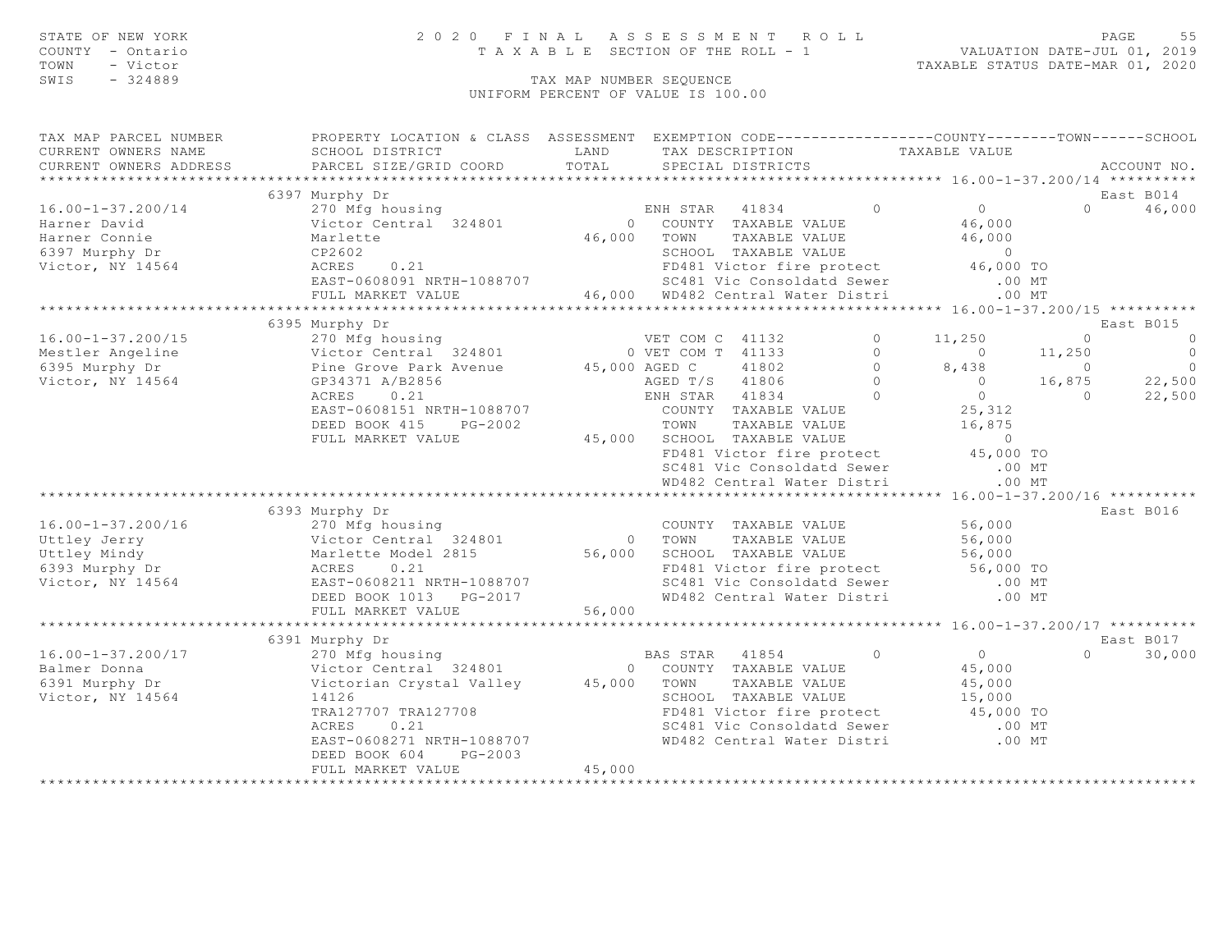| STATE OF NEW YORK<br>COUNTY - Ontario<br>TOWN<br>- Victor<br>SWIS<br>$-324889$                                                                                                                                                                     |                                                                                                                                                                                                                                                                                              | TAX MAP NUMBER SEOUENCE | 2020 FINAL ASSESSMENT ROLL<br>TAXABLE SECTION OF THE ROLL - 1 VALUATION DATE-JUL 01, 2019<br>UNIFORM PERCENT OF VALUE IS 100.00                                                                                                             |          | TAXABLE STATUS DATE-MAR 01, 2020                                                     |         | PAGE<br>55                                                |
|----------------------------------------------------------------------------------------------------------------------------------------------------------------------------------------------------------------------------------------------------|----------------------------------------------------------------------------------------------------------------------------------------------------------------------------------------------------------------------------------------------------------------------------------------------|-------------------------|---------------------------------------------------------------------------------------------------------------------------------------------------------------------------------------------------------------------------------------------|----------|--------------------------------------------------------------------------------------|---------|-----------------------------------------------------------|
| CURRENT OWNERS NAME<br>CURRENT OWNERS ADDRESS                                                                                                                                                                                                      | TAX MAP PARCEL NUMBER THE PROPERTY LOCATION & CLASS ASSESSMENT EXEMPTION CODE--------------COUNTY-------TOWN------SCHOOL<br>SCHOOL DISTRICT<br><b>LAND</b><br>PARCEL SIZE/GRID COORD                                                                                                         | TOTAL                   | TAX DESCRIPTION<br>SPECIAL DISTRICTS                                                                                                                                                                                                        |          | TAXABLE VALUE                                                                        |         | ACCOUNT NO.                                               |
|                                                                                                                                                                                                                                                    | 6397 Murphy Dr                                                                                                                                                                                                                                                                               |                         |                                                                                                                                                                                                                                             |          |                                                                                      |         | East B014                                                 |
| $16.00 - 1 - 37.200 / 14$<br>Harner David<br>Harner Connie<br>6397 Murphy Dr<br>Victor, NY 14564                                                                                                                                                   | 270 Mfg housing<br>Victor Central 324801<br>Marlette<br>CP2602<br>ACRES 0.21<br>EAST-0608091 NRTH-1088707<br>FULL MARKET VALUE                                                                                                                                                               |                         | ENH STAR 41834<br>0 COUNTY TAXABLE VALUE<br>46,000 TOWN TAXABLE VALUE<br>TAXABLE VALUE<br>SCHOOL TAXABLE VALUE<br>FD481 Victor fire protect<br>SC481 Victor fire protect<br>SC481 Vic Consoldatd Sewer<br>46,000 WD482 Central Water Distri | $\Omega$ | $\overline{0}$<br>$46,000$<br>$46,000$<br>$\sim$ 0<br>46,000 TO<br>$.00$ MT<br>.00MT |         | $0 \t 46,000$                                             |
|                                                                                                                                                                                                                                                    |                                                                                                                                                                                                                                                                                              |                         |                                                                                                                                                                                                                                             |          |                                                                                      |         |                                                           |
|                                                                                                                                                                                                                                                    | 6395 Murphy Dr                                                                                                                                                                                                                                                                               |                         |                                                                                                                                                                                                                                             |          |                                                                                      |         | East B015                                                 |
| 16.00-1-37.200/15<br>Mestler Angeline (1132<br>6395 Murphy Dr Pine Grove Park Avenue (45,000 AGED C 41802<br>Victor, NY 14564 (1806<br>224801 (1806)<br>224801 (1806)<br>224801 (1806)<br>224801 (1806)<br>224801 (1806)<br>224801 (1806)<br>22480 | 0.21<br>ACRES<br>EAST-0608151 NRTH-1088707<br>DEED BOOK 415 PG-2002<br>FULL MARKET VALUE                                                                                                                                                                                                     |                         | ENH STAR 41834<br>COUNTY TAXABLE VALUE<br>TOWN<br>TOWN TAXABLE VALUE<br>45,000 SCHOOL TAXABLE VALUE<br>FD481 Victor fire protect                                                                                                            | $\Omega$ | $0 \t 11,250$<br>0 $11,250$<br>16,875<br>$\sim$ 0<br>45,000 TO                       | $\circ$ | $\overline{0}$<br>$\circ$<br>$\Omega$<br>22,500<br>22,500 |
|                                                                                                                                                                                                                                                    |                                                                                                                                                                                                                                                                                              |                         | SC481 Vic Consoldatd Sewer<br>WD482 Central Water Distri                                                                                                                                                                                    |          | $.00$ MT<br>$.00$ MT                                                                 |         |                                                           |
|                                                                                                                                                                                                                                                    | 6393 Murphy Dr                                                                                                                                                                                                                                                                               |                         |                                                                                                                                                                                                                                             |          |                                                                                      |         | East B016                                                 |
| 16.00-1-37.200/16<br>Uttley Jerry Color Central 324801<br>Uttley Mindy Marlette Model 2815<br>6393 Murphy Dr ACRES 0.21<br>Victor, NY 14564<br>EAST-0608211 NRTH-1088707                                                                           | DEED BOOK 1013    PG-2017<br>FULL MARKET VALUE                                                                                                                                                                                                                                               | 56,000                  | COUNTY TAXABLE VALUE<br>0 TOWN TAXABLE VALUE<br>56,000 SCHOOL TAXABLE VALUE<br>WD482 Central Water Distri                                                                                                                                   |          | 56,000<br>56,000<br>56,000<br>$.00$ MT                                               |         |                                                           |
|                                                                                                                                                                                                                                                    | *************************                                                                                                                                                                                                                                                                    |                         |                                                                                                                                                                                                                                             |          |                                                                                      |         |                                                           |
|                                                                                                                                                                                                                                                    | 6391 Murphy Dr                                                                                                                                                                                                                                                                               |                         |                                                                                                                                                                                                                                             |          |                                                                                      |         | East B017                                                 |
| $16.00 - 1 - 37.200 / 17$<br>Balmer Donna<br>6391 Murphy Dr<br>Victor, NY 14564                                                                                                                                                                    | 270 Mfg housing<br>270 Mfg housing<br>Victor Central 324801 0 COUNTY TAXABLE VALUE<br>Victorian Crystal Valley 45,000 TOWN TAXABLE VALUE<br>14126 SCHOOL TAXABLE VALUE<br>TRA127707 TRA127708<br>ACRES<br>0.21<br>EAST-0608271 NRTH-1088707<br>DEED BOOK 604<br>PG-2003<br>FULL MARKET VALUE | 45,000                  | BAS STAR 41854<br>TAXABLE VALUE<br>SCHOOL TAXABLE VALUE<br>SCHOOL TAXABLE VADOL<br>FD481 Victor fire protect<br>SC481 Vic Consoldatd Sewer<br>WD482 Central Water Distri                                                                    | $\Omega$ | $\overline{0}$<br>45,000<br>45,000<br>15,000<br>45,000 TO<br>.00 MT<br>$.00$ MT      | $\cap$  | 30,000                                                    |
|                                                                                                                                                                                                                                                    |                                                                                                                                                                                                                                                                                              |                         |                                                                                                                                                                                                                                             |          |                                                                                      |         |                                                           |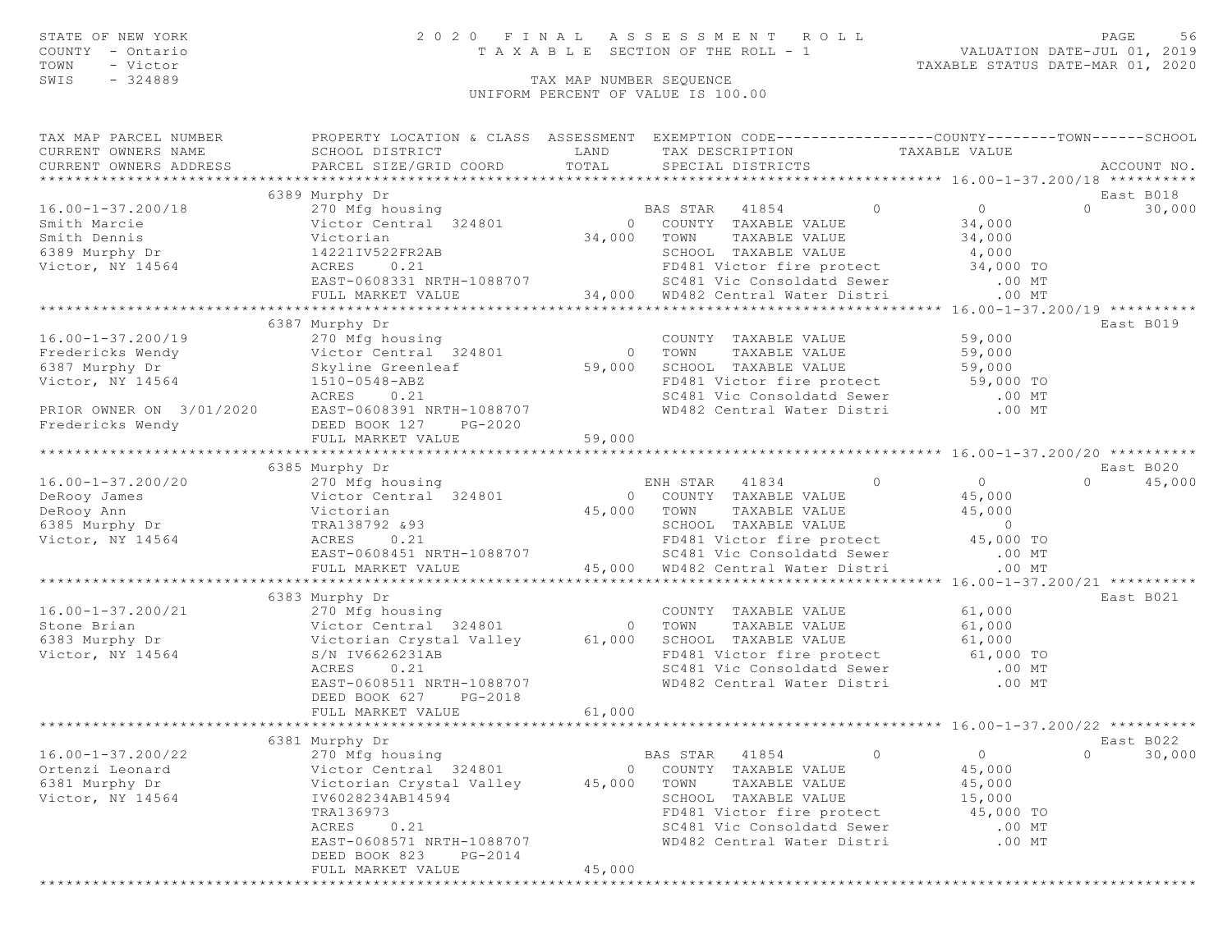| STATE OF NEW YORK | 2020 FINAL ASSESSMENT ROLL            | PAGE                             | 56 |
|-------------------|---------------------------------------|----------------------------------|----|
| COUNTY - Ontario  | T A X A B L E SECTION OF THE ROLL - 1 | VALUATION DATE-JUL 01, 2019      |    |
| TOWN - Victor     |                                       | TAXABLE STATUS DATE-MAR 01, 2020 |    |
| SWIS<br>- 324889  | TAX MAP NUMBER SEOUENCE               |                                  |    |
|                   | UNIFORM PERCENT OF VALUE IS 100.00    |                                  |    |
|                   |                                       |                                  |    |
|                   |                                       |                                  |    |

| TAX MAP PARCEL NUMBER<br>CURRENT OWNERS NAME<br>CURRENT OWNERS ADDRESS                                                                                                                                                                                                                | PROPERTY LOCATION & CLASS ASSESSMENT<br>SCHOOL DISTRICT<br>PARCEL SIZE/GRID COORD | <b>EXAMPLE EXAMPLE EXAMPLE EXAMPLE EXAMPLE EXAMPLE EXAMPLE EXAMPLE EXAMPLE EXAMPLE EXAMPLE EXAMPLE EXAMPLE EXAMPLE EXAMPLE EXAMPLE EXAMPLE EXAMPLE EXAMPLE EXAMPLE EXAMPLE EXAMPLE EXAMPLE E</b><br>TOTAL | EXEMPTION CODE-----------------COUNTY-------TOWN------SCHOOL<br>TAX DESCRIPTION<br>SPECIAL DISTRICTS | TAXABLE VALUE | ACCOUNT NO.                     |
|---------------------------------------------------------------------------------------------------------------------------------------------------------------------------------------------------------------------------------------------------------------------------------------|-----------------------------------------------------------------------------------|-----------------------------------------------------------------------------------------------------------------------------------------------------------------------------------------------------------|------------------------------------------------------------------------------------------------------|---------------|---------------------------------|
|                                                                                                                                                                                                                                                                                       |                                                                                   |                                                                                                                                                                                                           |                                                                                                      |               |                                 |
| 16.00-1-37.200/18<br>Smith Marcie 210 Mictor Central 324801<br>Smith Dennis Victorian 34,000 TOWN TAXABLE VALUE<br>Smith Dennis Victorian 34,000 TOWN TAXABLE VALUE 34,000<br>Smith Dennis Victorian 34,000 TOWN TAXABLE VALUE 34,00                                                  | 6389 Murphy Dr                                                                    |                                                                                                                                                                                                           |                                                                                                      |               | East B018<br>$\Omega$<br>30,000 |
|                                                                                                                                                                                                                                                                                       |                                                                                   |                                                                                                                                                                                                           |                                                                                                      |               |                                 |
|                                                                                                                                                                                                                                                                                       |                                                                                   |                                                                                                                                                                                                           |                                                                                                      |               |                                 |
|                                                                                                                                                                                                                                                                                       |                                                                                   |                                                                                                                                                                                                           |                                                                                                      |               | East B019                       |
| 16.00-1-37.200/19<br>Fredericks Wendy Victor Central 324801<br>Fredericks Wendy Victor Central 324801<br>Say Murphy Dr Skyline Greenleaf 59,000 SCHOOL TAXABLE VALUE 59,000<br>Victor, NY 14564 1510-0548-ABZ<br>PRIOR OWNER ON 3/01/                                                 |                                                                                   |                                                                                                                                                                                                           |                                                                                                      |               |                                 |
|                                                                                                                                                                                                                                                                                       |                                                                                   |                                                                                                                                                                                                           |                                                                                                      |               |                                 |
|                                                                                                                                                                                                                                                                                       |                                                                                   |                                                                                                                                                                                                           |                                                                                                      |               |                                 |
|                                                                                                                                                                                                                                                                                       | 6385 Murphy Dr                                                                    |                                                                                                                                                                                                           |                                                                                                      |               | East B020                       |
| $\begin{array}{ccccccccc} 16.00-1-37.200/20 & 0.355& \text{murpny} & \text{DF} & \text{EMH STAR} & 41834 & 0 & 0\\ \text{DeRooy James} & 270& 270& 270& 0.000& 0.000& 0.000& 0.000& 0.000& 0.000& 0.000& 0.000& 0.000& 0.000& 0.000& 0.000& 0.000& 0.000& 0.000& 0.000& 0.000& 0.000$ |                                                                                   |                                                                                                                                                                                                           |                                                                                                      |               | $0 \t 45,000$                   |
|                                                                                                                                                                                                                                                                                       |                                                                                   |                                                                                                                                                                                                           |                                                                                                      |               |                                 |
|                                                                                                                                                                                                                                                                                       | 6383 Murphy Dr                                                                    |                                                                                                                                                                                                           |                                                                                                      |               | East B021                       |
| 16.00-1-37.200/21 6383 Murphy Dr<br>Stone Brian Uictor Central 324801 0 TOWN TAXABLE VALUE 61,000<br>61,000 61,000 61,000 700 61,000 700 61,000 61,000 61,000 61,000 61,000 61,000 61,000 61,000 61,000 61,000 61,000 61,000 61,0                                                     | EAST-0608511 NRTH-1088707<br>DEED BOOK 627 PG-2018                                |                                                                                                                                                                                                           | WD482 Central Water Distri                                                                           | $.00$ MT      |                                 |
|                                                                                                                                                                                                                                                                                       | FULL MARKET VALUE                                                                 | 61,000                                                                                                                                                                                                    |                                                                                                      |               |                                 |
|                                                                                                                                                                                                                                                                                       |                                                                                   |                                                                                                                                                                                                           |                                                                                                      |               | East B022                       |
|                                                                                                                                                                                                                                                                                       | DEED BOOK 823 PG-2014                                                             |                                                                                                                                                                                                           |                                                                                                      |               | $\Omega$<br>30,000              |
|                                                                                                                                                                                                                                                                                       | FULL MARKET VALUE<br>****************************                                 | 45,000                                                                                                                                                                                                    |                                                                                                      |               |                                 |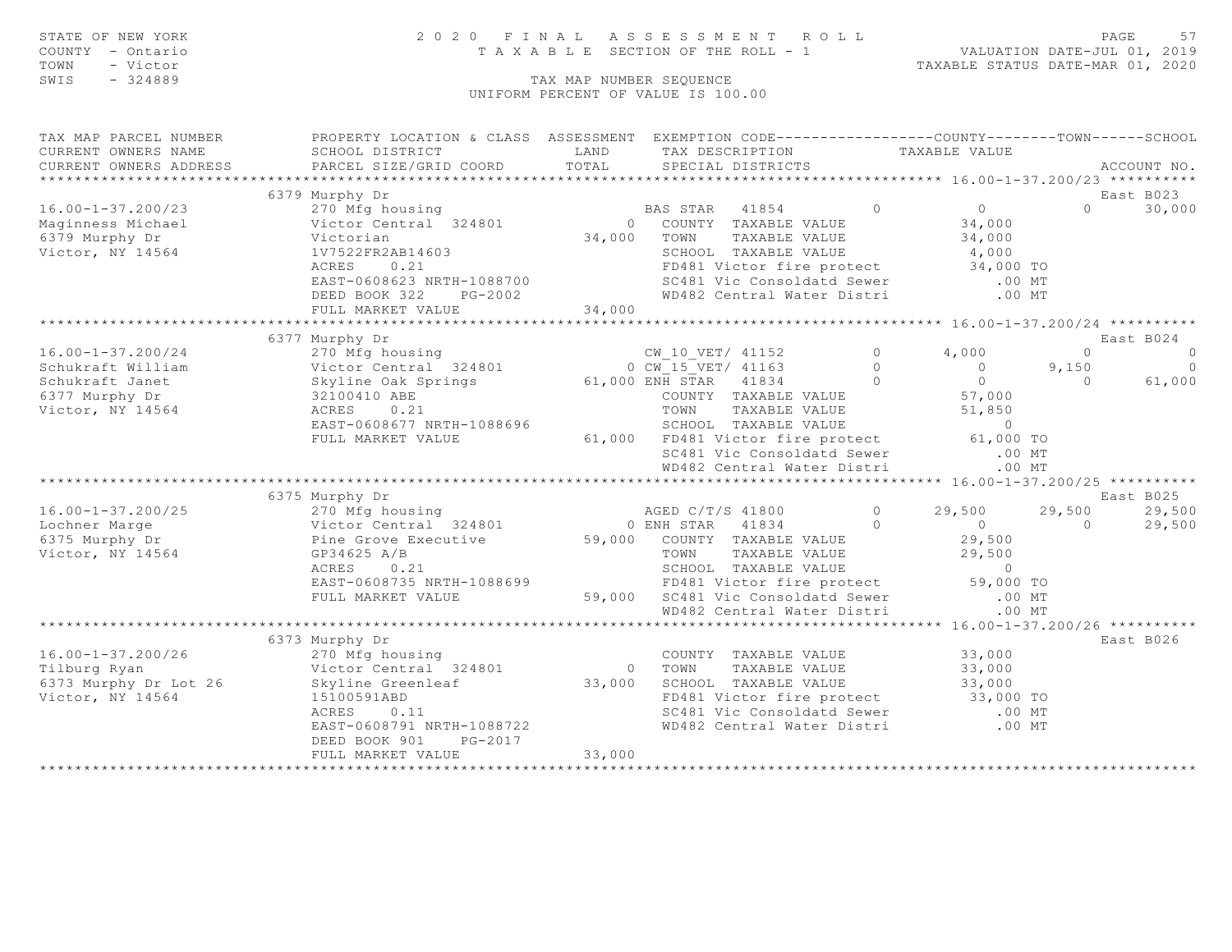| STATE OF NEW YORK<br>COUNTY - Ontario<br>TOWN<br>- Victor                        |                                                                                                                                                                                                                                                                                                                                                                                                                                                                                                       |                         | 2020 FINAL ASSESSMENT ROLL<br>T A X A B L E SECTION OF THE ROLL - 1 VALUATION DATE-JUL 01, 2019<br>T A X A B L E SECTION OF THE ROLL - 1 TAXABLE STATUS DATE-MAR 01, 2020 |          |                                                                                     |                                                                 | PAGE<br>57                                                                         |
|----------------------------------------------------------------------------------|-------------------------------------------------------------------------------------------------------------------------------------------------------------------------------------------------------------------------------------------------------------------------------------------------------------------------------------------------------------------------------------------------------------------------------------------------------------------------------------------------------|-------------------------|---------------------------------------------------------------------------------------------------------------------------------------------------------------------------|----------|-------------------------------------------------------------------------------------|-----------------------------------------------------------------|------------------------------------------------------------------------------------|
| $-324889$<br>SWIS                                                                |                                                                                                                                                                                                                                                                                                                                                                                                                                                                                                       | TAX MAP NUMBER SEQUENCE | UNIFORM PERCENT OF VALUE IS 100.00                                                                                                                                        |          |                                                                                     |                                                                 |                                                                                    |
|                                                                                  |                                                                                                                                                                                                                                                                                                                                                                                                                                                                                                       |                         |                                                                                                                                                                           |          |                                                                                     |                                                                 |                                                                                    |
| TAX MAP PARCEL NUMBER<br>CURRENT OWNERS NAME<br>CURRENT OWNERS ADDRESS           | PROPERTY LOCATION & CLASS ASSESSMENT EXEMPTION CODE-----------------COUNTY-------TOWN------SCHOOL<br>SCHOOL DISTRICT<br>PARCEL SIZE/GRID COORD                                                                                                                                                                                                                                                                                                                                                        | TOTAL                   | LAND TAX DESCRIPTION<br>SPECIAL DISTRICTS                                                                                                                                 |          | TAXABLE VALUE                                                                       |                                                                 | ACCOUNT NO.                                                                        |
| *************************                                                        |                                                                                                                                                                                                                                                                                                                                                                                                                                                                                                       |                         |                                                                                                                                                                           |          |                                                                                     |                                                                 |                                                                                    |
|                                                                                  | 6379 Murphy Dr                                                                                                                                                                                                                                                                                                                                                                                                                                                                                        |                         |                                                                                                                                                                           |          |                                                                                     |                                                                 | East B023                                                                          |
|                                                                                  | 16.00-1-37.200/23 270 Mfg housing<br>Maginness Michael Victor Central 324801 0 COUNTY TAXABLE VALUE<br>6379 Murphy Dr Victorian 324801 34,000 TOWN TAXABLE VALUE<br>Victor, NY 14564 1V7522FR2AB14603 SCHOOL TAXABLE VALUE<br>ACRES<br>0.21<br>EAST-0608623 NRTH-1088700<br>DEED BOOK 322 PG-2002<br>FULL MARKET VALUE                                                                                                                                                                                | 34,000                  | SCHOOL TAXABLE VALUE<br>FD481 Victor fire protect 34,000 TO<br>SC481 Vic Consoldatd Sewer .00 MT<br>WD482 Central Water Distri .00 MT                                     | $\Omega$ | $\overline{0}$<br>34,000<br>34,000<br>4,000                                         | $\Omega$                                                        | 30,000                                                                             |
|                                                                                  | ******************************                                                                                                                                                                                                                                                                                                                                                                                                                                                                        |                         |                                                                                                                                                                           |          |                                                                                     |                                                                 |                                                                                    |
| $16.00 - 1 - 37.200 / 25$<br>Lochner Marge<br>6375 Murphy Dr<br>Victor, NY 14564 | 6377 Murphy Dr<br>16.00-1-37.200/24 6377 Murphy Dr<br>Schukraft William Victor (10_VET) 41152 0<br>Schukraft Janet Skyline Oak Springs 61,000 ENH STAR 41834 0<br>6377 Murphy Dr<br>Victor, NY 14564 ACRES 0.21 TOWN TAXABLE VALUE 57,000<br>EAST-0608677<br>EAST-0608677 NRTH-1088696<br>FULL MARKET VALUE<br>6375 Murphy Dr<br>270 Mfg housing<br>270 Mfg housing<br>Victor Central 324801 0 CNH STAR 41834 0<br>Pine Grove Executive 59,000 COUNTY TAXABLE VALUE<br>CP34625 A/B 70WN TAXABLE VALUE |                         | 61,000 FD481 Victor fire protect<br>SC481 Vic Consoldatd Sewer<br>WD482 Central Water Distri                                                                              | $\Omega$ | 61,000 TO<br>.00 MT<br>.00MT<br>$0 \t 29,500$<br>$\overline{0}$<br>29,500<br>29,500 | $\Omega$<br>9,150<br>$\overline{0}$<br>29,500<br>$\overline{0}$ | East B024<br>$\Omega$<br>$\overline{0}$<br>61,000<br>East B025<br>29,500<br>29,500 |
|                                                                                  |                                                                                                                                                                                                                                                                                                                                                                                                                                                                                                       |                         | WD482 Central Water Distri                                                                                                                                                |          | .00MT                                                                               |                                                                 |                                                                                    |
|                                                                                  |                                                                                                                                                                                                                                                                                                                                                                                                                                                                                                       |                         |                                                                                                                                                                           |          |                                                                                     |                                                                 | East B026                                                                          |
| Victor, $NY$ 14564                                                               | $15100591$ ABD<br>ACRES<br>0.11<br>EAST-0608791 NRTH-1088722<br>DEED BOOK 901<br>PG-2017<br>FULL MARKET VALUE                                                                                                                                                                                                                                                                                                                                                                                         | 33,000                  | FD481 Victor fire protect<br>SC481 Vic Consoldatd Sewer .00 MT<br>WD482 Central Water Distri .00 MT                                                                       |          | 33,000<br>$-3,000$<br>33,000<br>33                                                  |                                                                 |                                                                                    |
|                                                                                  |                                                                                                                                                                                                                                                                                                                                                                                                                                                                                                       |                         |                                                                                                                                                                           |          |                                                                                     |                                                                 |                                                                                    |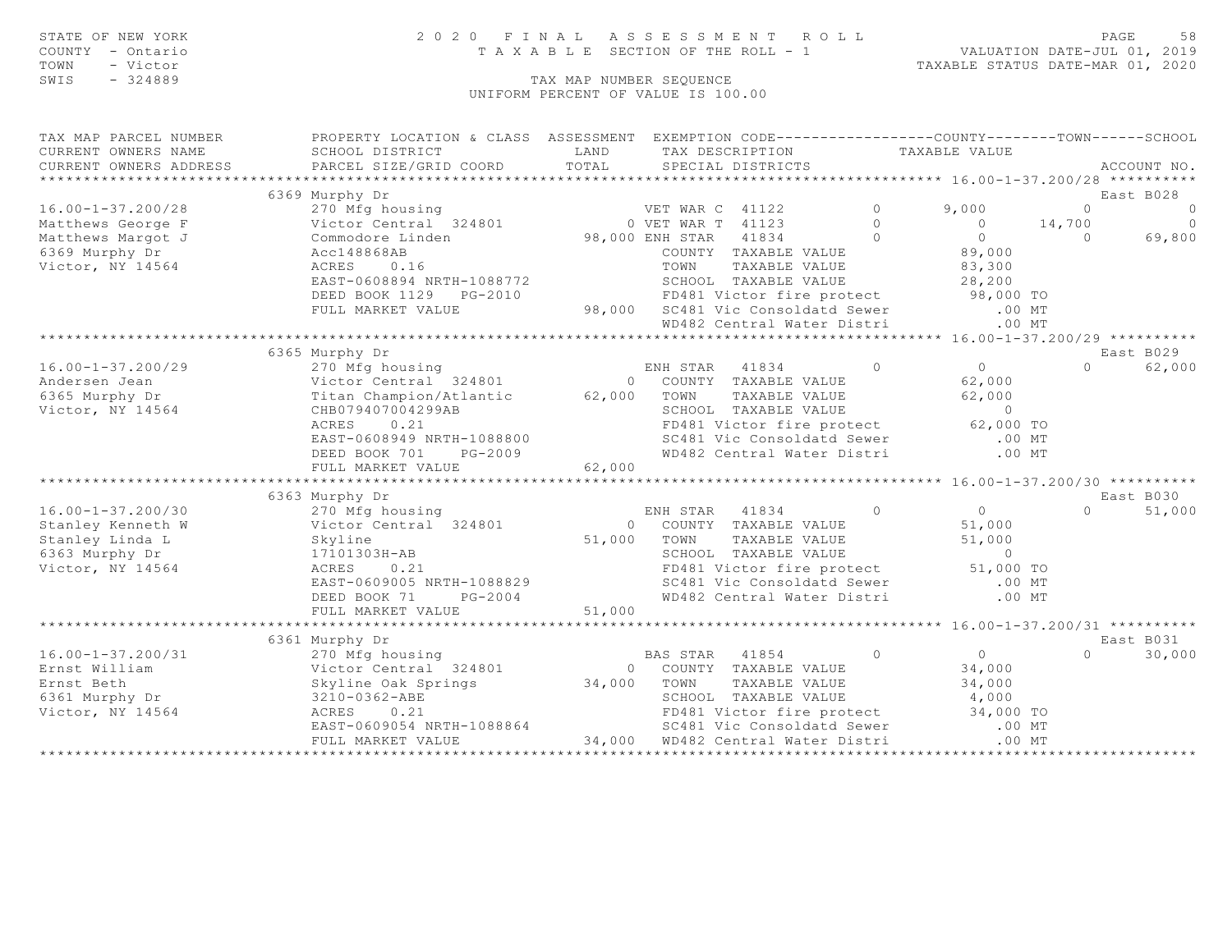|      | STATE OF NEW YORK |  | 2020 FINAL ASSESSMENT ROLL            |                                  | PAGE | 58 |
|------|-------------------|--|---------------------------------------|----------------------------------|------|----|
|      | COUNTY - Ontario  |  | T A X A B L E SECTION OF THE ROLL - 1 | VALUATION DATE-JUL 01, 2019      |      |    |
| TOWN | - Victor          |  |                                       | TAXABLE STATUS DATE-MAR 01, 2020 |      |    |
| SWIS | $-324889$         |  | TAX MAP NUMBER SEOUENCE               |                                  |      |    |

| UNIFORM PERCENT OF VALUE IS 100.00 |  |  |  |
|------------------------------------|--|--|--|
|                                    |  |  |  |

| TAX MAP PARCEL NUMBER<br>CURRENT OWNERS NAME<br>CURRENT OWNERS ADDRESS | PROPERTY LOCATION & CLASS ASSESSMENT<br>SCHOOL DISTRICT<br>PARCEL SIZE/GRID COORD | LAND<br>TOTAL   | EXEMPTION CODE-----------------COUNTY-------TOWN------SCHOOL<br>TAX DESCRIPTION TAXABLE VALUE<br>SPECIAL DISTRICTS |                |                          |          | ACCOUNT NO.    |
|------------------------------------------------------------------------|-----------------------------------------------------------------------------------|-----------------|--------------------------------------------------------------------------------------------------------------------|----------------|--------------------------|----------|----------------|
|                                                                        | 6369 Murphy Dr                                                                    |                 |                                                                                                                    |                |                          |          | East B028      |
| $16.00 - 1 - 37.200 / 28$                                              | 270 Mfg housing                                                                   |                 | VET WAR C 41122                                                                                                    | $\Omega$       | 9,000                    | $\Omega$ | $\overline{0}$ |
| Matthews George F                                                      | Victor Central 324801 0 VET WAR T 41123                                           |                 |                                                                                                                    | $\Omega$       | 14,700<br>$\overline{0}$ |          | $\Omega$       |
| Matthews Margot J                                                      | Commodore Linden                                                                  | 98,000 ENH STAR | 41834                                                                                                              | $\bigcap$      | $\overline{0}$           | $\Omega$ | 69,800         |
| 6369 Murphy Dr                                                         | Acc148868AB                                                                       |                 | COUNTY TAXABLE VALUE                                                                                               |                | 89,000                   |          |                |
| Victor, NY 14564                                                       | ACRES<br>0.16                                                                     |                 | TOWN<br>TAXABLE VALUE                                                                                              |                | 83,300                   |          |                |
|                                                                        | EAST-0608894 NRTH-1088772                                                         |                 | SCHOOL TAXABLE VALUE                                                                                               |                | 28,200                   |          |                |
|                                                                        | DEED BOOK 1129 PG-2010                                                            |                 | FD481 Victor fire protect 98,000 TO<br>98,000 SC481 Vic Consoldatd Sewer .00 MT                                    |                |                          |          |                |
|                                                                        | FULL MARKET VALUE                                                                 |                 |                                                                                                                    |                |                          |          |                |
|                                                                        |                                                                                   |                 | WD482 Central Water Distri                                                                                         |                | $.00$ MT                 |          |                |
|                                                                        |                                                                                   |                 | *********************************** 16.00-1-37.200/29 **********                                                   |                |                          |          |                |
|                                                                        | 6365 Murphy Dr                                                                    |                 |                                                                                                                    |                |                          |          | East B029      |
| $16.00 - 1 - 37.200 / 29$                                              |                                                                                   |                 | ENH STAR 41834                                                                                                     | $\bigcirc$     | $\overline{O}$           | $\Omega$ | 62,000         |
| Andersen Jean                                                          |                                                                                   |                 | 0 COUNTY TAXABLE VALUE                                                                                             |                | 62,000                   |          |                |
| 6365 Murphy Dr                                                         |                                                                                   |                 | TAXABLE VALUE                                                                                                      |                | 62,000                   |          |                |
| Victor, NY 14564 CHB079407004299AB                                     |                                                                                   |                 | SCHOOL TAXABLE VALUE                                                                                               |                | $\overline{0}$           |          |                |
|                                                                        | 0.21<br>ACRES                                                                     |                 | FD481 Victor fire protect 62,000 TO                                                                                |                |                          |          |                |
|                                                                        | EAST-0608949 NRTH-1088800                                                         |                 | SC481 Vic Consoldatd Sewer                                                                                         |                | $.00$ MT                 |          |                |
|                                                                        | DEED BOOK 701<br>PG-2009                                                          |                 | WD482 Central Water Distri                                                                                         |                | .00MT                    |          |                |
|                                                                        | FULL MARKET VALUE                                                                 | 62,000          |                                                                                                                    |                |                          |          |                |
|                                                                        |                                                                                   |                 |                                                                                                                    |                |                          |          |                |
|                                                                        | 6363 Murphy Dr                                                                    |                 |                                                                                                                    |                | $\overline{0}$           |          | East B030      |
| $16.00 - 1 - 37.200 / 30$                                              | 270 Mfg housing                                                                   |                 | ENH STAR 41834 0                                                                                                   |                |                          | $\cap$   | 51,000         |
| Stanley Kenneth W                                                      | Victor Central 324801                                                             |                 | 0 COUNTY TAXABLE VALUE                                                                                             |                | 51,000                   |          |                |
| Stanley Linda L<br>6363 Murphy Dr 17101303H-AB                         | Skyline                                                                           |                 | 51,000 TOWN<br>TAXABLE VALUE<br>SCHOOL TAXABLE VALUE                                                               |                | 51,000<br>$\circ$        |          |                |
| Victor, NY 14564                                                       | ACRES<br>0.21                                                                     |                 | FD481 Victor fire protect                                                                                          |                | 51,000 TO                |          |                |
|                                                                        | EAST-0609005 NRTH-1088829                                                         |                 |                                                                                                                    |                |                          |          |                |
|                                                                        | PG-2004<br>DEED BOOK 71                                                           |                 | SC481 Vic Consoldatd Sewer .00 MT<br>WD482 Central Water Distri .00 MT                                             |                |                          |          |                |
|                                                                        | FULL MARKET VALUE                                                                 | 51,000          |                                                                                                                    |                |                          |          |                |
|                                                                        |                                                                                   |                 |                                                                                                                    |                |                          |          |                |
|                                                                        | 6361 Murphy Dr                                                                    |                 |                                                                                                                    |                |                          |          | East B031      |
| $16.00 - 1 - 37.200 / 31$                                              | 270 Mfg housing                                                                   |                 | BAS STAR 41854                                                                                                     | $\overline{0}$ | $\overline{0}$           | $\Omega$ | 30,000         |
| Ernst William                                                          |                                                                                   |                 | 0 COUNTY TAXABLE VALUE                                                                                             |                | 34,000                   |          |                |
| Ernst Beth                                                             | Victor Central 324801<br>Skyline Oak Springs 34,000 TOWN                          |                 | TAXABLE VALUE                                                                                                      |                | 34,000                   |          |                |
| 6361 Murphy Dr<br>$3210 - 0362 - ABE$                                  |                                                                                   |                 | SCHOOL TAXABLE VALUE                                                                                               |                | 4,000                    |          |                |
| Victor, NY 14564                                                       | 0.21<br>ACRES                                                                     |                 | FD481 Victor fire protect                                                                                          |                | 34,000 TO                |          |                |
|                                                                        | EAST-0609054 NRTH-1088864                                                         |                 | SC481 Vic Consoldatd Sewer                                                                                         |                | $.00$ MT                 |          |                |
|                                                                        | FULL MARKET VALUE                                                                 | 34,000          | WD482 Central Water Distri                                                                                         |                | .00MT                    |          |                |
|                                                                        |                                                                                   |                 |                                                                                                                    |                |                          |          |                |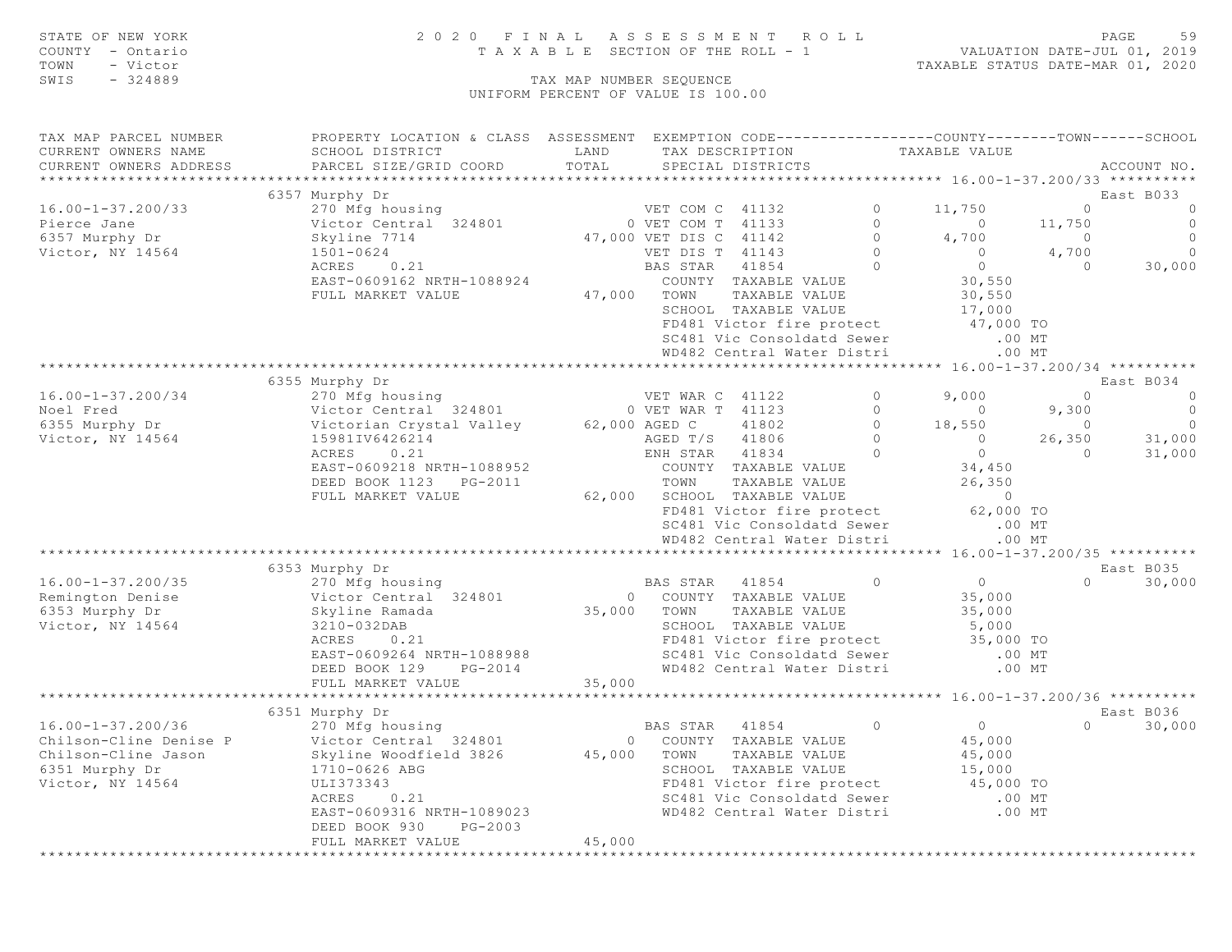| STATE OF NEW YORK | 2020 FINAL ASSESSMENT ROLL            |                                  | PAGE                        | 59 |
|-------------------|---------------------------------------|----------------------------------|-----------------------------|----|
| COUNTY - Ontario  | T A X A B L E SECTION OF THE ROLL - 1 |                                  | VALUATION DATE-JUL 01, 2019 |    |
| TOWN<br>- Victor  |                                       | TAXABLE STATUS DATE-MAR 01, 2020 |                             |    |
| SWIS<br>- 324889  | TAX MAP NUMBER SEOUENCE               |                                  |                             |    |

| . | ------ | THIS ISSE NOISSEN SEQUENCE         |  |  |  |
|---|--------|------------------------------------|--|--|--|
|   |        | UNIFORM PERCENT OF VALUE IS 100.00 |  |  |  |

| TAX MAP PARCEL NUMBER<br>CURRENT OWNERS NAME<br>CURRENT OWNERS ADDRESS | PROPERTY LOCATION & CLASS ASSESSMENT EXEMPTION CODE----------------COUNTY-------TOWN------SCHOOL<br>SCHOOL DISTRICT                                                                                                                                                                                                                                                                                                | LAND   | TAX DESCRIPTION                                                                                                                                                                                                                                |          | TAXABLE VALUE                                                                                                    |                                           |                |
|------------------------------------------------------------------------|--------------------------------------------------------------------------------------------------------------------------------------------------------------------------------------------------------------------------------------------------------------------------------------------------------------------------------------------------------------------------------------------------------------------|--------|------------------------------------------------------------------------------------------------------------------------------------------------------------------------------------------------------------------------------------------------|----------|------------------------------------------------------------------------------------------------------------------|-------------------------------------------|----------------|
| ***********************                                                |                                                                                                                                                                                                                                                                                                                                                                                                                    |        |                                                                                                                                                                                                                                                |          |                                                                                                                  |                                           |                |
|                                                                        | 6357 Murphy Dr                                                                                                                                                                                                                                                                                                                                                                                                     |        |                                                                                                                                                                                                                                                |          |                                                                                                                  |                                           | East B033      |
| $16.00 - 1 - 37.200 / 33$                                              | 270 Mfg housing<br>270 Mfg housing<br>Victor Central 324801 0 VET COM T 41133<br>Skyline 7714 47,000 VET DIS C 41142<br>1501-0624 VET DIS T 41143                                                                                                                                                                                                                                                                  |        |                                                                                                                                                                                                                                                |          | $\overline{0}$<br>11,750                                                                                         | $\circ$                                   | $\overline{0}$ |
| Pierce Jane                                                            |                                                                                                                                                                                                                                                                                                                                                                                                                    |        |                                                                                                                                                                                                                                                | $\Omega$ | $\overline{0}$                                                                                                   | 11,750                                    | $\overline{0}$ |
| 6357 Murphy Dr                                                         |                                                                                                                                                                                                                                                                                                                                                                                                                    |        |                                                                                                                                                                                                                                                |          |                                                                                                                  | $\begin{array}{c}0\\4\,,\,700\end{array}$ | $\overline{0}$ |
| Victor, NY 14564                                                       |                                                                                                                                                                                                                                                                                                                                                                                                                    |        |                                                                                                                                                                                                                                                |          |                                                                                                                  |                                           | $\Omega$       |
|                                                                        | 0.21<br>ACRES                                                                                                                                                                                                                                                                                                                                                                                                      |        | <b>BAS STAR</b>                                                                                                                                                                                                                                |          |                                                                                                                  | $\overline{0}$                            | 30,000         |
|                                                                        | EAST-0609162 NRTH-1088924<br>FULL MARKET VALUE<br>FULL MARKET VALUE<br>$47,000$ TOWN TAXABLE VALUE                                                                                                                                                                                                                                                                                                                 |        | COUNTY TAXABLE VALUE                                                                                                                                                                                                                           |          |                                                                                                                  |                                           |                |
|                                                                        |                                                                                                                                                                                                                                                                                                                                                                                                                    |        |                                                                                                                                                                                                                                                |          |                                                                                                                  |                                           |                |
|                                                                        |                                                                                                                                                                                                                                                                                                                                                                                                                    |        |                                                                                                                                                                                                                                                |          |                                                                                                                  |                                           |                |
|                                                                        |                                                                                                                                                                                                                                                                                                                                                                                                                    |        |                                                                                                                                                                                                                                                |          |                                                                                                                  |                                           |                |
|                                                                        |                                                                                                                                                                                                                                                                                                                                                                                                                    |        |                                                                                                                                                                                                                                                |          |                                                                                                                  |                                           |                |
|                                                                        |                                                                                                                                                                                                                                                                                                                                                                                                                    |        | ET COM T 41133 0 0 11<br>ET DIS C 41142 0 4,700<br>ET DIS T 41143 0 0 4<br>MAS STAR 41854 0 0 0<br>COUNTY TAXABLE VALUE 30,550<br>TOWN TAXABLE VALUE 30,550<br>SCHOOL TAXABLE VALUE 17,000<br>FD481 Victor fire protect 47,000 TO<br>SC481 Vic |          |                                                                                                                  |                                           |                |
|                                                                        | 6355 Murphy Dr                                                                                                                                                                                                                                                                                                                                                                                                     |        |                                                                                                                                                                                                                                                |          |                                                                                                                  |                                           | East B034      |
| $16.00 - 1 - 37.200 / 34$                                              | VET WAR C 41122<br>270 Murphy Drousing<br>Victor Central 324801 0 VET WAR T 41123<br>Victorian Crystal Valley 62,000 AGED C 41802<br>15981IV6426214 ACRES 0.21 ENH STAR 41834                                                                                                                                                                                                                                      |        |                                                                                                                                                                                                                                                |          |                                                                                                                  | $\Omega$                                  | $\overline{0}$ |
| Noel Fred                                                              |                                                                                                                                                                                                                                                                                                                                                                                                                    |        |                                                                                                                                                                                                                                                |          | $\begin{array}{ccc} 0 & & 9\textnormal{,} & 000\ 0 & & & 0\ 0 & & 18\textnormal{,} & 550\ 0 & & & 0 \end{array}$ | 9,300                                     | $\overline{0}$ |
| 6355 Murphy Dr                                                         |                                                                                                                                                                                                                                                                                                                                                                                                                    |        |                                                                                                                                                                                                                                                |          |                                                                                                                  | $\overline{0}$                            | $\circ$        |
| Victor, NY 14564                                                       |                                                                                                                                                                                                                                                                                                                                                                                                                    |        | AGED T/S 41806                                                                                                                                                                                                                                 |          |                                                                                                                  | 26,350                                    | 31,000         |
|                                                                        |                                                                                                                                                                                                                                                                                                                                                                                                                    |        | ENH STAR 41834 0                                                                                                                                                                                                                               |          |                                                                                                                  | $\overline{0}$                            | 31,000         |
|                                                                        | EAST-0609218 NRTH-1088952                                                                                                                                                                                                                                                                                                                                                                                          |        | COUNTY TAXABLE VALUE                                                                                                                                                                                                                           |          |                                                                                                                  |                                           |                |
|                                                                        |                                                                                                                                                                                                                                                                                                                                                                                                                    |        |                                                                                                                                                                                                                                                |          | $0$<br>34,450<br>26,350                                                                                          |                                           |                |
|                                                                        | DEED BOOK 1123 PG-2011 TOWN TAXABLE VALUE<br>FULL MARKET VALUE 62,000 SCHOOL TAXABLE VALUE                                                                                                                                                                                                                                                                                                                         |        |                                                                                                                                                                                                                                                |          | $\overline{0}$                                                                                                   |                                           |                |
|                                                                        |                                                                                                                                                                                                                                                                                                                                                                                                                    |        | FD481 Victor fire protect<br>SC481 Vic Consoldatd Sewer                                                                                                                                                                                        |          | 62,000 TO                                                                                                        |                                           |                |
|                                                                        |                                                                                                                                                                                                                                                                                                                                                                                                                    |        |                                                                                                                                                                                                                                                |          | .00 MT                                                                                                           |                                           |                |
|                                                                        |                                                                                                                                                                                                                                                                                                                                                                                                                    |        | WD482 Central Water Distri                                                                                                                                                                                                                     |          | .00MT                                                                                                            |                                           |                |
|                                                                        |                                                                                                                                                                                                                                                                                                                                                                                                                    |        |                                                                                                                                                                                                                                                |          |                                                                                                                  |                                           | East B035      |
| $16.00 - 1 - 37.200 / 35$                                              | 6353 Murphy Dr<br>270 Mfg housing<br>270 Mfg housing<br>Victor Central 324801 0 COUNTY TAXABLE VALUE<br>Skyline Ramada<br>3210-032DAB 35,000 TOWN TAXABLE VALUE<br>3210-032DAB SCHOOL TAXABLE VALUE                                                                                                                                                                                                                |        |                                                                                                                                                                                                                                                |          | $\begin{array}{c}\n0 \\ 35\n\end{array}$                                                                         | $\cap$                                    | 30,000         |
|                                                                        |                                                                                                                                                                                                                                                                                                                                                                                                                    |        |                                                                                                                                                                                                                                                |          |                                                                                                                  |                                           |                |
| Remington Denise<br>6353 Murphy Dr                                     |                                                                                                                                                                                                                                                                                                                                                                                                                    |        |                                                                                                                                                                                                                                                |          |                                                                                                                  |                                           |                |
| Victor, NY 14564                                                       |                                                                                                                                                                                                                                                                                                                                                                                                                    |        |                                                                                                                                                                                                                                                |          |                                                                                                                  |                                           |                |
|                                                                        | 0.21<br>ACRES                                                                                                                                                                                                                                                                                                                                                                                                      |        |                                                                                                                                                                                                                                                |          |                                                                                                                  |                                           |                |
|                                                                        | EAST-0609264 NRTH-1088988                                                                                                                                                                                                                                                                                                                                                                                          |        | 35,000 TOWN TAXABLE VALUE 35,000<br>SCHOOL TAXABLE VALUE 35,000<br>FD481 Victor fire protect 35,000 TO<br>SC481 Vic Consoldatd Sewer .00 MT<br>WD482 Central Water Distri .00 MT<br>35,000                                                     |          |                                                                                                                  |                                           |                |
|                                                                        | DEED BOOK 129<br>PG-2014                                                                                                                                                                                                                                                                                                                                                                                           |        |                                                                                                                                                                                                                                                |          |                                                                                                                  |                                           |                |
|                                                                        | FULL MARKET VALUE                                                                                                                                                                                                                                                                                                                                                                                                  |        |                                                                                                                                                                                                                                                |          |                                                                                                                  |                                           |                |
|                                                                        | $\begin{array}{cccc} & 6351 & \text{Murphy Dr} & & & & \\ 6351 & \text{Murphy Dr} & & & & \\ 6351 & \text{Murphy Dr} & & & & \\ \text{Chilson-Cline Denise P} & & & & & \\ \text{Chilson-Cline Janise P} & & & & & \\ \text{Chilson-Cline Jason} & & & & & \\ \text{Chilson-Cline Jason} & & & & & \\ \text{G51 Murphy Dr} & & & & & \\ \text{G526} & & & & & \\ \text{Victor, NY 14564} & & & & & \\ \end{array}$ |        |                                                                                                                                                                                                                                                |          |                                                                                                                  |                                           |                |
|                                                                        |                                                                                                                                                                                                                                                                                                                                                                                                                    |        |                                                                                                                                                                                                                                                |          |                                                                                                                  |                                           | East B036      |
|                                                                        |                                                                                                                                                                                                                                                                                                                                                                                                                    |        |                                                                                                                                                                                                                                                |          | $0$<br>45,000                                                                                                    | $\cap$                                    | 30,000         |
|                                                                        |                                                                                                                                                                                                                                                                                                                                                                                                                    |        |                                                                                                                                                                                                                                                |          |                                                                                                                  |                                           |                |
|                                                                        |                                                                                                                                                                                                                                                                                                                                                                                                                    |        |                                                                                                                                                                                                                                                |          | 45,000                                                                                                           |                                           |                |
|                                                                        |                                                                                                                                                                                                                                                                                                                                                                                                                    |        |                                                                                                                                                                                                                                                |          | 15,000                                                                                                           |                                           |                |
|                                                                        |                                                                                                                                                                                                                                                                                                                                                                                                                    |        |                                                                                                                                                                                                                                                |          |                                                                                                                  |                                           |                |
|                                                                        | 1710-0626 ABG<br>ULI373343<br>ACRES 0.21<br>EAST-0609316 NRTH-1089023                                                                                                                                                                                                                                                                                                                                              |        | FD481 Victor fire protect 45,000 TO<br>SC481 Vic Consoldatd Sewer .00 MT<br>WD482 Central Water Distri .00 MT                                                                                                                                  |          |                                                                                                                  |                                           |                |
|                                                                        | DEED BOOK 930<br>PG-2003                                                                                                                                                                                                                                                                                                                                                                                           |        |                                                                                                                                                                                                                                                |          |                                                                                                                  |                                           |                |
|                                                                        | FULL MARKET VALUE                                                                                                                                                                                                                                                                                                                                                                                                  | 45,000 |                                                                                                                                                                                                                                                |          |                                                                                                                  |                                           |                |
|                                                                        |                                                                                                                                                                                                                                                                                                                                                                                                                    |        |                                                                                                                                                                                                                                                |          |                                                                                                                  |                                           |                |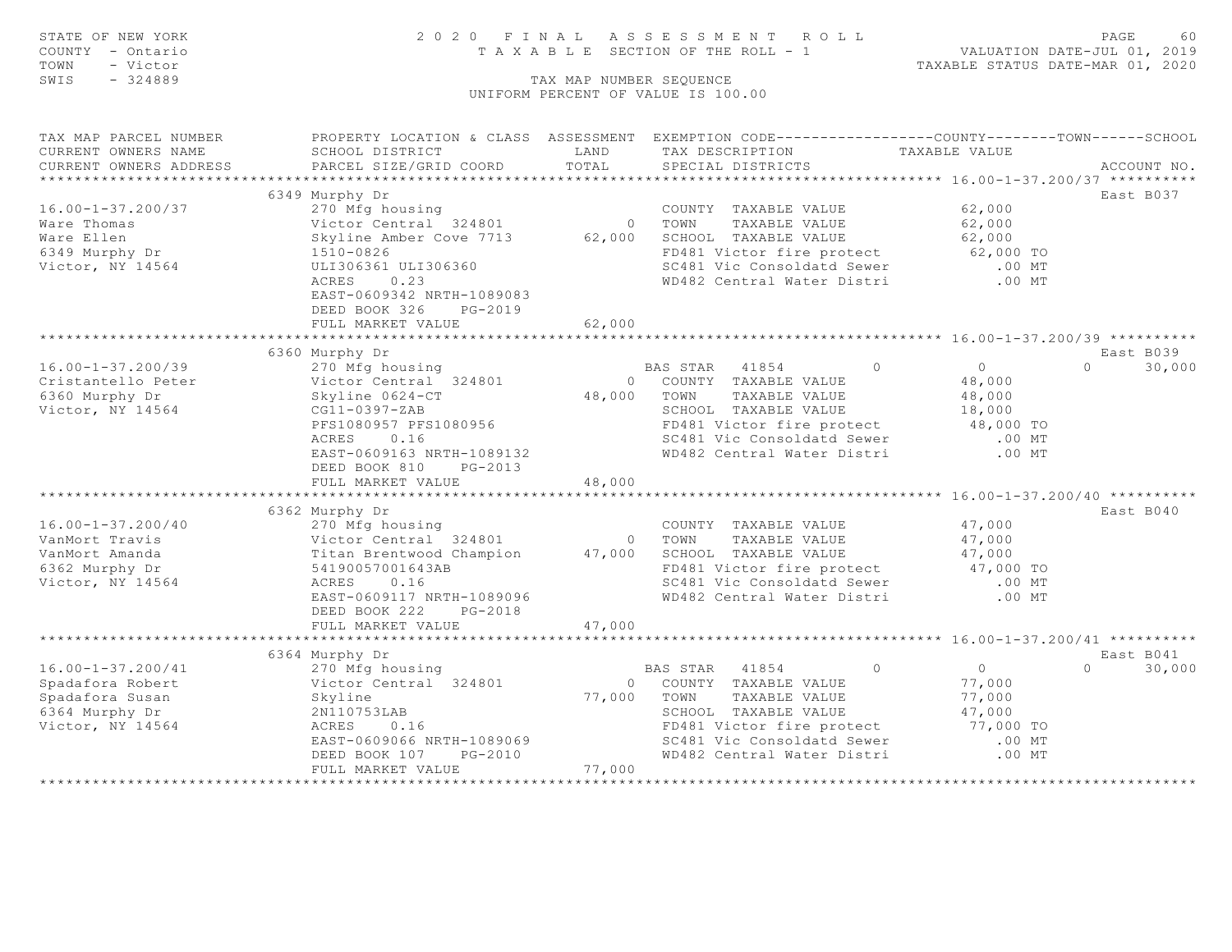| STATE OF NEW YORK<br>COUNTY - Ontario<br>TOWN<br>- Victor<br>SWIS<br>$-324889$                         |                                                                                                                                                                                                                                             | TAX MAP NUMBER SEOUENCE | 2020 FINAL ASSESSMENT ROLL<br>T A X A B L E SECTION OF THE ROLL - 1<br>UNIFORM PERCENT OF VALUE IS 100.00                                                                                             | VALUATION DATE-JUL 01, 2019<br>TAXABLE STATUS DATE-MAR 01, 2020                | PAGE     | 60                  |
|--------------------------------------------------------------------------------------------------------|---------------------------------------------------------------------------------------------------------------------------------------------------------------------------------------------------------------------------------------------|-------------------------|-------------------------------------------------------------------------------------------------------------------------------------------------------------------------------------------------------|--------------------------------------------------------------------------------|----------|---------------------|
| TAX MAP PARCEL NUMBER<br>CURRENT OWNERS NAME<br>CURRENT OWNERS ADDRESS<br>***********************      | SCHOOL DISTRICT<br>PARCEL SIZE/GRID COORD                                                                                                                                                                                                   | LAND<br>TOTAL           | PROPERTY LOCATION & CLASS ASSESSMENT EXEMPTION CODE---------------COUNTY-------TOWN------SCHOOL<br>TAX DESCRIPTION<br>SPECIAL DISTRICTS                                                               | TAXABLE VALUE                                                                  |          | ACCOUNT NO.         |
| $16.00 - 1 - 37.200 / 37$<br>Ware Thomas<br>Ware Ellen<br>6349 Murphy Dr<br>Victor, NY 14564           | 6349 Murphy Dr<br>270 Mfg housing<br>Victor Central 324801<br>Victor Central 324801<br>Skyline Amber Cove 7713<br>1510-0826<br>ULI306361 ULI306360<br>ACRES 0.23<br>EAST-0609342 NRTH-1089083<br>DEED BOOK 326 PG-2019<br>FULL MARKET VALUE | 0 TOWN<br>62,000        | COUNTY TAXABLE VALUE<br>TAXABLE VALUE<br>62,000 SCHOOL TAXABLE VALUE<br>FD481 Victor fire protect 62,000 TO<br>SC481 Vic Consoldatd Sewer<br>WD482 Central Water Distri                               | 62,000<br>62,000<br>62,000<br>.00 MT<br>$.00$ MT                               |          | East B037           |
|                                                                                                        | ***********************                                                                                                                                                                                                                     |                         |                                                                                                                                                                                                       |                                                                                |          |                     |
| $16.00 - 1 - 37.200 / 39$<br>Cristantello Peter<br>6360 Murphy Dr<br>Victor, NY 14564                  | 6360 Murphy Dr<br>270 Mfg housing<br>Victor Central 324801<br>Skyline 0624-CT<br>CG11-0397-ZAB<br>PFS1080957 PFS1080956<br>ACRES 0.16<br>EAST-0609163 NRTH-1089132<br>DEED BOOK 810 PG-2013<br>FULL MARKET VALUE                            | 48,000                  | BAS STAR 41854<br>$\Omega$<br>0 COUNTY TAXABLE VALUE<br>48,000 TOWN<br>TAXABLE VALUE<br>SCHOOL TAXABLE VALUE<br>FD481 Victor fire protect<br>SC481 Vic Consoldatd Sewer<br>WD482 Central Water Distri | $\Omega$<br>48,000<br>48,000<br>18,000<br>48,000 TO<br>.00 MT<br>$.00$ MT      | $\Omega$ | East B039<br>30,000 |
|                                                                                                        | 6362 Murphy Dr                                                                                                                                                                                                                              |                         |                                                                                                                                                                                                       |                                                                                |          | East B040           |
| $16.00 - 1 - 37.200 / 40$<br>VanMort Travis<br>VanMort Amanda<br>6362 Murphy Dr<br>Victor, NY 14564    | 270 Mfg housing<br>Victor Central 324801<br>Titan Brentwood Champion<br>54190057001643AB<br>ACRES<br>0.16<br>EAST-0609117 NRTH-1089096<br>DEED BOOK 222<br>PG-2018                                                                          | 0 TOWN                  | COUNTY TAXABLE VALUE<br>TAXABLE VALUE<br>47,000 SCHOOL TAXABLE VALUE<br>FD481 Victor fire protect<br>SC481 Vic Consoldatd Sewer<br>WD482 Central Water Distri                                         | 47,000<br>47,000<br>47,000<br>47,000 TO<br>.00 MT<br>$.00$ MT                  |          |                     |
|                                                                                                        | FULL MARKET VALUE                                                                                                                                                                                                                           | 47,000                  |                                                                                                                                                                                                       |                                                                                |          |                     |
|                                                                                                        |                                                                                                                                                                                                                                             |                         | ********************************** 16.00-1-37.200/41 ***                                                                                                                                              |                                                                                |          |                     |
| $16.00 - 1 - 37.200 / 41$<br>Spadafora Robert<br>Spadafora Susan<br>6364 Murphy Dr<br>Victor, NY 14564 | 6364 Murphy Dr<br>270 Mfg housing<br>Victor Central 324801<br>Aurph<br>270 Mf<br>Victor<br>Skyline<br>2N110756<br>200<br>2N110753LAB<br>0.16<br>EAST-0609066 NRTH-1089069<br>DEED BOOK 107<br>PG-2010<br>FULL MARKET VALUE                  | 77,000                  | BAS STAR 41854<br>$\Omega$<br>0 COUNTY TAXABLE VALUE<br>77,000 TOWN<br>TAXABLE VALUE<br>SCHOOL TAXABLE VALUE<br>FD481 Victor fire protect<br>SC481 Vic Consoldatd Sewer<br>WD482 Central Water Distri | $\overline{0}$<br>77,000<br>77,000<br>47,000<br>77,000 TO<br>$.00$ MT<br>.00MT | $\Omega$ | East B041<br>30,000 |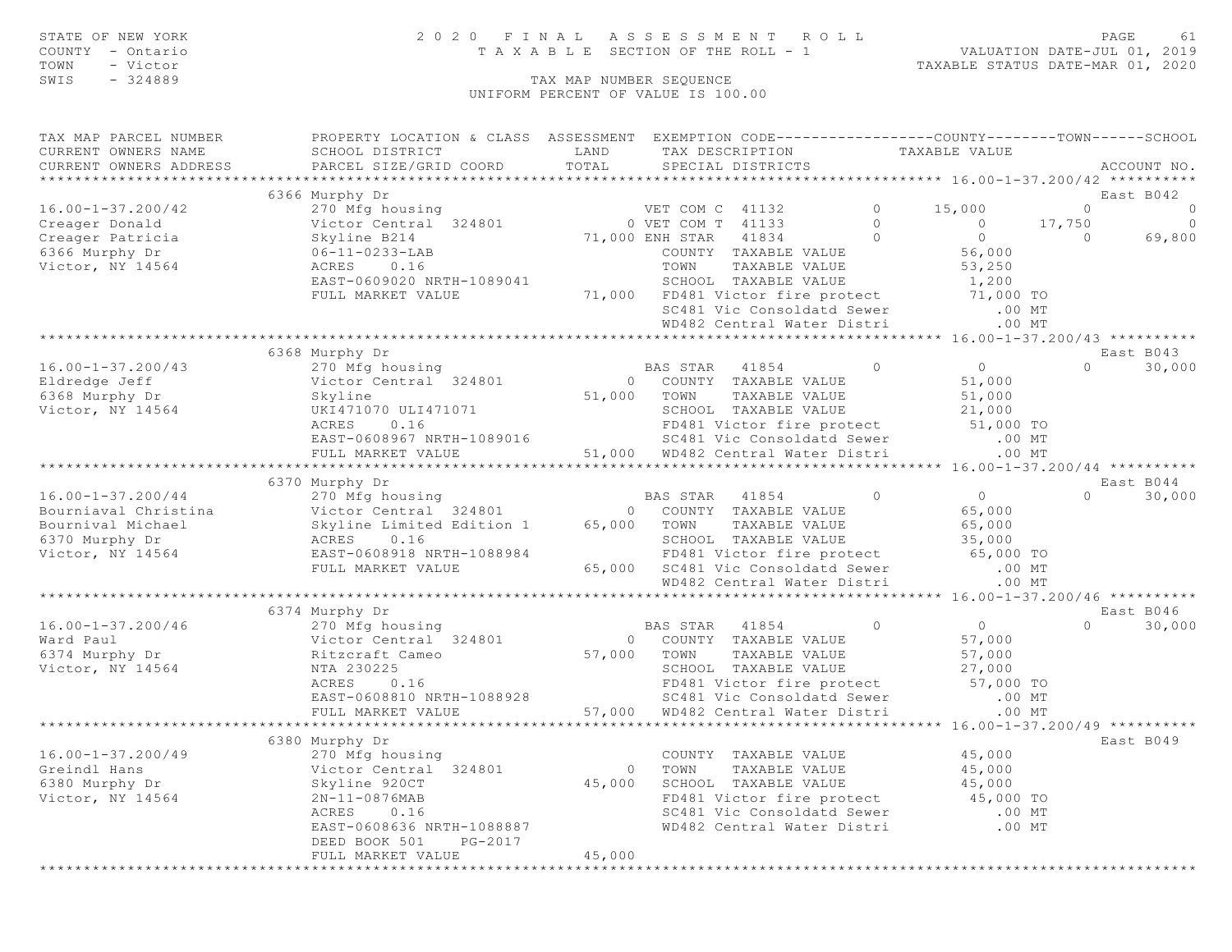| STATE OF NEW YORK | 2020 FINAL ASSESSMENT ROLL      |                                  | PAGE                        |  |
|-------------------|---------------------------------|----------------------------------|-----------------------------|--|
| COUNTY - Ontario  | TAXABLE SECTION OF THE ROLL - 1 |                                  | VALUATION DATE-JUL 01, 2019 |  |
| TOWN<br>- Victor  |                                 | TAXABLE STATUS DATE-MAR 01, 2020 |                             |  |
| SWIS<br>- 324889  | TAX MAP NUMBER SEOUENCE         |                                  |                             |  |

| TAX MAP PARCEL NUMBER<br>CURRENT OWNERS NAME<br>CURRENT OWNERS ADDRESS                                                                                                                                                              | PROPERTY LOCATION & CLASS ASSESSMENT<br>SCHOOL DISTRICT<br>PARCEL SIZE/GRID COORD                                                                                          | LAND<br>TOTAL | EXEMPTION CODE-----------------COUNTY-------TOWN------SCHOOL<br>TAX DESCRIPTION<br>SPECIAL DISTRICTS                                                     | TAXABLE VALUE                                      | ACCOUNT NO.                |
|-------------------------------------------------------------------------------------------------------------------------------------------------------------------------------------------------------------------------------------|----------------------------------------------------------------------------------------------------------------------------------------------------------------------------|---------------|----------------------------------------------------------------------------------------------------------------------------------------------------------|----------------------------------------------------|----------------------------|
| ***********************                                                                                                                                                                                                             |                                                                                                                                                                            |               |                                                                                                                                                          |                                                    |                            |
|                                                                                                                                                                                                                                     | 270 Mfg housing<br>270 Mfg housing<br>VET COM C 41132<br>VET COM C 41132<br>Skyline B214<br>06-11-0233-LAB<br>ACRES 0.16<br>271,000 ENH STAR 41834<br>COUNTY TAXABLE VARES |               |                                                                                                                                                          |                                                    | East B042                  |
| $16.00 - 1 - 37.200 / 42$                                                                                                                                                                                                           |                                                                                                                                                                            |               |                                                                                                                                                          | $0 \t 15,000$                                      | $\overline{0}$<br>$\Omega$ |
| Creager Donald                                                                                                                                                                                                                      |                                                                                                                                                                            |               |                                                                                                                                                          | $\overline{0}$                                     | $\overline{0}$<br>17,750   |
| Creager Patricia                                                                                                                                                                                                                    |                                                                                                                                                                            |               | $41133$ 0<br>$41834$ 0                                                                                                                                   | $\overline{0}$<br>$0$<br>56,000                    | $\overline{0}$<br>69,800   |
| 6366 Murphy Dr                                                                                                                                                                                                                      |                                                                                                                                                                            |               | COUNTY TAXABLE VALUE                                                                                                                                     |                                                    |                            |
| Victor, NY 14564                                                                                                                                                                                                                    |                                                                                                                                                                            |               | TAXABLE VALUE<br>SCHOOL TAXABLE VALUE                                                                                                                    | $\frac{53,250}{1,200}$                             |                            |
|                                                                                                                                                                                                                                     | EAST-0609020 NRTH-1089041                                                                                                                                                  |               |                                                                                                                                                          |                                                    |                            |
|                                                                                                                                                                                                                                     | FULL MARKET VALUE                                                                                                                                                          |               |                                                                                                                                                          |                                                    |                            |
|                                                                                                                                                                                                                                     |                                                                                                                                                                            |               | 71,000 FD481 Victor fire protect 71,000 TO<br>SC481 Vic Consoldatd Sewer .00 MT<br>WD482 Central Water Distri .00 MT                                     |                                                    |                            |
|                                                                                                                                                                                                                                     |                                                                                                                                                                            |               |                                                                                                                                                          |                                                    |                            |
|                                                                                                                                                                                                                                     | 6368 Murphy Dr                                                                                                                                                             |               |                                                                                                                                                          |                                                    | East B043                  |
|                                                                                                                                                                                                                                     |                                                                                                                                                                            |               |                                                                                                                                                          |                                                    | 30,000<br>$\cap$           |
|                                                                                                                                                                                                                                     |                                                                                                                                                                            |               |                                                                                                                                                          |                                                    |                            |
|                                                                                                                                                                                                                                     |                                                                                                                                                                            |               |                                                                                                                                                          |                                                    |                            |
|                                                                                                                                                                                                                                     |                                                                                                                                                                            |               |                                                                                                                                                          |                                                    |                            |
|                                                                                                                                                                                                                                     |                                                                                                                                                                            |               |                                                                                                                                                          |                                                    |                            |
|                                                                                                                                                                                                                                     |                                                                                                                                                                            |               |                                                                                                                                                          |                                                    |                            |
| 16.00-1-37.200/43 b360 murphy pr<br>Eldredge Jeff 2000 Microcentral 324801 b21000 mm<br>Skyline 51,000 TOWN TAXABLE VALUE 51,000<br>Victor, NY 14564 UKI471070 ULI471071 b29016 EAST-0608967 NRTH-1089016 EAST-0608967 NRTH-1089016 |                                                                                                                                                                            |               |                                                                                                                                                          |                                                    |                            |
|                                                                                                                                                                                                                                     |                                                                                                                                                                            |               |                                                                                                                                                          |                                                    |                            |
|                                                                                                                                                                                                                                     |                                                                                                                                                                            |               |                                                                                                                                                          |                                                    | East B044                  |
|                                                                                                                                                                                                                                     |                                                                                                                                                                            |               |                                                                                                                                                          |                                                    | $0 \t 30,000$              |
|                                                                                                                                                                                                                                     |                                                                                                                                                                            |               |                                                                                                                                                          | $\begin{array}{c} 0 \ 65,000 \ 65,000 \end{array}$ |                            |
|                                                                                                                                                                                                                                     |                                                                                                                                                                            |               |                                                                                                                                                          |                                                    |                            |
|                                                                                                                                                                                                                                     |                                                                                                                                                                            |               | SCHOOL TAXABLE VALUE 1999 35,000<br>SCHOOL TAXABLE VALUE 1999 35,000 TO                                                                                  |                                                    |                            |
|                                                                                                                                                                                                                                     |                                                                                                                                                                            |               |                                                                                                                                                          | .00 MT                                             |                            |
|                                                                                                                                                                                                                                     |                                                                                                                                                                            |               |                                                                                                                                                          | $.00$ MT                                           |                            |
|                                                                                                                                                                                                                                     |                                                                                                                                                                            |               |                                                                                                                                                          |                                                    |                            |
|                                                                                                                                                                                                                                     | 6374 Murphy Dr                                                                                                                                                             |               |                                                                                                                                                          |                                                    | East B046                  |
|                                                                                                                                                                                                                                     |                                                                                                                                                                            |               | BAS STAR 41854                                                                                                                                           | $\overline{0}$<br>$\bigcirc$                       | 30,000<br>$\Omega$         |
|                                                                                                                                                                                                                                     |                                                                                                                                                                            |               |                                                                                                                                                          | 57,000                                             |                            |
|                                                                                                                                                                                                                                     | 270 Mfg housing<br>Victor Central 324801<br>Ritzcraft Cameo                                                                                                                |               |                                                                                                                                                          | 57,000                                             |                            |
| $100/46$<br>$-10$ Paul<br>6374 Murphy Dr<br>Victor, NY 14566                                                                                                                                                                        | NTA 230225<br>0.16                                                                                                                                                         |               | BAS STAR 41854<br>0 COUNTY TAXABLE VALUE<br>57,000 TOWN TAXABLE VALUE<br>SCHOOL TAXABLE VALUE<br>FD481 Victor fire protect<br>SC481 Vic Consoldatd Sewer | 27,000                                             |                            |
|                                                                                                                                                                                                                                     | ACRES                                                                                                                                                                      |               |                                                                                                                                                          | $57,000$ TO                                        |                            |
|                                                                                                                                                                                                                                     | EAST-0608810 NRTH-1088928                                                                                                                                                  |               | SC481 Vic Consoldatd Sewer<br>57,000 WD482 Central Water Distri                                                                                          | .00MT                                              |                            |
|                                                                                                                                                                                                                                     | FULL MARKET VALUE                                                                                                                                                          |               |                                                                                                                                                          | .00MT                                              |                            |
|                                                                                                                                                                                                                                     |                                                                                                                                                                            |               |                                                                                                                                                          |                                                    |                            |
|                                                                                                                                                                                                                                     | 6380 Murphy Dr<br>270 Mfg housing                                                                                                                                          |               |                                                                                                                                                          | 45,000                                             | East B049                  |
| $16.00 - 1 - 37.200 / 49$<br>Greindl Hans                                                                                                                                                                                           |                                                                                                                                                                            |               | COUNTY TAXABLE VALUE                                                                                                                                     |                                                    |                            |
| 6380 Murphy Dr                                                                                                                                                                                                                      | 0/49 270 Mfg housing<br>Victor Central 324801<br>Skyline 920CT                                                                                                             |               | 0 TOWN TAXABLE VALUE<br>45,000 SCHOOL TAXABLE VALUE                                                                                                      | 45,000<br>45,000                                   |                            |
| Victor, NY 14564                                                                                                                                                                                                                    | $2N-11-0876MAB$                                                                                                                                                            |               | FD481 Victor fire protect<br>SC481 Victor fire protect 45,000 TO<br>SC481 Vic Consoldatd Sewer .00 MT                                                    |                                                    |                            |
|                                                                                                                                                                                                                                     | 0.16<br>ACRES                                                                                                                                                              |               |                                                                                                                                                          |                                                    |                            |
|                                                                                                                                                                                                                                     | EAST-0608636 NRTH-1088887                                                                                                                                                  |               | WD482 Central Water Distri                                                                                                                               | $.00$ MT                                           |                            |
|                                                                                                                                                                                                                                     | DEED BOOK 501<br>PG-2017                                                                                                                                                   |               |                                                                                                                                                          |                                                    |                            |
|                                                                                                                                                                                                                                     | FULL MARKET VALUE                                                                                                                                                          | 45,000        |                                                                                                                                                          |                                                    |                            |
|                                                                                                                                                                                                                                     |                                                                                                                                                                            |               |                                                                                                                                                          |                                                    |                            |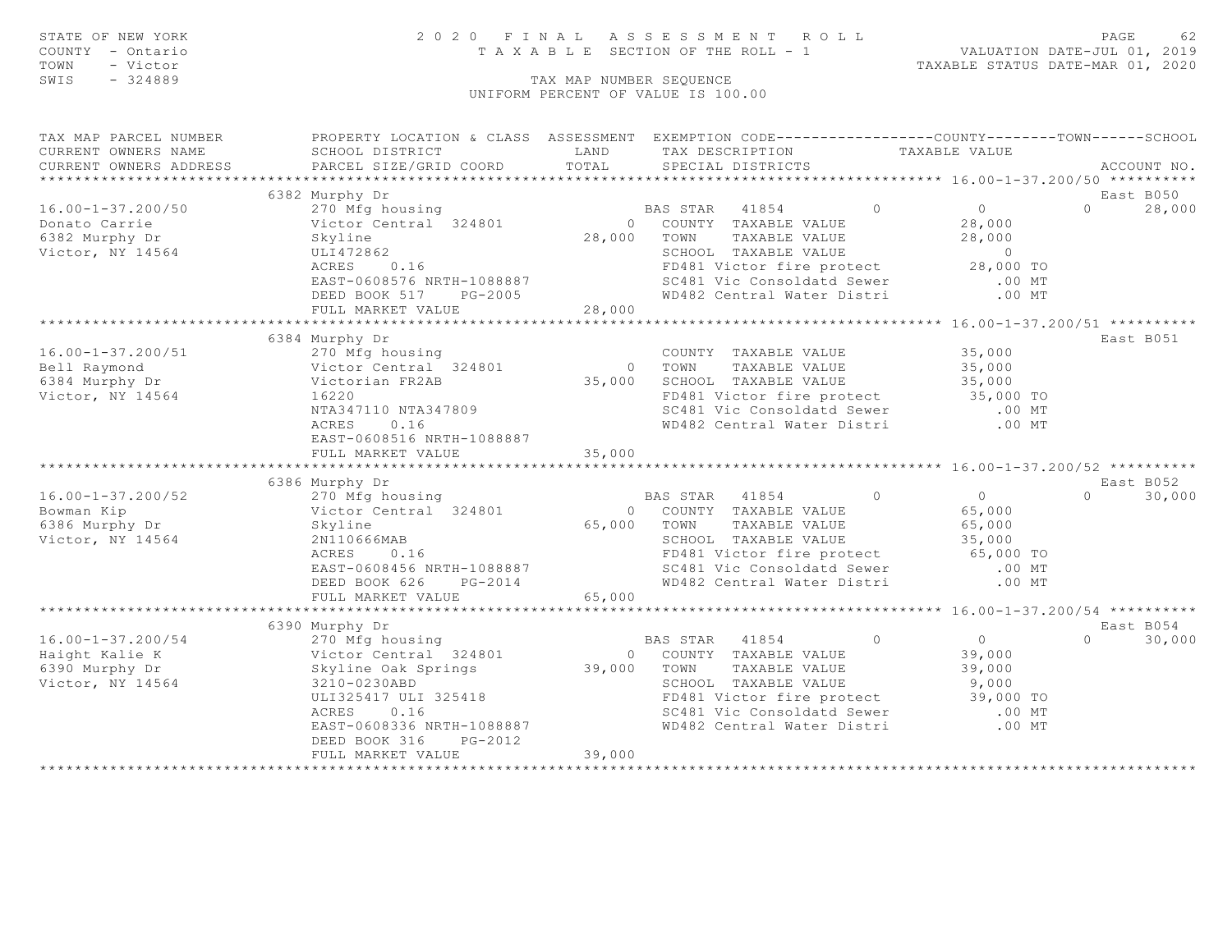| STATE OF NEW YORK<br>2020 FINAL ASSESSMENT ROLL<br>T A X A B L E SECTION OF THE ROLL - 1<br>T A X A B L E SECTION OF THE ROLL - 1<br>TAXABLE STATUS DATE-MAR 01, 2020<br>COUNTY - Ontario<br>TOWN<br>- Victor<br>$-324889$<br>SWIS<br>TAX MAP NUMBER SEQUENCE |                                                                                                                                                                                                                                                              |                |                                                                                                                                                                                                                                                         | PAGE                            |                                                       |  |  |
|---------------------------------------------------------------------------------------------------------------------------------------------------------------------------------------------------------------------------------------------------------------|--------------------------------------------------------------------------------------------------------------------------------------------------------------------------------------------------------------------------------------------------------------|----------------|---------------------------------------------------------------------------------------------------------------------------------------------------------------------------------------------------------------------------------------------------------|---------------------------------|-------------------------------------------------------|--|--|
|                                                                                                                                                                                                                                                               |                                                                                                                                                                                                                                                              |                | UNIFORM PERCENT OF VALUE IS 100.00                                                                                                                                                                                                                      |                                 |                                                       |  |  |
| TAX MAP PARCEL NUMBER<br>CURRENT OWNERS NAME<br>CURRENT OWNERS ADDRESS<br>*************************                                                                                                                                                           | PROPERTY LOCATION & CLASS ASSESSMENT EXEMPTION CODE-----------------COUNTY-------TOWN-----SCHOOL<br>SCHOOL DISTRICT<br>PARCEL SIZE/GRID COORD                                                                                                                | TOTAL          | LAND TAX DESCRIPTION<br>SPECIAL DISTRICTS                                                                                                                                                                                                               | TAXABLE VALUE                   | ACCOUNT NO.                                           |  |  |
|                                                                                                                                                                                                                                                               | 6382 Murphy Dr                                                                                                                                                                                                                                               |                |                                                                                                                                                                                                                                                         |                                 | East B050                                             |  |  |
| $16.00 - 1 - 37.200 / 50$                                                                                                                                                                                                                                     |                                                                                                                                                                                                                                                              |                |                                                                                                                                                                                                                                                         |                                 | $\Omega$<br>28,000                                    |  |  |
| Donato Carrie<br>6382 Murphy Dr<br>Victor, NY 14564                                                                                                                                                                                                           | 6382 FULLER 270 Mfg housing<br>270 Mfg housing<br>Victor Central 324801 0 COUNTY TAXABLE VALUE<br>Skyline 28,000 TOWN TAXABLE VALUE 28,000<br>SCHOOL TAXABLE VALUE 28,000<br>SCHOOL TAXABLE VALUE 28,000<br>SCHOOL TAXABLE VALUE 28,000<br>FULL MARKET VALUE | 28,000         | 0L14/2002<br>ACRES 0.16 FD481 Victor fire protect<br>EAST-0608576 NRTH-1088887 SC481 Vic Consoldatd Sewer<br>DEED BOOK 517 PG-2005 WD482 Central Water Distri                                                                                           | 28,000 TO<br>.00 MT<br>$.00$ MT |                                                       |  |  |
|                                                                                                                                                                                                                                                               |                                                                                                                                                                                                                                                              | ************** |                                                                                                                                                                                                                                                         |                                 |                                                       |  |  |
| $16.00 - 1 - 37.200 / 52$                                                                                                                                                                                                                                     | 6384 Murphy Dr<br>NTA347110 NTA347809<br>ACRES 0.16<br>EAST-0609516 110<br>EAST-0608516 NRTH-1088887<br>FULL MARKET VALUE<br>6386 Murphy Dr                                                                                                                  | 35,000         | FD481 Victor fire protect 35,000 TO<br>SC481 Vic Consoldatd Sewer .00 MT<br>WD482 Central Water Distri .00 MT<br>BAS STAR 41854 0 0 0                                                                                                                   |                                 | East B051<br>East B052<br>30,000<br>$\cap$ and $\cap$ |  |  |
| Bowman Kip<br>6386 Murphy Dr<br>Victor, NY 14564                                                                                                                                                                                                              | $200/52$<br>$270$ Mfg housing<br>Victor Central 324801<br>Dr Skyline<br>14564<br>2N110666MAB<br>ACRES 0.16<br>EAST-0608456 NRTH-1088887<br>DEED BOOK 626 PG-2014<br>FULL MARKET VALUE                                                                        |                | 0 COUNTY TAXABLE VALUE 65,000<br>65,000 TOWN TAXABLE VALUE 65,000<br>CHOOL TAXABLE VALUE 65,000<br>SCHOOL TAXABLE VALUE 35,000<br>FD481 Victor fire protect 65,000 TO<br>SC481 Vic Consoldatd Sewer 00 MT<br>MD482 Central Water Distri 00 MT<br>65,000 |                                 |                                                       |  |  |
|                                                                                                                                                                                                                                                               |                                                                                                                                                                                                                                                              |                |                                                                                                                                                                                                                                                         |                                 | East B054                                             |  |  |
|                                                                                                                                                                                                                                                               | 16.00-1-37.200/54 6390 Murphy Dr<br>Haight Kalie K and the Strate of Murphy Dr<br>Haight Kalie K victor (Mathemateum Skyline Oak Springs 39,000 TOWN TAXABLE VALUE<br>Wictor, NY 14564 3210-0230ABD<br>UI1325417 ULI 325418 FD481 Vict                       |                |                                                                                                                                                                                                                                                         |                                 | $\Omega$<br>30,000                                    |  |  |
|                                                                                                                                                                                                                                                               |                                                                                                                                                                                                                                                              |                |                                                                                                                                                                                                                                                         |                                 |                                                       |  |  |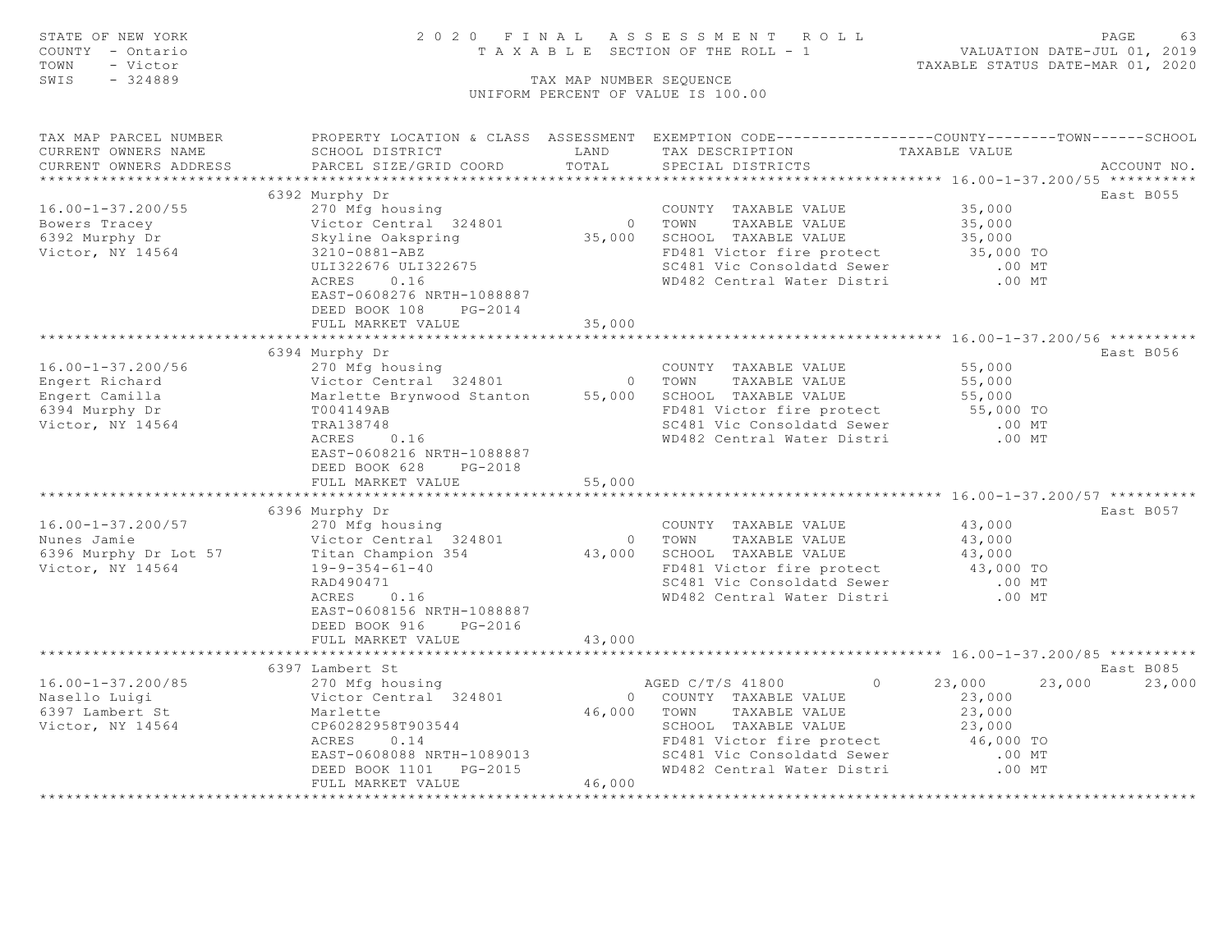|                                                                                                                                               |                                                       |                                                                                                                                                  |                                                                                                                                                                                                                                                                                                                                     | PAGE<br>63                                                                                                                                                                                                                                                                                                                                                                                                                                                                                                                                                                                                                                                                                                                                                                                                                                                                                                                                                                                                                                                                                                                                                                                                      |
|-----------------------------------------------------------------------------------------------------------------------------------------------|-------------------------------------------------------|--------------------------------------------------------------------------------------------------------------------------------------------------|-------------------------------------------------------------------------------------------------------------------------------------------------------------------------------------------------------------------------------------------------------------------------------------------------------------------------------------|-----------------------------------------------------------------------------------------------------------------------------------------------------------------------------------------------------------------------------------------------------------------------------------------------------------------------------------------------------------------------------------------------------------------------------------------------------------------------------------------------------------------------------------------------------------------------------------------------------------------------------------------------------------------------------------------------------------------------------------------------------------------------------------------------------------------------------------------------------------------------------------------------------------------------------------------------------------------------------------------------------------------------------------------------------------------------------------------------------------------------------------------------------------------------------------------------------------------|
|                                                                                                                                               |                                                       |                                                                                                                                                  |                                                                                                                                                                                                                                                                                                                                     |                                                                                                                                                                                                                                                                                                                                                                                                                                                                                                                                                                                                                                                                                                                                                                                                                                                                                                                                                                                                                                                                                                                                                                                                                 |
| SCHOOL DISTRICT<br>PARCEL SIZE/GRID COORD<br>***************************                                                                      | LAND<br>TOTAL                                         | TAX DESCRIPTION<br>SPECIAL DISTRICTS                                                                                                             |                                                                                                                                                                                                                                                                                                                                     | ACCOUNT NO.                                                                                                                                                                                                                                                                                                                                                                                                                                                                                                                                                                                                                                                                                                                                                                                                                                                                                                                                                                                                                                                                                                                                                                                                     |
|                                                                                                                                               |                                                       |                                                                                                                                                  |                                                                                                                                                                                                                                                                                                                                     | East B055                                                                                                                                                                                                                                                                                                                                                                                                                                                                                                                                                                                                                                                                                                                                                                                                                                                                                                                                                                                                                                                                                                                                                                                                       |
| DEED BOOK 108 PG-2014<br>FULL MARKET VALUE                                                                                                    | 35,000                                                |                                                                                                                                                  | 35,000<br>35,000                                                                                                                                                                                                                                                                                                                    |                                                                                                                                                                                                                                                                                                                                                                                                                                                                                                                                                                                                                                                                                                                                                                                                                                                                                                                                                                                                                                                                                                                                                                                                                 |
|                                                                                                                                               |                                                       |                                                                                                                                                  |                                                                                                                                                                                                                                                                                                                                     |                                                                                                                                                                                                                                                                                                                                                                                                                                                                                                                                                                                                                                                                                                                                                                                                                                                                                                                                                                                                                                                                                                                                                                                                                 |
| 6394 Murphy Dr<br>TUU4149AB<br>TRA138748<br>ACRES 0.16<br>TRA138748<br>EAST-0608216 NRTH-1088887<br>DEED BOOK 628 PG-2018                     |                                                       | COUNTY TAXABLE VALUE                                                                                                                             | 55,000<br>55,000<br>55,000<br>$.00$ MT                                                                                                                                                                                                                                                                                              | East B056                                                                                                                                                                                                                                                                                                                                                                                                                                                                                                                                                                                                                                                                                                                                                                                                                                                                                                                                                                                                                                                                                                                                                                                                       |
| FULL MARKET VALUE                                                                                                                             | 55,000                                                |                                                                                                                                                  |                                                                                                                                                                                                                                                                                                                                     |                                                                                                                                                                                                                                                                                                                                                                                                                                                                                                                                                                                                                                                                                                                                                                                                                                                                                                                                                                                                                                                                                                                                                                                                                 |
|                                                                                                                                               | * * * * * * * * * * *                                 |                                                                                                                                                  |                                                                                                                                                                                                                                                                                                                                     | East B057                                                                                                                                                                                                                                                                                                                                                                                                                                                                                                                                                                                                                                                                                                                                                                                                                                                                                                                                                                                                                                                                                                                                                                                                       |
| 19-9-354-61-40<br>RAD490471<br>ACRES 0.16<br>DEED BOOK 916 PG-2016                                                                            |                                                       | COUNTY TAXABLE VALUE                                                                                                                             | 43,000                                                                                                                                                                                                                                                                                                                              |                                                                                                                                                                                                                                                                                                                                                                                                                                                                                                                                                                                                                                                                                                                                                                                                                                                                                                                                                                                                                                                                                                                                                                                                                 |
|                                                                                                                                               |                                                       |                                                                                                                                                  |                                                                                                                                                                                                                                                                                                                                     |                                                                                                                                                                                                                                                                                                                                                                                                                                                                                                                                                                                                                                                                                                                                                                                                                                                                                                                                                                                                                                                                                                                                                                                                                 |
| 6397 Lambert St<br>270 Mfg housing<br>Victor Central 324801<br>Marlette<br>CP60282958T903544<br>ACPES 0.14<br>ACRES 0.14<br>FULL MARKET VALUE | 46,000                                                | $\Omega$                                                                                                                                         | 23,000<br>23,000<br>23,000                                                                                                                                                                                                                                                                                                          | East B085<br>23,000<br>23,000                                                                                                                                                                                                                                                                                                                                                                                                                                                                                                                                                                                                                                                                                                                                                                                                                                                                                                                                                                                                                                                                                                                                                                                   |
|                                                                                                                                               | 6392 Murphy Dr<br>6396 Murphy Dr<br>FULL MARKET VALUE | 0/57 270 Mfg housing<br>Victor Central 324801<br>r Lot 57 Titan Champion 354<br>EAST-0608156 NRTH-1088887<br>43,000<br>EAST-0608088 NRTH-1089013 | 2020 FINAL ASSESSMENT ROLL<br>T A X A B L E SECTION OF THE ROLL - 1<br>TAX MAP NUMBER SEQUENCE<br>UNIFORM PERCENT OF VALUE IS 100.00<br>270 Mfg housing<br>Victor Central 324801 0 TOWN<br>Marlette Brynwood Stanton 55,000 SCHOOL<br>T004149AB FD481 Vi<br>AGED C/T/S 41800<br>0 COUNTY TAXABLE VALUE<br>46,000 TOWN TAXABLE VALUE | VALUATION DATE-JUL 01, 2019<br>TAXABLE STATUS DATE-MAR 01, 2020<br>PROPERTY LOCATION & CLASS ASSESSMENT EXEMPTION CODE----------------COUNTY-------TOWN-----SCHOOL<br>TAXABLE VALUE<br>COUNTY TAXABLE VALUE 35,000<br>932 Murphy Dr.<br>270 Mfg housing<br>Victor Central 324801 0 TOWN TAXABLE VALUE<br>Skyline Oakspring<br>3210-0881-AB2<br>ULI322676 ULI322675 5 5000 SCHOOL TAXABLE VALUE<br>ED481 Victor fire protect<br>SC481 Vic Consoldatd Sewer<br>ACRES 0<br>FD481 Victor fire protect<br>SC481 Vic Consoldatd Sewer<br>WD482 Central Water Distri<br>35,000 TO<br>.00 MT<br>.00 MT<br>0 TOWN TAXABLE VALUE<br>55,000 SCHOOL TAXABLE VALUE<br>FD481 Victor fire protect 55,000 TO<br>FD481 Victor fire protect 55,000 TO<br>SC481 Vic Consoldatd Sewer .00 MT<br>WD482 Central Water Distri<br>**************** 16.00-1-37.200/57 **********<br>0 TOWN TAXABLE VALUE 43,000<br>43,000 SCHOOL TAXABLE VALUE 43,000<br>FD481 Victor fire protect 43,000 TO<br>SC481 Vic Consoldatd Sewer 00 MT<br>100 MT<br>WD482 Central Water Distri<br>SCHOOL TAXABLE VALUE<br>23,000<br>46,000 TO<br>FD481 Victor fire protect 46,000 TO<br>SC481 Vic Consoldatd Sewer .00 MT<br>WD482 Central Water Distri .00 MT |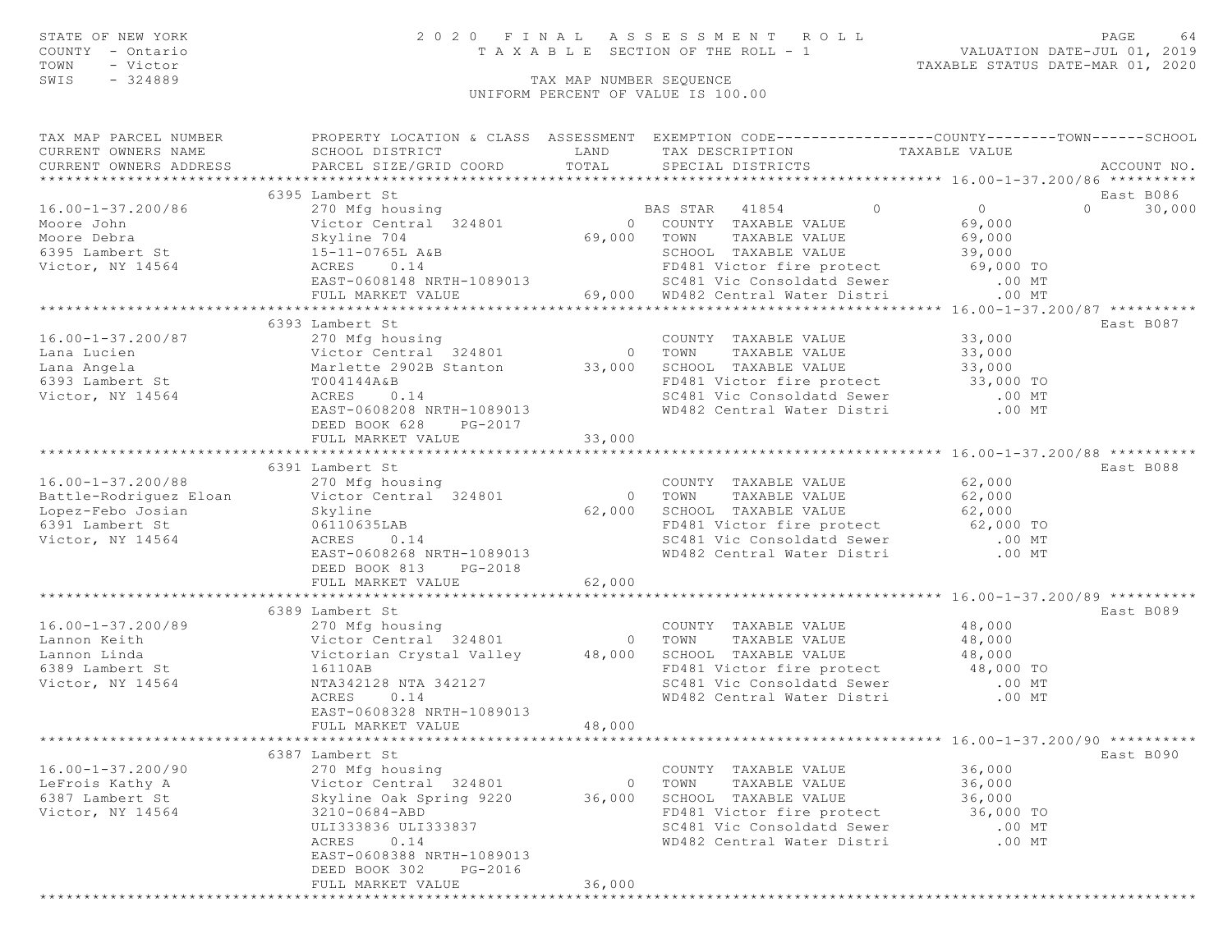|      | STATE OF NEW YORK | 2020 FINAL ASSESSMENT ROLL                                     | PAGE | 64 |
|------|-------------------|----------------------------------------------------------------|------|----|
|      | COUNTY - Ontario  | VALUATION DATE-JUL 01, 2019<br>TAXABLE SECTION OF THE ROLL - 1 |      |    |
|      | TOWN - Victor     | TAXABLE STATUS DATE-MAR 01, 2020                               |      |    |
| SWIS | - 324889          | TAX MAP NUMBER SEOUENCE                                        |      |    |
|      |                   | UNIFORM PERCENT OF VALUE IS 100.00                             |      |    |

| TOTAL<br>CURRENT OWNERS ADDRESS<br>PARCEL SIZE/GRID COORD<br>SPECIAL DISTRICTS                                                                                                                                                                                                                                                                                                                                                               |                                                    | ACCOUNT NO.<br>East B086<br>$\Omega$<br>30,000<br>East B087 |
|----------------------------------------------------------------------------------------------------------------------------------------------------------------------------------------------------------------------------------------------------------------------------------------------------------------------------------------------------------------------------------------------------------------------------------------------|----------------------------------------------------|-------------------------------------------------------------|
|                                                                                                                                                                                                                                                                                                                                                                                                                                              |                                                    |                                                             |
|                                                                                                                                                                                                                                                                                                                                                                                                                                              |                                                    |                                                             |
|                                                                                                                                                                                                                                                                                                                                                                                                                                              |                                                    |                                                             |
|                                                                                                                                                                                                                                                                                                                                                                                                                                              |                                                    |                                                             |
|                                                                                                                                                                                                                                                                                                                                                                                                                                              |                                                    |                                                             |
|                                                                                                                                                                                                                                                                                                                                                                                                                                              |                                                    |                                                             |
| 6393 Lambert St                                                                                                                                                                                                                                                                                                                                                                                                                              |                                                    |                                                             |
| 16.00-1-37.200/87<br>Lana Lucien<br>270 Marlette 2902B Stanton<br>Marlette 2902B Stanton<br>FD481 Victor fire protect<br>FD481 Victor fire protect<br>SCHOOL TAXABLE VALUE<br>33,000<br>33,000<br>33,000<br>SCHOOL TAXABLE VALUE<br>33,000<br>SCHOOL T<br>DEED BOOK 628 PG-2017                                                                                                                                                              |                                                    |                                                             |
| FULL MARKET VALUE<br>33,000                                                                                                                                                                                                                                                                                                                                                                                                                  |                                                    |                                                             |
|                                                                                                                                                                                                                                                                                                                                                                                                                                              |                                                    |                                                             |
| 6391 Lambert St                                                                                                                                                                                                                                                                                                                                                                                                                              |                                                    | East B088                                                   |
|                                                                                                                                                                                                                                                                                                                                                                                                                                              |                                                    |                                                             |
| COUNTY TAXABLE VALUE 62,000<br>0 TOWN TAXABLE VALUE 62,000<br>62,000 SCHOOL TAXABLE VALUE 62,000<br>FD481 Victor fire protect 62,000 TO<br>SC481 Vic Consoldatd Sewer 00 MT<br>WD482 Central Water Distri 00 MT<br>16.00-1-37.200/88<br>Battle-Rodriguez Eloan<br>Lopez-Febo Josian<br>6391 Lambert St<br>Victor, NY 14564<br>COLLUG35LAB<br>ROSPERIES<br>COLLUG35LAB<br>ACRES<br>0.14<br>EAST-0608268 NRTH-1089013<br>DEED BOOK 813 PG-2018 |                                                    |                                                             |
| 62,000<br>FULL MARKET VALUE                                                                                                                                                                                                                                                                                                                                                                                                                  |                                                    |                                                             |
| * * * * * * * * * * * * *                                                                                                                                                                                                                                                                                                                                                                                                                    | ********************* 16.00-1-37.200/89 ********** |                                                             |
|                                                                                                                                                                                                                                                                                                                                                                                                                                              |                                                    | East B089                                                   |
| 6389 Lambert St                                                                                                                                                                                                                                                                                                                                                                                                                              |                                                    |                                                             |
| 16.00-1-37.200/89 270 Mfg housing<br>Lannon Keith Victor Central 324801 0 TOWN TAXABLE VALUE 48,000<br>Lannon Linda Victorian Crystal Valley 48,000 SCHOOL TAXABLE VALUE 48,000<br>6389 Lambert St 16110AB 16110AB FD481 Victor fire<br>WD482 Central Water Distri<br>ACRES 0.14                                                                                                                                                             | $.00$ MT                                           |                                                             |
| EAST-0608328 NRTH-1089013                                                                                                                                                                                                                                                                                                                                                                                                                    |                                                    |                                                             |
| 48,000<br>FULL MARKET VALUE                                                                                                                                                                                                                                                                                                                                                                                                                  |                                                    |                                                             |
|                                                                                                                                                                                                                                                                                                                                                                                                                                              |                                                    |                                                             |
| 6387 Lambert St                                                                                                                                                                                                                                                                                                                                                                                                                              |                                                    | East B090                                                   |
| 16.00-1-37.200/90<br>LeFrois Kathy A Victor Central 324801<br>Sign and the California Country TAXABLE VALUE 36,000<br>Sign and the Cak Spring 9220 36,000 SCHOOL TAXABLE VALUE 36,000<br>Victor, NY 14564 3210-0684-ABD FD481 Victor<br>EAST-0608388 NRTH-1089013<br>DEED BOOK 302<br>PG-2016                                                                                                                                                |                                                    |                                                             |
| 36,000<br>FULL MARKET VALUE                                                                                                                                                                                                                                                                                                                                                                                                                  |                                                    |                                                             |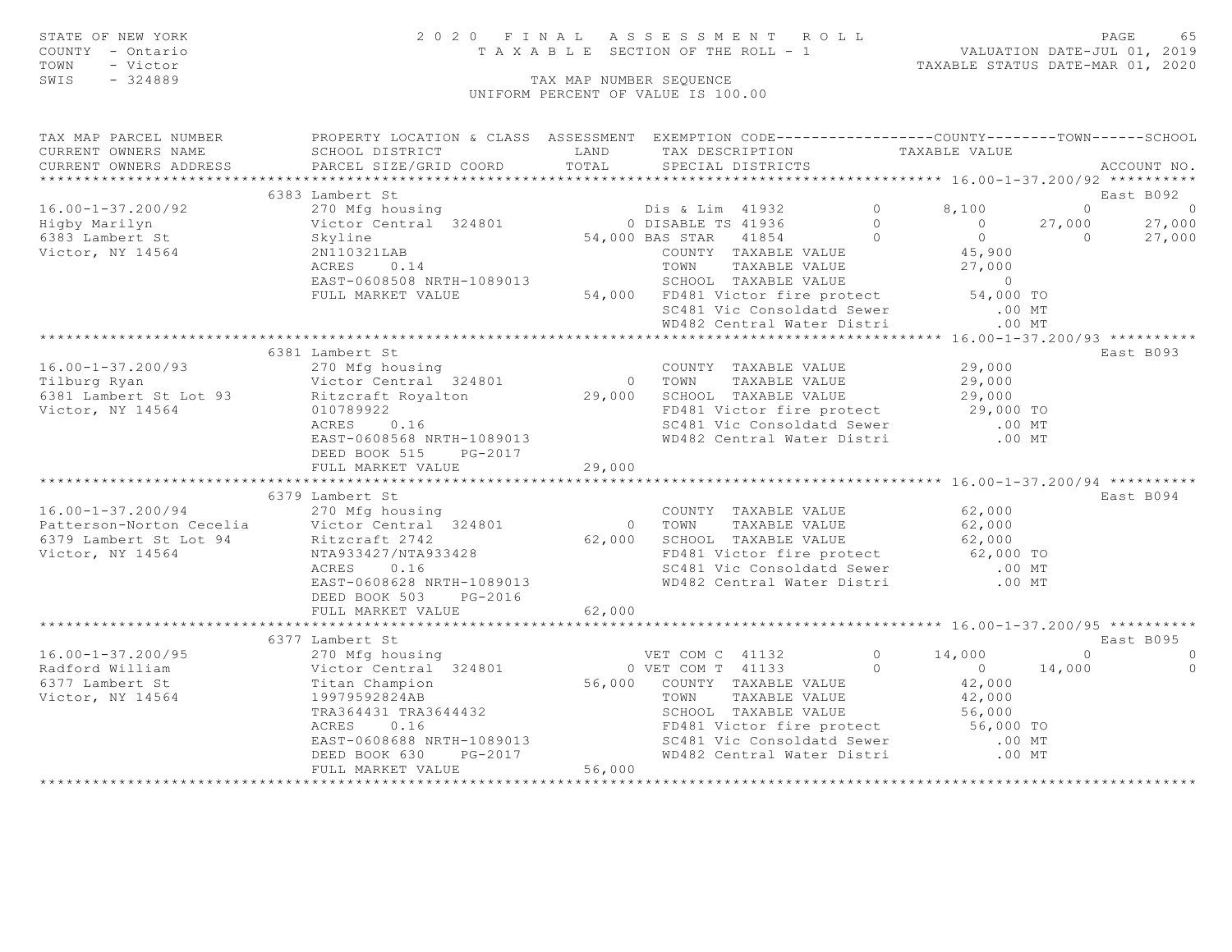| COUNTY<br>TOWN | STATE OF NEW YORK<br>- Ontario<br>- Victor |                           |                         | 2020 FINAL ASSESSMENT ROLL<br>T A X A B L E SECTION OF THE ROLL - 1 | 65<br>PAGE<br>VALUATION DATE-JUL 01, 2019<br>TAXABLE STATUS DATE-MAR 01, 2020 |
|----------------|--------------------------------------------|---------------------------|-------------------------|---------------------------------------------------------------------|-------------------------------------------------------------------------------|
| SWIS           | $-324889$                                  |                           | TAX MAP NUMBER SEOUENCE |                                                                     |                                                                               |
|                |                                            |                           |                         | UNIFORM PERCENT OF VALUE IS 100.00                                  |                                                                               |
|                | TAX MAP PARCEL NUMBER                      | PROPERTY LOCATION & CLASS | ASSESSMENT              |                                                                     | EXEMPTION CODE-----------------COUNTY-------TOWN------SCHOOL                  |
|                | CURRENT OWNERS NAME                        | SCHOOL DISTRICT           | LAND                    | TAX DESCRIPTION                                                     | TAXABLE VALUE                                                                 |
|                | CURRENT OWNERS ADDRESS                     | PARCEL SIZE/GRID COORD    | TOTAL                   | SPECIAL DISTRICTS                                                   | ACCOUNT NO.                                                                   |

|                                       |                                                                                                                                                                                                     |        |      |                                                                        | ************* 16.00-1-37.200/92 ********** |                |                |
|---------------------------------------|-----------------------------------------------------------------------------------------------------------------------------------------------------------------------------------------------------|--------|------|------------------------------------------------------------------------|--------------------------------------------|----------------|----------------|
|                                       | 6383 Lambert St                                                                                                                                                                                     |        |      |                                                                        |                                            |                | East B092      |
| $16.00 - 1 - 37.200 / 92$             | 270 Mfg housing<br>Victor Central 324801 0 DISABLE TS 41936 0 0 0<br>Skyline 54,000 BAS STAR 41854 0 0<br>2N110321LAB COUNTY TAXABLE VALUE 45,900                                                   |        |      |                                                                        |                                            | $\overline{0}$ | $\overline{0}$ |
| Higby Marilyn                         |                                                                                                                                                                                                     |        |      |                                                                        |                                            | 27,000         | 27,000         |
| 6383 Lambert St                       |                                                                                                                                                                                                     |        |      |                                                                        |                                            | $\overline{a}$ | 27,000         |
| Victor, NY 14564                      |                                                                                                                                                                                                     |        |      |                                                                        |                                            |                |                |
|                                       | ACRES<br>0.14                                                                                                                                                                                       |        | TOWN | TAXABLE VALUE 27,000                                                   |                                            |                |                |
|                                       | EAST-0608508 NRTH-1089013                                                                                                                                                                           |        |      | SCHOOL TAXABLE VALUE                                                   | $\overline{a}$                             |                |                |
|                                       | FULL MARKET VALUE                                                                                                                                                                                   |        |      | 54,000 FD481 Victor fire protect 54,000 TO                             |                                            |                |                |
|                                       |                                                                                                                                                                                                     |        |      | SC481 Vic Consoldatd Sewer .00 MT                                      |                                            |                |                |
|                                       |                                                                                                                                                                                                     |        |      | WD482 Central Water Distri                                             |                                            | .00MT          |                |
|                                       |                                                                                                                                                                                                     |        |      |                                                                        |                                            |                |                |
|                                       | 6381 Lambert St                                                                                                                                                                                     |        |      |                                                                        |                                            |                | East B093      |
| $16.00 - 1 - 37.200 / 93$             | 270 Mfg housing                                                                                                                                                                                     |        |      | COUNTY TAXABLE VALUE 29,000                                            |                                            |                |                |
|                                       | Tilburg Ryan<br>Filburg Ryan<br>6381 Lambert St Lot 93 Ritzcraft Royalton (29,000 SCHOOL TAXABLE VALUE<br>79,000 SCHOOL TAXABLE VALUE<br>79,000 SCHOOL TAXABLE VALUE<br>79,000 SCHOOL TAXABLE VALUE |        |      | TAXABLE VALUE 29,000                                                   |                                            |                |                |
|                                       |                                                                                                                                                                                                     |        |      |                                                                        | 29,000                                     |                |                |
|                                       |                                                                                                                                                                                                     |        |      | FD481 Victor fire protect 29,000 TO                                    |                                            |                |                |
|                                       | 0.16<br>ACRES                                                                                                                                                                                       |        |      | SC481 Vic Consoldatd Sewer .00 MT                                      |                                            |                |                |
|                                       | EAST-0608568 NRTH-1089013                                                                                                                                                                           |        |      | WD482 Central Water Distri .00 MT                                      |                                            |                |                |
|                                       | DEED BOOK 515 PG-2017                                                                                                                                                                               |        |      |                                                                        |                                            |                |                |
|                                       | FULL MARKET VALUE                                                                                                                                                                                   | 29,000 |      |                                                                        |                                            |                |                |
|                                       |                                                                                                                                                                                                     |        |      |                                                                        |                                            |                |                |
|                                       | 6379 Lambert St                                                                                                                                                                                     |        |      |                                                                        |                                            |                | East B094      |
| $16.00 - 1 - 37.200 / 94$             | 270 Mfg housing                                                                                                                                                                                     |        |      | COUNTY TAXABLE VALUE 62,000                                            |                                            |                |                |
|                                       | Patterson-Norton Cecelia victor Central 324801 0 TOWN TAXABLE VALUE                                                                                                                                 |        |      |                                                                        | 62,000                                     |                |                |
| 6379 Lambert St Lot 94 Ritzcraft 2742 |                                                                                                                                                                                                     |        |      | SCHOOL TAXABLE VALUE 62,000                                            |                                            |                |                |
| Victor, NY 14564                      | NTA933427/NTA933428                                                                                                                                                                                 | 62,000 |      |                                                                        | FD481 Victor fire protect 62,000 TO        |                |                |
|                                       | ACRES 0.16                                                                                                                                                                                          |        |      |                                                                        |                                            |                |                |
|                                       | EAST-0608628 NRTH-1089013                                                                                                                                                                           |        |      | SC481 Vic Consoldatd Sewer .00 MT<br>WD482 Central Water Distri .00 MT |                                            |                |                |
|                                       | DEED BOOK 503<br>PG-2016                                                                                                                                                                            |        |      |                                                                        |                                            |                |                |
|                                       | FULL MARKET VALUE                                                                                                                                                                                   | 62,000 |      |                                                                        |                                            |                |                |
|                                       |                                                                                                                                                                                                     |        |      |                                                                        |                                            |                |                |
|                                       | 6377 Lambert St                                                                                                                                                                                     |        |      |                                                                        |                                            |                | East B095      |
| $16.00 - 1 - 37.200 / 95$             | VET COM C 41132<br>270 Mfg housing                                                                                                                                                                  |        |      |                                                                        | $0 \t 14,000$                              | $\Omega$       | $\Omega$       |
| Radford William                       |                                                                                                                                                                                                     |        |      |                                                                        |                                            | 14,000         | $\Omega$       |
| 6377 Lambert St                       | 270 Mrg nousing<br>Victor Central 324801 0 VET COM T 41133<br>Titan Champion 56,000 COUNTY TAXABLE VALUE<br>TOWN TAXABLE VALUE<br>TOWN TAXABLE VALUE                                                |        |      |                                                                        | $\begin{array}{c} 0 \\ 42,000 \end{array}$ |                |                |
| Victor, NY 14564                      | 19979592824AB                                                                                                                                                                                       |        |      |                                                                        | 42,000                                     |                |                |
|                                       | 19979082624AB<br>TRA364431 TRA3644432                                                                                                                                                               |        |      | SCHOOL TAXABLE VALUE 56,000                                            |                                            |                |                |
|                                       | 0.16<br>ACRES                                                                                                                                                                                       |        |      |                                                                        |                                            |                |                |
|                                       | EAST-0608688 NRTH-1089013                                                                                                                                                                           |        |      | FD481 Victor fire protect 56,000 TO                                    |                                            |                |                |
|                                       | $PG-2017$<br>DEED BOOK 630                                                                                                                                                                          |        |      | SC481 Vic Consoldatd Sewer .00 MT<br>WD482 Central Water Distri .00 MT |                                            |                |                |
|                                       | FULL MARKET VALUE                                                                                                                                                                                   | 56,000 |      |                                                                        |                                            |                |                |
|                                       |                                                                                                                                                                                                     |        |      |                                                                        |                                            |                |                |
|                                       |                                                                                                                                                                                                     |        |      |                                                                        |                                            |                |                |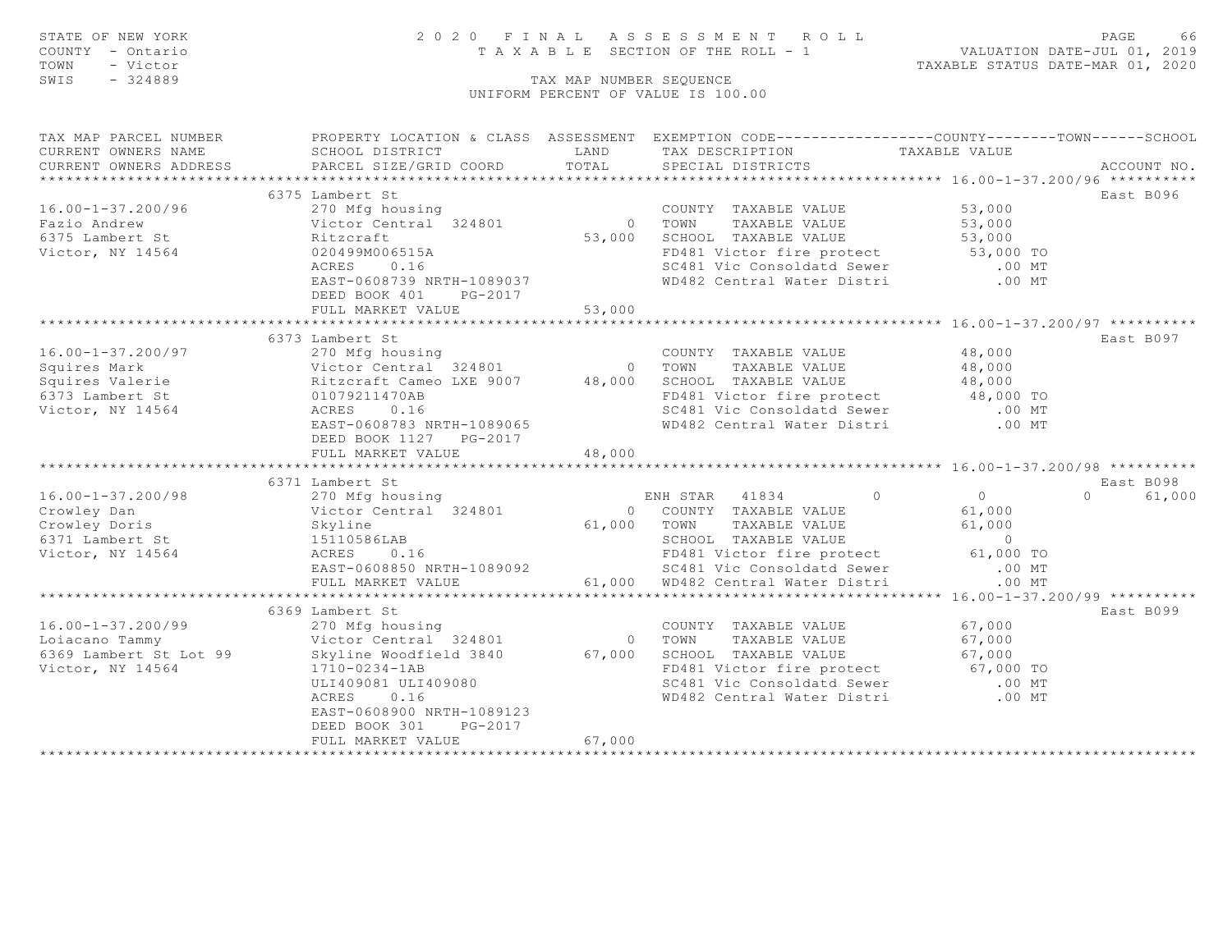| STATE OF NEW YORK<br>COUNTY - Ontario |                                                                                                                                                                                                                                                                                                                                                                                                                                                  |                         | FINAL ASSESSMENT ROLL (PAGE 66<br>TAXABLE SECTION OF THE ROLL - 1 VALUATION DATE-JUL 01, 2019<br>TAXABLE STATUS DATE-MAR 01, 2020<br>2020 FINAL ASSESSMENT ROLL                                                     |                                                     |                    |
|---------------------------------------|--------------------------------------------------------------------------------------------------------------------------------------------------------------------------------------------------------------------------------------------------------------------------------------------------------------------------------------------------------------------------------------------------------------------------------------------------|-------------------------|---------------------------------------------------------------------------------------------------------------------------------------------------------------------------------------------------------------------|-----------------------------------------------------|--------------------|
| TOWN<br>- Victor<br>SWIS<br>$-324889$ |                                                                                                                                                                                                                                                                                                                                                                                                                                                  | TAX MAP NUMBER SEOUENCE |                                                                                                                                                                                                                     |                                                     |                    |
|                                       |                                                                                                                                                                                                                                                                                                                                                                                                                                                  |                         | UNIFORM PERCENT OF VALUE IS 100.00                                                                                                                                                                                  |                                                     |                    |
|                                       |                                                                                                                                                                                                                                                                                                                                                                                                                                                  |                         |                                                                                                                                                                                                                     |                                                     |                    |
|                                       |                                                                                                                                                                                                                                                                                                                                                                                                                                                  |                         |                                                                                                                                                                                                                     |                                                     |                    |
| TAX MAP PARCEL NUMBER                 | PROPERTY LOCATION & CLASS ASSESSMENT EXEMPTION CODE-----------------COUNTY--------TOWN------SCHOOL                                                                                                                                                                                                                                                                                                                                               |                         |                                                                                                                                                                                                                     |                                                     |                    |
| CURRENT OWNERS NAME                   | SCHOOL DISTRICT TAND TAX DESCRIPTION                                                                                                                                                                                                                                                                                                                                                                                                             |                         |                                                                                                                                                                                                                     | TAXABLE VALUE                                       |                    |
| CURRENT OWNERS ADDRESS                | PARCEL SIZE/GRID COORD                                                                                                                                                                                                                                                                                                                                                                                                                           | TOTAL                   | SPECIAL DISTRICTS                                                                                                                                                                                                   |                                                     | ACCOUNT NO.        |
|                                       |                                                                                                                                                                                                                                                                                                                                                                                                                                                  |                         |                                                                                                                                                                                                                     |                                                     |                    |
|                                       | 6375 Lambert St                                                                                                                                                                                                                                                                                                                                                                                                                                  |                         |                                                                                                                                                                                                                     |                                                     | East B096          |
| 16.00-1-37.200/96                     |                                                                                                                                                                                                                                                                                                                                                                                                                                                  |                         |                                                                                                                                                                                                                     |                                                     |                    |
| Fazio Andrew                          | Lambert St<br>270 Mfg housing<br>Victor Central 324801                                                                                                                                                                                                                                                                                                                                                                                           |                         |                                                                                                                                                                                                                     |                                                     |                    |
| 6375 Lambert St                       |                                                                                                                                                                                                                                                                                                                                                                                                                                                  |                         |                                                                                                                                                                                                                     |                                                     |                    |
| Victor, NY 14564                      | Victor<br>Ritzcraft<br>020499M006515A<br>~~~~ 0.16<br>~~~~                                                                                                                                                                                                                                                                                                                                                                                       |                         | COUNTY TAXABLE VALUE 53,000<br>0 TOWN TAXABLE VALUE 53,000<br>53,000 SCHOOL TAXABLE VALUE 53,000<br>FD481 Victor fire protect 53,000 TO<br>SC481 Vic Consoldatd Sewer 53,000 TO<br>MD482 Central Water Distri 00 MT |                                                     |                    |
|                                       | 0.16                                                                                                                                                                                                                                                                                                                                                                                                                                             |                         |                                                                                                                                                                                                                     |                                                     |                    |
|                                       | EAST-0608739 NRTH-1089037                                                                                                                                                                                                                                                                                                                                                                                                                        |                         | NO401 VIC CONSIST.<br>WD482 Central Water Distri                                                                                                                                                                    | $.00$ MT                                            |                    |
|                                       | DEED BOOK 401<br>PG-2017                                                                                                                                                                                                                                                                                                                                                                                                                         |                         |                                                                                                                                                                                                                     |                                                     |                    |
|                                       | FULL MARKET VALUE                                                                                                                                                                                                                                                                                                                                                                                                                                | 53,000                  |                                                                                                                                                                                                                     |                                                     |                    |
|                                       |                                                                                                                                                                                                                                                                                                                                                                                                                                                  |                         |                                                                                                                                                                                                                     | ********************** 16.00-1-37.200/97 ********** |                    |
|                                       | 6373 Lambert St<br>$\begin{tabular}{lllllllllllllllllll} \vbox{\small{(373 Lambert St.}} & & & & & \vbox{\small{100001}} & & & \vbox{\small{01001}} & & & \vbox{\small{12000}} & & & \vbox{\small{01001}} & & & \vbox{\small{13000}} & & & \vbox{\small{148,000}} & & & \vbox{\small{1500}} & & \vbox{\small{1600}} & & & \vbox{\small{1600}} & & & \vbox{\small{1600}} & & & \vbox{\small{1600}} & & & \vbox{\small{1600}} & & & \vbox{\small{$ |                         |                                                                                                                                                                                                                     |                                                     | East B097          |
| $16.00 - 1 - 37.200 / 97$             |                                                                                                                                                                                                                                                                                                                                                                                                                                                  |                         |                                                                                                                                                                                                                     |                                                     |                    |
| Squires Mark                          |                                                                                                                                                                                                                                                                                                                                                                                                                                                  |                         |                                                                                                                                                                                                                     |                                                     |                    |
| Squires Valerie                       |                                                                                                                                                                                                                                                                                                                                                                                                                                                  |                         |                                                                                                                                                                                                                     |                                                     |                    |
| 6373 Lambert St                       |                                                                                                                                                                                                                                                                                                                                                                                                                                                  |                         |                                                                                                                                                                                                                     |                                                     |                    |
| Victor, NY 14564                      |                                                                                                                                                                                                                                                                                                                                                                                                                                                  |                         |                                                                                                                                                                                                                     |                                                     |                    |
|                                       |                                                                                                                                                                                                                                                                                                                                                                                                                                                  |                         |                                                                                                                                                                                                                     |                                                     |                    |
|                                       | DEED BOOK 1127    PG-2017                                                                                                                                                                                                                                                                                                                                                                                                                        |                         |                                                                                                                                                                                                                     |                                                     |                    |
|                                       | FULL MARKET VALUE                                                                                                                                                                                                                                                                                                                                                                                                                                | 48,000                  |                                                                                                                                                                                                                     |                                                     |                    |
|                                       |                                                                                                                                                                                                                                                                                                                                                                                                                                                  |                         |                                                                                                                                                                                                                     |                                                     |                    |
|                                       | 6371 Lambert St                                                                                                                                                                                                                                                                                                                                                                                                                                  |                         |                                                                                                                                                                                                                     |                                                     | East B098          |
|                                       |                                                                                                                                                                                                                                                                                                                                                                                                                                                  |                         | ENH STAR 41834 0                                                                                                                                                                                                    | $\overline{0}$                                      | 61,000<br>$\Omega$ |
|                                       |                                                                                                                                                                                                                                                                                                                                                                                                                                                  |                         |                                                                                                                                                                                                                     | 61,000<br>61,000                                    |                    |
|                                       |                                                                                                                                                                                                                                                                                                                                                                                                                                                  |                         |                                                                                                                                                                                                                     |                                                     |                    |
|                                       |                                                                                                                                                                                                                                                                                                                                                                                                                                                  |                         |                                                                                                                                                                                                                     | $\sim$ 0                                            |                    |
|                                       | 16.00-1-37.200/98<br>Crowley Dan Victor Central 324801<br>Crowley Doris Skyline<br>6371 Lambert St 15110586LAB<br>Victor, NY 14564 ACRES 0.16                                                                                                                                                                                                                                                                                                    |                         |                                                                                                                                                                                                                     | 61,000 TO                                           |                    |
|                                       | EAST-0608850 NRTH-1089092                                                                                                                                                                                                                                                                                                                                                                                                                        |                         |                                                                                                                                                                                                                     | $.00$ MT                                            |                    |
|                                       | FULL MARKET VALUE<br>**************************                                                                                                                                                                                                                                                                                                                                                                                                  |                         | ENH STAR 41034<br>0 COUNTY TAXABLE VALUE<br>61,000 TOWN TAXABLE VALUE<br>SCHOOL TAXABLE VALUE<br>FD481 Victor fire protect<br>SC481 Vic Consolatd Sewer<br>61,000 WD482 Central Water Distri                        | .00MT                                               |                    |
|                                       |                                                                                                                                                                                                                                                                                                                                                                                                                                                  |                         |                                                                                                                                                                                                                     |                                                     |                    |
|                                       | 6369 Lambert St                                                                                                                                                                                                                                                                                                                                                                                                                                  |                         |                                                                                                                                                                                                                     |                                                     | East B099          |
|                                       |                                                                                                                                                                                                                                                                                                                                                                                                                                                  |                         |                                                                                                                                                                                                                     |                                                     |                    |
|                                       |                                                                                                                                                                                                                                                                                                                                                                                                                                                  |                         |                                                                                                                                                                                                                     |                                                     |                    |
|                                       | 16.00-1-37.200/99 270 Mfg housing<br>Loiacano Tammy victor Central 324801 0 TOWN TAXABLE VALUE 67,000<br>6369 Lambert St Lot 99 Skyline Woodfield 3840 67,000 SCHOOL TAXABLE VALUE 67,000<br>Victor, NY 14564 1710-0234-1AB 5000 10                                                                                                                                                                                                              |                         |                                                                                                                                                                                                                     |                                                     |                    |
|                                       |                                                                                                                                                                                                                                                                                                                                                                                                                                                  |                         |                                                                                                                                                                                                                     |                                                     |                    |
|                                       | ULI409081 ULI409080<br>ACRES 0.16                                                                                                                                                                                                                                                                                                                                                                                                                |                         | SC481 Vic Consoldatd Sewer .00 MT<br>WD482 Central Water Distri .00 MT                                                                                                                                              |                                                     |                    |
|                                       | ACRES<br>0.16                                                                                                                                                                                                                                                                                                                                                                                                                                    |                         |                                                                                                                                                                                                                     |                                                     |                    |
|                                       | EAST-0608900 NRTH-1089123                                                                                                                                                                                                                                                                                                                                                                                                                        |                         |                                                                                                                                                                                                                     |                                                     |                    |
|                                       | DEED BOOK 301<br>PG-2017<br>FULL MARKET VALUE                                                                                                                                                                                                                                                                                                                                                                                                    | 67,000                  |                                                                                                                                                                                                                     |                                                     |                    |
|                                       |                                                                                                                                                                                                                                                                                                                                                                                                                                                  |                         |                                                                                                                                                                                                                     |                                                     |                    |
|                                       |                                                                                                                                                                                                                                                                                                                                                                                                                                                  |                         |                                                                                                                                                                                                                     |                                                     |                    |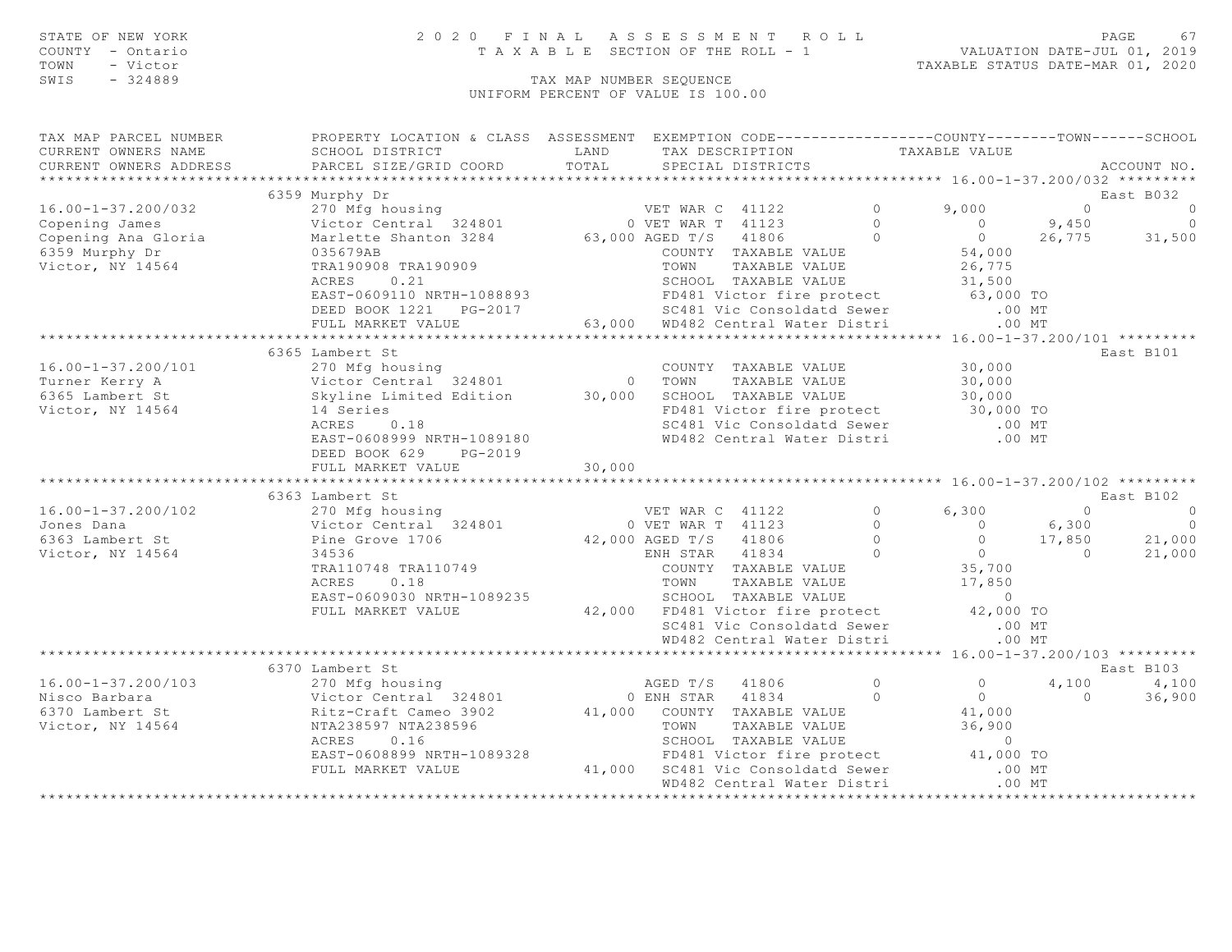| STATE OF NEW YORK | 2020 FINAL ASSESSMENT ROLL      |                                  | PAGE                        |  |
|-------------------|---------------------------------|----------------------------------|-----------------------------|--|
| COUNTY - Ontario  | TAXABLE SECTION OF THE ROLL - 1 |                                  | VALUATION DATE-JUL 01, 2019 |  |
| TOWN<br>- Victor  |                                 | TAXABLE STATUS DATE-MAR 01, 2020 |                             |  |
| SWIS<br>- 324889  | TAX MAP NUMBER SEOUENCE         |                                  |                             |  |

| TAX MAP PARCEL NUMBER<br>CURRENT OWNERS NAME                                                                                                                                                                                                                                                                                                                                                                                                       | PROPERTY LOCATION & CLASS ASSESSMENT EXEMPTION CODE---------------COUNTY-------TOWN------SCHOOL<br>SCHOOL DISTRICT                                                                                                                   |        | LAND TAX DESCRIPTION                                                                                | TAXABLE VALUE  |                    |                       |                |
|----------------------------------------------------------------------------------------------------------------------------------------------------------------------------------------------------------------------------------------------------------------------------------------------------------------------------------------------------------------------------------------------------------------------------------------------------|--------------------------------------------------------------------------------------------------------------------------------------------------------------------------------------------------------------------------------------|--------|-----------------------------------------------------------------------------------------------------|----------------|--------------------|-----------------------|----------------|
| CURRENT OWNERS ADDRESS                                                                                                                                                                                                                                                                                                                                                                                                                             | PARCEL SIZE/GRID COORD                                                                                                                                                                                                               | TOTAL  | SPECIAL DISTRICTS                                                                                   |                |                    | ACCOUNT NO.           |                |
|                                                                                                                                                                                                                                                                                                                                                                                                                                                    |                                                                                                                                                                                                                                      |        |                                                                                                     |                |                    |                       |                |
| $\begin{array}{cccccc} \text{6359 Murphy Dr} & & & & & \\ \text{16.00-1-37.200/032} & & & & & 270 \text{ Mfg housing} & & & & & \\ \text{C opening James} & & & & & & & 0 & 9,000 \\ \text{C opening James} & & & & & & & 0 & 0 & 0 \\ \text{C opening Ana Gloria} & & & & & & & 0 & 0 & 0 \\ \text{C opening Ana Gloria} & & & & & & & 0 & 284 & 63,000 \text{ AGED T/S} & & & 41806 & 0 \\ \text{6359 Murphy Dr} & & & & & & 0 & 35679 \text{AB$ |                                                                                                                                                                                                                                      |        |                                                                                                     |                |                    | East B032<br>$\Omega$ | $\bigcirc$     |
|                                                                                                                                                                                                                                                                                                                                                                                                                                                    |                                                                                                                                                                                                                                      |        |                                                                                                     |                |                    |                       |                |
|                                                                                                                                                                                                                                                                                                                                                                                                                                                    |                                                                                                                                                                                                                                      |        |                                                                                                     |                |                    | 9,450                 | $\overline{0}$ |
|                                                                                                                                                                                                                                                                                                                                                                                                                                                    |                                                                                                                                                                                                                                      |        |                                                                                                     |                |                    | 26,775                | 31,500         |
|                                                                                                                                                                                                                                                                                                                                                                                                                                                    |                                                                                                                                                                                                                                      |        |                                                                                                     |                |                    |                       |                |
|                                                                                                                                                                                                                                                                                                                                                                                                                                                    |                                                                                                                                                                                                                                      |        |                                                                                                     |                |                    |                       |                |
|                                                                                                                                                                                                                                                                                                                                                                                                                                                    |                                                                                                                                                                                                                                      |        |                                                                                                     |                |                    |                       |                |
|                                                                                                                                                                                                                                                                                                                                                                                                                                                    |                                                                                                                                                                                                                                      |        |                                                                                                     |                |                    |                       |                |
|                                                                                                                                                                                                                                                                                                                                                                                                                                                    |                                                                                                                                                                                                                                      |        |                                                                                                     |                |                    |                       |                |
|                                                                                                                                                                                                                                                                                                                                                                                                                                                    | ACRES 0.21 SCHOOL TAXABLE VALUE 31,500<br>EAST-0609110 NRTH-1088893 FD481 Victor fire protect 63,000 TO<br>DEED BOOK 1221 PG-2017 63,000 WD482 Central Water Distri .00 MT<br>FULL MARKET VALUE 63,000 WD482 Central Water Distri .0 |        |                                                                                                     |                |                    |                       |                |
|                                                                                                                                                                                                                                                                                                                                                                                                                                                    | ***************************                                                                                                                                                                                                          |        |                                                                                                     |                |                    |                       |                |
|                                                                                                                                                                                                                                                                                                                                                                                                                                                    | 6365 Lambert St                                                                                                                                                                                                                      |        |                                                                                                     |                |                    | East B101             |                |
|                                                                                                                                                                                                                                                                                                                                                                                                                                                    |                                                                                                                                                                                                                                      |        |                                                                                                     |                |                    |                       |                |
|                                                                                                                                                                                                                                                                                                                                                                                                                                                    |                                                                                                                                                                                                                                      |        |                                                                                                     |                |                    |                       |                |
|                                                                                                                                                                                                                                                                                                                                                                                                                                                    |                                                                                                                                                                                                                                      |        |                                                                                                     |                |                    |                       |                |
| Victor, NY 14564 14 Series                                                                                                                                                                                                                                                                                                                                                                                                                         |                                                                                                                                                                                                                                      |        |                                                                                                     |                |                    |                       |                |
|                                                                                                                                                                                                                                                                                                                                                                                                                                                    | ACRES 0.18                                                                                                                                                                                                                           |        |                                                                                                     |                |                    |                       |                |
|                                                                                                                                                                                                                                                                                                                                                                                                                                                    | EAST-0608999 NRTH-1089180                                                                                                                                                                                                            |        | FD481 Victor fire protect<br>SC481 Vic Consoldatd Sewer .00 MT<br>WD482 Central Water Distri .00 MT |                |                    |                       |                |
|                                                                                                                                                                                                                                                                                                                                                                                                                                                    | DEED BOOK 629 PG-2019                                                                                                                                                                                                                |        |                                                                                                     |                |                    |                       |                |
|                                                                                                                                                                                                                                                                                                                                                                                                                                                    | FULL MARKET VALUE                                                                                                                                                                                                                    | 30,000 |                                                                                                     |                |                    |                       |                |
|                                                                                                                                                                                                                                                                                                                                                                                                                                                    |                                                                                                                                                                                                                                      |        |                                                                                                     |                |                    |                       |                |
|                                                                                                                                                                                                                                                                                                                                                                                                                                                    | 6363 Lambert St                                                                                                                                                                                                                      |        |                                                                                                     |                |                    | East B102             |                |
|                                                                                                                                                                                                                                                                                                                                                                                                                                                    |                                                                                                                                                                                                                                      |        |                                                                                                     | $\overline{0}$ | 6,300              | $\bigcirc$            | $\overline{0}$ |
|                                                                                                                                                                                                                                                                                                                                                                                                                                                    |                                                                                                                                                                                                                                      |        |                                                                                                     |                |                    |                       |                |
|                                                                                                                                                                                                                                                                                                                                                                                                                                                    |                                                                                                                                                                                                                                      |        |                                                                                                     |                | $\overline{a}$     | 6,300                 | $\overline{0}$ |
|                                                                                                                                                                                                                                                                                                                                                                                                                                                    |                                                                                                                                                                                                                                      |        |                                                                                                     |                | $0$<br>0<br>35,700 | 17,850 21,000         |                |
| Victor, NY 14564                                                                                                                                                                                                                                                                                                                                                                                                                                   |                                                                                                                                                                                                                                      |        | $\overline{0}$<br>ENH STAR 41834                                                                    |                |                    | $\overline{0}$        | 21,000         |
|                                                                                                                                                                                                                                                                                                                                                                                                                                                    | --<br>TRA110748 TRA110749<br>ACRES 0.18<br>EAST-0609030 MPT: 1                                                                                                                                                                       |        | COUNTY TAXABLE VALUE                                                                                |                |                    |                       |                |
|                                                                                                                                                                                                                                                                                                                                                                                                                                                    |                                                                                                                                                                                                                                      |        | TOWN      TAXABLE VALUE<br>SCHOOL   TAXABLE VALUE                                                   |                | 17,850             |                       |                |
|                                                                                                                                                                                                                                                                                                                                                                                                                                                    | EAST-0609030 NRTH-1089235                                                                                                                                                                                                            |        |                                                                                                     |                | $\overline{0}$     |                       |                |
|                                                                                                                                                                                                                                                                                                                                                                                                                                                    | FULL MARKET VALUE                                                                                                                                                                                                                    |        | 42,000 FD481 Victor fire protect 42,000 TO                                                          |                |                    |                       |                |
|                                                                                                                                                                                                                                                                                                                                                                                                                                                    |                                                                                                                                                                                                                                      |        | SC481 Vic Consoldatd Sewer                                                                          |                | .00 MT             |                       |                |
|                                                                                                                                                                                                                                                                                                                                                                                                                                                    |                                                                                                                                                                                                                                      |        | WD482 Central Water Distri                                                                          |                | .00MT              |                       |                |
|                                                                                                                                                                                                                                                                                                                                                                                                                                                    |                                                                                                                                                                                                                                      |        |                                                                                                     |                |                    |                       |                |
|                                                                                                                                                                                                                                                                                                                                                                                                                                                    | 6370 Lambert St                                                                                                                                                                                                                      |        |                                                                                                     |                |                    | East B103             |                |
|                                                                                                                                                                                                                                                                                                                                                                                                                                                    |                                                                                                                                                                                                                                      |        |                                                                                                     |                |                    | 4,100                 | 4,100          |
|                                                                                                                                                                                                                                                                                                                                                                                                                                                    |                                                                                                                                                                                                                                      |        |                                                                                                     |                |                    | $\overline{0}$        | 36,900         |
|                                                                                                                                                                                                                                                                                                                                                                                                                                                    |                                                                                                                                                                                                                                      |        |                                                                                                     |                |                    |                       |                |
|                                                                                                                                                                                                                                                                                                                                                                                                                                                    |                                                                                                                                                                                                                                      |        |                                                                                                     |                |                    |                       |                |
|                                                                                                                                                                                                                                                                                                                                                                                                                                                    |                                                                                                                                                                                                                                      |        | TOWN      TAXABLE  VALUE<br>SCHOOL   TAXABLE  VALUE                                                 |                |                    |                       |                |
|                                                                                                                                                                                                                                                                                                                                                                                                                                                    | EAST-0608899 NRTH-1089328                                                                                                                                                                                                            |        |                                                                                                     |                |                    |                       |                |
|                                                                                                                                                                                                                                                                                                                                                                                                                                                    | FULL MARKET VALUE                                                                                                                                                                                                                    |        | 089328 FD481 Victor fire protect 41,000 TO<br>41,000 SC481 Vic Consoldatd Sewer .00 MT              |                |                    |                       |                |
|                                                                                                                                                                                                                                                                                                                                                                                                                                                    |                                                                                                                                                                                                                                      |        | WD482 Central Water Distri                                                                          |                | .00MT              |                       |                |
|                                                                                                                                                                                                                                                                                                                                                                                                                                                    |                                                                                                                                                                                                                                      |        |                                                                                                     |                |                    |                       |                |
|                                                                                                                                                                                                                                                                                                                                                                                                                                                    |                                                                                                                                                                                                                                      |        |                                                                                                     |                |                    |                       |                |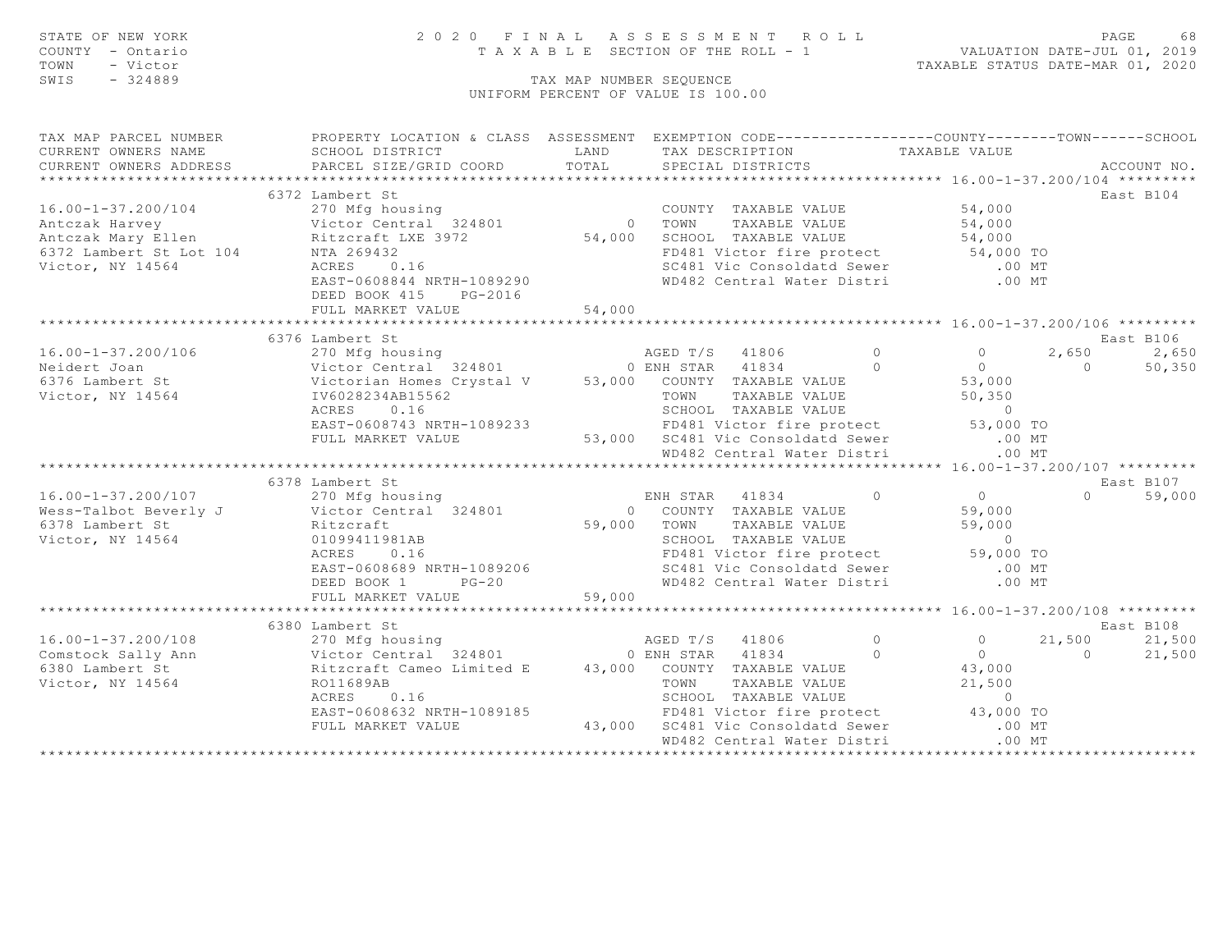| STATE OF NEW YORK<br>COUNTY - Ontario<br>TOWN<br>- Victor                                                                                                                                                                                 |                                                  |                         | 2020 FINAL ASSESSMENT ROLL<br>TAXABLE SECTION OF THE ROLL - 1 VALUATION DATE-JUL 01, 2019                                                                    | TAXABLE STATUS DATE-MAR 01, 2020                    | PAGE<br>68               |
|-------------------------------------------------------------------------------------------------------------------------------------------------------------------------------------------------------------------------------------------|--------------------------------------------------|-------------------------|--------------------------------------------------------------------------------------------------------------------------------------------------------------|-----------------------------------------------------|--------------------------|
| SWIS<br>$-324889$                                                                                                                                                                                                                         |                                                  | TAX MAP NUMBER SEQUENCE |                                                                                                                                                              |                                                     |                          |
|                                                                                                                                                                                                                                           |                                                  |                         | UNIFORM PERCENT OF VALUE IS 100.00                                                                                                                           |                                                     |                          |
|                                                                                                                                                                                                                                           |                                                  |                         |                                                                                                                                                              |                                                     |                          |
| TAX MAP PARCEL NUMBER <b>The PROPERTY LOCATION &amp; CLASS</b> ASSESSMENT EXEMPTION CODE--------------COUNTY-------TOWN------SCHOOL                                                                                                       |                                                  |                         |                                                                                                                                                              |                                                     |                          |
| CURRENT OWNERS NAME                                                                                                                                                                                                                       | SCHOOL DISTRICT TAND TAX DESCRIPTION             |                         |                                                                                                                                                              | TAXABLE VALUE                                       |                          |
|                                                                                                                                                                                                                                           |                                                  |                         |                                                                                                                                                              |                                                     |                          |
|                                                                                                                                                                                                                                           |                                                  |                         |                                                                                                                                                              |                                                     |                          |
|                                                                                                                                                                                                                                           | 6372 Lambert St                                  |                         |                                                                                                                                                              |                                                     | East B104                |
|                                                                                                                                                                                                                                           |                                                  |                         |                                                                                                                                                              |                                                     |                          |
|                                                                                                                                                                                                                                           |                                                  |                         |                                                                                                                                                              |                                                     |                          |
|                                                                                                                                                                                                                                           |                                                  |                         |                                                                                                                                                              |                                                     |                          |
|                                                                                                                                                                                                                                           |                                                  |                         |                                                                                                                                                              |                                                     |                          |
| 16.00-1-37.200/104<br>27.200/104 2012 http://www.material.org/movimum intervals anti-czak Harvey<br>2700/104 2010 2010 2012 2013<br>29801 2013 2013 2013<br>2981 Victor, NY 14564 2013<br>2014 2013<br>2014 2014 2014 2014 2014 2014 2014 |                                                  |                         |                                                                                                                                                              |                                                     |                          |
|                                                                                                                                                                                                                                           | DEED BOOK 415 PG-2016                            |                         |                                                                                                                                                              |                                                     |                          |
|                                                                                                                                                                                                                                           | FULL MARKET VALUE                                | 54,000                  |                                                                                                                                                              |                                                     |                          |
|                                                                                                                                                                                                                                           |                                                  |                         |                                                                                                                                                              | ********************** 16.00-1-37.200/106 ********* |                          |
|                                                                                                                                                                                                                                           | 6376 Lambert St                                  |                         |                                                                                                                                                              |                                                     | East B106                |
|                                                                                                                                                                                                                                           |                                                  |                         |                                                                                                                                                              |                                                     | 2,650<br>2,650           |
|                                                                                                                                                                                                                                           |                                                  |                         |                                                                                                                                                              |                                                     | $\overline{0}$<br>50,350 |
|                                                                                                                                                                                                                                           |                                                  |                         |                                                                                                                                                              |                                                     |                          |
|                                                                                                                                                                                                                                           |                                                  |                         |                                                                                                                                                              |                                                     |                          |
|                                                                                                                                                                                                                                           |                                                  |                         |                                                                                                                                                              |                                                     |                          |
|                                                                                                                                                                                                                                           |                                                  |                         |                                                                                                                                                              |                                                     |                          |
| 16.00-1-37.200/106 63/6 Lambert St<br>Neidert Joan Victor Central 324801 0 ENR STAR 41834 0 0 0 2<br>6376 Lambert St<br>Victorian Homes Crystal V 53,000 COUNTY TAXABLE VALUE 53,000<br>Victor, NY 14564 IV6028234AB15562 TOWN TAXABLE    |                                                  |                         |                                                                                                                                                              |                                                     |                          |
|                                                                                                                                                                                                                                           | *************************************            |                         |                                                                                                                                                              |                                                     |                          |
|                                                                                                                                                                                                                                           | 6378 Lambert St                                  |                         |                                                                                                                                                              |                                                     | East B107                |
| 16.00-1-37.200/107 270 Mfg housing<br>Wess-Talbot Beverly J Victor Central 324801<br>6378 Lambert St                                                                                                                                      |                                                  |                         | ENH STAR 41834 0                                                                                                                                             | $\overline{0}$                                      | 59,000<br>$\cap$         |
|                                                                                                                                                                                                                                           |                                                  |                         | ENH SIAK 41034<br>0 COUNTY TAXABLE VALUE 59,000<br>SP,000 TOWN TAXABLE VALUE 59,000<br>SCHOOL TAXABLE VALUE 59,000 TO<br>FD481 Victor fire protect 59,000 TO |                                                     |                          |
| 6378 Lambert St                                                                                                                                                                                                                           | Ritzcraft                                        |                         |                                                                                                                                                              |                                                     |                          |
| b378 Lambert St<br>Victor, NY 14564 (1099411981AB)<br>ACRES 0.16                                                                                                                                                                          |                                                  |                         |                                                                                                                                                              |                                                     |                          |
|                                                                                                                                                                                                                                           |                                                  |                         |                                                                                                                                                              |                                                     |                          |
|                                                                                                                                                                                                                                           |                                                  |                         | EAST-0608689 NRTH-1089206 SC481 Vic Consoldatd Sewer<br>DEED BOOK 1 PG-20 WD482 Central Water Distri                                                         | $.00$ MT                                            |                          |
|                                                                                                                                                                                                                                           | DEED BOOK 1                                      |                         |                                                                                                                                                              | $.00$ MT                                            |                          |
|                                                                                                                                                                                                                                           | FULL MARKET VALUE<br>*************************** | 59,000                  |                                                                                                                                                              |                                                     |                          |
|                                                                                                                                                                                                                                           | 6380 Lambert St                                  |                         |                                                                                                                                                              |                                                     | East B108                |
|                                                                                                                                                                                                                                           |                                                  |                         |                                                                                                                                                              |                                                     | 21,500<br>21,500         |
|                                                                                                                                                                                                                                           |                                                  |                         |                                                                                                                                                              |                                                     | $\overline{0}$<br>21,500 |
|                                                                                                                                                                                                                                           |                                                  |                         |                                                                                                                                                              |                                                     |                          |
|                                                                                                                                                                                                                                           |                                                  |                         |                                                                                                                                                              |                                                     |                          |
|                                                                                                                                                                                                                                           |                                                  |                         | TOWN      TAXABLE VALUE<br>SCHOOL   TAXABLE VALUE                                                                                                            |                                                     |                          |
|                                                                                                                                                                                                                                           |                                                  |                         |                                                                                                                                                              |                                                     |                          |
|                                                                                                                                                                                                                                           |                                                  |                         |                                                                                                                                                              |                                                     |                          |
|                                                                                                                                                                                                                                           |                                                  |                         |                                                                                                                                                              |                                                     |                          |
|                                                                                                                                                                                                                                           |                                                  |                         |                                                                                                                                                              |                                                     |                          |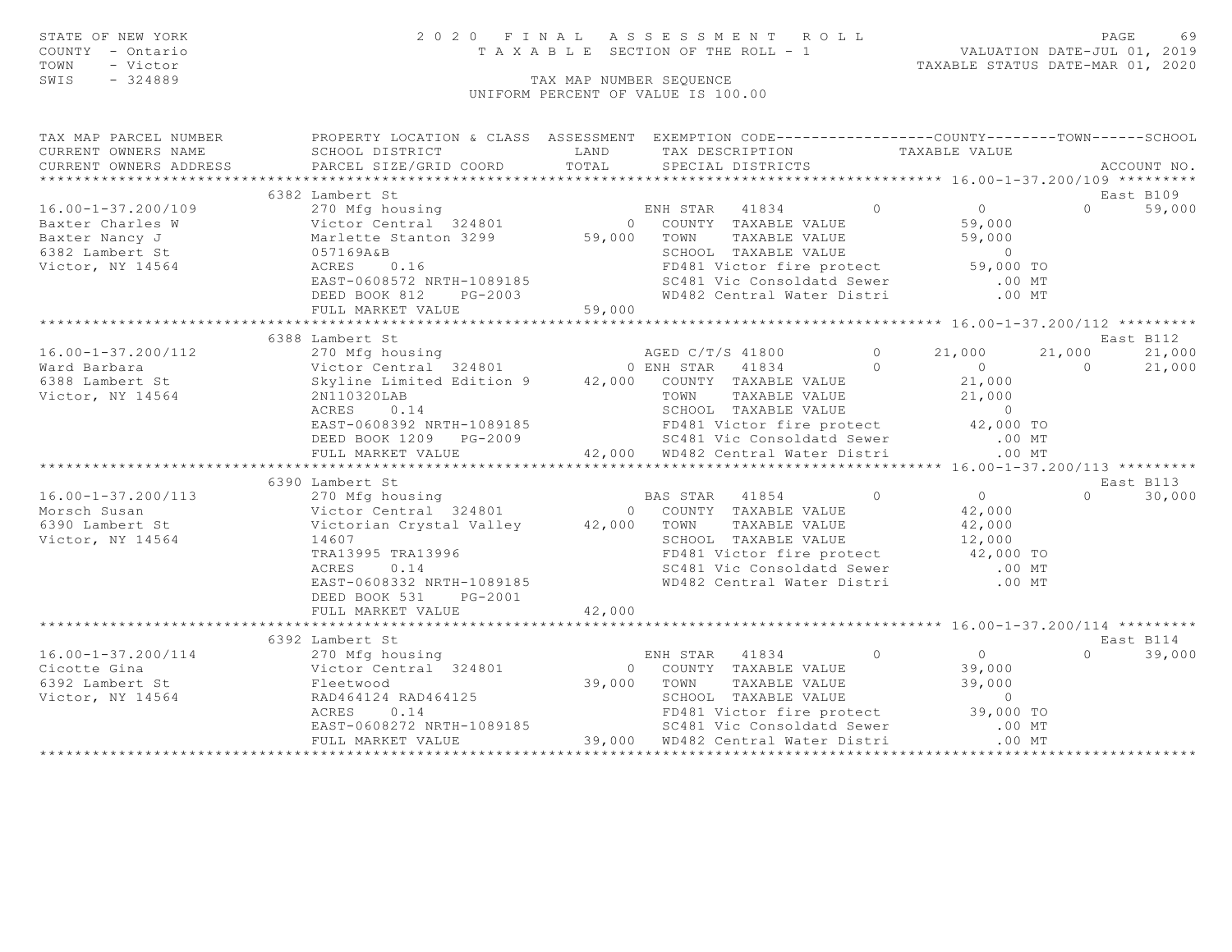| STATE OF NEW YORK | 2020 FINAL ASSESSMENT ROLL            |                                  | PAGE                        | 69 |
|-------------------|---------------------------------------|----------------------------------|-----------------------------|----|
| COUNTY - Ontario  | T A X A B L E SECTION OF THE ROLL - 1 |                                  | VALUATION DATE-JUL 01, 2019 |    |
| TOWN<br>- Victor  |                                       | TAXABLE STATUS DATE-MAR 01, 2020 |                             |    |
| SWIS<br>$-324889$ | TAX MAP NUMBER SEOUENCE               |                                  |                             |    |

| UNIFORM PERCENT OF VALUE IS 100.00 |  |  |  |
|------------------------------------|--|--|--|

| TAX MAP PARCEL NUMBER | PROPERTY LOCATION & CLASS ASSESSMENT EXEMPTION CODE----------------COUNTY--------TOWN------SCHOOL                                                                                                                                        |        |  |                   |           |
|-----------------------|------------------------------------------------------------------------------------------------------------------------------------------------------------------------------------------------------------------------------------------|--------|--|-------------------|-----------|
|                       | 6382 Lambert St                                                                                                                                                                                                                          |        |  |                   | East B109 |
|                       | 16.00-1-37.200/109 b382 Lambert St<br>Baxter Charles W Victor Central 324801 0 COUNTY TAXABLE VALUE 59,000<br>Baxter Nancy J Marlette Stanton 3299 59,000 TOWN TAXABLE VALUE 59,000<br>6382 Lambert St 057169A&B SCHOOL TAXABLE VALU     |        |  | $0 \qquad \qquad$ | 59,000    |
|                       |                                                                                                                                                                                                                                          |        |  |                   |           |
|                       |                                                                                                                                                                                                                                          |        |  |                   |           |
|                       |                                                                                                                                                                                                                                          |        |  |                   |           |
|                       |                                                                                                                                                                                                                                          |        |  |                   |           |
|                       |                                                                                                                                                                                                                                          |        |  |                   |           |
|                       |                                                                                                                                                                                                                                          |        |  |                   |           |
|                       | FULL MARKET VALUE                                                                                                                                                                                                                        | 59,000 |  |                   |           |
|                       |                                                                                                                                                                                                                                          |        |  |                   |           |
|                       | 6388 Lambert St                                                                                                                                                                                                                          |        |  |                   | East B112 |
|                       |                                                                                                                                                                                                                                          |        |  |                   | 21,000    |
|                       |                                                                                                                                                                                                                                          |        |  |                   | 21,000    |
|                       |                                                                                                                                                                                                                                          |        |  |                   |           |
|                       |                                                                                                                                                                                                                                          |        |  |                   |           |
|                       |                                                                                                                                                                                                                                          |        |  |                   |           |
|                       |                                                                                                                                                                                                                                          |        |  |                   |           |
|                       |                                                                                                                                                                                                                                          |        |  |                   |           |
|                       | 16.00-1-37.200/112 6388 Lambert St<br>Ward Barbara Victor Central 324801 9 AGED C/T/S 41800 0 21,000 21,000<br>Wictor, NY 14564 Skyline Limited Edition 9 42,000 COUNTY TAXABLE VALUE 21,000 0<br>Victor, NY 14564 2N110320LAB 7000      |        |  |                   |           |
|                       |                                                                                                                                                                                                                                          |        |  |                   |           |
|                       | 6390 Lambert St                                                                                                                                                                                                                          |        |  |                   | East B113 |
|                       |                                                                                                                                                                                                                                          |        |  | $\Omega$          | 30,000    |
|                       |                                                                                                                                                                                                                                          |        |  |                   |           |
|                       |                                                                                                                                                                                                                                          |        |  |                   |           |
|                       | 16.00-1-37.200/113<br>Morsch Susan 270 Morsch Susan 270 Morsch Susan 270 Morsch Susan 270 Morsch Susan 2010<br>42,000 Morsch Susan 212000 Morsch Susan 212000 Morsch Susan 212000 Morsch Susan 212000<br>Victor, NY 14564 14607 200      |        |  |                   |           |
|                       |                                                                                                                                                                                                                                          |        |  |                   |           |
|                       |                                                                                                                                                                                                                                          |        |  |                   |           |
|                       |                                                                                                                                                                                                                                          |        |  |                   |           |
|                       | DEED BOOK 531<br>PG-2001                                                                                                                                                                                                                 |        |  |                   |           |
|                       |                                                                                                                                                                                                                                          |        |  |                   |           |
|                       |                                                                                                                                                                                                                                          |        |  |                   |           |
|                       | 6392 Lambert St                                                                                                                                                                                                                          |        |  |                   | East B114 |
|                       |                                                                                                                                                                                                                                          |        |  | $\Omega$          | 39,000    |
|                       |                                                                                                                                                                                                                                          |        |  |                   |           |
|                       |                                                                                                                                                                                                                                          |        |  |                   |           |
|                       |                                                                                                                                                                                                                                          |        |  |                   |           |
|                       | 16.00-1-37.200/114<br>Cicotte Gina 270 Mg housing<br>Cicotte Gina Victor Central 324801<br>Fleetwood RAD464124 RAD464125 39,000 TOWN TAXABLE VALUE 39,000<br>Victor, NY 14564 RAD464124 RAD464125 39,000 TOWN TAXABLE VALUE 39,000<br>Vi |        |  |                   |           |
|                       |                                                                                                                                                                                                                                          |        |  |                   |           |
|                       |                                                                                                                                                                                                                                          |        |  |                   |           |
|                       |                                                                                                                                                                                                                                          |        |  |                   |           |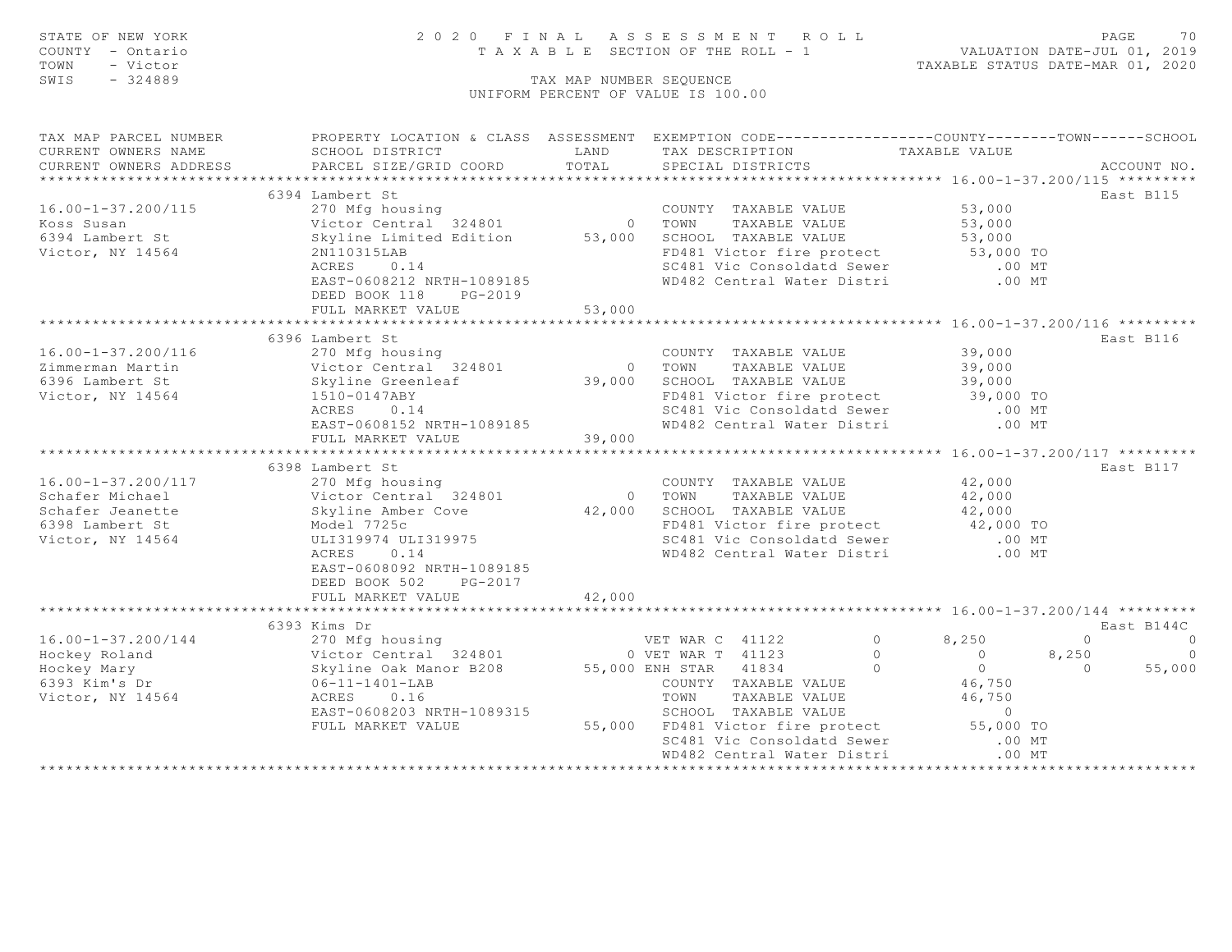| STATE OF NEW YORK<br>COUNTY - Ontario<br>TOWN<br>- Victor<br>$-324889$<br>SWIS                                                                                                                                                         |                                                                                                                                                                                                                                                                                                                                  | TAX MAP NUMBER SEQUENCE | FINAL ASSESSMENT ROLL PAGE 70<br>TAXABLE SECTION OF THE ROLL - 1 VALUATION DATE-JUL 01, 2019<br>TAXABLE STATUS DATE-MAR 01, 2020<br>2020 FINAL ASSESSMENT ROLL<br>UNIFORM PERCENT OF VALUE IS 100.00                                                           |                                                                |                                                                  |
|----------------------------------------------------------------------------------------------------------------------------------------------------------------------------------------------------------------------------------------|----------------------------------------------------------------------------------------------------------------------------------------------------------------------------------------------------------------------------------------------------------------------------------------------------------------------------------|-------------------------|----------------------------------------------------------------------------------------------------------------------------------------------------------------------------------------------------------------------------------------------------------------|----------------------------------------------------------------|------------------------------------------------------------------|
|                                                                                                                                                                                                                                        |                                                                                                                                                                                                                                                                                                                                  |                         |                                                                                                                                                                                                                                                                |                                                                |                                                                  |
| TAX MAP PARCEL NUMBER<br>CURRENT OWNERS NAME<br>CURRENT OWNERS ADDRESS                                                                                                                                                                 | PROPERTY LOCATION & CLASS ASSESSMENT EXEMPTION CODE----------------COUNTY-------TOWN------SCHOOL<br>SCHOOL DISTRICT<br>PARCEL SIZE/GRID COORD                                                                                                                                                                                    | TOTAL                   | LAND TAX DESCRIPTION<br>SPECIAL DISTRICTS                                                                                                                                                                                                                      | TAXABLE VALUE                                                  | ACCOUNT NO.                                                      |
|                                                                                                                                                                                                                                        | 6394 Lambert St                                                                                                                                                                                                                                                                                                                  |                         |                                                                                                                                                                                                                                                                |                                                                | East B115                                                        |
| 16.00-1-37.200/115<br>Koss Susan<br>6394 Lambert St<br>Victor, NY 14564                                                                                                                                                                | 270 Mfg housing<br>Victor Central 324801 0 TOWN TAXABLE VALUE<br>Skyline Limited Edition 53,000 SCHOOL TAXABLE VALUE<br>2N110315LAB<br>2N110315LAB<br>ACRES 0.14<br>EAST-0608212 NRTH-1089185<br>DEED BOOK 118 PG-2019                                                                                                           |                         | SCHOOL TAXABLE VALUE 53,000<br>FD481 Victor fire protect 53,000 TO<br>SC481 Vic Consoldatd Sewer .00 MT<br>WD482 Central Water Distri .00 MT                                                                                                                   | 53,000<br>53,000                                               |                                                                  |
|                                                                                                                                                                                                                                        | FULL MARKET VALUE                                                                                                                                                                                                                                                                                                                | 53,000                  |                                                                                                                                                                                                                                                                |                                                                |                                                                  |
| 16.00-1-37.200/116<br>Zimmerman Martin<br>6396 Lambert St<br>Victor, NY 14564                                                                                                                                                          | 6396 Lambert St<br>4396 Lambert St<br>270 Mfg housing<br>Victor Central 324801 0 TOWN TAXABLE VALUE 39,000<br>Skyline Greenleaf 39,000 SCHOOL TAXABLE VALUE 39,000<br>1510-0147ABY FD481 Victor fire protect 39,000 TO<br>ACRES 0.14 SC481 Vic Consoldatd S<br>FULL MARKET VALUE<br>6398 Lambert St<br>EAST-0608092 NRTH-1089185 | 39,000                  | COUNTY TAXABLE VALUE 42,000<br>TOWN TAXABLE VALUE 42,000<br>FD481 Victor fire protect 42,000 TO<br>SC481 Vic Consoldatd Sewer .00 MT<br>WD482 Central Water Distri .00 MT                                                                                      |                                                                | East B116<br>East B117                                           |
|                                                                                                                                                                                                                                        | DEED BOOK 502<br>PG-2017<br>FULL MARKET VALUE                                                                                                                                                                                                                                                                                    | 42,000                  |                                                                                                                                                                                                                                                                |                                                                |                                                                  |
|                                                                                                                                                                                                                                        | 6393 Kims Dr                                                                                                                                                                                                                                                                                                                     |                         |                                                                                                                                                                                                                                                                |                                                                | East B144C                                                       |
| 16.00-1-37.200/144 270 Mfg housing<br>Hockey Roland Victor Central 324801 0 VET WAR T 41123<br>Hockey Mary Skyline Oak Manor B208 55,000 ENH STAR 41834<br>6393 Kim's Dr 06-11-1401-LAB<br>Victor, NY 14564 ACRES 0.16 TOWN TAXABLE VA | FULL MARKET VALUE                                                                                                                                                                                                                                                                                                                |                         | $0 \qquad \qquad$<br>$\Omega$<br>$\circ$<br>COUNTY TAXABLE VALUE<br>TOWN      TAXABLE VALUE<br>SCHOOL   TAXABLE VALUE<br>SCHOOL TAXABLE VALUE<br>55,000 FD481 Victor fire protect 55,000 TO<br>SC481 Vic Consoldatd Sewer .00 MT<br>WD482 Central Water Distri | 8,250<br>$\overline{0}$<br>$0$<br>46,750<br>46,750<br>$.00$ MT | $\Omega$<br>$\sim$ 0<br>8,250<br>$\circ$<br>$\bigcirc$<br>55,000 |
|                                                                                                                                                                                                                                        |                                                                                                                                                                                                                                                                                                                                  |                         |                                                                                                                                                                                                                                                                |                                                                |                                                                  |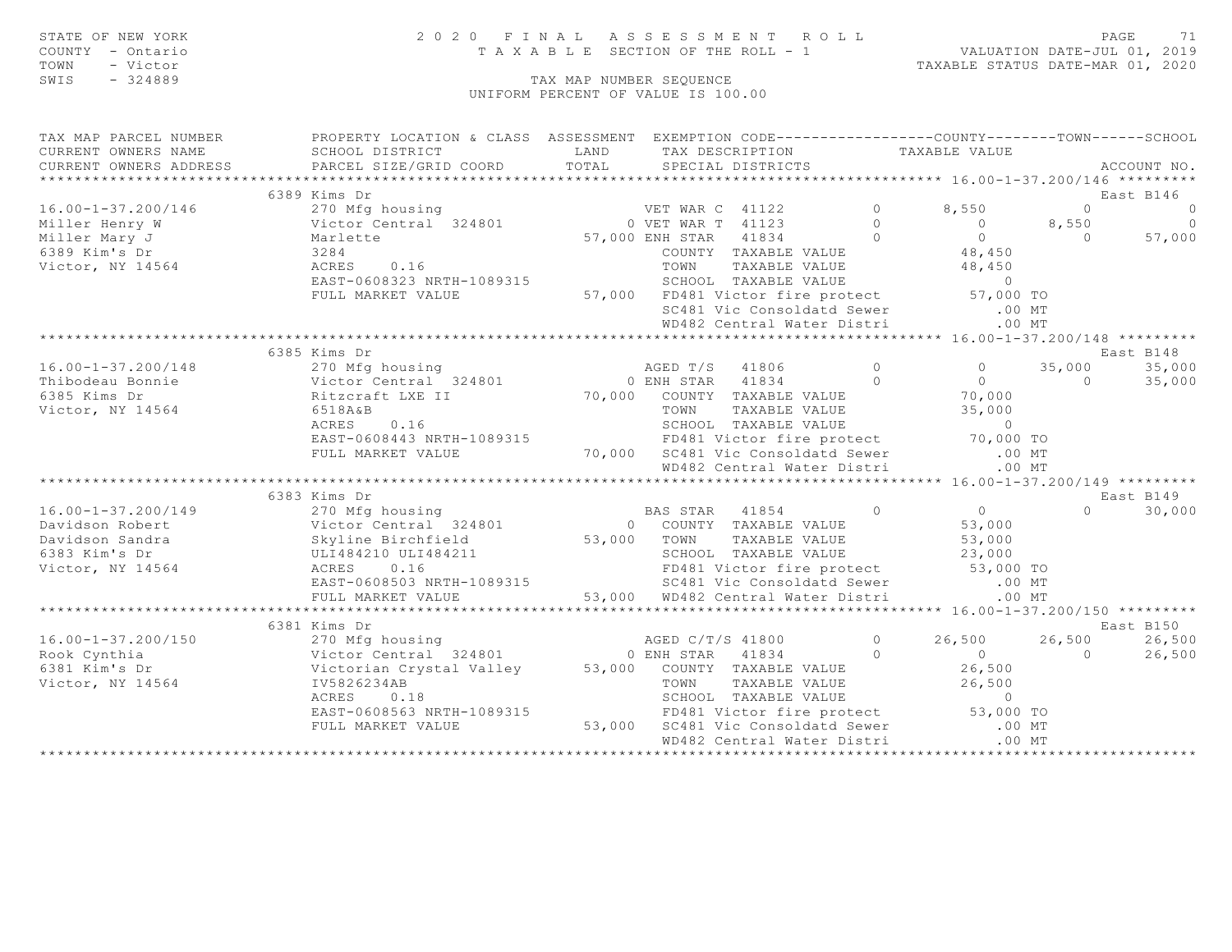| STATE OF NEW YORK<br>COUNTY - Ontario<br>TOWN<br>- Victor<br>$-324889$<br>SWIS                                                                                                                                                                     | 2020 FINAL ASSESSMENT ROLL                                                                                                                                                                                                                       | TAX MAP NUMBER SEQUENCE            |  | T A X A B L E SECTION OF THE ROLL - 1<br>T A X A B L E SECTION OF THE ROLL - 1<br>TAXABLE STATUS DATE-MAR 01, 2020                   |                                       | PAGE<br>71                      |
|----------------------------------------------------------------------------------------------------------------------------------------------------------------------------------------------------------------------------------------------------|--------------------------------------------------------------------------------------------------------------------------------------------------------------------------------------------------------------------------------------------------|------------------------------------|--|--------------------------------------------------------------------------------------------------------------------------------------|---------------------------------------|---------------------------------|
|                                                                                                                                                                                                                                                    |                                                                                                                                                                                                                                                  | UNIFORM PERCENT OF VALUE IS 100.00 |  |                                                                                                                                      |                                       |                                 |
| TAX MAP PARCEL NUMBER <b>The PROPERTY LOCATION &amp; CLASS</b> ASSESSMENT EXEMPTION CODE--------------COUNTY-------TOWN------SCHOOL                                                                                                                |                                                                                                                                                                                                                                                  |                                    |  |                                                                                                                                      |                                       |                                 |
| CURRENT OWNERS NAME<br>CURRENT OWNERS ADDRESS                                                                                                                                                                                                      | SCHOOL DISTRICT LAND<br>PARCEL SIZE/GRID COORD                                                                                                                                                                                                   | TOTAL                              |  | TAX DESCRIPTION TAXABLE VALUE<br>SPECIAL DISTRICTS                                                                                   |                                       | ACCOUNT NO.                     |
|                                                                                                                                                                                                                                                    |                                                                                                                                                                                                                                                  |                                    |  |                                                                                                                                      |                                       |                                 |
|                                                                                                                                                                                                                                                    | 6389 Kims Dr                                                                                                                                                                                                                                     |                                    |  |                                                                                                                                      |                                       | East B146                       |
| 16.00-1-37.200/146<br>16.00-1-37.200/146<br>270 Mfg housing<br>270 Mfg housing<br>270 Mfg housing<br>270 Mfg housing<br>270 Mfg housing<br>270 Mfg housing<br>270 Mfg housing<br>270 Mfg housing<br>284 0 VET WAR T 41123<br>284 57,000 ENH STAR 4 |                                                                                                                                                                                                                                                  |                                    |  | $0 \t 8,550$                                                                                                                         |                                       | $\begin{matrix}0&0\end{matrix}$ |
|                                                                                                                                                                                                                                                    |                                                                                                                                                                                                                                                  |                                    |  |                                                                                                                                      |                                       | $\sim$ 0                        |
|                                                                                                                                                                                                                                                    |                                                                                                                                                                                                                                                  |                                    |  |                                                                                                                                      | $\begin{array}{c} 1 \\ 0 \end{array}$ | 57,000                          |
|                                                                                                                                                                                                                                                    |                                                                                                                                                                                                                                                  |                                    |  | VET WAR T 41123<br>ENH STAR 41834 0 0 8,550<br>COUNTY TAXABLE VALUE 48,450<br>TOWN TAXABLE VALUE 48,450<br>TOWN TAXABLE VALUE 48,450 |                                       |                                 |
|                                                                                                                                                                                                                                                    |                                                                                                                                                                                                                                                  |                                    |  |                                                                                                                                      |                                       |                                 |
|                                                                                                                                                                                                                                                    |                                                                                                                                                                                                                                                  |                                    |  |                                                                                                                                      |                                       |                                 |
|                                                                                                                                                                                                                                                    |                                                                                                                                                                                                                                                  |                                    |  |                                                                                                                                      |                                       |                                 |
|                                                                                                                                                                                                                                                    |                                                                                                                                                                                                                                                  |                                    |  |                                                                                                                                      |                                       |                                 |
|                                                                                                                                                                                                                                                    |                                                                                                                                                                                                                                                  |                                    |  |                                                                                                                                      |                                       |                                 |
|                                                                                                                                                                                                                                                    | NICOL --<br>Mariette<br>3284 0.16 TOWN TAXABLE VALUE 48,490<br>EAST-0608323 NRTH-1089315 57,000 FD481 Victor fire protect 57,000 TO<br>FULL MARKET VALUE 57,000 FD481 Victor fire protect 57,000 TO<br>82481 Victor fire protect 57,000          |                                    |  |                                                                                                                                      |                                       | East B148                       |
|                                                                                                                                                                                                                                                    |                                                                                                                                                                                                                                                  |                                    |  |                                                                                                                                      |                                       | 35,000                          |
|                                                                                                                                                                                                                                                    |                                                                                                                                                                                                                                                  |                                    |  |                                                                                                                                      |                                       | 35,000                          |
|                                                                                                                                                                                                                                                    |                                                                                                                                                                                                                                                  |                                    |  |                                                                                                                                      |                                       |                                 |
|                                                                                                                                                                                                                                                    | NUTOAND<br>ACRES 0.16                                                                                                                                                                                                                            |                                    |  |                                                                                                                                      |                                       |                                 |
|                                                                                                                                                                                                                                                    |                                                                                                                                                                                                                                                  |                                    |  |                                                                                                                                      |                                       |                                 |
|                                                                                                                                                                                                                                                    |                                                                                                                                                                                                                                                  |                                    |  |                                                                                                                                      |                                       |                                 |
|                                                                                                                                                                                                                                                    | ALAZABLE VALUE<br>ACRES 0.16<br>EAST-0608443 NRTH-1089315<br>FULL MARKET VALUE<br>PED481 Victor fire protect<br>TOWN TAXABLE VALUE<br>SCHOOL TAXABLE VALUE<br>FD481 Victor fire protect<br>FULL MARKET VALUE<br>MD482 Central Water District 0.0 |                                    |  |                                                                                                                                      |                                       |                                 |
|                                                                                                                                                                                                                                                    | ********************************                                                                                                                                                                                                                 |                                    |  | ***************** 16.00-1-37.200/149 *********                                                                                       |                                       |                                 |
|                                                                                                                                                                                                                                                    | 6383 Kims Dr                                                                                                                                                                                                                                     |                                    |  |                                                                                                                                      |                                       | East B149                       |
|                                                                                                                                                                                                                                                    |                                                                                                                                                                                                                                                  |                                    |  |                                                                                                                                      |                                       | $\Omega$<br>30,000              |
|                                                                                                                                                                                                                                                    |                                                                                                                                                                                                                                                  |                                    |  |                                                                                                                                      |                                       |                                 |
|                                                                                                                                                                                                                                                    |                                                                                                                                                                                                                                                  |                                    |  |                                                                                                                                      |                                       |                                 |
|                                                                                                                                                                                                                                                    |                                                                                                                                                                                                                                                  |                                    |  |                                                                                                                                      |                                       |                                 |
|                                                                                                                                                                                                                                                    |                                                                                                                                                                                                                                                  |                                    |  |                                                                                                                                      |                                       |                                 |
| 16.00-1-37.200/149 6383 Kims Dr<br>Davidson Robert Victor (entral 324801 0 COUNTY TAXABLE VALUE 53,000<br>Davidson Sandra Skyline Birchfield 53,000 TOWN TAXABLE VALUE 53,000<br>6383 Kim's Dr<br>ULI484210 ULI484211 53,000 TOWN TAXA             |                                                                                                                                                                                                                                                  |                                    |  |                                                                                                                                      |                                       |                                 |
|                                                                                                                                                                                                                                                    |                                                                                                                                                                                                                                                  |                                    |  |                                                                                                                                      |                                       |                                 |
|                                                                                                                                                                                                                                                    |                                                                                                                                                                                                                                                  |                                    |  |                                                                                                                                      |                                       | East B150                       |
|                                                                                                                                                                                                                                                    |                                                                                                                                                                                                                                                  |                                    |  | $0 \t 26,500$                                                                                                                        | 26,500                                | 26,500                          |
|                                                                                                                                                                                                                                                    |                                                                                                                                                                                                                                                  |                                    |  |                                                                                                                                      | $\overline{a}$                        | 26,500                          |
| 16.00-1-37.200/150<br>Rook Cynthia (16.00-1-37.200/150 270 Mfg housing<br>Rook Cynthia Victor Central 324801 0 ENH STAR 41834 0 0<br>6381 Kim's Dr Victorian Crystal Valley 53,000 COUNTY TAXABLE VALUE<br>TOWN TAXABLE VALUE 1V582623             |                                                                                                                                                                                                                                                  |                                    |  |                                                                                                                                      |                                       |                                 |
|                                                                                                                                                                                                                                                    |                                                                                                                                                                                                                                                  |                                    |  |                                                                                                                                      |                                       |                                 |
|                                                                                                                                                                                                                                                    |                                                                                                                                                                                                                                                  |                                    |  |                                                                                                                                      |                                       |                                 |
|                                                                                                                                                                                                                                                    |                                                                                                                                                                                                                                                  |                                    |  |                                                                                                                                      |                                       |                                 |
|                                                                                                                                                                                                                                                    | CONTENT CONTENT CONTENT CONTENT CONTENT ON THE MADE WALLE VALUE<br>EAST-0608563 NRTH-1089315<br>FOWN TAXABLE VALUE 26,500<br>EAST-0608563 NRTH-1089315<br>FO481 Victor fire protect 53,000 TO<br>FO481 Victor fire protect 53,000 TO<br>FO       |                                    |  |                                                                                                                                      |                                       |                                 |
|                                                                                                                                                                                                                                                    |                                                                                                                                                                                                                                                  |                                    |  |                                                                                                                                      |                                       |                                 |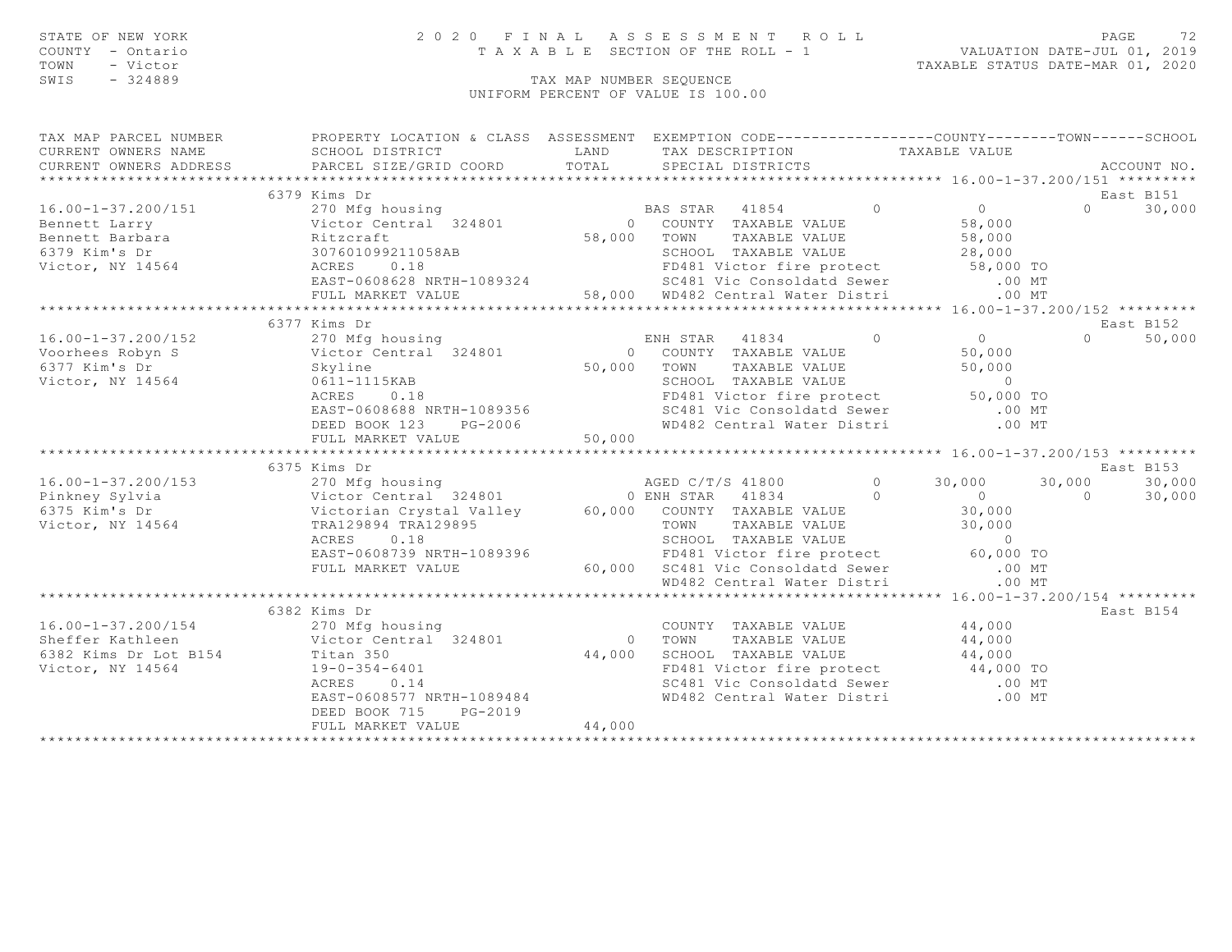|                  | 2020 FINAL ASSESSMENT ROLL PAGE $\frac{12}{200}$<br>TAXABLE SECTION OF THE ROLL - 1 VALUATION DATE-JUL 01, 2019<br>TAXABLE STATUS DATE-MAR 01, 2020                                                                                                                                                                                                             |                                                                                                                                                                                                                                              | TAX MAP NUMBER SEQUENCE<br>UNIFORM PERCENT OF VALUE IS 100.00 |                                                                                                                                                                                                                                                                                                                                                                                                                                                               | STATE OF NEW YORK<br>COUNTY - Ontario<br>- Victor<br>TOWN<br>SWIS - 324889        |
|------------------|-----------------------------------------------------------------------------------------------------------------------------------------------------------------------------------------------------------------------------------------------------------------------------------------------------------------------------------------------------------------|----------------------------------------------------------------------------------------------------------------------------------------------------------------------------------------------------------------------------------------------|---------------------------------------------------------------|---------------------------------------------------------------------------------------------------------------------------------------------------------------------------------------------------------------------------------------------------------------------------------------------------------------------------------------------------------------------------------------------------------------------------------------------------------------|-----------------------------------------------------------------------------------|
| ACCOUNT NO.      |                                                                                                                                                                                                                                                                                                                                                                 | TAX DESCRIPTION TAXABLE VALUE<br>SPECIAL DISTRICTS                                                                                                                                                                                           | LAND                                                          | PROPERTY LOCATION & CLASS ASSESSMENT EXEMPTION CODE----------------COUNTY-------TOWN------SCHOOL<br>SCHOOL DISTRICT<br>PARCEL SIZE/GRID COORD TOTAL                                                                                                                                                                                                                                                                                                           | TAX MAP PARCEL NUMBER<br>CURRENT OWNERS NAME<br>CURRENT OWNERS ADDRESS            |
|                  |                                                                                                                                                                                                                                                                                                                                                                 |                                                                                                                                                                                                                                              |                                                               |                                                                                                                                                                                                                                                                                                                                                                                                                                                               |                                                                                   |
| East B151        |                                                                                                                                                                                                                                                                                                                                                                 |                                                                                                                                                                                                                                              |                                                               | 6379 Kims Dr                                                                                                                                                                                                                                                                                                                                                                                                                                                  |                                                                                   |
| 30,000           | $0 \qquad \qquad$                                                                                                                                                                                                                                                                                                                                               |                                                                                                                                                                                                                                              |                                                               | 16.00-1-37.200/151<br>16.00-1-37.200/151<br>270 Mfg housing<br>270 Mfg housing<br>270 Mfg housing<br>270 Mfg housing<br>270 Mfg housing<br>28.000<br>28.000<br>28.000<br>28.000<br>28.000<br>28.000<br>28.000<br>28.000<br>28.000<br>28.000<br>28.000<br>28.000<br><br>ACRES 0.18<br>EAST-0608628 NRTH-1089324<br>FD481 Victor fire protect 58,000 TO<br>S8,000 WD482 Central Water Distri 00 MT<br>FULL MARKET VALUE 58,000 WD482 Central Water Distri 00 MT | Victor, NY 14564 ACRES                                                            |
|                  |                                                                                                                                                                                                                                                                                                                                                                 |                                                                                                                                                                                                                                              |                                                               |                                                                                                                                                                                                                                                                                                                                                                                                                                                               |                                                                                   |
| East B152        |                                                                                                                                                                                                                                                                                                                                                                 |                                                                                                                                                                                                                                              |                                                               | 6377 Kims Dr                                                                                                                                                                                                                                                                                                                                                                                                                                                  |                                                                                   |
| 50,000           | $\Omega$<br>$.00$ MT                                                                                                                                                                                                                                                                                                                                            | 41834<br>WD482 Central Water Distri                                                                                                                                                                                                          | 50,000                                                        | Voorhees Robyn S<br>6377 Kim's Dr<br>Skyline<br>Victor Central 324801 0 COUNTY TAXABLE VALUE 50,000<br>Skyline 50,000 TOWN TAXABLE VALUE 50,000<br>OGI1-1115KAB 50,000 SCHOOL TAXABLE VALUE 50,000<br>ACRES 0.18 FD481 Victor fire protect 50,000 TO<br>EAST-0608688 NRTH-1089356 SC48<br>$0611 - 1115KAB$<br>PG-2006<br>DEED BOOK 123<br>FULL MARKET VALUE                                                                                                   | $16.00 - 1 - 37.200 / 152$<br>Victor, NY 14564                                    |
|                  |                                                                                                                                                                                                                                                                                                                                                                 |                                                                                                                                                                                                                                              |                                                               |                                                                                                                                                                                                                                                                                                                                                                                                                                                               |                                                                                   |
| East B153        |                                                                                                                                                                                                                                                                                                                                                                 |                                                                                                                                                                                                                                              |                                                               |                                                                                                                                                                                                                                                                                                                                                                                                                                                               |                                                                                   |
| 30,000<br>30,000 |                                                                                                                                                                                                                                                                                                                                                                 |                                                                                                                                                                                                                                              |                                                               | י הוא הם הם הם הם Victorian Crystal Valley (60,000 COUNTY TAXABLE VALUE)<br>Victor, NY 14564 (1989) 19894 TRA129895<br>TRA129894 TRA129895<br>0.18<br>ACRES                                                                                                                                                                                                                                                                                                   | Victor, NY 14564                                                                  |
|                  |                                                                                                                                                                                                                                                                                                                                                                 |                                                                                                                                                                                                                                              |                                                               |                                                                                                                                                                                                                                                                                                                                                                                                                                                               |                                                                                   |
|                  |                                                                                                                                                                                                                                                                                                                                                                 |                                                                                                                                                                                                                                              |                                                               |                                                                                                                                                                                                                                                                                                                                                                                                                                                               |                                                                                   |
|                  |                                                                                                                                                                                                                                                                                                                                                                 |                                                                                                                                                                                                                                              |                                                               |                                                                                                                                                                                                                                                                                                                                                                                                                                                               |                                                                                   |
| East B154        |                                                                                                                                                                                                                                                                                                                                                                 |                                                                                                                                                                                                                                              |                                                               | 6382 Kims Dr                                                                                                                                                                                                                                                                                                                                                                                                                                                  |                                                                                   |
|                  | 44,000<br>$44,000$<br>$44,000$                                                                                                                                                                                                                                                                                                                                  | COUNTY TAXABLE VALUE<br>TAXABLE VALUE<br>44,000 SCHOOL TAXABLE VALUE                                                                                                                                                                         | 0 TOWN                                                        | 270 Mfg housing<br>Victor Central 324801                                                                                                                                                                                                                                                                                                                                                                                                                      | $16.00 - 1 - 37.200 / 154$<br>Sheffer Kathleen<br>6382 Kims Dr Lot B154 Titan 350 |
|                  | $\begin{matrix} 0 & 0 & 0 \\ 0 & 0 & 0 \\ 0 & 0 & 0 \\ 0 & 0 & 0 \\ 0 & 0 & 0 \\ 0 & 0 & 0 \\ 0 & 0 & 0 \\ 0 & 0 & 0 & 0 \\ 0 & 0 & 0 & 0 \\ 0 & 0 & 0 & 0 \\ 0 & 0 & 0 & 0 \\ 0 & 0 & 0 & 0 & 0 \\ 0 & 0 & 0 & 0 & 0 \\ 0 & 0 & 0 & 0 & 0 \\ 0 & 0 & 0 & 0 & 0 & 0 \\ 0 & 0 & 0 & 0 & 0 & 0 \\ 0 & 0 & 0 & 0 & 0 & 0 \\ 0 & 0$<br>30,000<br>.00MT<br>44,000 TO | 60,000 COUNTY TAXABLE VALUE 30,000<br>TOWN TAXABLE VALUE 30,000<br>SCHOOL TAXABLE VALUE 30,000<br>FD481 Victor fire protect 60,000 TO<br>60,000 SC481 Vic Consoldatd Sewer .00 MT<br>WD482 Central Water Distri<br>FD481 Victor fire protect |                                                               | 270 Mfg housing COM CONTENT ENH STAR<br>6375 Kims Dr<br>16.00-1-37.200/153 6373 KINS DI<br>270 Mfg housing Barry AGED C/T/S 41800 0 30,000<br>Pinkney Sylvia Victor Central 324801 0 ENH STAR 41834 0 0<br>EAST-0608739 NRTH-1089396<br>FULL MARKET VALUE<br>270 Mfg housing<br>Titan 350<br>19-0-354-6401                                                                                                                                                    | Victor, NY 14564                                                                  |

\*\*\*\*\*\*\*\*\*\*\*\*\*\*\*\*\*\*\*\*\*\*\*\*\*\*\*\*\*\*\*\*\*\*\*\*\*\*\*\*\*\*\*\*\*\*\*\*\*\*\*\*\*\*\*\*\*\*\*\*\*\*\*\*\*\*\*\*\*\*\*\*\*\*\*\*\*\*\*\*\*\*\*\*\*\*\*\*\*\*\*\*\*\*\*\*\*\*\*\*\*\*\*\*\*\*\*\*\*\*\*\*\*\*\*\*\*\*\*\*\*\*\*\*\*\*\*\*\*\*\*\*

Victor, NY 14564 19-0-354-6401 FD481 Victor fire protect 44,000 TO ACRES 0.14 SC481 Vic Consoldatd Sewer .00 MT EAST-0608577 NRTH-1089484 WD482 Central Water Distri .00 MT

DEED BOOK 715 PG-2019

FULL MARKET VALUE 44,000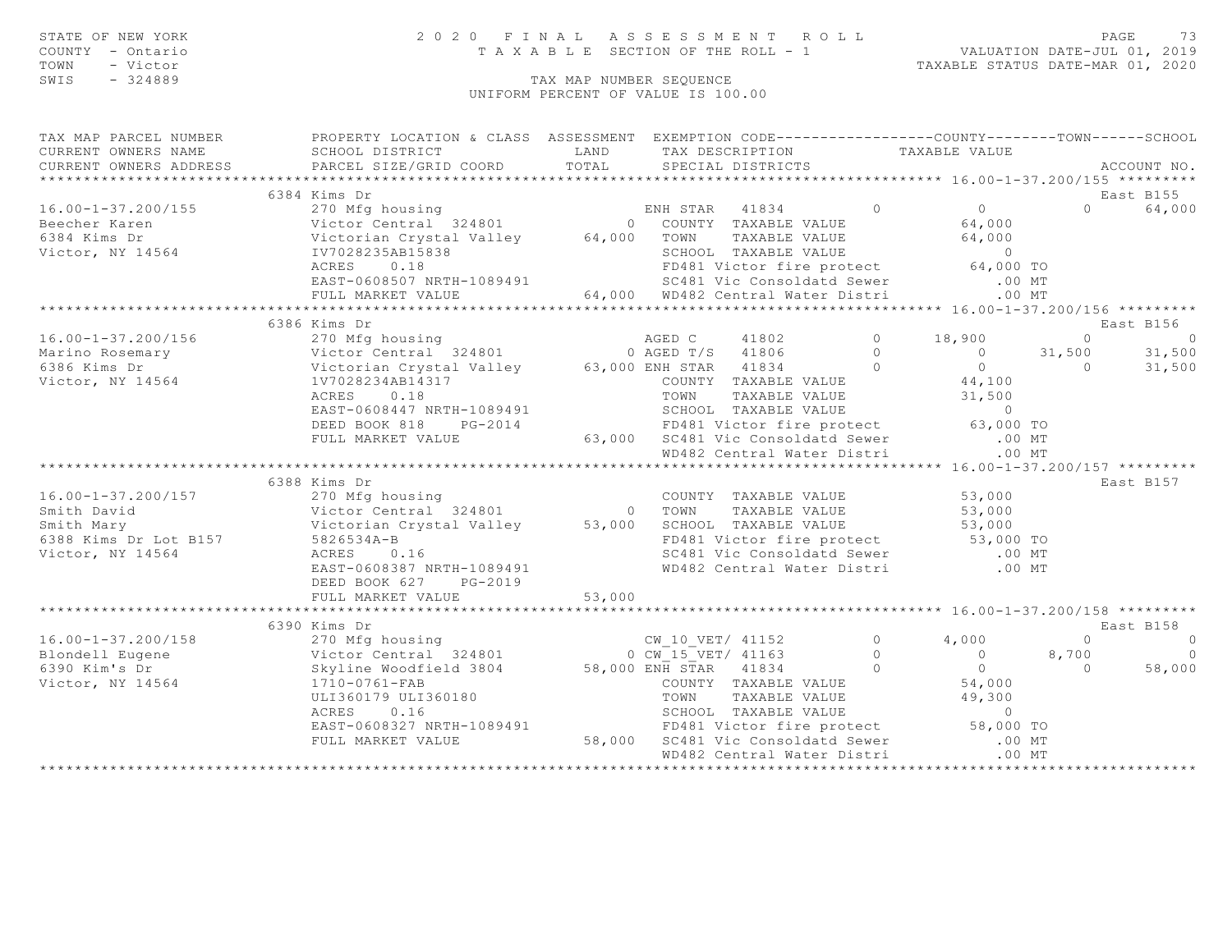| STATE OF NEW YORK                                 |                                                                                                                                                                                                                                                 |                                    | FINAL ASSESSMENT ROLL PAGE 73<br>TAXABLE SECTION OF THE ROLL - 1 VALUATION DATE-JUL 01, 2019<br>2020 FINAL ASSESSMENT ROLL |                                             |                |                            |
|---------------------------------------------------|-------------------------------------------------------------------------------------------------------------------------------------------------------------------------------------------------------------------------------------------------|------------------------------------|----------------------------------------------------------------------------------------------------------------------------|---------------------------------------------|----------------|----------------------------|
| COUNTY - Ontario                                  |                                                                                                                                                                                                                                                 |                                    |                                                                                                                            |                                             |                |                            |
| TOWN<br>- Victor                                  |                                                                                                                                                                                                                                                 |                                    |                                                                                                                            | TAXABLE STATUS DATE-MAR 01, 2020            |                |                            |
| SWIS - 324889                                     |                                                                                                                                                                                                                                                 | TAX MAP NUMBER SEOUENCE            |                                                                                                                            |                                             |                |                            |
|                                                   |                                                                                                                                                                                                                                                 | UNIFORM PERCENT OF VALUE IS 100.00 |                                                                                                                            |                                             |                |                            |
|                                                   |                                                                                                                                                                                                                                                 |                                    |                                                                                                                            |                                             |                |                            |
|                                                   |                                                                                                                                                                                                                                                 |                                    |                                                                                                                            |                                             |                |                            |
|                                                   | TAX MAP PARCEL NUMBER THE PROPERTY LOCATION & CLASS ASSESSMENT EXEMPTION CODE--------------COUNTY-------TOWN------SCHOOL                                                                                                                        |                                    |                                                                                                                            |                                             |                |                            |
| CURRENT OWNERS NAME                               | SCHOOL DISTRICT                                                                                                                                                                                                                                 | LAND                               | TAX DESCRIPTION                                                                                                            | TAXABLE VALUE                               |                |                            |
| CURRENT OWNERS ADDRESS<br>*********************** | PARCEL SIZE/GRID COORD                                                                                                                                                                                                                          | TOTAL                              | SPECIAL DISTRICTS                                                                                                          |                                             |                | ACCOUNT NO.                |
|                                                   | 6384 Kims Dr                                                                                                                                                                                                                                    |                                    |                                                                                                                            |                                             |                | East B155                  |
| $16.00 - 1 - 37.200 / 155$                        | 270 Mfg housing<br>270 Mfg housing<br>Victor Central 324801 0 COUNTY TAXABLE VALUE<br>Victorian Crystal Valley 64,000 TOWN TAXABLE VALUE<br>IV7028235AB15838 SCHOOL TAXABLE VALUE<br>ACRES 0.18 FD481 Victor fire protect<br>EAST-0608507       |                                    |                                                                                                                            | $\overline{0}$                              | $\cap$         | 64,000                     |
| Beecher Karen                                     |                                                                                                                                                                                                                                                 |                                    |                                                                                                                            | 64,000                                      |                |                            |
| 6384 Kims Dr                                      |                                                                                                                                                                                                                                                 |                                    |                                                                                                                            |                                             |                |                            |
| Victor, NY 14564                                  |                                                                                                                                                                                                                                                 |                                    |                                                                                                                            | 64,000                                      |                |                            |
|                                                   |                                                                                                                                                                                                                                                 |                                    |                                                                                                                            | 64,000 TO                                   |                |                            |
|                                                   |                                                                                                                                                                                                                                                 |                                    |                                                                                                                            | .00 MT                                      |                |                            |
|                                                   |                                                                                                                                                                                                                                                 |                                    |                                                                                                                            | $.00$ MT                                    |                |                            |
|                                                   |                                                                                                                                                                                                                                                 |                                    |                                                                                                                            | ************** 16.00-1-37.200/156 ********* |                |                            |
|                                                   | 6386 Kims Dr                                                                                                                                                                                                                                    |                                    |                                                                                                                            |                                             |                | East B156                  |
| 16.00-1-37.200/156                                |                                                                                                                                                                                                                                                 |                                    |                                                                                                                            |                                             |                |                            |
| Marino Rosemary                                   |                                                                                                                                                                                                                                                 |                                    |                                                                                                                            |                                             |                |                            |
| 6386 Kims Dr                                      | 270 Mfg housing<br>270 Mfg housing<br>Victor Central 324801 0 AGED T/S 41806 0 0 31,500<br>Victorian Crystal Valley 63,000 ENH STAR 41834 0 0 31,500<br>1V7028234AB14317 COUNTY TAXABLE VALUE 44,100<br>ACRES 0.18 TOWN TAXABLE VALUE 31        |                                    |                                                                                                                            |                                             |                |                            |
| Victor, NY 14564                                  |                                                                                                                                                                                                                                                 |                                    |                                                                                                                            |                                             |                |                            |
|                                                   |                                                                                                                                                                                                                                                 |                                    |                                                                                                                            |                                             |                |                            |
|                                                   |                                                                                                                                                                                                                                                 |                                    |                                                                                                                            | $\sim$ 0                                    |                |                            |
|                                                   |                                                                                                                                                                                                                                                 |                                    |                                                                                                                            | 63,000 TO                                   |                |                            |
|                                                   |                                                                                                                                                                                                                                                 |                                    |                                                                                                                            | $.00$ MT                                    |                |                            |
|                                                   | FOWN TAXABLE VALUE<br>RAST-0608447 NRTH-1089491<br>DEED BOOK 818 PG-2014 FD481 Victor fire protect<br>FULL MARKET VALUE<br>FULL MARKET VALUE<br>FULL MARKET VALUE<br>FULL MARKET VALUE<br>FULL MARKET VALUE<br>FULL MARKET VALUE<br>FULL MARKET |                                    |                                                                                                                            | $.00$ MT                                    |                |                            |
|                                                   |                                                                                                                                                                                                                                                 |                                    |                                                                                                                            |                                             |                |                            |
|                                                   | 6388 Kims Dr                                                                                                                                                                                                                                    |                                    |                                                                                                                            |                                             |                | East B157                  |
| $16.00 - 1 - 37.200 / 157$                        | COUNTY TAXABLE VALUE 53,000<br>270 Mfg housing 324801 0 70WN TAXABLE VALUE 53,000<br>Victorian Crystal Valley 53,000 SCHOOL TAXABLE VALUE 53,000                                                                                                |                                    |                                                                                                                            |                                             |                |                            |
|                                                   |                                                                                                                                                                                                                                                 |                                    |                                                                                                                            |                                             |                |                            |
| Smith David<br>Smith Mary                         |                                                                                                                                                                                                                                                 |                                    |                                                                                                                            |                                             |                |                            |
|                                                   |                                                                                                                                                                                                                                                 |                                    |                                                                                                                            |                                             |                |                            |
|                                                   |                                                                                                                                                                                                                                                 |                                    | FD481 Victor fire protect 53,000 TO<br>SC481 Vic Consoldatd Sewer .00 MT                                                   |                                             |                |                            |
|                                                   | EAST-0608387 NRTH-1089491                                                                                                                                                                                                                       |                                    | WD482 Central Water Distri                                                                                                 | $.00$ MT                                    |                |                            |
|                                                   | DEED BOOK 627 PG-2019                                                                                                                                                                                                                           |                                    |                                                                                                                            |                                             |                |                            |
|                                                   | FULL MARKET VALUE                                                                                                                                                                                                                               | 53,000                             |                                                                                                                            |                                             |                |                            |
|                                                   |                                                                                                                                                                                                                                                 |                                    |                                                                                                                            |                                             |                |                            |
|                                                   | 6390 Kims Dr                                                                                                                                                                                                                                    |                                    |                                                                                                                            |                                             |                | East B158                  |
|                                                   |                                                                                                                                                                                                                                                 |                                    |                                                                                                                            |                                             |                | $\Omega$<br>$\overline{0}$ |
|                                                   |                                                                                                                                                                                                                                                 |                                    |                                                                                                                            |                                             | 8,700          | $\circ$                    |
|                                                   |                                                                                                                                                                                                                                                 |                                    |                                                                                                                            |                                             | $\overline{0}$ | 58,000                     |
|                                                   | 16.00-1-37.200/158<br>Blondell Eugene 270 Mfg housing CW_10_VET/ 41152<br>6390 Kim's Dr Skyline Woodfield 3804 58,000 ENH STAR 41834<br>Victor, NY 14564 1710-07761-FAB<br>THE COUNTY TAXABLE                                                   |                                    |                                                                                                                            |                                             |                |                            |
|                                                   |                                                                                                                                                                                                                                                 |                                    |                                                                                                                            |                                             |                |                            |
|                                                   |                                                                                                                                                                                                                                                 |                                    |                                                                                                                            |                                             |                |                            |
|                                                   |                                                                                                                                                                                                                                                 |                                    |                                                                                                                            |                                             |                |                            |
|                                                   |                                                                                                                                                                                                                                                 |                                    |                                                                                                                            |                                             |                |                            |
|                                                   |                                                                                                                                                                                                                                                 |                                    |                                                                                                                            |                                             |                |                            |
|                                                   |                                                                                                                                                                                                                                                 |                                    |                                                                                                                            |                                             |                |                            |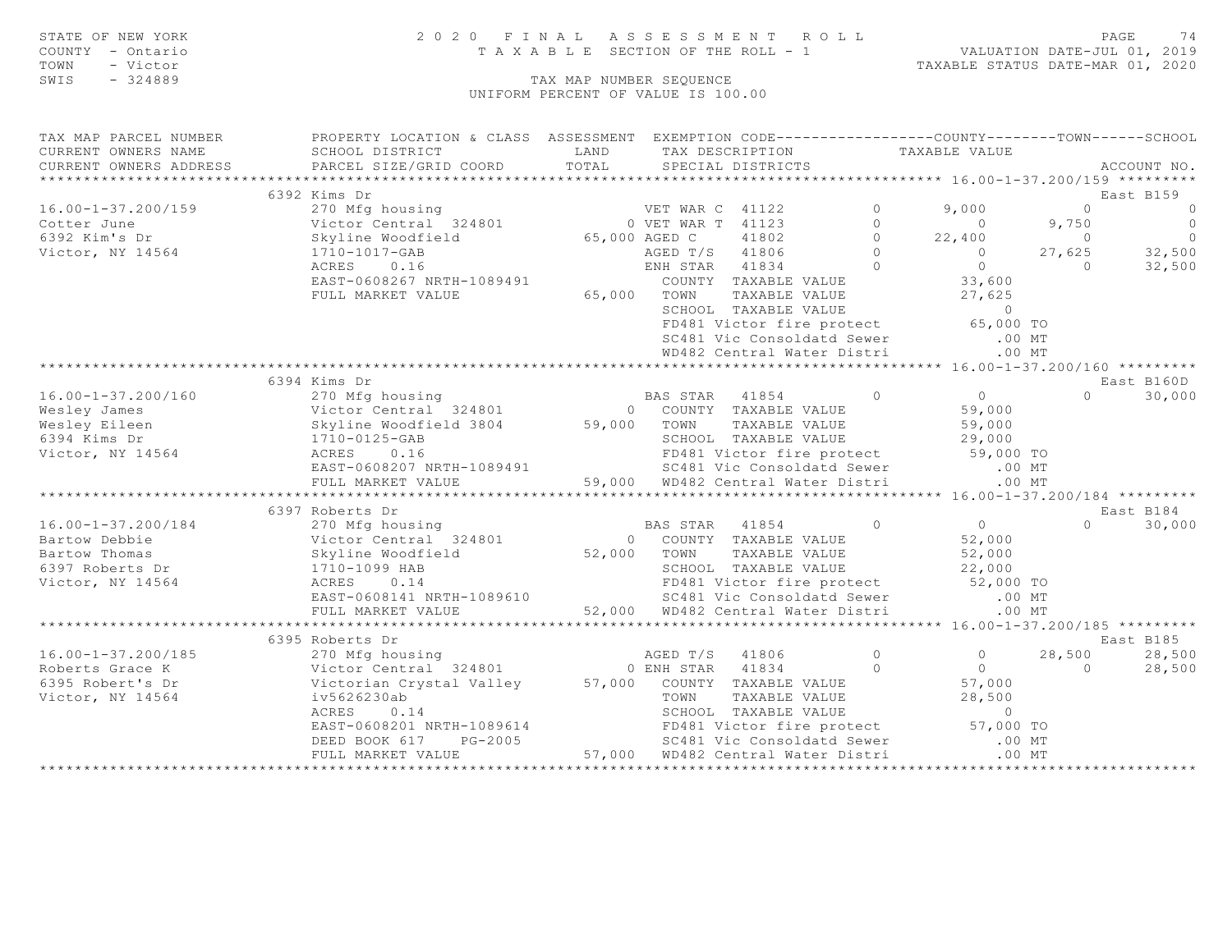| STATE OF NEW YORK | 2020 FINAL ASSESSMENT ROLL      | PAGE                             | 74 |
|-------------------|---------------------------------|----------------------------------|----|
| COUNTY - Ontario  | TAXABLE SECTION OF THE ROLL - 1 | VALUATION DATE-JUL 01, 2019      |    |
| TOWN<br>- Victor  |                                 | TAXABLE STATUS DATE-MAR 01, 2020 |    |
| SWIS<br>$-324889$ | TAX MAP NUMBER SEOUENCE         |                                  |    |

| TAX MAP PARCEL NUMBER        | PROPERTY LOCATION & CLASS ASSESSMENT EXEMPTION CODE---------------COUNTY-------TOWN------SCHOOL                                                                                                                                               |      |                                                     |                                                       |                                                                        |          |            |
|------------------------------|-----------------------------------------------------------------------------------------------------------------------------------------------------------------------------------------------------------------------------------------------|------|-----------------------------------------------------|-------------------------------------------------------|------------------------------------------------------------------------|----------|------------|
| CURRENT OWNERS NAME          | SCHOOL DISTRICT                                                                                                                                                                                                                               | LAND | TAX DESCRIPTION                                     |                                                       | TAXABLE VALUE                                                          |          |            |
|                              |                                                                                                                                                                                                                                               |      |                                                     |                                                       |                                                                        |          |            |
|                              |                                                                                                                                                                                                                                               |      |                                                     |                                                       |                                                                        |          |            |
|                              | 392 Kims Dr. (392 Kims Dr. 16.00-1-37.200/159 270 Mfg housing VET WAR C 41122 0 9,000 0 9,750 0<br>Cotter June Victor Central 324801 0 0 9,750 0<br>5392 Kim's Dr. Skyline Woodfield 65,000 AGED C 41802 0 22,400 0 0<br>Victor, NY           |      |                                                     |                                                       |                                                                        |          |            |
|                              |                                                                                                                                                                                                                                               |      |                                                     |                                                       |                                                                        |          |            |
|                              |                                                                                                                                                                                                                                               |      |                                                     |                                                       |                                                                        |          |            |
|                              |                                                                                                                                                                                                                                               |      |                                                     |                                                       |                                                                        |          |            |
|                              |                                                                                                                                                                                                                                               |      |                                                     |                                                       |                                                                        |          |            |
|                              |                                                                                                                                                                                                                                               |      |                                                     |                                                       |                                                                        |          |            |
|                              |                                                                                                                                                                                                                                               |      |                                                     |                                                       |                                                                        |          |            |
|                              |                                                                                                                                                                                                                                               |      |                                                     | TOWN       TAXABLE  VALUE<br>SCHOOL    TAXABLE  VALUE | 27,625                                                                 |          |            |
|                              |                                                                                                                                                                                                                                               |      |                                                     |                                                       |                                                                        |          |            |
|                              |                                                                                                                                                                                                                                               |      |                                                     |                                                       | FD481 Victor fire protect 65,000 TO                                    |          |            |
|                              |                                                                                                                                                                                                                                               |      |                                                     |                                                       | SC481 Vic Consoldatd Sewer .00 MT<br>WD482 Central Water Distri .00 MT |          |            |
|                              |                                                                                                                                                                                                                                               |      |                                                     |                                                       |                                                                        |          |            |
|                              | 10.00-1-37.200/160<br>Wesley James Corporation of BAS STAR 41854<br>Wesley Eileen Skyline Woodfield 3804<br>Victor Central 324801 0<br>Wesley Eileen Skyline Woodfield 3804<br>Victor, NY 14564 ACRES 0.16<br>Victor, NY 14564 ACRES 0.16<br> |      |                                                     |                                                       |                                                                        |          |            |
|                              |                                                                                                                                                                                                                                               |      |                                                     |                                                       |                                                                        |          | East B160D |
|                              |                                                                                                                                                                                                                                               |      |                                                     |                                                       | $\overline{0}$ 0                                                       | $\Omega$ | 30,000     |
|                              |                                                                                                                                                                                                                                               |      |                                                     |                                                       |                                                                        |          |            |
|                              |                                                                                                                                                                                                                                               |      |                                                     |                                                       | 59,000<br>59,000                                                       |          |            |
|                              |                                                                                                                                                                                                                                               |      |                                                     |                                                       | SCHOOL TAXABLE VALUE 29,000                                            |          |            |
|                              |                                                                                                                                                                                                                                               |      |                                                     |                                                       |                                                                        |          |            |
|                              |                                                                                                                                                                                                                                               |      |                                                     |                                                       |                                                                        |          |            |
|                              |                                                                                                                                                                                                                                               |      |                                                     |                                                       |                                                                        |          |            |
|                              |                                                                                                                                                                                                                                               |      |                                                     |                                                       |                                                                        |          |            |
|                              | 6397 Roberts Dr                                                                                                                                                                                                                               |      |                                                     |                                                       |                                                                        |          | East B184  |
|                              |                                                                                                                                                                                                                                               |      |                                                     |                                                       | BAS STAR 41854 0 0                                                     | $\Omega$ | 30,000     |
|                              |                                                                                                                                                                                                                                               |      | 0 COUNTY TAXABLE VALUE<br>52,000 TOWN TAXABLE VALUE |                                                       | 52,000<br>52,000                                                       |          |            |
|                              | Print Sandard Control of the Muslim Sandard Control of Sandard Control of Sandard Service of the Muslim Sandard Control of Table Control of Table Control of Table Control of Table Control of Table Control of Table Control                 |      |                                                     | TAXABLE VALUE                                         |                                                                        |          |            |
|                              |                                                                                                                                                                                                                                               |      |                                                     |                                                       |                                                                        |          |            |
|                              |                                                                                                                                                                                                                                               |      |                                                     |                                                       |                                                                        |          |            |
|                              |                                                                                                                                                                                                                                               |      |                                                     |                                                       |                                                                        |          |            |
|                              | Skyline woodlieid<br>1710-1099 HAB<br>ACRES 0.14 FD481 Victor fire protect 52,000 TO<br>EAST-0608141 NRTH-1089610 52,000 WD482 Central Water Distri 0.00 MT<br>FULL MARKET VALUE 52,000 WD482 Central Water Distri 0.00 MT<br>FULL MARKE      |      |                                                     |                                                       |                                                                        |          |            |
|                              |                                                                                                                                                                                                                                               |      |                                                     |                                                       |                                                                        |          |            |
|                              | 6395 Roberts Dr                                                                                                                                                                                                                               |      |                                                     |                                                       |                                                                        |          | East B185  |
| $16.00 - 1 - 37.200 / 185$   | 270 Mfg housing 300 MGED T/S 41806 0                                                                                                                                                                                                          |      |                                                     |                                                       | $0 \t 28,500$                                                          |          | 28,500     |
| Roberts Grace K              |                                                                                                                                                                                                                                               |      |                                                     |                                                       |                                                                        | $\Omega$ | 28,500     |
| 6395 Robert's Dr             |                                                                                                                                                                                                                                               |      |                                                     |                                                       |                                                                        |          |            |
| Victor, NY 14564 1v5626230ab |                                                                                                                                                                                                                                               |      | TOWN                                                |                                                       | TAXABLE VALUE<br>TAXABLE VALUE 28,500<br>-------- '''''                |          |            |
|                              |                                                                                                                                                                                                                                               |      |                                                     |                                                       |                                                                        |          |            |
|                              |                                                                                                                                                                                                                                               |      |                                                     |                                                       |                                                                        |          |            |
|                              | $PG-2005$<br>DEED BOOK 617                                                                                                                                                                                                                    |      |                                                     |                                                       | SC481 Vic Consoldatd Sewer .00 MT                                      |          |            |
|                              | FULL MARKET VALUE                                                                                                                                                                                                                             |      | 57,000 WD482 Central Water Distri                   |                                                       |                                                                        | .00MT    |            |
|                              |                                                                                                                                                                                                                                               |      |                                                     |                                                       |                                                                        |          |            |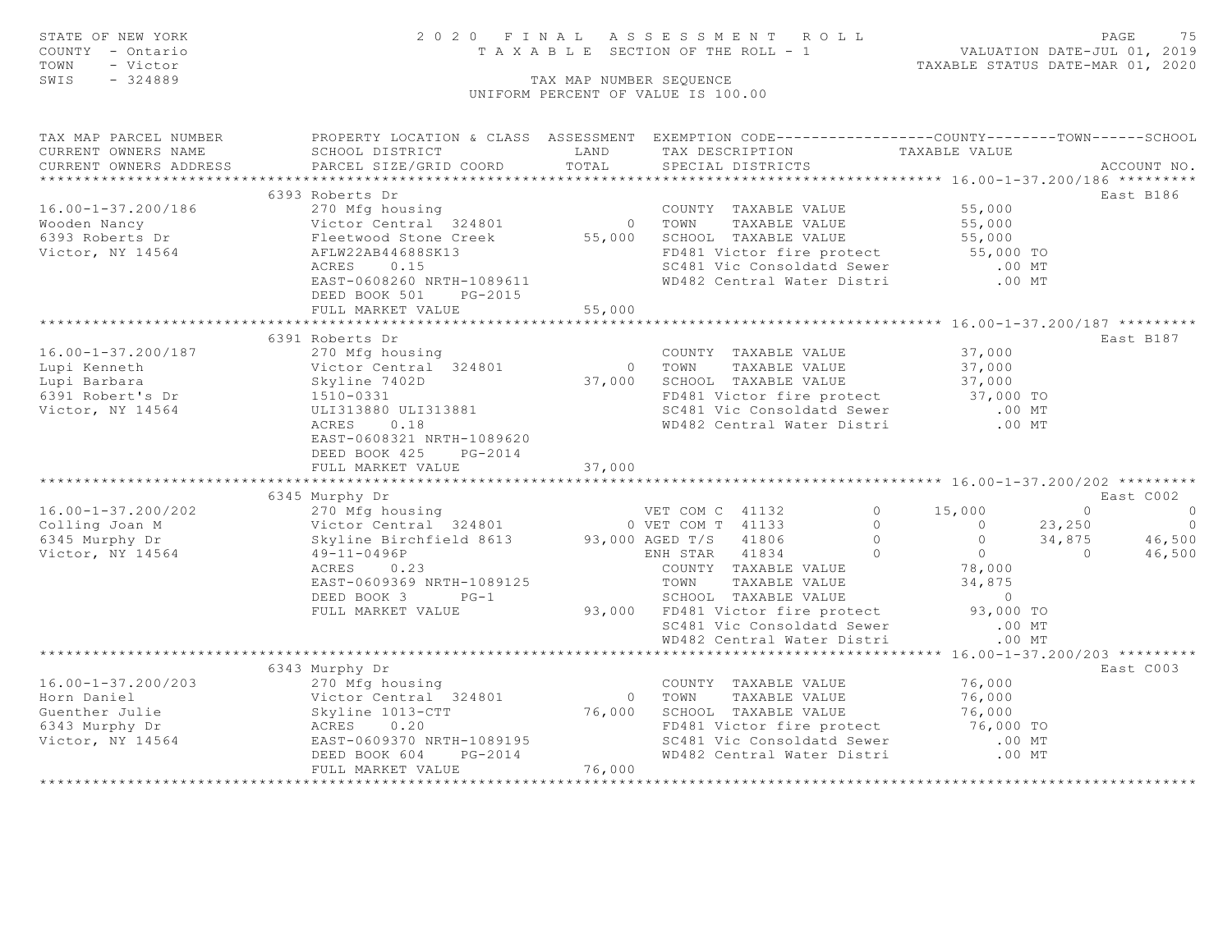| STATE OF NEW YORK<br>COUNTY - Ontario<br>TOWN<br>- Victor<br>$-324889$<br>SWIS                     |                                                                                                                                                                                                                                                                                                                                                    | TAX MAP NUMBER SEOUENCE           | 2020 FINAL ASSESSMENT ROLL<br>TAXABLE SECTION OF THE ROLL - 1 VALUATION DATE-JUL 01, 2019<br>UNIFORM PERCENT OF VALUE IS 100.00                                                                                                                                          | TAXABLE STATUS DATE-MAR 01, 2020                                                                       | PAGE<br>75                                                                                                                                                                                                                                                                                                                |
|----------------------------------------------------------------------------------------------------|----------------------------------------------------------------------------------------------------------------------------------------------------------------------------------------------------------------------------------------------------------------------------------------------------------------------------------------------------|-----------------------------------|--------------------------------------------------------------------------------------------------------------------------------------------------------------------------------------------------------------------------------------------------------------------------|--------------------------------------------------------------------------------------------------------|---------------------------------------------------------------------------------------------------------------------------------------------------------------------------------------------------------------------------------------------------------------------------------------------------------------------------|
| CURRENT OWNERS NAME<br>CURRENT OWNERS ADDRESS                                                      | TAX MAP PARCEL NUMBER THE PROPERTY LOCATION & CLASS ASSESSMENT EXEMPTION CODE--------------COUNTY-------TOWN------SCHOOL<br>SCHOOL DISTRICT<br>PARCEL SIZE/GRID COORD                                                                                                                                                                              | TOTAL                             | LAND TAX DESCRIPTION<br>SPECIAL DISTRICTS                                                                                                                                                                                                                                | TAXABLE VALUE                                                                                          | ACCOUNT NO.                                                                                                                                                                                                                                                                                                               |
| $16.00 - 1 - 37.200 / 186$<br>Wooden Nancy<br>6393 Roberts Dr<br>Victor, NY 14564                  | 6393 Roberts Dr<br>270 Mfg housing<br>Victor Central 324801 0 TOWN TAXABLE VALUE<br>Fleetwood Stone Creek 55,000 SCHOOL TAXABLE VALUE<br>AFLW22AB44688SK13 FD481 Victor fire protect<br>ACRES 0.15 199919 MD482 Central Water Distri<br>DEED BOOK 501 PG-2015<br>FULL MARKET VALUE                                                                 | 55,000<br>* * * * * * * * * * * * | TAXABLE VALUE<br>FD481 Victor fire protect 55,000 TO<br>SC481 Vic Consoldatd Sewer .00 MT<br>WD482 Central Water Distri                                                                                                                                                  | 55,000<br>55,000<br>55,000<br>.00 MT<br>.00 MT<br>*********************** 16.00-1-37.200/187 ********* | East B186                                                                                                                                                                                                                                                                                                                 |
| $16.00 - 1 - 37.200 / 187$<br>Lupi Kenneth<br>Lupi Barbara<br>6391 Robert's Dr<br>Victor, NY 14564 | 6391 Roberts Dr<br>270 Mfg housing<br>270 mig nousing<br>Skyline 7402D<br>1510-0331<br>ULI313880 ULI313881<br>ACRES 0.18<br>EAST-0608321 NRTH-1089620<br>DEED BOOK 425 PG-2014<br>FULL MARKET VALUE<br>***********************                                                                                                                     | 37,000                            | COUNTY TAXABLE VALUE<br>COUNTY TAXABLE VALUE<br>0 TOWN TAXABLE VALUE<br>37,000 SCHOOL TAXABLE VALUE<br>FD481 Victor fire protect<br>SC481 Vic Consoldatd Sewer<br>FD481 Victor fire protect 37,000 TO<br>SC481 Vic Consoldatd Sewer .00 MT<br>WD482 Central Water Distri | 37,000<br>37,000<br>37,000<br>.00 MT                                                                   | East B187                                                                                                                                                                                                                                                                                                                 |
|                                                                                                    | 6345 Murphy Dr<br>16.00-1-37.200/202<br>Colling Joan M 270 Mfg housing<br>Colling Joan M 270 Mfg housing<br>Colling Joan M 270 Mfg housing<br>Colling Joan M 270 Mfg housing<br>Colling Joan M 270 Mfg housing<br>Colling Joan M 270 Mfg housing<br>Colling Jo<br>ACRES 0.23<br>EAST-0609369 NRTH-1089125<br>DEED BOOK 3 PG-1<br>FULL MARKET VALUE |                                   | COUNTY TAXABLE VALUE<br>TOWN      TAXABLE VALUE<br>SCHOOL TAXABLE VALUE<br>SCHOOL TAXABLE VALUE 0<br>93,000 FD481 Victor fire protect 93,000 TO<br>SC481 Vic Consoldatd Sewer<br>WD482 Central Water Distri                                                              | 23,250<br>0<br>0<br>0<br>78,000<br>34,875<br>34,875<br>34,875<br>$\overline{0}$<br>.00 MT<br>$.00$ MT  | East C002<br>$\sim$ 000 $\sim$ 000 $\sim$ 000 $\sim$ 000 $\sim$ 000 $\sim$ 000 $\sim$ 000 $\sim$ 000 $\sim$ 000 $\sim$ 000 $\sim$ 000 $\sim$ 000 $\sim$ 000 $\sim$ 000 $\sim$ 000 $\sim$ 000 $\sim$ 000 $\sim$ 000 $\sim$ 000 $\sim$ 000 $\sim$ 000 $\sim$ 000 $\sim$ 000 $\sim$ 000 $\sim$<br>$\Omega$<br>$\overline{0}$ |
|                                                                                                    | 6343 Murphy Dr<br>FULL MARKET VALUE                                                                                                                                                                                                                                                                                                                | 76,000                            |                                                                                                                                                                                                                                                                          |                                                                                                        | East C003                                                                                                                                                                                                                                                                                                                 |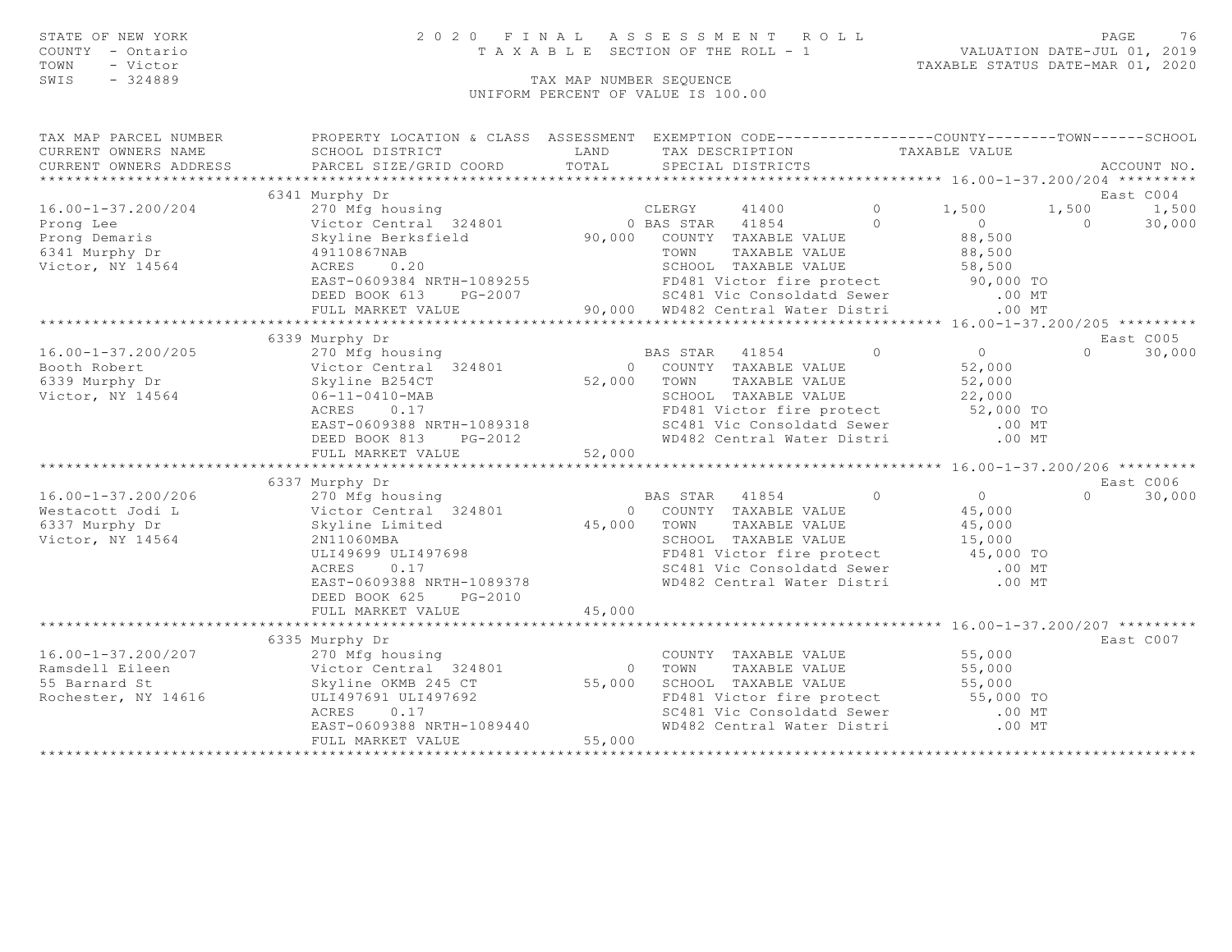| STATE OF NEW YORK | 2020 FINAL ASSESSMENT ROLL            |                                  | PAGE | 76 |
|-------------------|---------------------------------------|----------------------------------|------|----|
| COUNTY - Ontario  | T A X A B L E SECTION OF THE ROLL - 1 | VALUATION DATE-JUL 01, 2019      |      |    |
| TOWN<br>- Victor  |                                       | TAXABLE STATUS DATE-MAR 01, 2020 |      |    |
| SWIS<br>- 324889  | TAX MAP NUMBER SEQUENCE               |                                  |      |    |

TAX MAP PARCEL NUMBER PROPERTY LOCATION & CLASS ASSESSMENT EXEMPTION CODE-----------------COUNTY-------TOWN------SCHOOL

|                          | TAXABLE VALUE     | TAX DESCRIPTION                                                                                          | LAND          | SCHOOL DISTRICT                                                                                                                                                                                                                | CURRENT OWNERS NAME                |
|--------------------------|-------------------|----------------------------------------------------------------------------------------------------------|---------------|--------------------------------------------------------------------------------------------------------------------------------------------------------------------------------------------------------------------------------|------------------------------------|
| ACCOUNT NO.              |                   | SPECIAL DISTRICTS                                                                                        | TOTAL         | PARCEL SIZE/GRID COORD                                                                                                                                                                                                         | CURRENT OWNERS ADDRESS             |
|                          |                   |                                                                                                          |               |                                                                                                                                                                                                                                |                                    |
| East C004                |                   |                                                                                                          |               | 6341 Murphy Dr                                                                                                                                                                                                                 |                                    |
| 1,500 1,500 1,500        |                   | 41400 0                                                                                                  | <b>CLERGY</b> | 270 Mfg housing                                                                                                                                                                                                                | 16.00-1-37.200/204                 |
| $\overline{0}$<br>30,000 | $\overline{0}$    | $\overline{0}$                                                                                           |               |                                                                                                                                                                                                                                |                                    |
|                          |                   |                                                                                                          |               |                                                                                                                                                                                                                                |                                    |
|                          |                   |                                                                                                          |               |                                                                                                                                                                                                                                |                                    |
|                          |                   |                                                                                                          |               |                                                                                                                                                                                                                                | Victor, NY 14564 ACRES             |
|                          |                   |                                                                                                          |               |                                                                                                                                                                                                                                |                                    |
|                          |                   |                                                                                                          |               |                                                                                                                                                                                                                                |                                    |
|                          |                   |                                                                                                          |               | VICTOR CHARREL SAND TO DELL SAND TRAVEL SAND TRAVEL SAND TRAVEL SAND TRAVEL SAND TRAVEL SAND TRAVEL SAND SAND TRAVEL SAND SAND TRAVEL SAND SAND SAND TRAVEL SAND SAND SAND SAND SAND TRAVEL SAND SAND SAND SAND SAND SAND SAND |                                    |
|                          |                   |                                                                                                          |               |                                                                                                                                                                                                                                |                                    |
| East C005                |                   |                                                                                                          |               | 6339 Murphy Dr                                                                                                                                                                                                                 |                                    |
| 30,000<br>$\Omega$       | $\overline{0}$    | 41854<br>$\sim$ 0<br>BAS STAR                                                                            |               | 270 Mfg housing                                                                                                                                                                                                                | 16.00-1-37.200/205                 |
|                          | 52,000            | 0 COUNTY TAXABLE VALUE                                                                                   |               | Victor Central 324801                                                                                                                                                                                                          | Booth Robert                       |
|                          | 52,000            | TAXABLE VALUE                                                                                            | 52,000 TOWN   | Skyline B254CT<br>06-11-0410-MAB                                                                                                                                                                                               | 6339 Murphy Dr<br>Victor, NY 14564 |
|                          | 22,000            | SCHOOL TAXABLE VALUE                                                                                     |               |                                                                                                                                                                                                                                |                                    |
|                          |                   | FD481 Victor fire protect 52,000 TO                                                                      |               | 0.17<br>ACRES                                                                                                                                                                                                                  |                                    |
|                          |                   |                                                                                                          |               |                                                                                                                                                                                                                                |                                    |
|                          |                   |                                                                                                          |               |                                                                                                                                                                                                                                |                                    |
|                          |                   |                                                                                                          |               | EAST-0609388 NRTH-1089318 SC481 Vic Consoldatd Sewer .00 MT<br>DEED BOOK 813 PG-2012 62,000 WD482 Central Water Distri .00 MT<br>FULL MARKET VALUE 52,000                                                                      |                                    |
|                          |                   |                                                                                                          |               |                                                                                                                                                                                                                                |                                    |
| East C006                |                   |                                                                                                          |               | 6337 Murphy Dr                                                                                                                                                                                                                 |                                    |
| $\Omega$<br>30,000       |                   |                                                                                                          |               |                                                                                                                                                                                                                                |                                    |
|                          |                   |                                                                                                          |               |                                                                                                                                                                                                                                |                                    |
|                          |                   | TAXABLE VALUE                                                                                            |               | Skyline Limited $45,000$ TOWN<br>2N11060MBA 3CHOC                                                                                                                                                                              | 6337 Murphy Dr                     |
|                          | $43, -$<br>15,000 | SCHOOL TAXABLE VALUE                                                                                     |               | 2N11060MBA                                                                                                                                                                                                                     | Victor, NY 14564                   |
|                          |                   |                                                                                                          |               |                                                                                                                                                                                                                                |                                    |
|                          |                   |                                                                                                          |               |                                                                                                                                                                                                                                |                                    |
|                          |                   |                                                                                                          |               | ACRES<br>0.17                                                                                                                                                                                                                  |                                    |
|                          | $.00$ MT          | SC481 Vic Consoldatd Sewer .00 MT<br>WD482 Central Water Distri                                          |               | EAST-0609388 NRTH-1089378                                                                                                                                                                                                      |                                    |
|                          |                   |                                                                                                          |               | DEED BOOK 625 PG-2010                                                                                                                                                                                                          |                                    |
|                          |                   |                                                                                                          | 45,000        | FULL MARKET VALUE                                                                                                                                                                                                              |                                    |
|                          |                   |                                                                                                          |               |                                                                                                                                                                                                                                |                                    |
| East C007                |                   |                                                                                                          |               | 6335 Murphy Dr                                                                                                                                                                                                                 |                                    |
|                          |                   | COUNTY TAXABLE VALUE 55,000                                                                              |               | 270 Mfg housing                                                                                                                                                                                                                |                                    |
|                          |                   |                                                                                                          |               |                                                                                                                                                                                                                                |                                    |
|                          |                   |                                                                                                          |               |                                                                                                                                                                                                                                |                                    |
|                          |                   |                                                                                                          |               |                                                                                                                                                                                                                                |                                    |
|                          |                   | 0 TOWN TAXABLE VALUE 55,000<br>55,000 SCHOOL TAXABLE VALUE 55,000<br>FD481 Victor fire protect 55,000 TO |               |                                                                                                                                                                                                                                |                                    |
|                          |                   | SC481 Vic Consoldatd Sewer .00 MT<br>WD482 Central Water Distri .00 MT                                   | 55,000        | ACRES 0.17<br>EAST-0609388 NRTH-1089440                                                                                                                                                                                        | 16.00-1-37.200/207                 |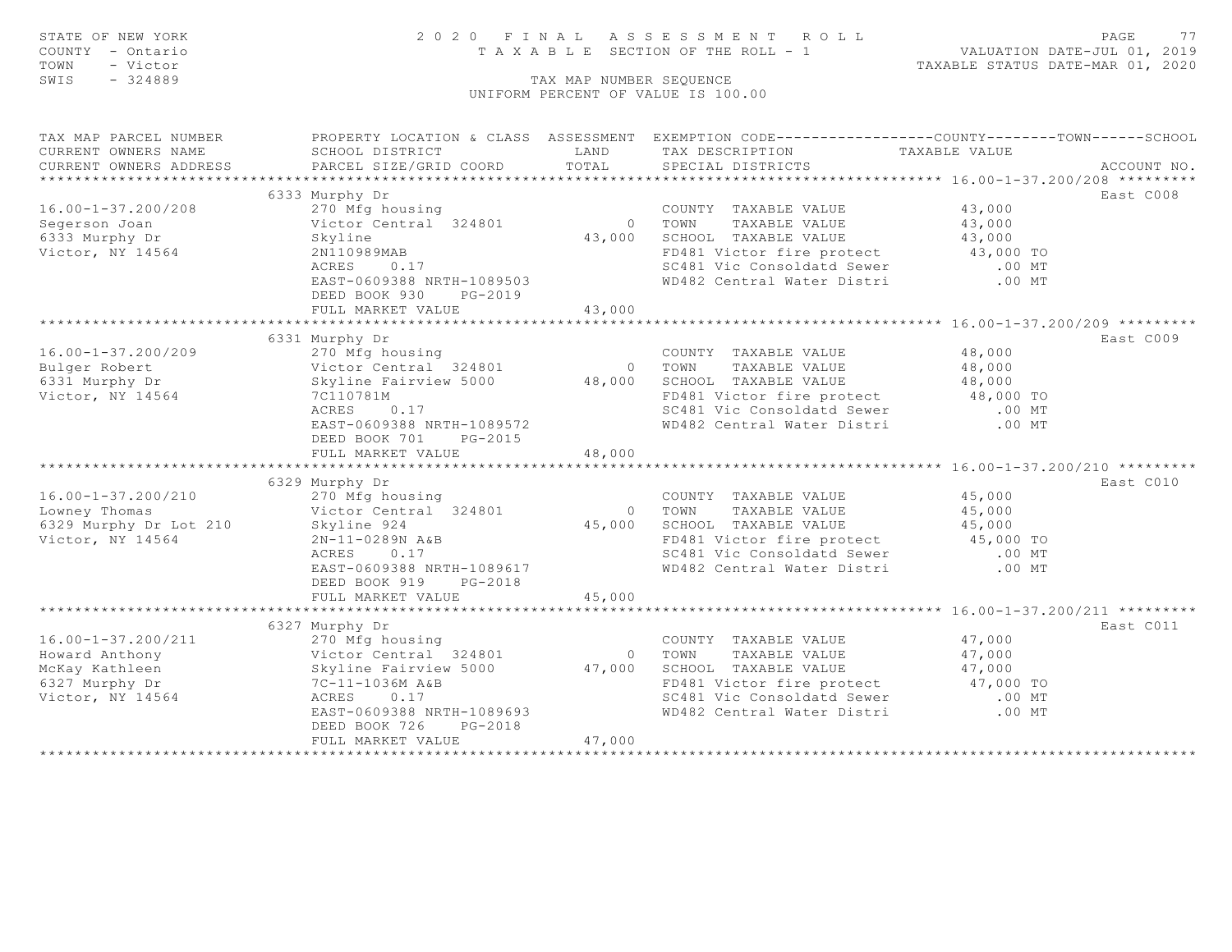| STATE OF NEW YORK<br>COUNTY - Ontario<br>TOWN<br>- Victor<br>SWIS<br>$-324889$                                                                                                                                                            |                                                                                                                                          | TAX MAP NUMBER SEQUENCE | 2020 FINAL ASSESSMENT ROLL<br>TAXABLE SECTION OF THE ROLL - 1 VALUATION DATE-JUL 01, 2019<br>UNIFORM PERCENT OF VALUE IS 100.00                                                    | TAXABLE STATUS DATE-MAR 01, 2020                     | PAGE<br>77  |
|-------------------------------------------------------------------------------------------------------------------------------------------------------------------------------------------------------------------------------------------|------------------------------------------------------------------------------------------------------------------------------------------|-------------------------|------------------------------------------------------------------------------------------------------------------------------------------------------------------------------------|------------------------------------------------------|-------------|
| TAX MAP PARCEL NUMBER<br>CURRENT OWNERS NAME                                                                                                                                                                                              | PROPERTY LOCATION & CLASS ASSESSMENT EXEMPTION CODE----------------COUNTY-------TOWN------SCHOOL<br>SCHOOL DISTRICT TAND TAX DESCRIPTION |                         |                                                                                                                                                                                    | TAXABLE VALUE                                        |             |
| CURRENT OWNERS ADDRESS                                                                                                                                                                                                                    | PARCEL SIZE/GRID COORD                                                                                                                   | TOTAL                   | SPECIAL DISTRICTS                                                                                                                                                                  |                                                      | ACCOUNT NO. |
|                                                                                                                                                                                                                                           |                                                                                                                                          |                         |                                                                                                                                                                                    |                                                      |             |
|                                                                                                                                                                                                                                           |                                                                                                                                          |                         |                                                                                                                                                                                    |                                                      | East C008   |
|                                                                                                                                                                                                                                           |                                                                                                                                          |                         |                                                                                                                                                                                    |                                                      |             |
|                                                                                                                                                                                                                                           |                                                                                                                                          |                         |                                                                                                                                                                                    |                                                      |             |
|                                                                                                                                                                                                                                           |                                                                                                                                          |                         |                                                                                                                                                                                    |                                                      |             |
|                                                                                                                                                                                                                                           |                                                                                                                                          |                         |                                                                                                                                                                                    |                                                      |             |
|                                                                                                                                                                                                                                           |                                                                                                                                          |                         |                                                                                                                                                                                    |                                                      |             |
| XAMIN'S COUNTY TAXABLE VALUE<br>XAMIN'S SURVEY AND TOWN TAXABLE VALUE<br>Segerson Joan Uictor Central 324801 0 TOWN TAXABLE VALUE<br>Segerson Joan Uictor Central 324801 0 TOWN TAXABLE VALUE<br>Segerson Joan Uictor Central 324801 4    |                                                                                                                                          |                         |                                                                                                                                                                                    |                                                      |             |
|                                                                                                                                                                                                                                           | FULL MARKET VALUE<br>*************************                                                                                           | 43,000                  |                                                                                                                                                                                    |                                                      |             |
|                                                                                                                                                                                                                                           |                                                                                                                                          |                         |                                                                                                                                                                                    | *********************** 16.00-1-37.200/209 ********* |             |
|                                                                                                                                                                                                                                           |                                                                                                                                          |                         |                                                                                                                                                                                    |                                                      | East C009   |
|                                                                                                                                                                                                                                           |                                                                                                                                          |                         |                                                                                                                                                                                    |                                                      |             |
|                                                                                                                                                                                                                                           |                                                                                                                                          |                         |                                                                                                                                                                                    |                                                      |             |
|                                                                                                                                                                                                                                           |                                                                                                                                          |                         |                                                                                                                                                                                    |                                                      |             |
|                                                                                                                                                                                                                                           |                                                                                                                                          |                         |                                                                                                                                                                                    |                                                      |             |
|                                                                                                                                                                                                                                           |                                                                                                                                          |                         |                                                                                                                                                                                    |                                                      |             |
|                                                                                                                                                                                                                                           |                                                                                                                                          |                         |                                                                                                                                                                                    |                                                      |             |
|                                                                                                                                                                                                                                           | FULL MARKET VALUE                                                                                                                        | 48,000                  |                                                                                                                                                                                    |                                                      |             |
|                                                                                                                                                                                                                                           |                                                                                                                                          |                         |                                                                                                                                                                                    |                                                      |             |
|                                                                                                                                                                                                                                           | 6329 Murphy Dr                                                                                                                           |                         |                                                                                                                                                                                    |                                                      | East C010   |
|                                                                                                                                                                                                                                           |                                                                                                                                          |                         | COUNTY TAXABLE VALUE                                                                                                                                                               | 45,000                                               |             |
| 16.00-1-37.200/210 270 Mfg housing<br>Lowney Thomas Victor Central 324801<br>6329 Murphy Dr Lot 210 Skyline 924<br>Victor, NY 14564 2N-11-0289N A&B                                                                                       |                                                                                                                                          |                         |                                                                                                                                                                                    |                                                      |             |
|                                                                                                                                                                                                                                           |                                                                                                                                          |                         |                                                                                                                                                                                    |                                                      |             |
|                                                                                                                                                                                                                                           | 2N-11-0289N A&B<br>ACRES 0.17                                                                                                            |                         |                                                                                                                                                                                    |                                                      |             |
|                                                                                                                                                                                                                                           | EAST-0609388 NRTH-1089617                                                                                                                |                         | 0 TOWN TAXABLE VALUE 45,000<br>45,000 SCHOOL TAXABLE VALUE 45,000<br>FD481 Victor fire protect 45,000 TO<br>SC481 Vic Consoldatd Sewer .00 MT<br>WD482 Central Water Distri .00 MT |                                                      |             |
|                                                                                                                                                                                                                                           | DEED BOOK 919 PG-2018                                                                                                                    |                         |                                                                                                                                                                                    |                                                      |             |
|                                                                                                                                                                                                                                           | FULL MARKET VALUE                                                                                                                        | 45,000                  |                                                                                                                                                                                    |                                                      |             |
|                                                                                                                                                                                                                                           |                                                                                                                                          |                         |                                                                                                                                                                                    |                                                      |             |
|                                                                                                                                                                                                                                           |                                                                                                                                          |                         |                                                                                                                                                                                    |                                                      | East C011   |
|                                                                                                                                                                                                                                           |                                                                                                                                          |                         |                                                                                                                                                                                    |                                                      |             |
| 6327 Murphy Dr<br>Howard Anthony (16.00-1-37.200/211 270 Mfg housing<br>Howard Anthony Victor Central 324801 0 TOWN TAXABLE VALUE 47,000<br>McKay Kathleen Skyline Fairview 5000 47,000 SCHOOL TAXABLE VALUE 47,000<br>6327 Murphy Dr<br> |                                                                                                                                          |                         |                                                                                                                                                                                    |                                                      |             |
|                                                                                                                                                                                                                                           |                                                                                                                                          |                         |                                                                                                                                                                                    |                                                      |             |
|                                                                                                                                                                                                                                           |                                                                                                                                          |                         |                                                                                                                                                                                    |                                                      |             |
|                                                                                                                                                                                                                                           |                                                                                                                                          |                         |                                                                                                                                                                                    |                                                      |             |
|                                                                                                                                                                                                                                           |                                                                                                                                          |                         |                                                                                                                                                                                    |                                                      |             |
|                                                                                                                                                                                                                                           | DEED BOOK 726<br>PG-2018                                                                                                                 |                         |                                                                                                                                                                                    |                                                      |             |
|                                                                                                                                                                                                                                           | FULL MARKET VALUE                                                                                                                        | 47,000                  |                                                                                                                                                                                    |                                                      |             |
|                                                                                                                                                                                                                                           |                                                                                                                                          |                         |                                                                                                                                                                                    |                                                      |             |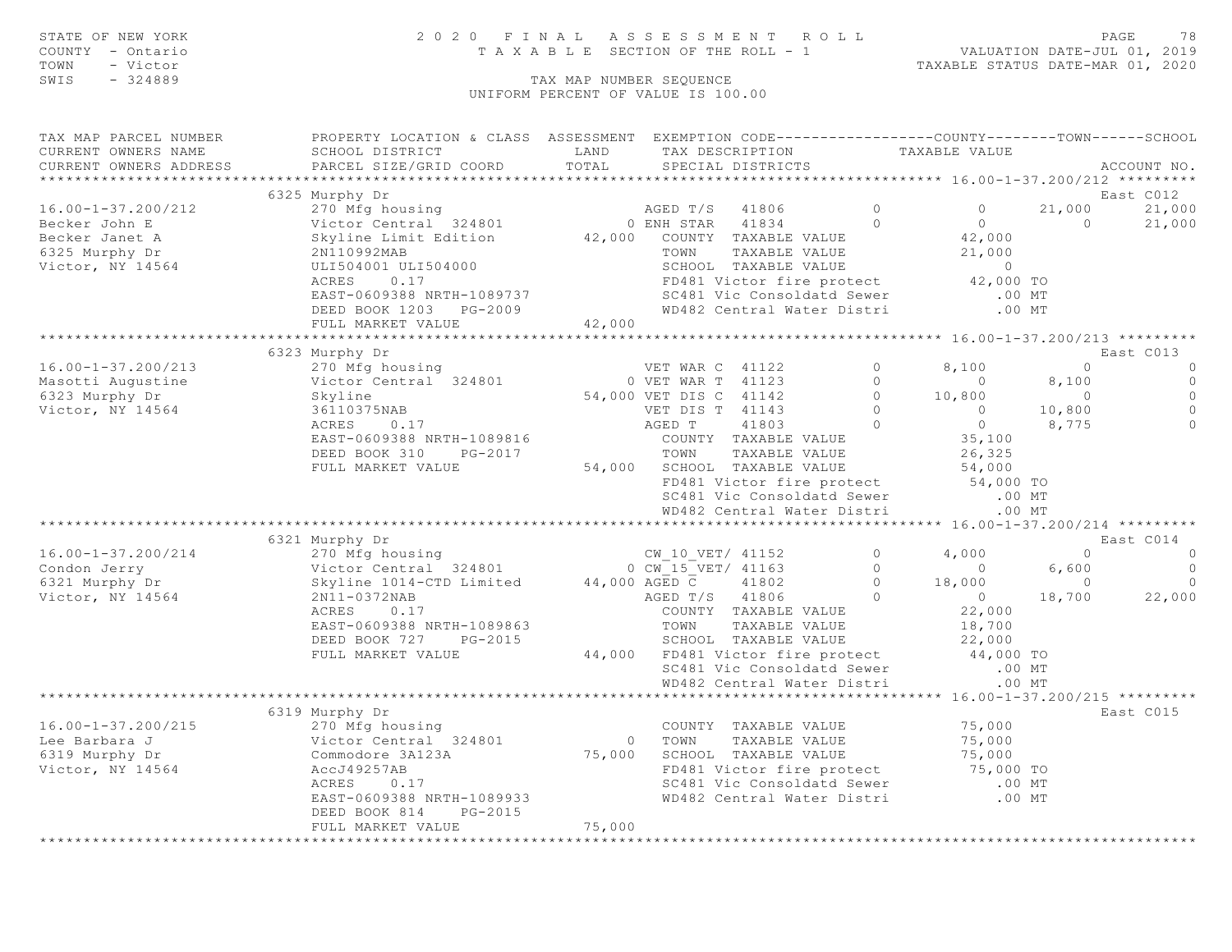| STATE OF NEW YORK                  |                                                                                                                                                                                                                                       |                                    |                | 2020 FINAL ASSESSMENT ROLL                               |                                                                                                                                     |                  | PAGE<br>78     |
|------------------------------------|---------------------------------------------------------------------------------------------------------------------------------------------------------------------------------------------------------------------------------------|------------------------------------|----------------|----------------------------------------------------------|-------------------------------------------------------------------------------------------------------------------------------------|------------------|----------------|
| COUNTY - Ontario                   |                                                                                                                                                                                                                                       |                                    |                | TAXABLE SECTION OF THE ROLL - 1                          | VALUATION DATE-JUL 01, 2019<br>TAXABLE STATUS DATE-MAR 01, 2020                                                                     |                  |                |
| TOWN<br>- Victor                   |                                                                                                                                                                                                                                       |                                    |                |                                                          |                                                                                                                                     |                  |                |
| SWIS<br>$-324889$                  |                                                                                                                                                                                                                                       | TAX MAP NUMBER SEQUENCE            |                |                                                          |                                                                                                                                     |                  |                |
|                                    |                                                                                                                                                                                                                                       | UNIFORM PERCENT OF VALUE IS 100.00 |                |                                                          |                                                                                                                                     |                  |                |
|                                    |                                                                                                                                                                                                                                       |                                    |                |                                                          |                                                                                                                                     |                  |                |
| TAX MAP PARCEL NUMBER              | PROPERTY LOCATION & CLASS ASSESSMENT EXEMPTION CODE----------------COUNTY-------TOWN------SCHOOL                                                                                                                                      |                                    |                |                                                          |                                                                                                                                     |                  |                |
| CURRENT OWNERS NAME                | SCHOOL DISTRICT                                                                                                                                                                                                                       | LAND                               |                | TAX DESCRIPTION TAXABLE VALUE                            |                                                                                                                                     |                  |                |
| CURRENT OWNERS ADDRESS             | PARCEL SIZE/GRID COORD                                                                                                                                                                                                                | TOTAL                              |                | SPECIAL DISTRICTS                                        |                                                                                                                                     |                  | ACCOUNT NO.    |
|                                    |                                                                                                                                                                                                                                       |                                    |                |                                                          |                                                                                                                                     |                  |                |
|                                    | 6325 Murphy Dr                                                                                                                                                                                                                        |                                    |                |                                                          |                                                                                                                                     |                  | East C012      |
| 16.00-1-37.200/212                 | 0323 Murphy Dr.<br>270 Mfg housing<br>Victor Central 324801 0 CDNH STAR 41834 0 0 0<br>Skyline Limit Edition 42,000 COUNTY TAXABLE VALUE 42,000<br>2N110992MAB 21,000 TOWN TAXABLE VALUE 21,000                                       |                                    |                |                                                          |                                                                                                                                     | 21,000           | 21,000         |
| Becker John E                      |                                                                                                                                                                                                                                       |                                    |                |                                                          |                                                                                                                                     | $\overline{0}$ 0 | 21,000         |
| Becker Janet A                     |                                                                                                                                                                                                                                       |                                    |                |                                                          |                                                                                                                                     |                  |                |
| 6325 Murphy Dr<br>Victor, NY 14564 |                                                                                                                                                                                                                                       |                                    |                |                                                          |                                                                                                                                     |                  |                |
|                                    | ULI504001 ULI504000<br>ACRES 0.17                                                                                                                                                                                                     |                                    |                |                                                          | SCHOOL TAXABLE VALUE 0<br>FD481 Victor fire protect 42,000 TO                                                                       |                  |                |
|                                    |                                                                                                                                                                                                                                       |                                    |                |                                                          |                                                                                                                                     |                  |                |
|                                    | EAST-0609388 NRTH-1089737                                                                                                                                                                                                             |                                    |                | WD482 Central Water Distri                               | SC481 Vic Consoldatd Sewer .00 MT                                                                                                   |                  |                |
|                                    | DEED BOOK 1203 PG-2009                                                                                                                                                                                                                |                                    |                |                                                          | .00MT                                                                                                                               |                  |                |
|                                    |                                                                                                                                                                                                                                       |                                    |                |                                                          |                                                                                                                                     |                  |                |
|                                    |                                                                                                                                                                                                                                       |                                    |                |                                                          |                                                                                                                                     |                  | East C013      |
|                                    |                                                                                                                                                                                                                                       |                                    |                |                                                          |                                                                                                                                     |                  | $\overline{0}$ |
|                                    |                                                                                                                                                                                                                                       |                                    |                |                                                          |                                                                                                                                     |                  | $\circ$        |
|                                    |                                                                                                                                                                                                                                       |                                    |                |                                                          |                                                                                                                                     |                  |                |
|                                    |                                                                                                                                                                                                                                       |                                    |                |                                                          |                                                                                                                                     |                  | $\circ$        |
|                                    |                                                                                                                                                                                                                                       |                                    |                |                                                          |                                                                                                                                     |                  | $\circ$        |
|                                    |                                                                                                                                                                                                                                       |                                    |                |                                                          |                                                                                                                                     |                  |                |
|                                    | DEED BOOK 310 PG-2017                                                                                                                                                                                                                 |                                    | TOWN           | TAXABLE VALUE                                            | 26,325                                                                                                                              |                  |                |
|                                    | FULL MARKET VALUE                                                                                                                                                                                                                     |                                    |                | TOWN TAXABLE VALUE<br>54,000 SCHOOL TAXABLE VALUE        | 54,000                                                                                                                              |                  |                |
|                                    |                                                                                                                                                                                                                                       |                                    |                |                                                          | FD481 Victor fire protect 54,000 TO                                                                                                 |                  |                |
|                                    |                                                                                                                                                                                                                                       |                                    |                | SC481 Vic Consoldatd Sewer<br>WD482 Central Water Distri | .00 MT                                                                                                                              |                  |                |
|                                    |                                                                                                                                                                                                                                       |                                    |                |                                                          | .00MT                                                                                                                               |                  |                |
|                                    |                                                                                                                                                                                                                                       |                                    |                |                                                          |                                                                                                                                     |                  |                |
|                                    | 6321 Murphy Dr                                                                                                                                                                                                                        |                                    |                |                                                          |                                                                                                                                     |                  | East C014      |
|                                    | 16.00-1-37.200/214<br>Condon Jerry 14152 (16.00-1-37.200/214 270 Mfg housing CONDITY 41152 0 4,000<br>Condon Jerry Victor Central 324801 0 CW_15_VET/41163 0 0<br>Skyline 1014-CTD Limited 44,000 AGED C 41802 0 18,000<br>Victor, NY |                                    |                |                                                          |                                                                                                                                     | $\bigcirc$       | $\overline{0}$ |
|                                    |                                                                                                                                                                                                                                       |                                    |                |                                                          |                                                                                                                                     |                  | $\circ$        |
| 6321 Murphy Dr<br>Victor, NY 14564 |                                                                                                                                                                                                                                       |                                    |                |                                                          |                                                                                                                                     |                  | $\circ$        |
|                                    | 2N11-0372NAB                                                                                                                                                                                                                          |                                    | AGED T/S 41806 |                                                          | $0$<br>$0$<br>$0$<br>$18,000$<br>$0$<br>$18,700$                                                                                    |                  | 22,000         |
|                                    | ACRES<br>0.17                                                                                                                                                                                                                         |                                    |                | COUNTY TAXABLE VALUE                                     | 22,000<br>18,700                                                                                                                    |                  |                |
|                                    | EAST-0609388 NRTH-1089863                                                                                                                                                                                                             |                                    | TOWN           | TAXABLE VALUE                                            |                                                                                                                                     |                  |                |
|                                    | DEED BOOK 727 PG-2015                                                                                                                                                                                                                 |                                    |                |                                                          |                                                                                                                                     |                  |                |
|                                    | FULL MARKET VALUE                                                                                                                                                                                                                     |                                    |                |                                                          |                                                                                                                                     |                  |                |
|                                    |                                                                                                                                                                                                                                       |                                    |                |                                                          | EUNIN FRANCE VALUE<br>SCHOOL TAXABLE VALUE 22,000<br>44,000 FD481 Victor fire protect 44,000 TO<br>SC481 Vic Consoldatd Sewer 00 MT |                  |                |
|                                    |                                                                                                                                                                                                                                       |                                    |                | WD482 Central Water Distri                               | $.00$ MT                                                                                                                            |                  |                |
|                                    | 6319 Murphy Dr                                                                                                                                                                                                                        |                                    |                |                                                          |                                                                                                                                     |                  | East C015      |
|                                    | 16.00-1-37.200/215 270 Mfg housing                                                                                                                                                                                                    |                                    |                | COUNTY TAXABLE VALUE                                     | 75,000                                                                                                                              |                  |                |
| Lee Barbara J                      | Victor Central 324801                                                                                                                                                                                                                 | $\circ$                            | TOWN           | TAXABLE VALUE                                            | 75,000                                                                                                                              |                  |                |
| 6319 Murphy Dr                     | Commodore 3A123A                                                                                                                                                                                                                      | 75,000                             |                | SCHOOL TAXABLE VALUE                                     | 75,000                                                                                                                              |                  |                |
| Victor, NY 14564                   | AccJ49257AB                                                                                                                                                                                                                           |                                    |                | FD481 Victor fire protect                                | 75,000 TO                                                                                                                           |                  |                |
|                                    | ACRES<br>0.17                                                                                                                                                                                                                         |                                    |                | SC481 Vic Consoldatd Sewer                               | $.00$ MT                                                                                                                            |                  |                |
|                                    | EAST-0609388 NRTH-1089933                                                                                                                                                                                                             |                                    |                | WD482 Central Water Distri                               | $.00$ MT                                                                                                                            |                  |                |
|                                    | DEED BOOK 814<br>PG-2015                                                                                                                                                                                                              |                                    |                |                                                          |                                                                                                                                     |                  |                |
|                                    | FULL MARKET VALUE                                                                                                                                                                                                                     | 75,000                             |                |                                                          |                                                                                                                                     |                  |                |
|                                    |                                                                                                                                                                                                                                       |                                    |                |                                                          |                                                                                                                                     |                  |                |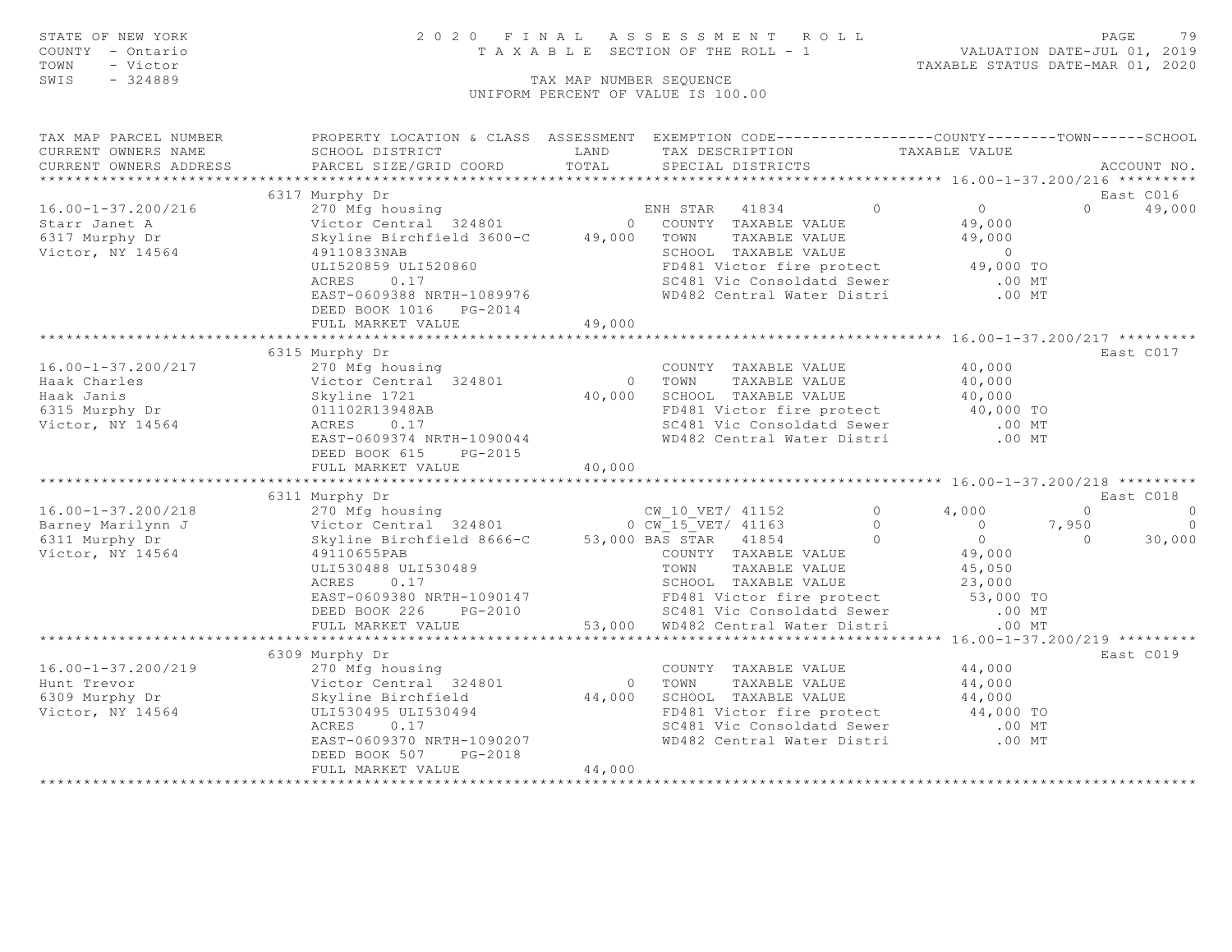| STATE OF NEW YORK<br>COUNTY - Ontario<br>TOWN<br>- Victor<br>SWIS<br>$-324889$         |                                                                                                                                                                                                                                                                                                                                                                                          | TAX MAP NUMBER SEOUENCE                       | 2020 FINAL ASSESSMENT ROLL<br>T A X A B L E SECTION OF THE ROLL - 1                                                                                                                                                                                                                                            | VALUATION DATE-JUL 01, 2019<br>TAXABLE STATUS DATE-MAR 01, 2020                                             | PAGE<br>79                                                           |
|----------------------------------------------------------------------------------------|------------------------------------------------------------------------------------------------------------------------------------------------------------------------------------------------------------------------------------------------------------------------------------------------------------------------------------------------------------------------------------------|-----------------------------------------------|----------------------------------------------------------------------------------------------------------------------------------------------------------------------------------------------------------------------------------------------------------------------------------------------------------------|-------------------------------------------------------------------------------------------------------------|----------------------------------------------------------------------|
|                                                                                        |                                                                                                                                                                                                                                                                                                                                                                                          |                                               | UNIFORM PERCENT OF VALUE IS 100.00                                                                                                                                                                                                                                                                             |                                                                                                             |                                                                      |
| TAX MAP PARCEL NUMBER<br>CURRENT OWNERS NAME<br>CURRENT OWNERS ADDRESS                 | SCHOOL DISTRICT<br>PARCEL SIZE/GRID COORD                                                                                                                                                                                                                                                                                                                                                | <b>EXAMPLE DESCRIPTION OF A LAND</b><br>TOTAL | PROPERTY LOCATION & CLASS ASSESSMENT EXEMPTION CODE----------------COUNTY-------TOWN-----SCHOOL<br>TAX DESCRIPTION<br>SPECIAL DISTRICTS                                                                                                                                                                        | TAXABLE VALUE                                                                                               | ACCOUNT NO.                                                          |
|                                                                                        | 6317 Murphy Dr                                                                                                                                                                                                                                                                                                                                                                           |                                               |                                                                                                                                                                                                                                                                                                                |                                                                                                             | East C016                                                            |
| 16.00-1-37.200/216<br>Starr Janet A<br>6317 Murphy Dr<br>Victor, NY 14564              | 270 Mfg housing<br>270 Mfg housing<br>270 Mfg housing<br>270 Mfg housing<br>271 Mfg housing<br>281 Mfg 124801<br>281 Mfg 124801<br>291 Mfg 2010 Mfg 2010 Mfg 2010<br>291 Mfg 2010 Mfg 2010<br>2010 Mfg 2021<br>2010 Mfg 2021<br>2010 Mfg 2021<br>2010<br>49110833NAB<br>ULI520859 ULI520860<br>ACRES 0.17<br>EAST-0609388 NRTH-1089976<br>DEED BOOK 1016    PG-2014<br>FULL MARKET VALUE | 49,000                                        | $\Omega$<br>SCHOOL TAXABLE VALUE<br>SCHOOL TAXABLE VALUE<br>FD481 Victor fire protect<br>SC481 Vic Consoldatd Sewer<br>WD482 Central Water Distri                                                                                                                                                              | $\overline{0}$<br>49,000<br>49,000<br>$\sim$ 0<br>49,000 TO<br>$.00$ MT<br>.00 MT                           | $\Omega$<br>49,000                                                   |
|                                                                                        | ***********************                                                                                                                                                                                                                                                                                                                                                                  | ****************                              |                                                                                                                                                                                                                                                                                                                |                                                                                                             |                                                                      |
| 16.00-1-37.200/217<br>Haak Charles<br>Haak Janis<br>6315 Murphy Dr<br>Victor, NY 14564 | 6315 Murphy Dr<br>270 Mfg housing<br>Victor Central 324801<br>Skyline 1721<br>011102R13948AB<br>ACRES 0.17<br>EAST-0609374 NRTH-1090044<br>DEED BOOK 615 PG-2015<br>FULL MARKET VALUE                                                                                                                                                                                                    | 40,000                                        | COUNTY TAXABLE VALUE<br>0 TOWN<br>TAXABLE VALUE<br>U TOWN TAXABLE VALUE<br>40,000 SCHOOL TAXABLE VALUE<br>FD481 Victor fire protect<br>SC481 Vic Consoldatd Sewer<br>WD482 Central Water Distri                                                                                                                | $40,000$<br>$40,000$<br>$40,000$<br>$40,000$ TO<br>.00 MT<br>.00 MT                                         | East C017                                                            |
|                                                                                        | 6311 Murphy Dr                                                                                                                                                                                                                                                                                                                                                                           |                                               |                                                                                                                                                                                                                                                                                                                |                                                                                                             | East C018                                                            |
| $16.00 - 1 - 37.200 / 218$<br>Barney Marilynn J<br>6311 Murphy Dr<br>Victor, NY 14564  | ULI530488 ULI530489<br>ACRES 0.17<br>0.17<br>ACRES<br>EAST-0609380 NRTH-1090147<br>DEED BOOK 226<br>PG-2010                                                                                                                                                                                                                                                                              |                                               | 270 Mfg housing<br>Victor Central 324801 0 CW_15_VET/41163 0<br>Skyline Birchfield 8666-C 53,000 BAS STAR 41854 0<br>49110655PAB 600NTY TAXABLE VALUE<br>COUNTY TAXABLE VALUE<br>TOWN TAXABLE VALUE<br>SCHOOL TAXABLE VALUE<br>SCHOOL TAXABLE VALUE<br>FD481 Victor fire protect<br>SC481 Vic Consoldatd Sewer | 4,000<br>$\overline{0}$<br>$\begin{array}{c}0\\49,000\end{array}$<br>45,050<br>23,000<br>53,000 TO<br>.00MT | $\Omega$<br>$\Omega$<br>$\circ$<br>7,950<br>$\overline{0}$<br>30,000 |
|                                                                                        | FULL MARKET VALUE                                                                                                                                                                                                                                                                                                                                                                        |                                               | 53,000 WD482 Central Water Distri                                                                                                                                                                                                                                                                              | $.00$ MT                                                                                                    |                                                                      |
| $16.00 - 1 - 37.200 / 219$<br>Hunt Trevor<br>6309 Murphy Dr<br>Victor, NY 14564        | 6309 Murphy Dr<br>270 Mfg housing<br>Victor Central 324801<br>Skyline Birchfield<br>ULI530495 ULI530494<br>ACRES<br>0.17                                                                                                                                                                                                                                                                 |                                               | COUNTY TAXABLE VALUE<br>0 TOWN TAXABLE VALUE<br>44,000 SCHOOL TAXABLE VALUE<br>FD481 Victor fire protect 44,000 TO<br>SC481 Vic Consoldatd Sewer<br>WD482 Central Water Distri                                                                                                                                 | 44,000<br>44,000<br>44,000<br>.00 MT                                                                        | East C019                                                            |
|                                                                                        | EAST-0609370 NRTH-1090207<br>DEED BOOK 507<br>PG-2018<br>FULL MARKET VALUE                                                                                                                                                                                                                                                                                                               | 44,000                                        |                                                                                                                                                                                                                                                                                                                | $.00$ MT                                                                                                    |                                                                      |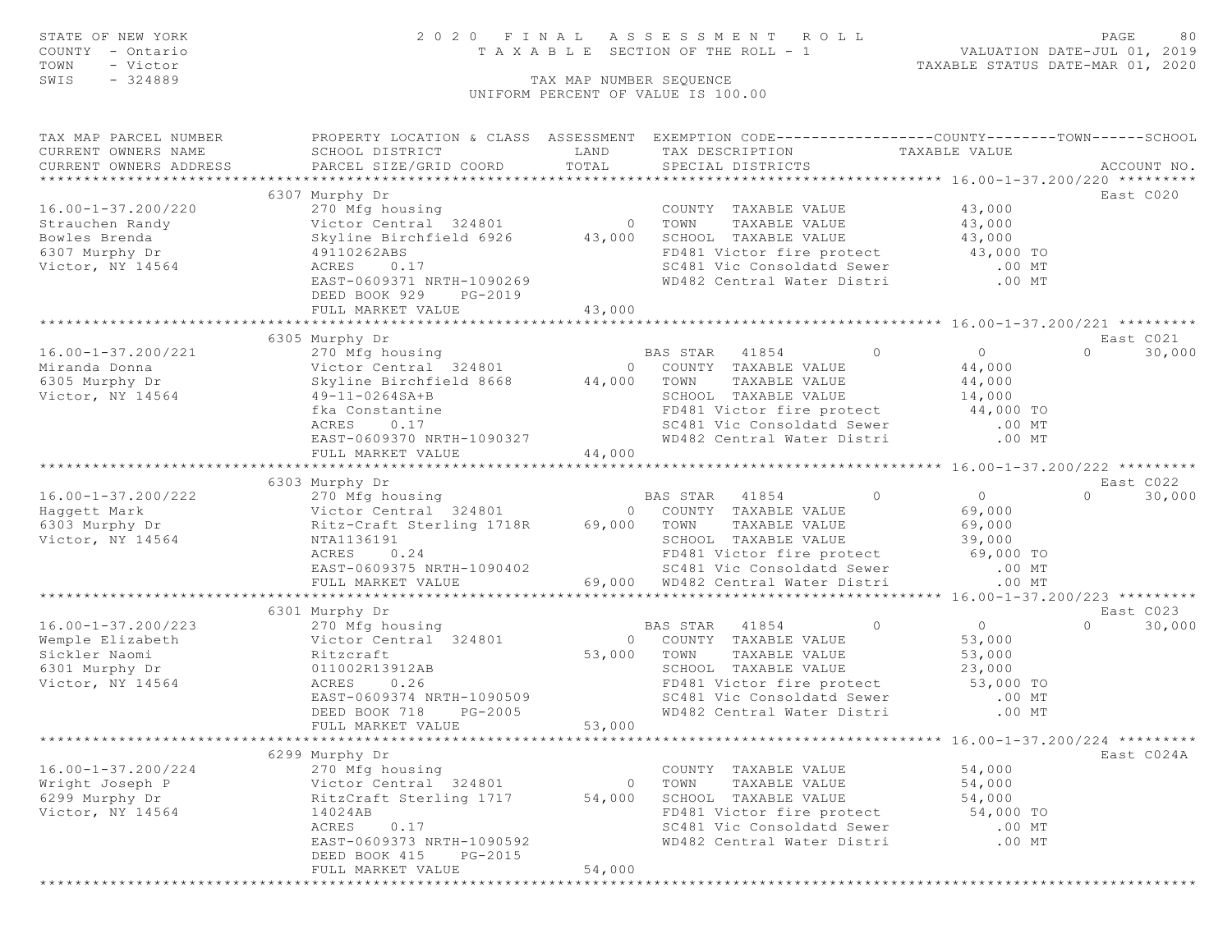| STATE OF NEW YORK<br>COUNTY - Ontario<br>TOWN<br>- Victor<br>$-324889$<br>SWIS                       | 2020 FINAL                                                                                                                                                                                                                                                                                                                                        | TAX MAP NUMBER SEQUENCE | A S S E S S M E N T<br>ROLL<br>T A X A B L E SECTION OF THE ROLL - 1<br>UNIFORM PERCENT OF VALUE IS 100.00                                                                                                                            | VALUATION DATE-JUL 01, 2019<br>TAXABLE STATUS DATE-MAR 01, 2020                | PAGE<br>80                    |
|------------------------------------------------------------------------------------------------------|---------------------------------------------------------------------------------------------------------------------------------------------------------------------------------------------------------------------------------------------------------------------------------------------------------------------------------------------------|-------------------------|---------------------------------------------------------------------------------------------------------------------------------------------------------------------------------------------------------------------------------------|--------------------------------------------------------------------------------|-------------------------------|
| TAX MAP PARCEL NUMBER<br>CURRENT OWNERS NAME<br>CURRENT OWNERS ADDRESS                               | SCHOOL DISTRICT<br>PARCEL SIZE/GRID COORD                                                                                                                                                                                                                                                                                                         | LAND<br>TOTAL           | PROPERTY LOCATION & CLASS ASSESSMENT EXEMPTION CODE----------------COUNTY-------TOWN------SCHOOL<br>TAX DESCRIPTION TAXABLE VALUE<br>SPECIAL DISTRICTS                                                                                |                                                                                | ACCOUNT NO.                   |
| $16.00 - 1 - 37.200 / 220$<br>Strauchen Randy<br>Bowles Brenda<br>6307 Murphy Dr<br>Victor, NY 14564 | 6307 Murphy Dr<br>270 Mfg housing<br>Victor Central 324801<br>49110262ABS<br>ACRES<br>0.17<br>EAST-0609371 NRTH-1090269<br>DEED BOOK 929<br>PG-2019<br>FULL MARKET VALUE                                                                                                                                                                          | 0 TOWN<br>43,000        | COUNTY TAXABLE VALUE<br>TAXABLE VALUE<br>FD481 Victor fire protect 43,000 TO<br>SC481 Vic Consoldatd Sewer .00 MT<br>WD482 Central Water Distri                                                                                       | 43,000<br>43,000<br>43,000<br>.00 MT                                           | East C020                     |
|                                                                                                      |                                                                                                                                                                                                                                                                                                                                                   |                         |                                                                                                                                                                                                                                       |                                                                                |                               |
| 16.00-1-37.200/221<br>Miranda Donna<br>6305 Murphy Dr<br>Victor, NY 14564                            | 6305 Murphy Dr<br>nurphy Dr<br>270 Mfg housing<br>Victor Central 324801<br>Victor Central 324801                    0    COUNTY  TAXABLE VALUE<br>Skyline Birchfield 8668         44,000   TOWN    TAXABLE VALUE<br>$49 - 11 - 0264$ SA+B<br>fka Constantine<br>$\overline{a}$<br>ACRES<br>0.17<br>EAST-0609370 NRTH-1090327<br>FULL MARKET VALUE | 44,000                  | BAS STAR 41854 0<br>TAXABLE VALUE<br>SCHOOL TAXABLE VALUE<br>FD481 Victor fire protect 44,000 TO<br>SC481 Vic Consoldatd Sewer .00 MT<br>WD482 Central Water Distri                                                                   | $\overline{0}$<br>44,000<br>44,000<br>14,000<br>$.00$ MT                       | East C021<br>30,000<br>$\cap$ |
|                                                                                                      |                                                                                                                                                                                                                                                                                                                                                   |                         |                                                                                                                                                                                                                                       |                                                                                |                               |
|                                                                                                      | 6303 Murphy Dr                                                                                                                                                                                                                                                                                                                                    |                         |                                                                                                                                                                                                                                       |                                                                                | East C022                     |
| $16.00 - 1 - 37.200 / 222$<br>Haggett Mark<br>6303 Murphy Dr<br>Victor, NY 14564                     | NTA1136191<br>ACRES<br>0.24<br>EAST-0609375 NRTH-1090402<br>FULL MARKET VALUE                                                                                                                                                                                                                                                                     |                         | $\circ$<br>SCHOOL TAXABLE VALUE<br>FD481 Victor fire protect 69,000 TO<br>SC481 Vic Consoldatd Sewer<br>69,000 WD482 Central Water Distri                                                                                             | $\overline{0}$<br>69,000<br>69,000<br>39,000<br>39,000<br>$.00$ MT<br>$.00$ MT | 30,000<br>$\Omega$            |
|                                                                                                      |                                                                                                                                                                                                                                                                                                                                                   |                         |                                                                                                                                                                                                                                       |                                                                                |                               |
|                                                                                                      | 6301 Murphy Dr                                                                                                                                                                                                                                                                                                                                    |                         |                                                                                                                                                                                                                                       |                                                                                | East C023                     |
| Sickler Naomi<br>6301 Murphy Dr<br>Victor, NY 14564                                                  | 16.00-1-37.200/223 270 Mfg housing<br>Wemple Elizabeth Victor Central 324801<br>Ritzcraft<br>011002R13912AB<br>0.26<br>ACRES<br>EAST-0609374 NRTH-1090509<br>PG-2005<br>DEED BOOK 718                                                                                                                                                             | 53,000 TOWN             | $\circ$<br>BAS STAR<br>41854<br>0 COUNTY TAXABLE VALUE<br>TAXABLE VALUE<br>SCHOOL TAXABLE VALUE<br>EXAMPLE AND SURVEY CONTROLLED AND TO STREET STREET STREET STREET SO TO<br>SC481 Vic Consoldatd Sewer<br>WD482 Central Water Distri | $\overline{0}$<br>53,000<br>53,000<br>23,000<br>$.00$ MT<br>$.00$ MT           | 30,000<br>$\Omega$            |
|                                                                                                      | FULL MARKET VALUE                                                                                                                                                                                                                                                                                                                                 | 53,000                  |                                                                                                                                                                                                                                       |                                                                                |                               |
|                                                                                                      | 6299 Murphy Dr                                                                                                                                                                                                                                                                                                                                    |                         |                                                                                                                                                                                                                                       |                                                                                | East C024A                    |
| 16.00-1-37.200/224<br>Wright Joseph P<br>6299 Murphy Dr<br>Victor, NY 14564                          | 270 Mfg housing<br>Victor Central 324801<br>RitzCraft Sterling 1717<br>14024AB<br>0.17<br>ACRES<br>EAST-0609373 NRTH-1090592<br>DEED BOOK 415 PG-2015<br>FULL MARKET VALUE                                                                                                                                                                        | 54,000                  | COUNTY TAXABLE VALUE<br>0 TOWN<br>TAXABLE VALUE<br>54,000 SCHOOL TAXABLE VALUE<br>FD481 Victor fire protect<br>SC481 Vic Consoldatd Sewer<br>WD482 Central Water Distri                                                               | 54,000<br>54,000<br>54,000<br>54,000 TO<br>$.00$ MT<br>$.00$ MT                |                               |
|                                                                                                      |                                                                                                                                                                                                                                                                                                                                                   |                         |                                                                                                                                                                                                                                       |                                                                                |                               |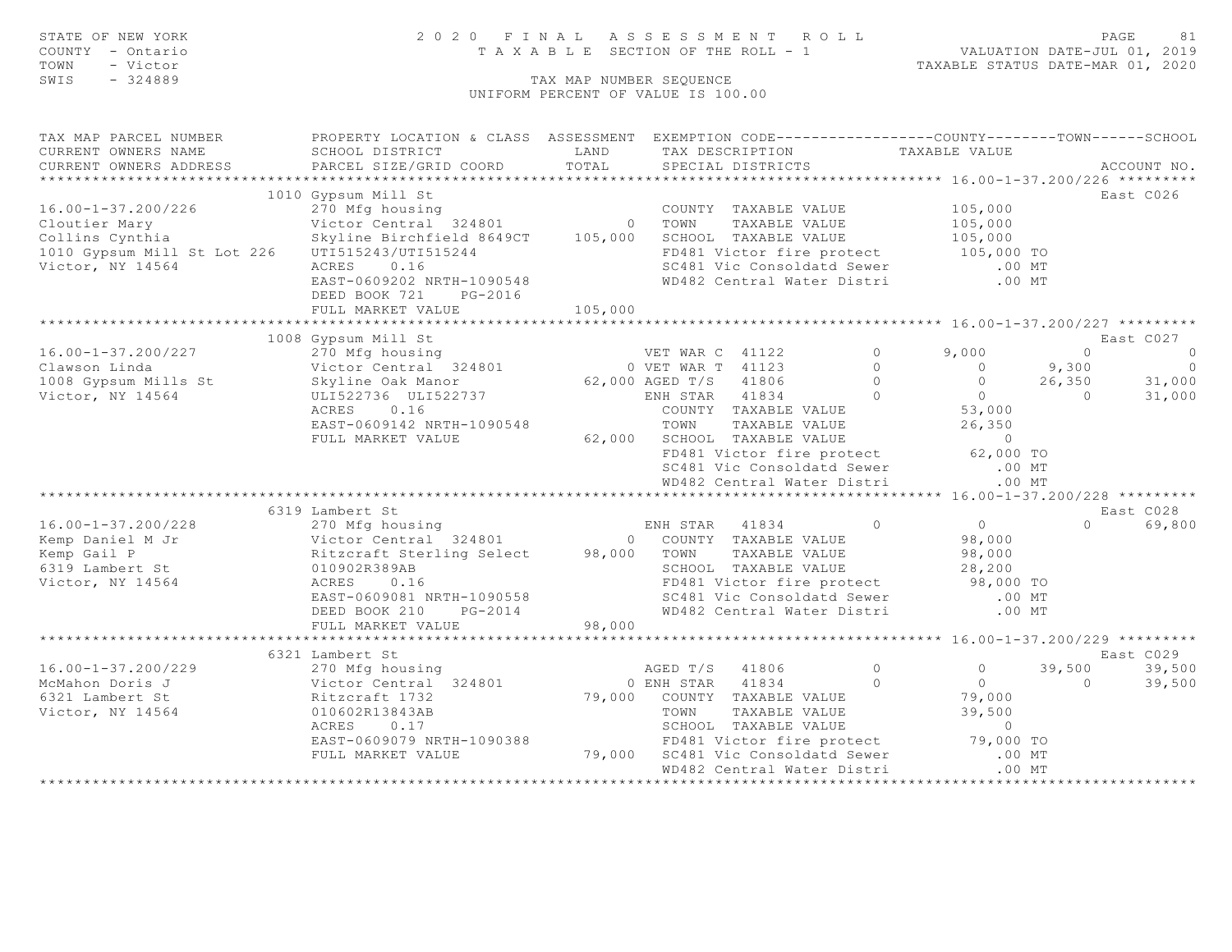| STATE OF NEW YORK<br>COUNTY - Ontario<br>TOWN<br>- Victor<br>$-324889$<br>SWIS                                                                                                                                                                                     |                                                                                                                                                                                                                                                                                                                     | TAX MAP NUMBER SEOUENCE | 2020 FINAL ASSESSMENT ROLL<br>T A X A B L E SECTION OF THE ROLL - 1<br>UNIFORM PERCENT OF VALUE IS 100.00                                                                                                                                                                                                                   | VALUATION DATE-JUL 01, 2019<br>TAXABLE STATUS DATE-MAR 01, 2020                                                                                                                             | PAGE                                                       | 81                                           |
|--------------------------------------------------------------------------------------------------------------------------------------------------------------------------------------------------------------------------------------------------------------------|---------------------------------------------------------------------------------------------------------------------------------------------------------------------------------------------------------------------------------------------------------------------------------------------------------------------|-------------------------|-----------------------------------------------------------------------------------------------------------------------------------------------------------------------------------------------------------------------------------------------------------------------------------------------------------------------------|---------------------------------------------------------------------------------------------------------------------------------------------------------------------------------------------|------------------------------------------------------------|----------------------------------------------|
| TAX MAP PARCEL NUMBER<br>CURRENT OWNERS NAME<br>CURRENT OWNERS ADDRESS<br>***********************                                                                                                                                                                  | SCHOOL DISTRICT<br>PARCEL SIZE/GRID COORD<br>******************************                                                                                                                                                                                                                                         | TOTAL                   | PROPERTY LOCATION & CLASS ASSESSMENT EXEMPTION CODE----------------COUNTY-------TOWN-----SCHOOL<br>LAND TAX DESCRIPTION<br>SPECIAL DISTRICTS                                                                                                                                                                                | TAXABLE VALUE                                                                                                                                                                               |                                                            | ACCOUNT NO.                                  |
| $16.00 - 1 - 37.200 / 226$<br>Country Taxable Value<br>Cloutier Mary (Nictor Central 324801 0 TOWN TAXABLE VALUE<br>Collins Cynthia (Skyline Birchfield 8649CT 105,000 SCHOOL TAXABLE VALUE<br>1010 Gypsum Mill St Lot 226 UTI515243/UTI515244<br>Victor, NY 14564 | 1010 Gypsum Mill St<br>270 Mfg housing<br>ACRES 0.16<br>EAST-0609202 NRTH-1090548<br>DEED BOOK 721<br>PG-2016<br>FULL MARKET VALUE                                                                                                                                                                                  | 105,000<br>************ | COUNTY TAXABLE VALUE<br>FD481 Victor fire protect $105,000$ TO<br>SC481 Vic Consoldatd Sewer<br>WD482 Central Water Distri                                                                                                                                                                                                  | 105,000<br>105,000<br>105,000<br>.00 MT<br>$.00$ MT                                                                                                                                         | East C026                                                  |                                              |
| 16.00-1-37.200/227<br>Clawson Linda<br>1008 Gypsum Mills St<br>Victor, NY 14564                                                                                                                                                                                    | 1008 Gypsum Mill St<br>270 Mfg housing<br>Victor Central 324801<br>Skyline Oak Manor<br>ULI522736 ULI522737<br>ACRES 0.16<br>EAST-0609142 NRTH-1090548<br>FULL MARKET VALUE                                                                                                                                         |                         | VET WAR C 41122<br>$\Omega$<br>0 VET WAR T 41123<br>62,000 AGED T/S 41806<br>ENH STAR 41834<br>$\Omega$<br>$\bigcirc$<br>ENH STAR 41834<br>$\bigcirc$<br>COUNTY TAXABLE VALUE<br>TOWN TAXABLE VALUE<br>62,000 SCHOOL TAXABLE VALUE<br>FD481 Victor fire protect<br>SC481 Vic Consoldatd Sewer<br>WD482 Central Water Distri | ********************* 16.00-1-37.200/227 *********<br>9,000<br>$\overline{0}$<br>$\begin{array}{c}0\\0\\53,000\end{array}$<br>26,350<br>$\overline{0}$<br>62,000 TO<br>$.00$ MT<br>$.00$ MT | East C027<br>$\Omega$<br>9,300<br>26,350<br>$\overline{0}$ | $\bigcirc$<br>$\bigcirc$<br>31,000<br>31,000 |
| $16.00 - 1 - 37.200 / 228$<br>Kemp Daniel M Jr<br>Kemp Gail P<br>6319 Lambert St<br>Victor, NY 14564                                                                                                                                                               | 6319 Lambert St<br>270 Mfg housing<br>ENH STAR 41834<br>Victor Central 324801 0 COUNTY TAXABLE VALUE<br>Ritzcraft Sterling Select 98,000 TOWN TAXABLE VALUE<br>010902R389AB 8CHOOL TAXABLE VALUE<br>ACRES 0.16 FD481 Victor fire prot<br>EAST-0609081 NRTH-1090558<br>DEED BOOK 210<br>PG-2014<br>FULL MARKET VALUE | 98,000                  | ENH STAR 41834<br>$\cap$<br>FD481 Victor fire protect                                                                                                                                                                                                                                                                       | $\overline{0}$<br>98,000<br>98,000<br>28,200<br>98,000 TO                                                                                                                                   | East C028<br>0 69,800                                      |                                              |
| 16.00-1-37.200/229<br>McMahon Doris J<br>6321 Lambert St<br>Victor, NY 14564                                                                                                                                                                                       | **********************<br>6321 Lambert St<br>270 Mfg housing<br>Victor Central 324801<br>Nitzcraft 1732<br>010602R13843AB<br>0.17<br>ACRES<br>EAST-0609079 NRTH-1090388<br>FULL MARKET VALUE                                                                                                                        |                         | $\bigcirc$<br>AGED T/S 41806<br>0 ENH STAR 41834<br>$\Omega$<br>79,000 COUNTY TAXABLE VALUE<br>TOWN      TAXABLE VALUE<br>SCHOOL   TAXABLE VALUE<br>FD481 Victor fire protect<br>79,000 SC481 Vic Consoldatd Sewer<br>WD482 Central Water Distri                                                                            | $\Omega$<br>$\begin{array}{c}\n0 \\ 79,000 \\ 0\n\end{array}$<br>39,500<br>$\overline{0}$<br>79,000 TO<br>.00 MT<br>$.00$ MT                                                                | 39,500<br>$\Omega$                                         | East C029<br>39,500<br>39,500                |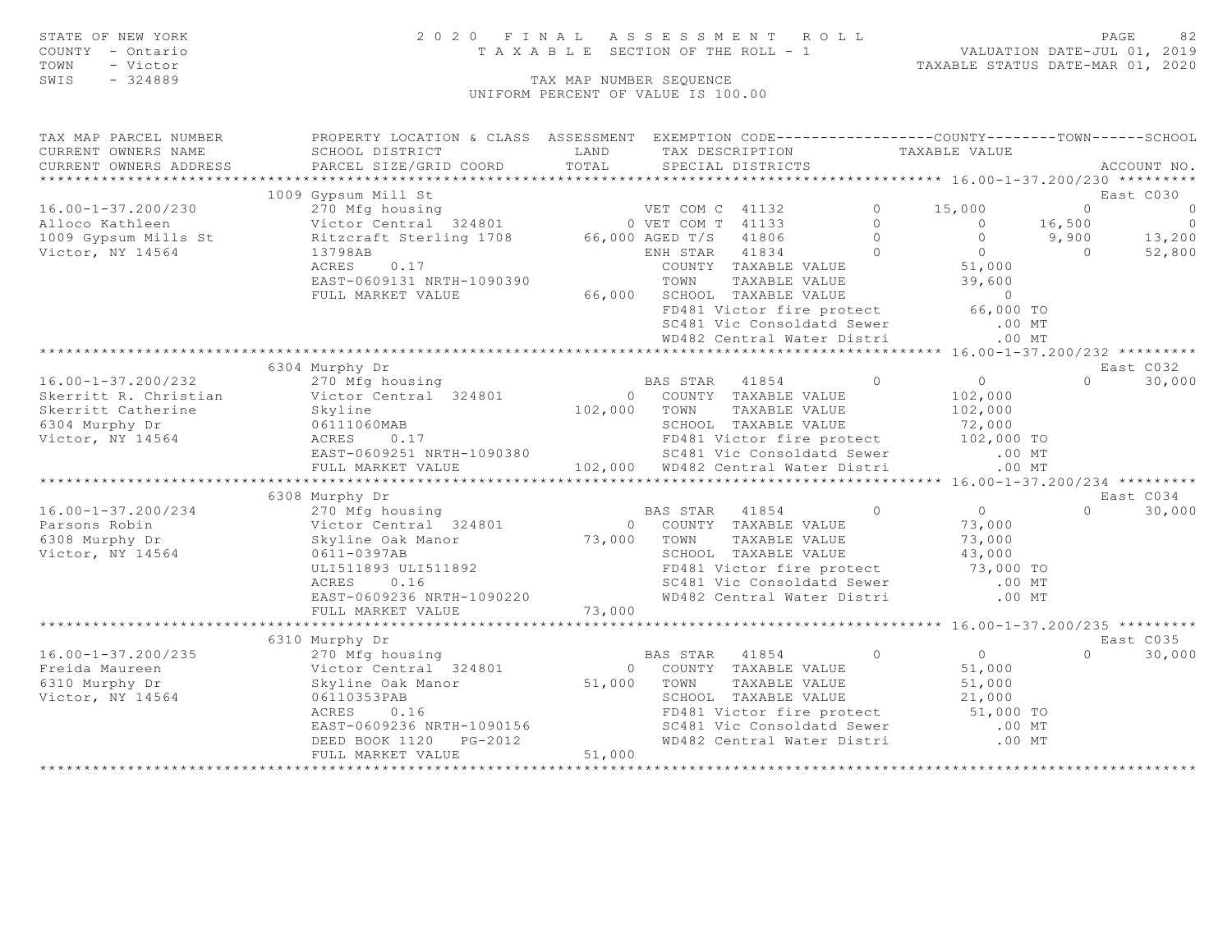| STATE OF NEW YORK | 2020 FINAL ASSESSMENT ROLL |                                       |                                  | PAGE | 82 |
|-------------------|----------------------------|---------------------------------------|----------------------------------|------|----|
| COUNTY - Ontario  |                            | T A X A B L E SECTION OF THE ROLL - 1 | VALUATION DATE-JUL 01, 2019      |      |    |
| TOWN<br>- Victor  |                            |                                       | TAXABLE STATUS DATE-MAR 01, 2020 |      |    |
| SWIS<br>- 324889  |                            | TAX MAP NUMBER SEOUENCE               |                                  |      |    |

| UNIFORM PERCENT OF VALUE IS 100.00 |  |  |  |
|------------------------------------|--|--|--|
|                                    |  |  |  |

| TAX MAP PARCEL NUMBER<br>CURRENT OWNERS NAME<br>CURRENT OWNERS ADDRESS | PROPERTY LOCATION & CLASS ASSESSMENT<br>SCHOOL DISTRICT<br>PARCEL SIZE/GRID COORD      | LAND<br>TOTAL |                | EXEMPTION CODE-----------------COUNTY-------TOWN------SCHOOL<br>TAX DESCRIPTION<br>SPECIAL DISTRICTS     |            | TAXABLE VALUE                                        |          | ACCOUNT NO.    |
|------------------------------------------------------------------------|----------------------------------------------------------------------------------------|---------------|----------------|----------------------------------------------------------------------------------------------------------|------------|------------------------------------------------------|----------|----------------|
|                                                                        |                                                                                        |               |                |                                                                                                          |            |                                                      |          |                |
|                                                                        | 1009 Gypsum Mill St                                                                    |               |                |                                                                                                          |            |                                                      |          | East C030      |
| $16.00 - 1 - 37.200 / 230$                                             |                                                                                        |               |                |                                                                                                          | $\Omega$   | 15,000                                               | $\Omega$ | $\circ$        |
| Alloco Kathleen                                                        | 310 Mfg housing<br>Victor Central 324801 Microsoft Sterling 1708 66,000 AGED T/S 41806 |               |                |                                                                                                          | $\bigcirc$ | $\overline{0}$                                       | 16,500   | $\overline{0}$ |
| 1009 Gypsum Mills St                                                   |                                                                                        |               |                |                                                                                                          | $\Omega$   | $\bigcirc$                                           | 9,900    | 13,200         |
| Victor, NY 14564                                                       | 13798AB                                                                                |               | ENH STAR 41834 |                                                                                                          | $\Omega$   |                                                      | $\Omega$ | 52,800         |
|                                                                        | ACRES<br>0.17                                                                          |               |                | COUNTY TAXABLE VALUE                                                                                     |            |                                                      |          |                |
|                                                                        | EAST-0609131 NRTH-1090390                                                              |               | TOWN           | TAXABLE VALUE                                                                                            |            | $\begin{array}{c} 0 \\ 51,000 \\ 39,600 \end{array}$ |          |                |
|                                                                        | FULL MARKET VALUE                                                                      | 66,000        |                | SCHOOL TAXABLE VALUE                                                                                     |            | $\Omega$                                             |          |                |
|                                                                        |                                                                                        |               |                | FD481 Victor fire protect                                                                                |            | 66,000 TO                                            |          |                |
|                                                                        |                                                                                        |               |                | SC481 Vic Consoldatd Sewer                                                                               |            | .00 MT                                               |          |                |
|                                                                        |                                                                                        |               |                |                                                                                                          |            |                                                      |          |                |
|                                                                        |                                                                                        |               |                |                                                                                                          |            |                                                      |          |                |
|                                                                        | 6304 Murphy Dr                                                                         |               |                |                                                                                                          |            |                                                      |          | East C032      |
| 16.00-1-37.200/232                                                     | 270 Mfg housing                                                                        |               |                | BAS STAR 41854                                                                                           | $\bigcirc$ | $\overline{0}$                                       | $\cap$   | 30,000         |
| Skerritt R. Christian                                                  | Victor Central 324801                                                                  |               |                | 0 COUNTY TAXABLE VALUE                                                                                   |            | 102,000                                              |          |                |
| Skerritt Catherine                                                     | Victor C<br>Skyline                                                                    | 102,000 TOWN  |                | TAXABLE VALUE                                                                                            |            | 102,000                                              |          |                |
| 6304 Murphy Dr                                                         |                                                                                        |               |                |                                                                                                          |            |                                                      |          |                |
| Victor, NY 14564                                                       | 06111060MAB<br>ACRES 0.17                                                              |               |                |                                                                                                          |            |                                                      |          |                |
|                                                                        | EAST-0609251 NRTH-1090380                                                              |               |                | SCHOOL TAXABLE VALUE 72,000<br>FD481 Victor fire protect 102,000 TO<br>SC481 Vic Consoldatd Sewer .00 MT |            |                                                      |          |                |
|                                                                        | FULL MARKET VALUE                                                                      |               |                | 102,000 WD482 Central Water Distri                                                                       |            | $.00$ MT                                             |          |                |
|                                                                        |                                                                                        |               |                |                                                                                                          |            |                                                      |          |                |
|                                                                        | 6308 Murphy Dr                                                                         |               |                |                                                                                                          |            |                                                      |          | East C034      |
| 16.00-1-37.200/234                                                     |                                                                                        |               |                | BAS STAR 41854                                                                                           | $\circ$    | $\overline{0}$                                       | $\cap$   | 30,000         |
| Parsons Robin                                                          | 234 270 Mfg housing<br>Victor Central 324801<br>Skyline Oak Manor                      |               |                | 0 COUNTY TAXABLE VALUE                                                                                   |            | 73,000                                               |          |                |
| 6308 Murphy Dr                                                         |                                                                                        | 73,000 TOWN   |                | TAXABLE VALUE                                                                                            |            | 73,000                                               |          |                |
| Victor, NY 14564                                                       | 0611-0397AB                                                                            |               |                | SCHOOL TAXABLE VALUE                                                                                     |            | 43,000                                               |          |                |
|                                                                        | ULI511893 ULI511892<br>ACRES 0.16                                                      |               |                | FD481 Victor fire protect                                                                                |            | $73,000$ TO                                          |          |                |
|                                                                        |                                                                                        |               |                | SC481 Vic Consoldatd Sewer .00 MT                                                                        |            |                                                      |          |                |
|                                                                        | EAST-0609236 NRTH-1090220                                                              |               |                | WD482 Central Water Distri                                                                               |            | $.00$ MT                                             |          |                |
|                                                                        | FULL MARKET VALUE                                                                      | 73,000        |                |                                                                                                          |            |                                                      |          |                |
|                                                                        |                                                                                        |               |                |                                                                                                          |            |                                                      |          |                |
|                                                                        | 6310 Murphy Dr                                                                         |               |                |                                                                                                          |            |                                                      |          | East C035      |
| $16.00 - 1 - 37.200 / 235$                                             | 270 Mfg housing                                                                        |               | BAS STAR 41854 | $\overline{a}$                                                                                           |            | $\overline{0}$                                       | $\cap$   | 30,000         |
| Freida Maureen                                                         | Victor Central 324801                                                                  |               |                | 0 COUNTY TAXABLE VALUE                                                                                   |            | 51,000                                               |          |                |
| 6310 Murphy Dr                                                         | Skyline Oak Manor                                                                      | 51,000 TOWN   |                | TAXABLE VALUE                                                                                            |            | 51,000                                               |          |                |
| Victor, NY 14564                                                       | 06110353PAB                                                                            |               |                | SCHOOL TAXABLE VALUE                                                                                     |            | 21,000                                               |          |                |
|                                                                        | 0.16<br>ACRES                                                                          |               |                | FD481 Victor fire protect 51,000 TO                                                                      |            |                                                      |          |                |
|                                                                        | EAST-0609236 NRTH-1090156                                                              |               |                |                                                                                                          |            |                                                      |          |                |
|                                                                        | DEED BOOK 1120<br>PG-2012                                                              |               |                | SC481 Vic Consoldatd Sewer .00 MT<br>WD482 Central Water Distri .00 MT                                   |            |                                                      |          |                |
|                                                                        | FULL MARKET VALUE                                                                      | 51,000        |                |                                                                                                          |            |                                                      |          |                |
|                                                                        |                                                                                        |               |                |                                                                                                          |            |                                                      |          |                |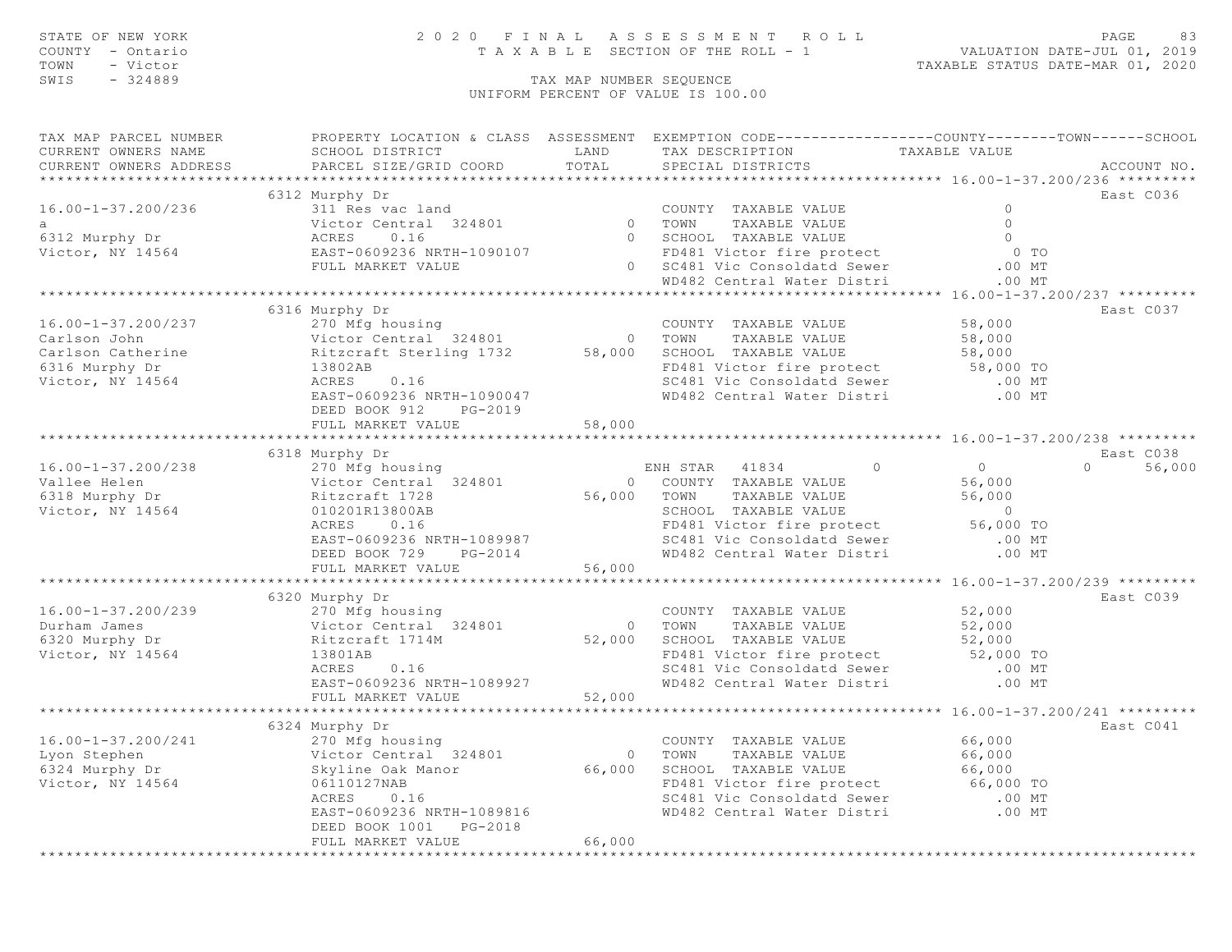| STATE OF NEW YORK<br>COUNTY - Ontario<br>TOWN<br>- Victor                                                                                                                                                                                                                                                                                                                     |                           |         | FINAL ASSESSMENT ROLL PAGE 83<br>TAXABLE SECTION OF THE ROLL - 1 VALUATION DATE-JUL 01, 2019<br>TAXABLE STATUS DATE-MAR 01, 2020<br>2020 FINAL ASSESSMENT ROLL |           |           |
|-------------------------------------------------------------------------------------------------------------------------------------------------------------------------------------------------------------------------------------------------------------------------------------------------------------------------------------------------------------------------------|---------------------------|---------|----------------------------------------------------------------------------------------------------------------------------------------------------------------|-----------|-----------|
| SWIS - 324889<br>TAX MAP NUMBER SEQUENCE                                                                                                                                                                                                                                                                                                                                      |                           |         |                                                                                                                                                                |           |           |
|                                                                                                                                                                                                                                                                                                                                                                               |                           |         | UNIFORM PERCENT OF VALUE IS 100.00                                                                                                                             |           |           |
|                                                                                                                                                                                                                                                                                                                                                                               |                           |         |                                                                                                                                                                |           |           |
| TAX MAP PARCEL NUMBER <b>The PROPERTY LOCATION &amp; CLASS</b> ASSESSMENT EXEMPTION CODE--------------COUNTY-------TOWN------SCHOOL                                                                                                                                                                                                                                           |                           |         |                                                                                                                                                                |           |           |
|                                                                                                                                                                                                                                                                                                                                                                               |                           |         |                                                                                                                                                                |           |           |
|                                                                                                                                                                                                                                                                                                                                                                               |                           |         |                                                                                                                                                                |           |           |
|                                                                                                                                                                                                                                                                                                                                                                               |                           |         |                                                                                                                                                                |           |           |
|                                                                                                                                                                                                                                                                                                                                                                               | 6312 Murphy Dr            |         |                                                                                                                                                                |           | East C036 |
|                                                                                                                                                                                                                                                                                                                                                                               |                           |         |                                                                                                                                                                |           |           |
|                                                                                                                                                                                                                                                                                                                                                                               |                           |         |                                                                                                                                                                |           |           |
|                                                                                                                                                                                                                                                                                                                                                                               |                           |         |                                                                                                                                                                |           |           |
|                                                                                                                                                                                                                                                                                                                                                                               |                           |         |                                                                                                                                                                |           |           |
|                                                                                                                                                                                                                                                                                                                                                                               |                           |         |                                                                                                                                                                |           |           |
|                                                                                                                                                                                                                                                                                                                                                                               |                           |         |                                                                                                                                                                |           |           |
|                                                                                                                                                                                                                                                                                                                                                                               |                           |         |                                                                                                                                                                |           |           |
|                                                                                                                                                                                                                                                                                                                                                                               | 6316 Murphy Dr            |         |                                                                                                                                                                |           | East C037 |
| 16.00-1-37.200/237 $\begin{array}{c c c c c c} \multicolumn{10}{c c c} \multicolumn{10}{c c c} \multicolumn{10}{c c c} \multicolumn{10}{c c c} \multicolumn{10}{c c c} \multicolumn{10}{c c c} \multicolumn{10}{c c c} \multicolumn{10}{c c c} \multicolumn{10}{c c c} \multicolumn{10}{c c c} \multicolumn{10}{c c c} \multicolumn{10}{c c c} \multicolumn{10}{c c c} \mult$ |                           |         |                                                                                                                                                                |           |           |
|                                                                                                                                                                                                                                                                                                                                                                               |                           |         |                                                                                                                                                                |           |           |
|                                                                                                                                                                                                                                                                                                                                                                               |                           |         |                                                                                                                                                                |           |           |
|                                                                                                                                                                                                                                                                                                                                                                               |                           |         |                                                                                                                                                                |           |           |
|                                                                                                                                                                                                                                                                                                                                                                               |                           |         |                                                                                                                                                                |           |           |
|                                                                                                                                                                                                                                                                                                                                                                               | DEED BOOK 912 PG-2019     |         |                                                                                                                                                                |           |           |
|                                                                                                                                                                                                                                                                                                                                                                               |                           |         |                                                                                                                                                                |           |           |
|                                                                                                                                                                                                                                                                                                                                                                               |                           |         |                                                                                                                                                                |           |           |
|                                                                                                                                                                                                                                                                                                                                                                               |                           |         |                                                                                                                                                                |           | East C038 |
|                                                                                                                                                                                                                                                                                                                                                                               |                           |         |                                                                                                                                                                |           |           |
|                                                                                                                                                                                                                                                                                                                                                                               |                           |         |                                                                                                                                                                |           |           |
|                                                                                                                                                                                                                                                                                                                                                                               |                           |         |                                                                                                                                                                |           |           |
|                                                                                                                                                                                                                                                                                                                                                                               |                           |         |                                                                                                                                                                |           |           |
|                                                                                                                                                                                                                                                                                                                                                                               |                           |         |                                                                                                                                                                |           |           |
|                                                                                                                                                                                                                                                                                                                                                                               |                           |         |                                                                                                                                                                |           |           |
|                                                                                                                                                                                                                                                                                                                                                                               |                           |         |                                                                                                                                                                |           |           |
|                                                                                                                                                                                                                                                                                                                                                                               |                           |         |                                                                                                                                                                |           |           |
| 16.00-1-37.200/239 6320 Murphy Dr 270 Murphy Dr 270 Murphy Dr 270 Murphy Dr 270 Murphy Dr 270 Murphy Dr 270 Musing<br>Durham James Victor (entral 324801 6320 Murphy Dr Ritzcraft 1714M 52,000 SCHOOL TAXABLE VALUE 52,000 TO<br>V                                                                                                                                            |                           |         |                                                                                                                                                                |           |           |
|                                                                                                                                                                                                                                                                                                                                                                               |                           |         |                                                                                                                                                                |           | East C039 |
|                                                                                                                                                                                                                                                                                                                                                                               |                           |         |                                                                                                                                                                |           |           |
|                                                                                                                                                                                                                                                                                                                                                                               |                           |         |                                                                                                                                                                |           |           |
|                                                                                                                                                                                                                                                                                                                                                                               |                           |         |                                                                                                                                                                |           |           |
|                                                                                                                                                                                                                                                                                                                                                                               |                           |         |                                                                                                                                                                |           |           |
|                                                                                                                                                                                                                                                                                                                                                                               |                           |         |                                                                                                                                                                |           |           |
|                                                                                                                                                                                                                                                                                                                                                                               |                           |         |                                                                                                                                                                |           |           |
|                                                                                                                                                                                                                                                                                                                                                                               |                           |         |                                                                                                                                                                |           |           |
|                                                                                                                                                                                                                                                                                                                                                                               | 6324 Murphy Dr            |         |                                                                                                                                                                |           | East C041 |
| 16.00-1-37.200/241                                                                                                                                                                                                                                                                                                                                                            | 270 Mfg housing           |         | COUNTY TAXABLE VALUE                                                                                                                                           | 66,000    |           |
| Lyon Stephen                                                                                                                                                                                                                                                                                                                                                                  | Victor Central 324801     | $\circ$ | TOWN<br>TAXABLE VALUE                                                                                                                                          | 66,000    |           |
| 6324 Murphy Dr                                                                                                                                                                                                                                                                                                                                                                | Skyline Oak Manor         | 66,000  | SCHOOL TAXABLE VALUE                                                                                                                                           | 66,000    |           |
| Victor, NY 14564                                                                                                                                                                                                                                                                                                                                                              | 06110127NAB               |         | FD481 Victor fire protect                                                                                                                                      | 66,000 TO |           |
|                                                                                                                                                                                                                                                                                                                                                                               | ACRES<br>0.16             |         | SC481 Vic Consoldatd Sewer                                                                                                                                     | $.00$ MT  |           |
|                                                                                                                                                                                                                                                                                                                                                                               | EAST-0609236 NRTH-1089816 |         | WD482 Central Water Distri                                                                                                                                     | $.00$ MT  |           |
|                                                                                                                                                                                                                                                                                                                                                                               | DEED BOOK 1001<br>PG-2018 |         |                                                                                                                                                                |           |           |
|                                                                                                                                                                                                                                                                                                                                                                               | FULL MARKET VALUE         | 66,000  |                                                                                                                                                                |           |           |
|                                                                                                                                                                                                                                                                                                                                                                               |                           |         |                                                                                                                                                                |           |           |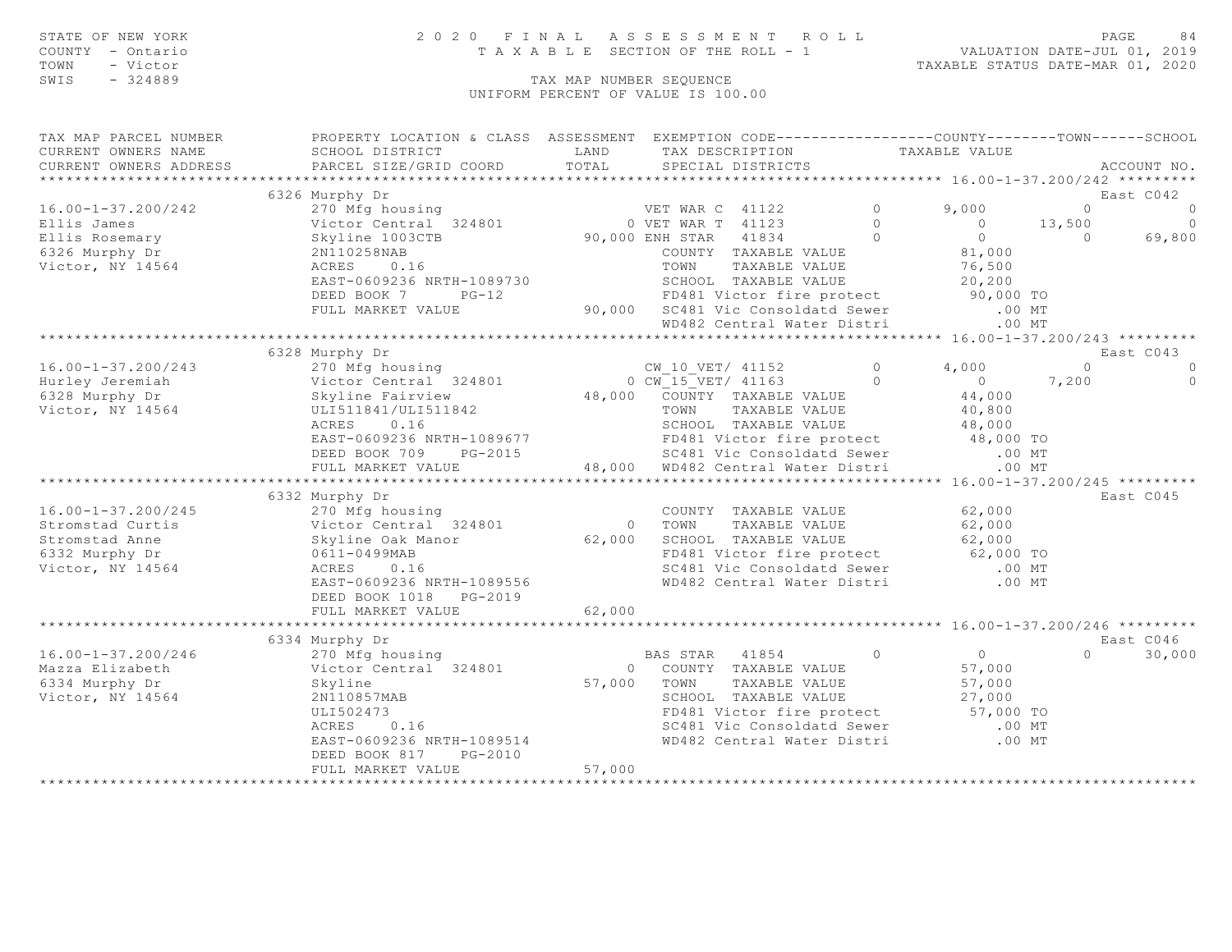| STATE OF NEW YORK | 2020 FINAL ASSESSMENT ROLL      |                                  | PAGE | 84 |
|-------------------|---------------------------------|----------------------------------|------|----|
| COUNTY - Ontario  | TAXABLE SECTION OF THE ROLL - 1 | VALUATION DATE-JUL 01, 2019      |      |    |
| TOWN<br>- Victor  |                                 | TAXABLE STATUS DATE-MAR 01, 2020 |      |    |
| SWIS<br>- 324889  | TAX MAP NUMBER SEOUENCE         |                                  |      |    |

| TAX MAP PARCEL NUMBER              | PROPERTY LOCATION & CLASS ASSESSMENT EXEMPTION CODE---------------COUNTY-------TOWN------SCHOOL                                                                                                                                                |        |                                                                                                         |          |           |
|------------------------------------|------------------------------------------------------------------------------------------------------------------------------------------------------------------------------------------------------------------------------------------------|--------|---------------------------------------------------------------------------------------------------------|----------|-----------|
|                                    |                                                                                                                                                                                                                                                |        |                                                                                                         |          |           |
|                                    |                                                                                                                                                                                                                                                |        |                                                                                                         |          |           |
|                                    |                                                                                                                                                                                                                                                |        |                                                                                                         |          |           |
|                                    |                                                                                                                                                                                                                                                |        |                                                                                                         |          |           |
|                                    |                                                                                                                                                                                                                                                |        |                                                                                                         |          |           |
|                                    |                                                                                                                                                                                                                                                |        |                                                                                                         |          |           |
|                                    |                                                                                                                                                                                                                                                |        |                                                                                                         |          |           |
|                                    |                                                                                                                                                                                                                                                |        |                                                                                                         |          |           |
|                                    | East CO42<br>16.00-1-37.200/242 270 Mfg housing<br>Ellis James Victor Central 324801 0 VET WAR T 41123 0 9,000 0<br>Ellis Rosemary Skyline 1003CTB 90,000 ENH STAR 41834 0 0 0 69,800<br>6326 Murphy Dr 2N110258NAB 2COUNTY TAXABLE VA         |        |                                                                                                         |          |           |
|                                    |                                                                                                                                                                                                                                                |        |                                                                                                         |          |           |
|                                    |                                                                                                                                                                                                                                                |        |                                                                                                         |          |           |
|                                    |                                                                                                                                                                                                                                                |        |                                                                                                         |          |           |
|                                    | ACRES 0.16<br>EAST-0609236 NRTH-1089730<br>DEED BOOK 7 PG-12<br>FULL MARKET VALUE 90,000 SC481 Victor fire protect 90,000 TO<br>FULL MARKET VALUE 90,000 SC481 Vic Consoldatd Sever 00,000 TO<br>FULL MARKET VALUE 90,000 SC481 Vic Cons       |        |                                                                                                         |          |           |
|                                    |                                                                                                                                                                                                                                                |        |                                                                                                         |          |           |
|                                    | 6328 Murphy Dr                                                                                                                                                                                                                                 |        |                                                                                                         |          | East C043 |
|                                    | Eas<br>Hurley Jeremiah (16.00-1-37.200/243 270 Mfg housing<br>Hurley Jeremiah (16.00-1-37.200/243 270 Mfg housing<br>Victor Central 324801 0 CW_15_VET/41163 0 0 7,200<br>6328 Murphy Dr Skyline Fairview 48,000 COUNTY TAXABLE VALUE<br>      |        |                                                                                                         |          | $\bigcap$ |
|                                    |                                                                                                                                                                                                                                                |        |                                                                                                         |          | $\circ$   |
|                                    |                                                                                                                                                                                                                                                |        |                                                                                                         |          |           |
|                                    |                                                                                                                                                                                                                                                |        |                                                                                                         |          |           |
|                                    |                                                                                                                                                                                                                                                |        |                                                                                                         |          |           |
|                                    |                                                                                                                                                                                                                                                |        |                                                                                                         |          |           |
|                                    |                                                                                                                                                                                                                                                |        |                                                                                                         |          |           |
|                                    | ULIS11841/ULIS11842<br>CHOOL TAXABLE VALUE 48,000<br>EAST-0609236 NRTH-1089677<br>DEED BOOK 709 PG-2015<br>FULL MARKET VALUE 48,000<br>FULL MARKET VALUE 48,000<br>FULL MARKET VALUE 48,000<br>PASS CASS CONSIDERED SCARS CONSULT 1842<br>CONT |        |                                                                                                         |          |           |
|                                    |                                                                                                                                                                                                                                                |        |                                                                                                         |          |           |
|                                    | 6332 Murphy Dr                                                                                                                                                                                                                                 |        |                                                                                                         |          | East C045 |
| $16.00 - 1 - 37.200 / 245$         |                                                                                                                                                                                                                                                |        |                                                                                                         |          |           |
| Stromstad Curtis                   |                                                                                                                                                                                                                                                |        |                                                                                                         |          |           |
| Stromstad Anne                     | 270 Mfg housing<br>Victor Central 324801 0 TOWN TAXABLE VALUE 62,000<br>Skyline Oak Manor 62,000 SCHOOL TAXABLE VALUE 62,000<br>0611-0499MAB 62,000 FD481 Victor fire protect 62,000 TO<br>ACRES 0.16 SC481 Vic Consoldatd Sewer 0.00          |        |                                                                                                         |          |           |
|                                    |                                                                                                                                                                                                                                                |        |                                                                                                         |          |           |
| 6332 Murphy Dr<br>Victor, NY 14564 |                                                                                                                                                                                                                                                |        |                                                                                                         |          |           |
|                                    | EAST-0609236 NRTH-1089556 WD482 Central Water Distri .00 MT                                                                                                                                                                                    |        |                                                                                                         |          |           |
|                                    | DEED BOOK 1018    PG-2019                                                                                                                                                                                                                      |        |                                                                                                         |          |           |
|                                    | FULL MARKET VALUE                                                                                                                                                                                                                              | 62,000 |                                                                                                         |          |           |
|                                    |                                                                                                                                                                                                                                                |        |                                                                                                         |          |           |
|                                    | 6334 Murphy Dr                                                                                                                                                                                                                                 |        |                                                                                                         |          | East C046 |
|                                    |                                                                                                                                                                                                                                                |        | BAS STAR 41854 0 0<br>0 COUNTY TAXABLE VALUE 57,000<br>57,000 TOWN TAXABLE VALUE 57,000                 | $\Omega$ | 30,000    |
|                                    |                                                                                                                                                                                                                                                |        |                                                                                                         |          |           |
|                                    |                                                                                                                                                                                                                                                |        |                                                                                                         |          |           |
| Victor, NY 14564                   | 2N110857MAB                                                                                                                                                                                                                                    |        |                                                                                                         |          |           |
|                                    | ULI502473                                                                                                                                                                                                                                      |        | SCHOOL TAXABLE VALUE 27,000<br>FD481 Victor fire protect 57,000 TO<br>SC481 Vic Consoldatd Sewer .00 MT |          |           |
|                                    | 0.16<br>ACRES                                                                                                                                                                                                                                  |        |                                                                                                         |          |           |
|                                    | EAST-0609236 NRTH-1089514                                                                                                                                                                                                                      |        | WD482 Central Water Distri .00 MT                                                                       |          |           |
|                                    | DEED BOOK 817 PG-2010                                                                                                                                                                                                                          |        |                                                                                                         |          |           |
|                                    | FULL MARKET VALUE                                                                                                                                                                                                                              | 57,000 |                                                                                                         |          |           |
|                                    |                                                                                                                                                                                                                                                |        |                                                                                                         |          |           |
|                                    |                                                                                                                                                                                                                                                |        |                                                                                                         |          |           |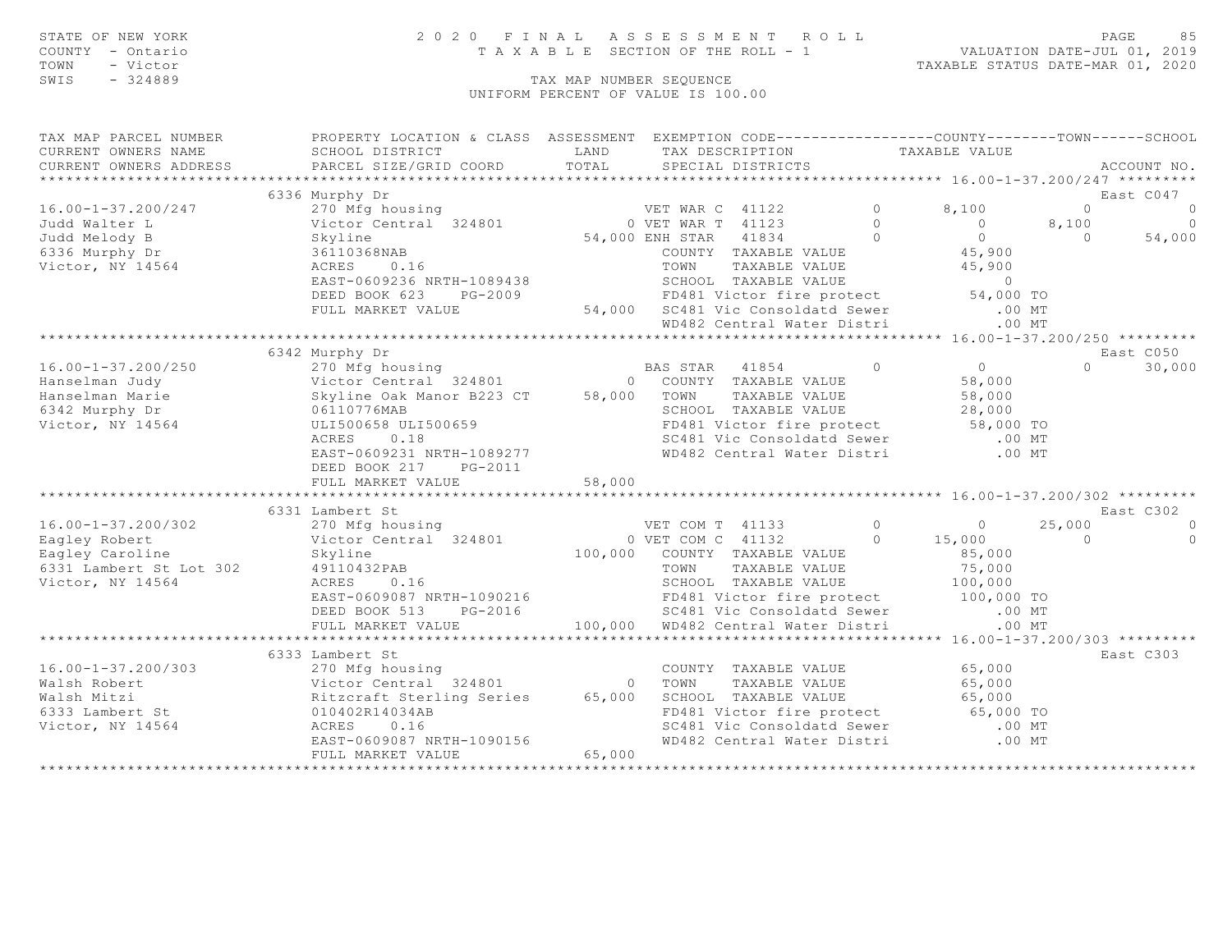| STATE OF NEW YORK | 2020 FINAL ASSESSMENT ROLL            | PAGE                        |  |
|-------------------|---------------------------------------|-----------------------------|--|
| COUNTY - Ontario  | T A X A B L E SECTION OF THE ROLL - 1 | VALUATION DATE-JUL 01, 2019 |  |
| TOWN<br>– Victor  | TAXABLE STATUS DATE-MAR 01, 2020      |                             |  |
| SWIS<br>- 324889  | TAX MAP NUMBER SEOUENCE               |                             |  |

| TAX MAP PARCEL NUMBER<br>CURRENT OWNERS NAME<br>CURRENT OWNERS ADDRESS | PROPERTY LOCATION & CLASS ASSESSMENT<br>SCHOOL DISTRICT<br>PARCEL SIZE/GRID COORD                                                                                                                                                                                        | LAND<br>TOTAL | EXEMPTION CODE----------------COUNTY-------TOWN------SCHOOL<br>TAX DESCRIPTION TAXABLE VALUE<br>SPECIAL DISTRICTS                                                |                |                |           | ACCOUNT NO.           |
|------------------------------------------------------------------------|--------------------------------------------------------------------------------------------------------------------------------------------------------------------------------------------------------------------------------------------------------------------------|---------------|------------------------------------------------------------------------------------------------------------------------------------------------------------------|----------------|----------------|-----------|-----------------------|
|                                                                        |                                                                                                                                                                                                                                                                          |               |                                                                                                                                                                  |                |                |           |                       |
| 16.00-1-37.200/247                                                     | 6336 Murphy Dr<br>270 Mfg housing                                                                                                                                                                                                                                        |               | VET WAR C 41122                                                                                                                                                  | $\bigcirc$     | 8,100          | $\Omega$  | East C047<br>$\Omega$ |
|                                                                        |                                                                                                                                                                                                                                                                          |               |                                                                                                                                                                  | $\overline{0}$ | $\overline{0}$ | 8,100     | $\overline{0}$        |
|                                                                        |                                                                                                                                                                                                                                                                          |               |                                                                                                                                                                  | $\bigcirc$     | $\Omega$       | $\bigcap$ | 54,000                |
|                                                                        |                                                                                                                                                                                                                                                                          |               | COUNTY TAXABLE VALUE                                                                                                                                             |                | 45,900         |           |                       |
| Victor, NY 14564 ACRES                                                 | 0.16<br>EAST-0609236 NRTH-1089438                                                                                                                                                                                                                                        |               | TOWN<br>TAXABLE VALUE<br>SCHOOL TAXABLE VALUE 0<br>FD481 Victor fire protect 54,000 TO                                                                           |                | 45,900         |           |                       |
|                                                                        | DEED BOOK 623                                                                                                                                                                                                                                                            | $PG-2009$     |                                                                                                                                                                  |                |                |           |                       |
|                                                                        |                                                                                                                                                                                                                                                                          |               |                                                                                                                                                                  |                |                |           |                       |
|                                                                        |                                                                                                                                                                                                                                                                          |               |                                                                                                                                                                  |                |                |           |                       |
|                                                                        |                                                                                                                                                                                                                                                                          |               |                                                                                                                                                                  |                |                |           |                       |
|                                                                        | 6342 Murphy Dr                                                                                                                                                                                                                                                           |               |                                                                                                                                                                  |                |                |           | East C050             |
| 16.00-1-37.200/250                                                     | 270 Mfg housing                                                                                                                                                                                                                                                          |               | BAS STAR 41854                                                                                                                                                   | $\bigcirc$     | $\bigcirc$     | $\Omega$  | 30,000                |
|                                                                        | Hanselman Judy<br>Hanselman Marie (1994) Victor Central 324801<br>Hanselman Marie (1994) Skyline Oak Manor B223 CT 58,000 TOWN TAXABLE VALUE<br>6342 Murphy Dr (1994) 06110776MAB                                                                                        |               |                                                                                                                                                                  |                | 58,000         |           |                       |
|                                                                        |                                                                                                                                                                                                                                                                          |               | TAXABLE VALUE                                                                                                                                                    |                | 58,000         |           |                       |
|                                                                        |                                                                                                                                                                                                                                                                          |               | SCHOOL TAXABLE VALUE                                                                                                                                             |                | 28,000         |           |                       |
|                                                                        | Victor, NY 14564 ULI500658 ULI500659                                                                                                                                                                                                                                     |               | FD481 Victor fire protect 58,000 TO                                                                                                                              |                |                |           |                       |
|                                                                        | ACRES 0.18<br>EAST-0609231 NRTH-1089277                                                                                                                                                                                                                                  |               | SC481 Vic Consoldatd Sewer .00 MT<br>WD482 Central Water Distri .00 MT                                                                                           |                |                |           |                       |
|                                                                        |                                                                                                                                                                                                                                                                          |               |                                                                                                                                                                  |                |                |           |                       |
|                                                                        | DEED BOOK 217<br>PG-2011                                                                                                                                                                                                                                                 |               |                                                                                                                                                                  |                |                |           |                       |
|                                                                        | FULL MARKET VALUE                                                                                                                                                                                                                                                        | 58,000        |                                                                                                                                                                  |                |                |           |                       |
|                                                                        |                                                                                                                                                                                                                                                                          |               |                                                                                                                                                                  |                |                |           |                       |
|                                                                        | 6331 Lambert St                                                                                                                                                                                                                                                          |               |                                                                                                                                                                  |                |                |           | East C302             |
|                                                                        | 16.00-1-37.200/302 270 Mrg nousing<br>Eagley Robert Victor Central 324801                                                                                                                                                                                                |               | VET COM T 41133                                                                                                                                                  | $\overline{0}$ | $\overline{0}$ | 25,000    | $\bigcap$             |
|                                                                        |                                                                                                                                                                                                                                                                          |               | 0 VET COM C 41132 0                                                                                                                                              |                | 15,000         | $\Omega$  | $\Omega$              |
|                                                                        | Skyline<br>49110432PAB                                                                                                                                                                                                                                                   |               | 100,000 COUNTY TAXABLE VALUE                                                                                                                                     |                | 85,000         |           |                       |
| 6331 Lambert St Lot 302                                                |                                                                                                                                                                                                                                                                          |               | TOWN<br>TAXABLE VALUE                                                                                                                                            |                | 75,000         |           |                       |
| Victor, NY 14564                                                       | 0.16<br>ACRES                                                                                                                                                                                                                                                            |               | SCHOOL TAXABLE VALUE 100,000                                                                                                                                     |                |                |           |                       |
|                                                                        | EAST-0609087 NRTH-1090216<br>$PG-2016$                                                                                                                                                                                                                                   |               | FD481 Victor fire protect 100,000 TO<br>SC481 Vic Consoldatd Sewer .00 MT                                                                                        |                |                |           |                       |
|                                                                        | DEED BOOK 513                                                                                                                                                                                                                                                            |               |                                                                                                                                                                  |                |                |           |                       |
|                                                                        | FULL MARKET VALUE<br>*************************************                                                                                                                                                                                                               | 100,000       | WD482 Central Water Distri                                                                                                                                       |                | .00MT          |           |                       |
|                                                                        |                                                                                                                                                                                                                                                                          |               |                                                                                                                                                                  |                |                |           |                       |
|                                                                        | 6333 Lambert St                                                                                                                                                                                                                                                          |               |                                                                                                                                                                  |                |                |           | East C303             |
|                                                                        |                                                                                                                                                                                                                                                                          |               | COUNTY TAXABLE VALUE 65,000                                                                                                                                      |                |                |           |                       |
|                                                                        |                                                                                                                                                                                                                                                                          |               | 0 TOWN TAXABLE VALUE                                                                                                                                             |                | 65,000         |           |                       |
|                                                                        | Walsh Robert<br>Walsh Mitzi<br>Walsh Mitzi<br>Walsh Mitzi<br>Walsh Mitzi<br>Ritzcraft Sterling Series<br>65,000<br>Victor, NY 14564<br>Victor, NY 14564<br>Pick CRES<br>Pick CRES<br>CRES<br>CRES<br>CRES<br>CRES<br>CRES<br>CRES<br>CRES<br>CRES<br>CRES<br>CRES<br>CRE |               | FOWN TAXABLE VALUE<br>SCHOOL TAXABLE VALUE 65,000<br>FD481 Victor fire protect 65,000 TO<br>SC481 Vic Consoldatd Sewer 00 MT<br>WD482 Central Water Distri 00 MT |                |                |           |                       |
|                                                                        |                                                                                                                                                                                                                                                                          |               |                                                                                                                                                                  |                |                |           |                       |
|                                                                        |                                                                                                                                                                                                                                                                          |               |                                                                                                                                                                  |                |                |           |                       |
|                                                                        |                                                                                                                                                                                                                                                                          |               |                                                                                                                                                                  |                |                |           |                       |
|                                                                        | FULL MARKET VALUE                                                                                                                                                                                                                                                        | 65,000        |                                                                                                                                                                  |                |                |           |                       |
|                                                                        |                                                                                                                                                                                                                                                                          |               |                                                                                                                                                                  |                |                |           |                       |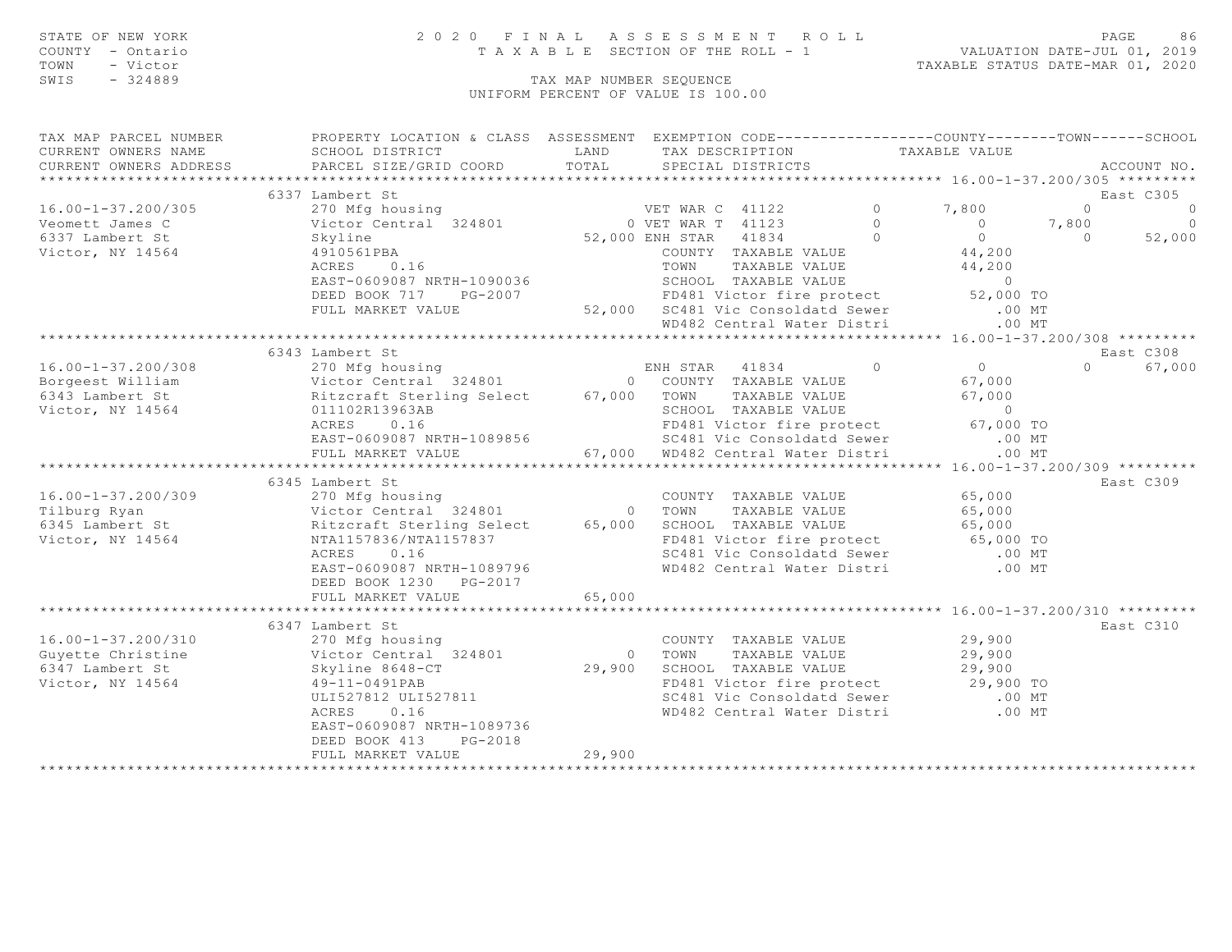|      | STATE OF NEW YORK |  | 2020 FINAL ASSESSMENT ROLL      |                                  | <b>PAGE</b>                 | - 86 |
|------|-------------------|--|---------------------------------|----------------------------------|-----------------------------|------|
|      | COUNTY - Ontario  |  | TAXABLE SECTION OF THE ROLL - 1 |                                  | VALUATION DATE-JUL 01, 2019 |      |
| TOWN | - Victor          |  |                                 | TAXABLE STATUS DATE-MAR 01, 2020 |                             |      |
| SWIS | $-324889$         |  | TAX MAP NUMBER SEQUENCE         |                                  |                             |      |

| UNIFORM PERCENT OF VALUE IS 100.00 |  |  |  |
|------------------------------------|--|--|--|

| TAX MAP PARCEL NUMBER<br>PROPERTY LOCATION & CLASS ASSESSMENT EXEMPTION CODE---------------COUNTY-------TOWN-----SCHOOL<br>CURRENT OWNERS NAME<br>SCHOOL DISTRICT<br>LAND<br>TAX DESCRIPTION TAXABLE VALUE<br>TOTAL<br>PARCEL SIZE/GRID COORD<br>SPECIAL DISTRICTS<br>CURRENT OWNERS ADDRESS | ACCOUNT NO.    |
|----------------------------------------------------------------------------------------------------------------------------------------------------------------------------------------------------------------------------------------------------------------------------------------------|----------------|
| 6337 Lambert St                                                                                                                                                                                                                                                                              | East C305      |
| $0 \t 7,800$<br>$\Omega$<br>16.00-1-37.200/305                                                                                                                                                                                                                                               | $\overline{0}$ |
|                                                                                                                                                                                                                                                                                              | $\overline{0}$ |
| $\overline{0}$<br>$\begin{matrix} 0 &&& 7,800\\ 0 &&& 0 \end{matrix}$<br>Veomett James C<br>$\overline{0}$                                                                                                                                                                                   |                |
| 6337 Lambert St<br>44,200<br>4910561PBA                                                                                                                                                                                                                                                      | 52,000         |
| COUNTY TAXABLE VALUE<br>Victor, NY 14564                                                                                                                                                                                                                                                     |                |
| 0.16<br>TOWN<br>TAXABLE VALUE<br>44,200<br>ACRES                                                                                                                                                                                                                                             |                |
| EAST-0609087 NRTH-1090036                                                                                                                                                                                                                                                                    |                |
|                                                                                                                                                                                                                                                                                              |                |
|                                                                                                                                                                                                                                                                                              |                |
|                                                                                                                                                                                                                                                                                              |                |
|                                                                                                                                                                                                                                                                                              |                |
| 6343 Lambert St                                                                                                                                                                                                                                                                              | East C308      |
| 16.00-1-37.200/308 270 Mfg housing ENH STAR 41834 C<br>Borgeest William Victor Central 324801 0 COUNTY TAXABLE VALUE<br>6343 Lambert St Ritzcraft Sterling Select 67,000 TOWN TAXABLE VALUE<br>Victor, NY 14564 011102R13963AB SCHOOL T<br>$\overline{0}$<br>$\bigcirc$<br>$\Omega$          | 67,000         |
| 67,000                                                                                                                                                                                                                                                                                       |                |
|                                                                                                                                                                                                                                                                                              |                |
| TOWN TAXABLE VALUE 67,000<br>SCHOOL TAXABLE VALUE 67,000                                                                                                                                                                                                                                     |                |
| 9856 FD481 Victor fire protect 67,000 TO<br>9856 SC481 Vic Consoldatd Sewer .00 MT<br>67,000 WD482 Central Water Distri .00 MT<br>0.16<br>ACRES<br>AURES 0.16<br>EAST-0609087 NRTH-1089856                                                                                                   |                |
|                                                                                                                                                                                                                                                                                              |                |
| FULL MARKET VALUE                                                                                                                                                                                                                                                                            |                |
|                                                                                                                                                                                                                                                                                              |                |
| 6345 Lambert St<br>270 Mfg housing<br>270 Mfg housing<br>270 Mfg housing<br>270 Mfg housing<br>270 Mfg housing<br>270 Mfg housing<br>270 Mfg housing<br>270 Mfg housing<br>270 Mfg housing<br>270 Mfg housing<br>270 Mfg housing<br>270 Mfg housing<br>2                                     | East C309      |
|                                                                                                                                                                                                                                                                                              |                |
|                                                                                                                                                                                                                                                                                              |                |
|                                                                                                                                                                                                                                                                                              |                |
|                                                                                                                                                                                                                                                                                              |                |
| 0.16<br>SC481 Vic Consoldatd Sewer .00 MT<br>WD482 Central Water Distri .00 MT<br>ACRES                                                                                                                                                                                                      |                |
| EAST-0609087 NRTH-1089796                                                                                                                                                                                                                                                                    |                |
| DEED BOOK 1230 PG-2017                                                                                                                                                                                                                                                                       |                |
| 65,000<br>FULL MARKET VALUE                                                                                                                                                                                                                                                                  |                |
|                                                                                                                                                                                                                                                                                              |                |
| 6347 Lambert St                                                                                                                                                                                                                                                                              | East C310      |
| COUNTY TAXABLE VALUE 29,900<br>16.00-1-37.200/310<br>270 Mfg housing                                                                                                                                                                                                                         |                |
| Guyette Christine Victor Central 324801 0<br>TAXABLE VALUE 29,900<br>TOWN                                                                                                                                                                                                                    |                |
| 29,900<br>Skyline 8648-CT<br>49-11-0491PAB<br>6347 Lambert St<br>SCHOOL TAXABLE VALUE 29,900<br>FD481 Victor fire protect 29,900 TO<br>SC481 Vic Consoldatd Sewer .00 MT<br>WD482 Central Water Distri .00 MT                                                                                |                |
| Victor, NY 14564<br>ULI527812 ULI527811<br>ACRES 0.16<br>FAST 0.0000                                                                                                                                                                                                                         |                |
|                                                                                                                                                                                                                                                                                              |                |
|                                                                                                                                                                                                                                                                                              |                |
| EAST-0609087 NRTH-1089736                                                                                                                                                                                                                                                                    |                |
| DEED BOOK 413<br>PG-2018                                                                                                                                                                                                                                                                     |                |
| 29,900<br>FULL MARKET VALUE                                                                                                                                                                                                                                                                  |                |
|                                                                                                                                                                                                                                                                                              |                |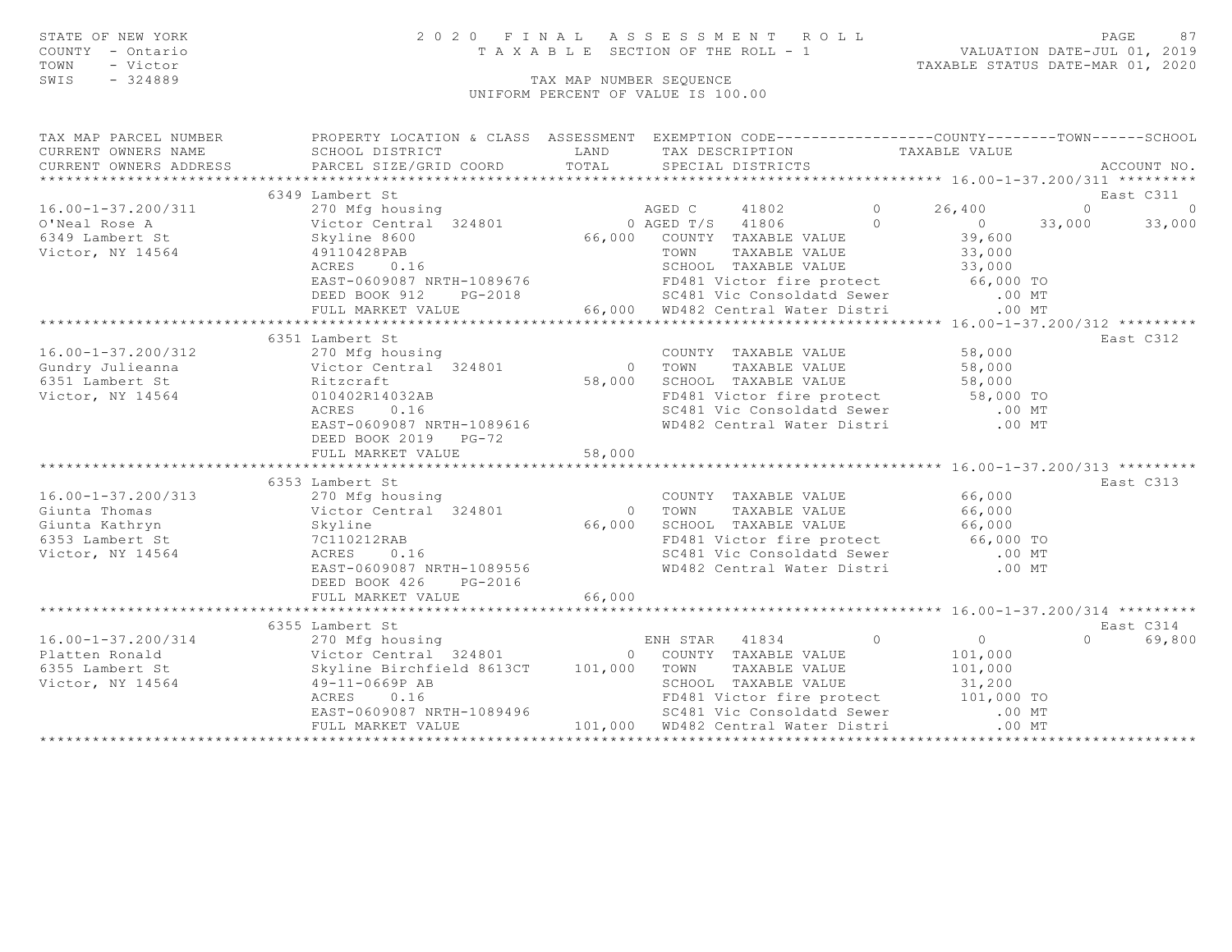| STATE OF NEW YORK |          |  | 2020 FINAL ASSESSMENT ROLL      |                                  | PAGE |  |
|-------------------|----------|--|---------------------------------|----------------------------------|------|--|
| COUNTY - Ontario  |          |  | TAXABLE SECTION OF THE ROLL - 1 | VALUATION DATE-JUL 01, 2019      |      |  |
| TOWN              | - Victor |  |                                 | TAXABLE STATUS DATE-MAR 01, 2020 |      |  |
| SWIS              | - 324889 |  | TAX MAP NUMBER SEOUENCE         |                                  |      |  |

| UNIFORM PERCENT OF VALUE IS 100.00 |  |  |  |
|------------------------------------|--|--|--|

| TAX MAP PARCEL NUMBER<br>CURRENT OWNERS NAME<br>CURRENT OWNERS ADDRESS PARCEL SIZE/GRID COORD                                                                                                                                        | PROPERTY LOCATION & CLASS ASSESSMENT EXEMPTION CODE----------------COUNTY-------TOWN------SCHOOL<br>SCHOOL DISTRICT<br>************************* | LAND<br>TOTAL                 | TAX DESCRIPTION TAXABLE VALUE<br>SPECIAL DISTRICTS                                                                                                               |                                        | ACCOUNT NO.      |
|--------------------------------------------------------------------------------------------------------------------------------------------------------------------------------------------------------------------------------------|--------------------------------------------------------------------------------------------------------------------------------------------------|-------------------------------|------------------------------------------------------------------------------------------------------------------------------------------------------------------|----------------------------------------|------------------|
|                                                                                                                                                                                                                                      | 6349 Lambert St                                                                                                                                  |                               |                                                                                                                                                                  |                                        | East C311        |
|                                                                                                                                                                                                                                      |                                                                                                                                                  |                               |                                                                                                                                                                  | 26,400<br>$\sim$ 0                     | $\cap$           |
|                                                                                                                                                                                                                                      |                                                                                                                                                  |                               |                                                                                                                                                                  | 33,000                                 | 33,000           |
|                                                                                                                                                                                                                                      |                                                                                                                                                  |                               |                                                                                                                                                                  | $\begin{array}{c}0\\39,600\end{array}$ |                  |
| Victor, NY 14564 49110428PAB                                                                                                                                                                                                         |                                                                                                                                                  |                               | TAXABLE VALUE 33,000<br>TOWN                                                                                                                                     |                                        |                  |
|                                                                                                                                                                                                                                      | 0.16<br>ACRES                                                                                                                                    |                               | E ALLO TAXABLE VALUE<br>E VALUE<br>FD481 Victor fire protect and the scalar scalar victor fire protect consolidate<br>E 66,000 MD482 Central Water Distri .00 MT |                                        |                  |
|                                                                                                                                                                                                                                      | EAST-0609087 NRTH-1089676                                                                                                                        |                               |                                                                                                                                                                  |                                        |                  |
|                                                                                                                                                                                                                                      | DEED BOOK 912                                                                                                                                    |                               |                                                                                                                                                                  |                                        |                  |
|                                                                                                                                                                                                                                      | FULL MARKET VALUE                                                                                                                                |                               |                                                                                                                                                                  |                                        |                  |
|                                                                                                                                                                                                                                      |                                                                                                                                                  |                               |                                                                                                                                                                  |                                        |                  |
|                                                                                                                                                                                                                                      | 6351 Lambert St                                                                                                                                  |                               |                                                                                                                                                                  |                                        | East C312        |
| $16.00 - 1 - 37.200 / 312$                                                                                                                                                                                                           | 270 Mfg housing                                                                                                                                  |                               | COUNTY TAXABLE VALUE 58,000                                                                                                                                      |                                        |                  |
|                                                                                                                                                                                                                                      |                                                                                                                                                  |                               | TAXABLE VALUE 58,000                                                                                                                                             |                                        |                  |
|                                                                                                                                                                                                                                      |                                                                                                                                                  |                               | SCHOOL TAXABLE VALUE 58,000<br>FD481 Victor fire protect 58,000 TO                                                                                               |                                        |                  |
| Gundry Julieanna<br>6351 Lambert St<br>Victor, NY 14564 (1990) 924801 (1990) 93,000 SCHOO<br>79481 (1990) 9281<br>79481                                                                                                              |                                                                                                                                                  |                               |                                                                                                                                                                  |                                        |                  |
|                                                                                                                                                                                                                                      | 0.16<br>ACRES                                                                                                                                    |                               | SC481 Vic Consoldatd Sewer .00 MT                                                                                                                                |                                        |                  |
|                                                                                                                                                                                                                                      | EAST-0609087 NRTH-1089616                                                                                                                        |                               | WD482 Central Water Distri .00 MT                                                                                                                                |                                        |                  |
|                                                                                                                                                                                                                                      | DEED BOOK 2019 PG-72                                                                                                                             |                               |                                                                                                                                                                  |                                        |                  |
|                                                                                                                                                                                                                                      | FULL MARKET VALUE<br>**************************                                                                                                  | 58,000<br>* * * * * * * * * * |                                                                                                                                                                  |                                        |                  |
|                                                                                                                                                                                                                                      |                                                                                                                                                  |                               |                                                                                                                                                                  |                                        | East C313        |
| $16.00 - 1 - 37.200 / 313$                                                                                                                                                                                                           | 6353 Lambert St<br>270 Mfg housing                                                                                                               |                               | COUNTY TAXABLE VALUE 66,000                                                                                                                                      |                                        |                  |
| Giunta Thomas                                                                                                                                                                                                                        | Victor Central 324801 0 TOWN                                                                                                                     |                               | TAXABLE VALUE 66,000                                                                                                                                             |                                        |                  |
|                                                                                                                                                                                                                                      |                                                                                                                                                  |                               |                                                                                                                                                                  |                                        |                  |
|                                                                                                                                                                                                                                      |                                                                                                                                                  |                               | SCHOOL TAXABLE VALUE 66,000<br>FD481 Victor fire protect 66,000 TO<br>SC481 Vic Consoldatd Sewer .00 MT                                                          |                                        |                  |
|                                                                                                                                                                                                                                      |                                                                                                                                                  |                               |                                                                                                                                                                  |                                        |                  |
|                                                                                                                                                                                                                                      | EAST-0609087 NRTH-1089556                                                                                                                        |                               | WD482 Central Water Distri .00 MT                                                                                                                                |                                        |                  |
|                                                                                                                                                                                                                                      | DEED BOOK 426<br>PG-2016                                                                                                                         |                               |                                                                                                                                                                  |                                        |                  |
|                                                                                                                                                                                                                                      | FULL MARKET VALUE                                                                                                                                | 66,000                        |                                                                                                                                                                  |                                        |                  |
|                                                                                                                                                                                                                                      |                                                                                                                                                  |                               |                                                                                                                                                                  |                                        |                  |
|                                                                                                                                                                                                                                      | 6355 Lambert St                                                                                                                                  |                               |                                                                                                                                                                  |                                        | East C314        |
| 16.00-1-37.200/314 270 Mfg housing<br>Platten Ronald Victor Central 324801 0 COUNTY TAXABLE VALUE<br>6355 Lambert St Skyline Birchfield 8613CT 101,000 TOWN TAXABLE VALUE<br>Victor, NY 14564 49-11-0669P AB<br>SCHOOL TAXABLE VALUE |                                                                                                                                                  |                               | ENH STAR 41834 0                                                                                                                                                 | $\overline{0}$                         | $\cap$<br>69,800 |
|                                                                                                                                                                                                                                      |                                                                                                                                                  |                               |                                                                                                                                                                  | 101,000                                |                  |
|                                                                                                                                                                                                                                      |                                                                                                                                                  |                               | TAXABLE VALUE 101,000                                                                                                                                            |                                        |                  |
|                                                                                                                                                                                                                                      |                                                                                                                                                  |                               |                                                                                                                                                                  |                                        |                  |
|                                                                                                                                                                                                                                      | 0.16<br>ACRES                                                                                                                                    |                               | SCHOOL TAXABLE VALUE 31,200<br>FD481 Victor fire protect 101,000 TO<br>SC481 Vic Consoldatd Sewer .00 MT                                                         |                                        |                  |
|                                                                                                                                                                                                                                      | EAST-0609087 NRTH-1089496                                                                                                                        |                               |                                                                                                                                                                  |                                        |                  |
|                                                                                                                                                                                                                                      | FULL MARKET VALUE                                                                                                                                |                               | 101,000 WD482 Central Water Distri                                                                                                                               | .00MT                                  |                  |
|                                                                                                                                                                                                                                      |                                                                                                                                                  |                               |                                                                                                                                                                  |                                        |                  |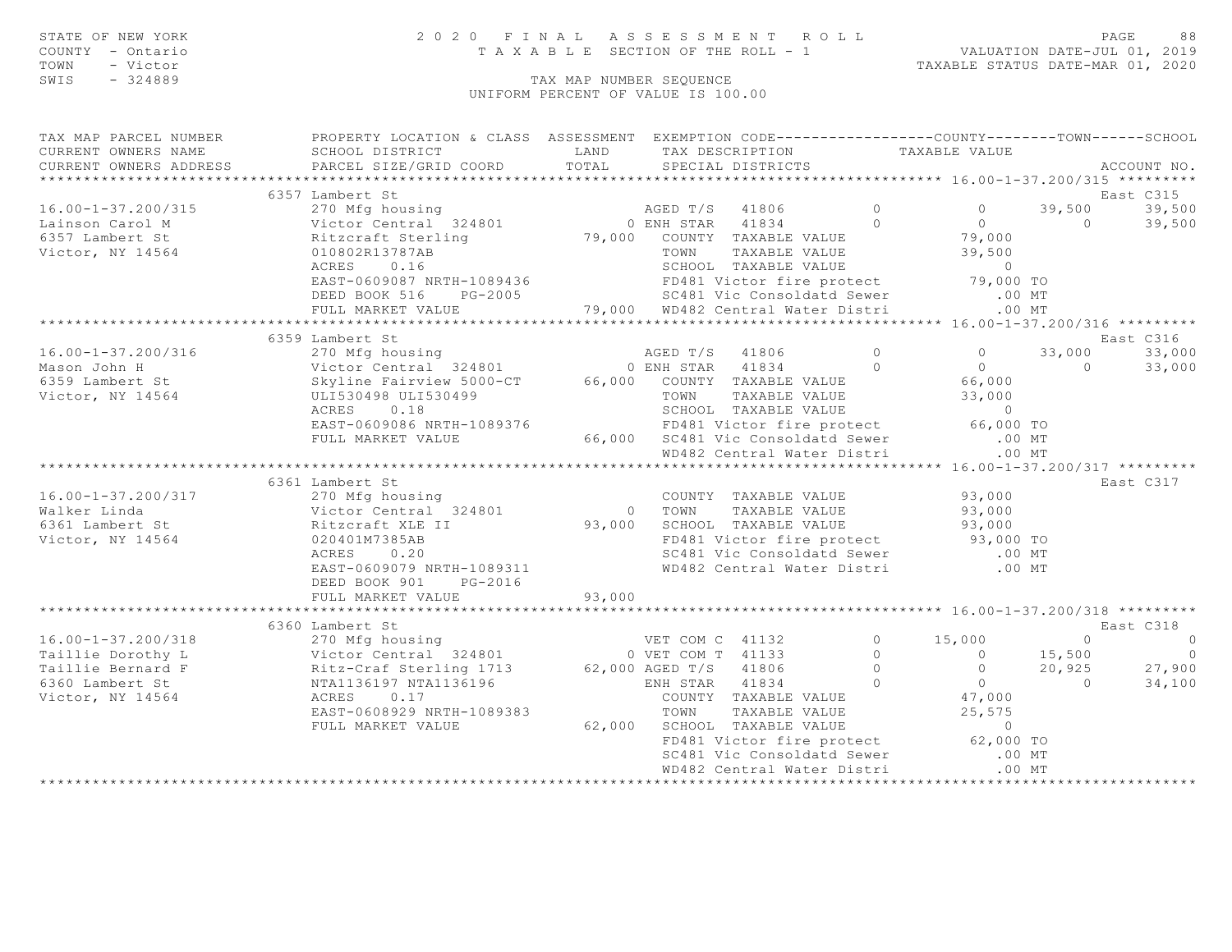| STATE OF NEW YORK | 2020 FINAL ASSESSMENT ROLL      | PAGE                             | 88 |
|-------------------|---------------------------------|----------------------------------|----|
| COUNTY - Ontario  | TAXABLE SECTION OF THE ROLL - 1 | VALUATION DATE-JUL 01, 2019      |    |
| TOWN<br>- Victor  |                                 | TAXABLE STATUS DATE-MAR 01, 2020 |    |
| SWIS<br>$-324889$ | TAX MAP NUMBER SEOUENCE         |                                  |    |

| PARCEL SIZE/GRID COORD TOTAL SPECIAL DISTRICTS<br>ACCOUNT NO.<br>6357 Lambert St<br>East C315<br>16.00-1-37.200/315<br>16.00-1-37.200/315 270 Mfg housing<br>270 Mfg housing<br>270 Mfg housing<br>270 Mfg housing<br>270 Mfg housing<br>29,500<br>29,500<br>29,500<br>2010802R13787AB<br>2016<br>2016<br>2016<br>2016<br>2016<br>2016<br>2016<br>2016<br>2016<br>20<br>COUNTY TAXABLE VALUE<br>TOWN TAXABLE VALUE 39,500<br>SCHOOL TAXABLE VALUE 0<br>FD481 Victor fire protect 79,000 TO<br>SC481 Vic Consoldatd Sewer 0.00 MT<br>EAST-0609087 NRTH-1089436 FD481 Victor fire protect<br>DEED BOOK 516 PG-2005 SC481 Vic Consoldatd Sewer<br>6359 Lambert St<br>East C316<br>16.00-1-37.200/316<br>Mason John H Victor Central 324801 0 ENH STAR 41834 0 0<br>Victor Central 324801 0 ENH STAR 41834 0 0<br>Victor, NY 14564 ULI530498 ULI530499 ACRES 0.18 SCHOOL TAXABLE VALUE 33,000<br>ACRES 0.18 SCHOOL TAXAB<br>$0$ 33,000 33,000<br>0 0 33,000<br>TOWN TAXABLE VALUE<br>TOWN TAXABLE VALUE 33,000<br>SCHOOL TAXABLE VALUE 33,000<br>FD481 Victor fire protect 66,000 TO<br>EXERES 0.18<br>ACRES 0.18 DEAST-0609086 NRTH-1089376 FD481 Victor fire protect 00,000 L-<br>FULL MARKET VALUE 66,000 SC481 Vic Consoldatd Sewer .00 MT<br>WD482 Central Water Distri .00 MT<br>6361 Lambert St<br>East C317<br>FD481 Victor fire protect<br>SC481 Victor fire protect<br>SC481 Vic Consoldatd Sewer 100 MT<br>WD482 Central Water Distri 100 MT<br>EAST-0609079 NRTH-1089311<br>DEED BOOK 901 PG-2016<br>93,000<br>FULL MARKET VALUE<br>East C318<br>$\begin{array}{cccccccc} \text{16.00--1-37.200/318} & & \text{6360 Lambert St} & & \text{VET COM C} & 41132 & 0 & 15,000 & & \text{2000} \\ \text{Taillie Dorothy L} & & \text{70 Mg housing} & & \text{824801} & & \text{0 VET COM C} & 41133 & 0 & 0 & 15,500 \\ \text{Taillie Bernard F} & & \text{Ritz-Craf Sterling 1713} & & \text{62,000 AGED T/S} & 41806 & 0 & 0 & 20,925 \\ \text{6360 Lambert St} & & \text$<br>$\overline{a}$<br>$\bigcirc$<br>27,900<br>34,100<br>EAST-U6U8929 NKIH-1009303<br>FULL MARKET VALUE 62,000 SCHOOL TAXABLE VALUE 62,000 TO<br>FD481 Victor fire protect 62,000 TO<br>SC481 Vic Consoldatd Sewer 0.00 MT<br>.00MT<br>WD482 Central Water Distri | CURRENT OWNERS ADDRESS |  |
|--------------------------------------------------------------------------------------------------------------------------------------------------------------------------------------------------------------------------------------------------------------------------------------------------------------------------------------------------------------------------------------------------------------------------------------------------------------------------------------------------------------------------------------------------------------------------------------------------------------------------------------------------------------------------------------------------------------------------------------------------------------------------------------------------------------------------------------------------------------------------------------------------------------------------------------------------------------------------------------------------------------------------------------------------------------------------------------------------------------------------------------------------------------------------------------------------------------------------------------------------------------------------------------------------------------------------------------------------------------------------------------------------------------------------------------------------------------------------------------------------------------------------------------------------------------------------------------------------------------------------------------------------------------------------------------------------------------------------------------------------------------------------------------------------------------------------------------------------------------------------------------------------------------------------------------------------------------------------------------------------------------------------------------------------------------------------------------------------------------------------------------------------------------------------------------------------------------------------------------------------|------------------------|--|
|                                                                                                                                                                                                                                                                                                                                                                                                                                                                                                                                                                                                                                                                                                                                                                                                                                                                                                                                                                                                                                                                                                                                                                                                                                                                                                                                                                                                                                                                                                                                                                                                                                                                                                                                                                                                                                                                                                                                                                                                                                                                                                                                                                                                                                                  |                        |  |
|                                                                                                                                                                                                                                                                                                                                                                                                                                                                                                                                                                                                                                                                                                                                                                                                                                                                                                                                                                                                                                                                                                                                                                                                                                                                                                                                                                                                                                                                                                                                                                                                                                                                                                                                                                                                                                                                                                                                                                                                                                                                                                                                                                                                                                                  |                        |  |
|                                                                                                                                                                                                                                                                                                                                                                                                                                                                                                                                                                                                                                                                                                                                                                                                                                                                                                                                                                                                                                                                                                                                                                                                                                                                                                                                                                                                                                                                                                                                                                                                                                                                                                                                                                                                                                                                                                                                                                                                                                                                                                                                                                                                                                                  |                        |  |
|                                                                                                                                                                                                                                                                                                                                                                                                                                                                                                                                                                                                                                                                                                                                                                                                                                                                                                                                                                                                                                                                                                                                                                                                                                                                                                                                                                                                                                                                                                                                                                                                                                                                                                                                                                                                                                                                                                                                                                                                                                                                                                                                                                                                                                                  |                        |  |
|                                                                                                                                                                                                                                                                                                                                                                                                                                                                                                                                                                                                                                                                                                                                                                                                                                                                                                                                                                                                                                                                                                                                                                                                                                                                                                                                                                                                                                                                                                                                                                                                                                                                                                                                                                                                                                                                                                                                                                                                                                                                                                                                                                                                                                                  |                        |  |
|                                                                                                                                                                                                                                                                                                                                                                                                                                                                                                                                                                                                                                                                                                                                                                                                                                                                                                                                                                                                                                                                                                                                                                                                                                                                                                                                                                                                                                                                                                                                                                                                                                                                                                                                                                                                                                                                                                                                                                                                                                                                                                                                                                                                                                                  |                        |  |
|                                                                                                                                                                                                                                                                                                                                                                                                                                                                                                                                                                                                                                                                                                                                                                                                                                                                                                                                                                                                                                                                                                                                                                                                                                                                                                                                                                                                                                                                                                                                                                                                                                                                                                                                                                                                                                                                                                                                                                                                                                                                                                                                                                                                                                                  |                        |  |
|                                                                                                                                                                                                                                                                                                                                                                                                                                                                                                                                                                                                                                                                                                                                                                                                                                                                                                                                                                                                                                                                                                                                                                                                                                                                                                                                                                                                                                                                                                                                                                                                                                                                                                                                                                                                                                                                                                                                                                                                                                                                                                                                                                                                                                                  |                        |  |
|                                                                                                                                                                                                                                                                                                                                                                                                                                                                                                                                                                                                                                                                                                                                                                                                                                                                                                                                                                                                                                                                                                                                                                                                                                                                                                                                                                                                                                                                                                                                                                                                                                                                                                                                                                                                                                                                                                                                                                                                                                                                                                                                                                                                                                                  |                        |  |
|                                                                                                                                                                                                                                                                                                                                                                                                                                                                                                                                                                                                                                                                                                                                                                                                                                                                                                                                                                                                                                                                                                                                                                                                                                                                                                                                                                                                                                                                                                                                                                                                                                                                                                                                                                                                                                                                                                                                                                                                                                                                                                                                                                                                                                                  |                        |  |
|                                                                                                                                                                                                                                                                                                                                                                                                                                                                                                                                                                                                                                                                                                                                                                                                                                                                                                                                                                                                                                                                                                                                                                                                                                                                                                                                                                                                                                                                                                                                                                                                                                                                                                                                                                                                                                                                                                                                                                                                                                                                                                                                                                                                                                                  |                        |  |
|                                                                                                                                                                                                                                                                                                                                                                                                                                                                                                                                                                                                                                                                                                                                                                                                                                                                                                                                                                                                                                                                                                                                                                                                                                                                                                                                                                                                                                                                                                                                                                                                                                                                                                                                                                                                                                                                                                                                                                                                                                                                                                                                                                                                                                                  |                        |  |
|                                                                                                                                                                                                                                                                                                                                                                                                                                                                                                                                                                                                                                                                                                                                                                                                                                                                                                                                                                                                                                                                                                                                                                                                                                                                                                                                                                                                                                                                                                                                                                                                                                                                                                                                                                                                                                                                                                                                                                                                                                                                                                                                                                                                                                                  |                        |  |
|                                                                                                                                                                                                                                                                                                                                                                                                                                                                                                                                                                                                                                                                                                                                                                                                                                                                                                                                                                                                                                                                                                                                                                                                                                                                                                                                                                                                                                                                                                                                                                                                                                                                                                                                                                                                                                                                                                                                                                                                                                                                                                                                                                                                                                                  |                        |  |
|                                                                                                                                                                                                                                                                                                                                                                                                                                                                                                                                                                                                                                                                                                                                                                                                                                                                                                                                                                                                                                                                                                                                                                                                                                                                                                                                                                                                                                                                                                                                                                                                                                                                                                                                                                                                                                                                                                                                                                                                                                                                                                                                                                                                                                                  |                        |  |
|                                                                                                                                                                                                                                                                                                                                                                                                                                                                                                                                                                                                                                                                                                                                                                                                                                                                                                                                                                                                                                                                                                                                                                                                                                                                                                                                                                                                                                                                                                                                                                                                                                                                                                                                                                                                                                                                                                                                                                                                                                                                                                                                                                                                                                                  |                        |  |
|                                                                                                                                                                                                                                                                                                                                                                                                                                                                                                                                                                                                                                                                                                                                                                                                                                                                                                                                                                                                                                                                                                                                                                                                                                                                                                                                                                                                                                                                                                                                                                                                                                                                                                                                                                                                                                                                                                                                                                                                                                                                                                                                                                                                                                                  |                        |  |
|                                                                                                                                                                                                                                                                                                                                                                                                                                                                                                                                                                                                                                                                                                                                                                                                                                                                                                                                                                                                                                                                                                                                                                                                                                                                                                                                                                                                                                                                                                                                                                                                                                                                                                                                                                                                                                                                                                                                                                                                                                                                                                                                                                                                                                                  |                        |  |
|                                                                                                                                                                                                                                                                                                                                                                                                                                                                                                                                                                                                                                                                                                                                                                                                                                                                                                                                                                                                                                                                                                                                                                                                                                                                                                                                                                                                                                                                                                                                                                                                                                                                                                                                                                                                                                                                                                                                                                                                                                                                                                                                                                                                                                                  |                        |  |
|                                                                                                                                                                                                                                                                                                                                                                                                                                                                                                                                                                                                                                                                                                                                                                                                                                                                                                                                                                                                                                                                                                                                                                                                                                                                                                                                                                                                                                                                                                                                                                                                                                                                                                                                                                                                                                                                                                                                                                                                                                                                                                                                                                                                                                                  |                        |  |
|                                                                                                                                                                                                                                                                                                                                                                                                                                                                                                                                                                                                                                                                                                                                                                                                                                                                                                                                                                                                                                                                                                                                                                                                                                                                                                                                                                                                                                                                                                                                                                                                                                                                                                                                                                                                                                                                                                                                                                                                                                                                                                                                                                                                                                                  |                        |  |
|                                                                                                                                                                                                                                                                                                                                                                                                                                                                                                                                                                                                                                                                                                                                                                                                                                                                                                                                                                                                                                                                                                                                                                                                                                                                                                                                                                                                                                                                                                                                                                                                                                                                                                                                                                                                                                                                                                                                                                                                                                                                                                                                                                                                                                                  |                        |  |
|                                                                                                                                                                                                                                                                                                                                                                                                                                                                                                                                                                                                                                                                                                                                                                                                                                                                                                                                                                                                                                                                                                                                                                                                                                                                                                                                                                                                                                                                                                                                                                                                                                                                                                                                                                                                                                                                                                                                                                                                                                                                                                                                                                                                                                                  |                        |  |
|                                                                                                                                                                                                                                                                                                                                                                                                                                                                                                                                                                                                                                                                                                                                                                                                                                                                                                                                                                                                                                                                                                                                                                                                                                                                                                                                                                                                                                                                                                                                                                                                                                                                                                                                                                                                                                                                                                                                                                                                                                                                                                                                                                                                                                                  |                        |  |
|                                                                                                                                                                                                                                                                                                                                                                                                                                                                                                                                                                                                                                                                                                                                                                                                                                                                                                                                                                                                                                                                                                                                                                                                                                                                                                                                                                                                                                                                                                                                                                                                                                                                                                                                                                                                                                                                                                                                                                                                                                                                                                                                                                                                                                                  |                        |  |
|                                                                                                                                                                                                                                                                                                                                                                                                                                                                                                                                                                                                                                                                                                                                                                                                                                                                                                                                                                                                                                                                                                                                                                                                                                                                                                                                                                                                                                                                                                                                                                                                                                                                                                                                                                                                                                                                                                                                                                                                                                                                                                                                                                                                                                                  |                        |  |
|                                                                                                                                                                                                                                                                                                                                                                                                                                                                                                                                                                                                                                                                                                                                                                                                                                                                                                                                                                                                                                                                                                                                                                                                                                                                                                                                                                                                                                                                                                                                                                                                                                                                                                                                                                                                                                                                                                                                                                                                                                                                                                                                                                                                                                                  |                        |  |
|                                                                                                                                                                                                                                                                                                                                                                                                                                                                                                                                                                                                                                                                                                                                                                                                                                                                                                                                                                                                                                                                                                                                                                                                                                                                                                                                                                                                                                                                                                                                                                                                                                                                                                                                                                                                                                                                                                                                                                                                                                                                                                                                                                                                                                                  |                        |  |
|                                                                                                                                                                                                                                                                                                                                                                                                                                                                                                                                                                                                                                                                                                                                                                                                                                                                                                                                                                                                                                                                                                                                                                                                                                                                                                                                                                                                                                                                                                                                                                                                                                                                                                                                                                                                                                                                                                                                                                                                                                                                                                                                                                                                                                                  |                        |  |
|                                                                                                                                                                                                                                                                                                                                                                                                                                                                                                                                                                                                                                                                                                                                                                                                                                                                                                                                                                                                                                                                                                                                                                                                                                                                                                                                                                                                                                                                                                                                                                                                                                                                                                                                                                                                                                                                                                                                                                                                                                                                                                                                                                                                                                                  |                        |  |
|                                                                                                                                                                                                                                                                                                                                                                                                                                                                                                                                                                                                                                                                                                                                                                                                                                                                                                                                                                                                                                                                                                                                                                                                                                                                                                                                                                                                                                                                                                                                                                                                                                                                                                                                                                                                                                                                                                                                                                                                                                                                                                                                                                                                                                                  |                        |  |
|                                                                                                                                                                                                                                                                                                                                                                                                                                                                                                                                                                                                                                                                                                                                                                                                                                                                                                                                                                                                                                                                                                                                                                                                                                                                                                                                                                                                                                                                                                                                                                                                                                                                                                                                                                                                                                                                                                                                                                                                                                                                                                                                                                                                                                                  |                        |  |
|                                                                                                                                                                                                                                                                                                                                                                                                                                                                                                                                                                                                                                                                                                                                                                                                                                                                                                                                                                                                                                                                                                                                                                                                                                                                                                                                                                                                                                                                                                                                                                                                                                                                                                                                                                                                                                                                                                                                                                                                                                                                                                                                                                                                                                                  |                        |  |
|                                                                                                                                                                                                                                                                                                                                                                                                                                                                                                                                                                                                                                                                                                                                                                                                                                                                                                                                                                                                                                                                                                                                                                                                                                                                                                                                                                                                                                                                                                                                                                                                                                                                                                                                                                                                                                                                                                                                                                                                                                                                                                                                                                                                                                                  |                        |  |
|                                                                                                                                                                                                                                                                                                                                                                                                                                                                                                                                                                                                                                                                                                                                                                                                                                                                                                                                                                                                                                                                                                                                                                                                                                                                                                                                                                                                                                                                                                                                                                                                                                                                                                                                                                                                                                                                                                                                                                                                                                                                                                                                                                                                                                                  |                        |  |
|                                                                                                                                                                                                                                                                                                                                                                                                                                                                                                                                                                                                                                                                                                                                                                                                                                                                                                                                                                                                                                                                                                                                                                                                                                                                                                                                                                                                                                                                                                                                                                                                                                                                                                                                                                                                                                                                                                                                                                                                                                                                                                                                                                                                                                                  |                        |  |
|                                                                                                                                                                                                                                                                                                                                                                                                                                                                                                                                                                                                                                                                                                                                                                                                                                                                                                                                                                                                                                                                                                                                                                                                                                                                                                                                                                                                                                                                                                                                                                                                                                                                                                                                                                                                                                                                                                                                                                                                                                                                                                                                                                                                                                                  |                        |  |
|                                                                                                                                                                                                                                                                                                                                                                                                                                                                                                                                                                                                                                                                                                                                                                                                                                                                                                                                                                                                                                                                                                                                                                                                                                                                                                                                                                                                                                                                                                                                                                                                                                                                                                                                                                                                                                                                                                                                                                                                                                                                                                                                                                                                                                                  |                        |  |
|                                                                                                                                                                                                                                                                                                                                                                                                                                                                                                                                                                                                                                                                                                                                                                                                                                                                                                                                                                                                                                                                                                                                                                                                                                                                                                                                                                                                                                                                                                                                                                                                                                                                                                                                                                                                                                                                                                                                                                                                                                                                                                                                                                                                                                                  |                        |  |
|                                                                                                                                                                                                                                                                                                                                                                                                                                                                                                                                                                                                                                                                                                                                                                                                                                                                                                                                                                                                                                                                                                                                                                                                                                                                                                                                                                                                                                                                                                                                                                                                                                                                                                                                                                                                                                                                                                                                                                                                                                                                                                                                                                                                                                                  |                        |  |
|                                                                                                                                                                                                                                                                                                                                                                                                                                                                                                                                                                                                                                                                                                                                                                                                                                                                                                                                                                                                                                                                                                                                                                                                                                                                                                                                                                                                                                                                                                                                                                                                                                                                                                                                                                                                                                                                                                                                                                                                                                                                                                                                                                                                                                                  |                        |  |
|                                                                                                                                                                                                                                                                                                                                                                                                                                                                                                                                                                                                                                                                                                                                                                                                                                                                                                                                                                                                                                                                                                                                                                                                                                                                                                                                                                                                                                                                                                                                                                                                                                                                                                                                                                                                                                                                                                                                                                                                                                                                                                                                                                                                                                                  |                        |  |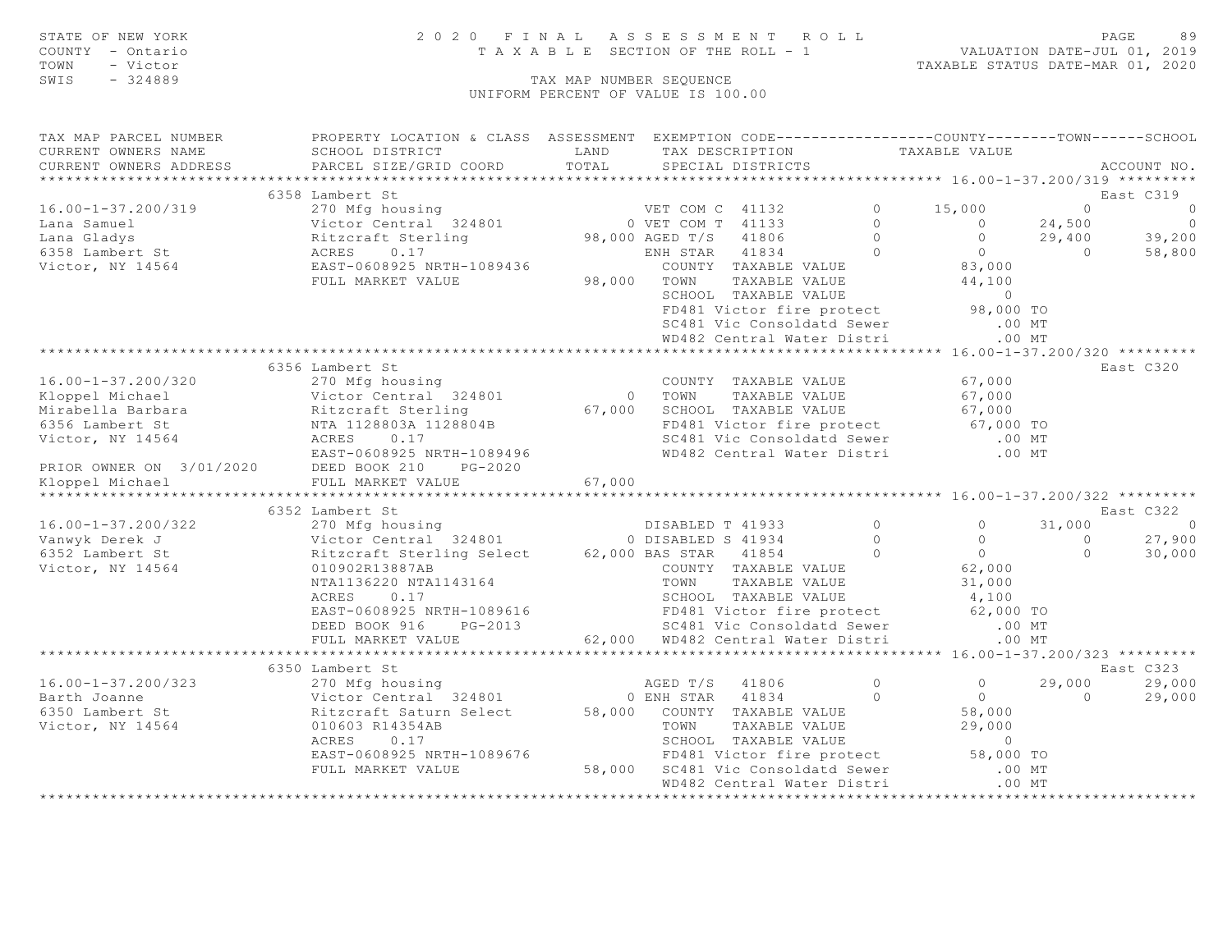| STATE OF NEW YORK | 2020 FINAL ASSESSMENT ROLL         | 89<br>PAGE                       |
|-------------------|------------------------------------|----------------------------------|
| COUNTY - Ontario  | TAXABLE SECTION OF THE ROLL - 1    | VALUATION DATE-JUL 01, 2019      |
| TOWN<br>- Victor  |                                    | TAXABLE STATUS DATE-MAR 01, 2020 |
| SWIS<br>- 324889  | TAX MAP NUMBER SEOUENCE            |                                  |
|                   | UNIFORM PERCENT OF VALUE IS 100.00 |                                  |

| TAX MAP PARCEL NUMBER                  | PROPERTY LOCATION & CLASS ASSESSMENT EXEMPTION CODE---------------COUNTY-------TOWN------SCHOOL                                                                                                                                                                           |        |                                                                                              |                      |                                                                                            |                |
|----------------------------------------|---------------------------------------------------------------------------------------------------------------------------------------------------------------------------------------------------------------------------------------------------------------------------|--------|----------------------------------------------------------------------------------------------|----------------------|--------------------------------------------------------------------------------------------|----------------|
| CURRENT OWNERS NAME                    | SCHOOL DISTRICT                                                                                                                                                                                                                                                           | LAND   | TAX DESCRIPTION                                                                              | TAXABLE VALUE        |                                                                                            |                |
|                                        |                                                                                                                                                                                                                                                                           |        |                                                                                              |                      |                                                                                            |                |
|                                        |                                                                                                                                                                                                                                                                           |        |                                                                                              |                      |                                                                                            |                |
|                                        | 6358 Lambert St                                                                                                                                                                                                                                                           |        |                                                                                              |                      |                                                                                            | East C319      |
|                                        |                                                                                                                                                                                                                                                                           |        |                                                                                              |                      |                                                                                            | $\overline{0}$ |
|                                        |                                                                                                                                                                                                                                                                           |        |                                                                                              |                      |                                                                                            | $\overline{0}$ |
|                                        |                                                                                                                                                                                                                                                                           |        |                                                                                              |                      | $\begin{array}{ccc} 0 & \quad & 24\,,500\ 0 & \quad & 29\,,400\ 0 & \quad & 0 \end{array}$ | 39,200         |
|                                        |                                                                                                                                                                                                                                                                           |        |                                                                                              |                      |                                                                                            | 58,800         |
|                                        | 16.00-1-37.200/319<br>16.00-1-37.200/319<br>15,000<br>15,000<br>15,000<br>15,000<br>15,000<br>15,000<br>15,000<br>15,000<br>24,500<br>16.00-1-37.200/319<br>270 Miguor Central 324801<br>24,500<br>24,500<br>24,500<br>24,500<br>24,500<br>24,500<br>24,500<br>24,500<br> |        |                                                                                              |                      |                                                                                            |                |
|                                        |                                                                                                                                                                                                                                                                           |        |                                                                                              |                      |                                                                                            |                |
|                                        |                                                                                                                                                                                                                                                                           |        | SCHOOL TAXABLE VALUE                                                                         | $\overline{0}$       |                                                                                            |                |
|                                        |                                                                                                                                                                                                                                                                           |        | 0 0<br>FD481 Victor fire protect 98,000 TO                                                   |                      |                                                                                            |                |
|                                        |                                                                                                                                                                                                                                                                           |        | SC481 Vic Consoldatd Sewer .00 MT                                                            |                      |                                                                                            |                |
|                                        |                                                                                                                                                                                                                                                                           |        | WD482 Central Water Distri                                                                   | $.00$ MT             |                                                                                            |                |
|                                        |                                                                                                                                                                                                                                                                           |        |                                                                                              |                      |                                                                                            |                |
|                                        | 6356 Lambert St                                                                                                                                                                                                                                                           |        |                                                                                              |                      |                                                                                            | East C320      |
| 16.00-1-37.200/320                     | 270 Mfg housing                                                                                                                                                                                                                                                           |        | COUNTY TAXABLE VALUE                                                                         | 67,000               |                                                                                            |                |
|                                        |                                                                                                                                                                                                                                                                           | 0 TOWN |                                                                                              | TAXABLE VALUE 67,000 |                                                                                            |                |
|                                        |                                                                                                                                                                                                                                                                           |        |                                                                                              |                      |                                                                                            |                |
|                                        |                                                                                                                                                                                                                                                                           |        | 67,000 SCHOOL TAXABLE VALUE 67,000 67,000 FD481 Victor fire protect 67,000 TO                |                      |                                                                                            |                |
|                                        |                                                                                                                                                                                                                                                                           |        |                                                                                              |                      |                                                                                            |                |
|                                        | EAST-0608925 NRTH-1089496                                                                                                                                                                                                                                                 |        | SC481 Vic Consoldatd Sewer .00 MT<br>WD482 Central Water Distri .00 MT                       |                      |                                                                                            |                |
| PRIOR OWNER ON 3/01/2020 DEED BOOK 210 | PG-2020                                                                                                                                                                                                                                                                   |        |                                                                                              |                      |                                                                                            |                |
| Kloppel Michael                        | FULL MARKET VALUE                                                                                                                                                                                                                                                         | 67,000 |                                                                                              |                      |                                                                                            |                |
|                                        |                                                                                                                                                                                                                                                                           |        |                                                                                              |                      |                                                                                            |                |
|                                        | 6352 Lambert St                                                                                                                                                                                                                                                           |        |                                                                                              |                      |                                                                                            | East C322      |
| 16.00-1-37.200/322                     |                                                                                                                                                                                                                                                                           |        |                                                                                              | $\overline{0}$ 0     | 31,000                                                                                     | $\overline{0}$ |
| Vanwyk Derek J                         |                                                                                                                                                                                                                                                                           |        |                                                                                              |                      | $\Omega$                                                                                   | 27,900         |
| 6352 Lambert St                        | 22 270 Mfg housing<br>Victor Central 324801 0 DISABLED S 41934<br>Ritzcraft Sterling Select 62,000 BAS STAR 41854<br>010902R13887AB                                                                                                                                       |        |                                                                                              |                      | $\Omega$                                                                                   | 30,000         |
| Victor, NY 14564                       |                                                                                                                                                                                                                                                                           |        | COUNTY TAXABLE VALUE                                                                         |                      |                                                                                            |                |
|                                        | NTA1136220 NTA1143164                                                                                                                                                                                                                                                     |        | TOWN TAXABLE VALUE<br>SCHOOL TAXABLE VALUE<br>TAXABLE VALUE                                  | 31,000               |                                                                                            |                |
|                                        | ACRES 0.17                                                                                                                                                                                                                                                                |        |                                                                                              | 4,100                |                                                                                            |                |
|                                        |                                                                                                                                                                                                                                                                           |        |                                                                                              |                      |                                                                                            |                |
|                                        | EAST-0608925 NRTH-1089616<br>EAST-0608925 NRTH-1089616<br>DEED BOOK 916 PG-2013 62,000 WD482 Central Water Distri .00 MT<br>FULL MARKET VALUE 62,000 WD482 Central Water Distri .00 MT                                                                                    |        |                                                                                              |                      |                                                                                            |                |
|                                        |                                                                                                                                                                                                                                                                           |        |                                                                                              |                      |                                                                                            |                |
|                                        |                                                                                                                                                                                                                                                                           |        |                                                                                              |                      |                                                                                            |                |
|                                        | 6350 Lambert St                                                                                                                                                                                                                                                           |        |                                                                                              |                      |                                                                                            | East C323      |
| $16.00 - 1 - 37.200 / 323$             |                                                                                                                                                                                                                                                                           |        |                                                                                              |                      | $0 \t 29,000$                                                                              | 29,000         |
| Barth Joanne                           |                                                                                                                                                                                                                                                                           |        |                                                                                              | $\bigcirc$           | $\Omega$                                                                                   | 29,000         |
| 6350 Lambert St                        | 270 Mfg housing<br>270 Mfg housing<br>Victor Central 324801 0 BNH STAR 41834 0<br>Ritzcraft Saturn Select 58,000 COUNTY TAXABLE VALUE                                                                                                                                     |        |                                                                                              | 58,000               |                                                                                            |                |
| Victor, NY 14564                       | 010603 R14354AB                                                                                                                                                                                                                                                           |        |                                                                                              |                      |                                                                                            |                |
|                                        | 0.17<br>ACRES                                                                                                                                                                                                                                                             |        |                                                                                              |                      |                                                                                            |                |
|                                        | EAST-0608925 NRTH-1089676                                                                                                                                                                                                                                                 |        | TOWN TAXABLE VALUE $29,000$<br>SCHOOL TAXABLE VALUE 0<br>FD481 Victor fire protect 58,000 TO |                      |                                                                                            |                |
|                                        | FULL MARKET VALUE                                                                                                                                                                                                                                                         |        | 1089670<br>58,000 SC481 Vic Consoldatd Sewer<br>MD482 Central Water Distri                   | .00 MT               |                                                                                            |                |
|                                        |                                                                                                                                                                                                                                                                           |        |                                                                                              | .00MT                |                                                                                            |                |
|                                        |                                                                                                                                                                                                                                                                           |        |                                                                                              |                      |                                                                                            |                |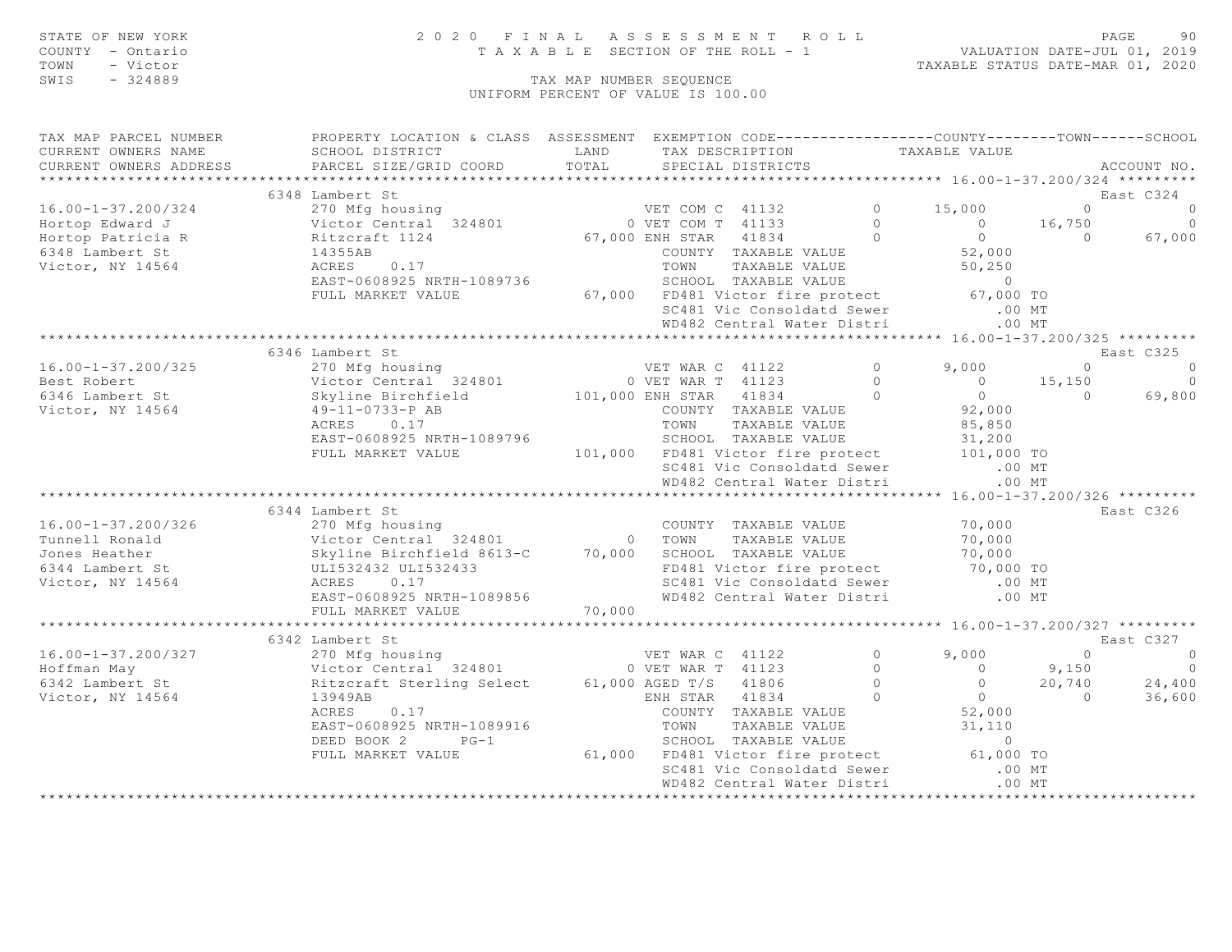| STATE OF NEW YORK<br>COUNTY - Ontario<br>TOWN<br>- Victor<br>SWIS<br>$-324889$                                                                                                                                                                 |                                                                                                                                                            | TAX MAP NUMBER SEQUENCE       | 2020 FINAL ASSESSMENT ROLL<br>TAXABLE SECTION OF THE ROLL - 1 VALUATION DATE-JUL 01, 2019<br>UNIFORM PERCENT OF VALUE IS 100.00 |                                       | TAXABLE STATUS DATE-MAR 01, 2020                    |          | PAGE<br>90     |
|------------------------------------------------------------------------------------------------------------------------------------------------------------------------------------------------------------------------------------------------|------------------------------------------------------------------------------------------------------------------------------------------------------------|-------------------------------|---------------------------------------------------------------------------------------------------------------------------------|---------------------------------------|-----------------------------------------------------|----------|----------------|
|                                                                                                                                                                                                                                                |                                                                                                                                                            |                               |                                                                                                                                 |                                       |                                                     |          |                |
| CURRENT OWNERS NAME                                                                                                                                                                                                                            | TAX MAP PARCEL NUMBER <a> PROPERTY LOCATION &amp; CLASS ASSESSMENT EXEMPTION CODE--------------COUNTY-------TOWN------SCHOOL<br/>SCHOOL DISTRICT</a>       | LAND                          | TAX DESCRIPTION                                                                                                                 |                                       | TAXABLE VALUE                                       |          |                |
| CURRENT OWNERS ADDRESS                                                                                                                                                                                                                         | PARCEL SIZE/GRID COORD                                                                                                                                     | TOTAL                         | SPECIAL DISTRICTS                                                                                                               |                                       |                                                     |          | ACCOUNT NO.    |
|                                                                                                                                                                                                                                                | 6348 Lambert St                                                                                                                                            |                               |                                                                                                                                 |                                       | ***************** 16.00-1-37.200/324 *********      |          | East C324      |
| 16.00-1-37.200/324<br>Hortop Edward J<br>Hortop Patricia R<br>6348 Lambert St<br>Victor, NY 14564<br>Wictor, NY 14564<br>Reas 0.17<br>FAST-060925 NETH 100005                                                                                  |                                                                                                                                                            |                               | VET COM C 41132                                                                                                                 |                                       | $0 \t 15,000$                                       | $\Omega$ | $\overline{0}$ |
|                                                                                                                                                                                                                                                |                                                                                                                                                            |                               | 0 VET COM T 41133                                                                                                               |                                       | 0 $16,750$                                          |          | $\circ$        |
|                                                                                                                                                                                                                                                |                                                                                                                                                            |                               | U VEI CON 1<br>67,000 ENH STAR 41834<br>CONNURY TAXABLE                                                                         | $\begin{array}{c} 0 \\ 0 \end{array}$ | $\overline{0}$                                      | $\sim$ 0 | 67,000         |
|                                                                                                                                                                                                                                                |                                                                                                                                                            |                               | COUNTY TAXABLE VALUE                                                                                                            |                                       | 52,000                                              |          |                |
|                                                                                                                                                                                                                                                |                                                                                                                                                            |                               | TOWN       TAXABLE  VALUE<br>SCHOOL    TAXABLE  VALUE                                                                           |                                       | 50,250                                              |          |                |
|                                                                                                                                                                                                                                                | EAST-0608925 NRTH-1089736                                                                                                                                  |                               | SCHOOL TAXABLE VALUE<br>67,000 FD481 Victor fire protect                                                                        |                                       | $\overline{0}$                                      |          |                |
|                                                                                                                                                                                                                                                | FULL MARKET VALUE                                                                                                                                          |                               |                                                                                                                                 |                                       | 67,000 TO                                           |          |                |
|                                                                                                                                                                                                                                                |                                                                                                                                                            |                               | SC481 Vic Consoldatd Sewer<br>WD482 Central Water Distri                                                                        |                                       | $.00$ MT<br>$.00$ MT                                |          |                |
|                                                                                                                                                                                                                                                |                                                                                                                                                            |                               |                                                                                                                                 |                                       |                                                     |          |                |
|                                                                                                                                                                                                                                                | 6346 Lambert St                                                                                                                                            |                               |                                                                                                                                 |                                       |                                                     |          | East C325      |
| $16.00 - 1 - 37.200 / 325$                                                                                                                                                                                                                     | 270 Minutes below and the 270 Mfg housing                                                                                                                  |                               | VET WAR C 41122                                                                                                                 |                                       | $0 \t 9,000$                                        | $\Omega$ | $\overline{0}$ |
| Best Robert                                                                                                                                                                                                                                    | Victor Central 324801                                                                                                                                      |                               | 0 VET WAR T 41123                                                                                                               |                                       |                                                     |          | $\overline{0}$ |
| 6346 Lambert St                                                                                                                                                                                                                                |                                                                                                                                                            |                               |                                                                                                                                 | $\begin{array}{c} 0 \\ 0 \end{array}$ | $0$ 15, 150<br>0 0<br>92, 000                       |          | 69,800         |
| Victor, NY 14564                                                                                                                                                                                                                               | Victor Central 324001<br>Skyline Birchfield 101,000 ENH STAR 41834<br>49-11-0733-P AB COUNTY TAXABLE                                                       |                               | COUNTY TAXABLE VALUE                                                                                                            |                                       |                                                     |          |                |
|                                                                                                                                                                                                                                                | ACRES 0.17                                                                                                                                                 |                               | TOWN       TAXABLE  VALUE<br>SCHOOL    TAXABLE  VALUE                                                                           |                                       | 85,850<br>31,200                                    |          |                |
|                                                                                                                                                                                                                                                |                                                                                                                                                            |                               |                                                                                                                                 |                                       |                                                     |          |                |
|                                                                                                                                                                                                                                                |                                                                                                                                                            |                               |                                                                                                                                 |                                       | 101,000 TO                                          |          |                |
|                                                                                                                                                                                                                                                | ACRES 0.1/<br>EAST-0608925 NRTH-1089796 SCHOOL TAXABLE VALUE<br>FULL MARKET VALUE 101,000 FD481 Victor fire protect<br>SC481 Vic Consoldatd Sewer          |                               | WD482 Central Water Distri                                                                                                      |                                       | .00 MT<br>$.00$ MT                                  |          |                |
|                                                                                                                                                                                                                                                |                                                                                                                                                            |                               |                                                                                                                                 |                                       |                                                     |          |                |
|                                                                                                                                                                                                                                                | 6344 Lambert St                                                                                                                                            |                               |                                                                                                                                 |                                       |                                                     |          | East C326      |
|                                                                                                                                                                                                                                                |                                                                                                                                                            |                               |                                                                                                                                 |                                       | 70,000                                              |          |                |
|                                                                                                                                                                                                                                                |                                                                                                                                                            |                               |                                                                                                                                 |                                       | 70,000                                              |          |                |
|                                                                                                                                                                                                                                                |                                                                                                                                                            |                               |                                                                                                                                 |                                       | 70,000                                              |          |                |
|                                                                                                                                                                                                                                                |                                                                                                                                                            |                               | FD481 Victor fire protect<br>SC481 Vic Consoldatd Sewer                                                                         |                                       | 70,000 TO                                           |          |                |
| Tunnell Ronald COUNTY TAXABLE VALUE<br>Jones Heather Skyline Birchfield 8613-C<br>SA44 Lambert St ULI532432 ULI532433<br>Victor, NY 14564<br>Victor, NY 14564<br>COUNTY TAXABLE VALUE<br>COUNTY TAXABLE VALUE<br>O TOWN TAXABLE VALUE<br>TO TO |                                                                                                                                                            |                               |                                                                                                                                 |                                       | .00 MT                                              |          |                |
|                                                                                                                                                                                                                                                | EAST-0608925 NRTH-1089856                                                                                                                                  |                               | WD482 Central Water Distri                                                                                                      |                                       | $.00$ MT                                            |          |                |
|                                                                                                                                                                                                                                                | FULL MARKET VALUE                                                                                                                                          | 70,000<br>******************* |                                                                                                                                 |                                       | ********************** 16.00-1-37.200/327 ********* |          |                |
|                                                                                                                                                                                                                                                | 6342 Lambert St                                                                                                                                            |                               |                                                                                                                                 |                                       |                                                     |          | East C327      |
| $16.00 - 1 - 37.200 / 327$                                                                                                                                                                                                                     |                                                                                                                                                            |                               |                                                                                                                                 | $\overline{0}$                        | 9,000                                               | $\Omega$ | $\overline{0}$ |
| Hoffman May                                                                                                                                                                                                                                    | 270 Mfg housing<br>VET WAR C 41122<br>Victor Central 324801 0 VET WAR T 41123<br>Ritzcraft Sterling Select 61,000 AGED T/S 41806<br>13949AB ENH STAR 41834 |                               |                                                                                                                                 |                                       |                                                     | 9,150    | $\circ$        |
| 6342 Lambert St                                                                                                                                                                                                                                |                                                                                                                                                            |                               |                                                                                                                                 |                                       | $\begin{matrix} 0&&&0\\ 0&&&0\\ 0&&&0 \end{matrix}$ | 20,740   | 24,400         |
| Victor, NY 14564                                                                                                                                                                                                                               | 0.17                                                                                                                                                       |                               |                                                                                                                                 |                                       |                                                     | $\Omega$ | 36,600         |
|                                                                                                                                                                                                                                                | ACRES                                                                                                                                                      |                               | COUNTY TAXABLE VALUE                                                                                                            |                                       | $0$ 20, 7.<br>0<br>52, 000                          |          |                |
|                                                                                                                                                                                                                                                | EAST-0608925 NRTH-1089916                                                                                                                                  |                               | TOWN      TAXABLE VALUE<br>SCHOOL   TAXABLE VALUE                                                                               |                                       | 31,110                                              |          |                |
|                                                                                                                                                                                                                                                | DEED BOOK 2 PG-1                                                                                                                                           |                               | 61,000 FD481 Victor fire protect                                                                                                |                                       | $\overline{0}$                                      |          |                |
|                                                                                                                                                                                                                                                | FULL MARKET VALUE                                                                                                                                          |                               |                                                                                                                                 |                                       | 61,000 TO                                           |          |                |
|                                                                                                                                                                                                                                                |                                                                                                                                                            |                               | SC481 Vic Consoldatd Sewer<br>WD482 Central Water Distri                                                                        |                                       | .00MT<br>$.00$ MT                                   |          |                |
|                                                                                                                                                                                                                                                |                                                                                                                                                            |                               |                                                                                                                                 |                                       |                                                     |          |                |
|                                                                                                                                                                                                                                                |                                                                                                                                                            |                               |                                                                                                                                 |                                       |                                                     |          |                |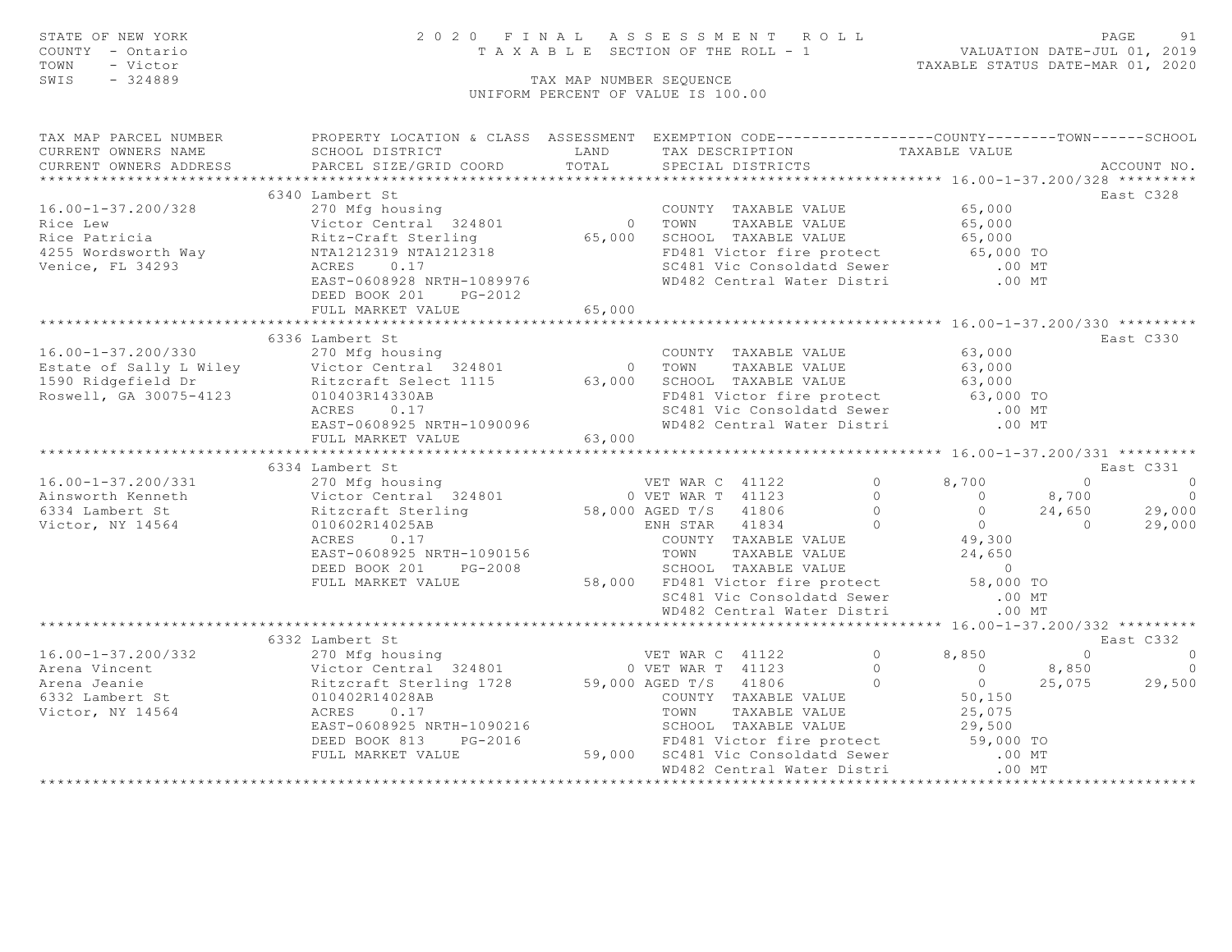| STATE OF NEW YORK<br>COUNTY - Ontario<br>TOWN - Victor<br>SWIS - 324889 | 2020 FINAL ASSESSMENT ROLL PAGE 91<br>TAXABLE SECTION OF THE ROLL - 1 VALUATION DATE-JUL 01, 2019<br>TAX MAP NUMBER SEQUENCE UNIFORM PERCENT OF VALUE IS 100.00                                                                                              |        |  |           |
|-------------------------------------------------------------------------|--------------------------------------------------------------------------------------------------------------------------------------------------------------------------------------------------------------------------------------------------------------|--------|--|-----------|
|                                                                         |                                                                                                                                                                                                                                                              |        |  |           |
|                                                                         |                                                                                                                                                                                                                                                              |        |  |           |
|                                                                         |                                                                                                                                                                                                                                                              |        |  |           |
|                                                                         | 6340 Lambert St                                                                                                                                                                                                                                              |        |  | East C328 |
|                                                                         | 16.00-1-37.200/328<br>Rice Lew Victor Central 324801<br>Rice Lew Victor Central 324801<br>Rice Patricia Ritz-Craft Sterling 65,000 SCHOOL TAXABLE VALUE 65,000<br>Rice Patricia Ritz-Craft Sterling 65,000 SCHOOL TAXABLE VALUE 65,<br>DEED BOOK 201 PG-2012 |        |  |           |
|                                                                         | FULL MARKET VALUE                                                                                                                                                                                                                                            | 65,000 |  |           |
|                                                                         | 6336 Lambert St                                                                                                                                                                                                                                              |        |  | East C330 |
|                                                                         | 63,000 6336 Lampert St<br>Estate of Sally L Wiley Victor Central 324801 63,000 70WN TAXABLE VALUE<br>TO Ridgefield Dr Ritzcraft Select 1115 63,000 SCHOOL TAXABLE VALUE 63,000 1590 Ridgefield Dr Ritzcraft Select 1115 63,000 SCH                           |        |  |           |
|                                                                         |                                                                                                                                                                                                                                                              |        |  |           |
|                                                                         |                                                                                                                                                                                                                                                              |        |  |           |
|                                                                         |                                                                                                                                                                                                                                                              |        |  |           |
|                                                                         |                                                                                                                                                                                                                                                              |        |  |           |
|                                                                         | 6332 Lambert St                                                                                                                                                                                                                                              |        |  | East C332 |
|                                                                         |                                                                                                                                                                                                                                                              |        |  |           |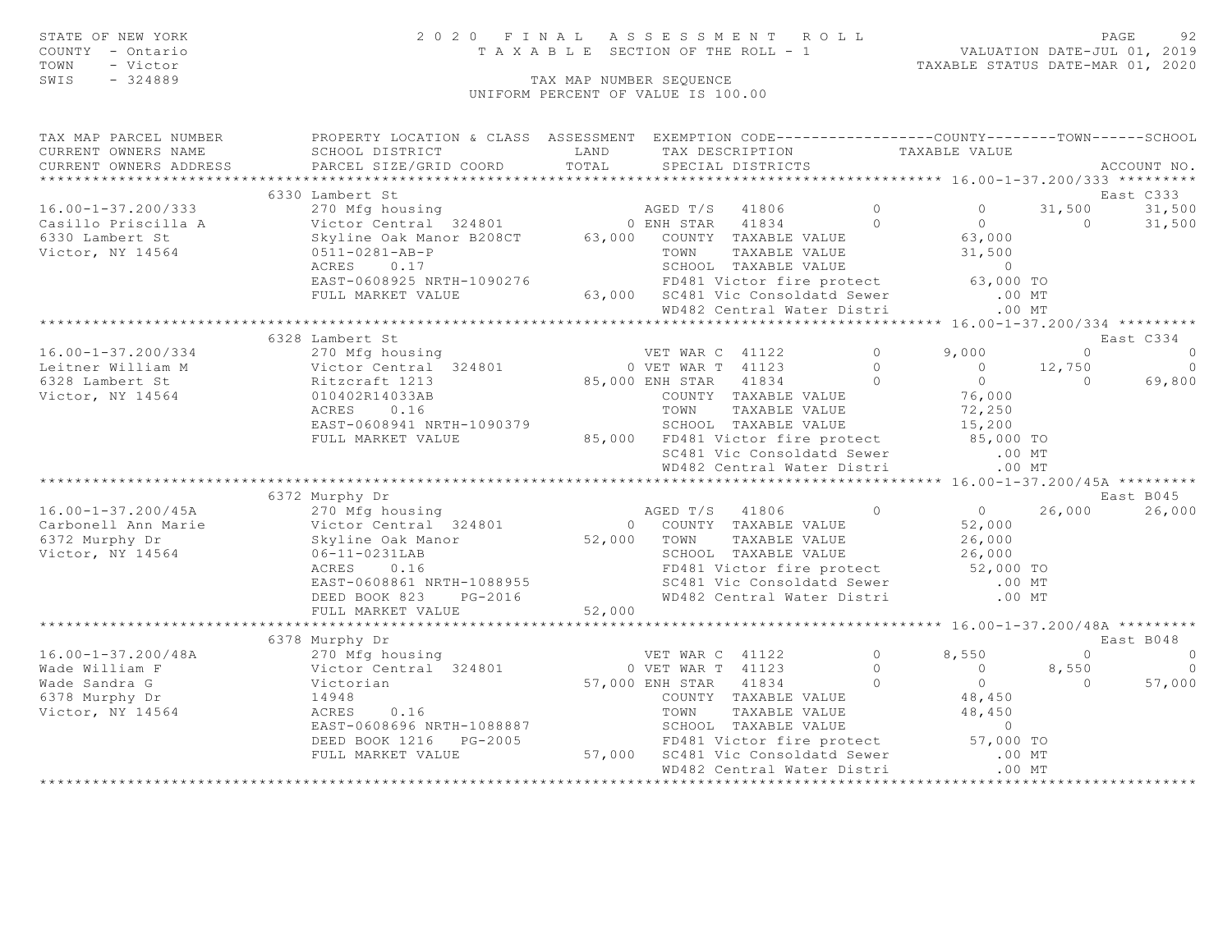| STATE OF NEW YORK<br>COUNTY - Ontario<br>TOWN - Victor<br>SWIS - 324889                                                                                                                                                                    |                                                                                                                                                                                                                             | PAGE 92 0 2 0 FINAL ASSESSMENT ROLL (PAGE 92<br>TAXABLE SECTION OF THE ROLL - 1 VALUATION DATE-JUL 01, 2019<br>TAX MAP NUMBER SEQUENCE<br>UNIFORM PERCENT OF VALUE IS 100.00 |  |                  |                |
|--------------------------------------------------------------------------------------------------------------------------------------------------------------------------------------------------------------------------------------------|-----------------------------------------------------------------------------------------------------------------------------------------------------------------------------------------------------------------------------|------------------------------------------------------------------------------------------------------------------------------------------------------------------------------|--|------------------|----------------|
|                                                                                                                                                                                                                                            |                                                                                                                                                                                                                             |                                                                                                                                                                              |  |                  |                |
| CURRENT OWNERS NAME                                                                                                                                                                                                                        | TAX MAP PARCEL NUMBER PROPERTY LOCATION & CLASS ASSESSMENT EXEMPTION CODE---------------COUNTY-------TOWN------SCHOOL<br>SCHOOL DISTRICT                       LAND         TAX DESCRIPTION                   TAXABLE VALUE |                                                                                                                                                                              |  |                  |                |
|                                                                                                                                                                                                                                            | CURRENT OWNERS ADDRESS PARCEL SIZE/GRID COORD TOTAL                                                                                                                                                                         | SPECIAL DISTRICTS                                                                                                                                                            |  |                  | ACCOUNT NO.    |
|                                                                                                                                                                                                                                            | 6330 Lambert St                                                                                                                                                                                                             |                                                                                                                                                                              |  |                  | East C333      |
| East C333<br>Casillo Priscilla A (1806 - 270 Mfg housing<br>Casillo Priscilla A (1806 - 2006)<br>Casillo Priscilla A (1806 - 2006)<br>Casillo Priscilla A (1806 - 2006)<br>Skyline Oak Manor B208CT - 63,000 COUNTY TAXABLE VALUE<br>CACRE |                                                                                                                                                                                                                             |                                                                                                                                                                              |  |                  |                |
|                                                                                                                                                                                                                                            |                                                                                                                                                                                                                             |                                                                                                                                                                              |  |                  |                |
|                                                                                                                                                                                                                                            |                                                                                                                                                                                                                             |                                                                                                                                                                              |  |                  |                |
|                                                                                                                                                                                                                                            |                                                                                                                                                                                                                             |                                                                                                                                                                              |  |                  |                |
|                                                                                                                                                                                                                                            |                                                                                                                                                                                                                             |                                                                                                                                                                              |  |                  |                |
|                                                                                                                                                                                                                                            |                                                                                                                                                                                                                             |                                                                                                                                                                              |  |                  |                |
|                                                                                                                                                                                                                                            |                                                                                                                                                                                                                             |                                                                                                                                                                              |  |                  |                |
|                                                                                                                                                                                                                                            |                                                                                                                                                                                                                             |                                                                                                                                                                              |  |                  |                |
|                                                                                                                                                                                                                                            | 6328 Lambert St                                                                                                                                                                                                             |                                                                                                                                                                              |  |                  | East C334      |
|                                                                                                                                                                                                                                            |                                                                                                                                                                                                                             |                                                                                                                                                                              |  | $\overline{0}$ 0 |                |
|                                                                                                                                                                                                                                            |                                                                                                                                                                                                                             |                                                                                                                                                                              |  |                  | $\overline{0}$ |
|                                                                                                                                                                                                                                            |                                                                                                                                                                                                                             |                                                                                                                                                                              |  |                  | 69,800         |
|                                                                                                                                                                                                                                            |                                                                                                                                                                                                                             |                                                                                                                                                                              |  |                  |                |
|                                                                                                                                                                                                                                            |                                                                                                                                                                                                                             |                                                                                                                                                                              |  |                  |                |
|                                                                                                                                                                                                                                            |                                                                                                                                                                                                                             |                                                                                                                                                                              |  |                  |                |
|                                                                                                                                                                                                                                            |                                                                                                                                                                                                                             |                                                                                                                                                                              |  |                  |                |
|                                                                                                                                                                                                                                            |                                                                                                                                                                                                                             |                                                                                                                                                                              |  |                  |                |
|                                                                                                                                                                                                                                            |                                                                                                                                                                                                                             |                                                                                                                                                                              |  |                  |                |
|                                                                                                                                                                                                                                            | 6372 Murphy Dr                                                                                                                                                                                                              |                                                                                                                                                                              |  |                  | East B045      |
|                                                                                                                                                                                                                                            |                                                                                                                                                                                                                             |                                                                                                                                                                              |  | 26,000 26,000    |                |
|                                                                                                                                                                                                                                            |                                                                                                                                                                                                                             |                                                                                                                                                                              |  |                  |                |
|                                                                                                                                                                                                                                            |                                                                                                                                                                                                                             |                                                                                                                                                                              |  |                  |                |
|                                                                                                                                                                                                                                            |                                                                                                                                                                                                                             |                                                                                                                                                                              |  |                  |                |
|                                                                                                                                                                                                                                            |                                                                                                                                                                                                                             |                                                                                                                                                                              |  |                  |                |
|                                                                                                                                                                                                                                            |                                                                                                                                                                                                                             |                                                                                                                                                                              |  |                  |                |
|                                                                                                                                                                                                                                            |                                                                                                                                                                                                                             |                                                                                                                                                                              |  |                  |                |
|                                                                                                                                                                                                                                            |                                                                                                                                                                                                                             |                                                                                                                                                                              |  |                  |                |
|                                                                                                                                                                                                                                            |                                                                                                                                                                                                                             |                                                                                                                                                                              |  |                  | East B048      |
|                                                                                                                                                                                                                                            |                                                                                                                                                                                                                             |                                                                                                                                                                              |  |                  | $\overline{0}$ |
|                                                                                                                                                                                                                                            |                                                                                                                                                                                                                             |                                                                                                                                                                              |  |                  | $\Omega$       |
|                                                                                                                                                                                                                                            |                                                                                                                                                                                                                             |                                                                                                                                                                              |  |                  | 57,000         |
|                                                                                                                                                                                                                                            |                                                                                                                                                                                                                             |                                                                                                                                                                              |  |                  |                |
|                                                                                                                                                                                                                                            |                                                                                                                                                                                                                             |                                                                                                                                                                              |  |                  |                |
|                                                                                                                                                                                                                                            |                                                                                                                                                                                                                             |                                                                                                                                                                              |  |                  |                |
|                                                                                                                                                                                                                                            |                                                                                                                                                                                                                             |                                                                                                                                                                              |  |                  |                |
|                                                                                                                                                                                                                                            |                                                                                                                                                                                                                             |                                                                                                                                                                              |  |                  |                |
|                                                                                                                                                                                                                                            |                                                                                                                                                                                                                             |                                                                                                                                                                              |  |                  |                |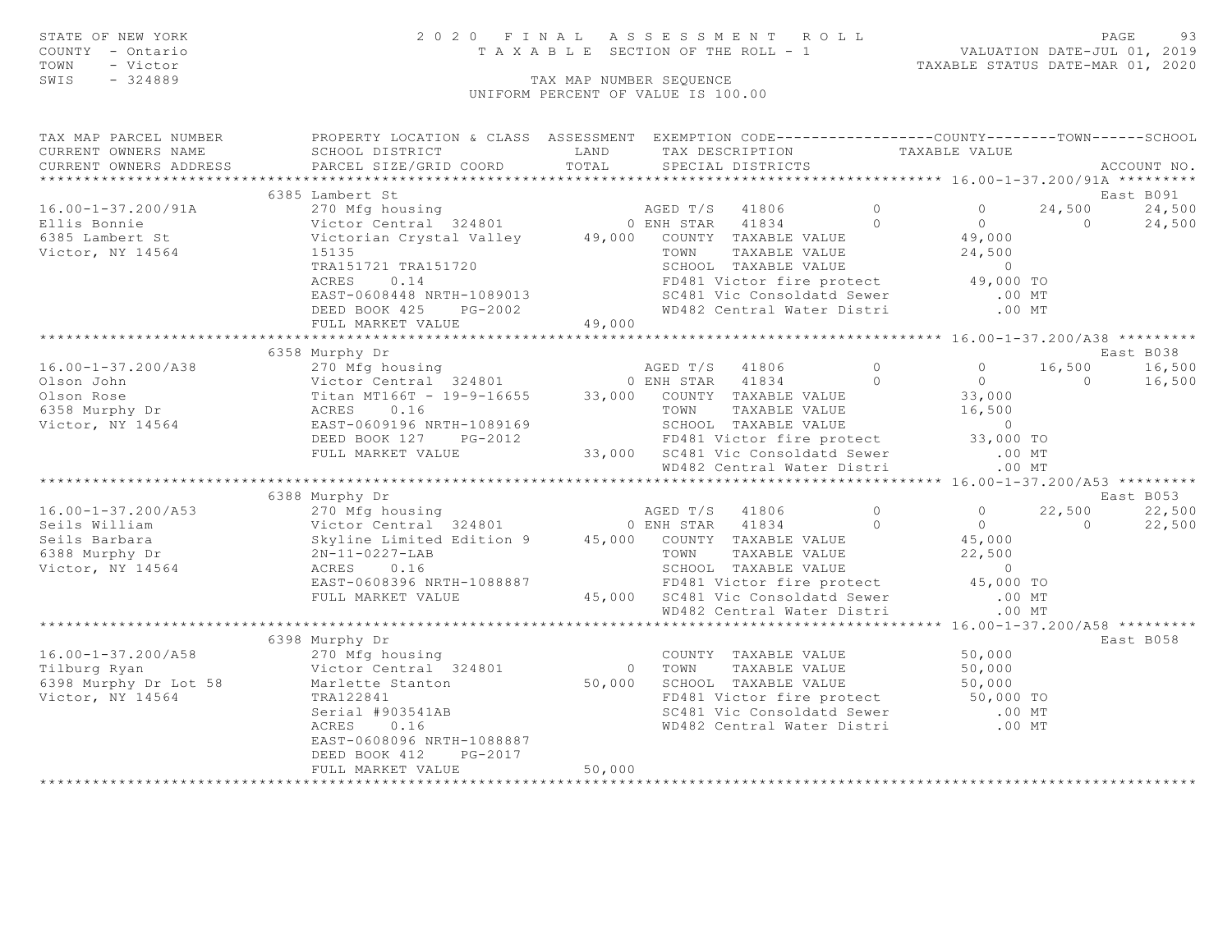| STATE OF NEW YORK | 2020 FINAL ASSESSMENT ROLL            |                                  | PAGE | 93 |
|-------------------|---------------------------------------|----------------------------------|------|----|
| COUNTY - Ontario  | T A X A B L E SECTION OF THE ROLL - 1 | VALUATION DATE-JUL 01, 2019      |      |    |
| - Victor<br>TOWN  |                                       | TAXABLE STATUS DATE-MAR 01, 2020 |      |    |
| SWIS - 324889     | TAX MAP NUMBER SEOUENCE               |                                  |      |    |
|                   | UNIFORM PERCENT OF VALUE IS 100.00    |                                  |      |    |
|                   |                                       |                                  |      |    |
|                   |                                       |                                  |      |    |

| TAX MAP PARCEL NUMBER<br>CURRENT OWNERS ADDRESS | PROPERTY LOCATION & CLASS ASSESSMENT EXEMPTION CODE----------------COUNTY-------TOWN------SCHOOL                                                                                                                                           |        |                                                                                                                                                                          |                   |           |
|-------------------------------------------------|--------------------------------------------------------------------------------------------------------------------------------------------------------------------------------------------------------------------------------------------|--------|--------------------------------------------------------------------------------------------------------------------------------------------------------------------------|-------------------|-----------|
|                                                 |                                                                                                                                                                                                                                            |        |                                                                                                                                                                          |                   |           |
|                                                 | 6385 Lambert St                                                                                                                                                                                                                            |        |                                                                                                                                                                          |                   | East B091 |
|                                                 |                                                                                                                                                                                                                                            |        |                                                                                                                                                                          |                   |           |
|                                                 |                                                                                                                                                                                                                                            |        |                                                                                                                                                                          |                   |           |
|                                                 |                                                                                                                                                                                                                                            |        |                                                                                                                                                                          |                   |           |
| Victor, NY 14564                                | 15135                                                                                                                                                                                                                                      |        |                                                                                                                                                                          |                   |           |
|                                                 | 15135<br>TRA151721 TRA151720<br>ACRES 0.14<br>EAST-0608448 NRTH-1089013<br>DEED BOOK 425 PG-2002                                                                                                                                           |        | TOWN TAXABLE VALUE 24,500<br>SCHOOL TAXABLE VALUE 24,500<br>FD481 Victor fire protect 49,000 TO                                                                          |                   |           |
|                                                 |                                                                                                                                                                                                                                            |        |                                                                                                                                                                          |                   |           |
|                                                 |                                                                                                                                                                                                                                            |        |                                                                                                                                                                          |                   |           |
|                                                 |                                                                                                                                                                                                                                            |        | SC481 Vic Consoldatd Sewer .00 MT<br>WD482 Central Water Distri .00 MT                                                                                                   |                   |           |
|                                                 | FULL MARKET VALUE                                                                                                                                                                                                                          | 49,000 |                                                                                                                                                                          |                   |           |
|                                                 |                                                                                                                                                                                                                                            |        |                                                                                                                                                                          |                   |           |
|                                                 |                                                                                                                                                                                                                                            |        |                                                                                                                                                                          |                   | East B038 |
|                                                 |                                                                                                                                                                                                                                            |        |                                                                                                                                                                          |                   | 16,500    |
|                                                 |                                                                                                                                                                                                                                            |        |                                                                                                                                                                          |                   | 16,500    |
|                                                 |                                                                                                                                                                                                                                            |        |                                                                                                                                                                          |                   |           |
|                                                 |                                                                                                                                                                                                                                            |        |                                                                                                                                                                          |                   |           |
|                                                 |                                                                                                                                                                                                                                            |        |                                                                                                                                                                          |                   |           |
|                                                 |                                                                                                                                                                                                                                            |        |                                                                                                                                                                          |                   |           |
|                                                 | DEED BOOK 127 PG-2012 FD481 Victor fire protect<br>FULL MARKET VALUE 33,000 SC481 Vic Consoldatd Sewer                                                                                                                                     |        |                                                                                                                                                                          | .00 MT            |           |
|                                                 |                                                                                                                                                                                                                                            |        | WD482 Central Water Distri                                                                                                                                               | $.00$ MT          |           |
|                                                 |                                                                                                                                                                                                                                            |        |                                                                                                                                                                          |                   |           |
|                                                 | 6388 Murphy Dr                                                                                                                                                                                                                             |        |                                                                                                                                                                          |                   | East B053 |
|                                                 |                                                                                                                                                                                                                                            |        |                                                                                                                                                                          | $0$ 22,500<br>0 0 | 22,500    |
|                                                 |                                                                                                                                                                                                                                            |        |                                                                                                                                                                          |                   | 22,500    |
|                                                 |                                                                                                                                                                                                                                            |        |                                                                                                                                                                          |                   |           |
|                                                 |                                                                                                                                                                                                                                            |        |                                                                                                                                                                          |                   |           |
|                                                 | 6388 Murphy Dr<br>Seils William (16.00-1-37.200/A53 270 Mfg housing<br>Seils Milliam Victor Central 324801 0<br>Seils Barbara (1838 Murphy Dr<br>Seils Barbara (185,000 ENH STAR 41834 0<br>Seils Barbara (15,000 ENH STAR 41834 0<br>Seil |        |                                                                                                                                                                          |                   |           |
|                                                 |                                                                                                                                                                                                                                            |        | TOWN TAXABLE VALUE<br>SCHOOL TAXABLE VALUE<br>FD481 Victor fire protect 45,000 TO                                                                                        |                   |           |
|                                                 |                                                                                                                                                                                                                                            |        |                                                                                                                                                                          |                   |           |
|                                                 |                                                                                                                                                                                                                                            |        |                                                                                                                                                                          |                   |           |
|                                                 |                                                                                                                                                                                                                                            |        |                                                                                                                                                                          |                   |           |
|                                                 | 6398 Murphy Dr                                                                                                                                                                                                                             |        |                                                                                                                                                                          |                   | East B058 |
|                                                 |                                                                                                                                                                                                                                            |        | COUNTY TAXABLE VALUE 50,000                                                                                                                                              |                   |           |
|                                                 |                                                                                                                                                                                                                                            | 0 TOWN |                                                                                                                                                                          |                   |           |
|                                                 |                                                                                                                                                                                                                                            |        |                                                                                                                                                                          |                   |           |
|                                                 | 16.00-1-37.200/A58 270 Mfg housing<br>Tilburg Ryan Victor Central 324801 0<br>6398 Murphy Dr Lot 58 Marlette Stanton 50,000<br>Victor, NY 14564 TRA122841<br>Serial #903541AB<br>ACRES 0.16                                                |        | TOWN TAXABLE VALUE 50,000<br>SCHOOL TAXABLE VALUE 50,000<br>FD481 Victor fire protect 50,000 TO<br>SC481 Vic Consoldatd Sewer 00 MT<br>WD482 Central Water Distri .00 MT |                   |           |
|                                                 |                                                                                                                                                                                                                                            |        |                                                                                                                                                                          |                   |           |
|                                                 |                                                                                                                                                                                                                                            |        |                                                                                                                                                                          |                   |           |
|                                                 | EAST-0608096 NRTH-1088887                                                                                                                                                                                                                  |        |                                                                                                                                                                          |                   |           |
|                                                 | DEED BOOK 412<br>PG-2017                                                                                                                                                                                                                   |        |                                                                                                                                                                          |                   |           |
|                                                 | FULL MARKET VALUE                                                                                                                                                                                                                          | 50,000 |                                                                                                                                                                          |                   |           |
|                                                 |                                                                                                                                                                                                                                            |        |                                                                                                                                                                          |                   |           |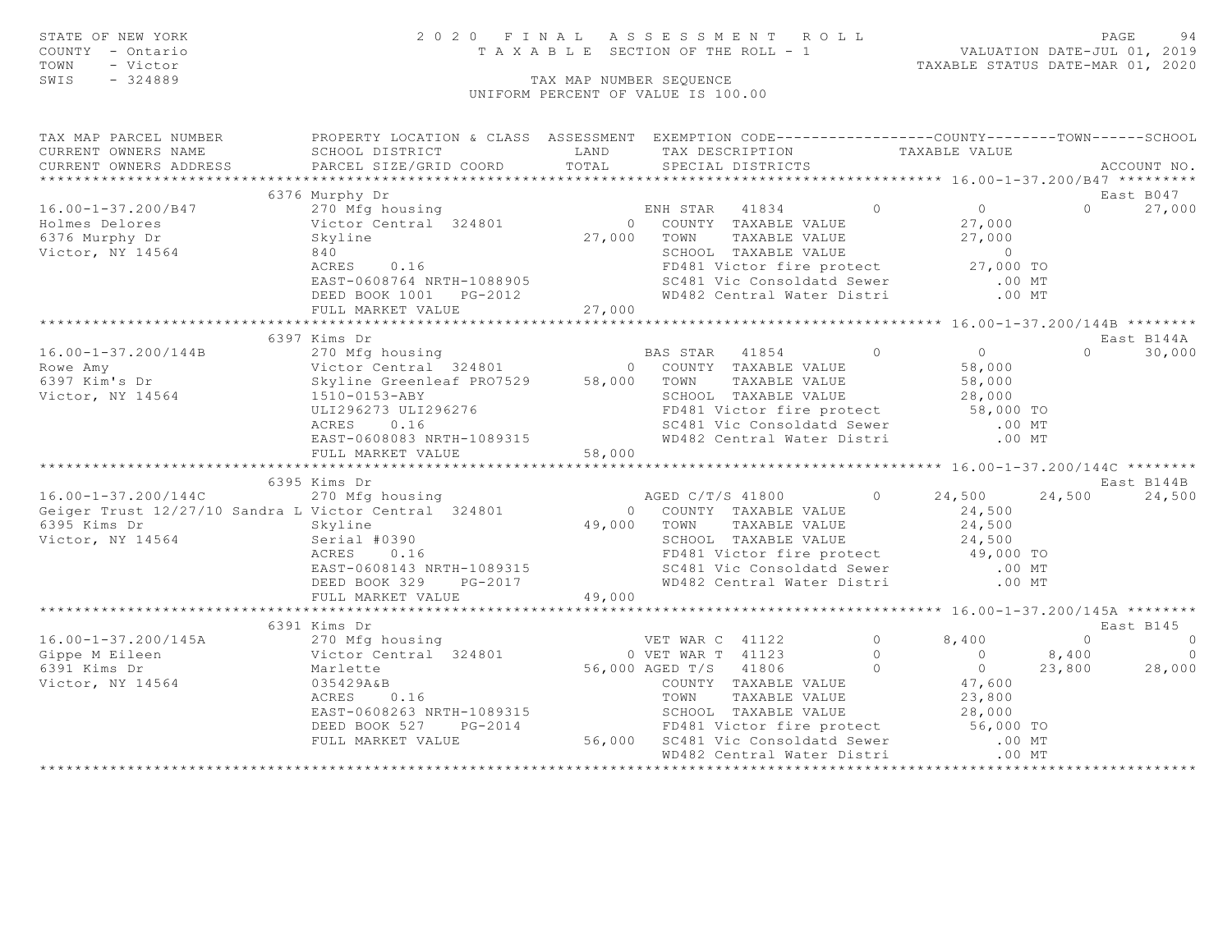| STATE OF NEW YORK<br>COUNTY - Ontario<br>TOWN<br>- Victor                                                                                                                                                                                                                                                                                                                                         |                                      |                         | 2020 FINAL ASSESSMENT ROLL         |               | PAGE<br>94         |
|---------------------------------------------------------------------------------------------------------------------------------------------------------------------------------------------------------------------------------------------------------------------------------------------------------------------------------------------------------------------------------------------------|--------------------------------------|-------------------------|------------------------------------|---------------|--------------------|
| $-324889$<br>SWIS                                                                                                                                                                                                                                                                                                                                                                                 |                                      | TAX MAP NUMBER SEQUENCE |                                    |               |                    |
|                                                                                                                                                                                                                                                                                                                                                                                                   |                                      |                         | UNIFORM PERCENT OF VALUE IS 100.00 |               |                    |
|                                                                                                                                                                                                                                                                                                                                                                                                   |                                      |                         |                                    |               |                    |
| TAX MAP PARCEL NUMBER PROPERTY LOCATION & CLASS ASSESSMENT EXEMPTION CODE---------------COUNTY-------TOWN------SCHOOL<br>CURRENT OWNERS NAME                                                                                                                                                                                                                                                      | SCHOOL DISTRICT TAND TAX DESCRIPTION |                         |                                    | TAXABLE VALUE |                    |
| CURRENT OWNERS ADDRESS                                                                                                                                                                                                                                                                                                                                                                            | PARCEL SIZE/GRID COORD               | TOTAL                   | SPECIAL DISTRICTS                  |               | ACCOUNT NO.        |
|                                                                                                                                                                                                                                                                                                                                                                                                   |                                      |                         |                                    |               |                    |
|                                                                                                                                                                                                                                                                                                                                                                                                   | 6376 Murphy Dr                       |                         |                                    |               | East B047          |
|                                                                                                                                                                                                                                                                                                                                                                                                   |                                      |                         |                                    |               | $\Omega$<br>27,000 |
| 16.00-1-37.200/B47<br>Folmes Delores victor Central 324801<br>With the Summer Central 324801<br>With the Styline 27,000 TOWN TAXABLE VALUE 27,000<br>Victor, NY 14564 840<br>Victor, NY 14564 840<br>MICROS 27,000 TOWN TAXABLE VALU                                                                                                                                                              |                                      |                         |                                    |               |                    |
|                                                                                                                                                                                                                                                                                                                                                                                                   |                                      |                         |                                    |               |                    |
|                                                                                                                                                                                                                                                                                                                                                                                                   |                                      |                         |                                    |               |                    |
|                                                                                                                                                                                                                                                                                                                                                                                                   |                                      |                         |                                    |               |                    |
|                                                                                                                                                                                                                                                                                                                                                                                                   |                                      |                         |                                    |               |                    |
|                                                                                                                                                                                                                                                                                                                                                                                                   | FULL MARKET VALUE 27,000             |                         |                                    |               |                    |
|                                                                                                                                                                                                                                                                                                                                                                                                   |                                      |                         |                                    |               |                    |
|                                                                                                                                                                                                                                                                                                                                                                                                   | 6397 Kims Dr                         |                         |                                    |               | East B144A         |
|                                                                                                                                                                                                                                                                                                                                                                                                   |                                      |                         |                                    |               | $\Omega$<br>30,000 |
|                                                                                                                                                                                                                                                                                                                                                                                                   |                                      |                         |                                    |               |                    |
|                                                                                                                                                                                                                                                                                                                                                                                                   |                                      |                         |                                    |               |                    |
|                                                                                                                                                                                                                                                                                                                                                                                                   |                                      |                         |                                    |               |                    |
|                                                                                                                                                                                                                                                                                                                                                                                                   |                                      |                         |                                    |               |                    |
|                                                                                                                                                                                                                                                                                                                                                                                                   |                                      |                         |                                    |               |                    |
|                                                                                                                                                                                                                                                                                                                                                                                                   |                                      |                         |                                    |               |                    |
| 16.00-1-37.200/144B<br>Rowe Amy<br>Rowe Amy<br>Sensing the Central 324801<br>Sensing BAS STAR 41854<br>TAXABLE VALUE<br>Sensing the Greenleaf PRO7529<br>Sensing the COUNTY TAXABLE VALUE<br>Sensing the Sensing Sensing Sensing Sensing Sens                                                                                                                                                     |                                      |                         |                                    |               |                    |
| $\begin{tabular}{lllllllllllllllllllllll} \begin{array}{l} \text{\sc 6395 Kims Dr} & 6395 \text{ Kims} & 270 \text{ Mfg housing} & \text{AGED C/T/S 41800} & 0 & 24,500 & 24,500 & 24,500 & 24,500 & 24,500 & 24,500 & 24,500 & 24,500 & 24,500 & 24,500 & 24,500 & 24,500 & 24,500 & 24,500 & 24,500 & 24,500 & 24,500 & $                                                                       |                                      |                         |                                    |               |                    |
|                                                                                                                                                                                                                                                                                                                                                                                                   |                                      |                         |                                    |               | East B144B         |
|                                                                                                                                                                                                                                                                                                                                                                                                   |                                      |                         |                                    |               | 24,500<br>24,500   |
|                                                                                                                                                                                                                                                                                                                                                                                                   |                                      |                         |                                    |               |                    |
|                                                                                                                                                                                                                                                                                                                                                                                                   |                                      |                         |                                    |               |                    |
|                                                                                                                                                                                                                                                                                                                                                                                                   |                                      |                         |                                    |               |                    |
|                                                                                                                                                                                                                                                                                                                                                                                                   |                                      |                         |                                    |               |                    |
|                                                                                                                                                                                                                                                                                                                                                                                                   |                                      |                         |                                    |               |                    |
|                                                                                                                                                                                                                                                                                                                                                                                                   |                                      |                         |                                    |               |                    |
|                                                                                                                                                                                                                                                                                                                                                                                                   |                                      |                         |                                    |               |                    |
|                                                                                                                                                                                                                                                                                                                                                                                                   | 6391 Kims Dr                         |                         |                                    |               | East B145          |
|                                                                                                                                                                                                                                                                                                                                                                                                   |                                      |                         |                                    |               |                    |
|                                                                                                                                                                                                                                                                                                                                                                                                   |                                      |                         |                                    |               | $\circ$            |
|                                                                                                                                                                                                                                                                                                                                                                                                   |                                      |                         |                                    |               | 28,000             |
|                                                                                                                                                                                                                                                                                                                                                                                                   |                                      |                         |                                    |               |                    |
|                                                                                                                                                                                                                                                                                                                                                                                                   |                                      |                         |                                    |               |                    |
|                                                                                                                                                                                                                                                                                                                                                                                                   |                                      |                         |                                    |               |                    |
|                                                                                                                                                                                                                                                                                                                                                                                                   |                                      |                         |                                    |               |                    |
|                                                                                                                                                                                                                                                                                                                                                                                                   |                                      |                         |                                    |               |                    |
| $\begin{array}{cccccccc} \texttt{16.00-1-37.200/145A} & \texttt{6391 Kims Dr} & \texttt{East} & \texttt{East} \\ \texttt{Gippe M Eileen} & \texttt{270 M f01} & \texttt{Wer WAR C} & \texttt{41122} & \texttt{0} & \texttt{8,400} & \texttt{East} \\ \texttt{Gippe M Eileen} & \texttt{016.00-1-37.200/145A} & \texttt{0270 M f01} & \texttt{Wer WAR T} & \texttt{41123} & \texttt{0} & \texttt{$ |                                      |                         |                                    |               |                    |
|                                                                                                                                                                                                                                                                                                                                                                                                   |                                      |                         |                                    |               |                    |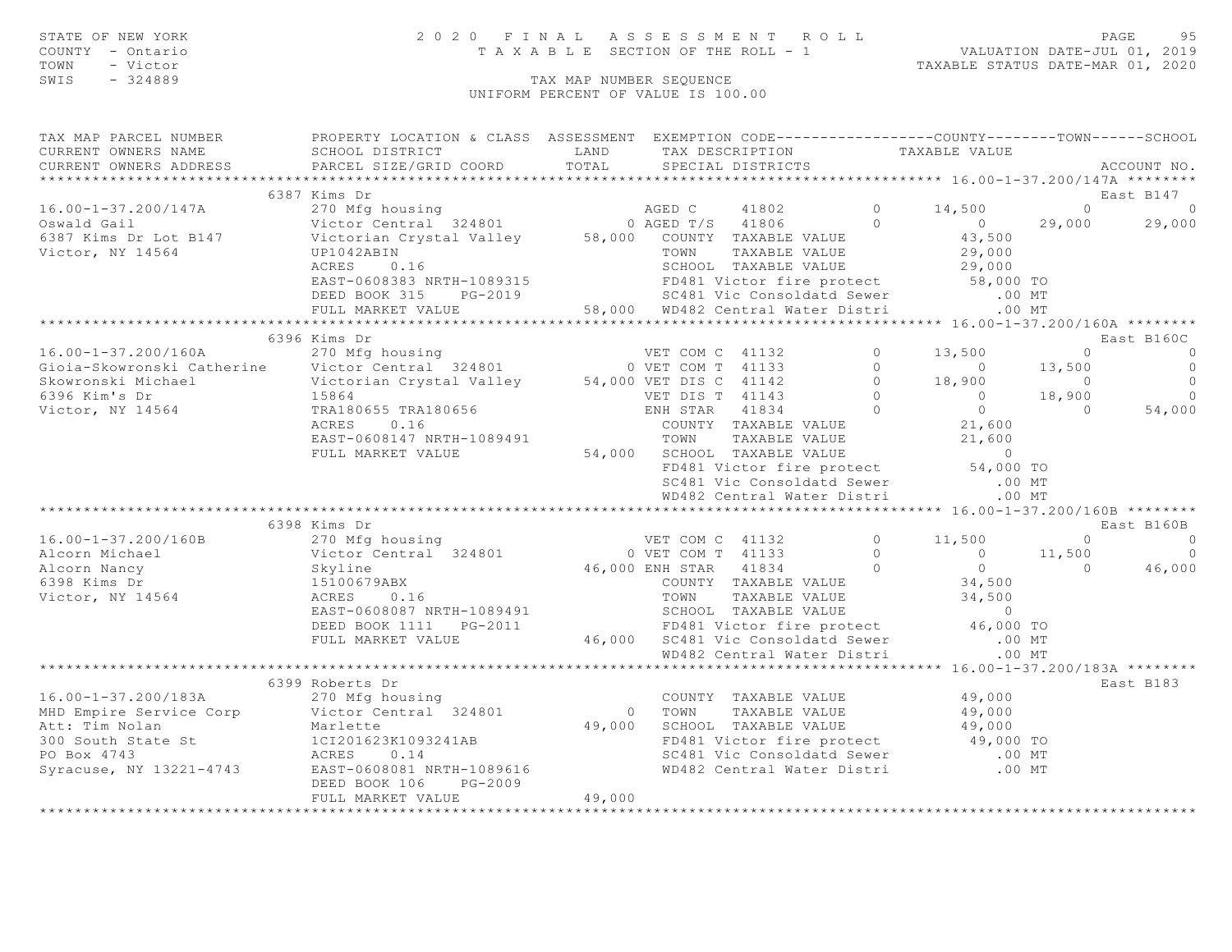| STATE OF NEW YORK                                                                                                                                                                                                                      | 2020 FINAL                                                                                                                                                                 |                                    |  |                                    |  |           |        |                                 |
|----------------------------------------------------------------------------------------------------------------------------------------------------------------------------------------------------------------------------------------|----------------------------------------------------------------------------------------------------------------------------------------------------------------------------|------------------------------------|--|------------------------------------|--|-----------|--------|---------------------------------|
| COUNTY - Ontario                                                                                                                                                                                                                       | PAGE 95 7 A X A B L B SECTION OF THE ROLL - 1 VALUATION DATE-JUL 01, 2019<br>T A X A B L E SECTION OF THE ROLL - 1 TAXABLE STATUS DATE-MAR 01, 2020                        |                                    |  |                                    |  |           |        |                                 |
| TOWN<br>- Victor                                                                                                                                                                                                                       |                                                                                                                                                                            |                                    |  |                                    |  |           |        |                                 |
| SWIS - 324889                                                                                                                                                                                                                          | TAX MAP NUMBER SEQUENCE                                                                                                                                                    |                                    |  |                                    |  |           |        |                                 |
|                                                                                                                                                                                                                                        |                                                                                                                                                                            | UNIFORM PERCENT OF VALUE IS 100.00 |  |                                    |  |           |        |                                 |
|                                                                                                                                                                                                                                        |                                                                                                                                                                            |                                    |  |                                    |  |           |        |                                 |
| TAX MAP PARCEL NUMBER                                                                                                                                                                                                                  | PROPERTY LOCATION & CLASS ASSESSMENT EXEMPTION CODE----------------COUNTY-------TOWN------SCHOOL                                                                           |                                    |  |                                    |  |           |        |                                 |
| CURRENT OWNERS NAME                                                                                                                                                                                                                    | SCHOOL DISTRICT                                                                                                                                                            |                                    |  | LAND TAX DESCRIPTION TAXABLE VALUE |  |           |        |                                 |
| CURRENT OWNERS ADDRESS                                                                                                                                                                                                                 | PARCEL SIZE/GRID COORD                                                                                                                                                     |                                    |  | TOTAL SPECIAL DISTRICTS            |  |           |        | ACCOUNT NO.                     |
|                                                                                                                                                                                                                                        |                                                                                                                                                                            |                                    |  |                                    |  |           |        |                                 |
|                                                                                                                                                                                                                                        |                                                                                                                                                                            |                                    |  |                                    |  |           |        | East B147                       |
| 16.00-1-37.200/147A                                                                                                                                                                                                                    |                                                                                                                                                                            |                                    |  |                                    |  |           |        | $\begin{matrix}0&0\end{matrix}$ |
| Oswald Gail                                                                                                                                                                                                                            |                                                                                                                                                                            |                                    |  |                                    |  |           | 29,000 | 29,000                          |
| 6387 Kims Dr Lot B147                                                                                                                                                                                                                  |                                                                                                                                                                            |                                    |  |                                    |  |           |        |                                 |
| Victor, NY 14564                                                                                                                                                                                                                       |                                                                                                                                                                            |                                    |  |                                    |  |           |        |                                 |
|                                                                                                                                                                                                                                        |                                                                                                                                                                            |                                    |  |                                    |  |           |        |                                 |
|                                                                                                                                                                                                                                        |                                                                                                                                                                            |                                    |  |                                    |  |           |        |                                 |
|                                                                                                                                                                                                                                        |                                                                                                                                                                            |                                    |  |                                    |  |           |        |                                 |
|                                                                                                                                                                                                                                        | EXERES 0.16<br>EAST-0608383 NRTH-1089315<br>DEED BOOK 315 PG-2019 58,000 WD482 Central Water Distri 0.00 MT<br>FULL MARKET VALUE 58,000 WD482 Central Water Distri 0.00 MT |                                    |  |                                    |  |           |        |                                 |
|                                                                                                                                                                                                                                        |                                                                                                                                                                            |                                    |  |                                    |  |           |        |                                 |
|                                                                                                                                                                                                                                        | 6396 Kims Dr                                                                                                                                                               |                                    |  |                                    |  |           |        | East B160C                      |
|                                                                                                                                                                                                                                        |                                                                                                                                                                            |                                    |  |                                    |  |           |        |                                 |
|                                                                                                                                                                                                                                        |                                                                                                                                                                            |                                    |  |                                    |  |           |        |                                 |
|                                                                                                                                                                                                                                        |                                                                                                                                                                            |                                    |  |                                    |  |           |        |                                 |
|                                                                                                                                                                                                                                        |                                                                                                                                                                            |                                    |  |                                    |  |           |        |                                 |
|                                                                                                                                                                                                                                        |                                                                                                                                                                            |                                    |  |                                    |  |           |        |                                 |
|                                                                                                                                                                                                                                        |                                                                                                                                                                            |                                    |  |                                    |  |           |        |                                 |
|                                                                                                                                                                                                                                        |                                                                                                                                                                            |                                    |  |                                    |  |           |        |                                 |
|                                                                                                                                                                                                                                        |                                                                                                                                                                            |                                    |  |                                    |  |           |        |                                 |
|                                                                                                                                                                                                                                        |                                                                                                                                                                            |                                    |  | FD481 Victor fire protect          |  | 54,000 TO |        |                                 |
|                                                                                                                                                                                                                                        |                                                                                                                                                                            |                                    |  | SC481 Vic Consoldatd Sewer         |  | .00 MT    |        |                                 |
|                                                                                                                                                                                                                                        |                                                                                                                                                                            |                                    |  | WD482 Central Water Distri         |  | $.00$ MT  |        |                                 |
|                                                                                                                                                                                                                                        |                                                                                                                                                                            |                                    |  |                                    |  |           |        |                                 |
|                                                                                                                                                                                                                                        | 6398 Kims Dr                                                                                                                                                               |                                    |  |                                    |  |           |        | East B160B                      |
|                                                                                                                                                                                                                                        |                                                                                                                                                                            |                                    |  |                                    |  |           |        | $\overline{0}$                  |
|                                                                                                                                                                                                                                        |                                                                                                                                                                            |                                    |  |                                    |  |           |        | $\overline{0}$                  |
|                                                                                                                                                                                                                                        |                                                                                                                                                                            |                                    |  |                                    |  |           |        | 46,000                          |
|                                                                                                                                                                                                                                        |                                                                                                                                                                            |                                    |  |                                    |  |           |        |                                 |
|                                                                                                                                                                                                                                        |                                                                                                                                                                            |                                    |  |                                    |  |           |        |                                 |
|                                                                                                                                                                                                                                        |                                                                                                                                                                            |                                    |  |                                    |  |           |        |                                 |
|                                                                                                                                                                                                                                        |                                                                                                                                                                            |                                    |  |                                    |  |           |        |                                 |
|                                                                                                                                                                                                                                        |                                                                                                                                                                            |                                    |  |                                    |  |           |        |                                 |
|                                                                                                                                                                                                                                        |                                                                                                                                                                            |                                    |  |                                    |  |           |        |                                 |
|                                                                                                                                                                                                                                        |                                                                                                                                                                            |                                    |  |                                    |  |           |        |                                 |
|                                                                                                                                                                                                                                        | 6399 Roberts Dr                                                                                                                                                            |                                    |  |                                    |  |           |        | East B183                       |
|                                                                                                                                                                                                                                        |                                                                                                                                                                            |                                    |  |                                    |  |           |        |                                 |
| 16.00-1-37.200/183A<br>MHD Empire Service Corp<br>MHD Empire Service Corp<br>Mt: Tim Nolan<br>Marlette de Marlette de Marlette de Marlette de Marlette de Marlette de Marlette de Marlette de Marlette de Marlette de Marlette de Marl |                                                                                                                                                                            |                                    |  |                                    |  |           |        |                                 |
|                                                                                                                                                                                                                                        |                                                                                                                                                                            |                                    |  |                                    |  |           |        |                                 |
|                                                                                                                                                                                                                                        |                                                                                                                                                                            |                                    |  |                                    |  |           |        |                                 |
|                                                                                                                                                                                                                                        |                                                                                                                                                                            |                                    |  |                                    |  |           |        |                                 |
|                                                                                                                                                                                                                                        |                                                                                                                                                                            |                                    |  |                                    |  |           |        |                                 |
|                                                                                                                                                                                                                                        | DEED BOOK 106 PG-2009                                                                                                                                                      |                                    |  |                                    |  |           |        |                                 |
|                                                                                                                                                                                                                                        | FULL MARKET VALUE                                                                                                                                                          | 49,000                             |  |                                    |  |           |        |                                 |
|                                                                                                                                                                                                                                        |                                                                                                                                                                            |                                    |  |                                    |  |           |        |                                 |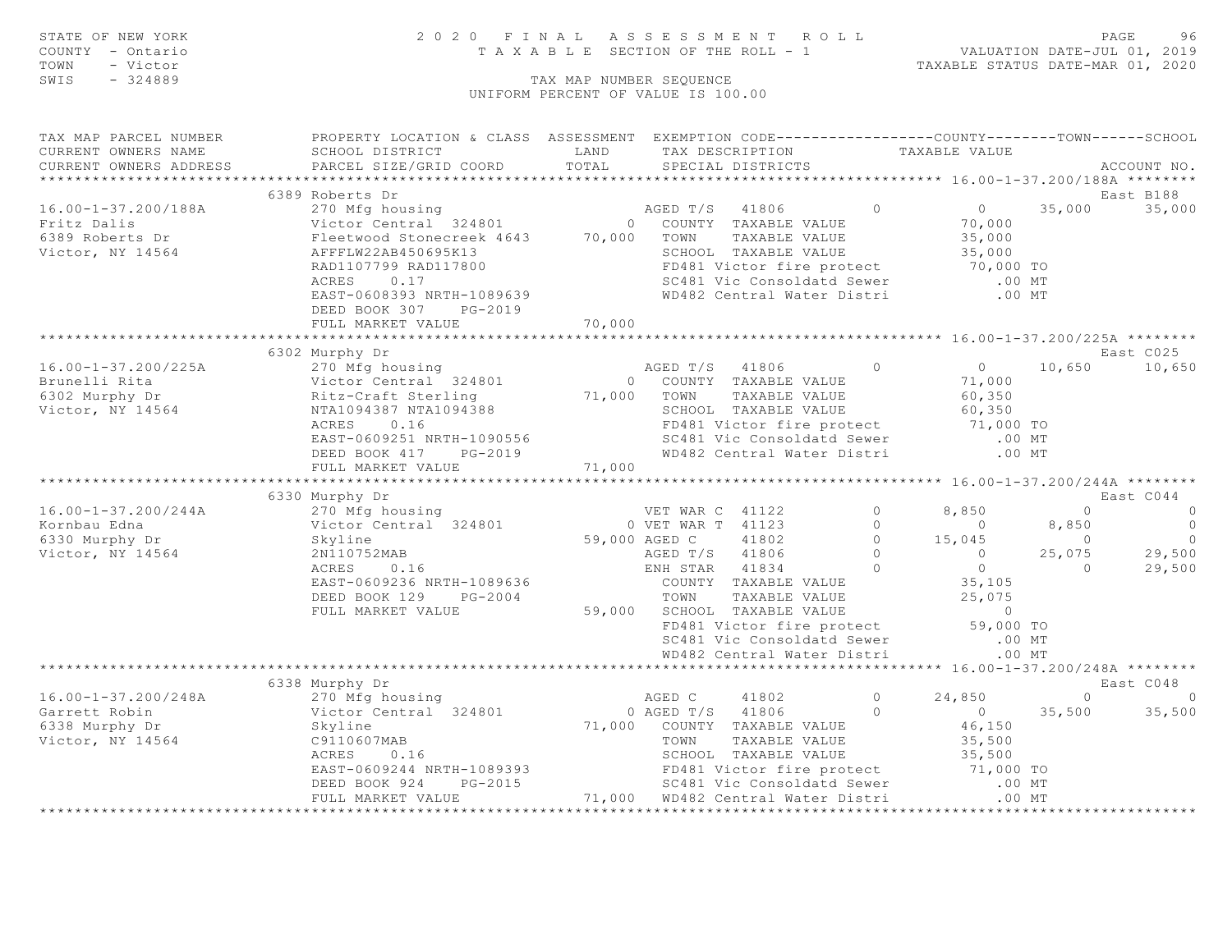| STATE OF NEW YORK<br>COUNTY - Ontario<br>TOWN<br>- Victor<br>SWIS<br>$-324889$                                                                                                                                                            |                                                                                                                                                                                                                                                                                                                                                          |        | 96 FINAL ASSESSMENT ROLL (PACE 96 PAGE 96<br>TAXABLE SECTION OF THE ROLL - 1 VALUATION DATE-JUL 01, 2019<br>2020 FINAL ASSESSMENT ROLL<br>TAX MAP NUMBER SEOUENCE<br>UNIFORM PERCENT OF VALUE IS 100.00 |                                                                                                                                                                             |                                                                                |
|-------------------------------------------------------------------------------------------------------------------------------------------------------------------------------------------------------------------------------------------|----------------------------------------------------------------------------------------------------------------------------------------------------------------------------------------------------------------------------------------------------------------------------------------------------------------------------------------------------------|--------|---------------------------------------------------------------------------------------------------------------------------------------------------------------------------------------------------------|-----------------------------------------------------------------------------------------------------------------------------------------------------------------------------|--------------------------------------------------------------------------------|
| TAX MAP PARCEL NUMBER <b>The PROPERTY LOCATION &amp; CLASS</b> ASSESSMENT EXEMPTION CODE--------------COUNTY-------TOWN------SCHOOL<br>CURRENT OWNERS NAME<br>CURRENT OWNERS ADDRESS                                                      | SCHOOL DISTRICT LAND<br>PARCEL SIZE/GRID COORD                                                                                                                                                                                                                                                                                                           | TOTAL  | TAX DESCRIPTION TAXABLE VALUE<br>SPECIAL DISTRICTS                                                                                                                                                      |                                                                                                                                                                             | ACCOUNT NO.                                                                    |
|                                                                                                                                                                                                                                           | 6389 Roberts Dr                                                                                                                                                                                                                                                                                                                                          |        |                                                                                                                                                                                                         |                                                                                                                                                                             | East B188                                                                      |
| 16.00-1-37.200/188A bosts properts under the protect of MD482 Central S24801<br>Fritz Dalis Victor (entral 324801 0 COUNTY TAXABLE VALUE 70,000<br>Fitz Dalis Victor (entral 324801 0 COUNTY TAXABLE VALUE 70,000<br>Victor, NY 1456      | DEED BOOK 307 PG-2019                                                                                                                                                                                                                                                                                                                                    |        |                                                                                                                                                                                                         |                                                                                                                                                                             | 35,000                                                                         |
|                                                                                                                                                                                                                                           | FULL MARKET VALUE                                                                                                                                                                                                                                                                                                                                        | 70,000 |                                                                                                                                                                                                         |                                                                                                                                                                             |                                                                                |
| 16.00-1-37.200/225A $270 Mg$ housing<br>Brunelli Rita $Victor$ Country TAXABLE VALUE 71,000<br>6302 Murphy Dr Ritz-Craft Sterling 71,000 TOWN TAXABLE VALUE 60,350<br>Victor, NY 14564 NTA1094387 NTA1094388<br>Victor, NY 14564 NTA10943 | 6302 Murphy Dr<br>6330 Murphy Dr                                                                                                                                                                                                                                                                                                                         |        |                                                                                                                                                                                                         |                                                                                                                                                                             | East C025<br>10,650<br>East C044                                               |
| 16.00-1-37.200/244A<br>Kornbau Edna<br>6330 Murphy Dr<br>Victor, NY 14564                                                                                                                                                                 | 270 Mfg housing<br>270 Mfg housing<br>Victor Central 324801<br>Skyline<br>2N110752MAB<br>ACRES 0.16<br>EAST-0609236 NRTH-1089636<br>DEED BOOK 129 PG-2004 TOWN TAXABLE VALUE<br>FULL MARKET VALUE 59,000 SCHOOL TAXABLE VALUE<br>FD481 Victor fire protect                                                                                               |        | VET WAR C 41122<br>0 VET WAR T 41123<br>59,000 AGED C 41802<br>AGED T/S 41806<br>ENH STAR 41834 0<br>COUNTY TAXABLE VALUE<br>SC481 Vic Consoldatd Sewer<br>WD482 Central Water Distri .00 MT            | 8,850<br>$\overline{0}$<br>0 0 15,045 0 0<br>0 15,045 0 0<br>0 0 25,075 29,500<br>LUE 35,105<br>LUE 25,075<br>LUE 25,075<br>LUE 0<br>xrotect 59,000 TO<br>d Sewer<br>.00 MT | $\begin{matrix}0&0\end{matrix}$                                                |
|                                                                                                                                                                                                                                           |                                                                                                                                                                                                                                                                                                                                                          |        |                                                                                                                                                                                                         |                                                                                                                                                                             |                                                                                |
| 16.00-1-37.200/248A<br>Garrett Robin<br>6338 Murphy Dr<br>Victor, NY 14564                                                                                                                                                                | 6338 Murphy Dr<br>270 Mfg housing<br>Victor Central 324801<br>Skyline<br>C9110607MAB<br>ACRES 0.16<br>East<br>270 MgF housing<br>24801 MgF housing<br>247801 MgF housing<br>247801 MgF housing<br>247801 MgF housing<br>247801 MgF house of AGED T/S<br>247806 MgF house of AGED T/S<br>247806 MgF house of ASS, 500<br>247850 MgF house of ASS, 500<br> |        |                                                                                                                                                                                                         |                                                                                                                                                                             | East C048<br>$\begin{array}{ccc} 0 & \hspace{1.5cm} & 0 \end{array}$<br>35,500 |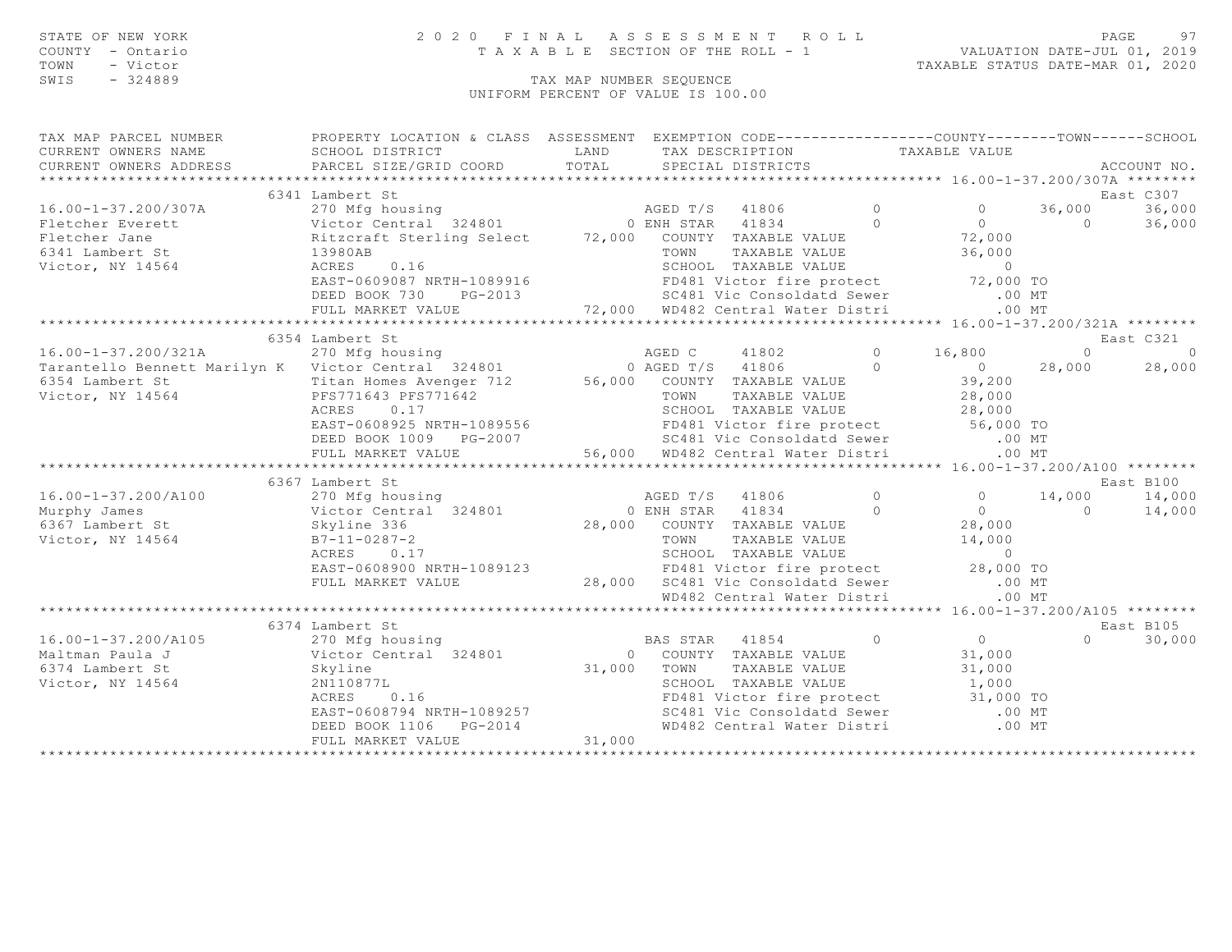| STATE OF NEW YORK | 2020 FINAL ASSESSMENT ROLL      |                                  | PAGE                        | 97 |
|-------------------|---------------------------------|----------------------------------|-----------------------------|----|
| COUNTY - Ontario  | TAXABLE SECTION OF THE ROLL - 1 |                                  | VALUATION DATE-JUL 01, 2019 |    |
| TOWN<br>- Victor  |                                 | TAXABLE STATUS DATE-MAR 01, 2020 |                             |    |
| SWIS<br>- 324889  | TAX MAP NUMBER SEOUENCE         |                                  |                             |    |

| CURRENT OWNERS NAME SCHOOL DISTRICT TAND TAX DESCRIPTION TAXABLE VALUE<br>6341 Lambert St<br>East C307<br>$0$ 0 0 36,000 36,000<br>0 0 0 36,000<br>72,000 0 36,000<br>16.00-1-37.200/307A<br>270 Mfg housing 30 and 30 MHz AGED T/S 41806<br>36,000<br>TOWN<br>Victor, NY 14564<br>Wictor, NY 14564<br>EAST-0609087 NRTH-1089916<br>EED BOOK 730 PG-2013 PG-2013 PG-2013 PG-2013 PG-2013 PULL MARKET VALUE<br>PULL MARKET VALUE 72,000 WD482 Central Water Distri .00 MT<br>FULL MARKET VALUE 72,000 WD<br>6354 Lambert St<br>East C321<br>$0 \t 16,800$<br>16.00-1-37.200/321A 270 Mfg housing AGED C 41802 0 16,800 0<br>Tarantello Bennett Marilyn K Victor Central 324801 0 AGED T/S 41806 0 0 28,000<br>6354 Lambert St Titan Homes Avenger 712 56,000 COUNTY TAXABLE VALUE 39,200<br>Victo<br>$\overline{0}$<br>28,000 |
|------------------------------------------------------------------------------------------------------------------------------------------------------------------------------------------------------------------------------------------------------------------------------------------------------------------------------------------------------------------------------------------------------------------------------------------------------------------------------------------------------------------------------------------------------------------------------------------------------------------------------------------------------------------------------------------------------------------------------------------------------------------------------------------------------------------------------|
|                                                                                                                                                                                                                                                                                                                                                                                                                                                                                                                                                                                                                                                                                                                                                                                                                              |
|                                                                                                                                                                                                                                                                                                                                                                                                                                                                                                                                                                                                                                                                                                                                                                                                                              |
|                                                                                                                                                                                                                                                                                                                                                                                                                                                                                                                                                                                                                                                                                                                                                                                                                              |
|                                                                                                                                                                                                                                                                                                                                                                                                                                                                                                                                                                                                                                                                                                                                                                                                                              |
|                                                                                                                                                                                                                                                                                                                                                                                                                                                                                                                                                                                                                                                                                                                                                                                                                              |
|                                                                                                                                                                                                                                                                                                                                                                                                                                                                                                                                                                                                                                                                                                                                                                                                                              |
|                                                                                                                                                                                                                                                                                                                                                                                                                                                                                                                                                                                                                                                                                                                                                                                                                              |
|                                                                                                                                                                                                                                                                                                                                                                                                                                                                                                                                                                                                                                                                                                                                                                                                                              |
|                                                                                                                                                                                                                                                                                                                                                                                                                                                                                                                                                                                                                                                                                                                                                                                                                              |
|                                                                                                                                                                                                                                                                                                                                                                                                                                                                                                                                                                                                                                                                                                                                                                                                                              |
|                                                                                                                                                                                                                                                                                                                                                                                                                                                                                                                                                                                                                                                                                                                                                                                                                              |
|                                                                                                                                                                                                                                                                                                                                                                                                                                                                                                                                                                                                                                                                                                                                                                                                                              |
|                                                                                                                                                                                                                                                                                                                                                                                                                                                                                                                                                                                                                                                                                                                                                                                                                              |
|                                                                                                                                                                                                                                                                                                                                                                                                                                                                                                                                                                                                                                                                                                                                                                                                                              |
|                                                                                                                                                                                                                                                                                                                                                                                                                                                                                                                                                                                                                                                                                                                                                                                                                              |
|                                                                                                                                                                                                                                                                                                                                                                                                                                                                                                                                                                                                                                                                                                                                                                                                                              |
|                                                                                                                                                                                                                                                                                                                                                                                                                                                                                                                                                                                                                                                                                                                                                                                                                              |
|                                                                                                                                                                                                                                                                                                                                                                                                                                                                                                                                                                                                                                                                                                                                                                                                                              |
|                                                                                                                                                                                                                                                                                                                                                                                                                                                                                                                                                                                                                                                                                                                                                                                                                              |
|                                                                                                                                                                                                                                                                                                                                                                                                                                                                                                                                                                                                                                                                                                                                                                                                                              |
| FULL MARKET VALUE 56,000 WD482 Central Water Distri .00 MT                                                                                                                                                                                                                                                                                                                                                                                                                                                                                                                                                                                                                                                                                                                                                                   |
|                                                                                                                                                                                                                                                                                                                                                                                                                                                                                                                                                                                                                                                                                                                                                                                                                              |
| 6367 Lambert St<br>East B100                                                                                                                                                                                                                                                                                                                                                                                                                                                                                                                                                                                                                                                                                                                                                                                                 |
| 0 0 14,000 14,000<br>0 0 14,000<br>28,000 14,000                                                                                                                                                                                                                                                                                                                                                                                                                                                                                                                                                                                                                                                                                                                                                                             |
|                                                                                                                                                                                                                                                                                                                                                                                                                                                                                                                                                                                                                                                                                                                                                                                                                              |
|                                                                                                                                                                                                                                                                                                                                                                                                                                                                                                                                                                                                                                                                                                                                                                                                                              |
| 16.00-1-37.200/A100 b3b/ Lampert St<br>Murphy James 28,000 fousing<br>Murphy James 28,000 fousing<br>Wictor, NY 14564 57-11-0287-2<br>Wictor, NY 14564 57-11-0287-2<br>EAST-0608900 NRTH-1089123 28,000 500 FD481 Victor fire protect 28                                                                                                                                                                                                                                                                                                                                                                                                                                                                                                                                                                                     |
|                                                                                                                                                                                                                                                                                                                                                                                                                                                                                                                                                                                                                                                                                                                                                                                                                              |
|                                                                                                                                                                                                                                                                                                                                                                                                                                                                                                                                                                                                                                                                                                                                                                                                                              |
|                                                                                                                                                                                                                                                                                                                                                                                                                                                                                                                                                                                                                                                                                                                                                                                                                              |
| WD482 Central Water Distri .00 MT                                                                                                                                                                                                                                                                                                                                                                                                                                                                                                                                                                                                                                                                                                                                                                                            |
|                                                                                                                                                                                                                                                                                                                                                                                                                                                                                                                                                                                                                                                                                                                                                                                                                              |
| East B105<br>6374 Lambert St<br>16.00-1-37.200/A105 270 Mfg housing 300 BAS STAR<br>$\begin{array}{ccc} & & & 0 & \quad & & 0 \end{array}$<br>41854<br>$0 \t 30,000$                                                                                                                                                                                                                                                                                                                                                                                                                                                                                                                                                                                                                                                         |
|                                                                                                                                                                                                                                                                                                                                                                                                                                                                                                                                                                                                                                                                                                                                                                                                                              |
| 0 COUNTY TAXABLE VALUE<br>31,000 TOWN TAXABLE VALUE<br>31,000                                                                                                                                                                                                                                                                                                                                                                                                                                                                                                                                                                                                                                                                                                                                                                |
| Maltman Paula J<br>6374 Lambert St<br>Victor, NY 14564<br>Victor, NY 14564<br>2N110877L<br>ACRES 0.16                                                                                                                                                                                                                                                                                                                                                                                                                                                                                                                                                                                                                                                                                                                        |
|                                                                                                                                                                                                                                                                                                                                                                                                                                                                                                                                                                                                                                                                                                                                                                                                                              |
|                                                                                                                                                                                                                                                                                                                                                                                                                                                                                                                                                                                                                                                                                                                                                                                                                              |
|                                                                                                                                                                                                                                                                                                                                                                                                                                                                                                                                                                                                                                                                                                                                                                                                                              |
| 31,000<br>FULL MARKET VALUE                                                                                                                                                                                                                                                                                                                                                                                                                                                                                                                                                                                                                                                                                                                                                                                                  |
|                                                                                                                                                                                                                                                                                                                                                                                                                                                                                                                                                                                                                                                                                                                                                                                                                              |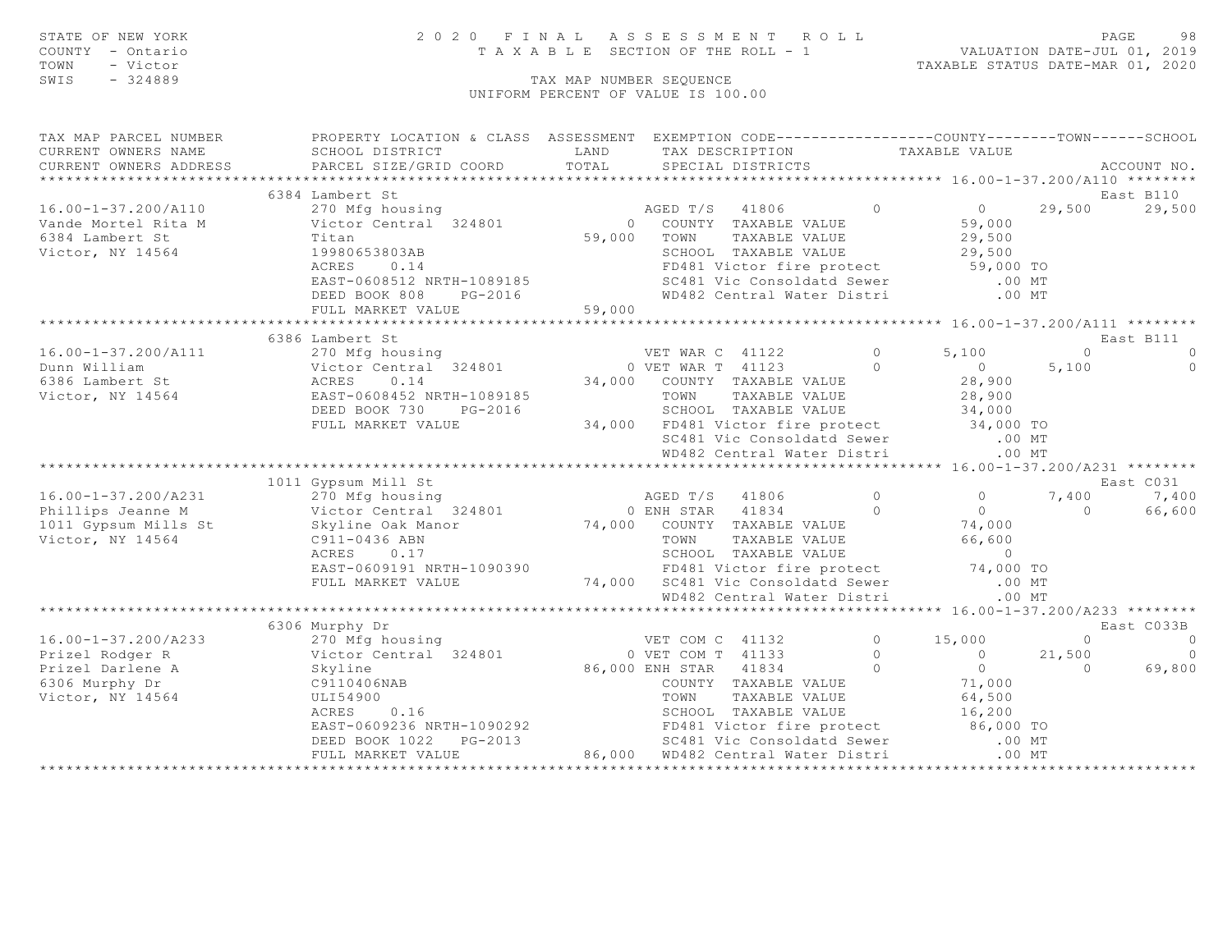| STATE OF NEW YORK<br>COUNTY - Ontario<br>TOWN<br>- Victor<br>SWIS<br>$-324889$                         |                                                                                                                                                                                                                                                                                                                                                                         | 2020 FINAL ASSESSMENT ROLL<br>T A X A B L E SECTION OF THE ROLL - 1<br>TAX MAP NUMBER SEQUENCE<br>UNIFORM PERCENT OF VALUE IS 100.00 |                                                                                                                                                                                                                                                                                                                                                                                                                                                                                                                                                           | VALUATION DATE-JUL 01, 2019<br>TAXABLE STATUS DATE-MAR 01, 2020                                                                         | PAGE                                                                                      | 98                        |
|--------------------------------------------------------------------------------------------------------|-------------------------------------------------------------------------------------------------------------------------------------------------------------------------------------------------------------------------------------------------------------------------------------------------------------------------------------------------------------------------|--------------------------------------------------------------------------------------------------------------------------------------|-----------------------------------------------------------------------------------------------------------------------------------------------------------------------------------------------------------------------------------------------------------------------------------------------------------------------------------------------------------------------------------------------------------------------------------------------------------------------------------------------------------------------------------------------------------|-----------------------------------------------------------------------------------------------------------------------------------------|-------------------------------------------------------------------------------------------|---------------------------|
| CURRENT OWNERS NAME<br>CURRENT OWNERS ADDRESS                                                          | TAX MAP PARCEL NUMBER THE PROPERTY LOCATION & CLASS ASSESSMENT EXEMPTION CODE---------------COUNTY-------TOWN------SCHOOL<br>SCHOOL DISTRICT<br>PARCEL SIZE/GRID COORD                                                                                                                                                                                                  | TOTAL                                                                                                                                | LAND TAX DESCRIPTION<br>SPECIAL DISTRICTS                                                                                                                                                                                                                                                                                                                                                                                                                                                                                                                 | TAXABLE VALUE                                                                                                                           | ACCOUNT NO.                                                                               |                           |
|                                                                                                        | 6384 Lambert St                                                                                                                                                                                                                                                                                                                                                         |                                                                                                                                      |                                                                                                                                                                                                                                                                                                                                                                                                                                                                                                                                                           |                                                                                                                                         | East B110                                                                                 |                           |
| 16.00-1-37.200/A110<br>Vande Mortel Rita M<br>6384 Lambert St<br>Victor, NY 14564                      | 270 Mfg housing<br>Committed in the Sandale of the Sandale Sandale State of the Sandale State State State State State State State State State State State State State State State State State State State State State State State State State Sta<br>Titan<br>19980653803AB<br>ACRES<br>0.14<br>EAST-0608512 NRTH-1089185<br>DEED BOOK 808 PG-2016<br>FULL MARKET VALUE | 59,000                                                                                                                               | AGED T/S 41806<br>0 COUNTY TAXABLE VALUE<br>59,000 TOWN<br>TAXABLE VALUE<br>SCHOOL TAXABLE VALUE<br>FD481 Victor fire protect<br>SC481 Vic Consoldatd Sewer<br>WD482 Central Water Distri                                                                                                                                                                                                                                                                                                                                                                 | $\overline{0}$<br>$\overline{0}$<br>59,000<br>29,500<br>29,500<br>59,000 TO<br>.00MT<br>$.00$ MT                                        | 29,500<br>29,500                                                                          |                           |
|                                                                                                        |                                                                                                                                                                                                                                                                                                                                                                         |                                                                                                                                      |                                                                                                                                                                                                                                                                                                                                                                                                                                                                                                                                                           |                                                                                                                                         |                                                                                           |                           |
| 16.00-1-37.200/A111<br>Dunn William<br>6386 Lambert St<br>Victor, NY 14564                             | 6386 Lambert St<br>VET WAR C 41122<br>270 Mfg housing<br>Victor Central 324801<br>ACRES 0.14<br>EAST-0608452 NRTH-1089185<br>COUNTY TAXABLE<br>TOWN TAXABLE<br>DEED BOOK 730 PG-2016<br>FULL MARKET VALUE<br>1011 Gypsum Mill St<br>Phillips Jeanne M<br>1011 Gypsum Mills St Skyline Oak Manor<br>Victor, NY 14564 (911-0436 ARM                                       |                                                                                                                                      | $\bigcirc$<br>34,000 COUNTY TAXABLE VALUE<br>TAXABLE VALUE<br>2016 SCHOOL TAXABLE VALUE 34,000<br>34,000 FD481 Victor fire protect 34,000 TO<br>34,000 FD481 Victor fire protect 34,000 TO<br>400 MD482 Central Water Distri .00 MT<br>AGED T/S 41806 0<br>0 ENH STAR 41834 0<br>74,000 COUNTY TAXABLE VALUE<br>TAXABLE VALUE<br>TOWN<br>SCHOOL TAXABLE VALUE<br>0 10 1000000 10000000 1000000 1000000 EAST-0609191 NRTH-1090390<br>FD481 Victor fire protect 74,000 TO FULL MARKET VALUE 74,000 5C481 Vic Consoldatd Sewer<br>WD482 Central Water Distri | $\Omega$<br>5,100<br>$\overline{0}$<br>28,900<br>28,900<br>$\overline{0}$<br>$\overline{0}$<br>74,000<br>66,600<br>$\sim$ 0<br>$.00$ MT | East B111<br>$\Omega$<br>5,100<br>East C031<br>7,400<br>7,400<br>66,600<br>$\overline{a}$ | $\Omega$<br>$\circ$       |
|                                                                                                        |                                                                                                                                                                                                                                                                                                                                                                         |                                                                                                                                      |                                                                                                                                                                                                                                                                                                                                                                                                                                                                                                                                                           |                                                                                                                                         |                                                                                           |                           |
| $16.00 - 1 - 37.200/A233$<br>Prizel Rodger R<br>Prizel Darlene A<br>6306 Murphy Dr<br>Victor, NY 14564 | 6306 Murphy Dr<br>270 Mfg housing<br>Victor Central 324801<br>Skyline<br>C9110406NAB<br>ULITA4000<br>ACRES 0.16<br>ACKES 0.10<br>EAST-0609236 NRTH-1090292<br>DEED BOOK 1022 PG-2013<br>FILL MARKET VALUE 86,00                                                                                                                                                         |                                                                                                                                      | VET COM C 41132<br>VEI COM C 41132<br>0 VET COM T 41133<br>86,000 ENU CELL<br>$\overline{0}$<br>$\begin{array}{c}\n0 \\ 1\n\end{array}$<br>86,000 ENH STAR 41834<br>COUNTY TAXABLE VALUE<br>TOWN<br>TAXABLE VALUE<br>SCHOOL TAXABLE VALUE<br>FD481 Victor fire protect 86,000 TO<br>SC481 Vic Consoldatd Sewer .00 MT                                                                                                                                                                                                                                     | $0 \t 15,000$<br>$\begin{array}{c} 0 \\ 0 \end{array}$<br>71,000<br>64,500<br>16,200                                                    | East C033B<br>$\Omega$<br>21,500<br>$\overline{0}$<br>69,800                              | $\overline{0}$<br>$\circ$ |
|                                                                                                        |                                                                                                                                                                                                                                                                                                                                                                         |                                                                                                                                      | 86,000 WD482 Central Water Distri                                                                                                                                                                                                                                                                                                                                                                                                                                                                                                                         | $.00$ MT                                                                                                                                |                                                                                           |                           |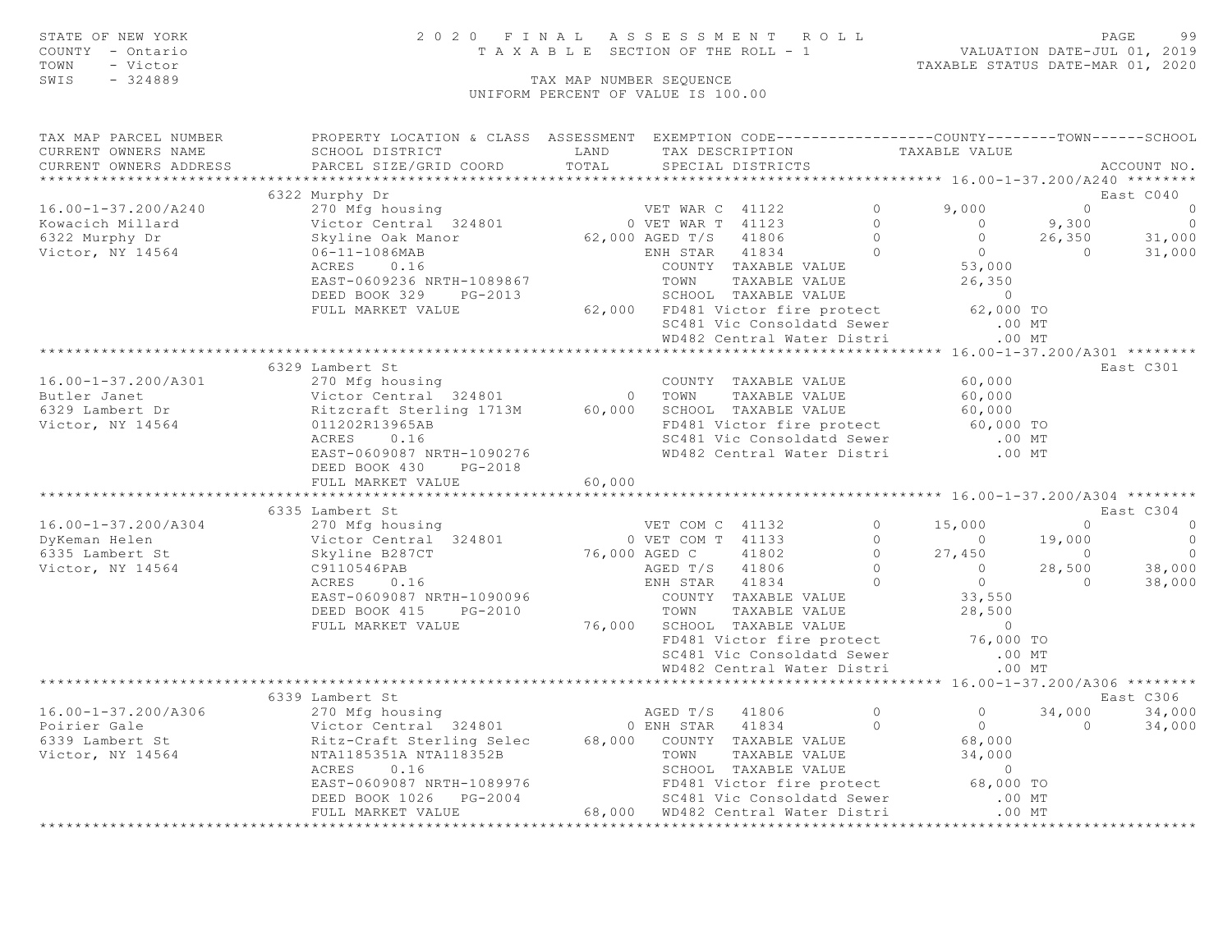| STATE OF NEW YORK<br>COUNTY - Ontario<br>TOWN<br>- Victor<br>SWIS<br>$-324889$ | 2020 FINAL                                                                                                                                                                                                                                                     |                                                 | 99 FINAL ASSESSMENT ROLL (PAGE 99<br>TAXABLE SECTION OF THE ROLL - 1 VALUATION DATE-JUL 01, 2019<br>TAXABLE STATUS DATE-MAR 01, 2020<br>TAX MAP NUMBER SEQUENCE<br>UNIFORM PERCENT OF VALUE IS 100.00 |                                                     |                |                  |
|--------------------------------------------------------------------------------|----------------------------------------------------------------------------------------------------------------------------------------------------------------------------------------------------------------------------------------------------------------|-------------------------------------------------|-------------------------------------------------------------------------------------------------------------------------------------------------------------------------------------------------------|-----------------------------------------------------|----------------|------------------|
|                                                                                |                                                                                                                                                                                                                                                                |                                                 |                                                                                                                                                                                                       |                                                     |                |                  |
| TAX MAP PARCEL NUMBER<br>CURRENT OWNERS NAME<br>CURRENT OWNERS ADDRESS         | PROPERTY LOCATION & CLASS ASSESSMENT EXEMPTION CODE----------------COUNTY-------TOWN------SCHOOL<br>SCHOOL DISTRICT TAND TAX DESCRIPTION<br>PARCEL SIZE/GRID COORD                                                                                             | TOTAL                                           | SPECIAL DISTRICTS                                                                                                                                                                                     | TAXABLE VALUE                                       |                | ACCOUNT NO.      |
|                                                                                |                                                                                                                                                                                                                                                                |                                                 |                                                                                                                                                                                                       |                                                     |                |                  |
|                                                                                | 6322 Murphy Dr                                                                                                                                                                                                                                                 |                                                 |                                                                                                                                                                                                       |                                                     |                | East C040        |
|                                                                                |                                                                                                                                                                                                                                                                |                                                 |                                                                                                                                                                                                       |                                                     |                | $\sim$ 0         |
|                                                                                |                                                                                                                                                                                                                                                                |                                                 |                                                                                                                                                                                                       |                                                     |                | $\overline{0}$   |
|                                                                                |                                                                                                                                                                                                                                                                |                                                 |                                                                                                                                                                                                       |                                                     |                | 31,000<br>31,000 |
|                                                                                |                                                                                                                                                                                                                                                                |                                                 | SC481 Vic Consoldatd Sewer                                                                                                                                                                            | .00MT                                               |                |                  |
|                                                                                |                                                                                                                                                                                                                                                                |                                                 | WD482 Central Water Distri                                                                                                                                                                            | $.00$ MT                                            |                |                  |
|                                                                                |                                                                                                                                                                                                                                                                |                                                 |                                                                                                                                                                                                       |                                                     |                |                  |
| 16.00-1-37.200/A301                                                            | 6329 Lambert St<br>EXAMPLE VALUE<br>270 Mfg housing<br>Victor Central 324801 0 TOWN TAXABLE VALUE<br>Ritzcraft Sterling 1713M 60,000 SCHOOL TAXABLE VALUE 60,000<br>0112060,000 SCHOOL TAXABLE VALUE 60,000                                                    |                                                 |                                                                                                                                                                                                       | $60,000$<br>$60,000$                                |                | East C301        |
| Butler Janet<br>6329 Lambert Dr                                                |                                                                                                                                                                                                                                                                |                                                 |                                                                                                                                                                                                       |                                                     |                |                  |
| Victor, NY 14564                                                               |                                                                                                                                                                                                                                                                |                                                 |                                                                                                                                                                                                       |                                                     |                |                  |
|                                                                                |                                                                                                                                                                                                                                                                |                                                 |                                                                                                                                                                                                       |                                                     |                |                  |
|                                                                                | EAST-0609087 NRTH-1090276<br>DEED BOOK 430 PG-2018                                                                                                                                                                                                             |                                                 | FD481 Victor fire protect 60,000 TO<br>SC481 Vic Consoldatd Sewer .00 MT<br>WD482 Central Water Distri .00 MT                                                                                         |                                                     |                |                  |
|                                                                                | FULL MARKET VALUE                                                                                                                                                                                                                                              | 60,000<br>* * * * * * * * * * * * * * * * * * * |                                                                                                                                                                                                       | ********************** 16.00-1-37.200/A304 ******** |                |                  |
|                                                                                | 6335 Lambert St                                                                                                                                                                                                                                                |                                                 |                                                                                                                                                                                                       |                                                     |                | East C304        |
|                                                                                | 16.00-1-37.200/A304<br>DyKeman Helen<br>6335 Lambert St<br>Victor, NY 14564<br>Victor, NY 14564<br>C9110546PAB<br>ACRES 0.16<br>COLLECT 0.16                                                                                                                   |                                                 | VET COM C 41132<br>0 VET COM T 41133<br>76,000 AGED C 41802<br>AGED T/S 41806                                                                                                                         |                                                     |                |                  |
|                                                                                |                                                                                                                                                                                                                                                                |                                                 |                                                                                                                                                                                                       |                                                     |                |                  |
|                                                                                |                                                                                                                                                                                                                                                                |                                                 |                                                                                                                                                                                                       |                                                     |                |                  |
|                                                                                |                                                                                                                                                                                                                                                                |                                                 |                                                                                                                                                                                                       |                                                     |                |                  |
|                                                                                |                                                                                                                                                                                                                                                                |                                                 |                                                                                                                                                                                                       |                                                     |                |                  |
|                                                                                | EAST-0609087 NRTH-1090096<br>DEED BOOK 415 PG-2010 TOWN TAXABLE VALUE<br>FULL MARKET VALUE 76,000 SCHOOL TAXABLE VALUE                                                                                                                                         |                                                 |                                                                                                                                                                                                       |                                                     |                |                  |
|                                                                                |                                                                                                                                                                                                                                                                |                                                 |                                                                                                                                                                                                       | $\overline{0}$                                      |                |                  |
|                                                                                |                                                                                                                                                                                                                                                                |                                                 | FD481 Victor fire protect                                                                                                                                                                             | 76,000 TO                                           |                |                  |
|                                                                                |                                                                                                                                                                                                                                                                |                                                 | FD481 Victor Life process.<br>SC481 Vic Consoldatd Sewer                                                                                                                                              | .00MT                                               |                |                  |
|                                                                                |                                                                                                                                                                                                                                                                |                                                 | WD482 Central Water Distri                                                                                                                                                                            | $.00$ MT                                            |                |                  |
|                                                                                |                                                                                                                                                                                                                                                                |                                                 |                                                                                                                                                                                                       |                                                     |                |                  |
|                                                                                | 6339 Lambert St                                                                                                                                                                                                                                                |                                                 |                                                                                                                                                                                                       |                                                     |                | East C306        |
|                                                                                |                                                                                                                                                                                                                                                                |                                                 |                                                                                                                                                                                                       |                                                     | 34,000         | 34,000           |
|                                                                                |                                                                                                                                                                                                                                                                |                                                 |                                                                                                                                                                                                       |                                                     | $\overline{0}$ | 34,000           |
|                                                                                |                                                                                                                                                                                                                                                                |                                                 |                                                                                                                                                                                                       |                                                     |                |                  |
|                                                                                |                                                                                                                                                                                                                                                                |                                                 |                                                                                                                                                                                                       |                                                     |                |                  |
|                                                                                |                                                                                                                                                                                                                                                                |                                                 |                                                                                                                                                                                                       |                                                     |                |                  |
|                                                                                |                                                                                                                                                                                                                                                                |                                                 |                                                                                                                                                                                                       |                                                     |                |                  |
|                                                                                | 16.00-1-37.200/A306 $\footnotesize$ 1839 Lambert St<br>Poirier Gale $\footnotesize$ Victor Central 324801 $\footnotesize$ AGED T/S 41806 0<br>Foirier Gale Victor (entral 324801 0 ENH STAR 41834 0<br>Fitz-Craft Sterling Selec 68,000 COUNTY TAXABLE VALUE 6 |                                                 |                                                                                                                                                                                                       |                                                     |                |                  |
|                                                                                |                                                                                                                                                                                                                                                                |                                                 |                                                                                                                                                                                                       |                                                     |                |                  |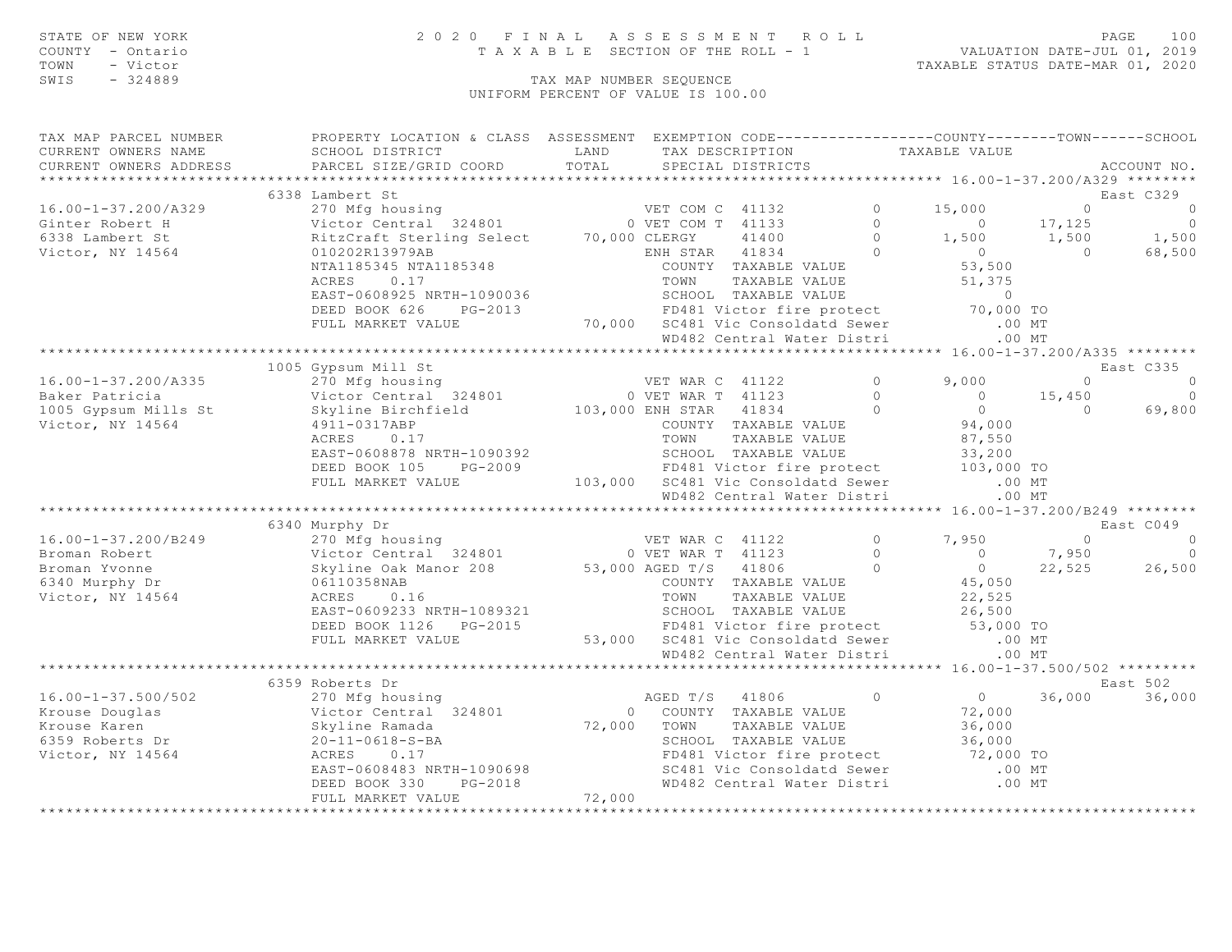| STATE OF NEW YORK<br>COUNTY - Ontario<br>TOWN - Victor<br>SWIS - 324889 |                                                                                                                                                                                                                                                                                                                                                                                                                         | TAX MAP NUMBER SEQUENCE<br>UNIFORM PERCENT OF VALUE IS 100.00 |                   |  |             |
|-------------------------------------------------------------------------|-------------------------------------------------------------------------------------------------------------------------------------------------------------------------------------------------------------------------------------------------------------------------------------------------------------------------------------------------------------------------------------------------------------------------|---------------------------------------------------------------|-------------------|--|-------------|
|                                                                         | TAX MAP PARCEL NUMBER <b>The PROPERTY LOCATION &amp; CLASS</b> ASSESSMENT EXEMPTION CODE--------------COUNTY-------TOWN-----SCHOOL                                                                                                                                                                                                                                                                                      |                                                               |                   |  |             |
| CURRENT OWNERS NAME                                                     | SCHOOL DISTRICT                    LAND       TAX DESCRIPTION                 TAXABLE VALUE                                                                                                                                                                                                                                                                                                                             |                                                               |                   |  |             |
|                                                                         | CURRENT OWNERS ADDRESS PARCEL SIZE/GRID COORD                                                                                                                                                                                                                                                                                                                                                                           | TOTAL                                                         | SPECIAL DISTRICTS |  | ACCOUNT NO. |
|                                                                         | 6338 Lambert St                                                                                                                                                                                                                                                                                                                                                                                                         |                                                               |                   |  | East C329   |
|                                                                         | $\begin{array}{cccccc} 16.00-1-37.200/\text{A}329 & 6338 \text{ Lambert St} & 270 \text{ Mg} \text{ hours} & 2801 & 2200 \text{ Mg} \text{ hours} & 2200 \text{ Mg} \text{ hours} & 2200 \text{ Mg} \text{ hours} & 2200 \text{ Mg} \text{ hours} & 2200 \text{ year} & 2200 \text{ year} & 2200 \text{ year} & 2200 \text{ year} & 2200 \text{ year} & 2200 \text{ year} & 2200 \text{ year} & 2200 \text{ year} & 22$ |                                                               |                   |  |             |
|                                                                         |                                                                                                                                                                                                                                                                                                                                                                                                                         |                                                               |                   |  |             |
|                                                                         |                                                                                                                                                                                                                                                                                                                                                                                                                         |                                                               |                   |  |             |
|                                                                         |                                                                                                                                                                                                                                                                                                                                                                                                                         |                                                               |                   |  |             |
|                                                                         |                                                                                                                                                                                                                                                                                                                                                                                                                         |                                                               |                   |  |             |
|                                                                         |                                                                                                                                                                                                                                                                                                                                                                                                                         |                                                               |                   |  |             |
|                                                                         |                                                                                                                                                                                                                                                                                                                                                                                                                         |                                                               |                   |  |             |
|                                                                         |                                                                                                                                                                                                                                                                                                                                                                                                                         |                                                               |                   |  |             |
|                                                                         |                                                                                                                                                                                                                                                                                                                                                                                                                         |                                                               |                   |  |             |
|                                                                         |                                                                                                                                                                                                                                                                                                                                                                                                                         |                                                               |                   |  |             |
|                                                                         | 1005 Gypsum Mill St                                                                                                                                                                                                                                                                                                                                                                                                     |                                                               |                   |  | East C335   |
|                                                                         |                                                                                                                                                                                                                                                                                                                                                                                                                         |                                                               |                   |  |             |
|                                                                         |                                                                                                                                                                                                                                                                                                                                                                                                                         |                                                               |                   |  |             |
|                                                                         |                                                                                                                                                                                                                                                                                                                                                                                                                         |                                                               |                   |  |             |
|                                                                         |                                                                                                                                                                                                                                                                                                                                                                                                                         |                                                               |                   |  |             |
|                                                                         |                                                                                                                                                                                                                                                                                                                                                                                                                         |                                                               |                   |  |             |
|                                                                         |                                                                                                                                                                                                                                                                                                                                                                                                                         |                                                               |                   |  |             |
|                                                                         |                                                                                                                                                                                                                                                                                                                                                                                                                         |                                                               |                   |  |             |
|                                                                         |                                                                                                                                                                                                                                                                                                                                                                                                                         |                                                               |                   |  |             |
|                                                                         |                                                                                                                                                                                                                                                                                                                                                                                                                         |                                                               |                   |  |             |
|                                                                         | 6340 Murphy Dr                                                                                                                                                                                                                                                                                                                                                                                                          |                                                               |                   |  | East C049   |
|                                                                         |                                                                                                                                                                                                                                                                                                                                                                                                                         |                                                               |                   |  |             |
|                                                                         |                                                                                                                                                                                                                                                                                                                                                                                                                         |                                                               |                   |  |             |
|                                                                         |                                                                                                                                                                                                                                                                                                                                                                                                                         |                                                               |                   |  |             |
|                                                                         | $\begin{array}{cccccccc} 16.00-1-37.200/B249 & 6340 & \text{Murphy Dr} & 6340 & \text{Murlyr} \\ \text{Brown} & 270 Mg & \text{housing} & \text{VET WAR C} & 41122 & 0 & 7,950 & 0 \\ \text{Eroman Robert} & 324801 & 0 & 0 & 7,950 & 0 \\ \text{Broman Robert} & 6340 Murlyr \\ \text{6340 Murphy Dr} & 631010358NAB & 53,000 AGED T/S & 41806 & 0 & 22,525 & 26,500 \\ \text{$                                        |                                                               |                   |  |             |
|                                                                         |                                                                                                                                                                                                                                                                                                                                                                                                                         |                                                               |                   |  |             |
|                                                                         |                                                                                                                                                                                                                                                                                                                                                                                                                         |                                                               |                   |  |             |
|                                                                         |                                                                                                                                                                                                                                                                                                                                                                                                                         |                                                               |                   |  |             |
|                                                                         |                                                                                                                                                                                                                                                                                                                                                                                                                         |                                                               |                   |  |             |
|                                                                         |                                                                                                                                                                                                                                                                                                                                                                                                                         |                                                               |                   |  |             |
|                                                                         | 6359 Roberts Dr                                                                                                                                                                                                                                                                                                                                                                                                         |                                                               |                   |  | East 502    |
|                                                                         |                                                                                                                                                                                                                                                                                                                                                                                                                         |                                                               |                   |  | 36,000      |
|                                                                         |                                                                                                                                                                                                                                                                                                                                                                                                                         |                                                               |                   |  |             |
|                                                                         |                                                                                                                                                                                                                                                                                                                                                                                                                         |                                                               |                   |  |             |
|                                                                         |                                                                                                                                                                                                                                                                                                                                                                                                                         |                                                               |                   |  |             |
|                                                                         |                                                                                                                                                                                                                                                                                                                                                                                                                         |                                                               |                   |  |             |
|                                                                         |                                                                                                                                                                                                                                                                                                                                                                                                                         |                                                               |                   |  |             |
|                                                                         | FULL MARKET VALUE                                                                                                                                                                                                                                                                                                                                                                                                       | 72,000                                                        |                   |  |             |

\*\*\*\*\*\*\*\*\*\*\*\*\*\*\*\*\*\*\*\*\*\*\*\*\*\*\*\*\*\*\*\*\*\*\*\*\*\*\*\*\*\*\*\*\*\*\*\*\*\*\*\*\*\*\*\*\*\*\*\*\*\*\*\*\*\*\*\*\*\*\*\*\*\*\*\*\*\*\*\*\*\*\*\*\*\*\*\*\*\*\*\*\*\*\*\*\*\*\*\*\*\*\*\*\*\*\*\*\*\*\*\*\*\*\*\*\*\*\*\*\*\*\*\*\*\*\*\*\*\*\*\*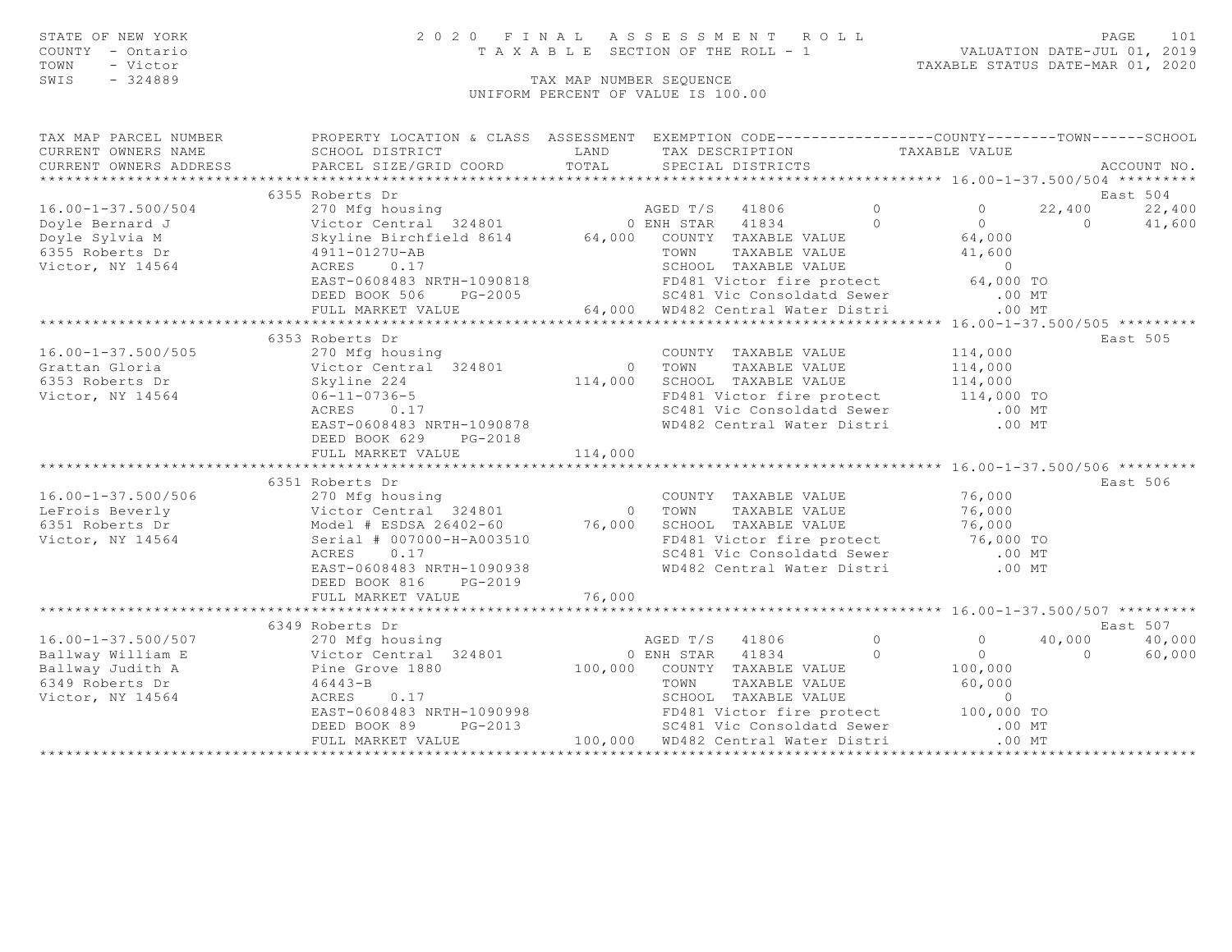| STATE OF NEW YORK | 2020 FINAL ASSESSMENT ROLL      | 101<br>PAGE                      |
|-------------------|---------------------------------|----------------------------------|
| COUNTY - Ontario  | TAXABLE SECTION OF THE ROLL - 1 | VALUATION DATE-JUL 01, 2019      |
| TOWN<br>- Victor  |                                 | TAXABLE STATUS DATE-MAR 01, 2020 |
| SWIS<br>$-324889$ | TAX MAP NUMBER SEQUENCE         |                                  |

| TAX MAP PARCEL NUMBER<br>CURRENT OWNERS NAME<br>CURRENT OWNERS ADDRESS | PROPERTY LOCATION & CLASS ASSESSMENT EXEMPTION CODE----------------COUNTY-------TOWN------SCHOOL<br>SCHOOL DISTRICT<br>PARCEL SIZE/GRID COORD        | LAND<br>TOTAL  | TAX DESCRIPTION TAXABLE VALUE<br>SPECIAL DISTRICTS |                |                                                                                                               |                | ACCOUNT NO. |
|------------------------------------------------------------------------|------------------------------------------------------------------------------------------------------------------------------------------------------|----------------|----------------------------------------------------|----------------|---------------------------------------------------------------------------------------------------------------|----------------|-------------|
|                                                                        | 6355 Roberts Dr                                                                                                                                      |                |                                                    |                |                                                                                                               |                | East 504    |
| 16.00-1-37.500/504                                                     |                                                                                                                                                      |                |                                                    |                | $\Omega$<br>$\Omega$                                                                                          | 22,400         | 22,400      |
| Doyle Bernard J                                                        | 270 Mfg housing<br>Victor Central 324801 0 ENH STAR 41834<br>Skyline Birchfield 8614 64,000 COUNTY TAXABLE VALUE<br>4911-0127U-AB TOWN TAYABLE VALUE |                |                                                    | $\Omega$       | $\overline{0}$                                                                                                | $\overline{a}$ | 41,600      |
| Doyle Sylvia M                                                         |                                                                                                                                                      |                | COUNTY TAXABLE VALUE                               |                | 64,000                                                                                                        |                |             |
| 6355 Roberts Dr                                                        |                                                                                                                                                      |                |                                                    | TAXABLE VALUE  | 41,600                                                                                                        |                |             |
| Victor, NY 14564                                                       | ACRES 0.17                                                                                                                                           |                | SCHOOL TAXABLE VALUE                               |                | $\overline{0}$                                                                                                |                |             |
|                                                                        | EAST-0608483 NRTH-1090818 FD481 Victor fire protect 64,000 TO                                                                                        |                |                                                    |                |                                                                                                               |                |             |
|                                                                        | DEED BOOK 506<br>PG-2005                                                                                                                             |                |                                                    |                |                                                                                                               |                |             |
|                                                                        | FULL MARKET VALUE                                                                                                                                    |                |                                                    |                | 05 SC481 Vic Consoldatd Sewer .00 MT<br>64,000 WD482 Central Water Distri .00 MT                              |                |             |
|                                                                        |                                                                                                                                                      |                |                                                    |                |                                                                                                               |                |             |
|                                                                        | 6353 Roberts Dr                                                                                                                                      |                |                                                    |                |                                                                                                               |                | East 505    |
| 16.00-1-37.500/505                                                     | 270 Mfg housing                                                                                                                                      |                | COUNTY TAXABLE VALUE                               |                | 114,000                                                                                                       |                |             |
| Grattan Gloria                                                         |                                                                                                                                                      | $\overline{a}$ | TOWN                                               | TAXABLE VALUE  | 114,000                                                                                                       |                |             |
| 6353 Roberts Dr                                                        | Victor Central 324801<br>Skyline 224                                                                                                                 | 114,000        | SCHOOL TAXABLE VALUE                               |                | 114,000                                                                                                       |                |             |
| Victor, NY 14564                                                       | $06 - 11 - 0736 - 5$                                                                                                                                 |                |                                                    |                | FD481 Victor fire protect 114,000 TO                                                                          |                |             |
|                                                                        | ACRES 0.17                                                                                                                                           |                |                                                    |                | SC481 Vic Consoldatd Sewer .00 MT                                                                             |                |             |
|                                                                        | EAST-0608483 NRTH-1090878                                                                                                                            |                | WD482 Central Water Distri                         |                | $.00$ MT                                                                                                      |                |             |
|                                                                        | DEED BOOK 629<br>PG-2018                                                                                                                             |                |                                                    |                |                                                                                                               |                |             |
|                                                                        | FULL MARKET VALUE                                                                                                                                    | 114,000        |                                                    |                |                                                                                                               |                |             |
|                                                                        |                                                                                                                                                      |                |                                                    |                |                                                                                                               |                |             |
|                                                                        | 6351 Roberts Dr                                                                                                                                      |                |                                                    |                |                                                                                                               |                | East 506    |
|                                                                        |                                                                                                                                                      |                | COUNTY TAXABLE VALUE                               |                | 76,000<br>76,000                                                                                              |                |             |
|                                                                        |                                                                                                                                                      | $\overline{0}$ | TOWN                                               | TAXABLE VALUE  |                                                                                                               |                |             |
|                                                                        |                                                                                                                                                      |                |                                                    |                | SCHOOL TAXABLE VALUE 76,000                                                                                   |                |             |
| Victor, NY 14564                                                       | Serial # 007000-H-A003510                                                                                                                            |                |                                                    |                | FD481 Victor fire protect 76,000 TO<br>SC481 Vic Consoldatd Sewer .00 MT<br>WD482 Central Water Distri .00 MT |                |             |
|                                                                        | ACRES<br>0.17                                                                                                                                        |                |                                                    |                |                                                                                                               |                |             |
|                                                                        | EAST-0608483 NRTH-1090938                                                                                                                            |                |                                                    |                |                                                                                                               |                |             |
|                                                                        | DEED BOOK 816<br>PG-2019                                                                                                                             |                |                                                    |                |                                                                                                               |                |             |
|                                                                        | FULL MARKET VALUE                                                                                                                                    | 76,000         |                                                    |                |                                                                                                               |                |             |
|                                                                        |                                                                                                                                                      |                |                                                    |                |                                                                                                               |                |             |
|                                                                        | 6349 Roberts Dr                                                                                                                                      |                |                                                    |                |                                                                                                               |                | East 507    |
| 16.00-1-37.500/507                                                     | 270 Mfg housing                                                                                                                                      |                | AGED T/S 41806                                     | $\overline{0}$ | $\circ$                                                                                                       | 40,000         | 40,000      |
| Ballway William E                                                      | Victor Central 324801 0 ENH STAR                                                                                                                     |                | 41834                                              | $\Omega$       | $\overline{0}$                                                                                                | $\bigcap$      | 60,000      |
| Ballway Judith A                                                       | Pine Grove 1880<br>46443-B                                                                                                                           | 100,000        | COUNTY TAXABLE VALUE                               |                | 100,000                                                                                                       |                |             |
| 6349 Roberts Dr                                                        |                                                                                                                                                      |                | TOWN                                               | TAXABLE VALUE  | 60,000                                                                                                        |                |             |
| <b>ACRES</b><br>Victor, NY 14564                                       | 0.17                                                                                                                                                 |                | SCHOOL TAXABLE VALUE                               |                | $\bigcirc$                                                                                                    |                |             |
|                                                                        | EAST-0608483 NRTH-1090998                                                                                                                            |                |                                                    |                | FD481 Victor fire protect 100,000 TO<br>SC481 Vic Consoldatd Sewer .00 MT                                     |                |             |
|                                                                        | DEED BOOK 89<br>PG-2013                                                                                                                              |                | SC481 Vic Consoldatd Sewer                         |                |                                                                                                               |                |             |
|                                                                        | FULL MARKET VALUE                                                                                                                                    | 100,000        | WD482 Central Water Distri                         |                | .00MT                                                                                                         |                |             |
|                                                                        |                                                                                                                                                      |                |                                                    |                |                                                                                                               |                |             |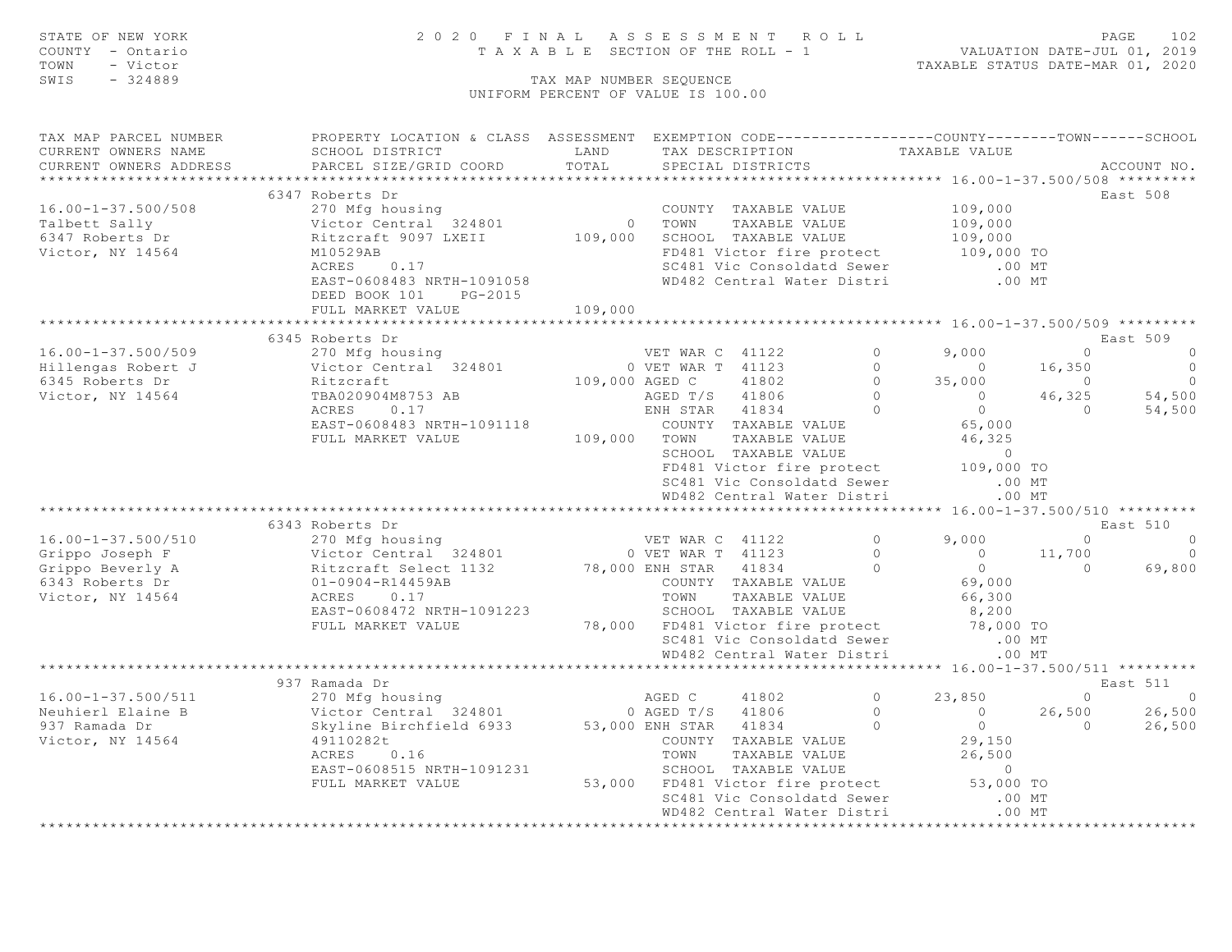| STATE OF NEW YORK<br>COUNTY - Ontario<br>TOWN<br>- Victor<br>SWIS<br>$-324889$                                                                       |                                                                                                                                                                                                                                          |                     | 0 FINAL ASSESSMENT ROLL (PACE 102<br>TAXABLE SECTION OF THE ROLL - 1 VALUATION DATE-JUL 01, 2019<br>2020 FINAL ASSESSMENT ROLL<br>TAX MAP NUMBER SEQUENCE<br>UNIFORM PERCENT OF VALUE IS 100.00                                                                                                                                                                                                                                                                                                                 |                                                                                                                              |                                                                                                                                                                                                                 |
|------------------------------------------------------------------------------------------------------------------------------------------------------|------------------------------------------------------------------------------------------------------------------------------------------------------------------------------------------------------------------------------------------|---------------------|-----------------------------------------------------------------------------------------------------------------------------------------------------------------------------------------------------------------------------------------------------------------------------------------------------------------------------------------------------------------------------------------------------------------------------------------------------------------------------------------------------------------|------------------------------------------------------------------------------------------------------------------------------|-----------------------------------------------------------------------------------------------------------------------------------------------------------------------------------------------------------------|
| TAX MAP PARCEL NUMBER<br>CURRENT OWNERS NAME<br>CURRENT OWNERS ADDRESS                                                                               | SCHOOL DISTRICT<br>PARCEL SIZE/GRID COORD                                                                                                                                                                                                | TOTAL<br>********** | PROPERTY LOCATION & CLASS ASSESSMENT EXEMPTION CODE---------------COUNTY-------TOWN------SCHOOL<br>LAND TAX DESCRIPTION TAXABLE VALUE<br>SPECIAL DISTRICTS                                                                                                                                                                                                                                                                                                                                                      |                                                                                                                              | ACCOUNT NO.                                                                                                                                                                                                     |
|                                                                                                                                                      | 6347 Roberts Dr<br>10.00-1-37.500/508<br>Talbett Sally 324801<br>6347 Roberts Dr Ritzcraft 9097 LXEII<br>Victor, NY 14564 M10529AB<br>EAST-0608483 NRTH-1091058<br>DEED BOOK 101 PG-2015<br>FULL MARKET VALUE                            | 109,000             | COUNTY TAXABLE VALUE<br>0 TOWN TAXABLE VALUE<br>109,000 SCHOOL TAXABLE VALUE<br>FD481 Victor fire protect<br>SC481 Vic Consoldatd Sewer .00 MT<br>National District District COMT                                                                                                                                                                                                                                                                                                                               | 109,000<br>$109,000$<br>$109,000$                                                                                            | East 508                                                                                                                                                                                                        |
|                                                                                                                                                      |                                                                                                                                                                                                                                          |                     |                                                                                                                                                                                                                                                                                                                                                                                                                                                                                                                 |                                                                                                                              |                                                                                                                                                                                                                 |
| 16.00-1-37.500/509<br>Hillengas Robert J<br>6345 Roberts Dr<br>Victor, NY 14564<br>TBA020904M8753 AB<br>ACRES 0.17<br>TEAN TRACK CORARS NRTH-1091118 | 270 Mfg housing<br>EAST-0608483 NRTH-1091118<br>6343 Roberts Dr<br>16.00-1-37.500/510<br>Grippo Joseph F<br>Grippo Beverly A<br>6343 Roberts Dr<br>Victor, NY 14564<br>CRES 17<br>EAST-0608472 NRTH-1091223                              |                     | VET WAR C 41122<br>$\overline{0}$<br>VEI WAR U FIIZZ<br>0 VET WAR T 41123<br>109,000 AGED C<br>41802<br>AGED T/S 41806<br>ENH STAR 41834<br>COUNTY TAXABLE VALUE<br>FULL MARKET VALUE $109,000$ TOWN TAXABLE VALUE<br>SCHOOL TAXABLE VALUE<br>FD481 Victor fire protect<br>SC481 Vic Consoldatd Sewer<br>WD482 Central Water Distri<br>VET WAR C 41122<br>$\bigcirc$<br>0 VET WAR T 41123<br>$\overline{0}$<br>78,000 ENH STAR 41834 0<br>COUNTY TAXABLE VALUE<br>TOWN<br>TAXABLE VALUE<br>SCHOOL TAXABLE VALUE | 9,000<br>109,000 TO<br>$.00$ MT<br>.00MT<br>9,000<br>11,700<br>$\overline{0}$<br>0<br>69,000<br>66,300<br>8,200              | East 509<br>$\Omega$<br>$\Omega$<br>16,350<br>$\circ$<br>$\overline{0}$<br>$\Omega$<br>46,325<br>54,500<br>$\overline{0}$<br>54,500<br>East 510<br>$\Omega$<br>$\Omega$<br>$\overline{0}$<br>$\sim$ 0<br>69,800 |
|                                                                                                                                                      |                                                                                                                                                                                                                                          |                     | FULL MARKET VALUE 78,000 FD481 Victor fire protect<br>SC481 Vic Consoldatd Sewer<br>WD482 Central Water Distri                                                                                                                                                                                                                                                                                                                                                                                                  | 78,000 TO<br>$.00$ MT<br>.00MT                                                                                               |                                                                                                                                                                                                                 |
|                                                                                                                                                      | 937 Ramada Dr                                                                                                                                                                                                                            |                     |                                                                                                                                                                                                                                                                                                                                                                                                                                                                                                                 |                                                                                                                              | East 511                                                                                                                                                                                                        |
| 16.00-1-37.500/511<br>Neuhierl Elaine B<br>937 Ramada Dr<br>Victor, NY 14564                                                                         | 270 Mfg housing<br>270 Mfg housing<br>Victor Central 324801 0 AGED T/S 41806<br>Skyline Birchfield 6933 53,000 ENH STAR 41834<br>49110282t cOUNTY TAXABLE V<br>49110282t<br>ACRES 0.16<br>EAST-0608515 NRTH-1091231<br>FULL MARKET VALUE |                     | $\overline{0}$<br>COUNTY TAXABLE VALUE<br>TOWN     TAXABLE VALUE<br>SCHOOL TAXABLE VALUE<br>53,000 FD481 Victor fire protect<br>SC481 Vic Consoldatd Sewer                                                                                                                                                                                                                                                                                                                                                      | $\overline{0}$<br>23,850<br>$\overline{0}$ 0<br>$\overline{0}$ 0<br>0<br>29,150<br>26,500<br>$\Omega$<br>53,000 TO<br>.00 MT | $\Omega$<br>$\sim$ 0<br>26,500<br>26,500<br>26,500                                                                                                                                                              |
|                                                                                                                                                      |                                                                                                                                                                                                                                          |                     | WD482 Central Water Distri                                                                                                                                                                                                                                                                                                                                                                                                                                                                                      | .00MT                                                                                                                        |                                                                                                                                                                                                                 |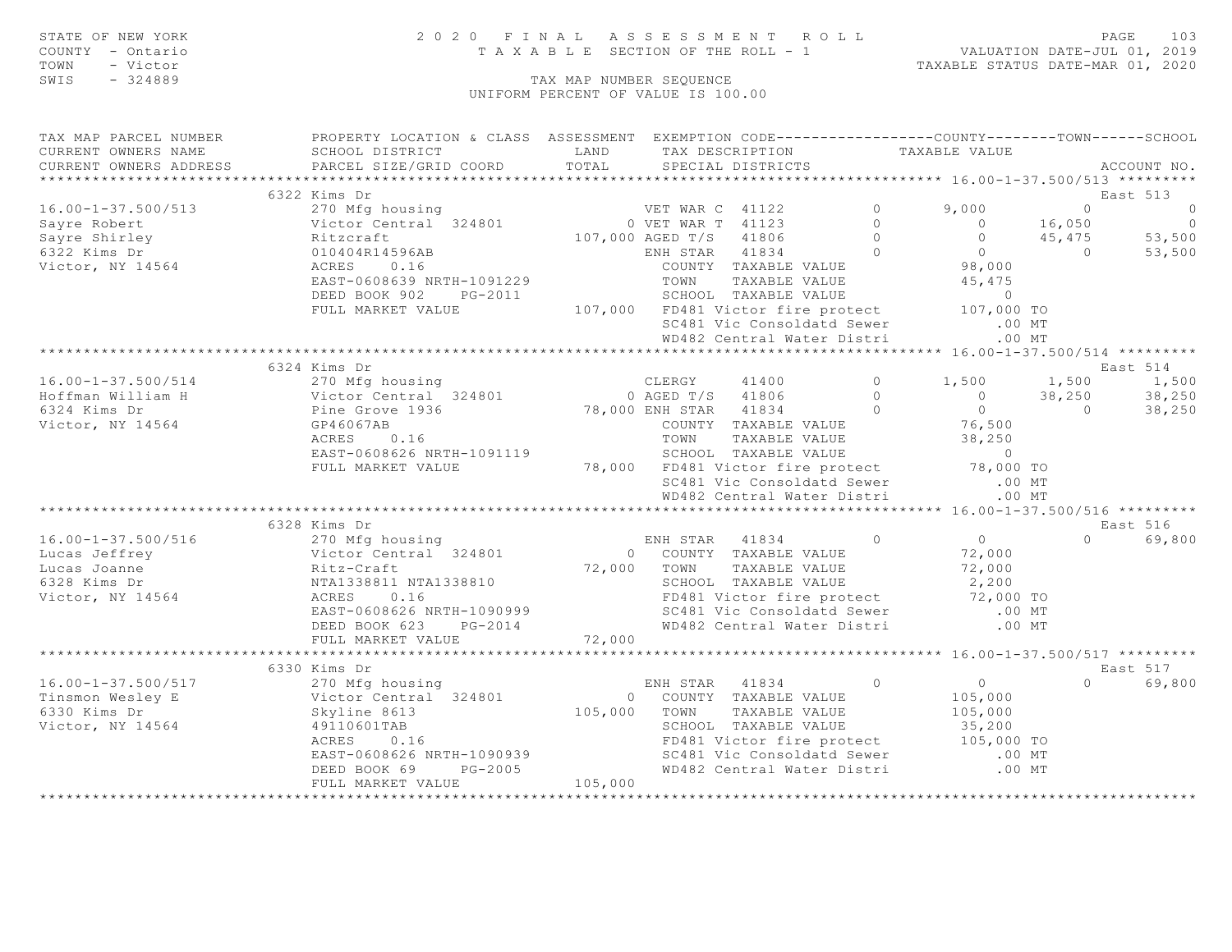| STATE OF NEW YORK<br>COUNTY - Ontario<br>TOWN - Victor<br>SWIS - 324889                                                                                                                                                                                                                                                                                                                                           | 2020 FINAL ASSESSMENT ROLL                                                                  | TAX MAP NUMBER SEQUENCE<br>UNIFORM PERCENT OF VALUE IS 100.00 |                   | 0 FINAL ASSESSMENT ROLL<br>TAXABLE SECTION OF THE ROLL - 1 VALUATION DATE-JUL 01, 2019<br>TAXABLE STATUS DATE-MAR 01, 2020 |          |          |             |
|-------------------------------------------------------------------------------------------------------------------------------------------------------------------------------------------------------------------------------------------------------------------------------------------------------------------------------------------------------------------------------------------------------------------|---------------------------------------------------------------------------------------------|---------------------------------------------------------------|-------------------|----------------------------------------------------------------------------------------------------------------------------|----------|----------|-------------|
| TAX MAP PARCEL NUMBER <b>The PROPERTY LOCATION &amp; CLASS</b> ASSESSMENT EXEMPTION CODE--------------COUNTY-------TOWN-----SCHOOL<br>CURRENT OWNERS NAME                                                                                                                                                                                                                                                         | SCHOOL DISTRICT                    LAND       TAX DESCRIPTION                 TAXABLE VALUE |                                                               |                   |                                                                                                                            |          |          |             |
| CURRENT OWNERS ADDRESS PARCEL SIZE/GRID COORD                                                                                                                                                                                                                                                                                                                                                                     | ******************************                                                              | TOTAL                                                         | SPECIAL DISTRICTS |                                                                                                                            |          |          | ACCOUNT NO. |
|                                                                                                                                                                                                                                                                                                                                                                                                                   | 6322 Kims Dr                                                                                |                                                               |                   |                                                                                                                            |          | East 513 |             |
|                                                                                                                                                                                                                                                                                                                                                                                                                   |                                                                                             |                                                               |                   |                                                                                                                            |          |          |             |
|                                                                                                                                                                                                                                                                                                                                                                                                                   |                                                                                             |                                                               |                   |                                                                                                                            |          |          |             |
|                                                                                                                                                                                                                                                                                                                                                                                                                   |                                                                                             |                                                               |                   |                                                                                                                            |          |          |             |
|                                                                                                                                                                                                                                                                                                                                                                                                                   |                                                                                             |                                                               |                   |                                                                                                                            |          |          |             |
|                                                                                                                                                                                                                                                                                                                                                                                                                   |                                                                                             |                                                               |                   |                                                                                                                            |          |          |             |
|                                                                                                                                                                                                                                                                                                                                                                                                                   | 6324 Kims Dr                                                                                |                                                               |                   |                                                                                                                            |          |          | East 514    |
|                                                                                                                                                                                                                                                                                                                                                                                                                   |                                                                                             |                                                               |                   |                                                                                                                            |          |          |             |
|                                                                                                                                                                                                                                                                                                                                                                                                                   |                                                                                             |                                                               |                   |                                                                                                                            |          |          |             |
|                                                                                                                                                                                                                                                                                                                                                                                                                   |                                                                                             |                                                               |                   |                                                                                                                            |          |          |             |
|                                                                                                                                                                                                                                                                                                                                                                                                                   |                                                                                             |                                                               |                   |                                                                                                                            |          |          |             |
|                                                                                                                                                                                                                                                                                                                                                                                                                   |                                                                                             |                                                               |                   |                                                                                                                            |          |          |             |
|                                                                                                                                                                                                                                                                                                                                                                                                                   |                                                                                             |                                                               |                   |                                                                                                                            |          |          |             |
|                                                                                                                                                                                                                                                                                                                                                                                                                   | 6328 Kims Dr                                                                                |                                                               |                   |                                                                                                                            |          | East 516 |             |
| 16.00-1-37.500/516<br>16.00-1-37.500/516<br>16.00-1-37.500/516<br>172,000<br>172,000<br>172,000<br>172,000<br>172,000<br>172,000<br>2,200<br>172,000<br>172,000<br>172,000<br>172,000<br>17481<br>17481<br>17481<br>17481<br>17481<br>17481<br>17481<br>1                                                                                                                                                         |                                                                                             |                                                               |                   |                                                                                                                            |          |          | 0 69,800    |
|                                                                                                                                                                                                                                                                                                                                                                                                                   | ************************                                                                    |                                                               |                   |                                                                                                                            |          |          |             |
|                                                                                                                                                                                                                                                                                                                                                                                                                   | 6330 Kims Dr                                                                                |                                                               |                   |                                                                                                                            |          | East 517 |             |
| $\begin{tabular}{lllllllllllllllllllll} \hline 16.00-1-37.500/517 & 6330 \; \texttt{Kims} & \texttt{DT} & 270 \; \texttt{Mrg} & \texttt{ENH} & \texttt{STAR} & 41834 & 0 & 0 \\ \hline \texttt{Tinsmon Wesley E} & 270 \; \texttt{Mfg} & \texttt{housing} & 0 & \texttt{COUNTY} & \texttt{TAXABLE VALUE} & 105,000 \\ \hline \texttt{6330 Kims Dr} & 8 \; \texttt{Nyline 8613} & 105,000 & \texttt{TOWN} & \text$ |                                                                                             |                                                               |                   |                                                                                                                            | $\Omega$ |          | 69,800      |
|                                                                                                                                                                                                                                                                                                                                                                                                                   |                                                                                             |                                                               |                   |                                                                                                                            |          |          |             |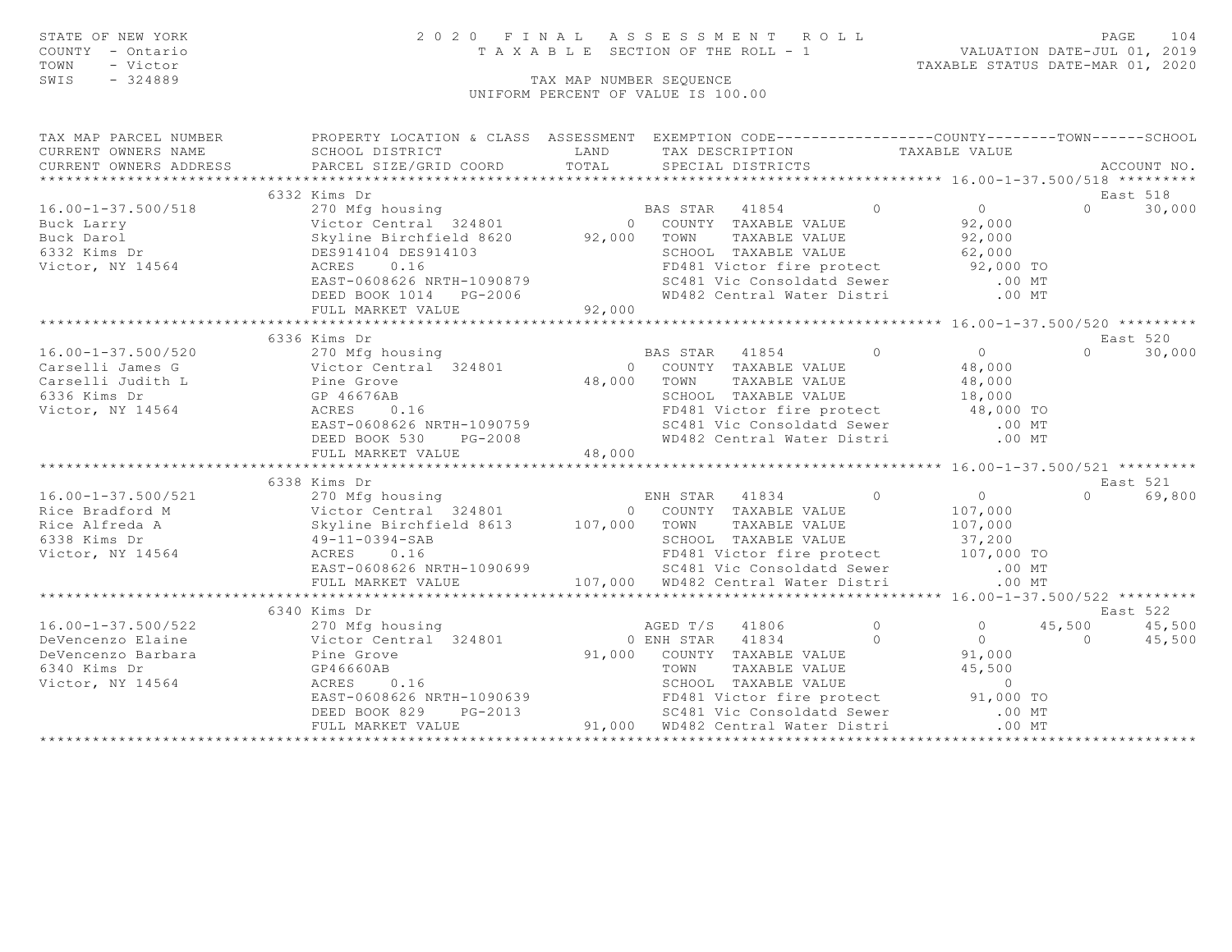| STATE OF NEW YORK | 2020 FINAL ASSESSMENT ROLL      | 104<br>PAGE                      |
|-------------------|---------------------------------|----------------------------------|
| COUNTY - Ontario  | TAXABLE SECTION OF THE ROLL - 1 | VALUATION DATE-JUL 01, 2019      |
| TOWN<br>- Victor  |                                 | TAXABLE STATUS DATE-MAR 01, 2020 |
| SWIS<br>$-324889$ | TAX MAP NUMBER SEOUENCE         |                                  |

| TAX MAP PARCEL NUMBER                                                                                                                                                                                                                | PROPERTY LOCATION & CLASS ASSESSMENT EXEMPTION CODE----------------COUNTY-------TOWN------SCHOOL                                                                                                                                                 |  |  |          |          |
|--------------------------------------------------------------------------------------------------------------------------------------------------------------------------------------------------------------------------------------|--------------------------------------------------------------------------------------------------------------------------------------------------------------------------------------------------------------------------------------------------|--|--|----------|----------|
|                                                                                                                                                                                                                                      |                                                                                                                                                                                                                                                  |  |  |          |          |
|                                                                                                                                                                                                                                      |                                                                                                                                                                                                                                                  |  |  |          | East 518 |
|                                                                                                                                                                                                                                      |                                                                                                                                                                                                                                                  |  |  | $\Omega$ | 30,000   |
|                                                                                                                                                                                                                                      |                                                                                                                                                                                                                                                  |  |  |          |          |
|                                                                                                                                                                                                                                      |                                                                                                                                                                                                                                                  |  |  |          |          |
|                                                                                                                                                                                                                                      |                                                                                                                                                                                                                                                  |  |  |          |          |
|                                                                                                                                                                                                                                      |                                                                                                                                                                                                                                                  |  |  |          |          |
|                                                                                                                                                                                                                                      | Skyline Birchfield 8620<br>DES914104 DES914103<br>ACRES 0.16<br>EAST-0608626 NRTH-1090879<br>DEST-0608626 NRTH-1090879<br>DEDED BOOK 1014<br>PE-2006<br>WD482 Central Water Distri .00 MT<br>ND482 Central Water Distri .00 MT<br>PUBLIC MD482 C |  |  |          |          |
|                                                                                                                                                                                                                                      |                                                                                                                                                                                                                                                  |  |  |          |          |
|                                                                                                                                                                                                                                      |                                                                                                                                                                                                                                                  |  |  |          |          |
|                                                                                                                                                                                                                                      |                                                                                                                                                                                                                                                  |  |  |          |          |
|                                                                                                                                                                                                                                      | 6336 Kims Dr                                                                                                                                                                                                                                     |  |  |          | East 520 |
|                                                                                                                                                                                                                                      |                                                                                                                                                                                                                                                  |  |  | $\cap$   | 30,000   |
|                                                                                                                                                                                                                                      |                                                                                                                                                                                                                                                  |  |  |          |          |
|                                                                                                                                                                                                                                      |                                                                                                                                                                                                                                                  |  |  |          |          |
|                                                                                                                                                                                                                                      |                                                                                                                                                                                                                                                  |  |  |          |          |
|                                                                                                                                                                                                                                      |                                                                                                                                                                                                                                                  |  |  |          |          |
|                                                                                                                                                                                                                                      |                                                                                                                                                                                                                                                  |  |  |          |          |
|                                                                                                                                                                                                                                      |                                                                                                                                                                                                                                                  |  |  |          |          |
|                                                                                                                                                                                                                                      |                                                                                                                                                                                                                                                  |  |  |          |          |
|                                                                                                                                                                                                                                      |                                                                                                                                                                                                                                                  |  |  |          |          |
|                                                                                                                                                                                                                                      | 6338 Kims Dr                                                                                                                                                                                                                                     |  |  |          | East 521 |
|                                                                                                                                                                                                                                      |                                                                                                                                                                                                                                                  |  |  | $\cap$   | 69,800   |
|                                                                                                                                                                                                                                      |                                                                                                                                                                                                                                                  |  |  |          |          |
|                                                                                                                                                                                                                                      |                                                                                                                                                                                                                                                  |  |  |          |          |
|                                                                                                                                                                                                                                      |                                                                                                                                                                                                                                                  |  |  |          |          |
| 16.00-1-37.500/521<br>Rice Bradford M Victor Central 324801<br>Rice Alfreda A Skyline Birchfield 8613 107,000 TOWN TAXABLE VALUE 107,000<br>Rice Alfreda A Skyline Birchfield 8613 107,000 TOWN TAXABLE VALUE 107,000<br>FD481 Victo |                                                                                                                                                                                                                                                  |  |  |          |          |
|                                                                                                                                                                                                                                      |                                                                                                                                                                                                                                                  |  |  |          |          |
|                                                                                                                                                                                                                                      |                                                                                                                                                                                                                                                  |  |  |          |          |
|                                                                                                                                                                                                                                      |                                                                                                                                                                                                                                                  |  |  |          |          |
|                                                                                                                                                                                                                                      | 6340 Kims Dr                                                                                                                                                                                                                                     |  |  |          | East 522 |
|                                                                                                                                                                                                                                      |                                                                                                                                                                                                                                                  |  |  |          |          |
|                                                                                                                                                                                                                                      |                                                                                                                                                                                                                                                  |  |  |          |          |
|                                                                                                                                                                                                                                      |                                                                                                                                                                                                                                                  |  |  |          |          |
|                                                                                                                                                                                                                                      |                                                                                                                                                                                                                                                  |  |  |          |          |
| 16.00-1-37.500/522<br>0.340 Alms DE AGED T/S 41806 0<br>DeVencenzo Elaine Victor Central 324801 0 ENH STAR 41834 0 0 0 45,500 45,500<br>DeVencenzo Barbara Pine Grove 91,000 COUNTY TAXABLE VALUE 91,000<br>GP46660AB GP46660AB TOWN |                                                                                                                                                                                                                                                  |  |  |          |          |
|                                                                                                                                                                                                                                      |                                                                                                                                                                                                                                                  |  |  |          |          |
|                                                                                                                                                                                                                                      | EAST-0608626 NRTH-1090639<br>EAST-0608626 NRTH-1090639<br>DEED BOOK 829 PG-2013 91,000 WD482 Central Water Distri .00 MT<br>FULL MARKET VALUE 91,000 WD482 Central Water Distri .00 MT                                                           |  |  |          |          |
|                                                                                                                                                                                                                                      | ************************                                                                                                                                                                                                                         |  |  |          |          |
|                                                                                                                                                                                                                                      |                                                                                                                                                                                                                                                  |  |  |          |          |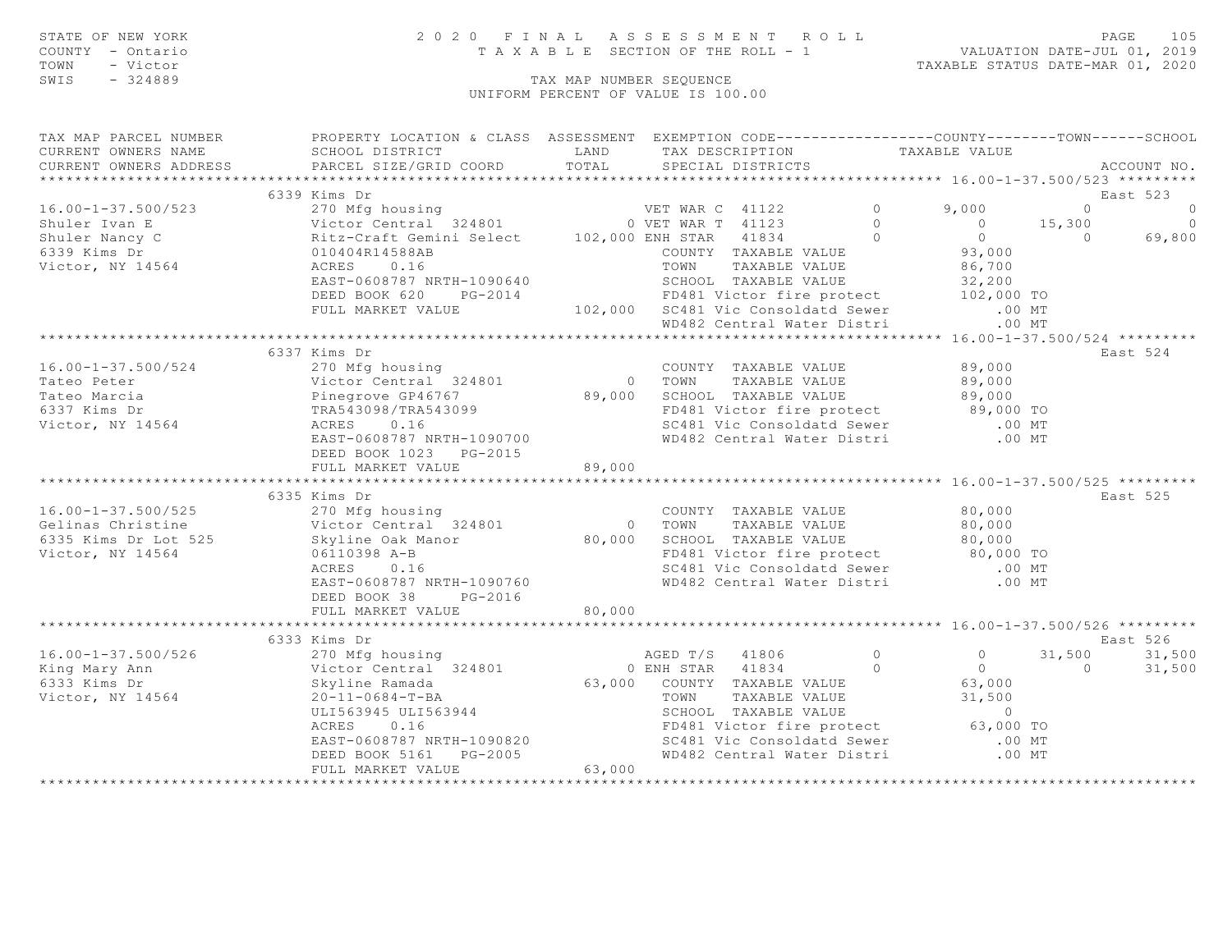| STATE OF NEW YORK | 2020 FINAL ASSESSMENT ROLL      | 105<br>PAGE                      |
|-------------------|---------------------------------|----------------------------------|
| COUNTY - Ontario  | TAXABLE SECTION OF THE ROLL - 1 | VALUATION DATE-JUL 01, 2019      |
| TOWN<br>- Victor  |                                 | TAXABLE STATUS DATE-MAR 01, 2020 |
| SWIS<br>- 324889  | TAX MAP NUMBER SEQUENCE         |                                  |

| TAX MAP PARCEL NUMBER<br>CURRENT OWNERS NAME<br>CURRENT OWNERS NAME SERIOOL DISTRICT - ------ ------ LAND TAX DESCRIPTION TAXABLE VALUE<br>CURRENT OWNERS ADDRESS PARCEL SIZE/GRID COORD TOTAL SPECIAL DISTRICTS ACCOUNT NO.<br>*****************************<br>CURRENT OWNERS ADDRESS                                                                                                                                                    | PROPERTY LOCATION & CLASS ASSESSMENT EXEMPTION CODE----------------COUNTY-------TOWN------SCHOOL |        |                                                                                                                            |       |                            |
|--------------------------------------------------------------------------------------------------------------------------------------------------------------------------------------------------------------------------------------------------------------------------------------------------------------------------------------------------------------------------------------------------------------------------------------------|--------------------------------------------------------------------------------------------------|--------|----------------------------------------------------------------------------------------------------------------------------|-------|----------------------------|
|                                                                                                                                                                                                                                                                                                                                                                                                                                            | 6339 Kims Dr                                                                                     |        |                                                                                                                            |       | East 523                   |
|                                                                                                                                                                                                                                                                                                                                                                                                                                            |                                                                                                  |        |                                                                                                                            | 9,000 | $\overline{0}$<br>$\Omega$ |
|                                                                                                                                                                                                                                                                                                                                                                                                                                            |                                                                                                  |        |                                                                                                                            |       | $\bigcirc$                 |
|                                                                                                                                                                                                                                                                                                                                                                                                                                            |                                                                                                  |        |                                                                                                                            |       | 69,800                     |
|                                                                                                                                                                                                                                                                                                                                                                                                                                            |                                                                                                  |        |                                                                                                                            |       |                            |
|                                                                                                                                                                                                                                                                                                                                                                                                                                            |                                                                                                  |        | ET WAR T 41123<br>NH STAR 41834 0 0 15,300<br>COUNTY TAXABLE VALUE 93,000<br>TOWN TAXABLE VALUE 986,700<br>S6,700          |       |                            |
| 16.00-1-37.500/523 270 Mfg housing<br>Shuler Ivan E Victor Central 324801 0 VET WAR T 41123 0<br>Shuler Nancy C Ritz-Craft Gemini Select 102,000 ENH STAR 41834 0<br>6339 Kims Dr 010404R14588AB<br>Victor, NY 14564 ACRES 0.16 TOWN T                                                                                                                                                                                                     | EAST-0608787 NRTH-1090640                                                                        |        | SCHOOL TAXABLE VALUE 32,200                                                                                                |       |                            |
|                                                                                                                                                                                                                                                                                                                                                                                                                                            | DEED BOOK 620<br>PG-2014                                                                         |        |                                                                                                                            |       |                            |
|                                                                                                                                                                                                                                                                                                                                                                                                                                            | FULL MARKET VALUE                                                                                |        | TD481 Victor fire protect 102,000 TO<br>102,000 SC481 Vic Consoldatd Sewer 102,000 NT<br>WD482 Central Water Distri .00 MT |       |                            |
|                                                                                                                                                                                                                                                                                                                                                                                                                                            |                                                                                                  |        |                                                                                                                            |       |                            |
|                                                                                                                                                                                                                                                                                                                                                                                                                                            |                                                                                                  |        |                                                                                                                            |       |                            |
|                                                                                                                                                                                                                                                                                                                                                                                                                                            |                                                                                                  |        |                                                                                                                            |       | East 524                   |
| $\begin{array}{cccccc} \text{6337 Kims Dr} & \text{6337 Kims Dr} & \text{270 Mfg housing} & \text{COUNTY TAXABLE VALUE} & \text{89,000} \\ \text{Tateo Peter} & \text{Victor Central} & \text{324801} & \text{0} & \text{TAXABLE VALUE} & \text{89,000} \\ \text{Tateo Marcia} & \text{Pinegrove GP46767} & \text{89,000} & \text{SCH0OL TAXABLE VALUE} & \text{89,000} \\ \text{6337 Kims Dr} & \text{TRA543098/TRA543099} & \text{FNA54$ |                                                                                                  |        |                                                                                                                            |       |                            |
|                                                                                                                                                                                                                                                                                                                                                                                                                                            |                                                                                                  |        |                                                                                                                            |       |                            |
|                                                                                                                                                                                                                                                                                                                                                                                                                                            |                                                                                                  |        |                                                                                                                            |       |                            |
|                                                                                                                                                                                                                                                                                                                                                                                                                                            |                                                                                                  |        |                                                                                                                            |       |                            |
|                                                                                                                                                                                                                                                                                                                                                                                                                                            |                                                                                                  |        |                                                                                                                            |       |                            |
|                                                                                                                                                                                                                                                                                                                                                                                                                                            |                                                                                                  |        |                                                                                                                            |       |                            |
|                                                                                                                                                                                                                                                                                                                                                                                                                                            |                                                                                                  |        |                                                                                                                            |       |                            |
|                                                                                                                                                                                                                                                                                                                                                                                                                                            | DEED BOOK 1023 PG-2015                                                                           | 89,000 |                                                                                                                            |       |                            |
|                                                                                                                                                                                                                                                                                                                                                                                                                                            | FULL MARKET VALUE                                                                                |        |                                                                                                                            |       |                            |
|                                                                                                                                                                                                                                                                                                                                                                                                                                            | 6335 Kims Dr                                                                                     |        |                                                                                                                            |       | East 525                   |
|                                                                                                                                                                                                                                                                                                                                                                                                                                            |                                                                                                  |        |                                                                                                                            |       |                            |
|                                                                                                                                                                                                                                                                                                                                                                                                                                            |                                                                                                  |        |                                                                                                                            |       |                            |
|                                                                                                                                                                                                                                                                                                                                                                                                                                            |                                                                                                  |        |                                                                                                                            |       |                            |
|                                                                                                                                                                                                                                                                                                                                                                                                                                            |                                                                                                  |        |                                                                                                                            |       |                            |
| 16.00-1-37.500/525<br>COUNTY TAXABLE VALUE 80,000<br>Gelinas Christine victor Central 324801 0 TOWN TAXABLE VALUE 80,000<br>6335 Kims Dr Lot 525 Skyline Oak Manor 80,000 SCHOOL TAXABLE VALUE 80,000<br>Victor, NY 14564 06110398 A-                                                                                                                                                                                                      |                                                                                                  |        |                                                                                                                            |       |                            |
|                                                                                                                                                                                                                                                                                                                                                                                                                                            | EAST-0608787 NRTH-1090760                                                                        |        | WD482 Central Water Distri .00 MT                                                                                          |       |                            |
|                                                                                                                                                                                                                                                                                                                                                                                                                                            | DEED BOOK 38 PG-2016                                                                             |        |                                                                                                                            |       |                            |
|                                                                                                                                                                                                                                                                                                                                                                                                                                            |                                                                                                  | 80,000 |                                                                                                                            |       |                            |
|                                                                                                                                                                                                                                                                                                                                                                                                                                            | FULL MARKET VALUE                                                                                |        |                                                                                                                            |       |                            |
|                                                                                                                                                                                                                                                                                                                                                                                                                                            |                                                                                                  |        |                                                                                                                            |       |                            |
|                                                                                                                                                                                                                                                                                                                                                                                                                                            | 6333 Kims Dr                                                                                     |        |                                                                                                                            |       | East 526                   |
|                                                                                                                                                                                                                                                                                                                                                                                                                                            |                                                                                                  |        |                                                                                                                            |       | 31,500<br>31,500           |
|                                                                                                                                                                                                                                                                                                                                                                                                                                            |                                                                                                  |        |                                                                                                                            |       | $\cap$<br>31,500           |
|                                                                                                                                                                                                                                                                                                                                                                                                                                            |                                                                                                  |        |                                                                                                                            |       |                            |
|                                                                                                                                                                                                                                                                                                                                                                                                                                            |                                                                                                  |        |                                                                                                                            |       |                            |
|                                                                                                                                                                                                                                                                                                                                                                                                                                            |                                                                                                  |        |                                                                                                                            |       |                            |
|                                                                                                                                                                                                                                                                                                                                                                                                                                            |                                                                                                  |        |                                                                                                                            |       |                            |
|                                                                                                                                                                                                                                                                                                                                                                                                                                            |                                                                                                  |        |                                                                                                                            |       |                            |
|                                                                                                                                                                                                                                                                                                                                                                                                                                            |                                                                                                  |        |                                                                                                                            |       |                            |
|                                                                                                                                                                                                                                                                                                                                                                                                                                            | FULL MARKET VALUE                                                                                | 63,000 |                                                                                                                            |       |                            |
|                                                                                                                                                                                                                                                                                                                                                                                                                                            |                                                                                                  |        |                                                                                                                            |       |                            |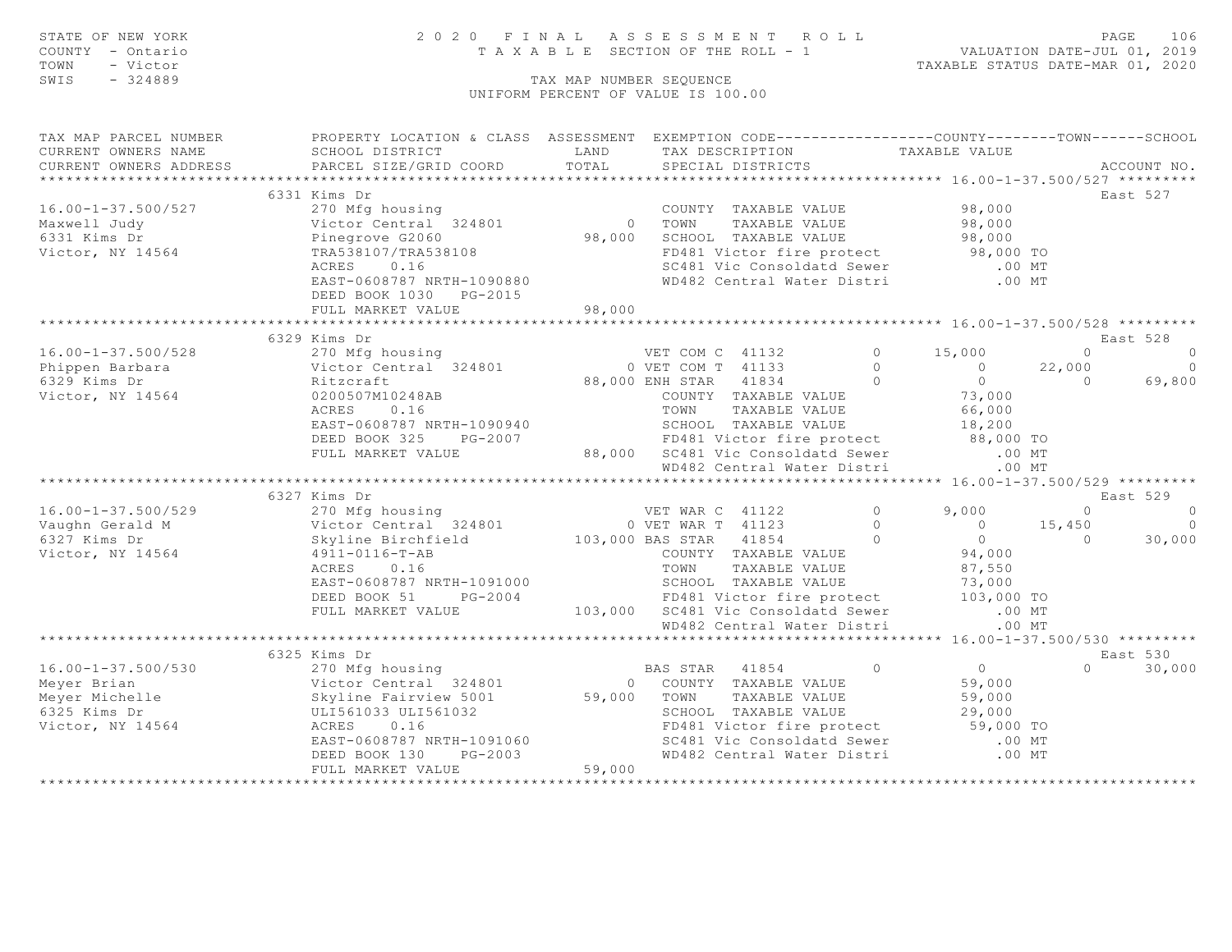| STATE OF NEW YORK<br>COUNTY - Ontario<br>TOWN<br>- Victor<br>SWIS<br>$-324889$ |                                                                                                                                                                                                                                          | TAX MAP NUMBER SEOUENCE | 2020 FINAL ASSESSMENT ROLL<br>T A X A B L E SECTION OF THE ROLL - 1 VALUATION DATE-JUL 01, 2019<br>UNIFORM PERCENT OF VALUE IS 100.00               | TAXABLE STATUS DATE-MAR 01, 2020                                                            |          | PAGE<br>106          |
|--------------------------------------------------------------------------------|------------------------------------------------------------------------------------------------------------------------------------------------------------------------------------------------------------------------------------------|-------------------------|-----------------------------------------------------------------------------------------------------------------------------------------------------|---------------------------------------------------------------------------------------------|----------|----------------------|
| CURRENT OWNERS NAME                                                            | TAX MAP PARCEL NUMBER THE PROPERTY LOCATION & CLASS ASSESSMENT EXEMPTION CODE--------------COUNTY-------TOWN------SCHOOL<br>SCHOOL DISTRICT LAND TAX DESCRIPTION                                                                         |                         |                                                                                                                                                     | TAXABLE VALUE                                                                               |          |                      |
| CURRENT OWNERS ADDRESS                                                         | PARCEL SIZE/GRID COORD                                                                                                                                                                                                                   | TOTAL                   | SPECIAL DISTRICTS                                                                                                                                   |                                                                                             |          | ACCOUNT NO.          |
|                                                                                | 6331 Kims Dr                                                                                                                                                                                                                             |                         |                                                                                                                                                     |                                                                                             |          | East 527             |
| $16.00 - 1 - 37.500 / 527$                                                     | 270 Mfg housing                                                                                                                                                                                                                          |                         | COUNTY TAXABLE VALUE                                                                                                                                | 98,000                                                                                      |          |                      |
| Maxwell Judy                                                                   | Victor Central 324801<br>Pinegrove G2060<br>TRA538107/TRA538108<br>ACRES 0.16                                                                                                                                                            |                         | 0 TOWN TAXABLE VALUE<br>98,000 SCHOOL TAXABLE VALUE                                                                                                 |                                                                                             |          |                      |
| 6331 Kims Dr                                                                   |                                                                                                                                                                                                                                          |                         |                                                                                                                                                     | 98,000<br>98,000                                                                            |          |                      |
| Victor, NY 14564                                                               |                                                                                                                                                                                                                                          |                         | FD481 Victor fire protect 98,000 TO<br>SC481 Vic Consoldatd Sewer .00 MT                                                                            |                                                                                             |          |                      |
|                                                                                |                                                                                                                                                                                                                                          |                         |                                                                                                                                                     | .00 MT                                                                                      |          |                      |
|                                                                                | EAST-0608787 NRTH-1090880                                                                                                                                                                                                                |                         | WD482 Central Water Distri                                                                                                                          | $.00$ MT                                                                                    |          |                      |
|                                                                                | DEED BOOK 1030 PG-2015                                                                                                                                                                                                                   |                         |                                                                                                                                                     |                                                                                             |          |                      |
|                                                                                | FULL MARKET VALUE                                                                                                                                                                                                                        | 98,000                  |                                                                                                                                                     |                                                                                             |          |                      |
|                                                                                | **************************                                                                                                                                                                                                               | *************           |                                                                                                                                                     | *********************** 16.00-1-37.500/528 *********                                        |          |                      |
|                                                                                | 6329 Kims Dr                                                                                                                                                                                                                             |                         | VET COM C 41132                                                                                                                                     | $0 \t 15,000$                                                                               | $\Omega$ | East 528<br>$\Omega$ |
|                                                                                |                                                                                                                                                                                                                                          |                         | 0 VET COM T 41133                                                                                                                                   | $\overline{0}$ 0                                                                            | 22,000   | $\circ$              |
|                                                                                |                                                                                                                                                                                                                                          |                         | 88,000 ENH STAR 41834                                                                                                                               | $\overline{0}$<br>$\overline{0}$ 0                                                          |          | 69,800               |
|                                                                                | 16.00-1-37.500/528<br>Phippen Barbara<br>6329 Kims Dr<br>Victor, NY 14564<br>City Constant Ritzgraft<br>City Constant COSCO7M10248AB                                                                                                     |                         | COUNTY TAXABLE VALUE<br>TOWN TAXABLE VALUE                                                                                                          |                                                                                             |          |                      |
|                                                                                | 0.16<br>ACRES                                                                                                                                                                                                                            |                         | TOWN<br>TAXABLE VALUE                                                                                                                               | $73,000$<br>66,000                                                                          |          |                      |
|                                                                                | EAST-0608787 NRTH-1090940                                                                                                                                                                                                                |                         |                                                                                                                                                     |                                                                                             |          |                      |
|                                                                                | DEED BOOK 325 PG-2007                                                                                                                                                                                                                    |                         | SCHOOL TAXABLE VALUE 18,200<br>FD481 Victor fire protect 88,000 TO<br>88,000 SC481 Vic Consoldatd Sewer .00 MT<br>WD482 Central Water Distri .00 MT |                                                                                             |          |                      |
|                                                                                | FULL MARKET VALUE                                                                                                                                                                                                                        |                         |                                                                                                                                                     |                                                                                             |          |                      |
|                                                                                |                                                                                                                                                                                                                                          |                         |                                                                                                                                                     |                                                                                             |          |                      |
|                                                                                |                                                                                                                                                                                                                                          |                         |                                                                                                                                                     | ************ 16.00-1-37.500/529 *********                                                   |          |                      |
| $16.00 - 1 - 37.500 / 529$                                                     | 6327 Kims Dr<br>VET WAR C 41122<br>270 Mfg housing<br>Victor Central 324801 0 VET WAR T 41123<br>Skyline Birchfield 103,000 BAS STAR 41854<br>4911-0116-T-AB COUNTY TAXABLE V                                                            |                         |                                                                                                                                                     | $\overline{0}$                                                                              |          | East 529<br>$\Omega$ |
| Vaughn Gerald M                                                                |                                                                                                                                                                                                                                          |                         |                                                                                                                                                     | $9,000$ 0<br>0 15,450                                                                       |          | $\Omega$             |
| 6327 Kims Dr                                                                   |                                                                                                                                                                                                                                          |                         | U VET WAR T 41123 0<br>103,000 BAS STAR 41854 0                                                                                                     |                                                                                             |          | 30,000               |
| Victor, NY 14564                                                               |                                                                                                                                                                                                                                          |                         | COUNTY TAXABLE VALUE                                                                                                                                | $0$ 0<br>94,000                                                                             |          |                      |
|                                                                                |                                                                                                                                                                                                                                          |                         |                                                                                                                                                     |                                                                                             |          |                      |
|                                                                                | ACRES 0.16<br>EAST-0608787 NRTH-1091000<br>DEED BOOK 51 PG-2004<br>FULL MARKET VALUE 103,000 SCHOOL TAXABLE VALUE 73,000<br>TOWN TAXABLE VALUE 73,000<br>FULL MARKET VALUE 103,000 SCASS Victor States are the consolidated Server 103,0 |                         |                                                                                                                                                     |                                                                                             |          |                      |
|                                                                                |                                                                                                                                                                                                                                          |                         |                                                                                                                                                     |                                                                                             |          |                      |
|                                                                                |                                                                                                                                                                                                                                          |                         |                                                                                                                                                     |                                                                                             |          |                      |
|                                                                                | *************************************                                                                                                                                                                                                    |                         | WD482 Central Water Distri                                                                                                                          | $.00$ MT                                                                                    |          |                      |
|                                                                                |                                                                                                                                                                                                                                          |                         |                                                                                                                                                     |                                                                                             |          |                      |
|                                                                                | 6325 Kims Dr                                                                                                                                                                                                                             |                         |                                                                                                                                                     |                                                                                             |          | East 530             |
| $16.00 - 1 - 37.500 / 530$                                                     |                                                                                                                                                                                                                                          |                         | BAS STAR 41854                                                                                                                                      |                                                                                             | $\Omega$ | 30,000               |
| Meyer Brian                                                                    |                                                                                                                                                                                                                                          |                         | 0 COUNTY TAXABLE VALUE<br>59,000 TOWN TAXABLE VALUE                                                                                                 | $\begin{array}{ccc} 0 & & & 0 \\ & & 59,000 \\ & & & 59,000 \\ & & & & 0.00 \\ \end{array}$ |          |                      |
| Meyer Michelle<br>6325 Kims Dr                                                 |                                                                                                                                                                                                                                          |                         |                                                                                                                                                     |                                                                                             |          |                      |
| Victor, NY 14564                                                               |                                                                                                                                                                                                                                          |                         |                                                                                                                                                     |                                                                                             |          |                      |
|                                                                                | EAST-0608787 NRTH-1091060                                                                                                                                                                                                                |                         | SCHOOL TAXABLE VALUE<br>SCHOOL TAXABLE VALUE<br>FD481 Victor fire protect<br>SC481 Vic Consoldatd Sewer 00 MT<br>WD482 Central Water Distri 00 MT   |                                                                                             |          |                      |
|                                                                                | DEED BOOK 130<br>PG-2003                                                                                                                                                                                                                 |                         |                                                                                                                                                     |                                                                                             |          |                      |
|                                                                                | FULL MARKET VALUE                                                                                                                                                                                                                        | 59,000                  |                                                                                                                                                     |                                                                                             |          |                      |
|                                                                                |                                                                                                                                                                                                                                          |                         |                                                                                                                                                     |                                                                                             |          |                      |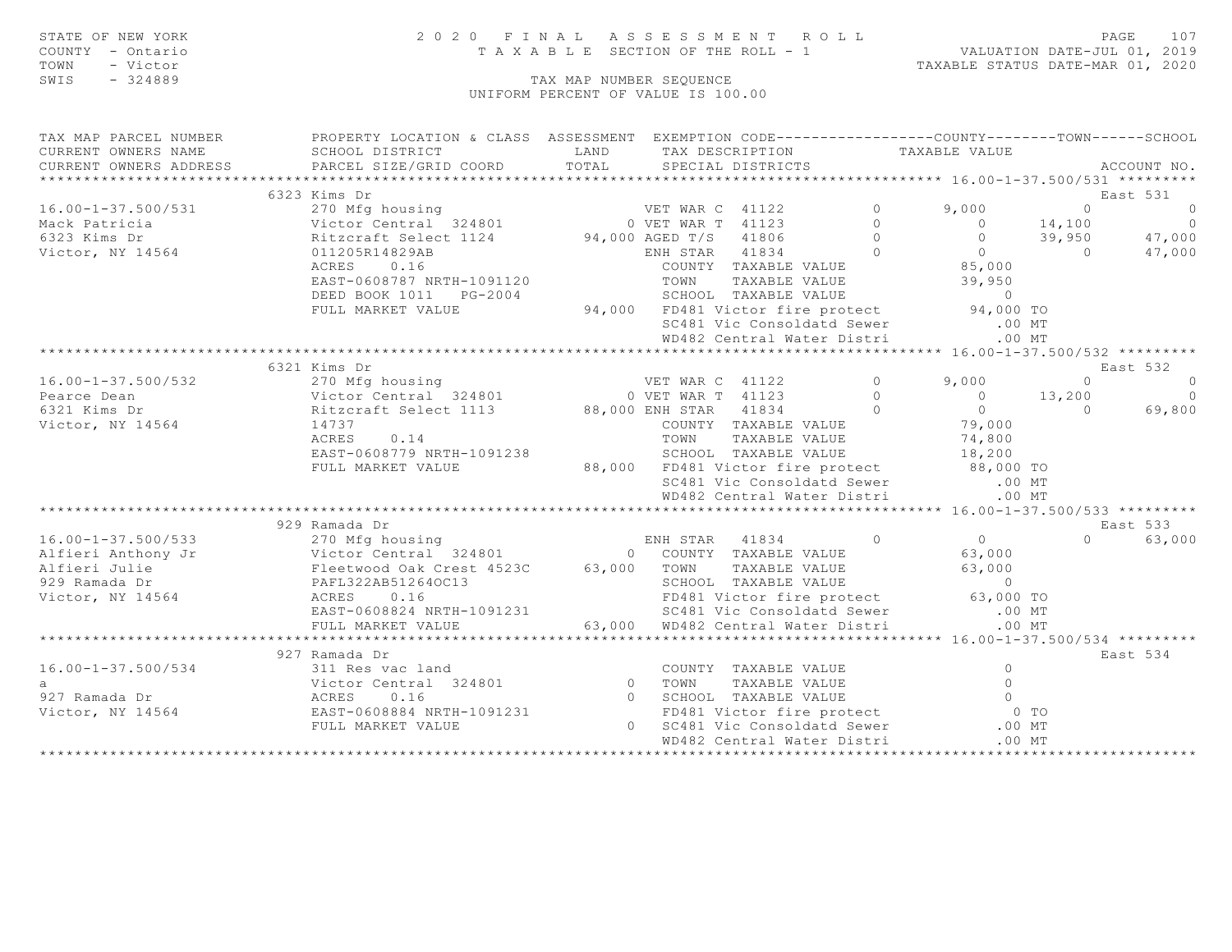| STATE OF NEW YORK<br>COUNTY - Ontario<br>TOWN<br>- Victor<br>SWIS<br>$-324889$ | 2020 FINAL ASSESSMENT ROLL<br>T A X A B L E SECTION OF THE ROLL - 1<br>TAX MAP NUMBER SEQUENCE<br>UNIFORM PERCENT OF VALUE IS 100.00 | PAGE<br>107<br>VALUATION DATE-JUL 01, 2019<br>TAXABLE STATUS DATE-MAR 01, 2020 |                                                          |                                           |                                                                                                                                                     |                          |                |
|--------------------------------------------------------------------------------|--------------------------------------------------------------------------------------------------------------------------------------|--------------------------------------------------------------------------------|----------------------------------------------------------|-------------------------------------------|-----------------------------------------------------------------------------------------------------------------------------------------------------|--------------------------|----------------|
| TAX MAP PARCEL NUMBER                                                          | PROPERTY LOCATION & CLASS ASSESSMENT EXEMPTION CODE-----------------COUNTY-------TOWN------SCHOOL                                    |                                                                                |                                                          |                                           |                                                                                                                                                     |                          |                |
| CURRENT OWNERS NAME<br>CURRENT OWNERS ADDRESS                                  | SCHOOL DISTRICT<br>PARCEL SIZE/GRID COORD                                                                                            | LAND<br>TOTAL                                                                  | TAX DESCRIPTION<br>SPECIAL DISTRICTS                     |                                           | TAXABLE VALUE                                                                                                                                       |                          | ACCOUNT NO.    |
|                                                                                |                                                                                                                                      |                                                                                |                                                          |                                           |                                                                                                                                                     |                          |                |
|                                                                                | 6323 Kims Dr                                                                                                                         |                                                                                |                                                          |                                           |                                                                                                                                                     |                          | East 531       |
| $16.00 - 1 - 37.500 / 531$                                                     | 270 Mfg housing<br>Victor Central 324801 (VET WAR T 41123<br>Ritzcraft Select 1124 (94,000 AGED T/S 41806                            |                                                                                |                                                          |                                           | $0 \t 9,000$                                                                                                                                        | $\Omega$                 | $\overline{0}$ |
| Mack Patricia                                                                  |                                                                                                                                      |                                                                                |                                                          |                                           |                                                                                                                                                     | 0 $14,100$<br>0 $39,950$ | $\overline{0}$ |
| 6323 Kims Dr                                                                   |                                                                                                                                      |                                                                                |                                                          |                                           |                                                                                                                                                     |                          | 47,000         |
| Victor, NY 14564                                                               | 011205R14829AB                                                                                                                       |                                                                                | ENH STAR 41834                                           |                                           |                                                                                                                                                     | $\overline{0}$ 0         | 47,000         |
|                                                                                | ACRES<br>0.16                                                                                                                        |                                                                                | COUNTY TAXABLE VALUE                                     |                                           |                                                                                                                                                     |                          |                |
|                                                                                | EAST-0608787 NRTH-1091120                                                                                                            |                                                                                | TOWN                                                     | TAXABLE VALUE                             | 39,950                                                                                                                                              |                          |                |
|                                                                                |                                                                                                                                      |                                                                                | SCHOOL TAXABLE VALUE                                     |                                           | $\overline{0}$                                                                                                                                      |                          |                |
|                                                                                | FULL MARKET VALUE                                                                                                                    |                                                                                | 94,000 FD481 Victor fire protect                         | SC481 Vic Consoldatd Sewer                | 94,000 TO<br>.00MT                                                                                                                                  |                          |                |
|                                                                                |                                                                                                                                      |                                                                                |                                                          | WD482 Central Water Distri                | .00MT                                                                                                                                               |                          |                |
|                                                                                |                                                                                                                                      |                                                                                |                                                          |                                           |                                                                                                                                                     |                          |                |
|                                                                                | 6321 Kims Dr                                                                                                                         |                                                                                |                                                          |                                           |                                                                                                                                                     |                          | East 532       |
| $16.00 - 1 - 37.500 / 532$                                                     | VET WAR C 41122<br>270 Mfg housing<br>Victor Central 324801<br>Ritzcraft Select 1113 88,000 ENH STAR 41834                           |                                                                                |                                                          | $\bigcirc$                                | 9,000                                                                                                                                               | $\Omega$                 | $\circ$        |
| Pearce Dean                                                                    |                                                                                                                                      |                                                                                |                                                          | $\overline{0}$                            | $0$ 13,200<br>0 0                                                                                                                                   |                          | $\bigcirc$     |
| 6321 Kims Dr                                                                   |                                                                                                                                      |                                                                                |                                                          | $\overline{0}$                            |                                                                                                                                                     |                          | 69,800         |
| Victor, NY 14564                                                               | 14737                                                                                                                                |                                                                                |                                                          | COUNTY TAXABLE VALUE                      | 79,000<br>74,800                                                                                                                                    |                          |                |
|                                                                                | 0.14<br>ACRES                                                                                                                        |                                                                                | TOWN                                                     | TAXABLE VALUE                             |                                                                                                                                                     |                          |                |
|                                                                                | EAST-0608779 NRTH-1091238<br>FULL MARKET VALUE                                                                                       |                                                                                |                                                          |                                           |                                                                                                                                                     |                          |                |
|                                                                                |                                                                                                                                      |                                                                                |                                                          |                                           |                                                                                                                                                     |                          |                |
|                                                                                |                                                                                                                                      |                                                                                |                                                          |                                           | CONCORRECT 18,200<br>88,000 FD481 Victor fire protect 88,000 TO<br>SC481 Vic Consoldatd Sewer .00 MT<br>WD482 Central Water Distri .00 MT<br>.00 MT |                          |                |
|                                                                                |                                                                                                                                      |                                                                                |                                                          |                                           |                                                                                                                                                     |                          |                |
|                                                                                | 929 Ramada Dr                                                                                                                        |                                                                                |                                                          |                                           |                                                                                                                                                     |                          | East 533       |
| $16.00 - 1 - 37.500 / 533$                                                     | 270 Mfg housing<br>Victor Central 324801                                                                                             |                                                                                | ENH STAR 41834                                           | $\Omega$                                  | $\overline{0}$                                                                                                                                      | $\Omega$                 | 63,000         |
| Alfieri Anthony Jr                                                             |                                                                                                                                      |                                                                                | 0 COUNTY TAXABLE VALUE                                   |                                           | 63,000                                                                                                                                              |                          |                |
| Alfieri Julie                                                                  | Fleetwood Oak Crest 4523C<br>PAFL322AB51264OC13                                                                                      |                                                                                | 63,000 TOWN TAXABLE VALUE                                |                                           | 63,000                                                                                                                                              |                          |                |
| 929 Ramada Dr                                                                  |                                                                                                                                      |                                                                                | SCHOOL TAXABLE VALUE                                     |                                           | $\overline{0}$                                                                                                                                      |                          |                |
| Victor, NY 14564                                                               | ACRES<br>0.16                                                                                                                        |                                                                                | FD481 Victor fire protect                                |                                           | 63,000 TO                                                                                                                                           |                          |                |
|                                                                                | EAST-0608824 NRTH-1091231                                                                                                            |                                                                                | SC481 Vic Consoldatd Sewer                               |                                           | .00 MT                                                                                                                                              |                          |                |
|                                                                                | FULL MARKET VALUE<br>*******************************                                                                                 |                                                                                | 63,000 WD482 Central Water Distri                        |                                           | .00MT                                                                                                                                               |                          |                |
|                                                                                | 927 Ramada Dr                                                                                                                        |                                                                                |                                                          |                                           |                                                                                                                                                     |                          | East 534       |
| $16.00 - 1 - 37.500 / 534$                                                     |                                                                                                                                      |                                                                                |                                                          |                                           | $\Omega$                                                                                                                                            |                          |                |
| $a \rightarrow$                                                                | Ramada Dr<br>311 Res vac land<br>Victor Central 324801 0 TOWN TAXABLE VALUE<br>10 SCHOOL TAXABLE VALUE<br>10 SCHOOL TAXABLE VALUE    |                                                                                |                                                          |                                           | $\overline{0}$                                                                                                                                      |                          |                |
| 927 Ramada Dr                                                                  | Victor Central 324801<br>ACRES 0.16<br>EAST-0608884 NRTH-1091231                                                                     |                                                                                |                                                          | -------<br>TAXABLE VALUE<br>TAXABLE VALUE | $\bigcap$                                                                                                                                           |                          |                |
| Victor, NY 14564                                                               |                                                                                                                                      |                                                                                | FD481 Victor fire protect<br>0 SC481 Victor fire protect |                                           | $0$ TO                                                                                                                                              |                          |                |
|                                                                                | FULL MARKET VALUE                                                                                                                    |                                                                                |                                                          |                                           | $.00$ MT                                                                                                                                            |                          |                |
|                                                                                |                                                                                                                                      |                                                                                |                                                          | WD482 Central Water Distri                | $.00$ MT                                                                                                                                            |                          |                |

\*\*\*\*\*\*\*\*\*\*\*\*\*\*\*\*\*\*\*\*\*\*\*\*\*\*\*\*\*\*\*\*\*\*\*\*\*\*\*\*\*\*\*\*\*\*\*\*\*\*\*\*\*\*\*\*\*\*\*\*\*\*\*\*\*\*\*\*\*\*\*\*\*\*\*\*\*\*\*\*\*\*\*\*\*\*\*\*\*\*\*\*\*\*\*\*\*\*\*\*\*\*\*\*\*\*\*\*\*\*\*\*\*\*\*\*\*\*\*\*\*\*\*\*\*\*\*\*\*\*\*\*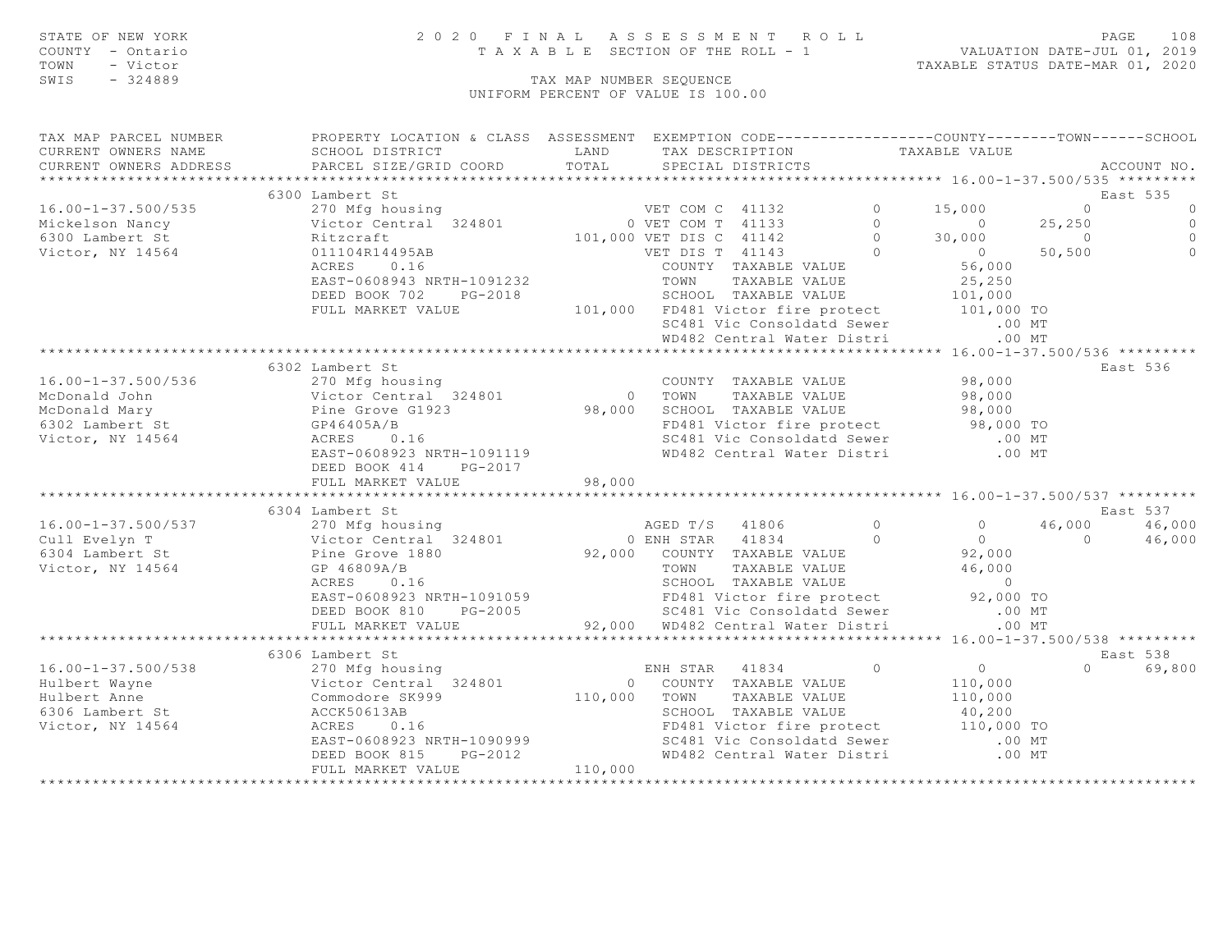| STATE OF NEW YORK<br>COUNTY - Ontario<br>TOWN<br>- Victor<br>SWIS - 324889 |                                                                                                                                                                                                                                                                                                                                                                                                                                                                                              |        | PAGE 108 PAGE 108 PAGE 108<br>TAXABLE SECTION OF THE ROLL - 1 VALUATION DATE-JUL 01, 2019<br>TAXABLE STATUS DATE-MAR 01, 2020<br>TAX MAP NUMBER SEQUENCE<br>UNIFORM PERCENT OF VALUE IS 100.00 |        |                      |
|----------------------------------------------------------------------------|----------------------------------------------------------------------------------------------------------------------------------------------------------------------------------------------------------------------------------------------------------------------------------------------------------------------------------------------------------------------------------------------------------------------------------------------------------------------------------------------|--------|------------------------------------------------------------------------------------------------------------------------------------------------------------------------------------------------|--------|----------------------|
| CURRENT OWNERS NAME<br>CURRENT OWNERS ADDRESS                              | TAX MAP PARCEL NUMBER <b>The PROPERTY LOCATION &amp; CLASS</b> ASSESSMENT EXEMPTION CODE--------------COUNTY-------TOWN------SCHOOL<br>SCHOOL DISTRICT                     LAND        TAX DESCRIPTION                  TAXABLE VALUE<br>PARCEL SIZE/GRID COORD TOTAL                                                                                                                                                                                                                        |        | SPECIAL DISTRICTS                                                                                                                                                                              |        | ACCOUNT NO.          |
|                                                                            |                                                                                                                                                                                                                                                                                                                                                                                                                                                                                              |        |                                                                                                                                                                                                |        |                      |
|                                                                            | 6300 Lambert St                                                                                                                                                                                                                                                                                                                                                                                                                                                                              |        |                                                                                                                                                                                                |        | East 535<br>$\circ$  |
|                                                                            |                                                                                                                                                                                                                                                                                                                                                                                                                                                                                              |        |                                                                                                                                                                                                |        | $\circ$<br>$\circ$   |
|                                                                            |                                                                                                                                                                                                                                                                                                                                                                                                                                                                                              |        |                                                                                                                                                                                                |        |                      |
|                                                                            | 6302 Lambert St                                                                                                                                                                                                                                                                                                                                                                                                                                                                              |        |                                                                                                                                                                                                |        | East 536             |
|                                                                            | 16.00-1-37.500/536 6302 Lambert St<br>McDonald John Victor Central 324801 0 TOWN TAXABLE VALUE 98,000<br>McDonald Mary Pine Grove G1923 98,000 SCHOOL TAXABLE VALUE 98,000<br>McDonald Mary Pine Grove G1923 98,000 SCHOOL TAXABLE V<br>DEED BOOK 414 PG-2017<br>FULL MARKET VALUE                                                                                                                                                                                                           | 98,000 |                                                                                                                                                                                                |        |                      |
|                                                                            |                                                                                                                                                                                                                                                                                                                                                                                                                                                                                              |        |                                                                                                                                                                                                |        |                      |
|                                                                            |                                                                                                                                                                                                                                                                                                                                                                                                                                                                                              |        |                                                                                                                                                                                                |        | East 537             |
|                                                                            | 6304 Lambert St<br>16.00-1-37.500/537 270 Mfg housing<br>Cull Evelyn T Cuctor Central 324801 0 BNH STAR 41834 0 0 0 46,000<br>6304 Lambert St Pine Grove 1880 92,000 COUNTY TAXABLE VALUE 92,000<br>Victor, NY 14564 GP 46809A/B 16 20<br>GP 46809A/B<br>CP 46809A/B<br>CHOOL TAXABLE VALUE 46,000<br>EAST-0608923 NRTH-1091059<br>DEED BOOK 810 PG-2005<br>PEED BOOK 810 PG-2005<br>PEED BOOK 810 PG-2005<br>PEED BOOK 810 PG-2005<br>PEED BOOK 810 PG-2005<br>PEED BOOK 810 PG-2005<br>PEE |        |                                                                                                                                                                                                | 46,000 | 46,000<br>46,000     |
|                                                                            |                                                                                                                                                                                                                                                                                                                                                                                                                                                                                              |        |                                                                                                                                                                                                |        |                      |
|                                                                            |                                                                                                                                                                                                                                                                                                                                                                                                                                                                                              |        |                                                                                                                                                                                                |        |                      |
|                                                                            | ACCK50613AB<br>ACCK50613AB<br>ACRES 0.16<br>EAST-0608923 NRTH-1090999<br>DEED BOOK 815 PG-2012<br>FULL MARKET VALUE<br>FULL MARKET VALUE<br>FULL MARKET VALUE<br>PG-2012<br>TULL MARKET VALUE<br>110,000<br>110,000<br>110,000<br>20 MD482 Central Water                                                                                                                                                                                                                                     |        |                                                                                                                                                                                                |        | East 538<br>0 69,800 |
|                                                                            |                                                                                                                                                                                                                                                                                                                                                                                                                                                                                              |        |                                                                                                                                                                                                |        |                      |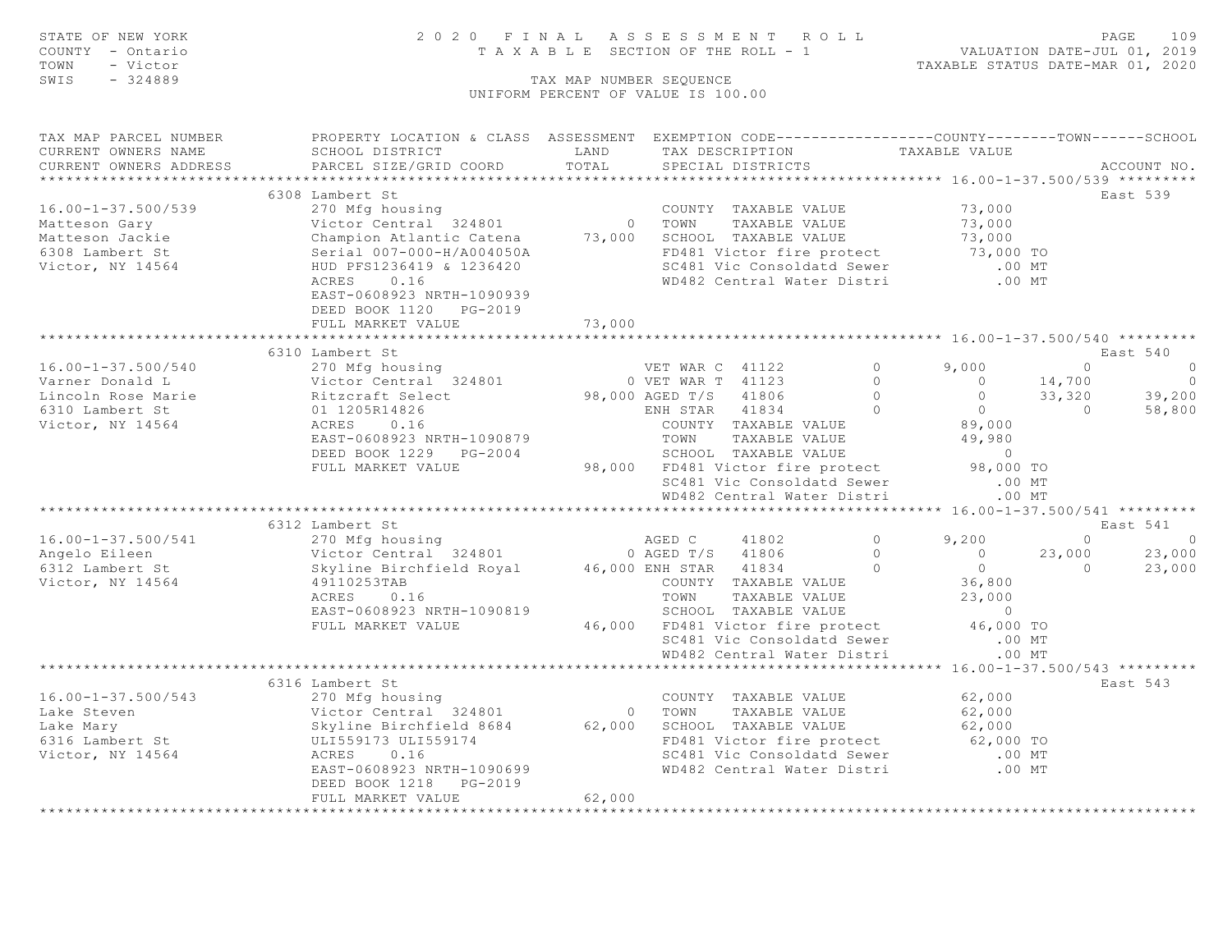| TAX MAP NUMBER SEQUENCE<br>UNIFORM PERCENT OF VALUE IS 100.00<br>PROPERTY LOCATION & CLASS ASSESSMENT EXEMPTION CODE----------------COUNTY-------TOWN-----SCHOOL<br>TAX MAP PARCEL NUMBER<br>TAX DESCRIPTION<br>CURRENT OWNERS NAME<br>SCHOOL DISTRICT<br>LAND<br>TAXABLE VALUE<br>CURRENT OWNERS ADDRESS<br>PARCEL SIZE/GRID COORD<br>TOTAL<br>SPECIAL DISTRICTS<br>ACCOUNT NO.<br>6308 Lambert St<br>East 539<br>$16.00 - 1 - 37.500 / 539$<br>270 Mfg housing<br>73,000<br>73,000<br>COUNTY TAXABLE VALUE<br>Victor Central 324801 0 TOWN TAXABLE VALUE<br>Champion Atlantic Catena 73,000 SCHOOL TAXABLE VALUE<br>Serial 007-000-H/A004050A FD481 Victor fire protect<br>HUD PFS1236419 & 1236420 SC481 Vic Consoldatd Sewer<br>Matteson Gary<br>Matteson Jackie<br>73,000<br>FD481 Victor fire protect 73,000 TO<br>6308 Lambert St<br>Victor, NY 14564<br>.00 MT<br>WD482 Central Water Distri<br>ACRES<br>0.16<br>$.00$ MT<br>EAST-0608923 NRTH-1090939<br>DEED BOOK 1120 PG-2019<br>73,000<br>FULL MARKET VALUE<br>************<br>************************* 16.00-1-37.500/540 *********<br>************************<br>6310 Lambert St<br>East 540<br>$16.00 - 1 - 37.500 / 540$<br>$\overline{0}$<br>270 Mfg housing<br>VET WAR C 41122<br>9,000<br>$\circ$<br>$\circ$<br>VET WAR C 41122<br>0 VET WAR T 41123<br>98,000 AGED T/S 41806<br>ENH STAR 41834<br>14,700<br>Victor Central 324801<br>$\bigcap$<br>$\overline{O}$<br>Varner Donald L<br>$\circ$<br>VICLOI CERTAIN SERVICION NELLA SANTA SANTA ACCESSIONE CHARGES<br>ACRESS 0.16<br>TELES 0.16<br>1 1111<br>11206 0<br>11206 0<br>11204 0<br>11204 0<br>33,320<br>Lincoln Rose Marie<br>$\begin{array}{c}0\\0\\0\\89,000\end{array}$<br>39,200<br>6310 Lambert St<br>$\overline{0}$<br>58,800<br>COUNTY TAXABLE VALUE<br>Victor, NY 14564<br>EAST-0608923 NRTH-1090879<br>TOWN TAXABLE VALUE<br>SCHOOL TAXABLE VALUE<br>98,000 FD481 Victor fire protect<br>49,980<br>$\overline{0}$<br>FULL MARKET VALUE<br>98,000 TO<br>SC481 Vic Consoldatd Sewer<br>$.00$ MT<br>WD482 Central Water Distri<br>.00MT<br>6312 Lambert St<br>East 541<br>AGED C 41802<br>270 Mfg housing<br>Victor Central 324801 0 AGED T/S 41806<br>Skyline Birchfield Royal 46,000 ENR 41834<br>$16.00 - 1 - 37.500 / 541$<br>AGED C 41802<br>$\circ$<br>9,200<br>$\Omega$<br>$\Omega$<br>$0$ 23,000<br>0 0<br>Angelo Eileen<br>$\overline{0}$<br>23,000<br>$\overline{0}$<br>6312 Lambert St<br>23,000<br>0<br>36,800<br>23,000<br>Victor, NY 14564<br>49110253TAB<br>COUNTY TAXABLE VALUE<br>ACRES 0.16<br>TOWN<br>TAXABLE VALUE<br>SCHOOL TAXABLE VALUE<br>EAST-0608923 NRTH-1090819<br>$\overline{0}$<br>46,000 FD481 Victor fire protect<br>FULL MARKET VALUE<br>46,000 TO<br>SC481 Vic Consoldatd Sewer<br>$.00$ MT<br>WD482 Central Water Distri<br>$.00$ MT<br>************ 16.00-1-37.500/543 *********<br>East 543<br>$16.00 - 1 - 37.500 / 543$<br>COUNTY TAXABLE VALUE<br>Victor Central 324801<br>Skyline Birchfield 8684<br>ULI559173 ULI559174<br>ACRES 0.16<br>TOWN TAXABLE VALUE<br>TOWN TAXABLE VALUE<br>TOWN TAXABLE VALUE<br>TOWN TAXABLE VALUE<br>TOWN TAXABLE VALUE<br>TOWN TAXABLE VALUE<br><br>62,000<br>Lake Steven<br>62,000<br>62,000<br>Lake Mary<br>6316 Lambert St<br>FD481 Victor fire protect<br>62,000 TO<br>Victor, NY 14564<br>SC481 Vic Consoldatd Sewer<br>$.00$ MT<br>WD482 Central Water Distri<br>EAST-0608923 NRTH-1090699<br>$.00$ MT<br>DEED BOOK 1218    PG-2019<br>62,000<br>FULL MARKET VALUE | STATE OF NEW YORK<br>COUNTY - Ontario<br>- Victor<br>TOWN<br>$-324889$<br>SWIS | 2020 FINAL ASSESSMENT ROLL |  | T A X A B L E SECTION OF THE ROLL - 1 | VALUATION DATE-JUL 01, 2019<br>TAXABLE STATUS DATE-MAR 01, 2020 | PAGE | 109 |
|-------------------------------------------------------------------------------------------------------------------------------------------------------------------------------------------------------------------------------------------------------------------------------------------------------------------------------------------------------------------------------------------------------------------------------------------------------------------------------------------------------------------------------------------------------------------------------------------------------------------------------------------------------------------------------------------------------------------------------------------------------------------------------------------------------------------------------------------------------------------------------------------------------------------------------------------------------------------------------------------------------------------------------------------------------------------------------------------------------------------------------------------------------------------------------------------------------------------------------------------------------------------------------------------------------------------------------------------------------------------------------------------------------------------------------------------------------------------------------------------------------------------------------------------------------------------------------------------------------------------------------------------------------------------------------------------------------------------------------------------------------------------------------------------------------------------------------------------------------------------------------------------------------------------------------------------------------------------------------------------------------------------------------------------------------------------------------------------------------------------------------------------------------------------------------------------------------------------------------------------------------------------------------------------------------------------------------------------------------------------------------------------------------------------------------------------------------------------------------------------------------------------------------------------------------------------------------------------------------------------------------------------------------------------------------------------------------------------------------------------------------------------------------------------------------------------------------------------------------------------------------------------------------------------------------------------------------------------------------------------------------------------------------------------------------------------------------------------------------------------------------------------------------------------------------------------------------------------------------------------------------------------------------------------------------------------------------------------------------------------------------------------------------------------------------------------------------------------------------------|--------------------------------------------------------------------------------|----------------------------|--|---------------------------------------|-----------------------------------------------------------------|------|-----|
|                                                                                                                                                                                                                                                                                                                                                                                                                                                                                                                                                                                                                                                                                                                                                                                                                                                                                                                                                                                                                                                                                                                                                                                                                                                                                                                                                                                                                                                                                                                                                                                                                                                                                                                                                                                                                                                                                                                                                                                                                                                                                                                                                                                                                                                                                                                                                                                                                                                                                                                                                                                                                                                                                                                                                                                                                                                                                                                                                                                                                                                                                                                                                                                                                                                                                                                                                                                                                                                                                     |                                                                                |                            |  |                                       |                                                                 |      |     |
|                                                                                                                                                                                                                                                                                                                                                                                                                                                                                                                                                                                                                                                                                                                                                                                                                                                                                                                                                                                                                                                                                                                                                                                                                                                                                                                                                                                                                                                                                                                                                                                                                                                                                                                                                                                                                                                                                                                                                                                                                                                                                                                                                                                                                                                                                                                                                                                                                                                                                                                                                                                                                                                                                                                                                                                                                                                                                                                                                                                                                                                                                                                                                                                                                                                                                                                                                                                                                                                                                     |                                                                                |                            |  |                                       |                                                                 |      |     |
|                                                                                                                                                                                                                                                                                                                                                                                                                                                                                                                                                                                                                                                                                                                                                                                                                                                                                                                                                                                                                                                                                                                                                                                                                                                                                                                                                                                                                                                                                                                                                                                                                                                                                                                                                                                                                                                                                                                                                                                                                                                                                                                                                                                                                                                                                                                                                                                                                                                                                                                                                                                                                                                                                                                                                                                                                                                                                                                                                                                                                                                                                                                                                                                                                                                                                                                                                                                                                                                                                     |                                                                                |                            |  |                                       |                                                                 |      |     |
|                                                                                                                                                                                                                                                                                                                                                                                                                                                                                                                                                                                                                                                                                                                                                                                                                                                                                                                                                                                                                                                                                                                                                                                                                                                                                                                                                                                                                                                                                                                                                                                                                                                                                                                                                                                                                                                                                                                                                                                                                                                                                                                                                                                                                                                                                                                                                                                                                                                                                                                                                                                                                                                                                                                                                                                                                                                                                                                                                                                                                                                                                                                                                                                                                                                                                                                                                                                                                                                                                     |                                                                                |                            |  |                                       |                                                                 |      |     |
|                                                                                                                                                                                                                                                                                                                                                                                                                                                                                                                                                                                                                                                                                                                                                                                                                                                                                                                                                                                                                                                                                                                                                                                                                                                                                                                                                                                                                                                                                                                                                                                                                                                                                                                                                                                                                                                                                                                                                                                                                                                                                                                                                                                                                                                                                                                                                                                                                                                                                                                                                                                                                                                                                                                                                                                                                                                                                                                                                                                                                                                                                                                                                                                                                                                                                                                                                                                                                                                                                     |                                                                                |                            |  |                                       |                                                                 |      |     |
|                                                                                                                                                                                                                                                                                                                                                                                                                                                                                                                                                                                                                                                                                                                                                                                                                                                                                                                                                                                                                                                                                                                                                                                                                                                                                                                                                                                                                                                                                                                                                                                                                                                                                                                                                                                                                                                                                                                                                                                                                                                                                                                                                                                                                                                                                                                                                                                                                                                                                                                                                                                                                                                                                                                                                                                                                                                                                                                                                                                                                                                                                                                                                                                                                                                                                                                                                                                                                                                                                     |                                                                                |                            |  |                                       |                                                                 |      |     |
|                                                                                                                                                                                                                                                                                                                                                                                                                                                                                                                                                                                                                                                                                                                                                                                                                                                                                                                                                                                                                                                                                                                                                                                                                                                                                                                                                                                                                                                                                                                                                                                                                                                                                                                                                                                                                                                                                                                                                                                                                                                                                                                                                                                                                                                                                                                                                                                                                                                                                                                                                                                                                                                                                                                                                                                                                                                                                                                                                                                                                                                                                                                                                                                                                                                                                                                                                                                                                                                                                     |                                                                                |                            |  |                                       |                                                                 |      |     |
|                                                                                                                                                                                                                                                                                                                                                                                                                                                                                                                                                                                                                                                                                                                                                                                                                                                                                                                                                                                                                                                                                                                                                                                                                                                                                                                                                                                                                                                                                                                                                                                                                                                                                                                                                                                                                                                                                                                                                                                                                                                                                                                                                                                                                                                                                                                                                                                                                                                                                                                                                                                                                                                                                                                                                                                                                                                                                                                                                                                                                                                                                                                                                                                                                                                                                                                                                                                                                                                                                     |                                                                                |                            |  |                                       |                                                                 |      |     |
|                                                                                                                                                                                                                                                                                                                                                                                                                                                                                                                                                                                                                                                                                                                                                                                                                                                                                                                                                                                                                                                                                                                                                                                                                                                                                                                                                                                                                                                                                                                                                                                                                                                                                                                                                                                                                                                                                                                                                                                                                                                                                                                                                                                                                                                                                                                                                                                                                                                                                                                                                                                                                                                                                                                                                                                                                                                                                                                                                                                                                                                                                                                                                                                                                                                                                                                                                                                                                                                                                     |                                                                                |                            |  |                                       |                                                                 |      |     |
|                                                                                                                                                                                                                                                                                                                                                                                                                                                                                                                                                                                                                                                                                                                                                                                                                                                                                                                                                                                                                                                                                                                                                                                                                                                                                                                                                                                                                                                                                                                                                                                                                                                                                                                                                                                                                                                                                                                                                                                                                                                                                                                                                                                                                                                                                                                                                                                                                                                                                                                                                                                                                                                                                                                                                                                                                                                                                                                                                                                                                                                                                                                                                                                                                                                                                                                                                                                                                                                                                     |                                                                                |                            |  |                                       |                                                                 |      |     |
|                                                                                                                                                                                                                                                                                                                                                                                                                                                                                                                                                                                                                                                                                                                                                                                                                                                                                                                                                                                                                                                                                                                                                                                                                                                                                                                                                                                                                                                                                                                                                                                                                                                                                                                                                                                                                                                                                                                                                                                                                                                                                                                                                                                                                                                                                                                                                                                                                                                                                                                                                                                                                                                                                                                                                                                                                                                                                                                                                                                                                                                                                                                                                                                                                                                                                                                                                                                                                                                                                     |                                                                                |                            |  |                                       |                                                                 |      |     |
|                                                                                                                                                                                                                                                                                                                                                                                                                                                                                                                                                                                                                                                                                                                                                                                                                                                                                                                                                                                                                                                                                                                                                                                                                                                                                                                                                                                                                                                                                                                                                                                                                                                                                                                                                                                                                                                                                                                                                                                                                                                                                                                                                                                                                                                                                                                                                                                                                                                                                                                                                                                                                                                                                                                                                                                                                                                                                                                                                                                                                                                                                                                                                                                                                                                                                                                                                                                                                                                                                     |                                                                                |                            |  |                                       |                                                                 |      |     |
|                                                                                                                                                                                                                                                                                                                                                                                                                                                                                                                                                                                                                                                                                                                                                                                                                                                                                                                                                                                                                                                                                                                                                                                                                                                                                                                                                                                                                                                                                                                                                                                                                                                                                                                                                                                                                                                                                                                                                                                                                                                                                                                                                                                                                                                                                                                                                                                                                                                                                                                                                                                                                                                                                                                                                                                                                                                                                                                                                                                                                                                                                                                                                                                                                                                                                                                                                                                                                                                                                     |                                                                                |                            |  |                                       |                                                                 |      |     |
|                                                                                                                                                                                                                                                                                                                                                                                                                                                                                                                                                                                                                                                                                                                                                                                                                                                                                                                                                                                                                                                                                                                                                                                                                                                                                                                                                                                                                                                                                                                                                                                                                                                                                                                                                                                                                                                                                                                                                                                                                                                                                                                                                                                                                                                                                                                                                                                                                                                                                                                                                                                                                                                                                                                                                                                                                                                                                                                                                                                                                                                                                                                                                                                                                                                                                                                                                                                                                                                                                     |                                                                                |                            |  |                                       |                                                                 |      |     |
|                                                                                                                                                                                                                                                                                                                                                                                                                                                                                                                                                                                                                                                                                                                                                                                                                                                                                                                                                                                                                                                                                                                                                                                                                                                                                                                                                                                                                                                                                                                                                                                                                                                                                                                                                                                                                                                                                                                                                                                                                                                                                                                                                                                                                                                                                                                                                                                                                                                                                                                                                                                                                                                                                                                                                                                                                                                                                                                                                                                                                                                                                                                                                                                                                                                                                                                                                                                                                                                                                     |                                                                                |                            |  |                                       |                                                                 |      |     |
|                                                                                                                                                                                                                                                                                                                                                                                                                                                                                                                                                                                                                                                                                                                                                                                                                                                                                                                                                                                                                                                                                                                                                                                                                                                                                                                                                                                                                                                                                                                                                                                                                                                                                                                                                                                                                                                                                                                                                                                                                                                                                                                                                                                                                                                                                                                                                                                                                                                                                                                                                                                                                                                                                                                                                                                                                                                                                                                                                                                                                                                                                                                                                                                                                                                                                                                                                                                                                                                                                     |                                                                                |                            |  |                                       |                                                                 |      |     |
|                                                                                                                                                                                                                                                                                                                                                                                                                                                                                                                                                                                                                                                                                                                                                                                                                                                                                                                                                                                                                                                                                                                                                                                                                                                                                                                                                                                                                                                                                                                                                                                                                                                                                                                                                                                                                                                                                                                                                                                                                                                                                                                                                                                                                                                                                                                                                                                                                                                                                                                                                                                                                                                                                                                                                                                                                                                                                                                                                                                                                                                                                                                                                                                                                                                                                                                                                                                                                                                                                     |                                                                                |                            |  |                                       |                                                                 |      |     |
|                                                                                                                                                                                                                                                                                                                                                                                                                                                                                                                                                                                                                                                                                                                                                                                                                                                                                                                                                                                                                                                                                                                                                                                                                                                                                                                                                                                                                                                                                                                                                                                                                                                                                                                                                                                                                                                                                                                                                                                                                                                                                                                                                                                                                                                                                                                                                                                                                                                                                                                                                                                                                                                                                                                                                                                                                                                                                                                                                                                                                                                                                                                                                                                                                                                                                                                                                                                                                                                                                     |                                                                                |                            |  |                                       |                                                                 |      |     |
|                                                                                                                                                                                                                                                                                                                                                                                                                                                                                                                                                                                                                                                                                                                                                                                                                                                                                                                                                                                                                                                                                                                                                                                                                                                                                                                                                                                                                                                                                                                                                                                                                                                                                                                                                                                                                                                                                                                                                                                                                                                                                                                                                                                                                                                                                                                                                                                                                                                                                                                                                                                                                                                                                                                                                                                                                                                                                                                                                                                                                                                                                                                                                                                                                                                                                                                                                                                                                                                                                     |                                                                                |                            |  |                                       |                                                                 |      |     |
|                                                                                                                                                                                                                                                                                                                                                                                                                                                                                                                                                                                                                                                                                                                                                                                                                                                                                                                                                                                                                                                                                                                                                                                                                                                                                                                                                                                                                                                                                                                                                                                                                                                                                                                                                                                                                                                                                                                                                                                                                                                                                                                                                                                                                                                                                                                                                                                                                                                                                                                                                                                                                                                                                                                                                                                                                                                                                                                                                                                                                                                                                                                                                                                                                                                                                                                                                                                                                                                                                     |                                                                                |                            |  |                                       |                                                                 |      |     |
|                                                                                                                                                                                                                                                                                                                                                                                                                                                                                                                                                                                                                                                                                                                                                                                                                                                                                                                                                                                                                                                                                                                                                                                                                                                                                                                                                                                                                                                                                                                                                                                                                                                                                                                                                                                                                                                                                                                                                                                                                                                                                                                                                                                                                                                                                                                                                                                                                                                                                                                                                                                                                                                                                                                                                                                                                                                                                                                                                                                                                                                                                                                                                                                                                                                                                                                                                                                                                                                                                     |                                                                                |                            |  |                                       |                                                                 |      |     |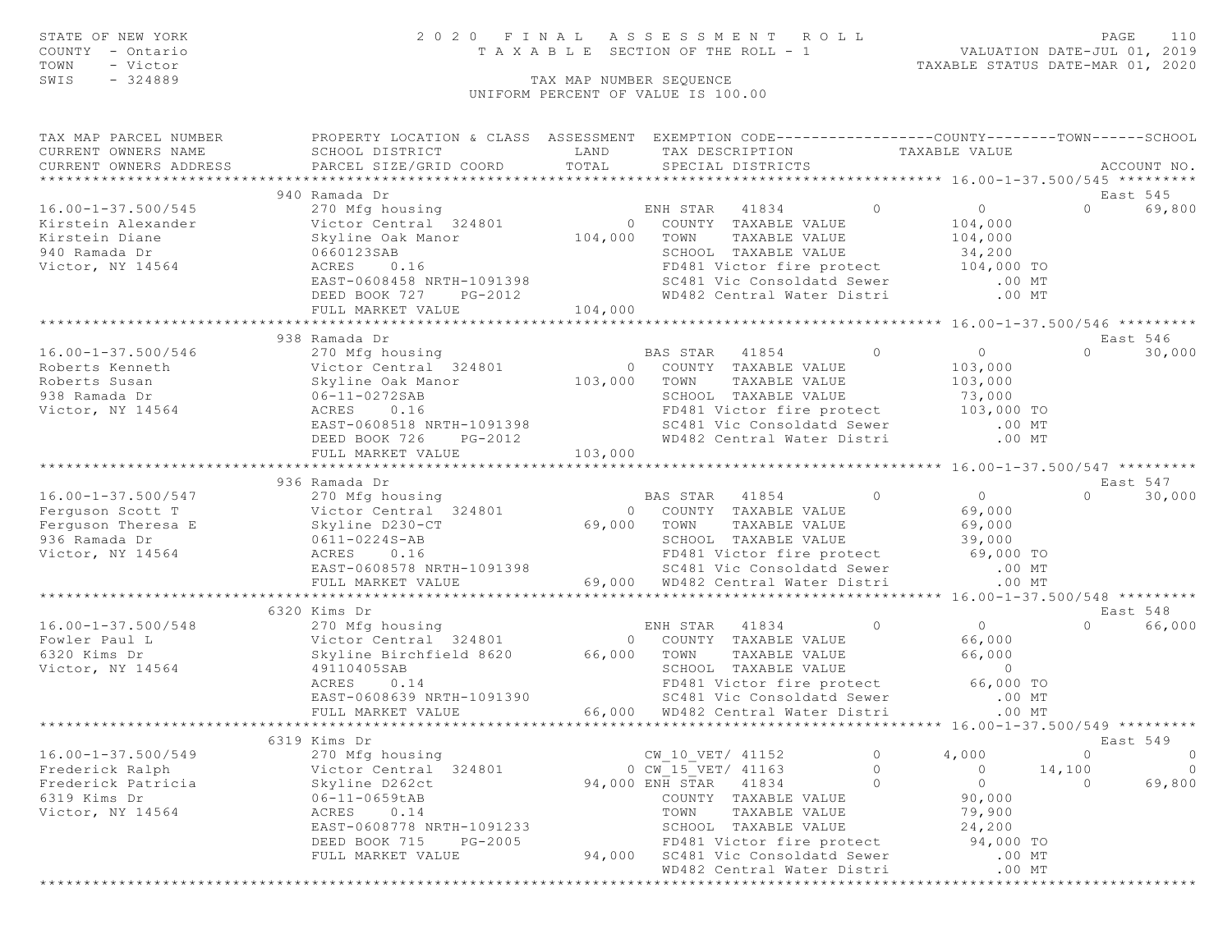| STATE OF NEW YORK | 2020 FINAL ASSESSMENT ROLL      |                                  | PAGE | 110 |
|-------------------|---------------------------------|----------------------------------|------|-----|
| COUNTY - Ontario  | TAXABLE SECTION OF THE ROLL - 1 | VALUATION DATE-JUL 01, 2019      |      |     |
| TOWN<br>- Victor  |                                 | TAXABLE STATUS DATE-MAR 01, 2020 |      |     |
| SWIS<br>- 324889  | TAX MAP NUMBER SEOUENCE         |                                  |      |     |

| TAX MAP PARCEL NUMBER<br>CURRENT OWNERS NAME | PROPERTY LOCATION & CLASS ASSESSMENT EXEMPTION CODE----------------COUNTY-------TOWN------SCHOOL<br>SCHOOL DISTRICT | LAND                                         | TAX DESCRIPTION                                        |          | TAXABLE VALUE                                                |          |             |
|----------------------------------------------|---------------------------------------------------------------------------------------------------------------------|----------------------------------------------|--------------------------------------------------------|----------|--------------------------------------------------------------|----------|-------------|
| CURRENT OWNERS ADDRESS                       | PARCEL SIZE/GRID COORD                                                                                              | TOTAL<br>* * * * * * * * * * * * * * * * * * | SPECIAL DISTRICTS                                      |          | ************ 16.00-1-37.500/545 ***                          |          | ACCOUNT NO. |
|                                              | 940 Ramada Dr                                                                                                       |                                              |                                                        |          |                                                              |          | East 545    |
| $16.00 - 1 - 37.500 / 545$                   | 270 Mfg housing                                                                                                     |                                              | ENH STAR<br>41834                                      | $\Omega$ | $\overline{0}$                                               | $\cap$   | 69,800      |
| Kirstein Alexander                           | Victor Central 324801                                                                                               |                                              | 0 COUNTY TAXABLE VALUE                                 |          | 104,000                                                      |          |             |
| Kirstein Diane                               | Skyline Oak Manor                                                                                                   | 104,000                                      | TOWN<br>TAXABLE VALUE                                  |          | 104,000                                                      |          |             |
| 940 Ramada Dr                                |                                                                                                                     |                                              | SCHOOL TAXABLE VALUE                                   |          | 34,200                                                       |          |             |
| Victor, NY 14564                             | 0660123SAB<br>ACRES 0.<br>0.16<br>ACRES                                                                             |                                              | FD481 Victor fire protect                              |          | 104,000 TO                                                   |          |             |
|                                              | EAST-0608458 NRTH-1091398                                                                                           |                                              | SC481 Vic Consoldatd Sewer                             |          | $.00$ MT                                                     |          |             |
|                                              | DEED BOOK 727<br>PG-2012                                                                                            |                                              | WD482 Central Water Distri                             |          | $.00$ MT                                                     |          |             |
|                                              | FULL MARKET VALUE                                                                                                   | 104,000                                      |                                                        |          |                                                              |          |             |
|                                              |                                                                                                                     |                                              |                                                        |          | ***** 16.00-1-37.500/546 ***                                 |          |             |
|                                              | 938 Ramada Dr                                                                                                       |                                              |                                                        |          |                                                              |          | East 546    |
| 16.00-1-37.500/546                           | 270 Mfg housing                                                                                                     |                                              | BAS STAR 41854                                         | $\Omega$ | $\overline{0}$                                               | $\Omega$ | 30,000      |
| Roberts Kenneth                              | Victor Central 324801<br>Skyline Oak Manor<br>06-11-0272SAB<br>ACRES 0.16                                           |                                              | 0 COUNTY TAXABLE VALUE                                 |          | 103,000                                                      |          |             |
| Roberts Susan                                |                                                                                                                     | 103,000 TOWN                                 | TAXABLE VALUE                                          |          | 103,000                                                      |          |             |
| 938 Ramada Dr                                |                                                                                                                     |                                              | SCHOOL TAXABLE VALUE                                   |          | 73,000                                                       |          |             |
| Victor, NY 14564                             |                                                                                                                     |                                              | FD481 Victor fire protect                              |          | 103,000 TO                                                   |          |             |
|                                              | EAST-0608518 NRTH-1091398                                                                                           |                                              | SC481 Vic Consoldatd Sewer                             |          | $.00$ MT                                                     |          |             |
|                                              | DEED BOOK 726<br>PG-2012                                                                                            |                                              | WD482 Central Water Distri                             |          | $.00$ MT                                                     |          |             |
|                                              | FULL MARKET VALUE                                                                                                   | 103,000                                      |                                                        |          | ******************* 16.00-1-37.500/547 *********             |          |             |
|                                              |                                                                                                                     |                                              |                                                        |          |                                                              |          | East 547    |
| $16.00 - 1 - 37.500 / 547$                   | 936 Ramada Dr<br>270 Mfg housing                                                                                    |                                              |                                                        | $\circ$  | $\circ$                                                      | $\Omega$ | 30,000      |
|                                              |                                                                                                                     |                                              | BAS STAR<br>41854<br>0 COUNTY TAXABLE VALUE            |          | 69,000                                                       |          |             |
|                                              |                                                                                                                     |                                              | 69,000 TOWN<br>TAXABLE VALUE                           |          | 69,000                                                       |          |             |
| Ferguson Soult<br>Ferguson Theresa E         | Victor Central 324801<br>Skyline D230-CT<br>0611-0224S-AB<br>ACRES 0.16                                             |                                              | SCHOOL TAXABLE VALUE                                   |          | 39,000                                                       |          |             |
| Victor, NY 14564                             |                                                                                                                     |                                              | FD481 Victor fire protect                              |          | 69,000 TO                                                    |          |             |
|                                              | EAST-0608578 NRTH-1091398                                                                                           |                                              | SC481 Vic Consoldatd Sewer                             |          | .00 MT                                                       |          |             |
|                                              | FULL MARKET VALUE                                                                                                   |                                              | 69,000 WD482 Central Water Distri                      |          | .00MT                                                        |          |             |
|                                              |                                                                                                                     |                                              |                                                        |          |                                                              |          |             |
|                                              | 6320 Kims Dr                                                                                                        |                                              |                                                        |          |                                                              |          | East 548    |
| $16.00 - 1 - 37.500 / 548$                   | 270 Mfg housing                                                                                                     |                                              | ENH STAR<br>41834                                      | $\Omega$ | $\overline{0}$                                               | $\Omega$ | 66,000      |
| Fowler Paul L                                | Victor Central 324801<br>Skyline Birchfield 8620                                                                    |                                              | 0 COUNTY TAXABLE VALUE                                 |          | 66,000                                                       |          |             |
| 6320 Kims Dr                                 |                                                                                                                     |                                              | 66,000 TOWN<br>TAXABLE VALUE                           |          | 66,000                                                       |          |             |
| Victor, NY 14564                             | 49110405SAB                                                                                                         |                                              | SCHOOL TAXABLE VALUE                                   |          | $\overline{0}$                                               |          |             |
|                                              | ACRES<br>0.14                                                                                                       |                                              | FD481 Victor fire protect                              |          | 66,000 TO                                                    |          |             |
|                                              | EAST-0608639 NRTH-1091390                                                                                           |                                              | SC481 Vic Consoldatd Sewer                             |          | $.00$ MT                                                     |          |             |
|                                              | FULL MARKET VALUE                                                                                                   |                                              | 66,000 WD482 Central Water Distri                      |          | .00MT                                                        |          |             |
|                                              |                                                                                                                     |                                              |                                                        |          | *************** 16.00-1-37.500/549 *******                   |          |             |
|                                              | 6319 Kims Dr                                                                                                        |                                              |                                                        |          |                                                              |          | East 549    |
| $16.00 - 1 - 37.500 / 549$                   |                                                                                                                     |                                              | CW 10 VET/ 41152                                       | $\circ$  | 4,000                                                        | $\Omega$ | $\Omega$    |
| Frederick Ralph                              |                                                                                                                     |                                              | $0 \text{ CW}^{-15} \text{ VET} / 41163$               | $\Omega$ | $\sim$ 0                                                     | 14,100   | $\Omega$    |
| Frederick Patricia                           | 270 Mfg housing<br>Victor Central 324801<br>Skyline D262ct<br>06-11-0659tAB<br>ACRES 0.14                           | $94,000$ en $\overline{H}$ star              | 41834                                                  | $\Omega$ | $\overline{0}$<br>$\begin{array}{c} 0 \\ 90,000 \end{array}$ | $\Omega$ | 69,800      |
| 6319 Kims Dr                                 |                                                                                                                     |                                              | COUNTY TAXABLE VALUE<br>TOWN                           |          |                                                              |          |             |
| Victor, NY 14564                             | EAST-0608778 NRTH-1091233                                                                                           |                                              | TAXABLE VALUE<br>TAXABLE VALUE<br>SCHOOL TAXABLE VALUE |          | 79,900<br>24,200                                             |          |             |
|                                              | PG-2005<br>DEED BOOK 715                                                                                            |                                              | FD481 Victor fire protect                              |          | 94,000 TO                                                    |          |             |
|                                              | FULL MARKET VALUE                                                                                                   |                                              | 94,000 SC481 Vic Consoldatd Sewer                      |          | .00 MT                                                       |          |             |
|                                              |                                                                                                                     |                                              | WD482 Central Water Distri                             |          | $.00$ MT                                                     |          |             |
|                                              |                                                                                                                     |                                              |                                                        |          |                                                              |          |             |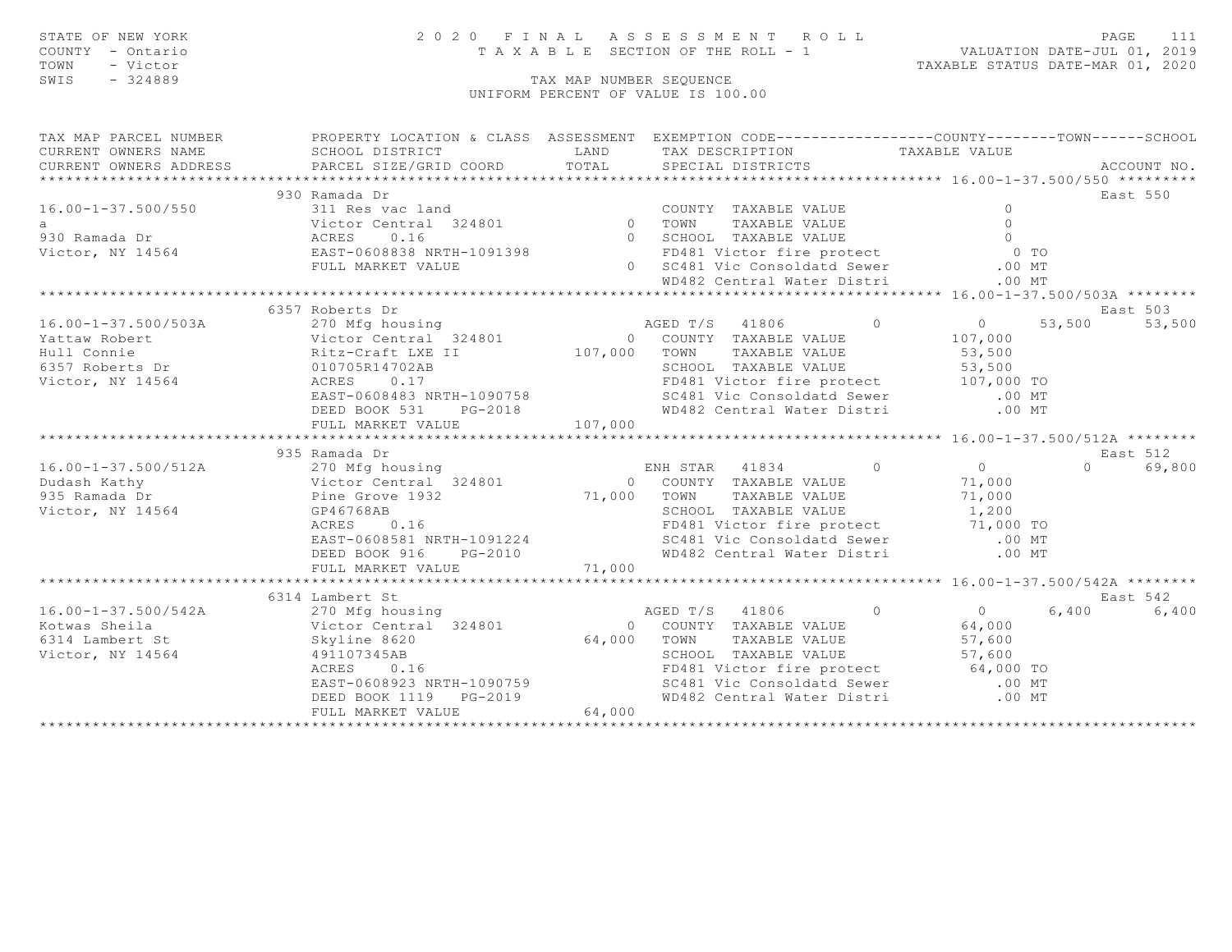| STATE OF NEW YORK<br>COUNTY - Ontario |                                                                                                                                                                                                                                                                                                                                                                                                                                                                                |                         | 2020 FINAL ASSESSMENT ROLL                                                                                                                                                                                                                                           |                                  |                             |
|---------------------------------------|--------------------------------------------------------------------------------------------------------------------------------------------------------------------------------------------------------------------------------------------------------------------------------------------------------------------------------------------------------------------------------------------------------------------------------------------------------------------------------|-------------------------|----------------------------------------------------------------------------------------------------------------------------------------------------------------------------------------------------------------------------------------------------------------------|----------------------------------|-----------------------------|
| - Victor<br>TOWN                      |                                                                                                                                                                                                                                                                                                                                                                                                                                                                                |                         |                                                                                                                                                                                                                                                                      | TAXABLE STATUS DATE-MAR 01, 2020 |                             |
| SWIS<br>$-324889$                     |                                                                                                                                                                                                                                                                                                                                                                                                                                                                                | TAX MAP NUMBER SEOUENCE |                                                                                                                                                                                                                                                                      |                                  |                             |
|                                       |                                                                                                                                                                                                                                                                                                                                                                                                                                                                                |                         | UNIFORM PERCENT OF VALUE IS 100.00                                                                                                                                                                                                                                   |                                  |                             |
|                                       |                                                                                                                                                                                                                                                                                                                                                                                                                                                                                |                         |                                                                                                                                                                                                                                                                      |                                  |                             |
| TAX MAP PARCEL NUMBER                 | PROPERTY LOCATION & CLASS ASSESSMENT EXEMPTION CODE----------------COUNTY-------TOWN------SCHOOL                                                                                                                                                                                                                                                                                                                                                                               |                         |                                                                                                                                                                                                                                                                      |                                  |                             |
| CURRENT OWNERS NAME                   | SCHOOL DISTRICT LAND                                                                                                                                                                                                                                                                                                                                                                                                                                                           |                         | TAX DESCRIPTION TAXABLE VALUE                                                                                                                                                                                                                                        |                                  |                             |
| CURRENT OWNERS ADDRESS                | PARCEL SIZE/GRID COORD                                                                                                                                                                                                                                                                                                                                                                                                                                                         |                         |                                                                                                                                                                                                                                                                      |                                  | ACCOUNT NO.                 |
|                                       |                                                                                                                                                                                                                                                                                                                                                                                                                                                                                |                         |                                                                                                                                                                                                                                                                      |                                  |                             |
|                                       | 930 Ramada Dr                                                                                                                                                                                                                                                                                                                                                                                                                                                                  |                         |                                                                                                                                                                                                                                                                      |                                  | East 550                    |
|                                       |                                                                                                                                                                                                                                                                                                                                                                                                                                                                                |                         |                                                                                                                                                                                                                                                                      |                                  |                             |
|                                       |                                                                                                                                                                                                                                                                                                                                                                                                                                                                                |                         |                                                                                                                                                                                                                                                                      |                                  |                             |
|                                       |                                                                                                                                                                                                                                                                                                                                                                                                                                                                                |                         |                                                                                                                                                                                                                                                                      |                                  |                             |
|                                       |                                                                                                                                                                                                                                                                                                                                                                                                                                                                                |                         |                                                                                                                                                                                                                                                                      |                                  |                             |
|                                       |                                                                                                                                                                                                                                                                                                                                                                                                                                                                                |                         |                                                                                                                                                                                                                                                                      |                                  |                             |
|                                       |                                                                                                                                                                                                                                                                                                                                                                                                                                                                                |                         |                                                                                                                                                                                                                                                                      |                                  |                             |
|                                       | 16.00-1-37.500/550 311 Res vac land<br>a victor Central 324801 0 TOWN TAXABLE VALUE 0<br>930 Ramada Dr ACRES 0.16 0 SCHOOL TAXABLE VALUE 0<br>Victor, NY 14564 EAST-060838 NRTH-1091398 FULL MARKET VALUE 0 FD481 Victor fire protec<br>16.00-1-37.500/503A 270 Mfg housing<br>Yattaw Robert Victor Central 324801 0 COUNTY TAXABLE VALUE 107,000<br>Hull Connie Ritz-Craft LXE II 07,000 TOWN TAXABLE VALUE 107,000<br>FACKES 0.17 53,500<br>Victor, NY 14564 ACRES 0.17 PAYA |                         |                                                                                                                                                                                                                                                                      |                                  |                             |
|                                       |                                                                                                                                                                                                                                                                                                                                                                                                                                                                                |                         |                                                                                                                                                                                                                                                                      |                                  | East 503                    |
|                                       |                                                                                                                                                                                                                                                                                                                                                                                                                                                                                |                         |                                                                                                                                                                                                                                                                      |                                  | 53,500 53,500               |
|                                       |                                                                                                                                                                                                                                                                                                                                                                                                                                                                                |                         |                                                                                                                                                                                                                                                                      |                                  |                             |
|                                       |                                                                                                                                                                                                                                                                                                                                                                                                                                                                                |                         |                                                                                                                                                                                                                                                                      |                                  |                             |
|                                       |                                                                                                                                                                                                                                                                                                                                                                                                                                                                                |                         |                                                                                                                                                                                                                                                                      |                                  |                             |
|                                       |                                                                                                                                                                                                                                                                                                                                                                                                                                                                                |                         | 010705R14702AB<br>010705R14702AB<br>ACRES 0.17<br>EAST-0608483 NRTH-1090758<br>DEED BOOK 531 PG-2018<br>PG-2018<br>PG-2018<br>PG-2018<br>PG-2018<br>PG-2018<br>PG-2018<br>PG-2018<br>PG-2018<br>PG-2018<br>PG-2018<br>PG-2018<br>PG-2018<br>PG-2018<br>PG-2018<br>PG |                                  |                             |
|                                       |                                                                                                                                                                                                                                                                                                                                                                                                                                                                                |                         |                                                                                                                                                                                                                                                                      |                                  |                             |
|                                       |                                                                                                                                                                                                                                                                                                                                                                                                                                                                                |                         |                                                                                                                                                                                                                                                                      |                                  |                             |
|                                       | FULL MARKET VALUE                                                                                                                                                                                                                                                                                                                                                                                                                                                              | 107,000                 |                                                                                                                                                                                                                                                                      |                                  |                             |
|                                       |                                                                                                                                                                                                                                                                                                                                                                                                                                                                                |                         |                                                                                                                                                                                                                                                                      |                                  |                             |
|                                       | 935 Ramada Dr                                                                                                                                                                                                                                                                                                                                                                                                                                                                  |                         |                                                                                                                                                                                                                                                                      |                                  | East 512                    |
|                                       |                                                                                                                                                                                                                                                                                                                                                                                                                                                                                |                         |                                                                                                                                                                                                                                                                      |                                  | 69,800<br>$\cap$ and $\cap$ |
|                                       |                                                                                                                                                                                                                                                                                                                                                                                                                                                                                |                         |                                                                                                                                                                                                                                                                      |                                  |                             |
|                                       |                                                                                                                                                                                                                                                                                                                                                                                                                                                                                |                         |                                                                                                                                                                                                                                                                      |                                  |                             |
|                                       |                                                                                                                                                                                                                                                                                                                                                                                                                                                                                |                         |                                                                                                                                                                                                                                                                      |                                  |                             |
|                                       |                                                                                                                                                                                                                                                                                                                                                                                                                                                                                |                         |                                                                                                                                                                                                                                                                      |                                  |                             |
|                                       |                                                                                                                                                                                                                                                                                                                                                                                                                                                                                |                         |                                                                                                                                                                                                                                                                      |                                  |                             |
|                                       |                                                                                                                                                                                                                                                                                                                                                                                                                                                                                |                         |                                                                                                                                                                                                                                                                      |                                  |                             |
|                                       | FULL MARKET VALUE                                                                                                                                                                                                                                                                                                                                                                                                                                                              | 71,000                  |                                                                                                                                                                                                                                                                      |                                  |                             |
|                                       |                                                                                                                                                                                                                                                                                                                                                                                                                                                                                |                         |                                                                                                                                                                                                                                                                      |                                  |                             |
|                                       | 6314 Lambert St                                                                                                                                                                                                                                                                                                                                                                                                                                                                |                         |                                                                                                                                                                                                                                                                      |                                  | East 542                    |
|                                       |                                                                                                                                                                                                                                                                                                                                                                                                                                                                                |                         |                                                                                                                                                                                                                                                                      | 6,400                            | 6,400                       |
|                                       |                                                                                                                                                                                                                                                                                                                                                                                                                                                                                |                         |                                                                                                                                                                                                                                                                      |                                  |                             |
|                                       |                                                                                                                                                                                                                                                                                                                                                                                                                                                                                |                         |                                                                                                                                                                                                                                                                      |                                  |                             |
|                                       |                                                                                                                                                                                                                                                                                                                                                                                                                                                                                |                         |                                                                                                                                                                                                                                                                      |                                  |                             |
|                                       |                                                                                                                                                                                                                                                                                                                                                                                                                                                                                |                         |                                                                                                                                                                                                                                                                      |                                  |                             |
|                                       |                                                                                                                                                                                                                                                                                                                                                                                                                                                                                |                         |                                                                                                                                                                                                                                                                      |                                  |                             |
|                                       |                                                                                                                                                                                                                                                                                                                                                                                                                                                                                |                         |                                                                                                                                                                                                                                                                      |                                  |                             |
|                                       | $\begin{array}{cccccccc} \texttt{16.00-1-37.500/542A} & \texttt{0.01} & \texttt{0.02} & \texttt{0.03} & \texttt{0.04} & \texttt{0.05} & \texttt{0.04} & \texttt{0.05} & \texttt{0.05} & \texttt{0.06} & \texttt{0.07} & \texttt{0.07} & \texttt{0.08} & \texttt{0.07} & \texttt{0.08} & \texttt{0.08} & \texttt{0.08} & \texttt{0.09} & \texttt{0.08} & \texttt{0.0$                                                                                                           |                         |                                                                                                                                                                                                                                                                      |                                  |                             |
|                                       |                                                                                                                                                                                                                                                                                                                                                                                                                                                                                |                         |                                                                                                                                                                                                                                                                      |                                  |                             |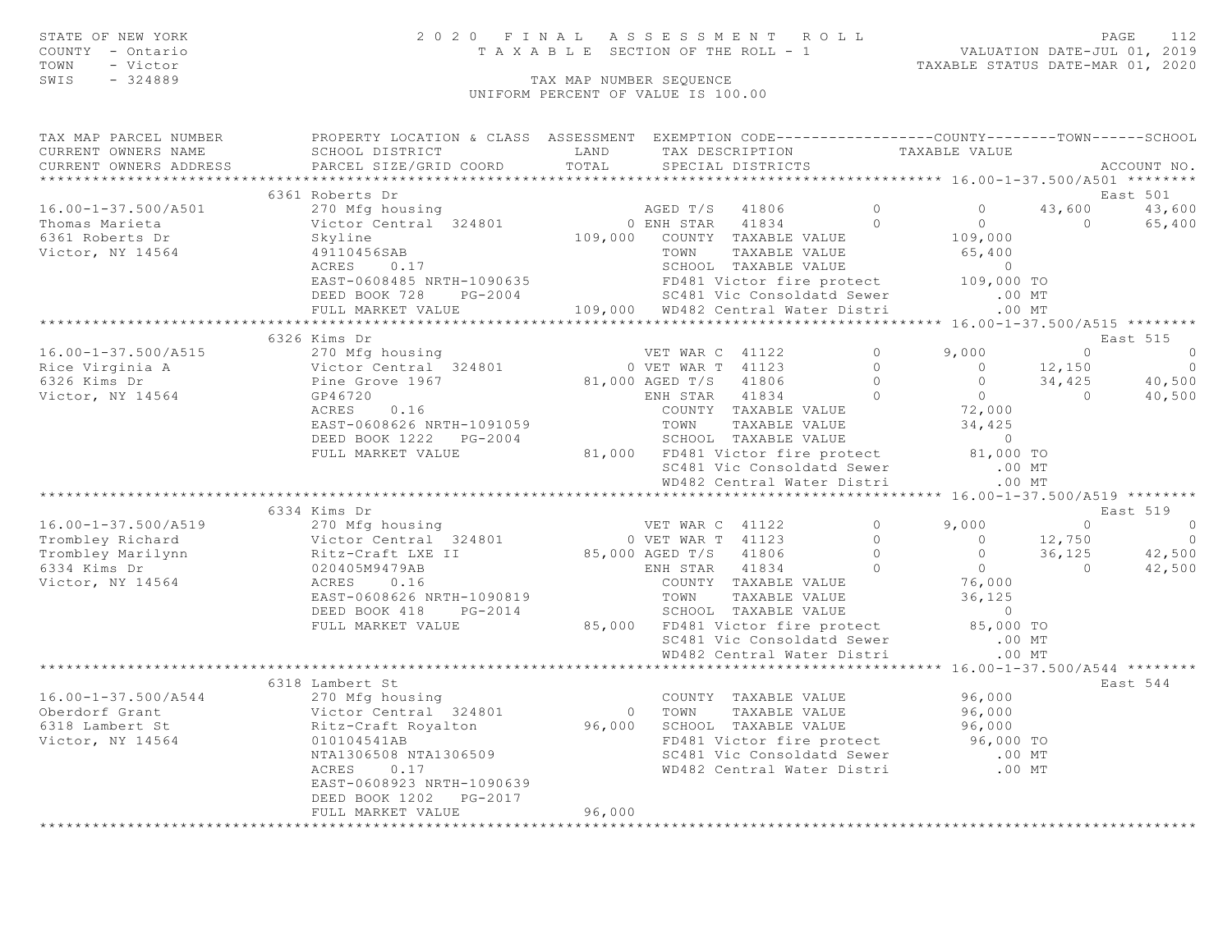|      | STATE OF NEW YORK | 2020 FINAL ASSESSMENT ROLL            |                                  | PAGE | 112 |
|------|-------------------|---------------------------------------|----------------------------------|------|-----|
|      | COUNTY - Ontario  | T A X A B L E SECTION OF THE ROLL - 1 | VALUATION DATE-JUL 01, 2019      |      |     |
| TOWN | - Victor          |                                       | TAXABLE STATUS DATE-MAR 01, 2020 |      |     |
| SWIS | $-324889$         | TAX MAP NUMBER SEOUENCE               |                                  |      |     |
|      |                   | UNIFORM PERCENT OF VALUE IS 100.00    |                                  |      |     |
|      |                   |                                       |                                  |      |     |

| TAX MAP PARCEL NUMBER<br>CURRENT OWNERS NAME                                                                                                                                                                                                         | PROPERTY LOCATION & CLASS ASSESSMENT EXEMPTION CODE----------------COUNTY-------TOWN------SCHOOL<br>SCHOOL DISTRICT TAND TAX DESCRIPTION |        |                                                                        | TAXABLE VALUE |          |
|------------------------------------------------------------------------------------------------------------------------------------------------------------------------------------------------------------------------------------------------------|------------------------------------------------------------------------------------------------------------------------------------------|--------|------------------------------------------------------------------------|---------------|----------|
|                                                                                                                                                                                                                                                      |                                                                                                                                          |        |                                                                        |               |          |
|                                                                                                                                                                                                                                                      |                                                                                                                                          |        |                                                                        |               |          |
| East 501<br>16.00-1-37.500/A501 270 Mfg housing<br>Thomas Marieta Victor Central 324801 0 ENH STAR 41834 0 0 43,600 43,600<br>6361 Roberts Dr Skyline 109,000 COUNTY TAXABLE VALUE<br>Victor, NY 14564 49110456SAB<br>ACRES 0.17 ACRES 1             |                                                                                                                                          |        |                                                                        |               |          |
|                                                                                                                                                                                                                                                      |                                                                                                                                          |        |                                                                        |               |          |
|                                                                                                                                                                                                                                                      |                                                                                                                                          |        |                                                                        |               |          |
|                                                                                                                                                                                                                                                      |                                                                                                                                          |        |                                                                        |               |          |
|                                                                                                                                                                                                                                                      |                                                                                                                                          |        |                                                                        |               |          |
|                                                                                                                                                                                                                                                      |                                                                                                                                          |        |                                                                        |               |          |
|                                                                                                                                                                                                                                                      |                                                                                                                                          |        |                                                                        |               |          |
| 109,000 COUNTRAINE VALUE 109,000 COUNTRAINE VALUE 109,000 COUNTRAINE VALUE 65,400<br>TAXABLE VALUE 65,400<br>EAST-0608485 NRTH-1090635<br>EED BOOK 728 PG-2004 109,000 WD482 Central Water Distri 0<br>FULL MARKET VALUE 109,000 WD482               |                                                                                                                                          |        |                                                                        |               |          |
|                                                                                                                                                                                                                                                      | 6326 Kims Dr                                                                                                                             |        |                                                                        |               | East 515 |
| 16.00-1-37.500/A515<br>270 Mfg housing<br>Rice Virginia A Victor Central 324801<br>Fine Grove 1967 81,000 AGED T/S 41806 0 0 34,425 40,500<br>Victor, NY 14564 GP46720<br>Wictor, NY 14564 GP46720<br>EAST-0608626 NRTH-1091059 TOWN TA              |                                                                                                                                          |        | VET WAR C 41122 0 9,000                                                |               |          |
|                                                                                                                                                                                                                                                      |                                                                                                                                          |        |                                                                        |               |          |
|                                                                                                                                                                                                                                                      |                                                                                                                                          |        |                                                                        |               |          |
|                                                                                                                                                                                                                                                      |                                                                                                                                          |        |                                                                        |               |          |
|                                                                                                                                                                                                                                                      |                                                                                                                                          |        |                                                                        |               |          |
|                                                                                                                                                                                                                                                      |                                                                                                                                          |        |                                                                        |               |          |
|                                                                                                                                                                                                                                                      |                                                                                                                                          |        |                                                                        |               |          |
|                                                                                                                                                                                                                                                      |                                                                                                                                          |        |                                                                        |               |          |
|                                                                                                                                                                                                                                                      |                                                                                                                                          |        | SC481 Vic Consoldatd Sewer .00 MT<br>WD482 Central Water Distri .00 MT |               |          |
|                                                                                                                                                                                                                                                      |                                                                                                                                          |        |                                                                        |               |          |
|                                                                                                                                                                                                                                                      | 6334 Kims Dr                                                                                                                             |        |                                                                        |               | East 519 |
|                                                                                                                                                                                                                                                      |                                                                                                                                          |        |                                                                        |               |          |
|                                                                                                                                                                                                                                                      |                                                                                                                                          |        |                                                                        |               |          |
|                                                                                                                                                                                                                                                      |                                                                                                                                          |        |                                                                        |               |          |
|                                                                                                                                                                                                                                                      |                                                                                                                                          |        |                                                                        |               |          |
|                                                                                                                                                                                                                                                      |                                                                                                                                          |        |                                                                        |               |          |
|                                                                                                                                                                                                                                                      |                                                                                                                                          |        |                                                                        |               |          |
|                                                                                                                                                                                                                                                      |                                                                                                                                          |        |                                                                        |               |          |
|                                                                                                                                                                                                                                                      |                                                                                                                                          |        |                                                                        |               |          |
|                                                                                                                                                                                                                                                      |                                                                                                                                          |        |                                                                        |               |          |
|                                                                                                                                                                                                                                                      |                                                                                                                                          |        |                                                                        |               |          |
|                                                                                                                                                                                                                                                      | 6318 Lambert St                                                                                                                          |        |                                                                        |               | East 544 |
|                                                                                                                                                                                                                                                      |                                                                                                                                          |        |                                                                        |               |          |
| 16.00-1-37.500/A544 270 Mfg housing<br>270 Mfg housing<br>270 Mfg housing<br>270 Mfg housing<br>270 Mfg housing<br>270 Mfg housing<br>270 Mfg housing<br>270 Mfg housing<br>270 Mfg housing<br>270 Mfg housing<br>270 Mfg housing<br>270 Mfg housing |                                                                                                                                          |        |                                                                        |               |          |
|                                                                                                                                                                                                                                                      |                                                                                                                                          |        |                                                                        |               |          |
|                                                                                                                                                                                                                                                      |                                                                                                                                          |        |                                                                        |               |          |
|                                                                                                                                                                                                                                                      |                                                                                                                                          |        |                                                                        |               |          |
|                                                                                                                                                                                                                                                      | EAST-0608923 NRTH-1090639                                                                                                                |        |                                                                        |               |          |
|                                                                                                                                                                                                                                                      | DEED BOOK 1202 PG-2017                                                                                                                   |        |                                                                        |               |          |
|                                                                                                                                                                                                                                                      | FULL MARKET VALUE                                                                                                                        | 96,000 |                                                                        |               |          |
|                                                                                                                                                                                                                                                      |                                                                                                                                          |        |                                                                        |               |          |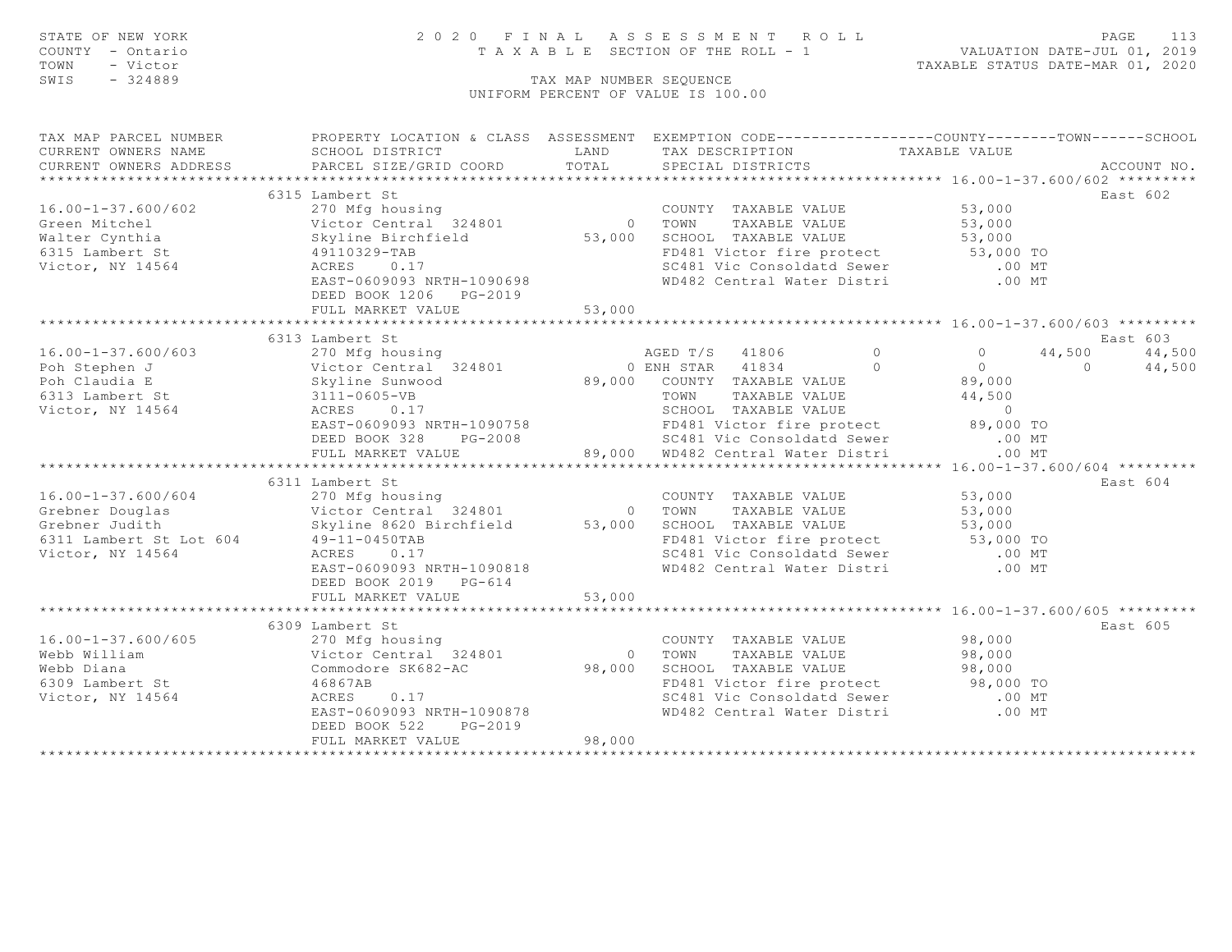| STATE OF NEW YORK | 2020 FINAL ASSESSMENT ROLL         | PAGE                             | 113 |
|-------------------|------------------------------------|----------------------------------|-----|
| COUNTY - Ontario  | TAXABLE SECTION OF THE ROLL - 1    | VALUATION DATE-JUL 01, 2019      |     |
| TOWN<br>- Victor  |                                    | TAXABLE STATUS DATE-MAR 01, 2020 |     |
| SWIS - 324889     | TAX MAP NUMBER SEQUENCE            |                                  |     |
|                   | UNIFORM PERCENT OF VALUE IS 100.00 |                                  |     |

| TAX MAP PARCEL NUMBER                                                                                                                                                                                                                    | PROPERTY LOCATION & CLASS ASSESSMENT EXEMPTION CODE----------------COUNTY--------TOWN------SCHOOL |                                                                        |        |          |
|------------------------------------------------------------------------------------------------------------------------------------------------------------------------------------------------------------------------------------------|---------------------------------------------------------------------------------------------------|------------------------------------------------------------------------|--------|----------|
| CURRENT OWNERS NAME SCHOOL DISTRICT TEST PROPERTY THAN THE SCRIPTION                                                                                                                                                                     |                                                                                                   |                                                                        |        |          |
| CURRENT OWNERS NAME<br>CURRENT OWNERS NAME SERIOL DISTRICT - ------ ------ ------ TAX DESCRIPTION TAXABLE VALUE<br>CURRENT OWNERS ADDRESS PARCEL SIZE/GRID COORD TOTAL SPECIAL DISTRICTS ACCOUNT NO.<br>****************************     |                                                                                                   |                                                                        |        |          |
|                                                                                                                                                                                                                                          |                                                                                                   |                                                                        |        |          |
|                                                                                                                                                                                                                                          | 6315 Lambert St                                                                                   |                                                                        |        | East 602 |
|                                                                                                                                                                                                                                          |                                                                                                   |                                                                        |        |          |
|                                                                                                                                                                                                                                          |                                                                                                   |                                                                        |        |          |
|                                                                                                                                                                                                                                          |                                                                                                   |                                                                        |        |          |
|                                                                                                                                                                                                                                          |                                                                                                   |                                                                        |        |          |
|                                                                                                                                                                                                                                          |                                                                                                   |                                                                        |        |          |
| 16.00-1-37.600/602<br>Green Mitchel Victor Central 324801<br>Walter Cynthia Skyline Birchfield 53,000<br>Skyline Birchfield 53,000<br>Wictor, NY 14564 ACRES 0.17<br>Victor, NY 14564 EAST-0609093 NRTH-1090698 WD482 Central Water Dist |                                                                                                   | SC481 Vic Consoldatd Sewer .00 MT<br>WD482 Central Water Distri .00 MT |        |          |
|                                                                                                                                                                                                                                          |                                                                                                   |                                                                        |        |          |
|                                                                                                                                                                                                                                          |                                                                                                   |                                                                        |        |          |
|                                                                                                                                                                                                                                          |                                                                                                   |                                                                        |        |          |
|                                                                                                                                                                                                                                          | 6313 Lambert St                                                                                   |                                                                        |        | East 603 |
|                                                                                                                                                                                                                                          |                                                                                                   |                                                                        |        |          |
|                                                                                                                                                                                                                                          |                                                                                                   |                                                                        |        |          |
|                                                                                                                                                                                                                                          |                                                                                                   |                                                                        |        |          |
|                                                                                                                                                                                                                                          |                                                                                                   |                                                                        |        |          |
|                                                                                                                                                                                                                                          |                                                                                                   |                                                                        |        |          |
|                                                                                                                                                                                                                                          |                                                                                                   |                                                                        |        |          |
|                                                                                                                                                                                                                                          |                                                                                                   |                                                                        |        |          |
|                                                                                                                                                                                                                                          |                                                                                                   |                                                                        |        |          |
|                                                                                                                                                                                                                                          |                                                                                                   |                                                                        |        |          |
|                                                                                                                                                                                                                                          | 6311 Lambert St                                                                                   |                                                                        |        | East 604 |
|                                                                                                                                                                                                                                          |                                                                                                   |                                                                        |        |          |
|                                                                                                                                                                                                                                          |                                                                                                   |                                                                        |        |          |
|                                                                                                                                                                                                                                          |                                                                                                   |                                                                        |        |          |
| 16.00-1-37.600/604<br>COUNTY TAXABLE VALUE<br>Grebner Douglas Victor Central 324801<br>Grebner Judith Skyline 8620 Birchfield 53,000 SCHOOL TAXABLE VALUE 53,000<br>SS,000 SCHOOL TAXABLE VALUE 53,000<br>SS,000 SCHOOL TAXABLE VALUE 53 | 49-11-0450TAB<br>ACRES 0.17<br>EAST-0609093 NRTH-1090818                                          |                                                                        |        |          |
|                                                                                                                                                                                                                                          |                                                                                                   |                                                                        |        |          |
|                                                                                                                                                                                                                                          |                                                                                                   | WD482 Central Water Distri                                             | .00 MT |          |
|                                                                                                                                                                                                                                          | DEED BOOK 2019    PG-614                                                                          |                                                                        |        |          |
|                                                                                                                                                                                                                                          |                                                                                                   |                                                                        |        |          |
|                                                                                                                                                                                                                                          |                                                                                                   |                                                                        |        |          |
|                                                                                                                                                                                                                                          | 6309 Lambert St                                                                                   |                                                                        |        | East 605 |
|                                                                                                                                                                                                                                          |                                                                                                   |                                                                        |        |          |
|                                                                                                                                                                                                                                          |                                                                                                   |                                                                        |        |          |
|                                                                                                                                                                                                                                          |                                                                                                   |                                                                        |        |          |
|                                                                                                                                                                                                                                          |                                                                                                   |                                                                        |        |          |
| 16.00-1-37.600/605<br>Webb William Victor Central 324801<br>Webb Diana Commodore SK682-AC 98,000 SCHOOL TAXABLE VALUE 98,000<br>Webb Diana Commodore SK682-AC 98,000 SCHOOL TAXABLE VALUE 98,000<br>Victor, NY 14564 ACRES 0.17 SC48     |                                                                                                   | SC481 Vic Consoldatd Sewer .00 MT<br>WD482 Central Water Distri .00 MT |        |          |
|                                                                                                                                                                                                                                          | EAST-0609093 NRTH-1090878                                                                         |                                                                        |        |          |
|                                                                                                                                                                                                                                          | DEED BOOK 522 PG-2019                                                                             |                                                                        |        |          |
|                                                                                                                                                                                                                                          | FULL MARKET VALUE                                                                                 |                                                                        |        |          |
|                                                                                                                                                                                                                                          |                                                                                                   |                                                                        |        |          |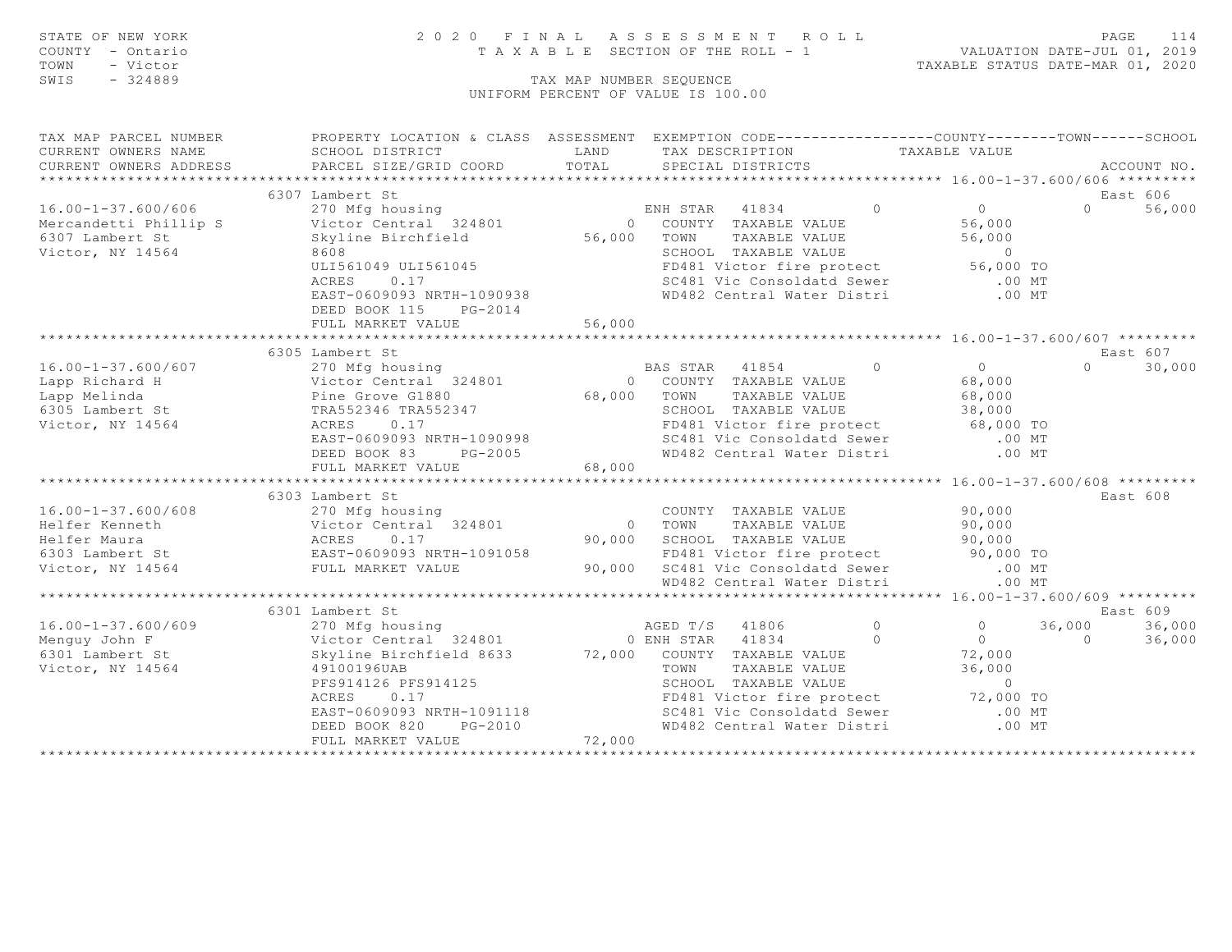| STATE OF NEW YORK<br>COUNTY - Ontario<br>- Victor<br>TOWN                                                                                                                                                                                 |                                |                         | 2020 FINAL ASSESSMENT ROLL<br>TAXABLE SECTION OF THE ROLL - 1 VALUATION DATE-JUL 01, 2019        | TAXABLE STATUS DATE-MAR 01, 2020                  | PAGE<br>114         |
|-------------------------------------------------------------------------------------------------------------------------------------------------------------------------------------------------------------------------------------------|--------------------------------|-------------------------|--------------------------------------------------------------------------------------------------|---------------------------------------------------|---------------------|
| SWIS<br>$-324889$                                                                                                                                                                                                                         |                                | TAX MAP NUMBER SEQUENCE |                                                                                                  |                                                   |                     |
|                                                                                                                                                                                                                                           |                                |                         | UNIFORM PERCENT OF VALUE IS 100.00                                                               |                                                   |                     |
|                                                                                                                                                                                                                                           |                                |                         |                                                                                                  |                                                   |                     |
|                                                                                                                                                                                                                                           |                                |                         |                                                                                                  |                                                   |                     |
| TAX MAP PARCEL NUMBER                                                                                                                                                                                                                     |                                |                         | PROPERTY LOCATION & CLASS ASSESSMENT EXEMPTION CODE----------------COUNTY-------TOWN------SCHOOL |                                                   |                     |
| CURRENT OWNERS NAME                                                                                                                                                                                                                       | SCHOOL DISTRICT<br><b>LAND</b> |                         | TAX DESCRIPTION                                                                                  | TAXABLE VALUE                                     |                     |
| CURRENT OWNERS ADDRESS                                                                                                                                                                                                                    | PARCEL SIZE/GRID COORD         | TOTAL                   | SPECIAL DISTRICTS                                                                                |                                                   | ACCOUNT NO.         |
|                                                                                                                                                                                                                                           | 6307 Lambert St                |                         |                                                                                                  |                                                   | East 606            |
| 16.00-1-37.600/606<br>Mercandetti Phillip S 270 Mfg housing<br>Wercandetti Phillip S 270 Mfg housing<br>Wercandetti Phillip S 270 Mfg housing<br>Wercandetti Phillip S 270 Mfg housing<br>S6,000 TOWN TAXABLE VALUE 56,000<br>S6,000 TOWN |                                |                         |                                                                                                  |                                                   | 56,000<br>$\Omega$  |
|                                                                                                                                                                                                                                           |                                |                         |                                                                                                  |                                                   |                     |
|                                                                                                                                                                                                                                           |                                |                         |                                                                                                  |                                                   |                     |
|                                                                                                                                                                                                                                           |                                |                         |                                                                                                  |                                                   |                     |
|                                                                                                                                                                                                                                           |                                |                         |                                                                                                  |                                                   |                     |
|                                                                                                                                                                                                                                           |                                |                         |                                                                                                  |                                                   |                     |
|                                                                                                                                                                                                                                           |                                |                         |                                                                                                  |                                                   |                     |
|                                                                                                                                                                                                                                           | DEED BOOK 115 PG-2014          |                         |                                                                                                  |                                                   |                     |
|                                                                                                                                                                                                                                           | FULL MARKET VALUE              | 56,000                  |                                                                                                  |                                                   |                     |
|                                                                                                                                                                                                                                           |                                |                         |                                                                                                  | ******************** 16.00-1-37.600/607 ********* |                     |
|                                                                                                                                                                                                                                           | 6305 Lambert St                |                         |                                                                                                  |                                                   | East 607            |
|                                                                                                                                                                                                                                           |                                |                         |                                                                                                  |                                                   | $\cap$<br>30,000    |
|                                                                                                                                                                                                                                           |                                |                         |                                                                                                  |                                                   |                     |
|                                                                                                                                                                                                                                           |                                |                         |                                                                                                  |                                                   |                     |
|                                                                                                                                                                                                                                           |                                |                         |                                                                                                  |                                                   |                     |
|                                                                                                                                                                                                                                           |                                |                         |                                                                                                  |                                                   |                     |
|                                                                                                                                                                                                                                           |                                |                         |                                                                                                  |                                                   |                     |
| 16.00-1-37.600/607 6305 Lambert St<br>Lapp Richard H victor Central 324801 0 COUNTY TAXABLE VALUE<br>Lapp Melinda Pine Grove G1880 68,000 TOWN TAXABLE VALUE 68,000<br>68,000 TOWN TAXABLE VALUE 68,000<br>SCHOOL TAXABLE VALUE 38,000    |                                |                         |                                                                                                  |                                                   |                     |
|                                                                                                                                                                                                                                           | FULL MARKET VALUE              | 68,000                  |                                                                                                  | **************** 16.00-1-37.600/608 *********     |                     |
|                                                                                                                                                                                                                                           |                                |                         |                                                                                                  |                                                   | East 608            |
|                                                                                                                                                                                                                                           |                                |                         |                                                                                                  |                                                   |                     |
|                                                                                                                                                                                                                                           |                                |                         |                                                                                                  |                                                   |                     |
|                                                                                                                                                                                                                                           |                                |                         |                                                                                                  |                                                   |                     |
|                                                                                                                                                                                                                                           |                                |                         |                                                                                                  |                                                   |                     |
|                                                                                                                                                                                                                                           |                                |                         |                                                                                                  |                                                   |                     |
|                                                                                                                                                                                                                                           |                                |                         |                                                                                                  |                                                   |                     |
|                                                                                                                                                                                                                                           |                                |                         |                                                                                                  |                                                   |                     |
|                                                                                                                                                                                                                                           |                                |                         |                                                                                                  |                                                   | East 609            |
|                                                                                                                                                                                                                                           |                                |                         |                                                                                                  | $0 \t 0 \t 36,000$                                | 36,000              |
|                                                                                                                                                                                                                                           |                                |                         |                                                                                                  |                                                   | $\bigcap$<br>36,000 |
|                                                                                                                                                                                                                                           |                                |                         |                                                                                                  |                                                   |                     |
|                                                                                                                                                                                                                                           |                                |                         |                                                                                                  |                                                   |                     |
|                                                                                                                                                                                                                                           |                                |                         |                                                                                                  |                                                   |                     |
|                                                                                                                                                                                                                                           |                                |                         |                                                                                                  |                                                   |                     |
|                                                                                                                                                                                                                                           |                                |                         |                                                                                                  |                                                   |                     |
|                                                                                                                                                                                                                                           |                                |                         |                                                                                                  |                                                   |                     |
|                                                                                                                                                                                                                                           |                                |                         |                                                                                                  |                                                   |                     |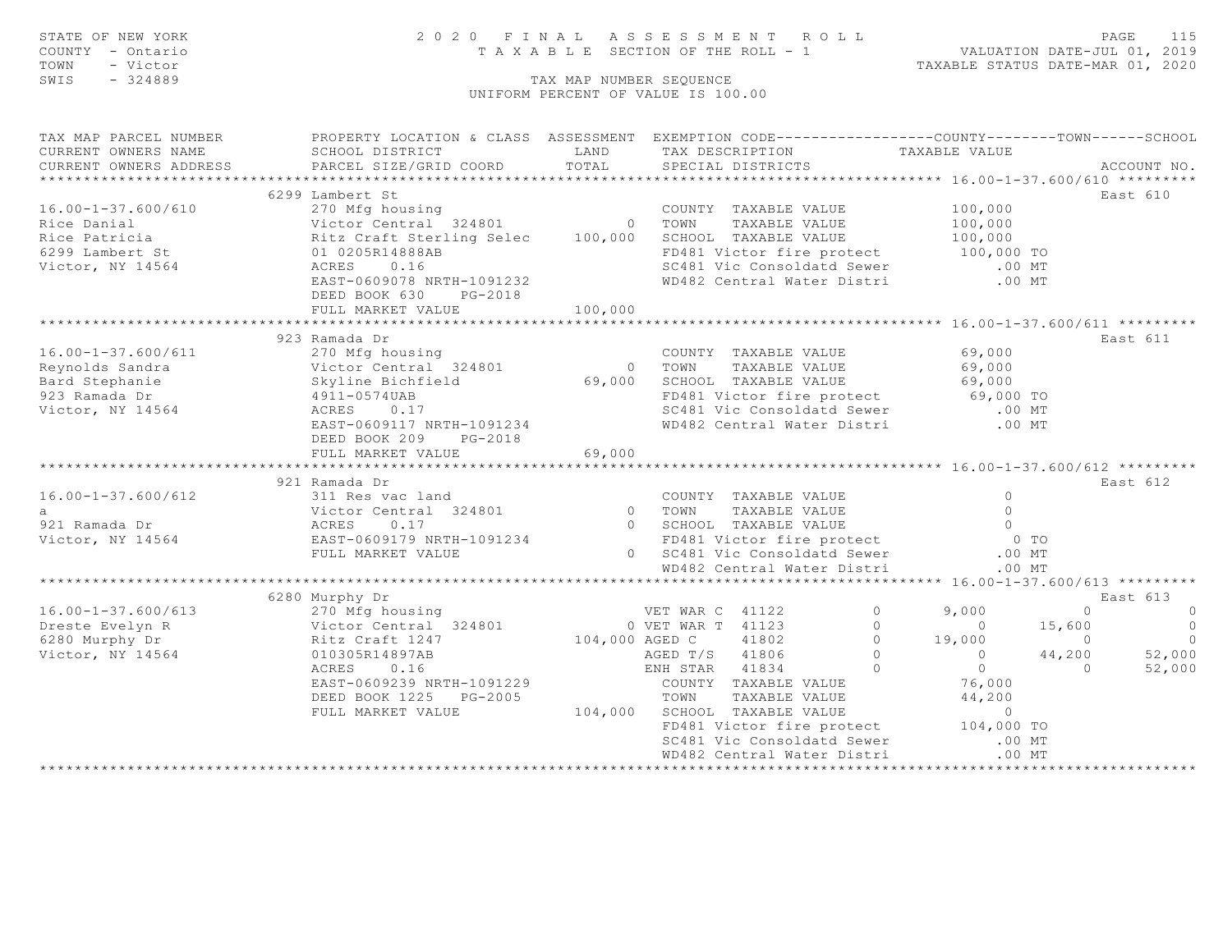| STATE OF NEW YORK<br>COUNTY - Ontario<br>TOWN<br>- Victor                                                                                                                                                                                                                                                                                                                                                                                            |                                                                                     |                             | FINAL ASSESSMENT ROLL PAGE 115<br>TAXABLE SECTION OF THE ROLL - 1 VALUATION DATE-JUL 01, 2019<br>2020 FINAL ASSESSMENT ROLL                                                                                                  | TAXABLE STATUS DATE-MAR 01, 2020                                                                                  |                     |
|------------------------------------------------------------------------------------------------------------------------------------------------------------------------------------------------------------------------------------------------------------------------------------------------------------------------------------------------------------------------------------------------------------------------------------------------------|-------------------------------------------------------------------------------------|-----------------------------|------------------------------------------------------------------------------------------------------------------------------------------------------------------------------------------------------------------------------|-------------------------------------------------------------------------------------------------------------------|---------------------|
| SWIS<br>$-324889$                                                                                                                                                                                                                                                                                                                                                                                                                                    |                                                                                     | TAX MAP NUMBER SEOUENCE     |                                                                                                                                                                                                                              |                                                                                                                   |                     |
|                                                                                                                                                                                                                                                                                                                                                                                                                                                      |                                                                                     |                             | UNIFORM PERCENT OF VALUE IS 100.00                                                                                                                                                                                           |                                                                                                                   |                     |
|                                                                                                                                                                                                                                                                                                                                                                                                                                                      |                                                                                     |                             |                                                                                                                                                                                                                              |                                                                                                                   |                     |
| TAX MAP PARCEL NUMBER THE PROPERTY LOCATION & CLASS ASSESSMENT EXEMPTION CODE--------------COUNTY-------TOWN------SCHOOL<br>CURRENT OWNERS NAME                                                                                                                                                                                                                                                                                                      | SCHOOL DISTRICT                                                                     |                             | LAND TAX DESCRIPTION                                                                                                                                                                                                         | TAXABLE VALUE                                                                                                     |                     |
| CURRENT OWNERS ADDRESS<br>*******************                                                                                                                                                                                                                                                                                                                                                                                                        | PARCEL SIZE/GRID COORD                                                              | TOTAL                       | SPECIAL DISTRICTS                                                                                                                                                                                                            |                                                                                                                   | ACCOUNT NO.         |
|                                                                                                                                                                                                                                                                                                                                                                                                                                                      | 6299 Lambert St                                                                     |                             |                                                                                                                                                                                                                              |                                                                                                                   | East 610            |
| 16.00-1-37.600/610 270 Mfg housing<br>Rice Danial Victor Central 324801 0 TOWN TAXABLE VALUE<br>Rice Patricia Ritz Craft Sterling Selec 100,000 SCHOOL TAXABLE VALUE<br>6299 Lambert St 01 0205R14888AB<br>Victor, NY 14564 ACRES 0.16                                                                                                                                                                                                               |                                                                                     |                             |                                                                                                                                                                                                                              |                                                                                                                   |                     |
|                                                                                                                                                                                                                                                                                                                                                                                                                                                      |                                                                                     |                             |                                                                                                                                                                                                                              | 100,000<br>100,000                                                                                                |                     |
|                                                                                                                                                                                                                                                                                                                                                                                                                                                      |                                                                                     |                             |                                                                                                                                                                                                                              |                                                                                                                   |                     |
|                                                                                                                                                                                                                                                                                                                                                                                                                                                      |                                                                                     |                             | SCHOOL TAXABLE VALUE 100,000<br>FD481 Victor fire protect 100,000 TO                                                                                                                                                         |                                                                                                                   |                     |
|                                                                                                                                                                                                                                                                                                                                                                                                                                                      |                                                                                     |                             |                                                                                                                                                                                                                              |                                                                                                                   |                     |
|                                                                                                                                                                                                                                                                                                                                                                                                                                                      | EAST-0609078 NRTH-1091232                                                           |                             | SC481 Vic Consoldatd Sewer .00 MT<br>WD482 Central Water Distri .00 MT                                                                                                                                                       |                                                                                                                   |                     |
|                                                                                                                                                                                                                                                                                                                                                                                                                                                      | DEED BOOK 630 PG-2018                                                               |                             |                                                                                                                                                                                                                              |                                                                                                                   |                     |
|                                                                                                                                                                                                                                                                                                                                                                                                                                                      | FULL MARKET VALUE                                                                   | 100,000                     |                                                                                                                                                                                                                              |                                                                                                                   |                     |
|                                                                                                                                                                                                                                                                                                                                                                                                                                                      |                                                                                     | * * * * * * * * * * * * * * | ************************************** 16.00-1-37.600/611 **********                                                                                                                                                         |                                                                                                                   |                     |
| $\begin{array}{cccccc} \texttt{16.00-1-37.600/611} & \texttt{923 Random} & \texttt{16.00-1-37.600/611} & \texttt{270 Mfg housing} & \texttt{COUNTY} & \texttt{TAXABLE VALUE} & \texttt{69,000} \\ \texttt{Reynolds Sandra} & \texttt{Victor Central 324801} & \texttt{0 TOWN} & \texttt{TAXABLE VALUE} & \texttt{69,000} \\ \texttt{Bad Stephenie} & \texttt{Skyline Bichfield} & \texttt{69,000} & \texttt{SCHOOL TAXABLE VALUE} & \texttt{69,000}$ |                                                                                     |                             |                                                                                                                                                                                                                              |                                                                                                                   | East 611            |
|                                                                                                                                                                                                                                                                                                                                                                                                                                                      |                                                                                     |                             |                                                                                                                                                                                                                              |                                                                                                                   |                     |
|                                                                                                                                                                                                                                                                                                                                                                                                                                                      |                                                                                     |                             |                                                                                                                                                                                                                              |                                                                                                                   |                     |
|                                                                                                                                                                                                                                                                                                                                                                                                                                                      |                                                                                     |                             |                                                                                                                                                                                                                              |                                                                                                                   |                     |
|                                                                                                                                                                                                                                                                                                                                                                                                                                                      |                                                                                     |                             |                                                                                                                                                                                                                              |                                                                                                                   |                     |
|                                                                                                                                                                                                                                                                                                                                                                                                                                                      |                                                                                     |                             |                                                                                                                                                                                                                              |                                                                                                                   |                     |
|                                                                                                                                                                                                                                                                                                                                                                                                                                                      |                                                                                     |                             |                                                                                                                                                                                                                              |                                                                                                                   |                     |
|                                                                                                                                                                                                                                                                                                                                                                                                                                                      | DEED BOOK 209 PG-2018                                                               |                             |                                                                                                                                                                                                                              |                                                                                                                   |                     |
|                                                                                                                                                                                                                                                                                                                                                                                                                                                      | FULL MARKET VALUE                                                                   | 69,000                      |                                                                                                                                                                                                                              |                                                                                                                   |                     |
|                                                                                                                                                                                                                                                                                                                                                                                                                                                      |                                                                                     |                             |                                                                                                                                                                                                                              |                                                                                                                   |                     |
|                                                                                                                                                                                                                                                                                                                                                                                                                                                      | 921 Ramada Dr                                                                       |                             |                                                                                                                                                                                                                              |                                                                                                                   | East 612            |
| $16.00 - 1 - 37.600 / 612$                                                                                                                                                                                                                                                                                                                                                                                                                           |                                                                                     |                             |                                                                                                                                                                                                                              | $\Omega$                                                                                                          |                     |
| a<br>921 Ramada Dr                                                                                                                                                                                                                                                                                                                                                                                                                                   |                                                                                     |                             |                                                                                                                                                                                                                              | $\bigcirc$                                                                                                        |                     |
|                                                                                                                                                                                                                                                                                                                                                                                                                                                      |                                                                                     |                             |                                                                                                                                                                                                                              | $\overline{a}$                                                                                                    |                     |
| Victor, NY 14564                                                                                                                                                                                                                                                                                                                                                                                                                                     |                                                                                     |                             |                                                                                                                                                                                                                              | $0$ TO                                                                                                            |                     |
|                                                                                                                                                                                                                                                                                                                                                                                                                                                      |                                                                                     |                             | 921 Kamada Di<br>311 Res vac land<br>Victor Central 324801 0 TOWN TAXABLE VALUE<br>ACRES 0.17 0 SCHOOL TAXABLE VALUE<br>EAST-0609179 NRTH-1091234 FD481 Victor fire protect<br>FULL MARKET VALUE 0 SC481 Vic Consolatd Sewer | $.00$ MT                                                                                                          |                     |
|                                                                                                                                                                                                                                                                                                                                                                                                                                                      |                                                                                     |                             | WD482 Central Water Distri                                                                                                                                                                                                   | .00MT                                                                                                             |                     |
|                                                                                                                                                                                                                                                                                                                                                                                                                                                      |                                                                                     |                             |                                                                                                                                                                                                                              |                                                                                                                   | East 613            |
| $16.00 - 1 - 37.600 / 613$                                                                                                                                                                                                                                                                                                                                                                                                                           | 6280 Murphy Dr                                                                      |                             | $\circ$                                                                                                                                                                                                                      | 9,000                                                                                                             | $\Omega$<br>$\circ$ |
|                                                                                                                                                                                                                                                                                                                                                                                                                                                      | 270 Mfg housing<br>270 Mfg housing<br>Victor Central 324801 0 VET WAR T 41123       |                             | $\Omega$                                                                                                                                                                                                                     | $\overline{0}$                                                                                                    | $\Omega$            |
| Dreste Evelyn R                                                                                                                                                                                                                                                                                                                                                                                                                                      | 613 270 Mfg housing<br>Victor Central 324801<br>Ritz Craft 1247<br>4 010305R14897AB | 104,000 AGED C              | 41802                                                                                                                                                                                                                        | 15,600                                                                                                            | $\Omega$            |
| 6280 Murphy Dr<br>Victor, NY 14564                                                                                                                                                                                                                                                                                                                                                                                                                   |                                                                                     |                             | AGED T/S 41806                                                                                                                                                                                                               |                                                                                                                   | 52,000              |
|                                                                                                                                                                                                                                                                                                                                                                                                                                                      | ACRES<br>0.16                                                                       |                             | ENH STAR 41834                                                                                                                                                                                                               |                                                                                                                   | 52,000              |
|                                                                                                                                                                                                                                                                                                                                                                                                                                                      | EAST-0609239 NRTH-1091229                                                           |                             | COUNTY TAXABLE VALUE                                                                                                                                                                                                         | $\begin{array}{cccc} 0 & 0 & 0 & 0 \\ 0 & 19,000 & 0 \\ 0 & 0 & 44,200 \\ 0 & 0 & 0 \\ 76,000 & 0 \\ \end{array}$ |                     |
|                                                                                                                                                                                                                                                                                                                                                                                                                                                      | DEED BOOK 1225 PG-2005                                                              |                             |                                                                                                                                                                                                                              | 44,200                                                                                                            |                     |
|                                                                                                                                                                                                                                                                                                                                                                                                                                                      | FULL MARKET VALUE                                                                   |                             | TOWN TAXABLE VALUE<br>104,000 SCHOOL TAXABLE VALUE                                                                                                                                                                           |                                                                                                                   |                     |
|                                                                                                                                                                                                                                                                                                                                                                                                                                                      |                                                                                     |                             | SCHOOL TAXABLE VALUE 0<br>FD481 Victor fire protect 104,000 TO                                                                                                                                                               |                                                                                                                   |                     |
|                                                                                                                                                                                                                                                                                                                                                                                                                                                      |                                                                                     |                             | SC481 Vic Consoldatd Sewer .00 MT                                                                                                                                                                                            |                                                                                                                   |                     |
|                                                                                                                                                                                                                                                                                                                                                                                                                                                      |                                                                                     |                             | WD482 Central Water Distri                                                                                                                                                                                                   | $.00$ MT                                                                                                          |                     |
|                                                                                                                                                                                                                                                                                                                                                                                                                                                      |                                                                                     |                             |                                                                                                                                                                                                                              |                                                                                                                   |                     |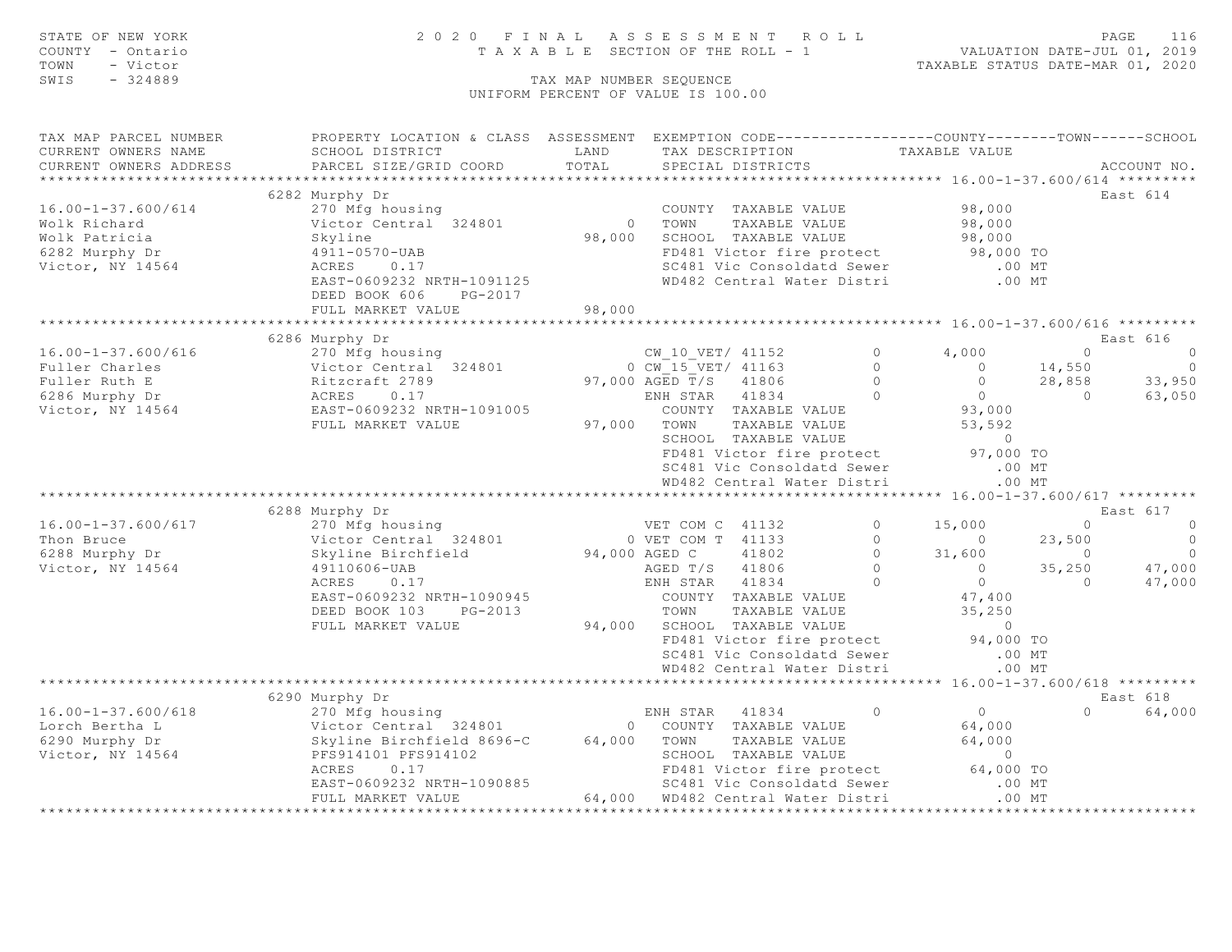| STATE OF NEW YORK<br>COUNTY - Ontario<br>- Victor<br>TOWN<br>$-324889$<br>SWIS                    |                                                                                                                                                                                                                                                                                                    | TAX MAP NUMBER SEOUENCE | 2020 FINAL ASSESSMENT ROLL<br>T A X A B L E SECTION OF THE ROLL - 1<br>UNIFORM PERCENT OF VALUE IS 100.00                                                                                                                                                                                                                                                                       | VALUATION DATE-JUL 01, 2019<br>TAXABLE STATUS DATE-MAR 01, 2020                                                                                                                                                                                      | PAGE<br>116                                                                        |
|---------------------------------------------------------------------------------------------------|----------------------------------------------------------------------------------------------------------------------------------------------------------------------------------------------------------------------------------------------------------------------------------------------------|-------------------------|---------------------------------------------------------------------------------------------------------------------------------------------------------------------------------------------------------------------------------------------------------------------------------------------------------------------------------------------------------------------------------|------------------------------------------------------------------------------------------------------------------------------------------------------------------------------------------------------------------------------------------------------|------------------------------------------------------------------------------------|
| TAX MAP PARCEL NUMBER<br>CURRENT OWNERS NAME<br>CURRENT OWNERS ADDRESS                            | SCHOOL DISTRICT<br>PARCEL SIZE/GRID COORD                                                                                                                                                                                                                                                          | LAND<br>TOTAL           | PROPERTY LOCATION & CLASS ASSESSMENT EXEMPTION CODE----------------COUNTY-------TOWN------SCHOOL<br>TAX DESCRIPTION<br>SPECIAL DISTRICTS                                                                                                                                                                                                                                        | TAXABLE VALUE<br>****************** 16.00-1-37.600/614 *********                                                                                                                                                                                     | ACCOUNT NO.                                                                        |
| $16.00 - 1 - 37.600 / 614$<br>Wolk Richard<br>Wolk Patricia<br>6282 Murphy Dr<br>Victor, NY 14564 | 6282 Murphy Dr<br>270 Mfg housing<br>Victor Central 324801<br>Skyline<br>4911-0570-UAB<br>ACRES 0.17<br>EAST-0609232 NRTH-1091125<br>DEED BOOK 606<br>PG-2017<br>FULL MARKET VALUE                                                                                                                 | 98,000                  | COUNTY TAXABLE VALUE<br>TAXABLE VALUE<br>98,000 SCHOOL TAXABLE VALUE<br>FD481 Victor fire protect 98,000 TO<br>SC481 Vic Consoldatd Sewer<br>WD482 Central Water Distri                                                                                                                                                                                                         | 98,000<br>98,000<br>98,000<br>.00 MT<br>.00 MT                                                                                                                                                                                                       | East 614                                                                           |
|                                                                                                   |                                                                                                                                                                                                                                                                                                    |                         |                                                                                                                                                                                                                                                                                                                                                                                 |                                                                                                                                                                                                                                                      |                                                                                    |
|                                                                                                   | 6286 Murphy Dr<br>16.00-1-37.600/616<br>Fuller Charles<br>Fuller Ruth E<br>6286 Murphy Dr<br>Victor, NY 14564<br>The Example Contral 324801<br>Ritz ACRES<br>EAST-0609232 NRTH-1091005<br>FUIT MADYER WATER WATER<br>FULL MARKET VALUE<br>6288 Murphy Dr                                           |                         | $\overline{0}$<br>CW 10 VET/ 41152<br>$0 \text{ CW}$ $15$ $VET/$ 41163<br>97,000 AGED T/S 41806<br>ENH STAR 41834 0 0 0 28,858<br>NH STAR 41834 0 0 28,858<br>COUNTY TAXABLE VALUE 93,000<br>TOWN TAXABLE VALUE 93,000<br>SCHOOL TAXABLE VALUE 53,592<br>FD481 Victor C<br>97,000 TOWN<br>FD481 Victor fire protect<br>SC481 Vic Consoldatd Sewer<br>WD482 Central Water Distri | 4,000<br>97,000 TO<br>.00 MT<br>$.00$ MT<br>**************** 16.00-1-37.600/617 *********                                                                                                                                                            | East 616<br>$\Omega$<br>$\Omega$<br>$\overline{0}$<br>33,950<br>63,050<br>East 617 |
| $16.00 - 1 - 37.600 / 617$                                                                        |                                                                                                                                                                                                                                                                                                    |                         | VET COM C 41132                                                                                                                                                                                                                                                                                                                                                                 |                                                                                                                                                                                                                                                      | $\circ$<br>$\circ$                                                                 |
| Thon Bruce<br>6288 Murphy Dr<br>Victor, NY 14564                                                  | 270 Mfg housing<br>Victor Central 324801<br>Skyline Birchfield<br>49110606-UAB<br>$06 - UAB$<br>0.17<br>ACRES<br>EAST-0609232 NRTH-1090945<br>DEED BOOK 103 PG-2013<br>FULL MARKET VALUE                                                                                                           |                         | 0 VET COM T 41133<br>94,000 AGED C<br>41802<br>AGED T/S 41806<br>ENH STAR 41834<br>$\overline{0}$<br>COUNTY TAXABLE VALUE<br>TOWN TAXABLE VALUE<br>94,000 SCHOOL TAXABLE VALUE<br>FD481 Victor fire protect<br>sc481 Vic Consoldatd Sewer<br>WD482 Central Water Distri                                                                                                         | $\begin{array}{ccc} 0 & & 15\textnormal{,} \, 000 \\ 0 & & 0 \\ 0 & & 31\textnormal{,} \, 600 \\ 0 & & 0 \end{array}$<br>$\overline{O}$<br>$\begin{array}{c} 0 \\ 47,400 \end{array}$<br>35,250<br>$\overline{0}$<br>94,000 TO<br>.00 MT<br>$.00$ MT | 23,500<br>$\circ$<br>$\sim$ 0<br>$\circ$<br>35,250<br>47,000<br>$\sim$ 0<br>47,000 |
|                                                                                                   |                                                                                                                                                                                                                                                                                                    |                         |                                                                                                                                                                                                                                                                                                                                                                                 |                                                                                                                                                                                                                                                      |                                                                                    |
| $16.00 - 1 - 37.600 / 618$<br>Lorch Bertha L<br>6290 Murphy Dr<br>Victor, NY 14564                | 6290 Murphy Dr<br>6290 Murphy Dr<br>270 Mfg housing<br>Victor Central 324801 0 COUNTY TAXABLE VALUE<br>Skyline Birchfield 8696-C 64,000 TOWN TAXABLE VALUE<br>PFS914101 PFS914102 64,000 TOWN TAXABLE VALUE<br>ACRES 0.17 FD481 Victor fire prot<br>EAST-0609232 NRTH-1090885<br>FULL MARKET VALUE |                         | $\Omega$<br>FD481 Victor fire protect<br>FD481 Victor fire protect<br>SC481 Vic Consoldatd Sewer<br>64,000 WD482 Central Water Distri                                                                                                                                                                                                                                           | $\overline{0}$<br>64,000<br>64,000<br>$\overline{0}$<br>64,000 TO<br>.00 MT<br>$.00$ MT                                                                                                                                                              | East 618<br>64,000<br>$\Omega$                                                     |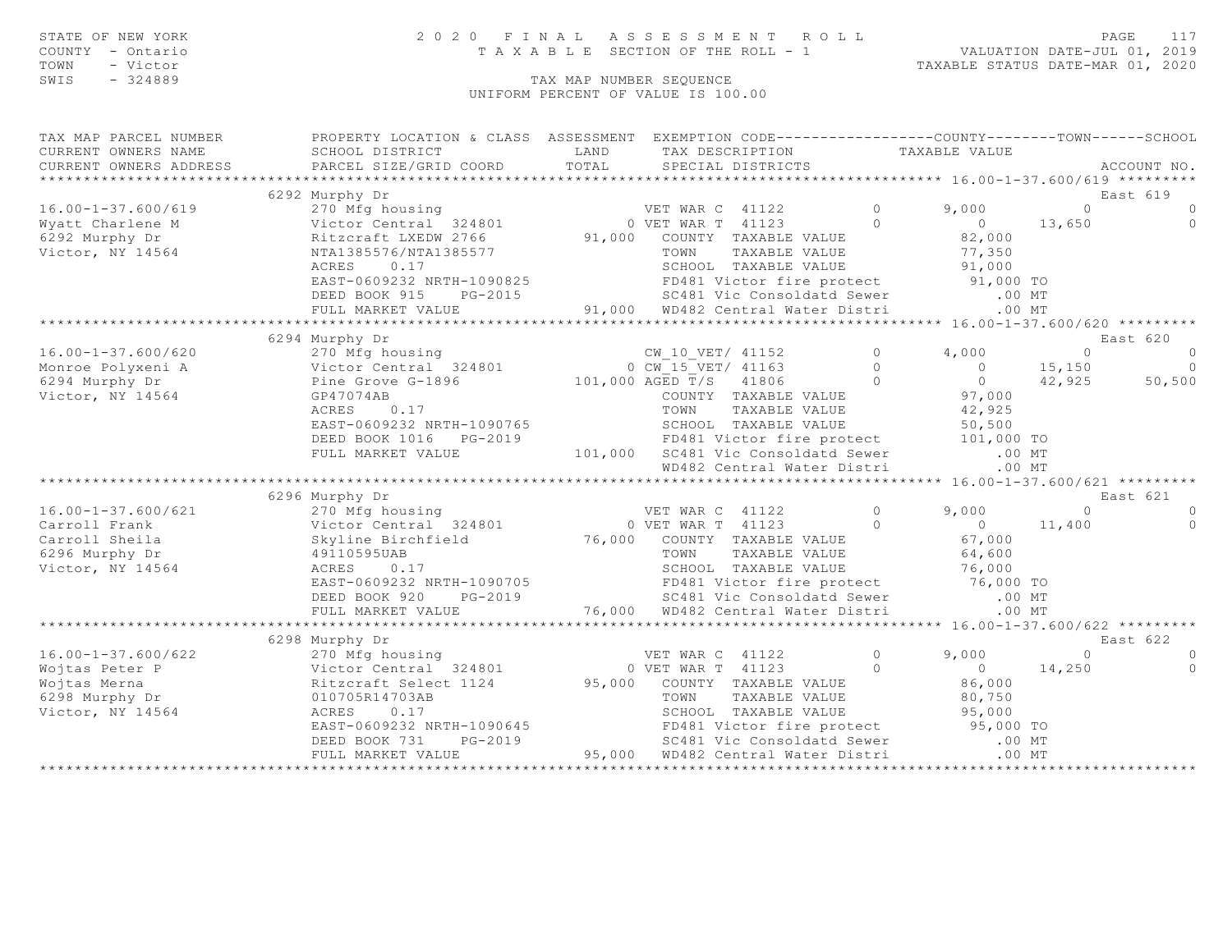| STATE OF NEW YORK | 2020 FINAL ASSESSMENT ROLL            |                                  | PAGE |  |
|-------------------|---------------------------------------|----------------------------------|------|--|
| COUNTY - Ontario  | T A X A B L E SECTION OF THE ROLL - 1 | VALUATION DATE-JUL 01, 2019      |      |  |
| TOWN<br>- Victor  |                                       | TAXABLE STATUS DATE-MAR 01, 2020 |      |  |
| SWIS<br>- 324889  | TAX MAP NUMBER SEOUENCE               |                                  |      |  |

|  | UNIFORM PERCENT OF VALUE IS 100.00 |  |  |
|--|------------------------------------|--|--|
|  |                                    |  |  |

| TAX MAP PARCEL NUMBER<br>CURRENT OWNERS NAME<br>CURRENT OWNERS ADDRESS                                                                                                                                                           | PROPERTY LOCATION & CLASS ASSESSMENT EXEMPTION CODE----------------COUNTY-------TOWN------SCHOOL<br>SCHOOL DISTRICT<br>PARCEL SIZE/GRID COORD | LAND<br>TOTAL | TAX DESCRIPTION TAXABLE VALUE<br>SPECIAL DISTRICTS                                                                                                                      |                |                                                   |          | ACCOUNT NO. |
|----------------------------------------------------------------------------------------------------------------------------------------------------------------------------------------------------------------------------------|-----------------------------------------------------------------------------------------------------------------------------------------------|---------------|-------------------------------------------------------------------------------------------------------------------------------------------------------------------------|----------------|---------------------------------------------------|----------|-------------|
|                                                                                                                                                                                                                                  | 6292 Murphy Dr                                                                                                                                |               |                                                                                                                                                                         |                |                                                   |          | East 619    |
| $16.00 - 1 - 37.600/619$                                                                                                                                                                                                         | 270 Mfg housing                                                                                                                               |               | VET WAR C 41122                                                                                                                                                         | $\overline{0}$ | 9,000                                             | $\Omega$ | $\Omega$    |
| Wyatt Charlene M                                                                                                                                                                                                                 |                                                                                                                                               |               | 0 VET WAR T 41123 0                                                                                                                                                     |                |                                                   | 13,650   | $\cap$      |
| 6292 Murphy Dr                                                                                                                                                                                                                   |                                                                                                                                               |               | 91,000 COUNTY TAXABLE VALUE                                                                                                                                             |                | $\begin{array}{c} 0 \\ 82,000 \end{array}$        |          |             |
| Victor, NY 14564                                                                                                                                                                                                                 | Victor Central 324801<br>Ritzcraft LXEDW 2766<br>NTA1385576/NTA1385577                                                                        |               | TAXABLE VALUE<br>TOWN                                                                                                                                                   |                | 77,350                                            |          |             |
|                                                                                                                                                                                                                                  | 0.17<br>ACRES                                                                                                                                 |               |                                                                                                                                                                         |                |                                                   |          |             |
|                                                                                                                                                                                                                                  | EAST-0609232 NRTH-1090825                                                                                                                     |               |                                                                                                                                                                         |                |                                                   |          |             |
|                                                                                                                                                                                                                                  | DEED BOOK 915                                                                                                                                 | PG-2015       |                                                                                                                                                                         |                |                                                   |          |             |
|                                                                                                                                                                                                                                  | FULL MARKET VALUE                                                                                                                             |               | 91,000 WD482 Central Water Distri                                                                                                                                       |                | $.00$ MT                                          |          |             |
|                                                                                                                                                                                                                                  |                                                                                                                                               |               |                                                                                                                                                                         |                | ******************** 16.00-1-37.600/620 ********* |          |             |
|                                                                                                                                                                                                                                  | 6294 Murphy Dr                                                                                                                                |               |                                                                                                                                                                         |                |                                                   |          | East 620    |
| 16.00-1-37.600/620 270 Mfg housing CW_10_VET/ 41152 0<br>Monroe Polyxeni A Victor Central 324801 0 CW_15_VET/ 41163 0<br>6294 Murphy Dr. Pine Grove G-1896 101,000 AGED T/S 41806 0                                              |                                                                                                                                               |               |                                                                                                                                                                         |                | 4,000                                             | $\Omega$ | $\circ$     |
|                                                                                                                                                                                                                                  |                                                                                                                                               |               |                                                                                                                                                                         |                | $0 \t 15,150$                                     |          | $\Omega$    |
|                                                                                                                                                                                                                                  |                                                                                                                                               |               |                                                                                                                                                                         |                |                                                   |          | 50,500      |
| Victor, NY 14564                                                                                                                                                                                                                 | GP47074AB                                                                                                                                     |               | COUNTY TAXABLE VALUE                                                                                                                                                    |                |                                                   |          |             |
|                                                                                                                                                                                                                                  | 0.17<br>ACRES                                                                                                                                 |               | TOWN<br>TAXABLE VALUE                                                                                                                                                   |                | $0$ 42, 925<br>97, 000<br>42, 925                 |          |             |
|                                                                                                                                                                                                                                  | EAST-0609232 NRTH-1090765                                                                                                                     |               |                                                                                                                                                                         |                |                                                   |          |             |
|                                                                                                                                                                                                                                  |                                                                                                                                               |               |                                                                                                                                                                         |                |                                                   |          |             |
|                                                                                                                                                                                                                                  | FULL MARKET VALUE                                                                                                                             |               |                                                                                                                                                                         |                |                                                   |          |             |
|                                                                                                                                                                                                                                  |                                                                                                                                               |               | 1090765<br>G-2019 SCHOOL TAXABLE VALUE 50,500<br>FD481 Victor fire protect 101,000 TO<br>101,000 SC481 Vic Consoldatd Sewer .00 MT<br>MD482 Central Water Distri .00 MT |                |                                                   |          |             |
|                                                                                                                                                                                                                                  | ****************                                                                                                                              |               |                                                                                                                                                                         |                |                                                   |          |             |
| 16.00-1-37.600/621<br>Carroll Frank (270 Mfg housing VET WAR C 41122<br>Carroll Sheila (296 Murphy Dr 491105950AB 76,000 COUNTY TAXABLE VALUE<br>Victor, NY 14564 ACRES 0.17 324801 (2010)<br>Victor, NY 14564 ACRES 0.17 (2011) |                                                                                                                                               |               |                                                                                                                                                                         |                |                                                   |          | East 621    |
|                                                                                                                                                                                                                                  |                                                                                                                                               |               |                                                                                                                                                                         | $\bigcirc$     | 9,000                                             | $\Omega$ |             |
|                                                                                                                                                                                                                                  |                                                                                                                                               |               |                                                                                                                                                                         | $\Omega$       | $\begin{array}{c} 0 \\ 67 \end{array}$            | 11,400   |             |
|                                                                                                                                                                                                                                  |                                                                                                                                               |               |                                                                                                                                                                         |                |                                                   |          |             |
|                                                                                                                                                                                                                                  |                                                                                                                                               |               |                                                                                                                                                                         |                | 64,600                                            |          |             |
|                                                                                                                                                                                                                                  |                                                                                                                                               |               | SCHOOL TAXABLE VALUE 16,000<br>FD481 Victor fire protect 16,000 TO                                                                                                      |                |                                                   |          |             |
|                                                                                                                                                                                                                                  | EAST-0609232 NRTH-1090705                                                                                                                     |               |                                                                                                                                                                         |                |                                                   |          |             |
|                                                                                                                                                                                                                                  | DEED BOOK 920                                                                                                                                 |               | SC481 Vic Consoldatd Sewer .00 MT<br>PG-2019 SC481 Vic Consoldatd Sewer<br>Z 76,000 WD482 Central Water Distri                                                          |                |                                                   |          |             |
|                                                                                                                                                                                                                                  | FULL MARKET VALUE<br>***************************                                                                                              |               |                                                                                                                                                                         |                | .00MT                                             |          |             |
|                                                                                                                                                                                                                                  |                                                                                                                                               |               |                                                                                                                                                                         |                |                                                   |          | East 622    |
| $16.00 - 1 - 37.600 / 622$                                                                                                                                                                                                       |                                                                                                                                               |               |                                                                                                                                                                         |                | 9,000                                             | $\Omega$ | $\Omega$    |
| Woitas Peter P                                                                                                                                                                                                                   |                                                                                                                                               |               |                                                                                                                                                                         |                | $\overline{0}$                                    | 14,250   | $\Omega$    |
| Wojtas Merna                                                                                                                                                                                                                     |                                                                                                                                               |               |                                                                                                                                                                         |                |                                                   |          |             |
| 6298 Murphy Dr                                                                                                                                                                                                                   |                                                                                                                                               |               |                                                                                                                                                                         |                | 86,000<br>80,750                                  |          |             |
| Victor, NY 14564                                                                                                                                                                                                                 |                                                                                                                                               |               |                                                                                                                                                                         |                | 95,000                                            |          |             |
|                                                                                                                                                                                                                                  |                                                                                                                                               |               |                                                                                                                                                                         |                |                                                   |          |             |
|                                                                                                                                                                                                                                  | EAST-0609232 NRTH-1090645<br>DEED BOOK 731 PG-2019<br>DEED BOOK 731<br>PG-2019                                                                |               | FD481 Victor fire protect 95,000 TO<br>SC481 Vic Consoldatd Sewer .00 MT                                                                                                |                |                                                   |          |             |
|                                                                                                                                                                                                                                  | FULL MARKET VALUE                                                                                                                             | 95,000        | WD482 Central Water Distri                                                                                                                                              |                | .00MT                                             |          |             |
|                                                                                                                                                                                                                                  |                                                                                                                                               |               |                                                                                                                                                                         |                |                                                   |          |             |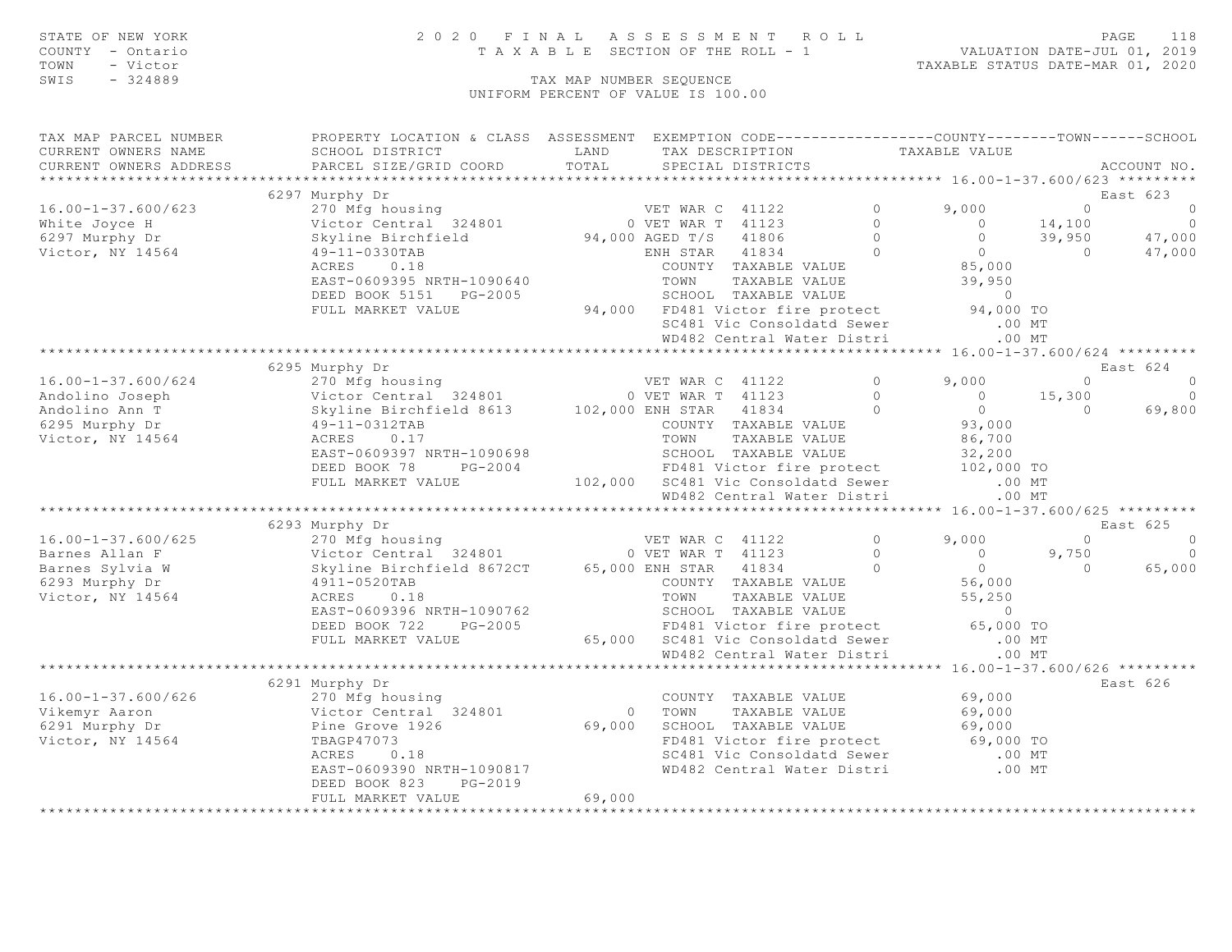| STATE OF NEW YORK<br>COUNTY - Ontario                                                                                                                                                                                                                                                                                                                                                                                                                       | 2020 FINAL ASSESSMENT ROLL                                                                    |                                    |                   | TAXABLE SECTION OF THE ROLL - 1<br>TAXABLE SECTION OF THE ROLL - 1<br>TAXABLE STATUS DATE-MAR 01, 2020 |                | PAGE<br>118    |
|-------------------------------------------------------------------------------------------------------------------------------------------------------------------------------------------------------------------------------------------------------------------------------------------------------------------------------------------------------------------------------------------------------------------------------------------------------------|-----------------------------------------------------------------------------------------------|------------------------------------|-------------------|--------------------------------------------------------------------------------------------------------|----------------|----------------|
| - Victor<br>TOWN                                                                                                                                                                                                                                                                                                                                                                                                                                            |                                                                                               |                                    |                   |                                                                                                        |                |                |
| SWIS<br>$-324889$                                                                                                                                                                                                                                                                                                                                                                                                                                           |                                                                                               | TAX MAP NUMBER SEQUENCE            |                   |                                                                                                        |                |                |
|                                                                                                                                                                                                                                                                                                                                                                                                                                                             |                                                                                               | UNIFORM PERCENT OF VALUE IS 100.00 |                   |                                                                                                        |                |                |
|                                                                                                                                                                                                                                                                                                                                                                                                                                                             |                                                                                               |                                    |                   |                                                                                                        |                |                |
| TAX MAP PARCEL NUMBER <b>The PROPERTY LOCATION &amp; CLASS</b> ASSESSMENT EXEMPTION CODE--------------COUNTY-------TOWN-----SCHOOL                                                                                                                                                                                                                                                                                                                          | SCHOOL DISTRICT                     LAND        TAX DESCRIPTION                 TAXABLE VALUE |                                    |                   |                                                                                                        |                |                |
| CURRENT OWNERS NAME<br>CURRENT OWNERS ADDRESS                                                                                                                                                                                                                                                                                                                                                                                                               | PARCEL SIZE/GRID COORD                                                                        | TOTAL                              | SPECIAL DISTRICTS |                                                                                                        |                | ACCOUNT NO.    |
|                                                                                                                                                                                                                                                                                                                                                                                                                                                             |                                                                                               |                                    |                   | ******************* 16.00-1-37.600/623 *********                                                       |                |                |
|                                                                                                                                                                                                                                                                                                                                                                                                                                                             | 6297 Murphy Dr                                                                                |                                    |                   |                                                                                                        |                | East 623       |
|                                                                                                                                                                                                                                                                                                                                                                                                                                                             |                                                                                               |                                    |                   |                                                                                                        |                |                |
|                                                                                                                                                                                                                                                                                                                                                                                                                                                             |                                                                                               |                                    |                   |                                                                                                        |                |                |
|                                                                                                                                                                                                                                                                                                                                                                                                                                                             |                                                                                               |                                    |                   |                                                                                                        |                |                |
|                                                                                                                                                                                                                                                                                                                                                                                                                                                             |                                                                                               |                                    |                   |                                                                                                        |                |                |
|                                                                                                                                                                                                                                                                                                                                                                                                                                                             |                                                                                               |                                    |                   |                                                                                                        |                |                |
|                                                                                                                                                                                                                                                                                                                                                                                                                                                             |                                                                                               |                                    |                   |                                                                                                        |                |                |
|                                                                                                                                                                                                                                                                                                                                                                                                                                                             |                                                                                               |                                    |                   |                                                                                                        |                |                |
|                                                                                                                                                                                                                                                                                                                                                                                                                                                             |                                                                                               |                                    |                   |                                                                                                        |                |                |
|                                                                                                                                                                                                                                                                                                                                                                                                                                                             |                                                                                               |                                    |                   |                                                                                                        |                |                |
|                                                                                                                                                                                                                                                                                                                                                                                                                                                             |                                                                                               |                                    |                   |                                                                                                        |                |                |
|                                                                                                                                                                                                                                                                                                                                                                                                                                                             |                                                                                               |                                    |                   |                                                                                                        |                |                |
|                                                                                                                                                                                                                                                                                                                                                                                                                                                             | 6295 Murphy Dr                                                                                |                                    |                   |                                                                                                        |                | East 624       |
|                                                                                                                                                                                                                                                                                                                                                                                                                                                             |                                                                                               |                                    |                   |                                                                                                        |                | $\bigcirc$     |
|                                                                                                                                                                                                                                                                                                                                                                                                                                                             |                                                                                               |                                    |                   |                                                                                                        |                | $\overline{0}$ |
|                                                                                                                                                                                                                                                                                                                                                                                                                                                             |                                                                                               |                                    |                   |                                                                                                        |                | 69,800         |
|                                                                                                                                                                                                                                                                                                                                                                                                                                                             |                                                                                               |                                    |                   |                                                                                                        |                |                |
|                                                                                                                                                                                                                                                                                                                                                                                                                                                             |                                                                                               |                                    |                   |                                                                                                        |                |                |
|                                                                                                                                                                                                                                                                                                                                                                                                                                                             |                                                                                               |                                    |                   |                                                                                                        |                |                |
|                                                                                                                                                                                                                                                                                                                                                                                                                                                             |                                                                                               |                                    |                   |                                                                                                        |                |                |
|                                                                                                                                                                                                                                                                                                                                                                                                                                                             |                                                                                               |                                    |                   |                                                                                                        |                |                |
|                                                                                                                                                                                                                                                                                                                                                                                                                                                             |                                                                                               |                                    |                   |                                                                                                        |                |                |
|                                                                                                                                                                                                                                                                                                                                                                                                                                                             | 6293 Murphy Dr                                                                                |                                    |                   |                                                                                                        |                | East 625       |
|                                                                                                                                                                                                                                                                                                                                                                                                                                                             |                                                                                               |                                    |                   |                                                                                                        | $\Omega$       | $\Omega$       |
|                                                                                                                                                                                                                                                                                                                                                                                                                                                             |                                                                                               |                                    |                   |                                                                                                        | 9,750          | $\Omega$       |
|                                                                                                                                                                                                                                                                                                                                                                                                                                                             |                                                                                               |                                    |                   |                                                                                                        | $\overline{0}$ | 65,000         |
|                                                                                                                                                                                                                                                                                                                                                                                                                                                             |                                                                                               |                                    |                   |                                                                                                        |                |                |
|                                                                                                                                                                                                                                                                                                                                                                                                                                                             |                                                                                               |                                    |                   |                                                                                                        |                |                |
|                                                                                                                                                                                                                                                                                                                                                                                                                                                             |                                                                                               |                                    |                   |                                                                                                        |                |                |
|                                                                                                                                                                                                                                                                                                                                                                                                                                                             |                                                                                               |                                    |                   |                                                                                                        |                |                |
|                                                                                                                                                                                                                                                                                                                                                                                                                                                             |                                                                                               |                                    |                   |                                                                                                        |                |                |
| $\begin{tabular}{lllllllllllllllllllllll} \multicolumn{3}{l}{{\footnotesize \begin{tabular}{l} $6.00-1-37.600/625$ & $6293 Murphy Dr\\ \hline \multicolumn{3}{l}{Barnes Allan F}$ & $270 Mg hoursing\\ \hline \multicolumn{3}{l}{Barnes Allan F}$ & $270 Mg hoursing\\ \hline \multicolumn{3}{l}{Barnes Sylvia W$ & $8kyline Bitchfield 8672CT$ & $65,000 EMR RT 41123$ & $0$ & $0$ \\ \hline \multicolumn{3}{l}{Barnes Sylvia W$ & $8kyline Bitchfield 86$ |                                                                                               |                                    |                   |                                                                                                        |                |                |
|                                                                                                                                                                                                                                                                                                                                                                                                                                                             |                                                                                               |                                    |                   |                                                                                                        |                |                |
|                                                                                                                                                                                                                                                                                                                                                                                                                                                             | 6291 Murphy Dr                                                                                |                                    |                   |                                                                                                        |                | East 626       |
|                                                                                                                                                                                                                                                                                                                                                                                                                                                             |                                                                                               |                                    |                   |                                                                                                        |                |                |
|                                                                                                                                                                                                                                                                                                                                                                                                                                                             |                                                                                               |                                    |                   |                                                                                                        |                |                |
|                                                                                                                                                                                                                                                                                                                                                                                                                                                             |                                                                                               |                                    |                   |                                                                                                        |                |                |
|                                                                                                                                                                                                                                                                                                                                                                                                                                                             |                                                                                               |                                    |                   |                                                                                                        |                |                |
|                                                                                                                                                                                                                                                                                                                                                                                                                                                             |                                                                                               |                                    |                   |                                                                                                        |                |                |
| 16.00-1-37.600/626<br>Vikemyr Aaron Victor (entral 324801 0 TOWN TAXABLE VALUE 69,000<br>6291 Murphy Dr Pine Grove 1926 69,000 SCHOOL TAXABLE VALUE 69,000<br>Victor, NY 14564 TBAGP47073 FD481 Victor fire protect 69,000 TO<br>EAST                                                                                                                                                                                                                       |                                                                                               |                                    |                   |                                                                                                        |                |                |
|                                                                                                                                                                                                                                                                                                                                                                                                                                                             | DEED BOOK 823 PG-2019                                                                         |                                    |                   |                                                                                                        |                |                |
|                                                                                                                                                                                                                                                                                                                                                                                                                                                             | FULL MARKET VALUE                                                                             | 69,000                             |                   |                                                                                                        |                |                |
|                                                                                                                                                                                                                                                                                                                                                                                                                                                             |                                                                                               |                                    |                   |                                                                                                        |                |                |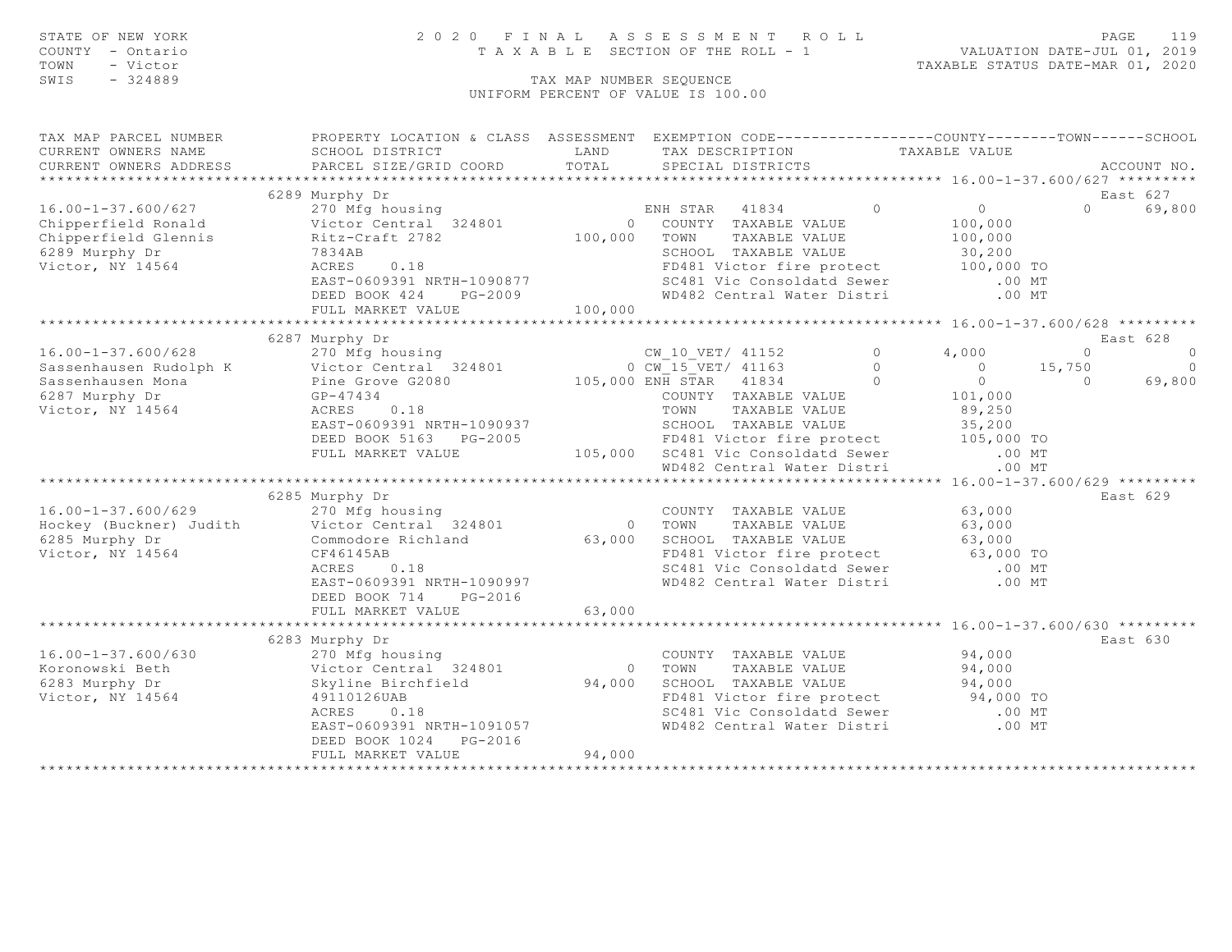| STATE OF NEW YORK<br>COUNTY - Ontario<br>TOWN<br>- Victor<br>SWIS<br>$-324889$                                                                                                                                                                     | 2020 FINAL                                                                                                                                                                                                                                                                                                                              | TAX MAP NUMBER SEOUENCE | A S S E S S M E N T<br>ROLL<br>TAXABLE SECTION OF THE ROLL - 1 VALUATION DATE-JUL 01, 2019<br>UNIFORM PERCENT OF VALUE IS 100.00                                                                                                                                                                                                     |                                                                                                                                                                                                    | PAGE<br>119<br>TAXABLE STATUS DATE-MAR 01, 2020                                          |
|----------------------------------------------------------------------------------------------------------------------------------------------------------------------------------------------------------------------------------------------------|-----------------------------------------------------------------------------------------------------------------------------------------------------------------------------------------------------------------------------------------------------------------------------------------------------------------------------------------|-------------------------|--------------------------------------------------------------------------------------------------------------------------------------------------------------------------------------------------------------------------------------------------------------------------------------------------------------------------------------|----------------------------------------------------------------------------------------------------------------------------------------------------------------------------------------------------|------------------------------------------------------------------------------------------|
|                                                                                                                                                                                                                                                    |                                                                                                                                                                                                                                                                                                                                         |                         |                                                                                                                                                                                                                                                                                                                                      |                                                                                                                                                                                                    |                                                                                          |
| TAX MAP PARCEL NUMBER<br>CURRENT OWNERS NAME<br>CURRENT OWNERS ADDRESS                                                                                                                                                                             | PROPERTY LOCATION & CLASS ASSESSMENT EXEMPTION CODE----------------COUNTY--------TOWN------SCHOOL<br>SCHOOL DISTRICT<br>PARCEL SIZE/GRID COORD                                                                                                                                                                                          | LAND<br>TOTAL           | TAX DESCRIPTION<br>SPECIAL DISTRICTS                                                                                                                                                                                                                                                                                                 | TAXABLE VALUE                                                                                                                                                                                      | ACCOUNT NO.                                                                              |
| ***********************                                                                                                                                                                                                                            |                                                                                                                                                                                                                                                                                                                                         |                         |                                                                                                                                                                                                                                                                                                                                      |                                                                                                                                                                                                    | East 627                                                                                 |
| 16.00-1-37.600/627<br>Chipperfield Ronald<br>Chipperfield Glennis<br>6289 Murphy Dr<br>Victor, NY 14564                                                                                                                                            | 270 Mfg housing<br>270 Mfg housing<br>270 Mfg housing<br>270 Mfg housing<br>270 Mfg housing<br>270 Mfg housing<br>271 Microsoft 2782<br>2834AB<br>2834AB<br>2834AB<br>2834AB<br>2834AB<br>2834AB<br>2834AB<br>2834AB<br>202000000000000000000000000000000000<br>EAST-0609391 NRTH-1090877<br>DEED BOOK 424 PG-2009<br>FULL MARKET VALUE | 100,000                 | FD481 Victor fire protect 100,000 TO<br>SC481 Vic Consoldatd Sewer .00 MT<br>WD482 Central Water Distri                                                                                                                                                                                                                              | $\overline{0}$<br>100,000<br>100,000<br>30,200<br>.00MT                                                                                                                                            | $\bigcap$<br>69,800                                                                      |
|                                                                                                                                                                                                                                                    |                                                                                                                                                                                                                                                                                                                                         |                         |                                                                                                                                                                                                                                                                                                                                      |                                                                                                                                                                                                    |                                                                                          |
| 16.00-1-37.600/629 270 Mfg housing<br>Hockey (Buckner) Judith Victor Central 324801 0 TOWN<br>6285 Murphy Dr. Commodore Richland Commodore Richland Commodore Richland Commodore Richland Commodore Richland<br>6285 Murphy Dr<br>Victor, NY 14564 | DEED BOOK 5163 PG-2005<br>FULL MARKET VALUE<br>Commodore Richland<br>Commodore Richland<br>CF46145AB FD481 Victor fire prot<br>$5AB$<br>0.18<br>ACRES<br>EAST-0609391 NRTH-1090997<br>DEED BOOK 714 PG-2016<br>FULL MARKET VALUE                                                                                                        | 63,000                  | COUNTY TAXABLE VALUE<br>TAXABLE VALUE<br>TOWN TAXABLE VALUE<br>SCHOOL TAXABLE VALUE<br>FD481 Victor fire protect<br>105,000 SC481 Vic Consoldatd Sewer<br>WD482 Central Water Distri<br>COUNTY TAXABLE VALUE<br>TAXABLE VALUE<br>FD481 Victor fire protect<br>SC481 Vic Consoldatd Sewer .00 MT<br>WD482 Central Water Distri .00 MT | $\overline{0}$<br>4,000<br>$\bigcirc$<br>$\overline{a}$<br>$\overline{0}$<br>$\bigcirc$<br>101,000<br>89,250<br>35,200<br>105,000 TO<br>.00 MT<br>.00MT<br>63,000<br>63,000<br>63,000<br>63,000 TO | East 628<br>$\Omega$<br>$\Omega$<br>$\Omega$<br>15,750<br>69,800<br>$\Omega$<br>East 629 |
| $16.00 - 1 - 37.600 / 630$<br>Koronowski Beth<br>6283 Murphy Dr<br>Victor, NY 14564                                                                                                                                                                | 6283 Murphy Dr<br>Mulphy Di<br>270 Mfg housing<br>270 Mfg housing<br>Victor Central 324801<br>Skyline Birchfield<br>49110126UAB<br>0.18<br>ACRES<br>EAST-0609391 NRTH-1091057                                                                                                                                                           |                         | COUNTY TAXABLE VALUE<br>0 TOWN TAXABLE VALUE<br>94,000 SCHOOL TAXABLE VALUE<br>FD481 Victor fire protect<br>SC481 Vic Consoldatd Sewer<br>WD482 Central Water Distri                                                                                                                                                                 | 94,000<br>$-4,000$<br>94,000<br>94<br>94,000 TO<br>.00 MT<br>.00MT                                                                                                                                 | East 630                                                                                 |
|                                                                                                                                                                                                                                                    | DEED BOOK 1024 PG-2016<br>FULL MARKET VALUE                                                                                                                                                                                                                                                                                             | 94,000                  |                                                                                                                                                                                                                                                                                                                                      |                                                                                                                                                                                                    |                                                                                          |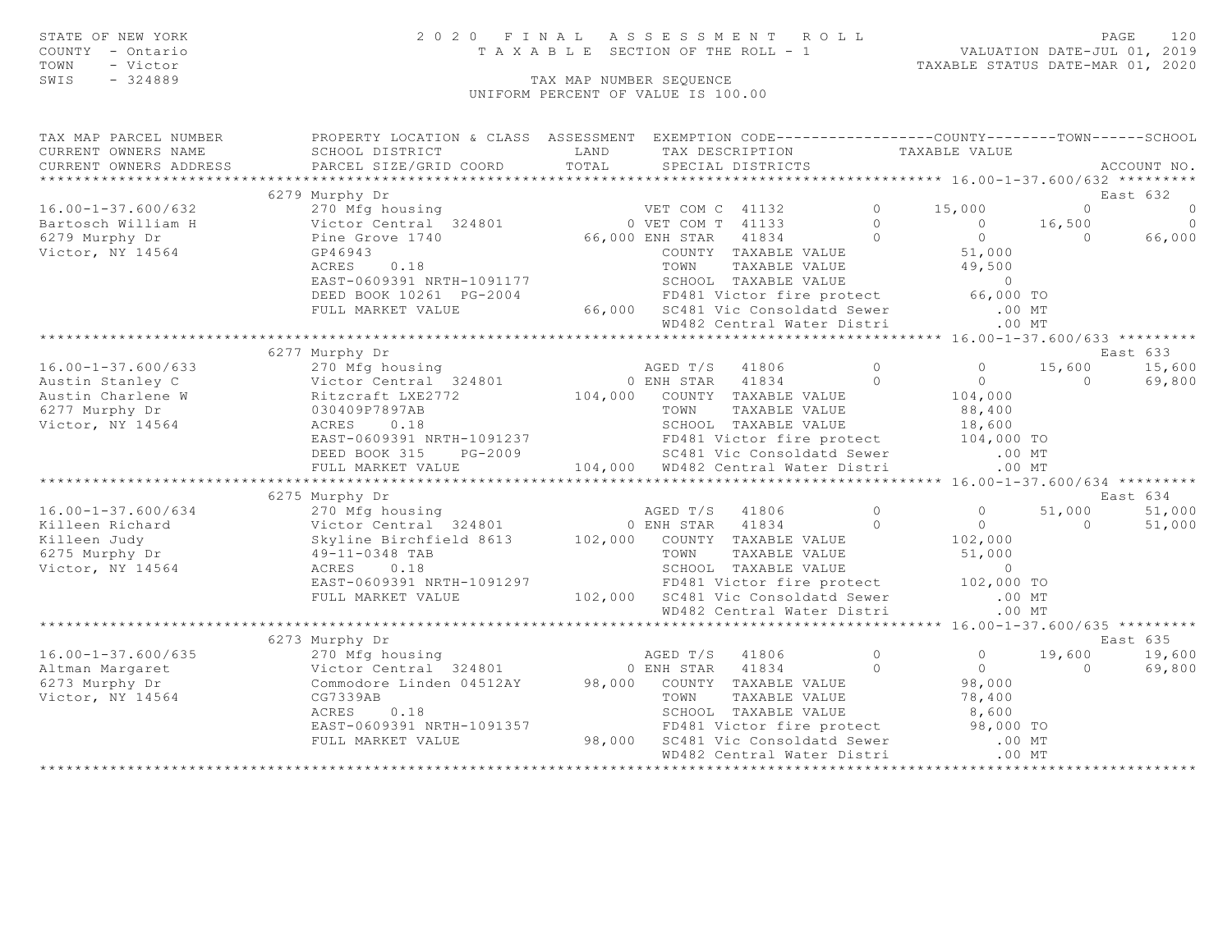| STATE OF NEW YORK<br>COUNTY - Ontario<br>- Victor<br>TOWN<br>SWIS - 324889                                                                     |                                                                                                                                                                                                  | TAX MAP NUMBER SEQUENCE<br>UNIFORM PERCENT OF VALUE IS 100.00 |      |                            | TAXABLE STATUS DATE-MAR 01, 2020                                               |                     |          |
|------------------------------------------------------------------------------------------------------------------------------------------------|--------------------------------------------------------------------------------------------------------------------------------------------------------------------------------------------------|---------------------------------------------------------------|------|----------------------------|--------------------------------------------------------------------------------|---------------------|----------|
| TAX MAP PARCEL NUMBER THE PROPERTY LOCATION & CLASS ASSESSMENT EXEMPTION CODE--------------COUNTY-------TOWN-----SCHOOL<br>CURRENT OWNERS NAME | SCHOOL DISTRICT<br><b>EXAMPLE DESCRIPTION AND LAND</b>                                                                                                                                           |                                                               |      |                            | TAX DESCRIPTION TAXABLE VALUE                                                  |                     |          |
|                                                                                                                                                |                                                                                                                                                                                                  |                                                               |      |                            |                                                                                |                     |          |
|                                                                                                                                                |                                                                                                                                                                                                  |                                                               |      |                            |                                                                                |                     |          |
|                                                                                                                                                | 6279 Murphy Dr                                                                                                                                                                                   |                                                               |      |                            |                                                                                |                     | East 632 |
| $16.00 - 1 - 37.600 / 632$                                                                                                                     |                                                                                                                                                                                                  |                                                               |      |                            |                                                                                |                     |          |
| Bartosch William H                                                                                                                             |                                                                                                                                                                                                  |                                                               |      |                            |                                                                                |                     |          |
| 6279 Murphy Dr                                                                                                                                 |                                                                                                                                                                                                  |                                                               |      |                            |                                                                                |                     |          |
| Victor, NY 14564                                                                                                                               |                                                                                                                                                                                                  |                                                               |      |                            |                                                                                |                     |          |
|                                                                                                                                                |                                                                                                                                                                                                  |                                                               |      |                            |                                                                                |                     |          |
|                                                                                                                                                |                                                                                                                                                                                                  |                                                               |      |                            |                                                                                |                     |          |
|                                                                                                                                                |                                                                                                                                                                                                  |                                                               |      |                            |                                                                                |                     |          |
|                                                                                                                                                | ACRES 0.18<br>EAST-0609391 NRTH-1091177 SCHOOL TAXABLE VALUE 49,500<br>DEED BOOK 10261 PG-2004 FD481 Victor fire protect 66,000 TO<br>FULL MARKET VALUE 66,000 SC481 Vic Consoldatd Sewer .00 MT |                                                               |      |                            |                                                                                |                     |          |
|                                                                                                                                                |                                                                                                                                                                                                  |                                                               |      | WD482 Central Water Distri | .00MT                                                                          |                     |          |
|                                                                                                                                                |                                                                                                                                                                                                  |                                                               |      |                            |                                                                                |                     |          |
|                                                                                                                                                | 6277 Murphy Dr                                                                                                                                                                                   |                                                               |      |                            |                                                                                |                     | East 633 |
| 16.00-1-37.600/633                                                                                                                             | 33 270 Mfg housing 324801 6 AGED T/S 41806 6 6 270 Mfg housing 324801 6 20 20 20 21 22 23 24801 20 20 20 20 20                                                                                   |                                                               |      |                            |                                                                                | 0 $15,600$ $15,600$ |          |
| Austin Stanley C                                                                                                                               |                                                                                                                                                                                                  |                                                               |      |                            | $\overline{0}$ and $\overline{0}$                                              | 0 69,800            |          |
| Austin Charlene W Ritzcraft LXE2772<br>030409P7897AB                                                                                           |                                                                                                                                                                                                  | 104,000 COUNTY TAXABLE VALUE                                  |      |                            | 104,000                                                                        |                     |          |
| 6277 Murphy Dr                                                                                                                                 | 030409P7897AB<br>ACRES 0.18<br>EAST-0609391 NRTH-1091237                                                                                                                                         |                                                               | TOWN | TAXABLE VALUE              | 88,400                                                                         |                     |          |
| Victor, NY 14564                                                                                                                               | ACRES 0.18                                                                                                                                                                                       |                                                               |      | SCHOOL TAXABLE VALUE       | 18,600                                                                         |                     |          |
|                                                                                                                                                | DEED BOOK 315<br>$PG-2009$                                                                                                                                                                       |                                                               |      |                            | FD481 Victor fire protect 104,000 TO                                           |                     |          |
|                                                                                                                                                | FULL MARKET VALUE                                                                                                                                                                                |                                                               |      |                            | SC481 Vic Consoldatd Sewer .00 MT<br>104,000 WD482 Central Water Distri .00 MT |                     |          |
|                                                                                                                                                |                                                                                                                                                                                                  |                                                               |      |                            |                                                                                |                     |          |
|                                                                                                                                                | 6275 Murphy Dr                                                                                                                                                                                   |                                                               |      |                            |                                                                                |                     | East 634 |

16.00-1-37.600/634 270 Mfg housing AGED T/S 41806 0 0 51,000 51,000 Killeen Richard Victor Central 324801 0 ENH STAR 41834 0 0 0 51,000 Killeen Judy Skyline Birchfield 8613 102,000 COUNTY TAXABLE VALUE 102,000 6275 Murphy Dr 49-11-0348 TAB TOWN TAXABLE VALUE 51,000

Victor, NY 14564 ACRES 0.18 SCHOOL TAXABLE VALUE 0 EAST-0609391 NRTH-1091297 FD481 Victor fire protect 102,000 TO FULL MARKET VALUE 102,000 SC481 Vic Consoldatd Sewer .00 MT WD482 Central Water Distri .00 MT \*\*\*\*\*\*\*\*\*\*\*\*\*\*\*\*\*\*\*\*\*\*\*\*\*\*\*\*\*\*\*\*\*\*\*\*\*\*\*\*\*\*\*\*\*\*\*\*\*\*\*\*\*\*\*\*\*\*\*\*\*\*\*\*\*\*\*\*\*\*\*\*\*\*\*\*\*\*\*\*\*\*\*\*\*\*\*\*\*\*\*\*\*\*\*\*\*\*\*\*\*\*\* 16.00-1-37.600/635 \*\*\*\*\*\*\*\*\* 6273 Murphy Dr East 635 16.00-1-37.600/635 270 Mfg housing AGED T/S 41806 0 0 19,600 19,600

Altman Margaret Victor Central 324801 0 ENH STAR 41834 0 0 0 69,800 6273 Murphy Dr Commodore Linden 04512AY 98,000 COUNTY TAXABLE VALUE 98,000 Victor, NY 14564 CG7339AB TOWN TAXABLE VALUE 78,400 ACRES 0.18 SCHOOL TAXABLE VALUE 8,600 EAST-0609391 NRTH-1091357 FD481 Victor fire protect 98,000 TO FULL MARKET VALUE 98,000 SC481 Vic Consoldatd Sewer .00 MT WD482 Central Water Distri .00 MT \*\*\*\*\*\*\*\*\*\*\*\*\*\*\*\*\*\*\*\*\*\*\*\*\*\*\*\*\*\*\*\*\*\*\*\*\*\*\*\*\*\*\*\*\*\*\*\*\*\*\*\*\*\*\*\*\*\*\*\*\*\*\*\*\*\*\*\*\*\*\*\*\*\*\*\*\*\*\*\*\*\*\*\*\*\*\*\*\*\*\*\*\*\*\*\*\*\*\*\*\*\*\*\*\*\*\*\*\*\*\*\*\*\*\*\*\*\*\*\*\*\*\*\*\*\*\*\*\*\*\*\*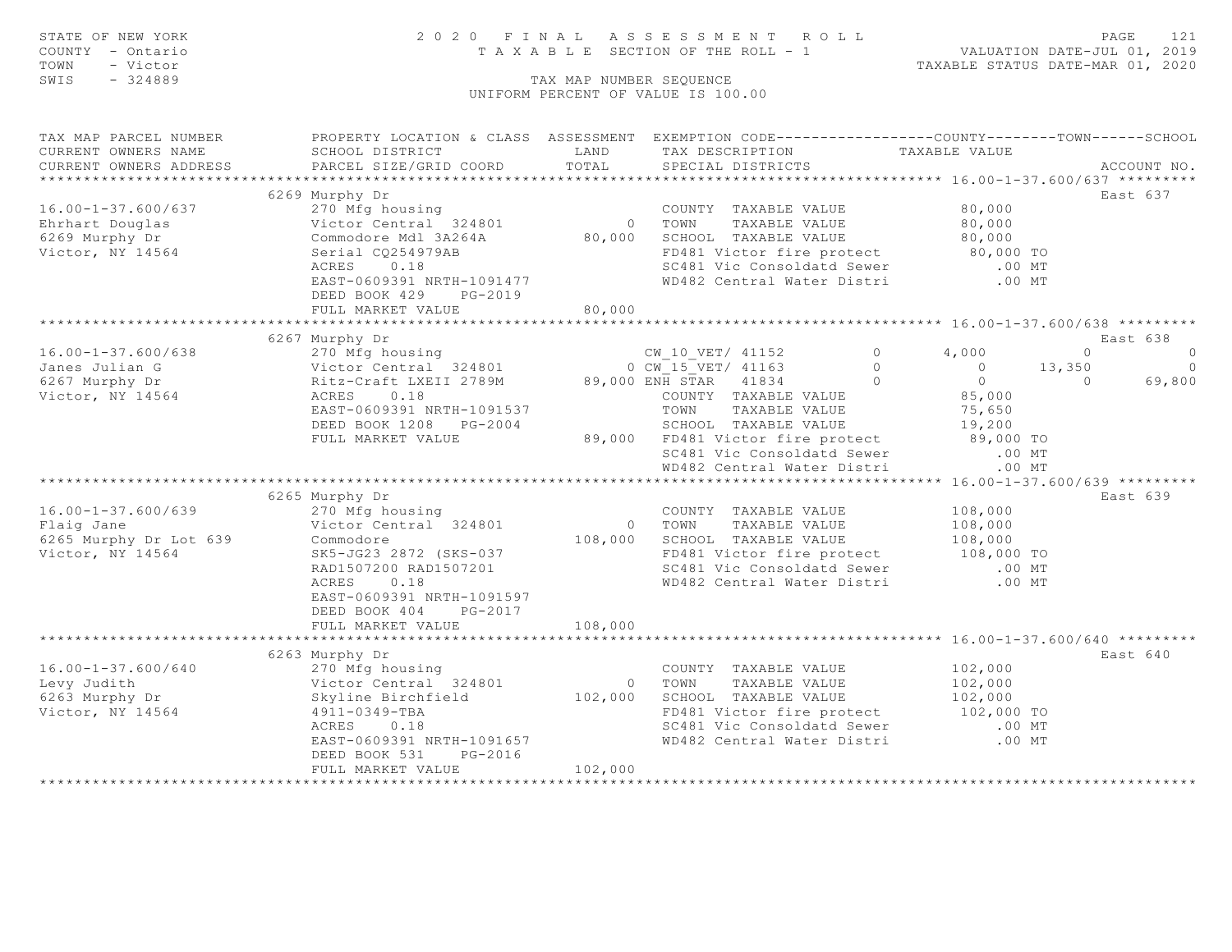| STATE OF NEW YORK<br>COUNTY - Ontario<br>TOWN<br>- Victor<br>SWIS<br>$-324889$                                                                                               | 2020 FINAL                                                                                                                                                                                                                                                                                                                     | TAX MAP NUMBER SEQUENCE | ASSESSMENT ROLL<br>TAXABLE SECTION OF THE ROLL - 1<br>UNIFORM PERCENT OF VALUE IS 100.00                                                                                                                                                                                                                                                                                                                                       | VALUATION DATE-JUL 01, 2019<br>TAXABLE STATUS DATE-MAR 01, 2020                                                                                                                                                                 | PAGE<br>121                                                                        |
|------------------------------------------------------------------------------------------------------------------------------------------------------------------------------|--------------------------------------------------------------------------------------------------------------------------------------------------------------------------------------------------------------------------------------------------------------------------------------------------------------------------------|-------------------------|--------------------------------------------------------------------------------------------------------------------------------------------------------------------------------------------------------------------------------------------------------------------------------------------------------------------------------------------------------------------------------------------------------------------------------|---------------------------------------------------------------------------------------------------------------------------------------------------------------------------------------------------------------------------------|------------------------------------------------------------------------------------|
|                                                                                                                                                                              |                                                                                                                                                                                                                                                                                                                                |                         |                                                                                                                                                                                                                                                                                                                                                                                                                                |                                                                                                                                                                                                                                 |                                                                                    |
| TAX MAP PARCEL NUMBER<br>CURRENT OWNERS NAME<br>CURRENT OWNERS ADDRESS                                                                                                       | SCHOOL DISTRICT<br>PARCEL SIZE/GRID COORD                                                                                                                                                                                                                                                                                      | LAND<br>TOTAL           | PROPERTY LOCATION & CLASS ASSESSMENT EXEMPTION CODE----------------COUNTY--------TOWN------SCHOOL<br>TAX DESCRIPTION<br>SPECIAL DISTRICTS                                                                                                                                                                                                                                                                                      | TAXABLE VALUE                                                                                                                                                                                                                   | ACCOUNT NO.                                                                        |
|                                                                                                                                                                              | 6269 Murphy Dr                                                                                                                                                                                                                                                                                                                 |                         |                                                                                                                                                                                                                                                                                                                                                                                                                                |                                                                                                                                                                                                                                 | East 637                                                                           |
| $16.00 - 1 - 37.600 / 637$<br>Ehrhart Douglas<br>6269 Murphy Dr<br>Victor, NY 14564                                                                                          | 270 Mfg housing<br>Victor Central 324801<br>Commodore Mdl 3A264A<br>Serial CQ254979AB<br>ACRES 0.18<br>EAST-0609391 NRTH-1091477<br>DEED BOOK 429 PG-2019                                                                                                                                                                      | $\overline{0}$          | COUNTY TAXABLE VALUE<br>TAXABLE VALUE<br>TOWN<br>80,000 SCHOOL TAXABLE VALUE<br>FD481 Victor fire protect<br>SC481 Vic Consoldatd Sewer<br>WD482 Central Water Distri                                                                                                                                                                                                                                                          | 80,000<br>80,000<br>80,000<br>80,000 TO<br>.00 MT<br>$.00$ MT                                                                                                                                                                   |                                                                                    |
|                                                                                                                                                                              | FULL MARKET VALUE                                                                                                                                                                                                                                                                                                              | 80,000                  |                                                                                                                                                                                                                                                                                                                                                                                                                                |                                                                                                                                                                                                                                 |                                                                                    |
|                                                                                                                                                                              | 6267 Murphy Dr                                                                                                                                                                                                                                                                                                                 |                         |                                                                                                                                                                                                                                                                                                                                                                                                                                |                                                                                                                                                                                                                                 | East 638                                                                           |
| $16.00 - 1 - 37.600 / 638$<br>Janes Julian G<br>6267 Murphy Dr<br>Victor, NY 14564<br>$16.00 - 1 - 37.600 / 639$<br>Flaig Jane<br>6265 Murphy Dr Lot 639<br>Victor, NY 14564 | 270 Mfg housing<br>Victor Central 324801<br>Ritz-Craft LXEII 2789M<br>ACRES<br>0.18<br>EAST-0609391 NRTH-1091537<br>DEED BOOK 1208 PG-2004<br>FULL MARKET VALUE<br>*****************************<br>6265 Murphy Dr<br>270 Mfg housing<br>Victor Central 324801<br>Commodore<br>SK5-JG23 2872 (SKS-037<br>RAD1507200 RAD1507201 |                         | $\Omega$<br>CW 10 VET/ 41152<br>0 CW 15 VET/ 41163<br>$\bigcirc$<br>89,000 ENH STAR 41834<br>$\bigcirc$<br>COUNTY TAXABLE VALUE<br>TAXABLE VALUE<br>TOWN<br>SCHOOL TAXABLE VALUE<br>89,000 FD481 Victor fire protect<br>SC481 Vic Consoldatd Sewer<br>WD482 Central Water Distri<br>COUNTY TAXABLE VALUE<br>0 TOWN<br>TAXABLE VALUE<br>108,000 SCHOOL TAXABLE VALUE<br>FD481 Victor fire protect<br>SC481 Vic Consoldatd Sewer | 4,000<br>$\overline{0}$<br>$\overline{0}$<br>85,000<br>75,650<br>19,200<br>89,000 TO<br>$.00$ MT<br>$.00$ MT<br>********************* 16.00-1-37.600/639 *********<br>108,000<br>108,000<br>108,000<br>$108,000$ TO<br>$.00$ MT | $\Omega$<br>$\Omega$<br>13,350<br>$\Omega$<br>$\overline{0}$<br>69,800<br>East 639 |
|                                                                                                                                                                              | 0.18<br>ACRES<br>EAST-0609391 NRTH-1091597<br>DEED BOOK 404 PG-2017<br>FULL MARKET VALUE                                                                                                                                                                                                                                       | 108,000                 | WD482 Central Water Distri                                                                                                                                                                                                                                                                                                                                                                                                     | $.00$ MT                                                                                                                                                                                                                        |                                                                                    |
|                                                                                                                                                                              | *************************<br>6263 Murphy Dr                                                                                                                                                                                                                                                                                    |                         |                                                                                                                                                                                                                                                                                                                                                                                                                                |                                                                                                                                                                                                                                 | East 640                                                                           |
| $16.00 - 1 - 37.600 / 640$<br>Levy Judith<br>6263 Murphy Dr<br>Victor, NY 14564                                                                                              | 270 Mfg housing<br>Victor Central 324801<br>Skyline Birchfield<br>4911-0349-TBA<br>0.18<br>ACRES<br>EAST-0609391 NRTH-1091657<br>DEED BOOK 531<br>PG-2016                                                                                                                                                                      |                         | COUNTY TAXABLE VALUE<br>0 TOWN<br>TAXABLE VALUE<br>102,000 SCHOOL TAXABLE VALUE<br>FD481 Victor fire protect<br>SC481 Vic Consoldatd Sewer<br>WD482 Central Water Distri                                                                                                                                                                                                                                                       | 102,000<br>102,000<br>102,000<br>102,000 TO<br>.00 MT<br>$.00$ MT                                                                                                                                                               |                                                                                    |
|                                                                                                                                                                              | FULL MARKET VALUE                                                                                                                                                                                                                                                                                                              | 102,000                 |                                                                                                                                                                                                                                                                                                                                                                                                                                |                                                                                                                                                                                                                                 |                                                                                    |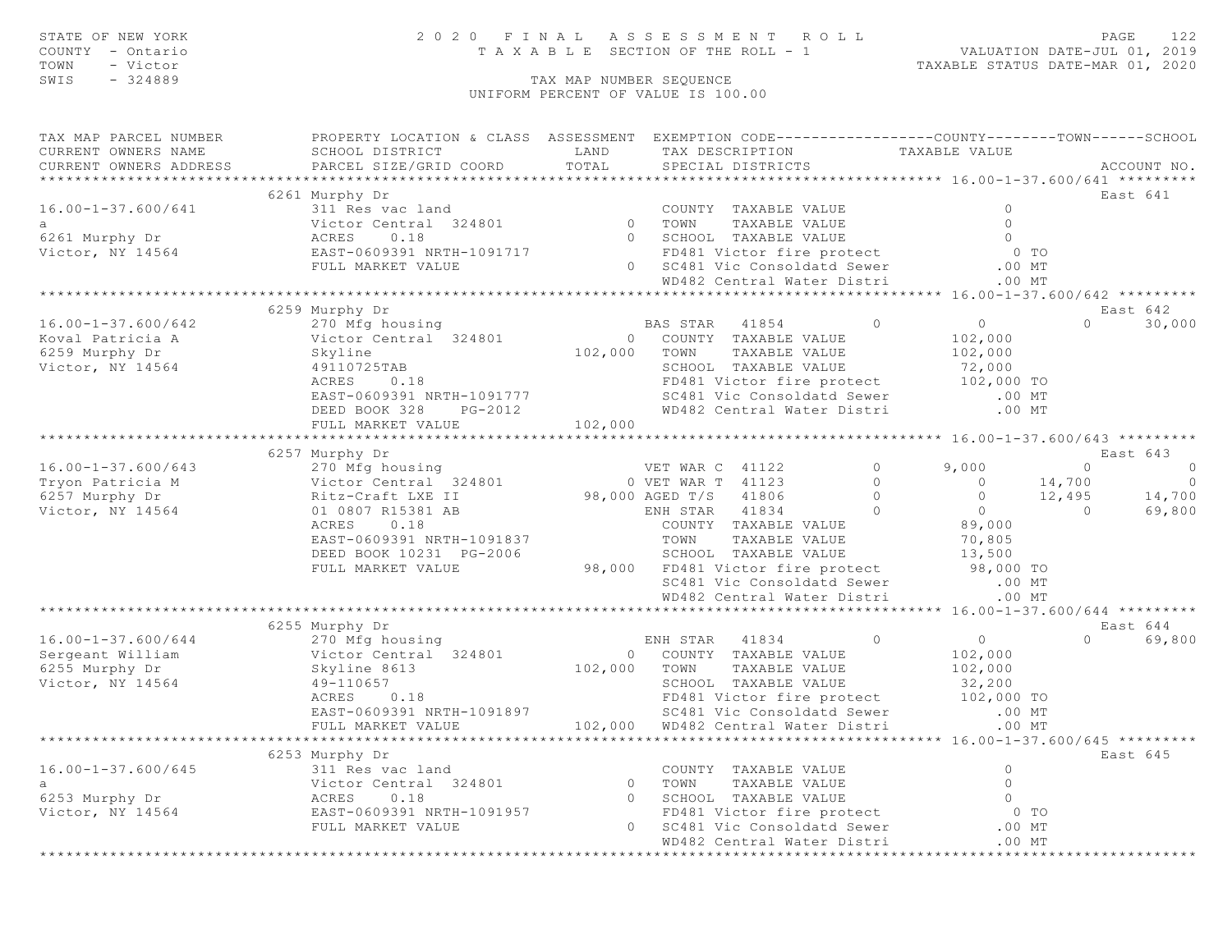| STATE OF NEW YORK<br>COUNTY - Ontario<br>TOWN<br>- Victor<br>SWIS - 324889                                                                                                                                                            |                                                                                                                             | 2020 FINAL ASSESSMENT ROLL<br>TAX MAP NUMBER SEQUENCE<br>UNIFORM PERCENT OF VALUE IS 100.00                                                                       | TAXABLE STATUS DATE-MAR 01, 2020                                | PAGE<br>122                           |
|---------------------------------------------------------------------------------------------------------------------------------------------------------------------------------------------------------------------------------------|-----------------------------------------------------------------------------------------------------------------------------|-------------------------------------------------------------------------------------------------------------------------------------------------------------------|-----------------------------------------------------------------|---------------------------------------|
| TAX MAP PARCEL NUMBER<br>CURRENT OWNERS NAME<br>CURRENT OWNERS ADDRESS FARCEL SIZE/GRID COORD TOTAL SPECIAL DISTRICTS                                                                                                                 | PROPERTY LOCATION & CLASS ASSESSMENT EXEMPTION CODE-----------------COUNTY--------TOWN------SCHOOL<br>SCHOOL DISTRICT       | LAND TAX DESCRIPTION TAXABLE VALUE                                                                                                                                |                                                                 | ACCOUNT NO.                           |
| 16.00-1-37.600/641 311 Res vac land COUNTY TAXABLE VALUE 0<br>a<br>6261 Murphy Dr ACRES 0.18 0 SCHOOL TAXABLE VALUE 0<br>Victor, NY 14564 EAST-0609391 NRTH-1091717 0 5CHOOL TAXABLE VALUE 0<br>FULL MARKET VALUE 0 SC481 Victor fire | 6261 Murphy Dr                                                                                                              |                                                                                                                                                                   |                                                                 | East 641                              |
|                                                                                                                                                                                                                                       | 6259 Murphy Dr                                                                                                              |                                                                                                                                                                   |                                                                 | East 642                              |
|                                                                                                                                                                                                                                       |                                                                                                                             |                                                                                                                                                                   |                                                                 |                                       |
|                                                                                                                                                                                                                                       | 6257 Murphy Dr                                                                                                              |                                                                                                                                                                   |                                                                 | East 643                              |
|                                                                                                                                                                                                                                       |                                                                                                                             |                                                                                                                                                                   |                                                                 | $\begin{array}{c} 0 \\ 0 \end{array}$ |
|                                                                                                                                                                                                                                       |                                                                                                                             |                                                                                                                                                                   |                                                                 |                                       |
| 16.00-1-37.600/644<br>Sergeant William $102,000$<br>Sergeant William Victor Central 324801 0 COUNTY TAXABLE VALUE 102,000<br>Victor, NY 14564 49-110657<br>Victor, NY 14564 49-110657 EAST-0609391 NRTH-1091897 52,200 FD481 Victor   | 6255 Murphy Dr<br>FULL MARKET VALUE $102,000$ WD482 Central Water Distri                                                    |                                                                                                                                                                   | .00MT                                                           | East 644<br>69,800<br>$\Omega$        |
|                                                                                                                                                                                                                                       |                                                                                                                             |                                                                                                                                                                   |                                                                 |                                       |
| $16.00 - 1 - 37.600 / 645$<br>a<br>6253 Murphy Dr<br>Victor, NY 14564                                                                                                                                                                 | 6253 Murphy Dr<br>311 Res vac land<br>Victor Central 324801<br>ACRES 0.18<br>EAST-0609391 NRTH-1091957<br>FULL MARKET VALUE | COUNTY TAXABLE VALUE<br>0 TOWN TAXABLE VALUE<br>0 SCHOOL TAXABLE VALUE<br>FD481 Victor fire protect<br>0 SC481 Vic Consoldatd Sewer<br>WD482 Central Water Distri | $\circ$<br>$\circ$<br>$\bigcirc$<br>$0$ TO<br>$.00$ MT<br>.00MT | East 645                              |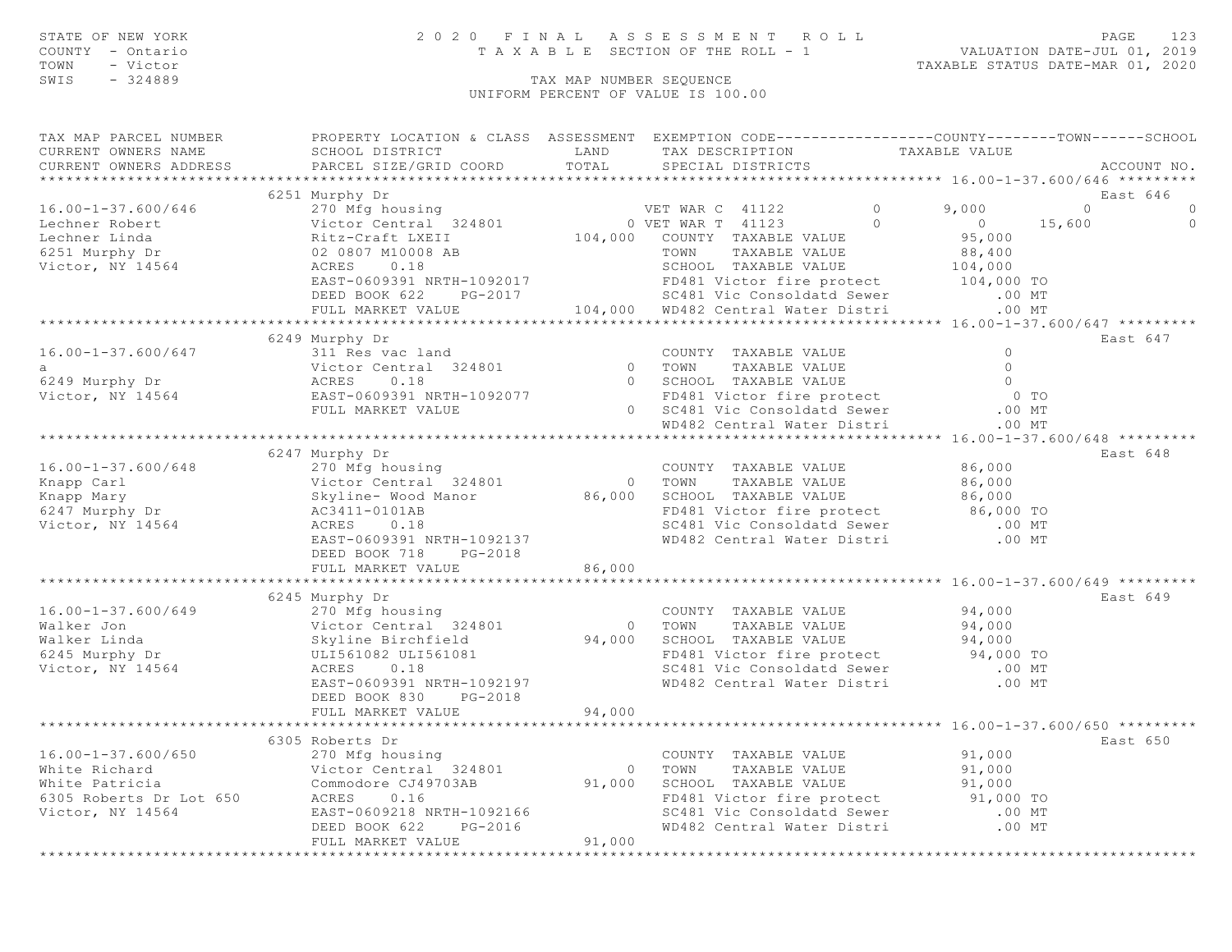| STATE OF NEW YORK | 2020 FINAL ASSESSMENT ROLL            | 123<br>PAGE                      |
|-------------------|---------------------------------------|----------------------------------|
| COUNTY - Ontario  | T A X A B L E SECTION OF THE ROLL - 1 | VALUATION DATE-JUL 01, 2019      |
| TOWN - Victor     |                                       | TAXABLE STATUS DATE-MAR 01, 2020 |
| SWIS - 324889     | TAX MAP NUMBER SEQUENCE               |                                  |

TAX MAP PARCEL NUMBER PROPERTY LOCATION & CLASS ASSESSMENT EXEMPTION CODE-----------------COUNTY-------TOWN------SCHOOL

| CURRENT OWNERS NAME                | SCHOOL DISTRICT                                                                                                                                                                                                                              | LAND   | TAX DESCRIPTION                                                                       | TAXABLE VALUE         |         |                |
|------------------------------------|----------------------------------------------------------------------------------------------------------------------------------------------------------------------------------------------------------------------------------------------|--------|---------------------------------------------------------------------------------------|-----------------------|---------|----------------|
| CURRENT OWNERS ADDRESS             | PARCEL SIZE/GRID COORD                                                                                                                                                                                                                       | TOTAL  | SPECIAL DISTRICTS                                                                     |                       |         | ACCOUNT NO.    |
|                                    |                                                                                                                                                                                                                                              |        |                                                                                       |                       |         |                |
|                                    | 6251 Murphy Dr                                                                                                                                                                                                                               |        |                                                                                       |                       |         | East 646       |
| 16.00-1-37.600/646                 | VET WAR C 41122<br>270 Mfg housing<br>Victor Central 324801<br>Ritz-Craft LXEII 104,000 COUNTY TAXABLE VAN C 20807 M10008 AB<br>ACRES 0.18<br>POWN TAXABLE VAN COUNTY TAXABLE VAN COUNTY TAXABLE VAN COUNTY<br>ACRES 0.18<br>POWN TAXABLE VA |        |                                                                                       | $0 \t 9,000$          | $\circ$ | $\overline{0}$ |
| Lechner Robert                     |                                                                                                                                                                                                                                              |        | $\sim$ 0                                                                              | $0 \t 15,600$         |         | $\Omega$       |
| Lechner Linda                      |                                                                                                                                                                                                                                              |        | 104,000 COUNTY TAXABLE VALUE                                                          | 95,000                |         |                |
|                                    |                                                                                                                                                                                                                                              |        | TAXABLE VALUE                                                                         |                       |         |                |
| 6251 Murphy Dr<br>Victor, NY 14564 |                                                                                                                                                                                                                                              |        | SCHOOL TAXABLE VALUE                                                                  | $88,400$<br>$104,000$ |         |                |
|                                    | EAST-0609391 NRTH-1092017                                                                                                                                                                                                                    |        |                                                                                       |                       |         |                |
|                                    | DEED BOOK 622 PG-2017                                                                                                                                                                                                                        |        | FD481 Victor fire protect 104,000 TO<br>SC481 Vic Consoldatd Sewer .00 MT             |                       |         |                |
|                                    | FULL MARKET VALUE 104,000 WD482 Central Water Distri                                                                                                                                                                                         |        |                                                                                       | $.00$ MT              |         |                |
|                                    |                                                                                                                                                                                                                                              |        |                                                                                       |                       |         |                |
|                                    | 6249 Murphy Dr                                                                                                                                                                                                                               |        |                                                                                       |                       |         | East 647       |
| 16.00-1-37.600/647                 | 311 Res vac land                                                                                                                                                                                                                             |        | COUNTY TAXABLE VALUE                                                                  | $\Omega$              |         |                |
| a                                  |                                                                                                                                                                                                                                              |        | TAXABLE VALUE                                                                         | $\overline{0}$        |         |                |
| 6249 Murphy Dr                     | Victor Central 324801 0 TOWN<br>ACRES 0.18 0 SCHOOL                                                                                                                                                                                          |        | 0 SCHOOL TAXABLE VALUE                                                                | $\overline{a}$        |         |                |
| Victor, NY 14564                   | EAST-0609391 NRTH-1092077<br>FULL MARKET VALUE                                                                                                                                                                                               |        | FD481 Victor fire protect<br>0 SC481 Vic Consoldatd Sewer                             | $0$ TO                |         |                |
|                                    |                                                                                                                                                                                                                                              |        |                                                                                       | $.00$ MT              |         |                |
|                                    |                                                                                                                                                                                                                                              |        | WD482 Central Water Distri                                                            | $.00$ MT              |         |                |
|                                    |                                                                                                                                                                                                                                              |        |                                                                                       |                       |         |                |
|                                    | 6247 Murphy Dr                                                                                                                                                                                                                               |        |                                                                                       |                       |         | East 648       |
| 16.00-1-37.600/648                 |                                                                                                                                                                                                                                              |        | COUNTY TAXABLE VALUE                                                                  | 86,000                |         |                |
| Knapp Carl                         |                                                                                                                                                                                                                                              | 0 TOWN | TAXABLE VALUE                                                                         | 86,000                |         |                |
| Knapp Mary                         |                                                                                                                                                                                                                                              |        |                                                                                       | 86,000                |         |                |
|                                    | A Wictor Central 324801<br>Victor Central 324801<br>Skyline- Wood Manor<br>AC3411-0101AB<br>ACRES 0.18                                                                                                                                       |        | 86,000 SCHOOL TAXABLE VALUE<br>FD481 Victor fire protect<br>SC481 Vic Consoldatd Sewe |                       |         |                |
| 6247 Murphy Dr<br>Victor, NY 14564 |                                                                                                                                                                                                                                              |        | FD481 Victor fire protect 86,000 TO<br>SC481 Vic Consoldatd Sewer .00 MT              |                       |         |                |
|                                    | EAST-0609391 NRTH-1092137                                                                                                                                                                                                                    |        | WD482 Central Water Distri                                                            | $.00$ MT              |         |                |
|                                    | DEED BOOK 718<br>PG-2018                                                                                                                                                                                                                     |        |                                                                                       |                       |         |                |
|                                    | FULL MARKET VALUE                                                                                                                                                                                                                            | 86,000 |                                                                                       |                       |         |                |
|                                    |                                                                                                                                                                                                                                              |        |                                                                                       |                       |         |                |
|                                    | 6245 Murphy Dr                                                                                                                                                                                                                               |        |                                                                                       |                       |         | East 649       |
| 16.00-1-37.600/649                 |                                                                                                                                                                                                                                              |        | COUNTY TAXABLE VALUE                                                                  | 94,000                |         |                |
| Walker Jon                         |                                                                                                                                                                                                                                              |        | 0 TOWN TAXABLE VALUE<br>94,000 SCHOOL TAXABLE VALUE                                   | 94,000                |         |                |
| Walker Linda                       |                                                                                                                                                                                                                                              |        |                                                                                       | 94,000                |         |                |
| 6245 Murphy Dr                     |                                                                                                                                                                                                                                              |        |                                                                                       |                       |         |                |
| Victor, NY 14564                   | 0243 Murphy Dr<br>270 Mfg housing<br>Victor Central 324801<br>Skyline Birchfield<br>ULI561082 ULI561081<br>ACRES 0.18                                                                                                                        |        | FD481 Victor fire protect 94,000 TO<br>SC481 Vic Consoldatd Sewer .00 MT              |                       |         |                |
|                                    | EAST-0609391 NRTH-1092197                                                                                                                                                                                                                    |        | WD482 Central Water Distri                                                            | $.00$ MT              |         |                |
|                                    | DEED BOOK 830<br>PG-2018                                                                                                                                                                                                                     |        |                                                                                       |                       |         |                |
|                                    | FULL MARKET VALUE                                                                                                                                                                                                                            | 94,000 |                                                                                       |                       |         |                |
|                                    |                                                                                                                                                                                                                                              |        |                                                                                       |                       |         |                |
|                                    | 6305 Roberts Dr                                                                                                                                                                                                                              |        |                                                                                       |                       |         | East 650       |
| 16.00-1-37.600/650                 | 270 Mfg housing                                                                                                                                                                                                                              |        | COUNTY TAXABLE VALUE                                                                  | 91,000                |         |                |
| White Richard                      |                                                                                                                                                                                                                                              |        | 0 TOWN<br>TAXABLE VALUE                                                               | 91,000                |         |                |
| White Patricia                     | Victor Central 324801<br>Commodore CJ49703AB                                                                                                                                                                                                 |        | 91,000 SCHOOL TAXABLE VALUE                                                           | 91,000                |         |                |
|                                    |                                                                                                                                                                                                                                              |        |                                                                                       |                       |         |                |
|                                    |                                                                                                                                                                                                                                              |        | FD481 Victor fire protect 91,000 TO<br>SC481 Vic Consoldatd Sewer .00 MT              |                       |         |                |
|                                    | DEED BOOK 622<br>PG-2016                                                                                                                                                                                                                     |        | WD482 Central Water Distri .00 MT                                                     |                       |         |                |
|                                    | FULL MARKET VALUE                                                                                                                                                                                                                            | 91,000 |                                                                                       |                       |         |                |
|                                    |                                                                                                                                                                                                                                              |        |                                                                                       |                       |         |                |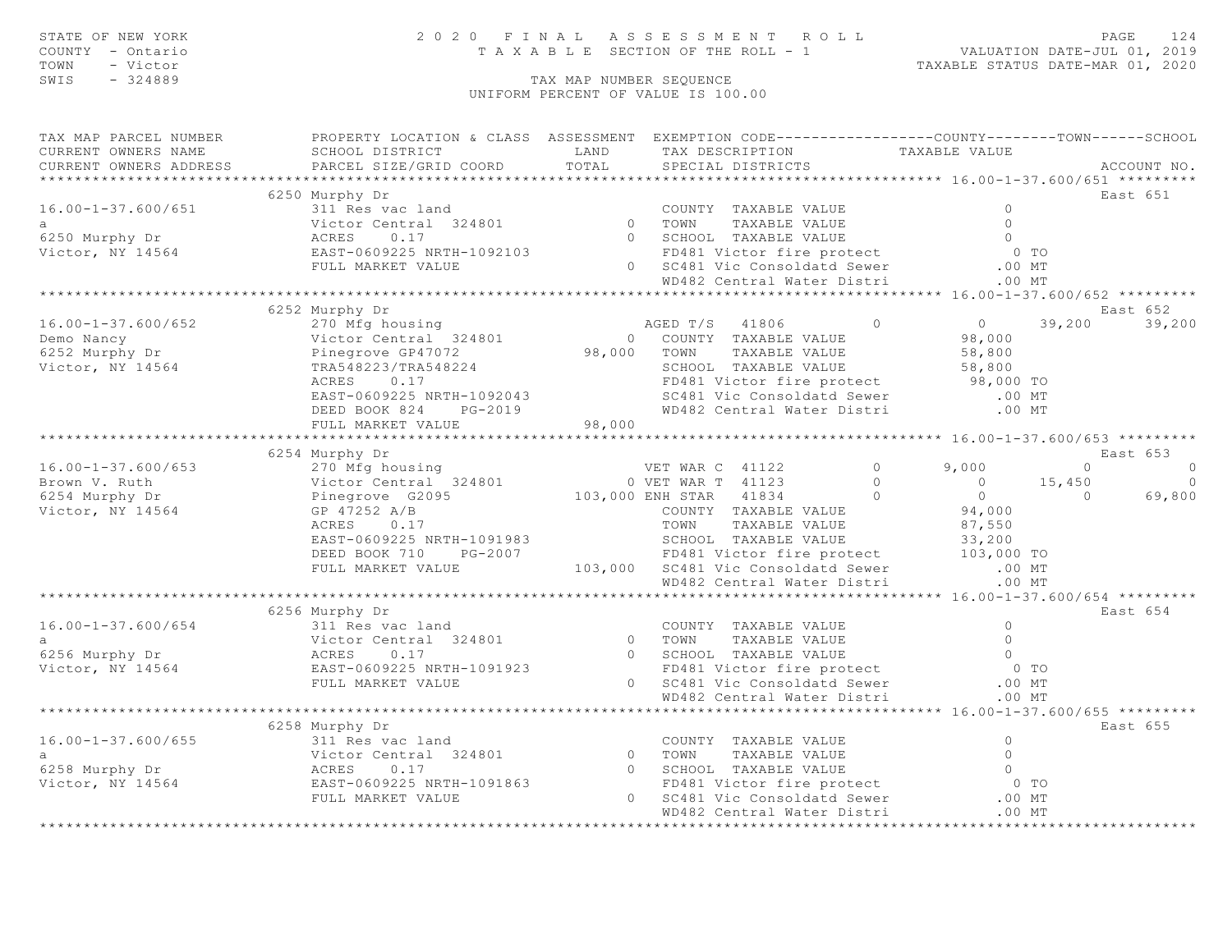| STATE OF NEW YORK<br>COUNTY - Ontario<br>TOWN - Victor<br>SWIS - 324889                                                                                                                                                                                                                         |                | 2020 FINAL ASSESSMENT ROLL PAGE 124<br>TAXABLE SECTION OF THE ROLL - 1<br>TAXABLE STATUS DATE-JUL 01, 2019<br>TAXABLE STATUS DATE-MAR 01, 2020 |          |
|-------------------------------------------------------------------------------------------------------------------------------------------------------------------------------------------------------------------------------------------------------------------------------------------------|----------------|------------------------------------------------------------------------------------------------------------------------------------------------|----------|
|                                                                                                                                                                                                                                                                                                 |                | UNIFORM PERCENT OF VALUE IS 100.00                                                                                                             |          |
|                                                                                                                                                                                                                                                                                                 |                |                                                                                                                                                |          |
|                                                                                                                                                                                                                                                                                                 |                |                                                                                                                                                |          |
|                                                                                                                                                                                                                                                                                                 |                |                                                                                                                                                |          |
|                                                                                                                                                                                                                                                                                                 | 6250 Murphy Dr |                                                                                                                                                | East 651 |
|                                                                                                                                                                                                                                                                                                 |                |                                                                                                                                                |          |
|                                                                                                                                                                                                                                                                                                 |                |                                                                                                                                                |          |
| 16.00-1-37.600/651<br>a<br>a<br>6250 Murphy Dr (COUNTY TAXABLE VALUE 0<br>6250 Murphy Dr (COUNTY PAXABLE VALUE 0<br>6250 Murphy Dr (COUNTY PAXABLE VALUE 0<br>6250 Murphy Dr (COUNTY PAXABLE VALUE 0<br>6250 Murphy Dr (COUNTY PAXABLE VAL                                                      |                |                                                                                                                                                |          |
|                                                                                                                                                                                                                                                                                                 |                |                                                                                                                                                |          |
|                                                                                                                                                                                                                                                                                                 |                |                                                                                                                                                |          |
|                                                                                                                                                                                                                                                                                                 |                |                                                                                                                                                |          |
|                                                                                                                                                                                                                                                                                                 |                |                                                                                                                                                |          |
|                                                                                                                                                                                                                                                                                                 |                |                                                                                                                                                |          |
|                                                                                                                                                                                                                                                                                                 |                |                                                                                                                                                |          |
|                                                                                                                                                                                                                                                                                                 |                |                                                                                                                                                |          |
|                                                                                                                                                                                                                                                                                                 |                |                                                                                                                                                |          |
|                                                                                                                                                                                                                                                                                                 |                |                                                                                                                                                |          |
| $\begin{array}{cccccccc} \text{16.00-1-37.600/653} & \text{6254 Murphy Dr} & \text{VET WAR C} & 41122 & 0 & 9,000 & 0 & 0.0011 & 0.0011 & 0.0011 & 0.0011 & 0.0011 & 0.0011 & 0.0011 & 0.0011 & 0.0011 & 0.0011 & 0.0011 & 0.0011 & 0.0011 & 0.0011 & 0.0011 & 0.0011 & 0.0011 & 0.0011 & 0.00$ |                |                                                                                                                                                |          |
|                                                                                                                                                                                                                                                                                                 |                |                                                                                                                                                |          |
|                                                                                                                                                                                                                                                                                                 |                |                                                                                                                                                |          |
|                                                                                                                                                                                                                                                                                                 |                |                                                                                                                                                |          |
|                                                                                                                                                                                                                                                                                                 |                |                                                                                                                                                |          |
|                                                                                                                                                                                                                                                                                                 |                |                                                                                                                                                |          |
|                                                                                                                                                                                                                                                                                                 |                |                                                                                                                                                |          |
|                                                                                                                                                                                                                                                                                                 |                |                                                                                                                                                |          |
|                                                                                                                                                                                                                                                                                                 | 6256 Murphy Dr |                                                                                                                                                | East 654 |
|                                                                                                                                                                                                                                                                                                 |                |                                                                                                                                                |          |
|                                                                                                                                                                                                                                                                                                 |                |                                                                                                                                                |          |
|                                                                                                                                                                                                                                                                                                 |                |                                                                                                                                                |          |
|                                                                                                                                                                                                                                                                                                 |                |                                                                                                                                                |          |
|                                                                                                                                                                                                                                                                                                 |                |                                                                                                                                                |          |
|                                                                                                                                                                                                                                                                                                 |                |                                                                                                                                                |          |
|                                                                                                                                                                                                                                                                                                 |                |                                                                                                                                                | East 655 |
|                                                                                                                                                                                                                                                                                                 |                |                                                                                                                                                |          |
|                                                                                                                                                                                                                                                                                                 |                |                                                                                                                                                |          |
|                                                                                                                                                                                                                                                                                                 |                |                                                                                                                                                |          |
|                                                                                                                                                                                                                                                                                                 |                |                                                                                                                                                |          |
|                                                                                                                                                                                                                                                                                                 |                |                                                                                                                                                |          |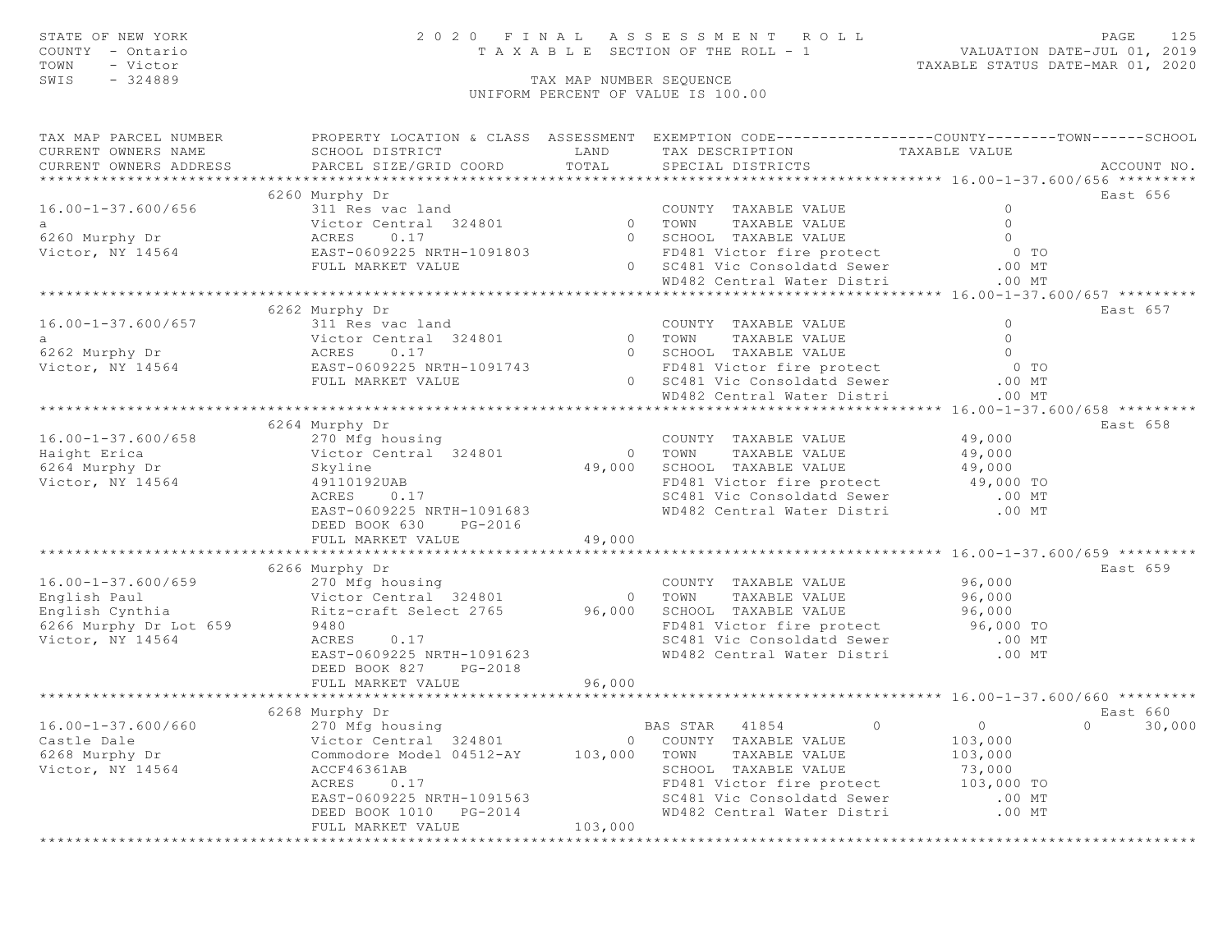| STATE OF NEW YORK<br>COUNTY - Ontario<br>TOWN<br>- Victor |                                                                                                                                                                                                                                         |                         | 2020 FINAL ASSESSMENT ROLL<br>TAXABLE SECTION OF THE ROLL - 1 VALUATION DATE-JUL 01, 2019                                                              | TAXABLE STATUS DATE-MAR 01, 2020 | PAGE<br>125   |
|-----------------------------------------------------------|-----------------------------------------------------------------------------------------------------------------------------------------------------------------------------------------------------------------------------------------|-------------------------|--------------------------------------------------------------------------------------------------------------------------------------------------------|----------------------------------|---------------|
| SWIS<br>$-324889$                                         |                                                                                                                                                                                                                                         | TAX MAP NUMBER SEQUENCE |                                                                                                                                                        |                                  |               |
|                                                           |                                                                                                                                                                                                                                         |                         | UNIFORM PERCENT OF VALUE IS 100.00                                                                                                                     |                                  |               |
|                                                           |                                                                                                                                                                                                                                         |                         |                                                                                                                                                        |                                  |               |
|                                                           |                                                                                                                                                                                                                                         |                         |                                                                                                                                                        |                                  |               |
| TAX MAP PARCEL NUMBER                                     | PROPERTY LOCATION & CLASS ASSESSMENT EXEMPTION CODE----------------COUNTY-------TOWN------SCHOOL                                                                                                                                        |                         |                                                                                                                                                        |                                  |               |
| CURRENT OWNERS NAME                                       | SCHOOL DISTRICT                 LAND         TAX DESCRIPTION                   TAXABLE VALUE PARCEL SIZE/GRID COORD           TOTAL       SPECIAL DISTRICTS                                                                             |                         |                                                                                                                                                        |                                  |               |
| CURRENT OWNERS ADDRESS                                    |                                                                                                                                                                                                                                         |                         |                                                                                                                                                        |                                  | ACCOUNT NO.   |
|                                                           |                                                                                                                                                                                                                                         |                         |                                                                                                                                                        |                                  |               |
|                                                           | 6260 Murphy Dr                                                                                                                                                                                                                          |                         |                                                                                                                                                        |                                  | East 656      |
|                                                           | 16.00-1-37.600/656<br>31 Res vac land<br>324801 0 TOWN TAXABLE VALUE<br>6260 Murphy Dr ACRES 0.17 0 SCHOOL TAXABLE VALUE<br>Victor, NY 14564 EAST-0609225 NRTH-1091803 PD481 Victor fire protect 0 TO<br>FULL MARKET VALUE 0 SC481 Vict |                         |                                                                                                                                                        |                                  |               |
|                                                           |                                                                                                                                                                                                                                         |                         |                                                                                                                                                        |                                  |               |
|                                                           |                                                                                                                                                                                                                                         |                         |                                                                                                                                                        |                                  |               |
|                                                           |                                                                                                                                                                                                                                         |                         |                                                                                                                                                        |                                  |               |
|                                                           |                                                                                                                                                                                                                                         |                         |                                                                                                                                                        |                                  |               |
|                                                           |                                                                                                                                                                                                                                         |                         |                                                                                                                                                        |                                  |               |
|                                                           |                                                                                                                                                                                                                                         |                         |                                                                                                                                                        |                                  |               |
|                                                           | 311 Res vac land<br>Victor Central 324801 (COUNTY TAXABLE VALUE<br>ACRES 0.17                                                                                                                                                           |                         |                                                                                                                                                        | $\Omega$                         | East 657      |
| $16.00 - 1 - 37.600 / 657$                                |                                                                                                                                                                                                                                         |                         |                                                                                                                                                        | $\bigcirc$                       |               |
| $\alpha$                                                  |                                                                                                                                                                                                                                         |                         | TAXABLE VALUE                                                                                                                                          |                                  |               |
|                                                           |                                                                                                                                                                                                                                         |                         |                                                                                                                                                        |                                  |               |
|                                                           |                                                                                                                                                                                                                                         |                         |                                                                                                                                                        |                                  |               |
|                                                           |                                                                                                                                                                                                                                         |                         |                                                                                                                                                        |                                  |               |
|                                                           |                                                                                                                                                                                                                                         |                         |                                                                                                                                                        |                                  |               |
|                                                           | 6264 Murphy Dr                                                                                                                                                                                                                          |                         |                                                                                                                                                        |                                  | East 658      |
|                                                           |                                                                                                                                                                                                                                         |                         |                                                                                                                                                        |                                  |               |
|                                                           |                                                                                                                                                                                                                                         |                         | COUNTY TAXABLE VALUE 49,000<br>TOWN TAXABLE VALUE 49,000                                                                                               |                                  |               |
|                                                           |                                                                                                                                                                                                                                         |                         |                                                                                                                                                        |                                  |               |
| Victor, NY 14564                                          | 16.00-1-37.600/658 270 Mfg housing COUNT<br>Haight Erica Victor Central 324801 0 TOWN<br>6264 Murphy Dr Skyline 324801 49,000 SCHOO<br>Victor, NY 14564 49110192UAB 7D481<br>49110192UAB                                                |                         |                                                                                                                                                        |                                  |               |
|                                                           | ACRES<br>0.17                                                                                                                                                                                                                           |                         |                                                                                                                                                        |                                  |               |
|                                                           | EAST-0609225 NRTH-1091683                                                                                                                                                                                                               |                         | 49,000 SCHOOL TAXABLE VALUE 49,000 TO<br>FD481 Victor fire protect 49,000 TO<br>SC481 Vic Consoldatd Sewer .00 MT<br>WD482 Central Water Distri .00 MT |                                  |               |
|                                                           | DEED BOOK 630 PG-2016                                                                                                                                                                                                                   |                         |                                                                                                                                                        |                                  |               |
|                                                           |                                                                                                                                                                                                                                         |                         |                                                                                                                                                        |                                  |               |
|                                                           |                                                                                                                                                                                                                                         |                         |                                                                                                                                                        |                                  |               |
|                                                           | 6266 Murphy Dr                                                                                                                                                                                                                          |                         |                                                                                                                                                        |                                  | East 659      |
|                                                           |                                                                                                                                                                                                                                         |                         | COUNTY TAXABLE VALUE 96,000                                                                                                                            |                                  |               |
|                                                           |                                                                                                                                                                                                                                         |                         |                                                                                                                                                        | 96,000                           |               |
|                                                           |                                                                                                                                                                                                                                         |                         |                                                                                                                                                        | 96,000                           |               |
| $6266$ Murphy Dr Lot $659$ 9480                           |                                                                                                                                                                                                                                         |                         |                                                                                                                                                        |                                  |               |
| Victor, NY 14564                                          | 0.17<br>ACRES                                                                                                                                                                                                                           |                         |                                                                                                                                                        |                                  |               |
|                                                           | EAST-0609225 NRTH-1091623                                                                                                                                                                                                               |                         | FD481 Victor fire protect<br>SC481 Vic Consoldatd Sewer .00 MT<br>WD482 Central Water Distri .00 MT                                                    |                                  |               |
|                                                           | DEED BOOK 827 PG-2018                                                                                                                                                                                                                   |                         |                                                                                                                                                        |                                  |               |
|                                                           |                                                                                                                                                                                                                                         |                         |                                                                                                                                                        |                                  |               |
|                                                           |                                                                                                                                                                                                                                         |                         |                                                                                                                                                        |                                  |               |
|                                                           | 6268 Murphy Dr                                                                                                                                                                                                                          |                         |                                                                                                                                                        |                                  | East 660      |
| $16.00 - 1 - 37.600 / 660$                                |                                                                                                                                                                                                                                         |                         |                                                                                                                                                        |                                  | $0 \t 30,000$ |
| Castle Dale                                               | Victor Central 324801                                                                                                                                                                                                                   | 0                       | COUNTY TAXABLE VALUE                                                                                                                                   | 103,000                          |               |
| 6268 Murphy Dr                                            | Commodore Model 04512-AY                                                                                                                                                                                                                | 103,000                 | TOWN<br>TAXABLE VALUE                                                                                                                                  | 103,000                          |               |
| Victor, NY 14564                                          | ACCF46361AB                                                                                                                                                                                                                             |                         | SCHOOL TAXABLE VALUE                                                                                                                                   | 73,000                           |               |
|                                                           | ACRES<br>0.17                                                                                                                                                                                                                           |                         | FD481 Victor fire protect                                                                                                                              | 103,000 TO                       |               |
|                                                           | EAST-0609225 NRTH-1091563                                                                                                                                                                                                               |                         | SC481 Vic Consoldatd Sewer                                                                                                                             | $.00$ MT                         |               |
|                                                           | DEED BOOK 1010<br>PG-2014                                                                                                                                                                                                               |                         | WD482 Central Water Distri                                                                                                                             | $.00$ MT                         |               |
|                                                           | FULL MARKET VALUE                                                                                                                                                                                                                       | 103,000                 |                                                                                                                                                        |                                  |               |
|                                                           |                                                                                                                                                                                                                                         |                         |                                                                                                                                                        |                                  |               |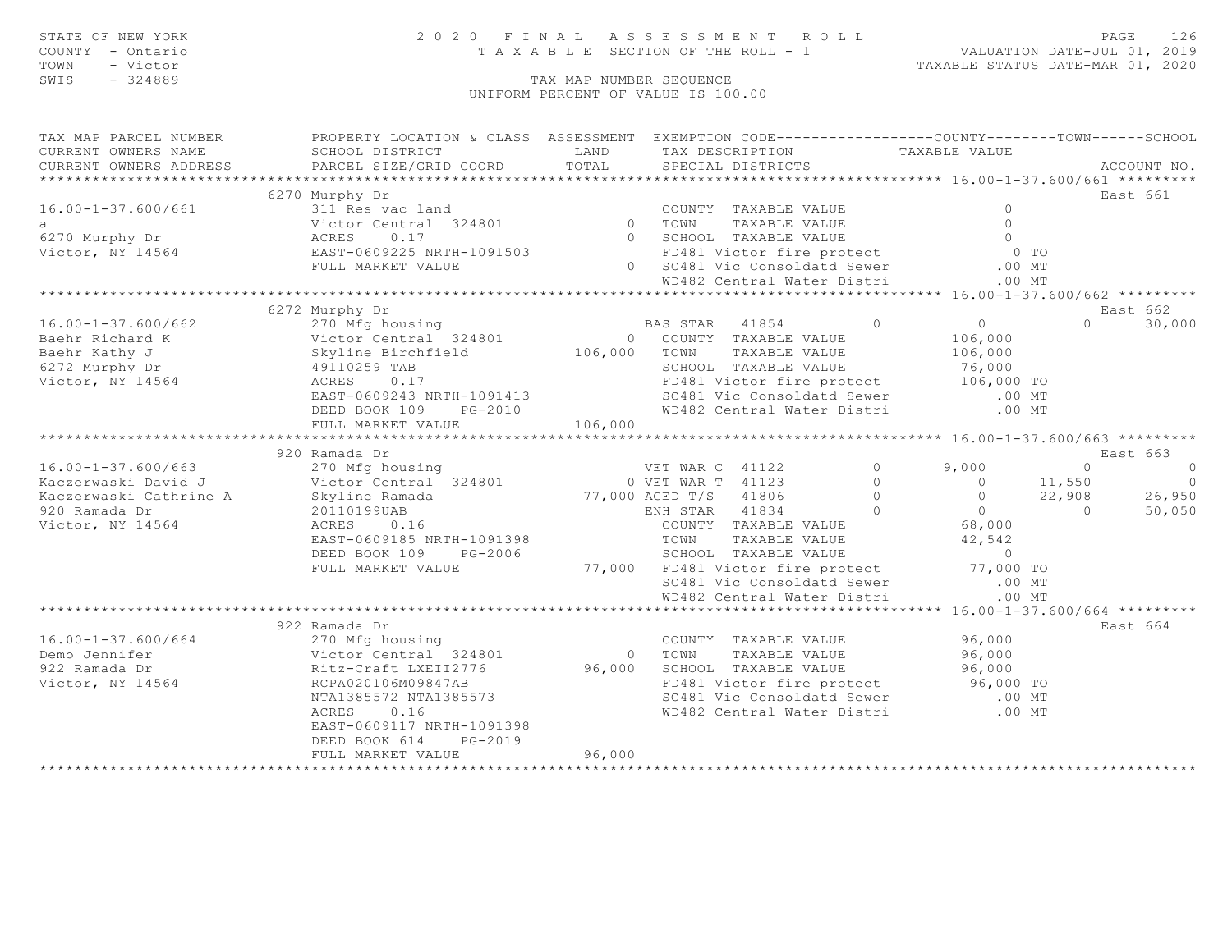| PAGE 126<br>TAXABLE SECTION OF THE ROLL - 1 VALUATION DATE-JUL 01, 2019<br>TAXABLE STATUS DATE-MAR 01, 2020<br>SWIS - 324889<br>TAX MAP NUMBER SEQUENCE<br>UNIFORM PERCENT OF VALUE IS 100.00<br>TAX MAP PARCEL NUMBER TEROPERTY LOCATION & CLASS ASSESSMENT EXEMPTION CODE---------------COUNTY-------TOWN------SCHOOL<br>TAXABLE VALUE<br>CURRENT OWNERS NAME<br>SCHOOL DISTRICT TAND TAX DESCRIPTION<br>TOTAL<br>CURRENT OWNERS ADDRESS<br>PARCEL SIZE/GRID COORD<br>SPECIAL DISTRICTS<br>ACCOUNT NO.<br>6270 Murphy Dr<br>East 661<br>6272 Murphy Dr<br>East 662<br>$\Omega$<br>30,000 | 126 |
|--------------------------------------------------------------------------------------------------------------------------------------------------------------------------------------------------------------------------------------------------------------------------------------------------------------------------------------------------------------------------------------------------------------------------------------------------------------------------------------------------------------------------------------------------------------------------------------------|-----|
|                                                                                                                                                                                                                                                                                                                                                                                                                                                                                                                                                                                            |     |
|                                                                                                                                                                                                                                                                                                                                                                                                                                                                                                                                                                                            |     |
|                                                                                                                                                                                                                                                                                                                                                                                                                                                                                                                                                                                            |     |
|                                                                                                                                                                                                                                                                                                                                                                                                                                                                                                                                                                                            |     |
|                                                                                                                                                                                                                                                                                                                                                                                                                                                                                                                                                                                            |     |
|                                                                                                                                                                                                                                                                                                                                                                                                                                                                                                                                                                                            |     |
|                                                                                                                                                                                                                                                                                                                                                                                                                                                                                                                                                                                            |     |
|                                                                                                                                                                                                                                                                                                                                                                                                                                                                                                                                                                                            |     |
|                                                                                                                                                                                                                                                                                                                                                                                                                                                                                                                                                                                            |     |
|                                                                                                                                                                                                                                                                                                                                                                                                                                                                                                                                                                                            |     |
|                                                                                                                                                                                                                                                                                                                                                                                                                                                                                                                                                                                            |     |
|                                                                                                                                                                                                                                                                                                                                                                                                                                                                                                                                                                                            |     |
|                                                                                                                                                                                                                                                                                                                                                                                                                                                                                                                                                                                            |     |
|                                                                                                                                                                                                                                                                                                                                                                                                                                                                                                                                                                                            |     |
|                                                                                                                                                                                                                                                                                                                                                                                                                                                                                                                                                                                            |     |
|                                                                                                                                                                                                                                                                                                                                                                                                                                                                                                                                                                                            |     |
|                                                                                                                                                                                                                                                                                                                                                                                                                                                                                                                                                                                            |     |
|                                                                                                                                                                                                                                                                                                                                                                                                                                                                                                                                                                                            |     |
|                                                                                                                                                                                                                                                                                                                                                                                                                                                                                                                                                                                            |     |
|                                                                                                                                                                                                                                                                                                                                                                                                                                                                                                                                                                                            |     |
|                                                                                                                                                                                                                                                                                                                                                                                                                                                                                                                                                                                            |     |
|                                                                                                                                                                                                                                                                                                                                                                                                                                                                                                                                                                                            |     |
|                                                                                                                                                                                                                                                                                                                                                                                                                                                                                                                                                                                            |     |
|                                                                                                                                                                                                                                                                                                                                                                                                                                                                                                                                                                                            |     |
|                                                                                                                                                                                                                                                                                                                                                                                                                                                                                                                                                                                            |     |
| 920 Ramada Dr<br>East 663                                                                                                                                                                                                                                                                                                                                                                                                                                                                                                                                                                  |     |
|                                                                                                                                                                                                                                                                                                                                                                                                                                                                                                                                                                                            |     |
|                                                                                                                                                                                                                                                                                                                                                                                                                                                                                                                                                                                            |     |
|                                                                                                                                                                                                                                                                                                                                                                                                                                                                                                                                                                                            |     |
|                                                                                                                                                                                                                                                                                                                                                                                                                                                                                                                                                                                            |     |
|                                                                                                                                                                                                                                                                                                                                                                                                                                                                                                                                                                                            |     |
|                                                                                                                                                                                                                                                                                                                                                                                                                                                                                                                                                                                            |     |
|                                                                                                                                                                                                                                                                                                                                                                                                                                                                                                                                                                                            |     |
|                                                                                                                                                                                                                                                                                                                                                                                                                                                                                                                                                                                            |     |
|                                                                                                                                                                                                                                                                                                                                                                                                                                                                                                                                                                                            |     |
|                                                                                                                                                                                                                                                                                                                                                                                                                                                                                                                                                                                            |     |
| 922 Ramada Dr<br>East 664                                                                                                                                                                                                                                                                                                                                                                                                                                                                                                                                                                  |     |
| COUNTY TAXABLE VALUE 96,000<br>TOWN TAXABLE VALUE 96,000                                                                                                                                                                                                                                                                                                                                                                                                                                                                                                                                   |     |
|                                                                                                                                                                                                                                                                                                                                                                                                                                                                                                                                                                                            |     |
|                                                                                                                                                                                                                                                                                                                                                                                                                                                                                                                                                                                            |     |
|                                                                                                                                                                                                                                                                                                                                                                                                                                                                                                                                                                                            |     |
|                                                                                                                                                                                                                                                                                                                                                                                                                                                                                                                                                                                            |     |
| 16.00-1-37.600/664<br>96,000<br>Demo Jennifer Wictor (Marchestral 324801 Victor Central 324801 Victor Central 324801 Victor (Marchestral State<br>96,000 SCHOOL TAXABLE VALUE 96,000<br>Victor, NY 14564 RCPA020106M09847AB RCPA020106                                                                                                                                                                                                                                                                                                                                                     |     |
| EAST-0609117 NRTH-1091398                                                                                                                                                                                                                                                                                                                                                                                                                                                                                                                                                                  |     |
| DEED BOOK 614<br>PG-2019                                                                                                                                                                                                                                                                                                                                                                                                                                                                                                                                                                   |     |
| 96,000<br>FULL MARKET VALUE                                                                                                                                                                                                                                                                                                                                                                                                                                                                                                                                                                |     |
|                                                                                                                                                                                                                                                                                                                                                                                                                                                                                                                                                                                            |     |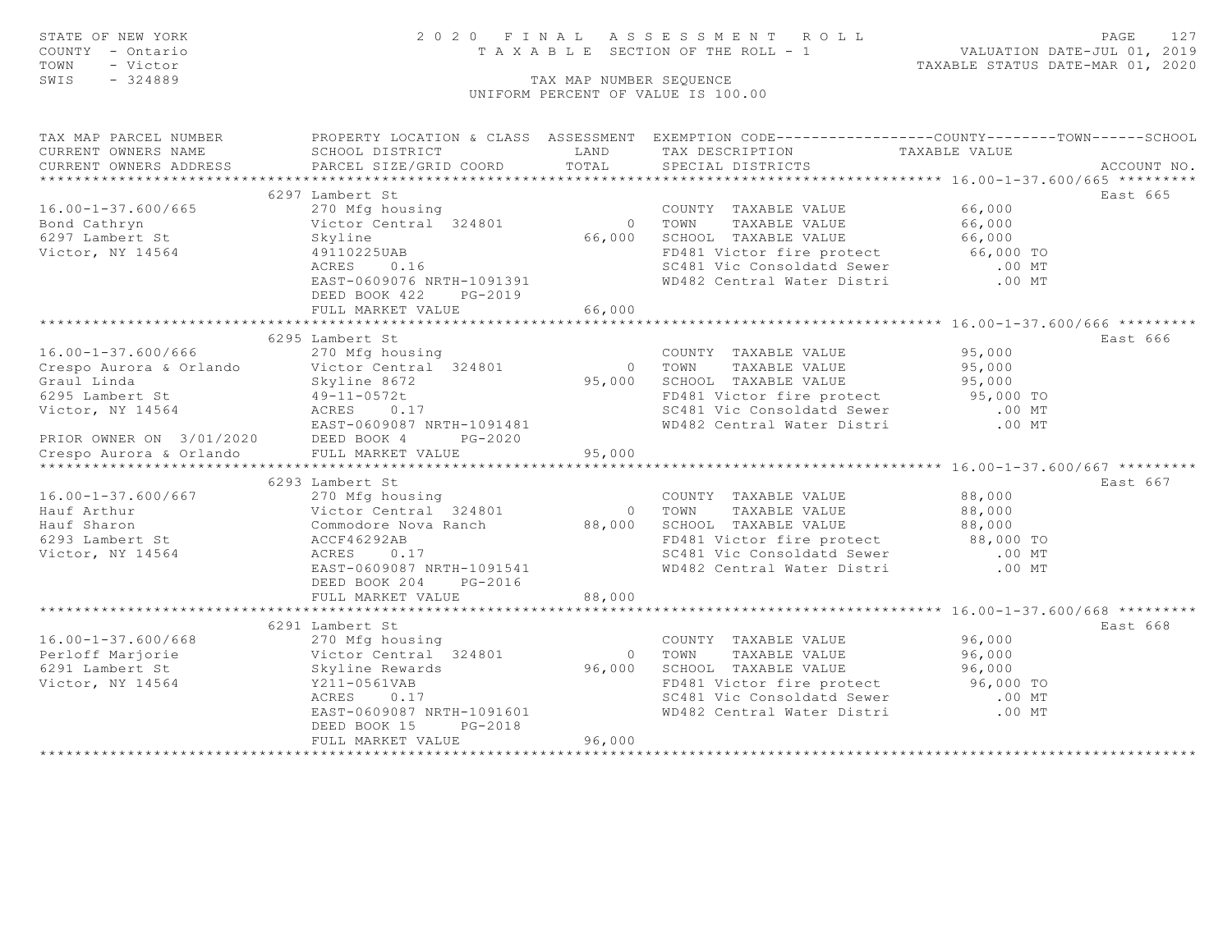| STATE OF NEW YORK                                                                                                                                                                                                                                 |                           |                         | 2020 FINAL ASSESSMENT ROLL                                                                                                                                                       |                  | PAGE<br>127 |
|---------------------------------------------------------------------------------------------------------------------------------------------------------------------------------------------------------------------------------------------------|---------------------------|-------------------------|----------------------------------------------------------------------------------------------------------------------------------------------------------------------------------|------------------|-------------|
| COUNTY - Ontario<br>- Victor                                                                                                                                                                                                                      |                           |                         |                                                                                                                                                                                  |                  |             |
| TOWN<br>SWIS<br>$-324889$                                                                                                                                                                                                                         |                           | TAX MAP NUMBER SEQUENCE |                                                                                                                                                                                  |                  |             |
|                                                                                                                                                                                                                                                   |                           |                         | UNIFORM PERCENT OF VALUE IS 100.00                                                                                                                                               |                  |             |
|                                                                                                                                                                                                                                                   |                           |                         |                                                                                                                                                                                  |                  |             |
|                                                                                                                                                                                                                                                   |                           |                         |                                                                                                                                                                                  |                  |             |
| TAX MAP PARCEL NUMBER BOPERTY LOCATION & CLASS ASSESSMENT EXEMPTION CODE---------------COUNTY-------TOWN------SCHOOL                                                                                                                              |                           |                         |                                                                                                                                                                                  |                  |             |
| CURRENT OWNERS NAME                                                                                                                                                                                                                               | SCHOOL DISTRICT           |                         | LAND TAX DESCRIPTION                                                                                                                                                             | TAXABLE VALUE    |             |
| CURRENT OWNERS ADDRESS                                                                                                                                                                                                                            | PARCEL SIZE/GRID COORD    | TOTAL                   | SPECIAL DISTRICTS                                                                                                                                                                |                  | ACCOUNT NO. |
|                                                                                                                                                                                                                                                   |                           |                         |                                                                                                                                                                                  |                  |             |
|                                                                                                                                                                                                                                                   | 6297 Lambert St           |                         | Lambert St<br>270 Mfg housing<br>Victor Central 324801 0 TOWN TAXABLE VALUE 66,000<br>Skyline 66,000 SCHOOL TAXABLE VALUE 66,000 TO<br>FDAR1 Victor fire protect 66,000 TO       |                  | East 665    |
| $16.00 - 1 - 37.600 / 665$                                                                                                                                                                                                                        |                           |                         |                                                                                                                                                                                  |                  |             |
| Bond Cathryn                                                                                                                                                                                                                                      |                           |                         |                                                                                                                                                                                  |                  |             |
| 6297 Lambert St                                                                                                                                                                                                                                   |                           |                         |                                                                                                                                                                                  |                  |             |
| Victor, NY 14564                                                                                                                                                                                                                                  | 49110225UAB               |                         | SCHOOL TAXADLE VILLE<br>FD481 Victor fire protect 66,000 TO<br>SC481 Vic Consoldatd Sewer 00 MT<br>Mater Distri 00 MT                                                            |                  |             |
|                                                                                                                                                                                                                                                   | 0.16<br>ACRES             |                         |                                                                                                                                                                                  |                  |             |
|                                                                                                                                                                                                                                                   | EAST-0609076 NRTH-1091391 |                         | WD482 Central Water Distri                                                                                                                                                       |                  |             |
|                                                                                                                                                                                                                                                   | DEED BOOK 422<br>PG-2019  |                         |                                                                                                                                                                                  |                  |             |
|                                                                                                                                                                                                                                                   | FULL MARKET VALUE         | 66,000                  |                                                                                                                                                                                  |                  |             |
|                                                                                                                                                                                                                                                   |                           |                         |                                                                                                                                                                                  |                  |             |
|                                                                                                                                                                                                                                                   | 6295 Lambert St           |                         |                                                                                                                                                                                  |                  | East 666    |
| 16.00-1-37.600/666 270 Mfg housing<br>Crespo Aurora & Orlando Victor Central 324801                                                                                                                                                               |                           |                         | COUNTY TAXABLE VALUE                                                                                                                                                             | 95,000<br>95,000 |             |
|                                                                                                                                                                                                                                                   |                           | 0 TOWN                  | TAXABLE VALUE                                                                                                                                                                    |                  |             |
|                                                                                                                                                                                                                                                   |                           |                         |                                                                                                                                                                                  |                  |             |
|                                                                                                                                                                                                                                                   |                           |                         | 95,000 SCHOOL TAXABLE VALUE 95,000<br>FD481 Victor fire protect 95,000 TO                                                                                                        |                  |             |
|                                                                                                                                                                                                                                                   |                           |                         | SC481 Vic Consoldatd Sewer .00 MT<br>WD482 Central Water Distri .00 MT                                                                                                           |                  |             |
|                                                                                                                                                                                                                                                   |                           |                         |                                                                                                                                                                                  |                  |             |
|                                                                                                                                                                                                                                                   |                           |                         |                                                                                                                                                                                  |                  |             |
| Craul Linda<br>Skyline 8672<br>6295 Lambert St<br>Victor, NY 14564<br>PRIOR OWNER ON 3/01/2020<br>PRIOR OWNER ON 3/01/2020<br>Crespo Aurora & Orlando FULL MARKET VALUE<br>THE MARKET VALUE<br>THE MARKET VALUE<br>THE MARKET VALUE<br>THE MARKET |                           | 95,000                  |                                                                                                                                                                                  |                  |             |
|                                                                                                                                                                                                                                                   |                           |                         |                                                                                                                                                                                  |                  |             |
|                                                                                                                                                                                                                                                   | 6293 Lambert St           |                         |                                                                                                                                                                                  |                  | East 667    |
| 16.00-1-37.600/667<br>Hauf Arthur Victor Central 324801<br>Hauf Sharon Commodore Nova Ranch<br>6293 Lambert St (ACCF46292AB<br>Victor, NY 14564<br>ACRES 0.17                                                                                     |                           |                         | COUNTY TAXABLE VALUE                                                                                                                                                             | 88,000           |             |
|                                                                                                                                                                                                                                                   |                           | 0 TOWN                  | TAXABLE VALUE                         88,000<br>TAXABLE VALUE                    88,000                                                                                          |                  |             |
|                                                                                                                                                                                                                                                   |                           |                         |                                                                                                                                                                                  |                  |             |
|                                                                                                                                                                                                                                                   |                           |                         | 88,000 SCHOOL TAXABLE VALUE 88,000<br>FD481 Victor fire protect 88,000 TO<br>SC481 Vic Consoldatd Sewer .00 MT                                                                   |                  |             |
|                                                                                                                                                                                                                                                   |                           |                         |                                                                                                                                                                                  |                  |             |
|                                                                                                                                                                                                                                                   | EAST-0609087 NRTH-1091541 |                         | WD482 Central Water Distri .00 MT                                                                                                                                                |                  |             |
|                                                                                                                                                                                                                                                   | DEED BOOK 204 PG-2016     |                         |                                                                                                                                                                                  |                  |             |
|                                                                                                                                                                                                                                                   | FULL MARKET VALUE         | 88,000                  |                                                                                                                                                                                  |                  |             |
|                                                                                                                                                                                                                                                   |                           |                         |                                                                                                                                                                                  |                  |             |
|                                                                                                                                                                                                                                                   | 6291 Lambert St           |                         |                                                                                                                                                                                  |                  | East 668    |
|                                                                                                                                                                                                                                                   |                           |                         | COUNTY TAXABLE VALUE 96,000                                                                                                                                                      |                  |             |
| 16.00-1-37.600/668<br>Perloff Marjorie 3270 Mfg housing<br>6291 Lambert St Skyline Rewards<br>Victor, NY 14564<br>14564<br>Contrast Skyline Rewards<br>2211-0561VAB                                                                               |                           |                         | 96,000 TOWN TAXABLE VALUE 96,000 SCHOOL TAXABLE VALUE 96,000 TO<br>FD481 Victor fire protect 96,000 TO<br>SC481 Vic Consoldatd Sewer .00 MT<br>TR482 Central Water Distri .00 MT |                  |             |
|                                                                                                                                                                                                                                                   |                           |                         |                                                                                                                                                                                  |                  |             |
|                                                                                                                                                                                                                                                   |                           |                         |                                                                                                                                                                                  |                  |             |
|                                                                                                                                                                                                                                                   | ACRES<br>0.17             |                         |                                                                                                                                                                                  |                  |             |
|                                                                                                                                                                                                                                                   | EAST-0609087 NRTH-1091601 |                         |                                                                                                                                                                                  |                  |             |
|                                                                                                                                                                                                                                                   | DEED BOOK 15<br>PG-2018   |                         |                                                                                                                                                                                  |                  |             |
|                                                                                                                                                                                                                                                   | FULL MARKET VALUE         | 96,000                  |                                                                                                                                                                                  |                  |             |
|                                                                                                                                                                                                                                                   |                           |                         |                                                                                                                                                                                  |                  |             |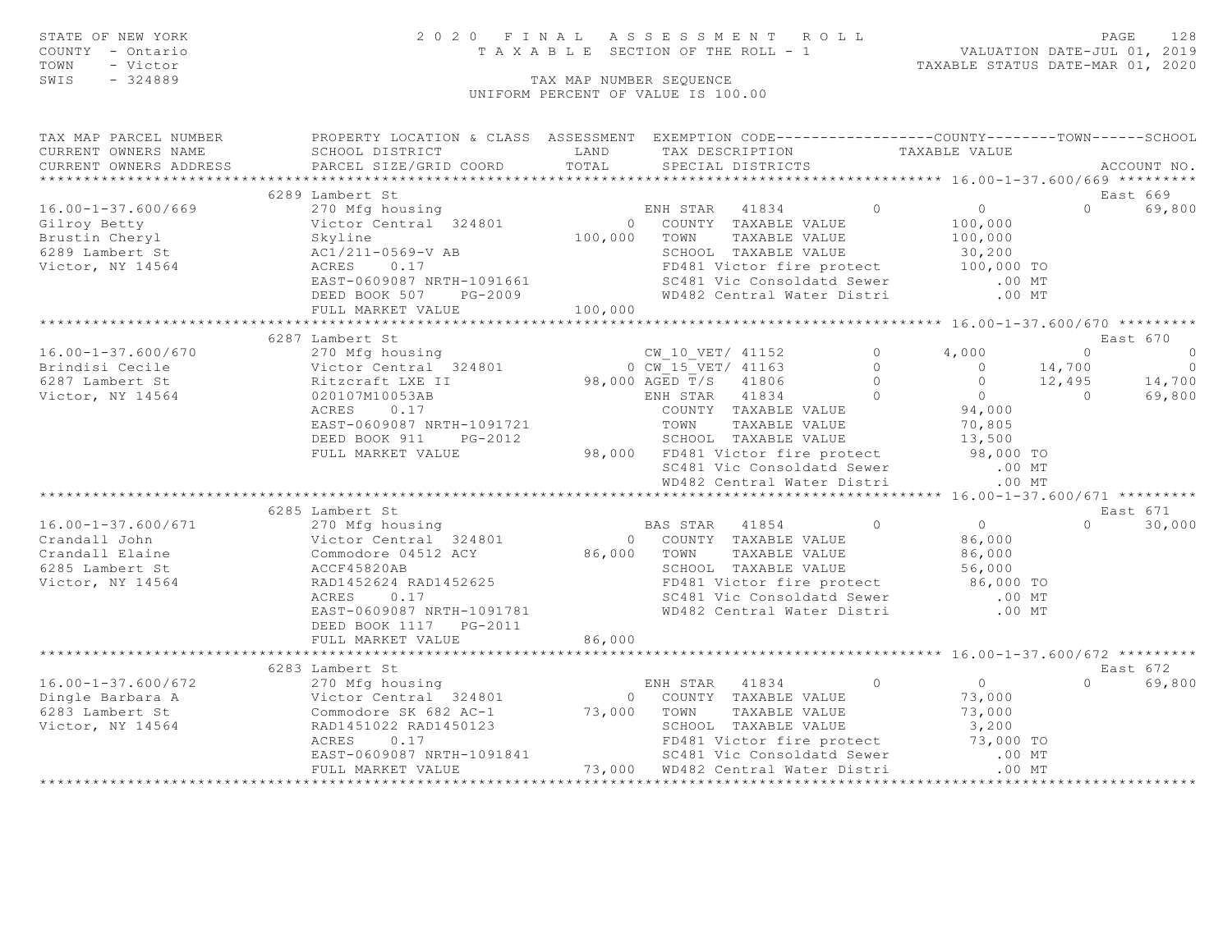| STATE OF NEW YORK<br>COUNTY - Ontario<br>TOWN<br>- Victor |                                                                                                                        |                         | 2020 FINAL ASSESSMENT ROLL<br>T A X A B L E SECTION OF THE ROLL - 1                                                                                                                                                                                                                               | VALUATION DATE-JUL 01, 2019<br>TAXABLE STATUS DATE-MAR 01, 2020 | PAGE     | 128                |
|-----------------------------------------------------------|------------------------------------------------------------------------------------------------------------------------|-------------------------|---------------------------------------------------------------------------------------------------------------------------------------------------------------------------------------------------------------------------------------------------------------------------------------------------|-----------------------------------------------------------------|----------|--------------------|
| SWIS<br>$-324889$                                         |                                                                                                                        | TAX MAP NUMBER SEOUENCE | UNIFORM PERCENT OF VALUE IS 100.00                                                                                                                                                                                                                                                                |                                                                 |          |                    |
|                                                           |                                                                                                                        |                         |                                                                                                                                                                                                                                                                                                   |                                                                 |          |                    |
| TAX MAP PARCEL NUMBER<br>CURRENT OWNERS NAME              | PROPERTY LOCATION & CLASS ASSESSMENT EXEMPTION CODE----------------COUNTY-------TOWN------SCHOOL<br>SCHOOL DISTRICT    | LAND                    | TAX DESCRIPTION                                                                                                                                                                                                                                                                                   | TAXABLE VALUE                                                   |          |                    |
| CURRENT OWNERS ADDRESS                                    | PARCEL SIZE/GRID COORD                                                                                                 | TOTAL                   | SPECIAL DISTRICTS                                                                                                                                                                                                                                                                                 |                                                                 |          | ACCOUNT NO.        |
|                                                           |                                                                                                                        |                         |                                                                                                                                                                                                                                                                                                   |                                                                 |          |                    |
|                                                           | 6289 Lambert St                                                                                                        |                         |                                                                                                                                                                                                                                                                                                   |                                                                 |          | East 669           |
| $16.00 - 1 - 37.600/669$                                  | 270 Mfg housing                                                                                                        |                         | ENH STAR 41834<br>0 COUNTY TAXABLE VALUE                                                                                                                                                                                                                                                          | $\overline{0}$<br>$\overline{0}$                                | $\Omega$ | 69,800             |
| Gilroy Betty                                              | Victor Central 324801<br>Skyline<br>AC1/211-0569-V AB<br>ACRES 0.17                                                    |                         | TAXABLE VALUE                                                                                                                                                                                                                                                                                     | 100,000                                                         |          |                    |
| Brustin Cheryl                                            |                                                                                                                        |                         | 100,000 TOWN                                                                                                                                                                                                                                                                                      | 100,000                                                         |          |                    |
| 6289 Lambert St<br>Victor, NY 14564                       |                                                                                                                        |                         |                                                                                                                                                                                                                                                                                                   |                                                                 |          |                    |
|                                                           | EAST-0609087 NRTH-1091661                                                                                              |                         | SCHOOL TAXABLE VALUE 30,200<br>FD481 Victor fire protect 100,000 TO<br>SC481 Vic Consoldatd Sewer 00 MT<br>WD482 Central Water Distri 00 MT                                                                                                                                                       |                                                                 |          |                    |
|                                                           | DEED BOOK 507 PG-2009                                                                                                  |                         |                                                                                                                                                                                                                                                                                                   |                                                                 |          |                    |
|                                                           | FULL MARKET VALUE                                                                                                      | 100,000                 |                                                                                                                                                                                                                                                                                                   |                                                                 |          |                    |
|                                                           |                                                                                                                        |                         |                                                                                                                                                                                                                                                                                                   |                                                                 |          |                    |
|                                                           | 6287 Lambert St                                                                                                        |                         |                                                                                                                                                                                                                                                                                                   |                                                                 |          | East 670           |
| $16.00 - 1 - 37.600 / 670$                                | 270 Mfg housing                                                                                                        |                         | $\overline{0}$<br>CW 10 VET/ 41152                                                                                                                                                                                                                                                                | 4,000                                                           | $\Omega$ | $\circ$            |
| Brindisi Cecile                                           | Victor Central 324801<br>Ritzcraft LXE II                                                                              |                         | $\begin{array}{cccc}\n & 0.15 & 0.11 & 0.11 & 0.11 & 0.11 & 0.11 & 0.11 & 0.11 & 0.11 & 0.11 & 0.11 & 0.11 & 0.11 & 0.11 & 0.11 & 0.11 & 0.11 & 0.11 & 0.11 & 0.11 & 0.11 & 0.11 & 0.11 & 0.11 & 0.11 & 0.11 & 0.11 & 0.11 & 0.11 & 0.11 & 0.11 & 0.11 & 0.11 & 0.11 & 0.11 & $<br>$\overline{0}$ | $\overline{0}$                                                  | 14,700   | $\circ$            |
| 6287 Lambert St                                           |                                                                                                                        |                         |                                                                                                                                                                                                                                                                                                   |                                                                 |          | 14,700             |
| Victor, NY 14564                                          | 020107M10053AB                                                                                                         |                         | $\begin{array}{c} 0 \\ 0 \end{array}$<br>ENH STAR 41834                                                                                                                                                                                                                                           |                                                                 |          | 69,800             |
|                                                           | ACRES<br>0.17                                                                                                          |                         | COUNTY TAXABLE VALUE                                                                                                                                                                                                                                                                              |                                                                 |          |                    |
|                                                           | EAST-0609087 NRTH-1091721                                                                                              |                         | TAXABLE VALUE<br>TOWN                                                                                                                                                                                                                                                                             |                                                                 |          |                    |
|                                                           | DEED BOOK 911<br>PG-2012                                                                                               |                         | SCHOOL TAXABLE VALUE<br>SCHOOL TAXABLE VALUE<br>98,000 FD481 Victor fire protect                                                                                                                                                                                                                  | 13,500                                                          |          |                    |
|                                                           | FULL MARKET VALUE                                                                                                      |                         | 98,000 FD481 Victor fire protect                                                                                                                                                                                                                                                                  | 98,000 TO                                                       |          |                    |
|                                                           |                                                                                                                        |                         | SC481 Vic Consoldatd Sewer<br>WD482 Central Water Distri                                                                                                                                                                                                                                          | $.00$ MT                                                        |          |                    |
|                                                           |                                                                                                                        |                         |                                                                                                                                                                                                                                                                                                   | $.00$ MT                                                        |          |                    |
|                                                           |                                                                                                                        |                         |                                                                                                                                                                                                                                                                                                   |                                                                 |          |                    |
| $16.00 - 1 - 37.600 / 671$                                | 6285 Lambert St<br>200 hamseled be                                                                                     |                         |                                                                                                                                                                                                                                                                                                   | $\begin{matrix}0&0\end{matrix}$                                 | $\Omega$ | East 671<br>30,000 |
| Crandall John                                             |                                                                                                                        |                         |                                                                                                                                                                                                                                                                                                   |                                                                 |          |                    |
| Crandall Elaine                                           |                                                                                                                        |                         | BAS STAR 41854<br>0 COUNTY TAXABLE VALUE<br>86,000 TOWN TAYLES<br>86,000 TOWN TAXABLE VALUE                                                                                                                                                                                                       | 86,000<br>86,000                                                |          |                    |
| 6285 Lambert St                                           |                                                                                                                        |                         | SCHOOL TAXABLE VALUE                                                                                                                                                                                                                                                                              | 56,000                                                          |          |                    |
| Victor, NY 14564                                          | Victor Central 324801<br>Commodore 04512 ACY<br>ACCF45820AB<br>RAD1452624 RAD1452625                                   |                         | FD481 Victor fire protect                                                                                                                                                                                                                                                                         | 86,000 TO                                                       |          |                    |
|                                                           | ACRES 0.17                                                                                                             |                         |                                                                                                                                                                                                                                                                                                   | $.00$ MT                                                        |          |                    |
|                                                           | EAST-0609087 NRTH-1091781                                                                                              |                         | SC481 Vic Consoldatd Sewer<br>WD482 Central Water Distri                                                                                                                                                                                                                                          | $.00$ MT                                                        |          |                    |
|                                                           | DEED BOOK 1117 PG-2011                                                                                                 |                         |                                                                                                                                                                                                                                                                                                   |                                                                 |          |                    |
|                                                           | FULL MARKET VALUE                                                                                                      | 86,000                  |                                                                                                                                                                                                                                                                                                   |                                                                 |          |                    |
|                                                           | **************************                                                                                             |                         |                                                                                                                                                                                                                                                                                                   |                                                                 |          |                    |
|                                                           | 6283 Lambert St                                                                                                        |                         |                                                                                                                                                                                                                                                                                                   |                                                                 |          | East 672           |
| $16.00 - 1 - 37.600 / 672$                                | 270 Mfg housing                                                                                                        |                         | ENH STAR 41834                                                                                                                                                                                                                                                                                    | $\circ$<br>$\overline{0}$                                       | $\cap$   | 69,800             |
| Dingle Barbara A                                          | 270 Mfg housing<br>Victor Central 324801 6 COUNTY<br>Commodore SK 682 AC-1 73,000 TOWN<br>RAD1451022 RAD1450123 5CHOOL |                         | 0 COUNTY TAXABLE VALUE                                                                                                                                                                                                                                                                            | 73,000                                                          |          |                    |
| 6283 Lambert St                                           |                                                                                                                        |                         | TOWN      TAXABLE VALUE<br>SCHOOL   TAXABLE VALUE                                                                                                                                                                                                                                                 | 73,000                                                          |          |                    |
| Victor, NY 14564                                          |                                                                                                                        |                         |                                                                                                                                                                                                                                                                                                   | 3,200                                                           |          |                    |
|                                                           | ACRES<br>0.17                                                                                                          |                         | FD481 Victor fire protect<br>SC481 Vic Consoldatd Sewer                                                                                                                                                                                                                                           | 73,000 TO                                                       |          |                    |
|                                                           | EAST-0609087 NRTH-1091841                                                                                              |                         |                                                                                                                                                                                                                                                                                                   | .00 MT                                                          |          |                    |
|                                                           | FULL MARKET VALUE                                                                                                      |                         | 73,000 WD482 Central Water Distri                                                                                                                                                                                                                                                                 | $.00$ MT                                                        |          |                    |
|                                                           |                                                                                                                        |                         |                                                                                                                                                                                                                                                                                                   |                                                                 |          |                    |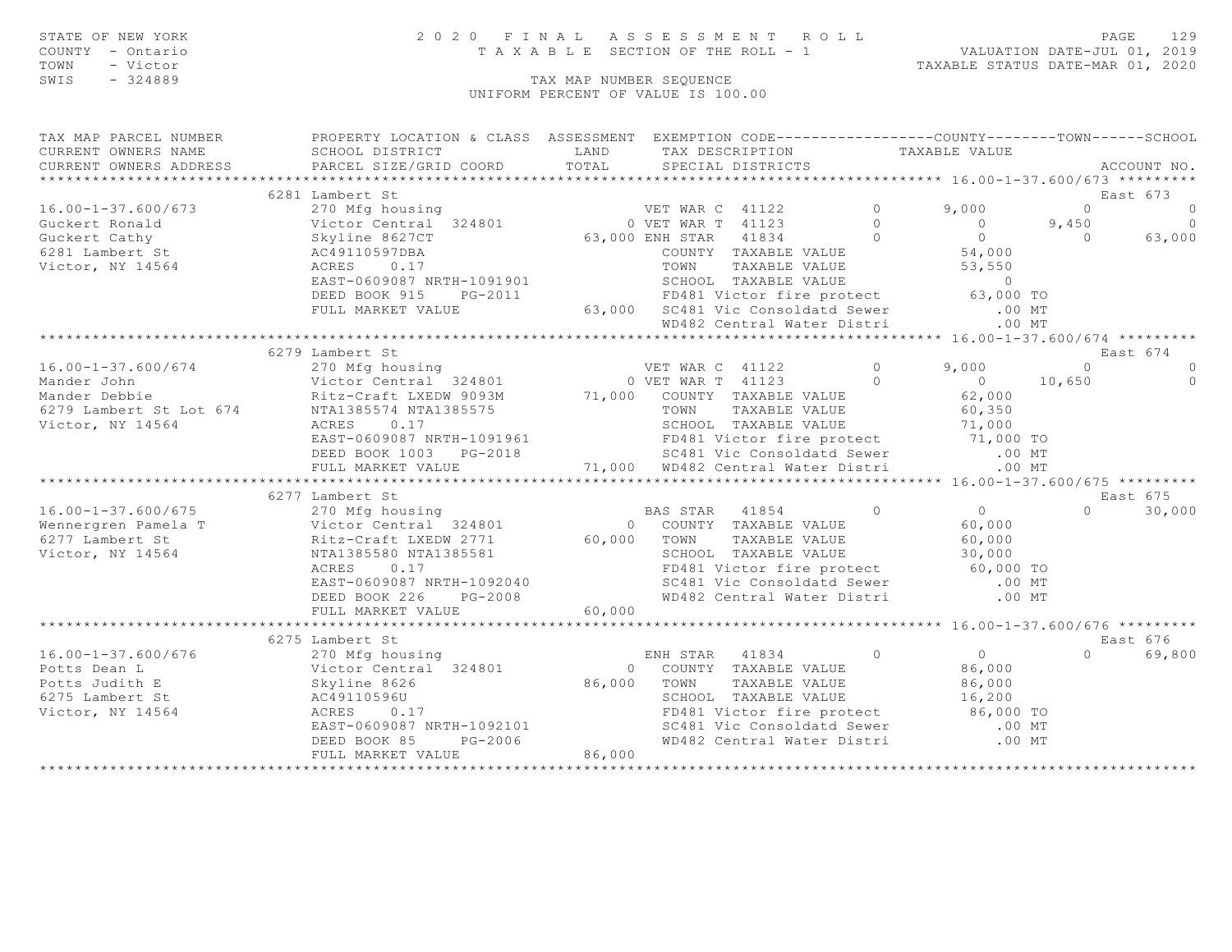| STATE OF NEW YORK | 2020 FINAL ASSESSMENT ROLL      | 129<br>PAGE                      |
|-------------------|---------------------------------|----------------------------------|
| COUNTY - Ontario  | TAXABLE SECTION OF THE ROLL - 1 | VALUATION DATE-JUL 01, 2019      |
| TOWN<br>– Victor  |                                 | TAXABLE STATUS DATE-MAR 01, 2020 |
| SWIS<br>$-324889$ | TAX MAP NUMBER SEOUENCE         |                                  |

| TAX MAP PARCEL NUMBER<br>CURRENT OWNERS ADDRESS                                                                                                                                                                                                 | PROPERTY LOCATION & CLASS ASSESSMENT EXEMPTION CODE----------------COUNTY-------TOWN------SCHOOL |        |                                                                                                                                                                              |  |           |               |
|-------------------------------------------------------------------------------------------------------------------------------------------------------------------------------------------------------------------------------------------------|--------------------------------------------------------------------------------------------------|--------|------------------------------------------------------------------------------------------------------------------------------------------------------------------------------|--|-----------|---------------|
|                                                                                                                                                                                                                                                 | 6281 Lambert St                                                                                  |        |                                                                                                                                                                              |  |           | East 673      |
|                                                                                                                                                                                                                                                 |                                                                                                  |        |                                                                                                                                                                              |  |           |               |
|                                                                                                                                                                                                                                                 |                                                                                                  |        |                                                                                                                                                                              |  |           |               |
|                                                                                                                                                                                                                                                 |                                                                                                  |        |                                                                                                                                                                              |  |           |               |
|                                                                                                                                                                                                                                                 |                                                                                                  |        |                                                                                                                                                                              |  |           |               |
|                                                                                                                                                                                                                                                 |                                                                                                  |        |                                                                                                                                                                              |  |           |               |
|                                                                                                                                                                                                                                                 |                                                                                                  |        |                                                                                                                                                                              |  |           |               |
|                                                                                                                                                                                                                                                 |                                                                                                  |        |                                                                                                                                                                              |  |           |               |
|                                                                                                                                                                                                                                                 |                                                                                                  |        |                                                                                                                                                                              |  |           |               |
|                                                                                                                                                                                                                                                 |                                                                                                  |        |                                                                                                                                                                              |  |           |               |
|                                                                                                                                                                                                                                                 |                                                                                                  |        |                                                                                                                                                                              |  |           |               |
|                                                                                                                                                                                                                                                 |                                                                                                  |        |                                                                                                                                                                              |  |           |               |
|                                                                                                                                                                                                                                                 | 6279 Lambert St                                                                                  |        |                                                                                                                                                                              |  |           | East 674      |
|                                                                                                                                                                                                                                                 |                                                                                                  |        |                                                                                                                                                                              |  |           |               |
|                                                                                                                                                                                                                                                 |                                                                                                  |        |                                                                                                                                                                              |  |           |               |
|                                                                                                                                                                                                                                                 |                                                                                                  |        |                                                                                                                                                                              |  |           |               |
|                                                                                                                                                                                                                                                 |                                                                                                  |        |                                                                                                                                                                              |  |           |               |
|                                                                                                                                                                                                                                                 |                                                                                                  |        |                                                                                                                                                                              |  |           |               |
|                                                                                                                                                                                                                                                 |                                                                                                  |        |                                                                                                                                                                              |  |           |               |
|                                                                                                                                                                                                                                                 |                                                                                                  |        |                                                                                                                                                                              |  |           |               |
|                                                                                                                                                                                                                                                 |                                                                                                  |        |                                                                                                                                                                              |  |           |               |
|                                                                                                                                                                                                                                                 |                                                                                                  |        |                                                                                                                                                                              |  |           |               |
|                                                                                                                                                                                                                                                 | 6277 Lambert St                                                                                  |        |                                                                                                                                                                              |  |           | East 675      |
|                                                                                                                                                                                                                                                 |                                                                                                  |        |                                                                                                                                                                              |  |           | $0 \t 30,000$ |
|                                                                                                                                                                                                                                                 |                                                                                                  |        |                                                                                                                                                                              |  |           |               |
|                                                                                                                                                                                                                                                 |                                                                                                  |        |                                                                                                                                                                              |  |           |               |
|                                                                                                                                                                                                                                                 |                                                                                                  |        |                                                                                                                                                                              |  |           |               |
|                                                                                                                                                                                                                                                 |                                                                                                  |        |                                                                                                                                                                              |  |           |               |
|                                                                                                                                                                                                                                                 |                                                                                                  |        |                                                                                                                                                                              |  |           |               |
| 16.00-1-37.600/675<br>Wennergren Pamela T<br>Wennergren Pamela T<br>Wennergren Pamela T<br>Victor Central 324801<br>Examples County Taxable VALUE<br>Examples County Taxable VALUE<br>COUNTY TAXABLE VALUE<br>COUNTY TAXABLE VALUE<br>COUNTY TA |                                                                                                  |        |                                                                                                                                                                              |  |           |               |
|                                                                                                                                                                                                                                                 | FULL MARKET VALUE                                                                                | 60,000 |                                                                                                                                                                              |  |           |               |
|                                                                                                                                                                                                                                                 |                                                                                                  |        |                                                                                                                                                                              |  |           |               |
|                                                                                                                                                                                                                                                 | 6275 Lambert St                                                                                  |        |                                                                                                                                                                              |  |           | East 676      |
|                                                                                                                                                                                                                                                 |                                                                                                  |        |                                                                                                                                                                              |  | $\bigcap$ | 69,800        |
|                                                                                                                                                                                                                                                 |                                                                                                  |        |                                                                                                                                                                              |  |           |               |
|                                                                                                                                                                                                                                                 |                                                                                                  |        |                                                                                                                                                                              |  |           |               |
|                                                                                                                                                                                                                                                 |                                                                                                  |        |                                                                                                                                                                              |  |           |               |
| 16.00-1-37.600/676 270 Mfg housing<br>Potts Dean L Victor Central 324801 0 COUNTY TAXABLE VALUE 86,000<br>Potts Judith E Skyline 8626 86,000 TOWN TAXABLE VALUE 86,000<br>Victor, NY 14564 ACRES 0.17 FD481 Victor fire protect 86,0            |                                                                                                  |        | SUPPOSE TO MANUE AND TRABLE VALUE<br>SCHOOL TAXABLE VALUE<br>FD481 Victor fire protect 86,000 TO<br>SC481 Vic Consoldatd Sewer 0.00 MT<br>PG-2006 MD482 Central Water Distri |  |           |               |
|                                                                                                                                                                                                                                                 |                                                                                                  |        |                                                                                                                                                                              |  |           |               |
|                                                                                                                                                                                                                                                 |                                                                                                  |        |                                                                                                                                                                              |  |           |               |
|                                                                                                                                                                                                                                                 | EAST-0609087 NRTH-1092101<br>DEED BOOK 85 PG-2006<br>FULL MARKET VALUE 86,000                    |        |                                                                                                                                                                              |  |           |               |
|                                                                                                                                                                                                                                                 |                                                                                                  |        |                                                                                                                                                                              |  |           |               |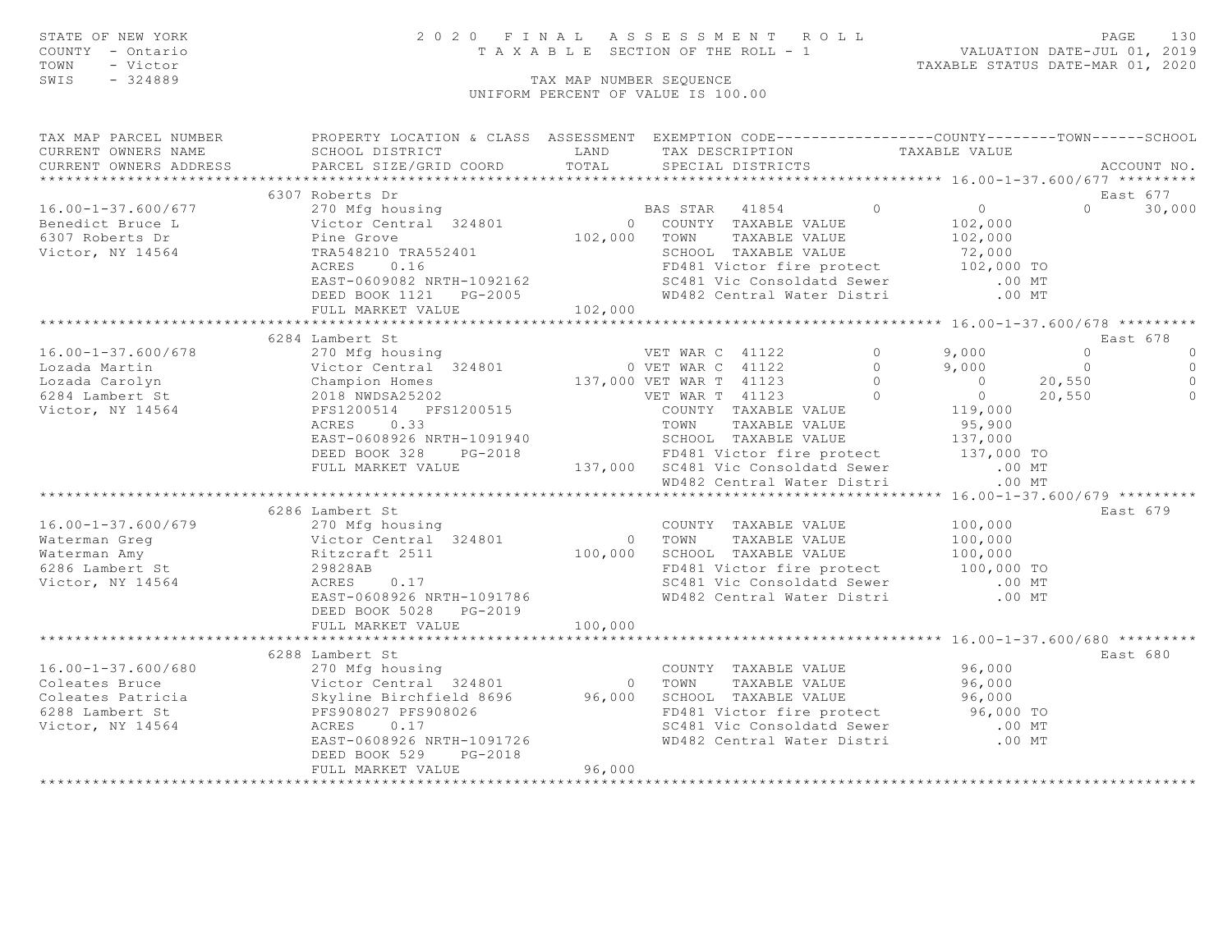| STATE OF NEW YORK<br>COUNTY - Ontario<br>TOWN<br>- Victor |                                                                                                                                                                                                                                                                     |         | 2020 FINAL ASSESSMENT ROLL<br>TAXABLE SECTION OF THE ROLL - 1 VALUATION DATE-JUL 01, 2019                     | TAXABLE STATUS DATE-MAR 01, 2020 | PAGE        | 130      |
|-----------------------------------------------------------|---------------------------------------------------------------------------------------------------------------------------------------------------------------------------------------------------------------------------------------------------------------------|---------|---------------------------------------------------------------------------------------------------------------|----------------------------------|-------------|----------|
| SWIS - 324889                                             |                                                                                                                                                                                                                                                                     |         | TAX MAP NUMBER SEQUENCE                                                                                       |                                  |             |          |
|                                                           |                                                                                                                                                                                                                                                                     |         | UNIFORM PERCENT OF VALUE IS 100.00                                                                            |                                  |             |          |
|                                                           |                                                                                                                                                                                                                                                                     |         |                                                                                                               |                                  |             |          |
| CURRENT OWNERS NAME                                       | TAX MAP PARCEL NUMBER THE PROPERTY LOCATION & CLASS ASSESSMENT EXEMPTION CODE--------------COUNTY-------TOWN------SCHOOL<br>SCHOOL DISTRICT LAND TAX DESCRIPTION                                                                                                    |         |                                                                                                               | TAXABLE VALUE                    |             |          |
| CURRENT OWNERS ADDRESS                                    | PARCEL SIZE/GRID COORD                                                                                                                                                                                                                                              | TOTAL   | SPECIAL DISTRICTS                                                                                             |                                  | ACCOUNT NO. |          |
|                                                           |                                                                                                                                                                                                                                                                     |         |                                                                                                               |                                  |             |          |
|                                                           | 6307 Roberts Dr                                                                                                                                                                                                                                                     |         |                                                                                                               |                                  | East 677    |          |
|                                                           | 16.00-1-37.600/677 270 Mfg housing<br>Benedict Bruce L Victor Central 324801 0 COUNTY TAXABLE VALUE<br>6307 Roberts Dr Pine Grove 102,000 TOWN TAXABLE VALUE 102,000<br>Victor, NY 14564 TRA548210 TRA552401 EDIRENT POPER CHOICE 22                                |         |                                                                                                               |                                  | $\Omega$    | 30,000   |
|                                                           |                                                                                                                                                                                                                                                                     |         |                                                                                                               |                                  |             |          |
|                                                           |                                                                                                                                                                                                                                                                     |         |                                                                                                               |                                  |             |          |
|                                                           |                                                                                                                                                                                                                                                                     |         |                                                                                                               |                                  |             |          |
|                                                           |                                                                                                                                                                                                                                                                     |         |                                                                                                               |                                  |             |          |
|                                                           |                                                                                                                                                                                                                                                                     |         |                                                                                                               |                                  |             |          |
|                                                           | TRA548210 TRA552401<br>ACRES 0.16<br>EAST-0609082 NRTH-1092162<br>EAST-0609082 NRTH-1092162<br>CHOOL TAXABLE VALUE<br>CHOOL TAXABLE VALUE<br>SC481 Victor fire protect<br>SC481 Vic Consoldatd Sewer 0.00 MT<br>MDEED MD482 Central Water Dist<br>FULL MARKET VALUE | 102,000 |                                                                                                               |                                  |             |          |
|                                                           |                                                                                                                                                                                                                                                                     |         |                                                                                                               |                                  |             |          |
|                                                           | 6284 Lambert St                                                                                                                                                                                                                                                     |         |                                                                                                               |                                  | East 678    |          |
| $16.00 - 1 - 37.600 / 678$                                | 270 Mfg housing                                                                                                                                                                                                                                                     |         | VET WAR C 41122                                                                                               | 9,000<br>$\bigcap$               | $\Omega$    | $\Omega$ |
|                                                           |                                                                                                                                                                                                                                                                     |         |                                                                                                               |                                  |             |          |
|                                                           |                                                                                                                                                                                                                                                                     |         |                                                                                                               |                                  |             | $\Omega$ |
|                                                           |                                                                                                                                                                                                                                                                     |         |                                                                                                               |                                  |             | $\Omega$ |
|                                                           |                                                                                                                                                                                                                                                                     |         |                                                                                                               |                                  |             |          |
|                                                           |                                                                                                                                                                                                                                                                     |         |                                                                                                               |                                  |             |          |
|                                                           |                                                                                                                                                                                                                                                                     |         |                                                                                                               |                                  |             |          |
|                                                           |                                                                                                                                                                                                                                                                     |         |                                                                                                               |                                  |             |          |
|                                                           |                                                                                                                                                                                                                                                                     |         |                                                                                                               |                                  |             |          |
|                                                           |                                                                                                                                                                                                                                                                     |         |                                                                                                               |                                  |             |          |
|                                                           | 6286 Lambert St                                                                                                                                                                                                                                                     |         |                                                                                                               |                                  | East 679    |          |
|                                                           |                                                                                                                                                                                                                                                                     |         | COUNTY TAXABLE VALUE                                                                                          | 100,000                          |             |          |
|                                                           |                                                                                                                                                                                                                                                                     |         | 0 TOWN TAXABLE VALUE 100,000<br>100,000 SCHOOL TAXABLE VALUE 100,000                                          |                                  |             |          |
|                                                           |                                                                                                                                                                                                                                                                     |         | 0 TOWN TAAADLE VALUE<br>100,000 SCHOOL TAXABLE VALUE                                                          |                                  |             |          |
|                                                           |                                                                                                                                                                                                                                                                     |         |                                                                                                               |                                  |             |          |
|                                                           | 16.00-1-37.600/679<br>Waterman Greg<br>Waterman Amy<br>Waterman Amy<br>6286 Lambert St<br>Victor, NY 14564<br>Victor, NY 14564<br>Prince Communication of the CONTECT of The Machinese of the Machinese of the Machinese of the Machinese of                        |         |                                                                                                               |                                  |             |          |
|                                                           | EAST-0608926 NRTH-1091786                                                                                                                                                                                                                                           |         | FD481 Victor fire protect<br>SC481 Vic Consoldatd Sewer .00 MT<br>WD482 Central Water Distri .00 MT           |                                  |             |          |
|                                                           | DEED BOOK 5028    PG-2019                                                                                                                                                                                                                                           |         |                                                                                                               |                                  |             |          |
|                                                           | FULL MARKET VALUE                                                                                                                                                                                                                                                   | 100,000 |                                                                                                               |                                  |             |          |
|                                                           |                                                                                                                                                                                                                                                                     |         |                                                                                                               |                                  | East 680    |          |
|                                                           |                                                                                                                                                                                                                                                                     |         |                                                                                                               |                                  |             |          |
|                                                           |                                                                                                                                                                                                                                                                     |         |                                                                                                               |                                  |             |          |
|                                                           | 16.00-1-37.600/680<br>Coleates Bruce (Victor Central 324801 (Coleates Patricia Styline Birchfield 8696 96,000 school TAXABLE VALUE<br>Coleates Patricia Skyline Birchfield 8696 96,000 SCHOOL TAXABLE VALUE 96,000<br>Coleates Patr                                 |         |                                                                                                               |                                  |             |          |
|                                                           |                                                                                                                                                                                                                                                                     |         | FD481 Victor fire protect 96,000 TO<br>SC481 Vic Consoldatd Sewer .00 MT<br>WD482 Central Water Distri .00 MT |                                  |             |          |
|                                                           |                                                                                                                                                                                                                                                                     |         |                                                                                                               |                                  |             |          |
|                                                           | EAST-0608926 NRTH-1091726                                                                                                                                                                                                                                           |         |                                                                                                               |                                  |             |          |
|                                                           | DEED BOOK 529<br>PG-2018                                                                                                                                                                                                                                            |         |                                                                                                               |                                  |             |          |
|                                                           | FULL MARKET VALUE                                                                                                                                                                                                                                                   | 96,000  |                                                                                                               |                                  |             |          |
|                                                           |                                                                                                                                                                                                                                                                     |         |                                                                                                               |                                  |             |          |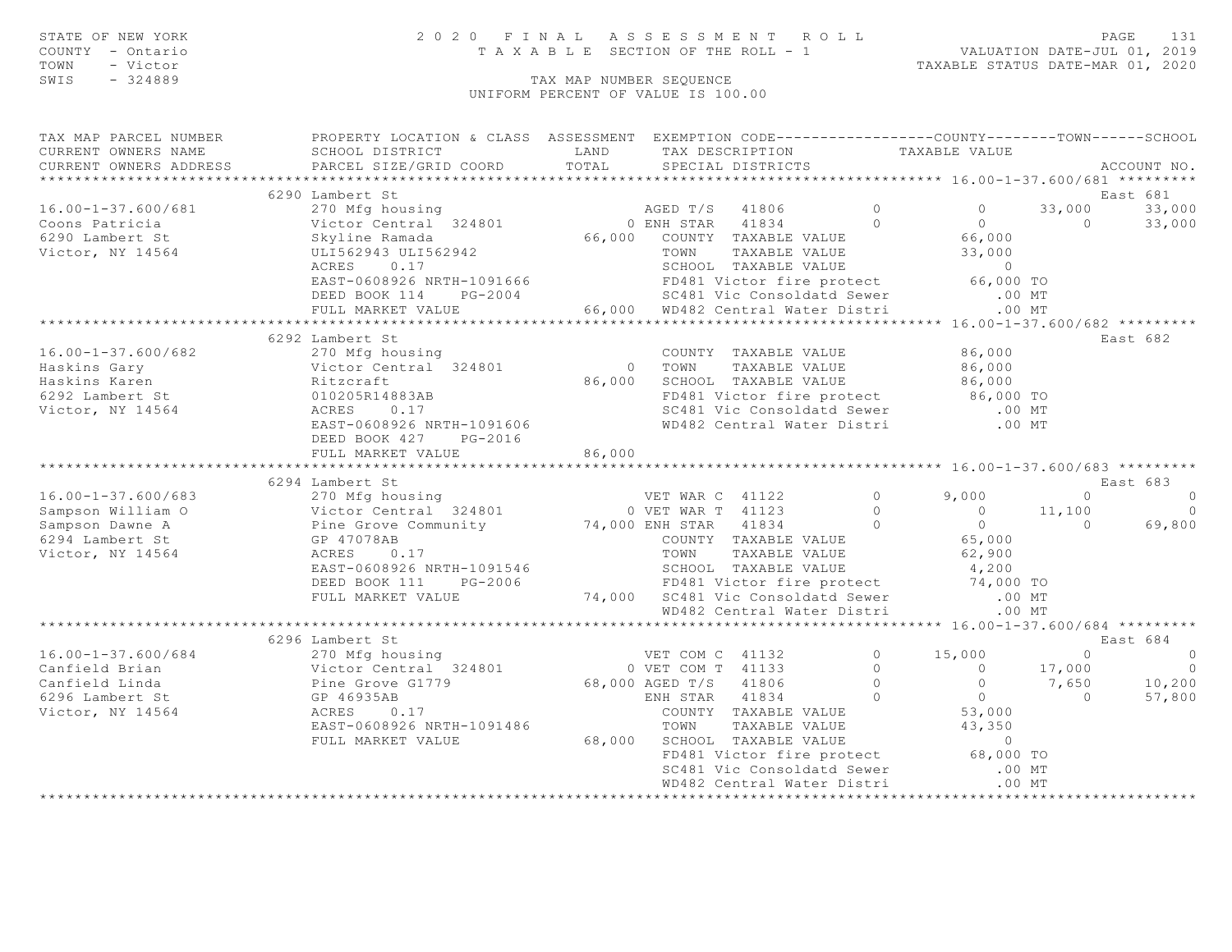| STATE OF NEW YORK | 2020 FINAL ASSESSMENT ROLL      | 131<br>PAGE                      |
|-------------------|---------------------------------|----------------------------------|
| COUNTY - Ontario  | TAXABLE SECTION OF THE ROLL - 1 | VALUATION DATE-JUL 01, 2019      |
| TOWN<br>- Victor  |                                 | TAXABLE STATUS DATE-MAR 01, 2020 |
| SWIS<br>- 324889  | TAX MAP NUMBER SEOUENCE         |                                  |

| TAX MAP PARCEL NUMBER<br>CURRENT OWNERS NAME | PROPERTY LOCATION & CLASS ASSESSMENT EXEMPTION CODE---------------COUNTY-------TOWN------SCHOOL<br>SCHOOL DISTRICT                                                                                                                                   | LAND TAX DESCRIPTION |                                                                                                          | TAXABLE VALUE |                |                |
|----------------------------------------------|------------------------------------------------------------------------------------------------------------------------------------------------------------------------------------------------------------------------------------------------------|----------------------|----------------------------------------------------------------------------------------------------------|---------------|----------------|----------------|
| CURRENT OWNERS ADDRESS                       | PARCEL SIZE/GRID COORD                                                                                                                                                                                                                               | TOTAL                | SPECIAL DISTRICTS                                                                                        |               |                | ACCOUNT NO.    |
|                                              |                                                                                                                                                                                                                                                      |                      |                                                                                                          |               |                |                |
|                                              | 6290 Lambert St                                                                                                                                                                                                                                      |                      |                                                                                                          |               |                | East 681       |
|                                              |                                                                                                                                                                                                                                                      |                      |                                                                                                          |               |                |                |
|                                              |                                                                                                                                                                                                                                                      |                      |                                                                                                          |               |                |                |
|                                              |                                                                                                                                                                                                                                                      |                      |                                                                                                          |               |                |                |
|                                              | 16.00-1-37.600/681 b290 Lambert St<br>Coons Patricia (1970 Microsoftentral 324801 0 ENH STAR 41834 0 0 33,000 33,000<br>66,000 COUNTY TAXABLE VALUE 66,000 0 33,000<br>Victor, NY 14564 ULI562943 ULI562942 TOWN TAXABLE VALUE 33,00                 |                      |                                                                                                          |               |                |                |
|                                              |                                                                                                                                                                                                                                                      |                      |                                                                                                          |               |                |                |
|                                              |                                                                                                                                                                                                                                                      |                      |                                                                                                          |               |                |                |
|                                              | DEED BOOK 114                                                                                                                                                                                                                                        |                      | PG-2004 SC481 Vic Consoldatd Sewer .00 MT                                                                |               |                |                |
|                                              |                                                                                                                                                                                                                                                      |                      |                                                                                                          |               |                |                |
|                                              | 6292 Lambert St                                                                                                                                                                                                                                      |                      |                                                                                                          |               |                | East 682       |
| $16.00 - 1 - 37.600 / 682$                   | 270 Mfg housing                                                                                                                                                                                                                                      |                      | COUNTY TAXABLE VALUE 86,000                                                                              |               |                |                |
|                                              |                                                                                                                                                                                                                                                      |                      |                                                                                                          |               |                |                |
|                                              |                                                                                                                                                                                                                                                      |                      |                                                                                                          |               |                |                |
|                                              |                                                                                                                                                                                                                                                      |                      |                                                                                                          |               |                |                |
|                                              | Faskins Gary<br>Haskins Gary<br>Haskins Karen Ritzcraft<br>6292 Lambert St 010205R14883AB<br>Victor, NY 14564 ACRES<br>FAST-0608926 NPT4-1091606                                                                                                     |                      | 0 TOWN TAXABLE VALUE 60,000<br>86,000 SCHOOL TAXABLE VALUE 86,000<br>FD481 Victor fire protect 86,000 TO |               |                |                |
|                                              | EAST-0608926 NRTH-1091606                                                                                                                                                                                                                            |                      | SC481 Vic Consoldatd Sewer .00 MT<br>WD482 Central Water Distri .00 MT                                   |               |                |                |
|                                              | DEED BOOK 427<br>PG-2016                                                                                                                                                                                                                             |                      |                                                                                                          |               |                |                |
|                                              | FULL MARKET VALUE                                                                                                                                                                                                                                    | 86,000               |                                                                                                          |               |                |                |
|                                              | **************************                                                                                                                                                                                                                           | *************        | **************************************600/683 **********                                                 |               |                |                |
|                                              | 6294 Lambert St                                                                                                                                                                                                                                      |                      |                                                                                                          |               |                | East 683       |
|                                              | 16.00-1-37.600/683<br>Sampson William O<br>Sampson Dawne A<br>Fine Grove Community<br>6294 Lambert St<br>Victor, NY 14564<br>COUNTY TAXABLE VALUE<br>Victor, NY 14564<br>COUNTY TAXABLE VALUE<br>COUNTY TAXABLE VALUE<br>COUNTY TAXABLE VALUE<br>COU |                      |                                                                                                          |               |                | $\overline{0}$ |
|                                              |                                                                                                                                                                                                                                                      |                      |                                                                                                          |               |                | $\bigcap$      |
|                                              |                                                                                                                                                                                                                                                      |                      |                                                                                                          |               | $\overline{0}$ | 69,800         |
|                                              |                                                                                                                                                                                                                                                      |                      |                                                                                                          |               |                |                |
|                                              |                                                                                                                                                                                                                                                      |                      |                                                                                                          |               |                |                |
|                                              |                                                                                                                                                                                                                                                      |                      |                                                                                                          |               |                |                |
|                                              |                                                                                                                                                                                                                                                      |                      |                                                                                                          |               |                |                |
|                                              | EAST-0608926 NRTH-1091546<br>DEED BOOK 111 PG-2006 FD481 Victor fire protect 4,200<br>FULL MARKET VALUE 74,000 74,000 SC481 Vic Consoldatd Sewer 00 MT<br>WD482 Central Water Distri 00 MT                                                           |                      |                                                                                                          |               |                |                |
|                                              |                                                                                                                                                                                                                                                      |                      | WD482 Central Water Distri                                                                               | .00MT         |                |                |
|                                              |                                                                                                                                                                                                                                                      |                      |                                                                                                          |               |                |                |
|                                              | 6296 Lambert St                                                                                                                                                                                                                                      |                      |                                                                                                          |               |                | East 684       |
|                                              |                                                                                                                                                                                                                                                      |                      |                                                                                                          |               |                | $\overline{0}$ |
|                                              |                                                                                                                                                                                                                                                      |                      |                                                                                                          |               |                | $\sim$ 0       |
|                                              |                                                                                                                                                                                                                                                      |                      |                                                                                                          |               |                | 10,200         |
|                                              |                                                                                                                                                                                                                                                      |                      |                                                                                                          |               |                | 57,800         |
|                                              |                                                                                                                                                                                                                                                      |                      |                                                                                                          |               |                |                |
|                                              |                                                                                                                                                                                                                                                      |                      |                                                                                                          |               |                |                |
|                                              | FULL MARKET VALUE                                                                                                                                                                                                                                    |                      | 68,000 SCHOOL TAXABLE VALUE 0<br>FD481 Victor fire protect 68,000 TO                                     |               |                |                |
|                                              |                                                                                                                                                                                                                                                      |                      |                                                                                                          |               |                |                |
|                                              |                                                                                                                                                                                                                                                      |                      | SC481 Vic Consoldatd Sewer .00 MT                                                                        |               |                |                |
|                                              |                                                                                                                                                                                                                                                      |                      | WD482 Central Water Distri                                                                               | $.00$ MT      |                |                |
|                                              |                                                                                                                                                                                                                                                      |                      |                                                                                                          |               |                |                |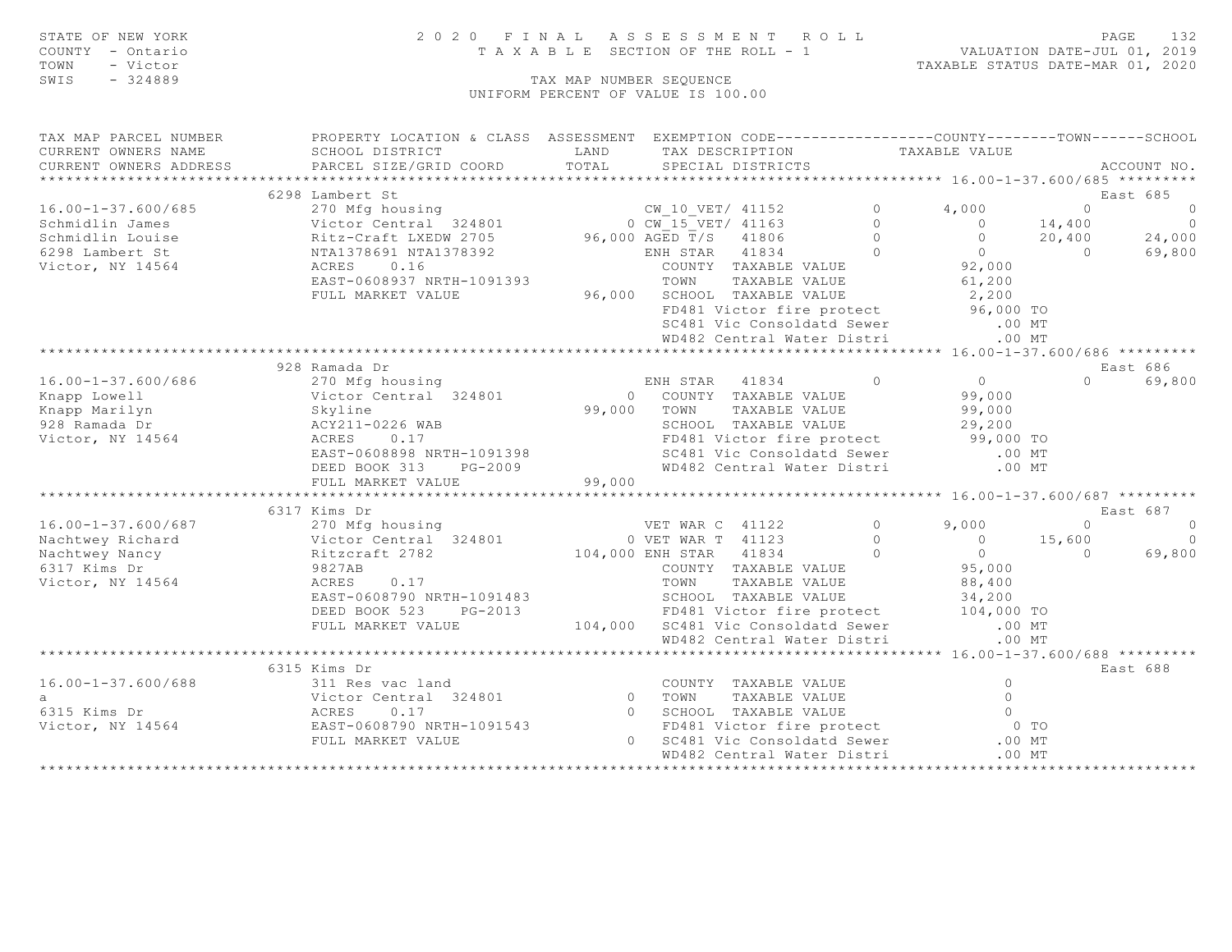| STATE OF NEW YORK<br>COUNTY - Ontario<br>TOWN<br>- Victor<br>SWIS<br>$-324889$ |                                                                                                                                                                                                                                                        | TAX MAP NUMBER SEQUENCE | 2020 FINAL ASSESSMENT ROLL<br>T A X A B L E SECTION OF THE ROLL - 1 VALUATION DATE-JUL 01, 2019<br>TAXABLE STATUS DATE-MAR 01, 2020                                                      |                                            |          | 132<br>PAGE                  |
|--------------------------------------------------------------------------------|--------------------------------------------------------------------------------------------------------------------------------------------------------------------------------------------------------------------------------------------------------|-------------------------|------------------------------------------------------------------------------------------------------------------------------------------------------------------------------------------|--------------------------------------------|----------|------------------------------|
|                                                                                |                                                                                                                                                                                                                                                        |                         | UNIFORM PERCENT OF VALUE IS 100.00                                                                                                                                                       |                                            |          |                              |
| CURRENT OWNERS NAME                                                            | TAX MAP PARCEL NUMBER THE PROPERTY LOCATION & CLASS ASSESSMENT EXEMPTION CODE--------------COUNTY-------TOWN------SCHOOL<br>SCHOOL DISTRICT                                                                                                            |                         | LAND TAX DESCRIPTION<br>COORD TOTAL SPECIAL DISTRICTS                                                                                                                                    | TAXABLE VALUE                              |          |                              |
| CURRENT OWNERS ADDRESS                                                         | PARCEL SIZE/GRID COORD                                                                                                                                                                                                                                 |                         |                                                                                                                                                                                          |                                            |          | ACCOUNT NO.                  |
|                                                                                |                                                                                                                                                                                                                                                        |                         |                                                                                                                                                                                          |                                            |          | East 685                     |
|                                                                                |                                                                                                                                                                                                                                                        |                         |                                                                                                                                                                                          |                                            | $\Omega$ | $\circ$                      |
|                                                                                | 10.00-1-3/.600/685<br>Schmidlin James<br>Schmidlin James<br>Schmidlin Louise<br>Schmidlin Louise<br>Schmidlin Louise<br>Schmidlin Louise<br>Schmidlin Louise<br>Schmidlin Louise<br>Schmidlin Louise<br>Schmidlin Louise<br>Schmidlin Louise<br>Schmid |                         |                                                                                                                                                                                          | $0$ 20,400<br>0 0 0<br>92,000              |          | $\circ$<br>24,000<br>69,800  |
|                                                                                | EAST-0608937 NRTH-1091393<br>FULL MARKET VALUE                                                                                                                                                                                                         |                         | TOWN TAXABLE VALUE<br>96,000 SCHOOL TAXABLE VALUE<br>TOWN TAXABLE VALUE<br>FD481 Victor fire protect 96,000 TO<br>SC481 Vic Consoldatd Sewer .00 MT<br>WD482 Central Water Distri .00 MT | 61,200<br>2,200<br>.00 MT                  |          |                              |
|                                                                                |                                                                                                                                                                                                                                                        |                         |                                                                                                                                                                                          |                                            |          |                              |
|                                                                                |                                                                                                                                                                                                                                                        |                         |                                                                                                                                                                                          |                                            | $\Omega$ | East 686<br>69,800           |
|                                                                                | DEED BOOK 313 PG-2009                                                                                                                                                                                                                                  |                         | WD482 Central Water Distri .00 MT<br>99,000                                                                                                                                              |                                            |          |                              |
|                                                                                | FULL MARKET VALUE                                                                                                                                                                                                                                      | 99,000                  |                                                                                                                                                                                          |                                            |          |                              |
|                                                                                | 6317 Kims Dr                                                                                                                                                                                                                                           |                         |                                                                                                                                                                                          |                                            |          | East 687                     |
|                                                                                | 16.00-1-37.600/687<br>Nachtwey Richard 270 Mfg housing<br>Nachtwey Nancy Richard Victor Central 324801<br>16.00-1-37.600/687<br>270 Mfg housing<br>Victor Central 324801<br>Nachtwey Nancy Ritzcraft 2782<br>2827AB<br>20.17<br>0.17                   |                         | VET WAR C 41122<br>0 VET WAR T 41123<br>104,000 ENH STAR 41834<br>COUNTY TAXABLE VALUE<br>TOWN<br>TAXABLE VALUE                                                                          | $0 \t 9,000$<br>95,000<br>88,400<br>34,200 | $\Omega$ | $\circ$<br>$\circ$<br>69,800 |
|                                                                                | ACRES 0.1/<br>EAST-0608790 NRTH-1091483<br>DEED BOOK 523 PG-2013 FD481 Victor fire protect<br>FULL MARKET VALUE 104,000 SC481 Vic Consoldatd Sewer                                                                                                     |                         | WD482 Central Water Distri                                                                                                                                                               | 104,000 TO<br>.00 MT<br>$.00$ MT           |          |                              |
|                                                                                |                                                                                                                                                                                                                                                        |                         |                                                                                                                                                                                          |                                            |          |                              |
|                                                                                | 6315 Kims Dr<br>FULL MARKET VALUE                                                                                                                                                                                                                      |                         |                                                                                                                                                                                          |                                            |          | East 688                     |
|                                                                                |                                                                                                                                                                                                                                                        |                         | WD482 Central Water Distri                                                                                                                                                               | $.00$ MT                                   |          |                              |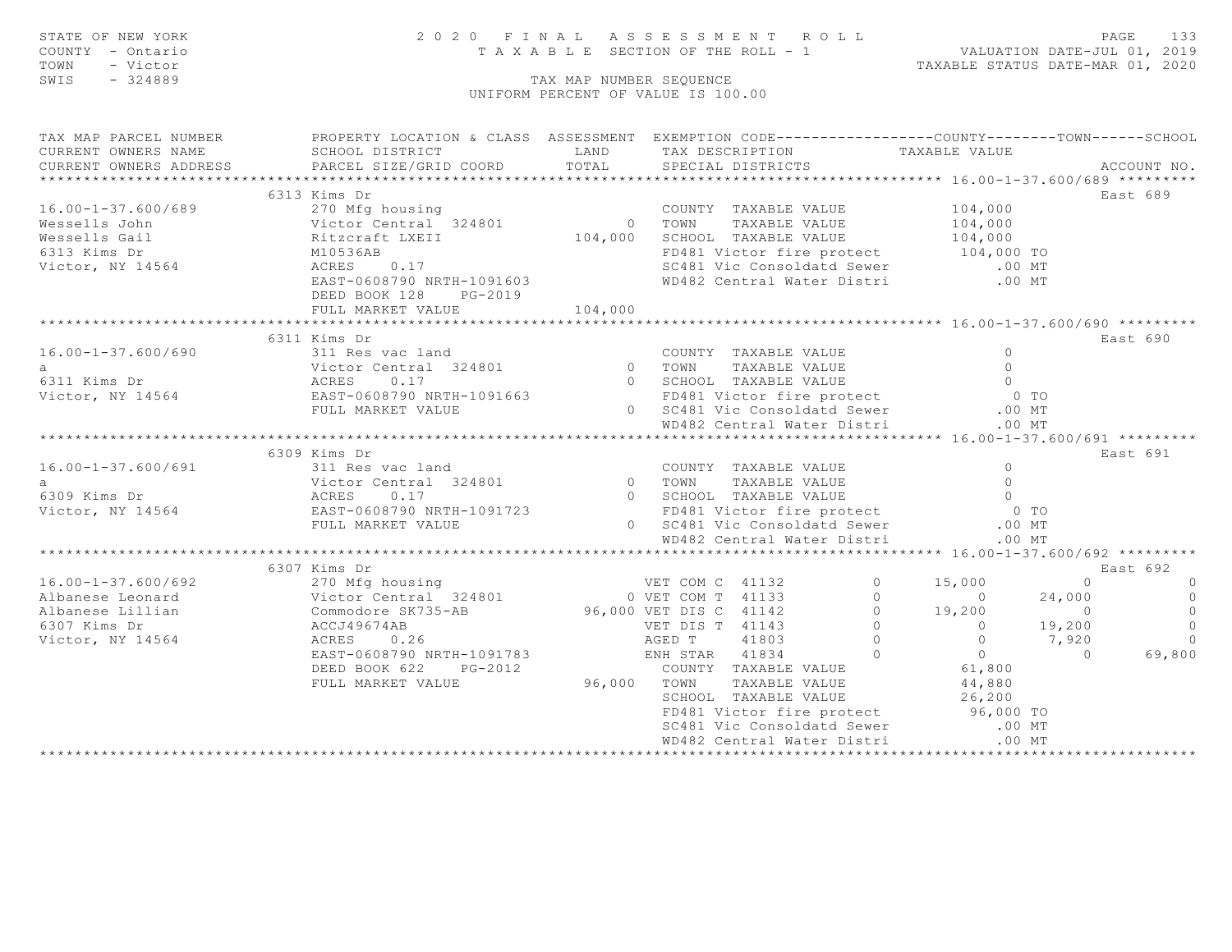| STATE OF NEW YORK<br>COUNTY - Ontario<br>TOWN<br>- Victor                                                                                                                                                                                                                                                                                                                                                                                     | 2020 FINAL ASSESSMENT ROLL                                                                                                                                                                                                                                                                                                                    |                                    |                            | TAXABLE STATUS DATE-MAR 01, 2020 |          | PAGE        | 133                |
|-----------------------------------------------------------------------------------------------------------------------------------------------------------------------------------------------------------------------------------------------------------------------------------------------------------------------------------------------------------------------------------------------------------------------------------------------|-----------------------------------------------------------------------------------------------------------------------------------------------------------------------------------------------------------------------------------------------------------------------------------------------------------------------------------------------|------------------------------------|----------------------------|----------------------------------|----------|-------------|--------------------|
| SWIS<br>$-324889$                                                                                                                                                                                                                                                                                                                                                                                                                             |                                                                                                                                                                                                                                                                                                                                               | TAX MAP NUMBER SEQUENCE            |                            |                                  |          |             |                    |
|                                                                                                                                                                                                                                                                                                                                                                                                                                               |                                                                                                                                                                                                                                                                                                                                               | UNIFORM PERCENT OF VALUE IS 100.00 |                            |                                  |          |             |                    |
|                                                                                                                                                                                                                                                                                                                                                                                                                                               |                                                                                                                                                                                                                                                                                                                                               |                                    |                            |                                  |          |             |                    |
|                                                                                                                                                                                                                                                                                                                                                                                                                                               |                                                                                                                                                                                                                                                                                                                                               |                                    |                            |                                  |          |             |                    |
| TAX MAP PARCEL NUMBER <a> PROPERTY LOCATION &amp; CLASS ASSESSMENT EXEMPTION CODE--------------COUNTY-------TOWN------SCHOOL</a>                                                                                                                                                                                                                                                                                                              |                                                                                                                                                                                                                                                                                                                                               |                                    |                            |                                  |          |             |                    |
| CURRENT OWNERS NAME                                                                                                                                                                                                                                                                                                                                                                                                                           | SCHOOL DISTRICT LAND                                                                                                                                                                                                                                                                                                                          |                                    | TAX DESCRIPTION            | TAXABLE VALUE                    |          |             |                    |
| CURRENT OWNERS ADDRESS                                                                                                                                                                                                                                                                                                                                                                                                                        | PARCEL SIZE/GRID COORD TOTAL                                                                                                                                                                                                                                                                                                                  |                                    | SPECIAL DISTRICTS          |                                  |          | ACCOUNT NO. |                    |
|                                                                                                                                                                                                                                                                                                                                                                                                                                               |                                                                                                                                                                                                                                                                                                                                               |                                    |                            |                                  |          |             |                    |
| 16.00-1-37.600/689 270 Mfg housing<br>Wessells John Victor Central 324801 0 TOWN TAXABLE VALUE 104,000<br>Wessells Gail Ritzcraft LXEII 104,000 SCHOOL TAXABLE VALUE 104,000<br>6313 Kims Dr M10536AB ROCK FD481 Victor fire protect                                                                                                                                                                                                          | 6313 Kims Dr                                                                                                                                                                                                                                                                                                                                  |                                    |                            |                                  |          | East 689    |                    |
|                                                                                                                                                                                                                                                                                                                                                                                                                                               |                                                                                                                                                                                                                                                                                                                                               |                                    |                            |                                  |          |             |                    |
|                                                                                                                                                                                                                                                                                                                                                                                                                                               |                                                                                                                                                                                                                                                                                                                                               |                                    |                            |                                  |          |             |                    |
|                                                                                                                                                                                                                                                                                                                                                                                                                                               |                                                                                                                                                                                                                                                                                                                                               |                                    |                            |                                  |          |             |                    |
|                                                                                                                                                                                                                                                                                                                                                                                                                                               |                                                                                                                                                                                                                                                                                                                                               |                                    |                            |                                  |          |             |                    |
|                                                                                                                                                                                                                                                                                                                                                                                                                                               | MI0536AB<br>MI0536AB<br>RORES 0.17 SC481 Victor fire protect 104,000 TO<br>EAST-0608790 NRTH-1091603 WD482 Central Water Distri .00 MT                                                                                                                                                                                                        |                                    |                            |                                  |          |             |                    |
|                                                                                                                                                                                                                                                                                                                                                                                                                                               | DEED BOOK 128 PG-2019                                                                                                                                                                                                                                                                                                                         |                                    |                            |                                  |          |             |                    |
|                                                                                                                                                                                                                                                                                                                                                                                                                                               |                                                                                                                                                                                                                                                                                                                                               |                                    |                            |                                  |          |             |                    |
|                                                                                                                                                                                                                                                                                                                                                                                                                                               |                                                                                                                                                                                                                                                                                                                                               |                                    |                            |                                  |          |             |                    |
|                                                                                                                                                                                                                                                                                                                                                                                                                                               | 6311 Kims Dr                                                                                                                                                                                                                                                                                                                                  |                                    |                            |                                  |          | East 690    |                    |
| 16.00-1-37.600/690                                                                                                                                                                                                                                                                                                                                                                                                                            |                                                                                                                                                                                                                                                                                                                                               |                                    |                            | $\overline{0}$                   |          |             |                    |
| $\mathsf{a}$                                                                                                                                                                                                                                                                                                                                                                                                                                  |                                                                                                                                                                                                                                                                                                                                               |                                    |                            |                                  |          |             |                    |
| 6311 Kims Dr                                                                                                                                                                                                                                                                                                                                                                                                                                  |                                                                                                                                                                                                                                                                                                                                               |                                    |                            |                                  |          |             |                    |
| Victor, NY 14564                                                                                                                                                                                                                                                                                                                                                                                                                              |                                                                                                                                                                                                                                                                                                                                               |                                    |                            |                                  |          |             |                    |
|                                                                                                                                                                                                                                                                                                                                                                                                                                               | 311 Res vac land<br>311 Res vac land<br>Victor Central 324801 0 TOWN TAXABLE VALUE<br>ACRES 0.17 0 SCHOOL TAXABLE VALUE 0<br>EAST-0608790 NRTH-1091663 6 FD481 Victor fire protect 0 TO<br>FULL MARKET VALUE 0 SC481 Victor fire protect                                                                                                      |                                    |                            |                                  |          |             |                    |
|                                                                                                                                                                                                                                                                                                                                                                                                                                               |                                                                                                                                                                                                                                                                                                                                               |                                    |                            |                                  |          |             |                    |
|                                                                                                                                                                                                                                                                                                                                                                                                                                               |                                                                                                                                                                                                                                                                                                                                               |                                    |                            |                                  |          |             |                    |
| $\begin{array}{cccccccc} \text{6309 Kims Dr} & \text{6309 Kims Dr} & \text{6309 Kims Dr} & \text{COUNTY} & \text{TAXABLE VALUE} & \text{0} \\ \text{a} & \text{Victor Central} & \text{324801} & \text{0} & \text{TOWN} & \text{TAXABLE VALUE} & \text{0} \\ \text{6309 Kims Dr} & \text{ACRES} & \text{0.17} & \text{0} & \text{SCHOOL TAXABLE VALUE} & \text{0} \\ \text{Victor, NY 14564} & \text{EAST-0608790 NRFH-1091723} & \text{FD48$ | 6309 Kims Dr                                                                                                                                                                                                                                                                                                                                  |                                    |                            |                                  |          | East 691    |                    |
|                                                                                                                                                                                                                                                                                                                                                                                                                                               |                                                                                                                                                                                                                                                                                                                                               |                                    |                            |                                  |          |             |                    |
|                                                                                                                                                                                                                                                                                                                                                                                                                                               |                                                                                                                                                                                                                                                                                                                                               |                                    |                            |                                  |          |             |                    |
|                                                                                                                                                                                                                                                                                                                                                                                                                                               |                                                                                                                                                                                                                                                                                                                                               |                                    |                            |                                  |          |             |                    |
|                                                                                                                                                                                                                                                                                                                                                                                                                                               |                                                                                                                                                                                                                                                                                                                                               |                                    |                            |                                  |          |             |                    |
|                                                                                                                                                                                                                                                                                                                                                                                                                                               |                                                                                                                                                                                                                                                                                                                                               |                                    |                            |                                  |          |             |                    |
|                                                                                                                                                                                                                                                                                                                                                                                                                                               |                                                                                                                                                                                                                                                                                                                                               |                                    | WD482 Central Water Distri | .00MT                            |          |             |                    |
|                                                                                                                                                                                                                                                                                                                                                                                                                                               |                                                                                                                                                                                                                                                                                                                                               |                                    |                            |                                  |          |             |                    |
| 6307 Kims Dr. (16.00-1-37.600/692 6307 Kims Dr. (1132<br>Albanese Leonard Victor Central 324801 0 VET COM T 41133<br>Albanese Lillian Commodore SK735-AB 96,000 VET DIS C 41142<br>6307 Kims Dr. (2003)<br>2008 26,000 VET DIS C 41142                                                                                                                                                                                                        | 6307 Kims Dr                                                                                                                                                                                                                                                                                                                                  |                                    |                            |                                  |          | East 692    |                    |
|                                                                                                                                                                                                                                                                                                                                                                                                                                               |                                                                                                                                                                                                                                                                                                                                               |                                    |                            | $0 \t 15,000$                    | $\Omega$ |             |                    |
|                                                                                                                                                                                                                                                                                                                                                                                                                                               |                                                                                                                                                                                                                                                                                                                                               |                                    |                            |                                  |          |             |                    |
|                                                                                                                                                                                                                                                                                                                                                                                                                                               |                                                                                                                                                                                                                                                                                                                                               |                                    |                            |                                  |          |             | $\circ$<br>$\circ$ |
|                                                                                                                                                                                                                                                                                                                                                                                                                                               |                                                                                                                                                                                                                                                                                                                                               |                                    |                            |                                  |          |             | $\Omega$           |
|                                                                                                                                                                                                                                                                                                                                                                                                                                               |                                                                                                                                                                                                                                                                                                                                               |                                    |                            |                                  |          |             | 69,800             |
|                                                                                                                                                                                                                                                                                                                                                                                                                                               |                                                                                                                                                                                                                                                                                                                                               |                                    |                            |                                  |          |             |                    |
|                                                                                                                                                                                                                                                                                                                                                                                                                                               |                                                                                                                                                                                                                                                                                                                                               |                                    |                            |                                  |          |             |                    |
|                                                                                                                                                                                                                                                                                                                                                                                                                                               |                                                                                                                                                                                                                                                                                                                                               |                                    |                            |                                  |          |             |                    |
|                                                                                                                                                                                                                                                                                                                                                                                                                                               |                                                                                                                                                                                                                                                                                                                                               |                                    |                            |                                  |          |             |                    |
|                                                                                                                                                                                                                                                                                                                                                                                                                                               |                                                                                                                                                                                                                                                                                                                                               |                                    |                            |                                  |          |             |                    |
|                                                                                                                                                                                                                                                                                                                                                                                                                                               | .<br>**********************************                                                                                                                                                                                                                                                                                                       |                                    |                            |                                  |          |             |                    |
|                                                                                                                                                                                                                                                                                                                                                                                                                                               | $\begin{tabular}{lcccc} \texttt{Victor Central} & 324801 & 0 & 41132 & 0 & 15,000 & 0 \\ \texttt{Commodore SKT35-AB} & 96,000 VET DIS C & 41133 & 0 & 0 & 24,000 \\ \texttt{ACCJ49674AB} & 96,000 VET DIS C & 41142 & 0 & 19,200 & 0 \\ \texttt{ACCJ49674AB} & 0 & 96,000 VET DIS T & 41143 & 0 & 0 & 19,200 \\ \texttt{ACST8B} & 0.26 & 96,$ |                                    |                            |                                  |          |             |                    |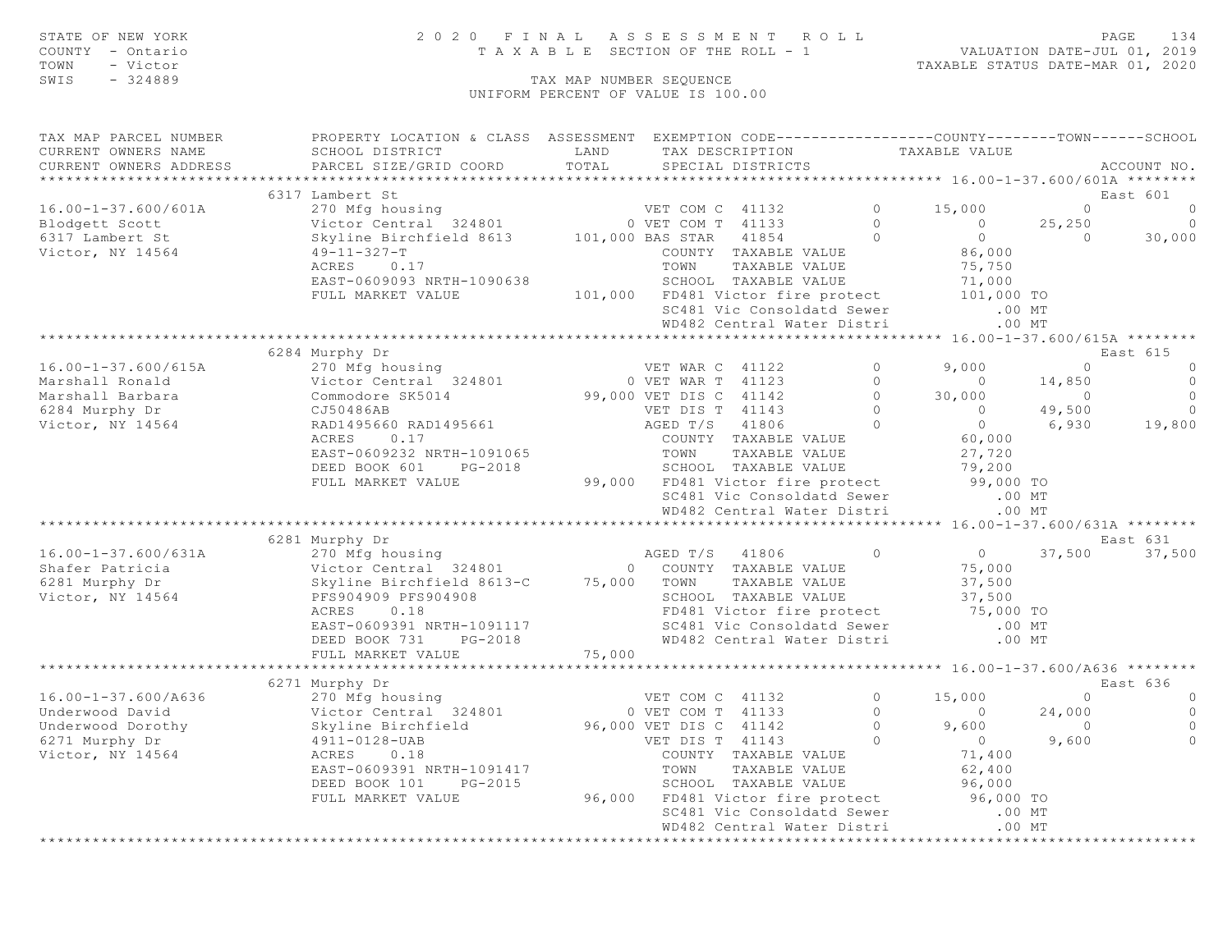| PROPERTY LOCATION & CLASS ASSESSMENT EXEMPTION CODE-----------------COUNTY-------TOWN------SCHOOL<br>TAX MAP PARCEL NUMBER<br>SCHOOL DISTRICT<br>TAX DESCRIPTION TAXABLE VALUE<br>CURRENT OWNERS NAME<br><b>LAND</b><br>CURRENT OWNERS ADDRESS PARCEL SIZE/GRID COORD TOTAL<br>SPECIAL DISTRICTS<br>ACCOUNT NO.<br>6317 Lambert St<br>East 601<br>16.00-1-37.600/601A<br>Blodgett Scott (Victor Central 324801 (Victor Central 324801 (Victor Central 324801 (Victor Central 2018)<br>Find the Skyline Birchfield 8613 (VET COM T 41133 (25,250 (25,250 (25,250 (25,250 (25,250 (25,<br>$\circ$<br>$\circ$<br>30,000<br>SCHOOL TAXABLE VALUE<br>101,000 FD481 Victor fire protect<br>SC481 Victor fire protect<br>SC481 Vic Consoldatd Sewer 00 MT<br>1000 TO<br>1000 MT<br>101,000 TO<br>100 MT<br>101,000 TO<br>101,000 TO<br>101,000 TO<br>101,000 TO<br>101,000 TO<br>EAST-0609093 NRTH-1090638<br>FULL MARKET VALUE<br>6284 Murphy Dr<br>East 615<br>6281 Murphy Dr<br>East 631<br>16.00-1-37.600/631A 6261 Murphy Dr<br>Shafer Patricia 270 Mfg housing<br>6281 Murphy Dr Skyline Birchfield 8613-C 75,000 TOWN TAXABLE VALUE 75,000<br>Victor, NY 14564 PFS904909 PFS904908 PFS904908 SCHOOL TAXABLE VALUE 37,500<br>Vi<br>37,500<br>PFS904909 PFS904908<br>RCRES 0.18<br>EAST-0609391 NRTH-1091117<br>DEED BOOK 731 PG-2018<br>PERD BOOK 731 PG-2018<br>PERD BOOK 731 PG-2018<br>PERD BOOK 731 PG-2018<br>6271 Murphy Dr<br>East 636<br>$\overline{0}$<br>$16.00 - 1 - 37.600/A636$<br>636 636 270 Mfg housing 636 636 270 Mfg housing 524801 636 627 00 VET COM T<br>VET COM C 41132<br>15,000<br>$\Omega$<br>$\Omega$<br>$\overline{a}$<br>24,000<br>Underwood David<br>$\circ$<br>Skyline Birchfield 96,000 VET DIS C 41142<br>9,600<br>Underwood Dorothy<br>$\overline{0}$<br>$\overline{0}$<br>9,600<br>6271 Murphy Dr<br>4911-0128-UAB<br>VET DIS T 41143<br>$\mathbf{0}$<br>$\circ$<br>0<br>Victor, NY 14564<br>ACRES<br>0.18<br>COUNTY TAXABLE VALUE<br>71,400<br>EAST-0609391 NRTH-1091417<br>TOWN<br>TAXABLE VALUE<br>62,400<br>DEED BOOK 101<br>SCHOOL TAXABLE VALUE<br>96,000<br>PG-2015<br>FD481 Victor fire protect<br>FULL MARKET VALUE<br>96,000<br>96,000 TO<br>SC481 Vic Consoldatd Sewer<br>$.00$ MT<br>WD482 Central Water Distri<br>.00MT | STATE OF NEW YORK<br>COUNTY - Ontario<br>TOWN<br>- Victor<br>SWIS<br>$-324889$ | 2020 FINAL ASSESSMENT ROLL<br>$T A X A B L E$ SECTION OF THE ROLL - 1<br>VALUATION DATE-JUL 01, 2019<br>TAX MAP NUMBER SEQUENCE<br>UNIFORM PERCENT OF VALUE IS 100.00 | TAXABLE STATUS DATE-MAR 01, 2020 | PAGE<br>134 |
|------------------------------------------------------------------------------------------------------------------------------------------------------------------------------------------------------------------------------------------------------------------------------------------------------------------------------------------------------------------------------------------------------------------------------------------------------------------------------------------------------------------------------------------------------------------------------------------------------------------------------------------------------------------------------------------------------------------------------------------------------------------------------------------------------------------------------------------------------------------------------------------------------------------------------------------------------------------------------------------------------------------------------------------------------------------------------------------------------------------------------------------------------------------------------------------------------------------------------------------------------------------------------------------------------------------------------------------------------------------------------------------------------------------------------------------------------------------------------------------------------------------------------------------------------------------------------------------------------------------------------------------------------------------------------------------------------------------------------------------------------------------------------------------------------------------------------------------------------------------------------------------------------------------------------------------------------------------------------------------------------------------------------------------------------------------------------------------------------------------------------------------------------------------------------------------------------------------------------------------------------------------------|--------------------------------------------------------------------------------|-----------------------------------------------------------------------------------------------------------------------------------------------------------------------|----------------------------------|-------------|
|                                                                                                                                                                                                                                                                                                                                                                                                                                                                                                                                                                                                                                                                                                                                                                                                                                                                                                                                                                                                                                                                                                                                                                                                                                                                                                                                                                                                                                                                                                                                                                                                                                                                                                                                                                                                                                                                                                                                                                                                                                                                                                                                                                                                                                                                        |                                                                                |                                                                                                                                                                       |                                  |             |
|                                                                                                                                                                                                                                                                                                                                                                                                                                                                                                                                                                                                                                                                                                                                                                                                                                                                                                                                                                                                                                                                                                                                                                                                                                                                                                                                                                                                                                                                                                                                                                                                                                                                                                                                                                                                                                                                                                                                                                                                                                                                                                                                                                                                                                                                        |                                                                                |                                                                                                                                                                       |                                  |             |
|                                                                                                                                                                                                                                                                                                                                                                                                                                                                                                                                                                                                                                                                                                                                                                                                                                                                                                                                                                                                                                                                                                                                                                                                                                                                                                                                                                                                                                                                                                                                                                                                                                                                                                                                                                                                                                                                                                                                                                                                                                                                                                                                                                                                                                                                        |                                                                                |                                                                                                                                                                       |                                  |             |
|                                                                                                                                                                                                                                                                                                                                                                                                                                                                                                                                                                                                                                                                                                                                                                                                                                                                                                                                                                                                                                                                                                                                                                                                                                                                                                                                                                                                                                                                                                                                                                                                                                                                                                                                                                                                                                                                                                                                                                                                                                                                                                                                                                                                                                                                        |                                                                                |                                                                                                                                                                       |                                  |             |
|                                                                                                                                                                                                                                                                                                                                                                                                                                                                                                                                                                                                                                                                                                                                                                                                                                                                                                                                                                                                                                                                                                                                                                                                                                                                                                                                                                                                                                                                                                                                                                                                                                                                                                                                                                                                                                                                                                                                                                                                                                                                                                                                                                                                                                                                        |                                                                                |                                                                                                                                                                       |                                  |             |
|                                                                                                                                                                                                                                                                                                                                                                                                                                                                                                                                                                                                                                                                                                                                                                                                                                                                                                                                                                                                                                                                                                                                                                                                                                                                                                                                                                                                                                                                                                                                                                                                                                                                                                                                                                                                                                                                                                                                                                                                                                                                                                                                                                                                                                                                        |                                                                                |                                                                                                                                                                       |                                  |             |
|                                                                                                                                                                                                                                                                                                                                                                                                                                                                                                                                                                                                                                                                                                                                                                                                                                                                                                                                                                                                                                                                                                                                                                                                                                                                                                                                                                                                                                                                                                                                                                                                                                                                                                                                                                                                                                                                                                                                                                                                                                                                                                                                                                                                                                                                        |                                                                                |                                                                                                                                                                       |                                  |             |
|                                                                                                                                                                                                                                                                                                                                                                                                                                                                                                                                                                                                                                                                                                                                                                                                                                                                                                                                                                                                                                                                                                                                                                                                                                                                                                                                                                                                                                                                                                                                                                                                                                                                                                                                                                                                                                                                                                                                                                                                                                                                                                                                                                                                                                                                        |                                                                                |                                                                                                                                                                       |                                  |             |
|                                                                                                                                                                                                                                                                                                                                                                                                                                                                                                                                                                                                                                                                                                                                                                                                                                                                                                                                                                                                                                                                                                                                                                                                                                                                                                                                                                                                                                                                                                                                                                                                                                                                                                                                                                                                                                                                                                                                                                                                                                                                                                                                                                                                                                                                        |                                                                                |                                                                                                                                                                       |                                  |             |
|                                                                                                                                                                                                                                                                                                                                                                                                                                                                                                                                                                                                                                                                                                                                                                                                                                                                                                                                                                                                                                                                                                                                                                                                                                                                                                                                                                                                                                                                                                                                                                                                                                                                                                                                                                                                                                                                                                                                                                                                                                                                                                                                                                                                                                                                        |                                                                                |                                                                                                                                                                       |                                  |             |
|                                                                                                                                                                                                                                                                                                                                                                                                                                                                                                                                                                                                                                                                                                                                                                                                                                                                                                                                                                                                                                                                                                                                                                                                                                                                                                                                                                                                                                                                                                                                                                                                                                                                                                                                                                                                                                                                                                                                                                                                                                                                                                                                                                                                                                                                        |                                                                                |                                                                                                                                                                       |                                  |             |
|                                                                                                                                                                                                                                                                                                                                                                                                                                                                                                                                                                                                                                                                                                                                                                                                                                                                                                                                                                                                                                                                                                                                                                                                                                                                                                                                                                                                                                                                                                                                                                                                                                                                                                                                                                                                                                                                                                                                                                                                                                                                                                                                                                                                                                                                        |                                                                                |                                                                                                                                                                       |                                  |             |
|                                                                                                                                                                                                                                                                                                                                                                                                                                                                                                                                                                                                                                                                                                                                                                                                                                                                                                                                                                                                                                                                                                                                                                                                                                                                                                                                                                                                                                                                                                                                                                                                                                                                                                                                                                                                                                                                                                                                                                                                                                                                                                                                                                                                                                                                        |                                                                                |                                                                                                                                                                       |                                  |             |
|                                                                                                                                                                                                                                                                                                                                                                                                                                                                                                                                                                                                                                                                                                                                                                                                                                                                                                                                                                                                                                                                                                                                                                                                                                                                                                                                                                                                                                                                                                                                                                                                                                                                                                                                                                                                                                                                                                                                                                                                                                                                                                                                                                                                                                                                        |                                                                                |                                                                                                                                                                       |                                  |             |
|                                                                                                                                                                                                                                                                                                                                                                                                                                                                                                                                                                                                                                                                                                                                                                                                                                                                                                                                                                                                                                                                                                                                                                                                                                                                                                                                                                                                                                                                                                                                                                                                                                                                                                                                                                                                                                                                                                                                                                                                                                                                                                                                                                                                                                                                        |                                                                                |                                                                                                                                                                       |                                  |             |
|                                                                                                                                                                                                                                                                                                                                                                                                                                                                                                                                                                                                                                                                                                                                                                                                                                                                                                                                                                                                                                                                                                                                                                                                                                                                                                                                                                                                                                                                                                                                                                                                                                                                                                                                                                                                                                                                                                                                                                                                                                                                                                                                                                                                                                                                        |                                                                                |                                                                                                                                                                       |                                  |             |
|                                                                                                                                                                                                                                                                                                                                                                                                                                                                                                                                                                                                                                                                                                                                                                                                                                                                                                                                                                                                                                                                                                                                                                                                                                                                                                                                                                                                                                                                                                                                                                                                                                                                                                                                                                                                                                                                                                                                                                                                                                                                                                                                                                                                                                                                        |                                                                                |                                                                                                                                                                       |                                  |             |
|                                                                                                                                                                                                                                                                                                                                                                                                                                                                                                                                                                                                                                                                                                                                                                                                                                                                                                                                                                                                                                                                                                                                                                                                                                                                                                                                                                                                                                                                                                                                                                                                                                                                                                                                                                                                                                                                                                                                                                                                                                                                                                                                                                                                                                                                        |                                                                                |                                                                                                                                                                       |                                  |             |
|                                                                                                                                                                                                                                                                                                                                                                                                                                                                                                                                                                                                                                                                                                                                                                                                                                                                                                                                                                                                                                                                                                                                                                                                                                                                                                                                                                                                                                                                                                                                                                                                                                                                                                                                                                                                                                                                                                                                                                                                                                                                                                                                                                                                                                                                        |                                                                                |                                                                                                                                                                       |                                  |             |
|                                                                                                                                                                                                                                                                                                                                                                                                                                                                                                                                                                                                                                                                                                                                                                                                                                                                                                                                                                                                                                                                                                                                                                                                                                                                                                                                                                                                                                                                                                                                                                                                                                                                                                                                                                                                                                                                                                                                                                                                                                                                                                                                                                                                                                                                        |                                                                                |                                                                                                                                                                       |                                  |             |
|                                                                                                                                                                                                                                                                                                                                                                                                                                                                                                                                                                                                                                                                                                                                                                                                                                                                                                                                                                                                                                                                                                                                                                                                                                                                                                                                                                                                                                                                                                                                                                                                                                                                                                                                                                                                                                                                                                                                                                                                                                                                                                                                                                                                                                                                        |                                                                                |                                                                                                                                                                       |                                  |             |
|                                                                                                                                                                                                                                                                                                                                                                                                                                                                                                                                                                                                                                                                                                                                                                                                                                                                                                                                                                                                                                                                                                                                                                                                                                                                                                                                                                                                                                                                                                                                                                                                                                                                                                                                                                                                                                                                                                                                                                                                                                                                                                                                                                                                                                                                        |                                                                                |                                                                                                                                                                       |                                  |             |
|                                                                                                                                                                                                                                                                                                                                                                                                                                                                                                                                                                                                                                                                                                                                                                                                                                                                                                                                                                                                                                                                                                                                                                                                                                                                                                                                                                                                                                                                                                                                                                                                                                                                                                                                                                                                                                                                                                                                                                                                                                                                                                                                                                                                                                                                        |                                                                                |                                                                                                                                                                       |                                  |             |
|                                                                                                                                                                                                                                                                                                                                                                                                                                                                                                                                                                                                                                                                                                                                                                                                                                                                                                                                                                                                                                                                                                                                                                                                                                                                                                                                                                                                                                                                                                                                                                                                                                                                                                                                                                                                                                                                                                                                                                                                                                                                                                                                                                                                                                                                        |                                                                                |                                                                                                                                                                       |                                  |             |
|                                                                                                                                                                                                                                                                                                                                                                                                                                                                                                                                                                                                                                                                                                                                                                                                                                                                                                                                                                                                                                                                                                                                                                                                                                                                                                                                                                                                                                                                                                                                                                                                                                                                                                                                                                                                                                                                                                                                                                                                                                                                                                                                                                                                                                                                        |                                                                                |                                                                                                                                                                       |                                  |             |
|                                                                                                                                                                                                                                                                                                                                                                                                                                                                                                                                                                                                                                                                                                                                                                                                                                                                                                                                                                                                                                                                                                                                                                                                                                                                                                                                                                                                                                                                                                                                                                                                                                                                                                                                                                                                                                                                                                                                                                                                                                                                                                                                                                                                                                                                        |                                                                                |                                                                                                                                                                       |                                  |             |
|                                                                                                                                                                                                                                                                                                                                                                                                                                                                                                                                                                                                                                                                                                                                                                                                                                                                                                                                                                                                                                                                                                                                                                                                                                                                                                                                                                                                                                                                                                                                                                                                                                                                                                                                                                                                                                                                                                                                                                                                                                                                                                                                                                                                                                                                        |                                                                                |                                                                                                                                                                       |                                  |             |
|                                                                                                                                                                                                                                                                                                                                                                                                                                                                                                                                                                                                                                                                                                                                                                                                                                                                                                                                                                                                                                                                                                                                                                                                                                                                                                                                                                                                                                                                                                                                                                                                                                                                                                                                                                                                                                                                                                                                                                                                                                                                                                                                                                                                                                                                        |                                                                                |                                                                                                                                                                       |                                  |             |
|                                                                                                                                                                                                                                                                                                                                                                                                                                                                                                                                                                                                                                                                                                                                                                                                                                                                                                                                                                                                                                                                                                                                                                                                                                                                                                                                                                                                                                                                                                                                                                                                                                                                                                                                                                                                                                                                                                                                                                                                                                                                                                                                                                                                                                                                        |                                                                                |                                                                                                                                                                       |                                  |             |
|                                                                                                                                                                                                                                                                                                                                                                                                                                                                                                                                                                                                                                                                                                                                                                                                                                                                                                                                                                                                                                                                                                                                                                                                                                                                                                                                                                                                                                                                                                                                                                                                                                                                                                                                                                                                                                                                                                                                                                                                                                                                                                                                                                                                                                                                        |                                                                                |                                                                                                                                                                       |                                  |             |
|                                                                                                                                                                                                                                                                                                                                                                                                                                                                                                                                                                                                                                                                                                                                                                                                                                                                                                                                                                                                                                                                                                                                                                                                                                                                                                                                                                                                                                                                                                                                                                                                                                                                                                                                                                                                                                                                                                                                                                                                                                                                                                                                                                                                                                                                        |                                                                                |                                                                                                                                                                       |                                  |             |
|                                                                                                                                                                                                                                                                                                                                                                                                                                                                                                                                                                                                                                                                                                                                                                                                                                                                                                                                                                                                                                                                                                                                                                                                                                                                                                                                                                                                                                                                                                                                                                                                                                                                                                                                                                                                                                                                                                                                                                                                                                                                                                                                                                                                                                                                        |                                                                                |                                                                                                                                                                       |                                  |             |
|                                                                                                                                                                                                                                                                                                                                                                                                                                                                                                                                                                                                                                                                                                                                                                                                                                                                                                                                                                                                                                                                                                                                                                                                                                                                                                                                                                                                                                                                                                                                                                                                                                                                                                                                                                                                                                                                                                                                                                                                                                                                                                                                                                                                                                                                        |                                                                                |                                                                                                                                                                       |                                  |             |
|                                                                                                                                                                                                                                                                                                                                                                                                                                                                                                                                                                                                                                                                                                                                                                                                                                                                                                                                                                                                                                                                                                                                                                                                                                                                                                                                                                                                                                                                                                                                                                                                                                                                                                                                                                                                                                                                                                                                                                                                                                                                                                                                                                                                                                                                        |                                                                                |                                                                                                                                                                       |                                  |             |
|                                                                                                                                                                                                                                                                                                                                                                                                                                                                                                                                                                                                                                                                                                                                                                                                                                                                                                                                                                                                                                                                                                                                                                                                                                                                                                                                                                                                                                                                                                                                                                                                                                                                                                                                                                                                                                                                                                                                                                                                                                                                                                                                                                                                                                                                        |                                                                                |                                                                                                                                                                       |                                  |             |
|                                                                                                                                                                                                                                                                                                                                                                                                                                                                                                                                                                                                                                                                                                                                                                                                                                                                                                                                                                                                                                                                                                                                                                                                                                                                                                                                                                                                                                                                                                                                                                                                                                                                                                                                                                                                                                                                                                                                                                                                                                                                                                                                                                                                                                                                        |                                                                                |                                                                                                                                                                       |                                  |             |
|                                                                                                                                                                                                                                                                                                                                                                                                                                                                                                                                                                                                                                                                                                                                                                                                                                                                                                                                                                                                                                                                                                                                                                                                                                                                                                                                                                                                                                                                                                                                                                                                                                                                                                                                                                                                                                                                                                                                                                                                                                                                                                                                                                                                                                                                        |                                                                                |                                                                                                                                                                       |                                  |             |
|                                                                                                                                                                                                                                                                                                                                                                                                                                                                                                                                                                                                                                                                                                                                                                                                                                                                                                                                                                                                                                                                                                                                                                                                                                                                                                                                                                                                                                                                                                                                                                                                                                                                                                                                                                                                                                                                                                                                                                                                                                                                                                                                                                                                                                                                        |                                                                                |                                                                                                                                                                       |                                  |             |
|                                                                                                                                                                                                                                                                                                                                                                                                                                                                                                                                                                                                                                                                                                                                                                                                                                                                                                                                                                                                                                                                                                                                                                                                                                                                                                                                                                                                                                                                                                                                                                                                                                                                                                                                                                                                                                                                                                                                                                                                                                                                                                                                                                                                                                                                        |                                                                                |                                                                                                                                                                       |                                  |             |
|                                                                                                                                                                                                                                                                                                                                                                                                                                                                                                                                                                                                                                                                                                                                                                                                                                                                                                                                                                                                                                                                                                                                                                                                                                                                                                                                                                                                                                                                                                                                                                                                                                                                                                                                                                                                                                                                                                                                                                                                                                                                                                                                                                                                                                                                        |                                                                                |                                                                                                                                                                       |                                  |             |
|                                                                                                                                                                                                                                                                                                                                                                                                                                                                                                                                                                                                                                                                                                                                                                                                                                                                                                                                                                                                                                                                                                                                                                                                                                                                                                                                                                                                                                                                                                                                                                                                                                                                                                                                                                                                                                                                                                                                                                                                                                                                                                                                                                                                                                                                        |                                                                                |                                                                                                                                                                       |                                  |             |
|                                                                                                                                                                                                                                                                                                                                                                                                                                                                                                                                                                                                                                                                                                                                                                                                                                                                                                                                                                                                                                                                                                                                                                                                                                                                                                                                                                                                                                                                                                                                                                                                                                                                                                                                                                                                                                                                                                                                                                                                                                                                                                                                                                                                                                                                        |                                                                                |                                                                                                                                                                       |                                  |             |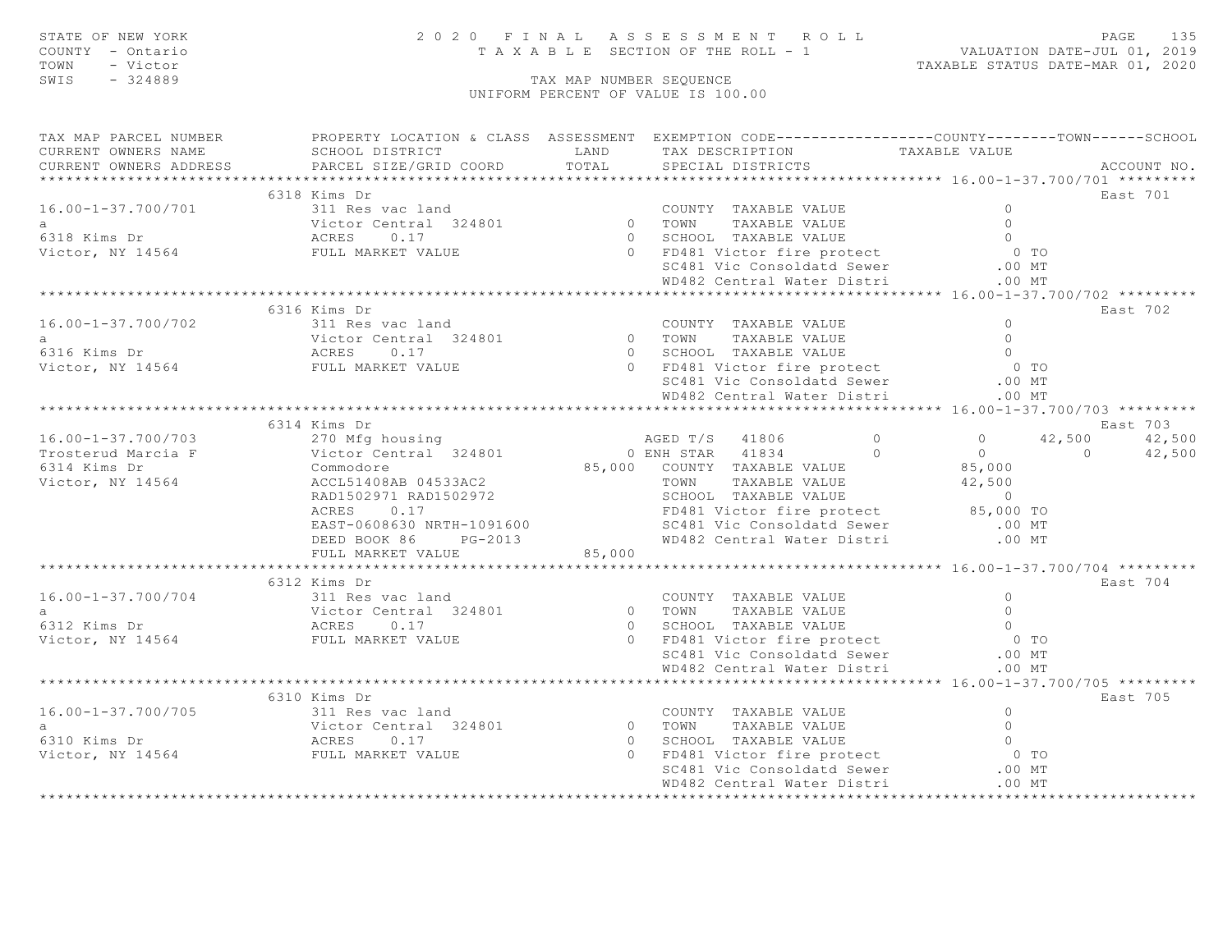| STATE OF NEW YORK                                                                                                                                                                                                                                                                                                                |                                                                                                                                                                                                                                                                                                                                                                                                                                               | FINAL ASSESSMENT ROLL (PACE 135<br>TAXABLE SECTION OF THE ROLL - 1 VALUATION DATE-JUL 01, 2019<br>TAXABLE STATUS DATE-MAR 01, 2020<br>2020 FINAL ASSESSMENT ROLL |             |
|----------------------------------------------------------------------------------------------------------------------------------------------------------------------------------------------------------------------------------------------------------------------------------------------------------------------------------|-----------------------------------------------------------------------------------------------------------------------------------------------------------------------------------------------------------------------------------------------------------------------------------------------------------------------------------------------------------------------------------------------------------------------------------------------|------------------------------------------------------------------------------------------------------------------------------------------------------------------|-------------|
| COUNTY - Ontario                                                                                                                                                                                                                                                                                                                 |                                                                                                                                                                                                                                                                                                                                                                                                                                               |                                                                                                                                                                  |             |
| TOWN - Victor                                                                                                                                                                                                                                                                                                                    |                                                                                                                                                                                                                                                                                                                                                                                                                                               |                                                                                                                                                                  |             |
| SWIS - 324889                                                                                                                                                                                                                                                                                                                    |                                                                                                                                                                                                                                                                                                                                                                                                                                               | TAX MAP NUMBER SEOUENCE                                                                                                                                          |             |
|                                                                                                                                                                                                                                                                                                                                  |                                                                                                                                                                                                                                                                                                                                                                                                                                               | UNIFORM PERCENT OF VALUE IS 100.00                                                                                                                               |             |
|                                                                                                                                                                                                                                                                                                                                  |                                                                                                                                                                                                                                                                                                                                                                                                                                               |                                                                                                                                                                  |             |
|                                                                                                                                                                                                                                                                                                                                  | TAX MAP PARCEL NUMBER THE PROPERTY LOCATION & CLASS ASSESSMENT EXEMPTION CODE--------------COUNTY--------TOWN------SCHOOL                                                                                                                                                                                                                                                                                                                     |                                                                                                                                                                  |             |
|                                                                                                                                                                                                                                                                                                                                  |                                                                                                                                                                                                                                                                                                                                                                                                                                               | SCHOOL DISTRICT                       LAND        TAX DESCRIPTION                 TAXABLE VALUE                                                                  |             |
|                                                                                                                                                                                                                                                                                                                                  |                                                                                                                                                                                                                                                                                                                                                                                                                                               |                                                                                                                                                                  | ACCOUNT NO. |
|                                                                                                                                                                                                                                                                                                                                  |                                                                                                                                                                                                                                                                                                                                                                                                                                               |                                                                                                                                                                  |             |
|                                                                                                                                                                                                                                                                                                                                  | 6318 Kims Dr                                                                                                                                                                                                                                                                                                                                                                                                                                  |                                                                                                                                                                  | East 701    |
|                                                                                                                                                                                                                                                                                                                                  |                                                                                                                                                                                                                                                                                                                                                                                                                                               |                                                                                                                                                                  |             |
|                                                                                                                                                                                                                                                                                                                                  |                                                                                                                                                                                                                                                                                                                                                                                                                                               |                                                                                                                                                                  |             |
|                                                                                                                                                                                                                                                                                                                                  |                                                                                                                                                                                                                                                                                                                                                                                                                                               |                                                                                                                                                                  |             |
|                                                                                                                                                                                                                                                                                                                                  |                                                                                                                                                                                                                                                                                                                                                                                                                                               |                                                                                                                                                                  |             |
|                                                                                                                                                                                                                                                                                                                                  |                                                                                                                                                                                                                                                                                                                                                                                                                                               |                                                                                                                                                                  |             |
|                                                                                                                                                                                                                                                                                                                                  | $\begin{array}{cccccccc} 16.00-1-37.700/701 & 311\; \text{Res}\; \text{vac}\; \text{land} & \text{COUNTY} & \text{TAXABLE VALUE} & 0 & \text{Last} /01 \\ \text{a} & 0 & \text{TOWN} & \text{TAXABLE VALUE} & 0 & 0 \\ 6318 \; \text{Kims}\; \text{Dr} & \text{ACRES} & 0.17 & 0 & \text{SCHOL} & \text{TAXABLE VALUE} & 0 \\ \text{Victor, NY 14564} & \text{FULL MARKET VALUE} & 0 & \text{SCHOL} & \text{TAXABLE VALUE} & 0 \\ \text{Vict$ |                                                                                                                                                                  |             |
|                                                                                                                                                                                                                                                                                                                                  | 6316 Kims Dr                                                                                                                                                                                                                                                                                                                                                                                                                                  |                                                                                                                                                                  | East 702    |
| 16.00-1-37.700/702                                                                                                                                                                                                                                                                                                               |                                                                                                                                                                                                                                                                                                                                                                                                                                               |                                                                                                                                                                  |             |
| $\alpha$ and $\alpha$ and $\alpha$ and $\alpha$ and $\alpha$ and $\alpha$ and $\alpha$ and $\alpha$ and $\alpha$ and $\alpha$ and $\alpha$ and $\alpha$ and $\alpha$ and $\alpha$ and $\alpha$ and $\alpha$ and $\alpha$ and $\alpha$ and $\alpha$ and $\alpha$ and $\alpha$ and $\alpha$ and $\alpha$ and $\alpha$ and $\alpha$ |                                                                                                                                                                                                                                                                                                                                                                                                                                               |                                                                                                                                                                  |             |
| a<br>6316 Kims Dr                                                                                                                                                                                                                                                                                                                |                                                                                                                                                                                                                                                                                                                                                                                                                                               |                                                                                                                                                                  |             |
| Victor, NY 14564                                                                                                                                                                                                                                                                                                                 | 6316 Kims Dr<br>311 Res vac land<br>Victor Central 324801 0 TOWN TAXABLE VALUE<br>ACRES 0.17 0 SCHOOL TAXABLE VALUE 0<br>FULL MARKET VALUE 0 FD481 Victor fire protect 0 TO<br>SC481 Vic Consoldatd Sewer 0.00 MT<br>WD482 Central Water D                                                                                                                                                                                                    |                                                                                                                                                                  |             |
|                                                                                                                                                                                                                                                                                                                                  |                                                                                                                                                                                                                                                                                                                                                                                                                                               |                                                                                                                                                                  |             |
|                                                                                                                                                                                                                                                                                                                                  |                                                                                                                                                                                                                                                                                                                                                                                                                                               |                                                                                                                                                                  |             |
|                                                                                                                                                                                                                                                                                                                                  | ********************                                                                                                                                                                                                                                                                                                                                                                                                                          |                                                                                                                                                                  |             |
|                                                                                                                                                                                                                                                                                                                                  | 6314 Kims Dr<br>$\begin{array}{cccccccc} \texttt{16.00-1-37.700/703} & \texttt{6314 Kims Dr} & \texttt{East 703} & \texttt{East 703} \\ \texttt{Trosterud Marcia F} & \texttt{2700 Mfg housing} & \texttt{AGED T/S} & \texttt{1806} & 0 & 0 & 42,500 & 42,500 \\ \texttt{firsted Marcia F} & \texttt{Victor Central 324801} & \texttt{0.85,000} & \texttt{0.85,000} & 0 & 42,500 & 0 & 42,500 \\ \texttt$                                     |                                                                                                                                                                  | East 703    |
|                                                                                                                                                                                                                                                                                                                                  |                                                                                                                                                                                                                                                                                                                                                                                                                                               |                                                                                                                                                                  |             |
|                                                                                                                                                                                                                                                                                                                                  |                                                                                                                                                                                                                                                                                                                                                                                                                                               |                                                                                                                                                                  |             |
|                                                                                                                                                                                                                                                                                                                                  |                                                                                                                                                                                                                                                                                                                                                                                                                                               |                                                                                                                                                                  |             |
|                                                                                                                                                                                                                                                                                                                                  |                                                                                                                                                                                                                                                                                                                                                                                                                                               |                                                                                                                                                                  |             |
|                                                                                                                                                                                                                                                                                                                                  |                                                                                                                                                                                                                                                                                                                                                                                                                                               |                                                                                                                                                                  |             |
|                                                                                                                                                                                                                                                                                                                                  |                                                                                                                                                                                                                                                                                                                                                                                                                                               |                                                                                                                                                                  |             |
|                                                                                                                                                                                                                                                                                                                                  |                                                                                                                                                                                                                                                                                                                                                                                                                                               |                                                                                                                                                                  |             |
|                                                                                                                                                                                                                                                                                                                                  |                                                                                                                                                                                                                                                                                                                                                                                                                                               |                                                                                                                                                                  |             |
|                                                                                                                                                                                                                                                                                                                                  | ****************************                                                                                                                                                                                                                                                                                                                                                                                                                  |                                                                                                                                                                  |             |
|                                                                                                                                                                                                                                                                                                                                  | 6312 Kims Dr                                                                                                                                                                                                                                                                                                                                                                                                                                  |                                                                                                                                                                  | East 704    |
|                                                                                                                                                                                                                                                                                                                                  |                                                                                                                                                                                                                                                                                                                                                                                                                                               |                                                                                                                                                                  |             |
|                                                                                                                                                                                                                                                                                                                                  |                                                                                                                                                                                                                                                                                                                                                                                                                                               |                                                                                                                                                                  |             |
|                                                                                                                                                                                                                                                                                                                                  |                                                                                                                                                                                                                                                                                                                                                                                                                                               |                                                                                                                                                                  |             |
|                                                                                                                                                                                                                                                                                                                                  | 16.00-1-37.700/704 6312 Kims Dr<br>a<br>6312 Kims Dr<br>6312 Kims Dr<br>6312 Kims Dr<br>ACRES 0.17 0 SCHOOL TAXABLE VALUE 0<br>FULL MARKET VALUE 0 FD481 Victor fire protect 0 TO<br>SC481 Victor fire protect 0 TO<br>SC481 Victor fire prot                                                                                                                                                                                                 |                                                                                                                                                                  |             |
|                                                                                                                                                                                                                                                                                                                                  |                                                                                                                                                                                                                                                                                                                                                                                                                                               |                                                                                                                                                                  |             |
|                                                                                                                                                                                                                                                                                                                                  |                                                                                                                                                                                                                                                                                                                                                                                                                                               |                                                                                                                                                                  |             |
|                                                                                                                                                                                                                                                                                                                                  | 6310 Kims Dr                                                                                                                                                                                                                                                                                                                                                                                                                                  |                                                                                                                                                                  | East 705    |
|                                                                                                                                                                                                                                                                                                                                  |                                                                                                                                                                                                                                                                                                                                                                                                                                               |                                                                                                                                                                  |             |
|                                                                                                                                                                                                                                                                                                                                  |                                                                                                                                                                                                                                                                                                                                                                                                                                               |                                                                                                                                                                  |             |
|                                                                                                                                                                                                                                                                                                                                  |                                                                                                                                                                                                                                                                                                                                                                                                                                               |                                                                                                                                                                  |             |
|                                                                                                                                                                                                                                                                                                                                  |                                                                                                                                                                                                                                                                                                                                                                                                                                               |                                                                                                                                                                  |             |
|                                                                                                                                                                                                                                                                                                                                  | $\begin{array}{cccccccc} \texttt{16.00-1-37.700/705} & \texttt{0.11} & \texttt{DE} & \texttt{0.11} & \texttt{0.12} & \texttt{0.13} & \texttt{0.14} & \texttt{0.15} & \texttt{0.16} & \texttt{0.17} & \texttt{0.17} & \texttt{0.16} & \texttt{0.17} & \texttt{0.17} & \texttt{0.17} & \texttt{0.17} & \texttt{0.18} & \texttt{0.18} & \texttt{0.19} & \texttt{0.19} & \$                                                                       |                                                                                                                                                                  |             |
|                                                                                                                                                                                                                                                                                                                                  |                                                                                                                                                                                                                                                                                                                                                                                                                                               |                                                                                                                                                                  |             |
|                                                                                                                                                                                                                                                                                                                                  |                                                                                                                                                                                                                                                                                                                                                                                                                                               |                                                                                                                                                                  |             |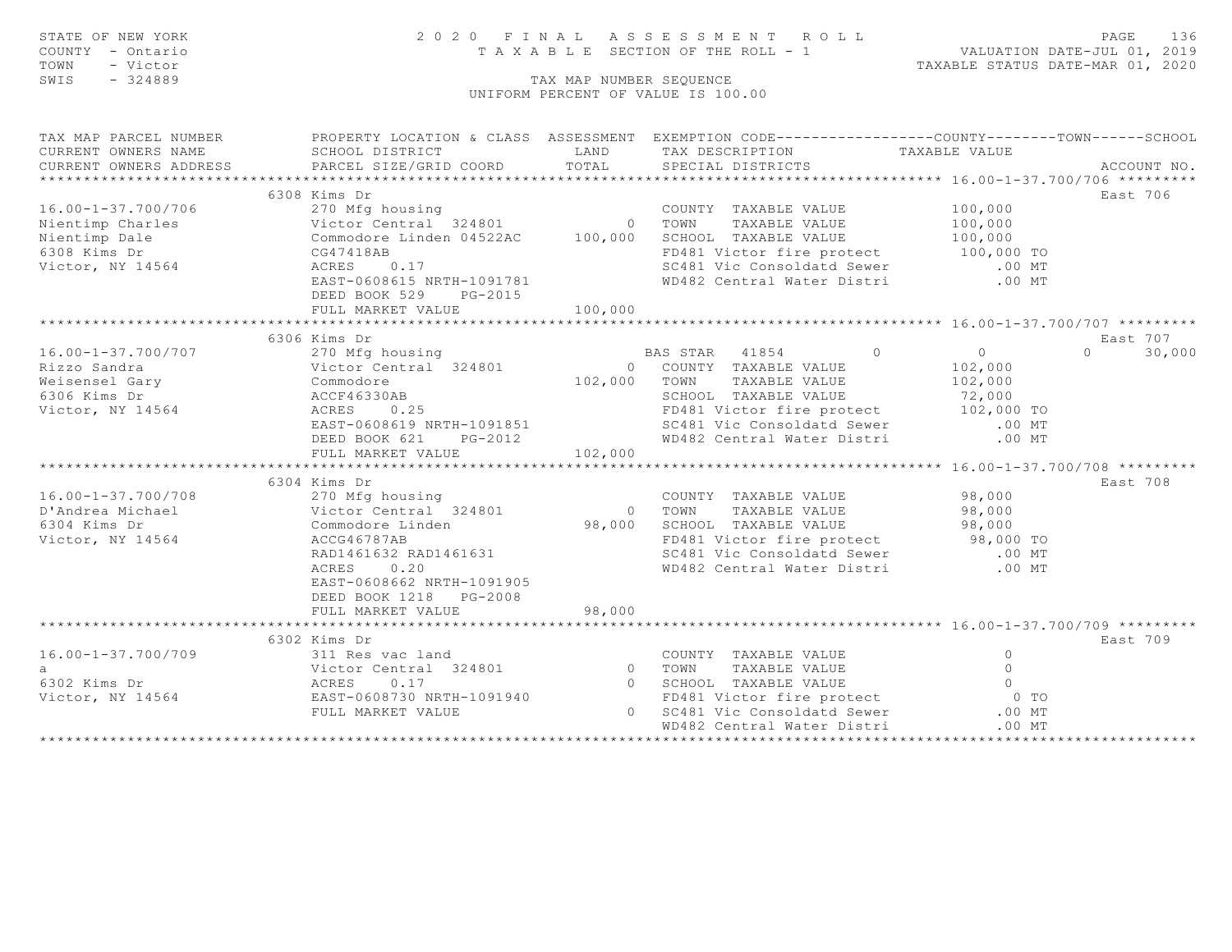| STATE OF NEW YORK                                                                                                                                                                                                                         |                                                                                              |                         | FINAL ASSESSMENT ROLL PALUATION DATE-JUL 01, 2019<br>TAXABLE SECTION OF THE ROLL - 1 VALUATION DATE-JUL 01, 2019<br>2020 FINAL ASSESSMENT ROLL |                        |             |        |
|-------------------------------------------------------------------------------------------------------------------------------------------------------------------------------------------------------------------------------------------|----------------------------------------------------------------------------------------------|-------------------------|------------------------------------------------------------------------------------------------------------------------------------------------|------------------------|-------------|--------|
| COUNTY - Ontario                                                                                                                                                                                                                          |                                                                                              |                         |                                                                                                                                                |                        |             |        |
| TOWN<br>- Victor                                                                                                                                                                                                                          |                                                                                              |                         |                                                                                                                                                |                        |             |        |
| SWIS<br>$-324889$                                                                                                                                                                                                                         |                                                                                              | TAX MAP NUMBER SEQUENCE |                                                                                                                                                |                        |             |        |
|                                                                                                                                                                                                                                           |                                                                                              |                         | UNIFORM PERCENT OF VALUE IS 100.00                                                                                                             |                        |             |        |
|                                                                                                                                                                                                                                           |                                                                                              |                         |                                                                                                                                                |                        |             |        |
| TAX MAP PARCEL NUMBER                                                                                                                                                                                                                     |                                                                                              |                         | PROPERTY LOCATION & CLASS ASSESSMENT EXEMPTION CODE-----------------COUNTY-------TOWN------SCHOOL                                              |                        |             |        |
| CURRENT OWNERS NAME                                                                                                                                                                                                                       | SCHOOL DISTRICT<br><b>LAND</b>                                                               |                         |                                                                                                                                                |                        |             |        |
| CURRENT OWNERS ADDRESS                                                                                                                                                                                                                    | PARCEL SIZE/GRID COORD                                                                       | TOTAL                   | TAX DESCRIPTION TAXABLE VALUE<br>SPECIAL DISTRICTS<br>SPECIAL DISTRICTS                                                                        |                        | ACCOUNT NO. |        |
|                                                                                                                                                                                                                                           |                                                                                              |                         |                                                                                                                                                |                        |             |        |
|                                                                                                                                                                                                                                           |                                                                                              |                         |                                                                                                                                                |                        | East 706    |        |
|                                                                                                                                                                                                                                           |                                                                                              |                         | COUNTY TAXABLE VALUE 100,000                                                                                                                   |                        |             |        |
|                                                                                                                                                                                                                                           |                                                                                              |                         |                                                                                                                                                |                        |             |        |
|                                                                                                                                                                                                                                           |                                                                                              |                         |                                                                                                                                                | $100,000$<br>$100,000$ |             |        |
|                                                                                                                                                                                                                                           |                                                                                              |                         | $FD481$ Victor fire protect $100,000$ TO                                                                                                       |                        |             |        |
|                                                                                                                                                                                                                                           |                                                                                              |                         |                                                                                                                                                |                        |             |        |
|                                                                                                                                                                                                                                           |                                                                                              |                         | SC481 Vic Consoldatd Sewer .00 MT<br>WD482 Central Water Distri .00 MT                                                                         |                        |             |        |
|                                                                                                                                                                                                                                           |                                                                                              |                         |                                                                                                                                                |                        |             |        |
|                                                                                                                                                                                                                                           | FULL MARKET VALUE                                                                            | 100,000                 |                                                                                                                                                |                        |             |        |
|                                                                                                                                                                                                                                           |                                                                                              |                         |                                                                                                                                                |                        |             |        |
|                                                                                                                                                                                                                                           | 6306 Kims Dr                                                                                 |                         |                                                                                                                                                |                        | East 707    |        |
| 16.00-1-37.700/707                                                                                                                                                                                                                        |                                                                                              |                         | BAS STAR 41854 0                                                                                                                               | $\overline{0}$         | $\Omega$    | 30,000 |
| Rizzo Sandra                                                                                                                                                                                                                              |                                                                                              |                         |                                                                                                                                                |                        |             |        |
| Weisensel Gary                                                                                                                                                                                                                            | 10/707<br>270 Mfg housing<br>Victor Central 324801 0<br>Commodore 102,000<br>1564 ACRES 0.25 |                         | 0 COUNTY TAXABLE VALUE 102,000<br>102,000 TOWN TAXABLE VALUE 102,000                                                                           |                        |             |        |
| 6306 Kims Dr                                                                                                                                                                                                                              |                                                                                              |                         | EUWN IAAADDE VADUE<br>SCHOOL TAXABLE VALUE 72,000<br>FD481 Victor fire protect 102,000 TO<br>SC481 Vic Consoldatd Sewer 00 MT                  |                        |             |        |
| Victor, NY 14564                                                                                                                                                                                                                          |                                                                                              |                         |                                                                                                                                                |                        |             |        |
|                                                                                                                                                                                                                                           |                                                                                              |                         |                                                                                                                                                |                        |             |        |
|                                                                                                                                                                                                                                           | EAST-0608619 NRTH-1091851<br>DEED BOOK 621 PG-2012                                           |                         | WD482 Central Water Distri                                                                                                                     | $.00$ MT               |             |        |
|                                                                                                                                                                                                                                           | FULL MARKET VALUE                                                                            | 102,000                 |                                                                                                                                                |                        |             |        |
|                                                                                                                                                                                                                                           |                                                                                              |                         |                                                                                                                                                |                        |             |        |
| 16.00-1-37.700/708 270 Mfg housing<br>16.00-1-37.700/708 270 Mfg housing<br>D'Andrea Michael Victor Central 324801 0 TOWN TAXABLE VALUE 98,000<br>6304 Kims Dr Commodore Linden 98,000 SCHOOL TAXABLE VALUE 98,000<br>Victor, NY 14564    |                                                                                              |                         |                                                                                                                                                |                        | East 708    |        |
|                                                                                                                                                                                                                                           |                                                                                              |                         |                                                                                                                                                |                        |             |        |
|                                                                                                                                                                                                                                           |                                                                                              |                         |                                                                                                                                                |                        |             |        |
|                                                                                                                                                                                                                                           |                                                                                              |                         |                                                                                                                                                |                        |             |        |
|                                                                                                                                                                                                                                           |                                                                                              |                         |                                                                                                                                                |                        |             |        |
|                                                                                                                                                                                                                                           |                                                                                              |                         | FD481 Victor fire protect 98,000 TO<br>SC481 Vic Consoldatd Sewer .00 MT                                                                       |                        |             |        |
|                                                                                                                                                                                                                                           | ACCG46787AB<br>RAD1461632 RAD1461631<br>ACRES 0.20<br>ACRES<br>0.20                          |                         | WD482 Central Water Distri .00 MT                                                                                                              |                        |             |        |
|                                                                                                                                                                                                                                           | EAST-0608662 NRTH-1091905                                                                    |                         |                                                                                                                                                |                        |             |        |
|                                                                                                                                                                                                                                           | DEED BOOK 1218 PG-2008                                                                       |                         |                                                                                                                                                |                        |             |        |
|                                                                                                                                                                                                                                           | FULL MARKET VALUE                                                                            | 98,000                  |                                                                                                                                                |                        |             |        |
|                                                                                                                                                                                                                                           | ***************                                                                              |                         |                                                                                                                                                |                        |             |        |
|                                                                                                                                                                                                                                           | 6302 Kims Dr                                                                                 |                         |                                                                                                                                                |                        | East 709    |        |
|                                                                                                                                                                                                                                           |                                                                                              |                         |                                                                                                                                                |                        |             |        |
|                                                                                                                                                                                                                                           |                                                                                              |                         |                                                                                                                                                |                        |             |        |
|                                                                                                                                                                                                                                           |                                                                                              |                         |                                                                                                                                                |                        |             |        |
|                                                                                                                                                                                                                                           |                                                                                              |                         |                                                                                                                                                |                        |             |        |
|                                                                                                                                                                                                                                           |                                                                                              |                         |                                                                                                                                                |                        |             |        |
| 16.00-1-37.700/709 311 Res vac land<br>a<br>victor Central 324801 0 TOWN TAXABLE VALUE 0<br>6302 Kims Dr ACRES 0.17 0<br>Victor, NY 14564 EAST-0608730 NRTH-1091940 PD481 Victor fire protect 0 TO<br>FULL MARKET VALUE 0<br>external sta |                                                                                              |                         |                                                                                                                                                |                        |             |        |
|                                                                                                                                                                                                                                           |                                                                                              |                         |                                                                                                                                                |                        |             |        |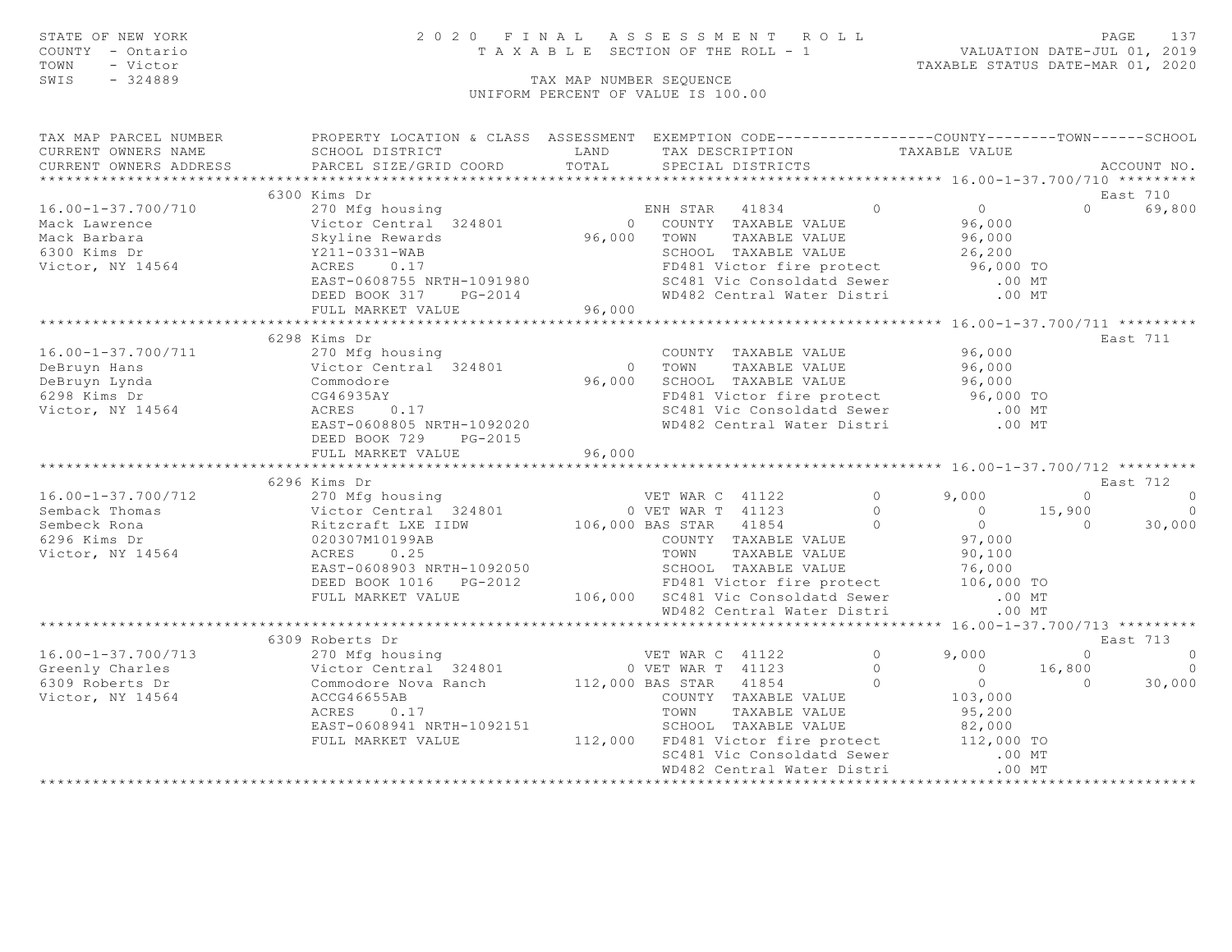| STATE OF NEW YORK | 2020 FINAL ASSESSMENT ROLL      |                                  | PAGE                        | 137 |
|-------------------|---------------------------------|----------------------------------|-----------------------------|-----|
| COUNTY - Ontario  | TAXABLE SECTION OF THE ROLL - 1 |                                  | VALUATION DATE-JUL 01, 2019 |     |
| TOWN<br>- Victor  |                                 | TAXABLE STATUS DATE-MAR 01, 2020 |                             |     |
| SWIS<br>$-324889$ | TAX MAP NUMBER SEOUENCE         |                                  |                             |     |

|  | UNIFORM PERCENT OF VALUE IS 100.00 |  |  |
|--|------------------------------------|--|--|
|  |                                    |  |  |

| TAX MAP PARCEL NUMBER      |                                                                                                                                                                 |        | PROPERTY LOCATION & CLASS ASSESSMENT EXEMPTION CODE----------------COUNTY-------TOWN------SCHOOL               |               |            |                |
|----------------------------|-----------------------------------------------------------------------------------------------------------------------------------------------------------------|--------|----------------------------------------------------------------------------------------------------------------|---------------|------------|----------------|
| CURRENT OWNERS NAME        | SCHOOL DISTRICT                                                                                                                                                 | LAND   | TAX DESCRIPTION                                                                                                | TAXABLE VALUE |            |                |
|                            |                                                                                                                                                                 |        |                                                                                                                |               |            |                |
|                            |                                                                                                                                                                 |        |                                                                                                                |               |            |                |
|                            | 6300 Kims Dr                                                                                                                                                    |        |                                                                                                                |               |            | East 710       |
| 16.00-1-37.700/710         |                                                                                                                                                                 |        |                                                                                                                |               |            | 0 69,800       |
| Mack Lawrence              |                                                                                                                                                                 |        |                                                                                                                |               |            |                |
| Mack Barbara               |                                                                                                                                                                 |        |                                                                                                                |               |            |                |
| 6300 Kims Dr               |                                                                                                                                                                 |        |                                                                                                                |               |            |                |
| Victor, NY 14564           | ACRES<br>0.17                                                                                                                                                   |        | FD481 Victor fire protect 96,000 TO                                                                            |               |            |                |
|                            | EAST-0608755 NRTH-1091980                                                                                                                                       |        |                                                                                                                |               |            |                |
|                            | DEED BOOK 317 PG-2014                                                                                                                                           |        | SC481 Vic Consoldatd Sewer .00 MT<br>WD482 Central Water Distri .00 MT                                         |               |            |                |
|                            | FULL MARKET VALUE                                                                                                                                               | 96,000 |                                                                                                                |               |            |                |
|                            |                                                                                                                                                                 |        |                                                                                                                |               |            |                |
|                            | 6298 Kims Dr                                                                                                                                                    |        |                                                                                                                |               |            | East 711       |
|                            |                                                                                                                                                                 |        |                                                                                                                |               |            |                |
|                            | 16.00-1-37.700/711 270 Mfg housing<br>DeBruyn Hans Victor Central 324801                                                                                        |        |                                                                                                                |               |            |                |
|                            |                                                                                                                                                                 |        |                                                                                                                |               |            |                |
|                            |                                                                                                                                                                 |        |                                                                                                                |               |            |                |
|                            | 0.17                                                                                                                                                            |        | 96,000 SCHOOL TAXABLE VALUE 96,000<br>FD481 Victor fire protect 96,000 TO<br>SC481 Vic Consoldatd Sewer .00 MT |               |            |                |
|                            | EAST-0608805 NRTH-1092020                                                                                                                                       |        | WD482 Central Water Distri .00 MT                                                                              |               |            |                |
|                            | DEED BOOK 729 PG-2015                                                                                                                                           |        |                                                                                                                |               |            |                |
|                            | FULL MARKET VALUE                                                                                                                                               | 96,000 |                                                                                                                |               |            |                |
|                            |                                                                                                                                                                 |        |                                                                                                                |               |            |                |
|                            | 6296 Kims Dr                                                                                                                                                    |        |                                                                                                                |               |            | East 712       |
| $16.00 - 1 - 37.700 / 712$ |                                                                                                                                                                 |        |                                                                                                                |               |            | $\overline{0}$ |
| Semback Thomas             |                                                                                                                                                                 |        |                                                                                                                |               |            | $\overline{0}$ |
| Sembeck Rona               |                                                                                                                                                                 |        |                                                                                                                |               |            |                |
|                            |                                                                                                                                                                 |        |                                                                                                                |               |            |                |
|                            |                                                                                                                                                                 |        |                                                                                                                |               |            | 30,000         |
| 6296 Kims Dr               |                                                                                                                                                                 |        |                                                                                                                |               |            |                |
| Victor, NY 14564           |                                                                                                                                                                 |        |                                                                                                                |               |            |                |
|                            | EAST-0608903 NRTH-1092050                                                                                                                                       |        | SCHOOL TAXABLE VALUE 76,000                                                                                    |               |            |                |
|                            | DEED BOOK 1016    PG-2012                                                                                                                                       |        |                                                                                                                |               |            |                |
|                            | FULL MARKET VALUE                                                                                                                                               |        | 5-2012 FD481 Victor fire protect 106,000 TO<br>106,000 SC481 Vic Consoldatd Sewer .00 MT                       |               |            |                |
|                            |                                                                                                                                                                 |        | WD482 Central Water Distri                                                                                     | $.00$ MT      |            |                |
|                            | **********************************                                                                                                                              |        |                                                                                                                |               |            |                |
|                            | 6309 Roberts Dr                                                                                                                                                 |        |                                                                                                                |               |            | East 713       |
| 16.00-1-37.700/713         |                                                                                                                                                                 |        |                                                                                                                |               | $\bigcirc$ | $\overline{0}$ |
| Greenly Charles            |                                                                                                                                                                 |        |                                                                                                                |               |            | $\overline{0}$ |
| 6309 Roberts Dr            |                                                                                                                                                                 |        |                                                                                                                |               |            | 30,000         |
| Victor, NY 14564           | 13 270 Mfg housing<br>Victor Central 324801 0 VET WAR T 41123 0 0 0 16,800<br>Commodore Nova Ranch 112,000 BAS STAR 41854 0 0 0<br>COUNTY TAXABLE VALUE 103,000 |        |                                                                                                                |               |            |                |
|                            | 0.17<br>ACRES                                                                                                                                                   |        | COUNTY TAXABLE VALUE<br>TOWN      TAXABLE VALUE                                                                | 95,200        |            |                |
|                            | EAST-0608941 NRTH-1092151                                                                                                                                       |        |                                                                                                                |               |            |                |
|                            | FULL MARKET VALUE                                                                                                                                               |        |                                                                                                                |               |            |                |
|                            |                                                                                                                                                                 |        | SC481 Vic Consoldatd Sewer .00 MT                                                                              |               |            |                |
|                            |                                                                                                                                                                 |        | WD482 Central Water Distri                                                                                     | .00MT         |            |                |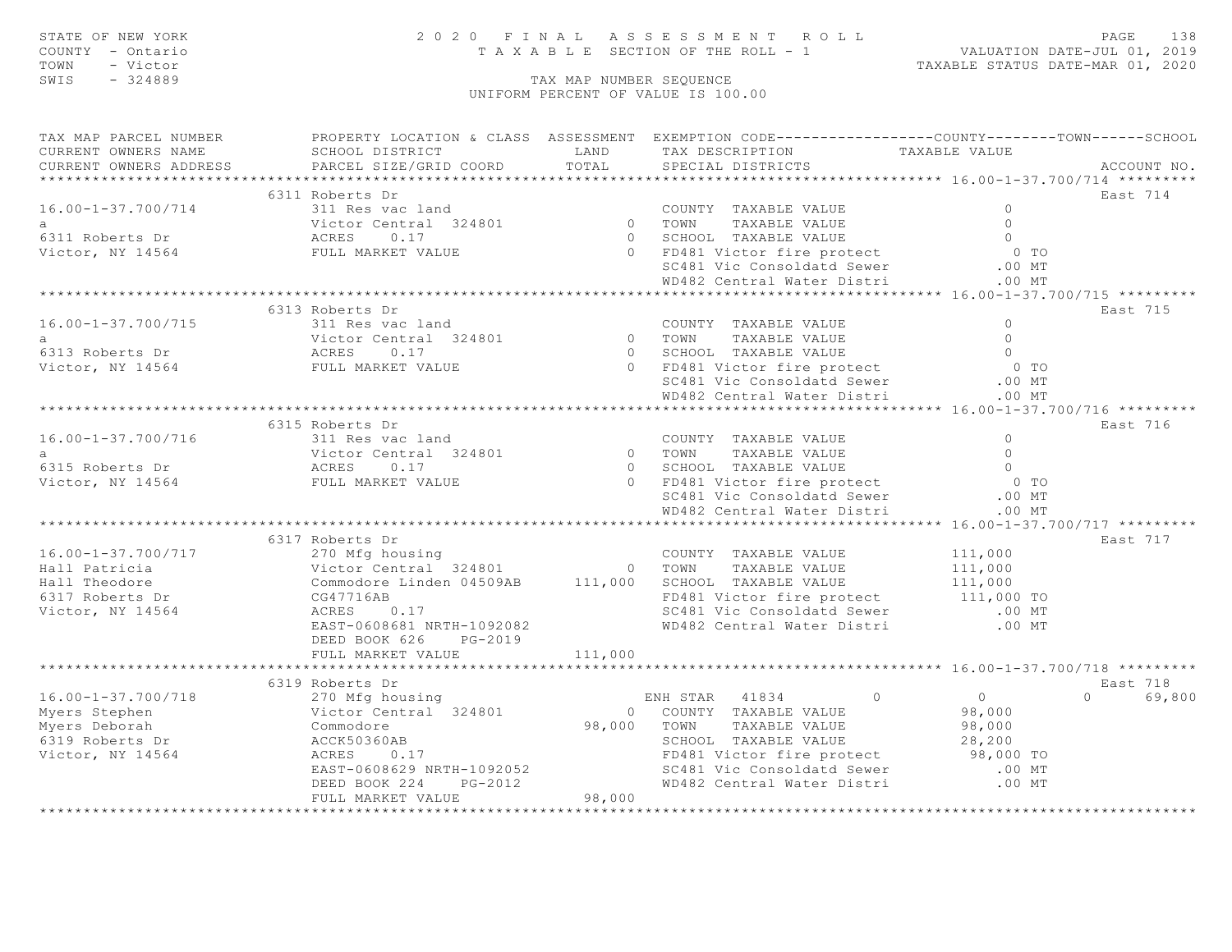| STATE OF NEW YORK          |                                                                                                                                                                                                                                                                                  | PAGE 138 & ASSESSMENT ROLL PAGE 138<br>TAXABLE SECTION OF THE ROLL - 1 VALUATION DATE-JUL 01, 2019<br>TAXABLE STATUS DATE-MAR 01, 2020<br>2020 FINAL ASSESSMENT ROLL |                |             |
|----------------------------|----------------------------------------------------------------------------------------------------------------------------------------------------------------------------------------------------------------------------------------------------------------------------------|----------------------------------------------------------------------------------------------------------------------------------------------------------------------|----------------|-------------|
| COUNTY - Ontario           |                                                                                                                                                                                                                                                                                  |                                                                                                                                                                      |                |             |
| TOWN - Victor              |                                                                                                                                                                                                                                                                                  |                                                                                                                                                                      |                |             |
| SWIS - 324889              |                                                                                                                                                                                                                                                                                  | TAX MAP NUMBER SEOUENCE                                                                                                                                              |                |             |
|                            |                                                                                                                                                                                                                                                                                  | UNIFORM PERCENT OF VALUE IS 100.00                                                                                                                                   |                |             |
|                            |                                                                                                                                                                                                                                                                                  |                                                                                                                                                                      |                |             |
|                            |                                                                                                                                                                                                                                                                                  |                                                                                                                                                                      |                |             |
|                            | TAX MAP PARCEL NUMBER <a> PROPERTY LOCATION &amp; CLASS ASSESSMENT EXEMPTION CODE--------------COUNTY-------TOWN------SCHOOL</a>                                                                                                                                                 |                                                                                                                                                                      |                |             |
| CURRENT OWNERS NAME        |                                                                                                                                                                                                                                                                                  |                                                                                                                                                                      |                |             |
|                            | CURRENT OWNERS ADDRESS FARCEL SIZE/GRID COORD TOTAL                                                                                                                                                                                                                              | SPECIAL DISTRICTS                                                                                                                                                    |                | ACCOUNT NO. |
|                            | 6311 Roberts Dr                                                                                                                                                                                                                                                                  |                                                                                                                                                                      |                | East 714    |
| $16.00 - 1 - 37.700 / 714$ | 16.00-1-37.700/714<br>311 Res vac land<br>311 Res vac land<br>324801 0 TOWN TAXABLE VALUE 0<br>6311 Roberts Dr ACRES 0.17 0 SCHOOL TAXABLE VALUE 0<br>Victor, NY 14564 FULL MARKET VALUE 0 FD481 Victor fire protect 0 TO<br>SC481 Vic Co                                        |                                                                                                                                                                      | $\overline{0}$ |             |
|                            |                                                                                                                                                                                                                                                                                  |                                                                                                                                                                      |                |             |
|                            |                                                                                                                                                                                                                                                                                  |                                                                                                                                                                      |                |             |
|                            |                                                                                                                                                                                                                                                                                  |                                                                                                                                                                      |                |             |
|                            |                                                                                                                                                                                                                                                                                  |                                                                                                                                                                      |                |             |
|                            |                                                                                                                                                                                                                                                                                  |                                                                                                                                                                      |                |             |
|                            |                                                                                                                                                                                                                                                                                  |                                                                                                                                                                      |                |             |
|                            | 6313 Roberts Dr                                                                                                                                                                                                                                                                  |                                                                                                                                                                      |                | East 715    |
|                            | $\begin{array}{cccccccc} 16.00-1-37.700/715 & 0313\;NODF & 0313\;NODF & 0313\;NODF & 0313\;NODF & 0313\;NODF & 0313\;NODF & 0313\;NODF & 0313\;NODF & 0313\;NODF & 0313\;NODF & 0313\;NODF & 0313\;NODF & 0313\;NODF & 0313\;NODF & 0313\;NODF & 0313\;NODF & 0313\;NODF & 0313$ |                                                                                                                                                                      |                |             |
|                            |                                                                                                                                                                                                                                                                                  |                                                                                                                                                                      |                |             |
|                            |                                                                                                                                                                                                                                                                                  |                                                                                                                                                                      |                |             |
|                            |                                                                                                                                                                                                                                                                                  |                                                                                                                                                                      |                |             |
|                            |                                                                                                                                                                                                                                                                                  |                                                                                                                                                                      |                |             |
|                            |                                                                                                                                                                                                                                                                                  |                                                                                                                                                                      |                |             |
|                            |                                                                                                                                                                                                                                                                                  |                                                                                                                                                                      |                |             |
|                            | 6315 Roberts Dr                                                                                                                                                                                                                                                                  |                                                                                                                                                                      |                | East 716    |
|                            |                                                                                                                                                                                                                                                                                  |                                                                                                                                                                      |                |             |
|                            |                                                                                                                                                                                                                                                                                  |                                                                                                                                                                      |                |             |
|                            |                                                                                                                                                                                                                                                                                  |                                                                                                                                                                      |                |             |
|                            |                                                                                                                                                                                                                                                                                  |                                                                                                                                                                      |                |             |
|                            |                                                                                                                                                                                                                                                                                  |                                                                                                                                                                      |                |             |
|                            |                                                                                                                                                                                                                                                                                  |                                                                                                                                                                      |                |             |
|                            |                                                                                                                                                                                                                                                                                  |                                                                                                                                                                      |                |             |
|                            | 6317 Roberts Dr                                                                                                                                                                                                                                                                  |                                                                                                                                                                      |                | East 717    |
|                            | 16.00-1-37.700/717<br>16.00-1-37.700/717<br>270 Mg housing<br>Hall Patricia 21801<br>270 Mg housing<br>Hall Theodore Commodore Linden 04509AB 111,000 SCHOOL TAXABLE VALUE 111,000<br>6317 Roberts Dr CG47716AB CG47716AB FD481 Victor                                           |                                                                                                                                                                      |                |             |
|                            |                                                                                                                                                                                                                                                                                  |                                                                                                                                                                      |                |             |
|                            |                                                                                                                                                                                                                                                                                  |                                                                                                                                                                      |                |             |
|                            |                                                                                                                                                                                                                                                                                  |                                                                                                                                                                      |                |             |
|                            |                                                                                                                                                                                                                                                                                  |                                                                                                                                                                      |                |             |
|                            |                                                                                                                                                                                                                                                                                  |                                                                                                                                                                      |                |             |
|                            |                                                                                                                                                                                                                                                                                  |                                                                                                                                                                      |                |             |
|                            | FULL MARKET VALUE 111,000                                                                                                                                                                                                                                                        |                                                                                                                                                                      |                |             |
|                            |                                                                                                                                                                                                                                                                                  |                                                                                                                                                                      |                |             |
|                            | 6319 Roberts Dr                                                                                                                                                                                                                                                                  |                                                                                                                                                                      |                | East 718    |
|                            |                                                                                                                                                                                                                                                                                  |                                                                                                                                                                      |                | 0 69,800    |
|                            |                                                                                                                                                                                                                                                                                  |                                                                                                                                                                      |                |             |
|                            |                                                                                                                                                                                                                                                                                  |                                                                                                                                                                      |                |             |
|                            |                                                                                                                                                                                                                                                                                  |                                                                                                                                                                      |                |             |
|                            |                                                                                                                                                                                                                                                                                  |                                                                                                                                                                      |                |             |
|                            |                                                                                                                                                                                                                                                                                  |                                                                                                                                                                      |                |             |
|                            |                                                                                                                                                                                                                                                                                  |                                                                                                                                                                      |                |             |
|                            |                                                                                                                                                                                                                                                                                  |                                                                                                                                                                      |                |             |
|                            |                                                                                                                                                                                                                                                                                  |                                                                                                                                                                      |                |             |
|                            |                                                                                                                                                                                                                                                                                  |                                                                                                                                                                      |                |             |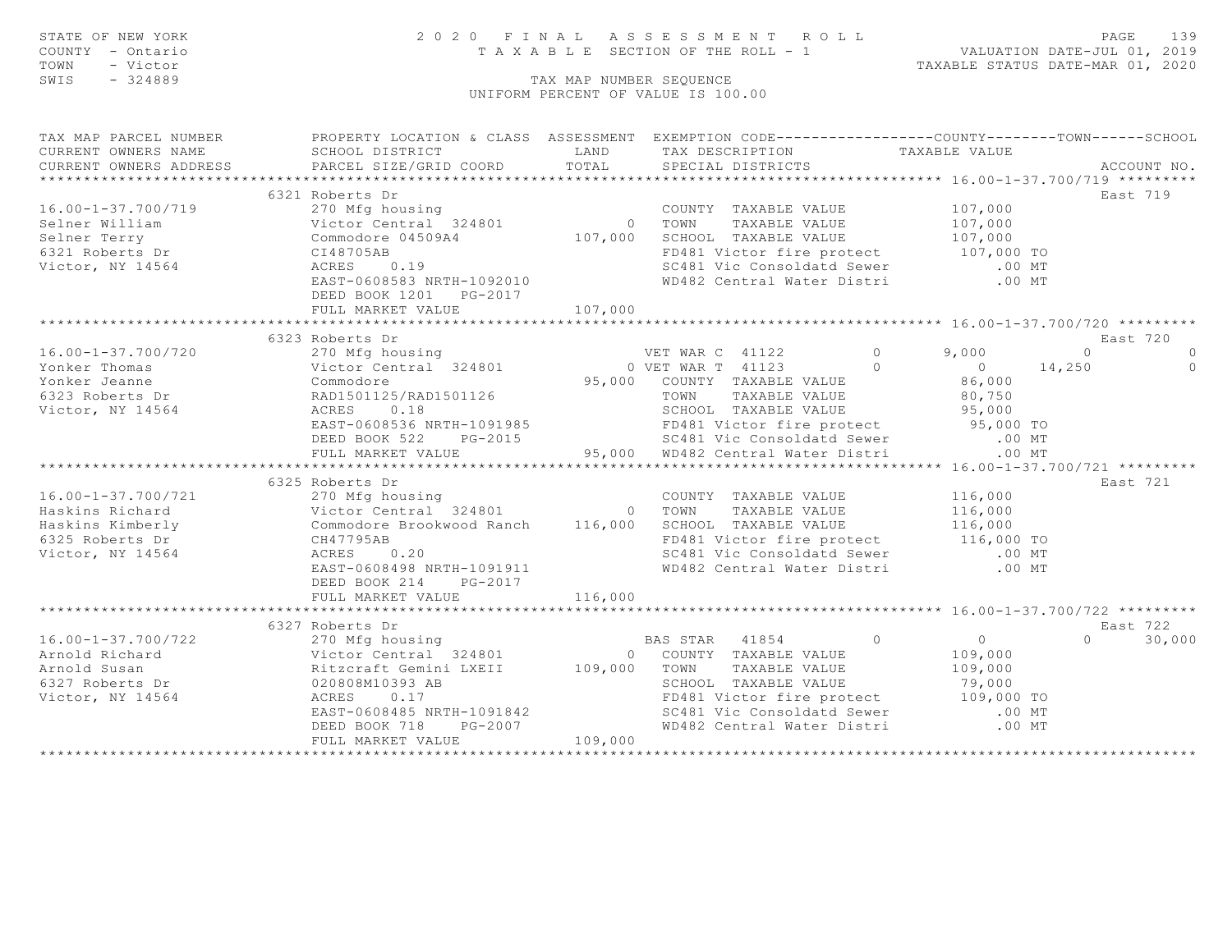| STATE OF NEW YORK                                                                                                                                                                                                                                     |                                      |                         |                                                                                                                                                                                                                               |                                                    |                  |
|-------------------------------------------------------------------------------------------------------------------------------------------------------------------------------------------------------------------------------------------------------|--------------------------------------|-------------------------|-------------------------------------------------------------------------------------------------------------------------------------------------------------------------------------------------------------------------------|----------------------------------------------------|------------------|
| COUNTY - Ontario                                                                                                                                                                                                                                      |                                      |                         |                                                                                                                                                                                                                               |                                                    |                  |
| TOWN<br>- Victor                                                                                                                                                                                                                                      |                                      |                         |                                                                                                                                                                                                                               |                                                    |                  |
| SWIS<br>$-324889$                                                                                                                                                                                                                                     |                                      | TAX MAP NUMBER SEQUENCE |                                                                                                                                                                                                                               |                                                    |                  |
|                                                                                                                                                                                                                                                       |                                      |                         | UNIFORM PERCENT OF VALUE IS 100.00                                                                                                                                                                                            |                                                    |                  |
|                                                                                                                                                                                                                                                       |                                      |                         |                                                                                                                                                                                                                               |                                                    |                  |
| TAX MAP PARCEL NUMBER <b>The PROPERTY LOCATION &amp; CLASS</b> ASSESSMENT EXEMPTION CODE--------------COUNTY-------TOWN------SCHOOL                                                                                                                   |                                      |                         |                                                                                                                                                                                                                               |                                                    |                  |
| CURRENT OWNERS NAME                                                                                                                                                                                                                                   | SCHOOL DISTRICT TAND TAX DESCRIPTION |                         |                                                                                                                                                                                                                               | TAXABLE VALUE                                      |                  |
| CURRENT OWNERS ADDRESS                                                                                                                                                                                                                                | PARCEL SIZE/GRID COORD               | TOTAL                   | SPECIAL DISTRICTS                                                                                                                                                                                                             |                                                    | ACCOUNT NO.      |
| *************************                                                                                                                                                                                                                             |                                      |                         |                                                                                                                                                                                                                               |                                                    |                  |
|                                                                                                                                                                                                                                                       | 6321 Roberts Dr                      |                         |                                                                                                                                                                                                                               |                                                    | East 719         |
| 16.00-1-37.700/719<br>270 Mfg housing<br>270 Mfg housing<br>270 Mfg housing<br>270 Mfg housing<br>270 Mfg housing<br>270 Mfg housing<br>270 Mfg housing<br>270 Mfg housing<br>270 Mfg housing<br>270 Mfg housing<br>270 Mfg housing<br>270 Mfg housin |                                      |                         |                                                                                                                                                                                                                               |                                                    |                  |
|                                                                                                                                                                                                                                                       |                                      |                         |                                                                                                                                                                                                                               |                                                    |                  |
|                                                                                                                                                                                                                                                       |                                      |                         |                                                                                                                                                                                                                               |                                                    |                  |
|                                                                                                                                                                                                                                                       |                                      |                         |                                                                                                                                                                                                                               |                                                    |                  |
|                                                                                                                                                                                                                                                       |                                      |                         |                                                                                                                                                                                                                               |                                                    |                  |
|                                                                                                                                                                                                                                                       |                                      |                         |                                                                                                                                                                                                                               |                                                    |                  |
|                                                                                                                                                                                                                                                       | DEED BOOK 1201    PG-2017            |                         |                                                                                                                                                                                                                               |                                                    |                  |
|                                                                                                                                                                                                                                                       | FULL MARKET VALUE 107,000            |                         |                                                                                                                                                                                                                               |                                                    |                  |
|                                                                                                                                                                                                                                                       |                                      |                         |                                                                                                                                                                                                                               |                                                    |                  |
|                                                                                                                                                                                                                                                       |                                      |                         |                                                                                                                                                                                                                               |                                                    | East 720         |
|                                                                                                                                                                                                                                                       |                                      |                         |                                                                                                                                                                                                                               |                                                    | $\Omega$         |
|                                                                                                                                                                                                                                                       |                                      |                         |                                                                                                                                                                                                                               |                                                    | $\Omega$         |
|                                                                                                                                                                                                                                                       |                                      |                         |                                                                                                                                                                                                                               |                                                    |                  |
|                                                                                                                                                                                                                                                       |                                      |                         |                                                                                                                                                                                                                               |                                                    |                  |
|                                                                                                                                                                                                                                                       |                                      |                         |                                                                                                                                                                                                                               |                                                    |                  |
|                                                                                                                                                                                                                                                       |                                      |                         |                                                                                                                                                                                                                               |                                                    |                  |
|                                                                                                                                                                                                                                                       |                                      |                         |                                                                                                                                                                                                                               |                                                    |                  |
|                                                                                                                                                                                                                                                       |                                      |                         |                                                                                                                                                                                                                               |                                                    |                  |
|                                                                                                                                                                                                                                                       |                                      |                         |                                                                                                                                                                                                                               | ********************* 16.00-1-37.700/721 ********* |                  |
|                                                                                                                                                                                                                                                       | 6325 Roberts Dr                      |                         |                                                                                                                                                                                                                               |                                                    | East 721         |
| 16.00-1-37.700/721 270 Mfg housing<br>Haskins Richard Victor Central 324801 0 TOWN TAXABLE VALUE 116,000<br>Haskins Kimberly Commodore Brookwood Ranch 116,000 SCHOOL TAXABLE VALUE 116,000<br>6325 Roberts Dr CH47795AB ACRES 0.20<br>               |                                      |                         |                                                                                                                                                                                                                               |                                                    |                  |
|                                                                                                                                                                                                                                                       |                                      |                         |                                                                                                                                                                                                                               |                                                    |                  |
|                                                                                                                                                                                                                                                       |                                      |                         |                                                                                                                                                                                                                               |                                                    |                  |
|                                                                                                                                                                                                                                                       |                                      |                         |                                                                                                                                                                                                                               |                                                    |                  |
|                                                                                                                                                                                                                                                       |                                      |                         | FD481 Victor fire protect 116,000 TO<br>SC481 Victor fire protect 116,000 TO<br>00 MT.                                                                                                                                        |                                                    |                  |
|                                                                                                                                                                                                                                                       | EAST-0608498 NRTH-1091911            |                         | WD482 Central Water Distri .00 MT                                                                                                                                                                                             |                                                    |                  |
|                                                                                                                                                                                                                                                       | DEED BOOK 214<br>PG-2017             |                         |                                                                                                                                                                                                                               |                                                    |                  |
|                                                                                                                                                                                                                                                       | FULL MARKET VALUE                    | 116,000                 |                                                                                                                                                                                                                               |                                                    |                  |
|                                                                                                                                                                                                                                                       | **************************           |                         |                                                                                                                                                                                                                               |                                                    |                  |
|                                                                                                                                                                                                                                                       | 6327 Roberts Dr                      |                         |                                                                                                                                                                                                                               |                                                    | East 722         |
|                                                                                                                                                                                                                                                       |                                      |                         |                                                                                                                                                                                                                               |                                                    | $\cap$<br>30,000 |
|                                                                                                                                                                                                                                                       |                                      |                         |                                                                                                                                                                                                                               |                                                    |                  |
| 6327 Roberts Dr<br>Arnold Richard 270 Mfg housing<br>Arnold Richard Victor Central 324801 0 COUNTY TAXABLE VALUE 109,000<br>Arnold Susan Ritzcraft Gemini LXEII 109,000 TOWN TAXABLE VALUE 109,000<br>6327 Roberts Dr<br>2020808M10393 A              |                                      |                         |                                                                                                                                                                                                                               |                                                    |                  |
|                                                                                                                                                                                                                                                       |                                      |                         |                                                                                                                                                                                                                               |                                                    |                  |
|                                                                                                                                                                                                                                                       |                                      |                         |                                                                                                                                                                                                                               |                                                    |                  |
|                                                                                                                                                                                                                                                       |                                      |                         |                                                                                                                                                                                                                               |                                                    |                  |
|                                                                                                                                                                                                                                                       | PG-2007<br>DEED BOOK 718             |                         |                                                                                                                                                                                                                               |                                                    |                  |
|                                                                                                                                                                                                                                                       | FULL MARKET VALUE                    |                         | The model of the protect and the model of the protect of the scalar victor fire protect and the scalar victors of the model of the model of the model of the model of the model of the model of the model of the model of the |                                                    |                  |
|                                                                                                                                                                                                                                                       |                                      |                         |                                                                                                                                                                                                                               |                                                    |                  |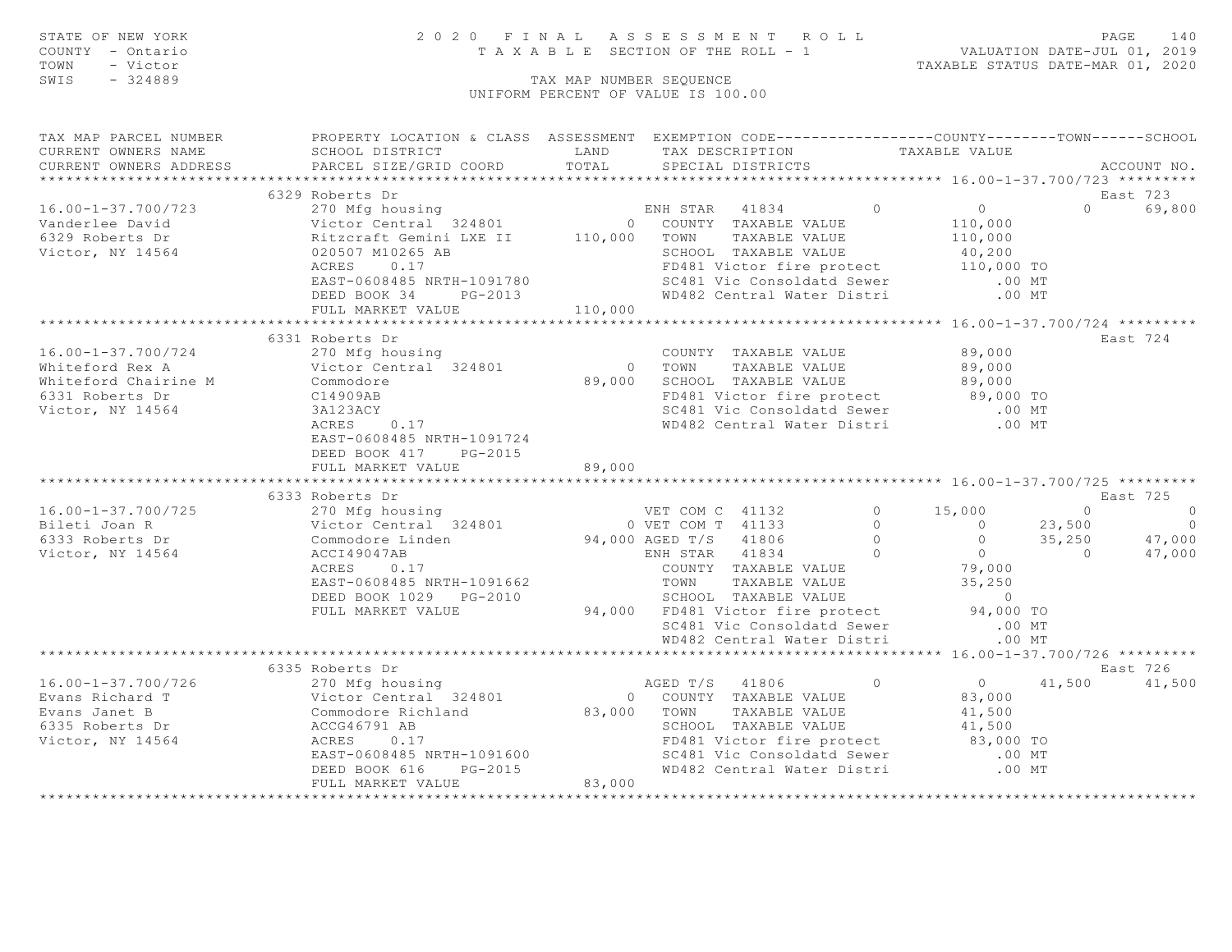| STATE OF NEW YORK                                                                                                                                                                                                                                                                                                                                                |                              |        | PAGE 140 PAGE 140 PAGE 140<br>TAXABLE SECTION OF THE ROLL - 1 VALUATION DATE-JUL 01, 2019<br>TAXABLE STATUS DATE-MAR 01, 2020<br>2020 FINAL ASSESSMENT ROLL |                                                 |
|------------------------------------------------------------------------------------------------------------------------------------------------------------------------------------------------------------------------------------------------------------------------------------------------------------------------------------------------------------------|------------------------------|--------|-------------------------------------------------------------------------------------------------------------------------------------------------------------|-------------------------------------------------|
| COUNTY - Ontario                                                                                                                                                                                                                                                                                                                                                 |                              |        |                                                                                                                                                             |                                                 |
| TOWN - Victor                                                                                                                                                                                                                                                                                                                                                    |                              |        |                                                                                                                                                             |                                                 |
| SWIS - 324889                                                                                                                                                                                                                                                                                                                                                    |                              |        | TAX MAP NUMBER SEQUENCE                                                                                                                                     |                                                 |
|                                                                                                                                                                                                                                                                                                                                                                  |                              |        | UNIFORM PERCENT OF VALUE IS 100.00                                                                                                                          |                                                 |
|                                                                                                                                                                                                                                                                                                                                                                  |                              |        |                                                                                                                                                             |                                                 |
| TAX MAP PARCEL NUMBER THE PROPERTY LOCATION & CLASS ASSESSMENT EXEMPTION CODE--------------COUNTY-------TOWN------SCHOOL                                                                                                                                                                                                                                         |                              |        |                                                                                                                                                             |                                                 |
| CURRENT OWNERS NAME                                                                                                                                                                                                                                                                                                                                              |                              |        | SCHOOL DISTRICT                    LAND       TAX DESCRIPTION                 TAXABLE VALUE                                                                 |                                                 |
| CURRENT OWNERS ADDRESS                                                                                                                                                                                                                                                                                                                                           | PARCEL SIZE/GRID COORD TOTAL |        | SPECIAL DISTRICTS                                                                                                                                           | ACCOUNT NO.                                     |
|                                                                                                                                                                                                                                                                                                                                                                  |                              |        |                                                                                                                                                             |                                                 |
|                                                                                                                                                                                                                                                                                                                                                                  | 6329 Roberts Dr              |        |                                                                                                                                                             | East 723                                        |
| 16.00-1-37.700/723 6329 Roberts Dr<br>Victor Central 324801 0 COUNTY TAXABLE VALUE<br>6329 Roberts Dr<br>Victor, NY 14564 020507 M10265 AB<br>Victor, NY 14564 020507 M10265 AB<br>DEED BOOK 3481 Victor (EAST-0608485 NRTH-1091780 sCH                                                                                                                          |                              |        |                                                                                                                                                             | $\overline{0}$<br>69,800                        |
|                                                                                                                                                                                                                                                                                                                                                                  |                              |        |                                                                                                                                                             |                                                 |
|                                                                                                                                                                                                                                                                                                                                                                  |                              |        |                                                                                                                                                             |                                                 |
|                                                                                                                                                                                                                                                                                                                                                                  |                              |        |                                                                                                                                                             |                                                 |
|                                                                                                                                                                                                                                                                                                                                                                  |                              |        |                                                                                                                                                             |                                                 |
|                                                                                                                                                                                                                                                                                                                                                                  |                              |        |                                                                                                                                                             |                                                 |
|                                                                                                                                                                                                                                                                                                                                                                  | FULL MARKET VALUE 110,000    |        |                                                                                                                                                             |                                                 |
|                                                                                                                                                                                                                                                                                                                                                                  |                              |        |                                                                                                                                                             |                                                 |
|                                                                                                                                                                                                                                                                                                                                                                  | 6331 Roberts Dr              |        |                                                                                                                                                             | East 724                                        |
|                                                                                                                                                                                                                                                                                                                                                                  |                              |        |                                                                                                                                                             |                                                 |
|                                                                                                                                                                                                                                                                                                                                                                  |                              |        |                                                                                                                                                             |                                                 |
|                                                                                                                                                                                                                                                                                                                                                                  |                              |        |                                                                                                                                                             |                                                 |
|                                                                                                                                                                                                                                                                                                                                                                  |                              |        |                                                                                                                                                             |                                                 |
|                                                                                                                                                                                                                                                                                                                                                                  |                              |        |                                                                                                                                                             |                                                 |
| 16.00-1-37.700/724<br>Whiteford Rex A Victor Central 324801<br>Whiteford Rex A Victor Central 324801<br>Whiteford Chairine M Commodore 89,000 SCHOOL TAXABLE VALUE 89,000<br>Whiteford Chairine M Commodore 89,000 SCHOOL TAXABLE V                                                                                                                              |                              |        |                                                                                                                                                             |                                                 |
|                                                                                                                                                                                                                                                                                                                                                                  | EAST-0608485 NRTH-1091724    |        |                                                                                                                                                             |                                                 |
|                                                                                                                                                                                                                                                                                                                                                                  | DEED BOOK 417 PG-2015        | 89,000 |                                                                                                                                                             |                                                 |
|                                                                                                                                                                                                                                                                                                                                                                  | FULL MARKET VALUE            |        |                                                                                                                                                             |                                                 |
|                                                                                                                                                                                                                                                                                                                                                                  | 6333 Roberts Dr              |        |                                                                                                                                                             |                                                 |
|                                                                                                                                                                                                                                                                                                                                                                  |                              |        |                                                                                                                                                             |                                                 |
|                                                                                                                                                                                                                                                                                                                                                                  |                              |        |                                                                                                                                                             |                                                 |
|                                                                                                                                                                                                                                                                                                                                                                  |                              |        |                                                                                                                                                             |                                                 |
|                                                                                                                                                                                                                                                                                                                                                                  |                              |        |                                                                                                                                                             |                                                 |
|                                                                                                                                                                                                                                                                                                                                                                  |                              |        |                                                                                                                                                             |                                                 |
|                                                                                                                                                                                                                                                                                                                                                                  |                              |        |                                                                                                                                                             |                                                 |
|                                                                                                                                                                                                                                                                                                                                                                  |                              |        |                                                                                                                                                             |                                                 |
|                                                                                                                                                                                                                                                                                                                                                                  |                              |        |                                                                                                                                                             |                                                 |
|                                                                                                                                                                                                                                                                                                                                                                  |                              |        |                                                                                                                                                             |                                                 |
|                                                                                                                                                                                                                                                                                                                                                                  |                              |        |                                                                                                                                                             |                                                 |
|                                                                                                                                                                                                                                                                                                                                                                  |                              |        |                                                                                                                                                             | ****************** 16.00-1-37.700/726 ********* |
|                                                                                                                                                                                                                                                                                                                                                                  |                              |        |                                                                                                                                                             |                                                 |
|                                                                                                                                                                                                                                                                                                                                                                  |                              |        |                                                                                                                                                             |                                                 |
| $\begin{tabular}{lllllllllllllllllllll} \textsc{16.00-1-37.700/726} & 6335 \text{ Roberts Dr} & \textsc{270 Mfg housing} & \textsc{335} & \textsc{Roberts Dr} & \textsc{10.00-1-37.700/726} & * \textsc{335} & \textsc{Roberts Dr} & \textsc{270 Mfg housing} & \textsc{335} & 41906 & 0 & 41,500 & 41,500 & 41,500 & 41,500 & 41,500 & 41,500 & 41,500 & 41,50$ |                              |        |                                                                                                                                                             |                                                 |
|                                                                                                                                                                                                                                                                                                                                                                  |                              |        |                                                                                                                                                             |                                                 |
|                                                                                                                                                                                                                                                                                                                                                                  |                              |        |                                                                                                                                                             |                                                 |
|                                                                                                                                                                                                                                                                                                                                                                  |                              |        |                                                                                                                                                             |                                                 |
|                                                                                                                                                                                                                                                                                                                                                                  |                              |        |                                                                                                                                                             |                                                 |
|                                                                                                                                                                                                                                                                                                                                                                  |                              |        |                                                                                                                                                             |                                                 |
|                                                                                                                                                                                                                                                                                                                                                                  |                              |        |                                                                                                                                                             |                                                 |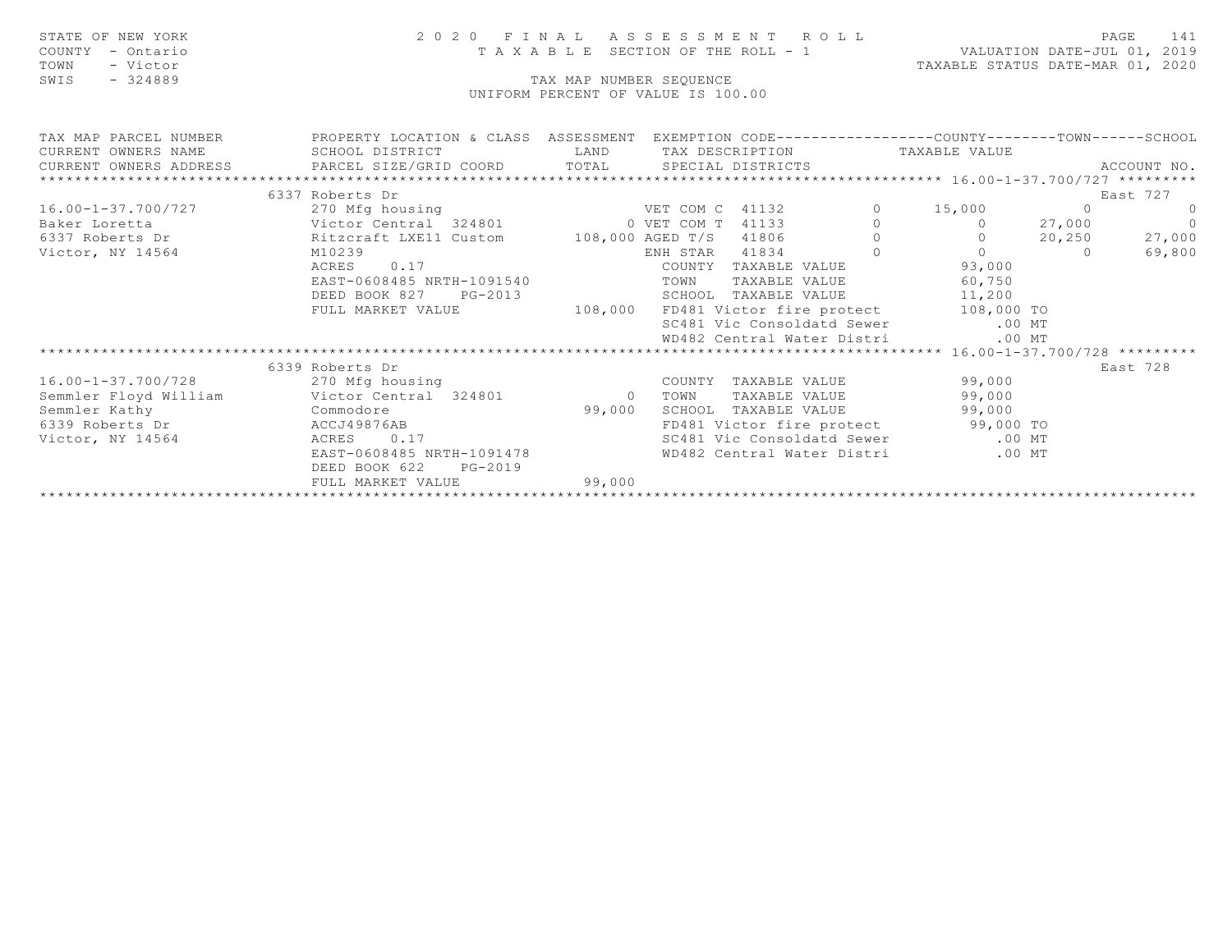| STATE OF NEW YORK<br>COUNTY - Ontario<br>TOWN<br>- Victor<br>$-324889$<br>SWIS | 2020 FINAL ASSESSMENT ROLL                                                                                                                                                                                                          | TAX MAP NUMBER SEQUENCE<br>UNIFORM PERCENT OF VALUE IS 100.00 |                                                                                                                        |  |  | U FINAL ASSESSMENT ROLL (PAGE 141)<br>TAXABLE SECTION OF THE ROLL - 1 VALUATION DATE-JUL 01, 2019<br>TAXABLE STATUS DATE-MAR 01, 2020 | PAGE<br>141    |
|--------------------------------------------------------------------------------|-------------------------------------------------------------------------------------------------------------------------------------------------------------------------------------------------------------------------------------|---------------------------------------------------------------|------------------------------------------------------------------------------------------------------------------------|--|--|---------------------------------------------------------------------------------------------------------------------------------------|----------------|
| CURRENT OWNERS NAME SCHOOL DISTRICT                                            | TAX MAP PARCEL NUMBER THE PROPERTY LOCATION & CLASS ASSESSMENT EXEMPTION CODE--------------COUNTY-------TOWN------SCHOOL                                                                                                            |                                                               |                                                                                                                        |  |  | LAND TAX DESCRIPTION TAXABLE VALUE                                                                                                    |                |
|                                                                                |                                                                                                                                                                                                                                     |                                                               |                                                                                                                        |  |  |                                                                                                                                       |                |
|                                                                                | 6337 Roberts Dr                                                                                                                                                                                                                     |                                                               |                                                                                                                        |  |  |                                                                                                                                       | East 727       |
|                                                                                |                                                                                                                                                                                                                                     |                                                               |                                                                                                                        |  |  |                                                                                                                                       | $\sim$ 0       |
|                                                                                |                                                                                                                                                                                                                                     |                                                               |                                                                                                                        |  |  |                                                                                                                                       | $\overline{0}$ |
|                                                                                |                                                                                                                                                                                                                                     |                                                               |                                                                                                                        |  |  |                                                                                                                                       | 27,000         |
|                                                                                | 16.00-1-37.700/727<br>Baker Loretta (16.00-1-37.700/727 270 Mfg housing<br>Baker Loretta (16.00-1-37.700/727 270 Mfg housing VET COM C 41132 0 15,000 0<br>6337 Roberts Dr Ritzcraft LXE11 Custom 108,000 AGED T/S 41806 0 0 20,250 |                                                               |                                                                                                                        |  |  |                                                                                                                                       | 69,800         |
|                                                                                |                                                                                                                                                                                                                                     |                                                               |                                                                                                                        |  |  |                                                                                                                                       |                |
|                                                                                | DEED BOOK 827 PG-2013                                                                                                                                                                                                               |                                                               |                                                                                                                        |  |  | SCHOOL TAXABLE VALUE 11,200                                                                                                           |                |
|                                                                                | FULL MARKET VALUE                                                                                                                                                                                                                   |                                                               |                                                                                                                        |  |  |                                                                                                                                       |                |
|                                                                                |                                                                                                                                                                                                                                     |                                                               | 108,000 FD481 Victor fire protect 108,000 TO<br>SC481 Vic Consoldatd Sewer .00 MT<br>WD482 Central Water Distri .00 MT |  |  |                                                                                                                                       |                |
|                                                                                |                                                                                                                                                                                                                                     |                                                               |                                                                                                                        |  |  |                                                                                                                                       |                |
|                                                                                |                                                                                                                                                                                                                                     |                                                               |                                                                                                                        |  |  | ***************** 16.00-1-37.700/728 *********                                                                                        |                |
|                                                                                | 6339 Roberts Dr                                                                                                                                                                                                                     |                                                               |                                                                                                                        |  |  |                                                                                                                                       | East 728       |
|                                                                                |                                                                                                                                                                                                                                     |                                                               |                                                                                                                        |  |  |                                                                                                                                       |                |
|                                                                                |                                                                                                                                                                                                                                     |                                                               |                                                                                                                        |  |  |                                                                                                                                       |                |
| Semmler Kathy Commodore                                                        |                                                                                                                                                                                                                                     |                                                               |                                                                                                                        |  |  | 99,000 SCHOOL TAXABLE VALUE 99,000                                                                                                    |                |
|                                                                                |                                                                                                                                                                                                                                     |                                                               |                                                                                                                        |  |  |                                                                                                                                       |                |
|                                                                                | Example 18 accompany comments of the contract of the contract of the ACCJ49876AB<br>Victor, NY 14564<br>EAST-0608485 NRTH-1091478                                                                                                   |                                                               |                                                                                                                        |  |  | FD481 Victor fire protect 99,000 TO<br>SC481 Vic Consoldatd Sewer .00 MT<br>WD482 Central Water Distri .00 MT                         |                |
|                                                                                |                                                                                                                                                                                                                                     |                                                               |                                                                                                                        |  |  |                                                                                                                                       |                |
|                                                                                | DEED BOOK 622<br>PG-2019                                                                                                                                                                                                            |                                                               |                                                                                                                        |  |  |                                                                                                                                       |                |
|                                                                                | FULL MARKET VALUE                                                                                                                                                                                                                   | 99,000                                                        |                                                                                                                        |  |  |                                                                                                                                       |                |
|                                                                                |                                                                                                                                                                                                                                     |                                                               |                                                                                                                        |  |  |                                                                                                                                       |                |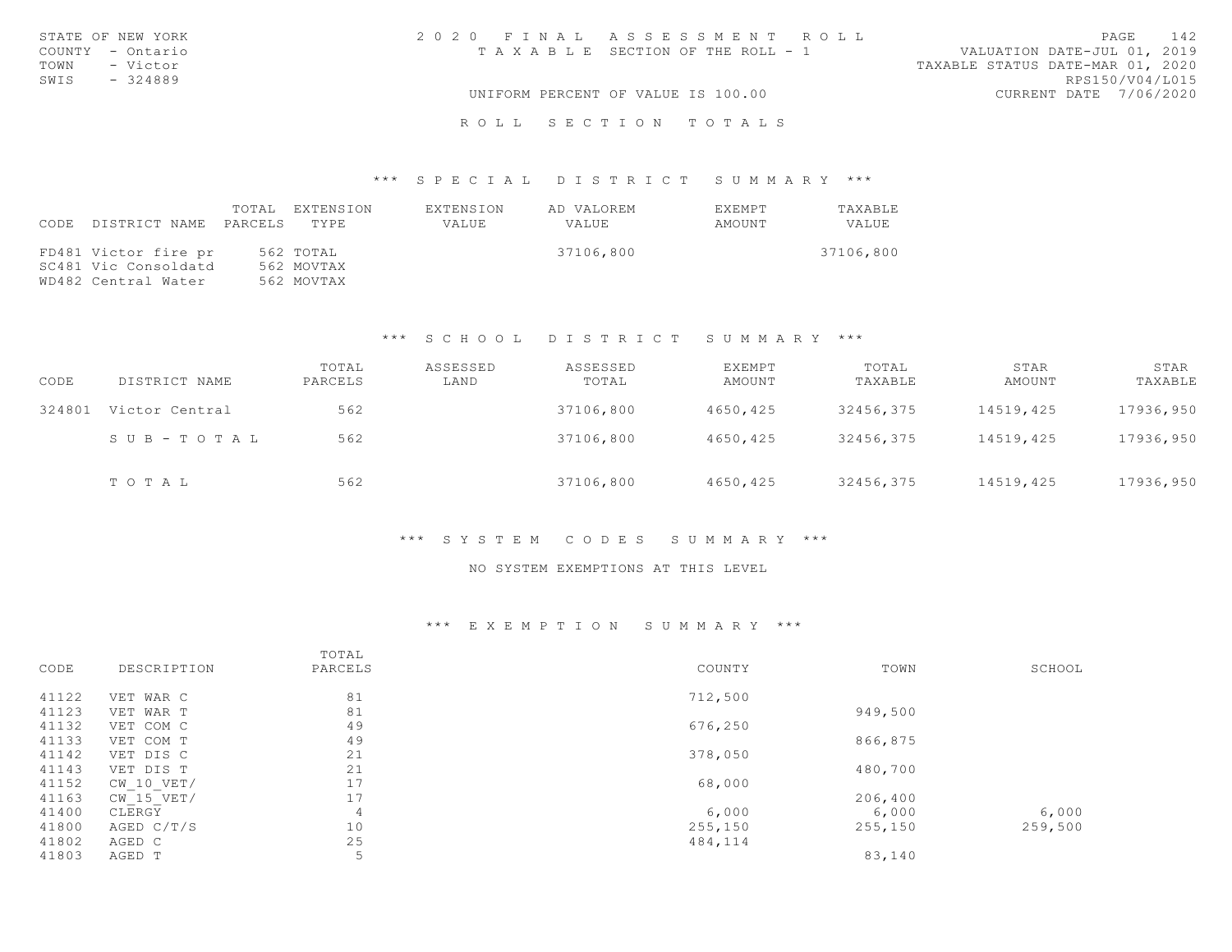|      | STATE OF NEW YORK | 2020 FINAL ASSESSMENT ROLL                                           | PAGE                   | 142 |
|------|-------------------|----------------------------------------------------------------------|------------------------|-----|
|      | COUNTY - Ontario  | VALUATION DATE-JUL 01, 2019<br>T A X A B L E SECTION OF THE ROLL - 1 |                        |     |
| TOWN | - Victor          | TAXABLE STATUS DATE-MAR 01, 2020                                     |                        |     |
| SWIS | $-324889$         |                                                                      | RPS150/V04/L015        |     |
|      |                   | UNIFORM PERCENT OF VALUE IS 100.00                                   | CURRENT DATE 7/06/2020 |     |
|      |                   | ROLL SECTION TOTALS                                                  |                        |     |

### \*\*\* S P E C I A L D I S T R I C T S U M M A R Y \*\*\*

| CODE | DISTRICT NAME PARCELS TYPE | TOTAL EXTENSION | EXTENSION<br>VALUE | AD VALOREM<br>VALUE | EXEMPT<br>AMOUNT | TAXABLE<br>VALUE |
|------|----------------------------|-----------------|--------------------|---------------------|------------------|------------------|
|      | FD481 Victor fire pr       | 562 TOTAL       |                    | 37106,800           |                  | 37106,800        |
|      | SC481 Vic Consoldatd       | 562 MOVTAX      |                    |                     |                  |                  |
|      | WD482 Central Water        | 562 MOVTAX      |                    |                     |                  |                  |

### \*\*\* S C H O O L D I S T R I C T S U M M A R Y \*\*\*

| CODE   | DISTRICT NAME          | TOTAL<br>PARCELS | ASSESSED<br>LAND | ASSESSED<br>TOTAL | EXEMPT<br>AMOUNT | TOTAL<br>TAXABLE | STAR<br>AMOUNT | STAR<br>TAXABLE |
|--------|------------------------|------------------|------------------|-------------------|------------------|------------------|----------------|-----------------|
| 324801 | Victor Central         | 562              |                  | 37106,800         | 4650,425         | 32456,375        | 14519,425      | 17936,950       |
|        | $S \cup B - T O T A L$ | 562              |                  | 37106,800         | 4650,425         | 32456,375        | 14519,425      | 17936,950       |
|        | TOTAL                  | 562              |                  | 37106,800         | 4650,425         | 32456,375        | 14519,425      | 17936,950       |

### \*\*\* S Y S T E M C O D E S S U M M A R Y \*\*\*

### NO SYSTEM EXEMPTIONS AT THIS LEVEL

#### \*\*\* E X E M P T I O N S U M M A R Y \*\*\*

|       |             | TOTAL          |         |         |         |
|-------|-------------|----------------|---------|---------|---------|
| CODE  | DESCRIPTION | PARCELS        | COUNTY  | TOWN    | SCHOOL  |
| 41122 | VET WAR C   | 81             | 712,500 |         |         |
| 41123 | VET WAR T   | 81             |         | 949,500 |         |
| 41132 | VET COM C   | 49             | 676,250 |         |         |
| 41133 | VET COM T   | 49             |         | 866,875 |         |
| 41142 | VET DIS C   | 21             | 378,050 |         |         |
| 41143 | VET DIS T   | 21             |         | 480,700 |         |
| 41152 | CW 10 VET/  | 17             | 68,000  |         |         |
| 41163 | CW 15 VET/  | 17             |         | 206,400 |         |
| 41400 | CLERGY      | $\overline{4}$ | 6,000   | 6,000   | 6,000   |
| 41800 | AGED C/T/S  | 10             | 255,150 | 255,150 | 259,500 |
| 41802 | AGED C      | 25             | 484,114 |         |         |
| 41803 | AGED T      | 5              |         | 83,140  |         |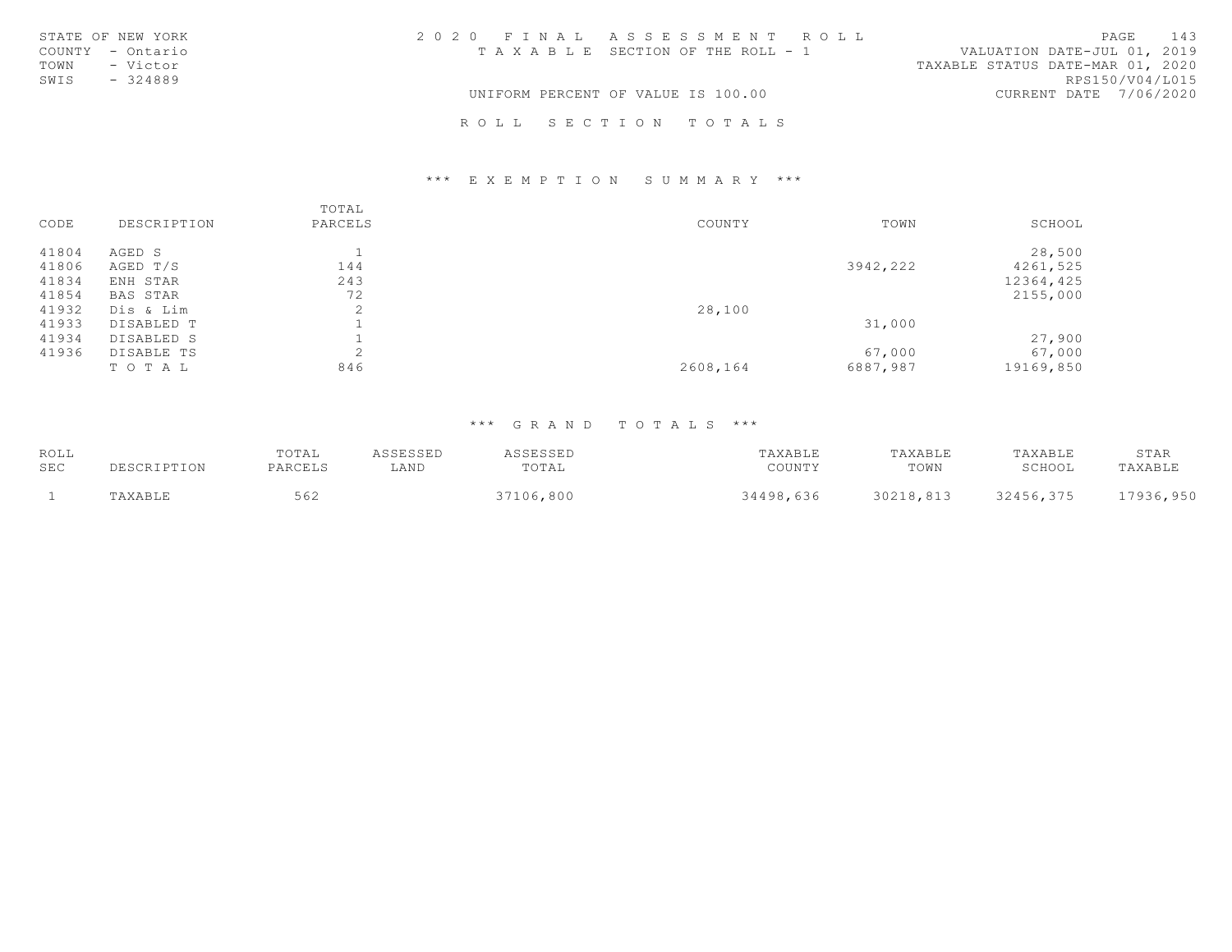| STATE OF NEW YORK | 2020 FINAL ASSESSMENT ROLL            |                                  | PAGE            | 143 |
|-------------------|---------------------------------------|----------------------------------|-----------------|-----|
| COUNTY - Ontario  | T A X A B L E SECTION OF THE ROLL - 1 | VALUATION DATE-JUL 01, 2019      |                 |     |
| - Victor<br>TOWN  |                                       | TAXABLE STATUS DATE-MAR 01, 2020 |                 |     |
| $-324889$<br>SWIS |                                       |                                  | RPS150/V04/L015 |     |
|                   | UNIFORM PERCENT OF VALUE IS 100.00    | CURRENT DATE 7/06/2020           |                 |     |
|                   | ROLL SECTION TOTALS                   |                                  |                 |     |

### \*\*\* E X E M P T I O N S U M M A R Y \*\*\*

|       |             | TOTAL           |          |          |           |
|-------|-------------|-----------------|----------|----------|-----------|
| CODE  | DESCRIPTION | PARCELS         | COUNTY   | TOWN     | SCHOOL    |
| 41804 | AGED S      |                 |          |          | 28,500    |
| 41806 | AGED T/S    | 144             |          | 3942,222 | 4261,525  |
| 41834 | ENH STAR    | 243             |          |          | 12364,425 |
| 41854 | BAS STAR    | 72              |          |          | 2155,000  |
| 41932 | Dis & Lim   | $\bigcap$<br>∠  | 28,100   |          |           |
| 41933 | DISABLED T  |                 |          | 31,000   |           |
| 41934 | DISABLED S  |                 |          |          | 27,900    |
| 41936 | DISABLE TS  | $\bigcirc$<br>∼ |          | 67,000   | 67,000    |
|       | TO TAL      | 846             | 2608,164 | 6887,987 | 19169,850 |

# \*\*\* G R A N D T O T A L S \*\*\*

| ROLL       |         | TOTAL   | <i>I</i> SSESSED | <i><b>\SSESSED</b></i> |               | 'AXABLE   | TAXABLE   | STAR      |
|------------|---------|---------|------------------|------------------------|---------------|-----------|-----------|-----------|
| <b>SEC</b> |         | PARCELS | LAND             | TOTAL                  | COUNTY        | TOWN      | SCHOOL    | TAXABLF   |
|            | TAXABLE | 562     |                  | 37106,800              | 34498<br>,636 | 30218,813 | 32456,375 | 17936,950 |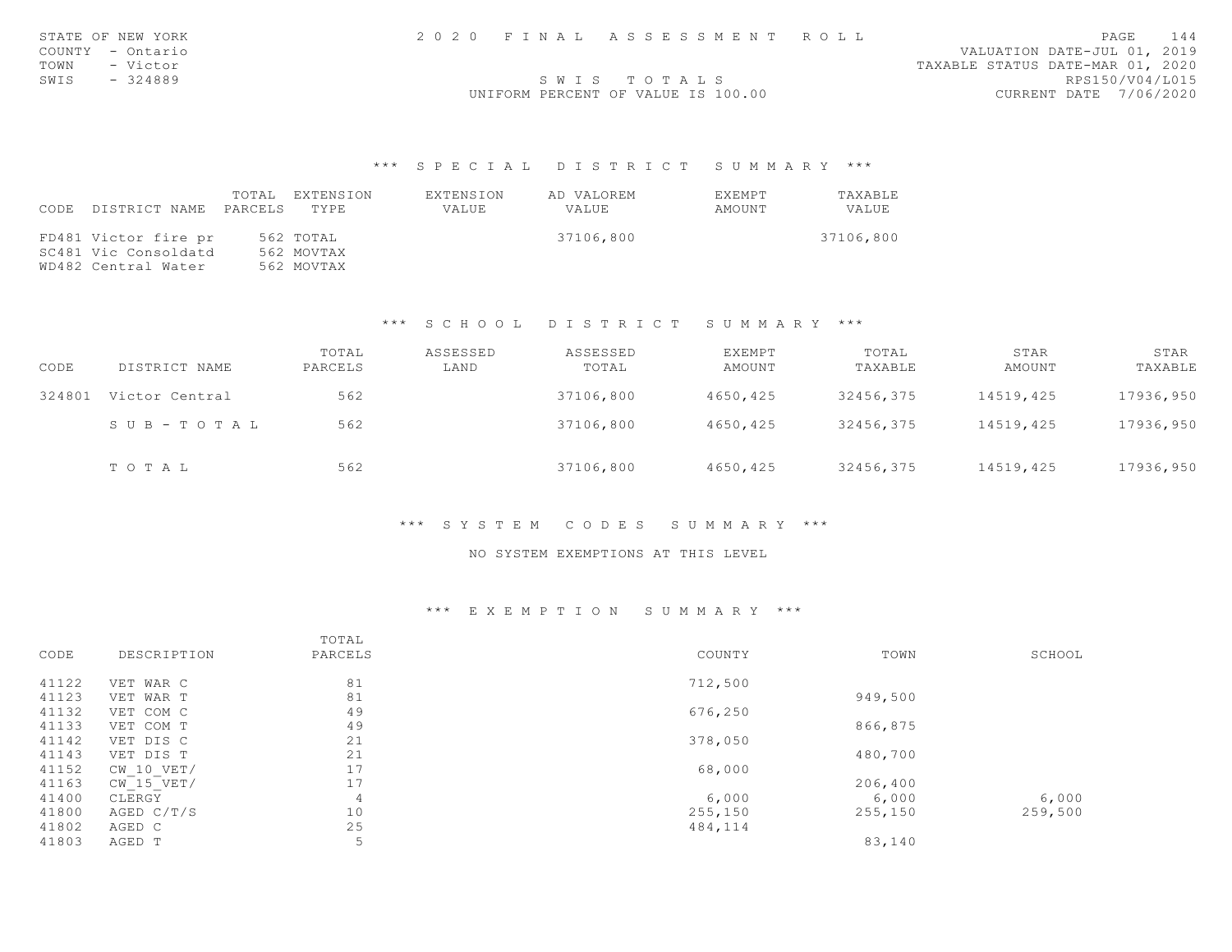| STATE OF NEW YORK | 2020 FINAL ASSESSMENT ROLL         | PAGE<br>144                      |
|-------------------|------------------------------------|----------------------------------|
| COUNTY - Ontario  |                                    | VALUATION DATE-JUL 01, 2019      |
| TOWN<br>- Victor  |                                    | TAXABLE STATUS DATE-MAR 01, 2020 |
| SWIS<br>- 324889  | SWIS TOTALS                        | RPS150/V04/L015                  |
|                   | UNIFORM PERCENT OF VALUE IS 100.00 | CURRENT DATE 7/06/2020           |

## \*\*\* S P E C I A L D I S T R I C T S U M M A R Y \*\*\*

| CODE | DISTRICT NAME        | PARCELS | TOTAL EXTENSION<br>TYPE | EXTENSION<br>VALUE | AD VALOREM<br>VALUE | EXEMPT<br>AMOUNT | TAXABLE<br>VALUE |
|------|----------------------|---------|-------------------------|--------------------|---------------------|------------------|------------------|
|      | FD481 Victor fire pr |         | 562 TOTAL               |                    | 37106,800           |                  | 37106,800        |
|      | SC481 Vic Consoldatd |         | 562 MOVTAX              |                    |                     |                  |                  |
|      | WD482 Central Water  |         | 562 MOVTAX              |                    |                     |                  |                  |

## \*\*\* S C H O O L D I S T R I C T S U M M A R Y \*\*\*

| CODE   | DISTRICT NAME             | TOTAL<br>PARCELS | ASSESSED<br>LAND | ASSESSED<br>TOTAL | EXEMPT<br>AMOUNT | TOTAL<br>TAXABLE | STAR<br>AMOUNT | STAR<br>TAXABLE |
|--------|---------------------------|------------------|------------------|-------------------|------------------|------------------|----------------|-----------------|
| 324801 | Victor Central            | 562              |                  | 37106,800         | 4650,425         | 32456,375        | 14519,425      | 17936,950       |
|        | $S \cup B - T \cup T A L$ | 562              |                  | 37106,800         | 4650,425         | 32456,375        | 14519,425      | 17936,950       |
|        | TOTAL                     | 562              |                  | 37106,800         | 4650,425         | 32456,375        | 14519,425      | 17936,950       |

### \*\*\* S Y S T E M C O D E S S U M M A R Y \*\*\*

### NO SYSTEM EXEMPTIONS AT THIS LEVEL

## \*\*\* E X E M P T I O N S U M M A R Y \*\*\*

|                | TOTAL       |         |         |         |
|----------------|-------------|---------|---------|---------|
|                |             |         |         | SCHOOL  |
| VET WAR C      | 81          | 712,500 |         |         |
| VET WAR T      | 81          |         | 949,500 |         |
| VET COM C      | 49          | 676,250 |         |         |
| VET COM T      | 49          |         | 866,875 |         |
| VET DIS C      | 21          | 378,050 |         |         |
| VET DIS T      | 21          |         | 480,700 |         |
| $CW$ 10 $VET/$ | 17          | 68,000  |         |         |
| $CW$ 15 $VET/$ | 17          |         | 206,400 |         |
| CLERGY         | 4           | 6,000   | 6,000   | 6,000   |
| AGED C/T/S     | 10          | 255,150 | 255,150 | 259,500 |
| AGED C         | 25          | 484,114 |         |         |
| AGED T         | 5           |         | 83,140  |         |
|                | DESCRIPTION | PARCELS | COUNTY  | TOWN    |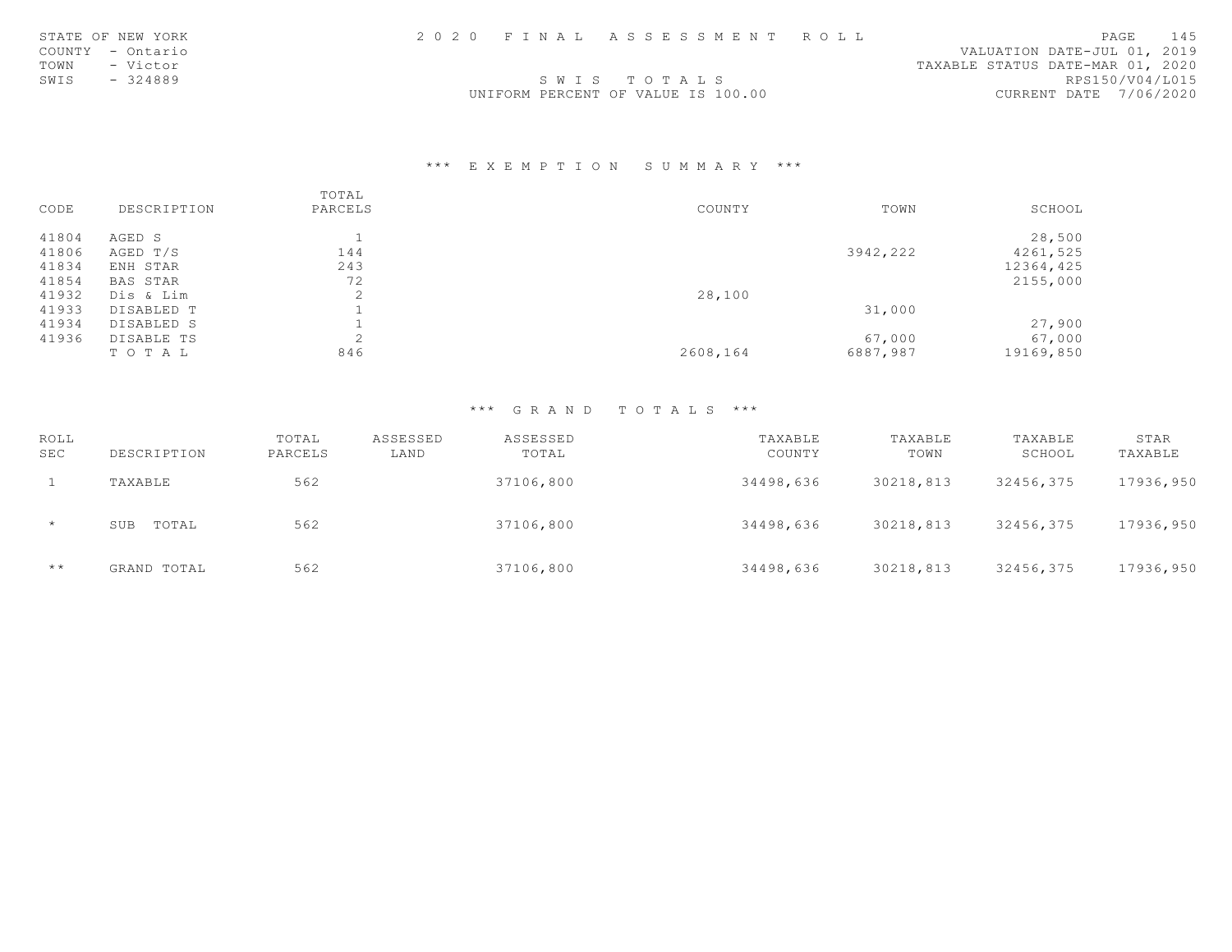|      | STATE OF NEW YORK |  | 2020 FINAL ASSESSMENT ROLL         |                                  | PAGE | 145 |
|------|-------------------|--|------------------------------------|----------------------------------|------|-----|
|      | COUNTY - Ontario  |  |                                    | VALUATION DATE-JUL 01, 2019      |      |     |
| TOWN | – Victor          |  |                                    | TAXABLE STATUS DATE-MAR 01, 2020 |      |     |
| SWIS | $-324889$         |  | SWIS TOTALS                        | RPS150/V04/L015                  |      |     |
|      |                   |  | UNIFORM PERCENT OF VALUE IS 100.00 | CURRENT DATE 7/06/2020           |      |     |

# \*\*\* E X E M P T I O N S U M M A R Y \*\*\*

|       |             | TOTAL   |          |          |           |
|-------|-------------|---------|----------|----------|-----------|
| CODE  | DESCRIPTION | PARCELS | COUNTY   | TOWN     | SCHOOL    |
| 41804 | AGED S      |         |          |          | 28,500    |
| 41806 | AGED T/S    | 144     |          | 3942,222 | 4261,525  |
| 41834 | ENH STAR    | 243     |          |          | 12364,425 |
| 41854 | BAS STAR    | 72      |          |          | 2155,000  |
| 41932 | Dis & Lim   | 2       | 28,100   |          |           |
| 41933 | DISABLED T  |         |          | 31,000   |           |
| 41934 | DISABLED S  |         |          |          | 27,900    |
| 41936 | DISABLE TS  | 2       |          | 67,000   | 67,000    |
|       | TO TAL      | 846     | 2608,164 | 6887,987 | 19169,850 |

# \*\*\* G R A N D T O T A L S \*\*\*

| ROLL<br>SEC  | DESCRIPTION  | TOTAL<br>PARCELS | ASSESSED<br>LAND | ASSESSED<br>TOTAL | TAXABLE<br>COUNTY | TAXABLE<br>TOWN | TAXABLE<br>SCHOOL | STAR<br>TAXABLE |
|--------------|--------------|------------------|------------------|-------------------|-------------------|-----------------|-------------------|-----------------|
|              | TAXABLE      | 562              |                  | 37106,800         | 34498,636         | 30218,813       | 32456,375         | 17936,950       |
| $\star$      | TOTAL<br>SUB | 562              |                  | 37106,800         | 34498,636         | 30218,813       | 32456,375         | 17936,950       |
| $\star\star$ | GRAND TOTAL  | 562              |                  | 37106,800         | 34498,636         | 30218,813       | 32456,375         | 17936,950       |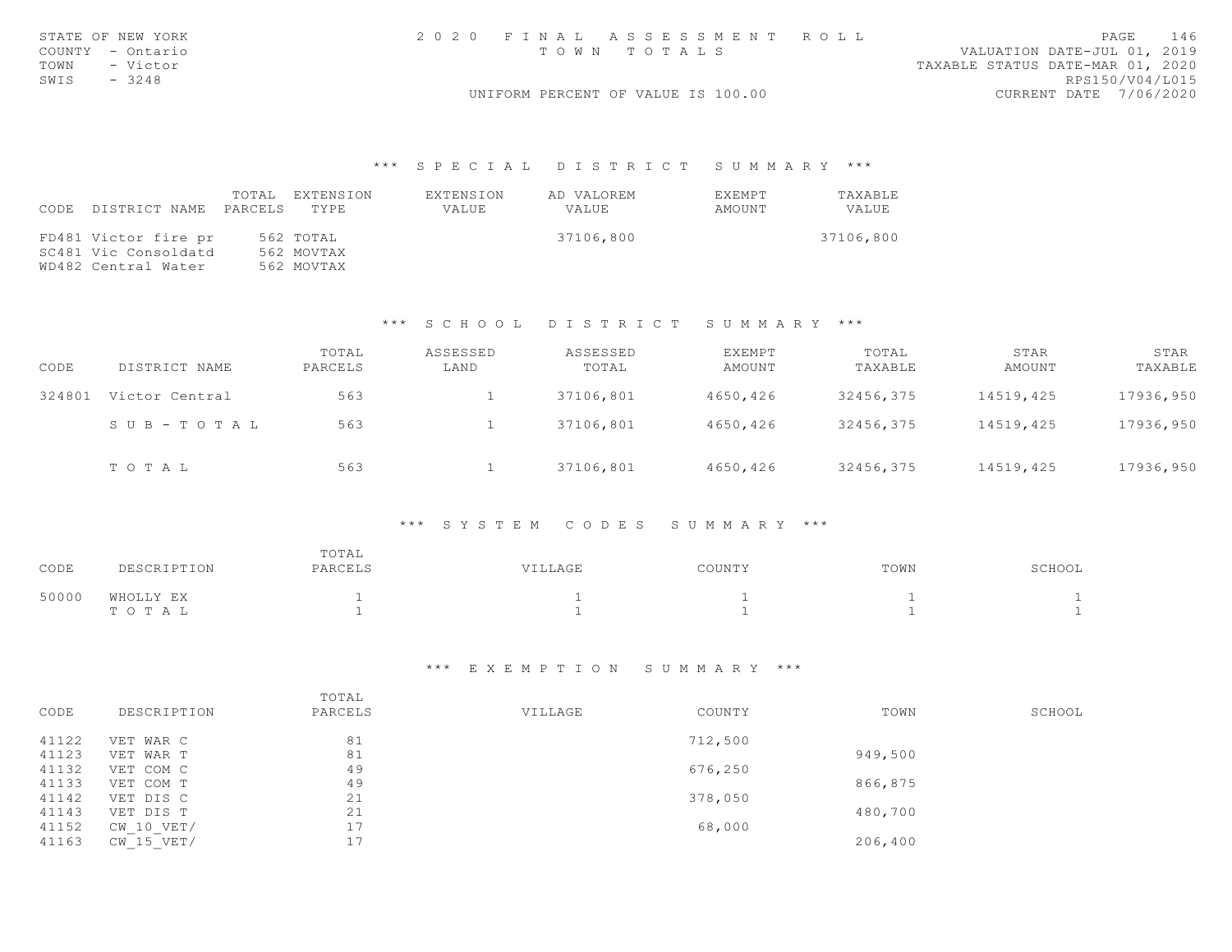| STATE OF NEW YORK<br>COUNTY<br>- Ontario<br>- Victor<br>TOWN<br>$-3248$<br>SWIS |                                       | 2020               | FINAL<br>A S S E S S M E N T<br>TOWN TOTALS<br>UNIFORM PERCENT OF VALUE IS 100.00 |                         | ROLL             | VALUATION DATE-JUL 01, 2019<br>TAXABLE STATUS DATE-MAR 01, 2020<br>CURRENT DATE | 146<br>PAGE<br>RPS150/V04/L015<br>7/06/2020 |
|---------------------------------------------------------------------------------|---------------------------------------|--------------------|-----------------------------------------------------------------------------------|-------------------------|------------------|---------------------------------------------------------------------------------|---------------------------------------------|
|                                                                                 | $\star\star\star$                     | SPECIAL            | DISTRICT                                                                          | SUMMARY ***             |                  |                                                                                 |                                             |
| TOTAL<br>PARCELS<br>CODE<br>DISTRICT NAME                                       | EXTENSION<br>TYPE                     | EXTENSION<br>VALUE | AD VALOREM<br>VALUE                                                               | EXEMPT<br><b>AMOUNT</b> | TAXABLE<br>VALUE |                                                                                 |                                             |
| FD481 Victor fire pr<br>SC481 Vic Consoldatd<br>WD482 Central Water             | 562 TOTAL<br>562 MOVTAX<br>562 MOVTAX |                    | 37106,800                                                                         |                         | 37106,800        |                                                                                 |                                             |
|                                                                                 | * * *                                 | S C H O O L        | DISTRICT                                                                          | SUMMARY ***             |                  |                                                                                 |                                             |
| DISTRICT NAME<br>CODE                                                           | TOTAL<br>PARCELS                      | ASSESSED<br>LAND   | ASSESSED<br>TOTAL                                                                 | EXEMPT<br>AMOUNT        | TOTAL<br>TAXABLE | STAR<br>AMOUNT                                                                  | STAR<br>TAXABLE                             |
| 324801<br>Victor Central                                                        | 563                                   | $\mathbf{1}$       | 37106,801                                                                         | 4650,426                | 32456,375        | 14519,425                                                                       | 17936,950                                   |
| $S$ U B - T O T A L                                                             | 563                                   | 1                  | 37106,801                                                                         | 4650,426                | 32456,375        | 14519,425                                                                       | 17936,950                                   |

# \*\*\* S Y S T E M C O D E S S U M M A R Y \*\*\*

T O T A L 563 1 37106,801 4650,426 32456,375 14519,425 17936,950

| CODE  | DESCRIPTION        | TOTAL<br>PARCELS | 'ILLAGE | COUNTY | TOWN | SCHOOL |
|-------|--------------------|------------------|---------|--------|------|--------|
| 50000 | WHOLLY EX<br>TOTAL |                  |         |        |      |        |

## \*\*\* E X E M P T I O N S U M M A R Y \*\*\*

|       |                | TOTAL                      |         |         |         |        |
|-------|----------------|----------------------------|---------|---------|---------|--------|
| CODE  | DESCRIPTION    | PARCELS                    | VILLAGE | COUNTY  | TOWN    | SCHOOL |
| 41122 | VET WAR C      | 81                         |         | 712,500 |         |        |
| 41123 | VET WAR T      | 81                         |         |         | 949,500 |        |
| 41132 | VET COM C      | 49                         |         | 676,250 |         |        |
| 41133 | VET COM T      | 49                         |         |         | 866,875 |        |
| 41142 | VET DIS C      | 21                         |         | 378,050 |         |        |
| 41143 | VET DIS T      | 21                         |         |         | 480,700 |        |
| 41152 | $CW$ 10 $VET/$ | 1 <sub>7</sub><br><b>L</b> |         | 68,000  |         |        |
| 41163 | $CW$ 15 $VET/$ | $\sim$<br>Ψ.               |         |         | 206,400 |        |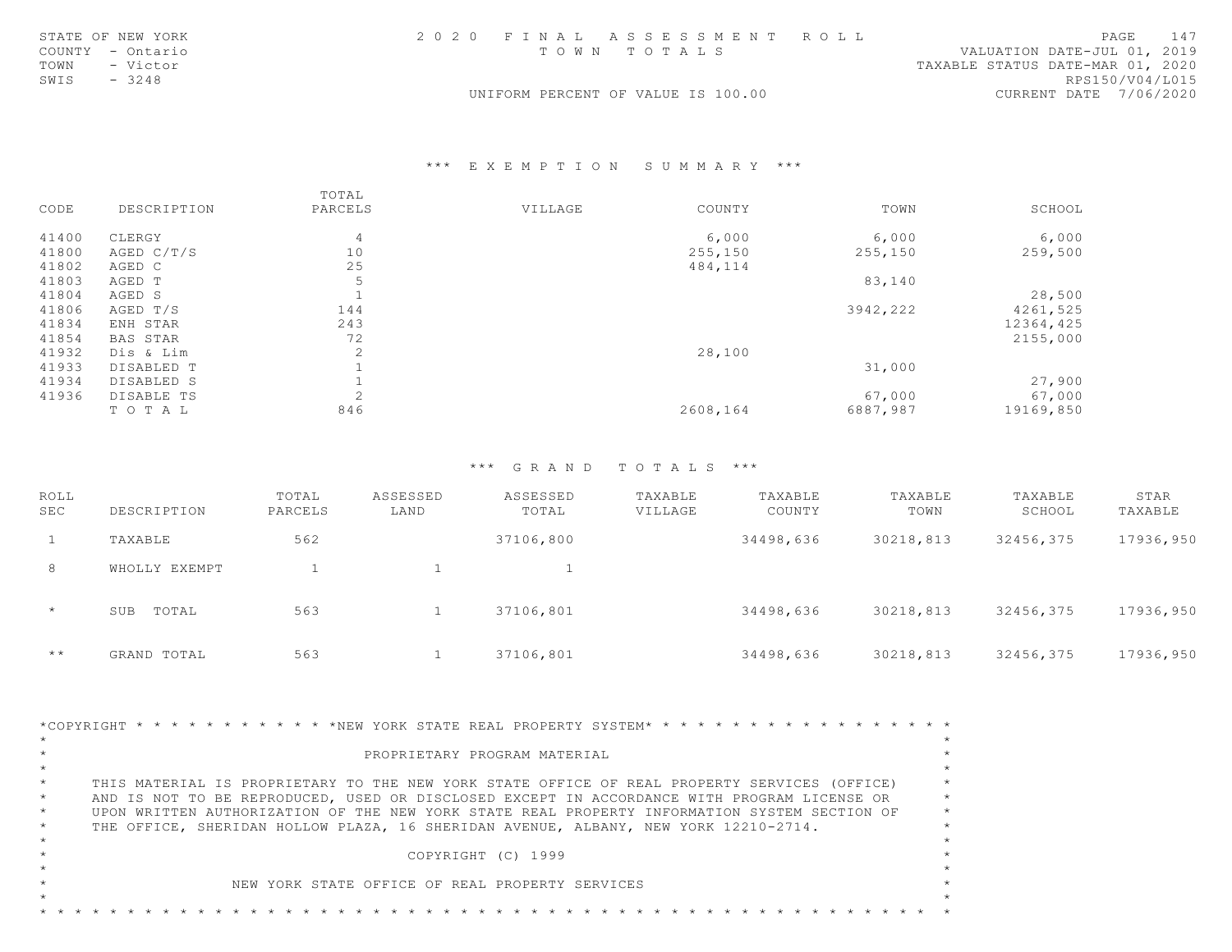|      | STATE OF NEW YORK | 2020 FINAL ASSESSMENT ROLL         |                             | 147<br>PAGE     |
|------|-------------------|------------------------------------|-----------------------------|-----------------|
|      | COUNTY - Ontario  | TOWN TOTALS                        | VALUATION DATE-JUL 01, 2019 |                 |
| TOWN | - Victor          | TAXABLE STATUS DATE-MAR 01, 2020   |                             |                 |
| SWIS | $-3248$           |                                    |                             | RPS150/V04/L015 |
|      |                   | UNIFORM PERCENT OF VALUE IS 100.00 | CURRENT DATE 7/06/2020      |                 |

# \*\*\* E X E M P T I O N S U M M A R Y \*\*\*

|       |             | TOTAL          |         |          |          |           |
|-------|-------------|----------------|---------|----------|----------|-----------|
| CODE  | DESCRIPTION | PARCELS        | VILLAGE | COUNTY   | TOWN     | SCHOOL    |
| 41400 | CLERGY      | $\overline{4}$ |         | 6,000    | 6,000    | 6,000     |
| 41800 | AGED C/T/S  | 10             |         | 255,150  | 255,150  | 259,500   |
| 41802 | AGED C      | 25             |         | 484,114  |          |           |
| 41803 | AGED T      | 5              |         |          | 83,140   |           |
| 41804 | AGED S      |                |         |          |          | 28,500    |
| 41806 | AGED T/S    | 144            |         |          | 3942,222 | 4261,525  |
| 41834 | ENH STAR    | 243            |         |          |          | 12364,425 |
| 41854 | BAS STAR    | 72             |         |          |          | 2155,000  |
| 41932 | Dis & Lim   | 2              |         | 28,100   |          |           |
| 41933 | DISABLED T  |                |         |          | 31,000   |           |
| 41934 | DISABLED S  |                |         |          |          | 27,900    |
| 41936 | DISABLE TS  | 2              |         |          | 67,000   | 67,000    |
|       | TO TAL      | 846            |         | 2608,164 | 6887,987 | 19169,850 |

### \*\*\* G R A N D T O T A L S \*\*\*

| ROLL<br><b>SEC</b> | DESCRIPTION         | TOTAL<br>PARCELS | ASSESSED<br>LAND | ASSESSED<br>TOTAL | TAXABLE<br>VILLAGE | TAXABLE<br>COUNTY | TAXABLE<br>TOWN | TAXABLE<br>SCHOOL | STAR<br>TAXABLE |
|--------------------|---------------------|------------------|------------------|-------------------|--------------------|-------------------|-----------------|-------------------|-----------------|
|                    | TAXABLE             | 562              |                  | 37106,800         |                    | 34498,636         | 30218,813       | 32456,375         | 17936,950       |
| 8                  | WHOLLY EXEMPT       |                  |                  |                   |                    |                   |                 |                   |                 |
| $\star$            | TOTAL<br><b>SUB</b> | 563              |                  | 37106,801         |                    | 34498,636         | 30218,813       | 32456,375         | 17936,950       |
| $\star\star$       | GRAND TOTAL         | 563              |                  | 37106,801         |                    | 34498,636         | 30218,813       | 32456,375         | 17936,950       |

| *COPYRIGHT * * * * * * * * * * * * NEW YORK STATE REAL PROPERTY SYSTEM* * * * * * * * * * * * * * * * * |         |
|---------------------------------------------------------------------------------------------------------|---------|
|                                                                                                         |         |
| PROPRIETARY PROGRAM MATERIAL                                                                            | $\star$ |
|                                                                                                         |         |
| $\star$<br>THIS MATERIAL IS PROPRIETARY TO THE NEW YORK STATE OFFICE OF REAL PROPERTY SERVICES (OFFICE) | $\star$ |
| $\star$<br>AND IS NOT TO BE REPRODUCED, USED OR DISCLOSED EXCEPT IN ACCORDANCE WITH PROGRAM LICENSE OR  | $\star$ |
| $\star$<br>UPON WRITTEN AUTHORIZATION OF THE NEW YORK STATE REAL PROPERTY INFORMATION SYSTEM SECTION OF | $\star$ |
| $\star$<br>THE OFFICE, SHERIDAN HOLLOW PLAZA, 16 SHERIDAN AVENUE, ALBANY, NEW YORK 12210-2714.          | $\star$ |
|                                                                                                         | $\star$ |
| COPYRIGHT (C) 1999                                                                                      |         |
|                                                                                                         |         |
| NEW YORK STATE OFFICE OF REAL PROPERTY SERVICES                                                         | $\star$ |
|                                                                                                         |         |
|                                                                                                         |         |
|                                                                                                         |         |